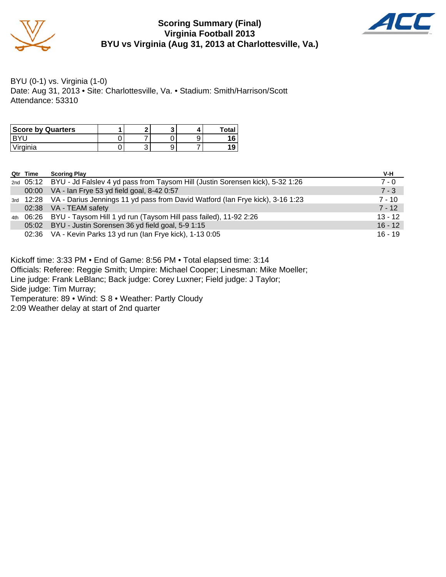

### **Scoring Summary (Final) Virginia Football 2013 BYU vs Virginia (Aug 31, 2013 at Charlottesville, Va.)**



BYU (0-1) vs. Virginia (1-0) Date: Aug 31, 2013 • Site: Charlottesville, Va. • Stadium: Smith/Harrison/Scott Attendance: 53310

| <b>Score by Quarters</b> |   |  | Total |
|--------------------------|---|--|-------|
|                          |   |  |       |
| Virginia                 | ີ |  |       |

|     | Qtr Time | <b>Scoring Play</b>                                                                     | V-H       |
|-----|----------|-----------------------------------------------------------------------------------------|-----------|
|     |          | 2nd 05:12 BYU - Jd Falslev 4 yd pass from Taysom Hill (Justin Sorensen kick), 5-32 1:26 | $7 - 0$   |
|     |          | 00:00 VA - Ian Frye 53 yd field goal, 8-42 0:57                                         | $7 - 3$   |
|     |          | 3rd 12:28 VA - Darius Jennings 11 yd pass from David Watford (Ian Frye kick), 3-16 1:23 | $7 - 10$  |
|     |          | 02:38 VA - TEAM safety                                                                  | $7 - 12$  |
| 4th |          | 06:26 BYU - Taysom Hill 1 yd run (Taysom Hill pass failed), 11-92 2:26                  | $13 - 12$ |
|     |          | 05:02 BYU - Justin Sorensen 36 yd field goal, 5-9 1:15                                  | $16 - 12$ |
|     |          | 02:36 VA - Kevin Parks 13 yd run (Ian Frye kick), 1-13 0:05                             | $16 - 19$ |

Kickoff time: 3:33 PM • End of Game: 8:56 PM • Total elapsed time: 3:14 Officials: Referee: Reggie Smith; Umpire: Michael Cooper; Linesman: Mike Moeller; Line judge: Frank LeBlanc; Back judge: Corey Luxner; Field judge: J Taylor; Side judge: Tim Murray; Temperature: 89 • Wind: S 8 • Weather: Partly Cloudy 2:09 Weather delay at start of 2nd quarter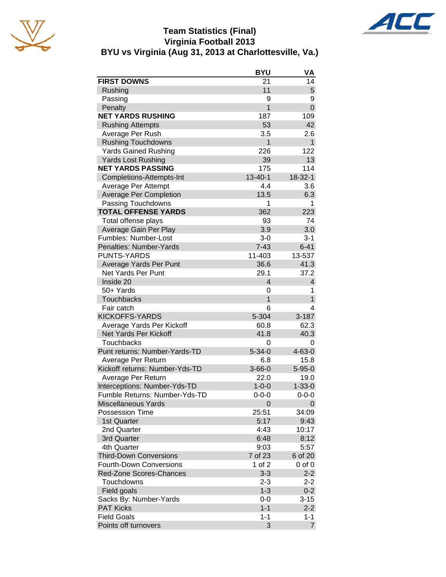





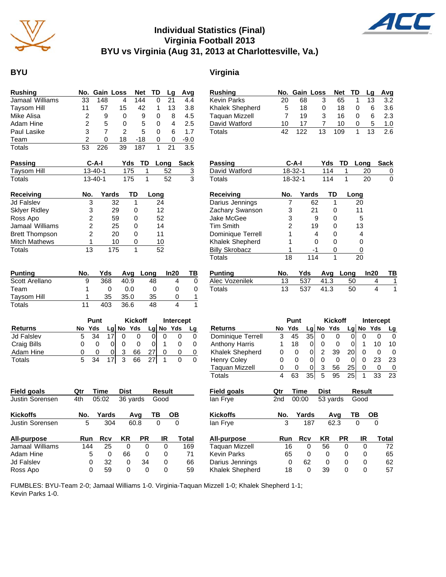

### **Individual Statistics (Final) Virginia Football 2013 BYU vs Virginia (Aug 31, 2013 at Charlottesville, Va.)**

### **BYU Virginia**

| Rushing         |    |     | No. Gain Loss | Net TD |   | Lq | Avg    |
|-----------------|----|-----|---------------|--------|---|----|--------|
| Jamaal Williams | 33 | 148 | 4             | 144    |   | 21 | 4.4    |
| Taysom Hill     | 11 | 57  | 15            | 42     | 1 | 13 | 3.8    |
| Mike Alisa      |    | 9   | 0             | 9      | O | 8  | 4.5    |
| Adam Hine       | 2  | 5   | 0             | 5      | 0 | 4  | 2.5    |
| Paul Lasike     | 3  |     | 2             | 5      | Ω | 6  | 1.7    |
| Team            | 2  | O   | 18            | -18    | 0 | 0  | $-9.0$ |
| Totals          | 53 | 226 | 39            | 187    |   | 21 | 3.5    |

| <b>Passing</b> | C-A-I         |     | Yds TD Long Sack |  |
|----------------|---------------|-----|------------------|--|
| Taysom Hill    | $13 - 40 - 1$ | 175 |                  |  |
| Totals         | $13 - 40 - 1$ | 175 |                  |  |

| <b>Receiving</b>      | No. | Yards | ТD | Long |
|-----------------------|-----|-------|----|------|
| <b>Jd Falslev</b>     | 3   | 32    |    | 24   |
| <b>Sklyer Ridley</b>  | 3   | 29    | 0  | 12   |
| Ross Apo              | 2   | 59    | 0  | 52   |
| Jamaal Williams       | 2   | 25    | 0  | 14   |
| <b>Brett Thompson</b> | 2   | 20    | O  | 11   |
| <b>Mitch Mathews</b>  |     | 10    |    | 10   |
| Totals                | 13  | 175   |    | 52   |

| <b>Punting</b> | No. | Yds | Avq  | Lona | In20 | ΤВ |
|----------------|-----|-----|------|------|------|----|
| Scott Arellano | 9   | 368 | 40.9 | 48   |      |    |
| Team           |     |     | 0.0  |      |      |    |
| Taysom Hill    |     | 35  | 35.0 | 35   |      |    |
| Totals         |     | 403 | 36.6 | 48   |      |    |

|                   |   | Punt   |   |   | <b>Kickoff</b> | Intercept |             |  |
|-------------------|---|--------|---|---|----------------|-----------|-------------|--|
| <b>Returns</b>    |   | No Yds |   |   | $Lg$ No Yds    |           | $Lg$ No Yds |  |
| <b>Jd Falslev</b> | 5 | 34     |   |   |                |           |             |  |
| Craig Bills       | O |        |   |   |                |           |             |  |
| Adam Hine         | O | O)     | 0 | 3 | 66             |           |             |  |
| Totals            | 5 |        |   | ົ | 66             |           |             |  |

| <b>Field goals</b>     | Qtr | Time  | Dist     |           | <b>Result</b> |       |
|------------------------|-----|-------|----------|-----------|---------------|-------|
| <b>Justin Sorensen</b> | 4th | 05:02 | 36 yards |           | Good          |       |
| <b>Kickoffs</b>        | No. | Yards |          | Avq       | ΤВ            | OВ    |
| <b>Justin Sorensen</b> | 5   | 304   |          | 60.8      | 0             | 0     |
| All-purpose            | Run | Rcv   | ΚR       | <b>PR</b> | IR            | Total |
| Jamaal Williams        | 144 | 25    | 0        | 0         | 0             | 169   |
| Adam Hine              | 5   | 0     | 66       | 0         | 0             | 71    |
| <b>Jd Falslev</b>      | 0   | 32    | 0        | 34        | 0             | 66    |
| Ross Apo               | 0   | 59    | 0        | 0         | 0             | 59    |

| Rushing               | No.    |                | <b>Gain Loss</b> |                | <b>Net</b>     |      | TD     | Lg        | Avg          |
|-----------------------|--------|----------------|------------------|----------------|----------------|------|--------|-----------|--------------|
| Kevin Parks           | 20     |                | 68               | 3              | 65             |      | 1      | 13        | 3.2          |
| Khalek Shepherd       | 5      |                | 18               | 0              |                | 18   | 0      | 6         | 3.6          |
| Taquan Mizzell        | 7      |                | 19               | 3              |                | 16   | 0      | 6         | 2.3          |
| David Watford         | 10     |                | 17               | 7              |                | 10   | 0      | 5         | 1.0          |
| Totals                | 42     |                | 122              | 13             | 109            |      | 1      | 13        | 2.6          |
|                       |        |                |                  |                |                |      |        |           |              |
| Passing               |        | C-A-I          |                  |                | Yds            | TD   | Long   |           | Sack         |
| David Watford         |        | 18-32-1        |                  |                | 114            | 1    | 20     |           | 0            |
| <b>Totals</b>         |        | 18-32-1        |                  |                | 114            | 1    |        | 20        | 0            |
| <b>Receiving</b>      | No.    |                | Yards            |                | TD             |      | Long   |           |              |
| Darius Jennings       |        | 7              | 62               |                | 1              |      | 20     |           |              |
| Zachary Swanson       |        | 3              | 21               |                | 0              |      | 11     |           |              |
| Jake McGee            |        | 3              |                  | 9              | 0              |      | 5      |           |              |
| Tim Smith             |        | $\overline{c}$ | 19               |                | 0              |      | 13     |           |              |
| Dominique Terrell     |        | 1              |                  | 4              | 0              |      | 4      |           |              |
| Khalek Shepherd       |        | 1              |                  | 0              | 0              |      | 0      |           |              |
| <b>Billy Skrobacz</b> |        | 1              | -1               |                | 0              |      | 0      |           |              |
| Totals                |        | 18             |                  | 114<br>1       |                |      | 20     |           |              |
| <b>Punting</b>        | No.    |                | Yds              |                | Avg            | Long |        | In20      | TB           |
| Alec Vozenilek        | 13     |                | 537              | 41.3           |                | 50   |        | 4         | 1            |
| Totals                | 13     |                | 537              | 41.3           |                | 50   |        | 4         | $\mathbf{1}$ |
|                       |        |                |                  |                |                |      |        |           |              |
|                       |        | Punt           |                  |                | <b>Kickoff</b> |      |        | Intercept |              |
| <b>Returns</b>        | No Yds |                |                  |                | Lg No Yds      |      | Lg No  | Yds       | Lg           |
| Dominique Terrell     | 3      | 45             | 35               | 0              | 0              | 0    | 0      | 0         | 0            |
| <b>Anthony Harris</b> | 1      | 18             | 01               | 0              | 0              | 0    | 1      | 10        | 10           |
| Khalek Shepherd       | 0      | 0              | 0                | $\overline{2}$ | 39             | 20   | 0      | 0         | 0            |
| Henry Coley           | 0      | 0              | 0                | 0              | 0              | 0    | 0      | 23        | 23           |
| <b>Taquan Mizzell</b> | 0      | 0              | 0                | 3              | 56             | 25   | 0      | 0         | 0            |
| <b>Totals</b>         | 4      | 63             | 35               | $\overline{5}$ | 95             | 25   | 1      | 33        | 23           |
| Field goals           | Qtr    | <b>Time</b>    |                  | Dist           |                |      | Result |           |              |
| lan Frye              | 2nd    | 00:00          |                  |                | 53 yards       |      | Good   |           |              |
|                       |        |                |                  |                |                |      |        |           |              |
| Kickoffs              |        |                |                  |                |                |      | TВ     |           |              |
|                       | No.    |                | <u>Yards</u>     |                | Avg            |      |        |           |              |
| lan Frye              |        |                | 187              |                | 62.3           |      |        |           |              |

Taquan Mizzell 16 0 56 0 0 72 Kevin Parks 65 0 0 0 0 65 Darius Jennings 0 62 0 0 0 62

Khalek Shepherd

| FUMBLES: BYU-Team 2-0; Jamaal Williams 1-0. Virginia-Taquan Mizzell 1-0; Khalek Shepherd 1-1; |  |  |  |
|-----------------------------------------------------------------------------------------------|--|--|--|
| Kevin Parks 1-0.                                                                              |  |  |  |

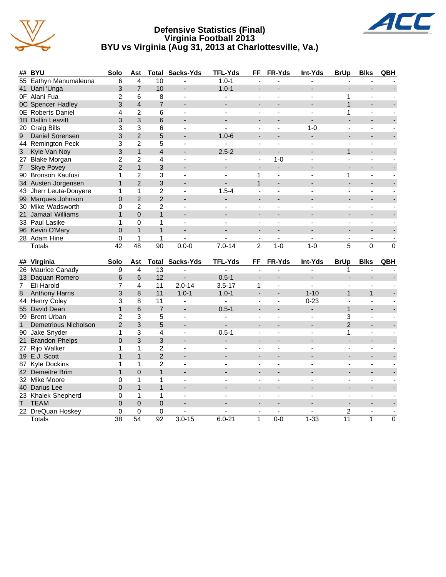

### **Defensive Statistics (Final) Virginia Football 2013 BYU vs Virginia (Aug 31, 2013 at Charlottesville, Va.)**



|                | ## BYU                              | Solo           | Ast                     | Total           | Sacks-Yds                | <b>TFL-Yds</b> | FF                       | FR-Yds         | Int-Yds        | <b>BrUp</b>              | <b>Blks</b>              | QBH         |
|----------------|-------------------------------------|----------------|-------------------------|-----------------|--------------------------|----------------|--------------------------|----------------|----------------|--------------------------|--------------------------|-------------|
|                | 55 Eathyn Manumaleuna               | 6              | $\overline{\mathbf{4}}$ | 10              |                          | $1.0 - 1$      |                          |                |                |                          |                          |             |
|                | 41 Uani 'Unga                       | 3              | $\overline{7}$          | 10              |                          | $1.0 - 1$      | $\overline{\phantom{a}}$ |                |                |                          |                          |             |
|                | OF Alani Fua                        | $\overline{2}$ | 6                       | 8               | $\sim$                   | ÷.             | ÷,                       | $\blacksquare$ | $\overline{a}$ | 1                        | $\sim$                   |             |
|                | <b>0C Spencer Hadley</b>            | 3              | $\overline{4}$          | $\overline{7}$  |                          |                |                          |                |                | $\mathbf{1}$             |                          |             |
|                | <b>0E</b> Roberts Daniel            | 4              | $\overline{2}$          | 6               | $\overline{\phantom{a}}$ | ä,             | $\overline{\phantom{a}}$ |                |                | 1                        | $\blacksquare$           |             |
|                | 1B Dallin Leavitt                   | 3              | 3                       | 6               |                          |                |                          |                |                |                          |                          |             |
|                | 20 Craig Bills                      | 3              | 3                       | 6               |                          |                |                          |                | $1 - 0$        |                          |                          |             |
| 9              | Daniel Sorensen                     | 3              | $\overline{2}$          | 5               |                          | $1.0 - 6$      |                          |                |                |                          |                          |             |
|                | 44 Remington Peck                   | 3              | $\overline{2}$          | 5               | $\blacksquare$           |                | $\blacksquare$           | $\blacksquare$ | $\overline{a}$ | $\blacksquare$           | $\blacksquare$           |             |
| 3              | Kyle Van Noy                        | 3              | $\mathbf{1}$            | $\overline{4}$  |                          | $2.5 - 2$      |                          |                |                | $\mathbf{1}$             |                          |             |
|                | 27 Blake Morgan                     | $\overline{2}$ | $\overline{2}$          | 4               |                          |                | $\blacksquare$           | $1 - 0$        |                | $\frac{1}{2}$            | ÷,                       |             |
| 7 <sup>1</sup> | <b>Skye Povey</b>                   | $\overline{2}$ | $\mathbf{1}$            | 3               |                          |                |                          |                |                |                          |                          |             |
|                | 90 Bronson Kaufusi                  | 1              | $\overline{2}$          | 3               | $\blacksquare$           |                | $\mathbf{1}$             | $\blacksquare$ |                | 1                        | ÷,                       |             |
|                | 34 Austen Jorgensen                 | $\mathbf{1}$   | $\overline{2}$          | 3               | $\blacksquare$           | ÷.             | $\mathbf{1}$             |                |                | ÷,                       |                          |             |
|                | 43 Jherr Leuta-Douyere              | 1              | $\mathbf{1}$            | $\overline{c}$  | $\sim$                   | $1.5 - 4$      | $\blacksquare$           | $\blacksquare$ | $\overline{a}$ | $\overline{a}$           | $\sim$                   |             |
|                | 99 Marques Johnson                  | $\Omega$       | $\overline{2}$          | $\overline{2}$  |                          |                |                          |                |                |                          |                          |             |
|                | 30 Mike Wadsworth                   | 0              | $\overline{2}$          | $\overline{2}$  |                          |                |                          |                |                |                          |                          |             |
|                | 21 Jamaal Williams                  | $\mathbf{1}$   | $\overline{0}$          | $\mathbf{1}$    |                          |                |                          |                |                |                          |                          |             |
|                | 33 Paul Lasike                      | 1              | $\Omega$                | 1               | $\blacksquare$           |                |                          |                |                | L,                       | ÷,                       |             |
|                | 96 Kevin O'Mary                     | $\Omega$       | $\mathbf{1}$            | $\mathbf{1}$    | $\overline{a}$           | $\overline{a}$ | $\overline{a}$           | $\overline{a}$ |                | L.                       | $\overline{\phantom{a}}$ |             |
|                | 28 Adam Hine                        | 0              | 1                       | 1               | ä,                       |                | $\blacksquare$           | $\blacksquare$ | $\blacksquare$ | $\blacksquare$           | $\blacksquare$           |             |
|                | <b>Totals</b>                       | 42             | $\overline{48}$         | $\overline{90}$ | $0.0 - 0$                | $7.0 - 14$     | $\overline{2}$           | $1-0$          | $1 - 0$        | 5                        | $\mathbf 0$              | $\mathbf 0$ |
|                |                                     |                |                         |                 |                          |                |                          |                |                |                          |                          |             |
|                |                                     |                |                         |                 |                          |                |                          |                |                |                          |                          |             |
|                | ## Virginia                         | Solo           | Ast                     | Total           | Sacks-Yds                | <b>TFL-Yds</b> | FF                       | FR-Yds         | Int-Yds        | <b>BrUp</b>              | <b>Blks</b>              | QBH         |
|                | 26 Maurice Canady                   | 9              | 4                       | 13              | $\blacksquare$           | $\blacksquare$ |                          |                | $\overline{a}$ | 1                        |                          |             |
|                | 13 Daquan Romero                    | 6              | 6                       | 12              | ÷.                       | $0.5 - 1$      | ÷,                       | $\overline{a}$ |                | $\overline{a}$           |                          |             |
| $7^{\circ}$    | Eli Harold                          | $\overline{7}$ | 4                       | 11              | $2.0 - 14$               | $3.5 - 17$     | $\mathbf{1}$             | $\blacksquare$ |                | $\blacksquare$           | $\blacksquare$           |             |
| 8              | <b>Anthony Harris</b>               | 3              | 8                       | 11              | $1.0 - 1$                | $1.0 - 1$      |                          |                | $1 - 10$       | $\mathbf{1}$             | $\mathbf{1}$             |             |
|                | 44 Henry Coley                      | 3              | 8                       | 11              |                          | $\blacksquare$ |                          | ä,             | $0 - 23$       |                          |                          |             |
|                | 55 David Dean                       | $\mathbf{1}$   | 6                       | $\overline{7}$  |                          | $0.5 - 1$      |                          |                |                | $\mathbf{1}$             |                          |             |
|                | 99 Brent Urban                      | $\overline{2}$ | 3                       | 5               | $\overline{\phantom{a}}$ | $\sim$         | ÷                        | ÷              | $\sim$         | 3                        | $\overline{\phantom{a}}$ |             |
| $\mathbf{1}$   | Demetrious Nicholson                | $\overline{2}$ | 3                       | 5               | $\overline{\phantom{a}}$ | ÷.             | ÷                        |                |                | $\overline{2}$           | $\blacksquare$           |             |
|                | 90 Jake Snyder                      | 1              | 3                       | 4               | $\overline{\phantom{a}}$ | $0.5 - 1$      | $\blacksquare$           | ä,             | $\blacksquare$ | 1                        | $\blacksquare$           |             |
|                | <b>Brandon Phelps</b>               | $\Omega$       | 3                       | 3               |                          |                |                          |                |                |                          |                          |             |
| 21             |                                     | 1              | 1                       | $\overline{c}$  | $\overline{\phantom{a}}$ |                |                          |                |                |                          |                          |             |
|                | 27 Rijo Walker<br>19 E.J. Scott     | 1              | $\mathbf{1}$            | $\overline{2}$  |                          |                |                          |                |                |                          |                          |             |
|                |                                     | 1              | 1                       | $\overline{2}$  | ÷.                       |                | $\overline{\phantom{a}}$ | ÷,             | $\sim$         | $\blacksquare$           | $\overline{a}$           |             |
|                | 87 Kyle Dockins<br>42 Demeitre Brim | $\mathbf{1}$   | $\Omega$                | $\mathbf{1}$    |                          |                |                          |                |                |                          |                          |             |
|                | 32 Mike Moore                       | $\Omega$       | $\mathbf{1}$            | 1               | $\blacksquare$           | ä,             | $\blacksquare$           | ä,             |                | $\frac{1}{2}$            | ÷,                       |             |
|                | 40 Darius Lee                       | $\mathbf 0$    | $\mathbf{1}$            | $\mathbf{1}$    |                          |                |                          |                |                |                          |                          |             |
|                |                                     | 0              | $\mathbf{1}$            | 1               | $\blacksquare$           |                | $\blacksquare$           |                |                |                          | $\blacksquare$           |             |
| Т              | 23 Khalek Shepherd<br><b>TEAM</b>   | $\Omega$       | $\Omega$                | $\overline{0}$  |                          |                |                          |                |                | $\overline{\phantom{0}}$ |                          |             |
|                |                                     | 0              | 0                       | 0               |                          |                | $\blacksquare$           | $\blacksquare$ |                | 2                        | $\sim$                   |             |
|                | 22 DreQuan Hoskey<br><b>Totals</b>  | 38             | 54                      | 92              | $3.0 - 15$               | $6.0 - 21$     | $\mathbf{1}$             | $0-0$          | $1 - 33$       | 11                       | 1                        | 0           |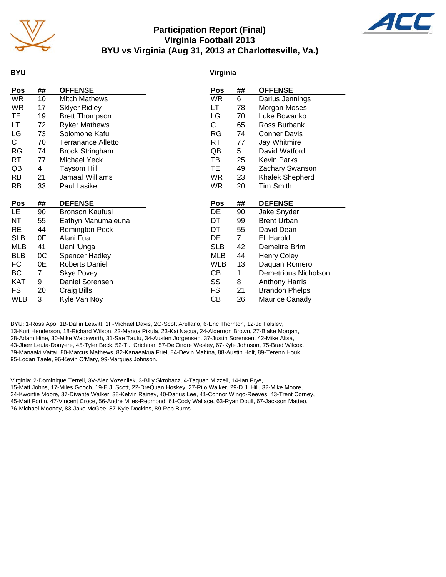

### **Participation Report (Final) Virginia Football 2013 BYU vs Virginia (Aug 31, 2013 at Charlottesville, Va.)**



### **BYU**

### **Virginia**

| <b>Pos</b> | ## | <b>OFFENSE</b>            | Pos        | ##             | <b>OFFENSE</b>         |
|------------|----|---------------------------|------------|----------------|------------------------|
| <b>WR</b>  | 10 | <b>Mitch Mathews</b>      | <b>WR</b>  | 6              | Darius Jennings        |
| WR.        | 17 | <b>Sklyer Ridley</b>      | LT.        | 78             | Morgan Moses           |
| TE         | 19 | <b>Brett Thompson</b>     | LG         | 70             | Luke Bowanko           |
| LT         | 72 | <b>Ryker Mathews</b>      | С          | 65             | Ross Burbank           |
| LG         | 73 | Solomone Kafu             | RG         | 74             | <b>Conner Davis</b>    |
| C.         | 70 | <b>Terranance Alletto</b> | RT         | 77             | Jay Whitmire           |
| <b>RG</b>  | 74 | <b>Brock Stringham</b>    | QB         | 5              | David Watford          |
| RT         | 77 | Michael Yeck              | TВ         | 25             | <b>Kevin Parks</b>     |
| QB         | 4  | <b>Taysom Hill</b>        | <b>TE</b>  | 49             | Zachary Swanson        |
| RB.        | 21 | Jamaal Williams           | WR.        | 23             | <b>Khalek Shepherd</b> |
| <b>RB</b>  | 33 | Paul Lasike               | <b>WR</b>  | 20             | <b>Tim Smith</b>       |
|            |    |                           |            |                |                        |
| Pos        | ## | <b>DEFENSE</b>            | <b>Pos</b> | ##             | <b>DEFENSE</b>         |
| <b>LE</b>  | 90 | Bronson Kaufusi           | DE         | 90             | Jake Snyder            |
| NΤ         | 55 | Eathyn Manumaleuna        | DT         | 99             | <b>Brent Urban</b>     |
| RE         | 44 | <b>Remington Peck</b>     | DT         | 55             | David Dean             |
| <b>SLB</b> | 0F | Alani Fua                 | DE         | $\overline{7}$ | Eli Harold             |
| MLB        | 41 | Uani 'Unga                | <b>SLB</b> | 42             | Demeitre Brim          |
| <b>BLB</b> | 0C | <b>Spencer Hadley</b>     | <b>MLB</b> | 44             | <b>Henry Coley</b>     |
| FC         | 0E | <b>Roberts Daniel</b>     | <b>WLB</b> | 13             | Daquan Romero          |
| ВC         | 7  | <b>Skye Povey</b>         | CВ         | 1              | Demetrious Nicholson   |
| <b>KAT</b> | 9  | Daniel Sorensen           | SS         | 8              | <b>Anthony Harris</b>  |
| FS         | 20 | Craig Bills               | FS         | 21             | <b>Brandon Phelps</b>  |
| <b>WLB</b> | 3  | Kyle Van Noy              | СB         | 26             | Maurice Canady         |

BYU: 1-Ross Apo, 1B-Dallin Leavitt, 1F-Michael Davis, 2G-Scott Arellano, 6-Eric Thornton, 12-Jd Falslev, 13-Kurt Henderson, 18-Richard Wilson, 22-Manoa Pikula, 23-Kai Nacua, 24-Algernon Brown, 27-Blake Morgan, 28-Adam Hine, 30-Mike Wadsworth, 31-Sae Tautu, 34-Austen Jorgensen, 37-Justin Sorensen, 42-Mike Alisa, 43-Jherr Leuta-Douyere, 45-Tyler Beck, 52-Tui Crichton, 57-De'Ondre Wesley, 67-Kyle Johnson, 75-Brad Wilcox, 79-Manaaki Vaitai, 80-Marcus Mathews, 82-Kanaeakua Friel, 84-Devin Mahina, 88-Austin Holt, 89-Terenn Houk, 95-Logan Taele, 96-Kevin O'Mary, 99-Marques Johnson.

Virginia: 2-Dominique Terrell, 3V-Alec Vozenilek, 3-Billy Skrobacz, 4-Taquan Mizzell, 14-Ian Frye, 15-Matt Johns, 17-Miles Gooch, 19-E.J. Scott, 22-DreQuan Hoskey, 27-Rijo Walker, 29-D.J. Hill, 32-Mike Moore, 34-Kwontie Moore, 37-Divante Walker, 38-Kelvin Rainey, 40-Darius Lee, 41-Connor Wingo-Reeves, 43-Trent Corney, 45-Matt Fortin, 47-Vincent Croce, 56-Andre Miles-Redmond, 61-Cody Wallace, 63-Ryan Doull, 67-Jackson Matteo, 76-Michael Mooney, 83-Jake McGee, 87-Kyle Dockins, 89-Rob Burns.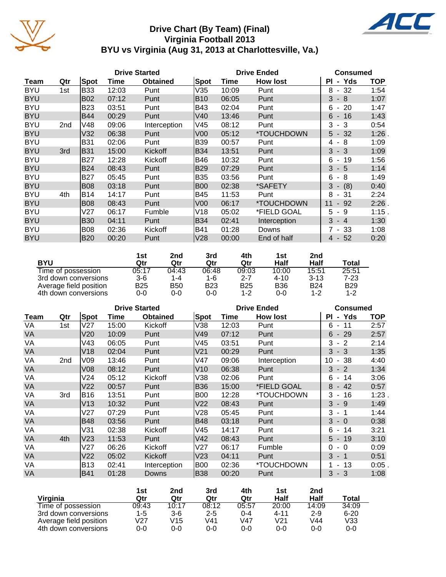

### **Drive Chart (By Team) (Final) Virginia Football 2013 BYU vs Virginia (Aug 31, 2013 at Charlottesville, Va.)**



|             | <b>Drive Started</b> |            |       |                 |                 | <b>Drive Ended</b> | <b>Consumed</b> |                                      |      |
|-------------|----------------------|------------|-------|-----------------|-----------------|--------------------|-----------------|--------------------------------------|------|
| <b>Team</b> | Qtr                  | Spot       | Time  | <b>Obtained</b> | Spot            | Time               | <b>How lost</b> | - Yds<br>ΡI                          | TOP  |
| <b>BYU</b>  | 1st                  | <b>B33</b> | 12:03 | Punt            | V35             | 10:09              | Punt            | 8<br>32<br>$\sim$                    | 1:54 |
| <b>BYU</b>  |                      | <b>B02</b> | 07:12 | Punt            | <b>B10</b>      | 06:05              | Punt            | 3<br>- 8                             | 1:07 |
| <b>BYU</b>  |                      | <b>B23</b> | 03:51 | Punt            | B43             | 02:04              | Punt            | 20<br>6<br>$\blacksquare$            | 1:47 |
| <b>BYU</b>  |                      | <b>B44</b> | 00:29 | Punt            | V40             | 13:46              | Punt            | 16<br>6<br>$\sim$                    | 1:43 |
| <b>BYU</b>  | 2nd                  | V48        | 09:06 | Interception    | V45             | 08:12              | Punt            | 3<br>- 3                             | 0:54 |
| <b>BYU</b>  |                      | V32        | 06:38 | Punt            | V <sub>00</sub> | 05:12              | *TOUCHDOWN      | $5 - 32$                             | 1:26 |
| <b>BYU</b>  |                      | <b>B31</b> | 02:06 | Punt            | <b>B39</b>      | 00:57              | Punt            | - 8<br>4                             | 1:09 |
| <b>BYU</b>  | 3rd                  | B31        | 15:00 | Kickoff         | <b>B34</b>      | 13:51              | Punt            | 3<br>$-3$                            | 1:09 |
| <b>BYU</b>  |                      | B27        | 12:28 | Kickoff         | B46             | 10:32              | Punt            | 6<br>19<br>$\blacksquare$            | 1:56 |
| <b>BYU</b>  |                      | <b>B24</b> | 08:43 | Punt            | B29             | 07:29              | Punt            | 3<br>$-5$                            | 1:14 |
| <b>BYU</b>  |                      | <b>B27</b> | 05:45 | Punt            | B35             | 03:56              | Punt            | 6<br>- 8                             | 1:49 |
| <b>BYU</b>  |                      | <b>B08</b> | 03:18 | Punt            | <b>B00</b>      | 02:38              | *SAFETY         | 3<br>(8)<br>$\overline{\phantom{a}}$ | 0:40 |
| <b>BYU</b>  | 4th                  | <b>B14</b> | 14:17 | Punt            | B45             | 11:53              | Punt            | 8<br>- 31                            | 2:24 |
| <b>BYU</b>  |                      | <b>B08</b> | 08:43 | Punt            | V <sub>00</sub> | 06:17              | *TOUCHDOWN      | 92<br>11<br>$\sim$                   | 2:26 |
| <b>BYU</b>  |                      | V27        | 06:17 | Fumble          | V18             | 05:02              | *FIELD GOAL     | 5<br>9<br>$\blacksquare$             | 1:15 |
| <b>BYU</b>  |                      | <b>B30</b> | 04:11 | Punt            | B34             | 02:41              | Interception    | 3<br>$-4$                            | 1:30 |
| <b>BYU</b>  |                      | <b>B08</b> | 02:36 | Kickoff         | B41             | 01:28              | Downs           | 7 - 33                               | 1:08 |
| <b>BYU</b>  |                      | <b>B20</b> | 00:20 | Punt            | V28             | 00:00              | End of half     | 52<br>4<br>$\sim$                    | 0:20 |

|                        | 1st   | 2nd   | 3rd   | 4th        | 1st        | 2nd        |            |
|------------------------|-------|-------|-------|------------|------------|------------|------------|
| <b>BYU</b>             | Qtr   | Qtr   | Qtr   | Qtr        | Half       | Half       | Total      |
| Time of possession     | 05:17 | 04:43 | 06:48 | 09:03      | 10:00      | 15:51      | 25:51      |
| 3rd down conversions   | $3-6$ | 1-4   | 1-6   | 2-7        | $4 - 10$   | $3 - 13$   | 7-23       |
| Average field position | B25   | B50   | B23   | <b>B25</b> | <b>B36</b> | <b>B24</b> | <b>B29</b> |
| 4th down conversions   | 0-0   | 0-0   | 0-0   | $1 - 2$    | $0 - 0$    | 1-2        | $1 - 2$    |

|           | <b>Drive Started</b> |                 |       |                 |                 | <b>Drive Ended</b> | <b>Consumed</b> |                                      |            |
|-----------|----------------------|-----------------|-------|-----------------|-----------------|--------------------|-----------------|--------------------------------------|------------|
| Team      | Qtr                  | Spot            | Time  | <b>Obtained</b> | Spot            | Time               | <b>How lost</b> | - Yds<br>ΡI                          | <b>TOP</b> |
| VA        | 1st                  | V27             | 15:00 | Kickoff         | V38             | 12:03              | Punt            | 11<br>6<br>$\sim$                    | 2:57       |
| VA        |                      | V20             | 10:09 | Punt            | V49             | 07:12              | Punt            | $-29$<br>6                           | 2:57       |
| VA        |                      | V43             | 06:05 | Punt            | V45             | 03:51              | Punt            | 3<br>$-2$                            | 2:14       |
| VA        |                      | V18             | 02:04 | Punt            | V <sub>21</sub> | 00:29              | Punt            | $-3$<br>3                            | 1:35       |
| VA        | 2nd                  | V <sub>09</sub> | 13:46 | Punt            | V47             | 09:06              | Interception    | 10<br>38<br>$\overline{\phantom{a}}$ | 4:40       |
| VA        |                      | V08             | 08:12 | Punt            | V10             | 06:38              | Punt            | $3 - 2$                              | 1:34       |
| VA        |                      | V24             | 05:12 | Kickoff         | V38             | 02:06              | Punt            | 14<br>6<br>$\sim$                    | 3:06       |
| VA        |                      | V <sub>22</sub> | 00:57 | Punt            | B36             | 15:00              | *FIELD GOAL     | $-42$<br>8                           | 0:57       |
| VA        | 3rd                  | <b>B16</b>      | 13:51 | Punt            | <b>B00</b>      | 12:28              | *TOUCHDOWN      | 3<br>16<br>$\sim$                    | 1:23       |
| VA        |                      | V13             | 10:32 | Punt            | V <sub>22</sub> | 08:43              | Punt            | 3<br>- 9                             | 1:49       |
| VA        |                      | V27             | 07:29 | Punt            | V28             | 05:45              | Punt            | 3<br>- 1                             | 1:44       |
| <b>VA</b> |                      | <b>B48</b>      | 03:56 | Punt            | B48             | 03:18              | Punt            | 3<br>$-0$                            | 0:38       |
| VA        |                      | V31             | 02:38 | Kickoff         | V45             | 14:17              | Punt            | 14<br>6<br>$\sim$                    | 3:21       |
| VA        | 4th                  | V23             | 11:53 | Punt            | V42             | 08:43              | Punt            | $5 - 19$                             | 3:10       |
| VA        |                      | V27             | 06:26 | Kickoff         | V27             | 06:17              | Fumble          | 0<br>$-0$                            | 0:09       |
| VA        |                      | V <sub>22</sub> | 05:02 | Kickoff         | V <sub>23</sub> | 04:11              | Punt            | $3 - 1$                              | 0:51       |
| VA        |                      | B13             | 02:41 | Interception    | <b>B00</b>      | 02:36              | *TOUCHDOWN      | 13<br>$\sim$                         | 0:05       |
| VA        |                      | B41             | 01:28 | Downs           | B38             | 00:20              | Punt            | $3 - 3$                              | 1:08       |

|                        | 1st   | 2nd   | 3rd     | 4th     | 1st     | 2nd     |          |
|------------------------|-------|-------|---------|---------|---------|---------|----------|
| Virginia               | Qtr   | Qtr   | Qtr     | Qtr     | Half    | Half    | Total    |
| Time of possession     | 09:43 | 10:17 | 08:12   | 05:57   | 20:00   | 14:09   | 34:09    |
| 3rd down conversions   | 1-5   | $3-6$ | $2 - 5$ | $0 - 4$ | 4-11    | $2 - 9$ | $6 - 20$ |
| Average field position | V27   | V15   | V41     | V47     | V21     | V44     | V33      |
| 4th down conversions   | 0-0   | 0-0   | 0-0     | $0 - 0$ | $0 - 0$ | 0-0     | 0-0      |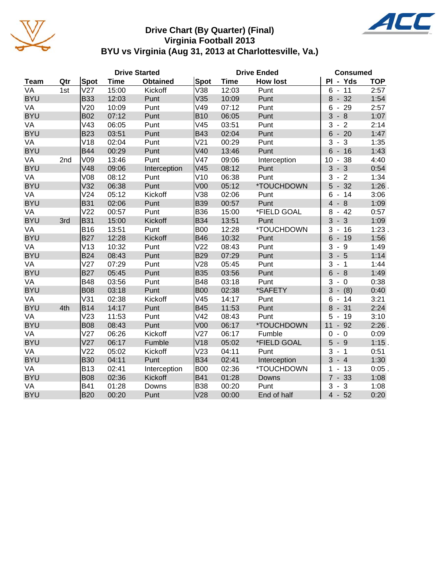

### **Drive Chart (By Quarter) (Final) Virginia Football 2013 BYU vs Virginia (Aug 31, 2013 at Charlottesville, Va.)**



|             |     |                 |             | <b>Drive Started</b> |                 |             | <b>Drive Ended</b> | <b>Consumed</b>                                  |            |
|-------------|-----|-----------------|-------------|----------------------|-----------------|-------------|--------------------|--------------------------------------------------|------------|
| <b>Team</b> | Qtr | Spot            | <b>Time</b> | <b>Obtained</b>      | <b>Spot</b>     | <b>Time</b> | <b>How lost</b>    | PI - Yds                                         | <b>TOP</b> |
| VA          | 1st | V27             | 15:00       | Kickoff              | V38             | 12:03       | Punt               | 11<br>6<br>$\blacksquare$                        | 2:57       |
| <b>BYU</b>  |     | <b>B33</b>      | 12:03       | Punt                 | V35             | 10:09       | Punt               | 32<br>8<br>$\overline{\phantom{a}}$              | 1:54       |
| VA          |     | V20             | 10:09       | Punt                 | V49             | 07:12       | Punt               | $-29$<br>6                                       | 2:57       |
| <b>BYU</b>  |     | <b>B02</b>      | 07:12       | Punt                 | <b>B10</b>      | 06:05       | Punt               | 3<br>$-8$                                        | 1:07       |
| VA          |     | V43             | 06:05       | Punt                 | V45             | 03:51       | Punt               | $-2$<br>3                                        | 2:14       |
| <b>BYU</b>  |     | <b>B23</b>      | 03:51       | Punt                 | <b>B43</b>      | 02:04       | Punt               | 6<br>$-20$                                       | 1:47       |
| VA          |     | V18             | 02:04       | Punt                 | V <sub>21</sub> | 00:29       | Punt               | $-3$<br>3                                        | 1:35       |
| <b>BYU</b>  |     | <b>B44</b>      | 00:29       | Punt                 | V40             | 13:46       | Punt               | $6 - 16$                                         | 1:43       |
| VA          | 2nd | V09             | 13:46       | Punt                 | V47             | 09:06       | Interception       | 10<br>38<br>$\blacksquare$                       | 4:40       |
| <b>BYU</b>  |     | V48             | 09:06       | Interception         | V45             | 08:12       | Punt               | $3 - 3$                                          | 0:54       |
| VA          |     | <b>V08</b>      | 08:12       | Punt                 | V10             | 06:38       | Punt               | 3<br>$\overline{2}$<br>$\overline{\phantom{a}}$  | 1:34       |
| <b>BYU</b>  |     | V32             | 06:38       | Punt                 | V <sub>00</sub> | 05:12       | *TOUCHDOWN         | 32<br>5<br>$\overline{\phantom{a}}$              | 1:26       |
| VA          |     | V <sub>24</sub> | 05:12       | Kickoff              | V38             | 02:06       | Punt               | 6<br>14<br>$\qquad \qquad \blacksquare$          | 3:06       |
| <b>BYU</b>  |     | <b>B31</b>      | 02:06       | Punt                 | <b>B39</b>      | 00:57       | Punt               | $\overline{4}$<br>8<br>$\overline{\phantom{a}}$  | 1:09       |
| VA          |     | V <sub>22</sub> | 00:57       | Punt                 | <b>B36</b>      | 15:00       | *FIELD GOAL        | 8<br>42<br>$\blacksquare$                        | 0:57       |
| <b>BYU</b>  | 3rd | <b>B31</b>      | 15:00       | Kickoff              | <b>B34</b>      | 13:51       | Punt               | 3<br>3<br>$\overline{\phantom{a}}$               | 1:09       |
| VA          |     | <b>B16</b>      | 13:51       | Punt                 | <b>B00</b>      | 12:28       | *TOUCHDOWN         | 3<br>16<br>$\blacksquare$                        | 1:23.      |
| <b>BYU</b>  |     | <b>B27</b>      | 12:28       | Kickoff              | <b>B46</b>      | 10:32       | Punt               | $6\phantom{a}$<br>$-19$                          | 1:56       |
| VA          |     | V13             | 10:32       | Punt                 | V <sub>22</sub> | 08:43       | Punt               | 3<br>9<br>$\overline{\phantom{a}}$               | 1:49       |
| <b>BYU</b>  |     | <b>B24</b>      | 08:43       | Punt                 | <b>B29</b>      | 07:29       | Punt               | 3<br>$-5$                                        | 1:14       |
| VA          |     | V27             | 07:29       | Punt                 | V28             | 05:45       | Punt               | 3<br>$-1$                                        | 1:44       |
| <b>BYU</b>  |     | <b>B27</b>      | 05:45       | Punt                 | <b>B35</b>      | 03:56       | Punt               | 6<br>$-8$                                        | 1:49       |
| VA          |     | <b>B48</b>      | 03:56       | Punt                 | <b>B48</b>      | 03:18       | Punt               | 3<br>$-0$                                        | 0:38       |
| <b>BYU</b>  |     | <b>B08</b>      | 03:18       | Punt                 | <b>B00</b>      | 02:38       | *SAFETY            | 3<br>(8)<br>$\overline{\phantom{a}}$             | 0:40       |
| VA          |     | V31             | 02:38       | Kickoff              | V45             | 14:17       | Punt               | 6<br>14<br>$\blacksquare$                        | 3:21       |
| <b>BYU</b>  | 4th | <b>B14</b>      | 14:17       | Punt                 | <b>B45</b>      | 11:53       | Punt               | 8<br>31<br>$\blacksquare$                        | 2:24       |
| VA          |     | V23             | 11:53       | Punt                 | V42             | 08:43       | Punt               | 5<br>19<br>$\sim$                                | 3:10       |
| <b>BYU</b>  |     | <b>B08</b>      | 08:43       | Punt                 | V <sub>00</sub> | 06:17       | *TOUCHDOWN         | 11<br>$-92$                                      | $2:26$ .   |
| VA          |     | V27             | 06:26       | Kickoff              | V <sub>27</sub> | 06:17       | Fumble             | 0<br>$-0$                                        | 0:09       |
| <b>BYU</b>  |     | V27             | 06:17       | Fumble               | V18             | 05:02       | *FIELD GOAL        | 5<br>$-9$                                        | $1:15$ .   |
| VA          |     | V <sub>22</sub> | 05:02       | Kickoff              | V23             | 04:11       | Punt               | 3<br>$-1$                                        | 0:51       |
| <b>BYU</b>  |     | <b>B30</b>      | 04:11       | Punt                 | <b>B34</b>      | 02:41       | Interception       | 3<br>$-4$                                        | 1:30       |
| VA          |     | <b>B13</b>      | 02:41       | Interception         | <b>B00</b>      | 02:36       | *TOUCHDOWN         | 1<br>$-13$                                       | $0:05$ .   |
| <b>BYU</b>  |     | <b>B08</b>      | 02:36       | Kickoff              | <b>B41</b>      | 01:28       | Downs              | $\overline{7}$<br>33<br>$\overline{\phantom{a}}$ | 1:08       |
| VA          |     | <b>B41</b>      | 01:28       | Downs                | <b>B38</b>      | 00:20       | Punt               | 3<br>$\sqrt{3}$<br>$\overline{\phantom{a}}$      | 1:08       |
| <b>BYU</b>  |     | <b>B20</b>      | 00:20       | Punt                 | V28             | 00:00       | End of half        | $4 - 52$                                         | 0:20       |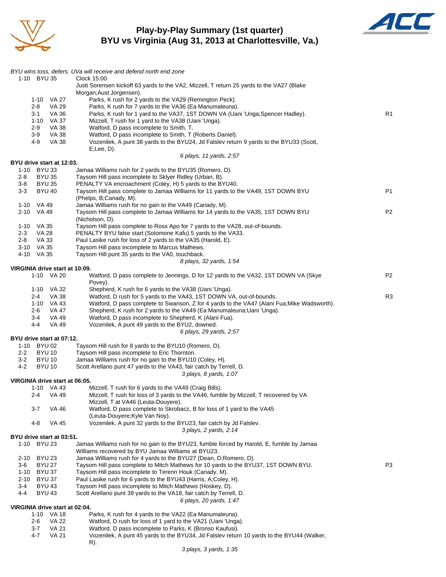

### **Play-by-Play Summary (1st quarter) BYU vs Virginia (Aug 31, 2013 at Charlottesville, Va.)**



|                                              | BYU wins toss, defers. UVa will receive and defend north end zone                                                                                     |                |
|----------------------------------------------|-------------------------------------------------------------------------------------------------------------------------------------------------------|----------------|
| 1-10 BYU 35                                  | Clock 15:00.                                                                                                                                          |                |
|                                              | Justi Sorensen kickoff 63 yards to the VA2, Mizzell, T return 25 yards to the VA27 (Blake                                                             |                |
| 1-10 VA 27                                   | Morgan; Aust Jorgensen).<br>Parks, K rush for 2 yards to the VA29 (Remington Peck).                                                                   |                |
| $2 - 8$<br>VA 29                             | Parks, K rush for 7 yards to the VA36 (Ea Manumaleuna).                                                                                               |                |
| 3-1<br>VA 36                                 | Parks, K rush for 1 yard to the VA37, 1ST DOWN VA (Uani 'Unga; Spencer Hadley).                                                                       | R1             |
| 1-10 VA 37                                   | Mizzell, T rush for 1 yard to the VA38 (Uani 'Unga).                                                                                                  |                |
| $2 - 9$<br>VA 38<br>3-9<br>VA 38             | Watford, D pass incomplete to Smith, T.<br>Watford, D pass incomplete to Smith, T (Roberts Daniel).                                                   |                |
| 4-9<br>VA 38                                 | Vozenilek, A punt 38 yards to the BYU24, Jd Falsley return 9 yards to the BYU33 (Scott,                                                               |                |
|                                              | $E$ ; Lee, $D$ ).                                                                                                                                     |                |
|                                              | 6 plays, 11 yards, 2:57                                                                                                                               |                |
| BYU drive start at 12:03.<br>1-10 BYU 33     | Jamaa Williams rush for 2 yards to the BYU35 (Romero, D).                                                                                             |                |
| <b>BYU 35</b><br>2-8                         | Taysom Hill pass incomplete to Sklyer Ridley (Urban, B).                                                                                              |                |
| 3-8<br><b>BYU 35</b>                         | PENALTY VA encroachment (Coley, H) 5 yards to the BYU40.                                                                                              |                |
| $3 - 3$<br><b>BYU 40</b>                     | Taysom Hill pass complete to Jamaa Williams for 11 yards to the VA49, 1ST DOWN BYU                                                                    | P <sub>1</sub> |
| 1-10 VA 49                                   | (Phelps, B;Canady, M).<br>Jamaa Williams rush for no gain to the VA49 (Canady, M).                                                                    |                |
| 2-10 VA 49                                   | Taysom Hill pass complete to Jamaa Williams for 14 yards to the VA35, 1ST DOWN BYU                                                                    | P <sub>2</sub> |
|                                              | (Nicholson, D).                                                                                                                                       |                |
| 1-10 VA 35                                   | Taysom Hill pass complete to Ross Apo for 7 yards to the VA28, out-of-bounds.                                                                         |                |
| VA 28<br>$2 - 3$<br>VA 33<br>2-8             | PENALTY BYU false start (Solomone Kafu) 5 yards to the VA33.<br>Paul Lasike rush for loss of 2 yards to the VA35 (Harold, E).                         |                |
| 3-10 VA 35                                   | Taysom Hill pass incomplete to Marcus Mathews.                                                                                                        |                |
| 4-10 VA 35                                   | Taysom Hill punt 35 yards to the VA0, touchback.                                                                                                      |                |
|                                              | 8 plays, 32 yards, 1:54                                                                                                                               |                |
| VIRGINIA drive start at 10:09.               |                                                                                                                                                       | P <sub>2</sub> |
| 1-10 VA 20                                   | Watford, D pass complete to Jennings, D for 12 yards to the VA32, 1ST DOWN VA (Skye<br>Povey).                                                        |                |
| 1-10 VA 32                                   | Shepherd, K rush for 6 yards to the VA38 (Uani 'Unga).                                                                                                |                |
| VA 38<br>2-4                                 | Watford, D rush for 5 yards to the VA43, 1ST DOWN VA, out-of-bounds.                                                                                  | R <sub>3</sub> |
| 1-10 VA 43                                   | Watford, D pass complete to Swanson, Z for 4 yards to the VA47 (Alani Fua; Mike Wadsworth).                                                           |                |
| 2-6<br>VA 47<br>3-4<br>VA 49                 | Shepherd, K rush for 2 yards to the VA49 (Ea Manumaleuna; Uani 'Unga).<br>Watford, D pass incomplete to Shepherd, K (Alani Fua).                      |                |
| 4-4<br>VA 49                                 | Vozenilek, A punt 49 yards to the BYU2, downed.                                                                                                       |                |
|                                              | 6 plays, 29 yards, 2:57                                                                                                                               |                |
| BYU drive start at 07:12.                    |                                                                                                                                                       |                |
| 1-10 BYU 02<br>$2 - 2$<br><b>BYU 10</b>      | Taysom Hill rush for 8 yards to the BYU10 (Romero, D).<br>Taysom Hill pass incomplete to Eric Thornton.                                               |                |
| $3-2$<br><b>BYU 10</b>                       | Jamaa Williams rush for no gain to the BYU10 (Coley, H).                                                                                              |                |
| 4-2<br><b>BYU 10</b>                         | Scott Arellano punt 47 yards to the VA43, fair catch by Terrell, D.                                                                                   |                |
|                                              | 3 plays, 8 yards, 1:07                                                                                                                                |                |
| VIRGINIA drive start at 06:05.<br>1-10 VA 43 | Mizzell, T rush for 6 yards to the VA49 (Craig Bills).                                                                                                |                |
| VA 49<br>2-4                                 | Mizzell, T rush for loss of 3 yards to the VA46, fumble by Mizzell, T recovered by VA                                                                 |                |
|                                              | Mizzell, T at VA46 (Leuta-Douyere).                                                                                                                   |                |
| 3-7<br>VA 46                                 | Watford, D pass complete to Skrobacz, B for loss of 1 yard to the VA45                                                                                |                |
| 4-8<br>VA 45                                 | (Leuta-Douyere; Kyle Van Noy).<br>Vozenilek, A punt 32 yards to the BYU23, fair catch by Jd Falslev.                                                  |                |
|                                              | 3 plays, 2 yards, 2:14                                                                                                                                |                |
| BYU drive start at 03:51.                    |                                                                                                                                                       |                |
| 1-10 BYU 23                                  | Jamaa Williams rush for no gain to the BYU23, fumble forced by Harold, E, fumble by Jamaa                                                             |                |
| <b>BYU 23</b><br>2-10                        | Williams recovered by BYU Jamaa Williams at BYU23.<br>Jamaa Williams rush for 4 yards to the BYU27 (Dean, D;Romero, D).                               |                |
| <b>BYU 27</b><br>3-6                         | Taysom Hill pass complete to Mitch Mathews for 10 yards to the BYU37, 1ST DOWN BYU.                                                                   | P3             |
| 1-10<br><b>BYU 37</b>                        | Taysom Hill pass incomplete to Terenn Houk (Canady, M).                                                                                               |                |
| 2-10<br><b>BYU 37</b>                        | Paul Lasike rush for 6 yards to the BYU43 (Harris, A;Coley, H).                                                                                       |                |
| <b>BYU 43</b><br>3-4<br><b>BYU 43</b><br>4-4 | Taysom Hill pass incomplete to Mitch Mathews (Hoskey, D).<br>Scott Arellano punt 39 yards to the VA18, fair catch by Terrell, D.                      |                |
|                                              | 6 plays, 20 yards, 1:47                                                                                                                               |                |
| VIRGINIA drive start at 02:04.               |                                                                                                                                                       |                |
| 1-10 VA 18                                   | Parks, K rush for 4 yards to the VA22 (Ea Manumaleuna).                                                                                               |                |
| <b>VA 22</b><br>2-6<br><b>VA 21</b>          | Watford, D rush for loss of 1 yard to the VA21 (Uani 'Unga).                                                                                          |                |
| 3-7<br>4-7<br><b>VA 21</b>                   | Watford, D pass incomplete to Parks, K (Bronso Kaufusi).<br>Vozenilek, A punt 45 yards to the BYU34, Jd Falslev return 10 yards to the BYU44 (Walker, |                |
|                                              | R).                                                                                                                                                   |                |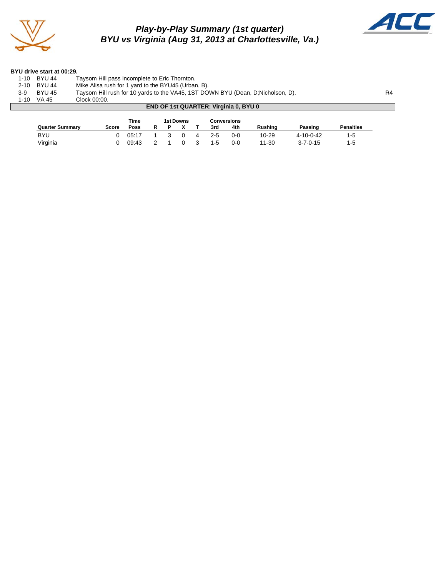

### *Play-by-Play Summary (1st quarter) BYU vs Virginia (Aug 31, 2013 at Charlottesville, Va.)*



 $\mathcal{L}(\mathcal{A})$ 

#### **BYU drive start at 00:29.**

| 1-10     | <b>BYU 44</b>                                | Taysom Hill pass incomplete to Eric Thornton.                                    |                |  |  |  |  |  |  |
|----------|----------------------------------------------|----------------------------------------------------------------------------------|----------------|--|--|--|--|--|--|
| $2 - 10$ | BYU 44                                       | Mike Alisa rush for 1 yard to the BYU45 (Urban, B).                              |                |  |  |  |  |  |  |
| 3-9      | <b>BYU 45</b>                                | Taysom Hill rush for 10 yards to the VA45, 1ST DOWN BYU (Dean, D; Nicholson, D). | R <sub>4</sub> |  |  |  |  |  |  |
| 1-10     | VA 45                                        | Clock 00:00.                                                                     |                |  |  |  |  |  |  |
|          | <b>END OF 1st QUARTER: Virginia 0, BYU 0</b> |                                                                                  |                |  |  |  |  |  |  |

|                        |       | Time        |  | 1st Downs |   |         | <b>Conversions</b> |                |                   |                  |
|------------------------|-------|-------------|--|-----------|---|---------|--------------------|----------------|-------------------|------------------|
| <b>Quarter Summary</b> | Score | <b>Poss</b> |  |           |   | 3rd     | 4th                | <b>Rushing</b> | Passing           | <b>Penalties</b> |
| <b>BYU</b>             |       | 05:17       |  |           | 4 | $2 - 5$ | $0 - 0$            | 10-29          | $4 - 10 - 0 - 42$ | 1-5              |
| Virginia               |       | 09:43       |  |           |   | $1 - 5$ | $0 - 0$            | $11 - 30$      | $3 - 7 - 0 - 15$  | 1-5              |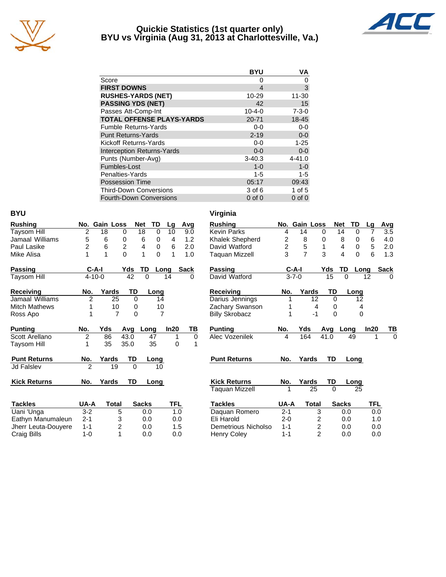

### **Quickie Statistics (1st quarter only) BYU vs Virginia (Aug 31, 2013 at Charlottesville, Va.)**



|                                   | <b>BYU</b>    | ٧A          |
|-----------------------------------|---------------|-------------|
| Score                             | $\mathcal{L}$ | 0           |
| <b>FIRST DOWNS</b>                | 4             | 3           |
| <b>RUSHES-YARDS (NET)</b>         | 10-29         | 11-30       |
| <b>PASSING YDS (NET)</b>          | 42            | 15          |
| Passes Att-Comp-Int               | $10 - 4 - 0$  | $7 - 3 - 0$ |
| <b>TOTAL OFFENSE PLAYS-YARDS</b>  | $20 - 71$     | 18-45       |
| <b>Fumble Returns-Yards</b>       | $0 - 0$       | $0 - 0$     |
| <b>Punt Returns-Yards</b>         | $2 - 19$      | $0 - 0$     |
| Kickoff Returns-Yards             | $0 - 0$       | $1 - 25$    |
| <b>Interception Returns-Yards</b> | $0 - 0$       | $0-0$       |
| Punts (Number-Avg)                | $3 - 40.3$    | $4 - 41.0$  |
| Fumbles-Lost                      | $1 - 0$       | $1 - 0$     |
| Penalties-Yards                   | 1-5           | 1-5         |
| Possession Time                   | 05:17         | 09:43       |
| <b>Third-Down Conversions</b>     | 3 of 6        | 1 of $5$    |
| <b>Fourth-Down Conversions</b>    | $0$ of $0$    | $0$ of $0$  |

| ۰.<br>v<br>× |
|--------------|
|--------------|

Craig Bills

|                      |                |                |                  |                 |                |                |          | v u gmna              |                |                |                |          |              |                  |
|----------------------|----------------|----------------|------------------|-----------------|----------------|----------------|----------|-----------------------|----------------|----------------|----------------|----------|--------------|------------------|
| <b>Rushing</b>       |                | No. Gain Loss  |                  | <b>Net</b>      | TD             | Lg             | Avg      | <b>Rushing</b>        |                | No. Gain Loss  |                |          | <b>Net</b>   | TD               |
| <b>Taysom Hill</b>   | $\overline{2}$ | 18             | $\Omega$         | $\overline{18}$ | $\Omega$       | 10             | 9.0      | <b>Kevin Parks</b>    | 4              | 14             | $\Omega$       |          | 14           | $\Omega$         |
| Jamaal Williams      | 5              | 6              | $\mathbf 0$      | 6               | $\Omega$       | $\overline{4}$ | 1.2      | Khalek Shepherd       | $\overline{2}$ | 8              | 0              |          | 8            | $\mathbf 0$      |
| Paul Lasike          | 2              | $\,6$          | $\boldsymbol{2}$ | 4               | 0              | 6              | 2.0      | David Watford         | $\overline{c}$ | $\mathbf 5$    | 1              |          | 4            | $\boldsymbol{0}$ |
| Mike Alisa           | 1              | 1              | $\Omega$         | 1               | $\Omega$       | 1              | 1.0      | Taquan Mizzell        | 3              | $\overline{7}$ | 3              |          | 4            | $\mathbf 0$      |
| Passing              | $C-A-I$        |                | Yds              | TD              | Long           |                | Sack     | Passing               |                | $C-A-I$        |                | Yds      | TD           | Lo               |
| Taysom Hill          | $4 - 10 - 0$   |                | 42               | $\Omega$        |                | 14             | $\Omega$ | David Watford         |                | $3 - 7 - 0$    |                | 15       | $\Omega$     |                  |
| <b>Receiving</b>     | No.            | Yards          | TD               |                 | Long           |                |          | <b>Receiving</b>      | No.            | Yards          |                | TD       |              | Long             |
| Jamaal Williams      | $\overline{2}$ | 25             | $\Omega$         |                 | 14             |                |          | Darius Jennings       | 1              |                | 12             | $\Omega$ |              | 12               |
| <b>Mitch Mathews</b> |                | 10             | 0                |                 | 10             |                |          | Zachary Swanson       |                |                | 4              | 0        |              |                  |
| Ross Apo             |                | $\overline{7}$ | 0                |                 | $\overline{7}$ |                |          | <b>Billy Skrobacz</b> | 1              |                | $-1$           | 0        |              |                  |
| <b>Punting</b>       | No.            | Yds            | Avq              | Long            |                | In20           | ΤВ       | <b>Punting</b>        | No.            | Yds            |                | Avg      | Long         |                  |
| Scott Arellano       | 2              | 86             | 43.0             | 47              |                | 1              | $\Omega$ | Alec Vozenilek        | 4              | 164            |                | 41.0     |              | 49               |
| Taysom Hill          | 1              | 35             | 35.0             | 35              |                | 0              | 1        |                       |                |                |                |          |              |                  |
| <b>Punt Returns</b>  | No.            | Yards          | TD               |                 | Long           |                |          | <b>Punt Returns</b>   | No.            | Yards          |                | TD       |              | Long             |
| <b>Jd Falslev</b>    | 2              | 19             | $\Omega$         |                 | 10             |                |          |                       |                |                |                |          |              |                  |
| <b>Kick Returns</b>  | No.            | Yards          | TD               |                 | Long           |                |          | <b>Kick Returns</b>   | No.            | Yards          |                | TD       |              | Long             |
|                      |                |                |                  |                 |                |                |          | <b>Taquan Mizzell</b> |                |                | 25             | $\Omega$ |              | 25               |
| <b>Tackles</b>       | UA-A           | <b>Total</b>   |                  | <b>Sacks</b>    |                | <b>TFL</b>     |          | <b>Tackles</b>        | UA-A           |                | <b>Total</b>   |          | <b>Sacks</b> |                  |
| Uani 'Unga           | $3 - 2$        | 5              |                  | 0.0             |                | 1.0            |          | Daquan Romero         | $2 - 1$        |                | 3              |          | 0.0          |                  |
| Eathyn Manumaleun    | $2 - 1$        | 3              |                  | 0.0             |                | 0.0            |          | Eli Harold            | $2 - 0$        |                | 2              |          | 0.0          |                  |
| Jherr Leuta-Douyere  | $1 - 1$        | 2              |                  | 0.0             |                | 1.5            |          | Demetrious Nicholso   | $1 - 1$        |                | $\overline{c}$ |          | 0.0          |                  |
| Craig Bills          | $1 - 0$        |                |                  | 0.0             |                | 0.0            |          | <b>Henry Coley</b>    | $1 - 1$        |                | $\mathfrak{p}$ |          | 0.0          |                  |

| Kevin Parks           | 4              | 14             | 0              | 14           | 0        | 7    | 3.5  |
|-----------------------|----------------|----------------|----------------|--------------|----------|------|------|
| Khalek Shepherd       | 2              | 8              | 0              | 8            | 0        | 6    | 4.0  |
| David Watford         | $\overline{a}$ | 5              | 1              | 4            | 0        | 5    | 2.0  |
| Taquan Mizzell        | 3              | $\overline{7}$ | 3              | 4            | $\Omega$ | 6    | 1.3  |
| Passing               | C-A-I          |                | Yds            | TD           | Long     |      | Sack |
| David Watford         | $3 - 7 - 0$    |                | 15             | 0            |          | 12   | 0    |
| Receiving             | No.            | Yards          | TD             |              | Long     |      |      |
| Darius Jennings       | 1              | 12             | 0              |              | 12       |      |      |
| Zachary Swanson       |                | 4              | 0              |              | 4        |      |      |
| <b>Billy Skrobacz</b> | 1              | -1             | 0              |              | 0        |      |      |
| Punting               | No.            | Yds            | Avg            | Long         |          | In20 | тв   |
| Alec Vozenilek        | 4              | 164            | 41.0           |              | 49       | 1    | 0    |
| <b>Punt Returns</b>   | No.            | Yards          | TD             |              | Long     |      |      |
|                       |                |                |                |              |          |      |      |
| <b>Kick Returns</b>   | No.            | Yards          | TD             |              | Long     |      |      |
| <b>Taquan Mizzell</b> | 1              | 25             | 0              |              | 25       |      |      |
| <b>Tackles</b>        | UA-A           | Total          |                | <b>Sacks</b> |          | TFL  |      |
| Daquan Romero         | $2 - 1$        |                | 3              | 0.0          |          | 0.0  |      |
| Eli Harold            | $2 - 0$        |                | 2              | 0.0          |          | 1.0  |      |
| Demetrious Nicholso   | 1-1            |                | $\overline{2}$ | 0.0          |          | 0.0  |      |

Henry Coley 1-1 2 0.0 0.0

Rushing **No. Gain Loss Net TD Lg Avg** 

### **Virginia**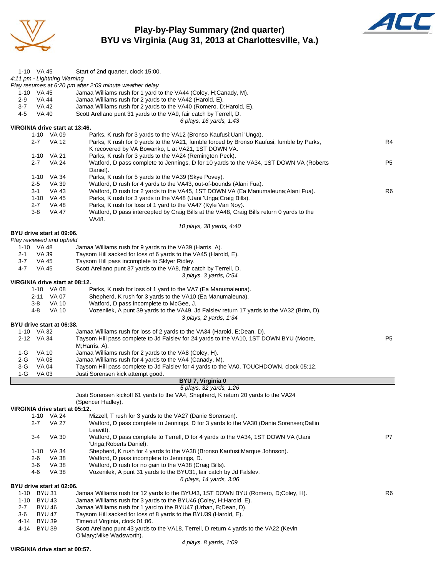

### **Play-by-Play Summary (2nd quarter) BYU vs Virginia (Aug 31, 2013 at Charlottesville, Va.)**



| 1-10 VA 45                     | Start of 2nd quarter, clock 15:00.                                                                                 |                |
|--------------------------------|--------------------------------------------------------------------------------------------------------------------|----------------|
| 4:11 pm - Lightning Warning    |                                                                                                                    |                |
|                                | Play resumes at 6:20 pm after 2:09 minute weather delay                                                            |                |
| 1-10 VA 45                     | Jamaa Williams rush for 1 yard to the VA44 (Coley, H;Canady, M).                                                   |                |
| <b>VA 44</b><br>2-9            | Jamaa Williams rush for 2 yards to the VA42 (Harold, E).                                                           |                |
| $3 - 7$<br>VA 42               | Jamaa Williams rush for 2 yards to the VA40 (Romero, D; Harold, E).                                                |                |
| 4-5<br>VA 40                   | Scott Arellano punt 31 yards to the VA9, fair catch by Terrell, D.                                                 |                |
|                                | 6 plays, 16 yards, 1:43                                                                                            |                |
| VIRGINIA drive start at 13:46. |                                                                                                                    |                |
| 1-10 VA 09                     | Parks, K rush for 3 yards to the VA12 (Bronso Kaufusi; Uani 'Unga).                                                |                |
| $2 - 7$<br><b>VA 12</b>        | Parks, K rush for 9 yards to the VA21, fumble forced by Bronso Kaufusi, fumble by Parks,                           | R4             |
|                                | K recovered by VA Bowanko, L at VA21, 1ST DOWN VA.                                                                 |                |
| 1-10 VA 21                     | Parks, K rush for 3 yards to the VA24 (Remington Peck).                                                            |                |
| $2 - 7$<br><b>VA 24</b>        | Watford, D pass complete to Jennings, D for 10 yards to the VA34, 1ST DOWN VA (Roberts                             | P <sub>5</sub> |
|                                | Daniel).                                                                                                           |                |
| 1-10 VA 34                     | Parks, K rush for 5 yards to the VA39 (Skye Povey).                                                                |                |
| $2 - 5$<br>VA 39               | Watford, D rush for 4 yards to the VA43, out-of-bounds (Alani Fua).                                                |                |
| $3 - 1$<br>VA 43               | Watford, D rush for 2 yards to the VA45, 1ST DOWN VA (Ea Manumaleuna; Alani Fua).                                  | R <sub>6</sub> |
| 1-10 VA 45                     | Parks, K rush for 3 yards to the VA48 (Uani 'Unga; Craig Bills).                                                   |                |
| $2 - 7$<br>VA 48               | Parks, K rush for loss of 1 yard to the VA47 (Kyle Van Noy).                                                       |                |
| $3-8$<br>VA 47                 | Watford, D pass intercepted by Craig Bills at the VA48, Craig Bills return 0 yards to the                          |                |
|                                | VA48.                                                                                                              |                |
|                                | 10 plays, 38 yards, 4:40                                                                                           |                |
| BYU drive start at 09:06.      |                                                                                                                    |                |
| Play reviewed and upheld       |                                                                                                                    |                |
| 1-10 VA 48                     | Jamaa Williams rush for 9 yards to the VA39 (Harris, A).                                                           |                |
| $2 - 1$<br>VA 39               | Taysom Hill sacked for loss of 6 yards to the VA45 (Harold, E).                                                    |                |
| $3 - 7$<br>VA 45               | Taysom Hill pass incomplete to Sklyer Ridley.                                                                      |                |
| $4 - 7$<br>VA 45               | Scott Arellano punt 37 yards to the VA8, fair catch by Terrell, D.                                                 |                |
|                                | 3 plays, 3 yards, 0:54                                                                                             |                |
| VIRGINIA drive start at 08:12. |                                                                                                                    |                |
| 1-10 VA 08                     | Parks, K rush for loss of 1 yard to the VA7 (Ea Manumaleuna).                                                      |                |
| 2-11 VA 07                     | Shepherd, K rush for 3 yards to the VA10 (Ea Manumaleuna).                                                         |                |
|                                |                                                                                                                    |                |
| $3-8$<br><b>VA 10</b>          | Watford, D pass incomplete to McGee, J.                                                                            |                |
| 4-8<br>VA 10                   | Vozenilek, A punt 39 yards to the VA49, Jd Falslev return 17 yards to the VA32 (Brim, D).                          |                |
|                                | 3 plays, 2 yards, 1:34                                                                                             |                |
| BYU drive start at 06:38.      |                                                                                                                    |                |
| 1-10 VA 32                     | Jamaa Williams rush for loss of 2 yards to the VA34 (Harold, E;Dean, D).                                           |                |
| 2-12 VA 34                     | Taysom Hill pass complete to Jd Falslev for 24 yards to the VA10, 1ST DOWN BYU (Moore,                             | P <sub>5</sub> |
|                                | M;Harris, A).                                                                                                      |                |
| <b>VA 10</b><br>1-G            | Jamaa Williams rush for 2 yards to the VA8 (Coley, H).                                                             |                |
| 2-G<br>VA 08                   | Jamaa Williams rush for 4 yards to the VA4 (Canady, M).                                                            |                |
| $3-G$<br>VA 04                 | Taysom Hill pass complete to Jd Falslev for 4 yards to the VA0, TOUCHDOWN, clock 05:12.                            |                |
| $1-G$<br><b>VA 03</b>          | Justi Sorensen kick attempt good                                                                                   |                |
|                                | BYU 7, Virginia 0                                                                                                  |                |
|                                | 5 plays, 32 yards, 1:26                                                                                            |                |
|                                | Justi Sorensen kickoff 61 yards to the VA4, Shepherd, K return 20 yards to the VA24                                |                |
|                                | (Spencer Hadley).                                                                                                  |                |
| VIRGINIA drive start at 05:12. |                                                                                                                    |                |
| 1-10 VA 24                     | Mizzell, T rush for 3 yards to the VA27 (Danie Sorensen).                                                          |                |
| <b>VA 27</b><br>$2 - 7$        | Watford, D pass complete to Jennings, D for 3 yards to the VA30 (Danie Sorensen; Dallin                            |                |
|                                | Leavitt).                                                                                                          |                |
| <b>VA 30</b><br>$3 - 4$        | Watford, D pass complete to Terrell, D for 4 yards to the VA34, 1ST DOWN VA (Uani                                  | P7             |
|                                | 'Unga; Roberts Daniel).                                                                                            |                |
| VA 34<br>$1 - 10$              | Shepherd, K rush for 4 yards to the VA38 (Bronso Kaufusi; Marque Johnson).                                         |                |
| 2-6<br>VA 38                   | Watford, D pass incomplete to Jennings, D.                                                                         |                |
| $3-6$<br><b>VA 38</b>          | Watford, D rush for no gain to the VA38 (Craig Bills).                                                             |                |
| 4-6<br><b>VA 38</b>            | Vozenilek, A punt 31 yards to the BYU31, fair catch by Jd Falslev.                                                 |                |
|                                | 6 plays, 14 yards, 3:06                                                                                            |                |
| BYU drive start at 02:06.      |                                                                                                                    | R6             |
| 1-10 BYU 31                    | Jamaa Williams rush for 12 yards to the BYU43, 1ST DOWN BYU (Romero, D;Coley, H).                                  |                |
| <b>BYU 43</b><br>1-10          | Jamaa Williams rush for 3 yards to the BYU46 (Coley, H; Harold, E).                                                |                |
| $2 - 7$<br><b>BYU 46</b>       | Jamaa Williams rush for 1 yard to the BYU47 (Urban, B;Dean, D).                                                    |                |
| <b>BYU 47</b><br>3-6           | Taysom Hill sacked for loss of 8 yards to the BYU39 (Harold, E).                                                   |                |
| 4-14 BYU 39                    | Timeout Virginia, clock 01:06.                                                                                     |                |
| <b>BYU 39</b><br>4-14          | Scott Arellano punt 43 yards to the VA18, Terrell, D return 4 yards to the VA22 (Kevin<br>O'Mary; Mike Wadsworth). |                |

### **VIRGINIA drive start at 00:57.**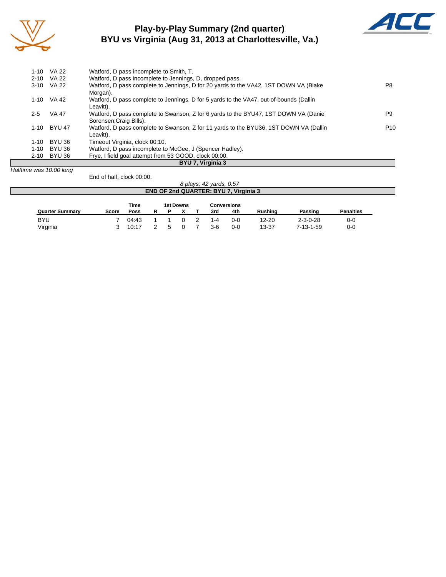

### **Play-by-Play Summary (2nd quarter) BYU vs Virginia (Aug 31, 2013 at Charlottesville, Va.)**



| $1 - 10$                | VA 22       | Watford, D pass incomplete to Smith, T.                                                |                 |
|-------------------------|-------------|----------------------------------------------------------------------------------------|-----------------|
|                         | 2-10 VA 22  | Watford, D pass incomplete to Jennings, D, dropped pass.                               |                 |
|                         | 3-10 VA 22  | Watford, D pass complete to Jennings, D for 20 yards to the VA42, 1ST DOWN VA (Blake)  | P8              |
|                         |             | Morgan).                                                                               |                 |
|                         | 1-10 VA 42  | Watford, D pass complete to Jennings, D for 5 yards to the VA47, out-of-bounds (Dallin |                 |
|                         |             | Leavitt).                                                                              |                 |
| $2 - 5$                 | VA 47       | Watford, D pass complete to Swanson, Z for 6 yards to the BYU47, 1ST DOWN VA (Danie    | P9              |
|                         |             | Sorensen; Craig Bills).                                                                |                 |
|                         | 1-10 BYU 47 | Watford, D pass complete to Swanson, Z for 11 yards to the BYU36, 1ST DOWN VA (Dallin  | P <sub>10</sub> |
|                         |             | Leavitt).                                                                              |                 |
| $1 - 10$                | BYU 36      | Timeout Virginia, clock 00:10.                                                         |                 |
| $1 - 10$                | BYU 36      | Watford, D pass incomplete to McGee, J (Spencer Hadley).                               |                 |
|                         | 2-10 BYU 36 | Frye, I field goal attempt from 53 GOOD, clock 00:00.                                  |                 |
|                         |             | BYU 7, Virginia 3                                                                      |                 |
| Halftime was 10:00 long |             |                                                                                        |                 |

End of half, clock 00:00.

|                        |       |             |   |           | 8 plays, 42 yards, 0:57 |                                              |                |                   |                  |
|------------------------|-------|-------------|---|-----------|-------------------------|----------------------------------------------|----------------|-------------------|------------------|
|                        |       |             |   |           |                         | <b>END OF 2nd QUARTER: BYU 7, Virginia 3</b> |                |                   |                  |
|                        |       | <b>Time</b> |   | 1st Downs |                         | Conversions                                  |                |                   |                  |
| <b>Quarter Summary</b> | Score | Poss        | P |           | 3rd                     | 4th                                          | <b>Rushing</b> | Passing           | <b>Penalties</b> |
| <b>BYU</b>             |       | 04:43       |   |           | -4                      | $0 - 0$                                      | 12-20          | $2 - 3 - 0 - 28$  | $0 - 0$          |
| Virginia               |       | 10:17       |   |           | 3-6                     | $0 - 0$                                      | 13-37          | $7 - 13 - 1 - 59$ | $0 - 0$          |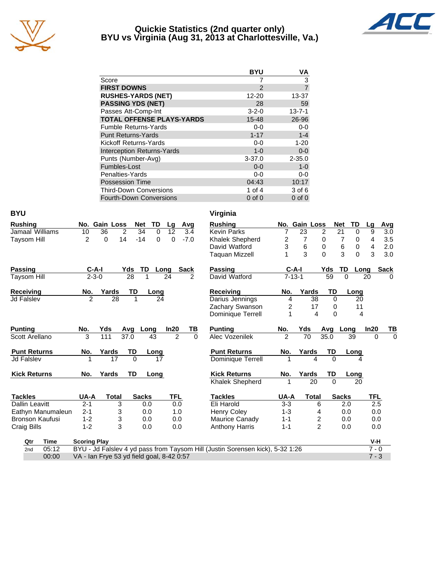

### **Quickie Statistics (2nd quarter only) BYU vs Virginia (Aug 31, 2013 at Charlottesville, Va.)**



|                                   | <b>BYU</b>    | ٧Α             |
|-----------------------------------|---------------|----------------|
| Score                             |               | 3              |
| <b>FIRST DOWNS</b>                | $\mathcal{P}$ | $\overline{7}$ |
| <b>RUSHES-YARDS (NET)</b>         | 12-20         | 13-37          |
| <b>PASSING YDS (NET)</b>          | 28            | 59             |
| Passes Att-Comp-Int               | $3 - 2 - 0$   | $13 - 7 - 1$   |
| <b>TOTAL OFFENSE PLAYS-YARDS</b>  | $15 - 48$     | 26-96          |
| <b>Fumble Returns-Yards</b>       | $0-0$         | $0 - 0$        |
| <b>Punt Returns-Yards</b>         | $1 - 17$      | $1 - 4$        |
| Kickoff Returns-Yards             | $0-0$         | $1 - 20$       |
| <b>Interception Returns-Yards</b> | $1 - 0$       | $0 - 0$        |
| Punts (Number-Avg)                | $3 - 37.0$    | $2 - 35.0$     |
| Fumbles-Lost                      | $0 - 0$       | $1-0$          |
| Penalties-Yards                   | $0-0$         | 0-0            |
| <b>Possession Time</b>            | 04:43         | 10:17          |
| <b>Third-Down Conversions</b>     | 1 of $4$      | 3 of 6         |
| <b>Fourth-Down Conversions</b>    | $0$ of $0$    | $0$ of $0$     |

| <b>BYU</b>             |                     |                                           |                  |             |                 |          | Virginia                                                                      |                         |               |                         |             |                      |                |                      |
|------------------------|---------------------|-------------------------------------------|------------------|-------------|-----------------|----------|-------------------------------------------------------------------------------|-------------------------|---------------|-------------------------|-------------|----------------------|----------------|----------------------|
| <b>Rushing</b>         |                     | No. Gain Loss                             | <b>Net</b>       | <b>TD</b>   | Lg              | Avg      | <b>Rushing</b>                                                                |                         | No. Gain Loss |                         |             | TD<br><b>Net</b>     | Lg             | Avg                  |
| Jamaal Williams        | 10                  | 36<br>$\overline{2}$                      | 34               | $\mathbf 0$ | $\overline{12}$ | 3.4      | <b>Kevin Parks</b>                                                            | 7                       | 23            | $\overline{c}$          |             | $\overline{21}$<br>0 | 9              | 3.0                  |
| <b>Taysom Hill</b>     | $\overline{2}$      | $\Omega$<br>14                            | $-14$            | $\Omega$    | $\Omega$        | $-7.0$   | Khalek Shepherd                                                               | $\overline{\mathbf{c}}$ | 7             | 0                       |             | 7<br>0               | $\overline{4}$ | $3.5\,$              |
|                        |                     |                                           |                  |             |                 |          | David Watford                                                                 | 3                       | 6             | 0                       |             | 6                    | 4<br>0         | 2.0                  |
|                        |                     |                                           |                  |             |                 |          | <b>Taquan Mizzell</b>                                                         |                         | 3             | $\Omega$                |             | 3                    | $\Omega$<br>3  | 3.0                  |
| Passing                | $C-A-I$             |                                           | Yds<br><b>TD</b> | Long        |                 | Sack     | <b>Passing</b>                                                                |                         | $C-A-I$       |                         | Yds         | TD                   | Long           | <b>Sack</b>          |
| Taysom Hill            | $2 - 3 - 0$         |                                           | 28               | 1           | 24              | 2        | David Watford                                                                 |                         | $7 - 13 - 1$  |                         | 59          | $\Omega$             | 20             | $\Omega$             |
| <b>Receiving</b>       | No.                 | Yards                                     | TD               | Long        |                 |          | <b>Receiving</b>                                                              | No.                     | Yards         |                         | TD          | Long                 |                |                      |
| <b>Jd Falslev</b>      | $\mathcal{P}$       | 28                                        | 1                | 24          |                 |          | Darius Jennings                                                               | 4                       |               | 38                      | $\mathbf 0$ |                      | 20             |                      |
|                        |                     |                                           |                  |             |                 |          | Zachary Swanson                                                               | 2                       |               | 17                      | $\Omega$    |                      | 11             |                      |
|                        |                     |                                           |                  |             |                 |          | Dominique Terrell                                                             | 1                       |               | 4                       | $\Omega$    |                      | 4              |                      |
| <b>Punting</b>         | No.                 | Yds                                       | Avq              | Long        | In20            | ΤВ       | <b>Punting</b>                                                                | No.                     | Yds           |                         | Avq         | Long                 | In20           | TВ                   |
| Scott Arellano         | 3                   | 111                                       | 37.0             | 43          | $\overline{2}$  | $\Omega$ | Alec Vozenilek                                                                | $\overline{2}$          | 70            |                         | 35.0        | 39                   |                | $\Omega$<br>$\Omega$ |
| <b>Punt Returns</b>    | No.                 | Yards                                     | TD               | Long        |                 |          | <b>Punt Returns</b>                                                           | No.                     | Yards         |                         | TD          | Long                 |                |                      |
| <b>Jd Falslev</b>      |                     | 17                                        | $\Omega$         | 17          |                 |          | Dominique Terrell                                                             |                         |               | 4                       | $\Omega$    |                      | Δ              |                      |
| <b>Kick Returns</b>    | No.                 | Yards                                     | <b>TD</b>        | Long        |                 |          | <b>Kick Returns</b>                                                           | No.                     | Yards         |                         | TD          | Long                 |                |                      |
|                        |                     |                                           |                  |             |                 |          | Khalek Shepherd                                                               |                         |               | 20                      | $\Omega$    |                      | 20             |                      |
| <b>Tackles</b>         | UA-A                | <b>Total</b>                              | <b>Sacks</b>     |             | <b>TFL</b>      |          | <b>Tackles</b>                                                                | UA-A                    |               | <b>Total</b>            |             | <b>Sacks</b>         | TFL            |                      |
| Dallin Leavitt         | $2 - 1$             | 3                                         |                  | 0.0         | 0.0             |          | Eli Harold                                                                    | $3 - 3$                 |               | 6                       |             | 2.0                  |                | 2.5                  |
| Eathyn Manumaleun      | $2 - 1$             | 3                                         |                  | 0.0         | 1.0             |          | <b>Henry Coley</b>                                                            | $1 - 3$                 |               | 4                       |             | 0.0                  |                | 0.0                  |
| <b>Bronson Kaufusi</b> | $1 - 2$             | 3                                         |                  | 0.0         | 0.0             |          | Maurice Canady                                                                | $1 - 1$                 |               | $\overline{\mathbf{c}}$ |             | 0.0                  |                | 0.0                  |
| <b>Craig Bills</b>     | $1 - 2$             | 3                                         |                  | 0.0         | 0.0             |          | <b>Anthony Harris</b>                                                         | $1 - 1$                 |               | $\overline{2}$          |             | 0.0                  |                | 0.0                  |
| Time<br>Qtr            | <b>Scoring Play</b> |                                           |                  |             |                 |          |                                                                               |                         |               |                         |             |                      | V-H            |                      |
| 05:12<br>2nd           |                     |                                           |                  |             |                 |          | BYU - Jd Falslev 4 yd pass from Taysom Hill (Justin Sorensen kick), 5-32 1:26 |                         |               |                         |             |                      | $7 - 0$        |                      |
| 00:00                  |                     | VA - Ian Frye 53 yd field goal, 8-42 0:57 |                  |             |                 |          |                                                                               |                         |               |                         |             |                      | $7 - 3$        |                      |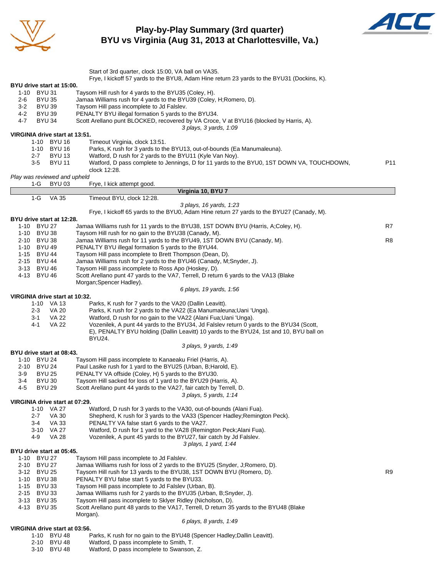

### **Play-by-Play Summary (3rd quarter) BYU vs Virginia (Aug 31, 2013 at Charlottesville, Va.)**



|                                                        | Start of 3rd quarter, clock 15:00, VA ball on VA35.<br>Frye, I kickoff 57 yards to the BYU8, Adam Hine return 23 yards to the BYU31 (Dockins, K).     |     |
|--------------------------------------------------------|-------------------------------------------------------------------------------------------------------------------------------------------------------|-----|
| BYU drive start at 15:00.                              |                                                                                                                                                       |     |
| 1-10 BYU 31                                            | Taysom Hill rush for 4 yards to the BYU35 (Coley, H).                                                                                                 |     |
| $2 - 6$<br><b>BYU 35</b><br>$3-2$<br><b>BYU 39</b>     | Jamaa Williams rush for 4 yards to the BYU39 (Coley, H;Romero, D).<br>Taysom Hill pass incomplete to Jd Falslev.                                      |     |
| $4 - 2$<br><b>BYU 39</b>                               | PENALTY BYU illegal formation 5 yards to the BYU34.                                                                                                   |     |
| $4 - 7$<br><b>BYU 34</b>                               | Scott Arellano punt BLOCKED, recovered by VA Croce, V at BYU16 (blocked by Harris, A).                                                                |     |
| VIRGINIA drive start at 13:51.                         | 3 plays, 3 yards, 1:09                                                                                                                                |     |
| 1-10 BYU 16                                            | Timeout Virginia, clock 13:51.                                                                                                                        |     |
| 1-10 BYU 16                                            | Parks, K rush for 3 yards to the BYU13, out-of-bounds (Ea Manumaleuna).                                                                               |     |
| <b>BYU 13</b><br>$2 - 7$<br>$3-5$<br><b>BYU 11</b>     | Watford, D rush for 2 yards to the BYU11 (Kyle Van Noy).<br>Watford, D pass complete to Jennings, D for 11 yards to the BYU0, 1ST DOWN VA, TOUCHDOWN, | P11 |
|                                                        | clock 12:28.                                                                                                                                          |     |
| Play was reviewed and upheld                           |                                                                                                                                                       |     |
| 1-G<br><b>BYU 03</b>                                   | Frye, I kick attempt good.<br>Virginia 10, BYU 7                                                                                                      |     |
| $1-G$<br><b>VA 35</b>                                  | Timeout BYU, clock 12:28.                                                                                                                             |     |
|                                                        | 3 plays, 16 yards, 1:23                                                                                                                               |     |
|                                                        | Frye, I kickoff 65 yards to the BYU0, Adam Hine return 27 yards to the BYU27 (Canady, M).                                                             |     |
| BYU drive start at 12:28.<br>1-10 BYU 27               | Jamaa Williams rush for 11 yards to the BYU38, 1ST DOWN BYU (Harris, A;Coley, H).                                                                     | R7  |
| 1-10 BYU 38                                            | Taysom Hill rush for no gain to the BYU38 (Canady, M).                                                                                                |     |
| 2-10 BYU 38                                            | Jamaa Williams rush for 11 yards to the BYU49, 1ST DOWN BYU (Canady, M).                                                                              | R8  |
| 1-10 BYU 49<br>1-15 BYU 44                             | PENALTY BYU illegal formation 5 yards to the BYU44.<br>Taysom Hill pass incomplete to Brett Thompson (Dean, D).                                       |     |
| 2-15 BYU 44                                            | Jamaa Williams rush for 2 yards to the BYU46 (Canady, M;Snyder, J).                                                                                   |     |
| 3-13 BYU 46                                            | Taysom Hill pass incomplete to Ross Apo (Hoskey, D).                                                                                                  |     |
| 4-13 BYU 46                                            | Scott Arellano punt 47 yards to the VA7, Terrell, D return 6 yards to the VA13 (Blake<br>Morgan; Spencer Hadley).                                     |     |
|                                                        | 6 plays, 19 yards, 1:56                                                                                                                               |     |
| VIRGINIA drive start at 10:32.                         |                                                                                                                                                       |     |
| 1-10 VA 13<br>$2 - 3$                                  | Parks, K rush for 7 yards to the VA20 (Dallin Leavitt).                                                                                               |     |
| VA 20<br>VA 22<br>3-1                                  | Parks, K rush for 2 yards to the VA22 (Ea Manumaleuna; Uani 'Unga).<br>Watford, D rush for no gain to the VA22 (Alani Fua; Uani 'Unga).               |     |
| $4 - 1$<br>VA 22                                       | Vozenilek, A punt 44 yards to the BYU34, Jd Falslev return 0 yards to the BYU34 (Scott,                                                               |     |
|                                                        | E), PENALTY BYU holding (Dallin Leavitt) 10 yards to the BYU24, 1st and 10, BYU ball on                                                               |     |
|                                                        | BYU24.<br>3 plays, 9 yards, 1:49                                                                                                                      |     |
| BYU drive start at 08:43.                              |                                                                                                                                                       |     |
| 1-10 BYU 24                                            | Taysom Hill pass incomplete to Kanaeaku Friel (Harris, A).                                                                                            |     |
| 2-10 BYU 24<br>3-9<br><b>BYU 25</b>                    | Paul Lasike rush for 1 yard to the BYU25 (Urban, B; Harold, E).<br>PENALTY VA offside (Coley, H) 5 yards to the BYU30.                                |     |
| <b>BYU 30</b><br>3-4                                   | Taysom Hill sacked for loss of 1 yard to the BYU29 (Harris, A).                                                                                       |     |
| <b>BYU 29</b><br>$4 - 5$                               | Scott Arellano punt 44 yards to the VA27, fair catch by Terrell, D.                                                                                   |     |
| VIRGINIA drive start at 07:29.                         | 3 plays, 5 yards, 1:14                                                                                                                                |     |
| 1-10 VA 27                                             | Watford, D rush for 3 yards to the VA30, out-of-bounds (Alani Fua).                                                                                   |     |
| <b>VA 30</b><br>$2 - 7$                                | Shepherd, K rush for 3 yards to the VA33 (Spencer Hadley; Remington Peck).                                                                            |     |
| <b>VA 33</b><br>3-4<br>3-10 VA 27                      | PENALTY VA false start 6 yards to the VA27.<br>Watford, D rush for 1 yard to the VA28 (Remington Peck; Alani Fua).                                    |     |
| 4-9<br>VA 28                                           | Vozenilek, A punt 45 yards to the BYU27, fair catch by Jd Falslev.                                                                                    |     |
|                                                        | 3 plays, 1 yard, 1:44                                                                                                                                 |     |
| BYU drive start at 05:45.<br>1-10 BYU 27               | Taysom Hill pass incomplete to Jd Falslev.                                                                                                            |     |
| 2-10 BYU 27                                            | Jamaa Williams rush for loss of 2 yards to the BYU25 (Snyder, J;Romero, D).                                                                           |     |
| 3-12 BYU 25                                            | Taysom Hill rush for 13 yards to the BYU38, 1ST DOWN BYU (Romero, D).                                                                                 | R9  |
| $1 - 10$<br><b>BYU 38</b>                              | PENALTY BYU false start 5 yards to the BYU33.                                                                                                         |     |
| $1 - 15$<br><b>BYU 33</b><br>$2 - 15$<br><b>BYU 33</b> | Taysom Hill pass incomplete to Jd Falslev (Urban, B).<br>Jamaa Williams rush for 2 yards to the BYU35 (Urban, B;Snyder, J).                           |     |
| 3-13 BYU 35                                            | Taysom Hill pass incomplete to Sklyer Ridley (Nicholson, D).                                                                                          |     |
| 4-13 BYU 35                                            | Scott Arellano punt 48 yards to the VA17, Terrell, D return 35 yards to the BYU48 (Blake                                                              |     |
|                                                        | Morgan).<br>6 plays, 8 yards, 1:49                                                                                                                    |     |
| VIRGINIA drive start at 03:56.                         |                                                                                                                                                       |     |
| 1-10 BYU 48                                            | Parks, K rush for no gain to the BYU48 (Spencer Hadley; Dallin Leavitt).                                                                              |     |

2-10 BYU 48 Watford, D pass incomplete to Smith, T. 3-10 BYU 48 Watford, D pass incomplete to Swanson, Z.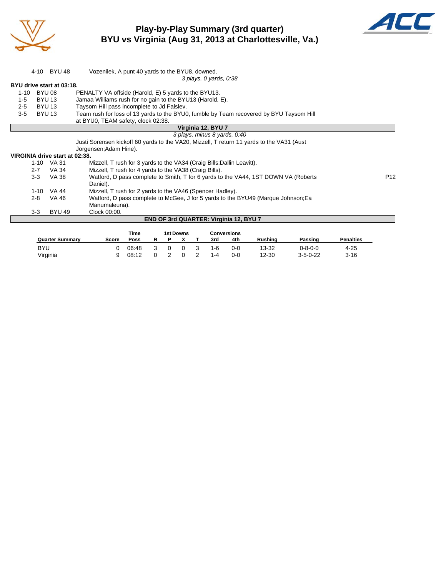

**Play-by-Play Summary (3rd quarter) BYU vs Virginia (Aug 31, 2013 at Charlottesville, Va.)**



|          |         | 4-10 BYU 48                    | Vozenilek, A punt 40 yards to the BYU8, downed.                                           |             |   |           |   |                                        |     |                                                                                    |                |                  |                 |
|----------|---------|--------------------------------|-------------------------------------------------------------------------------------------|-------------|---|-----------|---|----------------------------------------|-----|------------------------------------------------------------------------------------|----------------|------------------|-----------------|
|          |         |                                |                                                                                           |             |   |           |   | 3 plays, 0 yards, 0:38                 |     |                                                                                    |                |                  |                 |
|          |         | BYU drive start at 03:18.      |                                                                                           |             |   |           |   |                                        |     |                                                                                    |                |                  |                 |
| $1 - 10$ |         | <b>BYU 08</b>                  | PENALTY VA offside (Harold, E) 5 yards to the BYU13.                                      |             |   |           |   |                                        |     |                                                                                    |                |                  |                 |
| $1 - 5$  |         | <b>BYU 13</b>                  | Jamaa Williams rush for no gain to the BYU13 (Harold, E).                                 |             |   |           |   |                                        |     |                                                                                    |                |                  |                 |
| $2 - 5$  |         | <b>BYU 13</b>                  | Taysom Hill pass incomplete to Jd Falsley.                                                |             |   |           |   |                                        |     |                                                                                    |                |                  |                 |
| $3-5$    |         | <b>BYU 13</b>                  | Team rush for loss of 13 yards to the BYU0, fumble by Team recovered by BYU Taysom Hill   |             |   |           |   |                                        |     |                                                                                    |                |                  |                 |
|          |         |                                | at BYU0, TEAM safety, clock 02:38.                                                        |             |   |           |   |                                        |     |                                                                                    |                |                  |                 |
|          |         |                                |                                                                                           |             |   |           |   | Virginia 12, BYU 7                     |     |                                                                                    |                |                  |                 |
|          |         |                                |                                                                                           |             |   |           |   | 3 plays, minus 8 yards, 0:40           |     |                                                                                    |                |                  |                 |
|          |         |                                | Justi Sorensen kickoff 60 yards to the VA20, Mizzell, T return 11 yards to the VA31 (Aust |             |   |           |   |                                        |     |                                                                                    |                |                  |                 |
|          |         |                                | Jorgensen; Adam Hine).                                                                    |             |   |           |   |                                        |     |                                                                                    |                |                  |                 |
|          |         | VIRGINIA drive start at 02:38. |                                                                                           |             |   |           |   |                                        |     |                                                                                    |                |                  |                 |
|          |         | 1-10 VA 31                     | Mizzell, T rush for 3 yards to the VA34 (Craig Bills; Dallin Leavitt).                    |             |   |           |   |                                        |     |                                                                                    |                |                  |                 |
|          | $2 - 7$ | VA 34                          | Mizzell, T rush for 4 yards to the VA38 (Craig Bills).                                    |             |   |           |   |                                        |     |                                                                                    |                |                  |                 |
|          | 3-3     | VA 38                          |                                                                                           |             |   |           |   |                                        |     | Watford, D pass complete to Smith, T for 6 yards to the VA44, 1ST DOWN VA (Roberts |                |                  | P <sub>12</sub> |
|          |         |                                | Daniel).                                                                                  |             |   |           |   |                                        |     |                                                                                    |                |                  |                 |
|          | 1-10    | VA 44                          | Mizzell, T rush for 2 yards to the VA46 (Spencer Hadley).                                 |             |   |           |   |                                        |     |                                                                                    |                |                  |                 |
|          | $2 - 8$ | VA 46                          |                                                                                           |             |   |           |   |                                        |     | Watford, D pass complete to McGee, J for 5 yards to the BYU49 (Marque Johnson; Ea  |                |                  |                 |
|          |         |                                | Manumaleuna).                                                                             |             |   |           |   |                                        |     |                                                                                    |                |                  |                 |
|          | $3 - 3$ | <b>BYU 49</b>                  | Clock 00:00.                                                                              |             |   |           |   |                                        |     |                                                                                    |                |                  |                 |
|          |         |                                |                                                                                           |             |   |           |   | END OF 3rd QUARTER: Virginia 12, BYU 7 |     |                                                                                    |                |                  |                 |
|          |         |                                |                                                                                           |             |   |           |   |                                        |     |                                                                                    |                |                  |                 |
|          |         |                                |                                                                                           | <b>Time</b> |   | 1st Downs |   | <b>Conversions</b>                     |     |                                                                                    |                |                  |                 |
|          |         | <b>Quarter Summary</b>         | <b>Score</b>                                                                              | <b>Poss</b> | R | P         | х | 3rd                                    | 4th | <b>Rushing</b>                                                                     | <b>Passing</b> | <b>Penalties</b> |                 |

BYU 0 06:48 3 0 0 3 1-6 0-0 13-32 0-8-0-0 4-25 Virginia 9 08:12 0 2 0 2 1-4 0-0 12-30 3-5-0-22 3-16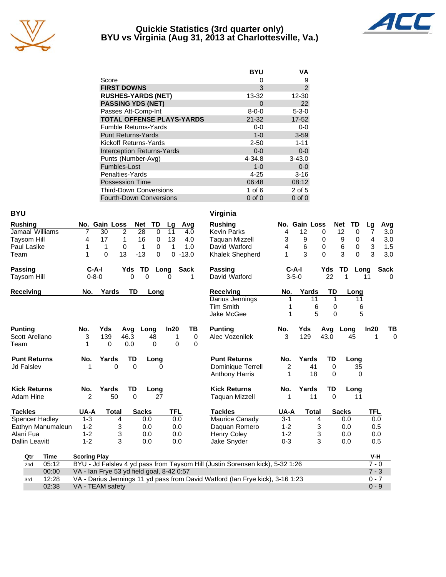

### **Quickie Statistics (3rd quarter only) BYU vs Virginia (Aug 31, 2013 at Charlottesville, Va.)**



| <b>BYU</b>  | ٧A             |
|-------------|----------------|
| $\Omega$    | 9              |
| 3           | $\overline{2}$ |
| 13-32       | $12 - 30$      |
| $\Omega$    | 22             |
| $8 - 0 - 0$ | $5 - 3 - 0$    |
| $21 - 32$   | $17 - 52$      |
| $0-0$       | $0-0$          |
| $1 - 0$     | $3 - 59$       |
| $2 - 50$    | $1 - 11$       |
| $0 - 0$     | $0 - 0$        |
| 4-34.8      | $3 - 43.0$     |
| $1 - 0$     | $0 - 0$        |
| $4 - 25$    | $3 - 16$       |
| 06:48       | 08:12          |
| 1 of $6$    | $2$ of $5$     |
| $0$ of $0$  | $0$ of $0$     |
|             |                |

| <b>BYU</b>     |                     |                     |                                           |                |                   |              |             | Virginia                                                                      |                |               |                 |                         |            |                |
|----------------|---------------------|---------------------|-------------------------------------------|----------------|-------------------|--------------|-------------|-------------------------------------------------------------------------------|----------------|---------------|-----------------|-------------------------|------------|----------------|
| <b>Rushing</b> |                     |                     | No. Gain Loss                             |                | TD<br><b>Net</b>  | Lg           | Avg         | <b>Rushing</b>                                                                |                | No. Gain Loss |                 | <b>TD</b><br><b>Net</b> | Lq         | Avg            |
|                | Jamaal Williams     | 7                   | 30                                        | $\overline{2}$ | 28<br>$\mathbf 0$ | 11           | 4.0         | <b>Kevin Parks</b>                                                            | 4              | 12            | 0               | $\overline{12}$<br>0    | 7          | 3.0            |
|                | <b>Taysom Hill</b>  | 4                   | 17                                        | 1              | 16<br>0           | 13           | 4.0         | <b>Taquan Mizzell</b>                                                         | 3              | 9             | 0               | 9<br>0                  | 4          | 3.0            |
|                | Paul Lasike         | 1                   | 1                                         | $\mathbf 0$    | $\mathbf{1}$<br>0 | $\mathbf{1}$ | 1.0         | David Watford                                                                 | 4              | 6             | $\mathbf 0$     | 6<br>0                  | 3          | 1.5            |
| Team           |                     | 1                   | $\Omega$<br>13                            |                | $-13$<br>$\Omega$ |              | $0 - 13.0$  | Khalek Shepherd                                                               | 1              | 3             | $\Omega$        | 3<br>$\Omega$           | 3          | 3.0            |
| <b>Passing</b> |                     | $C-A-I$             |                                           | Yds            | TD                | Long         | <b>Sack</b> | Passing                                                                       |                | $C-A-I$       | Yds             | TD                      | Long       | <b>Sack</b>    |
|                | <b>Taysom Hill</b>  | $0 - 8 - 0$         |                                           | 0              | $\overline{0}$    | $\Omega$     | 1           | David Watford                                                                 |                | $3 - 5 - 0$   | $\overline{22}$ |                         | 11         | $\Omega$       |
| Receiving      |                     | No.                 | Yards                                     | TD             | Long              |              |             | Receiving                                                                     | No.            | Yards         | <b>TD</b>       | Long                    |            |                |
|                |                     |                     |                                           |                |                   |              |             | Darius Jennings                                                               | 1              | 11            | 1               | 11                      |            |                |
|                |                     |                     |                                           |                |                   |              |             | <b>Tim Smith</b>                                                              | 1              | 6             | 0               |                         | 6          |                |
|                |                     |                     |                                           |                |                   |              |             | Jake McGee                                                                    | 1              | 5             | $\Omega$        |                         | 5          |                |
| <b>Punting</b> |                     | No.                 | Yds                                       | Avg            | Long              | In20         | ТВ          | <b>Punting</b>                                                                | No.            | Yds           | Avg             | Long                    | In20       | TB             |
|                | Scott Arellano      | 3                   | 139                                       | 46.3           | 48                | 1            | $\mathbf 0$ | Alec Vozenilek                                                                | 3              | 129           | 43.0            | 45                      | 1          | $\overline{0}$ |
| Team           |                     | 1                   | 0                                         | 0.0            | $\mathbf 0$       | $\mathbf 0$  | $\mathbf 0$ |                                                                               |                |               |                 |                         |            |                |
|                | <b>Punt Returns</b> | No.                 | Yards                                     | TD             | Long              |              |             | <b>Punt Returns</b>                                                           | No.            | Yards         | TD              | Long                    |            |                |
|                | <b>Jd Falslev</b>   |                     | $\Omega$                                  | $\Omega$       |                   | 0            |             | Dominique Terrell                                                             | $\overline{2}$ | 41            | $\Omega$        | 35                      |            |                |
|                |                     |                     |                                           |                |                   |              |             | <b>Anthony Harris</b>                                                         | 1              | 18            | 0               |                         | 0          |                |
|                | <b>Kick Returns</b> | No.                 | Yards                                     | TD             | Long              |              |             | <b>Kick Returns</b>                                                           | No.            | Yards         | TD              | Long                    |            |                |
|                | Adam Hine           | $\overline{2}$      | $\overline{50}$                           | $\Omega$       | $\overline{27}$   |              |             | <b>Taquan Mizzell</b>                                                         |                | 11            | $\Omega$        | 11                      |            |                |
| <b>Tackles</b> |                     | UA-A                | <b>Total</b>                              |                | <b>Sacks</b>      | <b>TFL</b>   |             | <b>Tackles</b>                                                                | UA-A           | <b>Total</b>  |                 | <b>Sacks</b>            | <b>TFL</b> |                |
|                | Spencer Hadley      | $1 - 3$             | 4                                         |                | 0.0               | 0.0          |             | Maurice Canady                                                                | $3 - 1$        | 4             |                 | 0.0                     | 0.0        |                |
|                | Eathyn Manumaleun   | $1 - 2$             | 3                                         |                | 0.0               | 0.0          |             | Daquan Romero                                                                 | $1 - 2$        | 3             |                 | 0.0                     | 0.5        |                |
| Alani Fua      |                     | $1 - 2$             | 3                                         |                | 0.0               | 0.0          |             | <b>Henry Coley</b>                                                            | $1 - 2$        | 3             |                 | 0.0                     | 0.0        |                |
|                | Dallin Leavitt      | $1 - 2$             | 3                                         |                | 0.0               | 0.0          |             | Jake Snyder                                                                   | $0 - 3$        | 3             |                 | 0.0                     | 0.5        |                |
|                | Time<br>Qtr         | <b>Scoring Play</b> |                                           |                |                   |              |             |                                                                               |                |               |                 |                         | V-H        |                |
|                | 05:12<br>2nd        |                     |                                           |                |                   |              |             | BYU - Jd Falslev 4 yd pass from Taysom Hill (Justin Sorensen kick), 5-32 1:26 |                |               |                 |                         | $7 - 0$    |                |
|                | 00:00               |                     | VA - Ian Frye 53 yd field goal, 8-42 0:57 |                |                   |              |             |                                                                               |                |               |                 |                         | $7 - 3$    |                |
|                | 12:28<br>3rd        |                     |                                           |                |                   |              |             | VA - Darius Jennings 11 yd pass from David Watford (Ian Frye kick), 3-16 1:23 |                |               |                 |                         | $0 - 7$    |                |
|                | 02:38               |                     | VA - TEAM safety                          |                |                   |              |             |                                                                               |                |               |                 |                         | $0 - 9$    |                |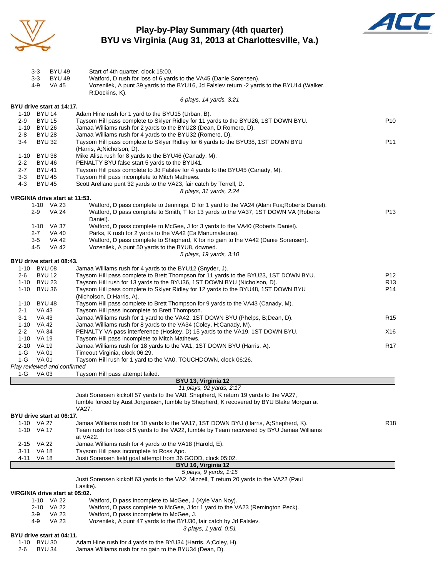

### **Play-by-Play Summary (4th quarter) BYU vs Virginia (Aug 31, 2013 at Charlottesville, Va.)**



|                    | <b>BYU 49</b><br>3-3           | Start of 4th quarter, clock 15:00.                                                                                             |                 |
|--------------------|--------------------------------|--------------------------------------------------------------------------------------------------------------------------------|-----------------|
|                    | $3 - 3$<br><b>BYU 49</b>       | Watford, D rush for loss of 6 yards to the VA45 (Danie Sorensen).                                                              |                 |
|                    | 4-9<br><b>VA 45</b>            | Vozenilek, A punt 39 yards to the BYU16, Jd Falslev return -2 yards to the BYU14 (Walker,                                      |                 |
|                    |                                | R;Dockins, K).<br>6 plays, 14 yards, 3:21                                                                                      |                 |
|                    | BYU drive start at 14:17.      |                                                                                                                                |                 |
|                    | 1-10 BYU 14                    | Adam Hine rush for 1 yard to the BYU15 (Urban, B).                                                                             |                 |
| $2-9$              | <b>BYU 15</b>                  | Taysom Hill pass complete to Sklyer Ridley for 11 yards to the BYU26, 1ST DOWN BYU.                                            | P <sub>10</sub> |
|                    | 1-10 BYU 26                    | Jamaa Williams rush for 2 yards to the BYU28 (Dean, D;Romero, D).                                                              |                 |
| $2 - 8$            | <b>BYU 28</b>                  | Jamaa Williams rush for 4 yards to the BYU32 (Romero, D).                                                                      |                 |
| $3-4$              | <b>BYU 32</b>                  | Taysom Hill pass complete to Sklyer Ridley for 6 yards to the BYU38, 1ST DOWN BYU                                              | P11             |
|                    |                                | (Harris, A;Nicholson, D).                                                                                                      |                 |
|                    | 1-10 BYU 38                    | Mike Alisa rush for 8 yards to the BYU46 (Canady, M).                                                                          |                 |
| $2 - 2$<br>$2 - 7$ | <b>BYU 46</b><br><b>BYU 41</b> | PENALTY BYU false start 5 yards to the BYU41.<br>Taysom Hill pass complete to Jd Falslev for 4 yards to the BYU45 (Canady, M). |                 |
| $3 - 3$            | <b>BYU 45</b>                  | Taysom Hill pass incomplete to Mitch Mathews.                                                                                  |                 |
| 4-3                | <b>BYU 45</b>                  | Scott Arellano punt 32 yards to the VA23, fair catch by Terrell, D.                                                            |                 |
|                    |                                | 8 plays, 31 yards, 2:24                                                                                                        |                 |
|                    | VIRGINIA drive start at 11:53. |                                                                                                                                |                 |
|                    | 1-10 VA 23                     | Watford, D pass complete to Jennings, D for 1 yard to the VA24 (Alani Fua; Roberts Daniel).                                    |                 |
|                    | $2-9$<br><b>VA 24</b>          | Watford, D pass complete to Smith, T for 13 yards to the VA37, 1ST DOWN VA (Roberts                                            | P <sub>13</sub> |
|                    |                                | Daniel).                                                                                                                       |                 |
|                    | 1-10 VA 37                     | Watford, D pass complete to McGee, J for 3 yards to the VA40 (Roberts Daniel).                                                 |                 |
|                    | 2-7<br>VA 40                   | Parks, K rush for 2 yards to the VA42 (Ea Manumaleuna).                                                                        |                 |
|                    | $3-5$<br><b>VA 42</b>          | Watford, D pass complete to Shepherd, K for no gain to the VA42 (Danie Sorensen).                                              |                 |
|                    | 4-5<br><b>VA 42</b>            | Vozenilek, A punt 50 yards to the BYU8, downed.                                                                                |                 |
|                    | BYU drive start at 08:43.      | 5 plays, 19 yards, 3:10                                                                                                        |                 |
|                    | 1-10 BYU 08                    | Jamaa Williams rush for 4 yards to the BYU12 (Snyder, J).                                                                      |                 |
| $2 - 6$            | <b>BYU 12</b>                  | Taysom Hill pass complete to Brett Thompson for 11 yards to the BYU23, 1ST DOWN BYU.                                           | P12             |
|                    | 1-10 BYU 23                    | Taysom Hill rush for 13 yards to the BYU36, 1ST DOWN BYU (Nicholson, D).                                                       | R <sub>13</sub> |
| $1 - 10$           | <b>BYU 36</b>                  | Taysom Hill pass complete to Sklyer Ridley for 12 yards to the BYU48, 1ST DOWN BYU                                             | P14             |
|                    |                                | (Nicholson, D; Harris, A).                                                                                                     |                 |
|                    | 1-10 BYU 48                    | Taysom Hill pass complete to Brett Thompson for 9 yards to the VA43 (Canady, M).                                               |                 |
| $2 - 1$            | VA 43                          | Taysom Hill pass incomplete to Brett Thompson.                                                                                 |                 |
| $3 - 1$            | VA 43                          | Jamaa Williams rush for 1 yard to the VA42, 1ST DOWN BYU (Phelps, B;Dean, D).                                                  | R <sub>15</sub> |
|                    | 1-10 VA 42                     | Jamaa Williams rush for 8 yards to the VA34 (Coley, H;Canady, M).                                                              |                 |
| $2 - 2$            | VA 34                          | PENALTY VA pass interference (Hoskey, D) 15 yards to the VA19, 1ST DOWN BYU.                                                   | X16             |
|                    | 1-10 VA 19<br>2-10 VA 19       | Taysom Hill pass incomplete to Mitch Mathews.<br>Jamaa Williams rush for 18 yards to the VA1, 1ST DOWN BYU (Harris, A).        | R17             |
| $1-G$              | VA 01                          | Timeout Virginia, clock 06:29.                                                                                                 |                 |
| $1-G$              | VA 01                          | Taysom Hill rush for 1 yard to the VA0, TOUCHDOWN, clock 06:26.                                                                |                 |
|                    | Play reviewed and confirmed    |                                                                                                                                |                 |
| $1-G$              | VA 03                          | Taysom Hill pass attempt failed.                                                                                               |                 |
|                    |                                | BYU 13, Virginia 12                                                                                                            |                 |
|                    |                                | 11 plays, 92 yards, 2:17                                                                                                       |                 |
|                    |                                | Justi Sorensen kickoff 57 yards to the VA8, Shepherd, K return 19 yards to the VA27,                                           |                 |
|                    |                                | fumble forced by Aust Jorgensen, fumble by Shepherd, K recovered by BYU Blake Morgan at<br>VA27.                               |                 |
|                    | BYU drive start at 06:17.      |                                                                                                                                |                 |
|                    | 1-10 VA 27                     | Jamaa Williams rush for 10 yards to the VA17, 1ST DOWN BYU (Harris, A;Shepherd, K).                                            | R <sub>18</sub> |
|                    | 1-10 VA 17                     | Team rush for loss of 5 yards to the VA22, fumble by Team recovered by BYU Jamaa Williams                                      |                 |
|                    |                                | at VA22.                                                                                                                       |                 |
|                    | 2-15 VA 22                     | Jamaa Williams rush for 4 yards to the VA18 (Harold, E).                                                                       |                 |
| 3-11               | VA 18                          | Taysom Hill pass incomplete to Ross Apo.                                                                                       |                 |
| 4-11               | VA 18                          | Justi Sorensen field goal attempt from 36 GOOD, clock 05:02.                                                                   |                 |
|                    |                                | BYU 16, Virginia 12                                                                                                            |                 |
|                    |                                | 5 plays, 9 yards, 1:15<br>Justi Sorensen kickoff 63 yards to the VA2, Mizzell, T return 20 yards to the VA22 (Paul             |                 |
|                    |                                | Lasike).                                                                                                                       |                 |
|                    | VIRGINIA drive start at 05:02. |                                                                                                                                |                 |
|                    | 1-10 VA 22                     | Watford, D pass incomplete to McGee, J (Kyle Van Noy).                                                                         |                 |
|                    | 2-10 VA 22                     | Watford, D pass complete to McGee, J for 1 yard to the VA23 (Remington Peck).                                                  |                 |
|                    | <b>VA 23</b><br>3-9            | Watford, D pass incomplete to McGee, J.                                                                                        |                 |
|                    | 4-9<br>VA 23                   | Vozenilek, A punt 47 yards to the BYU30, fair catch by Jd Falslev.                                                             |                 |
|                    |                                | 3 plays, 1 yard, 0:51                                                                                                          |                 |
|                    | BYU drive start at 04:11.      |                                                                                                                                |                 |
| 1-10               | <b>BYU 30</b><br><b>BYU 34</b> | Adam Hine rush for 4 yards to the BYU34 (Harris, A;Coley, H).                                                                  |                 |
| $2 - 6$            |                                | Jamaa Williams rush for no gain to the BYU34 (Dean, D).                                                                        |                 |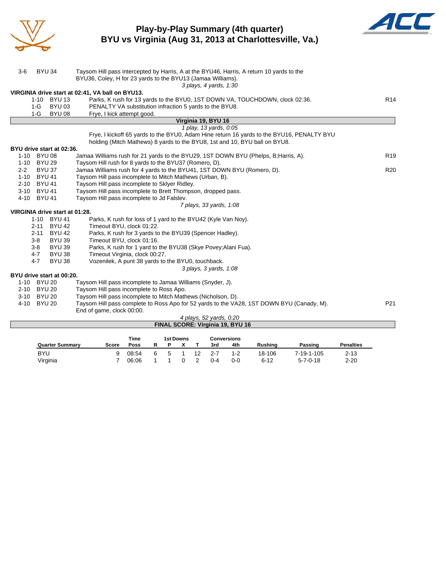

### **Play-by-Play Summary (4th quarter) BYU vs Virginia (Aug 31, 2013 at Charlottesville, Va.)**



| $3-6$   | <b>BYU 34</b>                  | Taysom Hill pass intercepted by Harris, A at the BYU46, Harris, A return 10 yards to the<br>BYU36, Coley, H for 23 yards to the BYU13 (Jamaa Williams).<br>3 plays, 4 yards, 1:30 |                 |
|---------|--------------------------------|-----------------------------------------------------------------------------------------------------------------------------------------------------------------------------------|-----------------|
|         |                                | VIRGINIA drive start at 02:41, VA ball on BYU13.                                                                                                                                  |                 |
|         | 1-10 BYU 13                    | Parks, K rush for 13 yards to the BYU0, 1ST DOWN VA, TOUCHDOWN, clock 02:36.                                                                                                      | R <sub>14</sub> |
|         | <b>BYU 03</b><br>1-G           | PENALTY VA substitution infraction 5 yards to the BYU8.                                                                                                                           |                 |
|         | <b>BYU 08</b><br>1-G           | Frye, I kick attempt good.                                                                                                                                                        |                 |
|         |                                | Virginia 19, BYU 16                                                                                                                                                               |                 |
|         |                                | 1 play, 13 yards, 0:05                                                                                                                                                            |                 |
|         |                                | Frye, I kickoff 65 yards to the BYU0, Adam Hine return 16 yards to the BYU16, PENALTY BYU                                                                                         |                 |
|         |                                | holding (Mitch Mathews) 8 yards to the BYU8, 1st and 10, BYU ball on BYU8.                                                                                                        |                 |
|         | BYU drive start at 02:36.      |                                                                                                                                                                                   |                 |
|         | 1-10 BYU 08                    | Jamaa Williams rush for 21 yards to the BYU29, 1ST DOWN BYU (Phelps, B; Harris, A).                                                                                               | R <sub>19</sub> |
|         | 1-10 BYU 29                    | Taysom Hill rush for 8 yards to the BYU37 (Romero, D).                                                                                                                            |                 |
| $2 - 2$ | <b>BYU 37</b>                  | Jamaa Williams rush for 4 yards to the BYU41, 1ST DOWN BYU (Romero, D).                                                                                                           | R <sub>20</sub> |
|         | 1-10 BYU 41                    | Taysom Hill pass incomplete to Mitch Mathews (Urban, B).                                                                                                                          |                 |
|         | 2-10 BYU 41                    | Taysom Hill pass incomplete to Sklyer Ridley.                                                                                                                                     |                 |
|         | 3-10 BYU 41                    | Taysom Hill pass incomplete to Brett Thompson, dropped pass.                                                                                                                      |                 |
|         | 4-10 BYU 41                    | Taysom Hill pass incomplete to Jd Falslev.                                                                                                                                        |                 |
|         |                                | 7 plays, 33 yards, 1:08                                                                                                                                                           |                 |
|         | VIRGINIA drive start at 01:28. |                                                                                                                                                                                   |                 |
|         | 1-10 BYU 41                    | Parks, K rush for loss of 1 yard to the BYU42 (Kyle Van Noy).                                                                                                                     |                 |
|         | <b>BYU 42</b><br>$2 - 11$      | Timeout BYU, clock 01:22.                                                                                                                                                         |                 |
|         | $2 - 11$<br><b>BYU 42</b>      | Parks, K rush for 3 yards to the BYU39 (Spencer Hadley).                                                                                                                          |                 |
|         | $3-8$<br><b>BYU 39</b>         | Timeout BYU, clock 01:16.                                                                                                                                                         |                 |
|         | $3 - 8$<br><b>BYU 39</b>       | Parks, K rush for 1 yard to the BYU38 (Skye Povey; Alani Fua).                                                                                                                    |                 |
|         | $4 - 7$<br><b>BYU 38</b>       | Timeout Virginia, clock 00:27.                                                                                                                                                    |                 |
|         | $4 - 7$<br><b>BYU 38</b>       | Vozenilek, A punt 38 yards to the BYU0, touchback.                                                                                                                                |                 |
|         |                                | 3 plays, 3 yards, 1:08                                                                                                                                                            |                 |
|         | BYU drive start at 00:20.      |                                                                                                                                                                                   |                 |
|         | 1-10 BYU 20                    | Taysom Hill pass incomplete to Jamaa Williams (Snyder, J).                                                                                                                        |                 |
|         | 2-10 BYU 20                    | Taysom Hill pass incomplete to Ross Apo.                                                                                                                                          |                 |
|         | 3-10 BYU 20                    | Taysom Hill pass incomplete to Mitch Mathews (Nicholson, D).                                                                                                                      |                 |
| 4-10    | <b>BYU 20</b>                  | Taysom Hill pass complete to Ross Apo for 52 yards to the VA28, 1ST DOWN BYU (Canady, M).<br>End of game, clock 00:00.                                                            | P <sub>21</sub> |
|         |                                | 4 plays, 52 yards, 0:20                                                                                                                                                           |                 |

| 4 plays, 52 yarus, 0.20          |  |
|----------------------------------|--|
| FINAL SCORE: Virginia 19, BYU 16 |  |

|                        |       | Time  |   | 1st Downs |    |         | <b>Conversions</b> |                |                  |                  |
|------------------------|-------|-------|---|-----------|----|---------|--------------------|----------------|------------------|------------------|
| <b>Quarter Summary</b> | Score | Poss  |   |           |    | 3rd     | 4th                | <b>Rushing</b> | Passing          | <b>Penalties</b> |
| <b>BYU</b>             |       | 08:54 | 5 |           | 12 | $2 - 7$ | 1-2                | 18-106         | 7-19-1-105       | $2 - 13$         |
| Virginia               |       | 06:06 |   |           |    | $0 - 4$ | ი-ი                | $6 - 12$       | $5 - 7 - 0 - 18$ | $2 - 20$         |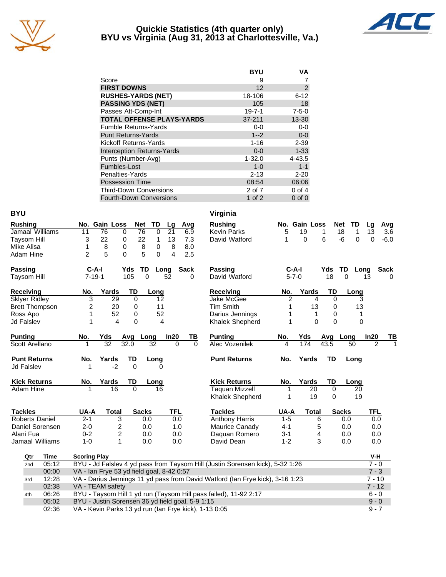

### **Quickie Statistics (4th quarter only) BYU vs Virginia (Aug 31, 2013 at Charlottesville, Va.)**



|                                   | <b>BYU</b>   | VA             |
|-----------------------------------|--------------|----------------|
| Score                             | 9            |                |
| <b>FIRST DOWNS</b>                | 12           | $\overline{2}$ |
| <b>RUSHES-YARDS (NET)</b>         | 18-106       | $6 - 12$       |
| <b>PASSING YDS (NET)</b>          | 105          | 18             |
| Passes Att-Comp-Int               | $19 - 7 - 1$ | $7 - 5 - 0$    |
| <b>TOTAL OFFENSE PLAYS-YARDS</b>  | $37 - 211$   | 13-30          |
| <b>Fumble Returns-Yards</b>       | $0-0$        | $0 - 0$        |
| <b>Punt Returns-Yards</b>         | $1 - 2$      | $0-0$          |
| Kickoff Returns-Yards             | $1 - 16$     | $2 - 39$       |
| <b>Interception Returns-Yards</b> | $0 - 0$      | $1 - 33$       |
| Punts (Number-Avg)                | $1 - 32.0$   | 4-43.5         |
| Fumbles-Lost                      | $1 - 0$      | $1 - 1$        |
| Penalties-Yards                   | $2 - 13$     | $2 - 20$       |
| <b>Possession Time</b>            | 08:54        | 06:06          |
| <b>Third-Down Conversions</b>     | 2 of 7       | $0$ of $4$     |
| <b>Fourth-Down Conversions</b>    | 1 of $2$     | $0$ of $0$     |

| <b>BYU</b>            |       |                                                                             |                                                                  |                |                   |                |          | Virginia                                                                      |                |               |                 |                      |                |        |
|-----------------------|-------|-----------------------------------------------------------------------------|------------------------------------------------------------------|----------------|-------------------|----------------|----------|-------------------------------------------------------------------------------|----------------|---------------|-----------------|----------------------|----------------|--------|
| <b>Rushing</b>        |       |                                                                             | No. Gain Loss                                                    |                | Net<br>TD         | Lg             | Avg      | <b>Rushing</b>                                                                |                | No. Gain Loss |                 | <b>Net</b><br>TD     | Lq             | Avg    |
| Jamaal Williams       |       | 11                                                                          | 76                                                               | $\mathbf 0$    | 76<br>$\mathbf 0$ | 21             | 6.9      | <b>Kevin Parks</b>                                                            | 5              | 19            | 1               | $\overline{18}$<br>1 | 13             | 3.6    |
| <b>Taysom Hill</b>    |       | 3                                                                           | 22                                                               | 0              | 22<br>1           | 13             | 7.3      | David Watford                                                                 | 1              | $\mathbf 0$   | 6               | $-6$<br>$\mathbf 0$  | $\Omega$       | $-6.0$ |
| Mike Alisa            |       | 1                                                                           | 8                                                                | 0              | 8<br>0            | 8              | 8.0      |                                                                               |                |               |                 |                      |                |        |
| Adam Hine             |       | $\overline{2}$                                                              | 5                                                                | $\Omega$       | 5<br>$\Omega$     | 4              | 2.5      |                                                                               |                |               |                 |                      |                |        |
| <b>Passing</b>        |       | $C-A-I$                                                                     |                                                                  | Yds            | TD                | Long           | Sack     | <b>Passing</b>                                                                | C-A-I          |               | Yds             | TD<br>Long           |                | Sack   |
| <b>Taysom Hill</b>    |       | $7 - 19 - 1$                                                                |                                                                  | 105            | $\overline{0}$    | 52             | $\Omega$ | David Watford                                                                 | $5 - 7 - 0$    |               | $\overline{18}$ | $\overline{0}$       | 13             |        |
| Receiving             |       | No.                                                                         | Yards                                                            | TD             | Long              |                |          | Receiving                                                                     | No.            | Yards         | TD              | Long                 |                |        |
| <b>Sklyer Ridley</b>  |       | 3                                                                           | 29                                                               | $\Omega$       | 12                |                |          | Jake McGee                                                                    | $\overline{2}$ | 4             | $\mathbf 0$     | 3                    |                |        |
| <b>Brett Thompson</b> |       | 2                                                                           | 20                                                               | 0              | 11                |                |          | <b>Tim Smith</b>                                                              | 1              | 13            | 0               | 13                   |                |        |
| Ross Apo              |       | 1                                                                           | 52                                                               | 0              | 52                |                |          | Darius Jennings                                                               | 1              | 1             | 0               | 1                    |                |        |
| <b>Jd Falslev</b>     |       | 1                                                                           | 4                                                                | 0              |                   | $\overline{4}$ |          | Khalek Shepherd                                                               | 1              | $\mathbf{0}$  | 0               | 0                    |                |        |
| <b>Punting</b>        |       | No.                                                                         | Yds                                                              | Avg            | Long              | In20           | TВ       | <b>Punting</b>                                                                | No.            | Yds           |                 | Avg Long             | In20           | TВ     |
| Scott Arellano        |       |                                                                             | $\overline{32}$                                                  | 32.0           | 32                | 0              | $\Omega$ | <b>Alec Vozenilek</b>                                                         | 4              | 174           | 43.5            | 50                   | $\overline{2}$ |        |
| <b>Punt Returns</b>   |       | No.                                                                         | <b>Yards</b>                                                     | TD             | Long              |                |          | <b>Punt Returns</b>                                                           | No.            | Yards         | TD              | Long                 |                |        |
| <b>Jd Falslev</b>     |       |                                                                             | $\overline{.2}$                                                  | $\overline{0}$ |                   |                |          |                                                                               |                |               |                 |                      |                |        |
| <b>Kick Returns</b>   |       | No.                                                                         | Yards                                                            | TD             | Long              |                |          | <b>Kick Returns</b>                                                           | No.            | Yards         | TD              | Long                 |                |        |
| <b>Adam Hine</b>      |       |                                                                             | 16                                                               | $\mathbf{0}$   | 16                |                |          | <b>Taquan Mizzell</b>                                                         | 1              | 20            | 0               | 20                   |                |        |
|                       |       |                                                                             |                                                                  |                |                   |                |          | Khalek Shepherd                                                               | 1              | 19            | 0               | 19                   |                |        |
| <b>Tackles</b>        |       | UA-A                                                                        | <b>Total</b>                                                     |                | <b>Sacks</b>      | <b>TFL</b>     |          | <b>Tackles</b>                                                                | UA-A           | <b>Total</b>  |                 | <b>Sacks</b>         | <b>TFL</b>     |        |
| <b>Roberts Daniel</b> |       | $2 - 1$                                                                     | 3                                                                |                | 0.0               | 0.0            |          | <b>Anthony Harris</b>                                                         | $1-5$          | 6             |                 | 0.0                  | 0.0            |        |
| Daniel Sorensen       |       | $2 - 0$                                                                     | 2                                                                |                | 0.0               | 1.0            |          | Maurice Canady                                                                | $4 - 1$        | 5             |                 | 0.0                  | 0.0            |        |
| Alani Fua             |       | $0 - 2$                                                                     | 2                                                                |                | 0.0               | 0.0            |          | Daquan Romero                                                                 | $3 - 1$        | 4             |                 | 0.0                  | 0.0            |        |
| Jamaal Williams       |       | $1 - 0$                                                                     | 1                                                                |                | 0.0               | 0.0            |          | David Dean                                                                    | $1 - 2$        | 3             |                 | 0.0                  | 0.0            |        |
| Qtr                   | Time  | <b>Scoring Play</b>                                                         |                                                                  |                |                   |                |          |                                                                               |                |               |                 |                      | V-H            |        |
| 2nd                   | 05:12 |                                                                             |                                                                  |                |                   |                |          | BYU - Jd Falslev 4 yd pass from Taysom Hill (Justin Sorensen kick), 5-32 1:26 |                |               |                 |                      | $7 - 0$        |        |
|                       | 00:00 |                                                                             | VA - Ian Frye 53 yd field goal, 8-42 0:57                        |                |                   |                |          |                                                                               |                |               |                 |                      | $7 - 3$        |        |
| 3rd                   | 12:28 |                                                                             |                                                                  |                |                   |                |          | VA - Darius Jennings 11 yd pass from David Watford (Ian Frye kick), 3-16 1:23 |                |               |                 |                      | $7 - 10$       |        |
|                       | 02:38 | VA - TEAM safety<br>$7 - 12$                                                |                                                                  |                |                   |                |          |                                                                               |                |               |                 |                      |                |        |
| 4th                   | 06:26 | BYU - Taysom Hill 1 yd run (Taysom Hill pass failed), 11-92 2:17<br>$6 - 0$ |                                                                  |                |                   |                |          |                                                                               |                |               |                 |                      |                |        |
|                       | 05:02 | BYU - Justin Sorensen 36 yd field goal, 5-9 1:15<br>$9 - 0$                 |                                                                  |                |                   |                |          |                                                                               |                |               |                 |                      |                |        |
|                       | 02:36 |                                                                             | VA - Kevin Parks 13 yd run (Ian Frye kick), 1-13 0:05<br>$9 - 7$ |                |                   |                |          |                                                                               |                |               |                 |                      |                |        |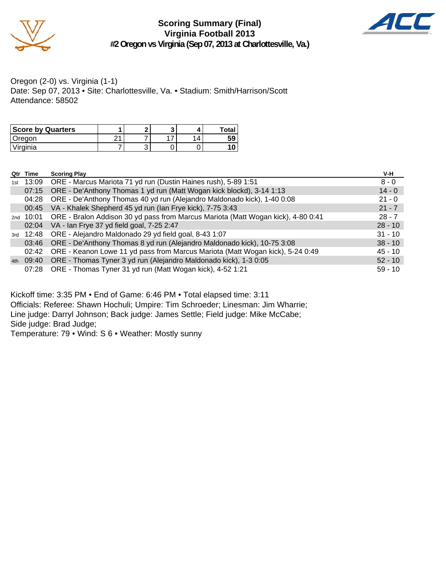

**Scoring Summary (Final) Virginia Football 2013 #2 Oregon vs Virginia (Sep 07, 2013 at Charlottesville, Va.)**



Oregon (2-0) vs. Virginia (1-1) Date: Sep 07, 2013 • Site: Charlottesville, Va. • Stadium: Smith/Harrison/Scott Attendance: 58502

| <b>Score by Quarters</b> | c |  | Total |
|--------------------------|---|--|-------|
| Oregon                   |   |  | 59    |
| 'Virginia                | ື |  |       |

|     | Qtr Time  | <b>Scoring Play</b>                                                                        | V-H       |
|-----|-----------|--------------------------------------------------------------------------------------------|-----------|
| 1st |           | 13:09 ORE - Marcus Mariota 71 yd run (Dustin Haines rush), 5-89 1:51                       | $8 - 0$   |
|     |           | 07:15 ORE - De'Anthony Thomas 1 yd run (Matt Wogan kick blockd), 3-14 1:13                 | $14 - 0$  |
|     | 04:28     | ORE - De'Anthony Thomas 40 yd run (Alejandro Maldonado kick), 1-40 0:08                    | $21 - 0$  |
|     |           | 00:45 VA - Khalek Shepherd 45 yd run (Ian Frye kick), 7-75 3:43                            | $21 - 7$  |
|     |           | 2nd 10:01 ORE - Bralon Addison 30 yd pass from Marcus Mariota (Matt Wogan kick), 4-80 0:41 | $28 - 7$  |
|     |           | 02:04 VA - Ian Frye 37 yd field goal, 7-25 2:47                                            | $28 - 10$ |
|     |           | 3rd 12:48 ORE - Alejandro Maldonado 29 yd field goal, 8-43 1:07                            | $31 - 10$ |
|     | 03:46     | ORE - De'Anthony Thomas 8 yd run (Alejandro Maldonado kick), 10-75 3:08                    | $38 - 10$ |
|     |           | 02:42 ORE - Keanon Lowe 11 yd pass from Marcus Mariota (Matt Wogan kick), 5-24 0:49        | $45 - 10$ |
|     | 4th 09:40 | ORE - Thomas Tyner 3 yd run (Alejandro Maldonado kick), 1-3 0:05                           | $52 - 10$ |
|     | 07:28     | ORE - Thomas Tyner 31 yd run (Matt Wogan kick), 4-52 1:21                                  | $59 - 10$ |

Kickoff time: 3:35 PM • End of Game: 6:46 PM • Total elapsed time: 3:11

Officials: Referee: Shawn Hochuli; Umpire: Tim Schroeder; Linesman: Jim Wharrie; Line judge: Darryl Johnson; Back judge: James Settle; Field judge: Mike McCabe; Side judge: Brad Judge;

Temperature: 79 • Wind: S 6 • Weather: Mostly sunny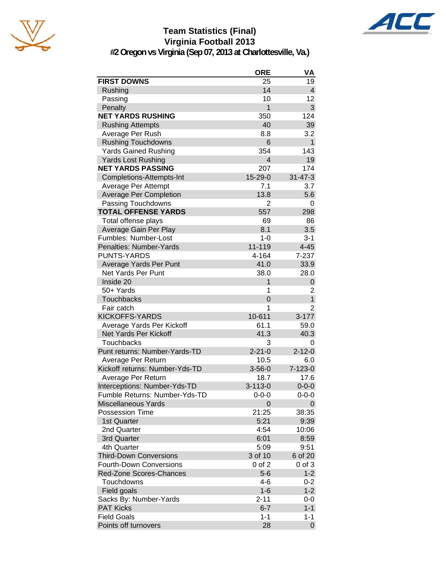

## **Team Statistics (Final) Virginia Football 2013**



**#2 Oregon vs Virginia (Sep 07, 2013 at Charlottesville, Va.)**

|                                | <b>ORE</b>     | VA             |
|--------------------------------|----------------|----------------|
| <b>FIRST DOWNS</b>             | 25             | 19             |
| Rushing                        | 14             | 4              |
| Passing                        | 10             | 12             |
| Penalty                        | 1              | 3              |
| <b>NET YARDS RUSHING</b>       | 350            | 124            |
| <b>Rushing Attempts</b>        | 40             | 39             |
| Average Per Rush               | 8.8            | 3.2            |
| <b>Rushing Touchdowns</b>      | 6              | $\mathbf{1}$   |
| <b>Yards Gained Rushing</b>    | 354            | 143            |
| <b>Yards Lost Rushing</b>      | $\overline{4}$ | 19             |
| <b>NET YARDS PASSING</b>       | 207            | 174            |
| Completions-Attempts-Int       | 15-29-0        | $31 - 47 - 3$  |
| Average Per Attempt            | 7.1            | 3.7            |
| <b>Average Per Completion</b>  | 13.8           | 5.6            |
| Passing Touchdowns             | $\overline{2}$ | 0              |
| <b>TOTAL OFFENSE YARDS</b>     | 557            | 298            |
| Total offense plays            | 69             | 86             |
| Average Gain Per Play          | 8.1            | 3.5            |
| Fumbles: Number-Lost           | $1 - 0$        | $3 - 1$        |
| Penalties: Number-Yards        | 11-119         | $4 - 45$       |
| <b>PUNTS-YARDS</b>             | 4-164          | 7-237          |
| Average Yards Per Punt         | 41.0           | 33.9           |
| Net Yards Per Punt             | 38.0           | 28.0           |
| Inside 20                      | 1              | 0              |
| 50+ Yards                      | 1              | 2              |
| Touchbacks                     | 0              | $\mathbf{1}$   |
| Fair catch                     | 1              | $\overline{2}$ |
| <b>KICKOFFS-YARDS</b>          | 10-611         | $3 - 177$      |
| Average Yards Per Kickoff      | 61.1           | 59.0           |
| <b>Net Yards Per Kickoff</b>   | 41.3           | 40.3           |
| <b>Touchbacks</b>              | 3              | 0              |
| Punt returns: Number-Yards-TD  | $2 - 21 - 0$   | $2 - 12 - 0$   |
| Average Per Return             | 10.5           | 6.0            |
| Kickoff returns: Number-Yds-TD | $3 - 56 - 0$   | $7 - 123 - 0$  |
| Average Per Return             | 18.7           | 17.6           |
| Interceptions: Number-Yds-TD   | $3 - 113 - 0$  | $0 - 0 - 0$    |
| Fumble Returns: Number-Yds-TD  | $0 - 0 - 0$    | $0 - 0 - 0$    |
| <b>Miscellaneous Yards</b>     | 0              | 0              |
| <b>Possession Time</b>         | 21:25          | 38:35          |
| 1st Quarter                    | 5:21           | 9:39           |
| 2nd Quarter                    | 4:54           | 10:06          |
| 3rd Quarter                    | 6:01           | 8:59           |
| 4th Quarter                    | 5:09           | 9:51           |
| <b>Third-Down Conversions</b>  | 3 of 10        | 6 of 20        |
| Fourth-Down Conversions        | 0 of 2         | 0 of 3         |
| Red-Zone Scores-Chances        | $5-6$          | $1 - 2$        |
| Touchdowns                     | 4-6            | $0 - 2$        |
| Field goals                    | $1 - 6$        | $1 - 2$        |
| Sacks By: Number-Yards         | $2 - 11$       | 0-0            |
| <b>PAT Kicks</b>               | $6 - 7$        | $1 - 1$        |
| <b>Field Goals</b>             | $1 - 1$        | $1 - 1$        |
| Points off turnovers           | 28             | 0              |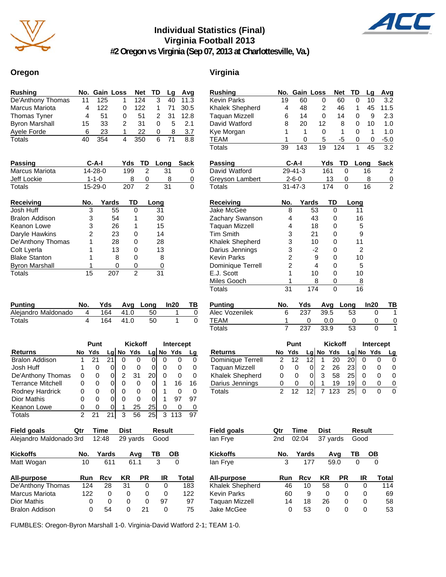

## **Individual Statistics (Final) Virginia Football 2013**



**#2 Oregon vs Virginia (Sep 07, 2013 at Charlottesville, Va.)**

### **Oregon Virginia**

| <b>Rushing</b>        |    |     | No. Gain Loss | Net TD |              | La   | Avq  |
|-----------------------|----|-----|---------------|--------|--------------|------|------|
| De'Anthony Thomas     | 11 | 125 |               | 124    | 3            | 40   | 11.3 |
| Marcus Mariota        | 4  | 122 | 0             | 122    | 1.           | - 71 | 30.5 |
| Thomas Tyner          | 4  | 51  | 0             | 51     | 2            | - 31 | 12.8 |
| <b>Byron Marshall</b> | 15 | 33  | 2             | 31     | $\mathbf{0}$ | 5    | 2.1  |
| Ayele Forde           | 6  | 23  |               | 22     | 0            | 8    | 3.7  |
| Totals                |    | 354 | 4             | 350    | 6            |      | 8.8  |

| <b>Passing</b>        | $C-A-I$     | Yds. | TD Lona | Sack |
|-----------------------|-------------|------|---------|------|
| <b>Marcus Mariota</b> | 14-28-0     | 199  | 31      |      |
| Jeff Lockie           | $1 - 1 - 0$ |      |         |      |
| Totals                | $15-29-0$   | 207  | 31      |      |

| Receiving             | No. | Yards | TD | Long |
|-----------------------|-----|-------|----|------|
| Josh Huff             | 3   | 55    | 0  | 31   |
| <b>Bralon Addison</b> | 3   | 54    | 1  | 30   |
| Keanon Lowe           | 3   | 26    |    | 15   |
| Daryle Hawkins        | 2   | 23    | 0  | 14   |
| De'Anthony Thomas     |     | 28    | 0  | 28   |
| Colt Lyerla           |     | 13    | 0  | 13   |
| <b>Blake Stanton</b>  |     | 8     | ŋ  | 8    |
| <b>Byron Marshall</b> |     |       | 0  | 0    |
| Totals                | 15  |       | 2  |      |

| <b>Punting</b>      | No.            |     |          | Yds Avg Long In20 | TВ |
|---------------------|----------------|-----|----------|-------------------|----|
| Alejandro Maldonado | $\overline{4}$ | 164 | - 41.0   | 50                |    |
| Totals              |                |     | 164 41.0 | 50                |    |

|                          |     | Punt |    |   | <b>Kickoff</b> |    | Intercept |           |    |  |
|--------------------------|-----|------|----|---|----------------|----|-----------|-----------|----|--|
| Returns                  | No. | Yds  |    |   | Lg No Yds      |    |           | Lg No Yds | Lg |  |
| <b>Bralon Addison</b>    |     |      | 21 |   |                |    |           |           |    |  |
| Josh Huff                |     | 0    | 0  |   |                |    |           |           |    |  |
| De'Anthony Thomas        | 0   | 0    | 0  | 2 | 31             | 20 | O         | O         |    |  |
| <b>Terrance Mitchell</b> | 0   | 0    | O  |   | $\Omega$       |    |           | 16        | 16 |  |
| Rodney Hardrick          | 0   | 0    | 0  |   |                |    |           | O         |    |  |
| <b>Dior Mathis</b>       | ი   | ŋ    | 0  |   |                |    | 1         | 97        | 97 |  |
| Keanon Lowe              | ი   | 0    |    |   | 25             | 25 | O         | $\Omega$  |    |  |
| Totals                   |     |      | 21 | 3 | 56             | 25 | 3         |           | 97 |  |

**Field goals Qtr Time Dist Result**

| <b>Rushing</b>         |                | No. Gain Loss   |       |             |                 | <b>Net</b> | TD              |                | Lq              | Avg         |                |
|------------------------|----------------|-----------------|-------|-------------|-----------------|------------|-----------------|----------------|-----------------|-------------|----------------|
| <b>Kevin Parks</b>     | 19             | 60              |       | 0           |                 | 60         | 0               |                | 10              |             | 3.2            |
| Khalek Shepherd        | 4              | 48              |       | 2           |                 | 46         | 1               |                | 45              | 11.5        |                |
| <b>Taquan Mizzell</b>  | 6              | 14              |       | 0           |                 | 14         | 0               |                | 9               |             | 2.3            |
| David Watford          | 8              | 20              |       | 12          |                 | 8          | 0               |                | 10              |             | 1.0            |
| Kye Morgan             | 1              | 1               |       | 0           |                 | 1          | 0               |                | 1               |             | 1.0            |
| <b>TEAM</b>            | 1              | 0               |       | 5           |                 | -5         | 0               |                | 0               | $-5.0$      |                |
| <b>Totals</b>          | 39             | 143             |       | 19          |                 | 124        | 1               |                | 45              |             | 3.2            |
| <b>Passing</b>         |                | C-A-I           |       |             | Yds             | TD         |                 | Long           |                 | <b>Sack</b> |                |
| David Watford          |                | $29 - 41 - 3$   |       |             | 161             | 0          |                 |                | $\overline{16}$ |             | $\overline{c}$ |
| <b>Greyson Lambert</b> |                | $2 - 6 - 0$     |       |             | 13              | 0          |                 |                | 8               |             | $\overline{0}$ |
| <b>Totals</b>          |                | $31 - 47 - 3$   |       |             | 174             | $\Omega$   |                 |                | 16              |             | $\overline{2}$ |
| <b>Receiving</b>       | No.            |                 | Yards |             | TD              |            | Long            |                |                 |             |                |
| Jake McGee             |                | 8               | 53    |             | 0               |            |                 | 11             |                 |             |                |
| Zachary Swanson        |                | 4               | 43    |             | 0               |            |                 | 16             |                 |             |                |
| <b>Taquan Mizzell</b>  |                | 4               | 18    |             | 0               |            |                 | 5              |                 |             |                |
| <b>Tim Smith</b>       |                | 3               | 21    | 0           |                 |            |                 | 9              |                 |             |                |
| Khalek Shepherd        |                | 3               | 10    | 0           |                 |            |                 | 11             |                 |             |                |
| Darius Jennings        |                | 3               | $-2$  |             | 0               |            |                 | $\overline{2}$ |                 |             |                |
| <b>Kevin Parks</b>     |                | $\overline{c}$  | 9     |             | 0               |            |                 | 10             |                 |             |                |
| Dominique Terrell      |                | $\overline{2}$  |       | 4<br>0      |                 |            | 5               |                |                 |             |                |
| E.J. Scott             |                | 1               | 10    |             | 0               |            |                 | 10             |                 |             |                |
| Miles Gooch            |                | 1               | 8     |             | 0               |            |                 | 8              |                 |             |                |
| <b>Totals</b>          | 31             |                 | 174   |             | $\Omega$        |            |                 | 16             |                 |             |                |
| <b>Punting</b>         | No.            | Yds             |       |             | Avg             | Long       |                 |                | In20            |             | TВ             |
| Alec Vozenilek         | 6              | 237             |       | 39.5        |                 |            | 53              |                | 0               |             | 1              |
| <b>TEAM</b>            | 1              |                 | 0     |             | 0.0             |            | 0               |                | 0               |             | 0              |
| <b>Totals</b>          | 7              | 237             |       | 33.9        |                 |            | 53              |                | 0               |             |                |
|                        |                | Punt            |       |             | <b>Kickoff</b>  |            |                 |                |                 | Intercept   |                |
| Returns                | No Yds         |                 |       |             | Lg No Yds       |            | $Lg$ No         |                | Yds             |             | Lg             |
| Dominique Terrell      | $\overline{2}$ | $\overline{12}$ | 12    | 1           | $\overline{20}$ |            | $\overline{2}0$ | 0              |                 | 0           | 0              |
| <b>Taquan Mizzell</b>  | 0              | 0               | 0     | 2           | 26              |            | 23              | 0              |                 | 0           | 0              |
| Khalek Shepherd        | 0              | 0               | 0     | 3           | 58              |            | 25              | 0              |                 | 0           | 0              |
| Darius Jennings        | 0              | 0               | 0     | 1           | 19              |            | 19              | 0              |                 | 0           | 0              |
| <b>Totals</b>          | $\overline{2}$ | 12              | 12    | 7           | 123             |            | 25              | 0              |                 | 0           | 0              |
| <b>Field goals</b>     | Qtr            | Time            |       | <b>Dist</b> |                 |            |                 | Result         |                 |             |                |
| lan Frye               | 2nd            | 02:04           |       |             | 37 yards        |            |                 | Good           |                 |             |                |

| Alejandro Maldonado 3rd |     | 12:48   | 29 vards  |           | Good |          | lan Frye           | 2nd        | 02:04   | 37 yards  |           | Good |       |
|-------------------------|-----|---------|-----------|-----------|------|----------|--------------------|------------|---------|-----------|-----------|------|-------|
| <b>Kickoffs</b>         | No. | Yards   |           | Avq       | ΤВ   | OВ       | <b>Kickoffs</b>    | No.        | Yards   |           | Avq       | ΤВ   | OВ    |
| Matt Wogan              | 10  | 611     |           | 61.1      | 3    | 0        | lan Frye           | 3          | 177     |           | 59.0      | 0    | 0     |
| All-purpose             | Run | Rcv     | <b>KR</b> | <b>PR</b> | IR   | Total    | All-purpose        | <b>Run</b> | Rcv     | <b>KR</b> | <b>PR</b> | IR   | Total |
| De'Anthony Thomas       | 124 | 28      | 31        | 0         |      | 183<br>0 | Khalek Shepherd    | 46         | 10      | 58        | 0         |      | 114   |
| Marcus Mariota          | 122 | 0       |           | 0         |      | 122<br>0 | <b>Kevin Parks</b> | 60         | 9       | 0         |           | 0    | 69    |
| Dior Mathis             |     | 0<br>0  |           | 0         | 97   | 97       | Taguan Mizzell     | 14         | 18      | 26        | 0         | 0    | 58    |
| <b>Bralon Addison</b>   |     | 54<br>0 |           | 21        |      | 75<br>0  | Jake McGee         |            | 53<br>0 |           | 0         | 0    | 53    |

FUMBLES: Oregon-Byron Marshall 1-0. Virginia-David Watford 2-1; TEAM 1-0.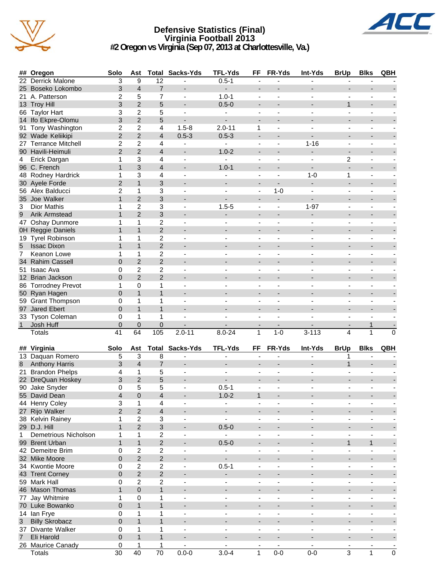

### **Defensive Statistics (Final) Virginia Football 2013 #2 Oregon vs Virginia (Sep 07, 2013 at Charlottesville, Va.)**



|                | ## Oregon             | Solo                    | Ast             |                         | <b>Total Sacks-Yds</b>   | <b>TFL-Yds</b>           | FF                           | FR-Yds                       | Int-Yds                  | <b>BrUp</b>              | <b>Blks</b>              | QBH                      |
|----------------|-----------------------|-------------------------|-----------------|-------------------------|--------------------------|--------------------------|------------------------------|------------------------------|--------------------------|--------------------------|--------------------------|--------------------------|
|                | 22 Derrick Malone     | 3                       | 9               | 12                      |                          | $0.5 - 1$                | $\blacksquare$               |                              |                          | $\overline{\phantom{a}}$ |                          |                          |
|                | 25 Boseko Lokombo     | 3                       | $\overline{4}$  | $\overline{7}$          |                          | ÷,                       |                              |                              |                          |                          |                          |                          |
|                | 21 A. Patterson       | 2                       | 5               | 7                       | $\blacksquare$           | $1.0 - 1$                | $\blacksquare$               |                              |                          |                          |                          |                          |
|                | 13 Troy Hill          | 3                       | $\overline{2}$  | 5                       | $\overline{\phantom{a}}$ | $0.5 - 0$                | $\overline{\phantom{m}}$     |                              |                          | $\mathbf{1}$             | $\overline{\phantom{a}}$ |                          |
|                | 66 Taylor Hart        | 3                       | $\overline{c}$  | 5                       |                          |                          |                              |                              |                          |                          |                          |                          |
|                | 14 Ifo Ekpre-Olomu    | 3                       | $\overline{2}$  | 5                       | $\overline{\phantom{0}}$ | $\blacksquare$           | $\overline{\phantom{a}}$     |                              |                          |                          |                          |                          |
|                | 91 Tony Washington    | 2                       | 2               | 4                       | $1.5 - 8$                | $2.0 - 11$               | 1                            | ä,                           |                          | $\overline{\phantom{a}}$ | $\overline{\phantom{a}}$ | $\overline{\phantom{a}}$ |
|                | 92 Wade Keliikipi     | $\overline{2}$          | $\overline{2}$  | $\overline{4}$          | $0.5 - 3$                | $0.5 - 3$                | $\overline{\phantom{a}}$     |                              |                          |                          |                          |                          |
|                | 27 Terrance Mitchell  | 2                       | $\overline{2}$  | $\overline{4}$          | $\blacksquare$           | $\blacksquare$           | $\overline{\phantom{0}}$     | $\blacksquare$               | $1 - 16$                 | $\blacksquare$           | $\blacksquare$           | $\sim$                   |
|                | 90 Havili-Heimuli     | $\overline{2}$          | $\overline{2}$  | 4                       | $\overline{\phantom{0}}$ | $1.0 - 2$                |                              |                              | ٠                        | $\overline{\phantom{a}}$ |                          |                          |
| 4              | Erick Dargan          | 1                       | 3               | 4                       | $\blacksquare$           | ÷,                       | $\frac{1}{2}$                | $\blacksquare$               |                          | 2                        | ä,                       |                          |
|                | 96 C. French          | $\mathbf{1}$            | 3               | $\overline{4}$          |                          | $1.0 - 1$                | -                            |                              |                          |                          |                          |                          |
|                | 48 Rodney Hardrick    | 1                       | 3               | 4                       |                          |                          | ä,                           |                              | $1 - 0$                  | 1                        |                          |                          |
|                | 30 Ayele Forde        | $\overline{2}$          | $\mathbf{1}$    | 3                       | $\blacksquare$           | $\blacksquare$           | $\overline{\phantom{a}}$     |                              | $\overline{\phantom{a}}$ | ÷,                       | $\overline{\phantom{a}}$ |                          |
|                | 56 Alex Balducci      | $\overline{c}$          | 1               | 3                       | $\blacksquare$           |                          | $\overline{\phantom{a}}$     | $1 - 0$                      |                          | $\blacksquare$           | ä,                       |                          |
|                | 35 Joe Walker         | $\mathbf{1}$            | $\overline{2}$  | 3                       |                          |                          | -                            | $\overline{\phantom{m}}$     |                          |                          |                          |                          |
| 3              | Dior Mathis           | 1                       | 2               | 3                       | $\overline{\phantom{a}}$ | $1.5 - 5$                | $\overline{\phantom{a}}$     | $\qquad \qquad \blacksquare$ | $1 - 97$                 | $\overline{\phantom{a}}$ | $\overline{\phantom{a}}$ | $\overline{\phantom{a}}$ |
| 9              | Arik Armstead         | $\mathbf{1}$            | $\overline{2}$  | 3                       |                          |                          | $\overline{\phantom{a}}$     |                              |                          |                          |                          |                          |
|                | 47 Oshay Dunmore      | 1                       | 1               | $\overline{c}$          | ٠                        |                          | $\qquad \qquad \blacksquare$ | $\blacksquare$               | $\blacksquare$           | $\blacksquare$           | $\blacksquare$           | $\blacksquare$           |
|                | OH Reggie Daniels     | $\mathbf{1}$            | $\mathbf{1}$    | $\overline{2}$          |                          |                          |                              |                              |                          |                          |                          |                          |
|                | 19 Tyrel Robinson     | 1                       | 1               | 2                       | $\blacksquare$           | $\blacksquare$           | $\overline{\phantom{a}}$     | $\blacksquare$               |                          | $\blacksquare$           | ä,                       |                          |
| 5              | <b>Issac Dixon</b>    | $\mathbf{1}$            | $\mathbf{1}$    | $\overline{c}$          |                          |                          |                              |                              |                          |                          |                          |                          |
| 7              | Keanon Lowe           | 1                       | 1               | 2                       |                          |                          | ä,                           |                              |                          |                          |                          |                          |
|                | 34 Rahim Cassell      | $\overline{0}$          | $\overline{2}$  | $\overline{2}$          | $\blacksquare$           |                          | $\overline{\phantom{m}}$     |                              |                          | $\blacksquare$           |                          |                          |
|                | 51 Isaac Ava          | 0                       | $\overline{2}$  | 2                       |                          |                          |                              |                              |                          |                          |                          |                          |
|                | 12 Brian Jackson      | $\overline{0}$          | $\overline{2}$  | $\overline{2}$          |                          |                          | -                            |                              |                          |                          |                          |                          |
|                | 86 Torrodney Prevot   | 1                       | 0               | 1                       | $\blacksquare$           |                          | $\qquad \qquad \blacksquare$ |                              |                          | $\overline{\phantom{a}}$ | $\blacksquare$           |                          |
|                | 50 Ryan Hagen         | $\overline{0}$          | $\mathbf{1}$    | $\mathbf{1}$            |                          |                          | $\overline{a}$               |                              |                          |                          |                          |                          |
|                | 59 Grant Thompson     | 0                       | 1               | 1                       | $\blacksquare$           |                          | $\overline{\phantom{0}}$     | $\overline{\phantom{a}}$     | $\blacksquare$           | $\blacksquare$           | $\overline{\phantom{a}}$ |                          |
|                | 97 Jared Ebert        | $\overline{0}$          | $\mathbf{1}$    | $\mathbf{1}$            |                          |                          |                              |                              |                          |                          |                          |                          |
|                | 33 Tyson Coleman      | 0                       | 1               | 1                       | ٠                        | $\blacksquare$           | $\overline{\phantom{0}}$     |                              |                          | $\blacksquare$           | $\sim$                   |                          |
| 1              | Josh Huff             | $\mathbf 0$             | 0               | 0                       |                          |                          | -                            |                              |                          | $\overline{\phantom{a}}$ | 1                        |                          |
|                | Totals                | $\overline{41}$         | 64              | 105                     | $2.0 - 11$               | $8.0 - 24$               | $\mathbf{1}$                 | $1 - 0$                      | $3 - 113$                | $\overline{4}$           | 1                        | 0                        |
|                |                       |                         |                 |                         |                          |                          |                              |                              |                          |                          |                          |                          |
|                | ## Virginia           | Solo                    | Ast             |                         | <b>Total Sacks-Yds</b>   | <b>TFL-Yds</b>           | FF                           | FR-Yds                       | Int-Yds                  | <b>BrUp</b>              | <b>Blks</b>              | QBH                      |
|                | 13 Daquan Romero      | 5                       | 3               | 8                       | $\overline{\phantom{a}}$ | $\overline{\phantom{a}}$ | ä,                           |                              |                          | 1                        | $\blacksquare$           |                          |
| 8              | <b>Anthony Harris</b> | 3                       | $\overline{4}$  | $\overline{7}$          |                          |                          |                              |                              |                          | $\mathbf{1}$             |                          |                          |
|                | 21 Brandon Phelps     | $\overline{4}$          | 1               | 5                       | $\blacksquare$           | $\blacksquare$           | $\overline{\phantom{a}}$     |                              |                          |                          | $\blacksquare$           |                          |
|                | 22 DreQuan Hoskey     | 3                       | $\overline{2}$  | 5                       |                          |                          |                              |                              |                          |                          |                          |                          |
|                | 90 Jake Snyder        | 0                       | 5               | 5                       |                          | $0.5 - 1$                |                              |                              |                          |                          |                          |                          |
|                | 55 David Dean         | $\overline{\mathbf{4}}$ | $\Omega$        | $\overline{4}$          |                          | $1.0 - 2$                | 1                            |                              |                          |                          |                          |                          |
|                | 44 Henry Coley        | 3                       | 1               | 4                       | $\overline{\phantom{a}}$ | $\overline{\phantom{a}}$ | $\overline{\phantom{a}}$     | $\overline{\phantom{a}}$     | $\overline{\phantom{a}}$ | $\overline{\phantom{a}}$ | $\overline{\phantom{a}}$ | $\overline{\phantom{a}}$ |
|                | 27 Rijo Walker        | $\overline{2}$          | $\overline{2}$  | $\overline{\mathbf{4}}$ | $\blacksquare$           |                          | $\overline{\phantom{m}}$     |                              |                          | $\blacksquare$           | -                        |                          |
|                | 38 Kelvin Rainey      | 1                       | $\overline{c}$  | 3                       | $\overline{\phantom{a}}$ | $\blacksquare$           | $\overline{\phantom{a}}$     | $\overline{\phantom{m}}$     | $\overline{\phantom{a}}$ | $\overline{\phantom{a}}$ | $\overline{\phantom{a}}$ | $\blacksquare$           |
|                | 29 D.J. Hill          | $\mathbf{1}$            | $\overline{2}$  | 3                       |                          | $0.5 - 0$                | ٠                            |                              |                          | $\overline{\phantom{a}}$ | -                        |                          |
| $\mathbf{1}$   | Demetrious Nicholson  | 1                       | 1               | $\overline{\mathbf{c}}$ | $\overline{\phantom{a}}$ | ÷.                       | $\overline{\phantom{0}}$     | ÷,                           | ÷,                       | $\blacksquare$           | $\blacksquare$           | $\blacksquare$           |
|                | 99 Brent Urban        | $\mathbf{1}$            | $\mathbf{1}$    | $\overline{c}$          | -                        | $0.5 - 0$                | -                            |                              | -                        | $\mathbf{1}$             | $\mathbf{1}$             | ٠                        |
|                | 42 Demeitre Brim      | 0                       | 2               | $\boldsymbol{2}$        | $\blacksquare$           | $\overline{\phantom{a}}$ | $\overline{\phantom{a}}$     |                              | $\overline{\phantom{a}}$ | $\blacksquare$           | $\overline{\phantom{a}}$ |                          |
|                | 32 Mike Moore         | $\overline{0}$          | $\overline{c}$  | $\overline{2}$          |                          | $\overline{\phantom{a}}$ | $\overline{\phantom{a}}$     | $\overline{a}$               | $\blacksquare$           | $\overline{\phantom{a}}$ | $\blacksquare$           | $\overline{\phantom{a}}$ |
|                | 34 Kwontie Moore      | 0                       | $\overline{c}$  | $\boldsymbol{2}$        | $\frac{1}{2}$            | $0.5 - 1$                | $\overline{\phantom{a}}$     | ÷                            |                          | $\overline{\phantom{a}}$ | $\overline{\phantom{a}}$ |                          |
|                | 43 Trent Corney       | $\pmb{0}$               | $\overline{2}$  | $\overline{2}$          | -                        | ۰                        | -                            |                              |                          | $\overline{\phantom{a}}$ | $\overline{\phantom{a}}$ |                          |
|                | 59 Mark Hall          | 0                       | $\overline{c}$  | $\boldsymbol{2}$        | $\overline{\phantom{a}}$ | $\overline{\phantom{a}}$ | $\overline{\phantom{a}}$     | $\qquad \qquad \blacksquare$ | $\overline{\phantom{a}}$ | $\overline{\phantom{a}}$ | $\overline{\phantom{a}}$ |                          |
|                | 46 Mason Thomas       | $\mathbf{1}$            | 0               | $\mathbf{1}$            | $\blacksquare$           | $\overline{\phantom{a}}$ | $\overline{\phantom{m}}$     |                              | $\overline{\phantom{a}}$ | $\overline{\phantom{a}}$ | $\blacksquare$           |                          |
|                |                       |                         |                 |                         |                          |                          |                              |                              |                          |                          |                          |                          |
|                | 77 Jay Whitmire       | 1                       | 0               | 1                       | $\overline{\phantom{a}}$ | $\blacksquare$           | $\overline{\phantom{a}}$     | $\overline{\phantom{m}}$     | $\blacksquare$           | $\overline{\phantom{a}}$ | $\overline{\phantom{a}}$ | $\blacksquare$           |
|                | 70 Luke Bowanko       | 0                       | $\mathbf{1}$    | $\mathbf{1}$            | -                        |                          | ٠                            |                              |                          | $\overline{\phantom{a}}$ | -                        |                          |
|                | 14 Ian Frye           | 0                       | 1               | 1                       | ٠                        | $\overline{\phantom{a}}$ | $\frac{1}{2}$                | ä,                           | $\overline{\phantom{0}}$ | $\blacksquare$           | $\overline{\phantom{a}}$ | $\overline{\phantom{a}}$ |
| 3 <sup>7</sup> | <b>Billy Skrobacz</b> | 0                       | $\mathbf{1}$    | $\mathbf{1}$            | $\overline{\phantom{a}}$ |                          | -                            |                              | ۰                        | $\overline{\phantom{a}}$ | ٠                        | ٠                        |
|                | 37 Divante Walker     | 0                       | 1               | 1                       | $\blacksquare$           | $\blacksquare$           | $\blacksquare$               | ä,                           | $\overline{\phantom{a}}$ | $\blacksquare$           | $\overline{\phantom{a}}$ | $\blacksquare$           |
| $\overline{7}$ | Eli Harold            | 0                       | $\mathbf{1}$    | $\mathbf{1}$            |                          | $\blacksquare$           | $\overline{\phantom{a}}$     | $\blacksquare$               | $\overline{\phantom{a}}$ | $\blacksquare$           | $\blacksquare$           | ٠                        |
|                | 26 Maurice Canady     | 0                       | 1               | 1                       |                          |                          |                              |                              |                          |                          |                          | $\overline{\phantom{a}}$ |
|                | <b>Totals</b>         | $\overline{30}$         | $\overline{40}$ | $\overline{70}$         | $0.0 - 0$                | $3.0 - 4$                | 1                            | $0-0$                        | $0-0$                    | 3                        | $\mathbf 1$              | $\overline{0}$           |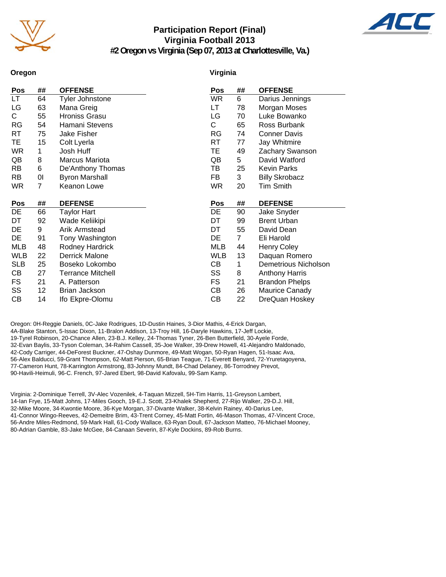

### **Participation Report (Final) Virginia Football 2013 #2 Oregon vs Virginia (Sep 07, 2013 at Charlottesville, Va.)**



**Oregon**

### **Virginia**

| LT         | ## | <b>OFFENSE</b>           | Pos        | ##           | <b>OFFENSE</b>        |
|------------|----|--------------------------|------------|--------------|-----------------------|
|            | 64 | <b>Tyler Johnstone</b>   | WR         | 6            | Darius Jennings       |
| LG         | 63 | Mana Greig               | LT         | 78           | Morgan Moses          |
| C.         | 55 | <b>Hroniss Grasu</b>     | LG         | 70           | Luke Bowanko          |
| RG         | 54 | Hamani Stevens           | С          | 65           | Ross Burbank          |
| RT         | 75 | Jake Fisher              | RG         | 74           | <b>Conner Davis</b>   |
| TE         | 15 | Colt Lyerla              | RT         | 77           | Jay Whitmire          |
| <b>WR</b>  | 1  | Josh Huff                | ТE         | 49           | Zachary Swanson       |
| QB         | 8  | Marcus Mariota           | QB         | 5            | David Watford         |
| <b>RB</b>  | 6  | De'Anthony Thomas        | TВ         | 25           | <b>Kevin Parks</b>    |
| RB         | 0I | <b>Byron Marshall</b>    | FB         | 3            | <b>Billy Skrobacz</b> |
| <b>WR</b>  | 7  | Keanon Lowe              | <b>WR</b>  | 20           | Tim Smith             |
|            |    |                          |            |              |                       |
| Pos        | ## | <b>DEFENSE</b>           | Pos        | ##           | <b>DEFENSE</b>        |
| DE         | 66 | <b>Taylor Hart</b>       | DE         | 90           | Jake Snyder           |
| DT         | 92 | Wade Keliikipi           | DT         | 99           | <b>Brent Urban</b>    |
| DE         | 9  | Arik Armstead            | DT         | 55           | David Dean            |
|            | 91 |                          |            |              |                       |
| DE         |    | Tony Washington          | DE         | $\mathbf{7}$ | Eli Harold            |
| MLB        | 48 | Rodney Hardrick          | <b>MLB</b> | 44           | <b>Henry Coley</b>    |
| <b>WLB</b> | 22 | Derrick Malone           | WLB        | 13           | Daquan Romero         |
| <b>SLB</b> | 25 | Boseko Lokombo           | CВ         | 1            | Demetrious Nicholson  |
| CВ         | 27 | <b>Terrance Mitchell</b> | SS         | 8            | <b>Anthony Harris</b> |
| FS         | 21 | A. Patterson             | FS         | 21           | <b>Brandon Phelps</b> |
| SS         | 12 | Brian Jackson            | CВ         | 26           | Maurice Canady        |
|            |    |                          |            |              |                       |

Oregon: 0H-Reggie Daniels, 0C-Jake Rodrigues, 1D-Dustin Haines, 3-Dior Mathis, 4-Erick Dargan, 4A-Blake Stanton, 5-Issac Dixon, 11-Bralon Addison, 13-Troy Hill, 16-Daryle Hawkins, 17-Jeff Lockie, 19-Tyrel Robinson, 20-Chance Allen, 23-B.J. Kelley, 24-Thomas Tyner, 26-Ben Butterfield, 30-Ayele Forde, 32-Evan Baylis, 33-Tyson Coleman, 34-Rahim Cassell, 35-Joe Walker, 39-Drew Howell, 41-Alejandro Maldonado, 42-Cody Carriger, 44-DeForest Buckner, 47-Oshay Dunmore, 49-Matt Wogan, 50-Ryan Hagen, 51-Isaac Ava, 56-Alex Balducci, 59-Grant Thompson, 62-Matt Pierson, 65-Brian Teague, 71-Everett Benyard, 72-Yruretagoyena, 77-Cameron Hunt, 78-Karrington Armstrong, 83-Johnny Mundt, 84-Chad Delaney, 86-Torrodney Prevot, 90-Havili-Heimuli, 96-C. French, 97-Jared Ebert, 98-David Kafovalu, 99-Sam Kamp.

Virginia: 2-Dominique Terrell, 3V-Alec Vozenilek, 4-Taquan Mizzell, 5H-Tim Harris, 11-Greyson Lambert, 14-Ian Frye, 15-Matt Johns, 17-Miles Gooch, 19-E.J. Scott, 23-Khalek Shepherd, 27-Rijo Walker, 29-D.J. Hill, 32-Mike Moore, 34-Kwontie Moore, 36-Kye Morgan, 37-Divante Walker, 38-Kelvin Rainey, 40-Darius Lee, 41-Connor Wingo-Reeves, 42-Demeitre Brim, 43-Trent Corney, 45-Matt Fortin, 46-Mason Thomas, 47-Vincent Croce, 56-Andre Miles-Redmond, 59-Mark Hall, 61-Cody Wallace, 63-Ryan Doull, 67-Jackson Matteo, 76-Michael Mooney, 80-Adrian Gamble, 83-Jake McGee, 84-Canaan Severin, 87-Kyle Dockins, 89-Rob Burns.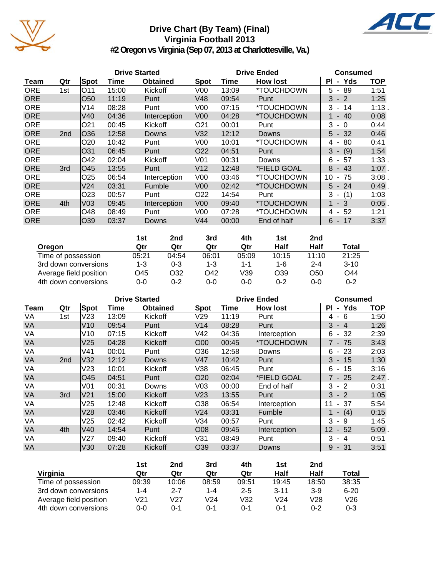

## **Drive Chart (By Team) (Final) Virginia Football 2013**



**#2 Oregon vs Virginia (Sep 07, 2013 at Charlottesville, Va.)**

|            |                 |                 | <b>Drive Started</b> |                 |                 |       | <b>Drive Ended</b> | <b>Consumed</b>                     |            |  |
|------------|-----------------|-----------------|----------------------|-----------------|-----------------|-------|--------------------|-------------------------------------|------------|--|
| Team       | Qtr             | Spot            | Time                 | <b>Obtained</b> | Spot            | Time  | <b>How lost</b>    | - Yds<br>ΡI                         | <b>TOP</b> |  |
| <b>ORE</b> | 1st             | O11             | 15:00                | Kickoff         | V00             | 13:09 | *TOUCHDOWN         | 89<br>5 -                           | 1:51       |  |
| <b>ORE</b> |                 | O <sub>50</sub> | 11:19                | Punt            | V48             | 09:54 | Punt               | $3 - 2$                             | 1:25       |  |
| <b>ORE</b> |                 | V14             | 08:28                | Punt            | V00             | 07:15 | *TOUCHDOWN         | 3<br>- 14                           | 1:13       |  |
| <b>ORE</b> |                 | V40             | 04:36                | Interception    | lV00            | 04:28 | *TOUCHDOWN         | $-40$                               | 0:08       |  |
| <b>ORE</b> |                 | O <sub>21</sub> | 00:45                | Kickoff         | IO21            | 00:01 | Punt               | 3<br>- 0                            | 0:44       |  |
| <b>ORE</b> | 2 <sub>nd</sub> | O36             | 12:58                | Downs           | V32             | 12:12 | <b>Downs</b>       | $5 - 32$                            | 0:46       |  |
| <b>ORE</b> |                 | O <sub>20</sub> | 10:42                | Punt            | V00             | 10:01 | *TOUCHDOWN         | 80<br>4<br>$\overline{\phantom{a}}$ | 0:41       |  |
| <b>ORE</b> |                 | O31             | 06:45                | Punt            | IO22            | 04:51 | Punt               | $3 - (9)$                           | 1:54       |  |
| <b>ORE</b> |                 | O42             | 02:04                | Kickoff         | V <sub>01</sub> | 00:31 | Downs              | 6<br>57<br>$\sim$                   | 1:33.      |  |
| <b>ORE</b> | 3rd             | O45             | 13:55                | Punt            | V <sub>12</sub> | 12:48 | *FIELD GOAL        | 8<br>$-43$                          | $1:07$ .   |  |
| <b>ORE</b> |                 | O <sub>25</sub> | 06:54                | Interception    | V <sub>00</sub> | 03:46 | *TOUCHDOWN         | 10<br>75<br>-                       | 3:08.      |  |
| <b>ORE</b> |                 | V24             | 03:31                | Fumble          | V <sub>0</sub>  | 02:42 | *TOUCHDOWN         | $5 - 24$                            | 0:49       |  |
| <b>ORE</b> |                 | O <sub>23</sub> | 00:57                | Punt            | O22             | 14:54 | Punt               | $3 - (1)$                           | 1:03       |  |
| <b>ORE</b> | 4th             | V <sub>03</sub> | 09:45                | Interception    | V00             | 09:40 | *TOUCHDOWN         | 1 - 3                               | 0:05       |  |
| <b>ORE</b> |                 | O48             | 08:49                | Punt            | V <sub>00</sub> | 07:28 | *TOUCHDOWN         | 4 - 52                              | 1:21       |  |
| <b>ORE</b> |                 | O39             | 03:37                | Downs           | V44             | 00:00 | End of half        | $6 - 17$                            | 3:37       |  |

|                        | 1st     | 2nd     | 3rd   | 4th   | 1st     | 2nd     |          |
|------------------------|---------|---------|-------|-------|---------|---------|----------|
| Oregon                 | Qtr     | Qtr     | Qtr   | Qtr   | Half    | Half    | Total    |
| Time of possession     | 05:21   | 04:54   | 06:01 | 05:09 | 10:15   | 11:10   | 21:25    |
| 3rd down conversions   | $1 - 3$ | $0 - 3$ | 1-3   | 1-1   | 1-6     | $2 - 4$ | $3 - 10$ |
| Average field position | O45     | 032     | O42   | V39   | O39     | O50     | O44      |
| 4th down conversions   | 0-0     | $0 - 2$ | 0-0   | 0-0   | $0 - 2$ | 0-0     | 0-2      |

|           |                 |                 |       | <b>Drive Started</b> |                 | <b>Drive Ended</b> | <b>Consumed</b>           |            |            |
|-----------|-----------------|-----------------|-------|----------------------|-----------------|--------------------|---------------------------|------------|------------|
| Team      | Qtr             | <b>Spot</b>     | Time  | <b>Obtained</b>      | Spot            | Time               | <b>How lost</b>           | PI - Yds   | <b>TOP</b> |
| VA        | 1st             | V <sub>23</sub> | 13:09 | Kickoff              | V29             | 11:19              | Punt                      | 4-6        | 1:50       |
| <b>VA</b> |                 | V10             | 09:54 | Punt                 | V14             | 08:28              | Punt                      | $3 - 4$    | 1:26       |
| VA        |                 | V10             | 07:15 | Kickoff              | V42             | 04:36              | Interception              | $-32$<br>6 | 2:39       |
| <b>VA</b> |                 | V <sub>25</sub> | 04:28 | Kickoff              | O00             | 00:45              | *TOUCHDOWN                | $7 - 75$   | 3:43       |
| VA        |                 | V41             | 00:01 | Punt                 | O36             | 12:58              | Downs                     | $6 - 23$   | 2:03       |
| <b>VA</b> | 2 <sub>nd</sub> | V32             | 12:12 | Downs                | lV47            | 10:42              | Punt                      | $3 - 15$   | 1:30       |
| VA        |                 | V <sub>23</sub> | 10:01 | Kickoff              | V38             | 06:45              | Punt                      | $6 - 15$   | 3:16       |
| <b>VA</b> |                 | O45             | 04:51 | Punt                 | O20             | 02:04              | <i><b>*FIELD GOAL</b></i> | $7 - 25$   | $2:47$ .   |
| VA        |                 | V <sub>01</sub> | 00:31 | Downs                | V <sub>03</sub> | 00:00              | End of half               | 3<br>$-2$  | 0:31       |
| <b>VA</b> | 3rd             | V21             | 15:00 | Kickoff              | V23             | 13:55              | Punt                      | $3 - 2$    | 1:05       |
| VA        |                 | V <sub>25</sub> | 12:48 | Kickoff              | 038             | 06:54              | Interception              | - 37<br>11 | 5:54       |
| <b>VA</b> |                 | V28             | 03:46 | Kickoff              | V <sub>24</sub> | 03:31              | Fumble                    | $1 - (4)$  | 0:15       |
| VA        |                 | V <sub>25</sub> | 02:42 | Kickoff              | V34             | 00:57              | Punt                      | 3<br>- 9   | 1:45       |
| <b>VA</b> | 4th             | V40             | 14:54 | Punt                 | IO08            | 09:45              | Interception              | $12 - 52$  | $5:09$ .   |
| VA        |                 | V <sub>27</sub> | 09:40 | Kickoff              | V31             | 08:49              | Punt                      | 3<br>- 4   | 0:51       |
| <b>VA</b> |                 | V30             | 07:28 | Kickoff              | 039             | 03:37              | Downs                     | $9 - 31$   | 3:51       |

|                        | 1st     | 2nd             | 3rd             | 4th     | 1st      | 2nd   |          |
|------------------------|---------|-----------------|-----------------|---------|----------|-------|----------|
| Virginia               | Qtr     | Qtr             | Qtr             | Qtr     | Half     | Half  | Total    |
| Time of possession     | 09:39   | 10:06           | 08:59           | 09:51   | 19:45    | 18:50 | 38:35    |
| 3rd down conversions   | $1 - 4$ | $2 - 7$         | $1 - 4$         | $2 - 5$ | $3 - 11$ | $3-9$ | $6 - 20$ |
| Average field position | V21     | V <sub>27</sub> | V <sub>24</sub> | V32     | V24      | V28   | V26      |
| 4th down conversions   | 0-0     | ი-1             | ი-1             | ი-1     | በ-1      | በ-2   | $0 - 3$  |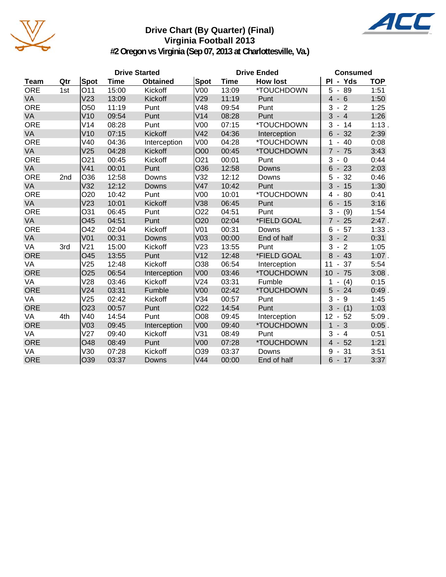

### **Drive Chart (By Quarter) (Final) Virginia Football 2013**



**#2 Oregon vs Virginia (Sep 07, 2013 at Charlottesville, Va.)**

|            |                 |                 |       | <b>Drive Started</b> |                 | <b>Drive Ended</b> | <b>Consumed</b> |                                      |            |
|------------|-----------------|-----------------|-------|----------------------|-----------------|--------------------|-----------------|--------------------------------------|------------|
| Team       | Qtr             | <b>Spot</b>     | Time  | <b>Obtained</b>      | Spot            | <b>Time</b>        | <b>How lost</b> | PI - Yds                             | <b>TOP</b> |
| <b>ORE</b> | 1st             | O11             | 15:00 | Kickoff              | V <sub>00</sub> | 13:09              | *TOUCHDOWN      | 89<br>5<br>$\blacksquare$            | 1:51       |
| VA         |                 | V <sub>23</sub> | 13:09 | Kickoff              | V29             | 11:19              | Punt            | $\overline{4}$<br>$-6$               | 1:50       |
| <b>ORE</b> |                 | O50             | 11:19 | Punt                 | V48             | 09:54              | Punt            | 3<br>$-2$                            | 1:25       |
| VA         |                 | V10             | 09:54 | Punt                 | V14             | 08:28              | Punt            | 3<br>$-4$                            | 1:26       |
| <b>ORE</b> |                 | V14             | 08:28 | Punt                 | V <sub>00</sub> | 07:15              | *TOUCHDOWN      | 14<br>3<br>$\blacksquare$            | 1:13.      |
| VA         |                 | V10             | 07:15 | Kickoff              | V42             | 04:36              | Interception    | 32<br>6<br>$\overline{\phantom{a}}$  | 2:39       |
| <b>ORE</b> |                 | V40             | 04:36 | Interception         | V <sub>00</sub> | 04:28              | *TOUCHDOWN      | 40<br>1                              | 0:08       |
| VA         |                 | V <sub>25</sub> | 04:28 | Kickoff              | O00             | 00:45              | *TOUCHDOWN      | $7 - 75$                             | 3:43       |
| <b>ORE</b> |                 | O <sub>21</sub> | 00:45 | Kickoff              | O <sub>21</sub> | 00:01              | Punt            | 3<br>$-0$                            | 0:44       |
| VA         |                 | V <sub>41</sub> | 00:01 | Punt                 | O36             | 12:58              | Downs           | 6<br>23                              | 2:03       |
| <b>ORE</b> | 2 <sub>nd</sub> | O36             | 12:58 | Downs                | V32             | 12:12              | Downs           | 5<br>32<br>$\blacksquare$            | 0:46       |
| VA         |                 | V32             | 12:12 | Downs                | <b>V47</b>      | 10:42              | Punt            | 3<br>15<br>$\overline{\phantom{a}}$  | 1:30       |
| <b>ORE</b> |                 | O <sub>20</sub> | 10:42 | Punt                 | V <sub>00</sub> | 10:01              | *TOUCHDOWN      | 80<br>4<br>$\overline{\phantom{a}}$  | 0:41       |
| VA         |                 | V23             | 10:01 | Kickoff              | V38             | 06:45              | Punt            | $6\phantom{1}$<br>$-15$              | 3:16       |
| <b>ORE</b> |                 | O31             | 06:45 | Punt                 | O22             | 04:51              | Punt            | 3<br>(9)                             | 1:54       |
| VA         |                 | O45             | 04:51 | Punt                 | O20             | 02:04              | *FIELD GOAL     | $7 - 25$                             | 2:47.      |
| <b>ORE</b> |                 | O42             | 02:04 | Kickoff              | V <sub>01</sub> | 00:31              | Downs           | 57<br>6<br>$\blacksquare$            | 1:33.      |
| VA         |                 | V <sub>01</sub> | 00:31 | Downs                | V <sub>03</sub> | 00:00              | End of half     | 3<br>$-2$                            | 0:31       |
| VA         | 3rd             | V <sub>21</sub> | 15:00 | Kickoff              | V23             | 13:55              | Punt            | 3<br>$-2$                            | 1:05       |
| <b>ORE</b> |                 | O45             | 13:55 | Punt                 | V <sub>12</sub> | 12:48              | *FIELD GOAL     | 8<br>$-43$                           | $1:07$ .   |
| VA         |                 | V25             | 12:48 | Kickoff              | O38             | 06:54              | Interception    | 11<br>37                             | 5:54       |
| <b>ORE</b> |                 | O <sub>25</sub> | 06:54 | Interception         | <b>V00</b>      | 03:46              | *TOUCHDOWN      | $-75$<br>10                          | $3:08$ .   |
| VA         |                 | V28             | 03:46 | Kickoff              | V <sub>24</sub> | 03:31              | Fumble          | (4)                                  | 0:15       |
| <b>ORE</b> |                 | V24             | 03:31 | Fumble               | V <sub>00</sub> | 02:42              | *TOUCHDOWN      | 5<br>$-24$                           | 0:49.      |
| VA         |                 | V25             | 02:42 | Kickoff              | V34             | 00:57              | Punt            | 3<br>9<br>$\overline{\phantom{a}}$   | 1:45       |
| <b>ORE</b> |                 | O <sub>23</sub> | 00:57 | Punt                 | O22             | 14:54              | Punt            | 3<br>(1)<br>$\blacksquare$           | 1:03       |
| VA         | 4th             | V40             | 14:54 | Punt                 | O08             | 09:45              | Interception    | 12<br>52<br>$\overline{\phantom{a}}$ | $5:09$ .   |
| <b>ORE</b> |                 | V <sub>03</sub> | 09:45 | Interception         | <b>V00</b>      | 09:40              | *TOUCHDOWN      | $-3$<br>$\mathbf 1$                  | $0:05$ .   |
| VA         |                 | V27             | 09:40 | Kickoff              | V31             | 08:49              | Punt            | 3<br>$-4$                            | 0:51       |
| <b>ORE</b> |                 | O48             | 08:49 | Punt                 | V <sub>00</sub> | 07:28              | *TOUCHDOWN      | $\overline{4}$<br>$-52$              | 1:21       |
| VA         |                 | V30             | 07:28 | Kickoff              | O39             | 03:37              | Downs           | 31<br>9                              | 3:51       |
| <b>ORE</b> |                 | O39             | 03:37 | <b>Downs</b>         | V44             | 00:00              | End of half     | $6 - 17$                             | 3:37       |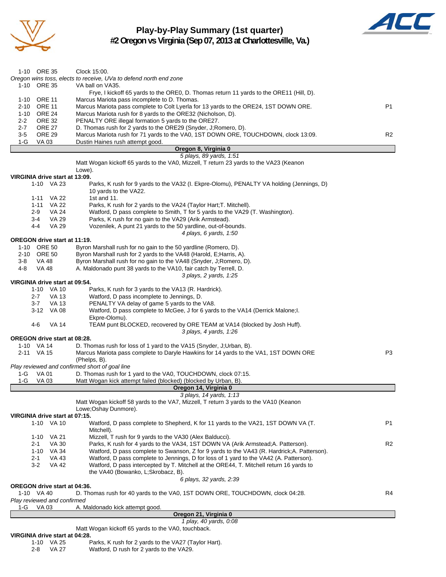

## **Play-by-Play Summary (1st quarter)**

 $\boldsymbol{A}$ 

**#2 Oregon vs Virginia (Sep 07, 2013 at Charlottesville, Va.)**

|                                                      | 1 play, 40 yards, 0:08<br>Matt Wogan kickoff 65 yards to the VA0, touchback.                                                                         |                |
|------------------------------------------------------|------------------------------------------------------------------------------------------------------------------------------------------------------|----------------|
|                                                      | Oregon 21, Virginia 0                                                                                                                                |                |
| 1-G<br>VA 03                                         | A. Maldonado kick attempt good.                                                                                                                      |                |
| Play reviewed and confirmed                          |                                                                                                                                                      |                |
| 1-10 VA 40                                           | D. Thomas rush for 40 yards to the VA0, 1ST DOWN ORE, TOUCHDOWN, clock 04:28.                                                                        | R4             |
| <b>OREGON drive start at 04:36.</b>                  |                                                                                                                                                      |                |
|                                                      | the VA40 (Bowanko, L;Skrobacz, B).<br>6 plays, 32 yards, 2:39                                                                                        |                |
| $3 - 2$<br><b>VA 42</b>                              | Watford, D pass intercepted by T. Mitchell at the ORE44, T. Mitchell return 16 yards to                                                              |                |
| VA 43<br>2-1                                         | Watford, D pass complete to Jennings, D for loss of 1 yard to the VA42 (A. Patterson).                                                               |                |
| 1-10 VA 34                                           | Watford, D pass complete to Swanson, Z for 9 yards to the VA43 (R. Hardrick; A. Patterson).                                                          |                |
| <b>VA 30</b><br>2-1                                  | Parks, K rush for 4 yards to the VA34, 1ST DOWN VA (Arik Armstead; A. Patterson).                                                                    | R <sub>2</sub> |
| 1-10 VA 21                                           | Mizzell, T rush for 9 yards to the VA30 (Alex Balducci).                                                                                             |                |
|                                                      | Mitchell).                                                                                                                                           |                |
| 1-10 VA 10                                           | Watford, D pass complete to Shepherd, K for 11 yards to the VA21, 1ST DOWN VA (T.                                                                    | P1             |
| VIRGINIA drive start at 07:15.                       |                                                                                                                                                      |                |
|                                                      | Lowe; Oshay Dunmore).                                                                                                                                |                |
|                                                      | 3 plays, 14 yards, 1:13<br>Matt Wogan kickoff 58 yards to the VA7, Mizzell, T return 3 yards to the VA10 (Keanon                                     |                |
|                                                      | Oregon 14, Virginia 0                                                                                                                                |                |
| $1-G$<br>VA 03                                       | Matt Wogan kick attempt failed (blocked) (blocked by Urban, B).                                                                                      |                |
| 1-G VA 01                                            | D. Thomas rush for 1 yard to the VA0, TOUCHDOWN, clock 07:15.                                                                                        |                |
| Play reviewed and confirmed short of goal line       |                                                                                                                                                      |                |
|                                                      | (Phelps, B).                                                                                                                                         |                |
| 2-11 VA 15                                           | Marcus Mariota pass complete to Daryle Hawkins for 14 yards to the VA1, 1ST DOWN ORE                                                                 | P3             |
| 1-10 VA 14                                           | D. Thomas rush for loss of 1 yard to the VA15 (Snyder, J;Urban, B).                                                                                  |                |
| <b>OREGON drive start at 08:28.</b>                  |                                                                                                                                                      |                |
|                                                      | 3 plays, 4 yards, 1:26                                                                                                                               |                |
| 4-6<br>VA 14                                         | TEAM punt BLOCKED, recovered by ORE TEAM at VA14 (blocked by Josh Huff).                                                                             |                |
|                                                      | Ekpre-Olomu).                                                                                                                                        |                |
| 3-12 VA 08                                           | PENALTY VA delay of game 5 yards to the VA8.<br>Watford, D pass complete to McGee, J for 6 yards to the VA14 (Derrick Malone; I.                     |                |
| 2-7<br>VA 13<br>VA 13<br>3-7                         | Watford, D pass incomplete to Jennings, D.                                                                                                           |                |
| 1-10 VA 10                                           | Parks, K rush for 3 yards to the VA13 (R. Hardrick).                                                                                                 |                |
| VIRGINIA drive start at 09:54.                       |                                                                                                                                                      |                |
|                                                      | 3 plays, 2 yards, 1:25                                                                                                                               |                |
| 4-8<br>VA 48                                         | A. Maldonado punt 38 yards to the VA10, fair catch by Terrell, D.                                                                                    |                |
| 3-8<br>VA 48                                         | Byron Marshall rush for no gain to the VA48 (Snyder, J;Romero, D).                                                                                   |                |
| 2-10 ORE 50                                          | Byron Marshall rush for 2 yards to the VA48 (Harold, E; Harris, A).                                                                                  |                |
| 1-10 ORE 50                                          | Byron Marshall rush for no gain to the 50 yardline (Romero, D).                                                                                      |                |
| OREGON drive start at 11:19.                         |                                                                                                                                                      |                |
|                                                      | 4 plays, 6 yards, 1:50                                                                                                                               |                |
| 4-4<br>VA 29                                         | Vozenilek, A punt 21 yards to the 50 yardline, out-of-bounds.                                                                                        |                |
| $3-4$<br>VA 29                                       | Parks, K rush for no gain to the VA29 (Arik Armstead).                                                                                               |                |
| VA 24<br>2-9                                         | Watford, D pass complete to Smith, T for 5 yards to the VA29 (T. Washington).                                                                        |                |
| VA 22<br>$1 - 11$                                    | Parks, K rush for 2 yards to the VA24 (Taylor Hart; T. Mitchell).                                                                                    |                |
| 1-11 VA 22                                           | 1st and 11.                                                                                                                                          |                |
|                                                      | 10 yards to the VA22.                                                                                                                                |                |
| 1-10 VA 23                                           | Parks, K rush for 9 yards to the VA32 (I. Ekpre-Olomu), PENALTY VA holding (Jennings, D)                                                             |                |
| VIRGINIA drive start at 13:09.                       |                                                                                                                                                      |                |
|                                                      | Lowe).                                                                                                                                               |                |
|                                                      | Matt Wogan kickoff 65 yards to the VA0, Mizzell, T return 23 yards to the VA23 (Keanon                                                               |                |
|                                                      | 5 plays, 89 yards, 1:51                                                                                                                              |                |
|                                                      | Oregon 8, Virginia 0                                                                                                                                 |                |
| 1-G<br>VA 03                                         | Dustin Haines rush attempt good.                                                                                                                     |                |
| $3-5$<br><b>ORE 29</b>                               | D. Thomas rush for 2 yards to the ORE29 (Snyder, J;Romero, D).<br>Marcus Mariota rush for 71 yards to the VA0, 1ST DOWN ORE, TOUCHDOWN, clock 13:09. | R <sub>2</sub> |
| $2 - 2$<br><b>ORE 32</b><br><b>ORE 27</b><br>$2 - 7$ | PENALTY ORE illegal formation 5 yards to the ORE27.                                                                                                  |                |
| 1-10 ORE 24                                          | Marcus Mariota rush for 8 yards to the ORE32 (Nicholson, D).                                                                                         |                |
| 2-10 ORE 11                                          | Marcus Mariota pass complete to Colt Lyerla for 13 yards to the ORE24, 1ST DOWN ORE.                                                                 | P <sub>1</sub> |
| 1-10 ORE 11                                          | Marcus Mariota pass incomplete to D. Thomas.                                                                                                         |                |
|                                                      | Frye, I kickoff 65 yards to the ORE0, D. Thomas return 11 yards to the ORE11 (Hill, D).                                                              |                |
| 1-10 ORE 35                                          | VA ball on VA35.                                                                                                                                     |                |
|                                                      | Oregon wins toss, elects to receive, UVa to defend north end zone                                                                                    |                |
| 1-10 ORE 35                                          | Clock 15:00.                                                                                                                                         |                |

2-8 VA 27 Watford, D rush for 2 yards to the VA29.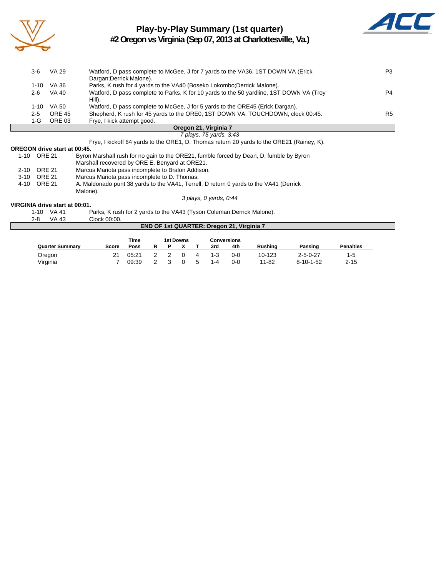

Г

### **Play-by-Play Summary (1st quarter) #2 Oregon vs Virginia (Sep 07, 2013 at Charlottesville, Va.)**



| 3-6   | VA 29         | Watford, D pass complete to McGee, J for 7 yards to the VA36, 1ST DOWN VA (Erick        | P3             |
|-------|---------------|-----------------------------------------------------------------------------------------|----------------|
|       |               | Dargan; Derrick Malone).                                                                |                |
| 1-10  | VA 36         | Parks, K rush for 4 yards to the VA40 (Boseko Lokombo; Derrick Malone).                 |                |
| 2-6   | VA 40         | Watford, D pass complete to Parks, K for 10 yards to the 50 yardline, 1ST DOWN VA (Troy | P4             |
|       |               | Hill).                                                                                  |                |
| 1-10  | VA 50         | Watford, D pass complete to McGee, J for 5 yards to the ORE45 (Erick Dargan).           |                |
| $2-5$ | <b>ORE 45</b> | Shepherd, K rush for 45 yards to the ORE0, 1ST DOWN VA, TOUCHDOWN, clock 00:45.         | R <sub>5</sub> |
| 1-G   | ORE 03        | Frye, I kick attempt good.                                                              |                |
|       |               | Oregon 21, Virginia 7                                                                   |                |

#### *7 plays, 75 yards, 3:43* Frye, I kickoff 64 yards to the ORE1, D. Thomas return 20 yards to the ORE21 (Rainey, K).

#### **OREGON drive start at 00:45.**

| <u>oneoon univeladii ul vu.hv.</u> |                                                                                         |
|------------------------------------|-----------------------------------------------------------------------------------------|
| ORE 21                             | Byron Marshall rush for no gain to the ORE21, fumble forced by Dean, D, fumble by Byron |
|                                    | Marshall recovered by ORE E. Benyard at ORE21.                                          |
| ORE 21                             | Marcus Mariota pass incomplete to Bralon Addison.                                       |
| ORE 21                             | Marcus Mariota pass incomplete to D. Thomas.                                            |
| ORE 21                             | A. Maldonado punt 38 yards to the VA41, Terrell, D return 0 yards to the VA41 (Derrick  |
|                                    | Malone).                                                                                |
|                                    | 3 plays, 0 yards, 0:44                                                                  |
|                                    |                                                                                         |

#### **VIRGINIA drive start at 00:01.**

| 2-8 | $1-10$ VA 41<br>VA 43 | Parks, K rush for 2 yards to the VA43 (Tyson Coleman; Derrick Malone).<br>Clock 00:00. |
|-----|-----------------------|----------------------------------------------------------------------------------------|
|     |                       | <b>END OF 1st QUARTER: Oregon 21, Virginia 7</b>                                       |

|                        |       | Time  |  | <b>1st Downs</b> |   |         | <b>Conversions</b> |                |                   |                  |
|------------------------|-------|-------|--|------------------|---|---------|--------------------|----------------|-------------------|------------------|
| <b>Quarter Summary</b> | Score | Poss  |  |                  |   | 3rd     | 4th                | <b>Rushing</b> | Passing           | <b>Penalties</b> |
| Oregon                 |       | 05:21 |  |                  | 4 | $1 - 3$ | 0-0                | 10-123         | $2 - 5 - 0 - 27$  | 1-5              |
| Virginia               |       | 09:39 |  |                  | 5 | $1 - 4$ | 0-0                | $11 - 82$      | $8 - 10 - 1 - 52$ | $2 - 15$         |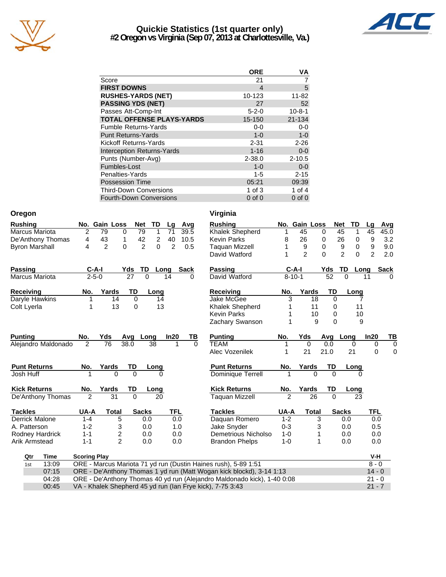

### **Quickie Statistics (1st quarter only) #2 Oregon vs Virginia (Sep 07, 2013 at Charlottesville, Va.)**



|                                   | <b>ORE</b>  | VA           |
|-----------------------------------|-------------|--------------|
| Score                             | 21          |              |
| <b>FIRST DOWNS</b>                | 4           | 5            |
| <b>RUSHES-YARDS (NET)</b>         | 10-123      | $11 - 82$    |
| <b>PASSING YDS (NET)</b>          | 27          | 52           |
| Passes Att-Comp-Int               | $5 - 2 - 0$ | $10 - 8 - 1$ |
| <b>TOTAL OFFENSE PLAYS-YARDS</b>  | 15-150      | 21-134       |
| <b>Fumble Returns-Yards</b>       | $0-0$       | $0 - 0$      |
| <b>Punt Returns-Yards</b>         | $1 - 0$     | $1 - 0$      |
| Kickoff Returns-Yards             | $2 - 31$    | $2 - 26$     |
| <b>Interception Returns-Yards</b> | $1 - 16$    | $0-0$        |
| Punts (Number-Avg)                | $2 - 38.0$  | $2 - 10.5$   |
| Fumbles-Lost                      | $1 - 0$     | $0 - 0$      |
| Penalties-Yards                   | $1 - 5$     | $2 - 15$     |
| <b>Possession Time</b>            | 05:21       | 09:39        |
| <b>Third-Down Conversions</b>     | 1 of $3$    | 1 of 4       |
| <b>Fourth-Down Conversions</b>    | $0$ of $0$  | $0$ of $0$   |

| Oregon                |                     |                                  |                 |                     |            |             | Virginia                                                                |                |                |                      |                |          |                |             |
|-----------------------|---------------------|----------------------------------|-----------------|---------------------|------------|-------------|-------------------------------------------------------------------------|----------------|----------------|----------------------|----------------|----------|----------------|-------------|
| <b>Rushing</b>        |                     | No. Gain Loss                    | <b>Net</b>      | TD                  | Lq         | Avg         | <b>Rushing</b>                                                          |                | No. Gain Loss  |                      | <b>Net</b>     | TD       | Lg             | Avg         |
| Marcus Mariota        | $\overline{2}$      | 0<br>79                          | 79              | 1                   | 71         | 39.5        | Khalek Shepherd                                                         | 1              | 45             | 0                    | 45             | 1        | 45             | 45.0        |
| De'Anthony Thomas     | 4                   | 43<br>1                          | 42              | $\overline{2}$      | 40         | 10.5        | <b>Kevin Parks</b>                                                      | 8              | 26             | 0                    | 26             | 0        | 9              | 3.2         |
| <b>Byron Marshall</b> | 4                   | $\overline{2}$<br>$\overline{0}$ |                 | $\overline{2}$<br>0 | 2          | 0.5         | <b>Taquan Mizzell</b>                                                   | 1              | 9              | $\Omega$             | 9              | 0        | 9              | 9.0         |
|                       |                     |                                  |                 |                     |            |             | David Watford                                                           | 1              | $\overline{2}$ | $\Omega$             | $\overline{2}$ | $\Omega$ | $\overline{2}$ | 2.0         |
| <b>Passing</b>        | C-A-I               |                                  | Yds             | TD<br>Long          |            | <b>Sack</b> | Passing                                                                 |                | $C-A-I$        | Yds                  | TD             | Long     |                | <b>Sack</b> |
| <b>Marcus Mariota</b> | $2 - 5 - 0$         |                                  | $\overline{27}$ | $\mathbf{0}$        | 14         | 0           | David Watford                                                           |                | $8 - 10 - 1$   | $\overline{52}$      | $\overline{0}$ | 11       |                |             |
| <b>Receiving</b>      | No.                 | Yards                            | TD              | Long                |            |             | <b>Receiving</b>                                                        | No.            | Yards          | TD                   |                | Long     |                |             |
| Daryle Hawkins        | 1                   | 14                               | $\mathbf 0$     | 14                  |            |             | Jake McGee                                                              | 3              | 18             |                      | $\mathbf 0$    | 7        |                |             |
| Colt Lyerla           | 1                   | 13                               | 0               | 13                  |            |             | Khalek Shepherd                                                         |                | 11             |                      | 0              | 11       |                |             |
|                       |                     |                                  |                 |                     |            |             | <b>Kevin Parks</b>                                                      |                | 10             |                      | 0              | 10       |                |             |
|                       |                     |                                  |                 |                     |            |             | Zachary Swanson                                                         |                |                | 9                    | $\overline{0}$ | 9        |                |             |
| <b>Punting</b>        | No.                 | Yds                              | Avg             | Long                | In20       | TВ          | <b>Punting</b>                                                          | No.            | Yds            |                      | Avg Long       |          | In20           | TВ          |
| Alejandro Maldonado   | 2                   | 76                               | 38.0            | 38                  |            | $\Omega$    | <b>TEAM</b>                                                             | 1              | $\mathbf 0$    | 0.0                  |                | 0        | $\mathbf 0$    | $\mathbf 0$ |
|                       |                     |                                  |                 |                     |            |             | Alec Vozenilek                                                          | 1              | 21             | 21.0                 | 21             |          | 0              | 0           |
| <b>Punt Returns</b>   | No.                 | Yards                            | TD              | Long                |            |             | <b>Punt Returns</b>                                                     | No.            | Yards          | TD                   |                | Long     |                |             |
| Josh Huff             |                     | $\Omega$                         | $\Omega$        | U                   |            |             | Dominique Terrell                                                       |                |                | $\Omega$<br>$\Omega$ |                | 0        |                |             |
| <b>Kick Returns</b>   | No.                 | Yards                            | TD              | Long                |            |             | <b>Kick Returns</b>                                                     | No.            | Yards          | TD                   |                | Long     |                |             |
| De'Anthony Thomas     | $\overline{2}$      | $\overline{31}$                  | $\overline{0}$  | 20                  |            |             | <b>Taquan Mizzell</b>                                                   | $\mathfrak{p}$ | 26             | $\Omega$             |                | 23       |                |             |
| <b>Tackles</b>        | UA-A                | <b>Total</b>                     |                 | <b>Sacks</b>        | <b>TFL</b> |             | <b>Tackles</b>                                                          | UA-A           | <b>Total</b>   |                      | <b>Sacks</b>   |          | <b>TFL</b>     |             |
| <b>Derrick Malone</b> | $1 - 4$             | 5                                |                 | 0.0                 | 0.0        |             | Daquan Romero                                                           | $1 - 2$        |                | 3                    | 0.0            |          | 0.0            |             |
| A. Patterson          | $1 - 2$             | 3                                |                 | 0.0                 | 1.0        |             | Jake Snyder                                                             | $0 - 3$        |                | 3                    | 0.0            |          | 0.5            |             |
| Rodney Hardrick       | $1 - 1$             | $\overline{c}$                   |                 | 0.0                 | 0.0        |             | Demetrious Nicholso                                                     | $1 - 0$        |                | 1                    | 0.0            |          | 0.0            |             |
| <b>Arik Armstead</b>  | $1 - 1$             | $\overline{2}$                   |                 | 0.0                 | 0.0        |             | <b>Brandon Phelps</b>                                                   | $1-0$          |                | 1                    | 0.0            |          | 0.0            |             |
| Qtr<br>Time           | <b>Scoring Play</b> |                                  |                 |                     |            |             |                                                                         |                |                |                      |                |          | V-H            |             |
| 13:09<br>1st          |                     |                                  |                 |                     |            |             | ORE - Marcus Mariota 71 yd run (Dustin Haines rush), 5-89 1:51          |                |                |                      |                |          | $8 - 0$        |             |
| 07:15                 |                     |                                  |                 |                     |            |             | ORE - De'Anthony Thomas 1 yd run (Matt Wogan kick blockd), 3-14 1:13    |                |                |                      |                |          | $14 - 0$       |             |
| 04:28                 |                     |                                  |                 |                     |            |             | ORE - De'Anthony Thomas 40 yd run (Alejandro Maldonado kick), 1-40 0:08 |                |                |                      |                |          | $21 - 0$       |             |
| 00:45                 |                     |                                  |                 |                     |            |             | VA - Khalek Shepherd 45 yd run (Ian Frye kick), 7-75 3:43               |                |                |                      |                |          | $21 - 7$       |             |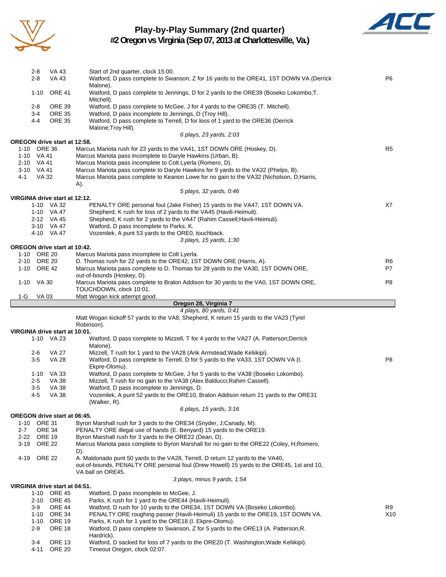

### **Play-by-Play Summary (2nd quarter)**



**#2 Oregon vs Virginia (Sep 07, 2013 at Charlottesville, Va.)**

| $2 - 8$<br><b>VA 43</b>                            | VA 43<br>Start of 2nd quarter, clock 15:00.<br>Watford, D pass complete to Swanson, Z for 16 yards to the ORE41, 1ST DOWN VA (Derrick                                        | P <sub>6</sub> |
|----------------------------------------------------|------------------------------------------------------------------------------------------------------------------------------------------------------------------------------|----------------|
| <b>ORE 41</b><br>$1 - 10$                          | Malone).<br>Watford, D pass complete to Jennings, D for 2 yards to the ORE39 (Boseko Lokombo; T.                                                                             |                |
| <b>ORE 39</b><br>2-8<br>$3-4$<br><b>ORE 35</b>     | Mitchell).<br>Watford, D pass complete to McGee, J for 4 yards to the ORE35 (T. Mitchell).<br>Watford, D pass incomplete to Jennings, D (Troy Hill).                         |                |
| <b>ORE 35</b><br>$4 - 4$                           | Watford, D pass complete to Terrell, D for loss of 1 yard to the ORE36 (Derrick<br>Malone; Troy Hill).                                                                       |                |
|                                                    | 6 plays, 23 yards, 2:03                                                                                                                                                      |                |
| OREGON drive start at 12:58.<br>1-10 ORE 36        | Marcus Mariota rush for 23 yards to the VA41, 1ST DOWN ORE (Hoskey, D).                                                                                                      | R5             |
| 1-10 VA 41                                         | Marcus Mariota pass incomplete to Daryle Hawkins (Urban, B).                                                                                                                 |                |
| 2-10 VA 41<br>3-10 VA 41                           | Marcus Mariota pass incomplete to Colt Lyerla (Romero, D).<br>Marcus Mariota pass complete to Daryle Hawkins for 9 yards to the VA32 (Phelps, B).                            |                |
| VA 32<br>4-1                                       | Marcus Mariota pass complete to Keanon Lowe for no gain to the VA32 (Nicholson, D; Harris,<br>A).                                                                            |                |
|                                                    | 5 plays, 32 yards, 0.46                                                                                                                                                      |                |
| VIRGINIA drive start at 12:12.<br>1-10 VA 32       | PENALTY ORE personal foul (Jake Fisher) 15 yards to the VA47, 1ST DOWN VA.                                                                                                   | X7             |
| 1-10 VA 47                                         | Shepherd, K rush for loss of 2 yards to the VA45 (Havili-Heimuli).                                                                                                           |                |
| 2-12 VA 45                                         | Shepherd, K rush for 2 yards to the VA47 (Rahim Cassell; Havili-Heimuli).<br>Watford, D pass incomplete to Parks, K.                                                         |                |
| 3-10 VA 47<br>4-10 VA 47                           | Vozenilek, A punt 53 yards to the ORE0, touchback.                                                                                                                           |                |
|                                                    | 3 plays, 15 yards, 1:30                                                                                                                                                      |                |
| <b>OREGON drive start at 10:42.</b><br>1-10 ORE 20 | Marcus Mariota pass incomplete to Colt Lyerla.                                                                                                                               |                |
| 2-10 ORE 20                                        | D. Thomas rush for 22 yards to the ORE42, 1ST DOWN ORE (Harris, A).                                                                                                          | R6             |
| 1-10 ORE 42                                        | Marcus Mariota pass complete to D. Thomas for 28 yards to the VA30, 1ST DOWN ORE,                                                                                            | P7             |
| 1-10 VA 30                                         | out-of-bounds (Hoskey, D).<br>Marcus Mariota pass complete to Bralon Addison for 30 yards to the VA0, 1ST DOWN ORE,<br>TOUCHDOWN, clock 10:01.                               | P8             |
| $1-G$<br>VA 03                                     | Matt Wogan kick attempt good.                                                                                                                                                |                |
|                                                    | Oregon 28, Virginia 7                                                                                                                                                        |                |
|                                                    | 4 plays, 80 yards, 0:41<br>Matt Wogan kickoff 57 yards to the VA8, Shepherd, K return 15 yards to the VA23 (Tyrel                                                            |                |
|                                                    | Robinson).                                                                                                                                                                   |                |
|                                                    |                                                                                                                                                                              |                |
| VIRGINIA drive start at 10:01.                     |                                                                                                                                                                              |                |
| 1-10 VA 23                                         | Watford, D pass complete to Mizzell, T for 4 yards to the VA27 (A. Patterson; Derrick<br>Malone).                                                                            |                |
| <b>VA 27</b><br>2-6<br>$3-5$<br><b>VA 28</b>       | Mizzell, T rush for 1 yard to the VA28 (Arik Armstead; Wade Keliikipi).<br>Watford, D pass complete to Terrell, D for 5 yards to the VA33, 1ST DOWN VA (I.<br>Ekpre-Olomu).  | P8             |
| 1-10 VA 33                                         | Watford, D pass complete to McGee, J for 5 yards to the VA38 (Boseko Lokombo).                                                                                               |                |
| <b>VA 38</b><br>2-5                                | Mizzell, T rush for no gain to the VA38 (Alex Balducci; Rahim Cassell).                                                                                                      |                |
| <b>VA 38</b><br>$3-5$<br>4-5<br>VA 38              | Watford, D pass incomplete to Jennings, D.<br>Vozenilek, A punt 52 yards to the ORE10, Bralon Addison return 21 yards to the ORE31                                           |                |
|                                                    | (Walker, R).                                                                                                                                                                 |                |
|                                                    | 6 plays, 15 yards, 3:16                                                                                                                                                      |                |
| OREGON drive start at 06:45.<br>1-10 ORE 31        | Byron Marshall rush for 3 yards to the ORE34 (Snyder, J;Canady, M).                                                                                                          |                |
| $2 - 7$<br>ORE 34                                  | PENALTY ORE illegal use of hands (E. Benyard) 15 yards to the ORE19.                                                                                                         |                |
| 2-22 ORE 19<br>3-19 ORE 22                         | Byron Marshall rush for 3 yards to the ORE22 (Dean, D).<br>Marcus Mariota pass complete to Byron Marshall for no gain to the ORE22 (Coley, H;Romero,<br>D).                  |                |
| ORE 22<br>4-19                                     | A. Maldonado punt 50 yards to the VA28, Terrell, D return 12 yards to the VA40,<br>out-of-bounds, PENALTY ORE personal foul (Drew Howell) 15 yards to the ORE45, 1st and 10, |                |
|                                                    | VA ball on ORE45.                                                                                                                                                            |                |
| VIRGINIA drive start at 04:51.                     | 3 plays, minus 9 yards, 1:54                                                                                                                                                 |                |
| 1-10 ORE 45                                        | Watford, D pass incomplete to McGee, J.                                                                                                                                      |                |
| 2-10 ORE 45<br><b>ORE 44</b><br>3-9                | Parks, K rush for 1 yard to the ORE44 (Havili-Heimuli).<br>Watford, D rush for 10 yards to the ORE34, 1ST DOWN VA (Boseko Lokombo).                                          | R9             |
| 1-10 ORE 34                                        | PENALTY ORE roughing passer (Havili-Heimuli) 15 yards to the ORE19, 1ST DOWN VA.                                                                                             | X10            |
| 1-10 ORE 19                                        | Parks, K rush for 1 yard to the ORE18 (I. Ekpre-Olomu).                                                                                                                      |                |
| $2 - 9$<br><b>ORE 18</b>                           | Watford, D pass complete to Swanson, Z for 5 yards to the ORE13 (A. Patterson; R.<br>Hardrick).                                                                              |                |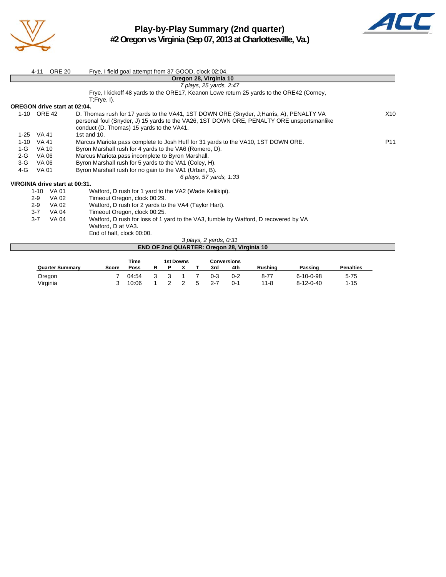



| 4-11                                | <b>ORE 20</b> | Frye, I field goal attempt from 37 GOOD, clock 02:04.                                                       |                 |
|-------------------------------------|---------------|-------------------------------------------------------------------------------------------------------------|-----------------|
|                                     |               | Oregon 28, Virginia 10                                                                                      |                 |
|                                     |               | 7 plays, 25 yards, 2:47                                                                                     |                 |
|                                     |               | Frye, I kickoff 48 yards to the ORE17, Keanon Lowe return 25 yards to the ORE42 (Corney,<br>$T$ ; Frye, I). |                 |
| <b>OREGON drive start at 02:04.</b> |               |                                                                                                             |                 |
| $1 - 10$                            |               |                                                                                                             |                 |
|                                     | <b>ORE 42</b> | D. Thomas rush for 17 yards to the VA41, 1ST DOWN ORE (Snyder, J.Harris, A), PENALTY VA                     | X10             |
|                                     |               | personal foul (Snyder, J) 15 yards to the VA26, 1ST DOWN ORE, PENALTY ORE unsportsmanlike                   |                 |
|                                     |               | conduct (D. Thomas) 15 yards to the VA41.                                                                   |                 |
| VA 41<br>$1-25$                     |               | 1st and $10$ .                                                                                              |                 |
| <b>VA 41</b><br>$1 - 10$            |               | Marcus Mariota pass complete to Josh Huff for 31 yards to the VA10, 1ST DOWN ORE.                           | P <sub>11</sub> |
| $1-G$<br><b>VA 10</b>               |               | Byron Marshall rush for 4 yards to the VA6 (Romero, D).                                                     |                 |
| $2-G$<br>VA 06                      |               | Marcus Mariota pass incomplete to Byron Marshall.                                                           |                 |
| $3-G$<br>VA 06                      |               | Byron Marshall rush for 5 yards to the VA1 (Coley, H).                                                      |                 |
| 4-G<br>VA 01                        |               | Byron Marshall rush for no gain to the VA1 (Urban, B).                                                      |                 |
|                                     |               | 6 plays, 57 yards, 1:33                                                                                     |                 |
| VIRGINIA drive start at 00:31.      |               |                                                                                                             |                 |
|                                     | 1-10 VA 01    | Watford, D rush for 1 yard to the VA2 (Wade Keliikipi).                                                     |                 |
| $2-9$                               | VA 02         | Timeout Oregon, clock 00:29.                                                                                |                 |
| $2-9$                               | VA 02         | Watford, D rush for 2 yards to the VA4 (Taylor Hart).                                                       |                 |
| $3 - 7$                             | VA 04         | Timeout Oregon, clock 00:25.                                                                                |                 |
| $3 - 7$                             | VA 04         | Watford, D rush for loss of 1 yard to the VA3, fumble by Watford, D recovered by VA                         |                 |
|                                     |               | Watford, D at VA3.                                                                                          |                 |
|                                     |               | End of half, clock 00:00.                                                                                   |                 |
|                                     |               | 3 plays, 2 yards, 0:31                                                                                      |                 |
|                                     |               | END OF 2nd QUARTER: Oregon 28, Virginia 10                                                                  |                 |
|                                     |               |                                                                                                             |                 |

|                        |       | <b>Time</b> | <b>1st Downs</b> |    |         | <b>Conversions</b> |                |                   |                  |
|------------------------|-------|-------------|------------------|----|---------|--------------------|----------------|-------------------|------------------|
| <b>Quarter Summary</b> | Score | Poss        |                  |    | 3rd     | 4th                | <b>Rushing</b> | Passing           | <b>Penalties</b> |
| Oregon                 |       | 04:54       |                  |    | $0 - 3$ | $0 - 2$            | $8 - 77$       | $6 - 10 - 0 - 98$ | $5 - 75$         |
| Virginia               |       | 10:06       |                  | -5 | $2 - 7$ | $0 - 1$            | $11 - 8$       | $8 - 12 - 0 - 40$ | $1 - 15$         |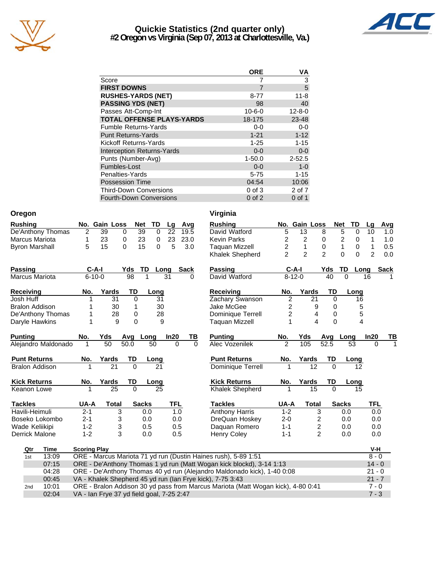

### **Quickie Statistics (2nd quarter only) #2 Oregon vs Virginia (Sep 07, 2013 at Charlottesville, Va.)**



|                                   | <b>ORE</b>   | VA             |
|-----------------------------------|--------------|----------------|
| Score                             |              | 3              |
| <b>FIRST DOWNS</b>                | 7            | $\overline{5}$ |
| <b>RUSHES-YARDS (NET)</b>         | $8 - 77$     | $11 - 8$       |
| <b>PASSING YDS (NET)</b>          | 98           | 40             |
| Passes Att-Comp-Int               | $10 - 6 - 0$ | $12 - 8 - 0$   |
| <b>TOTAL OFFENSE PLAYS-YARDS</b>  | 18-175       | 23-48          |
| <b>Fumble Returns-Yards</b>       | $0 - 0$      | $0 - 0$        |
| <b>Punt Returns-Yards</b>         | $1 - 21$     | $1 - 12$       |
| Kickoff Returns-Yards             | $1 - 25$     | $1 - 15$       |
| <b>Interception Returns-Yards</b> | $0 - 0$      | $0 - 0$        |
| Punts (Number-Avg)                | $1 - 50.0$   | $2 - 52.5$     |
| Fumbles-Lost                      | $0 - 0$      | $1 - 0$        |
| Penalties-Yards                   | $5 - 75$     | $1 - 15$       |
| <b>Possession Time</b>            | 04:54        | 10:06          |
| <b>Third-Down Conversions</b>     | $0$ of $3$   | 2 of 7         |
| <b>Fourth-Down Conversions</b>    | $0$ of $2$   | $0$ of 1       |

| Oregon         |                       |                     |                                           |          |                |            |             |              | Virginia                                                                         |                         |                |                |                |                |          |                |             |
|----------------|-----------------------|---------------------|-------------------------------------------|----------|----------------|------------|-------------|--------------|----------------------------------------------------------------------------------|-------------------------|----------------|----------------|----------------|----------------|----------|----------------|-------------|
| <b>Rushing</b> |                       |                     | No. Gain Loss                             |          | TD<br>Net      | Lg         | Avg         |              | <b>Rushing</b>                                                                   |                         | No. Gain Loss  |                |                | <b>Net</b>     | TD       | Lg             | <b>Avg</b>  |
|                | De'Anthony Thomas     | 2                   | 39                                        | 0        | 39<br>$\Omega$ | 22         | 19.5        |              | David Watford                                                                    | 5                       | 13             |                | 8              | 5              | $\Omega$ | 10             | 1.0         |
|                | Marcus Mariota        | 1                   | 23                                        | 0        | 23<br>0        | 23         | 23.0        |              | <b>Kevin Parks</b>                                                               | 2                       | $\overline{c}$ |                | 0              | $\overline{2}$ | 0        | 1              | 1.0         |
|                | <b>Byron Marshall</b> | 5                   | 15                                        | $\Omega$ | 15<br>0        | 5          | 3.0         |              | <b>Taquan Mizzell</b>                                                            | $\overline{\mathbf{c}}$ | 1              |                | 0              | 1              | 0        | 1              | 0.5         |
|                |                       |                     |                                           |          |                |            |             |              | Khalek Shepherd                                                                  | $\overline{2}$          | $\overline{2}$ |                | $\overline{2}$ | $\Omega$       | $\Omega$ | $\overline{2}$ | 0.0         |
| Passing        |                       |                     | $C-A-I$                                   | Yds      | TD             | Long       | <b>Sack</b> |              | <b>Passing</b>                                                                   |                         | $C-A-I$        |                | Yds            | TD             | Long     |                | <b>Sack</b> |
|                | Marcus Mariota        |                     | $6 - 10 - 0$                              | 98       |                | 31         |             | <sup>0</sup> | David Watford                                                                    |                         | $8 - 12 - 0$   |                | 40             | $\Omega$       |          | 16             |             |
| Receiving      |                       | No.                 | Yards                                     | TD       | Long           |            |             |              | Receiving                                                                        | No.                     | Yards          |                | TD             |                | Long     |                |             |
| Josh Huff      |                       |                     | 31                                        | $\Omega$ | 31             |            |             |              | Zachary Swanson                                                                  | $\overline{c}$          |                | 21             | 0              |                | 16       |                |             |
|                | <b>Bralon Addison</b> |                     | 30                                        | 1        | 30             |            |             |              | Jake McGee                                                                       | 2                       |                | 9              | 0              |                | 5        |                |             |
|                | De'Anthony Thomas     |                     | 28                                        | 0        | 28             |            |             |              | Dominique Terrell                                                                | 2                       |                | 4              | 0              |                | 5        |                |             |
|                | Daryle Hawkins        |                     | 9                                         | 0        |                | 9          |             |              | Taquan Mizzell                                                                   | 1                       |                | 4              | $\mathbf{0}$   |                | 4        |                |             |
| <b>Punting</b> |                       | No.                 | Yds                                       |          | Avg Long       | In20       |             | TВ           | <b>Punting</b>                                                                   | No.                     | Yds            |                | Avg            | Long           |          | In20           | ΤВ          |
|                | Alejandro Maldonado   |                     | 50                                        | 50.0     | 50             |            | $\Omega$    | $\Omega$     | Alec Vozenilek                                                                   | $\mathfrak{p}$          | 105            |                | 52.5           | 53             |          | $\Omega$       |             |
|                | <b>Punt Returns</b>   | No.                 | Yards                                     | TD       | Long           |            |             |              | <b>Punt Returns</b>                                                              | No.                     | Yards          |                | TD             |                | Long     |                |             |
|                | <b>Bralon Addison</b> |                     | 21                                        | $\Omega$ | 21             |            |             |              | <b>Dominique Terrell</b>                                                         |                         |                | 12             | $\Omega$       |                | 12       |                |             |
|                | <b>Kick Returns</b>   | No.                 | Yards                                     | TD       | Long           |            |             |              | <b>Kick Returns</b>                                                              | No.                     | Yards          |                | TD             |                | Long     |                |             |
|                | Keanon Lowe           | 1                   | 25                                        | $\Omega$ | 25             |            |             |              | <b>Khalek Shepherd</b>                                                           |                         |                | 15             | $\Omega$       |                | 15       |                |             |
| <b>Tackles</b> |                       | UA-A                | Total                                     |          | <b>Sacks</b>   | <b>TFL</b> |             |              | <b>Tackles</b>                                                                   | UA-A                    |                | <b>Total</b>   |                | <b>Sacks</b>   |          | <b>TFL</b>     |             |
|                | Havili-Heimuli        | $2 - 1$             |                                           | 3        | 0.0            |            | 1.0         |              | <b>Anthony Harris</b>                                                            | $1 - 2$                 |                | 3              |                | 0.0            |          | 0.0            |             |
|                | Boseko Lokombo        | $2 - 1$             |                                           | 3        | 0.0            |            | 0.0         |              | DreQuan Hoskey                                                                   | $2 - 0$                 |                | 2              |                | 0.0            |          | 0.0            |             |
|                | Wade Keliikipi        | $1 - 2$             |                                           | 3        | 0.5            |            | 0.5         |              | Daguan Romero                                                                    | $1 - 1$                 |                | 2              |                | 0.0            |          | 0.0            |             |
|                | Derrick Malone        | $1 - 2$             |                                           | 3        | 0.0            |            | 0.5         |              | <b>Henry Coley</b>                                                               | $1 - 1$                 |                | $\overline{2}$ |                | 0.0            |          | 0.0            |             |
| Qtr            | Time                  | <b>Scoring Play</b> |                                           |          |                |            |             |              |                                                                                  |                         |                |                |                |                |          | V-H            |             |
| 1st            | 13:09                 |                     |                                           |          |                |            |             |              | ORE - Marcus Mariota 71 yd run (Dustin Haines rush), 5-89 1:51                   |                         |                |                |                |                |          | $8 - 0$        |             |
|                | 07:15                 |                     |                                           |          |                |            |             |              | ORE - De'Anthony Thomas 1 yd run (Matt Wogan kick blockd), 3-14 1:13             |                         |                |                |                |                |          | $14 - 0$       |             |
|                | 04:28                 |                     |                                           |          |                |            |             |              | ORE - De'Anthony Thomas 40 yd run (Alejandro Maldonado kick), 1-40 0:08          |                         |                |                |                |                |          | $21 - 0$       |             |
|                | 00:45                 |                     |                                           |          |                |            |             |              | VA - Khalek Shepherd 45 yd run (Ian Frye kick), 7-75 3:43                        |                         |                |                |                |                |          | $21 - 7$       |             |
| 2nd            | 10:01                 |                     |                                           |          |                |            |             |              | ORE - Bralon Addison 30 yd pass from Marcus Mariota (Matt Wogan kick), 4-80 0:41 |                         |                |                |                |                |          | $7 - 0$        |             |
|                | 02:04                 |                     | VA - Ian Frye 37 yd field goal, 7-25 2:47 |          |                |            |             |              |                                                                                  |                         |                |                |                |                |          | $7 - 3$        |             |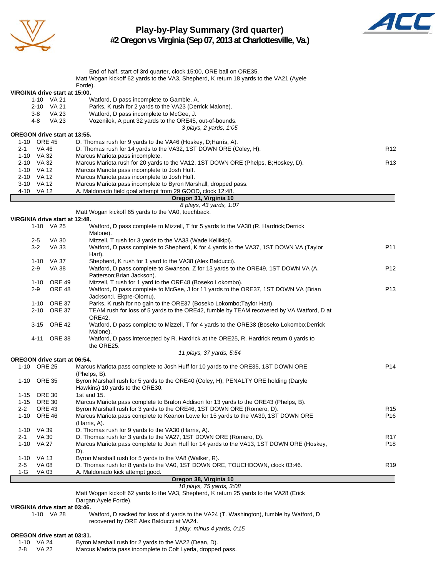

### **Play-by-Play Summary (3rd quarter) #2 Oregon vs Virginia (Sep 07, 2013 at Charlottesville, Va.)**



|                              |                     |                                     | End of half, start of 3rd quarter, clock 15:00, ORE ball on ORE35.                                                       |                 |
|------------------------------|---------------------|-------------------------------------|--------------------------------------------------------------------------------------------------------------------------|-----------------|
|                              |                     |                                     | Matt Wogan kickoff 62 yards to the VA3, Shepherd, K return 18 yards to the VA21 (Ayele                                   |                 |
|                              |                     |                                     | Forde).                                                                                                                  |                 |
|                              |                     | VIRGINIA drive start at 15:00.      |                                                                                                                          |                 |
|                              |                     | 1-10 VA 21                          | Watford, D pass incomplete to Gamble, A.                                                                                 |                 |
|                              |                     | 2-10 VA 21                          | Parks, K rush for 2 yards to the VA23 (Derrick Malone).                                                                  |                 |
|                              | 3-8                 | VA 23                               | Watford, D pass incomplete to McGee, J.                                                                                  |                 |
|                              | 4-8                 | VA 23                               | Vozenilek, A punt 32 yards to the ORE45, out-of-bounds.                                                                  |                 |
|                              |                     |                                     | 3 plays, 2 yards, 1:05                                                                                                   |                 |
|                              | 1-10 ORE 45         | <b>OREGON drive start at 13:55.</b> | D. Thomas rush for 9 yards to the VA46 (Hoskey, D; Harris, A).                                                           |                 |
| 2-1                          | VA 46               |                                     | D. Thomas rush for 14 yards to the VA32, 1ST DOWN ORE (Coley, H).                                                        | R <sub>12</sub> |
| 1-10 VA 32                   |                     |                                     | Marcus Mariota pass incomplete.                                                                                          |                 |
| 2-10 VA 32                   |                     |                                     | Marcus Mariota rush for 20 yards to the VA12, 1ST DOWN ORE (Phelps, B;Hoskey, D).                                        | R <sub>13</sub> |
| 1-10 VA 12                   |                     |                                     | Marcus Mariota pass incomplete to Josh Huff.                                                                             |                 |
| 2-10 VA 12                   |                     |                                     | Marcus Mariota pass incomplete to Josh Huff.                                                                             |                 |
|                              | 3-10 VA 12          |                                     | Marcus Mariota pass incomplete to Byron Marshall, dropped pass.                                                          |                 |
| 4-10 VA 12                   |                     |                                     | A. Maldonado field goal attempt from 29 GOOD, clock 12:48.                                                               |                 |
|                              |                     |                                     | Oregon 31, Virginia 10                                                                                                   |                 |
|                              |                     |                                     | 8 plays, 43 yards, 1:07                                                                                                  |                 |
|                              |                     |                                     | Matt Wogan kickoff 65 yards to the VA0, touchback.                                                                       |                 |
|                              |                     | VIRGINIA drive start at 12:48.      |                                                                                                                          |                 |
|                              |                     | 1-10 VA 25                          | Watford, D pass complete to Mizzell, T for 5 yards to the VA30 (R. Hardrick; Derrick                                     |                 |
|                              |                     |                                     | Malone).                                                                                                                 |                 |
|                              | 2-5                 | VA 30                               | Mizzell, T rush for 3 yards to the VA33 (Wade Keliikipi).                                                                |                 |
|                              | $3-2$               | VA 33                               | Watford, D pass complete to Shepherd, K for 4 yards to the VA37, 1ST DOWN VA (Taylor                                     | P11             |
|                              |                     |                                     | Hart).                                                                                                                   |                 |
|                              |                     | 1-10 VA 37                          | Shepherd, K rush for 1 yard to the VA38 (Alex Balducci).                                                                 |                 |
|                              | $2 - 9$             | <b>VA 38</b>                        | Watford, D pass complete to Swanson, Z for 13 yards to the ORE49, 1ST DOWN VA (A.                                        | P <sub>12</sub> |
|                              |                     |                                     | Patterson; Brian Jackson).                                                                                               |                 |
|                              |                     | 1-10 ORE 49                         | Mizzell, T rush for 1 yard to the ORE48 (Boseko Lokombo).                                                                |                 |
|                              | $2 - 9$             | <b>ORE 48</b>                       | Watford, D pass complete to McGee, J for 11 yards to the ORE37, 1ST DOWN VA (Brian                                       | P13             |
|                              |                     |                                     | Jackson; I. Ekpre-Olomu).                                                                                                |                 |
|                              |                     | 1-10 ORE 37                         | Parks, K rush for no gain to the ORE37 (Boseko Lokombo; Taylor Hart).                                                    |                 |
|                              |                     | 2-10 ORE 37                         | TEAM rush for loss of 5 yards to the ORE42, fumble by TEAM recovered by VA Watford, D at                                 |                 |
|                              |                     |                                     | ORE42.                                                                                                                   |                 |
|                              |                     | 3-15 ORE 42                         | Watford, D pass complete to Mizzell, T for 4 yards to the ORE38 (Boseko Lokombo;Derrick                                  |                 |
|                              |                     |                                     | Malone).                                                                                                                 |                 |
|                              |                     | 4-11 ORE 38                         | Watford, D pass intercepted by R. Hardrick at the ORE25, R. Hardrick return 0 yards to                                   |                 |
|                              |                     |                                     | the ORE25.                                                                                                               |                 |
|                              |                     |                                     | 11 plays, 37 yards, 5:54                                                                                                 |                 |
|                              |                     | <b>OREGON drive start at 06:54.</b> |                                                                                                                          |                 |
|                              | 1-10 ORE 25         |                                     | Marcus Mariota pass complete to Josh Huff for 10 yards to the ORE35, 1ST DOWN ORE                                        | P <sub>14</sub> |
|                              |                     |                                     | (Phelps, B).                                                                                                             |                 |
|                              | 1-10 ORE 35         |                                     | Byron Marshall rush for 5 yards to the ORE40 (Coley, H), PENALTY ORE holding (Daryle                                     |                 |
|                              |                     |                                     | Hawkins) 10 yards to the ORE30.                                                                                          |                 |
| 1-15 ORE 30                  |                     |                                     | 1st and 15.                                                                                                              |                 |
| 1-15 ORE 30                  |                     |                                     | Marcus Mariota pass complete to Bralon Addison for 13 yards to the ORE43 (Phelps, B).                                    |                 |
| 2-2                          |                     | <b>ORE 43</b>                       | Byron Marshall rush for 3 yards to the ORE46, 1ST DOWN ORE (Romero, D).                                                  | R <sub>15</sub> |
|                              | 1-10 ORE 46         |                                     | Marcus Mariota pass complete to Keanon Lowe for 15 yards to the VA39, 1ST DOWN ORE                                       | P16             |
|                              |                     |                                     | (Harris, A).                                                                                                             |                 |
| 1-10 VA 39                   |                     |                                     | D. Thomas rush for 9 yards to the VA30 (Harris, A).<br>D. Thomas rush for 3 yards to the VA27, 1ST DOWN ORE (Romero, D). | R <sub>17</sub> |
| 2-1                          | VA 30<br>1-10 VA 27 |                                     | Marcus Mariota pass complete to Josh Huff for 14 yards to the VA13, 1ST DOWN ORE (Hoskey,                                | P18             |
|                              |                     |                                     | D).                                                                                                                      |                 |
| 1-10 VA 13                   |                     |                                     | Byron Marshall rush for 5 yards to the VA8 (Walker, R).                                                                  |                 |
| $2 - 5$                      | <b>VA 08</b>        |                                     | D. Thomas rush for 8 yards to the VA0, 1ST DOWN ORE, TOUCHDOWN, clock 03:46.                                             | R <sub>19</sub> |
| 1-G                          | <b>VA03</b>         |                                     | A. Maldonado kick attempt good.                                                                                          |                 |
|                              |                     |                                     | Oregon 38, Virginia 10                                                                                                   |                 |
|                              |                     |                                     | 10 plays, 75 yards, 3:08                                                                                                 |                 |
|                              |                     |                                     | Matt Wogan kickoff 62 yards to the VA3, Shepherd, K return 25 yards to the VA28 (Erick                                   |                 |
|                              |                     |                                     | Dargan; Ayele Forde).                                                                                                    |                 |
|                              |                     | VIRGINIA drive start at 03:46.      |                                                                                                                          |                 |
|                              |                     | 1-10 VA 28                          | Watford, D sacked for loss of 4 yards to the VA24 (T. Washington), fumble by Watford, D                                  |                 |
|                              |                     |                                     | recovered by ORE Alex Balducci at VA24.                                                                                  |                 |
|                              |                     |                                     | 1 play, minus 4 yards, 0:15                                                                                              |                 |
| OREGON drive start at 03:31. |                     |                                     |                                                                                                                          |                 |
|                              |                     |                                     |                                                                                                                          |                 |
| 1-10 VA 24                   |                     |                                     | Byron Marshall rush for 2 yards to the VA22 (Dean, D).                                                                   |                 |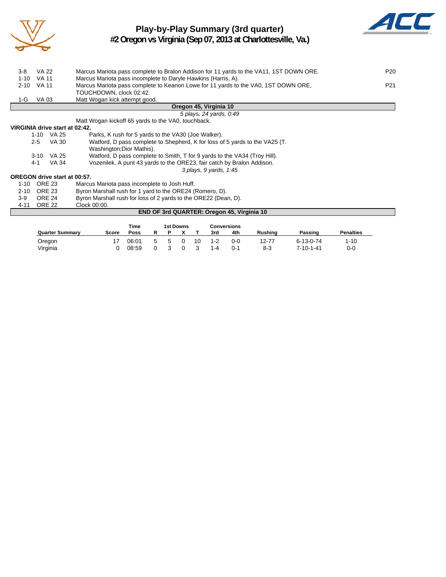

## **Play-by-Play Summary (3rd quarter)**



**#2 Oregon vs Virginia (Sep 07, 2013 at Charlottesville, Va.)**

| $3-8$    | <b>VA 22</b>                        | Marcus Mariota pass complete to Bralon Addison for 11 yards to the VA11, 1ST DOWN ORE. | P <sub>20</sub> |
|----------|-------------------------------------|----------------------------------------------------------------------------------------|-----------------|
| $1 - 10$ | <b>VA 11</b>                        | Marcus Mariota pass incomplete to Daryle Hawkins (Harris, A).                          |                 |
| $2 - 10$ | VA 11                               | Marcus Mariota pass complete to Keanon Lowe for 11 yards to the VA0, 1ST DOWN ORE,     | P <sub>21</sub> |
|          |                                     | TOUCHDOWN, clock 02:42.                                                                |                 |
| 1-G      | VA 03                               | Matt Wogan kick attempt good.                                                          |                 |
|          |                                     | Oregon 45, Virginia 10                                                                 |                 |
|          |                                     | 5 plays, 24 yards, 0:49                                                                |                 |
|          |                                     | Matt Wogan kickoff 65 yards to the VA0, touchback.                                     |                 |
|          | VIRGINIA drive start at 02:42.      |                                                                                        |                 |
|          | $1-10$ VA 25                        | Parks, K rush for 5 yards to the VA30 (Joe Walker).                                    |                 |
|          | VA 30<br>$2 - 5$                    | Watford, D pass complete to Shepherd, K for loss of 5 yards to the VA25 (T.            |                 |
|          |                                     | Washington; Dior Mathis).                                                              |                 |
|          | 3-10 VA 25                          | Watford, D pass complete to Smith, T for 9 yards to the VA34 (Troy Hill).              |                 |
|          | VA 34<br>4-1                        | Vozenilek, A punt 43 yards to the ORE23, fair catch by Bralon Addison.                 |                 |
|          |                                     | 3 plays, 9 yards, 1:45                                                                 |                 |
|          | <b>OREGON drive start at 00:57.</b> |                                                                                        |                 |
| $1 - 10$ | <b>ORE 23</b>                       | Marcus Mariota pass incomplete to Josh Huff.                                           |                 |
| $2 - 10$ | <b>ORE 23</b>                       | Byron Marshall rush for 1 yard to the ORE24 (Romero, D).                               |                 |
| $3-9$    | <b>ORE 24</b>                       | Byron Marshall rush for loss of 2 yards to the ORE22 (Dean, D).                        |                 |
| 4-11     | <b>ORE 22</b>                       | Clock 00:00.                                                                           |                 |
|          |                                     | <b>END OF 3rd QUARTER: Oregon 45, Virginia 10</b>                                      |                 |
|          |                                     |                                                                                        |                 |

|                        |       | Time  |   |    | 1st Downs |    |     | <b>Conversions</b> |         |                   |                  |
|------------------------|-------|-------|---|----|-----------|----|-----|--------------------|---------|-------------------|------------------|
| <b>Quarter Summary</b> | Score | Poss  |   |    |           |    | 3rd | 4th                | Rushina | Passing           | <b>Penalties</b> |
| Oregon                 |       | 06:01 | 5 | n. |           | 10 | 1-2 | 0-0                | 12-77   | $6 - 13 - 0 - 74$ | l-10             |
| Virginia               |       | 08:59 |   |    |           |    | 1-4 | $0 - 1$            | $8 - 3$ | 7-10-1-41         | 0-0              |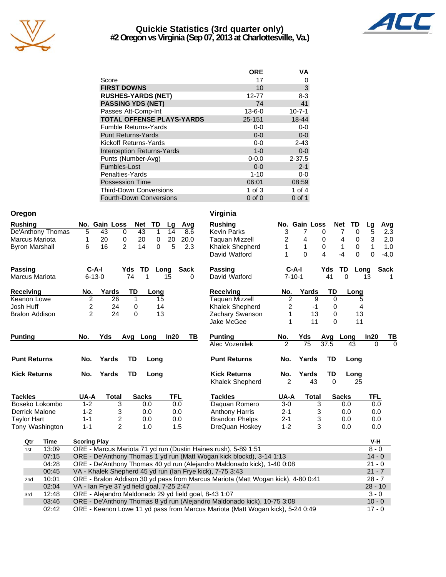

### **Quickie Statistics (3rd quarter only) #2 Oregon vs Virginia (Sep 07, 2013 at Charlottesville, Va.)**



|                                   | <b>ORE</b>   | VA           |
|-----------------------------------|--------------|--------------|
| Score                             | 17           | 0            |
| <b>FIRST DOWNS</b>                | 10           | 3            |
| <b>RUSHES-YARDS (NET)</b>         | 12-77        | $8 - 3$      |
| <b>PASSING YDS (NET)</b>          | 74           | 41           |
| Passes Att-Comp-Int               | $13 - 6 - 0$ | $10 - 7 - 1$ |
| <b>TOTAL OFFENSE PLAYS-YARDS</b>  | 25-151       | 18-44        |
| <b>Fumble Returns-Yards</b>       | $0-0$        | $0-0$        |
| <b>Punt Returns-Yards</b>         | $0 - 0$      | $0-0$        |
| Kickoff Returns-Yards             | $0-0$        | $2 - 43$     |
| <b>Interception Returns-Yards</b> | $1 - 0$      | $0 - 0$      |
| Punts (Number-Avg)                | $0 - 0.0$    | $2 - 37.5$   |
| Fumbles-Lost                      | $0 - 0$      | $2 - 1$      |
| Penalties-Yards                   | $1 - 10$     | $0 - 0$      |
| <b>Possession Time</b>            | 06:01        | 08:59        |
| <b>Third-Down Conversions</b>     | 1 of $3$     | 1 of $4$     |
| <b>Fourth-Down Conversions</b>    | $0$ of $0$   | $0$ of 1     |

| Oregon                |                                                                                                                                  | Virginia                                           |                 |                      |                           |                      |
|-----------------------|----------------------------------------------------------------------------------------------------------------------------------|----------------------------------------------------|-----------------|----------------------|---------------------------|----------------------|
| <b>Rushing</b>        | No. Gain Loss<br>TD<br><b>Net</b><br>Avg<br>Lg                                                                                   | <b>Rushing</b>                                     | No. Gain Loss   | <b>Net</b>           | TD<br>Lg                  | Avg                  |
| De'Anthony Thomas     | 5<br>43<br>$\mathbf{1}$<br>43<br>14<br>8.6<br>0                                                                                  | <b>Kevin Parks</b><br>3                            | 7               | 7<br>0               | $\overline{5}$<br>0       | $\overline{2.3}$     |
| Marcus Mariota        | 20<br>20<br>1<br>20<br>0<br>20.0<br>0                                                                                            | $\overline{\mathbf{c}}$<br><b>Taquan Mizzell</b>   | 4               | 0<br>4               | 3<br>0                    | 2.0                  |
| <b>Byron Marshall</b> | 14<br>6<br>16<br>$\overline{2}$<br>$\Omega$<br>5<br>2.3                                                                          | 1<br>Khalek Shepherd                               | $\mathbf{1}$    | 0<br>1               | $\pmb{0}$<br>$\mathbf{1}$ | 1.0                  |
|                       |                                                                                                                                  | 1<br>David Watford                                 | $\overline{0}$  | 4<br>$-4$            | 0<br>$\Omega$             | $-4.0$               |
| <b>Passing</b>        | $C-A-I$<br>Yds<br>TD<br>Long<br>Sack                                                                                             | <b>Passing</b><br>$C-A-I$                          |                 | TD<br>Yds            | Long                      | <b>Sack</b>          |
| <b>Marcus Mariota</b> | $6 - 13 - 0$<br>$\overline{74}$<br>1<br>15<br>0                                                                                  | $7 - 10 - 1$<br>David Watford                      |                 | $\overline{0}$<br>41 | 13                        |                      |
| Receiving             | Yards<br>No.<br>TD<br>Long                                                                                                       | Receiving<br>No.                                   | Yards           | TD                   | Long                      |                      |
| Keanon Lowe           | $\overline{c}$<br>26<br>$\mathbf{1}$<br>15                                                                                       | $\overline{2}$<br><b>Taquan Mizzell</b>            | 9               | $\mathbf 0$          | 5                         |                      |
| Josh Huff             | 2<br>0<br>24<br>14                                                                                                               | $\overline{2}$<br>Khalek Shepherd                  | $-1$            | 0                    | 4                         |                      |
| <b>Bralon Addison</b> | $\overline{c}$<br>24<br>13<br>0                                                                                                  | Zachary Swanson<br>1                               | 13              | 0                    | 13                        |                      |
|                       |                                                                                                                                  | Jake McGee<br>1                                    | 11              | $\Omega$             | 11                        |                      |
| <b>Punting</b>        | Yds<br>Avg Long<br>In20<br>TВ<br>No.                                                                                             | <b>Punting</b><br>No.                              | Yds             | Avg Long             | In20                      | TВ                   |
|                       |                                                                                                                                  | $\mathfrak{p}$<br>Alec Vozenilek                   | $\overline{75}$ | 37.5                 | 43                        | $\Omega$<br>$\Omega$ |
| <b>Punt Returns</b>   | <b>TD</b><br>No.<br>Yards<br>Long                                                                                                | <b>Punt Returns</b><br>No.                         | Yards           | <b>TD</b>            | Long                      |                      |
| <b>Kick Returns</b>   | TD<br>No.<br>Yards<br>Long                                                                                                       | <b>Kick Returns</b><br>No.                         | Yards           | TD                   | Long                      |                      |
|                       |                                                                                                                                  | $\overline{\phantom{a}}$<br><b>Khalek Shepherd</b> | $\overline{43}$ | $\overline{0}$       | 25                        |                      |
| <b>Tackles</b>        | UA-A<br><b>Total</b><br><b>Sacks</b><br>TFL                                                                                      | <b>Tackles</b><br>UA-A                             | <b>Total</b>    | <b>Sacks</b>         | <b>TFL</b>                |                      |
| Boseko Lokombo        | $1 - 2$<br>3<br>0.0<br>0.0                                                                                                       | Daquan Romero<br>$3-0$                             | 3               | 0.0                  |                           | 0.0                  |
| Derrick Malone        | $1 - 2$<br>3<br>0.0<br>0.0                                                                                                       | <b>Anthony Harris</b><br>$2 - 1$                   | 3               | 0.0                  |                           | 0.0                  |
| <b>Taylor Hart</b>    | 2<br>$1 - 1$<br>0.0<br>0.0                                                                                                       | <b>Brandon Phelps</b><br>$2 - 1$                   | 3               | 0.0                  |                           | 0.0                  |
| Tony Washington       | $1 - 1$<br>$\overline{2}$<br>1.5<br>1.0                                                                                          | DreQuan Hoskey<br>$1 - 2$                          | 3               | 0.0                  |                           | 0.0                  |
| Qtr<br>Time           | <b>Scoring Play</b>                                                                                                              |                                                    |                 |                      | V-H                       |                      |
| 13:09<br>1st          | ORE - Marcus Mariota 71 yd run (Dustin Haines rush), 5-89 1:51                                                                   |                                                    |                 |                      | $8 - 0$                   |                      |
| 07:15                 | ORE - De'Anthony Thomas 1 yd run (Matt Wogan kick blockd), 3-14 1:13                                                             |                                                    |                 |                      |                           | $14 - 0$             |
| 04:28                 | ORE - De'Anthony Thomas 40 yd run (Alejandro Maldonado kick), 1-40 0:08                                                          |                                                    |                 |                      | $21 - 0$                  |                      |
| 00:45                 | VA - Khalek Shepherd 45 yd run (Ian Frye kick), 7-75 3:43                                                                        |                                                    |                 |                      |                           | $21 - 7$             |
| 10:01<br>2nd          | ORE - Bralon Addison 30 yd pass from Marcus Mariota (Matt Wogan kick), 4-80 0:41                                                 |                                                    |                 |                      |                           | $28 - 7$             |
| 02:04                 | VA - Ian Frye 37 yd field goal, 7-25 2:47                                                                                        |                                                    |                 |                      |                           | $28 - 10$            |
| 12:48<br>3rd<br>03:46 | ORE - Alejandro Maldonado 29 yd field goal, 8-43 1:07<br>ORE - De'Anthony Thomas 8 yd run (Alejandro Maldonado kick), 10-75 3:08 |                                                    |                 |                      |                           | $3 - 0$<br>$10 - 0$  |
|                       |                                                                                                                                  |                                                    |                 |                      |                           |                      |
| 02:42                 | ORE - Keanon Lowe 11 yd pass from Marcus Mariota (Matt Wogan kick), 5-24 0:49                                                    |                                                    |                 |                      |                           | $17 - 0$             |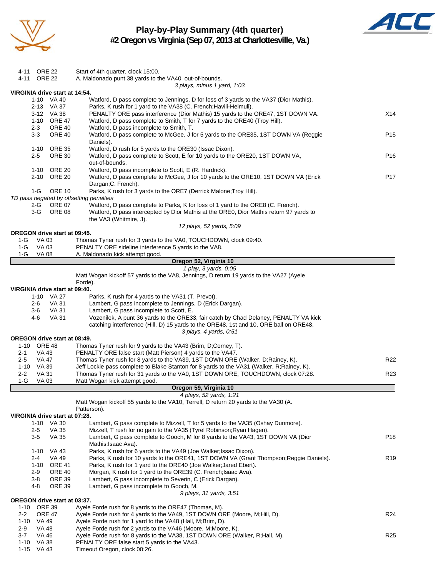

# **Play-by-Play Summary (4th quarter)**



**#2 Oregon vs Virginia (Sep 07, 2013 at Charlottesville, Va.)**

| 4-11 ORE 22                         |                     |                              |                                                                                                                                                            |                 |
|-------------------------------------|---------------------|------------------------------|------------------------------------------------------------------------------------------------------------------------------------------------------------|-----------------|
|                                     |                     |                              | Start of 4th quarter, clock 15:00.                                                                                                                         |                 |
| 4-11 ORE 22                         |                     |                              | A. Maldonado punt 38 yards to the VA40, out-of-bounds.                                                                                                     |                 |
|                                     |                     |                              | 3 plays, minus 1 yard, 1:03                                                                                                                                |                 |
| VIRGINIA drive start at 14:54.      |                     |                              |                                                                                                                                                            |                 |
|                                     |                     | 1-10 VA 40                   | Watford, D pass complete to Jennings, D for loss of 3 yards to the VA37 (Dior Mathis).                                                                     |                 |
|                                     |                     | 2-13 VA 37                   | Parks, K rush for 1 yard to the VA38 (C. French; Havili-Heimuli).                                                                                          |                 |
|                                     |                     | 3-12 VA 38                   | PENALTY ORE pass interference (Dior Mathis) 15 yards to the ORE47, 1ST DOWN VA.                                                                            | X14             |
|                                     | $2 - 3$             | 1-10 ORE 47<br><b>ORE 40</b> | Watford, D pass complete to Smith, T for 7 yards to the ORE40 (Troy Hill).                                                                                 |                 |
|                                     | $3-3$               | <b>ORE 40</b>                | Watford, D pass incomplete to Smith, T.<br>Watford, D pass complete to McGee, J for 5 yards to the ORE35, 1ST DOWN VA (Reggie                              | P <sub>15</sub> |
|                                     |                     |                              | Daniels).                                                                                                                                                  |                 |
|                                     |                     | 1-10 ORE 35                  | Watford, D rush for 5 yards to the ORE30 (Issac Dixon).                                                                                                    |                 |
|                                     | 2-5                 | <b>ORE 30</b>                | Watford, D pass complete to Scott, E for 10 yards to the ORE20, 1ST DOWN VA,                                                                               | P <sub>16</sub> |
|                                     |                     |                              | out-of-bounds.                                                                                                                                             |                 |
|                                     |                     | 1-10 ORE 20                  | Watford, D pass incomplete to Scott, E (R. Hardrick).                                                                                                      |                 |
|                                     |                     | 2-10 ORE 20                  | Watford, D pass complete to McGee, J for 10 yards to the ORE10, 1ST DOWN VA (Erick                                                                         | P17             |
|                                     |                     |                              | Dargan; C. French).                                                                                                                                        |                 |
|                                     | $1-G$               | <b>ORE 10</b>                | Parks, K rush for 3 yards to the ORE7 (Derrick Malone; Troy Hill).                                                                                         |                 |
|                                     |                     |                              | TD pass negated by offsetting penalties                                                                                                                    |                 |
|                                     | 2-G                 | <b>ORE 07</b>                | Watford, D pass complete to Parks, K for loss of 1 yard to the ORE8 (C. French).                                                                           |                 |
|                                     | 3-G                 | <b>ORE 08</b>                | Watford, D pass intercepted by Dior Mathis at the ORE0, Dior Mathis return 97 yards to                                                                     |                 |
|                                     |                     |                              | the VA3 (Whitmire, J).                                                                                                                                     |                 |
|                                     |                     |                              | 12 plays, 52 yards, 5:09                                                                                                                                   |                 |
| <b>OREGON drive start at 09:45.</b> |                     |                              |                                                                                                                                                            |                 |
| 1-G                                 | VA 03               |                              | Thomas Tyner rush for 3 yards to the VA0, TOUCHDOWN, clock 09:40.                                                                                          |                 |
| 1-G                                 | VA 03               |                              | PENALTY ORE sideline interference 5 yards to the VA8.                                                                                                      |                 |
| $1-G$                               | <b>VA 08</b>        |                              | A. Maldonado kick attempt good.                                                                                                                            |                 |
|                                     |                     |                              | Oregon 52, Virginia 10                                                                                                                                     |                 |
|                                     |                     |                              | 1 play, 3 yards, 0:05                                                                                                                                      |                 |
|                                     |                     |                              | Matt Wogan kickoff 57 yards to the VA8, Jennings, D return 19 yards to the VA27 (Ayele                                                                     |                 |
|                                     |                     |                              | Forde).                                                                                                                                                    |                 |
| VIRGINIA drive start at 09:40.      |                     |                              |                                                                                                                                                            |                 |
|                                     |                     | 1-10 VA 27                   | Parks, K rush for 4 yards to the VA31 (T. Prevot).                                                                                                         |                 |
|                                     | 2-6                 | VA 31                        | Lambert, G pass incomplete to Jennings, D (Erick Dargan).                                                                                                  |                 |
|                                     | 3-6                 | VA 31                        | Lambert, G pass incomplete to Scott, E.                                                                                                                    |                 |
|                                     | 4-6                 | VA 31                        | Vozenilek, A punt 36 yards to the ORE33, fair catch by Chad Delaney, PENALTY VA kick                                                                       |                 |
|                                     |                     |                              |                                                                                                                                                            |                 |
|                                     |                     |                              | catching interference (Hill, D) 15 yards to the ORE48, 1st and 10, ORE ball on ORE48.                                                                      |                 |
|                                     |                     |                              | 3 plays, 4 yards, 0:51                                                                                                                                     |                 |
| OREGON drive start at 08:49.        |                     |                              |                                                                                                                                                            |                 |
| 1-10 ORE 48                         |                     |                              | Thomas Tyner rush for 9 yards to the VA43 (Brim, D;Corney, T).                                                                                             |                 |
| 2-1                                 | VA 43               |                              | PENALTY ORE false start (Matt Pierson) 4 yards to the VA47.                                                                                                |                 |
| 2-5                                 | VA 47               |                              | Thomas Tyner rush for 8 yards to the VA39, 1ST DOWN ORE (Walker, D;Rainey, K).                                                                             | R22             |
| 1-10 VA 39                          |                     |                              | Jeff Lockie pass complete to Blake Stanton for 8 yards to the VA31 (Walker, R;Rainey, K).                                                                  |                 |
| $2 - 2$                             | VA 31               |                              | Thomas Tyner rush for 31 yards to the VA0, 1ST DOWN ORE, TOUCHDOWN, clock 07:28.                                                                           | R <sub>23</sub> |
| $1-G$                               | VA 03               |                              | Matt Wogan kick attempt good.                                                                                                                              |                 |
|                                     |                     |                              | Oregon 59, Virginia 10                                                                                                                                     |                 |
|                                     |                     |                              | 4 plays, 52 yards, 1:21                                                                                                                                    |                 |
|                                     |                     |                              | Matt Wogan kickoff 55 yards to the VA10, Terrell, D return 20 yards to the VA30 (A.                                                                        |                 |
| VIRGINIA drive start at 07:28.      |                     |                              | Patterson).                                                                                                                                                |                 |
|                                     |                     |                              |                                                                                                                                                            |                 |
|                                     |                     | 1-10 VA 30                   | Lambert, G pass complete to Mizzell, T for 5 yards to the VA35 (Oshay Dunmore).                                                                            |                 |
|                                     | $2 - 5$             | <b>VA 35</b>                 | Mizzell, T rush for no gain to the VA35 (Tyrel Robinson; Ryan Hagen).                                                                                      |                 |
|                                     | $3-5$               | VA 35                        | Lambert, G pass complete to Gooch, M for 8 yards to the VA43, 1ST DOWN VA (Dior                                                                            | P <sub>18</sub> |
|                                     |                     |                              | Mathis; Isaac Ava).                                                                                                                                        |                 |
|                                     |                     | 1-10 VA 43                   | Parks, K rush for 6 yards to the VA49 (Joe Walker; Issac Dixon).                                                                                           |                 |
|                                     | $2 - 4$<br>$1 - 10$ | VA 49<br><b>ORE 41</b>       | Parks, K rush for 10 yards to the ORE41, 1ST DOWN VA (Grant Thompson; Reggie Daniels).<br>Parks, K rush for 1 yard to the ORE40 (Joe Walker; Jared Ebert). | R <sub>19</sub> |
|                                     | $2-9$               | <b>ORE 40</b>                | Morgan, K rush for 1 yard to the ORE39 (C. French; Isaac Ava).                                                                                             |                 |
|                                     | $3 - 8$             | <b>ORE 39</b>                | Lambert, G pass incomplete to Severin, C (Erick Dargan).                                                                                                   |                 |
|                                     | 4-8                 | <b>ORE 39</b>                | Lambert, G pass incomplete to Gooch, M.                                                                                                                    |                 |
|                                     |                     |                              | 9 plays, 31 yards, 3:51                                                                                                                                    |                 |
| OREGON drive start at 03:37.        |                     |                              |                                                                                                                                                            |                 |
| 1-10 ORE 39                         |                     |                              | Ayele Forde rush for 8 yards to the ORE47 (Thomas, M).                                                                                                     |                 |
| 2-2                                 | <b>ORE 47</b>       |                              | Ayele Forde rush for 4 yards to the VA49, 1ST DOWN ORE (Moore, M; Hill, D).                                                                                | R <sub>24</sub> |
| 1-10 VA 49                          |                     |                              | Ayele Forde rush for 1 yard to the VA48 (Hall, M;Brim, D).                                                                                                 |                 |
| $2 - 9$                             | <b>VA 48</b>        |                              | Ayele Forde rush for 2 yards to the VA46 (Moore, M; Moore, K).                                                                                             |                 |
| $3 - 7$                             | VA 46               |                              | Ayele Forde rush for 8 yards to the VA38, 1ST DOWN ORE (Walker, R; Hall, M).                                                                               | R <sub>25</sub> |
| 1-10<br>1-15 VA 43                  | VA 38               |                              | PENALTY ORE false start 5 yards to the VA43.                                                                                                               |                 |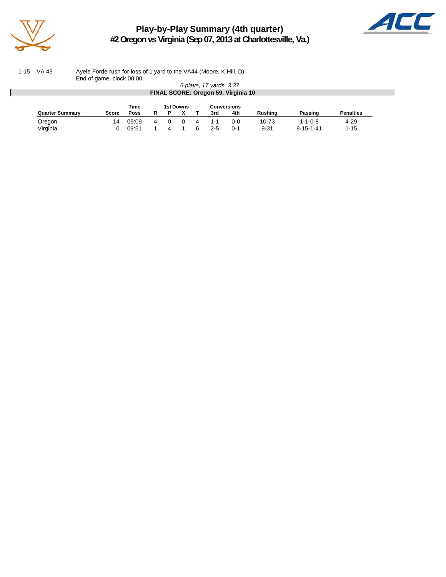

**Play-by-Play Summary (4th quarter) #2 Oregon vs Virginia (Sep 07, 2013 at Charlottesville, Va.)**



1-15 VA 43 Ayele Forde rush for loss of 1 yard to the VA44 (Moore, K;Hill, D). End of game, clock 00:00.

| 6 plays, 17 yards, 3:37             |       |       |   |  |  |   |         |         |           |                   |                  |
|-------------------------------------|-------|-------|---|--|--|---|---------|---------|-----------|-------------------|------------------|
| FINAL SCORE: Oregon 59, Virginia 10 |       |       |   |  |  |   |         |         |           |                   |                  |
| Time<br>1st Downs<br>Conversions    |       |       |   |  |  |   |         |         |           |                   |                  |
| <b>Quarter Summary</b>              | Score | Poss  | R |  |  |   | 3rd     | 4th     | Rushing   | Passing           | <b>Penalties</b> |
| Oregon                              | 14    | 05:09 |   |  |  | Δ | $1 - 1$ | $0 - 0$ | $10 - 73$ | $1 - 1 - 0 - 8$   | $4 - 29$         |
| Virginia                            |       | 09:51 |   |  |  | ี | $2 - 5$ | $0 - 1$ | $9 - 31$  | $8 - 15 - 1 - 41$ | $1 - 15$         |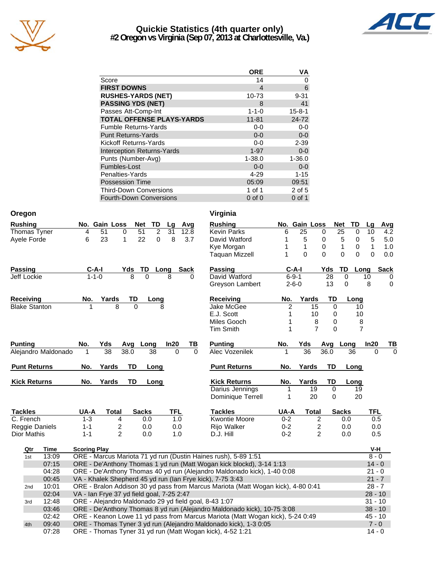

## **Quickie Statistics (4th quarter only) #2 Oregon vs Virginia (Sep 07, 2013 at Charlottesville, Va.)**



|                                   | <b>ORE</b>  | VA           |
|-----------------------------------|-------------|--------------|
| Score                             | 14          | 0            |
| <b>FIRST DOWNS</b>                | 4           | 6            |
| <b>RUSHES-YARDS (NET)</b>         | 10-73       | $9 - 31$     |
| <b>PASSING YDS (NET)</b>          | 8           | 41           |
| Passes Att-Comp-Int               | $1 - 1 - 0$ | $15 - 8 - 1$ |
| <b>TOTAL OFFENSE PLAYS-YARDS</b>  | $11 - 81$   | 24-72        |
| <b>Fumble Returns-Yards</b>       | $0-0$       | $0 - 0$      |
| <b>Punt Returns-Yards</b>         | $0 - 0$     | $0-0$        |
| Kickoff Returns-Yards             | $0-0$       | $2 - 39$     |
| <b>Interception Returns-Yards</b> | $1 - 97$    | $0 - 0$      |
| Punts (Number-Avg)                | $1 - 38.0$  | $1 - 36.0$   |
| Fumbles-Lost                      | $0 - 0$     | $0 - 0$      |
| Penalties-Yards                   | 4-29        | $1 - 15$     |
| <b>Possession Time</b>            | 05:09       | 09:51        |
| <b>Third-Down Conversions</b>     | 1 of 1      | 2 of 5       |
| <b>Fourth-Down Conversions</b>    | $0$ of $0$  | $0$ of 1     |

| Oregon                                                                                                 |                |                                                                                     |                                                                       |                                   |                                                       | Virginia                                                                                                                      |             |                 |                         |                  |                     |             |
|--------------------------------------------------------------------------------------------------------|----------------|-------------------------------------------------------------------------------------|-----------------------------------------------------------------------|-----------------------------------|-------------------------------------------------------|-------------------------------------------------------------------------------------------------------------------------------|-------------|-----------------|-------------------------|------------------|---------------------|-------------|
| <b>Rushing</b>                                                                                         |                | No. Gain Loss                                                                       |                                                                       | Net<br>TD                         | Avg<br>Lg                                             | <b>Rushing</b>                                                                                                                |             | No. Gain Loss   |                         | <b>Net</b><br>TD | Lg                  | Avg         |
| Thomas Tyner                                                                                           |                | 51<br>4                                                                             | 0                                                                     | $\overline{51}$<br>$\overline{c}$ | 31<br>12.8                                            | <b>Kevin Parks</b>                                                                                                            | 6           | 25              | 0                       | 25<br>0          | 10                  | 4.2         |
| Ayele Forde                                                                                            |                | 23<br>6                                                                             | 1                                                                     | 22<br>0                           | 8<br>3.7                                              | David Watford                                                                                                                 | 1           | 5               | 0                       | 5<br>0           | 5                   | 5.0         |
|                                                                                                        |                |                                                                                     |                                                                       |                                   |                                                       | Kye Morgan                                                                                                                    | 1           | $\mathbf{1}$    | $\mathbf 0$             | 1<br>0           | $\mathbf{1}$        | 1.0         |
|                                                                                                        |                |                                                                                     |                                                                       |                                   |                                                       | <b>Taquan Mizzell</b>                                                                                                         | 1           | $\Omega$        | $\Omega$                | 0<br>0           | 0                   | 0.0         |
| <b>Passing</b>                                                                                         |                | $C-A-I$                                                                             |                                                                       | TD<br>Yds                         | Long<br><b>Sack</b>                                   | Passing                                                                                                                       | $C-A-I$     |                 | Yds                     | TD<br>Long       |                     | <b>Sack</b> |
| Jeff Lockie                                                                                            |                | $1 - 1 - 0$                                                                         |                                                                       | $\overline{8}$<br>$\Omega$        | 8<br>U                                                | David Watford                                                                                                                 | $6 - 9 - 1$ |                 | $\overline{28}$         | $\Omega$         | 10                  | 0           |
|                                                                                                        |                |                                                                                     |                                                                       |                                   |                                                       | Greyson Lambert                                                                                                               | $2 - 6 - 0$ |                 | 13                      | $\Omega$         | 8                   | $\mathbf 0$ |
| Receiving                                                                                              |                | No.                                                                                 | Yards                                                                 | TD<br>Long                        |                                                       | <b>Receiving</b>                                                                                                              | No.         | Yards           | TD                      | Long             |                     |             |
| <b>Blake Stanton</b>                                                                                   |                |                                                                                     | 8                                                                     | $\Omega$                          | 8                                                     | Jake McGee                                                                                                                    | 2           | 15              | $\mathbf 0$             | 10               |                     |             |
|                                                                                                        |                |                                                                                     |                                                                       |                                   |                                                       | E.J. Scott                                                                                                                    | 1           | 10              | 0                       | 10               |                     |             |
|                                                                                                        |                |                                                                                     |                                                                       |                                   |                                                       | Miles Gooch                                                                                                                   | 1           | 8               | 0                       | 8                |                     |             |
|                                                                                                        |                |                                                                                     |                                                                       |                                   |                                                       | Tim Smith                                                                                                                     | 1           | $\overline{7}$  | 0                       | $\overline{7}$   |                     |             |
| <b>Punting</b>                                                                                         |                | No.<br>Yds                                                                          |                                                                       | Long<br>Avg                       | In20<br>TВ                                            | <b>Punting</b>                                                                                                                | No.         | Yds             |                         | Avg Long         | In20                | <u>ТВ</u>   |
| Alejandro Maldonado                                                                                    |                | 38<br>1                                                                             |                                                                       | 38.0<br>38                        | $\Omega$<br>$\Omega$                                  | Alec Vozenilek                                                                                                                | 1           | $\overline{36}$ | 36.0                    | 36               | $\Omega$            | $\Omega$    |
| <b>Punt Returns</b><br>TD<br><b>Punt Returns</b><br>Yards<br>TD<br>Yards<br>No.<br>Long<br>No.<br>Long |                |                                                                                     |                                                                       |                                   |                                                       |                                                                                                                               |             |                 |                         |                  |                     |             |
| <b>Kick Returns</b>                                                                                    |                | No.<br>Yards                                                                        |                                                                       | <b>TD</b><br>Long                 |                                                       | <b>Kick Returns</b>                                                                                                           | No.         | Yards           | TD                      | Long             |                     |             |
|                                                                                                        |                |                                                                                     |                                                                       |                                   |                                                       | Darius Jennings                                                                                                               | 1           | 19              | 0                       | 19               |                     |             |
|                                                                                                        |                |                                                                                     |                                                                       |                                   |                                                       | Dominique Terrell                                                                                                             | 1           | 20              | 0                       | 20               |                     |             |
| <b>Tackles</b>                                                                                         |                | UA-A                                                                                | <b>Total</b>                                                          | <b>Sacks</b>                      | <b>TFL</b>                                            | <b>Tackles</b>                                                                                                                | UA-A        | <b>Total</b>    |                         | <b>Sacks</b>     | <b>TFL</b>          |             |
| C. French                                                                                              |                | $1 - 3$                                                                             | 4                                                                     | 0.0                               | 1.0                                                   | <b>Kwontie Moore</b>                                                                                                          | $0 - 2$     |                 | 2                       | 0.0              | 0.5                 |             |
| Reggie Daniels                                                                                         |                | $1 - 1$                                                                             | $\overline{c}$                                                        | 0.0                               | 0.0                                                   | Rijo Walker                                                                                                                   | $0 - 2$     |                 | $\overline{\mathbf{c}}$ | 0.0              | 0.0                 |             |
| <b>Dior Mathis</b>                                                                                     |                | $1 - 1$                                                                             | $\overline{2}$                                                        | 0.0                               | 1.0                                                   | D.J. Hill                                                                                                                     | $0 - 2$     |                 | $\overline{2}$          | 0.0              | 0.5                 |             |
| Qtr                                                                                                    | Time           | <b>Scoring Play</b>                                                                 |                                                                       |                                   |                                                       |                                                                                                                               |             |                 |                         |                  | V-H                 |             |
| 1st                                                                                                    | 13:09          |                                                                                     |                                                                       |                                   |                                                       | ORE - Marcus Mariota 71 yd run (Dustin Haines rush), 5-89 1:51                                                                |             |                 |                         |                  | $8 - 0$             |             |
|                                                                                                        | 07:15          |                                                                                     |                                                                       |                                   |                                                       | ORE - De'Anthony Thomas 1 yd run (Matt Wogan kick blockd), 3-14 1:13                                                          |             |                 |                         |                  | $14 - 0$            |             |
|                                                                                                        | 04:28          | ORE - De'Anthony Thomas 40 yd run (Alejandro Maldonado kick), 1-40 0:08<br>$21 - 0$ |                                                                       |                                   |                                                       |                                                                                                                               |             |                 |                         |                  |                     |             |
|                                                                                                        |                |                                                                                     | VA - Khalek Shepherd 45 yd run (Ian Frye kick), 7-75 3:43<br>$21 - 7$ |                                   |                                                       |                                                                                                                               |             |                 |                         |                  |                     |             |
|                                                                                                        | 00:45          |                                                                                     |                                                                       |                                   |                                                       |                                                                                                                               |             |                 |                         |                  |                     |             |
| 2 <sub>nd</sub>                                                                                        | 10:01          |                                                                                     |                                                                       |                                   |                                                       | ORE - Bralon Addison 30 yd pass from Marcus Mariota (Matt Wogan kick), 4-80 0:41                                              |             |                 |                         |                  | $28 - 7$            |             |
|                                                                                                        | 02:04          | VA - Ian Frye 37 yd field goal, 7-25 2:47                                           |                                                                       |                                   |                                                       |                                                                                                                               |             |                 |                         |                  | $28 - 10$           |             |
| 3rd                                                                                                    | 12:48          |                                                                                     |                                                                       |                                   | ORE - Alejandro Maldonado 29 yd field goal, 8-43 1:07 |                                                                                                                               |             |                 |                         |                  | $31 - 10$           |             |
|                                                                                                        | 03:46          |                                                                                     |                                                                       |                                   |                                                       | ORE - De'Anthony Thomas 8 yd run (Alejandro Maldonado kick), 10-75 3:08                                                       |             |                 |                         |                  | $38 - 10$           |             |
|                                                                                                        | 02:42          |                                                                                     |                                                                       |                                   |                                                       | ORE - Keanon Lowe 11 yd pass from Marcus Mariota (Matt Wogan kick), 5-24 0:49                                                 |             |                 |                         |                  | $45 - 10$           |             |
| 4th                                                                                                    | 09:40<br>07:28 |                                                                                     |                                                                       |                                   |                                                       | ORE - Thomas Tyner 3 yd run (Alejandro Maldonado kick), 1-3 0:05<br>ORE - Thomas Tyner 31 yd run (Matt Wogan kick), 4-52 1:21 |             |                 |                         |                  | $7 - 0$<br>$14 - 0$ |             |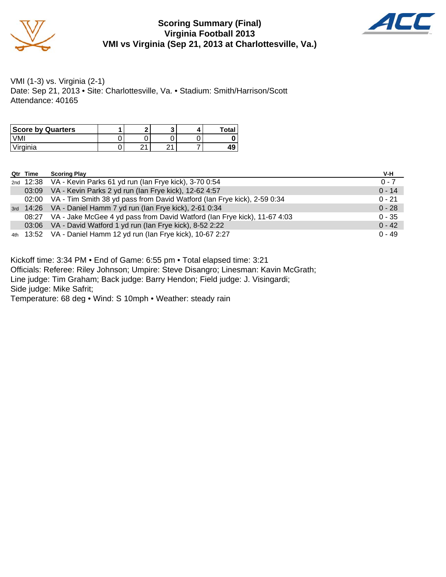

#### **Scoring Summary (Final) Virginia Football 2013 VMI vs Virginia (Sep 21, 2013 at Charlottesville, Va.)**



VMI (1-3) vs. Virginia (2-1) Date: Sep 21, 2013 • Site: Charlottesville, Va. • Stadium: Smith/Harrison/Scott Attendance: 40165

| <b>Score by Quarters</b> |   |   | <b>Total</b> |
|--------------------------|---|---|--------------|
| √MI                      |   |   |              |
| Virginia                 | ິ | ິ | 49           |

| Qtr Time | <b>Scoring Play</b>                                                            | V-H      |
|----------|--------------------------------------------------------------------------------|----------|
|          | 2nd 12:38 VA - Kevin Parks 61 yd run (Ian Frye kick), 3-70 0:54                | $0 - 7$  |
|          | 03:09 VA - Kevin Parks 2 yd run (Ian Frye kick), 12-62 4:57                    | $0 - 14$ |
|          | 02:00 VA - Tim Smith 38 yd pass from David Watford (Ian Frye kick), 2-59 0:34  | $0 - 21$ |
|          | 3rd 14:26 VA - Daniel Hamm 7 yd run (Ian Frye kick), 2-61 0:34                 | $0 - 28$ |
|          | 08:27 VA - Jake McGee 4 yd pass from David Watford (Ian Frye kick), 11-67 4:03 | $0 - 35$ |
|          | 03:06 VA - David Watford 1 yd run (Ian Frye kick), 8-52 2:22                   | $0 - 42$ |
|          | 4th 13:52 VA - Daniel Hamm 12 yd run (Ian Frye kick), 10-67 2:27               | $0 - 49$ |

Kickoff time: 3:34 PM • End of Game: 6:55 pm • Total elapsed time: 3:21

Officials: Referee: Riley Johnson; Umpire: Steve Disangro; Linesman: Kavin McGrath;

Line judge: Tim Graham; Back judge: Barry Hendon; Field judge: J. Visingardi;

Side judge: Mike Safrit;

Temperature: 68 deg • Wind: S 10mph • Weather: steady rain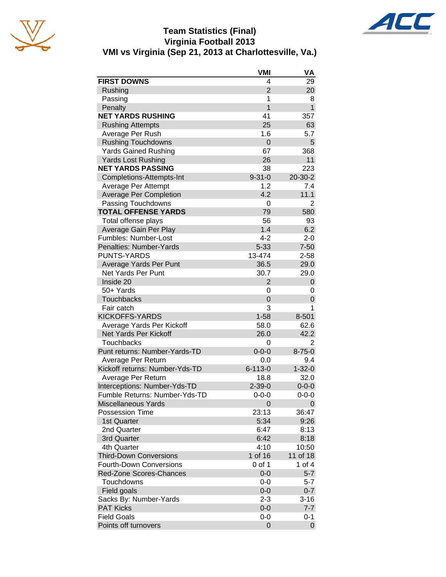





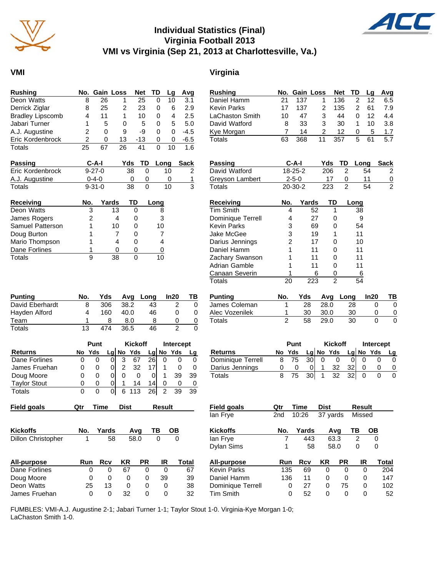

## **Individual Statistics (Final) Virginia Football 2013 VMI vs Virginia (Sep 21, 2013 at Charlottesville, Va.)**



#### **VMI Virginia**

| Rushing                 |    | No. Gain Loss |    | <b>Net</b> | TD | La | Avq    |
|-------------------------|----|---------------|----|------------|----|----|--------|
| Deon Watts              | 8  | 26            |    | 25         | 0  | 10 | 3.1    |
| Derrick Ziglar          | 8  | 25            | 2  | 23         | Ω  | 6  | 2.9    |
| <b>Bradley Lipscomb</b> | 4  | 11            | 1  | 10         | 0  | 4  | 2.5    |
| Jabari Turner           |    | 5             | 0  | 5          | 0  | 5  | 5.0    |
| A.J. Augustine          | 2  | 0             | 9  | -9         | O  | O  | $-4.5$ |
| Eric Kordenbrock        | 2  | O             | 13 | $-13$      | 0  | 0  | $-6.5$ |
| Totals                  | 25 | 67            | 26 | 41         |    | 10 | 1.6    |

| <b>Passing</b>   | $C-A-I$      | Yds | TD Long | Sack |
|------------------|--------------|-----|---------|------|
| Eric Kordenbrock | $9 - 27 - 0$ | 38  | 10.     |      |
| A.J. Augustine   | $0 - 4 - 0$  |     |         |      |
| Totals           | $9 - 31 - 0$ | 38  | 10      |      |

| <b>Receiving</b> | No. | Yards | TD           | Long |
|------------------|-----|-------|--------------|------|
| Deon Watts       |     | 13    |              | 8    |
| James Rogers     | 2   |       | O            | 3    |
| Samuel Patterson |     | 10    | O            | 10   |
| Doug Burton      |     |       | $\mathbf{C}$ |      |
| Mario Thompson   |     |       | O            |      |
| Dane Forlines    |     |       |              |      |
| Totals           |     | วด    |              |      |

| <b>Punting</b>  | No. | Yds |      | Avg Long | In20 | ΤВ |
|-----------------|-----|-----|------|----------|------|----|
| David Eberhardt | 8   | 306 | 38.2 | 43       |      |    |
| Hayden Alford   |     | 160 | 40.0 | 46       |      |    |
| Team            |     |     | 8.0  |          |      |    |
| Totals          | 13  | 474 | 36.5 | 46       |      |    |

|                     |    | Punt |   |  | <b>Kickoff</b> |     | Intercept |             |    |
|---------------------|----|------|---|--|----------------|-----|-----------|-------------|----|
| <b>Returns</b>      | No | Yds  |   |  | $Lq$ No Yds    |     |           | $Lg$ No Yds |    |
| Dane Forlines       |    |      |   |  | 67             | 261 |           |             |    |
| James Fruehan       | O  | O    |   |  | 32             |     |           |             |    |
| Doug Moore          |    | O    |   |  |                |     |           | 39          | 39 |
| <b>Taylor Stout</b> |    | O    | 0 |  | 14             | 14  |           |             |    |
| Totals              | 0  |      |   |  |                | 26  |           | 39          | 39 |

| <b>TIGIU YUAIS</b> | wu. | IIIIE | ייט | nesun |    |  |
|--------------------|-----|-------|-----|-------|----|--|
|                    |     |       |     |       |    |  |
|                    |     |       |     |       |    |  |
|                    |     |       |     |       |    |  |
|                    |     |       |     |       |    |  |
| Kickoffs           | No. | Yards | Avq | ΤВ    | OВ |  |

| NUNUNS             | $190.$ $18103$ $190$ $190$ |           |  |
|--------------------|----------------------------|-----------|--|
| Dillon Christopher |                            | 58 58.0 0 |  |
|                    |                            |           |  |

| All-purpose   | Run | Rcv | KR  | <b>PR</b> | IR | Total |
|---------------|-----|-----|-----|-----------|----|-------|
| Dane Forlines |     |     | 67  |           |    | 67    |
| Doug Moore    |     | 0   |     |           | 39 | 39    |
| Deon Watts    | 25  | 13  |     |           |    | 38    |
| James Fruehan |     | 0   | 32. |           |    | 32    |

| <b>Rushing</b>  |    |     | No. Gain Loss Net TD |     |               | La | Avg |
|-----------------|----|-----|----------------------|-----|---------------|----|-----|
| Daniel Hamm     | 21 | 137 |                      | 136 | 2             | 12 | 6.5 |
| Kevin Parks     | 17 | 137 | 2                    | 135 | $\mathcal{P}$ | 61 | 7.9 |
| LaChaston Smith | 10 | 47  | 3                    | 44  | O             | 12 | 4.4 |
| David Watford   | 8  | 33  | 3                    | 30  |               | 10 | 3.8 |
| Kye Morgan      |    | 14  | 2                    | 12  | 0             | 5  | 1.7 |
| Totals          | 63 | 368 | 11                   | 357 | 5             | 61 | 5.7 |

| Passing         | C-A-I         | Yds | TD Long | Sack |
|-----------------|---------------|-----|---------|------|
| David Watford   | $18 - 25 - 2$ | 206 | 54      |      |
| Greyson Lambert | $2 - 5 - 0$   | 17  |         | 0    |
| Totals          | $20 - 30 - 2$ | 223 | 54      |      |

| <b>Receiving</b>   | No. | Yards | TD | Long |
|--------------------|-----|-------|----|------|
| <b>Tim Smith</b>   | 4   | 52    | 1  | 38   |
| Dominique Terrell  | 4   | 27    | O  | 9    |
| <b>Kevin Parks</b> | 3   | 69    | 0  | 54   |
| Jake McGee         | 3   | 19    | 1  | 11   |
| Darius Jennings    | 2   | 17    | Ω  | 10   |
| Daniel Hamm        |     | 11    | 0  | 11   |
| Zachary Swanson    |     | 11    | 0  | 11   |
| Adrian Gamble      |     | 11    | 0  | 11   |
| Canaan Severin     |     | 6     | O) | 6    |
| Totals             |     | 223   | 2  | 54   |

| Punting        | No. | Yds |      | Avg Long | In20 |  |
|----------------|-----|-----|------|----------|------|--|
| James Coleman  |     | 28  | 28.0 | 28       |      |  |
| Alec Vozenilek |     | 30  | 30.0 | 30       |      |  |
| Totals         |     | 58  | 29.0 | 30       |      |  |

|                          | Punt   |                 |                | Kickoff   |       | Intercept |           |  |
|--------------------------|--------|-----------------|----------------|-----------|-------|-----------|-----------|--|
| <b>Returns</b>           | No Yds |                 |                | Lg No Yds |       |           | Lg No Yds |  |
| <b>Dominique Terrell</b> | 75     | 30 <sup>1</sup> |                |           |       |           |           |  |
| Darius Jennings          |        |                 |                | 32        | 321   |           |           |  |
| Totals                   | 75     | -301            | $\overline{1}$ | - 32      | - 321 |           |           |  |

| Qtr |            | <b>Dist</b> |           |             |    |                                   | <b>Field goals</b> | Qtr | Time       | <b>Dist</b>                 |           |                                 |                                                         |
|-----|------------|-------------|-----------|-------------|----|-----------------------------------|--------------------|-----|------------|-----------------------------|-----------|---------------------------------|---------------------------------------------------------|
|     |            |             |           |             |    |                                   | lan Frye           | 2nd | 10:26      |                             |           |                                 |                                                         |
| No. | Yards      |             |           | TВ          | OΒ |                                   | <b>Kickoffs</b>    | No. | Yards      |                             |           | тв                              | <b>OB</b>                                               |
|     | 58         |             |           | 0           | 0  |                                   | lan Frye           |     | 443        |                             |           | 2                               | 0                                                       |
|     |            |             |           |             |    |                                   | <b>Dylan Sims</b>  |     | 58         |                             |           | 0                               | 0                                                       |
| Run | <b>Rcv</b> | <b>KR</b>   | <b>PR</b> |             |    |                                   | All-purpose        |     | <b>Rcv</b> | KR                          | <b>PR</b> |                                 | Total                                                   |
| 0   | 0          | 67          | 0         |             |    | 67                                | <b>Kevin Parks</b> |     | 69         | 0                           | 0         |                                 | 204                                                     |
| 0   | 0          | 0           | 0         |             |    | 39                                | Daniel Hamm        |     | 11         | 0                           | 0         |                                 | 147                                                     |
| 25  | 13         | 0           | 0         |             |    | 38                                | Dominique Terrell  |     | 27         | 0                           |           |                                 | 102                                                     |
| 0   | 0          | 32          | 0         |             |    | 32                                | Tim Smith          |     | 52         | 0                           | 0         |                                 | 52                                                      |
|     |            | Time        |           | Avq<br>58.0 |    | Result<br>IR<br>0<br>39<br>0<br>0 | Total              |     |            | Run<br>135<br>136<br>0<br>0 |           | 37 yards<br>Ava<br>63.3<br>58.0 | Result<br>Missed<br>IR<br>0<br>0<br>75<br>0<br>$\Omega$ |

FUMBLES: VMI-A.J. Augustine 2-1; Jabari Turner 1-1; Taylor Stout 1-0. Virginia-Kye Morgan 1-0; LaChaston Smith 1-0.

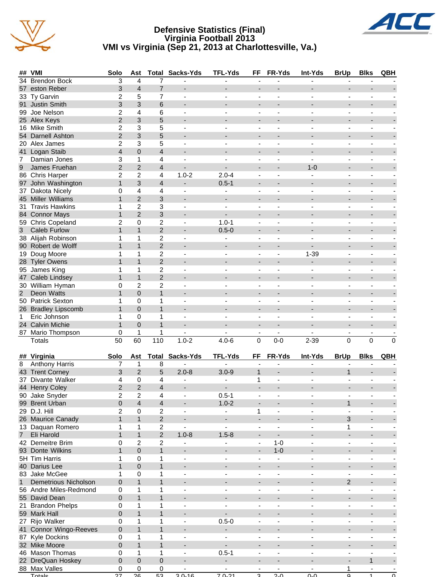





| <b>Brendon Bock</b><br>3<br>$\overline{4}$<br>34<br>7<br>3<br>$\overline{4}$<br>$\overline{7}$<br>eston Reber<br>57<br>$\blacksquare$<br>$\overline{\phantom{a}}$<br>$\overline{a}$<br>$\overline{\phantom{a}}$<br>$\overline{\phantom{a}}$<br>$\overline{7}$<br>$\overline{2}$<br>5<br>33 Ty Garvin<br>ä,<br>3<br>Justin Smith<br>3<br>6<br>91<br>2<br>6<br>Joe Nelson<br>4<br>99<br>$\overline{\phantom{a}}$<br>÷<br>$\blacksquare$<br>$\blacksquare$<br>$\overline{2}$<br>5<br>3<br>25 Alex Keys<br>$\overline{a}$<br>$\overline{a}$<br>16 Mike Smith<br>$\overline{c}$<br>3<br>5<br>$\blacksquare$<br>$\overline{\phantom{a}}$<br>$\overline{\phantom{a}}$<br>$\overline{\phantom{m}}$<br>$\blacksquare$<br>$\blacksquare$<br>$\blacksquare$<br>$\overline{2}$<br>3<br>5<br>54 Darnell Ashton<br>$\blacksquare$<br>$\blacksquare$<br>$\overline{\phantom{0}}$<br>$\overline{\phantom{0}}$<br>2<br>3<br>5<br>20 Alex James<br>$\overline{\phantom{a}}$<br>$\overline{\phantom{a}}$<br>$\blacksquare$<br>$\overline{\phantom{a}}$<br>÷,<br>۰<br>$\overline{0}$<br>41 Logan Staib<br>$\overline{4}$<br>4<br>-<br>3<br>$\mathbf{1}$<br>4<br>Damian Jones<br>7<br>ä,<br>$\blacksquare$<br>$\overline{\phantom{a}}$<br>$\overline{\phantom{a}}$<br>$\overline{\phantom{m}}$<br>$\overline{2}$<br>$\overline{2}$<br>$\boldsymbol{9}$<br>James Fruehan<br>4<br>$1 - 0$<br>$\overline{a}$<br>$\overline{\phantom{0}}$<br>$\overline{a}$<br>÷<br>2<br>$\overline{c}$<br>$1.0 - 2$<br>$2.0 - 4$<br>86 Chris Harper<br>4<br>97 John Washington<br>$\mathbf{1}$<br>3<br>$0.5 - 1$<br>4<br>Dakota Nicely<br>0<br>4<br>4<br>37<br>$\overline{\phantom{a}}$<br>$\blacksquare$<br>ä,<br>$\overline{2}$<br>3<br>45 Miller Williams<br>$\mathbf{1}$<br>$\overline{a}$<br>$\overline{a}$<br>$\overline{c}$<br>3<br>31 Travis Hawkins<br>1<br>$\blacksquare$<br>$\sim$<br>$\blacksquare$<br>$\overline{\phantom{a}}$<br>$\overline{\phantom{a}}$<br>$\overline{\phantom{m}}$<br>$\blacksquare$<br>$\overline{2}$<br>3<br>$\mathbf{1}$<br>84 Connor Mays<br>$\blacksquare$<br>$\overline{\phantom{a}}$<br>$\overline{\phantom{a}}$<br>$\blacksquare$<br>$\overline{a}$<br>$\overline{2}$<br>$\overline{2}$<br>59 Chris Copeland<br>0<br>$1.0 - 1$<br>$\overline{\phantom{a}}$<br>$\overline{\phantom{0}}$<br>$\blacksquare$<br>$\overline{\phantom{a}}$<br>÷,<br>$\blacksquare$<br>$\mathbf{1}$<br>$\mathbf{1}$<br>$\overline{c}$<br>3<br><b>Caleb Furlow</b><br>$0.5 - 0$<br>$\overline{\phantom{a}}$<br>$\overline{c}$<br>38 Alijah Robinson<br>1<br>1<br>$\blacksquare$<br>$\blacksquare$<br>$\overline{\phantom{a}}$<br>$\overline{\phantom{m}}$<br>۰<br>$\mathbf{1}$<br>$\mathbf{1}$<br>$\overline{2}$<br>90 Robert de Wolff<br>$\overline{a}$<br>÷<br>$\overline{c}$<br>$1 - 39$<br>Doug Moore<br>1<br>1<br>19<br>$\overline{2}$<br><b>Tyler Owens</b><br>$\mathbf{1}$<br>$\mathbf{1}$<br>28<br>95 James King<br>$\overline{c}$<br>1<br>1<br>÷<br>$\blacksquare$<br>ä,<br>$\overline{2}$<br>47 Caleb Lindsey<br>$\mathbf{1}$<br>$\mathbf{1}$<br>$\overline{a}$<br>$\overline{\phantom{a}}$<br>$\overline{c}$<br>$\overline{c}$<br>30 William Hyman<br>0<br>$\blacksquare$<br>$\blacksquare$<br>$\overline{\phantom{a}}$<br>$\overline{\phantom{a}}$<br>$\overline{\phantom{m}}$<br>$\blacksquare$<br>$\blacksquare$<br>$\mathbf{1}$<br>Deon Watts<br>$\mathbf{1}$<br>$\overline{0}$<br>$2^{\circ}$<br>$\blacksquare$<br>$\blacksquare$<br>$\overline{\phantom{0}}$<br>$\overline{\phantom{0}}$<br>50 Patrick Sexton<br>1<br>0<br>1<br>$\blacksquare$<br>$\overline{\phantom{a}}$<br>$\overline{\phantom{a}}$<br>$\overline{\phantom{a}}$<br>$\blacksquare$<br>ä,<br>$\mathbf{1}$<br>$\mathbf{1}$<br>26 Bradley Lipscomb<br>$\mathbf 0$<br>-<br>$\qquad \qquad \blacksquare$<br>0<br>Eric Johnson<br>1<br>1<br>1<br>$\blacksquare$<br>$\overline{\phantom{a}}$<br>$\overline{\phantom{a}}$<br>$\overline{\phantom{a}}$<br>$\overline{\phantom{a}}$<br>$\overline{\phantom{m}}$<br>$\mathbf{1}$<br>$\mathbf 0$<br>$\mathbf{1}$<br>24 Calvin Michie<br>$\overline{\phantom{a}}$<br>$\overline{a}$<br>$\overline{\phantom{m}}$<br>$\overline{\phantom{0}}$<br>$\mathbf{1}$<br>87 Mario Thompson<br>0<br>$\mathbf{1}$<br>$\blacksquare$<br>$\overline{\phantom{a}}$<br>50<br>60<br>110<br>$1.0 - 2$<br>$\Omega$<br>$\mathbf 0$<br><b>Totals</b><br>$4.0 - 6$<br>$\Omega$<br>$0-0$<br>$2 - 39$<br>$\Omega$<br>Sacks-Yds<br><b>TFL-Yds</b><br>FF<br>FR-Yds<br>Int-Yds<br><b>BrUp</b><br><b>Blks</b><br>## Virginia<br>Solo<br>Total<br>QBH<br>Ast<br><b>Anthony Harris</b><br>7<br>$\mathbf{1}$<br>8<br>8<br>L.<br>$\blacksquare$<br>÷,<br>Ξ.<br>$\overline{\phantom{m}}$<br>$\overline{2}$<br>43 Trent Corney<br>5<br>$2.0 - 8$<br>$\mathbf{1}$<br>3<br>$3.0 - 9$<br>$\mathbf{1}$<br>$\blacksquare$<br>Divante Walker<br>0<br>4<br>37<br>4<br>1<br>$\overline{a}$<br>$\overline{\phantom{a}}$<br>$\blacksquare$<br>$\overline{\phantom{a}}$<br>$\overline{\phantom{m}}$<br>$\overline{2}$<br>$\overline{2}$<br>4<br>44 Henry Coley<br>$0.5 - 1$<br>2<br>2<br>90 Jake Snyder<br>4<br>$\qquad \qquad \blacksquare$<br>$\overline{\phantom{a}}$<br>0<br>$\overline{4}$<br>$\overline{\mathbf{r}}$<br>$1.0 - 2$<br>$\mathbf{1}$<br>99 Brent Urban<br>$\overline{\phantom{a}}$<br>$\overline{\phantom{a}}$<br>$\overline{\phantom{a}}$<br>$\overline{\phantom{a}}$<br>$\overline{\phantom{a}}$<br>29 D.J. Hill<br>$\overline{2}$<br>$\mathbf 0$<br>$\overline{c}$<br>1<br>$\overline{\phantom{0}}$<br>$\overline{\phantom{a}}$<br>ä,<br>$\mathbf{1}$<br>$\overline{2}$<br>$\mathbf{1}$<br>3<br>26 Maurice Canady<br>$\overline{\phantom{a}}$<br>$\overline{\phantom{a}}$<br>$\blacksquare$<br>$\qquad \qquad \blacksquare$<br>$\overline{c}$<br>13 Daquan Romero<br>1<br>$\mathbf{1}$<br>1<br>$\blacksquare$<br>$\overline{\phantom{a}}$<br>$\overline{\phantom{a}}$<br>$\overline{\phantom{a}}$<br>$\qquad \qquad \blacksquare$<br>$\blacksquare$<br>$\mathbf{1}$<br>$\overline{2}$<br>$1.0 - 8$<br>Eli Harold<br>$\mathbf{1}$<br>$1.5 - 8$<br>7 <sup>7</sup><br>$\blacksquare$<br>$\overline{\phantom{a}}$<br>$\overline{\phantom{0}}$<br>$\overline{\phantom{0}}$<br>$\boldsymbol{2}$<br>42 Demeitre Brim<br>2<br>$1 - 0$<br>0<br>$\blacksquare$<br>$\blacksquare$<br>$\overline{\phantom{a}}$<br>$\blacksquare$<br>$\overline{\phantom{a}}$<br>$\overline{\phantom{a}}$<br>$\pmb{0}$<br>$1 - 0$<br>93 Donte Wilkins<br>$\mathbf{1}$<br>$\mathbf{1}$<br>$\overline{\phantom{0}}$<br>$\overline{\phantom{a}}$<br>$\blacksquare$<br>$\blacksquare$<br>$\overline{\phantom{0}}$<br>$\overline{\phantom{0}}$<br>5H Tim Harris<br>1<br>0<br>1<br>$\blacksquare$<br>$\overline{\phantom{a}}$<br>$\blacksquare$<br>$\overline{\phantom{a}}$<br>$\overline{\phantom{a}}$<br>$\blacksquare$<br>Ξ.<br>$\mathbf{1}$<br>$\mathbf{0}$<br>$\mathbf{1}$<br>40 Darius Lee<br>-<br>٠<br>$\qquad \qquad \blacksquare$<br>$\qquad \qquad \blacksquare$<br>83 Jake McGee<br>$\pmb{0}$<br>1<br>1<br>$\blacksquare$<br>$\blacksquare$<br>$\blacksquare$<br>$\blacksquare$<br>$\overline{\phantom{a}}$<br>$\overline{\phantom{m}}$<br>$\mathbf{1}$<br>$\mathbf{1}$<br>0<br>$\overline{2}$<br>$\mathbf{1}$<br>Demetrious Nicholson<br>$\overline{\phantom{a}}$<br>$\overline{\phantom{a}}$<br>$\overline{\phantom{a}}$<br>$\overline{\phantom{m}}$<br>$\qquad \qquad \blacksquare$<br>0<br>$\mathbf{1}$<br>$\mathbf{1}$<br>56 Andre Miles-Redmond<br>$\overline{\phantom{0}}$<br>$\blacksquare$<br>$\blacksquare$<br>0<br>$\mathbf{1}$<br>$\mathbf{1}$<br>55 David Dean<br>$\overline{\phantom{a}}$<br>$\overline{\phantom{0}}$<br>$\blacksquare$<br>٠<br>0<br>21 Brandon Phelps<br>1<br>1<br>$\overline{\phantom{a}}$<br>$\overline{\phantom{a}}$<br>$\overline{\phantom{a}}$<br>$\overline{\phantom{a}}$<br>$\overline{\phantom{a}}$<br>٠<br>$\overline{\phantom{a}}$<br>59 Mark Hall<br>0<br>$\mathbf{1}$<br>$\mathbf{1}$<br>$\blacksquare$<br>$\overline{\phantom{0}}$<br>$\overline{a}$<br>$\overline{\phantom{a}}$<br>÷,<br>27 Rijo Walker<br>$\mathbf{1}$<br>$0.5 - 0$<br>0<br>1<br>$\overline{\phantom{a}}$<br>$\overline{\phantom{a}}$<br>$\blacksquare$<br>$\blacksquare$<br>$\overline{\phantom{a}}$<br>$\overline{\phantom{a}}$<br>$\mathbf{1}$<br>$\mathbf{1}$<br>41 Connor Wingo-Reeves<br>0<br>$\overline{\phantom{a}}$<br>$\overline{\phantom{0}}$<br>$\blacksquare$<br>$\blacksquare$<br>$\overline{\phantom{a}}$<br>$\overline{\phantom{0}}$<br><b>Kyle Dockins</b><br>0<br>1<br>1<br>87<br>$\blacksquare$<br>$\overline{\phantom{a}}$<br>$\blacksquare$<br>$\overline{\phantom{a}}$<br>$\blacksquare$<br>$\overline{\phantom{0}}$<br>-<br>32 Mike Moore<br>0<br>$\mathbf{1}$<br>$\mathbf{1}$<br>-<br>٠<br>$\qquad \qquad \blacksquare$<br>$\qquad \qquad \blacksquare$<br>46 Mason Thomas<br>$0.5 - 1$<br>0<br>1<br>1<br>$\overline{\phantom{a}}$<br>$\overline{\phantom{a}}$<br>$\overline{\phantom{a}}$<br>$\overline{\phantom{a}}$<br>$\overline{\phantom{m}}$<br>0<br>$\pmb{0}$<br>$\pmb{0}$<br>$\mathbf{1}$<br>22 DreQuan Hoskey<br>$\blacksquare$<br>$\blacksquare$<br>$\overline{\phantom{a}}$<br>$\overline{\phantom{a}}$<br>$\blacksquare$<br>$\blacksquare$<br>88 Max Valles<br>0<br>0<br>0<br>1<br>$\blacksquare$<br>$\overline{\phantom{a}}$<br>$\qquad \qquad \blacksquare$<br>Totale<br>27<br>26<br>53<br>30.16<br>70.21<br>20<br>൶<br>$\Omega$<br>$\Omega$<br>$\overline{a}$<br>$\overline{1}$ | ## | VMI | Solo | Ast | <b>Total Sacks-Yds</b> | <b>TFL-Yds</b> | FF | FR-Yds | Int-Yds | <b>BrUp</b> | <b>Blks</b> | QBH |
|--------------------------------------------------------------------------------------------------------------------------------------------------------------------------------------------------------------------------------------------------------------------------------------------------------------------------------------------------------------------------------------------------------------------------------------------------------------------------------------------------------------------------------------------------------------------------------------------------------------------------------------------------------------------------------------------------------------------------------------------------------------------------------------------------------------------------------------------------------------------------------------------------------------------------------------------------------------------------------------------------------------------------------------------------------------------------------------------------------------------------------------------------------------------------------------------------------------------------------------------------------------------------------------------------------------------------------------------------------------------------------------------------------------------------------------------------------------------------------------------------------------------------------------------------------------------------------------------------------------------------------------------------------------------------------------------------------------------------------------------------------------------------------------------------------------------------------------------------------------------------------------------------------------------------------------------------------------------------------------------------------------------------------------------------------------------------------------------------------------------------------------------------------------------------------------------------------------------------------------------------------------------------------------------------------------------------------------------------------------------------------------------------------------------------------------------------------------------------------------------------------------------------------------------------------------------------------------------------------------------------------------------------------------------------------------------------------------------------------------------------------------------------------------------------------------------------------------------------------------------------------------------------------------------------------------------------------------------------------------------------------------------------------------------------------------------------------------------------------------------------------------------------------------------------------------------------------------------------------------------------------------------------------------------------------------------------------------------------------------------------------------------------------------------------------------------------------------------------------------------------------------------------------------------------------------------------------------------------------------------------------------------------------------------------------------------------------------------------------------------------------------------------------------------------------------------------------------------------------------------------------------------------------------------------------------------------------------------------------------------------------------------------------------------------------------------------------------------------------------------------------------------------------------------------------------------------------------------------------------------------------------------------------------------------------------------------------------------------------------------------------------------------------------------------------------------------------------------------------------------------------------------------------------------------------------------------------------------------------------------------------------------------------------------------------------------------------------------------------------------------------------------------------------------------------------------------------------------------------------------------------------------------------------------------------------------------------------------------------------------------------------------------------------------------------------------------------------------------------------------------------------------------------------------------------------------------------------------------------------------------------------------------------------------------------------------------------------------------------------------------------------------------------------------------------------------------------------------------------------------------------------------------------------------------------------------------------------------------------------------------------------------------------------------------------------------------------------------------------------------------------------------------------------------------------------------------------------------------------------------------------------------------------------------------------------------------------------------------------------------------------------------------------------------------------------------------------------------------------------------------------------------------------------------------------------------------------------------------------------------------------------------------------------------------------------------------------------------------------------------------------------------------------------------------------------------------------------------------------------------------------------------------------------------------------------------------------------------------------------------------------------------------------------------------------------------------------------------------------------------------------------------------------------------------------------------------------------------------------------------------------------------------------------------------------------------------------------------------------------------------------------------------------------------------------------------------------------------------------------------------------------------------------------------------------------------------------------------------------------------------------------------------------------------------------------------------------------------------------------------------------------------------------------------------------------------------------------------------------------------------------------------------------------------------------------------------------------------------------------------------------------------------------------------------------------------------------------------------------------------------------------------------------------------------------------------------------------------------------------------------------------------------------------------------------------------------------------------------------------------------------------------------------------------------------------------------------------------------------------------------------------------------------------------------------------------------------------------------------------------------------------------------------------------------------------------------------------------------------------------------------------------------------------------------------------------------------------------------------------------------------------------------------------------------------------------------------------------------------------------------------------------------------------------------------------------------------------------------------------------------------------------------------------------------------------------------------------------------------------------------------------------------------------------------------------------------------------------------------------------------------------------------------------------------------------------------------------------------------------------------------------------------------------------------------------------------------------------------------------------------------------------------------------------------------------------------------------------------------------------------------------|----|-----|------|-----|------------------------|----------------|----|--------|---------|-------------|-------------|-----|
|                                                                                                                                                                                                                                                                                                                                                                                                                                                                                                                                                                                                                                                                                                                                                                                                                                                                                                                                                                                                                                                                                                                                                                                                                                                                                                                                                                                                                                                                                                                                                                                                                                                                                                                                                                                                                                                                                                                                                                                                                                                                                                                                                                                                                                                                                                                                                                                                                                                                                                                                                                                                                                                                                                                                                                                                                                                                                                                                                                                                                                                                                                                                                                                                                                                                                                                                                                                                                                                                                                                                                                                                                                                                                                                                                                                                                                                                                                                                                                                                                                                                                                                                                                                                                                                                                                                                                                                                                                                                                                                                                                                                                                                                                                                                                                                                                                                                                                                                                                                                                                                                                                                                                                                                                                                                                                                                                                                                                                                                                                                                                                                                                                                                                                                                                                                                                                                                                                                                                                                                                                                                                                                                                                                                                                                                                                                                                                                                                                                                                                                                                                                                                                                                                                                                                                                                                                                                                                                                                                                                                                                                                                                                                                                                                                                                                                                                                                                                                                                                                                                                                                                                                                                                                                                                                                                                                                                                                                                                                                                                                                                                                                                                                                                                                                                                                                                                                                                                                                                                                                                                                                                                                                                                                                                                                                                                                                                                                                                                                                                                                                                                                                                                                                                                                                                                                                                                                                                      |    |     |      |     |                        |                |    |        |         |             |             |     |
|                                                                                                                                                                                                                                                                                                                                                                                                                                                                                                                                                                                                                                                                                                                                                                                                                                                                                                                                                                                                                                                                                                                                                                                                                                                                                                                                                                                                                                                                                                                                                                                                                                                                                                                                                                                                                                                                                                                                                                                                                                                                                                                                                                                                                                                                                                                                                                                                                                                                                                                                                                                                                                                                                                                                                                                                                                                                                                                                                                                                                                                                                                                                                                                                                                                                                                                                                                                                                                                                                                                                                                                                                                                                                                                                                                                                                                                                                                                                                                                                                                                                                                                                                                                                                                                                                                                                                                                                                                                                                                                                                                                                                                                                                                                                                                                                                                                                                                                                                                                                                                                                                                                                                                                                                                                                                                                                                                                                                                                                                                                                                                                                                                                                                                                                                                                                                                                                                                                                                                                                                                                                                                                                                                                                                                                                                                                                                                                                                                                                                                                                                                                                                                                                                                                                                                                                                                                                                                                                                                                                                                                                                                                                                                                                                                                                                                                                                                                                                                                                                                                                                                                                                                                                                                                                                                                                                                                                                                                                                                                                                                                                                                                                                                                                                                                                                                                                                                                                                                                                                                                                                                                                                                                                                                                                                                                                                                                                                                                                                                                                                                                                                                                                                                                                                                                                                                                                                                                      |    |     |      |     |                        |                |    |        |         |             |             |     |
|                                                                                                                                                                                                                                                                                                                                                                                                                                                                                                                                                                                                                                                                                                                                                                                                                                                                                                                                                                                                                                                                                                                                                                                                                                                                                                                                                                                                                                                                                                                                                                                                                                                                                                                                                                                                                                                                                                                                                                                                                                                                                                                                                                                                                                                                                                                                                                                                                                                                                                                                                                                                                                                                                                                                                                                                                                                                                                                                                                                                                                                                                                                                                                                                                                                                                                                                                                                                                                                                                                                                                                                                                                                                                                                                                                                                                                                                                                                                                                                                                                                                                                                                                                                                                                                                                                                                                                                                                                                                                                                                                                                                                                                                                                                                                                                                                                                                                                                                                                                                                                                                                                                                                                                                                                                                                                                                                                                                                                                                                                                                                                                                                                                                                                                                                                                                                                                                                                                                                                                                                                                                                                                                                                                                                                                                                                                                                                                                                                                                                                                                                                                                                                                                                                                                                                                                                                                                                                                                                                                                                                                                                                                                                                                                                                                                                                                                                                                                                                                                                                                                                                                                                                                                                                                                                                                                                                                                                                                                                                                                                                                                                                                                                                                                                                                                                                                                                                                                                                                                                                                                                                                                                                                                                                                                                                                                                                                                                                                                                                                                                                                                                                                                                                                                                                                                                                                                                                                      |    |     |      |     |                        |                |    |        |         |             |             |     |
|                                                                                                                                                                                                                                                                                                                                                                                                                                                                                                                                                                                                                                                                                                                                                                                                                                                                                                                                                                                                                                                                                                                                                                                                                                                                                                                                                                                                                                                                                                                                                                                                                                                                                                                                                                                                                                                                                                                                                                                                                                                                                                                                                                                                                                                                                                                                                                                                                                                                                                                                                                                                                                                                                                                                                                                                                                                                                                                                                                                                                                                                                                                                                                                                                                                                                                                                                                                                                                                                                                                                                                                                                                                                                                                                                                                                                                                                                                                                                                                                                                                                                                                                                                                                                                                                                                                                                                                                                                                                                                                                                                                                                                                                                                                                                                                                                                                                                                                                                                                                                                                                                                                                                                                                                                                                                                                                                                                                                                                                                                                                                                                                                                                                                                                                                                                                                                                                                                                                                                                                                                                                                                                                                                                                                                                                                                                                                                                                                                                                                                                                                                                                                                                                                                                                                                                                                                                                                                                                                                                                                                                                                                                                                                                                                                                                                                                                                                                                                                                                                                                                                                                                                                                                                                                                                                                                                                                                                                                                                                                                                                                                                                                                                                                                                                                                                                                                                                                                                                                                                                                                                                                                                                                                                                                                                                                                                                                                                                                                                                                                                                                                                                                                                                                                                                                                                                                                                                                      |    |     |      |     |                        |                |    |        |         |             |             |     |
|                                                                                                                                                                                                                                                                                                                                                                                                                                                                                                                                                                                                                                                                                                                                                                                                                                                                                                                                                                                                                                                                                                                                                                                                                                                                                                                                                                                                                                                                                                                                                                                                                                                                                                                                                                                                                                                                                                                                                                                                                                                                                                                                                                                                                                                                                                                                                                                                                                                                                                                                                                                                                                                                                                                                                                                                                                                                                                                                                                                                                                                                                                                                                                                                                                                                                                                                                                                                                                                                                                                                                                                                                                                                                                                                                                                                                                                                                                                                                                                                                                                                                                                                                                                                                                                                                                                                                                                                                                                                                                                                                                                                                                                                                                                                                                                                                                                                                                                                                                                                                                                                                                                                                                                                                                                                                                                                                                                                                                                                                                                                                                                                                                                                                                                                                                                                                                                                                                                                                                                                                                                                                                                                                                                                                                                                                                                                                                                                                                                                                                                                                                                                                                                                                                                                                                                                                                                                                                                                                                                                                                                                                                                                                                                                                                                                                                                                                                                                                                                                                                                                                                                                                                                                                                                                                                                                                                                                                                                                                                                                                                                                                                                                                                                                                                                                                                                                                                                                                                                                                                                                                                                                                                                                                                                                                                                                                                                                                                                                                                                                                                                                                                                                                                                                                                                                                                                                                                                      |    |     |      |     |                        |                |    |        |         |             |             |     |
|                                                                                                                                                                                                                                                                                                                                                                                                                                                                                                                                                                                                                                                                                                                                                                                                                                                                                                                                                                                                                                                                                                                                                                                                                                                                                                                                                                                                                                                                                                                                                                                                                                                                                                                                                                                                                                                                                                                                                                                                                                                                                                                                                                                                                                                                                                                                                                                                                                                                                                                                                                                                                                                                                                                                                                                                                                                                                                                                                                                                                                                                                                                                                                                                                                                                                                                                                                                                                                                                                                                                                                                                                                                                                                                                                                                                                                                                                                                                                                                                                                                                                                                                                                                                                                                                                                                                                                                                                                                                                                                                                                                                                                                                                                                                                                                                                                                                                                                                                                                                                                                                                                                                                                                                                                                                                                                                                                                                                                                                                                                                                                                                                                                                                                                                                                                                                                                                                                                                                                                                                                                                                                                                                                                                                                                                                                                                                                                                                                                                                                                                                                                                                                                                                                                                                                                                                                                                                                                                                                                                                                                                                                                                                                                                                                                                                                                                                                                                                                                                                                                                                                                                                                                                                                                                                                                                                                                                                                                                                                                                                                                                                                                                                                                                                                                                                                                                                                                                                                                                                                                                                                                                                                                                                                                                                                                                                                                                                                                                                                                                                                                                                                                                                                                                                                                                                                                                                                                      |    |     |      |     |                        |                |    |        |         |             |             |     |
|                                                                                                                                                                                                                                                                                                                                                                                                                                                                                                                                                                                                                                                                                                                                                                                                                                                                                                                                                                                                                                                                                                                                                                                                                                                                                                                                                                                                                                                                                                                                                                                                                                                                                                                                                                                                                                                                                                                                                                                                                                                                                                                                                                                                                                                                                                                                                                                                                                                                                                                                                                                                                                                                                                                                                                                                                                                                                                                                                                                                                                                                                                                                                                                                                                                                                                                                                                                                                                                                                                                                                                                                                                                                                                                                                                                                                                                                                                                                                                                                                                                                                                                                                                                                                                                                                                                                                                                                                                                                                                                                                                                                                                                                                                                                                                                                                                                                                                                                                                                                                                                                                                                                                                                                                                                                                                                                                                                                                                                                                                                                                                                                                                                                                                                                                                                                                                                                                                                                                                                                                                                                                                                                                                                                                                                                                                                                                                                                                                                                                                                                                                                                                                                                                                                                                                                                                                                                                                                                                                                                                                                                                                                                                                                                                                                                                                                                                                                                                                                                                                                                                                                                                                                                                                                                                                                                                                                                                                                                                                                                                                                                                                                                                                                                                                                                                                                                                                                                                                                                                                                                                                                                                                                                                                                                                                                                                                                                                                                                                                                                                                                                                                                                                                                                                                                                                                                                                                                      |    |     |      |     |                        |                |    |        |         |             |             |     |
|                                                                                                                                                                                                                                                                                                                                                                                                                                                                                                                                                                                                                                                                                                                                                                                                                                                                                                                                                                                                                                                                                                                                                                                                                                                                                                                                                                                                                                                                                                                                                                                                                                                                                                                                                                                                                                                                                                                                                                                                                                                                                                                                                                                                                                                                                                                                                                                                                                                                                                                                                                                                                                                                                                                                                                                                                                                                                                                                                                                                                                                                                                                                                                                                                                                                                                                                                                                                                                                                                                                                                                                                                                                                                                                                                                                                                                                                                                                                                                                                                                                                                                                                                                                                                                                                                                                                                                                                                                                                                                                                                                                                                                                                                                                                                                                                                                                                                                                                                                                                                                                                                                                                                                                                                                                                                                                                                                                                                                                                                                                                                                                                                                                                                                                                                                                                                                                                                                                                                                                                                                                                                                                                                                                                                                                                                                                                                                                                                                                                                                                                                                                                                                                                                                                                                                                                                                                                                                                                                                                                                                                                                                                                                                                                                                                                                                                                                                                                                                                                                                                                                                                                                                                                                                                                                                                                                                                                                                                                                                                                                                                                                                                                                                                                                                                                                                                                                                                                                                                                                                                                                                                                                                                                                                                                                                                                                                                                                                                                                                                                                                                                                                                                                                                                                                                                                                                                                                                      |    |     |      |     |                        |                |    |        |         |             |             |     |
|                                                                                                                                                                                                                                                                                                                                                                                                                                                                                                                                                                                                                                                                                                                                                                                                                                                                                                                                                                                                                                                                                                                                                                                                                                                                                                                                                                                                                                                                                                                                                                                                                                                                                                                                                                                                                                                                                                                                                                                                                                                                                                                                                                                                                                                                                                                                                                                                                                                                                                                                                                                                                                                                                                                                                                                                                                                                                                                                                                                                                                                                                                                                                                                                                                                                                                                                                                                                                                                                                                                                                                                                                                                                                                                                                                                                                                                                                                                                                                                                                                                                                                                                                                                                                                                                                                                                                                                                                                                                                                                                                                                                                                                                                                                                                                                                                                                                                                                                                                                                                                                                                                                                                                                                                                                                                                                                                                                                                                                                                                                                                                                                                                                                                                                                                                                                                                                                                                                                                                                                                                                                                                                                                                                                                                                                                                                                                                                                                                                                                                                                                                                                                                                                                                                                                                                                                                                                                                                                                                                                                                                                                                                                                                                                                                                                                                                                                                                                                                                                                                                                                                                                                                                                                                                                                                                                                                                                                                                                                                                                                                                                                                                                                                                                                                                                                                                                                                                                                                                                                                                                                                                                                                                                                                                                                                                                                                                                                                                                                                                                                                                                                                                                                                                                                                                                                                                                                                                      |    |     |      |     |                        |                |    |        |         |             |             |     |
|                                                                                                                                                                                                                                                                                                                                                                                                                                                                                                                                                                                                                                                                                                                                                                                                                                                                                                                                                                                                                                                                                                                                                                                                                                                                                                                                                                                                                                                                                                                                                                                                                                                                                                                                                                                                                                                                                                                                                                                                                                                                                                                                                                                                                                                                                                                                                                                                                                                                                                                                                                                                                                                                                                                                                                                                                                                                                                                                                                                                                                                                                                                                                                                                                                                                                                                                                                                                                                                                                                                                                                                                                                                                                                                                                                                                                                                                                                                                                                                                                                                                                                                                                                                                                                                                                                                                                                                                                                                                                                                                                                                                                                                                                                                                                                                                                                                                                                                                                                                                                                                                                                                                                                                                                                                                                                                                                                                                                                                                                                                                                                                                                                                                                                                                                                                                                                                                                                                                                                                                                                                                                                                                                                                                                                                                                                                                                                                                                                                                                                                                                                                                                                                                                                                                                                                                                                                                                                                                                                                                                                                                                                                                                                                                                                                                                                                                                                                                                                                                                                                                                                                                                                                                                                                                                                                                                                                                                                                                                                                                                                                                                                                                                                                                                                                                                                                                                                                                                                                                                                                                                                                                                                                                                                                                                                                                                                                                                                                                                                                                                                                                                                                                                                                                                                                                                                                                                                                      |    |     |      |     |                        |                |    |        |         |             |             |     |
|                                                                                                                                                                                                                                                                                                                                                                                                                                                                                                                                                                                                                                                                                                                                                                                                                                                                                                                                                                                                                                                                                                                                                                                                                                                                                                                                                                                                                                                                                                                                                                                                                                                                                                                                                                                                                                                                                                                                                                                                                                                                                                                                                                                                                                                                                                                                                                                                                                                                                                                                                                                                                                                                                                                                                                                                                                                                                                                                                                                                                                                                                                                                                                                                                                                                                                                                                                                                                                                                                                                                                                                                                                                                                                                                                                                                                                                                                                                                                                                                                                                                                                                                                                                                                                                                                                                                                                                                                                                                                                                                                                                                                                                                                                                                                                                                                                                                                                                                                                                                                                                                                                                                                                                                                                                                                                                                                                                                                                                                                                                                                                                                                                                                                                                                                                                                                                                                                                                                                                                                                                                                                                                                                                                                                                                                                                                                                                                                                                                                                                                                                                                                                                                                                                                                                                                                                                                                                                                                                                                                                                                                                                                                                                                                                                                                                                                                                                                                                                                                                                                                                                                                                                                                                                                                                                                                                                                                                                                                                                                                                                                                                                                                                                                                                                                                                                                                                                                                                                                                                                                                                                                                                                                                                                                                                                                                                                                                                                                                                                                                                                                                                                                                                                                                                                                                                                                                                                                      |    |     |      |     |                        |                |    |        |         |             |             |     |
|                                                                                                                                                                                                                                                                                                                                                                                                                                                                                                                                                                                                                                                                                                                                                                                                                                                                                                                                                                                                                                                                                                                                                                                                                                                                                                                                                                                                                                                                                                                                                                                                                                                                                                                                                                                                                                                                                                                                                                                                                                                                                                                                                                                                                                                                                                                                                                                                                                                                                                                                                                                                                                                                                                                                                                                                                                                                                                                                                                                                                                                                                                                                                                                                                                                                                                                                                                                                                                                                                                                                                                                                                                                                                                                                                                                                                                                                                                                                                                                                                                                                                                                                                                                                                                                                                                                                                                                                                                                                                                                                                                                                                                                                                                                                                                                                                                                                                                                                                                                                                                                                                                                                                                                                                                                                                                                                                                                                                                                                                                                                                                                                                                                                                                                                                                                                                                                                                                                                                                                                                                                                                                                                                                                                                                                                                                                                                                                                                                                                                                                                                                                                                                                                                                                                                                                                                                                                                                                                                                                                                                                                                                                                                                                                                                                                                                                                                                                                                                                                                                                                                                                                                                                                                                                                                                                                                                                                                                                                                                                                                                                                                                                                                                                                                                                                                                                                                                                                                                                                                                                                                                                                                                                                                                                                                                                                                                                                                                                                                                                                                                                                                                                                                                                                                                                                                                                                                                                      |    |     |      |     |                        |                |    |        |         |             |             |     |
|                                                                                                                                                                                                                                                                                                                                                                                                                                                                                                                                                                                                                                                                                                                                                                                                                                                                                                                                                                                                                                                                                                                                                                                                                                                                                                                                                                                                                                                                                                                                                                                                                                                                                                                                                                                                                                                                                                                                                                                                                                                                                                                                                                                                                                                                                                                                                                                                                                                                                                                                                                                                                                                                                                                                                                                                                                                                                                                                                                                                                                                                                                                                                                                                                                                                                                                                                                                                                                                                                                                                                                                                                                                                                                                                                                                                                                                                                                                                                                                                                                                                                                                                                                                                                                                                                                                                                                                                                                                                                                                                                                                                                                                                                                                                                                                                                                                                                                                                                                                                                                                                                                                                                                                                                                                                                                                                                                                                                                                                                                                                                                                                                                                                                                                                                                                                                                                                                                                                                                                                                                                                                                                                                                                                                                                                                                                                                                                                                                                                                                                                                                                                                                                                                                                                                                                                                                                                                                                                                                                                                                                                                                                                                                                                                                                                                                                                                                                                                                                                                                                                                                                                                                                                                                                                                                                                                                                                                                                                                                                                                                                                                                                                                                                                                                                                                                                                                                                                                                                                                                                                                                                                                                                                                                                                                                                                                                                                                                                                                                                                                                                                                                                                                                                                                                                                                                                                                                                      |    |     |      |     |                        |                |    |        |         |             |             |     |
|                                                                                                                                                                                                                                                                                                                                                                                                                                                                                                                                                                                                                                                                                                                                                                                                                                                                                                                                                                                                                                                                                                                                                                                                                                                                                                                                                                                                                                                                                                                                                                                                                                                                                                                                                                                                                                                                                                                                                                                                                                                                                                                                                                                                                                                                                                                                                                                                                                                                                                                                                                                                                                                                                                                                                                                                                                                                                                                                                                                                                                                                                                                                                                                                                                                                                                                                                                                                                                                                                                                                                                                                                                                                                                                                                                                                                                                                                                                                                                                                                                                                                                                                                                                                                                                                                                                                                                                                                                                                                                                                                                                                                                                                                                                                                                                                                                                                                                                                                                                                                                                                                                                                                                                                                                                                                                                                                                                                                                                                                                                                                                                                                                                                                                                                                                                                                                                                                                                                                                                                                                                                                                                                                                                                                                                                                                                                                                                                                                                                                                                                                                                                                                                                                                                                                                                                                                                                                                                                                                                                                                                                                                                                                                                                                                                                                                                                                                                                                                                                                                                                                                                                                                                                                                                                                                                                                                                                                                                                                                                                                                                                                                                                                                                                                                                                                                                                                                                                                                                                                                                                                                                                                                                                                                                                                                                                                                                                                                                                                                                                                                                                                                                                                                                                                                                                                                                                                                                      |    |     |      |     |                        |                |    |        |         |             |             |     |
|                                                                                                                                                                                                                                                                                                                                                                                                                                                                                                                                                                                                                                                                                                                                                                                                                                                                                                                                                                                                                                                                                                                                                                                                                                                                                                                                                                                                                                                                                                                                                                                                                                                                                                                                                                                                                                                                                                                                                                                                                                                                                                                                                                                                                                                                                                                                                                                                                                                                                                                                                                                                                                                                                                                                                                                                                                                                                                                                                                                                                                                                                                                                                                                                                                                                                                                                                                                                                                                                                                                                                                                                                                                                                                                                                                                                                                                                                                                                                                                                                                                                                                                                                                                                                                                                                                                                                                                                                                                                                                                                                                                                                                                                                                                                                                                                                                                                                                                                                                                                                                                                                                                                                                                                                                                                                                                                                                                                                                                                                                                                                                                                                                                                                                                                                                                                                                                                                                                                                                                                                                                                                                                                                                                                                                                                                                                                                                                                                                                                                                                                                                                                                                                                                                                                                                                                                                                                                                                                                                                                                                                                                                                                                                                                                                                                                                                                                                                                                                                                                                                                                                                                                                                                                                                                                                                                                                                                                                                                                                                                                                                                                                                                                                                                                                                                                                                                                                                                                                                                                                                                                                                                                                                                                                                                                                                                                                                                                                                                                                                                                                                                                                                                                                                                                                                                                                                                                                                      |    |     |      |     |                        |                |    |        |         |             |             |     |
|                                                                                                                                                                                                                                                                                                                                                                                                                                                                                                                                                                                                                                                                                                                                                                                                                                                                                                                                                                                                                                                                                                                                                                                                                                                                                                                                                                                                                                                                                                                                                                                                                                                                                                                                                                                                                                                                                                                                                                                                                                                                                                                                                                                                                                                                                                                                                                                                                                                                                                                                                                                                                                                                                                                                                                                                                                                                                                                                                                                                                                                                                                                                                                                                                                                                                                                                                                                                                                                                                                                                                                                                                                                                                                                                                                                                                                                                                                                                                                                                                                                                                                                                                                                                                                                                                                                                                                                                                                                                                                                                                                                                                                                                                                                                                                                                                                                                                                                                                                                                                                                                                                                                                                                                                                                                                                                                                                                                                                                                                                                                                                                                                                                                                                                                                                                                                                                                                                                                                                                                                                                                                                                                                                                                                                                                                                                                                                                                                                                                                                                                                                                                                                                                                                                                                                                                                                                                                                                                                                                                                                                                                                                                                                                                                                                                                                                                                                                                                                                                                                                                                                                                                                                                                                                                                                                                                                                                                                                                                                                                                                                                                                                                                                                                                                                                                                                                                                                                                                                                                                                                                                                                                                                                                                                                                                                                                                                                                                                                                                                                                                                                                                                                                                                                                                                                                                                                                                                      |    |     |      |     |                        |                |    |        |         |             |             |     |
|                                                                                                                                                                                                                                                                                                                                                                                                                                                                                                                                                                                                                                                                                                                                                                                                                                                                                                                                                                                                                                                                                                                                                                                                                                                                                                                                                                                                                                                                                                                                                                                                                                                                                                                                                                                                                                                                                                                                                                                                                                                                                                                                                                                                                                                                                                                                                                                                                                                                                                                                                                                                                                                                                                                                                                                                                                                                                                                                                                                                                                                                                                                                                                                                                                                                                                                                                                                                                                                                                                                                                                                                                                                                                                                                                                                                                                                                                                                                                                                                                                                                                                                                                                                                                                                                                                                                                                                                                                                                                                                                                                                                                                                                                                                                                                                                                                                                                                                                                                                                                                                                                                                                                                                                                                                                                                                                                                                                                                                                                                                                                                                                                                                                                                                                                                                                                                                                                                                                                                                                                                                                                                                                                                                                                                                                                                                                                                                                                                                                                                                                                                                                                                                                                                                                                                                                                                                                                                                                                                                                                                                                                                                                                                                                                                                                                                                                                                                                                                                                                                                                                                                                                                                                                                                                                                                                                                                                                                                                                                                                                                                                                                                                                                                                                                                                                                                                                                                                                                                                                                                                                                                                                                                                                                                                                                                                                                                                                                                                                                                                                                                                                                                                                                                                                                                                                                                                                                                      |    |     |      |     |                        |                |    |        |         |             |             |     |
|                                                                                                                                                                                                                                                                                                                                                                                                                                                                                                                                                                                                                                                                                                                                                                                                                                                                                                                                                                                                                                                                                                                                                                                                                                                                                                                                                                                                                                                                                                                                                                                                                                                                                                                                                                                                                                                                                                                                                                                                                                                                                                                                                                                                                                                                                                                                                                                                                                                                                                                                                                                                                                                                                                                                                                                                                                                                                                                                                                                                                                                                                                                                                                                                                                                                                                                                                                                                                                                                                                                                                                                                                                                                                                                                                                                                                                                                                                                                                                                                                                                                                                                                                                                                                                                                                                                                                                                                                                                                                                                                                                                                                                                                                                                                                                                                                                                                                                                                                                                                                                                                                                                                                                                                                                                                                                                                                                                                                                                                                                                                                                                                                                                                                                                                                                                                                                                                                                                                                                                                                                                                                                                                                                                                                                                                                                                                                                                                                                                                                                                                                                                                                                                                                                                                                                                                                                                                                                                                                                                                                                                                                                                                                                                                                                                                                                                                                                                                                                                                                                                                                                                                                                                                                                                                                                                                                                                                                                                                                                                                                                                                                                                                                                                                                                                                                                                                                                                                                                                                                                                                                                                                                                                                                                                                                                                                                                                                                                                                                                                                                                                                                                                                                                                                                                                                                                                                                                                      |    |     |      |     |                        |                |    |        |         |             |             |     |
|                                                                                                                                                                                                                                                                                                                                                                                                                                                                                                                                                                                                                                                                                                                                                                                                                                                                                                                                                                                                                                                                                                                                                                                                                                                                                                                                                                                                                                                                                                                                                                                                                                                                                                                                                                                                                                                                                                                                                                                                                                                                                                                                                                                                                                                                                                                                                                                                                                                                                                                                                                                                                                                                                                                                                                                                                                                                                                                                                                                                                                                                                                                                                                                                                                                                                                                                                                                                                                                                                                                                                                                                                                                                                                                                                                                                                                                                                                                                                                                                                                                                                                                                                                                                                                                                                                                                                                                                                                                                                                                                                                                                                                                                                                                                                                                                                                                                                                                                                                                                                                                                                                                                                                                                                                                                                                                                                                                                                                                                                                                                                                                                                                                                                                                                                                                                                                                                                                                                                                                                                                                                                                                                                                                                                                                                                                                                                                                                                                                                                                                                                                                                                                                                                                                                                                                                                                                                                                                                                                                                                                                                                                                                                                                                                                                                                                                                                                                                                                                                                                                                                                                                                                                                                                                                                                                                                                                                                                                                                                                                                                                                                                                                                                                                                                                                                                                                                                                                                                                                                                                                                                                                                                                                                                                                                                                                                                                                                                                                                                                                                                                                                                                                                                                                                                                                                                                                                                                      |    |     |      |     |                        |                |    |        |         |             |             |     |
|                                                                                                                                                                                                                                                                                                                                                                                                                                                                                                                                                                                                                                                                                                                                                                                                                                                                                                                                                                                                                                                                                                                                                                                                                                                                                                                                                                                                                                                                                                                                                                                                                                                                                                                                                                                                                                                                                                                                                                                                                                                                                                                                                                                                                                                                                                                                                                                                                                                                                                                                                                                                                                                                                                                                                                                                                                                                                                                                                                                                                                                                                                                                                                                                                                                                                                                                                                                                                                                                                                                                                                                                                                                                                                                                                                                                                                                                                                                                                                                                                                                                                                                                                                                                                                                                                                                                                                                                                                                                                                                                                                                                                                                                                                                                                                                                                                                                                                                                                                                                                                                                                                                                                                                                                                                                                                                                                                                                                                                                                                                                                                                                                                                                                                                                                                                                                                                                                                                                                                                                                                                                                                                                                                                                                                                                                                                                                                                                                                                                                                                                                                                                                                                                                                                                                                                                                                                                                                                                                                                                                                                                                                                                                                                                                                                                                                                                                                                                                                                                                                                                                                                                                                                                                                                                                                                                                                                                                                                                                                                                                                                                                                                                                                                                                                                                                                                                                                                                                                                                                                                                                                                                                                                                                                                                                                                                                                                                                                                                                                                                                                                                                                                                                                                                                                                                                                                                                                                      |    |     |      |     |                        |                |    |        |         |             |             |     |
|                                                                                                                                                                                                                                                                                                                                                                                                                                                                                                                                                                                                                                                                                                                                                                                                                                                                                                                                                                                                                                                                                                                                                                                                                                                                                                                                                                                                                                                                                                                                                                                                                                                                                                                                                                                                                                                                                                                                                                                                                                                                                                                                                                                                                                                                                                                                                                                                                                                                                                                                                                                                                                                                                                                                                                                                                                                                                                                                                                                                                                                                                                                                                                                                                                                                                                                                                                                                                                                                                                                                                                                                                                                                                                                                                                                                                                                                                                                                                                                                                                                                                                                                                                                                                                                                                                                                                                                                                                                                                                                                                                                                                                                                                                                                                                                                                                                                                                                                                                                                                                                                                                                                                                                                                                                                                                                                                                                                                                                                                                                                                                                                                                                                                                                                                                                                                                                                                                                                                                                                                                                                                                                                                                                                                                                                                                                                                                                                                                                                                                                                                                                                                                                                                                                                                                                                                                                                                                                                                                                                                                                                                                                                                                                                                                                                                                                                                                                                                                                                                                                                                                                                                                                                                                                                                                                                                                                                                                                                                                                                                                                                                                                                                                                                                                                                                                                                                                                                                                                                                                                                                                                                                                                                                                                                                                                                                                                                                                                                                                                                                                                                                                                                                                                                                                                                                                                                                                                      |    |     |      |     |                        |                |    |        |         |             |             |     |
|                                                                                                                                                                                                                                                                                                                                                                                                                                                                                                                                                                                                                                                                                                                                                                                                                                                                                                                                                                                                                                                                                                                                                                                                                                                                                                                                                                                                                                                                                                                                                                                                                                                                                                                                                                                                                                                                                                                                                                                                                                                                                                                                                                                                                                                                                                                                                                                                                                                                                                                                                                                                                                                                                                                                                                                                                                                                                                                                                                                                                                                                                                                                                                                                                                                                                                                                                                                                                                                                                                                                                                                                                                                                                                                                                                                                                                                                                                                                                                                                                                                                                                                                                                                                                                                                                                                                                                                                                                                                                                                                                                                                                                                                                                                                                                                                                                                                                                                                                                                                                                                                                                                                                                                                                                                                                                                                                                                                                                                                                                                                                                                                                                                                                                                                                                                                                                                                                                                                                                                                                                                                                                                                                                                                                                                                                                                                                                                                                                                                                                                                                                                                                                                                                                                                                                                                                                                                                                                                                                                                                                                                                                                                                                                                                                                                                                                                                                                                                                                                                                                                                                                                                                                                                                                                                                                                                                                                                                                                                                                                                                                                                                                                                                                                                                                                                                                                                                                                                                                                                                                                                                                                                                                                                                                                                                                                                                                                                                                                                                                                                                                                                                                                                                                                                                                                                                                                                                                      |    |     |      |     |                        |                |    |        |         |             |             |     |
|                                                                                                                                                                                                                                                                                                                                                                                                                                                                                                                                                                                                                                                                                                                                                                                                                                                                                                                                                                                                                                                                                                                                                                                                                                                                                                                                                                                                                                                                                                                                                                                                                                                                                                                                                                                                                                                                                                                                                                                                                                                                                                                                                                                                                                                                                                                                                                                                                                                                                                                                                                                                                                                                                                                                                                                                                                                                                                                                                                                                                                                                                                                                                                                                                                                                                                                                                                                                                                                                                                                                                                                                                                                                                                                                                                                                                                                                                                                                                                                                                                                                                                                                                                                                                                                                                                                                                                                                                                                                                                                                                                                                                                                                                                                                                                                                                                                                                                                                                                                                                                                                                                                                                                                                                                                                                                                                                                                                                                                                                                                                                                                                                                                                                                                                                                                                                                                                                                                                                                                                                                                                                                                                                                                                                                                                                                                                                                                                                                                                                                                                                                                                                                                                                                                                                                                                                                                                                                                                                                                                                                                                                                                                                                                                                                                                                                                                                                                                                                                                                                                                                                                                                                                                                                                                                                                                                                                                                                                                                                                                                                                                                                                                                                                                                                                                                                                                                                                                                                                                                                                                                                                                                                                                                                                                                                                                                                                                                                                                                                                                                                                                                                                                                                                                                                                                                                                                                                                      |    |     |      |     |                        |                |    |        |         |             |             |     |
|                                                                                                                                                                                                                                                                                                                                                                                                                                                                                                                                                                                                                                                                                                                                                                                                                                                                                                                                                                                                                                                                                                                                                                                                                                                                                                                                                                                                                                                                                                                                                                                                                                                                                                                                                                                                                                                                                                                                                                                                                                                                                                                                                                                                                                                                                                                                                                                                                                                                                                                                                                                                                                                                                                                                                                                                                                                                                                                                                                                                                                                                                                                                                                                                                                                                                                                                                                                                                                                                                                                                                                                                                                                                                                                                                                                                                                                                                                                                                                                                                                                                                                                                                                                                                                                                                                                                                                                                                                                                                                                                                                                                                                                                                                                                                                                                                                                                                                                                                                                                                                                                                                                                                                                                                                                                                                                                                                                                                                                                                                                                                                                                                                                                                                                                                                                                                                                                                                                                                                                                                                                                                                                                                                                                                                                                                                                                                                                                                                                                                                                                                                                                                                                                                                                                                                                                                                                                                                                                                                                                                                                                                                                                                                                                                                                                                                                                                                                                                                                                                                                                                                                                                                                                                                                                                                                                                                                                                                                                                                                                                                                                                                                                                                                                                                                                                                                                                                                                                                                                                                                                                                                                                                                                                                                                                                                                                                                                                                                                                                                                                                                                                                                                                                                                                                                                                                                                                                                      |    |     |      |     |                        |                |    |        |         |             |             |     |
|                                                                                                                                                                                                                                                                                                                                                                                                                                                                                                                                                                                                                                                                                                                                                                                                                                                                                                                                                                                                                                                                                                                                                                                                                                                                                                                                                                                                                                                                                                                                                                                                                                                                                                                                                                                                                                                                                                                                                                                                                                                                                                                                                                                                                                                                                                                                                                                                                                                                                                                                                                                                                                                                                                                                                                                                                                                                                                                                                                                                                                                                                                                                                                                                                                                                                                                                                                                                                                                                                                                                                                                                                                                                                                                                                                                                                                                                                                                                                                                                                                                                                                                                                                                                                                                                                                                                                                                                                                                                                                                                                                                                                                                                                                                                                                                                                                                                                                                                                                                                                                                                                                                                                                                                                                                                                                                                                                                                                                                                                                                                                                                                                                                                                                                                                                                                                                                                                                                                                                                                                                                                                                                                                                                                                                                                                                                                                                                                                                                                                                                                                                                                                                                                                                                                                                                                                                                                                                                                                                                                                                                                                                                                                                                                                                                                                                                                                                                                                                                                                                                                                                                                                                                                                                                                                                                                                                                                                                                                                                                                                                                                                                                                                                                                                                                                                                                                                                                                                                                                                                                                                                                                                                                                                                                                                                                                                                                                                                                                                                                                                                                                                                                                                                                                                                                                                                                                                                                      |    |     |      |     |                        |                |    |        |         |             |             |     |
|                                                                                                                                                                                                                                                                                                                                                                                                                                                                                                                                                                                                                                                                                                                                                                                                                                                                                                                                                                                                                                                                                                                                                                                                                                                                                                                                                                                                                                                                                                                                                                                                                                                                                                                                                                                                                                                                                                                                                                                                                                                                                                                                                                                                                                                                                                                                                                                                                                                                                                                                                                                                                                                                                                                                                                                                                                                                                                                                                                                                                                                                                                                                                                                                                                                                                                                                                                                                                                                                                                                                                                                                                                                                                                                                                                                                                                                                                                                                                                                                                                                                                                                                                                                                                                                                                                                                                                                                                                                                                                                                                                                                                                                                                                                                                                                                                                                                                                                                                                                                                                                                                                                                                                                                                                                                                                                                                                                                                                                                                                                                                                                                                                                                                                                                                                                                                                                                                                                                                                                                                                                                                                                                                                                                                                                                                                                                                                                                                                                                                                                                                                                                                                                                                                                                                                                                                                                                                                                                                                                                                                                                                                                                                                                                                                                                                                                                                                                                                                                                                                                                                                                                                                                                                                                                                                                                                                                                                                                                                                                                                                                                                                                                                                                                                                                                                                                                                                                                                                                                                                                                                                                                                                                                                                                                                                                                                                                                                                                                                                                                                                                                                                                                                                                                                                                                                                                                                                                      |    |     |      |     |                        |                |    |        |         |             |             |     |
|                                                                                                                                                                                                                                                                                                                                                                                                                                                                                                                                                                                                                                                                                                                                                                                                                                                                                                                                                                                                                                                                                                                                                                                                                                                                                                                                                                                                                                                                                                                                                                                                                                                                                                                                                                                                                                                                                                                                                                                                                                                                                                                                                                                                                                                                                                                                                                                                                                                                                                                                                                                                                                                                                                                                                                                                                                                                                                                                                                                                                                                                                                                                                                                                                                                                                                                                                                                                                                                                                                                                                                                                                                                                                                                                                                                                                                                                                                                                                                                                                                                                                                                                                                                                                                                                                                                                                                                                                                                                                                                                                                                                                                                                                                                                                                                                                                                                                                                                                                                                                                                                                                                                                                                                                                                                                                                                                                                                                                                                                                                                                                                                                                                                                                                                                                                                                                                                                                                                                                                                                                                                                                                                                                                                                                                                                                                                                                                                                                                                                                                                                                                                                                                                                                                                                                                                                                                                                                                                                                                                                                                                                                                                                                                                                                                                                                                                                                                                                                                                                                                                                                                                                                                                                                                                                                                                                                                                                                                                                                                                                                                                                                                                                                                                                                                                                                                                                                                                                                                                                                                                                                                                                                                                                                                                                                                                                                                                                                                                                                                                                                                                                                                                                                                                                                                                                                                                                                                      |    |     |      |     |                        |                |    |        |         |             |             |     |
|                                                                                                                                                                                                                                                                                                                                                                                                                                                                                                                                                                                                                                                                                                                                                                                                                                                                                                                                                                                                                                                                                                                                                                                                                                                                                                                                                                                                                                                                                                                                                                                                                                                                                                                                                                                                                                                                                                                                                                                                                                                                                                                                                                                                                                                                                                                                                                                                                                                                                                                                                                                                                                                                                                                                                                                                                                                                                                                                                                                                                                                                                                                                                                                                                                                                                                                                                                                                                                                                                                                                                                                                                                                                                                                                                                                                                                                                                                                                                                                                                                                                                                                                                                                                                                                                                                                                                                                                                                                                                                                                                                                                                                                                                                                                                                                                                                                                                                                                                                                                                                                                                                                                                                                                                                                                                                                                                                                                                                                                                                                                                                                                                                                                                                                                                                                                                                                                                                                                                                                                                                                                                                                                                                                                                                                                                                                                                                                                                                                                                                                                                                                                                                                                                                                                                                                                                                                                                                                                                                                                                                                                                                                                                                                                                                                                                                                                                                                                                                                                                                                                                                                                                                                                                                                                                                                                                                                                                                                                                                                                                                                                                                                                                                                                                                                                                                                                                                                                                                                                                                                                                                                                                                                                                                                                                                                                                                                                                                                                                                                                                                                                                                                                                                                                                                                                                                                                                                                      |    |     |      |     |                        |                |    |        |         |             |             |     |
|                                                                                                                                                                                                                                                                                                                                                                                                                                                                                                                                                                                                                                                                                                                                                                                                                                                                                                                                                                                                                                                                                                                                                                                                                                                                                                                                                                                                                                                                                                                                                                                                                                                                                                                                                                                                                                                                                                                                                                                                                                                                                                                                                                                                                                                                                                                                                                                                                                                                                                                                                                                                                                                                                                                                                                                                                                                                                                                                                                                                                                                                                                                                                                                                                                                                                                                                                                                                                                                                                                                                                                                                                                                                                                                                                                                                                                                                                                                                                                                                                                                                                                                                                                                                                                                                                                                                                                                                                                                                                                                                                                                                                                                                                                                                                                                                                                                                                                                                                                                                                                                                                                                                                                                                                                                                                                                                                                                                                                                                                                                                                                                                                                                                                                                                                                                                                                                                                                                                                                                                                                                                                                                                                                                                                                                                                                                                                                                                                                                                                                                                                                                                                                                                                                                                                                                                                                                                                                                                                                                                                                                                                                                                                                                                                                                                                                                                                                                                                                                                                                                                                                                                                                                                                                                                                                                                                                                                                                                                                                                                                                                                                                                                                                                                                                                                                                                                                                                                                                                                                                                                                                                                                                                                                                                                                                                                                                                                                                                                                                                                                                                                                                                                                                                                                                                                                                                                                                                      |    |     |      |     |                        |                |    |        |         |             |             |     |
|                                                                                                                                                                                                                                                                                                                                                                                                                                                                                                                                                                                                                                                                                                                                                                                                                                                                                                                                                                                                                                                                                                                                                                                                                                                                                                                                                                                                                                                                                                                                                                                                                                                                                                                                                                                                                                                                                                                                                                                                                                                                                                                                                                                                                                                                                                                                                                                                                                                                                                                                                                                                                                                                                                                                                                                                                                                                                                                                                                                                                                                                                                                                                                                                                                                                                                                                                                                                                                                                                                                                                                                                                                                                                                                                                                                                                                                                                                                                                                                                                                                                                                                                                                                                                                                                                                                                                                                                                                                                                                                                                                                                                                                                                                                                                                                                                                                                                                                                                                                                                                                                                                                                                                                                                                                                                                                                                                                                                                                                                                                                                                                                                                                                                                                                                                                                                                                                                                                                                                                                                                                                                                                                                                                                                                                                                                                                                                                                                                                                                                                                                                                                                                                                                                                                                                                                                                                                                                                                                                                                                                                                                                                                                                                                                                                                                                                                                                                                                                                                                                                                                                                                                                                                                                                                                                                                                                                                                                                                                                                                                                                                                                                                                                                                                                                                                                                                                                                                                                                                                                                                                                                                                                                                                                                                                                                                                                                                                                                                                                                                                                                                                                                                                                                                                                                                                                                                                                                      |    |     |      |     |                        |                |    |        |         |             |             |     |
|                                                                                                                                                                                                                                                                                                                                                                                                                                                                                                                                                                                                                                                                                                                                                                                                                                                                                                                                                                                                                                                                                                                                                                                                                                                                                                                                                                                                                                                                                                                                                                                                                                                                                                                                                                                                                                                                                                                                                                                                                                                                                                                                                                                                                                                                                                                                                                                                                                                                                                                                                                                                                                                                                                                                                                                                                                                                                                                                                                                                                                                                                                                                                                                                                                                                                                                                                                                                                                                                                                                                                                                                                                                                                                                                                                                                                                                                                                                                                                                                                                                                                                                                                                                                                                                                                                                                                                                                                                                                                                                                                                                                                                                                                                                                                                                                                                                                                                                                                                                                                                                                                                                                                                                                                                                                                                                                                                                                                                                                                                                                                                                                                                                                                                                                                                                                                                                                                                                                                                                                                                                                                                                                                                                                                                                                                                                                                                                                                                                                                                                                                                                                                                                                                                                                                                                                                                                                                                                                                                                                                                                                                                                                                                                                                                                                                                                                                                                                                                                                                                                                                                                                                                                                                                                                                                                                                                                                                                                                                                                                                                                                                                                                                                                                                                                                                                                                                                                                                                                                                                                                                                                                                                                                                                                                                                                                                                                                                                                                                                                                                                                                                                                                                                                                                                                                                                                                                                                      |    |     |      |     |                        |                |    |        |         |             |             |     |
|                                                                                                                                                                                                                                                                                                                                                                                                                                                                                                                                                                                                                                                                                                                                                                                                                                                                                                                                                                                                                                                                                                                                                                                                                                                                                                                                                                                                                                                                                                                                                                                                                                                                                                                                                                                                                                                                                                                                                                                                                                                                                                                                                                                                                                                                                                                                                                                                                                                                                                                                                                                                                                                                                                                                                                                                                                                                                                                                                                                                                                                                                                                                                                                                                                                                                                                                                                                                                                                                                                                                                                                                                                                                                                                                                                                                                                                                                                                                                                                                                                                                                                                                                                                                                                                                                                                                                                                                                                                                                                                                                                                                                                                                                                                                                                                                                                                                                                                                                                                                                                                                                                                                                                                                                                                                                                                                                                                                                                                                                                                                                                                                                                                                                                                                                                                                                                                                                                                                                                                                                                                                                                                                                                                                                                                                                                                                                                                                                                                                                                                                                                                                                                                                                                                                                                                                                                                                                                                                                                                                                                                                                                                                                                                                                                                                                                                                                                                                                                                                                                                                                                                                                                                                                                                                                                                                                                                                                                                                                                                                                                                                                                                                                                                                                                                                                                                                                                                                                                                                                                                                                                                                                                                                                                                                                                                                                                                                                                                                                                                                                                                                                                                                                                                                                                                                                                                                                                                      |    |     |      |     |                        |                |    |        |         |             |             |     |
|                                                                                                                                                                                                                                                                                                                                                                                                                                                                                                                                                                                                                                                                                                                                                                                                                                                                                                                                                                                                                                                                                                                                                                                                                                                                                                                                                                                                                                                                                                                                                                                                                                                                                                                                                                                                                                                                                                                                                                                                                                                                                                                                                                                                                                                                                                                                                                                                                                                                                                                                                                                                                                                                                                                                                                                                                                                                                                                                                                                                                                                                                                                                                                                                                                                                                                                                                                                                                                                                                                                                                                                                                                                                                                                                                                                                                                                                                                                                                                                                                                                                                                                                                                                                                                                                                                                                                                                                                                                                                                                                                                                                                                                                                                                                                                                                                                                                                                                                                                                                                                                                                                                                                                                                                                                                                                                                                                                                                                                                                                                                                                                                                                                                                                                                                                                                                                                                                                                                                                                                                                                                                                                                                                                                                                                                                                                                                                                                                                                                                                                                                                                                                                                                                                                                                                                                                                                                                                                                                                                                                                                                                                                                                                                                                                                                                                                                                                                                                                                                                                                                                                                                                                                                                                                                                                                                                                                                                                                                                                                                                                                                                                                                                                                                                                                                                                                                                                                                                                                                                                                                                                                                                                                                                                                                                                                                                                                                                                                                                                                                                                                                                                                                                                                                                                                                                                                                                                                      |    |     |      |     |                        |                |    |        |         |             |             |     |
|                                                                                                                                                                                                                                                                                                                                                                                                                                                                                                                                                                                                                                                                                                                                                                                                                                                                                                                                                                                                                                                                                                                                                                                                                                                                                                                                                                                                                                                                                                                                                                                                                                                                                                                                                                                                                                                                                                                                                                                                                                                                                                                                                                                                                                                                                                                                                                                                                                                                                                                                                                                                                                                                                                                                                                                                                                                                                                                                                                                                                                                                                                                                                                                                                                                                                                                                                                                                                                                                                                                                                                                                                                                                                                                                                                                                                                                                                                                                                                                                                                                                                                                                                                                                                                                                                                                                                                                                                                                                                                                                                                                                                                                                                                                                                                                                                                                                                                                                                                                                                                                                                                                                                                                                                                                                                                                                                                                                                                                                                                                                                                                                                                                                                                                                                                                                                                                                                                                                                                                                                                                                                                                                                                                                                                                                                                                                                                                                                                                                                                                                                                                                                                                                                                                                                                                                                                                                                                                                                                                                                                                                                                                                                                                                                                                                                                                                                                                                                                                                                                                                                                                                                                                                                                                                                                                                                                                                                                                                                                                                                                                                                                                                                                                                                                                                                                                                                                                                                                                                                                                                                                                                                                                                                                                                                                                                                                                                                                                                                                                                                                                                                                                                                                                                                                                                                                                                                                                      |    |     |      |     |                        |                |    |        |         |             |             |     |
|                                                                                                                                                                                                                                                                                                                                                                                                                                                                                                                                                                                                                                                                                                                                                                                                                                                                                                                                                                                                                                                                                                                                                                                                                                                                                                                                                                                                                                                                                                                                                                                                                                                                                                                                                                                                                                                                                                                                                                                                                                                                                                                                                                                                                                                                                                                                                                                                                                                                                                                                                                                                                                                                                                                                                                                                                                                                                                                                                                                                                                                                                                                                                                                                                                                                                                                                                                                                                                                                                                                                                                                                                                                                                                                                                                                                                                                                                                                                                                                                                                                                                                                                                                                                                                                                                                                                                                                                                                                                                                                                                                                                                                                                                                                                                                                                                                                                                                                                                                                                                                                                                                                                                                                                                                                                                                                                                                                                                                                                                                                                                                                                                                                                                                                                                                                                                                                                                                                                                                                                                                                                                                                                                                                                                                                                                                                                                                                                                                                                                                                                                                                                                                                                                                                                                                                                                                                                                                                                                                                                                                                                                                                                                                                                                                                                                                                                                                                                                                                                                                                                                                                                                                                                                                                                                                                                                                                                                                                                                                                                                                                                                                                                                                                                                                                                                                                                                                                                                                                                                                                                                                                                                                                                                                                                                                                                                                                                                                                                                                                                                                                                                                                                                                                                                                                                                                                                                                                      |    |     |      |     |                        |                |    |        |         |             |             |     |
|                                                                                                                                                                                                                                                                                                                                                                                                                                                                                                                                                                                                                                                                                                                                                                                                                                                                                                                                                                                                                                                                                                                                                                                                                                                                                                                                                                                                                                                                                                                                                                                                                                                                                                                                                                                                                                                                                                                                                                                                                                                                                                                                                                                                                                                                                                                                                                                                                                                                                                                                                                                                                                                                                                                                                                                                                                                                                                                                                                                                                                                                                                                                                                                                                                                                                                                                                                                                                                                                                                                                                                                                                                                                                                                                                                                                                                                                                                                                                                                                                                                                                                                                                                                                                                                                                                                                                                                                                                                                                                                                                                                                                                                                                                                                                                                                                                                                                                                                                                                                                                                                                                                                                                                                                                                                                                                                                                                                                                                                                                                                                                                                                                                                                                                                                                                                                                                                                                                                                                                                                                                                                                                                                                                                                                                                                                                                                                                                                                                                                                                                                                                                                                                                                                                                                                                                                                                                                                                                                                                                                                                                                                                                                                                                                                                                                                                                                                                                                                                                                                                                                                                                                                                                                                                                                                                                                                                                                                                                                                                                                                                                                                                                                                                                                                                                                                                                                                                                                                                                                                                                                                                                                                                                                                                                                                                                                                                                                                                                                                                                                                                                                                                                                                                                                                                                                                                                                                                      |    |     |      |     |                        |                |    |        |         |             |             |     |
|                                                                                                                                                                                                                                                                                                                                                                                                                                                                                                                                                                                                                                                                                                                                                                                                                                                                                                                                                                                                                                                                                                                                                                                                                                                                                                                                                                                                                                                                                                                                                                                                                                                                                                                                                                                                                                                                                                                                                                                                                                                                                                                                                                                                                                                                                                                                                                                                                                                                                                                                                                                                                                                                                                                                                                                                                                                                                                                                                                                                                                                                                                                                                                                                                                                                                                                                                                                                                                                                                                                                                                                                                                                                                                                                                                                                                                                                                                                                                                                                                                                                                                                                                                                                                                                                                                                                                                                                                                                                                                                                                                                                                                                                                                                                                                                                                                                                                                                                                                                                                                                                                                                                                                                                                                                                                                                                                                                                                                                                                                                                                                                                                                                                                                                                                                                                                                                                                                                                                                                                                                                                                                                                                                                                                                                                                                                                                                                                                                                                                                                                                                                                                                                                                                                                                                                                                                                                                                                                                                                                                                                                                                                                                                                                                                                                                                                                                                                                                                                                                                                                                                                                                                                                                                                                                                                                                                                                                                                                                                                                                                                                                                                                                                                                                                                                                                                                                                                                                                                                                                                                                                                                                                                                                                                                                                                                                                                                                                                                                                                                                                                                                                                                                                                                                                                                                                                                                                                      |    |     |      |     |                        |                |    |        |         |             |             |     |
|                                                                                                                                                                                                                                                                                                                                                                                                                                                                                                                                                                                                                                                                                                                                                                                                                                                                                                                                                                                                                                                                                                                                                                                                                                                                                                                                                                                                                                                                                                                                                                                                                                                                                                                                                                                                                                                                                                                                                                                                                                                                                                                                                                                                                                                                                                                                                                                                                                                                                                                                                                                                                                                                                                                                                                                                                                                                                                                                                                                                                                                                                                                                                                                                                                                                                                                                                                                                                                                                                                                                                                                                                                                                                                                                                                                                                                                                                                                                                                                                                                                                                                                                                                                                                                                                                                                                                                                                                                                                                                                                                                                                                                                                                                                                                                                                                                                                                                                                                                                                                                                                                                                                                                                                                                                                                                                                                                                                                                                                                                                                                                                                                                                                                                                                                                                                                                                                                                                                                                                                                                                                                                                                                                                                                                                                                                                                                                                                                                                                                                                                                                                                                                                                                                                                                                                                                                                                                                                                                                                                                                                                                                                                                                                                                                                                                                                                                                                                                                                                                                                                                                                                                                                                                                                                                                                                                                                                                                                                                                                                                                                                                                                                                                                                                                                                                                                                                                                                                                                                                                                                                                                                                                                                                                                                                                                                                                                                                                                                                                                                                                                                                                                                                                                                                                                                                                                                                                                      |    |     |      |     |                        |                |    |        |         |             |             |     |
|                                                                                                                                                                                                                                                                                                                                                                                                                                                                                                                                                                                                                                                                                                                                                                                                                                                                                                                                                                                                                                                                                                                                                                                                                                                                                                                                                                                                                                                                                                                                                                                                                                                                                                                                                                                                                                                                                                                                                                                                                                                                                                                                                                                                                                                                                                                                                                                                                                                                                                                                                                                                                                                                                                                                                                                                                                                                                                                                                                                                                                                                                                                                                                                                                                                                                                                                                                                                                                                                                                                                                                                                                                                                                                                                                                                                                                                                                                                                                                                                                                                                                                                                                                                                                                                                                                                                                                                                                                                                                                                                                                                                                                                                                                                                                                                                                                                                                                                                                                                                                                                                                                                                                                                                                                                                                                                                                                                                                                                                                                                                                                                                                                                                                                                                                                                                                                                                                                                                                                                                                                                                                                                                                                                                                                                                                                                                                                                                                                                                                                                                                                                                                                                                                                                                                                                                                                                                                                                                                                                                                                                                                                                                                                                                                                                                                                                                                                                                                                                                                                                                                                                                                                                                                                                                                                                                                                                                                                                                                                                                                                                                                                                                                                                                                                                                                                                                                                                                                                                                                                                                                                                                                                                                                                                                                                                                                                                                                                                                                                                                                                                                                                                                                                                                                                                                                                                                                                                      |    |     |      |     |                        |                |    |        |         |             |             |     |
|                                                                                                                                                                                                                                                                                                                                                                                                                                                                                                                                                                                                                                                                                                                                                                                                                                                                                                                                                                                                                                                                                                                                                                                                                                                                                                                                                                                                                                                                                                                                                                                                                                                                                                                                                                                                                                                                                                                                                                                                                                                                                                                                                                                                                                                                                                                                                                                                                                                                                                                                                                                                                                                                                                                                                                                                                                                                                                                                                                                                                                                                                                                                                                                                                                                                                                                                                                                                                                                                                                                                                                                                                                                                                                                                                                                                                                                                                                                                                                                                                                                                                                                                                                                                                                                                                                                                                                                                                                                                                                                                                                                                                                                                                                                                                                                                                                                                                                                                                                                                                                                                                                                                                                                                                                                                                                                                                                                                                                                                                                                                                                                                                                                                                                                                                                                                                                                                                                                                                                                                                                                                                                                                                                                                                                                                                                                                                                                                                                                                                                                                                                                                                                                                                                                                                                                                                                                                                                                                                                                                                                                                                                                                                                                                                                                                                                                                                                                                                                                                                                                                                                                                                                                                                                                                                                                                                                                                                                                                                                                                                                                                                                                                                                                                                                                                                                                                                                                                                                                                                                                                                                                                                                                                                                                                                                                                                                                                                                                                                                                                                                                                                                                                                                                                                                                                                                                                                                                      |    |     |      |     |                        |                |    |        |         |             |             |     |
|                                                                                                                                                                                                                                                                                                                                                                                                                                                                                                                                                                                                                                                                                                                                                                                                                                                                                                                                                                                                                                                                                                                                                                                                                                                                                                                                                                                                                                                                                                                                                                                                                                                                                                                                                                                                                                                                                                                                                                                                                                                                                                                                                                                                                                                                                                                                                                                                                                                                                                                                                                                                                                                                                                                                                                                                                                                                                                                                                                                                                                                                                                                                                                                                                                                                                                                                                                                                                                                                                                                                                                                                                                                                                                                                                                                                                                                                                                                                                                                                                                                                                                                                                                                                                                                                                                                                                                                                                                                                                                                                                                                                                                                                                                                                                                                                                                                                                                                                                                                                                                                                                                                                                                                                                                                                                                                                                                                                                                                                                                                                                                                                                                                                                                                                                                                                                                                                                                                                                                                                                                                                                                                                                                                                                                                                                                                                                                                                                                                                                                                                                                                                                                                                                                                                                                                                                                                                                                                                                                                                                                                                                                                                                                                                                                                                                                                                                                                                                                                                                                                                                                                                                                                                                                                                                                                                                                                                                                                                                                                                                                                                                                                                                                                                                                                                                                                                                                                                                                                                                                                                                                                                                                                                                                                                                                                                                                                                                                                                                                                                                                                                                                                                                                                                                                                                                                                                                                                      |    |     |      |     |                        |                |    |        |         |             |             |     |
|                                                                                                                                                                                                                                                                                                                                                                                                                                                                                                                                                                                                                                                                                                                                                                                                                                                                                                                                                                                                                                                                                                                                                                                                                                                                                                                                                                                                                                                                                                                                                                                                                                                                                                                                                                                                                                                                                                                                                                                                                                                                                                                                                                                                                                                                                                                                                                                                                                                                                                                                                                                                                                                                                                                                                                                                                                                                                                                                                                                                                                                                                                                                                                                                                                                                                                                                                                                                                                                                                                                                                                                                                                                                                                                                                                                                                                                                                                                                                                                                                                                                                                                                                                                                                                                                                                                                                                                                                                                                                                                                                                                                                                                                                                                                                                                                                                                                                                                                                                                                                                                                                                                                                                                                                                                                                                                                                                                                                                                                                                                                                                                                                                                                                                                                                                                                                                                                                                                                                                                                                                                                                                                                                                                                                                                                                                                                                                                                                                                                                                                                                                                                                                                                                                                                                                                                                                                                                                                                                                                                                                                                                                                                                                                                                                                                                                                                                                                                                                                                                                                                                                                                                                                                                                                                                                                                                                                                                                                                                                                                                                                                                                                                                                                                                                                                                                                                                                                                                                                                                                                                                                                                                                                                                                                                                                                                                                                                                                                                                                                                                                                                                                                                                                                                                                                                                                                                                                                      |    |     |      |     |                        |                |    |        |         |             |             |     |
|                                                                                                                                                                                                                                                                                                                                                                                                                                                                                                                                                                                                                                                                                                                                                                                                                                                                                                                                                                                                                                                                                                                                                                                                                                                                                                                                                                                                                                                                                                                                                                                                                                                                                                                                                                                                                                                                                                                                                                                                                                                                                                                                                                                                                                                                                                                                                                                                                                                                                                                                                                                                                                                                                                                                                                                                                                                                                                                                                                                                                                                                                                                                                                                                                                                                                                                                                                                                                                                                                                                                                                                                                                                                                                                                                                                                                                                                                                                                                                                                                                                                                                                                                                                                                                                                                                                                                                                                                                                                                                                                                                                                                                                                                                                                                                                                                                                                                                                                                                                                                                                                                                                                                                                                                                                                                                                                                                                                                                                                                                                                                                                                                                                                                                                                                                                                                                                                                                                                                                                                                                                                                                                                                                                                                                                                                                                                                                                                                                                                                                                                                                                                                                                                                                                                                                                                                                                                                                                                                                                                                                                                                                                                                                                                                                                                                                                                                                                                                                                                                                                                                                                                                                                                                                                                                                                                                                                                                                                                                                                                                                                                                                                                                                                                                                                                                                                                                                                                                                                                                                                                                                                                                                                                                                                                                                                                                                                                                                                                                                                                                                                                                                                                                                                                                                                                                                                                                                                      |    |     |      |     |                        |                |    |        |         |             |             |     |
|                                                                                                                                                                                                                                                                                                                                                                                                                                                                                                                                                                                                                                                                                                                                                                                                                                                                                                                                                                                                                                                                                                                                                                                                                                                                                                                                                                                                                                                                                                                                                                                                                                                                                                                                                                                                                                                                                                                                                                                                                                                                                                                                                                                                                                                                                                                                                                                                                                                                                                                                                                                                                                                                                                                                                                                                                                                                                                                                                                                                                                                                                                                                                                                                                                                                                                                                                                                                                                                                                                                                                                                                                                                                                                                                                                                                                                                                                                                                                                                                                                                                                                                                                                                                                                                                                                                                                                                                                                                                                                                                                                                                                                                                                                                                                                                                                                                                                                                                                                                                                                                                                                                                                                                                                                                                                                                                                                                                                                                                                                                                                                                                                                                                                                                                                                                                                                                                                                                                                                                                                                                                                                                                                                                                                                                                                                                                                                                                                                                                                                                                                                                                                                                                                                                                                                                                                                                                                                                                                                                                                                                                                                                                                                                                                                                                                                                                                                                                                                                                                                                                                                                                                                                                                                                                                                                                                                                                                                                                                                                                                                                                                                                                                                                                                                                                                                                                                                                                                                                                                                                                                                                                                                                                                                                                                                                                                                                                                                                                                                                                                                                                                                                                                                                                                                                                                                                                                                                      |    |     |      |     |                        |                |    |        |         |             |             |     |
|                                                                                                                                                                                                                                                                                                                                                                                                                                                                                                                                                                                                                                                                                                                                                                                                                                                                                                                                                                                                                                                                                                                                                                                                                                                                                                                                                                                                                                                                                                                                                                                                                                                                                                                                                                                                                                                                                                                                                                                                                                                                                                                                                                                                                                                                                                                                                                                                                                                                                                                                                                                                                                                                                                                                                                                                                                                                                                                                                                                                                                                                                                                                                                                                                                                                                                                                                                                                                                                                                                                                                                                                                                                                                                                                                                                                                                                                                                                                                                                                                                                                                                                                                                                                                                                                                                                                                                                                                                                                                                                                                                                                                                                                                                                                                                                                                                                                                                                                                                                                                                                                                                                                                                                                                                                                                                                                                                                                                                                                                                                                                                                                                                                                                                                                                                                                                                                                                                                                                                                                                                                                                                                                                                                                                                                                                                                                                                                                                                                                                                                                                                                                                                                                                                                                                                                                                                                                                                                                                                                                                                                                                                                                                                                                                                                                                                                                                                                                                                                                                                                                                                                                                                                                                                                                                                                                                                                                                                                                                                                                                                                                                                                                                                                                                                                                                                                                                                                                                                                                                                                                                                                                                                                                                                                                                                                                                                                                                                                                                                                                                                                                                                                                                                                                                                                                                                                                                                                      |    |     |      |     |                        |                |    |        |         |             |             |     |
|                                                                                                                                                                                                                                                                                                                                                                                                                                                                                                                                                                                                                                                                                                                                                                                                                                                                                                                                                                                                                                                                                                                                                                                                                                                                                                                                                                                                                                                                                                                                                                                                                                                                                                                                                                                                                                                                                                                                                                                                                                                                                                                                                                                                                                                                                                                                                                                                                                                                                                                                                                                                                                                                                                                                                                                                                                                                                                                                                                                                                                                                                                                                                                                                                                                                                                                                                                                                                                                                                                                                                                                                                                                                                                                                                                                                                                                                                                                                                                                                                                                                                                                                                                                                                                                                                                                                                                                                                                                                                                                                                                                                                                                                                                                                                                                                                                                                                                                                                                                                                                                                                                                                                                                                                                                                                                                                                                                                                                                                                                                                                                                                                                                                                                                                                                                                                                                                                                                                                                                                                                                                                                                                                                                                                                                                                                                                                                                                                                                                                                                                                                                                                                                                                                                                                                                                                                                                                                                                                                                                                                                                                                                                                                                                                                                                                                                                                                                                                                                                                                                                                                                                                                                                                                                                                                                                                                                                                                                                                                                                                                                                                                                                                                                                                                                                                                                                                                                                                                                                                                                                                                                                                                                                                                                                                                                                                                                                                                                                                                                                                                                                                                                                                                                                                                                                                                                                                                                      |    |     |      |     |                        |                |    |        |         |             |             |     |
|                                                                                                                                                                                                                                                                                                                                                                                                                                                                                                                                                                                                                                                                                                                                                                                                                                                                                                                                                                                                                                                                                                                                                                                                                                                                                                                                                                                                                                                                                                                                                                                                                                                                                                                                                                                                                                                                                                                                                                                                                                                                                                                                                                                                                                                                                                                                                                                                                                                                                                                                                                                                                                                                                                                                                                                                                                                                                                                                                                                                                                                                                                                                                                                                                                                                                                                                                                                                                                                                                                                                                                                                                                                                                                                                                                                                                                                                                                                                                                                                                                                                                                                                                                                                                                                                                                                                                                                                                                                                                                                                                                                                                                                                                                                                                                                                                                                                                                                                                                                                                                                                                                                                                                                                                                                                                                                                                                                                                                                                                                                                                                                                                                                                                                                                                                                                                                                                                                                                                                                                                                                                                                                                                                                                                                                                                                                                                                                                                                                                                                                                                                                                                                                                                                                                                                                                                                                                                                                                                                                                                                                                                                                                                                                                                                                                                                                                                                                                                                                                                                                                                                                                                                                                                                                                                                                                                                                                                                                                                                                                                                                                                                                                                                                                                                                                                                                                                                                                                                                                                                                                                                                                                                                                                                                                                                                                                                                                                                                                                                                                                                                                                                                                                                                                                                                                                                                                                                                      |    |     |      |     |                        |                |    |        |         |             |             |     |
|                                                                                                                                                                                                                                                                                                                                                                                                                                                                                                                                                                                                                                                                                                                                                                                                                                                                                                                                                                                                                                                                                                                                                                                                                                                                                                                                                                                                                                                                                                                                                                                                                                                                                                                                                                                                                                                                                                                                                                                                                                                                                                                                                                                                                                                                                                                                                                                                                                                                                                                                                                                                                                                                                                                                                                                                                                                                                                                                                                                                                                                                                                                                                                                                                                                                                                                                                                                                                                                                                                                                                                                                                                                                                                                                                                                                                                                                                                                                                                                                                                                                                                                                                                                                                                                                                                                                                                                                                                                                                                                                                                                                                                                                                                                                                                                                                                                                                                                                                                                                                                                                                                                                                                                                                                                                                                                                                                                                                                                                                                                                                                                                                                                                                                                                                                                                                                                                                                                                                                                                                                                                                                                                                                                                                                                                                                                                                                                                                                                                                                                                                                                                                                                                                                                                                                                                                                                                                                                                                                                                                                                                                                                                                                                                                                                                                                                                                                                                                                                                                                                                                                                                                                                                                                                                                                                                                                                                                                                                                                                                                                                                                                                                                                                                                                                                                                                                                                                                                                                                                                                                                                                                                                                                                                                                                                                                                                                                                                                                                                                                                                                                                                                                                                                                                                                                                                                                                                                      |    |     |      |     |                        |                |    |        |         |             |             |     |
|                                                                                                                                                                                                                                                                                                                                                                                                                                                                                                                                                                                                                                                                                                                                                                                                                                                                                                                                                                                                                                                                                                                                                                                                                                                                                                                                                                                                                                                                                                                                                                                                                                                                                                                                                                                                                                                                                                                                                                                                                                                                                                                                                                                                                                                                                                                                                                                                                                                                                                                                                                                                                                                                                                                                                                                                                                                                                                                                                                                                                                                                                                                                                                                                                                                                                                                                                                                                                                                                                                                                                                                                                                                                                                                                                                                                                                                                                                                                                                                                                                                                                                                                                                                                                                                                                                                                                                                                                                                                                                                                                                                                                                                                                                                                                                                                                                                                                                                                                                                                                                                                                                                                                                                                                                                                                                                                                                                                                                                                                                                                                                                                                                                                                                                                                                                                                                                                                                                                                                                                                                                                                                                                                                                                                                                                                                                                                                                                                                                                                                                                                                                                                                                                                                                                                                                                                                                                                                                                                                                                                                                                                                                                                                                                                                                                                                                                                                                                                                                                                                                                                                                                                                                                                                                                                                                                                                                                                                                                                                                                                                                                                                                                                                                                                                                                                                                                                                                                                                                                                                                                                                                                                                                                                                                                                                                                                                                                                                                                                                                                                                                                                                                                                                                                                                                                                                                                                                                      |    |     |      |     |                        |                |    |        |         |             |             |     |
|                                                                                                                                                                                                                                                                                                                                                                                                                                                                                                                                                                                                                                                                                                                                                                                                                                                                                                                                                                                                                                                                                                                                                                                                                                                                                                                                                                                                                                                                                                                                                                                                                                                                                                                                                                                                                                                                                                                                                                                                                                                                                                                                                                                                                                                                                                                                                                                                                                                                                                                                                                                                                                                                                                                                                                                                                                                                                                                                                                                                                                                                                                                                                                                                                                                                                                                                                                                                                                                                                                                                                                                                                                                                                                                                                                                                                                                                                                                                                                                                                                                                                                                                                                                                                                                                                                                                                                                                                                                                                                                                                                                                                                                                                                                                                                                                                                                                                                                                                                                                                                                                                                                                                                                                                                                                                                                                                                                                                                                                                                                                                                                                                                                                                                                                                                                                                                                                                                                                                                                                                                                                                                                                                                                                                                                                                                                                                                                                                                                                                                                                                                                                                                                                                                                                                                                                                                                                                                                                                                                                                                                                                                                                                                                                                                                                                                                                                                                                                                                                                                                                                                                                                                                                                                                                                                                                                                                                                                                                                                                                                                                                                                                                                                                                                                                                                                                                                                                                                                                                                                                                                                                                                                                                                                                                                                                                                                                                                                                                                                                                                                                                                                                                                                                                                                                                                                                                                                                      |    |     |      |     |                        |                |    |        |         |             |             |     |
|                                                                                                                                                                                                                                                                                                                                                                                                                                                                                                                                                                                                                                                                                                                                                                                                                                                                                                                                                                                                                                                                                                                                                                                                                                                                                                                                                                                                                                                                                                                                                                                                                                                                                                                                                                                                                                                                                                                                                                                                                                                                                                                                                                                                                                                                                                                                                                                                                                                                                                                                                                                                                                                                                                                                                                                                                                                                                                                                                                                                                                                                                                                                                                                                                                                                                                                                                                                                                                                                                                                                                                                                                                                                                                                                                                                                                                                                                                                                                                                                                                                                                                                                                                                                                                                                                                                                                                                                                                                                                                                                                                                                                                                                                                                                                                                                                                                                                                                                                                                                                                                                                                                                                                                                                                                                                                                                                                                                                                                                                                                                                                                                                                                                                                                                                                                                                                                                                                                                                                                                                                                                                                                                                                                                                                                                                                                                                                                                                                                                                                                                                                                                                                                                                                                                                                                                                                                                                                                                                                                                                                                                                                                                                                                                                                                                                                                                                                                                                                                                                                                                                                                                                                                                                                                                                                                                                                                                                                                                                                                                                                                                                                                                                                                                                                                                                                                                                                                                                                                                                                                                                                                                                                                                                                                                                                                                                                                                                                                                                                                                                                                                                                                                                                                                                                                                                                                                                                                      |    |     |      |     |                        |                |    |        |         |             |             |     |
|                                                                                                                                                                                                                                                                                                                                                                                                                                                                                                                                                                                                                                                                                                                                                                                                                                                                                                                                                                                                                                                                                                                                                                                                                                                                                                                                                                                                                                                                                                                                                                                                                                                                                                                                                                                                                                                                                                                                                                                                                                                                                                                                                                                                                                                                                                                                                                                                                                                                                                                                                                                                                                                                                                                                                                                                                                                                                                                                                                                                                                                                                                                                                                                                                                                                                                                                                                                                                                                                                                                                                                                                                                                                                                                                                                                                                                                                                                                                                                                                                                                                                                                                                                                                                                                                                                                                                                                                                                                                                                                                                                                                                                                                                                                                                                                                                                                                                                                                                                                                                                                                                                                                                                                                                                                                                                                                                                                                                                                                                                                                                                                                                                                                                                                                                                                                                                                                                                                                                                                                                                                                                                                                                                                                                                                                                                                                                                                                                                                                                                                                                                                                                                                                                                                                                                                                                                                                                                                                                                                                                                                                                                                                                                                                                                                                                                                                                                                                                                                                                                                                                                                                                                                                                                                                                                                                                                                                                                                                                                                                                                                                                                                                                                                                                                                                                                                                                                                                                                                                                                                                                                                                                                                                                                                                                                                                                                                                                                                                                                                                                                                                                                                                                                                                                                                                                                                                                                                      |    |     |      |     |                        |                |    |        |         |             |             |     |
|                                                                                                                                                                                                                                                                                                                                                                                                                                                                                                                                                                                                                                                                                                                                                                                                                                                                                                                                                                                                                                                                                                                                                                                                                                                                                                                                                                                                                                                                                                                                                                                                                                                                                                                                                                                                                                                                                                                                                                                                                                                                                                                                                                                                                                                                                                                                                                                                                                                                                                                                                                                                                                                                                                                                                                                                                                                                                                                                                                                                                                                                                                                                                                                                                                                                                                                                                                                                                                                                                                                                                                                                                                                                                                                                                                                                                                                                                                                                                                                                                                                                                                                                                                                                                                                                                                                                                                                                                                                                                                                                                                                                                                                                                                                                                                                                                                                                                                                                                                                                                                                                                                                                                                                                                                                                                                                                                                                                                                                                                                                                                                                                                                                                                                                                                                                                                                                                                                                                                                                                                                                                                                                                                                                                                                                                                                                                                                                                                                                                                                                                                                                                                                                                                                                                                                                                                                                                                                                                                                                                                                                                                                                                                                                                                                                                                                                                                                                                                                                                                                                                                                                                                                                                                                                                                                                                                                                                                                                                                                                                                                                                                                                                                                                                                                                                                                                                                                                                                                                                                                                                                                                                                                                                                                                                                                                                                                                                                                                                                                                                                                                                                                                                                                                                                                                                                                                                                                                      |    |     |      |     |                        |                |    |        |         |             |             |     |
|                                                                                                                                                                                                                                                                                                                                                                                                                                                                                                                                                                                                                                                                                                                                                                                                                                                                                                                                                                                                                                                                                                                                                                                                                                                                                                                                                                                                                                                                                                                                                                                                                                                                                                                                                                                                                                                                                                                                                                                                                                                                                                                                                                                                                                                                                                                                                                                                                                                                                                                                                                                                                                                                                                                                                                                                                                                                                                                                                                                                                                                                                                                                                                                                                                                                                                                                                                                                                                                                                                                                                                                                                                                                                                                                                                                                                                                                                                                                                                                                                                                                                                                                                                                                                                                                                                                                                                                                                                                                                                                                                                                                                                                                                                                                                                                                                                                                                                                                                                                                                                                                                                                                                                                                                                                                                                                                                                                                                                                                                                                                                                                                                                                                                                                                                                                                                                                                                                                                                                                                                                                                                                                                                                                                                                                                                                                                                                                                                                                                                                                                                                                                                                                                                                                                                                                                                                                                                                                                                                                                                                                                                                                                                                                                                                                                                                                                                                                                                                                                                                                                                                                                                                                                                                                                                                                                                                                                                                                                                                                                                                                                                                                                                                                                                                                                                                                                                                                                                                                                                                                                                                                                                                                                                                                                                                                                                                                                                                                                                                                                                                                                                                                                                                                                                                                                                                                                                                                      |    |     |      |     |                        |                |    |        |         |             |             |     |
|                                                                                                                                                                                                                                                                                                                                                                                                                                                                                                                                                                                                                                                                                                                                                                                                                                                                                                                                                                                                                                                                                                                                                                                                                                                                                                                                                                                                                                                                                                                                                                                                                                                                                                                                                                                                                                                                                                                                                                                                                                                                                                                                                                                                                                                                                                                                                                                                                                                                                                                                                                                                                                                                                                                                                                                                                                                                                                                                                                                                                                                                                                                                                                                                                                                                                                                                                                                                                                                                                                                                                                                                                                                                                                                                                                                                                                                                                                                                                                                                                                                                                                                                                                                                                                                                                                                                                                                                                                                                                                                                                                                                                                                                                                                                                                                                                                                                                                                                                                                                                                                                                                                                                                                                                                                                                                                                                                                                                                                                                                                                                                                                                                                                                                                                                                                                                                                                                                                                                                                                                                                                                                                                                                                                                                                                                                                                                                                                                                                                                                                                                                                                                                                                                                                                                                                                                                                                                                                                                                                                                                                                                                                                                                                                                                                                                                                                                                                                                                                                                                                                                                                                                                                                                                                                                                                                                                                                                                                                                                                                                                                                                                                                                                                                                                                                                                                                                                                                                                                                                                                                                                                                                                                                                                                                                                                                                                                                                                                                                                                                                                                                                                                                                                                                                                                                                                                                                                                      |    |     |      |     |                        |                |    |        |         |             |             |     |
|                                                                                                                                                                                                                                                                                                                                                                                                                                                                                                                                                                                                                                                                                                                                                                                                                                                                                                                                                                                                                                                                                                                                                                                                                                                                                                                                                                                                                                                                                                                                                                                                                                                                                                                                                                                                                                                                                                                                                                                                                                                                                                                                                                                                                                                                                                                                                                                                                                                                                                                                                                                                                                                                                                                                                                                                                                                                                                                                                                                                                                                                                                                                                                                                                                                                                                                                                                                                                                                                                                                                                                                                                                                                                                                                                                                                                                                                                                                                                                                                                                                                                                                                                                                                                                                                                                                                                                                                                                                                                                                                                                                                                                                                                                                                                                                                                                                                                                                                                                                                                                                                                                                                                                                                                                                                                                                                                                                                                                                                                                                                                                                                                                                                                                                                                                                                                                                                                                                                                                                                                                                                                                                                                                                                                                                                                                                                                                                                                                                                                                                                                                                                                                                                                                                                                                                                                                                                                                                                                                                                                                                                                                                                                                                                                                                                                                                                                                                                                                                                                                                                                                                                                                                                                                                                                                                                                                                                                                                                                                                                                                                                                                                                                                                                                                                                                                                                                                                                                                                                                                                                                                                                                                                                                                                                                                                                                                                                                                                                                                                                                                                                                                                                                                                                                                                                                                                                                                                      |    |     |      |     |                        |                |    |        |         |             |             |     |
|                                                                                                                                                                                                                                                                                                                                                                                                                                                                                                                                                                                                                                                                                                                                                                                                                                                                                                                                                                                                                                                                                                                                                                                                                                                                                                                                                                                                                                                                                                                                                                                                                                                                                                                                                                                                                                                                                                                                                                                                                                                                                                                                                                                                                                                                                                                                                                                                                                                                                                                                                                                                                                                                                                                                                                                                                                                                                                                                                                                                                                                                                                                                                                                                                                                                                                                                                                                                                                                                                                                                                                                                                                                                                                                                                                                                                                                                                                                                                                                                                                                                                                                                                                                                                                                                                                                                                                                                                                                                                                                                                                                                                                                                                                                                                                                                                                                                                                                                                                                                                                                                                                                                                                                                                                                                                                                                                                                                                                                                                                                                                                                                                                                                                                                                                                                                                                                                                                                                                                                                                                                                                                                                                                                                                                                                                                                                                                                                                                                                                                                                                                                                                                                                                                                                                                                                                                                                                                                                                                                                                                                                                                                                                                                                                                                                                                                                                                                                                                                                                                                                                                                                                                                                                                                                                                                                                                                                                                                                                                                                                                                                                                                                                                                                                                                                                                                                                                                                                                                                                                                                                                                                                                                                                                                                                                                                                                                                                                                                                                                                                                                                                                                                                                                                                                                                                                                                                                                      |    |     |      |     |                        |                |    |        |         |             |             |     |
|                                                                                                                                                                                                                                                                                                                                                                                                                                                                                                                                                                                                                                                                                                                                                                                                                                                                                                                                                                                                                                                                                                                                                                                                                                                                                                                                                                                                                                                                                                                                                                                                                                                                                                                                                                                                                                                                                                                                                                                                                                                                                                                                                                                                                                                                                                                                                                                                                                                                                                                                                                                                                                                                                                                                                                                                                                                                                                                                                                                                                                                                                                                                                                                                                                                                                                                                                                                                                                                                                                                                                                                                                                                                                                                                                                                                                                                                                                                                                                                                                                                                                                                                                                                                                                                                                                                                                                                                                                                                                                                                                                                                                                                                                                                                                                                                                                                                                                                                                                                                                                                                                                                                                                                                                                                                                                                                                                                                                                                                                                                                                                                                                                                                                                                                                                                                                                                                                                                                                                                                                                                                                                                                                                                                                                                                                                                                                                                                                                                                                                                                                                                                                                                                                                                                                                                                                                                                                                                                                                                                                                                                                                                                                                                                                                                                                                                                                                                                                                                                                                                                                                                                                                                                                                                                                                                                                                                                                                                                                                                                                                                                                                                                                                                                                                                                                                                                                                                                                                                                                                                                                                                                                                                                                                                                                                                                                                                                                                                                                                                                                                                                                                                                                                                                                                                                                                                                                                                      |    |     |      |     |                        |                |    |        |         |             |             |     |
|                                                                                                                                                                                                                                                                                                                                                                                                                                                                                                                                                                                                                                                                                                                                                                                                                                                                                                                                                                                                                                                                                                                                                                                                                                                                                                                                                                                                                                                                                                                                                                                                                                                                                                                                                                                                                                                                                                                                                                                                                                                                                                                                                                                                                                                                                                                                                                                                                                                                                                                                                                                                                                                                                                                                                                                                                                                                                                                                                                                                                                                                                                                                                                                                                                                                                                                                                                                                                                                                                                                                                                                                                                                                                                                                                                                                                                                                                                                                                                                                                                                                                                                                                                                                                                                                                                                                                                                                                                                                                                                                                                                                                                                                                                                                                                                                                                                                                                                                                                                                                                                                                                                                                                                                                                                                                                                                                                                                                                                                                                                                                                                                                                                                                                                                                                                                                                                                                                                                                                                                                                                                                                                                                                                                                                                                                                                                                                                                                                                                                                                                                                                                                                                                                                                                                                                                                                                                                                                                                                                                                                                                                                                                                                                                                                                                                                                                                                                                                                                                                                                                                                                                                                                                                                                                                                                                                                                                                                                                                                                                                                                                                                                                                                                                                                                                                                                                                                                                                                                                                                                                                                                                                                                                                                                                                                                                                                                                                                                                                                                                                                                                                                                                                                                                                                                                                                                                                                                      |    |     |      |     |                        |                |    |        |         |             |             |     |
|                                                                                                                                                                                                                                                                                                                                                                                                                                                                                                                                                                                                                                                                                                                                                                                                                                                                                                                                                                                                                                                                                                                                                                                                                                                                                                                                                                                                                                                                                                                                                                                                                                                                                                                                                                                                                                                                                                                                                                                                                                                                                                                                                                                                                                                                                                                                                                                                                                                                                                                                                                                                                                                                                                                                                                                                                                                                                                                                                                                                                                                                                                                                                                                                                                                                                                                                                                                                                                                                                                                                                                                                                                                                                                                                                                                                                                                                                                                                                                                                                                                                                                                                                                                                                                                                                                                                                                                                                                                                                                                                                                                                                                                                                                                                                                                                                                                                                                                                                                                                                                                                                                                                                                                                                                                                                                                                                                                                                                                                                                                                                                                                                                                                                                                                                                                                                                                                                                                                                                                                                                                                                                                                                                                                                                                                                                                                                                                                                                                                                                                                                                                                                                                                                                                                                                                                                                                                                                                                                                                                                                                                                                                                                                                                                                                                                                                                                                                                                                                                                                                                                                                                                                                                                                                                                                                                                                                                                                                                                                                                                                                                                                                                                                                                                                                                                                                                                                                                                                                                                                                                                                                                                                                                                                                                                                                                                                                                                                                                                                                                                                                                                                                                                                                                                                                                                                                                                                                      |    |     |      |     |                        |                |    |        |         |             |             |     |
|                                                                                                                                                                                                                                                                                                                                                                                                                                                                                                                                                                                                                                                                                                                                                                                                                                                                                                                                                                                                                                                                                                                                                                                                                                                                                                                                                                                                                                                                                                                                                                                                                                                                                                                                                                                                                                                                                                                                                                                                                                                                                                                                                                                                                                                                                                                                                                                                                                                                                                                                                                                                                                                                                                                                                                                                                                                                                                                                                                                                                                                                                                                                                                                                                                                                                                                                                                                                                                                                                                                                                                                                                                                                                                                                                                                                                                                                                                                                                                                                                                                                                                                                                                                                                                                                                                                                                                                                                                                                                                                                                                                                                                                                                                                                                                                                                                                                                                                                                                                                                                                                                                                                                                                                                                                                                                                                                                                                                                                                                                                                                                                                                                                                                                                                                                                                                                                                                                                                                                                                                                                                                                                                                                                                                                                                                                                                                                                                                                                                                                                                                                                                                                                                                                                                                                                                                                                                                                                                                                                                                                                                                                                                                                                                                                                                                                                                                                                                                                                                                                                                                                                                                                                                                                                                                                                                                                                                                                                                                                                                                                                                                                                                                                                                                                                                                                                                                                                                                                                                                                                                                                                                                                                                                                                                                                                                                                                                                                                                                                                                                                                                                                                                                                                                                                                                                                                                                                                      |    |     |      |     |                        |                |    |        |         |             |             |     |
|                                                                                                                                                                                                                                                                                                                                                                                                                                                                                                                                                                                                                                                                                                                                                                                                                                                                                                                                                                                                                                                                                                                                                                                                                                                                                                                                                                                                                                                                                                                                                                                                                                                                                                                                                                                                                                                                                                                                                                                                                                                                                                                                                                                                                                                                                                                                                                                                                                                                                                                                                                                                                                                                                                                                                                                                                                                                                                                                                                                                                                                                                                                                                                                                                                                                                                                                                                                                                                                                                                                                                                                                                                                                                                                                                                                                                                                                                                                                                                                                                                                                                                                                                                                                                                                                                                                                                                                                                                                                                                                                                                                                                                                                                                                                                                                                                                                                                                                                                                                                                                                                                                                                                                                                                                                                                                                                                                                                                                                                                                                                                                                                                                                                                                                                                                                                                                                                                                                                                                                                                                                                                                                                                                                                                                                                                                                                                                                                                                                                                                                                                                                                                                                                                                                                                                                                                                                                                                                                                                                                                                                                                                                                                                                                                                                                                                                                                                                                                                                                                                                                                                                                                                                                                                                                                                                                                                                                                                                                                                                                                                                                                                                                                                                                                                                                                                                                                                                                                                                                                                                                                                                                                                                                                                                                                                                                                                                                                                                                                                                                                                                                                                                                                                                                                                                                                                                                                                                      |    |     |      |     |                        |                |    |        |         |             |             |     |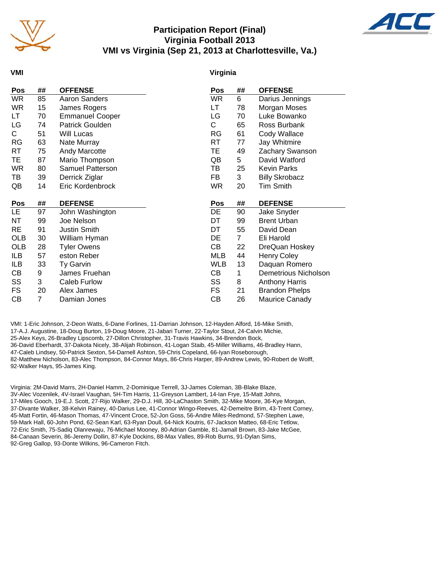

## **Participation Report (Final) Virginia Football 2013 VMI vs Virginia (Sep 21, 2013 at Charlottesville, Va.)**



#### **VMI**

#### **Virginia**

| Pos        | ## | <b>OFFENSE</b>         | Pos        | ##             | <b>OFFENSE</b>              |
|------------|----|------------------------|------------|----------------|-----------------------------|
| <b>WR</b>  | 85 | Aaron Sanders          | <b>WR</b>  | 6              | Darius Jennings             |
| <b>WR</b>  | 15 | James Rogers           | LT         | 78             | Morgan Moses                |
| LT         | 70 | <b>Emmanuel Cooper</b> | LG         | 70             | Luke Bowanko                |
| LG         | 74 | Patrick Goulden        | C          | 65             | Ross Burbank                |
| C          | 51 | Will Lucas             | <b>RG</b>  | 61             | Cody Wallace                |
| <b>RG</b>  | 63 | Nate Murray            | RT         | 77             | Jay Whitmire                |
| RT         | 75 | <b>Andy Marcotte</b>   | TE         | 49             | Zachary Swanson             |
| TE.        | 87 | Mario Thompson         | QB         | 5              | David Watford               |
| <b>WR</b>  | 80 | Samuel Patterson       | ΤВ         | 25             | <b>Kevin Parks</b>          |
| TВ         | 39 | Derrick Ziglar         | FB         | 3              | <b>Billy Skrobacz</b>       |
| QB         | 14 | Eric Kordenbrock       | <b>WR</b>  | 20             | <b>Tim Smith</b>            |
|            |    |                        |            |                |                             |
| Pos        | ## | <b>DEFENSE</b>         | <b>Pos</b> | ##             | <b>DEFENSE</b>              |
| LE.        | 97 | John Washington        | DE         | 90             | Jake Snyder                 |
| NT         | 99 | Joe Nelson             | DT         | 99             | <b>Brent Urban</b>          |
| <b>RE</b>  | 91 | <b>Justin Smith</b>    | DT         | 55             | David Dean                  |
| <b>OLB</b> | 30 | William Hyman          | DE         | $\overline{7}$ | Eli Harold                  |
| <b>OLB</b> | 28 | <b>Tyler Owens</b>     | CВ         | 22             | DreQuan Hoskey              |
| ILB        |    |                        |            |                |                             |
|            | 57 | eston Reber            | <b>MLB</b> | 44             | <b>Henry Coley</b>          |
| ILB        | 33 | Ty Garvin              | <b>WLB</b> | 13             | Daquan Romero               |
| CВ         | 9  | James Fruehan          | CВ         | 1              | <b>Demetrious Nicholson</b> |
| SS         | 3  | Caleb Furlow           | SS         | 8              | <b>Anthony Harris</b>       |
| FS         | 20 | Alex James             | FS         | 21             | <b>Brandon Phelps</b>       |

VMI: 1-Eric Johnson, 2-Deon Watts, 6-Dane Forlines, 11-Darrian Johnson, 12-Hayden Alford, 16-Mike Smith, 17-A.J. Augustine, 18-Doug Burton, 19-Doug Moore, 21-Jabari Turner, 22-Taylor Stout, 24-Calvin Michie, 25-Alex Keys, 26-Bradley Lipscomb, 27-Dillon Christopher, 31-Travis Hawkins, 34-Brendon Bock, 36-David Eberhardt, 37-Dakota Nicely, 38-Alijah Robinson, 41-Logan Staib, 45-Miller Williams, 46-Bradley Hann, 47-Caleb Lindsey, 50-Patrick Sexton, 54-Darnell Ashton, 59-Chris Copeland, 66-Iyan Roseborough, 82-Matthew Nicholson, 83-Alec Thompson, 84-Connor Mays, 86-Chris Harper, 89-Andrew Lewis, 90-Robert de Wolff, 92-Walker Hays, 95-James King.

Virginia: 2M-David Marrs, 2H-Daniel Hamm, 2-Dominique Terrell, 3J-James Coleman, 3B-Blake Blaze, 3V-Alec Vozenilek, 4V-Israel Vaughan, 5H-Tim Harris, 11-Greyson Lambert, 14-Ian Frye, 15-Matt Johns, 17-Miles Gooch, 19-E.J. Scott, 27-Rijo Walker, 29-D.J. Hill, 30-LaChaston Smith, 32-Mike Moore, 36-Kye Morgan, 37-Divante Walker, 38-Kelvin Rainey, 40-Darius Lee, 41-Connor Wingo-Reeves, 42-Demeitre Brim, 43-Trent Corney, 45-Matt Fortin, 46-Mason Thomas, 47-Vincent Croce, 52-Jon Goss, 56-Andre Miles-Redmond, 57-Stephen Lawe, 59-Mark Hall, 60-John Pond, 62-Sean Karl, 63-Ryan Doull, 64-Nick Koutris, 67-Jackson Matteo, 68-Eric Tetlow, 72-Eric Smith, 75-Sadiq Olanrewaju, 76-Michael Mooney, 80-Adrian Gamble, 81-Jamall Brown, 83-Jake McGee, 84-Canaan Severin, 86-Jeremy Dollin, 87-Kyle Dockins, 88-Max Valles, 89-Rob Burns, 91-Dylan Sims, 92-Greg Gallop, 93-Donte Wilkins, 96-Cameron Fitch.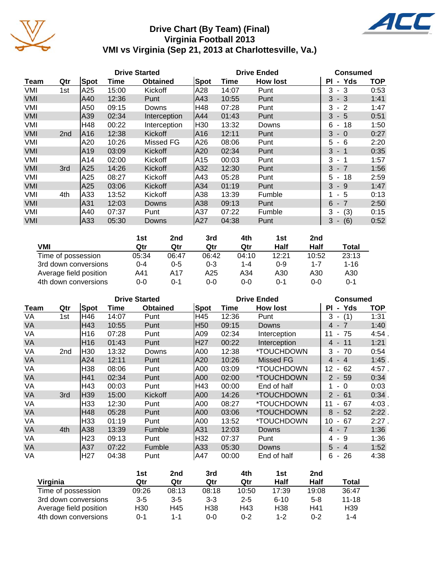

# **Drive Chart (By Team) (Final) Virginia Football 2013 VMI vs Virginia (Sep 21, 2013 at Charlottesville, Va.)**



|                        | 1st     | 2nd     | 3rd     | 4th     | 1st     | 2nd     |              |
|------------------------|---------|---------|---------|---------|---------|---------|--------------|
| VMI                    | Qtr     | Qtr     | Qtr     | Qtr     | Half    | Half    | <b>Total</b> |
| Time of possession     | 05:34   | 06:47   | 06:42   | 04:10   | 12:21   | 10:52   | 23:13        |
| 3rd down conversions   | $0 - 4$ | $0 - 5$ | $0 - 3$ | $1 - 4$ | $0 - 9$ | 1-7     | $1 - 16$     |
| Average field position | A41     | A17     | A25     | A34     | A30     | A30     | A30          |
| 4th down conversions   | $0 - 0$ | 0-1     | 0-0     | 0-0     | 0-1     | $0 - 0$ | 0-1          |

|           | <b>Drive Started</b> |                 |       |                 |      |       | <b>Drive Ended</b> | Consumed                             |            |
|-----------|----------------------|-----------------|-------|-----------------|------|-------|--------------------|--------------------------------------|------------|
| Team      | Qtr                  | Spot            | Time  | <b>Obtained</b> | Spot | Time  | <b>How lost</b>    | <b>PI</b><br>- Yds                   | <b>TOP</b> |
| VA        | 1st                  | H46             | 14:07 | Punt            | H45  | 12:36 | Punt               | $3 -$<br>(1)                         | 1:31       |
| VA        |                      | H43             | 10:55 | Punt            | H50  | 09:15 | Downs              | $4 - 7$                              | 1:40       |
| VA        |                      | H16             | 07:28 | Punt            | A09  | 02:34 | Interception       | 75<br>11<br>$\blacksquare$           | 4:54       |
| VA        |                      | H <sub>16</sub> | 01:43 | Punt            | H27  | 00:22 | Interception       | $4 - 11$                             | 1:21       |
| VA        | 2nd                  | H <sub>30</sub> | 13:32 | Downs           | A00  | 12:38 | *TOUCHDOWN         | $3 -$<br>-70                         | 0:54       |
| VA        |                      | A24             | 12:11 | Punt            | A20  | 10:26 | <b>Missed FG</b>   | $-4$<br>4                            | 1:45       |
| VA        |                      | H38             | 08:06 | Punt            | A00  | 03:09 | *TOUCHDOWN         | 12<br>62<br>$\blacksquare$           | 4:57.      |
| VA        |                      | H41             | 02:34 | Punt            | A00  | 02:00 | *TOUCHDOWN         | $2 - 59$                             | 0:34       |
| VA        |                      | H43             | 00:03 | Punt            | H43  | 00:00 | End of half        | $\Omega$<br>$\blacksquare$           | 0:03       |
| VA        | 3rd                  | H39             | 15:00 | Kickoff         | A00  | 14:26 | *TOUCHDOWN         | $-61$<br>$\mathbf{2}$                | 0:34.      |
| VA        |                      | H33             | 12:30 | Punt            | A00  | 08:27 | *TOUCHDOWN         | 67<br>11                             | 4:03.      |
| <b>VA</b> |                      | H48             | 05:28 | Punt            | A00  | 03:06 | *TOUCHDOWN         | $-52$<br>8                           | 2:22       |
| VA        |                      | H <sub>33</sub> | 01:19 | Punt            | A00  | 13:52 | *TOUCHDOWN         | 10<br>67<br>$\blacksquare$           | 2:27.      |
| <b>VA</b> | 4th                  | A38             | 13:39 | Fumble          | A31  | 12:03 | Downs              | $4 - 7$                              | 1:36       |
| VA        |                      | H <sub>23</sub> | 09:13 | Punt            | H32  | 07:37 | Punt               | -9<br>4 -                            | 1:36       |
| <b>VA</b> |                      | A37             | 07:22 | <b>Fumble</b>   | A33  | 05:30 | Downs              | 5<br>$-4$                            | 1:52       |
| VA        |                      | H27             | 04:38 | Punt            | A47  | 00:00 | End of half        | -26<br>6<br>$\overline{\phantom{a}}$ | 4:38       |

|                        | 1st     | 2nd     | 3rd     | 4th     | 1st             | 2nd     |           |
|------------------------|---------|---------|---------|---------|-----------------|---------|-----------|
| Virginia               | Qtr     | Qtr     | Qtr     | Qtr     | Half            | Half    | Total     |
| Time of possession     | 09:26   | 08:13   | 08:18   | 10:50   | 17:39           | 19:08   | 36:47     |
| 3rd down conversions   | $3 - 5$ | $3 - 5$ | $3 - 3$ | $2 - 5$ | $6 - 10$        | $5-8$   | $11 - 18$ |
| Average field position | H30     | H45     | H38     | H43     | H <sub>38</sub> | H41     | H39       |
| 4th down conversions   | 0-1     | $1 - 1$ | $0 - 0$ | $0 - 2$ | $1 - 2$         | $0 - 2$ | 1-4       |

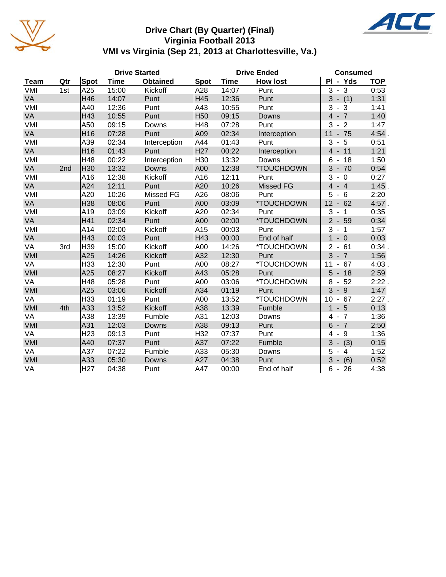

## **Drive Chart (By Quarter) (Final) Virginia Football 2013 VMI vs Virginia (Sep 21, 2013 at Charlottesville, Va.)**

|             |     |                 |             | <b>Drive Started</b> |                 | <b>Drive Ended</b> | <b>Consumed</b>  |                                               |            |
|-------------|-----|-----------------|-------------|----------------------|-----------------|--------------------|------------------|-----------------------------------------------|------------|
| <b>Team</b> | Qtr | Spot            | <b>Time</b> | <b>Obtained</b>      | Spot            | <b>Time</b>        | <b>How lost</b>  | PI - Yds                                      | <b>TOP</b> |
| VMI         | 1st | A25             | 15:00       | Kickoff              | A28             | 14:07              | Punt             | 3<br>3<br>$\blacksquare$                      | 0:53       |
| VA          |     | H46             | 14:07       | Punt                 | H45             | 12:36              | Punt             | $3 - (1)$                                     | 1:31       |
| VMI         |     | A40             | 12:36       | Punt                 | A43             | 10:55              | Punt             | 3<br>$\mathbf{3}$<br>$\overline{\phantom{a}}$ | 1:41       |
| VA          |     | H43             | 10:55       | Punt                 | H <sub>50</sub> | 09:15              | Downs            | $4 - 7$                                       | 1:40       |
| VMI         |     | A50             | 09:15       | Downs                | H48             | 07:28              | Punt             | 3<br>$-2$                                     | 1:47       |
| VA          |     | H <sub>16</sub> | 07:28       | Punt                 | A09             | 02:34              | Interception     | $-75$<br>11                                   | 4:54       |
| VMI         |     | A39             | 02:34       | Interception         | A44             | 01:43              | Punt             | $5\phantom{.0}$<br>3<br>$\blacksquare$        | 0:51       |
| VA          |     | H <sub>16</sub> | 01:43       | Punt                 | H <sub>27</sub> | 00:22              | Interception     | $-11$<br>$\overline{4}$                       | 1:21       |
| VMI         |     | H48             | 00:22       | Interception         | H30             | 13:32              | Downs            | 6<br>18<br>$\overline{\phantom{a}}$           | 1:50       |
| VA          | 2nd | H30             | 13:32       | Downs                | A00             | 12:38              | *TOUCHDOWN       | $3 - 70$                                      | 0:54       |
| VMI         |     | A16             | 12:38       | Kickoff              | A16             | 12:11              | Punt             | 3<br>$-0$                                     | 0:27       |
| VA          |     | A24             | 12:11       | Punt                 | A20             | 10:26              | <b>Missed FG</b> | $\overline{4}$<br>$-4$                        | $1:45$ .   |
| VMI         |     | A20             | 10:26       | <b>Missed FG</b>     | A26             | 08:06              | Punt             | 5<br>- 6<br>$\blacksquare$                    | 2:20       |
| VA          |     | H38             | 08:06       | Punt                 | A00             | 03:09              | *TOUCHDOWN       | $12 - 62$                                     | 4:57.      |
| VMI         |     | A19             | 03:09       | Kickoff              | A20             | 02:34              | Punt             | 3<br>$-1$                                     | 0:35       |
| VA          |     | H41             | 02:34       | Punt                 | A00             | 02:00              | *TOUCHDOWN       | $2 - 59$                                      | 0:34       |
| VMI         |     | A14             | 02:00       | Kickoff              | A15             | 00:03              | Punt             | 3<br>$-1$                                     | 1:57       |
| VA          |     | H43             | 00:03       | Punt                 | H43             | 00:00              | End of half      | $\mathbf{1}$<br>$-0$                          | 0:03       |
| VA          | 3rd | H39             | 15:00       | Kickoff              | A00             | 14:26              | *TOUCHDOWN       | 2<br>$-61$                                    | 0:34.      |
| VMI         |     | A25             | 14:26       | Kickoff              | A32             | 12:30              | Punt             | 3<br>$-7$                                     | 1:56       |
| VA          |     | H33             | 12:30       | Punt                 | A00             | 08:27              | *TOUCHDOWN       | 11<br>67<br>$\blacksquare$                    | 4:03.      |
| VMI         |     | A25             | 08:27       | Kickoff              | A43             | 05:28              | Punt             | 5<br>$-18$                                    | 2:59       |
| VA          |     | H48             | 05:28       | Punt                 | A00             | 03:06              | *TOUCHDOWN       | 8<br>$-52$                                    | $2:22$ .   |
| VMI         |     | A25             | 03:06       | Kickoff              | A34             | 01:19              | Punt             | 3<br>$-9$                                     | 1:47       |
| VA          |     | H33             | 01:19       | Punt                 | A00             | 13:52              | *TOUCHDOWN       | 10<br>$-67$                                   | 2:27.      |
| VMI         | 4th | A33             | 13:52       | Kickoff              | A38             | 13:39              | Fumble           | $\mathbf{1}$<br>$-5$                          | 0:13       |
| VA          |     | A38             | 13:39       | Fumble               | A31             | 12:03              | Downs            | $-7$<br>4                                     | 1:36       |
| VMI         |     | A31             | 12:03       | Downs                | A38             | 09:13              | Punt             | 6<br>$-7$                                     | 2:50       |
| VA          |     | H <sub>23</sub> | 09:13       | Punt                 | H32             | 07:37              | Punt             | - 9<br>4                                      | 1:36       |
| VMI         |     | A40             | 07:37       | Punt                 | A37             | 07:22              | Fumble           | $-$ (3)<br>3                                  | 0:15       |
| VA          |     | A37             | 07:22       | Fumble               | A33             | 05:30              | Downs            | 5<br>$-4$                                     | 1:52       |
| VMI         |     | A33             | 05:30       | Downs                | A27             | 04:38              | Punt             | 3<br>$- (6)$                                  | 0:52       |
| VA          |     | H <sub>27</sub> | 04:38       | Punt                 | A47             | 00:00              | End of half      | $6 - 26$                                      | 4:38       |

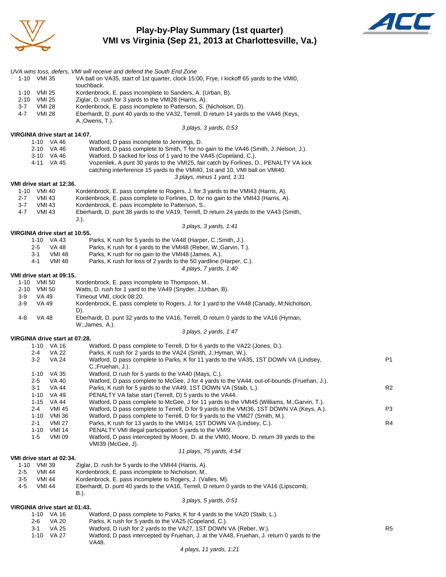

## **Play-by-Play Summary (1st quarter) VMI vs Virginia (Sep 21, 2013 at Charlottesville, Va.)**



|                                                       | UVA wins toss, defers, VMI will receive and defend the South End Zone                                                                               |                |
|-------------------------------------------------------|-----------------------------------------------------------------------------------------------------------------------------------------------------|----------------|
| 1-10 VMI 35                                           | VA ball on VA35, start of 1st quarter, clock 15:00, Frye, I kickoff 65 yards to the VMI0,                                                           |                |
| 1-10 VMI 25                                           | touchback.<br>Kordenbrock, E. pass incomplete to Sanders, A. (Urban, B).                                                                            |                |
| 2-10 VMI 25                                           | Ziglar, D. rush for 3 yards to the VMI28 (Harris, A).                                                                                               |                |
| $3 - 7$<br><b>VMI 28</b>                              | Kordenbrock, E. pass incomplete to Patterson, S. (Nicholson, D).                                                                                    |                |
| 4-7<br><b>VMI 28</b>                                  | Eberhardt, D. punt 40 yards to the VA32, Terrell, D return 14 yards to the VA46 (Keys,                                                              |                |
|                                                       | A.;Owens, T.).<br>3 plays, 3 yards, 0:53                                                                                                            |                |
| VIRGINIA drive start at 14:07.                        |                                                                                                                                                     |                |
| 1-10 VA 46                                            | Watford, D pass incomplete to Jennings, D.                                                                                                          |                |
| 2-10 VA 46                                            | Watford, D pass complete to Smith, T for no gain to the VA46 (Smith, J.; Nelson, J.).                                                               |                |
| 3-10 VA 46                                            | Watford, D sacked for loss of 1 yard to the VA45 (Copeland, C.).                                                                                    |                |
| 4-11 VA 45                                            | Vozenilek, A punt 30 yards to the VMI25, fair catch by Forlines, D., PENALTY VA kick                                                                |                |
|                                                       | catching interference 15 yards to the VMI40, 1st and 10, VMI ball on VMI40.<br>3 plays, minus 1 yard, 1:31                                          |                |
| VMI drive start at 12:36.                             |                                                                                                                                                     |                |
| 1-10 VMI 40                                           | Kordenbrock, E. pass complete to Rogers, J. for 3 yards to the VMI43 (Harris, A).                                                                   |                |
| $2 - 7$<br>VMI 43                                     | Kordenbrock, E. pass complete to Forlines, D. for no gain to the VMI43 (Harris, A).                                                                 |                |
| $3 - 7$<br>VMI 43                                     | Kordenbrock, E. pass incomplete to Patterson, S                                                                                                     |                |
| $4 - 7$<br><b>VMI 43</b>                              | Eberhardt, D. punt 38 yards to the VA19, Terrell, D return 24 yards to the VA43 (Smith,<br>$J.$ ).                                                  |                |
|                                                       | 3 plays, 3 yards, 1:41                                                                                                                              |                |
| VIRGINIA drive start at 10:55.                        |                                                                                                                                                     |                |
| 1-10 VA 43                                            | Parks, K rush for 5 yards to the VA48 (Harper, C.; Smith, J.).                                                                                      |                |
| VA 48<br>2-5                                          | Parks, K rush for 4 yards to the VMI48 (Reber, W.; Garvin, T.).                                                                                     |                |
| <b>VMI 48</b><br>3-1<br>4-1<br><b>VMI 48</b>          | Parks, K rush for no gain to the VMI48 (James, A.).<br>Parks, K rush for loss of 2 yards to the 50 yardline (Harper, C.).                           |                |
|                                                       | 4 plays, 7 yards, 1:40                                                                                                                              |                |
| VMI drive start at 09:15.                             |                                                                                                                                                     |                |
| 1-10 VMI 50                                           | Kordenbrock, E. pass incomplete to Thompson, M                                                                                                      |                |
| 2-10 VMI 50                                           | Watts, D. rush for 1 yard to the VA49 (Snyder, J;Urban, B).                                                                                         |                |
| $3-9$<br>VA 49<br>$3-9$<br>VA 49                      | Timeout VMI, clock 08:20.<br>Kordenbrock, E. pass complete to Rogers, J. for 1 yard to the VA48 (Canady, M;Nicholson,                               |                |
|                                                       | D).                                                                                                                                                 |                |
| 4-8<br>VA 48                                          | Eberhardt, D. punt 32 yards to the VA16, Terrell, D return 0 yards to the VA16 (Hyman,                                                              |                |
|                                                       | W.; James, A.).                                                                                                                                     |                |
| VIRGINIA drive start at 07:28.                        | 3 plays, 2 yards, 1:47                                                                                                                              |                |
| 1-10 VA 16                                            | Watford, D pass complete to Terrell, D for 6 yards to the VA22 (Jones, D.).                                                                         |                |
| $2 - 4$<br><b>VA 22</b>                               | Parks, K rush for 2 yards to the VA24 (Smith, J.; Hyman, W.).                                                                                       |                |
| <b>VA 24</b><br>3-2                                   | Watford, D pass complete to Parks, K for 11 yards to the VA35, 1ST DOWN VA (Lindsey,                                                                | P1             |
|                                                       | C.;Fruehan, J.).                                                                                                                                    |                |
| 1-10 VA 35<br>2-5<br>VA 40                            | Watford, D rush for 5 yards to the VA40 (Mays, C.).<br>Watford, D pass complete to McGee, J for 4 yards to the VA44, out-of-bounds (Fruehan, J.).   |                |
| 3-1<br>VA 44                                          | Parks, K rush for 5 yards to the VA49, 1ST DOWN VA (Staib, L.).                                                                                     | R <sub>2</sub> |
| $1 - 10$<br><b>VA 49</b>                              | PENALTY VA false start (Terrell, D) 5 yards to the VA44.                                                                                            |                |
| $1 - 15$<br>VA 44                                     | Watford, D pass complete to McGee, J for 11 yards to the VMI45 (Williams, M.;Garvin, T.).                                                           |                |
| 2-4<br><b>VMI 45</b>                                  | Watford, D pass complete to Terrell, D for 9 yards to the VMI36, 1ST DOWN VA (Keys, A.).                                                            | P3             |
| $1 - 10$<br><b>VMI 36</b><br>$2 - 1$<br><b>VMI 27</b> | Watford, D pass complete to Terrell, D for 9 yards to the VMI27 (Smith, M.).<br>Parks, K rush for 13 yards to the VMI14, 1ST DOWN VA (Lindsey, C.). | R4             |
| $1 - 10$<br>VMI 14                                    | PENALTY VMI illegal participation 5 yards to the VMI9.                                                                                              |                |
| $1-5$<br><b>VMI 09</b>                                | Watford, D pass intercepted by Moore, D. at the VMI0, Moore, D. return 39 yards to the                                                              |                |
|                                                       | VMI39 (McGee, J).                                                                                                                                   |                |
|                                                       | 11 plays, 75 yards, 4:54                                                                                                                            |                |
| VMI drive start at 02:34.<br>1-10 VMI 39              | Ziglar, D. rush for 5 yards to the VMI44 (Harris, A).                                                                                               |                |
| 2-5<br>VMI 44                                         | Kordenbrock, E. pass incomplete to Nicholson, M                                                                                                     |                |
| $3-5$<br>VMI 44                                       | Kordenbrock, E. pass incomplete to Rogers, J. (Valles, M).                                                                                          |                |
| $4 - 5$<br><b>VMI 44</b>                              | Eberhardt, D. punt 40 yards to the VA16, Terrell, D return 0 yards to the VA16 (Lipscomb,                                                           |                |
|                                                       | B.).                                                                                                                                                |                |
| VIRGINIA drive start at 01:43.                        | 3 plays, 5 yards, 0:51                                                                                                                              |                |
| 1-10 VA 16                                            | Watford, D pass complete to Parks, K for 4 yards to the VA20 (Staib, L.).                                                                           |                |
| <b>VA 20</b><br>2-6                                   | Parks, K rush for 5 yards to the VA25 (Copeland, C.).                                                                                               |                |
| <b>VA 25</b><br>3-1                                   | Watford, D rush for 2 yards to the VA27, 1ST DOWN VA (Reber, W.).                                                                                   | R <sub>5</sub> |
| 1-10 VA 27                                            | Watford, D pass intercepted by Fruehan, J. at the VA48, Fruehan, J. return 0 yards to the                                                           |                |
|                                                       | VA48.                                                                                                                                               |                |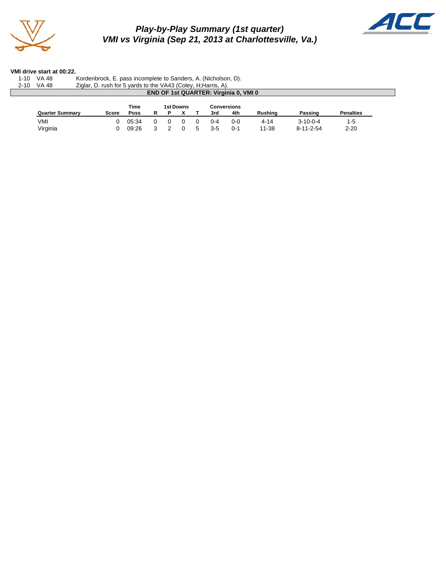

*Play-by-Play Summary (1st quarter) VMI vs Virginia (Sep 21, 2013 at Charlottesville, Va.)*



#### **VMI drive start at 00:22.**

| $1 - 10$ | <b>VA 48</b>           | Kordenbrock, E. pass incomplete to Sanders, A. (Nicholson, D). |              |             |           |   |  |  |     |                                              |                |                   |                  |  |
|----------|------------------------|----------------------------------------------------------------|--------------|-------------|-----------|---|--|--|-----|----------------------------------------------|----------------|-------------------|------------------|--|
| $2 - 10$ | <b>VA 48</b>           | Ziglar, D. rush for 5 yards to the VA43 (Coley, H; Harris, A). |              |             |           |   |  |  |     |                                              |                |                   |                  |  |
|          |                        |                                                                |              |             |           |   |  |  |     | <b>END OF 1st QUARTER: Virginia 0, VMI 0</b> |                |                   |                  |  |
|          |                        |                                                                |              |             |           |   |  |  |     |                                              |                |                   |                  |  |
|          |                        |                                                                |              | <b>Time</b> | 1st Downs |   |  |  |     | Conversions                                  |                |                   |                  |  |
|          | <b>Quarter Summary</b> |                                                                | <b>Score</b> | <b>Poss</b> | R.        | P |  |  | 3rd | 4th                                          | <b>Rushing</b> | Passing           | <b>Penalties</b> |  |
|          |                        |                                                                |              |             |           |   |  |  | በ-4 | $0 - 0$                                      | $4 - 14$       | $3 - 10 - 0 - 4$  |                  |  |
|          | VMI                    |                                                                |              | 05:34       |           |   |  |  |     |                                              |                |                   | $1 - 5$          |  |
|          | Virginia               |                                                                |              | 09:26       |           |   |  |  | 3-5 | 0-1                                          | 11-38          | $8 - 11 - 2 - 54$ | $2 - 20$         |  |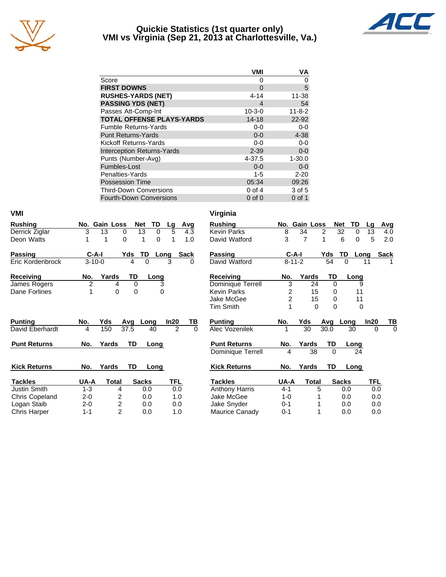

#### **Quickie Statistics (1st quarter only) VMI vs Virginia (Sep 21, 2013 at Charlottesville, Va.)**



|                                   | <b>VMI</b>   | VA           |
|-----------------------------------|--------------|--------------|
| Score                             | O            | 0            |
| <b>FIRST DOWNS</b>                | 0            | 5            |
| <b>RUSHES-YARDS (NET)</b>         | 4-14         | 11-38        |
| <b>PASSING YDS (NET)</b>          | 4            | 54           |
| Passes Att-Comp-Int               | $10 - 3 - 0$ | $11 - 8 - 2$ |
| <b>TOTAL OFFENSE PLAYS-YARDS</b>  | $14 - 18$    | 22-92        |
| <b>Fumble Returns-Yards</b>       | $0 - 0$      | $0 - 0$      |
| <b>Punt Returns-Yards</b>         | $0 - 0$      | $4 - 38$     |
| Kickoff Returns-Yards             | $0 - 0$      | $0 - 0$      |
| <b>Interception Returns-Yards</b> | $2 - 39$     | $0-0$        |
| Punts (Number-Avg)                | 4-37.5       | $1 - 30.0$   |
| Fumbles-Lost                      | $0 - 0$      | $0 - 0$      |
| Penalties-Yards                   | $1 - 5$      | $2 - 20$     |
| Possession Time                   | 05:34        | 09:26        |
| <b>Third-Down Conversions</b>     | $0$ of 4     | 3 of 5       |
| <b>Fourth-Down Conversions</b>    | $0$ of $0$   | 0 of 1       |

| VMI                 |                |                         |          |                  |            |            |          | Virginia              |                |               |                |            |              |               |               |
|---------------------|----------------|-------------------------|----------|------------------|------------|------------|----------|-----------------------|----------------|---------------|----------------|------------|--------------|---------------|---------------|
| <b>Rushing</b>      | No.            | <b>Gain Loss</b>        |          | <b>Net</b><br>TD | Lg         | <b>Avg</b> |          | <b>Rushing</b>        |                | No. Gain Loss |                | <b>Net</b> |              | TD<br>Lg      | <b>Avg</b>    |
| Derrick Ziglar      | 3              | 13                      | 0        | 13               | 5<br>0     | 4.3        |          | <b>Kevin Parks</b>    | 8              | 34            | $\overline{2}$ |            | 32           | 0<br>13       | 4.0           |
| Deon Watts          | 1              | 1                       | $\Omega$ | 1                | 0<br>1     | 1.0        |          | David Watford         | 3              | 7             | 1              |            | 6            | 5<br>$\Omega$ | 2.0           |
| Passing             | $C-A-I$        |                         | Yds      | TD               | Long       | Sack       |          | Passing               |                | $C-A-I$       |                | Yds        | TD           | Long          | <b>Sack</b>   |
| Eric Kordenbrock    | $3 - 10 - 0$   |                         | 4        | $\Omega$         | 3          | 0          |          | David Watford         |                | $8 - 11 - 2$  |                | 54         | 0            | 11            |               |
| <b>Receiving</b>    | No.            | Yards                   | TD       | Long             |            |            |          | <b>Receiving</b>      | No.            | Yards         |                | TD         |              | Long          |               |
| James Rogers        | $\overline{c}$ | 4                       | $\Omega$ |                  | 3          |            |          | Dominique Terrell     | 3              |               | 24             | $\Omega$   |              | 9             |               |
| Dane Forlines       |                | $\mathbf 0$             | 0        |                  | 0          |            |          | <b>Kevin Parks</b>    | 2              |               | 15             | 0          |              | 11            |               |
|                     |                |                         |          |                  |            |            |          | Jake McGee            | $\overline{c}$ |               | 15             | 0          |              | 11            |               |
|                     |                |                         |          |                  |            |            |          | <b>Tim Smith</b>      |                |               | $\Omega$       | 0          |              | $\Omega$      |               |
| <b>Punting</b>      | No.            | Yds                     | Avg      | Long             | In20       | TВ         |          | <b>Punting</b>        | No.            | Yds           |                | Avg        | Long         | In20          | TB            |
| David Eberhardt     | 4              | 150                     | 37.5     | 40               |            | 2          | $\Omega$ | <b>Alec Vozenilek</b> |                | 30            |                | 30.0       | 30           |               | $\Omega$<br>0 |
| <b>Punt Returns</b> | No.            | Yards                   | TD       | Long             |            |            |          | <b>Punt Returns</b>   | No.            | Yards         |                | TD         | Long         |               |               |
|                     |                |                         |          |                  |            |            |          | Dominique Terrell     | 4              |               | 38             | $\Omega$   |              | 24            |               |
| <b>Kick Returns</b> | No.            | Yards                   | TD       | Long             |            |            |          | <b>Kick Returns</b>   | No.            | Yards         |                | TD         | <b>Long</b>  |               |               |
| <b>Tackles</b>      | UA-A           | Total                   |          | <b>Sacks</b>     | <b>TFL</b> |            |          | <b>Tackles</b>        | UA-A           |               | <b>Total</b>   |            | <b>Sacks</b> |               | <b>TFL</b>    |
| Justin Smith        | $1 - 3$        | 4                       |          | 0.0              |            | 0.0        |          | Anthony Harris        | $4 - 1$        |               | 5              |            | 0.0          |               | 0.0           |
| Chris Copeland      | $2 - 0$        | 2                       |          | 0.0              |            | 1.0        |          | Jake McGee            | $1-0$          |               |                |            | 0.0          |               | 0.0           |
| Logan Staib         | $2 - 0$        | $\overline{\mathbf{c}}$ |          | 0.0              |            | 0.0        |          | Jake Snyder           | 0-1            |               |                |            | 0.0          |               | 0.0           |
| Chris Harper        | $1 - 1$        | $\overline{2}$          |          | 0.0              |            | 1.0        |          | Maurice Canady        | $0 - 1$        |               |                |            | 0.0          |               | 0.0           |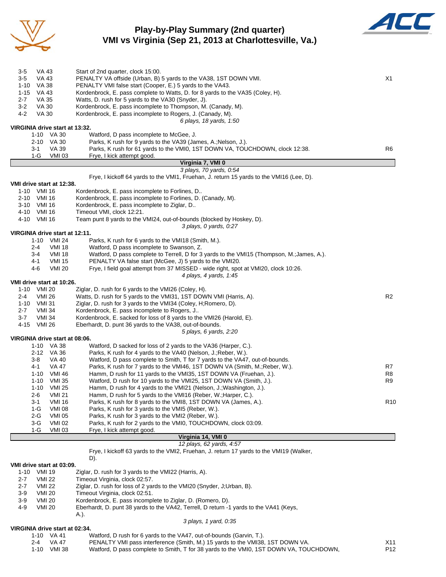

## **Play-by-Play Summary (2nd quarter) VMI vs Virginia (Sep 21, 2013 at Charlottesville, Va.)**



| 3-5                            | VA 43            |               | Start of 2nd quarter, clock 15:00.                                                         |                 |
|--------------------------------|------------------|---------------|--------------------------------------------------------------------------------------------|-----------------|
| $3-5$                          | VA 43            |               | PENALTY VA offside (Urban, B) 5 yards to the VA38, 1ST DOWN VMI.                           | X1              |
| $1 - 10$                       | <b>VA 38</b>     |               | PENALTY VMI false start (Cooper, E.) 5 yards to the VA43.                                  |                 |
| $1 - 15$                       | VA 43            |               | Kordenbrock, E. pass complete to Watts, D. for 8 yards to the VA35 (Coley, H).             |                 |
| 2-7                            | VA 35            |               | Watts, D. rush for 5 yards to the VA30 (Snyder, J).                                        |                 |
| $3 - 2$                        | <b>VA 30</b>     |               | Kordenbrock, E. pass incomplete to Thompson, M. (Canady, M).                               |                 |
| 4-2                            | <b>VA 30</b>     |               | Kordenbrock, E. pass incomplete to Rogers, J. (Canady, M).                                 |                 |
|                                |                  |               | 6 plays, 18 yards, 1:50                                                                    |                 |
| VIRGINIA drive start at 13:32. |                  |               |                                                                                            |                 |
|                                | 1-10 VA 30       |               | Watford, D pass incomplete to McGee, J.                                                    |                 |
|                                | 2-10 VA 30       |               | Parks, K rush for 9 yards to the VA39 (James, A.; Nelson, J.).                             |                 |
|                                | 3-1              | VA 39         | Parks, K rush for 61 yards to the VMI0, 1ST DOWN VA, TOUCHDOWN, clock 12:38.               | R6              |
|                                | $1-G$            | <b>VMI 03</b> | Frye, I kick attempt good.                                                                 |                 |
|                                |                  |               | Virginia 7, VMI 0                                                                          |                 |
|                                |                  |               | 3 plays, 70 yards, 0:54                                                                    |                 |
|                                |                  |               | Frye, I kickoff 64 yards to the VMI1, Fruehan, J. return 15 yards to the VMI16 (Lee, D).   |                 |
| VMI drive start at 12:38.      |                  |               |                                                                                            |                 |
| 1-10                           | VMI 16           |               | Kordenbrock, E. pass incomplete to Forlines, D                                             |                 |
| 2-10                           | VMI 16           |               | Kordenbrock, E. pass incomplete to Forlines, D. (Canady, M).                               |                 |
| 3-10                           | VMI 16           |               | Kordenbrock, E. pass incomplete to Ziglar, D                                               |                 |
|                                | 4-10 VMI 16      |               | Timeout VMI, clock 12:21.                                                                  |                 |
|                                | 4-10 VMI 16      |               | Team punt 8 yards to the VMI24, out-of-bounds (blocked by Hoskey, D).                      |                 |
|                                |                  |               | 3 plays, 0 yards, 0.27                                                                     |                 |
| VIRGINIA drive start at 12:11. |                  |               |                                                                                            |                 |
|                                |                  | 1-10 VMI 24   | Parks, K rush for 6 yards to the VMI18 (Smith, M.).                                        |                 |
|                                | $2 - 4$          | <b>VMI 18</b> | Watford, D pass incomplete to Swanson, Z.                                                  |                 |
|                                | 3-4              | <b>VMI 18</b> | Watford, D pass complete to Terrell, D for 3 yards to the VMI15 (Thompson, M.; James, A.). |                 |
|                                | 4-1              | <b>VMI 15</b> | PENALTY VA false start (McGee, J) 5 yards to the VMI20.                                    |                 |
|                                | 4-6              | <b>VMI 20</b> | Frye, I field goal attempt from 37 MISSED - wide right, spot at VMI20, clock 10:26.        |                 |
|                                |                  |               | 4 plays, 4 yards, 1:45                                                                     |                 |
| VMI drive start at 10:26.      |                  |               |                                                                                            |                 |
| $1 - 10$                       | VMI 20           |               | Ziglar, D. rush for 6 yards to the VMI26 (Coley, H).                                       |                 |
| 2-4                            | VMI 26           |               | Watts, D. rush for 5 yards to the VMI31, 1ST DOWN VMI (Harris, A).                         | R2              |
| 1-10                           | VMI 31           |               | Ziglar, D. rush for 3 yards to the VMI34 (Coley, H; Romero, D).                            |                 |
| 2-7<br>$3 - 7$                 | VMI 34<br>VMI 34 |               | Kordenbrock, E. pass incomplete to Rogers, J                                               |                 |
|                                | VMI 26           |               | Kordenbrock, E. sacked for loss of 8 yards to the VMI26 (Harold, E).                       |                 |
| 4-15                           |                  |               | Eberhardt, D. punt 36 yards to the VA38, out-of-bounds.<br>5 plays, 6 yards, 2:20          |                 |
| VIRGINIA drive start at 08:06. |                  |               |                                                                                            |                 |
|                                | 1-10 VA 38       |               | Watford, D sacked for loss of 2 yards to the VA36 (Harper, C.).                            |                 |
|                                | 2-12 VA 36       |               | Parks, K rush for 4 yards to the VA40 (Nelson, J.; Reber, W.).                             |                 |
|                                | 3-8              | VA 40         | Watford, D pass complete to Smith, T for 7 yards to the VA47, out-of-bounds.               |                 |
|                                | 4-1              | VA 47         | Parks, K rush for 7 yards to the VMI46, 1ST DOWN VA (Smith, M.; Reber, W.).                | R7              |
|                                | 1-10             | VMI 46        | Hamm, D rush for 11 yards to the VMI35, 1ST DOWN VA (Fruehan, J.).                         | R8              |
|                                | $1 - 10$         | VMI 35        | Watford, D rush for 10 yards to the VMI25, 1ST DOWN VA (Smith, J.).                        | R9              |
|                                | $1 - 10$         | VMI 25        | Hamm, D rush for 4 yards to the VMI21 (Nelson, J.; Washington, J.).                        |                 |
|                                | $2 - 6$          | <b>VMI 21</b> | Hamm, D rush for 5 yards to the VMI16 (Reber, W.; Harper, C.).                             |                 |
|                                | $3 - 1$          | <b>VMI 16</b> | Parks, K rush for 8 yards to the VMI8, 1ST DOWN VA (James, A.).                            | R <sub>10</sub> |
|                                | $1-G$            | <b>VMI 08</b> | Parks, K rush for 3 yards to the VMI5 (Reber, W.).                                         |                 |
|                                | $2-G$            | <b>VMI 05</b> | Parks, K rush for 3 yards to the VMI2 (Reber, W.).                                         |                 |
|                                | 3 G              | <b>VMI 02</b> | Parks, K rush for 2 yards to the VMI0, TOUCHDOWN, clock 03:09.                             |                 |
|                                | $1-G$            | <b>VMI 03</b> | Frye, I kick attempt good.                                                                 |                 |
|                                |                  |               | Virginia 14, VMI 0                                                                         |                 |
|                                |                  |               | 12 plays, 62 yards, 4:57                                                                   |                 |

Frye, I kickoff 63 yards to the VMI2, Fruehan, J. return 17 yards to the VMI19 (Walker,

#### **VMI drive start at 03:09.**

D).

|          | 'MI drive start at U3:09. |                                                                                        |
|----------|---------------------------|----------------------------------------------------------------------------------------|
| $1 - 10$ | VMI 19                    | Ziglar, D. rush for 3 yards to the VMI22 (Harris, A).                                  |
| $2 - 7$  | VMI 22                    | Timeout Virginia, clock 02:57.                                                         |
| $2 - 7$  | <b>VMI 22</b>             | Ziglar, D. rush for loss of 2 yards to the VMI20 (Snyder, J.Urban, B).                 |
| $3-9$    | VMI 20                    | Timeout Virginia, clock 02:51.                                                         |
| $3-9$    | <b>VMI 20</b>             | Kordenbrock, E. pass incomplete to Ziglar, D. (Romero, D).                             |
| $4-9$    | <b>VMI 20</b>             | Eberhardt, D. punt 38 yards to the VA42, Terrell, D return -1 yards to the VA41 (Keys, |
|          |                           | A.).                                                                                   |
|          |                           | 3 plays, 1 yard, 0:35                                                                  |

#### **VIRGINIA drive start at 02:34.**

|  | 1-10 VA 41 |  | Watford, D rush for 6 yards to the VA47, out-of-bounds (Garvin, T.). |  |
|--|------------|--|----------------------------------------------------------------------|--|
|--|------------|--|----------------------------------------------------------------------|--|

- 2-4 VA 47 PENALTY VMI pass interference (Smith, M.) 15 yards to the VMI38, 1ST DOWN VA. X11
	- 1-10 VMI 38 Watford, D pass complete to Smith, T for 38 yards to the VMI0, 1ST DOWN VA, TOUCHDOWN, P12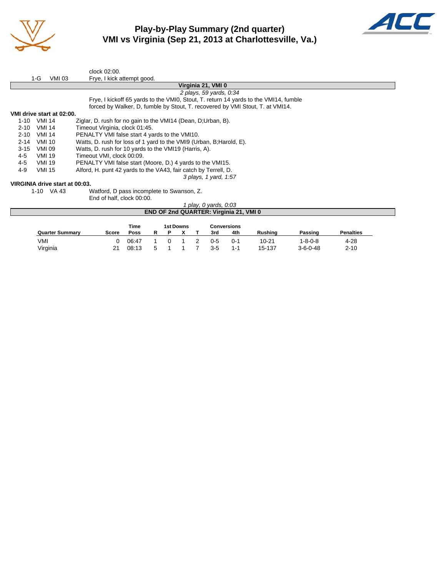

# **Play-by-Play Summary (2nd quarter) VMI vs Virginia (Sep 21, 2013 at Charlottesville, Va.)**



|          |               |                                | clock 02:00.                                                                         |
|----------|---------------|--------------------------------|--------------------------------------------------------------------------------------|
|          | 1-G           | <b>VMI 03</b>                  | Frye, I kick attempt good.                                                           |
|          |               |                                | Virginia 21, VMI 0                                                                   |
|          |               |                                | 2 plays, 59 yards, 0:34                                                              |
|          |               |                                | Frye, I kickoff 65 yards to the VMIO, Stout, T. return 14 yards to the VMI14, fumble |
|          |               |                                | forced by Walker, D, fumble by Stout, T. recovered by VMI Stout, T. at VMI14.        |
|          |               | VMI drive start at 02:00.      |                                                                                      |
| $1 - 10$ | VMI 14        |                                | Ziglar, D. rush for no gain to the VMI14 (Dean, D;Urban, B).                         |
| $2 - 10$ | VMI 14        |                                | Timeout Virginia, clock 01:45.                                                       |
| $2 - 10$ | <b>VMI 14</b> |                                | PENALTY VMI false start 4 yards to the VMI10.                                        |
| $2 - 14$ | <b>VMI 10</b> |                                | Watts, D. rush for loss of 1 yard to the VMI9 (Urban, B; Harold, E).                 |
| $3 - 15$ | <b>VMI 09</b> |                                | Watts, D. rush for 10 yards to the VMI19 (Harris, A).                                |
| 4-5      | VMI 19        |                                | Timeout VMI, clock 00:09.                                                            |
| 4-5      | VMI 19        |                                | PENALTY VMI false start (Moore, D.) 4 yards to the VMI15.                            |
| 4-9      | <b>VMI 15</b> |                                | Alford, H. punt 42 yards to the VA43, fair catch by Terrell, D.                      |
|          |               |                                | 3 plays, 1 yard, 1:57                                                                |
|          |               | VIRGINIA drive start at 00:03. |                                                                                      |
|          |               |                                |                                                                                      |

1-10 VA 43 Watford, D pass incomplete to Swanson, Z. End of half, clock 00:00.

|                        |              |       |    |   |           | play, 0 yards, 0:03 |                                        |                |                  |                  |  |
|------------------------|--------------|-------|----|---|-----------|---------------------|----------------------------------------|----------------|------------------|------------------|--|
|                        |              |       |    |   |           |                     | END OF 2nd QUARTER: Virginia 21, VMI 0 |                |                  |                  |  |
|                        |              | Time  |    |   | 1st Downs |                     | <b>Conversions</b>                     |                |                  |                  |  |
| <b>Quarter Summary</b> | <b>Score</b> | Poss  | R. | P |           | 3rd                 | 4th                                    | <b>Rushing</b> | Passing          | <b>Penalties</b> |  |
| VMI                    |              | 06:47 |    |   |           | 0-5                 | 0-1                                    | $10 - 21$      | $1 - 8 - 0 - 8$  | $4 - 28$         |  |
| Virginia               | 21           | 08:13 |    |   |           | $3 - 5$             | $1 - 1$                                | 15-137         | $3 - 6 - 0 - 48$ | $2 - 10$         |  |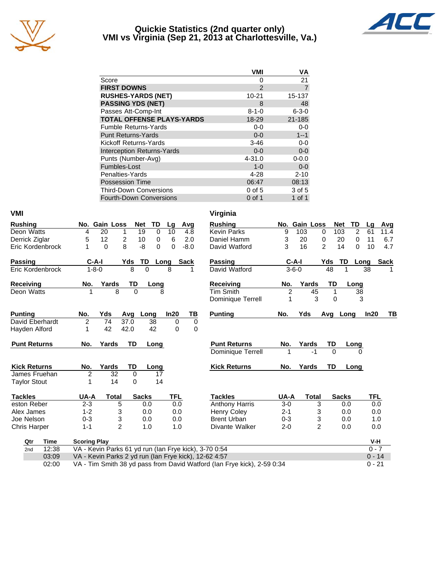

#### **Quickie Statistics (2nd quarter only) VMI vs Virginia (Sep 21, 2013 at Charlottesville, Va.)**



|                                   | <b>VMI</b>    | ٧Α             |
|-----------------------------------|---------------|----------------|
| Score                             | Ω             | 21             |
| <b>FIRST DOWNS</b>                | $\mathcal{P}$ | $\overline{7}$ |
| <b>RUSHES-YARDS (NET)</b>         | $10 - 21$     | 15-137         |
| <b>PASSING YDS (NET)</b>          | 8             | 48             |
| Passes Att-Comp-Int               | $8 - 1 - 0$   | $6 - 3 - 0$    |
| <b>TOTAL OFFENSE PLAYS-YARDS</b>  | 18-29         | 21-185         |
| <b>Fumble Returns-Yards</b>       | $0-0$         | $0-0$          |
| <b>Punt Returns-Yards</b>         | $0 - 0$       | $1 - 1$        |
| Kickoff Returns-Yards             | $3 - 46$      | $0-0$          |
| <b>Interception Returns-Yards</b> | $0 - 0$       | $0 - 0$        |
| Punts (Number-Avg)                | $4 - 31.0$    | $0 - 0.0$      |
| Fumbles-Lost                      | $1 - 0$       | $0 - 0$        |
| Penalties-Yards                   | 4-28          | $2 - 10$       |
| <b>Possession Time</b>            | 06:47         | 08:13          |
| <b>Third-Down Conversions</b>     | $0$ of 5      | 3 of 5         |
| <b>Fourth-Down Conversions</b>    | $0$ of 1      | 1 of 1         |

| <b>VMI</b>          |                     |                                                       |              |             |            |             | Virginia              |                |               |                |                  |                      |      |
|---------------------|---------------------|-------------------------------------------------------|--------------|-------------|------------|-------------|-----------------------|----------------|---------------|----------------|------------------|----------------------|------|
| <b>Rushing</b>      |                     | No. Gain Loss                                         | <b>Net</b>   | TD          | Lg         | Avg         | <b>Rushing</b>        |                | No. Gain Loss |                | <b>Net</b><br>TD | Lg                   | Avg  |
| Deon Watts          | 4                   | 20<br>1                                               | 19           | $\mathbf 0$ | 10         | 4.8         | <b>Kevin Parks</b>    | 9              | 103           | 0              | 103              | $\overline{2}$<br>61 | 11.4 |
| Derrick Ziglar      | 5                   | 12<br>$\overline{c}$                                  | 10           | $\mathbf 0$ | 6          | 2.0         | Daniel Hamm           | 3              | 20            | 0              | 20               | 0<br>11              | 6.7  |
| Eric Kordenbrock    | 1                   | 8<br>$\Omega$                                         | -8           | $\Omega$    | 0          | $-8.0$      | David Watford         | 3              | 16            | $\overline{2}$ | 14               | 0<br>10              | 4.7  |
| Passing             | $C-A-I$             |                                                       | <b>Yds</b>   | TD          | Long       | <b>Sack</b> | Passing               |                | $C-A-I$       | Yds            | TD               | Long                 | Sack |
| Eric Kordenbrock    | $1 - 8 - 0$         |                                                       | 8            | $\Omega$    | 8          |             | David Watford         |                | $3 - 6 - 0$   | 48             |                  | 38                   |      |
| <b>Receiving</b>    | No.                 | Yards                                                 | TD           | Long        |            |             | <b>Receiving</b>      | No.            | Yards         | TD             | Long             |                      |      |
| Deon Watts          |                     | 8                                                     | $\Omega$     | 8           |            |             | <b>Tim Smith</b>      | $\overline{c}$ | 45            | 1              |                  | 38                   |      |
|                     |                     |                                                       |              |             |            |             | Dominique Terrell     | 1              | 3             | $\Omega$       |                  | 3                    |      |
| <b>Punting</b>      | No.                 | Yds                                                   | Avg          | Long        | In20       | ΤВ          | <b>Punting</b>        | No.            | Yds           | Avg            | Long             | In20                 | TB   |
| David Eberhardt     | 2                   | 74                                                    | 37.0         | 38          | 0          | 0           |                       |                |               |                |                  |                      |      |
| Hayden Alford       | 1                   | 42                                                    | 42.0         | 42          | 0          | 0           |                       |                |               |                |                  |                      |      |
|                     |                     |                                                       |              |             |            |             |                       |                |               |                |                  |                      |      |
| <b>Punt Returns</b> | No.                 | Yards                                                 | TD           | Long        |            |             | <b>Punt Returns</b>   | No.            | Yards         | TD             | Long             |                      |      |
|                     |                     |                                                       |              |             |            |             | Dominique Terrell     |                | $-1$          | $\Omega$       |                  |                      |      |
| <b>Kick Returns</b> | No.                 | Yards                                                 | TD           | Long        |            |             | <b>Kick Returns</b>   | No.            | Yards         | TD             | Long             |                      |      |
| James Fruehan       | $\overline{c}$      | 32                                                    | $\mathbf{0}$ | 17          |            |             |                       |                |               |                |                  |                      |      |
| <b>Taylor Stout</b> | 1                   | 14                                                    | 0            | 14          |            |             |                       |                |               |                |                  |                      |      |
| <b>Tackles</b>      | UA-A                | <b>Total</b>                                          | <b>Sacks</b> |             | <b>TFL</b> |             | <b>Tackles</b>        | UA-A           | <b>Total</b>  |                | <b>Sacks</b>     | TFL                  |      |
| eston Reber         | $2 - 3$             | 5                                                     |              | 0.0         | 0.0        |             | <b>Anthony Harris</b> | $3-0$          | 3             |                | 0.0              | 0.0                  |      |
| Alex James          | $1 - 2$             | 3                                                     |              | 0.0         | 0.0        |             | <b>Henry Coley</b>    | $2 - 1$        |               | 3              | 0.0              | 0.0                  |      |
| Joe Nelson          | $0 - 3$             | 3                                                     |              | 0.0         | 0.0        |             | <b>Brent Urban</b>    | $0 - 3$        | 3             |                | 0.0              | 1.0                  |      |
| <b>Chris Harper</b> | $1 - 1$             | $\overline{2}$                                        |              | 1.0         | 1.0        |             | Divante Walker        | $2 - 0$        |               | $\overline{2}$ | 0.0              | 0.0                  |      |
| <b>Time</b><br>Qtr  | <b>Scoring Play</b> |                                                       |              |             |            |             |                       |                |               |                |                  | V-H                  |      |
| 12:38<br>2nd        |                     | VA - Kevin Parks 61 yd run (lan Frye kick), 3-70 0:54 |              |             |            |             |                       |                |               |                |                  | $0 - 7$              |      |
| 03:09               |                     | VA - Kevin Parks 2 yd run (Ian Frye kick), 12-62 4:57 |              |             |            |             |                       |                |               |                |                  | $0 - 14$             |      |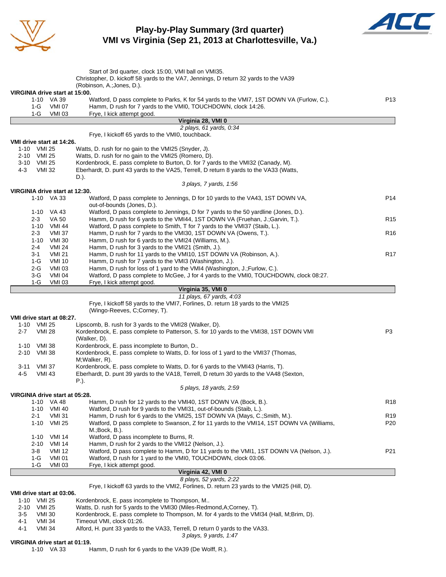

## **Play-by-Play Summary (3rd quarter) VMI vs Virginia (Sep 21, 2013 at Charlottesville, Va.)**



|                  |                                |                                | Start of 3rd quarter, clock 15:00, VMI ball on VMI35.                                                                                                               |                 |
|------------------|--------------------------------|--------------------------------|---------------------------------------------------------------------------------------------------------------------------------------------------------------------|-----------------|
|                  |                                | VIRGINIA drive start at 15:00. | Christopher, D. kickoff 58 yards to the VA7, Jennings, D return 32 yards to the VA39<br>(Robinson, A.; Jones, D.).                                                  |                 |
|                  | 1-G                            | 1-10 VA 39<br><b>VMI 07</b>    | Watford, D pass complete to Parks, K for 54 yards to the VMI7, 1ST DOWN VA (Furlow, C.).<br>Hamm, D rush for 7 yards to the VMI0, TOUCHDOWN, clock 14:26.           | P <sub>13</sub> |
|                  | $1-G$                          | <b>VMI 03</b>                  | Frye, I kick attempt good.                                                                                                                                          |                 |
|                  |                                |                                | Virginia 28, VMI 0<br>2 plays, 61 yards, 0:34                                                                                                                       |                 |
|                  |                                |                                | Frye, I kickoff 65 yards to the VMI0, touchback.                                                                                                                    |                 |
|                  |                                | VMI drive start at 14:26.      |                                                                                                                                                                     |                 |
|                  | 1-10 VMI 25                    |                                | Watts, D. rush for no gain to the VMI25 (Snyder, J).                                                                                                                |                 |
|                  | 2-10 VMI 25                    |                                | Watts, D. rush for no gain to the VMI25 (Romero, D).                                                                                                                |                 |
| 3-10 VMI 25      |                                |                                | Kordenbrock, E. pass complete to Burton, D. for 7 yards to the VMI32 (Canady, M).                                                                                   |                 |
| 4-3              | <b>VMI 32</b>                  |                                | Eberhardt, D. punt 43 yards to the VA25, Terrell, D return 8 yards to the VA33 (Watts,<br>D.).                                                                      |                 |
|                  |                                |                                | 3 plays, 7 yards, 1:56                                                                                                                                              |                 |
|                  |                                | VIRGINIA drive start at 12:30. |                                                                                                                                                                     |                 |
|                  |                                | 1-10 VA 33                     | Watford, D pass complete to Jennings, D for 10 yards to the VA43, 1ST DOWN VA,<br>out-of-bounds (Jones, D.).                                                        | P <sub>14</sub> |
|                  |                                | 1-10 VA 43                     | Watford, D pass complete to Jennings, D for 7 yards to the 50 yardline (Jones, D.).                                                                                 |                 |
|                  | $2 - 3$                        | VA 50                          | Hamm, D rush for 6 yards to the VMI44, 1ST DOWN VA (Fruehan, J.;Garvin, T.).                                                                                        | R <sub>15</sub> |
|                  | $2 - 3$                        | 1-10 VMI 44<br><b>VMI 37</b>   | Watford, D pass complete to Smith, T for 7 yards to the VMI37 (Staib, L.).<br>Hamm, D rush for 7 yards to the VMI30, 1ST DOWN VA (Owens, T.).                       | R <sub>16</sub> |
|                  | $1 - 10$                       | <b>VMI 30</b>                  | Hamm, D rush for 6 yards to the VMI24 (Williams, M.).                                                                                                               |                 |
|                  | 2-4                            | <b>VMI 24</b>                  | Hamm, D rush for 3 yards to the VMI21 (Smith, J.).                                                                                                                  |                 |
|                  | 3-1                            | <b>VMI 21</b>                  | Hamm, D rush for 11 yards to the VMI10, 1ST DOWN VA (Robinson, A.).                                                                                                 | R <sub>17</sub> |
|                  | $1-G$                          | <b>VMI 10</b>                  | Hamm, D rush for 7 yards to the VMI3 (Washington, J.).                                                                                                              |                 |
|                  | 2-G                            | <b>VMI 03</b>                  | Hamm, D rush for loss of 1 yard to the VMI4 (Washington, J.; Furlow, C.).                                                                                           |                 |
|                  | 3-G<br>1-G                     | <b>VMI 04</b><br>VMI 03        | Watford, D pass complete to McGee, J for 4 yards to the VMI0, TOUCHDOWN, clock 08:27.<br>Frye, I kick attempt good.                                                 |                 |
|                  |                                |                                | Virginia 35, VMI 0                                                                                                                                                  |                 |
|                  |                                |                                | 11 plays, 67 yards, 4:03                                                                                                                                            |                 |
|                  |                                |                                | Frye, I kickoff 58 yards to the VMI7, Forlines, D. return 18 yards to the VMI25<br>(Wingo-Reeves, C;Corney, T).                                                     |                 |
|                  |                                | VMI drive start at 08:27.      |                                                                                                                                                                     |                 |
| $2 - 7$          | 1-10 VMI 25<br><b>VMI 28</b>   |                                | Lipscomb, B. rush for 3 yards to the VMI28 (Walker, D).<br>Kordenbrock, E. pass complete to Patterson, S. for 10 yards to the VMI38, 1ST DOWN VMI                   | P <sub>3</sub>  |
|                  |                                |                                | (Walker, D).                                                                                                                                                        |                 |
| $1 - 10$<br>2-10 | <b>VMI 38</b><br><b>VMI 38</b> |                                | Kordenbrock, E. pass incomplete to Burton, D<br>Kordenbrock, E. pass complete to Watts, D. for loss of 1 yard to the VMI37 (Thomas,                                 |                 |
|                  |                                |                                | M; Walker, R).                                                                                                                                                      |                 |
| 3-11             | <b>VMI 37</b>                  |                                | Kordenbrock, E. pass complete to Watts, D. for 6 yards to the VMI43 (Harris, T).                                                                                    |                 |
| 4-5              | <b>VMI 43</b>                  |                                | Eberhardt, D. punt 39 yards to the VA18, Terrell, D return 30 yards to the VA48 (Sexton,                                                                            |                 |
|                  |                                |                                | P.).                                                                                                                                                                |                 |
|                  |                                | VIRGINIA drive start at 05:28. | 5 plays, 18 yards, 2:59                                                                                                                                             |                 |
|                  | $1 - 10$                       | VA 48                          | Hamm, D rush for 12 yards to the VMI40, 1ST DOWN VA (Bock, B.).                                                                                                     | R <sub>18</sub> |
|                  |                                | 1-10 VMI 40                    | Watford, D rush for 9 yards to the VMI31, out-of-bounds (Staib, L.).                                                                                                |                 |
|                  | 2-1                            | <b>VMI 31</b>                  | Hamm, D rush for 6 yards to the VMI25, 1ST DOWN VA (Mays, C.; Smith, M.).                                                                                           | R <sub>19</sub> |
|                  | $1 - 10$                       | <b>VMI 25</b>                  | Watford, D pass complete to Swanson, Z for 11 yards to the VMI14, 1ST DOWN VA (Williams,<br>$M$ .; Bock, B.).                                                       | P <sub>20</sub> |
|                  | $1 - 10$                       | <b>VMI 14</b>                  | Watford, D pass incomplete to Burns, R.                                                                                                                             |                 |
|                  | 2-10                           | <b>VMI 14</b>                  | Hamm, D rush for 2 yards to the VMI12 (Nelson, J.).<br>Watford, D pass complete to Hamm, D for 11 yards to the VMI1, 1ST DOWN VA (Nelson, J.).                      |                 |
|                  | 3-8<br>1-G                     | VMI 12<br><b>VMI 01</b>        | Watford, D rush for 1 yard to the VMI0, TOUCHDOWN, clock 03:06.                                                                                                     | P21             |
|                  | 1-G                            | VMI 03                         | Frye, I kick attempt good.                                                                                                                                          |                 |
|                  |                                |                                | Virginia 42, VMI 0                                                                                                                                                  |                 |
|                  |                                |                                | 8 plays, 52 yards, 2:22                                                                                                                                             |                 |
|                  |                                | VMI drive start at 03:06.      | Frye, I kickoff 63 yards to the VMI2, Forlines, D. return 23 yards to the VMI25 (Hill, D).                                                                          |                 |
| 1-10             | VMI 25                         |                                | Kordenbrock, E. pass incomplete to Thompson, M                                                                                                                      |                 |
| 2-10<br>3-5      | <b>VMI 25</b><br>VMI 30        |                                | Watts, D. rush for 5 yards to the VMI30 (Miles-Redmond, A; Corney, T).<br>Kordenbrock, E. pass complete to Thompson, M. for 4 yards to the VMI34 (Hall, M;Brim, D). |                 |
| 4-1              | <b>VMI 34</b>                  |                                | Timeout VMI, clock 01:26.                                                                                                                                           |                 |
| 4-1              | <b>VMI 34</b>                  |                                | Alford, H. punt 33 yards to the VA33, Terrell, D return 0 yards to the VA33.<br>3 plays, 9 yards, 1:47                                                              |                 |
|                  |                                | VIRGINIA drive start at 01:19. |                                                                                                                                                                     |                 |
|                  |                                | 1-10 VA 33                     | Hamm, D rush for 6 yards to the VA39 (De Wolff, R.).                                                                                                                |                 |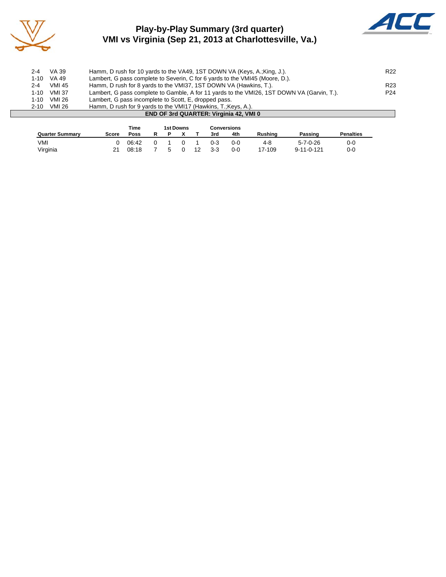

# **Play-by-Play Summary (3rd quarter) VMI vs Virginia (Sep 21, 2013 at Charlottesville, Va.)**



| 1-10<br>$2 - 10$ | VMI 26<br><b>VMI 26</b> | Lambert, G pass incomplete to Scott, E, dropped pass.<br>Hamm, D rush for 9 yards to the VMI17 (Hawkins, T.; Keys, A.). |                 |
|------------------|-------------------------|-------------------------------------------------------------------------------------------------------------------------|-----------------|
| 1-10             | <b>VMI 37</b>           | Lambert, G pass complete to Gamble, A for 11 yards to the VMI26, 1ST DOWN VA (Garvin, T.).                              | P24             |
| $2 - 4$          | <b>VMI 45</b>           | Hamm, D rush for 8 yards to the VMI37, 1ST DOWN VA (Hawkins, T.).                                                       | R <sub>23</sub> |
| 1-10             | VA 49                   | Lambert, G pass complete to Severin, C for 6 yards to the VMI45 (Moore, D.).                                            |                 |
| $2 - 4$          | VA 39                   | Hamm, D rush for 10 yards to the VA49, 1ST DOWN VA (Keys, A.; King, J.).                                                | R <sub>22</sub> |

|                        | Time  |       | <b>1st Downs</b> |  |    | Conversions |         |                |                    |                  |
|------------------------|-------|-------|------------------|--|----|-------------|---------|----------------|--------------------|------------------|
| <b>Quarter Summary</b> | Score | Poss  |                  |  |    | 3rd         | 4th     | <b>Rushing</b> | Passing            | <b>Penalties</b> |
| VMI                    |       | 06:42 |                  |  |    | 0-3         | $0 - 0$ | 4-8            | $5 - 7 - 0 - 26$   | 0-0              |
| Virginia               | 21    | 08:18 | h                |  | 12 | $3 - 3$     | 0-0     | 17-109         | $9 - 11 - 0 - 121$ | $0 - 0$          |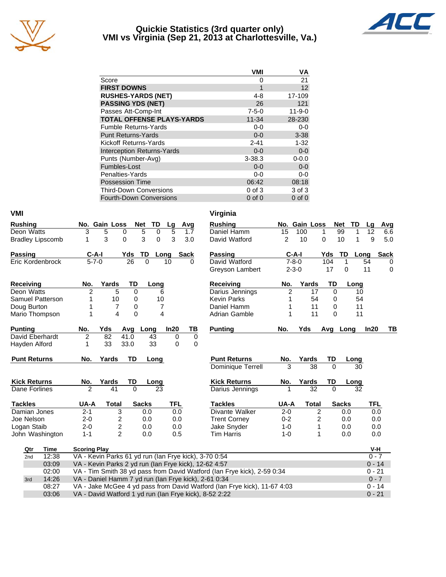

#### **Quickie Statistics (3rd quarter only) VMI vs Virginia (Sep 21, 2013 at Charlottesville, Va.)**



|                                   | <b>VMI</b>  | VA           |
|-----------------------------------|-------------|--------------|
| Score                             | 0           | 21           |
| <b>FIRST DOWNS</b>                | 1           | 12           |
| <b>RUSHES-YARDS (NET)</b>         | 4-8         | 17-109       |
| <b>PASSING YDS (NET)</b>          | 26          | 121          |
| Passes Att-Comp-Int               | $7 - 5 - 0$ | $11 - 9 - 0$ |
| <b>TOTAL OFFENSE PLAYS-YARDS</b>  | $11 - 34$   | 28-230       |
| <b>Fumble Returns-Yards</b>       | $0-0$       | $0-0$        |
| <b>Punt Returns-Yards</b>         | $0 - 0$     | $3 - 38$     |
| Kickoff Returns-Yards             | $2 - 41$    | $1 - 32$     |
| <b>Interception Returns-Yards</b> | $0 - 0$     | $0-0$        |
| Punts (Number-Avg)                | $3 - 38.3$  | $0 - 0.0$    |
| Fumbles-Lost                      | $0 - 0$     | $0-0$        |
| Penalties-Yards                   | $0-0$       | $0-0$        |
| <b>Possession Time</b>            | 06:42       | 08:18        |
| <b>Third-Down Conversions</b>     | $0$ of $3$  | 3 of 3       |
| <b>Fourth-Down Conversions</b>    | $0$ of $0$  | $0$ of $0$   |

| <b>VMI</b>              |                                                                                                                                    |                                      | Virginia             |             |                         |                   |                     |
|-------------------------|------------------------------------------------------------------------------------------------------------------------------------|--------------------------------------|----------------------|-------------|-------------------------|-------------------|---------------------|
| <b>Rushing</b>          | No. Gain Loss<br><b>Net</b>                                                                                                        | TD<br>Avg<br><u>Lg</u>               | <b>Rushing</b>       |             | No. Gain Loss           | TD<br><b>Net</b>  | Lq<br>Avg           |
| Deon Watts              | 3<br>$\overline{5}$<br>5<br>0                                                                                                      | $\overline{5}$<br>$\mathbf 0$<br>1.7 | Daniel Hamm          | 15          | 100                     | 99<br>1<br>1      | 12<br>6.6           |
| <b>Bradley Lipscomb</b> | 3<br>3<br>$\Omega$<br>1                                                                                                            | 3<br>0<br>3.0                        | David Watford        | 2           | 10                      | 10<br>0<br>1      | 9<br>5.0            |
| <b>Passing</b>          | $C-A-I$<br>TD<br>Yds                                                                                                               | Long<br>Sack                         | <b>Passing</b>       | $C-A-I$     |                         | TD<br>Yds         | Long<br><b>Sack</b> |
| Eric Kordenbrock        | $5 - 7 - 0$<br>26<br>$\Omega$                                                                                                      | 10<br>$\Omega$                       | David Watford        | $7 - 8 - 0$ |                         | 104<br>1          | 54<br>0             |
|                         |                                                                                                                                    |                                      | Greyson Lambert      | $2 - 3 - 0$ |                         | 17<br>$\mathbf 0$ | 11<br>$\mathbf 0$   |
| <b>Receiving</b>        | TD<br>No.<br>Yards                                                                                                                 | Long                                 | <b>Receiving</b>     | No.         | Yards                   | TD<br>Long        |                     |
| Deon Watts              | $\overline{2}$<br>5<br>$\Omega$                                                                                                    | 6                                    | Darius Jennings      | 2           | 17                      | $\Omega$          | 10                  |
| Samuel Patterson        | 10<br>1<br>0                                                                                                                       | 10                                   | <b>Kevin Parks</b>   | 1           | 54                      | 0                 | 54                  |
| Doug Burton             | 1<br>7<br>0                                                                                                                        | $\overline{7}$                       | Daniel Hamm          | 1           | 11                      | 0                 | 11                  |
| Mario Thompson          | 1<br>4<br>0                                                                                                                        | 4                                    | <b>Adrian Gamble</b> | 1           | 11                      | $\mathbf{0}$      | 11                  |
| <b>Punting</b>          | No.<br>Yds<br>Long<br>Avg                                                                                                          | In20<br>ΤВ                           | <b>Punting</b>       | No.         | Yds                     | Avg<br>Long       | In20<br>ΤВ          |
| David Eberhardt         | 2<br>82<br>41.0                                                                                                                    | 43<br>0<br>0                         |                      |             |                         |                   |                     |
| Hayden Alford           | 33<br>33.0<br>1                                                                                                                    | 33<br>$\Omega$<br>$\Omega$           |                      |             |                         |                   |                     |
| <b>Punt Returns</b>     | Yards<br><b>TD</b><br>No.                                                                                                          | Long                                 | <b>Punt Returns</b>  | No.         | Yards                   | TD<br>Long        |                     |
|                         |                                                                                                                                    |                                      | Dominique Terrell    | 3           | 38                      | $\Omega$          | 30                  |
| <b>Kick Returns</b>     | Yards<br>TD<br>No.                                                                                                                 | Long                                 | <b>Kick Returns</b>  | No.         | Yards                   | TD<br>Long        |                     |
| Dane Forlines           | $\Omega$<br>2<br>41                                                                                                                | 23                                   | Darius Jennings      |             | 32                      | $\Omega$          | 32                  |
| <b>Tackles</b>          | <b>Sacks</b><br>UA-A<br><b>Total</b>                                                                                               | <b>TFL</b>                           | <b>Tackles</b>       | UA-A        | <b>Total</b>            | <b>Sacks</b>      | <b>TFL</b>          |
| Damian Jones            | $2 - 1$<br>3<br>0.0                                                                                                                | 0.0                                  | Divante Walker       | $2 - 0$     | 2                       | 0.0               | 0.0                 |
| Joe Nelson              | 2<br>$2 - 0$<br>0.0                                                                                                                | 0.0                                  | <b>Trent Corney</b>  | $0 - 2$     | $\overline{\mathbf{c}}$ | 0.0               | 0.0                 |
| Logan Staib             | $\overline{c}$<br>$2 - 0$<br>0.0                                                                                                   | 0.0                                  | Jake Snyder          | $1 - 0$     | 1                       | 0.0               | 0.0                 |
| John Washington         | $\overline{2}$<br>$1 - 1$<br>0.0                                                                                                   | 0.5                                  | <b>Tim Harris</b>    | $1-0$       | 1                       | 0.0               | 0.0                 |
| <b>Time</b><br>Qtr      | <b>Scoring Play</b>                                                                                                                |                                      |                      |             |                         |                   | V-H                 |
| 12:38<br>2nd            | VA - Kevin Parks 61 yd run (Ian Frye kick), 3-70 0:54                                                                              |                                      |                      |             |                         |                   | $0 - 7$             |
| 03:09                   |                                                                                                                                    |                                      |                      |             |                         |                   | $0 - 14$            |
|                         | VA - Kevin Parks 2 yd run (Ian Frye kick), 12-62 4:57                                                                              |                                      |                      |             |                         |                   |                     |
| 02:00                   |                                                                                                                                    |                                      |                      |             |                         |                   | $0 - 21$            |
| 14:26<br>3rd            | VA - Tim Smith 38 yd pass from David Watford (Ian Frye kick), 2-59 0:34<br>VA - Daniel Hamm 7 yd run (Ian Frye kick), 2-61 0:34    |                                      |                      |             |                         |                   | $0 - 7$             |
| 08:27                   | VA - Jake McGee 4 yd pass from David Watford (Ian Frye kick), 11-67 4:03<br>VA - David Watford 1 yd run (Ian Frye kick), 8-52 2:22 |                                      |                      |             |                         |                   | $0 - 14$            |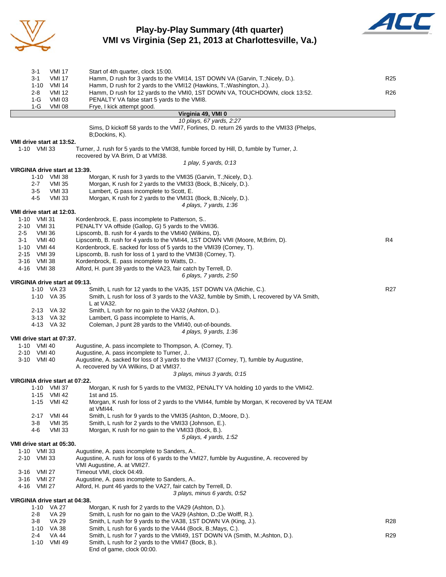

## **Play-by-Play Summary (4th quarter) VMI vs Virginia (Sep 21, 2013 at Charlottesville, Va.)**



|                            | 3-1<br>3-1    | VMI 17<br><b>VMI 17</b>                      | Start of 4th quarter, clock 15:00.<br>Hamm, D rush for 3 yards to the VMI14, 1ST DOWN VA (Garvin, T.; Nicely, D.).            | R <sub>25</sub> |
|----------------------------|---------------|----------------------------------------------|-------------------------------------------------------------------------------------------------------------------------------|-----------------|
|                            |               | 1-10 VMI 14                                  | Hamm, D rush for 2 yards to the VMI12 (Hawkins, T.; Washington, J.).                                                          |                 |
|                            | $2 - 8$       | <b>VMI 12</b>                                | Hamm, D rush for 12 yards to the VMI0, 1ST DOWN VA, TOUCHDOWN, clock 13:52.                                                   | R26             |
|                            | 1-G<br>1-G    | <b>VMI 03</b><br><b>VMI 08</b>               | PENALTY VA false start 5 yards to the VMI8.<br>Frye, I kick attempt good.                                                     |                 |
|                            |               |                                              | Virginia 49, VMI 0                                                                                                            |                 |
|                            |               |                                              | 10 plays, 67 yards, 2:27<br>Sims, D kickoff 58 yards to the VMI7, Forlines, D. return 26 yards to the VMI33 (Phelps,          |                 |
|                            |               |                                              | B;Dockins, K).                                                                                                                |                 |
|                            |               | VMI drive start at 13:52.                    |                                                                                                                               |                 |
|                            | 1-10 VMI 33   |                                              | Turner, J. rush for 5 yards to the VMI38, fumble forced by Hill, D, fumble by Turner, J.<br>recovered by VA Brim, D at VMI38. |                 |
|                            |               | VIRGINIA drive start at 13:39.               | 1 play, 5 yards, 0:13                                                                                                         |                 |
|                            |               | 1-10 VMI 38                                  | Morgan, K rush for 3 yards to the VMI35 (Garvin, T.; Nicely, D.).                                                             |                 |
|                            | 2-7           | VMI 35                                       | Morgan, K rush for 2 yards to the VMI33 (Bock, B.; Nicely, D.).                                                               |                 |
|                            | 3-5<br>4-5    | VMI 33<br><b>VMI 33</b>                      | Lambert, G pass incomplete to Scott, E.<br>Morgan, K rush for 2 yards to the VMI31 (Bock, B.; Nicely, D.).                    |                 |
|                            |               |                                              | 4 plays, 7 yards, 1:36                                                                                                        |                 |
|                            |               | VMI drive start at 12:03.                    |                                                                                                                               |                 |
| 1-10 VMI 31<br>2-10 VMI 31 |               |                                              | Kordenbrock, E. pass incomplete to Patterson, S<br>PENALTY VA offside (Gallop, G) 5 yards to the VMI36.                       |                 |
| $2 - 5$                    | VMI 36        |                                              | Lipscomb, B. rush for 4 yards to the VMI40 (Wilkins, D).                                                                      |                 |
| 3-1                        | <b>VMI 40</b> |                                              | Lipscomb, B. rush for 4 yards to the VMI44, 1ST DOWN VMI (Moore, M;Brim, D).                                                  | R4              |
|                            | 1-10 VMI 44   |                                              | Kordenbrock, E. sacked for loss of 5 yards to the VMI39 (Corney, T).                                                          |                 |
| 2-15 VMI 39<br>3-16 VMI 38 |               |                                              | Lipscomb, B. rush for loss of 1 yard to the VMI38 (Corney, T).<br>Kordenbrock, E. pass incomplete to Watts, D                 |                 |
| 4-16 VMI 38                |               |                                              | Alford, H. punt 39 yards to the VA23, fair catch by Terrell, D.                                                               |                 |
|                            |               |                                              | 6 plays, 7 yards, 2:50                                                                                                        |                 |
|                            |               | VIRGINIA drive start at 09:13.<br>1-10 VA 23 | Smith, L rush for 12 yards to the VA35, 1ST DOWN VA (Michie, C.).                                                             | R <sub>27</sub> |
|                            |               | 1-10 VA 35                                   | Smith, L rush for loss of 3 yards to the VA32, fumble by Smith, L recovered by VA Smith,                                      |                 |
|                            |               |                                              | L at VA32.                                                                                                                    |                 |
|                            |               | 2-13 VA 32                                   | Smith, L rush for no gain to the VA32 (Ashton, D.).                                                                           |                 |
|                            |               | 3-13 VA 32<br>4-13 VA 32                     | Lambert, G pass incomplete to Harris, A.<br>Coleman, J punt 28 yards to the VMI40, out-of-bounds.                             |                 |
|                            |               |                                              | 4 plays, 9 yards, 1:36                                                                                                        |                 |
|                            |               | VMI drive start at 07:37.                    |                                                                                                                               |                 |
| 2-10 VMI 40                | 1-10 VMI 40   |                                              | Augustine, A. pass incomplete to Thompson, A. (Corney, T).<br>Augustine, A. pass incomplete to Turner, J                      |                 |
|                            | 3-10 VMI 40   |                                              | Augustine, A. sacked for loss of 3 yards to the VMI37 (Corney, T), fumble by Augustine,                                       |                 |
|                            |               |                                              | A. recovered by VA Wilkins, D at VMI37.                                                                                       |                 |
|                            |               | VIRGINIA drive start at 07:22.               | 3 plays, minus 3 yards, 0:15                                                                                                  |                 |
|                            |               | 1-10 VMI 37                                  | Morgan, K rush for 5 yards to the VMI32, PENALTY VA holding 10 yards to the VMI42.                                            |                 |
|                            |               | 1-15 VMI 42                                  | 1st and $15.$                                                                                                                 |                 |
|                            |               | 1-15 VMI 42                                  | Morgan, K rush for loss of 2 yards to the VMI44, fumble by Morgan, K recovered by VA TEAM<br>at VMI44.                        |                 |
|                            | 3-8           | 2-17 VMI 44<br>VMI 35                        | Smith, L rush for 9 yards to the VMI35 (Ashton, D.;Moore, D.).<br>Smith, L rush for 2 yards to the VMI33 (Johnson, E.).       |                 |
|                            | 4-6           | <b>VMI 33</b>                                | Morgan, K rush for no gain to the VMI33 (Bock, B.).                                                                           |                 |
|                            |               |                                              | 5 plays, 4 yards, 1:52                                                                                                        |                 |
| 1-10 VMI 33                |               | VMI drive start at 05:30.                    | Augustine, A. pass incomplete to Sanders, A                                                                                   |                 |
| 2-10 VMI 33                |               |                                              | Augustine, A. rush for loss of 6 yards to the VMI27, fumble by Augustine, A. recovered by                                     |                 |
|                            |               |                                              | VMI Augustine, A. at VMI27.                                                                                                   |                 |
|                            | 3-16 VMI 27   |                                              | Timeout VMI, clock 04:49.                                                                                                     |                 |
| 4-16 VMI 27                | 3-16 VMI 27   |                                              | Augustine, A. pass incomplete to Sanders, A<br>Alford, H. punt 46 yards to the VA27, fair catch by Terrell, D.                |                 |
|                            |               |                                              | 3 plays, minus 6 yards, 0:52                                                                                                  |                 |
|                            |               | VIRGINIA drive start at 04:38.               |                                                                                                                               |                 |
|                            | 2-8           | 1-10 VA 27<br><b>VA 29</b>                   | Morgan, K rush for 2 yards to the VA29 (Ashton, D.).<br>Smith, L rush for no gain to the VA29 (Ashton, D.; De Wolff, R.).     |                 |
|                            | 3-8           | <b>VA 29</b>                                 | Smith, L rush for 9 yards to the VA38, 1ST DOWN VA (King, J.).                                                                | <b>R28</b>      |
|                            |               | 1-10 VA 38                                   | Smith, L rush for 6 yards to the VA44 (Bock, B.; Mays, C.).                                                                   |                 |
|                            | 2-4           | VA 44                                        | Smith, L rush for 7 yards to the VMI49, 1ST DOWN VA (Smith, M.; Ashton, D.).                                                  | R <sub>29</sub> |
|                            |               | 1-10 VMI 49                                  | Smith, L rush for 2 yards to the VMI47 (Bock, B.).<br>End of game, clock 00:00.                                               |                 |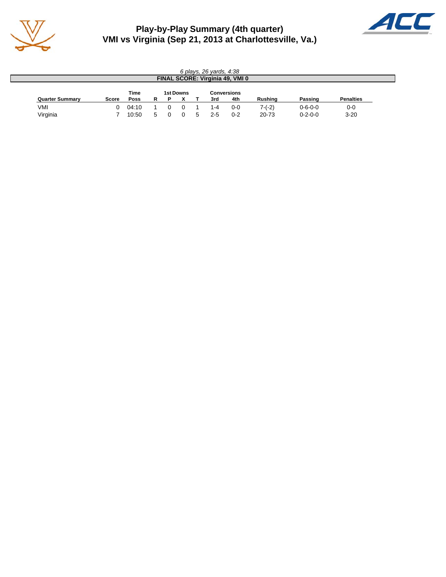

# **Play-by-Play Summary (4th quarter) VMI vs Virginia (Sep 21, 2013 at Charlottesville, Va.)**



| 6 plays, 26 yards, 4:38 |              |       |           |  |  |             |         |                                 |                |                 |                  |
|-------------------------|--------------|-------|-----------|--|--|-------------|---------|---------------------------------|----------------|-----------------|------------------|
|                         |              |       |           |  |  |             |         | FINAL SCORE: Virginia 49, VMI 0 |                |                 |                  |
|                         |              | Time  | 1st Downs |  |  | Conversions |         |                                 |                |                 |                  |
| <b>Quarter Summary</b>  | <b>Score</b> | Poss  | R         |  |  |             | 3rd     | 4th                             | <b>Rushing</b> | Passing         | <b>Penalties</b> |
| VMI                     |              | 04:10 |           |  |  |             | 1-4     | $0 - 0$                         | $7-(-2)$       | $0 - 6 - 0 - 0$ | $0-0$            |
| Virginia                |              | 10:50 | 5         |  |  |             | $2 - 5$ | $0 - 2$                         | 20-73          | $0 - 2 - 0 - 0$ | $3 - 20$         |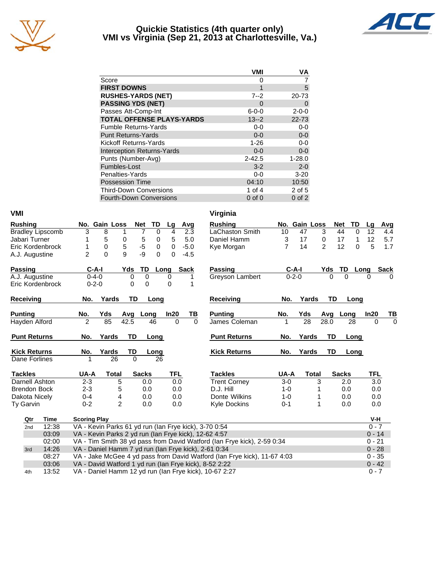

#### **Quickie Statistics (4th quarter only) VMI vs Virginia (Sep 21, 2013 at Charlottesville, Va.)**



|                                   | VMI         | VA          |
|-----------------------------------|-------------|-------------|
| Score                             | O)          |             |
| <b>FIRST DOWNS</b>                | 1           | 5           |
| <b>RUSHES-YARDS (NET)</b>         | $7 - 2$     | 20-73       |
| <b>PASSING YDS (NET)</b>          | 0           | 0           |
| Passes Att-Comp-Int               | $6 - 0 - 0$ | $2 - 0 - 0$ |
| <b>TOTAL OFFENSE PLAYS-YARDS</b>  | $13 - 2$    | $22 - 73$   |
| <b>Fumble Returns-Yards</b>       | $0 - 0$     | $0-0$       |
| <b>Punt Returns-Yards</b>         | $0 - 0$     | $0-0$       |
| Kickoff Returns-Yards             | $1 - 26$    | $0 - 0$     |
| <b>Interception Returns-Yards</b> | $0 - 0$     | $0 - 0$     |
| Punts (Number-Avg)                | $2 - 42.5$  | $1 - 28.0$  |
| Fumbles-Lost                      | $3 - 2$     | $2 - 0$     |
| Penalties-Yards                   | $0-0$       | $3 - 20$    |
| <b>Possession Time</b>            | 04:10       | 10:50       |
| <b>Third-Down Conversions</b>     | 1 of 4      | 2 of 5      |
| <b>Fourth-Down Conversions</b>    | $0$ of $0$  | $0$ of $2$  |

| <b>VMI</b>          |                         |                     |                                                       |                  |          |          |      |           | Virginia                                                                 |                |               |                |                      |          |          |          |
|---------------------|-------------------------|---------------------|-------------------------------------------------------|------------------|----------|----------|------|-----------|--------------------------------------------------------------------------|----------------|---------------|----------------|----------------------|----------|----------|----------|
| <b>Rushing</b>      |                         |                     | No. Gain Loss                                         | <b>Net</b>       | TD       | Lg       |      | Avg       | <b>Rushing</b>                                                           |                | No. Gain Loss |                | Net                  | TD       | Lq       | Avg      |
|                     | <b>Bradley Lipscomb</b> | 3                   | 8                                                     | 7<br>1           | 0        | 4        |      | 2.3       | LaChaston Smith                                                          | 10             | 47            | 3              | 44                   | $\Omega$ | 12       | 4.4      |
| Jabari Turner       |                         |                     | 5                                                     | $\,$ 5 $\,$<br>0 | 0        | 5        |      | 5.0       | Daniel Hamm                                                              | 3              | 17            | 0              | 17                   | 1        | 12       | 5.7      |
|                     | Eric Kordenbrock        |                     | $\mathbf 0$                                           | $-5$<br>5        | 0        | 0        |      | $-5.0$    | Kye Morgan                                                               | $\overline{7}$ | 14            | $\overline{2}$ | 12                   | $\Omega$ | 5        | 1.7      |
| A.J. Augustine      |                         | $\overline{2}$      | $\Omega$                                              | -9<br>9          | $\Omega$ | 0        |      | $-4.5$    |                                                                          |                |               |                |                      |          |          |          |
| <b>Passing</b>      |                         | $C-A-I$             |                                                       | TD<br>Yds        |          | Long     | Sack |           | <b>Passing</b>                                                           |                | $C-A-I$       | Yds            | TD                   | Long     |          | Sack     |
| A.J. Augustine      |                         | $0 - 4 - 0$         |                                                       | $\Omega$         | $\Omega$ | $\Omega$ |      | 1         | Greyson Lambert                                                          |                | $0 - 2 - 0$   |                | $\Omega$<br>$\Omega$ |          | $\Omega$ |          |
|                     | Eric Kordenbrock        | $0 - 2 - 0$         |                                                       | 0                | 0        | $\Omega$ |      | 1         |                                                                          |                |               |                |                      |          |          |          |
| Receiving           |                         | No.                 | Yards                                                 | TD               | Long     |          |      |           | Receiving                                                                | No.            | Yards         |                | <b>TD</b>            | Long     |          |          |
| <b>Punting</b>      |                         | No.                 | Yds                                                   | Avg              | Long     | In20     |      | <u>ТВ</u> | <b>Punting</b>                                                           | No.            | Yds           | Avg            | Long                 |          | In20     | TB       |
| Hayden Alford       |                         | $\overline{2}$      | 85                                                    | 42.5             | 46       | $\Omega$ |      | $\Omega$  | James Coleman                                                            |                | 28            | 28.0           |                      | 28       | $\Omega$ | $\Omega$ |
| <b>Punt Returns</b> |                         | No.                 | Yards                                                 | <b>TD</b>        | Long     |          |      |           | <b>Punt Returns</b>                                                      | No.            | Yards         |                | TD                   | Long     |          |          |
| <b>Kick Returns</b> |                         | No.                 | Yards                                                 | TD               | Long     |          |      |           | <b>Kick Returns</b>                                                      | No.            | Yards         |                | TD                   | Long     |          |          |
| Dane Forlines       |                         |                     | 26                                                    | $\Omega$         | 26       |          |      |           |                                                                          |                |               |                |                      |          |          |          |
| <b>Tackles</b>      |                         | UA-A                | <b>Total</b>                                          | <b>Sacks</b>     |          | TFL      |      |           | <b>Tackles</b>                                                           | UA-A           | <b>Total</b>  |                | <b>Sacks</b>         |          | TFL      |          |
| Darnell Ashton      |                         | $2 - 3$             | 5                                                     |                  | 0.0      | 0.0      |      |           | <b>Trent Corney</b>                                                      | $3-0$          |               | 3              | 2.0                  |          | 3.0      |          |
| <b>Brendon Bock</b> |                         | $2 - 3$             | 5                                                     |                  | 0.0      | 0.0      |      |           | D.J. Hill                                                                | $1 - 0$        |               |                | 0.0                  |          | 0.0      |          |
| Dakota Nicely       |                         | $0 - 4$             | 4                                                     |                  | 0.0      | 0.0      |      |           | Donte Wilkins                                                            | $1 - 0$        |               |                | 0.0                  |          | 0.0      |          |
| Ty Garvin           |                         | $0 - 2$             | $\overline{2}$                                        |                  | 0.0      | 0.0      |      |           | <b>Kyle Dockins</b>                                                      | $0 - 1$        |               | 1              | 0.0                  |          | 0.0      |          |
| Qtr                 | Time                    | <b>Scoring Play</b> |                                                       |                  |          |          |      |           |                                                                          |                |               |                |                      |          | V-H      |          |
| 2nd                 | 12:38                   |                     | VA - Kevin Parks 61 yd run (Ian Frye kick), 3-70 0:54 |                  |          |          |      |           |                                                                          |                |               |                |                      |          | $0 - 7$  |          |
|                     | 03:09                   |                     | VA - Kevin Parks 2 yd run (Ian Frye kick), 12-62 4:57 |                  |          |          |      |           |                                                                          |                |               |                |                      |          | $0 - 14$ |          |
|                     | 02:00                   |                     |                                                       |                  |          |          |      |           | VA - Tim Smith 38 yd pass from David Watford (Ian Frye kick), 2-59 0:34  |                |               |                |                      |          | $0 - 21$ |          |
| 3rd                 | 14:26                   |                     |                                                       |                  |          |          |      |           | VA - Daniel Hamm 7 yd run (Ian Frye kick), 2-61 0:34                     |                |               |                |                      |          | $0 - 28$ |          |
|                     | 08:27                   |                     |                                                       |                  |          |          |      |           | VA - Jake McGee 4 yd pass from David Watford (Ian Frye kick), 11-67 4:03 |                |               |                |                      |          | $0 - 35$ |          |
|                     | 03:06                   |                     |                                                       |                  |          |          |      |           | VA - David Watford 1 yd run (Ian Frye kick), 8-52 2:22                   |                |               |                |                      |          | $0 - 42$ |          |
| 4th                 | 13:52                   |                     |                                                       |                  |          |          |      |           | VA - Daniel Hamm 12 yd run (Ian Frye kick), 10-67 2:27                   |                |               |                |                      |          | $0 - 7$  |          |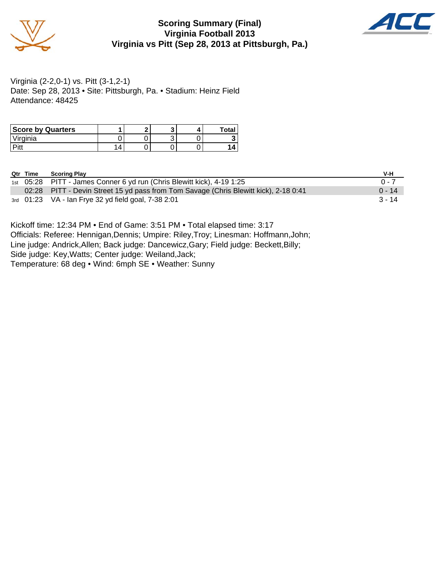

## **Scoring Summary (Final) Virginia Football 2013 Virginia vs Pitt (Sep 28, 2013 at Pittsburgh, Pa.)**



Virginia (2-2,0-1) vs. Pitt (3-1,2-1) Date: Sep 28, 2013 • Site: Pittsburgh, Pa. • Stadium: Heinz Field Attendance: 48425

| <b>Score by Quarters</b> |  |  | Total |
|--------------------------|--|--|-------|
| Virginia                 |  |  |       |
| D:44                     |  |  |       |

| Qtr Time | <b>Scoring Play</b>                                                                  | V-H      |
|----------|--------------------------------------------------------------------------------------|----------|
|          | 1st 05:28 PITT - James Conner 6 yd run (Chris Blewitt kick), 4-19 1:25               | $0 - 7$  |
|          | 02:28 PITT - Devin Street 15 yd pass from Tom Savage (Chris Blewitt kick), 2-18 0:41 | $0 - 14$ |
|          | 3rd 01:23 VA - Ian Frye 32 yd field goal, 7-38 2:01                                  | $3 - 14$ |

Kickoff time: 12:34 PM • End of Game: 3:51 PM • Total elapsed time: 3:17 Officials: Referee: Hennigan,Dennis; Umpire: Riley,Troy; Linesman: Hoffmann,John; Line judge: Andrick,Allen; Back judge: Dancewicz,Gary; Field judge: Beckett,Billy; Side judge: Key,Watts; Center judge: Weiland,Jack; Temperature: 68 deg • Wind: 6mph SE • Weather: Sunny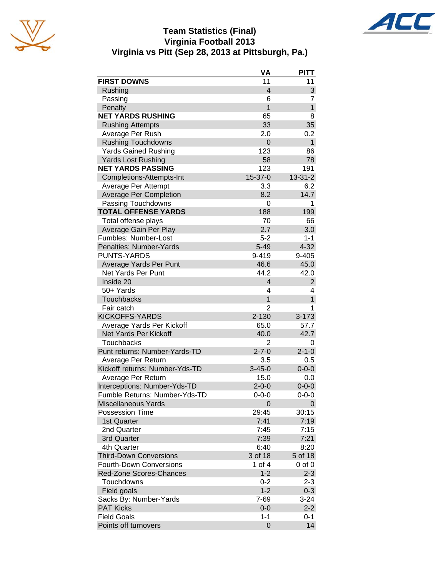





|                                            | VA                 | <b>PITT</b>         |
|--------------------------------------------|--------------------|---------------------|
| <b>FIRST DOWNS</b>                         | 11                 | 11                  |
| Rushing                                    | $\overline{4}$     | 3                   |
| Passing                                    | 6                  | 7                   |
| Penalty                                    | $\mathbf{1}$       | $\overline{1}$      |
| <b>NET YARDS RUSHING</b>                   | 65                 | 8                   |
| <b>Rushing Attempts</b>                    | 33                 | 35                  |
| Average Per Rush                           | 2.0                | 0.2                 |
| <b>Rushing Touchdowns</b>                  | 0                  | $\mathbf{1}$        |
| <b>Yards Gained Rushing</b>                | 123                | 86                  |
| <b>Yards Lost Rushing</b>                  | 58                 | 78                  |
| <b>NET YARDS PASSING</b>                   | 123                | 191                 |
| Completions-Attempts-Int                   | 15-37-0            | $13 - 31 - 2$       |
| Average Per Attempt                        | 3.3                | 6.2                 |
| <b>Average Per Completion</b>              | 8.2                | 14.7                |
| Passing Touchdowns                         | 0                  | 1                   |
| <b>TOTAL OFFENSE YARDS</b>                 | 188                | 199                 |
| Total offense plays                        | 70                 | 66                  |
| Average Gain Per Play                      | 2.7                | 3.0                 |
| Fumbles: Number-Lost                       | $5 - 2$            | $1 - 1$             |
| Penalties: Number-Yards                    | $5 - 49$           | $4 - 32$            |
| <b>PUNTS-YARDS</b>                         | 9-419              | 9-405               |
| Average Yards Per Punt                     | 46.6               | 45.0                |
| <b>Net Yards Per Punt</b>                  | 44.2               | 42.0                |
| Inside 20                                  | 4                  | $\overline{2}$      |
| 50+ Yards                                  | 4                  | 4                   |
| <b>Touchbacks</b>                          | $\mathbf{1}$       | $\overline{1}$      |
| Fair catch                                 | $\overline{2}$     | 1                   |
| <b>KICKOFFS-YARDS</b>                      | 2-130              | $3 - 173$           |
| Average Yards Per Kickoff                  | 65.0               | 57.7                |
| Net Yards Per Kickoff                      | 40.0               | 42.7                |
| <b>Touchbacks</b>                          | $\overline{2}$     | 0                   |
| Punt returns: Number-Yards-TD              | $2 - 7 - 0$        | $2 - 1 - 0$         |
| Average Per Return                         | 3.5                | 0.5                 |
| Kickoff returns: Number-Yds-TD             | $3 - 45 - 0$       | $0 - 0 - 0$         |
| Average Per Return                         | 15.0               | 0.0                 |
| Interceptions: Number-Yds-TD               | $2 - 0 - 0$        | $0 - 0 - 0$         |
| Fumble Returns: Number-Yds-TD              | $0 - 0 - 0$        | $0 - 0 - 0$         |
| <b>Miscellaneous Yards</b>                 | 0                  | 0                   |
| Possession Time                            | 29:45              | 30:15               |
| 1st Quarter                                | 7:41               | 7:19                |
| 2nd Quarter                                | 7:45               | 7:15                |
| 3rd Quarter                                | 7:39               | 7:21                |
| 4th Quarter                                | 6:40               | 8:20                |
| <b>Third-Down Conversions</b>              | 3 of 18            | 5 of 18             |
| <b>Fourth-Down Conversions</b>             | 1 of 4             | $0$ of $0$          |
| Red-Zone Scores-Chances                    | $1 - 2$            | $2 - 3$             |
| Touchdowns                                 |                    | $2 - 3$             |
|                                            | $0 - 2$<br>$1 - 2$ |                     |
| Field goals                                | 7-69               | $0 - 3$<br>$3 - 24$ |
| Sacks By: Number-Yards<br><b>PAT Kicks</b> | $0 - 0$            | $2 - 2$             |
| <b>Field Goals</b>                         |                    |                     |
|                                            | $1 - 1$<br>0       | $0 - 1$<br>14       |
| Points off turnovers                       |                    |                     |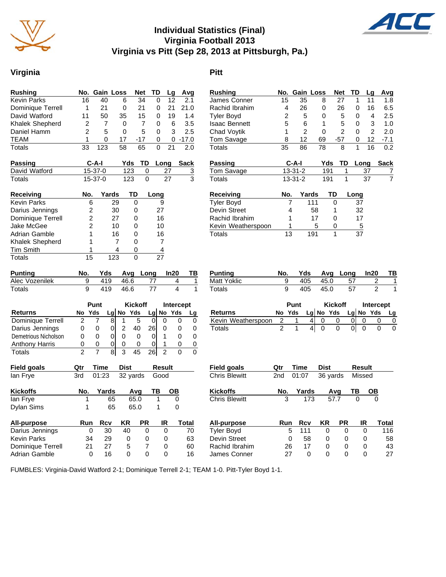

# **Individual Statistics (Final) Virginia Football 2013 Virginia vs Pitt (Sep 28, 2013 at Pittsburgh, Pa.)**

# **Virginia Pitt**

| Rushing            |     |               | No. Gain Loss | <b>Net</b> | TD   | Lg   | Avg     |
|--------------------|-----|---------------|---------------|------------|------|------|---------|
| Kevin Parks        | 16  | 40            | 6             | 34         | 0    | 12   | 2.1     |
| Dominique Terrell  | 1   | 21            | 0             | 21         | 0    | 21   | 21.0    |
| David Watford      | 11  | 50            | 35            | 15         | 0    | 19   | 1.4     |
| Khalek Shepherd    | 2   | 7             | 0             | 7          | 0    | 6    | 3.5     |
| Daniel Hamm        | 2   | 5             | 0             | 5          | 0    | 3    | 2.5     |
| <b>TEAM</b>        | 1   | 0             | 17            | -17        | 0    | 0    | $-17.0$ |
| Totals             | 33  | 123           | 58            | 65         | 0    | 21   | 2.0     |
| Passing            |     | C-A-I         |               | Yds<br>TD. |      | Long | Sack    |
| David Watford      |     | 15-37-0       |               | 123        | 0    | 27   | 3       |
| Totals             |     | $15 - 37 - 0$ |               | 123        | 0    | 27   | 3       |
| Receiving          | No. |               | Yards         | TD         | Long |      |         |
| <b>Kevin Parks</b> | 6   |               | 29            | 0          | 9    |      |         |
| Darius Iennings    | っ   |               | ۹Λ            | ∩          | 27   |      |         |

| Darius Jennings   |    | 30  | 27 |  |
|-------------------|----|-----|----|--|
| Dominique Terrell | 2  | 27  | 16 |  |
| Jake McGee        | 2  | 10  | 10 |  |
| Adrian Gamble     |    | 16  | 16 |  |
| Khalek Shepherd   |    |     |    |  |
| <b>Tim Smith</b>  |    |     |    |  |
| Totals            | 15 | 123 |    |  |
|                   |    |     |    |  |

| <b>Punting</b> |  |          | No. Yds Avg Long In20 TB |  |
|----------------|--|----------|--------------------------|--|
| Alec Vozenilek |  | 419 46.6 |                          |  |
| Totals         |  | 419 46.6 |                          |  |

|                       |    | Punt |     | <b>Kickoff</b> |        | Intercept |         |     |  |
|-----------------------|----|------|-----|----------------|--------|-----------|---------|-----|--|
| <b>Returns</b>        | No | Yds  | Lal |                | No Yds |           | $Lg$ No | Yds |  |
| Dominique Terrell     |    |      | 8   |                |        |           |         |     |  |
| Darius Jennings       | 0  |      | 0   |                | 40     | 26        |         |     |  |
| Demetrious Nicholson  | 0  | O)   | 0   |                |        |           |         |     |  |
| <b>Anthony Harris</b> | 0  | O    | 0   |                |        |           |         |     |  |
| <b>Totals</b>         | າ  |      | 8   | ว              |        |           |         |     |  |

| Field goals        | Qtr | Time  | <b>Dist</b> |      | <b>Result</b> |       |
|--------------------|-----|-------|-------------|------|---------------|-------|
| lan Frye           | 3rd | 01:23 | 32 yards    |      | Good          |       |
| <b>Kickoffs</b>    | No. | Yards |             | Avq  | ΤВ            | ΟВ    |
| lan Frye           | 1   | 65    |             | 65.0 | 1             | 0     |
| <b>Dylan Sims</b>  | 1   | 65    |             | 65.0 | 1             | 0     |
| All-purpose        | Run | Rcv   | KR          | РR   | IR            | Total |
| Darius Jennings    | 0   | 30    | 40          | 0    | 0             | 70    |
| <b>Kevin Parks</b> | 34  | 29    | 0           | 0    | 0             | 63    |
| Dominique Terrell  | 21  | 27    | 5           | 7    | 0             | 60    |
| Adrian Gamble      | 0   | 16    | 0           | ŋ    | 0             | 16    |

|                               | 15             | 35            | 8           | 27             | 1         | 11             | 1.8         |
|-------------------------------|----------------|---------------|-------------|----------------|-----------|----------------|-------------|
| Rachid Ibrahim                | 4              | 26            | 0           | 26             | 0         | 16             | 6.5         |
| <b>Tyler Boyd</b>             | 2              | 5             | 0           | 5              | 0         | 4              | 2.5         |
| <b>Isaac Bennett</b>          | 5              | 6             | 1           | 5              | 0         | 3              | 1.0         |
| <b>Chad Voytik</b>            | 1              | 2             | 0           | 2              | 0         | 2              | 2.0         |
| Tom Savage                    | 8              | 12            | 69          | $-57$          | 0         | 12             | $-7.1$      |
| Totals                        | 35             | 86            | 78          | 8              | 1         | 16             | 0.2         |
| Passing                       |                | C-A-I         | Yds         | TD             | Long      |                | <b>Sack</b> |
| Tom Savage                    |                | $13 - 31 - 2$ | 191         | 1              | 37        |                | 7           |
| Totals                        |                | $13 - 31 - 2$ | 191         | 1              | 37        |                | 7           |
| Receiving                     | No.            | Yards         |             | TD             | Long      |                |             |
| <b>Tyler Boyd</b>             | 7              | 111           |             | 0              | 37        |                |             |
| Devin Street                  | 4              |               | 58          | 1              | 32        |                |             |
| Rachid Ibrahim                | 1              |               | 17          | 0              | 17        |                |             |
| Kevin Weatherspoon            | 1              |               | 5           | 0              | 5         |                |             |
| Totals                        | 13             | 191           |             | 1              | 37        |                |             |
| <b>Punting</b><br>Matt Yoklic | No.<br>9       | Yds<br>405    | Avg<br>45.0 | Long           | 57        | In20<br>2      | ΤВ          |
|                               |                |               |             |                |           |                |             |
|                               |                |               |             |                |           |                | 1           |
| Totals                        | 9              | 405           | 45.0        |                | 57        | $\mathfrak{p}$ | 1           |
|                               |                | Punt          |             | <b>Kickoff</b> |           | Intercept      |             |
| Returns                       | No Yds         |               | $Lg$ No Yds |                | Lg No Yds |                | Lg          |
| Kevin Weatherspoon            | $\overline{c}$ | 4<br>1        | 0           | 0              | 0<br>0    | 0              | 0           |
| Totals                        | $\overline{2}$ | 1<br>4        | 0           | 0              | 01<br>0   | 0              | 0           |
|                               |                |               |             |                |           |                |             |
| <b>Field goals</b>            | Qtr            | Time          | <b>Dist</b> |                | Result    |                |             |
| <b>Chris Blewitt</b>          | 2nd            | 01:07         |             | 36 yards       | Missed    |                |             |
| <b>Kickoffs</b>               | No.            | Yards         |             | Avg            | ΤВ        | OВ             |             |
| <b>Chris Blewitt</b>          | 3              | 173           |             | 57.7           | 0         | 0              |             |
| <b>All-purpose</b>            | Run            | Rcv           | KR          | PR             | IR        |                | Total       |
| <b>Tyler Boyd</b>             | 5              | 111           | 0           | 0              | 0         |                | 116         |
| Devin Street                  | 0              | 58            | 0           | 0              | 0         |                | 58          |

James Conner 27 0 0 0 0 27

Rushing **No. Gain Loss Net TD Lg Avg** 

FUMBLES: Virginia-David Watford 2-1; Dominique Terrell 2-1; TEAM 1-0. Pitt-Tyler Boyd 1-1.

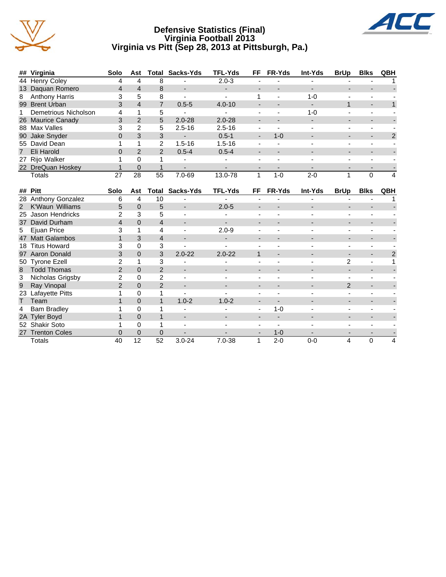

#### **Defensive Statistics (Final) Virginia Football 2013 Virginia vs Pitt (Sep 28, 2013 at Pittsburgh, Pa.)**



|    | ## Virginia            | Solo           | Ast            | Total          | Sacks-Yds  | <b>TFL-Yds</b> | FF                       | FR-Yds        | Int-Yds | <b>BrUp</b> | <b>Blks</b>    | QBH |
|----|------------------------|----------------|----------------|----------------|------------|----------------|--------------------------|---------------|---------|-------------|----------------|-----|
|    | 44 Henry Coley         | 4              | 4              | 8              |            | $2.0 - 3$      |                          |               |         |             |                |     |
|    | 13 Daquan Romero       | 4              | 4              | 8              |            |                |                          |               |         |             |                |     |
| 8  | Anthony Harris         | 3              | 5              | 8              |            |                |                          |               | $1 - 0$ |             |                |     |
| 99 | <b>Brent Urban</b>     | 3              | 4              | 7              | $0.5 - 5$  | $4.0 - 10$     |                          |               |         |             |                |     |
|    | Demetrious Nicholson   | 4              |                | 5              |            |                |                          |               | $1 - 0$ |             |                |     |
|    | 26 Maurice Canady      | 3              | $\overline{2}$ | 5              | $2.0 - 28$ | $2.0 - 28$     | $\overline{\phantom{a}}$ |               |         |             | -              |     |
|    | 88 Max Valles          | 3              | 2              | 5              | $2.5 - 16$ | $2.5 - 16$     |                          |               |         |             | $\blacksquare$ |     |
| 90 | Jake Snyder            | $\Omega$       | 3              | 3              |            | $0.5 - 1$      | $\blacksquare$           | $1 - 0$       |         |             | -              | 2   |
|    | 55 David Dean          |                |                | $\overline{2}$ | $1.5 - 16$ | $1.5 - 16$     |                          |               |         |             |                |     |
| 7  | Eli Harold             | 0              | 2              | $\overline{2}$ | $0.5 - 4$  | $0.5 - 4$      |                          |               |         |             |                |     |
| 27 | Rijo Walker            |                | $\Omega$       |                |            |                |                          |               |         |             |                |     |
|    | 22 DreQuan Hoskey      |                | $\Omega$       |                |            |                |                          |               |         |             |                |     |
|    | Totals                 | 27             | 28             | 55             | 7.0-69     | 13.0-78        | 1                        | $1 - 0$       | $2 - 0$ |             | $\Omega$       |     |
| ## | <b>Pitt</b>            | Solo           | Ast            | Total          | Sacks-Yds  | TFL-Yds        | FF                       | <b>FR-Yds</b> | Int-Yds | <b>BrUp</b> | <b>Blks</b>    | QBH |
| 28 | Anthony Gonzalez       | 6              | 4              | 10             |            |                |                          |               |         |             |                |     |
| 2  | <b>K'Waun Williams</b> | 5              | $\Omega$       | 5              |            | $2.0 - 5$      |                          |               |         |             |                |     |
| 25 | <b>Jason Hendricks</b> | $\overline{c}$ | 3              | 5              |            |                |                          |               |         |             |                |     |
| 37 | David Durham           | $\overline{4}$ | $\Omega$       | 4              | -          |                |                          |               |         |             | -              |     |
| 5  | Ejuan Price            | 3              |                | 4              | ٠          | $2.0 - 9$      |                          |               |         |             |                |     |
| 47 | <b>Matt Galambos</b>   |                | 3              | 4              | ٠          |                |                          |               |         |             |                |     |
| 18 | <b>Titus Howard</b>    | 3              | 0              | 3              |            |                |                          |               |         |             |                |     |
|    | 97 Aaron Donald        | 3              | $\Omega$       | 3              | $2.0 - 22$ | $2.0 - 22$     |                          |               |         |             |                |     |

97 Aaron Donald 3 0 3 2.0-22 2.0-22 1 - - - - 2

50 Tyrone Ezell 2 1 3 - - - - - - 2 - 1<br>3 Todd Thomas 2 0 2 - - - - - - - - - - -8 Todd Thomas 2 0 2 - - - - - - - - - - -<br>3 Nicholas Grigsby 2 0 2 - - - - - - - - - - - - -3 Nicholas Grigsby 2 0 2 - - - - - - - - - - - - -<br>9 Ray Vinopal 2 0 2 - - - - - - - - 2 - -9 Ray Vinopal 2 0 2 - - - - - - - - 2 -

23 Lafayette Pitts 1 0 1 - - - - - - - - T Team 1 0 1 1.0-2 1.0-2 - - - - - -4 Bam Bradley 1 0 1 - - - - 1-0 - - - - - -<br>2A Tyler Boyd 1 0 1 - - - - - - - - - - - - -2A Tyler Boyd 2A Tyler Boyd 2A Tyler Boyd 2A Tyler Boyd 2A Tyler Boyd 2A Tyler Boyd 2A Tyler Boyd 2

52 Shakir Soto 1 0 1 - - - - - - - - 27 Trenton Coles 0 0 0 - - - 1-0 - - - - Totals 40 12 52 3.0-24 7.0-38 1 2-0 0-0 4 0 4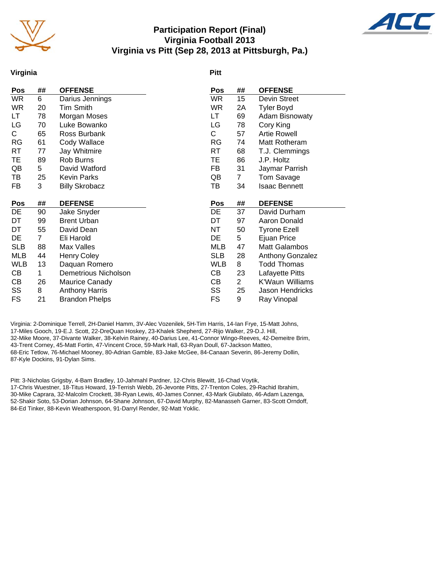

## **Participation Report (Final) Virginia Football 2013 Virginia vs Pitt (Sep 28, 2013 at Pittsburgh, Pa.)**



#### **Virginia**

#### **Pitt**

| ##           | <b>OFFENSE</b>              | Pos        | ##             | <b>OFFENSE</b>        |
|--------------|-----------------------------|------------|----------------|-----------------------|
| 6            | Darius Jennings             | <b>WR</b>  | 15             | Devin Street          |
| 20           | <b>Tim Smith</b>            | <b>WR</b>  | 2A             | <b>Tyler Boyd</b>     |
| 78           | Morgan Moses                | LT         | 69             | <b>Adam Bisnowaty</b> |
| 70           | Luke Bowanko                | LG         | 78             | Cory King             |
| 65           | Ross Burbank                | С          | 57             | <b>Artie Rowell</b>   |
| 61           | Cody Wallace                | RG         | 74             | Matt Rotheram         |
| 77           | Jay Whitmire                | RT         | 68             | T.J. Clemmings        |
| 89           | Rob Burns                   | ТE         | 86             | J.P. Holtz            |
| 5            | David Watford               | FB         | 31             | Jaymar Parrish        |
| 25           | <b>Kevin Parks</b>          | QB         | $\mathbf{7}$   | Tom Savage            |
| 3            | <b>Billy Skrobacz</b>       | TВ         | 34             | <b>Isaac Bennett</b>  |
|              |                             |            |                |                       |
| ##           | <b>DEFENSE</b>              | Pos        | ##             | <b>DEFENSE</b>        |
| 90           | Jake Snyder                 | DE         | 37             | David Durham          |
| 99           | <b>Brent Urban</b>          | DT         | 97             | Aaron Donald          |
| 55           | David Dean                  | NΤ         | 50             | <b>Tyrone Ezell</b>   |
| $\mathbf{7}$ | Eli Harold                  | DE         |                | Ejuan Price           |
| 88           | Max Valles                  | MLB        | 47             | Matt Galambos         |
|              |                             |            |                |                       |
| 44           | <b>Henry Coley</b>          | <b>SLB</b> | 28             | Anthony Gonzalez      |
| 13           | Daquan Romero               | WLB        | 8              | <b>Todd Thomas</b>    |
| 1            | <b>Demetrious Nicholson</b> | CВ         | 23             | Lafayette Pitts       |
| 26           | Maurice Canady              | CВ         | $\overline{2}$ | K'Waun Williams       |
| 8            | <b>Anthony Harris</b>       | SS         | 25             | Jason Hendricks       |
|              |                             |            |                | 5                     |

Virginia: 2-Dominique Terrell, 2H-Daniel Hamm, 3V-Alec Vozenilek, 5H-Tim Harris, 14-Ian Frye, 15-Matt Johns, 17-Miles Gooch, 19-E.J. Scott, 22-DreQuan Hoskey, 23-Khalek Shepherd, 27-Rijo Walker, 29-D.J. Hill, 32-Mike Moore, 37-Divante Walker, 38-Kelvin Rainey, 40-Darius Lee, 41-Connor Wingo-Reeves, 42-Demeitre Brim, 43-Trent Corney, 45-Matt Fortin, 47-Vincent Croce, 59-Mark Hall, 63-Ryan Doull, 67-Jackson Matteo, 68-Eric Tetlow, 76-Michael Mooney, 80-Adrian Gamble, 83-Jake McGee, 84-Canaan Severin, 86-Jeremy Dollin, 87-Kyle Dockins, 91-Dylan Sims.

Pitt: 3-Nicholas Grigsby, 4-Bam Bradley, 10-Jahmahl Pardner, 12-Chris Blewitt, 16-Chad Voytik, 17-Chris Wuestner, 18-Titus Howard, 19-Terrish Webb, 26-Jevonte Pitts, 27-Trenton Coles, 29-Rachid Ibrahim, 30-Mike Caprara, 32-Malcolm Crockett, 38-Ryan Lewis, 40-James Conner, 43-Mark Giubilato, 46-Adam Lazenga, 52-Shakir Soto, 53-Dorian Johnson, 64-Shane Johnson, 67-David Murphy, 82-Manasseh Garner, 83-Scott Orndoff, 84-Ed Tinker, 88-Kevin Weatherspoon, 91-Darryl Render, 92-Matt Yoklic.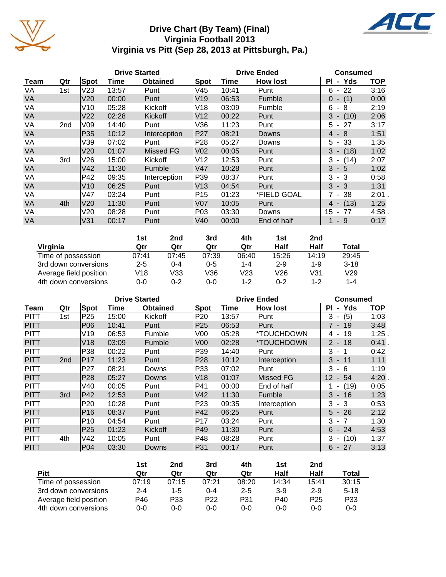

# **Drive Chart (By Team) (Final) Virginia Football 2013 Virginia vs Pitt (Sep 28, 2013 at Pittsburgh, Pa.)**



|           | <b>Drive Started</b> |                 |       |                  |                 | <b>Drive Ended</b> |                 | <b>Consumed</b>                       |            |  |
|-----------|----------------------|-----------------|-------|------------------|-----------------|--------------------|-----------------|---------------------------------------|------------|--|
| Team      | Qtr                  | Spot            | Time  | <b>Obtained</b>  | <b>Spot</b>     | Time               | <b>How lost</b> | Yds<br>PI.<br>$\blacksquare$          | <b>TOP</b> |  |
| VA        | 1st                  | V <sub>23</sub> | 13:57 | Punt             | V45             | 10:41              | Punt            | 22<br>6<br>$\blacksquare$             | 3:16       |  |
| <b>VA</b> |                      | V <sub>20</sub> | 00:00 | Punt             | V19             | 06:53              | Fumble          | (1)<br>0<br>$\blacksquare$            | 0:00       |  |
| VA        |                      | V10             | 05:28 | Kickoff          | V18             | 03:09              | Fumble          | 6<br>- 8                              | 2:19       |  |
| <b>VA</b> |                      | V <sub>22</sub> | 02:28 | Kickoff          | V12             | 00:22              | Punt            | 3<br>(10)<br>$\overline{\phantom{a}}$ | 2:06       |  |
| VA        | 2 <sub>nd</sub>      | V09             | 14:40 | Punt             | V36             | 11:23              | Punt            | 27<br>5<br>$\blacksquare$             | 3:17       |  |
| <b>VA</b> |                      | P35             | 10:12 | Interception     | P27             | 08:21              | <b>Downs</b>    | $-8$<br>4                             | 1:51       |  |
| VA        |                      | V39             | 07:02 | Punt             | P28             | 05:27              | Downs           | -33<br>5.<br>$\blacksquare$           | 1:35       |  |
| <b>VA</b> |                      | V20             | 01:07 | <b>Missed FG</b> | V <sub>02</sub> | 00:05              | Punt            | 3<br>(18)<br>$\overline{\phantom{a}}$ | 1:02       |  |
| VA        | 3rd                  | V26             | 15:00 | Kickoff          | V12             | 12:53              | Punt            | 3<br>(14)<br>$\blacksquare$           | 2:07       |  |
| <b>VA</b> |                      | V42             | 11:30 | Fumble           | V47             | 10:28              | Punt            | 3<br>$-5$                             | 1:02       |  |
| VA        |                      | P42             | 09:35 | Interception     | P39             | 08:37              | Punt            | 3<br>- 3                              | 0:58       |  |
| <b>VA</b> |                      | V10             | 06:25 | Punt             | V13             | 04:54              | Punt            | 3<br>$-3$                             | 1:31       |  |
| VA        |                      | V47             | 03:24 | Punt             | P15             | 01:23              | *FIELD GOAL     | $7 - 38$                              | $2:01$ .   |  |
| <b>VA</b> | 4th                  | V20             | 11:30 | Punt             | V07             | 10:05              | Punt            | (13)<br>4 -                           | 1:25       |  |
| VA        |                      | V20             | 08:28 | Punt             | P03             | 03:30              | Downs           | 15<br>77<br>$\blacksquare$            | 4:58.      |  |
| <b>VA</b> |                      | V31             | 00:17 | Punt             | V40             | 00:00              | End of half     | - 9                                   | 0:17       |  |

|                        | 1st     | 2nd   | 3rd     | 4th     | 1st     | 2nd   |          |
|------------------------|---------|-------|---------|---------|---------|-------|----------|
| Virginia               | Qtr     | Qtr   | Qtr     | Qtr     | Half    | Half  | Total    |
| Time of possession     | 07:41   | 07:45 | 07:39   | 06:40   | 15:26   | 14:19 | 29:45    |
| 3rd down conversions   | $2 - 5$ | 0-4   | $0 - 5$ | 1-4     | $2 - 9$ | 1-9   | $3 - 18$ |
| Average field position | V18     | V33   | V36     | V23     | V26     | V31   | V29      |
| 4th down conversions   | $0 - 0$ | 0-2   | 0-0     | $1 - 2$ | $0 - 2$ | 1-2   | 1-4      |

|             | <b>Drive Started</b> |                 |       |                 |                 | <b>Drive Ended</b> | <b>Consumed</b> |                     |            |
|-------------|----------------------|-----------------|-------|-----------------|-----------------|--------------------|-----------------|---------------------|------------|
| Team        | Qtr                  | Spot            | Time  | <b>Obtained</b> | Spot            | Time               | <b>How lost</b> | - Yds<br>ΡI         | <b>TOP</b> |
| <b>PITT</b> | 1st                  | P <sub>25</sub> | 15:00 | Kickoff         | P20             | 13:57              | Punt            | 3<br>(5)<br>$\sim$  | 1:03       |
| <b>PITT</b> |                      | P06             | 10:41 | Punt            | P25             | 06:53              | Punt            | $7 - 19$            | 3:48       |
| <b>PITT</b> |                      | V19             | 06:53 | Fumble          | V <sub>00</sub> | 05:28              | *TOUCHDOWN      | 19<br>4 -           | 1:25.      |
| <b>PITT</b> |                      | V18             | 03:09 | Fumble          | V <sub>00</sub> | 02:28              | *TOUCHDOWN      | $2 - 18$            | $0:41$ .   |
| <b>PITT</b> |                      | P38             | 00:22 | Punt            | P39             | 14:40              | Punt            | 3<br>$-1$           | 0:42       |
| <b>PITT</b> | 2 <sub>nd</sub>      | P17             | 11:23 | Punt            | P28             | 10:12              | Interception    | $3 - 11$            | 1:11       |
| <b>PITT</b> |                      | P27             | 08:21 | Downs           | P33             | 07:02              | Punt            | 3<br>- 6            | 1:19       |
| <b>PITT</b> |                      | P <sub>28</sub> | 05:27 | Downs           | V18             | 01:07              | Missed FG       | 12<br>- 54          | 4:20       |
| <b>PITT</b> |                      | V40             | 00:05 | Punt            | P41             | 00:00              | End of half     | $- (19)$            | 0:05       |
| <b>PITT</b> | 3rd                  | P42             | 12:53 | Punt            | V42             | 11:30              | Fumble          | $3 - 16$            | 1:23       |
| <b>PITT</b> |                      | P <sub>20</sub> | 10:28 | Punt            | P23             | 09:35              | Interception    | $3 - 3$             | 0:53       |
| <b>PITT</b> |                      | P <sub>16</sub> | 08:37 | Punt            | P42             | 06:25              | Punt            | $5 - 26$            | 2:12       |
| <b>PITT</b> |                      | P <sub>10</sub> | 04:54 | Punt            | P17             | 03:24              | Punt            | $3 - 7$             | 1:30       |
| <b>PITT</b> |                      | P <sub>25</sub> | 01:23 | Kickoff         | P49             | 11:30              | Punt            | $6 - 24$            | 4:53       |
| <b>PITT</b> | 4th                  | V42             | 10:05 | Punt            | P48             | 08:28              | Punt            | 3<br>(10)<br>$\sim$ | 1:37       |
| <b>PITT</b> |                      | P <sub>04</sub> | 03:30 | Downs           | P31             | 00:17              | Punt            | - 27<br>6           | 3:13       |

|                        | 1st     | 2nd   | 3rd             | 4th     | 1st   | 2nd             |          |
|------------------------|---------|-------|-----------------|---------|-------|-----------------|----------|
| Pitt                   | Qtr     | Qtr   | Qtr             | Qtr     | Half  | <b>Half</b>     | Total    |
| Time of possession     | 07:19   | 07:15 | 07:21           | 08:20   | 14:34 | 15:41           | 30:15    |
| 3rd down conversions   | $2 - 4$ | 1-5   | $0 - 4$         | $2 - 5$ | $3-9$ | $2 - 9$         | $5 - 18$ |
| Average field position | P46     | P33   | P <sub>22</sub> | P31     | P40   | P <sub>25</sub> | P33      |
| 4th down conversions   | 0-0     | 0-0   | $0 - 0$         | 0-0     | 0-0   | 0-0             | $0 - 0$  |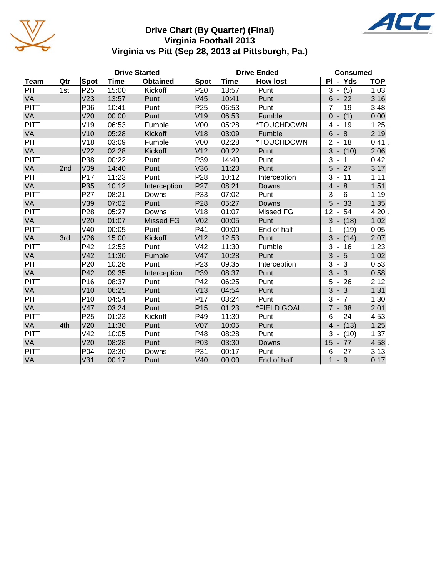

## **Drive Chart (By Quarter) (Final) Virginia Football 2013 Virginia vs Pitt (Sep 28, 2013 at Pittsburgh, Pa.)**



|             |     |                 |             | <b>Drive Started</b> |                 |             | <b>Drive Ended</b> | <b>Consumed</b>                     |            |
|-------------|-----|-----------------|-------------|----------------------|-----------------|-------------|--------------------|-------------------------------------|------------|
| Team        | Qtr | Spot            | <b>Time</b> | <b>Obtained</b>      | Spot            | <b>Time</b> | <b>How lost</b>    | PI - Yds                            | <b>TOP</b> |
| <b>PITT</b> | 1st | P <sub>25</sub> | 15:00       | Kickoff              | P <sub>20</sub> | 13:57       | Punt               | (5)<br>3                            | 1:03       |
| VA          |     | V <sub>23</sub> | 13:57       | Punt                 | V45             | 10:41       | Punt               | 6<br>$-22$                          | 3:16       |
| <b>PITT</b> |     | P06             | 10:41       | Punt                 | P <sub>25</sub> | 06:53       | Punt               | $\overline{7}$<br>$-19$             | 3:48       |
| VA          |     | V20             | 00:00       | Punt                 | V19             | 06:53       | Fumble             | $0 - (1)$                           | 0:00       |
| <b>PITT</b> |     | V19             | 06:53       | Fumble               | V <sub>00</sub> | 05:28       | *TOUCHDOWN         | 19<br>4                             | 1:25       |
| VA          |     | V10             | 05:28       | Kickoff              | V18             | 03:09       | Fumble             | 6<br>8<br>$\overline{\phantom{a}}$  | 2:19       |
| <b>PITT</b> |     | V18             | 03:09       | Fumble               | V <sub>00</sub> | 02:28       | *TOUCHDOWN         | 2<br>18                             | 0:41.      |
| VA          |     | V <sub>22</sub> | 02:28       | Kickoff              | V <sub>12</sub> | 00:22       | Punt               | 3<br>$- (10)$                       | 2:06       |
| <b>PITT</b> |     | P38             | 00:22       | Punt                 | P39             | 14:40       | Punt               | 3<br>1                              | 0:42       |
| VA          | 2nd | V <sub>09</sub> | 14:40       | Punt                 | V36             | 11:23       | Punt               | 5<br>27                             | 3:17       |
| <b>PITT</b> |     | P17             | 11:23       | Punt                 | P <sub>28</sub> | 10:12       | Interception       | 3<br>11                             | 1:11       |
| VA          |     | P35             | 10:12       | Interception         | P <sub>27</sub> | 08:21       | Downs              | $\overline{4}$<br>$-8$              | 1:51       |
| <b>PITT</b> |     | P27             | 08:21       | Downs                | P33             | 07:02       | Punt               | 3<br>$-6$                           | 1:19       |
| VA          |     | V39             | 07:02       | Punt                 | P <sub>28</sub> | 05:27       | Downs              | 33<br>5<br>$\overline{\phantom{a}}$ | 1:35       |
| <b>PITT</b> |     | P <sub>28</sub> | 05:27       | Downs                | V18             | 01:07       | Missed FG          | 12<br>54<br>$\blacksquare$          | 4:20       |
| VA          |     | V <sub>20</sub> | 01:07       | <b>Missed FG</b>     | V02             | 00:05       | Punt               | 3<br>$- (18)$                       | 1:02       |
| <b>PITT</b> |     | V40             | 00:05       | Punt                 | P41             | 00:00       | End of half        | (19)<br>1<br>$\blacksquare$         | 0:05       |
| VA          | 3rd | V26             | 15:00       | Kickoff              | V <sub>12</sub> | 12:53       | Punt               | 3<br>$- (14)$                       | 2:07       |
| <b>PITT</b> |     | P42             | 12:53       | Punt                 | V42             | 11:30       | Fumble             | 3<br>16<br>$\blacksquare$           | 1:23       |
| VA          |     | V42             | 11:30       | Fumble               | V47             | 10:28       | Punt               | 3<br>$-5$                           | 1:02       |
| <b>PITT</b> |     | P <sub>20</sub> | 10:28       | Punt                 | P <sub>23</sub> | 09:35       | Interception       | 3<br>$-3$                           | 0:53       |
| VA          |     | P42             | 09:35       | Interception         | P39             | 08:37       | Punt               | $-3$<br>3                           | 0:58       |
| <b>PITT</b> |     | P16             | 08:37       | Punt                 | P42             | 06:25       | Punt               | $-26$<br>5                          | 2:12       |
| VA          |     | V10             | 06:25       | Punt                 | V13             | 04:54       | Punt               | 3<br>$-3$                           | 1:31       |
| <b>PITT</b> |     | P <sub>10</sub> | 04:54       | Punt                 | P17             | 03:24       | Punt               | 3<br>$\overline{7}$                 | 1:30       |
| VA          |     | V47             | 03:24       | Punt                 | P <sub>15</sub> | 01:23       | *FIELD GOAL        | $7 - 38$                            | $2:01$ .   |
| <b>PITT</b> |     | P <sub>25</sub> | 01:23       | Kickoff              | P49             | 11:30       | Punt               | 6<br>24<br>$\sim$                   | 4:53       |
| VA          | 4th | V20             | 11:30       | Punt                 | <b>V07</b>      | 10:05       | Punt               | $4 - (13)$                          | 1:25       |
| <b>PITT</b> |     | V42             | 10:05       | Punt                 | P48             | 08:28       | Punt               | 3<br>(10)                           | 1:37       |
| VA          |     | V <sub>20</sub> | 08:28       | Punt                 | P03             | 03:30       | Downs              | 15<br>$-77$                         | 4:58       |
| <b>PITT</b> |     | P04             | 03:30       | Downs                | P31             | 00:17       | Punt               | 27<br>6                             | 3:13       |
| VA          |     | V31             | 00:17       | Punt                 | V40             | 00:00       | End of half        | - 9<br>$\mathbf 1$                  | 0:17       |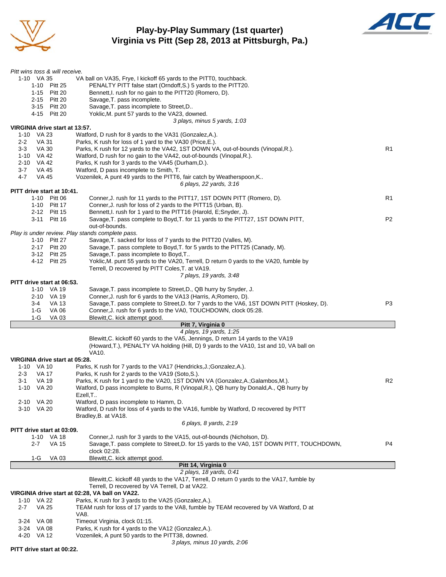

## **Play-by-Play Summary (1st quarter) Virginia vs Pitt (Sep 28, 2013 at Pittsburgh, Pa.)**



| Pitt wins toss & will receive. |                                                                                            |                |
|--------------------------------|--------------------------------------------------------------------------------------------|----------------|
| 1-10 VA 35                     | VA ball on VA35, Frye, I kickoff 65 yards to the PITT0, touchback.                         |                |
| 1-10 Pitt 25                   | PENALTY PITT false start (Orndoff, S.) 5 yards to the PITT20.                              |                |
| 1-15 Pitt 20                   | Bennett, I. rush for no gain to the PITT20 (Romero, D).                                    |                |
| 2-15 Pitt 20                   | Savage, T. pass incomplete.                                                                |                |
| 3-15 Pitt 20                   | Savage, T. pass incomplete to Street, D                                                    |                |
| 4-15 Pitt 20                   | Yoklic, M. punt 57 yards to the VA23, downed.                                              |                |
|                                | 3 plays, minus 5 yards, 1:03                                                               |                |
| VIRGINIA drive start at 13:57. |                                                                                            |                |
| 1-10 VA 23                     | Watford, D rush for 8 yards to the VA31 (Gonzalez, A.).                                    |                |
| $2 - 2$<br>VA 31               | Parks, K rush for loss of 1 yard to the VA30 (Price, E.).                                  |                |
| VA 30<br>3-3                   | Parks, K rush for 12 yards to the VA42, 1ST DOWN VA, out-of-bounds (Vinopal, R.).          | R1             |
| 1-10 VA 42                     | Watford, D rush for no gain to the VA42, out-of-bounds (Vinopal, R.).                      |                |
| 2-10 VA 42                     | Parks, K rush for 3 yards to the VA45 (Durham, D.).                                        |                |
| $3 - 7$<br>VA 45               | Watford, D pass incomplete to Smith, T.                                                    |                |
| 4-7<br>VA 45                   | Vozenilek, A punt 49 yards to the PITT6, fair catch by Weatherspoon, K                     |                |
|                                | 6 plays, 22 yards, 3:16                                                                    |                |
| PITT drive start at 10:41.     |                                                                                            |                |
| 1-10 Pitt 06                   | Conner, J. rush for 11 yards to the PITT17, 1ST DOWN PITT (Romero, D).                     | R1             |
| 1-10 Pitt 17                   | Conner, J. rush for loss of 2 yards to the PITT15 (Urban, B).                              |                |
| 2-12 Pitt 15                   | Bennett, I. rush for 1 yard to the PITT16 (Harold, E;Snyder, J).                           |                |
| 3-11 Pitt 16                   | Savage, T. pass complete to Boyd, T. for 11 yards to the PITT27, 1ST DOWN PITT,            | P <sub>2</sub> |
|                                | out-of-bounds.                                                                             |                |
|                                | Play is under review. Play stands complete pass.                                           |                |
| 1-10 Pitt 27                   | Savage, T. sacked for loss of 7 yards to the PITT20 (Valles, M).                           |                |
| 2-17 Pitt 20                   | Savage, T. pass complete to Boyd, T. for 5 yards to the PITT25 (Canady, M).                |                |
| 3-12 Pitt 25                   | Savage, T. pass incomplete to Boyd, T                                                      |                |
| 4-12 Pitt 25                   | Yoklic, M. punt 55 yards to the VA20, Terrell, D return 0 yards to the VA20, fumble by     |                |
|                                | Terrell, D recovered by PITT Coles, T. at VA19.                                            |                |
|                                | 7 plays, 19 yards, 3:48                                                                    |                |
| PITT drive start at 06:53.     |                                                                                            |                |
| 1-10 VA 19                     | Savage, T. pass incomplete to Street, D., QB hurry by Snyder, J.                           |                |
| 2-10 VA 19                     | Conner, J. rush for 6 yards to the VA13 (Harris, A; Romero, D).                            |                |
| 3-4<br>VA 13                   | Savage, T. pass complete to Street, D. for 7 yards to the VA6, 1ST DOWN PITT (Hoskey, D).  | P <sub>3</sub> |
| 1-G<br>VA 06                   | Conner, J. rush for 6 yards to the VA0, TOUCHDOWN, clock 05:28.                            |                |
| $1-G$<br>VA 03                 | Blewitt, C. kick attempt good.                                                             |                |
|                                | Pitt 7, Virginia 0<br>4 plays, 19 yards, 1:25                                              |                |
|                                | Blewitt, C. kickoff 60 yards to the VA5, Jennings, D return 14 yards to the VA19           |                |
|                                | (Howard, T.), PENALTY VA holding (Hill, D) 9 yards to the VA10, 1st and 10, VA ball on     |                |
|                                | VA10.                                                                                      |                |
| VIRGINIA drive start at 05:28. |                                                                                            |                |
| 1-10 VA 10                     | Parks, K rush for 7 yards to the VA17 (Hendricks, J.; Gonzalez, A.).                       |                |
| 2-3<br>VA 17                   | Parks, K rush for 2 yards to the VA19 (Soto, S.).                                          |                |
| 3-1<br>VA 19                   | Parks, K rush for 1 yard to the VA20, 1ST DOWN VA (Gonzalez, A.; Galambos, M.).            | R <sub>2</sub> |
| 1-10 VA 20                     | Watford, D pass incomplete to Burns, R (Vinopal, R.), QB hurry by Donald, A., QB hurry by  |                |
|                                | Ezell,T                                                                                    |                |
| 2-10 VA 20                     | Watford, D pass incomplete to Hamm, D.                                                     |                |
| 3-10 VA 20                     | Watford, D rush for loss of 4 yards to the VA16, fumble by Watford, D recovered by PITT    |                |
|                                | Bradley, B. at VA18.                                                                       |                |
|                                | 6 plays, 8 yards, 2:19                                                                     |                |
| PITT drive start at 03:09.     |                                                                                            |                |
| 1-10 VA 18                     | Conner, J. rush for 3 yards to the VA15, out-of-bounds (Nicholson, D).                     |                |
| 2-7<br><b>VA 15</b>            | Savage, T. pass complete to Street, D. for 15 yards to the VA0, 1ST DOWN PITT, TOUCHDOWN,  | P4             |
|                                | clock 02:28.                                                                               |                |
| 1-G<br>VA 03                   | Blewitt, C. kick attempt good.                                                             |                |
|                                |                                                                                            |                |
|                                | Pitt 14, Virginia 0                                                                        |                |
|                                | 2 plays, 18 yards, 0:41                                                                    |                |
|                                | Blewitt, C. kickoff 48 yards to the VA17, Terrell, D return 0 yards to the VA17, fumble by |                |
|                                | Terrell, D recovered by VA Terrell, D at VA22.                                             |                |
|                                | VIRGINIA drive start at 02:28, VA ball on VA22.                                            |                |
| 1-10 VA 22                     | Parks, K rush for 3 yards to the VA25 (Gonzalez, A.).                                      |                |
| 2-7<br>VA 25                   | TEAM rush for loss of 17 yards to the VA8, fumble by TEAM recovered by VA Watford, D at    |                |
|                                | VA8.                                                                                       |                |
| 3-24 VA 08                     | Timeout Virginia, clock 01:15.                                                             |                |
| 3-24 VA 08                     | Parks, K rush for 4 yards to the VA12 (Gonzalez, A.).                                      |                |
| 4-20 VA 12                     | Vozenilek, A punt 50 yards to the PITT38, downed.<br>3 plays, minus 10 yards, 2:06         |                |

**PITT drive start at 00:22.**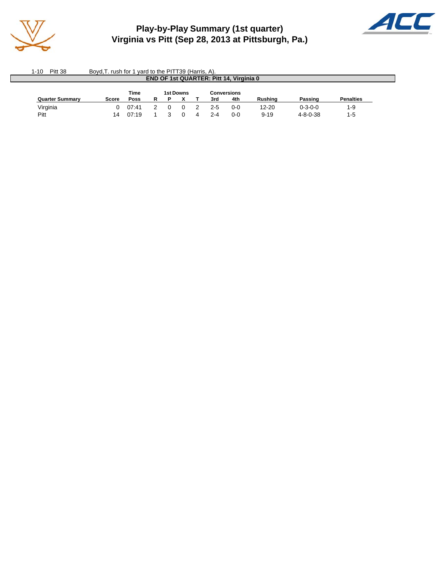

# **Play-by-Play Summary (1st quarter) Virginia vs Pitt (Sep 28, 2013 at Pittsburgh, Pa.)**



| $1 - 10$<br>Pitt 38    | Boyd, T. rush for 1 yard to the PITT39 (Harris, A). |       |  |  |           |   |     |             |           |                  |                  |  |  |  |
|------------------------|-----------------------------------------------------|-------|--|--|-----------|---|-----|-------------|-----------|------------------|------------------|--|--|--|
|                        | <b>END OF 1st QUARTER: Pitt 14, Virginia 0</b>      |       |  |  |           |   |     |             |           |                  |                  |  |  |  |
|                        |                                                     | Time  |  |  | 1st Downs |   |     | Conversions |           |                  |                  |  |  |  |
| <b>Quarter Summary</b> | Score                                               | Poss  |  |  |           |   | 3rd | 4th         | Rushina   | Passing          | <b>Penalties</b> |  |  |  |
| Virginia               |                                                     | 07:41 |  |  |           |   | 2-5 | $0 - 0$     | $12 - 20$ | $0 - 3 - 0 - 0$  | $1 - 9$          |  |  |  |
| Pitt                   | 14                                                  | 07:19 |  |  |           | Δ | 2-4 | $0 - 0$     | $9 - 19$  | $4 - 8 - 0 - 38$ | $1-5$            |  |  |  |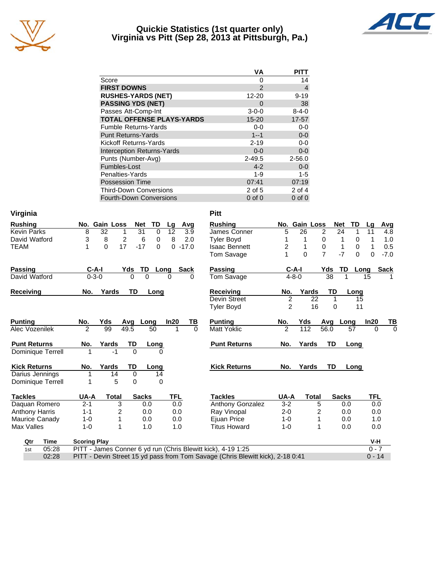

#### **Quickie Statistics (1st quarter only) Virginia vs Pitt (Sep 28, 2013 at Pittsburgh, Pa.)**



|                                   | ٧A            | PITT        |
|-----------------------------------|---------------|-------------|
| Score                             | 0             | 14          |
| <b>FIRST DOWNS</b>                | $\mathcal{P}$ | 4           |
| <b>RUSHES-YARDS (NET)</b>         | 12-20         | $9 - 19$    |
| <b>PASSING YDS (NET)</b>          | O             | 38          |
| Passes Att-Comp-Int               | $3 - 0 - 0$   | $8 - 4 - 0$ |
| <b>TOTAL OFFENSE PLAYS-YARDS</b>  | $15 - 20$     | $17 - 57$   |
| <b>Fumble Returns-Yards</b>       | $0 - 0$       | $0 - 0$     |
| <b>Punt Returns-Yards</b>         | $1 - 1$       | $0-0$       |
| Kickoff Returns-Yards             | $2 - 19$      | $0 - 0$     |
| <b>Interception Returns-Yards</b> | $0 - 0$       | $0-0$       |
| Punts (Number-Avg)                | $2 - 49.5$    | $2 - 56.0$  |
| Fumbles-Lost                      | $4 - 2$       | $0-0$       |
| Penalties-Yards                   | 1-9           | $1 - 5$     |
| <b>Possession Time</b>            | 07:41         | 07:19       |
| <b>Third-Down Conversions</b>     | 2 of 5        | 2 of 4      |
| <b>Fourth-Down Conversions</b>    | $0$ of $0$    | $0$ of $0$  |

| Virginia              |                     |               |                |              |              |             | <b>Pitt</b>                                                                    |                |               |                  |              |          |            |                |
|-----------------------|---------------------|---------------|----------------|--------------|--------------|-------------|--------------------------------------------------------------------------------|----------------|---------------|------------------|--------------|----------|------------|----------------|
| <b>Rushing</b>        |                     | No. Gain Loss | <b>Net</b>     | TD           | Lg           | Avg         | <b>Rushing</b>                                                                 |                | No. Gain Loss |                  | <b>Net</b>   | TD       | Lq         | Avg            |
| <b>Kevin Parks</b>    | 8                   | 32            | 31<br>1        | $\mathbf 0$  | 12           | 3.9         | James Conner                                                                   | 5              | 26            | 2                | 24           | 1        | 11         | 4.8            |
| David Watford         | 3                   | 8             | $\overline{c}$ | 6<br>0       | 8            | 2.0         | <b>Tyler Boyd</b>                                                              |                | 1             | 0                | 1            | 0        |            | 1.0            |
| <b>TEAM</b>           | 1                   | 17<br>0       | $-17$          | $\Omega$     | 0            | $-17.0$     | <b>Isaac Bennett</b>                                                           | 2              | 1             | $\boldsymbol{0}$ | 1            | 0        |            | 0.5            |
|                       |                     |               |                |              |              |             | Tom Savage                                                                     |                | $\Omega$      | $\overline{7}$   | $-7$         | $\Omega$ | 0          | $-7.0$         |
| <b>Passing</b>        | C-A-I               |               | Yds            | TD           | Long         | <b>Sack</b> | Passing                                                                        |                | $C-A-I$       | Yds              | TD           | Long     |            | <b>Sack</b>    |
| David Watford         | $0 - 3 - 0$         |               | $\Omega$       | $\Omega$     | 0            | 0           | Tom Savage                                                                     |                | $4 - 8 - 0$   | $\overline{38}$  |              |          | 15         |                |
| <b>Receiving</b>      | No.                 | Yards         | TD             | Long         |              |             | Receiving                                                                      | No.            | Yards         | TD               |              | Long     |            |                |
|                       |                     |               |                |              |              |             | Devin Street                                                                   | 2              |               | 22               | $\mathbf{1}$ | 15       |            |                |
|                       |                     |               |                |              |              |             | Tyler Boyd                                                                     | $\overline{2}$ |               | 16               | 0            | 11       |            |                |
| <b>Punting</b>        | No.                 | Yds           | Avg            | Long         | In20         | TВ          | <b>Punting</b>                                                                 | No.            | Yds           | Avg              | Long         |          | In20       | <u>ТВ</u>      |
| Alec Vozenilek        | 2                   | 99            | 49.5           | 50           | 1            | $\Omega$    | <b>Matt Yoklic</b>                                                             | $\overline{2}$ | 112           | 56.0             |              | 57       | $\Omega$   | $\overline{0}$ |
| <b>Punt Returns</b>   | No.                 | Yards         | TD             | Long         |              |             | <b>Punt Returns</b>                                                            | No.            | Yards         | <b>TD</b>        |              | Long     |            |                |
| Dominique Terrell     |                     | $-1$          | $\Omega$       |              | <sup>0</sup> |             |                                                                                |                |               |                  |              |          |            |                |
| <b>Kick Returns</b>   | No.                 | Yards         | <b>TD</b>      | Long         |              |             | <b>Kick Returns</b>                                                            | No.            | Yards         | <b>TD</b>        |              | Long     |            |                |
| Darius Jennings       | 1                   | 14            | 0              | 14           |              |             |                                                                                |                |               |                  |              |          |            |                |
| Dominique Terrell     | 1                   | 5             | $\Omega$       |              | $\Omega$     |             |                                                                                |                |               |                  |              |          |            |                |
| <b>Tackles</b>        | UA-A                | <b>Total</b>  |                | <b>Sacks</b> | <b>TFL</b>   |             | <b>Tackles</b>                                                                 | UA-A           | <b>Total</b>  |                  | <b>Sacks</b> |          | <b>TFL</b> |                |
| Daquan Romero         | $2 - 1$             | 3             |                | 0.0          | 0.0          |             | Anthony Gonzalez                                                               | $3 - 2$        |               | 5                | 0.0          |          | 0.0        |                |
| <b>Anthony Harris</b> | $1 - 1$             | 2             |                | 0.0          | 0.0          |             | Ray Vinopal                                                                    | $2 - 0$        |               | 2                | 0.0          |          | 0.0        |                |
| Maurice Canady        | $1 - 0$             | 1             |                | 0.0          | 0.0          |             | Eiuan Price                                                                    | $1 - 0$        |               | 1                | 0.0          |          | 1.0        |                |
| Max Valles            | $1 - 0$             | 1             |                | 1.0          | 1.0          |             | <b>Titus Howard</b>                                                            | $1 - 0$        |               | 1                | 0.0          |          | 0.0        |                |
| Qtr<br>Time           | <b>Scoring Play</b> |               |                |              |              |             |                                                                                |                |               |                  |              |          | $V-H$      |                |
| 05:28<br>1st          |                     |               |                |              |              |             | PITT - James Conner 6 yd run (Chris Blewitt kick), 4-19 1:25                   |                |               |                  |              |          | $0 - 7$    |                |
| 02:28                 |                     |               |                |              |              |             | PITT - Devin Street 15 yd pass from Tom Savage (Chris Blewitt kick), 2-18 0:41 |                |               |                  |              |          | $0 - 14$   |                |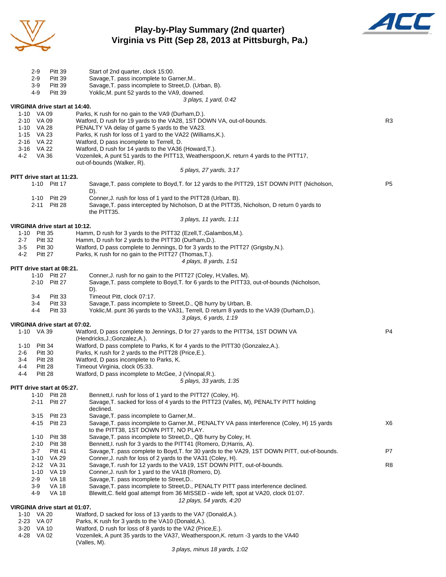

#### **Play-by-Play Summary (2nd quarter) Virginia vs Pitt (Sep 28, 2013 at Pittsburgh, Pa.)**



| 2-9                                    | <b>Pitt 39</b>               | Start of 2nd quarter, clock 15:00.                                                                                                                            |                |
|----------------------------------------|------------------------------|---------------------------------------------------------------------------------------------------------------------------------------------------------------|----------------|
| $2 - 9$                                | <b>Pitt 39</b>               | Savage, T. pass incomplete to Garner, M                                                                                                                       |                |
| $3-9$                                  | <b>Pitt 39</b>               | Savage, T. pass incomplete to Street, D. (Urban, B).                                                                                                          |                |
| 4-9                                    | Pitt 39                      | Yoklic, M. punt 52 yards to the VA9, downed.<br>3 plays, 1 yard, 0:42                                                                                         |                |
| VIRGINIA drive start at 14:40.         |                              |                                                                                                                                                               |                |
| 1-10 VA 09                             |                              | Parks, K rush for no gain to the VA9 (Durham, D.).                                                                                                            |                |
| 2-10 VA 09                             |                              | Watford, D rush for 19 yards to the VA28, 1ST DOWN VA, out-of-bounds.                                                                                         | R3             |
| 1-10 VA 28                             |                              | PENALTY VA delay of game 5 yards to the VA23.                                                                                                                 |                |
| 1-15 VA 23<br>2-16 VA 22               |                              | Parks, K rush for loss of 1 yard to the VA22 (Williams, K.).<br>Watford, D pass incomplete to Terrell, D.                                                     |                |
| 3-16 VA 22                             |                              | Watford, D rush for 14 yards to the VA36 (Howard, T.).                                                                                                        |                |
| VA 36<br>4-2                           |                              | Vozenilek, A punt 51 yards to the PITT13, Weatherspoon, K. return 4 yards to the PITT17,                                                                      |                |
|                                        |                              | out-of-bounds (Walker, R).                                                                                                                                    |                |
| PITT drive start at 11:23.             |                              | 5 plays, 27 yards, 3:17                                                                                                                                       |                |
|                                        | 1-10 Pitt 17                 | Savage, T. pass complete to Boyd, T. for 12 yards to the PITT29, 1ST DOWN PITT (Nicholson,                                                                    | P <sub>5</sub> |
|                                        |                              | D).                                                                                                                                                           |                |
|                                        | 1-10 Pitt 29                 | Conner, J. rush for loss of 1 yard to the PITT28 (Urban, B).<br>Savage, T. pass intercepted by Nicholson, D at the PITT35, Nicholson, D return 0 yards to     |                |
|                                        | 2-11 Pitt 28                 | the PITT35.                                                                                                                                                   |                |
|                                        |                              | 3 plays, 11 yards, 1:11                                                                                                                                       |                |
| VIRGINIA drive start at 10:12.         |                              |                                                                                                                                                               |                |
| 1-10 Pitt 35                           |                              | Hamm, D rush for 3 yards to the PITT32 (Ezell, T.; Galambos, M.).                                                                                             |                |
| $2 - 7$<br>Pitt 32<br>$3-5$<br>Pitt 30 |                              | Hamm, D rush for 2 yards to the PITT30 (Durham, D.).<br>Watford, D pass complete to Jennings, D for 3 yards to the PITT27 (Grigsby, N.).                      |                |
| 4-2<br>Pitt 27                         |                              | Parks, K rush for no gain to the PITT27 (Thomas, T.).                                                                                                         |                |
|                                        |                              | 4 plays, 8 yards, 1:51                                                                                                                                        |                |
| PITT drive start at 08:21.             |                              |                                                                                                                                                               |                |
|                                        | 1-10 Pitt 27<br>2-10 Pitt 27 | Conner, J. rush for no gain to the PITT27 (Coley, H; Valles, M).<br>Savage, T. pass complete to Boyd, T. for 6 yards to the PITT33, out-of-bounds (Nicholson, |                |
|                                        |                              | D).                                                                                                                                                           |                |
| 3-4                                    | Pitt 33                      | Timeout Pitt, clock 07:17.                                                                                                                                    |                |
| $3-4$                                  | Pitt 33                      | Savage, T. pass incomplete to Street, D., QB hurry by Urban, B.                                                                                               |                |
| 4-4                                    | Pitt 33                      | Yoklic, M. punt 36 yards to the VA31, Terrell, D return 8 yards to the VA39 (Durham, D.).                                                                     |                |
| VIRGINIA drive start at 07:02.         |                              | 3 plays, 6 yards, 1:19                                                                                                                                        |                |
| 1-10 VA 39                             |                              | Watford, D pass complete to Jennings, D for 27 yards to the PITT34, 1ST DOWN VA                                                                               | P <sub>4</sub> |
|                                        |                              | (Hendricks, J.; Gonzalez, A.).                                                                                                                                |                |
| 1-10<br>Pitt 34<br>Pitt 30             |                              | Watford, D pass complete to Parks, K for 4 yards to the PITT30 (Gonzalez, A.).<br>Parks, K rush for 2 yards to the PITT28 (Price, E.).                        |                |
| 2-6<br>Pitt 28<br>3-4                  |                              | Watford, D pass incomplete to Parks, K.                                                                                                                       |                |
| 4-4<br>Pitt 28                         |                              | Timeout Virginia, clock 05:33.                                                                                                                                |                |
| Pitt 28<br>4-4                         |                              | Watford, D pass incomplete to McGee, J (Vinopal, R.).                                                                                                         |                |
|                                        |                              | 5 plays, 33 yards, 1:35                                                                                                                                       |                |
| PITT drive start at 05:27.             | 1-10 Pitt 28                 | Bennett, I. rush for loss of 1 yard to the PITT27 (Coley, H).                                                                                                 |                |
| 2-11                                   | Pitt 27                      | Savage, T. sacked for loss of 4 yards to the PITT23 (Valles, M), PENALTY PITT holding                                                                         |                |
|                                        |                              | declined.                                                                                                                                                     |                |
| 3-15                                   | Pitt 23<br>4-15 Pitt 23      | Savage, T. pass incomplete to Garner, M<br>Savage, T. pass incomplete to Garner, M., PENALTY VA pass interference (Coley, H) 15 yards                         | X6             |
|                                        |                              | to the PITT38, 1ST DOWN PITT, NO PLAY.                                                                                                                        |                |
| $1 - 10$                               | Pitt 38                      | Savage, T. pass incomplete to Street, D., QB hurry by Coley, H.                                                                                               |                |
| 2-10                                   | Pitt 38                      | Bennett, I. rush for 3 yards to the PITT41 (Romero, D; Harris, A).                                                                                            |                |
| $3 - 7$<br>$1 - 10$                    | <b>Pitt 41</b><br>VA 29      | Savage, T. pass complete to Boyd, T. for 30 yards to the VA29, 1ST DOWN PITT, out-of-bounds.<br>Conner, J. rush for loss of 2 yards to the VA31 (Coley, H).   | P7             |
| 2-12                                   | VA 31                        | Savage, T. rush for 12 yards to the VA19, 1ST DOWN PITT, out-of-bounds.                                                                                       | R <sub>8</sub> |
| $1 - 10$                               | <b>VA 19</b>                 | Conner, J. rush for 1 yard to the VA18 (Romero, D).                                                                                                           |                |
| 2-9                                    | VA 18                        | Savage, T. pass incomplete to Street, D                                                                                                                       |                |
| $3-9$                                  | <b>VA 18</b>                 | Savage, T. pass incomplete to Street, D., PENALTY PITT pass interference declined.                                                                            |                |
| 4-9                                    | <b>VA 18</b>                 | Blewitt, C. field goal attempt from 36 MISSED - wide left, spot at VA20, clock 01:07.<br>12 plays, 54 yards, 4:20                                             |                |
| VIRGINIA drive start at 01:07.         |                              |                                                                                                                                                               |                |
| 1-10 VA 20                             |                              | Watford, D sacked for loss of 13 yards to the VA7 (Donald, A.).                                                                                               |                |
| 2-23 VA 07                             |                              | Parks, K rush for 3 yards to the VA10 (Donald, A.).                                                                                                           |                |
| 3-20 VA 10<br>4-28 VA 02               |                              | Watford, D rush for loss of 8 yards to the VA2 (Price, E.).<br>Vozenilek, A punt 35 yards to the VA37, Weatherspoon, K. return -3 yards to the VA40           |                |
|                                        |                              |                                                                                                                                                               |                |

(Valles, M).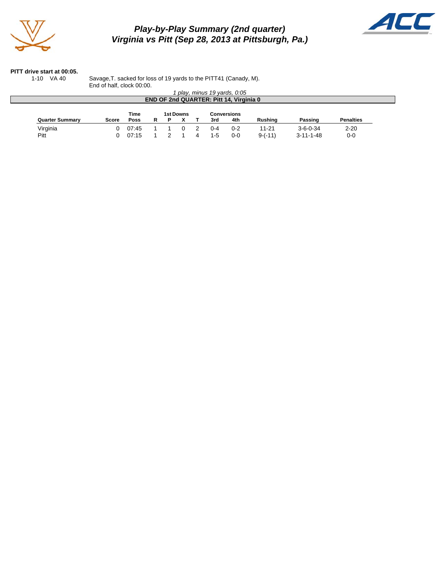

# *Play-by-Play Summary (2nd quarter) Virginia vs Pitt (Sep 28, 2013 at Pittsburgh, Pa.)*



#### **PITT drive start at 00:05.**

1-10 VA 40 Savage,T. sacked for loss of 19 yards to the PITT41 (Canady, M). End of half, clock 00:00.

| play, minus 19 yards, 0:05<br><b>END OF 2nd QUARTER: Pitt 14, Virginia 0</b> |              |                     |    |   |           |  |     |                    |           |                   |                  |
|------------------------------------------------------------------------------|--------------|---------------------|----|---|-----------|--|-----|--------------------|-----------|-------------------|------------------|
| <b>Quarter Summary</b>                                                       | <b>Score</b> | Time<br><b>Poss</b> | R. | P | 1st Downs |  | 3rd | Conversions<br>4th | Rushing   | Passing           | <b>Penalties</b> |
| Virginia                                                                     | <sup>n</sup> | 07:45               |    |   |           |  | በ-4 | $0 - 2$            | $11 - 21$ | $3 - 6 - 0 - 34$  | $2 - 20$         |
| Pitt                                                                         |              | 07:15               |    |   |           |  | 1-5 | $0 - 0$            | $9-(-11)$ | $3 - 11 - 1 - 48$ | $0-0$            |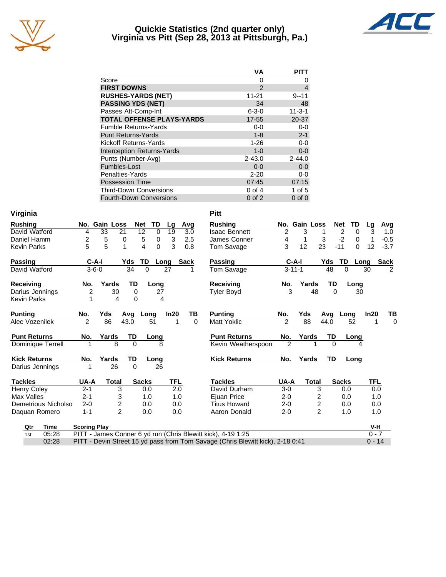

#### **Quickie Statistics (2nd quarter only) Virginia vs Pitt (Sep 28, 2013 at Pittsburgh, Pa.)**



|                                   | VА            | <b>PITT</b>  |
|-----------------------------------|---------------|--------------|
| Score                             | 0             | 0            |
| <b>FIRST DOWNS</b>                | $\mathcal{P}$ | 4            |
| <b>RUSHES-YARDS (NET)</b>         | 11-21         | $9 - 11$     |
| <b>PASSING YDS (NET)</b>          | 34            | 48           |
| Passes Att-Comp-Int               | $6 - 3 - 0$   | $11 - 3 - 1$ |
| <b>TOTAL OFFENSE PLAYS-YARDS</b>  | 17-55         | 20-37        |
| <b>Fumble Returns-Yards</b>       | $0 - 0$       | $0-0$        |
| <b>Punt Returns-Yards</b>         | $1 - 8$       | $2 - 1$      |
| Kickoff Returns-Yards             | $1 - 26$      | $0-0$        |
| <b>Interception Returns-Yards</b> | $1 - 0$       | $0-0$        |
| Punts (Number-Avg)                | $2 - 43.0$    | $2 - 44.0$   |
| Fumbles-Lost                      | $0 - 0$       | $0-0$        |
| Penalties-Yards                   | $2 - 20$      | $0 - 0$      |
| <b>Possession Time</b>            | 07:45         | 07:15        |
| <b>Third-Down Conversions</b>     | $0$ of 4      | 1 of $5$     |
| Fourth-Down Conversions           | $0$ of $2$    | $0$ of $0$   |

| Virginia                 |                     |                         |              |             |      |             | <b>Pitt</b>                                                                    |                |               |                  |                |          |            |                |
|--------------------------|---------------------|-------------------------|--------------|-------------|------|-------------|--------------------------------------------------------------------------------|----------------|---------------|------------------|----------------|----------|------------|----------------|
| <b>Rushing</b>           |                     | No. Gain Loss           | Net          | TD          | Lg   | Avg         | <b>Rushing</b>                                                                 |                | No. Gain Loss |                  | <b>Net</b>     | TD       | Lg         | Avg            |
| David Watford            | 4                   | 33<br>21                | 12           | $\mathbf 0$ | 19   | 3.0         | <b>Isaac Bennett</b>                                                           | $\overline{c}$ | 3             |                  | $\overline{2}$ | $\Omega$ | 3          | 1.0            |
| Daniel Hamm              | 2                   | 5<br>0                  | 5            | 0           | 3    | 2.5         | James Conner                                                                   | 4              | 1             | 3                | $-2$           | 0        | 1          | $-0.5$         |
| <b>Kevin Parks</b>       | 5                   | 5<br>1                  | 4            | 0           | 3    | 0.8         | Tom Savage                                                                     | 3              | 12            | 23               | $-11$          | $\Omega$ | 12         | $-3.7$         |
| Passing                  | $C-A-I$             |                         | TD<br>Yds    |             | Long | <b>Sack</b> | Passing                                                                        |                | $C-A-I$       | Yds              | TD             | Long     |            | <b>Sack</b>    |
| David Watford            | $3 - 6 - 0$         |                         | 34           | $\Omega$    | 27   |             | <b>Tom Savage</b>                                                              |                | $3 - 11 - 1$  |                  | 48             | $\Omega$ | 30         | $\mathfrak{p}$ |
| <b>Receiving</b>         | No.                 | Yards                   | <b>TD</b>    | Long        |      |             | <b>Receiving</b>                                                               | No.            |               | Yards            | TD             | Long     |            |                |
| Darius Jennings          | $\overline{c}$      | 30                      | 0            | 27          |      |             | <b>Tyler Boyd</b>                                                              |                | 3             | 48               | $\Omega$       | 30       |            |                |
| <b>Kevin Parks</b>       | 1                   | 4                       | $\Omega$     | 4           |      |             |                                                                                |                |               |                  |                |          |            |                |
| <b>Punting</b>           | No.                 | Yds                     | Avq          | Long        | In20 | <u>ТВ</u>   | <b>Punting</b>                                                                 | No.            | Yds           | Avq              |                | Long     | In20       | <u>TB</u>      |
| Alec Vozenilek           | $\overline{2}$      | 86                      | 43.0         | 51          | 1    | $\Omega$    | Matt Yoklic                                                                    | $\overline{2}$ | 88            | 44.0             |                | 52       | 1          | $\Omega$       |
| <b>Punt Returns</b>      | No.                 | Yards                   | TD           | Long        |      |             | <b>Punt Returns</b>                                                            | No.            | Yards         |                  | TD             | Long     |            |                |
| <b>Dominique Terrell</b> |                     | 8                       | $\Omega$     | 8           |      |             | Kevin Weatherspoon                                                             | $\mathfrak{p}$ |               |                  | $\Omega$       |          |            |                |
| <b>Kick Returns</b>      | No.                 | Yards                   | TD           | Long        |      |             | <b>Kick Returns</b>                                                            | No.            | Yards         |                  | <b>TD</b>      | Long     |            |                |
| Darius Jennings          |                     | 26                      | $\Omega$     | 26          |      |             |                                                                                |                |               |                  |                |          |            |                |
| <b>Tackles</b>           | UA-A                | <b>Total</b>            | <b>Sacks</b> |             | TFL  |             | <b>Tackles</b>                                                                 | UA-A           |               | <b>Total</b>     | <b>Sacks</b>   |          | <b>TFL</b> |                |
| <b>Henry Coley</b>       | $2 - 1$             | 3                       |              | 0.0         | 2.0  |             | David Durham                                                                   | $3-0$          |               | 3                |                | 0.0      | 0.0        |                |
| Max Valles               | $2 - 1$             | 3                       |              | 1.0         | 1.0  |             | Ejuan Price                                                                    | $2 - 0$        |               | 2                | 0.0            |          | 1.0        |                |
| Demetrious Nicholso      | $2 - 0$             | $\overline{\mathbf{c}}$ |              | 0.0         | 0.0  |             | <b>Titus Howard</b>                                                            | $2 - 0$        |               | $\boldsymbol{2}$ | 0.0            |          | 0.0        |                |
| Daquan Romero            | $1 - 1$             | $\overline{2}$          |              | 0.0         | 0.0  |             | Aaron Donald                                                                   | $2 - 0$        |               | $\overline{2}$   |                | 1.0      | 1.0        |                |
| Qtr<br>Time              | <b>Scoring Play</b> |                         |              |             |      |             |                                                                                |                |               |                  |                |          | V-H        |                |
| 05:28<br>1st             |                     |                         |              |             |      |             | PITT - James Conner 6 yd run (Chris Blewitt kick), 4-19 1:25                   |                |               |                  |                |          | $0 - 7$    |                |
| 02:28                    |                     |                         |              |             |      |             | PITT - Devin Street 15 yd pass from Tom Savage (Chris Blewitt kick), 2-18 0:41 |                |               |                  |                |          | $0 - 14$   |                |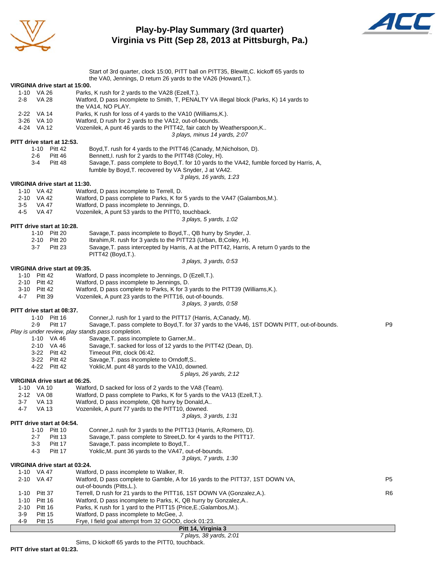

# **Play-by-Play Summary (3rd quarter) Virginia vs Pitt (Sep 28, 2013 at Pittsburgh, Pa.)**



|                                                | Start of 3rd quarter, clock 15:00, PITT ball on PITT35, Blewitt, C. kickoff 65 yards to                                   |                |
|------------------------------------------------|---------------------------------------------------------------------------------------------------------------------------|----------------|
|                                                | the VA0, Jennings, D return 26 yards to the VA26 (Howard, T.).                                                            |                |
|                                                | VIRGINIA drive start at 15:00.                                                                                            |                |
| 1-10 VA 26                                     | Parks, K rush for 2 yards to the VA28 (Ezell, T.).                                                                        |                |
| 2-8<br>VA 28                                   | Watford, D pass incomplete to Smith, T, PENALTY VA illegal block (Parks, K) 14 yards to<br>the VA14, NO PLAY.             |                |
| 2-22 VA 14                                     | Parks, K rush for loss of 4 yards to the VA10 (Williams, K.).                                                             |                |
| 3-26 VA 10                                     | Watford, D rush for 2 yards to the VA12, out-of-bounds.                                                                   |                |
| 4-24 VA 12                                     | Vozenilek, A punt 46 yards to the PITT42, fair catch by Weatherspoon, K                                                   |                |
|                                                | 3 plays, minus 14 yards, 2:07                                                                                             |                |
| PITT drive start at 12:53.                     |                                                                                                                           |                |
|                                                | Boyd, T. rush for 4 yards to the PITT46 (Canady, M; Nicholson, D).<br>1-10 Pitt 42                                        |                |
| 2-6                                            | Pitt 46<br>Bennett, I. rush for 2 yards to the PITT48 (Coley, H).                                                         |                |
| $3-4$                                          | Savage, T. pass complete to Boyd, T. for 10 yards to the VA42, fumble forced by Harris, A,<br>Pitt 48                     |                |
|                                                | fumble by Boyd, T. recovered by VA Snyder, J at VA42.                                                                     |                |
|                                                | 3 plays, 16 yards, 1:23                                                                                                   |                |
|                                                | VIRGINIA drive start at 11:30.                                                                                            |                |
| 1-10 VA 42<br>2-10 VA 42                       | Watford, D pass incomplete to Terrell, D.<br>Watford, D pass complete to Parks, K for 5 yards to the VA47 (Galambos, M.). |                |
| 3-5<br>VA 47                                   | Watford, D pass incomplete to Jennings, D.                                                                                |                |
| 4-5<br>VA 47                                   | Vozenilek, A punt 53 yards to the PITT0, touchback.                                                                       |                |
|                                                | 3 plays, 5 yards, 1:02                                                                                                    |                |
| PITT drive start at 10:28.                     |                                                                                                                           |                |
|                                                | 1-10 Pitt 20<br>Savage, T. pass incomplete to Boyd, T., QB hurry by Snyder, J.                                            |                |
|                                                | Ibrahim, R. rush for 3 yards to the PITT23 (Urban, B;Coley, H).<br>2-10 Pitt 20                                           |                |
| $3 - 7$                                        | Savage, T. pass intercepted by Harris, A at the PITT42, Harris, A return 0 yards to the<br>Pitt 23                        |                |
|                                                | PITT42 (Boyd,T.).                                                                                                         |                |
|                                                | 3 plays, 3 yards, 0:53                                                                                                    |                |
|                                                | VIRGINIA drive start at 09:35.                                                                                            |                |
| 1-10 Pitt 42                                   | Watford, D pass incomplete to Jennings, D (Ezell, T.).                                                                    |                |
| 2-10 Pitt 42                                   | Watford, D pass incomplete to Jennings, D.                                                                                |                |
| 3-10 Pitt 42                                   | Watford, D pass complete to Parks, K for 3 yards to the PITT39 (Williams, K.).                                            |                |
| $4 - 7$<br>Pitt 39                             | Vozenilek, A punt 23 yards to the PITT16, out-of-bounds.                                                                  |                |
| PITT drive start at 08:37.                     | 3 plays, 3 yards, 0:58                                                                                                    |                |
|                                                | 1-10 Pitt 16<br>Conner, J. rush for 1 yard to the PITT17 (Harris, A;Canady, M).                                           |                |
| $2-9$                                          | Savage, T. pass complete to Boyd, T. for 37 yards to the VA46, 1ST DOWN PITT, out-of-bounds.<br>Pitt 17                   | P9             |
|                                                | Play is under review, play stands pass completion.                                                                        |                |
|                                                | 1-10 VA 46<br>Savage, T. pass incomplete to Garner, M                                                                     |                |
|                                                | 2-10 VA 46<br>Savage, T. sacked for loss of 12 yards to the PITT42 (Dean, D).                                             |                |
|                                                | Timeout Pitt, clock 06:42.<br>3-22 Pitt 42                                                                                |                |
|                                                | 3-22 Pitt 42<br>Savage, T. pass incomplete to Orndoff, S                                                                  |                |
|                                                | Yoklic, M. punt 48 yards to the VA10, downed.<br>4-22 Pitt 42                                                             |                |
|                                                | 5 plays, 26 yards, 2:12                                                                                                   |                |
|                                                | VIRGINIA drive start at 06:25.                                                                                            |                |
| 1-10 VA 10                                     | Watford, D sacked for loss of 2 yards to the VA8 (Team).                                                                  |                |
| 2-12 VA 08                                     | Watford, D pass complete to Parks, K for 5 yards to the VA13 (Ezell, T.).                                                 |                |
| $3 - 7$<br><b>VA 13</b><br>4-7<br><b>VA 13</b> | Watford, D pass incomplete, QB hurry by Donald, A                                                                         |                |
|                                                | Vozenilek, A punt 77 yards to the PITT10, downed.<br>3 plays, 3 yards, 1:31                                               |                |
| PITT drive start at 04:54.                     |                                                                                                                           |                |
| $1 - 10$                                       | Pitt 10<br>Conner, J. rush for 3 yards to the PITT13 (Harris, A; Romero, D).                                              |                |
| $2 - 7$                                        | Savage, T. pass complete to Street, D. for 4 yards to the PITT17.<br>Pitt 13                                              |                |
| $3-3$                                          | Savage, T. pass incomplete to Boyd, T<br>Pitt 17                                                                          |                |
| 4-3                                            | Yoklic, M. punt 36 yards to the VA47, out-of-bounds.<br>Pitt 17                                                           |                |
|                                                | 3 plays, 7 yards, 1:30                                                                                                    |                |
|                                                | VIRGINIA drive start at 03:24.                                                                                            |                |
| 1-10 VA 47                                     | Watford, D pass incomplete to Walker, R.                                                                                  |                |
| 2-10 VA 47                                     | Watford, D pass complete to Gamble, A for 16 yards to the PITT37, 1ST DOWN VA,                                            | P <sub>5</sub> |
|                                                | out-of-bounds (Pitts, L.).                                                                                                |                |
| Pitt 37<br>$1 - 10$                            | Terrell, D rush for 21 yards to the PITT16, 1ST DOWN VA (Gonzalez, A.).                                                   | R6             |
| $1 - 10$<br>Pitt 16                            | Watford, D pass incomplete to Parks, K, QB hurry by Gonzalez, A                                                           |                |
| 2-10<br>Pitt 16<br>3-9<br><b>Pitt 15</b>       | Parks, K rush for 1 yard to the PITT15 (Price, E.; Galambos, M.).<br>Watford, D pass incomplete to McGee, J.              |                |
| 4-9<br><b>Pitt 15</b>                          | Frye, I field goal attempt from 32 GOOD, clock 01:23.                                                                     |                |
|                                                | Pitt 14, Virginia 3                                                                                                       |                |
|                                                |                                                                                                                           |                |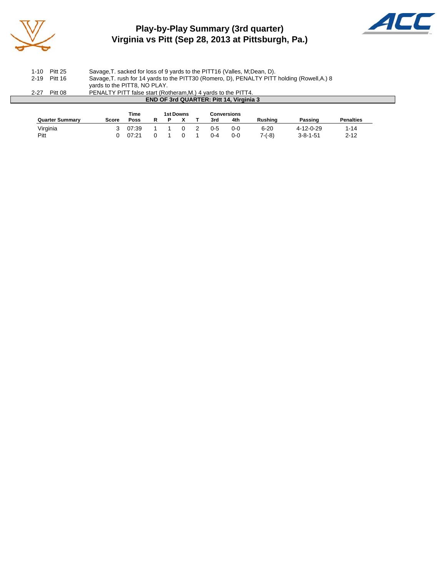

# **Play-by-Play Summary (3rd quarter) Virginia vs Pitt (Sep 28, 2013 at Pittsburgh, Pa.)**



 $\Box$ 

| 1-10     | <b>Pitt 25</b> | Savage, T. sacked for loss of 9 yards to the PITT16 (Valles, M.Dean, D).                    |
|----------|----------------|---------------------------------------------------------------------------------------------|
|          | 2-19 Pitt 16   | Savage, T. rush for 14 yards to the PITT30 (Romero, D), PENALTY PITT holding (Rowell, A.) 8 |
|          |                | yards to the PITT8, NO PLAY.                                                                |
| $2 - 27$ | Pitt 08        | PENALTY PITT false start (Rotheram, M.) 4 yards to the PITT4.                               |
|          |                | <b>END OF 3rd QUARTER: Pitt 14, Virginia 3</b>                                              |
|          |                |                                                                                             |

|                        |       | Time  |  | 1st Downs | <b>Conversions</b> |         |                |                  |                  |
|------------------------|-------|-------|--|-----------|--------------------|---------|----------------|------------------|------------------|
| <b>Quarter Summary</b> | Score | Poss  |  |           | 3rd                | 4th     | <b>Rushing</b> | Passing          | <b>Penalties</b> |
| Virginia               |       | 07:39 |  |           | $0 - 5$            | $0 - 0$ | 6-20           | 4-12-0-29        | '-14             |
| Pitt                   |       | 07:21 |  |           | በ-4                | $0 - 0$ | $7-(-8)$       | $3 - 8 - 1 - 51$ | 2-12             |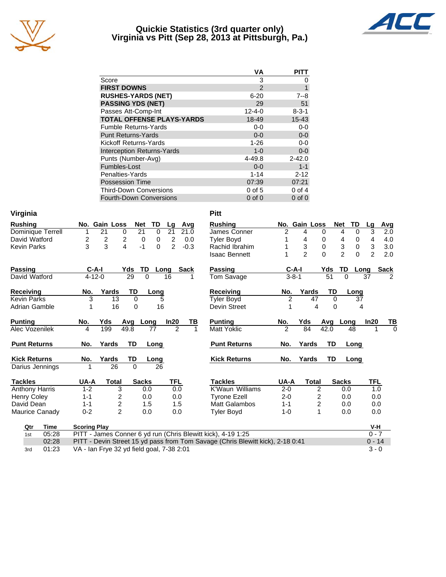

## **Quickie Statistics (3rd quarter only) Virginia vs Pitt (Sep 28, 2013 at Pittsburgh, Pa.)**



|                                   | VА           | PITT        |
|-----------------------------------|--------------|-------------|
| Score                             | 3            | O           |
| <b>FIRST DOWNS</b>                | 2            | 1           |
| <b>RUSHES-YARDS (NET)</b>         | $6 - 20$     | $7 - 8$     |
| <b>PASSING YDS (NET)</b>          | 29           | 51          |
| Passes Att-Comp-Int               | $12 - 4 - 0$ | $8 - 3 - 1$ |
| <b>TOTAL OFFENSE PLAYS-YARDS</b>  | 18-49        | $15 - 43$   |
| <b>Fumble Returns-Yards</b>       | $0 - 0$      | $0 - 0$     |
| <b>Punt Returns-Yards</b>         | $0 - 0$      | $0-0$       |
| Kickoff Returns-Yards             | $1 - 26$     | $0-0$       |
| <b>Interception Returns-Yards</b> | $1 - 0$      | $0 - 0$     |
| Punts (Number-Avg)                | $4 - 49.8$   | $2 - 42.0$  |
| Fumbles-Lost                      | $0 - 0$      | $1 - 1$     |
| Penalties-Yards                   | $1 - 14$     | $2 - 12$    |
| <b>Possession Time</b>            | 07:39        | 07:21       |
| <b>Third-Down Conversions</b>     | $0$ of 5     | $0$ of $4$  |
| <b>Fourth-Down Conversions</b>    | $0$ of $0$   | $0$ of $0$  |

| Virginia              |                     |                                           |                                        |          |                |        |    | <b>Pitt</b>                                                                    |                |                |                         |              |                     |                |                  |
|-----------------------|---------------------|-------------------------------------------|----------------------------------------|----------|----------------|--------|----|--------------------------------------------------------------------------------|----------------|----------------|-------------------------|--------------|---------------------|----------------|------------------|
| <b>Rushing</b>        |                     | No. Gain Loss                             | <b>Net</b>                             | TD       | Lg             | Avg    |    | <b>Rushing</b>                                                                 |                | No. Gain Loss  |                         | <b>Net</b>   | TD                  | Lg             | <b>Avg</b>       |
| Dominique Terrell     |                     | 21                                        | 21<br>0                                | 0        | 21             | 21.0   |    | James Conner                                                                   | $\overline{2}$ | 4              | 0                       |              | 4<br>0              | $\overline{3}$ | $\overline{2.0}$ |
| David Watford         | 2                   | $\overline{\mathbf{c}}$                   | $\overline{\mathbf{c}}$<br>$\mathbf 0$ | 0        | $\overline{2}$ | 0.0    |    | <b>Tyler Boyd</b>                                                              |                | 4              | 0                       |              | 0<br>4              | 4              | 4.0              |
| <b>Kevin Parks</b>    | 3                   | 3                                         | 4<br>$-1$                              | 0        | $\overline{2}$ | $-0.3$ |    | Rachid Ibrahim                                                                 |                | 3              | $\mathbf 0$             |              | $\mathsf 3$<br>0    | 3              | 3.0              |
|                       |                     |                                           |                                        |          |                |        |    | <b>Isaac Bennett</b>                                                           |                | $\mathfrak{p}$ | $\Omega$                |              | $\overline{2}$<br>0 | $\overline{2}$ | 2.0              |
| <b>Passing</b>        | $C-A-I$             |                                           | Yds                                    | TD       | Long           | Sack   |    | Passing                                                                        |                | $C-A-I$        |                         | Yds          | TD                  | Long           | <b>Sack</b>      |
| David Watford         | $4 - 12 - 0$        |                                           | 29                                     | $\Omega$ | 16             |        |    | Tom Savage                                                                     |                | $3 - 8 - 1$    |                         | 51           | $\Omega$            | 37             | $\overline{2}$   |
| <b>Receiving</b>      | No.                 | Yards                                     | TD                                     | Long     |                |        |    | <b>Receiving</b>                                                               | No.            |                | Yards                   | TD           | Long                |                |                  |
| <b>Kevin Parks</b>    | 3                   | 13                                        | $\Omega$                               |          | 5              |        |    | <b>Tyler Boyd</b>                                                              | $\overline{2}$ |                | 47                      | $\Omega$     | 37                  |                |                  |
| Adrian Gamble         | 1                   | 16                                        | $\mathbf 0$                            | 16       |                |        |    | Devin Street                                                                   | 1              |                | 4                       | 0            | 4                   |                |                  |
| <b>Punting</b>        | No.                 | Yds                                       | Avg                                    | Long     | In20           |        | ΤВ | <b>Punting</b>                                                                 | No.            | Yds            |                         | Avg          | Long                | In20           | ΤВ               |
| Alec Vozenilek        | 4                   | 199                                       | 49.8                                   | 77       | $\overline{2}$ |        | 1  | <b>Matt Yoklic</b>                                                             | $\overline{2}$ | 84             |                         | 42.0         | 48                  |                | $\Omega$         |
| <b>Punt Returns</b>   | No.                 | Yards                                     | <b>TD</b>                              | Long     |                |        |    | <b>Punt Returns</b>                                                            | No.            | Yards          |                         | <b>TD</b>    | Long                |                |                  |
| <b>Kick Returns</b>   | No.                 | Yards                                     | TD                                     | Long     |                |        |    | <b>Kick Returns</b>                                                            | No.            | Yards          |                         | <b>TD</b>    | Long                |                |                  |
| Darius Jennings       |                     | 26                                        | 0                                      | 26       |                |        |    |                                                                                |                |                |                         |              |                     |                |                  |
| <b>Tackles</b>        | UA-A                | <b>Total</b>                              | <b>Sacks</b>                           |          | <b>TFL</b>     |        |    | <b>Tackles</b>                                                                 | UA-A           |                | <b>Total</b>            | <b>Sacks</b> |                     | <b>TFL</b>     |                  |
| <b>Anthony Harris</b> | $1 - 2$             | 3                                         |                                        | 0.0      | 0.0            |        |    | <b>K'Waun Williams</b>                                                         | $2 - 0$        |                | 2                       |              | 0.0                 | 1.0            |                  |
| <b>Henry Coley</b>    | $1 - 1$             | 2                                         |                                        | 0.0      | 0.0            |        |    | <b>Tyrone Ezell</b>                                                            | $2 - 0$        |                | 2                       |              | 0.0                 | 0.0            |                  |
| David Dean            | $1 - 1$             | $\overline{c}$                            |                                        | 1.5      | 1.5            |        |    | <b>Matt Galambos</b>                                                           | $1 - 1$        |                | $\overline{\mathbf{c}}$ |              | 0.0                 | 0.0            |                  |
| Maurice Canady        | $0 - 2$             | $\overline{2}$                            |                                        | 0.0      | 0.0            |        |    | <b>Tyler Boyd</b>                                                              | $1 - 0$        |                | $\mathbf{1}$            |              | 0.0                 | 0.0            |                  |
| Qtr<br><b>Time</b>    | <b>Scoring Play</b> |                                           |                                        |          |                |        |    |                                                                                |                |                |                         |              |                     | V-H            |                  |
| 05:28<br>1st          |                     |                                           |                                        |          |                |        |    | PITT - James Conner 6 yd run (Chris Blewitt kick), 4-19 1:25                   |                |                |                         |              |                     | $0 - 7$        |                  |
| 02:28                 |                     |                                           |                                        |          |                |        |    | PITT - Devin Street 15 yd pass from Tom Savage (Chris Blewitt kick), 2-18 0:41 |                |                |                         |              |                     | $0 - 14$       |                  |
| 01:23<br>3rd          |                     | VA - Ian Frye 32 yd field goal, 7-38 2:01 |                                        |          |                |        |    |                                                                                |                |                |                         |              |                     | $3 - 0$        |                  |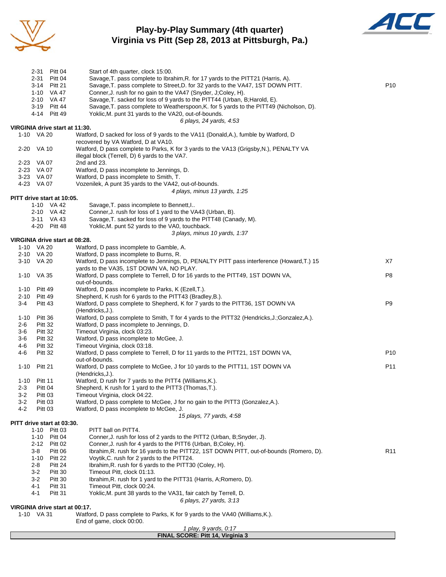

# **Play-by-Play Summary (4th quarter) Virginia vs Pitt (Sep 28, 2013 at Pittsburgh, Pa.)**



|          |                | 2-31 Pitt 04                             | Start of 4th quarter, clock 15:00.                                                                                                                                   |                 |
|----------|----------------|------------------------------------------|----------------------------------------------------------------------------------------------------------------------------------------------------------------------|-----------------|
|          | 2-31           | Pitt 04                                  | Savage, T. pass complete to Ibrahim, R. for 17 yards to the PITT21 (Harris, A).                                                                                      |                 |
|          |                | 3-14 Pitt 21                             | Savage, T. pass complete to Street, D. for 32 yards to the VA47, 1ST DOWN PITT.                                                                                      | P <sub>10</sub> |
|          |                | 1-10 VA 47                               | Conner, J. rush for no gain to the VA47 (Snyder, J;Coley, H).                                                                                                        |                 |
|          |                | 2-10 VA 47                               | Savage, T. sacked for loss of 9 yards to the PITT44 (Urban, B; Harold, E).<br>Savage, T. pass complete to Weatherspoon, K. for 5 yards to the PITT49 (Nicholson, D). |                 |
|          |                | 3-19 Pitt 44<br>4-14 Pitt 49             | Yoklic, M. punt 31 yards to the VA20, out-of-bounds.                                                                                                                 |                 |
|          |                |                                          | 6 plays, 24 yards, 4:53                                                                                                                                              |                 |
|          |                | VIRGINIA drive start at 11:30.           |                                                                                                                                                                      |                 |
|          | 1-10 VA 20     |                                          | Watford, D sacked for loss of 9 yards to the VA11 (Donald, A.), fumble by Watford, D                                                                                 |                 |
|          |                |                                          | recovered by VA Watford, D at VA10.                                                                                                                                  |                 |
|          | 2-20 VA 10     |                                          | Watford, D pass complete to Parks, K for 3 yards to the VA13 (Grigsby, N.), PENALTY VA                                                                               |                 |
|          |                |                                          | illegal block (Terrell, D) 6 yards to the VA7.                                                                                                                       |                 |
|          | 2-23 VA 07     |                                          | 2nd and 23.                                                                                                                                                          |                 |
|          | 2-23 VA 07     |                                          | Watford, D pass incomplete to Jennings, D.                                                                                                                           |                 |
|          | 3-23 VA 07     |                                          | Watford, D pass incomplete to Smith, T.                                                                                                                              |                 |
|          | 4-23 VA 07     |                                          | Vozenilek, A punt 35 yards to the VA42, out-of-bounds.                                                                                                               |                 |
|          |                |                                          | 4 plays, minus 13 yards, 1:25                                                                                                                                        |                 |
|          |                | PITT drive start at 10:05.<br>1-10 VA 42 |                                                                                                                                                                      |                 |
|          |                | 2-10 VA 42                               | Savage, T. pass incomplete to Bennett, I<br>Conner, J. rush for loss of 1 yard to the VA43 (Urban, B).                                                               |                 |
|          |                | 3-11 VA 43                               | Savage, T. sacked for loss of 9 yards to the PITT48 (Canady, M).                                                                                                     |                 |
|          |                | 4-20 Pitt 48                             | Yoklic, M. punt 52 yards to the VA0, touchback.                                                                                                                      |                 |
|          |                |                                          | 3 plays, minus 10 yards, 1:37                                                                                                                                        |                 |
|          |                | VIRGINIA drive start at 08:28.           |                                                                                                                                                                      |                 |
|          | 1-10 VA 20     |                                          | Watford, D pass incomplete to Gamble, A.                                                                                                                             |                 |
|          | 2-10 VA 20     |                                          | Watford, D pass incomplete to Burns, R.                                                                                                                              |                 |
|          | 3-10 VA 20     |                                          | Watford, D pass incomplete to Jennings, D, PENALTY PITT pass interference (Howard, T.) 15                                                                            | X7              |
|          |                |                                          | yards to the VA35, 1ST DOWN VA, NO PLAY.                                                                                                                             |                 |
|          | 1-10 VA 35     |                                          | Watford, D pass complete to Terrell, D for 16 yards to the PITT49, 1ST DOWN VA,                                                                                      | P <sub>8</sub>  |
|          |                |                                          | out-of-bounds.                                                                                                                                                       |                 |
| 1-10     | Pitt 49        |                                          | Watford, D pass incomplete to Parks, K (Ezell, T.).                                                                                                                  |                 |
| $2 - 10$ | Pitt 49        |                                          | Shepherd, K rush for 6 yards to the PITT43 (Bradley, B.).                                                                                                            |                 |
| 3-4      | Pitt 43        |                                          | Watford, D pass complete to Shepherd, K for 7 yards to the PITT36, 1ST DOWN VA                                                                                       | P9              |
| $1 - 10$ | Pitt 36        |                                          | (Hendricks, J.).<br>Watford, D pass complete to Smith, T for 4 yards to the PITT32 (Hendricks, J.; Gonzalez, A.).                                                    |                 |
| 2-6      | Pitt 32        |                                          | Watford, D pass incomplete to Jennings, D.                                                                                                                           |                 |
| 3-6      | <b>Pitt 32</b> |                                          | Timeout Virginia, clock 03:23.                                                                                                                                       |                 |
| 3-6      | Pitt 32        |                                          | Watford, D pass incomplete to McGee, J.                                                                                                                              |                 |
| $4 - 6$  | Pitt 32        |                                          | Timeout Virginia, clock 03:18.                                                                                                                                       |                 |
| 4-6      | Pitt 32        |                                          | Watford, D pass complete to Terrell, D for 11 yards to the PITT21, 1ST DOWN VA,                                                                                      | P <sub>10</sub> |
|          |                |                                          | out-of-bounds.                                                                                                                                                       |                 |
| $1 - 10$ | Pitt 21        |                                          | Watford, D pass complete to McGee, J for 10 yards to the PITT11, 1ST DOWN VA                                                                                         | P11             |
|          |                |                                          | (Hendricks, J.).                                                                                                                                                     |                 |
| 1-10     | Pitt 11        |                                          | Watford, D rush for 7 yards to the PITT4 (Williams, K.).                                                                                                             |                 |
| $2 - 3$  | Pitt 04        |                                          | Shepherd, K rush for 1 yard to the PITT3 (Thomas, T.).                                                                                                               |                 |
| 3-2      | Pitt 03        |                                          | Timeout Virginia, clock 04:22.                                                                                                                                       |                 |
| 3-2      | Pitt 03        |                                          | Watford, D pass complete to McGee, J for no gain to the PITT3 (Gonzalez, A.).                                                                                        |                 |
| $4 - 2$  | Pitt 03        |                                          | Watford, D pass incomplete to McGee, J.                                                                                                                              |                 |
|          |                | PITT drive start at 03:30.               | 15 plays, 77 yards, 4:58                                                                                                                                             |                 |
|          | 1-10           | Pitt 03                                  | PITT ball on PITT4.                                                                                                                                                  |                 |
|          | 1-10           | Pitt 04                                  | Conner, J. rush for loss of 2 yards to the PITT2 (Urban, B;Snyder, J).                                                                                               |                 |
|          |                | 2-12 Pitt 02                             | Conner, J. rush for 4 yards to the PITT6 (Urban, B;Coley, H).                                                                                                        |                 |
|          | 3-8            | Pitt 06                                  | Ibrahim, R. rush for 16 yards to the PITT22, 1ST DOWN PITT, out-of-bounds (Romero, D).                                                                               | R <sub>11</sub> |
|          | $1 - 10$       | Pitt 22                                  | Voytik, C. rush for 2 yards to the PITT24.                                                                                                                           |                 |
|          | 2-8            | Pitt 24                                  | Ibrahim, R. rush for 6 yards to the PITT30 (Coley, H).                                                                                                               |                 |
|          | $3-2$          | Pitt 30                                  | Timeout Pitt, clock 01:13.                                                                                                                                           |                 |
|          | $3-2$          | Pitt 30                                  | Ibrahim, R. rush for 1 yard to the PITT31 (Harris, A; Romero, D).                                                                                                    |                 |
|          | 4-1            | Pitt 31                                  | Timeout Pitt, clock 00:24.                                                                                                                                           |                 |
|          | 4-1            | <b>Pitt 31</b>                           | Yoklic, M. punt 38 yards to the VA31, fair catch by Terrell, D.                                                                                                      |                 |
|          |                |                                          | 6 plays, 27 yards, 3:13                                                                                                                                              |                 |
|          |                | VIRGINIA drive start at 00:17.           |                                                                                                                                                                      |                 |
|          | 1-10 VA 31     |                                          | Watford, D pass complete to Parks, K for 9 yards to the VA40 (Williams, K.).                                                                                         |                 |
|          |                |                                          | End of game, clock 00:00.<br>1 play, 9 yards, 0:17                                                                                                                   |                 |
|          |                |                                          | FINAL SCORE: Pitt 14, Virginia 3                                                                                                                                     |                 |
|          |                |                                          |                                                                                                                                                                      |                 |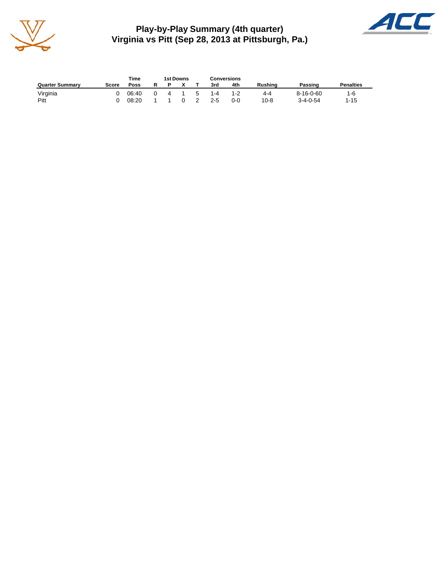

**Play-by-Play Summary (4th quarter) Virginia vs Pitt (Sep 28, 2013 at Pittsburgh, Pa.)**



|                        |       | Time  | <b>1st Downs</b> |              | <b>Conversions</b> |         |                |                   |                  |
|------------------------|-------|-------|------------------|--------------|--------------------|---------|----------------|-------------------|------------------|
| <b>Quarter Summary</b> | Score | Poss  |                  |              | 3rd                | 4th     | <b>Rushing</b> | Passing           | <b>Penalties</b> |
| Virginia               | n.    | 06:40 | 4                | $\mathbf{b}$ | $1 - 4$            | 1-2     | 4-4            | $8 - 16 - 0 - 60$ | $1-6$            |
| Pitt                   |       | 08:20 |                  |              | $2 - 5$            | $0 - 0$ | $10 - 8$       | $3 - 4 - 0 - 54$  | $1 - 15$         |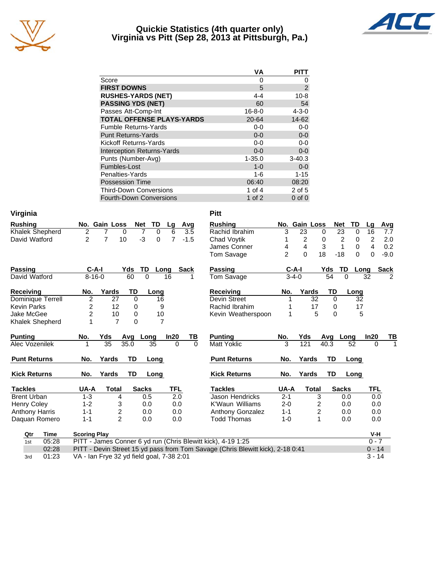

## **Quickie Statistics (4th quarter only) Virginia vs Pitt (Sep 28, 2013 at Pittsburgh, Pa.)**



|                                   | ٧A           | PITT        |
|-----------------------------------|--------------|-------------|
| Score                             | 0            | O           |
| <b>FIRST DOWNS</b>                | 5            | 2           |
| <b>RUSHES-YARDS (NET)</b>         | 4-4          | $10 - 8$    |
| <b>PASSING YDS (NET)</b>          | 60           | 54          |
| Passes Att-Comp-Int               | $16 - 8 - 0$ | $4 - 3 - 0$ |
| <b>TOTAL OFFENSE PLAYS-YARDS</b>  | 20-64        | 14-62       |
| <b>Fumble Returns-Yards</b>       | 0-0          | $0-0$       |
| <b>Punt Returns-Yards</b>         | $0 - 0$      | $0-0$       |
| Kickoff Returns-Yards             | $0 - 0$      | $0 - 0$     |
| <b>Interception Returns-Yards</b> | $0 - 0$      | $0-0$       |
| Punts (Number-Avg)                | $1 - 35.0$   | $3 - 40.3$  |
| Fumbles-Lost                      | $1 - 0$      | $0-0$       |
| Penalties-Yards                   | 1-6          | $1 - 15$    |
| <b>Possession Time</b>            | 06:40        | 08:20       |
| <b>Third-Down Conversions</b>     | 1 of 4       | 2 of 5      |
| <b>Fourth-Down Conversions</b>    | 1 of $2$     | $0$ of $0$  |

| Virginia              |                                                                                 | <b>Pitt</b>                    |                |                |               |                   |                     |                |
|-----------------------|---------------------------------------------------------------------------------|--------------------------------|----------------|----------------|---------------|-------------------|---------------------|----------------|
| <b>Rushing</b>        | TD<br>No. Gain Loss<br><b>Net</b><br>Avg<br>Lg                                  | <b>Rushing</b>                 |                | No. Gain Loss  |               | TD<br><b>Net</b>  | Avg<br>Lg           |                |
| Khalek Shepherd       | $\overline{2}$<br>$\overline{7}$<br>$\Omega$<br>6<br>3.5<br>7<br>$\Omega$       | Rachid Ibrahim                 | 3              | 23             | $\Omega$      | 23<br>$\Omega$    | 16<br>7.7           |                |
| David Watford         | $\overline{2}$<br>$\overline{7}$<br>$-3$<br>$\overline{7}$<br>10<br>0<br>$-1.5$ | Chad Voytik                    | 1              | $\overline{c}$ | 0             | 2<br>0            | 2<br>2.0            |                |
|                       |                                                                                 | James Conner                   | 4              | $\overline{4}$ | 3             | $\mathbf 0$<br>1  | 4<br>0.2            |                |
|                       |                                                                                 | <b>Tom Savage</b>              | $\overline{2}$ | $\Omega$       | 18            | $-18$<br>$\Omega$ | $\Omega$<br>$-9.0$  |                |
| <b>Passing</b>        | $C-A-I$<br>Yds<br><b>TD</b><br>Long<br>Sack                                     | <b>Passing</b>                 |                | $C-A-I$        | Yds           | <b>TD</b>         | <b>Sack</b><br>Long |                |
| David Watford         | 60<br>$8 - 16 - 0$<br>$\Omega$<br>16                                            | Tom Savage                     |                | $3-4-0$        | 54            | 0                 | 32                  | $\overline{2}$ |
| <b>Receiving</b>      | Yards<br><b>TD</b><br>No.<br>Long                                               | <b>Receiving</b>               | No.            | Yards          | <b>TD</b>     | Long              |                     |                |
| Dominique Terrell     | $\overline{c}$<br>27<br>$\Omega$<br>16                                          | Devin Street                   | 1              | 32             | $\Omega$      | 32                |                     |                |
| <b>Kevin Parks</b>    | 2<br>12<br>0<br>9                                                               | Rachid Ibrahim                 |                | 17             | 0             | 17                |                     |                |
| <b>Jake McGee</b>     | $\overline{c}$<br>10<br>$\mathbf 0$<br>10                                       | Kevin Weatherspoon             | 1              |                | 5<br>$\Omega$ |                   | 5                   |                |
| Khalek Shepherd       | $\overline{7}$<br>$\overline{7}$<br>1<br>$\Omega$                               |                                |                |                |               |                   |                     |                |
| <b>Punting</b>        | No.<br>Yds<br>In20<br>Avg<br>Long                                               | TВ<br><b>Punting</b>           | No.            | Yds            | Avg           | Long              | In20                | TВ             |
| Alec Vozenilek        | $\overline{35}$<br>35.0<br>35<br>$\Omega$                                       | <b>Matt Yoklic</b><br>$\Omega$ | 3              | 121            | 40.3          | 52                | $\Omega$            | 1              |
| <b>Punt Returns</b>   | <b>TD</b><br>Yards<br>No.<br>Long                                               | <b>Punt Returns</b>            | No.            | Yards          | <b>TD</b>     | Long              |                     |                |
| <b>Kick Returns</b>   | <b>TD</b><br>No.<br>Yards<br>Long                                               | <b>Kick Returns</b>            | No.            | Yards          | TD            | Long              |                     |                |
| <b>Tackles</b>        | <b>TFL</b><br>UA-A<br><b>Sacks</b><br>Total                                     | <b>Tackles</b>                 | UA-A           | <b>Total</b>   |               | <b>Sacks</b>      | TFL                 |                |
| <b>Brent Urban</b>    | 2.0<br>$1 - 3$<br>4<br>0.5                                                      | Jason Hendricks                | $2 - 1$        |                | 3             | 0.0               | 0.0                 |                |
| <b>Henry Coley</b>    | $1 - 2$<br>3<br>0.0<br>0.0                                                      | K'Waun Williams                | $2 - 0$        |                | 2             | 0.0               | 0.0                 |                |
| <b>Anthony Harris</b> | 2<br>$1 - 1$<br>0.0<br>0.0                                                      | Anthony Gonzalez               | $1 - 1$        |                | 2             | 0.0               | 0.0                 |                |
| Daquan Romero         | $\overline{2}$<br>$1 - 1$<br>0.0<br>0.0                                         | <b>Todd Thomas</b>             | $1 - 0$        |                | 1             | 0.0               | 0.0                 |                |
| <b>Time</b><br>Qtr    | <b>Scoring Play</b>                                                             |                                |                |                |               |                   | V-H                 |                |
| 05:28<br>1st          | PITT - James Conner 6 yd run (Chris Blewitt kick), 4-19 1:25                    |                                |                |                |               |                   | $0 - 7$             |                |
| 02:28                 | PITT - Devin Street 15 yd pass from Tom Savage (Chris Blewitt kick), 2-18 0:41  |                                |                |                |               |                   | $0 - 14$            |                |
| 01:23<br>3rd          | VA - Ian Frye 32 yd field goal, 7-38 2:01                                       |                                |                |                |               |                   | $3 - 14$            |                |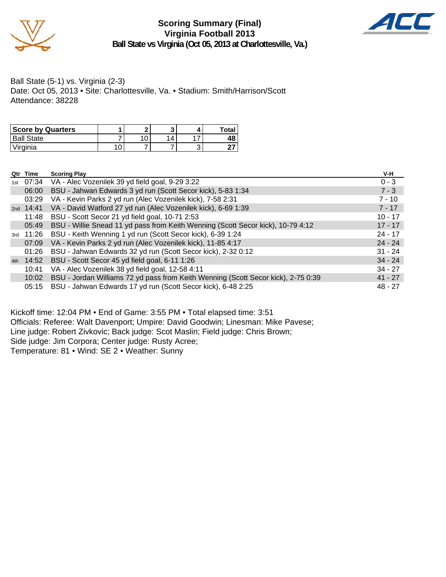

**Scoring Summary (Final) Virginia Football 2013 Ball State vs Virginia (Oct 05, 2013 at Charlottesville, Va.)**



Ball State (5-1) vs. Virginia (2-3) Date: Oct 05, 2013 • Site: Charlottesville, Va. • Stadium: Smith/Harrison/Scott Attendance: 38228

| <b>Score by Quarters</b> |   | ◚ |  | Total |
|--------------------------|---|---|--|-------|
| <sup>1</sup> Ball State  |   |   |  | 48    |
| Virginia                 | U |   |  |       |

|     | Qtr Time  | <b>Scoring Play</b>                                                               | V-H       |
|-----|-----------|-----------------------------------------------------------------------------------|-----------|
| 1st |           | 07:34 VA - Alec Vozenilek 39 yd field goal, 9-29 3:22                             | $0 - 3$   |
|     | 06:00     | BSU - Jahwan Edwards 3 yd run (Scott Secor kick), 5-83 1:34                       | $7 - 3$   |
|     | 03:29     | VA - Kevin Parks 2 yd run (Alec Vozenilek kick), 7-58 2:31                        | $7 - 10$  |
|     | 2nd 14:41 | VA - David Watford 27 yd run (Alec Vozenilek kick), 6-69 1:39                     | $7 - 17$  |
|     | 11:48     | BSU - Scott Secor 21 yd field goal, 10-71 2:53                                    | $10 - 17$ |
|     | 05:49     | BSU - Willie Snead 11 yd pass from Keith Wenning (Scott Secor kick), 10-79 4:12   | $17 - 17$ |
|     | 3rd 11:26 | BSU - Keith Wenning 1 yd run (Scott Secor kick), 6-39 1:24                        | $24 - 17$ |
|     | 07:09     | VA - Kevin Parks 2 yd run (Alec Vozenilek kick), 11-85 4:17                       | $24 - 24$ |
|     | 01:26     | BSU - Jahwan Edwards 32 yd run (Scott Secor kick), 2-32 0:12                      | $31 - 24$ |
|     | 4th 14:52 | BSU - Scott Secor 45 yd field goal, 6-11 1:26                                     | $34 - 24$ |
|     | 10:41     | VA - Alec Vozenilek 38 yd field goal, 12-58 4:11                                  | $34 - 27$ |
|     | 10:02     | BSU - Jordan Williams 72 yd pass from Keith Wenning (Scott Secor kick), 2-75 0:39 | $41 - 27$ |
|     | 05:15     | BSU - Jahwan Edwards 17 yd run (Scott Secor kick), 6-48 2:25                      | $48 - 27$ |

Kickoff time: 12:04 PM • End of Game: 3:55 PM • Total elapsed time: 3:51 Officials: Referee: Walt Davenport; Umpire: David Goodwin; Linesman: Mike Pavese; Line judge: Robert Zivkovic; Back judge: Scot Maslin; Field judge: Chris Brown; Side judge: Jim Corpora; Center judge: Rusty Acree; Temperature: 81 • Wind: SE 2 • Weather: Sunny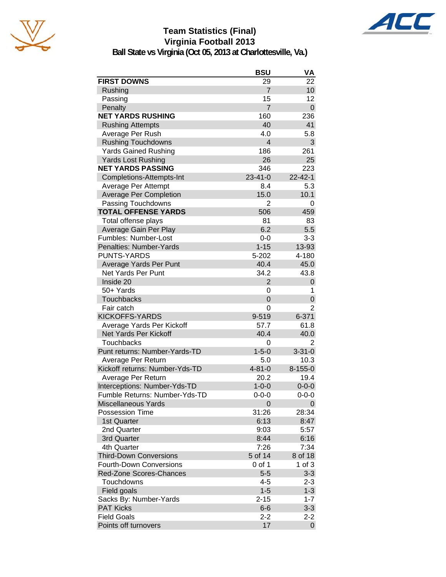

# **Team Statistics (Final) Virginia Football 2013**



**Ball State vs Virginia (Oct 05, 2013 at Charlottesville, Va.)**

|                                | <b>BSU</b>              | VA             |
|--------------------------------|-------------------------|----------------|
| <b>FIRST DOWNS</b>             | 29                      | 22             |
| Rushing                        | $\overline{7}$          | 10             |
| Passing                        | 15                      | 12             |
| Penalty                        | $\overline{7}$          | 0              |
| <b>NET YARDS RUSHING</b>       | 160                     | 236            |
| <b>Rushing Attempts</b>        | 40                      | 41             |
| Average Per Rush               | 4.0                     | 5.8            |
| <b>Rushing Touchdowns</b>      | $\overline{\mathbf{4}}$ | 3              |
| <b>Yards Gained Rushing</b>    | 186                     | 261            |
| <b>Yards Lost Rushing</b>      | 26                      | 25             |
| <b>NET YARDS PASSING</b>       | 346                     | 223            |
| Completions-Attempts-Int       | $23 - 41 - 0$           | 22-42-1        |
| Average Per Attempt            | 8.4                     | 5.3            |
| <b>Average Per Completion</b>  | 15.0                    | 10.1           |
| Passing Touchdowns             | 2                       | 0              |
| <b>TOTAL OFFENSE YARDS</b>     | 506                     | 459            |
| Total offense plays            | 81                      | 83             |
| Average Gain Per Play          | 6.2                     | 5.5            |
| Fumbles: Number-Lost           | $0-0$                   | $3 - 3$        |
| Penalties: Number-Yards        | $1 - 15$                | 13-93          |
| <b>PUNTS-YARDS</b>             | 5-202                   | 4-180          |
| Average Yards Per Punt         | 40.4                    | 45.0           |
| Net Yards Per Punt             | 34.2                    | 43.8           |
| Inside 20                      | $\overline{2}$          | 0              |
| 50+ Yards                      | 0                       | 1              |
| <b>Touchbacks</b>              | $\Omega$                | 0              |
| Fair catch                     | 0                       | 2              |
| <b>KICKOFFS-YARDS</b>          | 9-519                   | $6 - 371$      |
| Average Yards Per Kickoff      | 57.7                    | 61.8           |
| Net Yards Per Kickoff          | 40.4                    | 40.0           |
| Touchbacks                     | 0                       | 2              |
| Punt returns: Number-Yards-TD  | $1 - 5 - 0$             | $3 - 31 - 0$   |
| Average Per Return             | 5.0                     | 10.3           |
| Kickoff returns: Number-Yds-TD | $4 - 81 - 0$            | $8 - 155 - 0$  |
| Average Per Return             | 20.2                    | 19.4           |
| Interceptions: Number-Yds-TD   | $1 - 0 - 0$             | $0 - 0 - 0$    |
| Fumble Returns: Number-Yds-TD  | $0 - 0 - 0$             | $0 - 0 - 0$    |
| <b>Miscellaneous Yards</b>     | 0                       | 0              |
| <b>Possession Time</b>         | 31:26                   | 28:34          |
| 1st Quarter                    | 6:13                    | 8:47           |
| 2nd Quarter                    | 9:03                    | 5:57           |
| 3rd Quarter                    | 8:44                    | 6:16           |
| 4th Quarter                    | 7:26                    | 7:34           |
| <b>Third-Down Conversions</b>  | 5 of 14                 | 8 of 18        |
| <b>Fourth-Down Conversions</b> | 0 of 1                  | 1 of $3$       |
| Red-Zone Scores-Chances        | $5 - 5$                 | $3-3$          |
| Touchdowns                     | 4-5                     | $2 - 3$        |
| Field goals                    | $1 - 5$                 | $1 - 3$        |
| Sacks By: Number-Yards         | $2 - 15$                | $1 - 7$        |
| <b>PAT Kicks</b>               | $6-6$                   | $3 - 3$        |
| <b>Field Goals</b>             | 2-2                     | $2 - 2$        |
| Points off turnovers           | 17                      | $\overline{0}$ |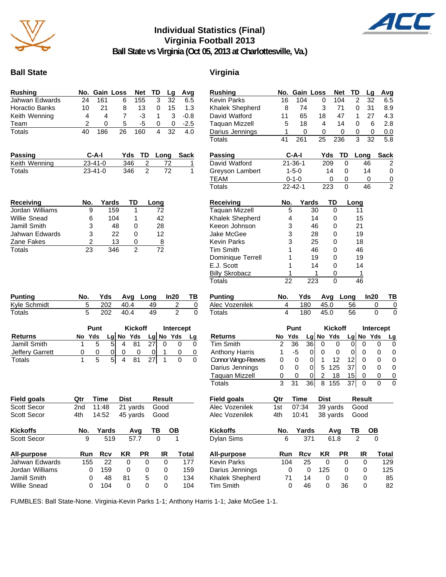

# **Individual Statistics (Final) Virginia Football 2013**



**Ball State vs Virginia (Oct 05, 2013 at Charlottesville, Va.)**

## **Ball State** Virginia

| <b>Rushing</b>                        |                |               | No. Gain Loss       | <b>Net</b>           | TD             |               | Lg        | Avg            |                |
|---------------------------------------|----------------|---------------|---------------------|----------------------|----------------|---------------|-----------|----------------|----------------|
| Jahwan Edwards                        | 24             | 161           | 6                   | 155                  |                | 3             | 32        |                | 6.5            |
| Horactio Banks                        | 10             | 21            | 8                   |                      | 13             | 0             | 15        |                | 1.3            |
| Keith Wenning                         | 4              | 4             | $\overline{7}$      |                      | -3             | 1             | 3         |                | $-0.8$         |
| Team                                  | 2              | 0             | 5                   |                      | -5             | 0             | 0         |                | $-2.5$         |
| <b>Totals</b>                         | 40             | 186           | 26                  | 160                  |                | 4             | 32        |                | 4.0            |
|                                       |                |               |                     |                      |                |               |           |                |                |
|                                       |                |               |                     |                      |                |               |           |                |                |
| Passing                               |                | C-A-I         | Yds                 |                      | TD             | Long          |           | <b>Sack</b>    |                |
| Keith Wenning                         |                | 23-41-0       |                     | 346                  | <u>2</u>       |               | <u>72</u> |                | 1              |
| <b>Totals</b>                         |                | $23 - 41 - 0$ |                     | 346                  | $\overline{2}$ |               | 72        |                | 1              |
|                                       |                |               |                     |                      |                |               |           |                |                |
| <b>Receiving</b>                      | No.            |               | Yards               | TD                   | Long           |               |           |                |                |
| Jordan Williams                       | 9              |               | 159                 | 1                    |                | 72            |           |                |                |
| Willie Snead                          | 6              |               | 104                 | 1                    |                | 42            |           |                |                |
| Jamill Smith                          | 3              |               | 48                  | 0                    |                | 28            |           |                |                |
| Jahwan Edwards                        | 3              |               | 22                  | 0                    |                | 12            |           |                |                |
| Zane Fakes                            | $\overline{c}$ |               | 13                  | 0                    |                | <u>8</u>      |           |                |                |
| <b>Totals</b>                         | 23             |               | 346                 | 2                    |                | 72            |           |                |                |
|                                       |                |               |                     |                      |                |               |           |                |                |
| <b>Punting</b><br><b>Kyle Schmidt</b> | No.<br>5       | Yds<br>202    | 40.4                | Avg                  | Long<br>49     |               | In20      | 2              | TВ<br>0        |
| <b>Totals</b>                         | 5              | 202           | 40.4                |                      | 49             |               |           | $\mathfrak{p}$ | 0              |
|                                       |                | Punt          |                     | <b>Kickoff</b>       |                |               |           | Intercept      |                |
| <b>Returns</b>                        | No Yds         |               | $Lg$ No Yds         |                      |                |               | Lg No Yds |                | Lg             |
| <b>Jamill Smith</b>                   | 1              | 5             | 5<br>4              | 81                   | 27             | 0             |           | 0              | 0              |
| Jeffery Garrett                       | 0              | 0             | 0<br>0              | 0                    | 0              | 1             |           | 0              | $\overline{0}$ |
| <b>Totals</b>                         | 1              | 5             | 5 <sup>1</sup><br>4 | 81                   | 27             | 1             |           | 0              | 0              |
|                                       |                |               |                     |                      |                |               |           |                |                |
| <b>Field goals</b>                    | Qtr            | Time          | <b>Dist</b>         |                      |                | <b>Result</b> |           |                |                |
|                                       | 2nd            | 11:48         |                     |                      |                | Good          |           |                |                |
| Scott Secor<br>Scott Secor            | 4th            | 14:52         |                     | 21 yards<br>45 yards |                | Good          |           |                |                |
| <b>Kickoffs</b>                       | No.            | Yards         |                     | Avg                  | ΤВ             |               | OВ        |                |                |
| Scott Secor                           | 9              |               | 519                 | 57.7                 |                | 0             |           | 1              |                |
| <b>All-purpose</b>                    | Run            | Rcv           | <b>KR</b>           |                      | PR             | IR            |           | Total          |                |
| Jahwan Edwards                        | 155            | 22            |                     | 0                    | 0              |               | 0         |                | 177            |
| Jordan Williams                       | 0              | 159           |                     | 0                    | 0              |               | 0         |                | 159            |
| Jamill Smith                          | 0              | 48            | 81                  |                      | 5              |               | 0         |                | 134            |

| Rushing                                | No.                 | Gain Loss      |         |             |                      | <b>Net</b> | TD       |                       | Lg        | Avg                 |
|----------------------------------------|---------------------|----------------|---------|-------------|----------------------|------------|----------|-----------------------|-----------|---------------------|
| Kevin Parks                            | 16                  | 104            |         | 0           |                      | 104        | 2        |                       | 32        | 6.5                 |
| Khalek Shepherd                        | 8                   | 74             |         | 3           |                      | 71         | 0        |                       | 31        | 8.9                 |
| David Watford                          | 11                  | 65             |         | 18          |                      | 47         | 1        |                       | 27        | 4.3                 |
| Taquan Mizzell                         | 5                   | 18             |         | 4           |                      | 14         | 0        |                       | 6         | 2.8                 |
| Darius Jennings                        | 1                   | 0              |         | 0           |                      | 0          | 0        |                       | 0         | 0.0                 |
| Totals                                 | 41                  | 261            |         | 25          | 236                  |            | 3        |                       | 32        | 5.8                 |
| <b>Passing</b>                         |                     | C-A-I          |         |             | Yds                  | TD         |          | Long                  |           | <b>Sack</b>         |
| David Watford                          |                     | $21 - 36 - 1$  |         |             | 209                  | 0          |          | 46                    |           | 2                   |
| Greyson Lambert                        |                     | $1 - 5 - 0$    |         |             | 14                   | 0          |          | 14                    |           | 0                   |
| <b>TEAM</b>                            |                     | $0 - 1 - 0$    |         |             | 0                    | 0          |          | 0                     |           | $\overline{0}$      |
| <b>Totals</b>                          |                     | $22 - 42 - 1$  |         |             | 223                  | 0          |          | 46                    |           | $\overline{2}$      |
| <b>Receiving</b>                       | No.                 |                | Yards   |             | TD                   |            | Long     |                       |           |                     |
| Taquan Mizzell                         |                     | 5              | 30      |             | 0                    |            |          | 11                    |           |                     |
| Khalek Shepherd                        |                     | 4              | 14      |             | 0                    |            |          | 15                    |           |                     |
| Keeon Johnson                          |                     | 3              | 46      |             | 0                    |            |          | 21                    |           |                     |
| Jake McGee                             |                     | 3              | 28      |             | 0                    |            |          | 19                    |           |                     |
| Kevin Parks                            |                     | 3              | 25      |             | 0                    |            |          | 18                    |           |                     |
| Tim Smith                              |                     | 1              | 46      |             | 0                    |            |          | 46                    |           |                     |
| Dominique Terrell                      |                     | 1              | 19      |             | 0                    |            |          | 19                    |           |                     |
| E.J. Scott                             |                     | 1              | 14      |             | 0                    |            |          | 14                    |           |                     |
| <b>Billy Skrobacz</b>                  |                     | 1              |         | 1           | 0                    |            |          | 1                     |           |                     |
| Totals                                 | 22                  |                | 223     |             | 0                    |            |          | 46                    |           |                     |
| <b>Punting</b>                         | No.                 | Yds            |         |             | Avg                  | Long       |          |                       | ln20      | ТВ                  |
| Alec Vozenilek                         | 4                   |                | 180     | 45.0        |                      |            | 56       |                       | 0         | $\overline{0}$      |
| Totals                                 | 4                   |                | 180     | 45.0        |                      |            | 56       |                       | 0         | 0                   |
|                                        |                     | Punt           |         |             | <b>Kickoff</b>       |            |          |                       | Intercept |                     |
| <b>Returns</b>                         | No                  | Yds            |         |             | Lg No Yds            |            |          |                       |           | <u>Lg</u>           |
|                                        |                     |                |         |             |                      |            |          |                       |           |                     |
|                                        |                     |                |         |             |                      |            |          |                       | Lg No Yds |                     |
| <b>Tim Smith</b>                       | 2                   | 36             | 36      | 0           | 0                    |            | 0        | 0                     | 0         | 0                   |
| <b>Anthony Harris</b>                  | 1                   | -5             | 0       | 0           | 0                    |            | 0        | 0                     | 0         | 0                   |
| Connor Wingo-Reeves                    | 0                   | 0              | 0       | 1           | 12                   |            | 12       | 0                     | 0         | 0                   |
| Darius Jennings                        | 0                   | 0<br>0         | 0       | 5           | 125                  |            | 37       | 0                     | 0         | 0                   |
| <b>Taquan Mizzell</b><br><b>Totals</b> | 0<br>$\overline{3}$ | 31             | 0<br>36 | 2<br>8      | 18<br>155            |            | 15<br>37 | 0<br>0                | 0<br>0    | $\overline{0}$<br>0 |
|                                        | Qtr                 |                |         |             |                      |            |          |                       |           |                     |
| <b>Field goals</b>                     | 1st                 | <b>Time</b>    |         | <b>Dist</b> |                      |            |          | <b>Result</b><br>Good |           |                     |
| Alec Vozenilek<br>Alec Vozenilek       | 4th                 | 07:34<br>10:41 |         |             | 39 yards<br>38 yards |            |          | Good                  |           |                     |
|                                        | No.                 |                |         |             |                      |            | ΤВ       |                       | OВ        |                     |
| Kickoffs<br>Dylan Sims                 | 6                   | Yards          | 371     |             | Avg<br>61.8          |            | 2        |                       | 0         |                     |
| All-purpose                            | Run                 | Rcv            |         | <b>KR</b>   |                      | PR         |          | IR                    |           | Total               |
| Kevin Parks                            | 104                 |                | 25      |             | 0                    | 0          |          | 0                     |           | 129                 |
| Darius Jennings                        |                     | 0              | 0       | 125         |                      | 0          |          | 0                     |           | 125                 |
| Khalek Shepherd                        | 71                  |                | 14      |             | 0                    | 0          |          | 0                     |           | 85                  |

FUMBLES: Ball State-None. Virginia-Kevin Parks 1-1; Anthony Harris 1-1; Jake McGee 1-1.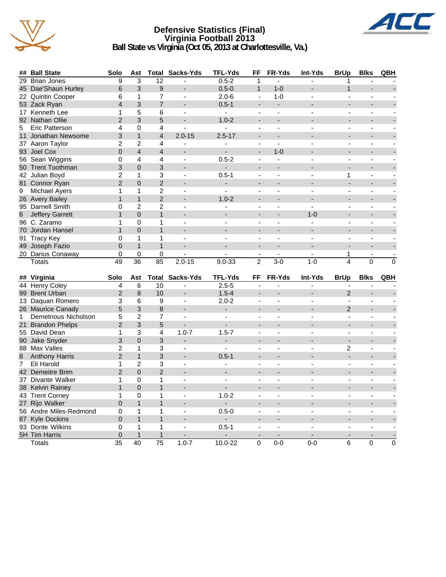

## **Defensive Statistics (Final) Virginia Football 2013 Ball State vs Virginia (Oct 05, 2013 at Charlottesville, Va.)**



| ##             | <b>Ball State</b>                        | Solo                 | Ast                          | Total                    | Sacks-Yds                | TFL-Yds                  | FF                       | FR-Yds                   | Int-Yds                  | <b>BrUp</b>              | <b>Blks</b>              | QBH            |
|----------------|------------------------------------------|----------------------|------------------------------|--------------------------|--------------------------|--------------------------|--------------------------|--------------------------|--------------------------|--------------------------|--------------------------|----------------|
| 29             | <b>Brian Jones</b>                       | 9                    | 3                            | 12                       | $\overline{a}$           | $0.5 - 2$                | 1                        | L.                       | $\sim$                   | 1                        |                          |                |
|                | 45 Dae'Shaun Hurley                      | 6                    | 3                            | 9                        |                          | $0.5 - 0$                | $\mathbf{1}$             | $1 - 0$                  |                          | $\mathbf{1}$             |                          |                |
|                | 22 Quintin Cooper                        | 6                    | $\mathbf{1}$                 | $\overline{7}$           | $\overline{a}$           | $2.0 - 6$                | ÷,                       | $1 - 0$                  |                          |                          |                          |                |
|                | 53 Zack Ryan                             | $\overline{4}$       | 3                            | $\overline{7}$           | $\overline{\phantom{a}}$ | $0.5 - 1$                | ÷                        | $\overline{a}$           |                          |                          |                          |                |
|                | 17 Kenneth Lee                           | 1                    | 5                            | 6                        | $\blacksquare$           | $\mathbf{r}$             | $\overline{a}$           | $\blacksquare$           |                          | $\blacksquare$           | $\overline{a}$           |                |
|                | 92 Nathan Ollie                          | $\overline{2}$       | 3                            | 5                        |                          | $1.0 - 2$                | $\blacksquare$           |                          |                          | ÷,                       | ÷,                       |                |
| 5              | <b>Eric Patterson</b>                    | 4                    | $\mathbf{0}$                 | 4                        | $\blacksquare$           | $\blacksquare$           | $\blacksquare$           | $\blacksquare$           |                          | $\blacksquare$           | $\blacksquare$           |                |
| 11             | Jonathan Newsome                         | 3                    | $\mathbf{1}$                 | $\overline{4}$           | $2.0 - 15$               | $2.5 - 17$               |                          |                          |                          |                          |                          |                |
|                | 37 Aaron Taylor                          | $\overline{c}$       | $\overline{2}$               | 4                        | ä,                       | ÷,                       | $\blacksquare$           | ä,                       | $\overline{a}$           | $\overline{a}$           | $\overline{a}$           |                |
|                | 93 Joel Cox                              | $\Omega$             | $\overline{4}$               | $\overline{\mathcal{L}}$ |                          |                          | L.                       | $1 - 0$                  |                          |                          |                          |                |
|                | 56 Sean Wiggins                          | 0                    | 4                            | 4                        | $\blacksquare$           | $0.5 - 2$                | $\blacksquare$           | ä,                       | $\overline{a}$           | $\overline{a}$           | $\overline{a}$           |                |
|                | 50 Trent Toothman                        | 3                    | $\mathbf 0$                  | 3                        |                          | $\overline{a}$           |                          |                          |                          |                          |                          |                |
|                | 42 Julian Boyd                           | $\overline{2}$       | 1                            | 3                        | $\mathbf{r}$             | $0.5 - 1$                |                          |                          |                          | 1                        |                          |                |
|                | 81 Connor Ryan                           | $\overline{2}$       | $\overline{0}$               | $\overline{2}$           | ۳                        | ÷.                       | ٠                        |                          |                          | ÷.                       |                          |                |
| 9              | <b>Michael Ayers</b>                     | $\mathbf{1}$         | $\mathbf{1}$                 | $\overline{2}$           | $\blacksquare$           |                          |                          |                          |                          |                          |                          |                |
|                | 26 Avery Bailey                          | 1                    | $\mathbf{1}$                 | $\overline{2}$           |                          | $1.0 - 2$                |                          |                          |                          |                          |                          |                |
|                | 95 Darnell Smith                         | 0                    | $\overline{c}$               | $\overline{c}$           | $\blacksquare$           | $\overline{\phantom{a}}$ | ÷,                       | $\blacksquare$           | $\blacksquare$           | $\overline{\phantom{a}}$ | $\blacksquare$           |                |
|                |                                          | $\overline{1}$       | $\Omega$                     | $\mathbf{1}$             |                          |                          |                          |                          | $1 - 0$                  |                          |                          |                |
| 6              | <b>Jeffery Garrett</b>                   |                      |                              |                          |                          |                          |                          | $\overline{a}$           | $\sim$                   |                          |                          |                |
|                | 96 C. Zaramo                             | 1                    | $\mathbf{0}$                 | 1                        | $\overline{a}$           |                          | $\overline{a}$           |                          |                          | $\overline{a}$           | $\overline{a}$           |                |
|                | 70 Jordan Hansel                         | $\mathbf{1}$         | $\Omega$                     | $\overline{1}$           |                          |                          |                          |                          |                          |                          |                          |                |
| 91             | <b>Tracy Key</b>                         | 0                    | 1                            | 1                        | $\overline{a}$           |                          | $\overline{a}$           | ä,                       | $\overline{a}$           | $\overline{a}$           | Ĭ.                       |                |
|                | 49 Joseph Fazio                          | $\mathbf 0$          | $\mathbf{1}$                 | $\mathbf{1}$             | $\overline{a}$           |                          | L.                       | $\overline{a}$           |                          | $\overline{a}$           | $\overline{a}$           |                |
|                | 20 Darius Conaway                        | 0                    | $\mathbf 0$                  | 0                        |                          |                          | $\blacksquare$           | ÷,                       |                          | 1                        | ä,                       |                |
|                | <b>Totals</b>                            | 49                   | 36                           | 85                       | $2.0 - 15$               | $9.0 - 33$               | $\overline{2}$           | $3-0$                    | $1 - 0$                  | 4                        | $\overline{0}$           | $\overline{0}$ |
|                |                                          |                      |                              |                          |                          |                          |                          |                          |                          |                          |                          |                |
|                |                                          |                      |                              |                          |                          |                          |                          |                          |                          |                          |                          |                |
|                | ## Virginia                              | Solo                 | Ast                          |                          | <b>Total Sacks-Yds</b>   | <b>TFL-Yds</b>           | FF                       | FR-Yds                   | Int-Yds                  | <b>BrUp</b>              | <b>Blks</b>              | QBH            |
|                | 44 Henry Coley                           | 4                    | 6                            | $\overline{10}$          | ä,                       | $2.5 - 5$                | ä,                       | ÷,                       | $\overline{a}$           | $\blacksquare$           | ٠                        |                |
|                | 99 Brent Urban                           | $\overline{2}$       | 8                            | 10                       |                          | $1.5 - 4$                |                          |                          |                          | $\overline{2}$           |                          |                |
|                | 13 Daquan Romero                         | 3                    | 6                            | 9                        | $\blacksquare$           | $2.0 - 2$                | ä,                       | ÷,                       | $\sim$                   | $\blacksquare$           | $\overline{a}$           |                |
|                | 26 Maurice Canady                        | 5                    | 3                            | 8                        |                          |                          |                          |                          |                          | $\overline{2}$           |                          |                |
| $\mathbf{1}$   | Demetrious Nicholson                     | 5                    | $\overline{2}$               | $\overline{7}$           | ÷,                       |                          |                          |                          |                          | $\blacksquare$           |                          |                |
|                | 21 Brandon Phelps                        | $\overline{2}$       | 3                            | 5                        | L.                       | $\overline{a}$           | ÷                        | ÷.                       |                          | ÷.                       |                          |                |
|                | 55 David Dean                            | $\mathbf{1}$         | 3                            | 4                        | $1.0 - 7$                | $1.5 - 7$                | $\blacksquare$           | ÷,                       | $\overline{a}$           | $\blacksquare$           | $\overline{a}$           |                |
|                | 90 Jake Snyder                           | 3                    | $\overline{0}$               | 3                        | $\blacksquare$           | ÷.                       |                          |                          |                          |                          |                          |                |
|                | 88 Max Valles                            | $\overline{c}$       | $\mathbf{1}$                 | 3                        | $\sim$                   | $\blacksquare$           | $\overline{a}$           | $\overline{\phantom{a}}$ | $\overline{a}$           | 2                        | $\overline{a}$           |                |
| $\bf 8$        | <b>Anthony Harris</b>                    | $\overline{2}$       | $\mathbf{1}$                 | 3                        | $\overline{\phantom{a}}$ | $0.5 - 1$                |                          |                          |                          |                          |                          |                |
| $\overline{7}$ | Eli Harold                               | 1                    | $\overline{c}$               | 3                        | $\overline{\phantom{a}}$ | $\overline{a}$           | $\overline{\phantom{a}}$ | ÷,                       | $\sim$                   | $\blacksquare$           | $\overline{\phantom{a}}$ |                |
|                | 42 Demeitre Brim                         | $\overline{2}$       | $\overline{0}$               | $\overline{2}$           |                          |                          |                          |                          |                          |                          |                          |                |
|                | 37 Divante Walker                        | 1                    | $\mathbf 0$                  | 1                        | $\overline{a}$           |                          | $\overline{a}$           | L.                       |                          | $\overline{a}$           | $\overline{a}$           |                |
|                | 38 Kelvin Rainey                         | $\mathbf{1}$         | $\Omega$                     | $\mathbf{1}$             | $\overline{\phantom{a}}$ | $\overline{\phantom{a}}$ |                          |                          |                          |                          |                          |                |
|                | 43 Trent Corney                          | 1                    | 0                            | 1                        | $\overline{\phantom{a}}$ | $1.0 - 2$                | $\overline{\phantom{a}}$ | ä,                       |                          | $\overline{a}$           | $\overline{a}$           |                |
|                |                                          | $\Omega$             | $\mathbf{1}$                 | $\mathbf{1}$             | $\overline{\phantom{a}}$ | ÷.                       |                          |                          |                          |                          |                          |                |
|                | 27 Rijo Walker<br>56 Andre Miles-Redmond | 0                    | $\mathbf{1}$                 | 1                        | $\overline{\phantom{a}}$ | $0.5 - 0$                | $\blacksquare$           | $\overline{a}$           | $\overline{\phantom{a}}$ | $\overline{a}$           | $\overline{a}$           |                |
|                |                                          |                      |                              |                          |                          |                          |                          |                          |                          |                          |                          |                |
|                | 87 Kyle Dockins                          | 0                    | $\mathbf{1}$<br>$\mathbf{1}$ | $\mathbf{1}$<br>1        | $\blacksquare$           |                          | $\blacksquare$           | $\blacksquare$           | $\overline{a}$           | $\overline{a}$           | $\overline{a}$           |                |
|                | 93 Donte Wilkins                         | 0                    | $\mathbf{1}$                 |                          |                          | $0.5 - 1$                | $\overline{a}$           | $\overline{a}$           |                          | $\overline{a}$           | $\overline{\phantom{a}}$ |                |
|                | 5H Tim Harris<br>Totals                  | 0<br>$\overline{35}$ | 40                           | $\mathbf{1}$<br>75       | $1.0 - 7$                | 10.0-22                  | 0                        | $0 - 0$                  | $0-0$                    | 6                        | 0                        | $\mathsf 0$    |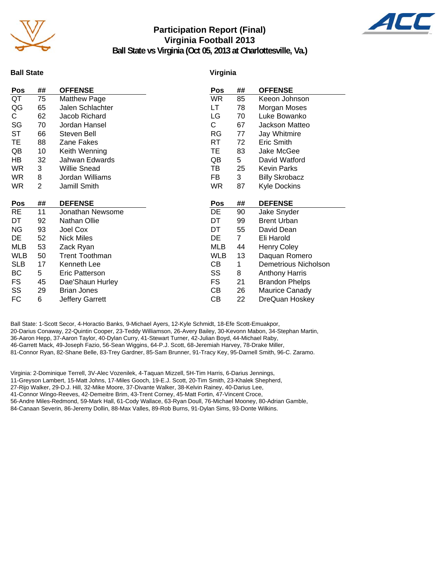

# **Participation Report (Final) Virginia Football 2013**



**Ball State vs Virginia (Oct 05, 2013 at Charlottesville, Va.)**

## **Ball State**

### **Virginia**

| Pos        | ## | <b>OFFENSE</b>        | Pos        | ##             | <b>OFFENSE</b>        |
|------------|----|-----------------------|------------|----------------|-----------------------|
| QT         | 75 | <b>Matthew Page</b>   | <b>WR</b>  | 85             | Keeon Johnson         |
| QG         | 65 | Jalen Schlachter      | LT         | 78             | Morgan Moses          |
| C.         | 62 | Jacob Richard         | LG         | 70             | Luke Bowanko          |
| SG         | 70 | Jordan Hansel         | С          | 67             | Jackson Matteo        |
| <b>ST</b>  | 66 | Steven Bell           | RG         | 77             | Jay Whitmire          |
| TE         | 88 | Zane Fakes            | <b>RT</b>  | 72             | Eric Smith            |
| QB         | 10 | Keith Wenning         | ТE         | 83             | Jake McGee            |
| HВ         | 32 | Jahwan Edwards        | QB         | 5              | David Watford         |
| WR         | 3  | <b>Willie Snead</b>   | ΤВ         | 25             | <b>Kevin Parks</b>    |
| WR.        | 8  | Jordan Williams       | FB         | 3              | <b>Billy Skrobacz</b> |
| WR         | 2  | Jamill Smith          | WR.        | 87             | <b>Kyle Dockins</b>   |
|            |    |                       |            |                |                       |
| Pos        | ## | <b>DEFENSE</b>        | Pos        | ##             | <b>DEFENSE</b>        |
| <b>RE</b>  | 11 | Jonathan Newsome      | DE         | 90             | Jake Snyder           |
| DT         | 92 | Nathan Ollie          | DT         | 99             | <b>Brent Urban</b>    |
| NG         | 93 | Joel Cox              | DT         | 55             | David Dean            |
| DE         | 52 | <b>Nick Miles</b>     | DE         | 7 <sup>1</sup> | Eli Harold            |
| MLB        | 53 | Zack Ryan             | <b>MLB</b> | 44             | <b>Henry Coley</b>    |
| <b>WLB</b> | 50 | <b>Trent Toothman</b> | <b>WLB</b> | 13             | Daquan Romero         |
| <b>SLB</b> | 17 | Kenneth Lee           | CВ         | 1              | Demetrious Nicholson  |
| BC         | 5  | Eric Patterson        | SS         | 8              | <b>Anthony Harris</b> |
| FS         | 45 | Dae'Shaun Hurley      | <b>FS</b>  | 21             | <b>Brandon Phelps</b> |
| SS         | 29 | <b>Brian Jones</b>    | CВ         | 26             | Maurice Canady        |
| FC         | 6  | Jeffery Garrett       | СB         | 22             | DreQuan Hoskey        |

Ball State: 1-Scott Secor, 4-Horactio Banks, 9-Michael Ayers, 12-Kyle Schmidt, 18-Efe Scott-Emuakpor, 20-Darius Conaway, 22-Quintin Cooper, 23-Teddy Williamson, 26-Avery Bailey, 30-Kevonn Mabon, 34-Stephan Martin, 36-Aaron Hepp, 37-Aaron Taylor, 40-Dylan Curry, 41-Stewart Turner, 42-Julian Boyd, 44-Michael Raby, 46-Garrett Mack, 49-Joseph Fazio, 56-Sean Wiggins, 64-P.J. Scott, 68-Jeremiah Harvey, 78-Drake Miller, 81-Connor Ryan, 82-Shane Belle, 83-Trey Gardner, 85-Sam Brunner, 91-Tracy Key, 95-Darnell Smith, 96-C. Zaramo.

Virginia: 2-Dominique Terrell, 3V-Alec Vozenilek, 4-Taquan Mizzell, 5H-Tim Harris, 6-Darius Jennings, 11-Greyson Lambert, 15-Matt Johns, 17-Miles Gooch, 19-E.J. Scott, 20-Tim Smith, 23-Khalek Shepherd,

27-Rijo Walker, 29-D.J. Hill, 32-Mike Moore, 37-Divante Walker, 38-Kelvin Rainey, 40-Darius Lee,

41-Connor Wingo-Reeves, 42-Demeitre Brim, 43-Trent Corney, 45-Matt Fortin, 47-Vincent Croce,

56-Andre Miles-Redmond, 59-Mark Hall, 61-Cody Wallace, 63-Ryan Doull, 76-Michael Mooney, 80-Adrian Gamble, 84-Canaan Severin, 86-Jeremy Dollin, 88-Max Valles, 89-Rob Burns, 91-Dylan Sims, 93-Donte Wilkins.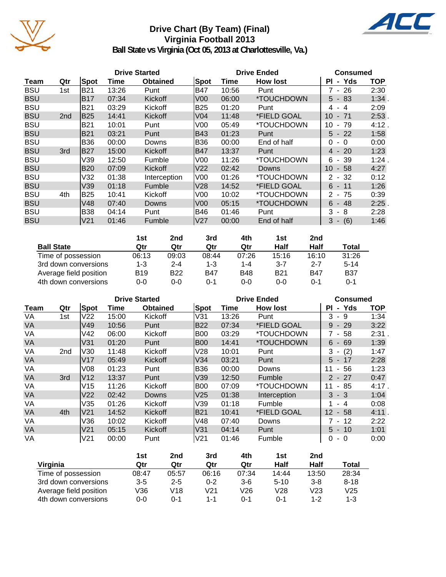

# **Drive Chart (By Team) (Final) Virginia Football 2013**



**Ball State vs Virginia (Oct 05, 2013 at Charlottesville, Va.)**

|            |                 |            |       | <b>Drive Started</b> |                 | <b>Drive Ended</b> | <b>Consumed</b>           |                                      |            |
|------------|-----------------|------------|-------|----------------------|-----------------|--------------------|---------------------------|--------------------------------------|------------|
| Team       | Qtr             | Spot       | Time  | <b>Obtained</b>      | Spot            | Time               | <b>How lost</b>           | - Yds<br>ΡI                          | <b>TOP</b> |
| <b>BSU</b> | 1st             | <b>B21</b> | 13:26 | Punt                 | B47             | 10:56              | Punt                      | 7 - 26                               | 2:30       |
| <b>BSU</b> |                 | <b>B17</b> | 07:34 | Kickoff              | V <sub>0</sub>  | 06:00              | *TOUCHDOWN                | $5 - 83$                             | 1:34       |
| <b>BSU</b> |                 | <b>B21</b> | 03:29 | Kickoff              | B25             | 01:20              | Punt                      | $-4$<br>4                            | 2:09       |
| <b>BSU</b> | 2 <sub>nd</sub> | <b>B25</b> | 14:41 | Kickoff              | V04             | 11:48              | <i><b>*FIELD GOAL</b></i> | 10<br>71<br>$\overline{\phantom{a}}$ | 2:53       |
| <b>BSU</b> |                 | <b>B21</b> | 10:01 | Punt                 | V00             | 05:49              | *TOUCHDOWN                | 10<br>79<br>$\blacksquare$           | 4:12.      |
| <b>BSU</b> |                 | <b>B21</b> | 03:21 | Punt                 | <b>B43</b>      | 01:23              | Punt                      | $5 - 22$                             | 1:58       |
| <b>BSU</b> |                 | <b>B36</b> | 00:00 | Downs                | IB36            | 00:00              | End of half               | 0<br>$-0$                            | 0:00       |
| <b>BSU</b> | 3rd             | <b>B27</b> | 15:00 | Kickoff              | IB47            | 13:37              | Punt                      | $4 - 20$                             | 1:23       |
| <b>BSU</b> |                 | V39        | 12:50 | Fumble               | V <sub>00</sub> | 11:26              | *TOUCHDOWN                | $6 - 39$                             | 1:24.      |
| <b>BSU</b> |                 | <b>B20</b> | 07:09 | Kickoff              | V22             | 02:42              | Downs                     | 10<br>$-58$                          | 4:27       |
| <b>BSU</b> |                 | V32        | 01:38 | Interception         | V <sub>00</sub> | 01:26              | <i><b>*TOUCHDOWN</b></i>  | $2 - 32$                             | 0:12       |
| <b>BSU</b> |                 | V39        | 01:18 | Fumble               | lV28            | 14:52              | *FIELD GOAL               | $6 - 11$                             | 1:26       |
| <b>BSU</b> | 4th             | <b>B25</b> | 10:41 | Kickoff              | V00             | 10:02              | *TOUCHDOWN                | $2 - 75$                             | 0:39       |
| <b>BSU</b> |                 | V48        | 07:40 | <b>Downs</b>         | V <sub>00</sub> | 05:15              | *TOUCHDOWN                | $6 - 48$                             | 2:25       |
| <b>BSU</b> |                 | <b>B38</b> | 04:14 | Punt                 | B46             | 01:46              | Punt                      | 3<br>- 8                             | 2:28       |
| <b>BSU</b> |                 | V21        | 01:46 | Fumble               | lV27            | 00:00              | End of half               | $3 - (6)$                            | 1:46       |

|                        | 1st        | 2nd     | 3rd        | 4th        | 1st        | 2nd        |            |
|------------------------|------------|---------|------------|------------|------------|------------|------------|
| <b>Ball State</b>      | Qtr        | Qtr     | Qtr        | Qtr        | Half       | Half       | Total      |
| Time of possession     | 06:13      | 09:03   | 08:44      | 07:26      | 15:16      | 16:10      | 31:26      |
| 3rd down conversions   | $1 - 3$    | $2 - 4$ | 1-3        | $1 - 4$    | $3 - 7$    | $2 - 7$    | $5 - 14$   |
| Average field position | <b>B19</b> | B22     | <b>B47</b> | <b>B48</b> | <b>B21</b> | <b>B47</b> | <b>B37</b> |
| 4th down conversions   | 0-0        | 0-0     | 0-1        | 0-0        | $0 - 0$    | 0-1        | 0-1        |

|           |     |                 |       | <b>Drive Started</b> |                 | <b>Drive Ended</b> | <b>Consumed</b> |                                      |            |
|-----------|-----|-----------------|-------|----------------------|-----------------|--------------------|-----------------|--------------------------------------|------------|
| Team      | Qtr | Spot            | Time  | <b>Obtained</b>      | Spot            | Time               | <b>How lost</b> | - Yds<br><b>PI</b>                   | <b>TOP</b> |
| VA        | 1st | V <sub>22</sub> | 15:00 | Kickoff              | V31             | 13:26              | Punt            | 3<br>9<br>$\sim$                     | 1:34       |
| <b>VA</b> |     | V49             | 10:56 | Punt                 | <b>B22</b>      | 07:34              | *FIELD GOAL     | $-29$<br>9                           | 3:22       |
| VA        |     | V42             | 06:00 | Kickoff              | <b>B00</b>      | 03:29              | *TOUCHDOWN      | 7 - 58                               | 2:31.      |
| <b>VA</b> |     | V31             | 01:20 | Punt                 | B00             | 14:41              | *TOUCHDOWN      | $6 - 69$                             | 1:39       |
| VA        | 2nd | V30             | 11:48 | Kickoff              | V28             | 10:01              | Punt            | (2)<br>3<br>$\overline{\phantom{a}}$ | 1:47       |
| <b>VA</b> |     | V17             | 05:49 | <b>Kickoff</b>       | V34             | 03:21              | Punt            | $5 - 17$                             | 2:28       |
| VA        |     | V08             | 01:23 | Punt                 | B36             | 00:00              | Downs           | 56<br>11<br>$\sim$                   | 1:23       |
| <b>VA</b> | 3rd | V <sub>12</sub> | 13:37 | Punt                 | V39             | 12:50              | Fumble          | $2 - 27$                             | 0:47       |
| VA        |     | V15             | 11:26 | Kickoff              | <b>B00</b>      | 07:09              | *TOUCHDOWN      | - 85<br>11                           | 4:17.      |
| <b>VA</b> |     | V <sub>22</sub> | 02:42 | Downs                | V <sub>25</sub> | 01:38              | Interception    | $3 - 3$                              | 1:04       |
| VA        |     | V35             | 01:26 | Kickoff              | V39             | 01:18              | Fumble          | $-4$                                 | 0:08       |
| <b>VA</b> | 4th | V <sub>21</sub> | 14:52 | <b>Kickoff</b>       | <b>B21</b>      | 10:41              | *FIELD GOAL     | $12 \,$<br>- 58                      | $4:11$ .   |
| VA        |     | V36             | 10:02 | Kickoff              | V48             | 07:40              | Downs           | 7 - 12                               | 2:22       |
| <b>VA</b> |     | V <sub>21</sub> | 05:15 | Kickoff              | V31             | 04:14              | Punt            | $5 - 10$                             | 1:01       |
| VA        |     | V <sub>21</sub> | 00:00 | Punt                 | V <sub>21</sub> | 01:46              | Fumble          | 0<br>$-0$                            | 0:00       |

|                        | 1st     | 2nd     | 3rd     | 4th   | 1st      | 2 <sub>nd</sub> |                 |
|------------------------|---------|---------|---------|-------|----------|-----------------|-----------------|
| Virginia               | Qtr     | Qtr     | Qtr     | Qtr   | Half     | Half            | Total           |
| Time of possession     | 08:47   | 05:57   | 06:16   | 07:34 | 14:44    | 13:50           | 28:34           |
| 3rd down conversions   | $3 - 5$ | $2 - 5$ | 0-2     | $3-6$ | $5 - 10$ | $3 - 8$         | $8 - 18$        |
| Average field position | V36     | V18     | V21     | V26   | V28      | V23             | V <sub>25</sub> |
| 4th down conversions   | $0 - 0$ | ი-1     | $1 - 1$ | በ-1   | $0 - 1$  | 1-2             | $1 - 3$         |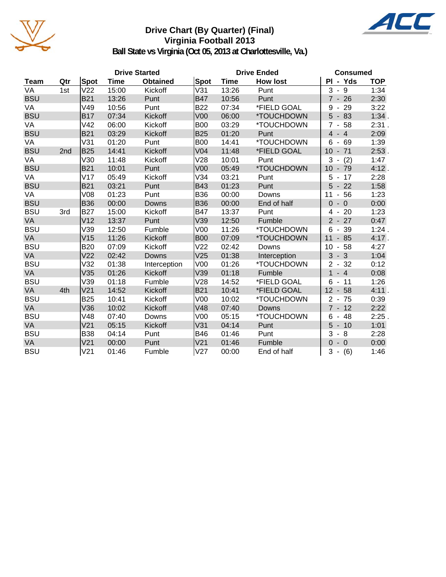

# **Drive Chart (By Quarter) (Final) Virginia Football 2013**



**Ball State vs Virginia (Oct 05, 2013 at Charlottesville, Va.)**

|            |     |                 |             | <b>Drive Started</b> |                 | <b>Drive Ended</b> | <b>Consumed</b> |                                      |            |
|------------|-----|-----------------|-------------|----------------------|-----------------|--------------------|-----------------|--------------------------------------|------------|
| Team       | Qtr | <b>Spot</b>     | <b>Time</b> | <b>Obtained</b>      | <b>Spot</b>     | <b>Time</b>        | <b>How lost</b> | PI - Yds                             | <b>TOP</b> |
| VA         | 1st | V <sub>22</sub> | 15:00       | Kickoff              | V31             | 13:26              | Punt            | $3 - 9$                              | 1:34       |
| <b>BSU</b> |     | <b>B21</b>      | 13:26       | Punt                 | <b>B47</b>      | 10:56              | Punt            | $7 - 26$                             | 2:30       |
| VA         |     | V49             | 10:56       | Punt                 | <b>B22</b>      | 07:34              | *FIELD GOAL     | $-29$<br>9                           | 3:22       |
| <b>BSU</b> |     | <b>B17</b>      | 07:34       | Kickoff              | V <sub>00</sub> | 06:00              | *TOUCHDOWN      | 5<br>$-83$                           | 1:34.      |
| VA         |     | V42             | 06:00       | Kickoff              | <b>B00</b>      | 03:29              | *TOUCHDOWN      | $\overline{7}$<br>$-58$              | 2:31.      |
| <b>BSU</b> |     | <b>B21</b>      | 03:29       | Kickoff              | <b>B25</b>      | 01:20              | Punt            | $-4$<br>$\overline{4}$               | 2:09       |
| VA         |     | V31             | 01:20       | Punt                 | <b>B00</b>      | 14:41              | *TOUCHDOWN      | 69<br>6<br>$\blacksquare$            | 1:39       |
| <b>BSU</b> | 2nd | <b>B25</b>      | 14:41       | Kickoff              | V <sub>04</sub> | 11:48              | *FIELD GOAL     | 10<br>71<br>$\overline{\phantom{a}}$ | $2:53$ .   |
| VA         |     | V30             | 11:48       | Kickoff              | V28             | 10:01              | Punt            | 3<br>(2)                             | 1:47       |
| <b>BSU</b> |     | <b>B21</b>      | 10:01       | Punt                 | <b>V00</b>      | 05:49              | *TOUCHDOWN      | 10 <sup>°</sup><br>$-79$             | 4:12.      |
| VA         |     | V17             | 05:49       | Kickoff              | V34             | 03:21              | Punt            | 5<br>17<br>$\overline{\phantom{a}}$  | 2:28       |
| <b>BSU</b> |     | <b>B21</b>      | 03:21       | Punt                 | <b>B43</b>      | 01:23              | Punt            | 5<br>$-22$                           | 1:58       |
| VA         |     | <b>V08</b>      | 01:23       | Punt                 | <b>B36</b>      | 00:00              | Downs           | 56<br>11<br>$\blacksquare$           | 1:23       |
| <b>BSU</b> |     | <b>B36</b>      | 00:00       | Downs                | <b>B36</b>      | 00:00              | End of half     | $-0$<br>$\overline{0}$               | 0:00       |
| <b>BSU</b> | 3rd | <b>B27</b>      | 15:00       | Kickoff              | <b>B47</b>      | 13:37              | Punt            | 20<br>4                              | 1:23       |
| VA         |     | V <sub>12</sub> | 13:37       | Punt                 | V39             | 12:50              | Fumble          | $2 - 27$                             | 0:47       |
| <b>BSU</b> |     | V39             | 12:50       | Fumble               | V <sub>00</sub> | 11:26              | *TOUCHDOWN      | 39<br>6<br>$\blacksquare$            | 1:24.      |
| <b>VA</b>  |     | V15             | 11:26       | Kickoff              | <b>B00</b>      | 07:09              | *TOUCHDOWN      | 11<br>$-85$                          | 4:17.      |
| <b>BSU</b> |     | <b>B20</b>      | 07:09       | Kickoff              | V <sub>22</sub> | 02:42              | Downs           | 10<br>58<br>$\overline{\phantom{a}}$ | 4:27       |
| <b>VA</b>  |     | V <sub>22</sub> | 02:42       | Downs                | V25             | 01:38              | Interception    | $-3$<br>3                            | 1:04       |
| <b>BSU</b> |     | V32             | 01:38       | Interception         | V <sub>00</sub> | 01:26              | *TOUCHDOWN      | $\overline{2}$<br>$-32$              | 0:12       |
| VA         |     | V35             | 01:26       | <b>Kickoff</b>       | V39             | 01:18              | Fumble          | $\mathbf{1}$<br>$-4$                 | 0:08       |
| <b>BSU</b> |     | V39             | 01:18       | Fumble               | V28             | 14:52              | *FIELD GOAL     | 11<br>6                              | 1:26       |
| VA         | 4th | V <sub>21</sub> | 14:52       | Kickoff              | <b>B21</b>      | 10:41              | *FIELD GOAL     | 12<br>58<br>$\overline{\phantom{a}}$ | 4:11.      |
| <b>BSU</b> |     | <b>B25</b>      | 10:41       | Kickoff              | V <sub>00</sub> | 10:02              | *TOUCHDOWN      | $2 - 75$                             | 0:39       |
| VA         |     | V36             | 10:02       | Kickoff              | V48             | 07:40              | Downs           | $7 - 12$                             | 2:22       |
| <b>BSU</b> |     | V48             | 07:40       | Downs                | V <sub>00</sub> | 05:15              | *TOUCHDOWN      | 48<br>6<br>$\blacksquare$            | 2:25.      |
| VA         |     | V <sub>21</sub> | 05:15       | Kickoff              | V31             | 04:14              | Punt            | 5<br>$-10$                           | 1:01       |
| <b>BSU</b> |     | <b>B38</b>      | 04:14       | Punt                 | <b>B46</b>      | 01:46              | Punt            | 3<br>$-8$                            | 2:28       |
| VA         |     | V <sub>21</sub> | 00:00       | Punt                 | V <sub>21</sub> | 01:46              | Fumble          | $\Omega$<br>$-0$                     | 0:00       |
| <b>BSU</b> |     | V <sub>21</sub> | 01:46       | Fumble               | V27             | 00:00              | End of half     | 3<br>(6)<br>$\blacksquare$           | 1:46       |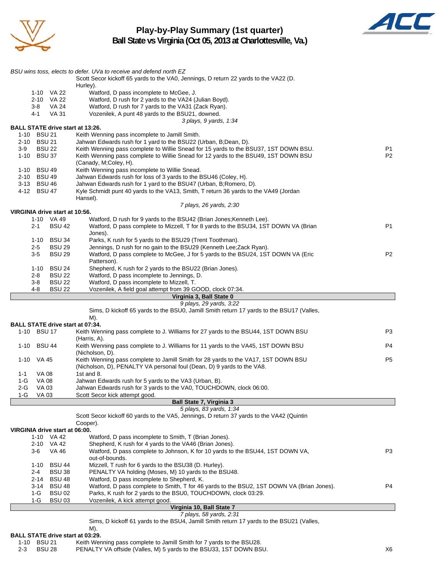

# **Play-by-Play Summary (1st quarter)**



**Ball State vs Virginia (Oct 05, 2013 at Charlottesville, Va.)**

|                                                        | BSU wins toss, elects to defer. UVa to receive and defend north EZ<br>Scott Secor kickoff 65 yards to the VA0, Jennings, D return 22 yards to the VA22 (D.  |                                  |
|--------------------------------------------------------|-------------------------------------------------------------------------------------------------------------------------------------------------------------|----------------------------------|
|                                                        | Hurley).                                                                                                                                                    |                                  |
| 1-10 VA 22                                             | Watford, D pass incomplete to McGee, J.                                                                                                                     |                                  |
| 2-10 VA 22                                             | Watford, D rush for 2 yards to the VA24 (Julian Boyd).                                                                                                      |                                  |
| VA 24<br>3-8<br>VA 31<br>4-1                           | Watford, D rush for 7 yards to the VA31 (Zack Ryan).<br>Vozenilek, A punt 48 yards to the BSU21, downed.                                                    |                                  |
|                                                        | 3 plays, 9 yards, 1:34                                                                                                                                      |                                  |
| <b>BALL STATE drive start at 13:26.</b>                |                                                                                                                                                             |                                  |
| 1-10 BSU 21                                            | Keith Wenning pass incomplete to Jamill Smith.                                                                                                              |                                  |
| 2-10 BSU 21                                            | Jahwan Edwards rush for 1 yard to the BSU22 (Urban, B;Dean, D).                                                                                             |                                  |
| <b>BSU 22</b><br>$3-9$<br>1-10 BSU 37                  | Keith Wenning pass complete to Willie Snead for 15 yards to the BSU37, 1ST DOWN BSU.                                                                        | P <sub>1</sub><br>P <sub>2</sub> |
|                                                        | Keith Wenning pass complete to Willie Snead for 12 yards to the BSU49, 1ST DOWN BSU<br>(Canady, M;Coley, H).                                                |                                  |
| 1-10 BSU 49                                            | Keith Wenning pass incomplete to Willie Snead.                                                                                                              |                                  |
| 2-10 BSU 49                                            | Jahwan Edwards rush for loss of 3 yards to the BSU46 (Coley, H).                                                                                            |                                  |
| 3-13 BSU 46                                            | Jahwan Edwards rush for 1 yard to the BSU47 (Urban, B;Romero, D).                                                                                           |                                  |
| 4-12 BSU 47                                            | Kyle Schmidt punt 40 yards to the VA13, Smith, T return 36 yards to the VA49 (Jordan                                                                        |                                  |
|                                                        | Hansel).<br>7 plays, 26 yards, 2:30                                                                                                                         |                                  |
| VIRGINIA drive start at 10:56.                         |                                                                                                                                                             |                                  |
| 1-10 VA 49                                             | Watford, D rush for 9 yards to the BSU42 (Brian Jones; Kenneth Lee).                                                                                        |                                  |
| <b>BSU 42</b><br>$2 - 1$                               | Watford, D pass complete to Mizzell, T for 8 yards to the BSU34, 1ST DOWN VA (Brian                                                                         | P <sub>1</sub>                   |
|                                                        | Jones).                                                                                                                                                     |                                  |
| 1-10 BSU 34<br><b>BSU 29</b><br>$2 - 5$                | Parks, K rush for 5 yards to the BSU29 (Trent Toothman).<br>Jennings, D rush for no gain to the BSU29 (Kenneth Lee; Zack Ryan).                             |                                  |
| $3-5$<br><b>BSU 29</b>                                 | Watford, D pass complete to McGee, J for 5 yards to the BSU24, 1ST DOWN VA (Eric                                                                            | P <sub>2</sub>                   |
|                                                        | Patterson).                                                                                                                                                 |                                  |
| <b>BSU 24</b><br>$1 - 10$                              | Shepherd, K rush for 2 yards to the BSU22 (Brian Jones).                                                                                                    |                                  |
| <b>BSU 22</b><br>2-8                                   | Watford, D pass incomplete to Jennings, D.                                                                                                                  |                                  |
| $3-8$<br><b>BSU 22</b><br><b>BSU 22</b><br>4-8         | Watford, D pass incomplete to Mizzell, T.<br>Vozenilek, A field goal attempt from 39 GOOD, clock 07:34.                                                     |                                  |
|                                                        | Virginia 3, Ball State 0                                                                                                                                    |                                  |
|                                                        |                                                                                                                                                             |                                  |
|                                                        | 9 plays, 29 yards, 3:22                                                                                                                                     |                                  |
|                                                        | Sims, D kickoff 65 yards to the BSU0, Jamill Smith return 17 yards to the BSU17 (Valles,                                                                    |                                  |
|                                                        | M).                                                                                                                                                         |                                  |
| <b>BALL STATE drive start at 07:34.</b><br>1-10 BSU 17 |                                                                                                                                                             | P <sub>3</sub>                   |
|                                                        | Keith Wenning pass complete to J. Williams for 27 yards to the BSU44, 1ST DOWN BSU<br>(Harris, A).                                                          |                                  |
| <b>BSU 44</b><br>1-10                                  | Keith Wenning pass complete to J. Williams for 11 yards to the VA45, 1ST DOWN BSU                                                                           | P4                               |
|                                                        | (Nicholson, D).                                                                                                                                             |                                  |
| 1-10 VA 45                                             | Keith Wenning pass complete to Jamill Smith for 28 yards to the VA17, 1ST DOWN BSU                                                                          | P <sub>5</sub>                   |
| <b>VA 08</b><br>$1 - 1$                                | (Nicholson, D), PENALTY VA personal foul (Dean, D) 9 yards to the VA8.<br>1st and 8.                                                                        |                                  |
| VA 08<br>1-G                                           | Jahwan Edwards rush for 5 yards to the VA3 (Urban, B).                                                                                                      |                                  |
| 2-G<br>VA 03                                           | Jahwan Edwards rush for 3 yards to the VA0, TOUCHDOWN, clock 06:00.                                                                                         |                                  |
| $1-G$<br>VA 03                                         | Scott Secor kick attempt good.                                                                                                                              |                                  |
|                                                        | <b>Ball State 7, Virginia 3</b>                                                                                                                             |                                  |
|                                                        | 5 plays, 83 yards, 1:34<br>Scott Secor kickoff 60 yards to the VA5, Jennings, D return 37 yards to the VA42 (Quintin                                        |                                  |
|                                                        | Cooper).                                                                                                                                                    |                                  |
| VIRGINIA drive start at 06:00.                         |                                                                                                                                                             |                                  |
| 1-10 VA 42                                             | Watford, D pass incomplete to Smith, T (Brian Jones).                                                                                                       |                                  |
| VA 42<br>2-10<br>3-6                                   | Shepherd, K rush for 4 yards to the VA46 (Brian Jones).                                                                                                     | P3                               |
| <b>VA 46</b>                                           | Watford, D pass complete to Johnson, K for 10 yards to the BSU44, 1ST DOWN VA,<br>out-of-bounds.                                                            |                                  |
| <b>BSU 44</b><br>$1 - 10$                              | Mizzell, T rush for 6 yards to the BSU38 (D. Hurley).                                                                                                       |                                  |
| <b>BSU 38</b><br>2-4                                   | PENALTY VA holding (Moses, M) 10 yards to the BSU48.                                                                                                        |                                  |
| $2 - 14$<br><b>BSU 48</b>                              | Watford, D pass incomplete to Shepherd, K.                                                                                                                  |                                  |
| <b>BSU 48</b><br>3-14<br><b>BSU02</b><br>1-G           | Watford, D pass complete to Smith, T for 46 yards to the BSU2, 1ST DOWN VA (Brian Jones).<br>Parks, K rush for 2 yards to the BSU0, TOUCHDOWN, clock 03:29. | P4                               |
| <b>BSU 03</b><br>1-G                                   | Vozenilek, A kick attempt good.                                                                                                                             |                                  |
|                                                        | Virginia 10, Ball State 7                                                                                                                                   |                                  |
|                                                        | 7 plays, 58 yards, 2:31<br>Sims, D kickoff 61 yards to the BSU4, Jamill Smith return 17 yards to the BSU21 (Valles,                                         |                                  |

### **BALL STATE drive start at 03:29.**

| 1-10 BSU 21 | Keith Wenning pass complete to Jamill Smith for 7 yards to the BSU28. |  |
|-------------|-----------------------------------------------------------------------|--|
|             |                                                                       |  |

2-3 BSU 28 PENALTY VA offside (Valles, M) 5 yards to the BSU33, 1ST DOWN BSU. X6 X6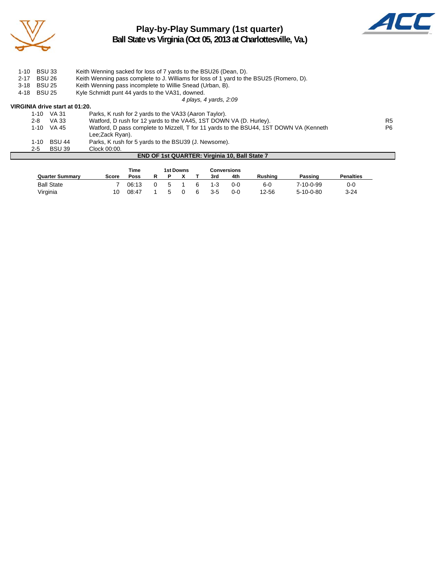

# **Play-by-Play Summary (1st quarter) Ball State vs Virginia (Oct 05, 2013 at Charlottesville, Va.)**



| $1 - 10$ | <b>BSU 33</b>                                                    |                                | Keith Wenning sacked for loss of 7 yards to the BSU26 (Dean, D).                        |                |  |  |  |
|----------|------------------------------------------------------------------|--------------------------------|-----------------------------------------------------------------------------------------|----------------|--|--|--|
| $2 - 17$ | <b>BSU 26</b>                                                    |                                | Keith Wenning pass complete to J. Williams for loss of 1 yard to the BSU25 (Romero, D). |                |  |  |  |
| $3 - 18$ | <b>BSU 25</b>                                                    |                                | Keith Wenning pass incomplete to Willie Snead (Urban, B).                               |                |  |  |  |
| 4-18     | Kyle Schmidt punt 44 yards to the VA31, downed.<br><b>BSU 25</b> |                                |                                                                                         |                |  |  |  |
|          |                                                                  |                                | 4 plays, 4 yards, 2:09                                                                  |                |  |  |  |
|          |                                                                  | VIRGINIA drive start at 01:20. |                                                                                         |                |  |  |  |
|          |                                                                  | 1-10 VA 31                     | Parks, K rush for 2 yards to the VA33 (Aaron Taylor).                                   |                |  |  |  |
|          | $2 - 8$                                                          | VA 33                          | Watford, D rush for 12 yards to the VA45, 1ST DOWN VA (D. Hurley).                      | R5             |  |  |  |
|          |                                                                  | $1-10$ VA 45                   | Watford, D pass complete to Mizzell, T for 11 yards to the BSU44, 1ST DOWN VA (Kenneth  | P <sub>6</sub> |  |  |  |
|          |                                                                  |                                | Lee:Zack Ryan).                                                                         |                |  |  |  |
|          | 1-10                                                             | <b>BSU 44</b>                  | Parks, K rush for 5 yards to the BSU39 (J. Newsome).                                    |                |  |  |  |
|          | $2 - 5$                                                          | <b>BSU 39</b>                  | Clock 00:00.                                                                            |                |  |  |  |
|          |                                                                  |                                | <b>END OF 1st QUARTER: Virginia 10, Ball State 7</b>                                    |                |  |  |  |

|                        |       | Time  |   |   | 1st Downs |         | Conversions |         |                   |                  |
|------------------------|-------|-------|---|---|-----------|---------|-------------|---------|-------------------|------------------|
| <b>Quarter Summary</b> | Score | Poss  | R |   |           | 3rd     | 4th         | Rushina | Passing           | <b>Penalties</b> |
| <b>Ball State</b>      |       | 06:13 |   | 5 |           | 1-3     | $0 - 0$     | 6-0     | 7-10-0-99         | 0-0              |
| Virginia               | 10    | 08:47 |   |   |           | $3 - 5$ | 0-0         | 12-56   | $5 - 10 - 0 - 80$ | $3 - 24$         |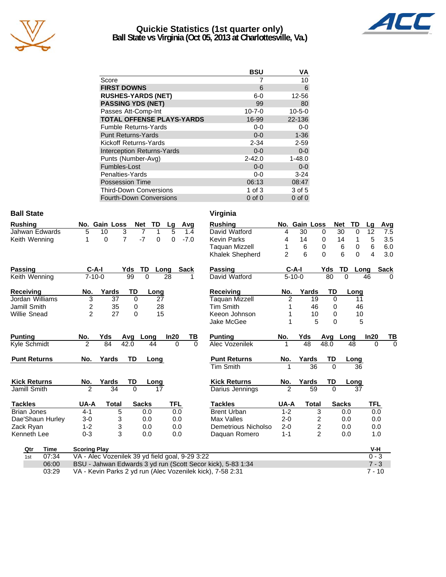

# **Quickie Statistics (1st quarter only) Ball State vs Virginia (Oct 05, 2013 at Charlottesville, Va.)**



|                                   | <b>BSU</b>   | VA           |
|-----------------------------------|--------------|--------------|
| Score                             |              | 10           |
| <b>FIRST DOWNS</b>                | 6            | 6            |
| <b>RUSHES-YARDS (NET)</b>         | $6-0$        | 12-56        |
| <b>PASSING YDS (NET)</b>          | 99           | 80           |
| Passes Att-Comp-Int               | $10 - 7 - 0$ | $10 - 5 - 0$ |
| <b>TOTAL OFFENSE PLAYS-YARDS</b>  | 16-99        | 22-136       |
| <b>Fumble Returns-Yards</b>       | $0 - 0$      | $0-0$        |
| <b>Punt Returns-Yards</b>         | $0 - 0$      | $1 - 36$     |
| Kickoff Returns-Yards             | $2 - 34$     | $2 - 59$     |
| <b>Interception Returns-Yards</b> | $0 - 0$      | $0 - 0$      |
| Punts (Number-Avg)                | $2 - 42.0$   | $1 - 48.0$   |
| Fumbles-Lost                      | $0 - 0$      | $0-0$        |
| Penalties-Yards                   | $0-0$        | $3 - 24$     |
| <b>Possession Time</b>            | 06:13        | 08:47        |
| <b>Third-Down Conversions</b>     | 1 of $3$     | 3 of 5       |
| <b>Fourth-Down Conversions</b>    | $0$ of $0$   | $0$ of $0$   |

# **Ball State** Virginia

| Rushing        |          | No. Gain Loss Net TD Lg Avg |               |  |  |
|----------------|----------|-----------------------------|---------------|--|--|
| Jahwan Edwards | 5 10     |                             | 3 7 1 5 1.4   |  |  |
| Keith Wenning  | $\Omega$ |                             | 7 -7 0 0 -7.0 |  |  |

| <b>Passing</b>      | $C-A-I$        |       | Yds         | TD           | Long | <b>Sack</b>   | Passing             | $C-A-I$      |              | Yds            | TD<br>Lo     |
|---------------------|----------------|-------|-------------|--------------|------|---------------|---------------------|--------------|--------------|----------------|--------------|
| Keith Wenning       | $7 - 10 - 0$   |       | 99          | $\Omega$     | 28   |               | David Watford       | $5 - 10 - 0$ |              | 80             | $\Omega$     |
| <b>Receiving</b>    | No.            | Yards | TD          |              | Long |               | Receiving           | No.          | Yards        | TD             | Lonc         |
| Jordan Williams     | 3              | 37    | $\Omega$    |              | 27   |               | Taguan Mizzell      | 2            | 19           | 0              | 11           |
| Jamill Smith        | 2              | 35    | 0           |              | 28   |               | Tim Smith           |              | 46           | 0              | 46           |
| <b>Willie Snead</b> | $\overline{2}$ | 27    | $\Omega$    |              | 15   |               | Keeon Johnson       |              | 10           | 0              | 10           |
|                     |                |       |             |              |      |               | Jake McGee          |              | 5            | 0              | ξ            |
| <b>Punting</b>      | No.            | Yds   | Avg         | Long         | In20 | TВ            | <b>Punting</b>      | No.          | Yds          | Avg            | Long         |
| Kyle Schmidt        | $\overline{2}$ | 84    | 42.0        | 44           |      | 0<br>$\Omega$ | Alec Vozenilek      |              | 48           | 48.0           | 48           |
| <b>Punt Returns</b> | No.            | Yards | TD          |              | Long |               | <b>Punt Returns</b> | No.          | Yards        | TD             | Long         |
|                     |                |       |             |              |      |               | <b>Tim Smith</b>    |              | 36           | $\Omega$       | 36           |
| <b>Kick Returns</b> | No.            | Yards | TD          |              | Long |               | <b>Kick Returns</b> | No.          | Yards        | TD             | Long         |
| Jamill Smith        | 2              | 34    | $\mathbf 0$ |              | 17   |               | Darius Jennings     | 2            | 59           | $\Omega$       | 37           |
| <b>Tackles</b>      | UA-A           | Total |             | <b>Sacks</b> |      | TFL           | <b>Tackles</b>      | UA-A         | <b>Total</b> |                | <b>Sacks</b> |
| <b>Brian Jones</b>  | $4 - 1$        |       | 5           | 0.0          |      | 0.0           | <b>Brent Urban</b>  | $1 - 2$      |              | 3              | 0.0          |
| Dae'Shaun Hurley    | 3-0            |       | 3           | 0.0          |      | 0.0           | Max Valles          | 2-0          |              | 2              | 0.0          |
| Zack Ryan           | $1 - 2$        |       | 3           | 0.0          |      | 0.0           | Demetrious Nicholso | $2 - 0$      |              | 2              | 0.0          |
| Kenneth Lee         | $0 - 3$        |       | 3           | 0.0          |      | 0.0           | Daguan Romero       | $1 - 1$      |              | $\overline{c}$ | 0.0          |

|    | Virginia              |                |               |                                            |          |              |           |            |             |          |
|----|-----------------------|----------------|---------------|--------------------------------------------|----------|--------------|-----------|------------|-------------|----------|
|    | <b>Rushing</b>        |                | No. Gain Loss |                                            |          | <b>Net</b>   | <b>TD</b> | Lg         | Avg         |          |
|    | David Watford         | 4              | 30            |                                            | 0        | 30           | 0         | 12         | 7.5         |          |
|    | <b>Kevin Parks</b>    | 4              | 14            |                                            | 0        | 14           | 1         | 5          | 3.5         |          |
|    | <b>Taquan Mizzell</b> | 1              | 6             |                                            | 0        | 6            | 0         | 6          | 6.0         |          |
|    | Khalek Shepherd       | $\overline{2}$ | 6             |                                            | 0        | 6            | $\Omega$  | 4          | 3.0         |          |
|    | <b>Passing</b>        |                | C-A-I         |                                            | Yds      | TD           | Long      |            | <b>Sack</b> |          |
|    | David Watford         |                | $5 - 10 - 0$  |                                            | 80       | 0            |           | 46         | $\Omega$    |          |
|    | <b>Receiving</b>      | No.            |               | Yards                                      | TD       |              | Long      |            |             |          |
|    | <b>Taquan Mizzell</b> | $\overline{2}$ |               | 19                                         | 0        |              | 11        |            |             |          |
|    | <b>Tim Smith</b>      | 1              |               | 46                                         | 0        |              | 46        |            |             |          |
|    | Keeon Johnson         | 1              |               | 10                                         | 0        |              | 10        |            |             |          |
|    | Jake McGee            | 1              |               | 5                                          | 0        |              | 5         |            |             |          |
|    | <b>Punting</b>        | <u>No.</u>     | Yds           |                                            | Avg      | Long         |           | In20       | ΤВ          |          |
|    | Alec Vozenilek        | 1              | 48            |                                            | 48.0     |              | 48        | 0          |             | $\Omega$ |
|    | <b>Punt Returns</b>   | No.            | Yards         |                                            | TD       |              | Long      |            |             |          |
|    | <b>Tim Smith</b>      | 1              |               | 36                                         | $\Omega$ |              | 36        |            |             |          |
|    | <b>Kick Returns</b>   | No.            | Yards         |                                            | TD       |              | Long      |            |             |          |
|    | Darius Jennings       | $\overline{2}$ |               | 59                                         | 0        |              | 37        |            |             |          |
|    | <b>Tackles</b>        | UA-A           |               | <b>Total</b>                               |          | <b>Sacks</b> |           | <b>TFL</b> |             |          |
|    | <b>Brent Urban</b>    | $1 - 2$        |               | 3                                          |          | 0.0          |           | 0.0        |             |          |
|    | Max Valles            | $2 - 0$        |               |                                            |          | 0.0          |           | 0.0        |             |          |
|    | Demetrious Nicholso   | $2 - 0$        |               | $\begin{array}{c} 2 \\ 2 \\ 2 \end{array}$ |          | 0.0          |           | 0.0        |             |          |
|    | Daquan Romero         | $1 - 1$        |               |                                            |          | 0.0          |           | 1.0        |             |          |
|    |                       |                |               |                                            |          |              |           | V-H        |             |          |
| הר |                       |                |               |                                            |          |              |           | $\sim$     | $\sim$      |          |

| Qtr | Time  | <b>Scoring Play</b>                                         | V-H     |
|-----|-------|-------------------------------------------------------------|---------|
| 1st | 07:34 | VA - Alec Vozenilek 39 yd field goal, 9-29 3:22             | $0 - 3$ |
|     | 06:00 | BSU - Jahwan Edwards 3 yd run (Scott Secor kick), 5-83 1:34 | $7 - 3$ |
|     | 03:29 | VA - Kevin Parks 2 yd run (Alec Vozenilek kick), 7-58 2:31  | 7 - 10  |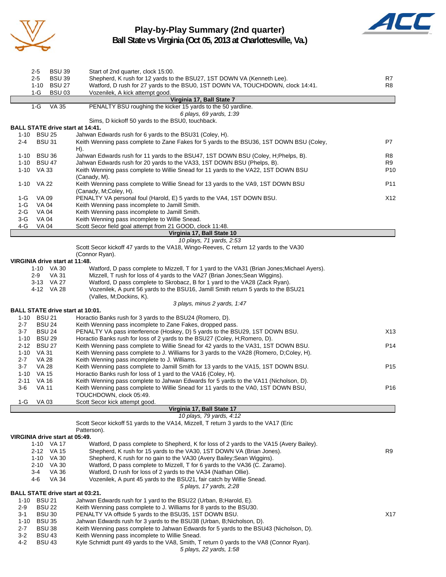

# **Play-by-Play Summary (2nd quarter) Ball State vs Virginia (Oct 05, 2013 at Charlottesville, Va.)**



|              | 2-5            | <b>BSU 39</b>                  | Start of 2nd quarter, clock 15:00.                                                                                                                    |                 |
|--------------|----------------|--------------------------------|-------------------------------------------------------------------------------------------------------------------------------------------------------|-----------------|
|              | 2-5            | <b>BSU 39</b>                  | Shepherd, K rush for 12 yards to the BSU27, 1ST DOWN VA (Kenneth Lee).                                                                                | R7              |
|              | $1-G$          | 1-10 BSU 27<br><b>BSU 03</b>   | Watford, D rush for 27 yards to the BSU0, 1ST DOWN VA, TOUCHDOWN, clock 14:41.<br>Vozenilek, A kick attempt good.                                     | R8              |
|              |                |                                | Virginia 17, Ball State 7                                                                                                                             |                 |
|              | $1-G$          | <b>VA 35</b>                   | PENALTY BSU roughing the kicker 15 yards to the 50 yardline.                                                                                          |                 |
|              |                |                                | 6 plays, 69 yards, 1:39                                                                                                                               |                 |
|              |                |                                | Sims, D kickoff 50 yards to the BSU0, touchback.                                                                                                      |                 |
|              |                |                                | <b>BALL STATE drive start at 14:41.</b>                                                                                                               |                 |
|              | 1-10 BSU 25    |                                | Jahwan Edwards rush for 6 yards to the BSU31 (Coley, H).                                                                                              |                 |
| 2-4          |                | <b>BSU 31</b>                  | Keith Wenning pass complete to Zane Fakes for 5 yards to the BSU36, 1ST DOWN BSU (Coley,                                                              | P7              |
|              |                |                                | H).                                                                                                                                                   |                 |
|              | 1-10 BSU 36    |                                | Jahwan Edwards rush for 11 yards to the BSU47, 1ST DOWN BSU (Coley, H;Phelps, B).                                                                     | R8              |
|              | 1-10 BSU 47    |                                | Jahwan Edwards rush for 20 yards to the VA33, 1ST DOWN BSU (Phelps, B).                                                                               | R9              |
|              | 1-10 VA 33     |                                | Keith Wenning pass complete to Willie Snead for 11 yards to the VA22, 1ST DOWN BSU                                                                    | P <sub>10</sub> |
|              |                |                                | (Canady, M).                                                                                                                                          |                 |
|              | 1-10 VA 22     |                                | Keith Wenning pass complete to Willie Snead for 13 yards to the VA9, 1ST DOWN BSU                                                                     | P <sub>11</sub> |
|              |                |                                | (Canady, M;Coley, H).                                                                                                                                 |                 |
| 1-G<br>1-G   | VA 09<br>VA 04 |                                | PENALTY VA personal foul (Harold, E) 5 yards to the VA4, 1ST DOWN BSU.<br>Keith Wenning pass incomplete to Jamill Smith.                              | X12             |
| 2-G          | VA 04          |                                | Keith Wenning pass incomplete to Jamill Smith.                                                                                                        |                 |
| 3-G          | VA 04          |                                | Keith Wenning pass incomplete to Willie Snead.                                                                                                        |                 |
| 4-G          | <b>VA 04</b>   |                                | Scott Secor field goal attempt from 21 GOOD, clock 11:48.                                                                                             |                 |
|              |                |                                | Virginia 17, Ball State 10                                                                                                                            |                 |
|              |                |                                | 10 plays, 71 yards, 2:53                                                                                                                              |                 |
|              |                |                                | Scott Secor kickoff 47 yards to the VA18, Wingo-Reeves, C return 12 yards to the VA30                                                                 |                 |
|              |                |                                | (Connor Ryan).                                                                                                                                        |                 |
|              |                | VIRGINIA drive start at 11:48. |                                                                                                                                                       |                 |
|              |                | 1-10 VA 30                     | Watford, D pass complete to Mizzell, T for 1 yard to the VA31 (Brian Jones; Michael Ayers).                                                           |                 |
|              | 2-9            | VA 31                          | Mizzell, T rush for loss of 4 yards to the VA27 (Brian Jones; Sean Wiggins).                                                                          |                 |
|              |                | 3-13 VA 27                     | Watford, D pass complete to Skrobacz, B for 1 yard to the VA28 (Zack Ryan).                                                                           |                 |
|              |                | 4-12 VA 28                     | Vozenilek, A punt 56 yards to the BSU16, Jamill Smith return 5 yards to the BSU21                                                                     |                 |
|              |                |                                | (Valles, M;Dockins, K).                                                                                                                               |                 |
|              |                |                                | 3 plays, minus 2 yards, 1:47                                                                                                                          |                 |
|              |                |                                | <b>BALL STATE drive start at 10:01.</b>                                                                                                               |                 |
| $2 - 7$      | 1-10 BSU 21    | <b>BSU 24</b>                  | Horactio Banks rush for 3 yards to the BSU24 (Romero, D).<br>Keith Wenning pass incomplete to Zane Fakes, dropped pass.                               |                 |
| 3-7          |                | <b>BSU 24</b>                  | PENALTY VA pass interference (Hoskey, D) 5 yards to the BSU29, 1ST DOWN BSU.                                                                          | X <sub>13</sub> |
|              | 1-10 BSU 29    |                                | Horactio Banks rush for loss of 2 yards to the BSU27 (Coley, H; Romero, D).                                                                           |                 |
|              | 2-12 BSU 27    |                                | Keith Wenning pass complete to Willie Snead for 42 yards to the VA31, 1ST DOWN BSU.                                                                   | P <sub>14</sub> |
|              | 1-10 VA 31     |                                | Keith Wenning pass complete to J. Williams for 3 yards to the VA28 (Romero, D;Coley, H).                                                              |                 |
| $2 - 7$      | VA 28          |                                | Keith Wenning pass incomplete to J. Williams.                                                                                                         |                 |
| 3-7          | <b>VA 28</b>   |                                | Keith Wenning pass complete to Jamill Smith for 13 yards to the VA15, 1ST DOWN BSU.                                                                   | P <sub>15</sub> |
|              | 1-10 VA 15     |                                | Horactio Banks rush for loss of 1 yard to the VA16 (Coley, H).                                                                                        |                 |
| 2-11         | VA 16          |                                | Keith Wenning pass complete to Jahwan Edwards for 5 yards to the VA11 (Nicholson, D).                                                                 |                 |
| 3-6          | VA 11          |                                | Keith Wenning pass complete to Willie Snead for 11 yards to the VA0, 1ST DOWN BSU,                                                                    | P16             |
|              |                |                                | TOUCHDOWN, clock 05:49.                                                                                                                               |                 |
| 1-G          | VA 03          |                                | Scott Secor kick attempt good.                                                                                                                        |                 |
|              |                |                                | Virginia 17, Ball State 17                                                                                                                            |                 |
|              |                |                                | 10 plays, 79 yards, 4:12                                                                                                                              |                 |
|              |                |                                | Scott Secor kickoff 51 yards to the VA14, Mizzell, T return 3 yards to the VA17 (Eric                                                                 |                 |
|              |                |                                | Patterson).                                                                                                                                           |                 |
|              |                | VIRGINIA drive start at 05:49. |                                                                                                                                                       |                 |
|              |                | 1-10 VA 17                     | Watford, D pass complete to Shepherd, K for loss of 2 yards to the VA15 (Avery Bailey).                                                               |                 |
|              |                | 2-12 VA 15                     | Shepherd, K rush for 15 yards to the VA30, 1ST DOWN VA (Brian Jones).                                                                                 | R9              |
|              |                | 1-10 VA 30<br>2-10 VA 30       | Shepherd, K rush for no gain to the VA30 (Avery Bailey; Sean Wiggins).<br>Watford, D pass complete to Mizzell, T for 6 yards to the VA36 (C. Zaramo). |                 |
|              | 3-4            | VA 36                          | Watford, D rush for loss of 2 yards to the VA34 (Nathan Ollie).                                                                                       |                 |
|              | 4-6            | <b>VA 34</b>                   | Vozenilek, A punt 45 yards to the BSU21, fair catch by Willie Snead.                                                                                  |                 |
|              |                |                                | 5 plays, 17 yards, 2:28                                                                                                                               |                 |
|              |                |                                | <b>BALL STATE drive start at 03:21.</b>                                                                                                               |                 |
|              | 1-10 BSU 21    |                                | Jahwan Edwards rush for 1 yard to the BSU22 (Urban, B; Harold, E).                                                                                    |                 |
| 2-9          |                | <b>BSU 22</b>                  | Keith Wenning pass complete to J. Williams for 8 yards to the BSU30.                                                                                  |                 |
| 3-1          |                | <b>BSU 30</b>                  | PENALTY VA offside 5 yards to the BSU35, 1ST DOWN BSU.                                                                                                | X17             |
|              | 1-10 BSU 35    |                                | Jahwan Edwards rush for 3 yards to the BSU38 (Urban, B; Nicholson, D).                                                                                |                 |
| $2 - 7$      |                | BSU 38                         | Keith Wenning pass complete to Jahwan Edwards for 5 yards to the BSU43 (Nicholson, D).                                                                |                 |
| $3 - 2$      |                | <b>BSU 43</b>                  | Keith Wenning pass incomplete to Willie Snead.                                                                                                        |                 |
| $\Lambda$ -2 |                | <b>RCII</b> 43                 | Kyle Schmidt punt 49 vards to the VAR Smith Traturn 0 vards to the VAR (Connor Pyan)                                                                  |                 |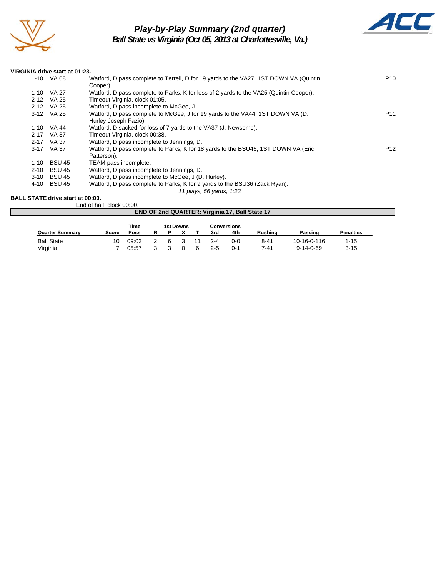

# *Play-by-Play Summary (2nd quarter)*

*Ball State vs Virginia (Oct 05, 2013 at Charlottesville, Va.)*



#### **VIRGINIA drive start at 01:23.**

|          | 9000 - 900 - 910 - 910 - 91 - 92 |                                                                                        |                 |
|----------|----------------------------------|----------------------------------------------------------------------------------------|-----------------|
|          | 1-10 VA 08                       | Watford, D pass complete to Terrell, D for 19 yards to the VA27, 1ST DOWN VA (Quintin  | P <sub>10</sub> |
|          |                                  | Cooper).                                                                               |                 |
|          | 1-10 VA 27                       | Watford, D pass complete to Parks, K for loss of 2 yards to the VA25 (Quintin Cooper). |                 |
|          | 2-12 VA 25                       | Timeout Virginia, clock 01:05.                                                         |                 |
|          | 2-12 VA 25                       | Watford, D pass incomplete to McGee, J.                                                |                 |
|          | 3-12 VA 25                       | Watford, D pass complete to McGee, J for 19 yards to the VA44, 1ST DOWN VA (D.         | P11             |
|          |                                  | Hurley; Joseph Fazio).                                                                 |                 |
|          | 1-10 VA 44                       | Watford, D sacked for loss of 7 yards to the VA37 (J. Newsome).                        |                 |
|          | 2-17 VA 37                       | Timeout Virginia, clock 00:38.                                                         |                 |
| $2 - 17$ | VA 37                            | Watford, D pass incomplete to Jennings, D.                                             |                 |
|          | 3-17 VA 37                       | Watford, D pass complete to Parks, K for 18 yards to the BSU45, 1ST DOWN VA (Eric      | P <sub>12</sub> |
|          |                                  | Patterson).                                                                            |                 |
| 1-10     | <b>BSU 45</b>                    | TEAM pass incomplete.                                                                  |                 |
| $2 - 10$ | <b>BSU 45</b>                    | Watford, D pass incomplete to Jennings, D.                                             |                 |
| 3-10     | <b>BSU 45</b>                    | Watford, D pass incomplete to McGee, J (D. Hurley).                                    |                 |
| 4-10     | <b>BSU 45</b>                    | Watford, D pass complete to Parks, K for 9 yards to the BSU36 (Zack Ryan).             |                 |
|          |                                  | 11 plays, 56 yards, 1:23                                                               |                 |
|          |                                  |                                                                                        |                 |

#### **BALL STATE drive start at 00:00.** End of half, clock 00:00.

|                                                | LIN OF HAIR OLOOK OU.OU. |             |  |   |  |   |         |         |          |                   |                  |  |
|------------------------------------------------|--------------------------|-------------|--|---|--|---|---------|---------|----------|-------------------|------------------|--|
| END OF 2nd QUARTER: Virginia 17, Ball State 17 |                          |             |  |   |  |   |         |         |          |                   |                  |  |
| <b>Time</b><br>1st Downs<br>Conversions        |                          |             |  |   |  |   |         |         |          |                   |                  |  |
| <b>Quarter Summary</b>                         | Score                    | <b>Poss</b> |  |   |  |   | 3rd     | 4th     | Rushina  | Passing           | <b>Penalties</b> |  |
|                                                |                          |             |  |   |  |   |         |         |          |                   |                  |  |
| <b>Ball State</b>                              | 10                       | 09:03       |  | 6 |  |   | $2 - 4$ | $0 - 0$ | $8 - 41$ | 10-16-0-116       | $1 - 15$         |  |
| Virginia                                       |                          | 05:57       |  |   |  | ൳ | 2-5     | 0-1     | 7-41     | $9 - 14 - 0 - 69$ | $3 - 15$         |  |
|                                                |                          |             |  |   |  |   |         |         |          |                   |                  |  |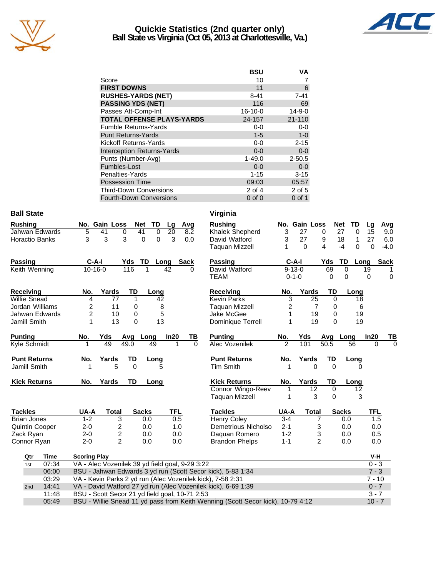

## **Quickie Statistics (2nd quarter only) Ball State vs Virginia (Oct 05, 2013 at Charlottesville, Va.)**



|                                   | <b>BSU</b> | ٧A           |
|-----------------------------------|------------|--------------|
| Score                             | 10         |              |
| <b>FIRST DOWNS</b>                | 11         | 6            |
| <b>RUSHES-YARDS (NET)</b>         | $8 - 41$   | $7 - 41$     |
| <b>PASSING YDS (NET)</b>          | 116        | 69           |
| Passes Att-Comp-Int               | $16-10-0$  | $14 - 9 - 0$ |
| <b>TOTAL OFFENSE PLAYS-YARDS</b>  | 24-157     | 21-110       |
| <b>Fumble Returns-Yards</b>       | $0-0$      | $0-0$        |
| <b>Punt Returns-Yards</b>         | $1 - 5$    | $1-0$        |
| Kickoff Returns-Yards             | $0-0$      | $2 - 15$     |
| <b>Interception Returns-Yards</b> | $0 - 0$    | $0 - 0$      |
| Punts (Number-Avg)                | $1 - 49.0$ | $2 - 50.5$   |
| Fumbles-Lost                      | $0 - 0$    | $0 - 0$      |
| Penalties-Yards                   | $1 - 15$   | $3 - 15$     |
| <b>Possession Time</b>            | 09:03      | 05:57        |
| <b>Third-Down Conversions</b>     | $2$ of 4   | 2 of 5       |
| Fourth-Down Conversions           | $0$ of $0$ | $0$ of 1     |

| <b>Ball State</b>     |                                                 |                                                                                             |                      |                 |          | Virginia                                                      |                |               |                |                  |            |             |
|-----------------------|-------------------------------------------------|---------------------------------------------------------------------------------------------|----------------------|-----------------|----------|---------------------------------------------------------------|----------------|---------------|----------------|------------------|------------|-------------|
| <b>Rushing</b>        | No. Gain Loss                                   |                                                                                             | Net<br>TD            | Lg              | Avg      | <b>Rushing</b>                                                |                | No. Gain Loss |                | <b>Net</b><br>TD | Lg         | Avg         |
| Jahwan Edwards        | 5<br>41                                         | 0                                                                                           | 41<br>0              | $\overline{20}$ | 8.2      | Khalek Shepherd                                               | 3              | 27            | 0              | 27<br>0          | 15         | 9.0         |
| Horactio Banks        | 3<br>3                                          | 3                                                                                           | $\Omega$<br>$\Omega$ | 3               | 0.0      | David Watford                                                 | 3              | 27            | 9              | 18<br>1          | 27         | 6.0         |
|                       |                                                 |                                                                                             |                      |                 |          | Taquan Mizzell                                                | 1              | $\Omega$      | 4              | $-4$<br>$\Omega$ | 0          | $-4.0$      |
| <b>Passing</b>        | $C-A-I$                                         |                                                                                             | Yds TD Long Sack     |                 |          | Passing                                                       |                | $C-A-I$       | Yds            | TD               | Long       | <b>Sack</b> |
| Keith Wenning         | $10 - 16 - 0$                                   | 116                                                                                         |                      | 42              |          | David Watford                                                 |                | $9 - 13 - 0$  | 69             | $\Omega$         | 19         |             |
|                       |                                                 |                                                                                             |                      |                 |          | <b>TEAM</b>                                                   | $0 - 1 - 0$    |               | 0              | 0                | 0          | $\mathbf 0$ |
| <b>Receiving</b>      | No.                                             | Yards                                                                                       | TD<br>Long           |                 |          | <b>Receiving</b>                                              | No.            | Yards         | TD             | Long             |            |             |
| <b>Willie Snead</b>   | 4                                               | 77                                                                                          | $\mathbf{1}$         | 42              |          | <b>Kevin Parks</b>                                            | 3              | 25            | $\Omega$       | 18               |            |             |
| Jordan Williams       | $\overline{2}$                                  | 11                                                                                          | 0                    | 8               |          | Taguan Mizzell                                                | 2              | 7             | 0              |                  | 6          |             |
| Jahwan Edwards        | $\overline{c}$                                  | 10                                                                                          | 0                    | 5               |          | Jake McGee                                                    | 1              | 19            | 0              | 19               |            |             |
| Jamill Smith          | 1                                               | 13                                                                                          | 0                    | 13              |          | Dominique Terrell                                             | 1              | 19            | $\Omega$       | 19               |            |             |
| <b>Punting</b>        | Yds<br>No.                                      | Avg                                                                                         | Long                 | In20            | TВ       | <b>Punting</b>                                                | No.            | Yds           |                | Avg Long         | In20       | ΤВ          |
| Kyle Schmidt          | 49                                              | 49.0                                                                                        | 49                   |                 | $\Omega$ | Alec Vozenilek                                                | $\overline{2}$ | 101           | 50.5           | 56               | $\Omega$   | $\Omega$    |
| <b>Punt Returns</b>   | No.                                             | Yards                                                                                       | TD<br>Long           |                 |          | <b>Punt Returns</b>                                           | No.            | Yards         | TD             | Long             |            |             |
| Jamill Smith          |                                                 | 5                                                                                           | $\mathbf{0}$         |                 |          | <b>Tim Smith</b>                                              | 1              | 0             | $\Omega$       |                  | 0          |             |
| <b>Kick Returns</b>   | No.                                             | Yards                                                                                       | <b>TD</b><br>Long    |                 |          | <b>Kick Returns</b>                                           | No.            | Yards         | <b>TD</b>      | Long             |            |             |
|                       |                                                 |                                                                                             |                      |                 |          | <b>Connor Wingo-Reev</b>                                      | 1              | 12            | $\mathbf 0$    | 12               |            |             |
|                       |                                                 |                                                                                             |                      |                 |          | <b>Taquan Mizzell</b>                                         | 1              | 3             | $\Omega$       |                  | 3          |             |
| <b>Tackles</b>        | UA-A                                            | <b>Total</b>                                                                                | <b>Sacks</b>         | <b>TFL</b>      |          | <b>Tackles</b>                                                | UA-A           | <b>Total</b>  |                | <b>Sacks</b>     | <b>TFL</b> |             |
| <b>Brian Jones</b>    | $1 - 2$                                         | 3                                                                                           | 0.0                  | 0.5             |          | <b>Henry Coley</b>                                            | $3 - 4$        |               | 7              | 0.0              | 1.5        |             |
| <b>Quintin Cooper</b> | $2 - 0$                                         | 2                                                                                           | 0.0                  | 1.0             |          | Demetrious Nicholso                                           | $2 - 1$        | $\sqrt{3}$    |                | 0.0              | 0.0        |             |
| Zack Ryan             | $2 - 0$                                         | $\overline{\mathbf{c}}$                                                                     | 0.0                  | 0.0             |          | Daquan Romero                                                 | $1 - 2$        |               | 3              | 0.0              | 0.5        |             |
| Connor Ryan           | $2 - 0$                                         | $\overline{2}$                                                                              | 0.0                  | 0.0             |          | <b>Brandon Phelps</b>                                         | $1 - 1$        |               | $\overline{2}$ | 0.0              | 0.0        |             |
| <b>Time</b><br>Qtr    | <b>Scoring Play</b>                             |                                                                                             |                      |                 |          |                                                               |                |               |                |                  | V-H        |             |
| 07:34<br>1st          | VA - Alec Vozenilek 39 yd field goal, 9-29 3:22 |                                                                                             |                      |                 |          |                                                               |                |               |                |                  | $0 - 3$    |             |
| 06:00                 |                                                 |                                                                                             |                      |                 |          | BSU - Jahwan Edwards 3 yd run (Scott Secor kick), 5-83 1:34   |                |               |                |                  | $7 - 3$    |             |
| 03:29                 |                                                 |                                                                                             |                      |                 |          | VA - Kevin Parks 2 yd run (Alec Vozenilek kick), 7-58 2:31    |                |               |                |                  | $7 - 10$   |             |
| 14:41<br>2nd          |                                                 |                                                                                             |                      |                 |          | VA - David Watford 27 yd run (Alec Vozenilek kick), 6-69 1:39 |                |               |                |                  | $0 - 7$    |             |
| 11:48                 | BSU - Scott Secor 21 yd field goal, 10-71 2:53  |                                                                                             |                      |                 |          |                                                               |                |               |                |                  | $3 - 7$    |             |
| 05:49                 |                                                 | BSU - Willie Snead 11 yd pass from Keith Wenning (Scott Secor kick), 10-79 4:12<br>$10 - 7$ |                      |                 |          |                                                               |                |               |                |                  |            |             |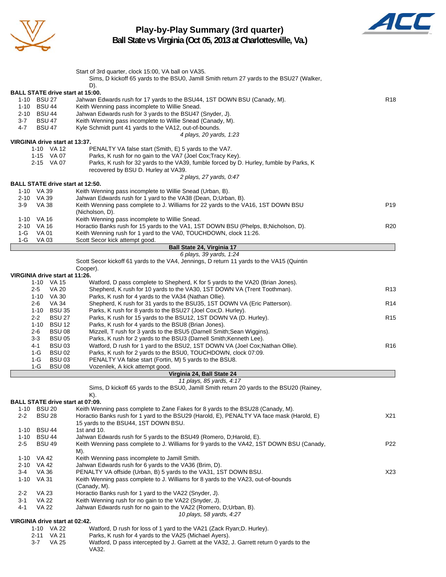

# **Play-by-Play Summary (3rd quarter)**



**Ball State vs Virginia (Oct 05, 2013 at Charlottesville, Va.)**

|                                              | Start of 3rd quarter, clock 15:00, VA ball on VA35.<br>Sims, D kickoff 65 yards to the BSU0, Jamill Smith return 27 yards to the BSU27 (Walker,       |                 |
|----------------------------------------------|-------------------------------------------------------------------------------------------------------------------------------------------------------|-----------------|
|                                              | D).                                                                                                                                                   |                 |
| <b>BALL STATE drive start at 15:00.</b>      |                                                                                                                                                       |                 |
| 1-10 BSU 27                                  | Jahwan Edwards rush for 17 yards to the BSU44, 1ST DOWN BSU (Canady, M).                                                                              | R <sub>18</sub> |
| 1-10 BSU 44                                  | Keith Wenning pass incomplete to Willie Snead.                                                                                                        |                 |
| 2-10 BSU 44                                  | Jahwan Edwards rush for 3 yards to the BSU47 (Snyder, J).                                                                                             |                 |
| $3 - 7$<br><b>BSU 47</b>                     | Keith Wenning pass incomplete to Willie Snead (Canady, M).                                                                                            |                 |
| 4-7<br><b>BSU 47</b>                         | Kyle Schmidt punt 41 yards to the VA12, out-of-bounds.                                                                                                |                 |
|                                              | 4 plays, 20 yards, 1:23                                                                                                                               |                 |
| VIRGINIA drive start at 13:37.<br>1-10 VA 12 | PENALTY VA false start (Smith, E) 5 yards to the VA7.                                                                                                 |                 |
|                                              |                                                                                                                                                       |                 |
| 1-15 VA 07<br>2-15 VA 07                     | Parks, K rush for no gain to the VA7 (Joel Cox; Tracy Key).<br>Parks, K rush for 32 yards to the VA39, fumble forced by D. Hurley, fumble by Parks, K |                 |
|                                              | recovered by BSU D. Hurley at VA39.                                                                                                                   |                 |
|                                              | 2 plays, 27 yards, 0:47                                                                                                                               |                 |
| <b>BALL STATE drive start at 12:50.</b>      |                                                                                                                                                       |                 |
| 1-10 VA 39                                   | Keith Wenning pass incomplete to Willie Snead (Urban, B).                                                                                             |                 |
| 2-10 VA 39                                   | Jahwan Edwards rush for 1 yard to the VA38 (Dean, D;Urban, B).                                                                                        |                 |
| $3-9$<br>VA 38                               | Keith Wenning pass complete to J. Williams for 22 yards to the VA16, 1ST DOWN BSU                                                                     | P <sub>19</sub> |
|                                              | (Nicholson, D).                                                                                                                                       |                 |
| 1-10 VA 16                                   | Keith Wenning pass incomplete to Willie Snead.                                                                                                        |                 |
| 2-10 VA 16                                   | Horactio Banks rush for 15 yards to the VA1, 1ST DOWN BSU (Phelps, B; Nicholson, D).                                                                  | R <sub>20</sub> |
| VA 01<br>1-G                                 | Keith Wenning rush for 1 yard to the VA0, TOUCHDOWN, clock 11:26.                                                                                     |                 |
| 1-G<br>VA 03                                 | Scott Secor kick attempt good.                                                                                                                        |                 |
|                                              |                                                                                                                                                       |                 |
|                                              | Ball State 24, Virginia 17<br>6 plays, 39 yards, 1:24                                                                                                 |                 |
|                                              | Scott Secor kickoff 61 yards to the VA4, Jennings, D return 11 yards to the VA15 (Quintin                                                             |                 |
|                                              | Cooper).                                                                                                                                              |                 |
| VIRGINIA drive start at 11:26.               |                                                                                                                                                       |                 |
| 1-10 VA 15                                   | Watford, D pass complete to Shepherd, K for 5 yards to the VA20 (Brian Jones).                                                                        |                 |
| VA 20<br>$2 - 5$                             | Shepherd, K rush for 10 yards to the VA30, 1ST DOWN VA (Trent Toothman).                                                                              | R <sub>13</sub> |
| 1-10 VA 30                                   | Parks, K rush for 4 yards to the VA34 (Nathan Ollie).                                                                                                 |                 |
| <b>VA 34</b><br>$2 - 6$                      | Shepherd, K rush for 31 yards to the BSU35, 1ST DOWN VA (Eric Patterson).                                                                             | R <sub>14</sub> |
| 1-10 BSU 35                                  | Parks, K rush for 8 yards to the BSU27 (Joel Cox; D. Hurley).                                                                                         |                 |
| $2 - 2$<br><b>BSU 27</b>                     | Parks, K rush for 15 yards to the BSU12, 1ST DOWN VA (D. Hurley).                                                                                     | R <sub>15</sub> |
| $1 - 10$<br><b>BSU 12</b>                    | Parks, K rush for 4 yards to the BSU8 (Brian Jones).                                                                                                  |                 |
| $2 - 6$<br><b>BSU 08</b>                     | Mizzell, T rush for 3 yards to the BSU5 (Darnell Smith; Sean Wiggins).                                                                                |                 |
| <b>BSU 05</b><br>3-3                         | Parks, K rush for 2 yards to the BSU3 (Darnell Smith; Kenneth Lee).                                                                                   |                 |
| <b>BSU 03</b><br>4-1                         | Watford, D rush for 1 yard to the BSU2, 1ST DOWN VA (Joel Cox; Nathan Ollie).                                                                         | R <sub>16</sub> |
| $1-G$<br><b>BSU02</b>                        | Parks, K rush for 2 yards to the BSU0, TOUCHDOWN, clock 07:09.                                                                                        |                 |
| 1-G<br><b>BSU03</b>                          | PENALTY VA false start (Fortin, M) 5 yards to the BSU8.                                                                                               |                 |
|                                              |                                                                                                                                                       |                 |
| $1-G$<br><b>BSU 08</b>                       | Vozenilek, A kick attempt good.                                                                                                                       |                 |
|                                              | Virginia 24, Ball State 24<br>11 plays, 85 yards, 4:17                                                                                                |                 |
|                                              |                                                                                                                                                       |                 |
|                                              | Sims, D kickoff 65 yards to the BSU0, Jamill Smith return 20 yards to the BSU20 (Rainey,<br>K).                                                       |                 |
| <b>BALL STATE drive start at 07:09.</b>      |                                                                                                                                                       |                 |
| 1-10 BSU 20                                  | Keith Wenning pass complete to Zane Fakes for 8 yards to the BSU28 (Canady, M).                                                                       |                 |
| $2 - 2$<br><b>BSU 28</b>                     |                                                                                                                                                       | X21             |
|                                              | Horactio Banks rush for 1 yard to the BSU29 (Harold, E), PENALTY VA face mask (Harold, E)<br>15 yards to the BSU44, 1ST DOWN BSU.                     |                 |
| <b>BSU 44</b>                                | 1st and 10.                                                                                                                                           |                 |
| 1-10<br><b>BSU 44</b><br>1-10                | Jahwan Edwards rush for 5 yards to the BSU49 (Romero, D. Harold, E).                                                                                  |                 |
|                                              | Keith Wenning pass complete to J. Williams for 9 yards to the VA42, 1ST DOWN BSU (Canady,                                                             |                 |
| <b>BSU 49</b><br>2-5                         |                                                                                                                                                       | P <sub>22</sub> |
|                                              | M).                                                                                                                                                   |                 |
| 1-10 VA 42                                   | Keith Wenning pass incomplete to Jamill Smith.                                                                                                        |                 |
| 2-10 VA 42                                   | Jahwan Edwards rush for 6 yards to the VA36 (Brim, D).                                                                                                |                 |
| $3 - 4$<br>VA 36                             | PENALTY VA offside (Urban, B) 5 yards to the VA31, 1ST DOWN BSU.                                                                                      | X23             |
| 1-10 VA 31                                   | Keith Wenning pass complete to J. Williams for 8 yards to the VA23, out-of-bounds                                                                     |                 |
|                                              | (Canady, M).                                                                                                                                          |                 |
| $2 - 2$<br>VA 23                             | Horactio Banks rush for 1 yard to the VA22 (Snyder, J).                                                                                               |                 |
| $3 - 1$<br>VA 22                             | Keith Wenning rush for no gain to the VA22 (Snyder, J).                                                                                               |                 |
| 4-1<br><b>VA 22</b>                          | Jahwan Edwards rush for no gain to the VA22 (Romero, D;Urban, B).                                                                                     |                 |
|                                              | 10 plays, 58 yards, 4:27                                                                                                                              |                 |
| VIRGINIA drive start at 02:42.               |                                                                                                                                                       |                 |
| 1-10 VA 22                                   | Watford, D rush for loss of 1 yard to the VA21 (Zack Ryan; D. Hurley).                                                                                |                 |
| 2-11 VA 21<br><b>VA 25</b>                   | Parks, K rush for 4 yards to the VA25 (Michael Ayers).                                                                                                |                 |
| 3-7                                          | Watford, D pass intercepted by J. Garrett at the VA32, J. Garrett return 0 yards to the<br>VA32.                                                      |                 |
|                                              |                                                                                                                                                       |                 |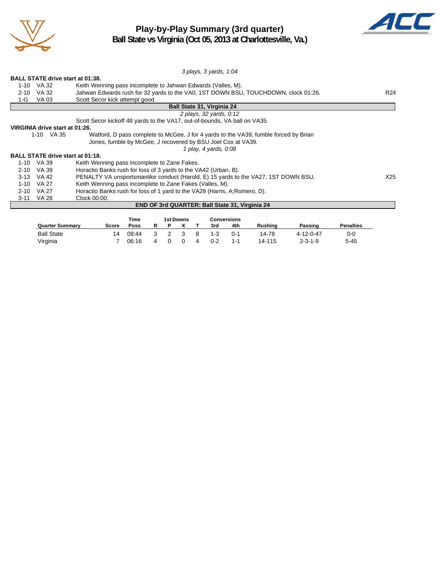

# **Play-by-Play Summary (3rd quarter)**



**Ball State vs Virginia (Oct 05, 2013 at Charlottesville, Va.)**

|                                                                                                    | 3 plays, 3 yards, 1:04                                                             |                 |  |  |  |  |  |  |
|----------------------------------------------------------------------------------------------------|------------------------------------------------------------------------------------|-----------------|--|--|--|--|--|--|
| <b>BALL STATE drive start at 01:38.</b>                                                            |                                                                                    |                 |  |  |  |  |  |  |
| 1-10 VA 32                                                                                         | Keith Wenning pass incomplete to Jahwan Edwards (Valles, M).                       |                 |  |  |  |  |  |  |
| VA 32<br>$2 - 10$                                                                                  | Jahwan Edwards rush for 32 yards to the VA0, 1ST DOWN BSU, TOUCHDOWN, clock 01:26. | R <sub>24</sub> |  |  |  |  |  |  |
| VA 03<br>1-G                                                                                       | Scott Secor kick attempt good.                                                     |                 |  |  |  |  |  |  |
|                                                                                                    | <b>Ball State 31, Virginia 24</b>                                                  |                 |  |  |  |  |  |  |
|                                                                                                    | 2 plays, 32 yards, 0:12                                                            |                 |  |  |  |  |  |  |
|                                                                                                    | Scott Secor kickoff 48 yards to the VA17, out-of-bounds, VA ball on VA35.          |                 |  |  |  |  |  |  |
| VIRGINIA drive start at 01:26.                                                                     |                                                                                    |                 |  |  |  |  |  |  |
| 1-10 VA 35<br>Watford, D pass complete to McGee, J for 4 yards to the VA39, fumble forced by Brian |                                                                                    |                 |  |  |  |  |  |  |
|                                                                                                    | Jones, fumble by McGee, J recovered by BSU Joel Cox at VA39.                       |                 |  |  |  |  |  |  |
|                                                                                                    | 1 play, 4 yards, 0:08                                                              |                 |  |  |  |  |  |  |
| <b>BALL STATE drive start at 01:18.</b>                                                            |                                                                                    |                 |  |  |  |  |  |  |
| 1-10 VA 39                                                                                         | Keith Wenning pass incomplete to Zane Fakes.                                       |                 |  |  |  |  |  |  |
| VA 39<br>$2 - 10$                                                                                  | Horactio Banks rush for loss of 3 yards to the VA42 (Urban, B).                    |                 |  |  |  |  |  |  |
| 3-13 VA 42                                                                                         | PENALTY VA unsportsmanlike conduct (Harold, E) 15 yards to the VA27, 1ST DOWN BSU. | X25             |  |  |  |  |  |  |
| <b>VA 27</b><br>$1 - 10$                                                                           | Keith Wenning pass incomplete to Zane Fakes (Valles, M).                           |                 |  |  |  |  |  |  |
| VA 27<br>$2 - 10$                                                                                  | Horactio Banks rush for loss of 1 yard to the VA28 (Harris, A; Romero, D).         |                 |  |  |  |  |  |  |
| VA 28<br>3-11                                                                                      | Clock 00:00.                                                                       |                 |  |  |  |  |  |  |
|                                                                                                    | <b>END OF 3rd QUARTER: Ball State 31, Virginia 24</b>                              |                 |  |  |  |  |  |  |
|                                                                                                    |                                                                                    |                 |  |  |  |  |  |  |
|                                                                                                    | <b>1st Downs</b><br><b>Conversions</b><br>Time                                     |                 |  |  |  |  |  |  |

|                   |       | ı ıme |    |          | TST DOWNS |     |         | conversions |                |           |                  |  |
|-------------------|-------|-------|----|----------|-----------|-----|---------|-------------|----------------|-----------|------------------|--|
| Quarter Summarv   | Score | Poss  |    |          |           |     | 3rd     | 4th         | <b>Rushing</b> | Passing   | <b>Penalties</b> |  |
| <b>Ball State</b> | 14    | 08:44 | -3 | 2 3      |           | - 8 | $1 - 3$ | $0 - 1$     | 14-78          | 4-12-0-47 | 0-0              |  |
| Virginia          |       | 06:16 | 4  | $\Omega$ | - 0       |     | $0 - 2$ | $1 - 1$     | 14-115         | $2-3-1-9$ | 5-45             |  |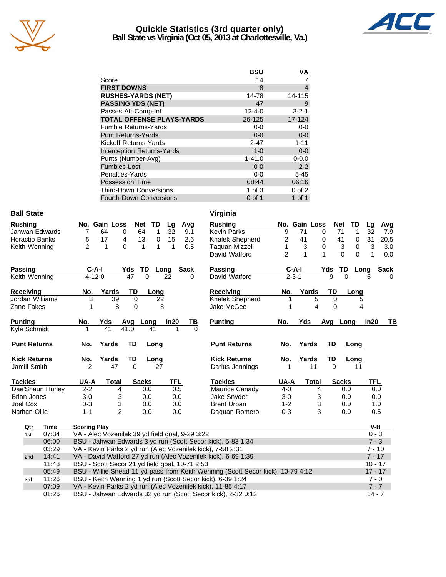

## **Quickie Statistics (3rd quarter only) Ball State vs Virginia (Oct 05, 2013 at Charlottesville, Va.)**



|                                   | <b>BSU</b>   | ٧A          |
|-----------------------------------|--------------|-------------|
| Score                             | 14           |             |
| <b>FIRST DOWNS</b>                | 8            | 4           |
| <b>RUSHES-YARDS (NET)</b>         | 14-78        | 14-115      |
| <b>PASSING YDS (NET)</b>          | 47           | 9           |
| Passes Att-Comp-Int               | $12 - 4 - 0$ | $3 - 2 - 1$ |
| <b>TOTAL OFFENSE PLAYS-YARDS</b>  | 26-125       | 17-124      |
| <b>Fumble Returns-Yards</b>       | $0-0$        | $0-0$       |
| <b>Punt Returns-Yards</b>         | $0 - 0$      | $0-0$       |
| Kickoff Returns-Yards             | $2 - 47$     | $1 - 11$    |
| <b>Interception Returns-Yards</b> | $1 - 0$      | $0-0$       |
| Punts (Number-Avg)                | $1 - 41.0$   | $0 - 0.0$   |
| Fumbles-Lost                      | $0 - 0$      | $2 - 2$     |
| Penalties-Yards                   | $0-0$        | $5 - 45$    |
| <b>Possession Time</b>            | 08:44        | 06:16       |
| <b>Third-Down Conversions</b>     | 1 of $3$     | $0$ of $2$  |
| <b>Fourth-Down Conversions</b>    | 0 of 1       | $1$ of $1$  |

### **Ball State**

| <b>Rushing</b>      |                |              | No. Gain Loss             | <b>Net</b>     | TD       | Lg         | Avg      | <b>Rushing</b>      | No.            | <b>Gain Loss</b> |              |          | <b>Net</b>   | TD          |
|---------------------|----------------|--------------|---------------------------|----------------|----------|------------|----------|---------------------|----------------|------------------|--------------|----------|--------------|-------------|
| Jahwan Edwards      | 7              | 64           | $\Omega$                  | 64             | 1        | 32         | 9.1      | Kevin Parks         | 9              | 71               | $\Omega$     |          | 71           | 1           |
| Horactio Banks      | 5              | 17           | 4                         | 13             | $\Omega$ | 15         | 2.6      | Khalek Shepherd     | 2              | 41               | 0            |          | 41           | 0           |
| Keith Wenning       | $\overline{2}$ | 1            | 0                         | 1              |          | 1          | 0.5      | Taguan Mizzell      |                | 3                | 0            |          | 3            | $\mathbf 0$ |
|                     |                |              |                           |                |          |            |          | David Watford       | $\overline{2}$ | 1                | 1            |          | 0            | $\Omega$    |
| Passing             |                | $C-A-I$      | Yds                       | TD             |          | Long       | Sack     | Passing             |                | C-A-I            |              | Yds      | TD           | Lo          |
| Keith Wenning       |                | $4 - 12 - 0$ |                           | 47<br>$\Omega$ |          | 22         | 0        | David Watford       |                | $2 - 3 - 1$      |              | 9        | $\Omega$     |             |
| Receiving           | No.            |              | Yards                     | TD             | Long     |            |          | Receiving           | No.            |                  | Yards        | TD       |              | Long        |
| Jordan Williams     |                | 3            | 39                        | 0              | 22       |            |          | Khalek Shepherd     |                |                  | 5            | 0        |              |             |
| Zane Fakes          |                |              | 8                         | 0              | 8        |            |          | Jake McGee          |                |                  | 4            | 0        |              |             |
| <b>Punting</b>      | No.            | Yds          | Avg                       |                | Long     | In20       | ΤВ       | <b>Punting</b>      | No.            | Yds              |              | Avg      | Long         |             |
| Kyle Schmidt        |                | 41           | 41.0                      |                | 41       |            | $\Omega$ |                     |                |                  |              |          |              |             |
| <b>Punt Returns</b> | No.            |              | Yards                     | TD             | Long     |            |          | <b>Punt Returns</b> | No.            |                  | Yards        | TD       |              | Long        |
| <b>Kick Returns</b> | No.            |              | Yards                     | TD             | Long     |            |          | <b>Kick Returns</b> | No.            |                  | Yards        | TD       |              | Long        |
| Jamill Smith        | $\mathfrak{p}$ |              | 47                        | $\Omega$       | 27       |            |          | Darius Jennings     |                |                  | 11           | $\Omega$ |              | 11          |
| <b>Tackles</b>      | UA-A           |              | <b>Total</b>              | <b>Sacks</b>   |          | <b>TFL</b> |          | <b>Tackles</b>      | UA-A           |                  | <b>Total</b> |          | <b>Sacks</b> |             |
| Dae'Shaun Hurley    | $2 - 2$        |              | 4                         | 0.0            |          |            | 0.5      | Maurice Canady      | $4-0$          |                  | 4            |          | 0.0          |             |
| <b>Brian Jones</b>  | $3-0$          |              | 3                         | 0.0            |          |            | 0.0      | Jake Snyder         | $3-0$          |                  | 3            |          | 0.0          |             |
| Joel Cox            | $0 - 3$        |              | $\ensuremath{\mathsf{3}}$ | 0.0            |          |            | 0.0      | <b>Brent Urban</b>  | $1 - 2$        |                  | 3            |          | 0.0          |             |
| Nathan Ollie        | $1 - 1$        |              | $\overline{2}$            | 0.0            |          |            | 0.0      | Daguan Romero       | $0 - 3$        |                  | 3            |          | 0.0          |             |

| Virginia              |                |                  |       |          |              |          |          |             |
|-----------------------|----------------|------------------|-------|----------|--------------|----------|----------|-------------|
| <b>Rushing</b>        | No.            | <b>Gain Loss</b> |       |          | <b>Net</b>   | TD       | Lg       | Avg         |
| <b>Kevin Parks</b>    | 9              | 71               | 0     |          | 71           | 1        | 32       | 7.9         |
| Khalek Shepherd       | 2              | 41               | 0     |          | 41           | 0        | 31       | 20.5        |
| <b>Taquan Mizzell</b> | 1              | 3                | 0     |          | 3            | 0        | 3        | 3.0         |
| David Watford         | $\overline{2}$ | 1                | 1     |          | 0            | $\Omega$ | 1        | 0.0         |
| Passing               |                | $C-A-I$          |       | Yds      | TD           | Long     |          | <b>Sack</b> |
| David Watford         |                | $2 - 3 - 1$      |       | 9        | $\Omega$     |          | 5        | 0           |
| <b>Receiving</b>      | No.            | Yards            |       | TD       |              | Long     |          |             |
| Khalek Shepherd       | 1              |                  | 5     | 0        |              | 5        |          |             |
| Jake McGee            | 1              |                  | 4     | 0        |              | 4        |          |             |
| <b>Punting</b>        | No.            | Yds              |       | Avg      | Long         |          | ln20     | ΤВ          |
|                       |                |                  |       |          |              |          |          |             |
| <b>Punt Returns</b>   | No.            | Yards            |       | TD       |              | Long     |          |             |
| <b>Kick Returns</b>   | No.            | Yards            |       | TD       |              | Long     |          |             |
| Darius Jennings       | 1              |                  | 11    | $\Omega$ |              | 11       |          |             |
| <b>Tackles</b>        | <b>UA-A</b>    |                  | Total |          | <b>Sacks</b> |          | TFL      |             |
| <b>Maurice Canady</b> | $4 - 0$        |                  | 4     |          | 0.0          |          | 0.0      |             |
| Jake Snyder           | $3-0$          |                  | 3     |          | 0.0          |          | 0.0      |             |
| <b>Brent Urban</b>    | $1 - 2$        |                  | 3     |          | 0.0          |          | 1.0      |             |
| Daquan Romero         | $0 - 3$        |                  | 3     |          | 0.0          |          | 0.5      |             |
|                       |                |                  |       |          |              |          | V-H      |             |
|                       |                |                  |       |          |              |          | $0 - 3$  |             |
| kick), 5-83 1:34      |                |                  |       |          |              |          | $7 - 3$  |             |
| (), 7-58 2:31         |                |                  |       |          |              |          | $7 - 10$ |             |
| kick), 6-69 1:39      |                |                  |       |          |              |          | $7 - 17$ |             |

| Qtr | Time  | <b>Scoring Play</b>                                                             | V-H       |
|-----|-------|---------------------------------------------------------------------------------|-----------|
| 1st | 07:34 | VA - Alec Vozenilek 39 yd field goal, 9-29 3:22                                 | $0 - 3$   |
|     | 06:00 | BSU - Jahwan Edwards 3 yd run (Scott Secor kick), 5-83 1:34                     | $7 - 3$   |
|     | 03:29 | VA - Kevin Parks 2 yd run (Alec Vozenilek kick), 7-58 2:31                      | $7 - 10$  |
| 2nd | 14:41 | VA - David Watford 27 yd run (Alec Vozenilek kick), 6-69 1:39                   | $7 - 17$  |
|     | 11:48 | BSU - Scott Secor 21 yd field goal, 10-71 2:53                                  | $10 - 17$ |
|     | 05:49 | BSU - Willie Snead 11 yd pass from Keith Wenning (Scott Secor kick), 10-79 4:12 | $17 - 17$ |
| 3rd | 11:26 | BSU - Keith Wenning 1 yd run (Scott Secor kick), 6-39 1:24                      | $7 - 0$   |
|     | 07:09 | VA - Kevin Parks 2 yd run (Alec Vozenilek kick), 11-85 4:17                     | $7 - 7$   |
|     | 01:26 | BSU - Jahwan Edwards 32 yd run (Scott Secor kick), 2-32 0:12                    | $14 - 7$  |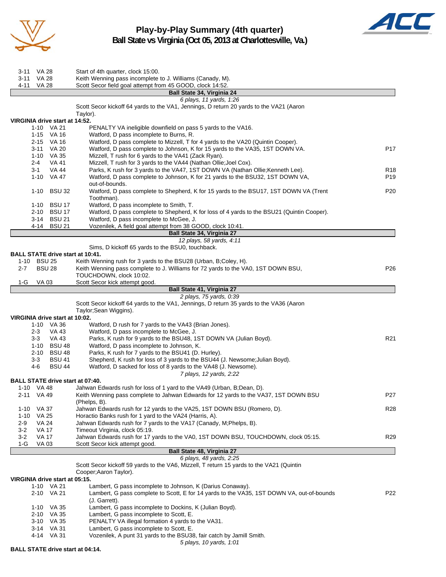

**Play-by-Play Summary (4th quarter) Ball State vs Virginia (Oct 05, 2013 at Charlottesville, Va.)**



3-11 VA 28 Start of 4th quarter, clock 15:00. 3-11 VA 28 Keith Wenning pass incomplete to J. Williams (Canady, M).<br>4-11 VA 28 Scott Secor field goal attempt from 45 GOOD, clock 14:52. VA 28 Scott Secor field goal attempt from 45 GOOD, clock 14:52. **Ball State 34, Virginia 24** *6 plays, 11 yards, 1:26* Scott Secor kickoff 64 yards to the VA1, Jennings, D return 20 yards to the VA21 (Aaron Taylor). **VIRGINIA drive start at 14:52.** 1-10 VA 21 PENALTY VA ineligible downfield on pass 5 yards to the VA16. 1-15 VA 16 Watford, D pass incomplete to Burns, R.

|         | 2-15         | VA 16                          | Watford, D pass complete to Mizzell, T for 4 yards to the VA20 (Quintin Cooper).                 |                 |
|---------|--------------|--------------------------------|--------------------------------------------------------------------------------------------------|-----------------|
|         | 3-11         | <b>VA 20</b>                   | Watford, D pass complete to Johnson, K for 15 yards to the VA35, 1ST DOWN VA.                    | P17             |
|         | 1-10         | VA 35                          | Mizzell, T rush for 6 yards to the VA41 (Zack Ryan).                                             |                 |
|         | 2-4          | <b>VA 41</b>                   | Mizzell, T rush for 3 yards to the VA44 (Nathan Ollie; Joel Cox).                                |                 |
|         | $3 - 1$      | VA 44                          | Parks, K rush for 3 yards to the VA47, 1ST DOWN VA (Nathan Ollie; Kenneth Lee).                  | R <sub>18</sub> |
|         |              | 1-10 VA 47                     | Watford, D pass complete to Johnson, K for 21 yards to the BSU32, 1ST DOWN VA,<br>out-of-bounds. | P19             |
|         | $1 - 10$     | <b>BSU 32</b>                  | Watford, D pass complete to Shepherd, K for 15 yards to the BSU17, 1ST DOWN VA (Trent            | P20             |
|         |              |                                | Toothman).                                                                                       |                 |
|         |              | 1-10 BSU 17                    | Watford, D pass incomplete to Smith, T.                                                          |                 |
|         |              | 2-10 BSU 17                    | Watford, D pass complete to Shepherd, K for loss of 4 yards to the BSU21 (Quintin Cooper).       |                 |
|         |              | 3-14 BSU 21                    | Watford, D pass incomplete to McGee, J.                                                          |                 |
|         |              | 4-14 BSU 21                    | Vozenilek, A field goal attempt from 38 GOOD, clock 10:41.                                       |                 |
|         |              |                                | Ball State 34, Virginia 27                                                                       |                 |
|         |              |                                | 12 plays, 58 yards, 4:11                                                                         |                 |
|         |              |                                | Sims, D kickoff 65 yards to the BSU0, touchback.                                                 |                 |
|         |              |                                | <b>BALL STATE drive start at 10:41.</b>                                                          |                 |
|         | 1-10 BSU 25  |                                | Keith Wenning rush for 3 yards to the BSU28 (Urban, B;Coley, H).                                 |                 |
| $2 - 7$ |              | <b>BSU 28</b>                  | Keith Wenning pass complete to J. Williams for 72 yards to the VA0, 1ST DOWN BSU,                | P <sub>26</sub> |
|         |              |                                | TOUCHDOWN, clock 10:02.                                                                          |                 |
| 1-G     | <b>VA03</b>  |                                | Scott Secor kick attempt good.                                                                   |                 |
|         |              |                                | Ball State 41, Virginia 27                                                                       |                 |
|         |              |                                | 2 plays, 75 yards, 0:39                                                                          |                 |
|         |              |                                | Scott Secor kickoff 64 yards to the VA1, Jennings, D return 35 yards to the VA36 (Aaron          |                 |
|         |              |                                | Taylor; Sean Wiggins).                                                                           |                 |
|         |              | VIRGINIA drive start at 10:02. |                                                                                                  |                 |
|         |              | 1-10 VA 36                     | Watford, D rush for 7 yards to the VA43 (Brian Jones).                                           |                 |
|         | $2 - 3$      | <b>VA 43</b>                   | Watford, D pass incomplete to McGee, J.                                                          |                 |
|         | $3 - 3$      | VA 43                          | Parks, K rush for 9 yards to the BSU48, 1ST DOWN VA (Julian Boyd).                               | R21             |
|         |              | 1-10 BSU 48                    | Watford, D pass incomplete to Johnson, K.                                                        |                 |
|         |              | 2-10 BSU 48                    | Parks, K rush for 7 yards to the BSU41 (D. Hurley).                                              |                 |
|         | $3 - 3$      | <b>BSU 41</b>                  | Shepherd, K rush for loss of 3 yards to the BSU44 (J. Newsome; Julian Boyd).                     |                 |
|         | 4-6          | <b>BSU 44</b>                  | Watford, D sacked for loss of 8 yards to the VA48 (J. Newsome).                                  |                 |
|         |              |                                | 7 plays, 12 yards, 2:22                                                                          |                 |
|         |              |                                | BALL STATE drive start at 07:40.                                                                 |                 |
|         | 1-10 VA 48   |                                | Jahwan Edwards rush for loss of 1 yard to the VA49 (Urban, B;Dean, D).                           |                 |
|         | 2-11 VA 49   |                                | Keith Wenning pass complete to Jahwan Edwards for 12 yards to the VA37, 1ST DOWN BSU             | P <sub>27</sub> |
|         |              |                                | (Phelps, B).                                                                                     |                 |
|         | 1-10 VA 37   |                                | Jahwan Edwards rush for 12 yards to the VA25, 1ST DOWN BSU (Romero, D).                          | <b>R28</b>      |
|         | 1-10 VA 25   |                                | Horactio Banks rush for 1 yard to the VA24 (Harris, A).                                          |                 |
| $2-9$   | <b>VA 24</b> |                                | Jahwan Edwards rush for 7 yards to the VA17 (Canady, M;Phelps, B).                               |                 |
| $3-2$   | <b>VA 17</b> |                                | Timeout Virginia, clock 05:19.                                                                   |                 |
| $3-2$   | <b>VA 17</b> |                                | Jahwan Edwards rush for 17 yards to the VA0, 1ST DOWN BSU, TOUCHDOWN, clock 05:15.               | R29             |
| $1-G$   | VA 03        |                                | Scott Secor kick attempt good.                                                                   |                 |
|         |              |                                | Ball State 48, Virginia 27                                                                       |                 |
|         |              |                                | 6 plays, 48 yards, 2:25                                                                          |                 |
|         |              |                                | Scott Secor kickoff 59 yards to the VA6, Mizzell, T return 15 yards to the VA21 (Quintin         |                 |
|         |              |                                | Cooper; Aaron Taylor).                                                                           |                 |
|         |              | VIRGINIA drive start at 05:15. |                                                                                                  |                 |
|         |              | 1-10 VA 21                     | Lambert, G pass incomplete to Johnson, K (Darius Conaway).                                       |                 |
|         |              | 2-10 VA 21                     | Lambert, G pass complete to Scott, E for 14 yards to the VA35, 1ST DOWN VA, out-of-bounds        | P22             |
|         |              |                                | (J. Garrett).                                                                                    |                 |
|         |              | 1-10 VA 35                     | Lambert, G pass incomplete to Dockins, K (Julian Boyd).                                          |                 |
|         |              | 2-10 VA 35                     | Lambert, G pass incomplete to Scott, E.                                                          |                 |
|         |              | 3-10 VA 35                     | PENALTY VA illegal formation 4 yards to the VA31.                                                |                 |
|         |              | 3-14 VA 31                     | Lambert, G pass incomplete to Scott, E.                                                          |                 |
|         |              |                                |                                                                                                  |                 |
|         |              | 4-14 VA 31                     | Vozenilek, A punt 31 yards to the BSU38, fair catch by Jamill Smith.                             |                 |

*5 plays, 10 yards, 1:01*

**BALL STATE drive start at 04:14.**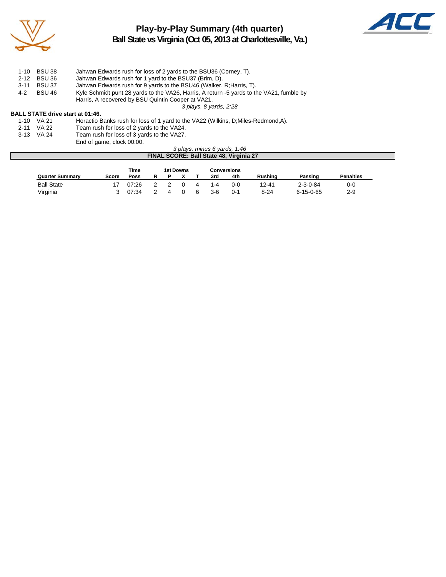

# **Play-by-Play Summary (4th quarter) Ball State vs Virginia (Oct 05, 2013 at Charlottesville, Va.)**



|     | 1-10 BSU 38 | Jahwan Edwards rush for loss of 2 yards to the BSU36 (Corney, T).                        |
|-----|-------------|------------------------------------------------------------------------------------------|
|     | 2-12 BSU 36 | Jahwan Edwards rush for 1 yard to the BSU37 (Brim, D).                                   |
|     | 3-11 BSU 37 | Jahwan Edwards rush for 9 yards to the BSU46 (Walker, R; Harris, T).                     |
| 4-2 | BSU 46      | Kyle Schmidt punt 28 yards to the VA26, Harris, A return -5 yards to the VA21, fumble by |
|     |             | Harris, A recovered by BSU Quintin Cooper at VA21.                                       |
|     |             |                                                                                          |

*3 plays, 8 yards, 2:28*

### **BALL STATE drive start at 01:46.**

| 1-10 VA 21 | Horactio Banks rush for loss of 1 yard to the VA22 (Wilkins, D; Miles-Redmond, A). |
|------------|------------------------------------------------------------------------------------|
| 2-11 VA 22 | Team rush for loss of 2 yards to the VA24.                                         |
| 3-13 VA 24 | Team rush for loss of 3 yards to the VA27.                                         |
|            | End of game, clock 00:00.                                                          |

#### *3 plays, minus 6 yards, 1:46* **FINAL SCORE: Ball State 48, Virginia 27**

|                        |       | Time  |  | 1st Downs |   |         | <b>Conversions</b> |                |                   |                  |
|------------------------|-------|-------|--|-----------|---|---------|--------------------|----------------|-------------------|------------------|
| <b>Quarter Summary</b> | Score | Poss  |  |           |   | 3rd     | 4th                | <b>Rushing</b> | Passing           | <b>Penalties</b> |
| <b>Ball State</b>      |       | 07:26 |  |           | 4 | $1 - 4$ | 0-0                | 12-41          | $2 - 3 - 0 - 84$  | 0-0              |
| Virginia               |       | 07:34 |  |           | 6 | $3-6$   | በ-1                | $8 - 24$       | $6 - 15 - 0 - 65$ | 2-9              |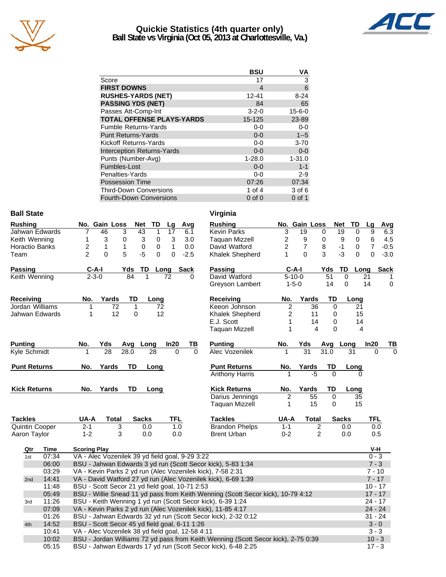

## **Quickie Statistics (4th quarter only) Ball State vs Virginia (Oct 05, 2013 at Charlottesville, Va.)**



|                                   | <b>BSU</b>  | ٧Α           |
|-----------------------------------|-------------|--------------|
| Score                             | 17          | 3            |
| <b>FIRST DOWNS</b>                | 4           | 6            |
| <b>RUSHES-YARDS (NET)</b>         | 12-41       | $8 - 24$     |
| <b>PASSING YDS (NET)</b>          | 84          | 65           |
| Passes Att-Comp-Int               | $3 - 2 - 0$ | $15 - 6 - 0$ |
| <b>TOTAL OFFENSE PLAYS-YARDS</b>  | 15-125      | 23-89        |
| <b>Fumble Returns-Yards</b>       | $0-0$       | $0-0$        |
| <b>Punt Returns-Yards</b>         | $0 - 0$     | $1 - 5$      |
| Kickoff Returns-Yards             | $0-0$       | $3 - 70$     |
| <b>Interception Returns-Yards</b> | $0 - 0$     | $0 - 0$      |
| Punts (Number-Avg)                | $1 - 28.0$  | $1 - 31.0$   |
| Fumbles-Lost                      | $0 - 0$     | $1 - 1$      |
| Penalties-Yards                   | $0-0$       | $2 - 9$      |
| <b>Possession Time</b>            | 07:26       | 07:34        |
| <b>Third-Down Conversions</b>     | 1 of $4$    | 3 of 6       |
| <b>Fourth-Down Conversions</b>    | $0$ of $0$  | $0$ of 1     |

## **Ball State** Virginia

| <b>Rushing</b>      |             | No. Gain Loss                                    |              | <b>Net</b>   | <b>TD</b>   | Lg              | Avg      |          | <b>Rushing</b>                                                                    |                         | No. Gain Loss   |                 |          | <b>Net</b><br>TD | Lg                        | Avg         |
|---------------------|-------------|--------------------------------------------------|--------------|--------------|-------------|-----------------|----------|----------|-----------------------------------------------------------------------------------|-------------------------|-----------------|-----------------|----------|------------------|---------------------------|-------------|
| Jahwan Edwards      |             | 7<br>46                                          | 3            | 43           | 1           | $\overline{17}$ | 6.1      |          | <b>Kevin Parks</b>                                                                | $\overline{3}$          | 19              |                 | 0        | 19               | 9<br>$\mathbf 0$          | 6.3         |
| Keith Wenning       |             | 3<br>1                                           | 0            | 3            | 0           | 3               | 3.0      |          | <b>Taquan Mizzell</b>                                                             | $\overline{c}$          | 9               |                 | 0        | 9                | $\,6\,$<br>0              | 4.5         |
| Horactio Banks      |             | $\overline{\mathbf{c}}$<br>$\mathbf{1}$          | $\mathbf{1}$ | $\pmb{0}$    | $\mathbf 0$ | $\mathbf{1}$    | 0.0      |          | David Watford                                                                     | $\overline{c}$          | $\overline{7}$  |                 | 8        | $-1$             | $\overline{7}$<br>$\,0\,$ | $-0.5$      |
| Team                |             | $\mathfrak{p}$<br>$\Omega$                       | 5            | $-5$         | 0           | 0               | $-2.5$   |          | Khalek Shepherd                                                                   | 1                       | $\Omega$        |                 | 3        | $-3$             | 0<br>$\Omega$             | $-3.0$      |
| Passing             |             | $C-A-I$                                          |              | Yds          | TD Long     |                 | Sack     |          | <b>Passing</b>                                                                    |                         | $C-A-I$         |                 | Yds      | TD               | Long                      | <b>Sack</b> |
| Keith Wenning       |             | $2 - 3 - 0$                                      |              | 84<br>1      |             | 72              | $\Omega$ |          | David Watford                                                                     |                         | $5 - 10 - 0$    |                 | 51       | $\mathbf 0$      | 21                        |             |
|                     |             |                                                  |              |              |             |                 |          |          | Greyson Lambert                                                                   |                         | $1 - 5 - 0$     |                 | 14       | $\mathbf 0$      | 14                        | $\pmb{0}$   |
| Receiving           |             | No.                                              | Yards        | TD           | Long        |                 |          |          | Receiving                                                                         | No.                     |                 | Yards           | TD       | Long             |                           |             |
| Jordan Williams     |             | 1                                                | 72           | 1            | 72          |                 |          |          | Keeon Johnson                                                                     | $\overline{\mathbf{c}}$ |                 | 36              | $\Omega$ |                  | 21                        |             |
| Jahwan Edwards      |             | 1                                                | 12           | 0            | 12          |                 |          |          | Khalek Shepherd                                                                   | 2                       |                 | 11              | 0        |                  | 15                        |             |
|                     |             |                                                  |              |              |             |                 |          |          | E.J. Scott                                                                        |                         |                 | 14              | 0        |                  | 14                        |             |
|                     |             |                                                  |              |              |             |                 |          |          | <b>Taquan Mizzell</b>                                                             | 1                       |                 | 4               | $\Omega$ |                  | 4                         |             |
| <b>Punting</b>      |             | No.<br>Yds                                       |              | Long<br>Avg  |             | In20            | TВ       |          | <b>Punting</b>                                                                    | No.                     | Yds             |                 | Avg      | Long             | In20                      | ΤI          |
| Kyle Schmidt        |             | 28<br>1                                          |              | 28.0         | 28          | 0               |          | $\Omega$ | <b>Alec Vozenilek</b>                                                             | 1                       | $\overline{31}$ |                 | 31.0     | 31               |                           | 0           |
| <b>Punt Returns</b> |             | Yards<br>No.                                     |              | TD           | Long        |                 |          |          | <b>Punt Returns</b>                                                               | No.                     |                 | Yards           | TD       | Long             |                           |             |
|                     |             |                                                  |              |              |             |                 |          |          | <b>Anthony Harris</b>                                                             |                         |                 | $-5$            | $\Omega$ |                  |                           |             |
| <b>Kick Returns</b> |             | Yards<br>No.                                     |              | TD           | Long        |                 |          |          | <b>Kick Returns</b>                                                               | No.                     |                 | Yards           | TD       | Long             |                           |             |
|                     |             |                                                  |              |              |             |                 |          |          | Darius Jennings                                                                   | 2                       |                 | $\overline{55}$ | $\Omega$ |                  | 35                        |             |
|                     |             |                                                  |              |              |             |                 |          |          | <b>Taquan Mizzell</b>                                                             | 1                       |                 | 15              | 0        |                  | 15                        |             |
| <b>Tackles</b>      |             | UA-A                                             | <b>Total</b> | <b>Sacks</b> |             | <b>TFL</b>      |          |          | <b>Tackles</b>                                                                    | UA-A                    |                 | <b>Total</b>    |          | <b>Sacks</b>     |                           | <b>TFL</b>  |
| Quintin Cooper      |             | $2 - 1$                                          | 3            | 0.0          |             |                 | 1.0      |          | <b>Brandon Phelps</b>                                                             | $1 - 1$                 |                 | 2               |          | 0.0              |                           | 0.0         |
| Aaron Taylor        |             | $1 - 2$                                          | 3            | 0.0          |             | 0.0             |          |          | <b>Brent Urban</b>                                                                | $0 - 2$                 |                 | $\overline{2}$  |          | 0.0              |                           | 0.5         |
| Qtr                 | <b>Time</b> | <b>Scoring Play</b>                              |              |              |             |                 |          |          |                                                                                   |                         |                 |                 |          |                  |                           | V-H         |
| 1st                 | 07:34       | VA - Alec Vozenilek 39 yd field goal, 9-29 3:22  |              |              |             |                 |          |          |                                                                                   |                         |                 |                 |          |                  |                           | $0 - 3$     |
|                     | 06:00       |                                                  |              |              |             |                 |          |          | BSU - Jahwan Edwards 3 yd run (Scott Secor kick), 5-83 1:34                       |                         |                 |                 |          |                  |                           | $7 - 3$     |
|                     | 03:29       |                                                  |              |              |             |                 |          |          | VA - Kevin Parks 2 yd run (Alec Vozenilek kick), 7-58 2:31                        |                         |                 |                 |          |                  |                           | $7 - 10$    |
| 2nd                 | 14:41       |                                                  |              |              |             |                 |          |          | VA - David Watford 27 yd run (Alec Vozenilek kick), 6-69 1:39                     |                         |                 |                 |          |                  |                           | $7 - 17$    |
|                     | 11:48       | BSU - Scott Secor 21 yd field goal, 10-71 2:53   |              |              |             |                 |          |          |                                                                                   |                         |                 |                 |          |                  |                           | $10 - 17$   |
|                     | 05:49       |                                                  |              |              |             |                 |          |          | BSU - Willie Snead 11 yd pass from Keith Wenning (Scott Secor kick), 10-79 4:12   |                         |                 |                 |          |                  |                           | $17 - 17$   |
| 3rd                 | 11:26       |                                                  |              |              |             |                 |          |          | BSU - Keith Wenning 1 yd run (Scott Secor kick), 6-39 1:24                        |                         |                 |                 |          |                  |                           | $24 - 17$   |
|                     | 07:09       |                                                  |              |              |             |                 |          |          | VA - Kevin Parks 2 yd run (Alec Vozenilek kick), 11-85 4:17                       |                         |                 |                 |          |                  |                           | $24 - 24$   |
|                     | 01:26       |                                                  |              |              |             |                 |          |          | BSU - Jahwan Edwards 32 yd run (Scott Secor kick), 2-32 0:12                      |                         |                 |                 |          |                  |                           | $31 - 24$   |
| 4th                 | 14:52       | BSU - Scott Secor 45 yd field goal, 6-11 1:26    |              |              |             |                 |          |          |                                                                                   |                         |                 |                 |          |                  |                           | $3 - 0$     |
|                     | 10:41       | VA - Alec Vozenilek 38 yd field goal, 12-58 4:11 |              |              |             |                 |          |          |                                                                                   |                         |                 |                 |          |                  |                           | $3 - 3$     |
|                     | 10:02       |                                                  |              |              |             |                 |          |          | BSU - Jordan Williams 72 yd pass from Keith Wenning (Scott Secor kick), 2-75 0:39 |                         |                 |                 |          |                  |                           | $10 - 3$    |

05:15 BSU - Jahwan Edwards 17 yd run (Scott Secor kick), 6-48 2:25

10 - BSU - Jordan Williams 72 yd pass from Keith Wenning (Scott Secor kick), 2-75 0:39 10 - 3<br>BSU - Jahwan Edwards 17 yd run (Scott Secor kick), 6-48 2:25

| <b>Sack</b><br>$\frac{1}{2}$ | Passing                                          | C-A-I          |                | Yds      | TD           | Long       | Sack     |
|------------------------------|--------------------------------------------------|----------------|----------------|----------|--------------|------------|----------|
| 0                            | David Watford                                    | $5 - 10 - 0$   |                | 51       | 0            | 21         | 1        |
|                              | Greyson Lambert                                  | $1 - 5 - 0$    |                | 14       | $\Omega$     | 14         | 0        |
|                              | <b>Receiving</b>                                 | No.            | Yards          | TD       | Long         |            |          |
|                              | Keeon Johnson                                    | $\overline{2}$ | 36             | 0        |              | 21         |          |
|                              | Khalek Shepherd                                  | $\overline{c}$ | 11             | 0        |              | 15         |          |
|                              | E.J. Scott                                       | 1              | 14             | 0        |              | 14         |          |
|                              | <b>Taquan Mizzell</b>                            | 1              | 4              | 0        |              | 4          |          |
| TВ<br>ln20                   | <b>Punting</b>                                   | No.            | Yds            | Avg      | Long         | In20       | ΤВ       |
| 0<br>0                       | Alec Vozenilek                                   | 1              | 31             | 31.0     | 31           | 0          | $\Omega$ |
|                              | <b>Punt Returns</b>                              | No.            | Yards          | TD       | Long         |            |          |
|                              | <b>Anthony Harris</b>                            | 1              | -5             | $\Omega$ |              | 0          |          |
|                              | <b>Kick Returns</b>                              | No.            | Yards          | TD       | Long         |            |          |
|                              | Darius Jennings                                  | 2              | 55             | 0        |              | 35         |          |
|                              | Taquan Mizzell                                   | 1              | 15             | 0        | 15           |            |          |
| <b>TFL</b>                   | <b>Tackles</b>                                   | UA-A           | Total          |          | <b>Sacks</b> | <b>TFL</b> |          |
| 1.0                          | <b>Brandon Phelps</b>                            | $1 - 1$        | 2              |          | 0.0          | 0.0        |          |
| 0.0                          | <b>Brent Urban</b>                               | $0 - 2$        | $\mathfrak{p}$ |          | 0.0          | 0.5        |          |
|                              |                                                  |                |                |          |              | V-H        |          |
| goal, 9-29 3:22              |                                                  |                |                |          |              | $0 - 3$    |          |
|                              | Scott Secor kick), 5-83 1:34                     |                |                |          |              | $7 - 3$    |          |
| Vozenilek kick), 7-58 2:31   |                                                  |                |                |          |              | $7 - 10$   |          |
|                              | lec Vozenilek kick), 6-69 1:39                   |                |                |          |              | $7 - 17$   |          |
| al, 10-71 2:53               |                                                  |                |                |          |              | 10 - 17    |          |
|                              | rom Keith Wenning (Scott Secor kick), 10-79 4:12 |                |                |          |              | $17 - 17$  |          |
|                              | Scott Secor kick), 6-39 1:24                     |                |                |          |              | 24 - 17    |          |
|                              |                                                  |                |                |          |              |            |          |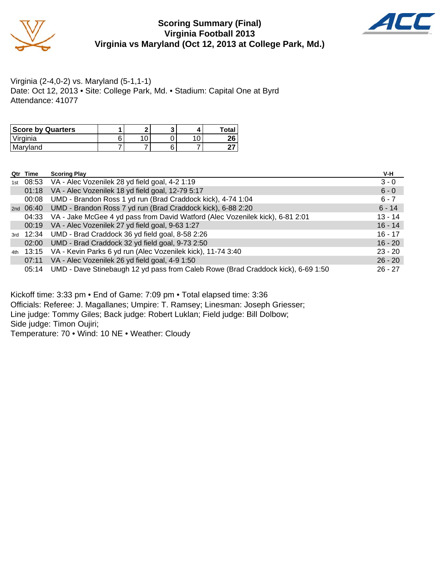

# **Scoring Summary (Final) Virginia Football 2013 Virginia vs Maryland (Oct 12, 2013 at College Park, Md.)**



Virginia (2-4,0-2) vs. Maryland (5-1,1-1) Date: Oct 12, 2013 • Site: College Park, Md. • Stadium: Capital One at Byrd Attendance: 41077

| <b>Score by Quarters</b> |   | e |  | Total    |
|--------------------------|---|---|--|----------|
| Virginia                 | c |   |  | ጎድ<br>ΔU |
| l Marvland               |   |   |  |          |

| Qtr Time | <b>Scoring Play</b>                                                                    | V-H       |
|----------|----------------------------------------------------------------------------------------|-----------|
|          | 1st 08:53 VA - Alec Vozenilek 28 yd field goal, 4-2 1:19                               | $3 - 0$   |
| 01:18    | VA - Alec Vozenilek 18 yd field goal, 12-79 5:17                                       | $6 - 0$   |
| 00:08    | UMD - Brandon Ross 1 yd run (Brad Craddock kick), 4-74 1:04                            | $6 - 7$   |
|          | 2nd 06:40 UMD - Brandon Ross 7 yd run (Brad Craddock kick), 6-88 2:20                  | $6 - 14$  |
|          | 04:33 VA - Jake McGee 4 yd pass from David Watford (Alec Vozenilek kick), 6-81 2:01    | $13 - 14$ |
|          | 00:19 VA - Alec Vozenilek 27 yd field goal, 9-63 1:27                                  | $16 - 14$ |
|          | 3rd 12:34 UMD - Brad Craddock 36 yd field goal, 8-58 2:26                              | $16 - 17$ |
|          | 02:00 UMD - Brad Craddock 32 yd field goal, 9-73 2:50                                  | $16 - 20$ |
|          | 4th 13:15 VA - Kevin Parks 6 yd run (Alec Vozenilek kick), 11-74 3:40                  | $23 - 20$ |
|          | 07:11 VA - Alec Vozenilek 26 yd field goal, 4-9 1:50                                   | $26 - 20$ |
|          | 05:14 UMD - Dave Stinebaugh 12 yd pass from Caleb Rowe (Brad Craddock kick), 6-69 1:50 | $26 - 27$ |

Kickoff time: 3:33 pm • End of Game: 7:09 pm • Total elapsed time: 3:36 Officials: Referee: J. Magallanes; Umpire: T. Ramsey; Linesman: Joseph Griesser;

Line judge: Tommy Giles; Back judge: Robert Luklan; Field judge: Bill Dolbow;

Side judge: Timon Oujiri;

Temperature: 70 • Wind: 10 NE • Weather: Cloudy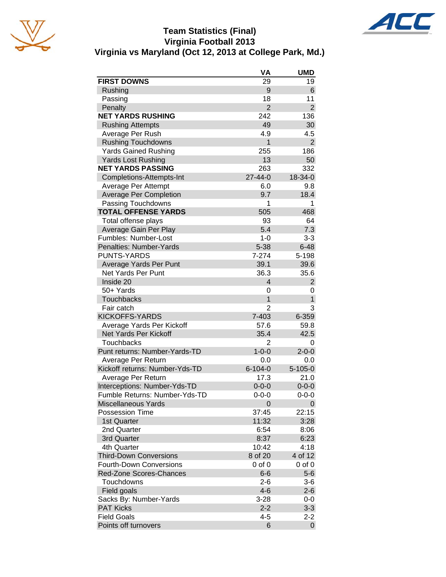

# **Team Statistics (Final) Virginia Football 2013 Virginia vs Maryland (Oct 12, 2013 at College Park, Md.)**

|                                                    | VA             | <b>UMD</b>     |
|----------------------------------------------------|----------------|----------------|
| <b>FIRST DOWNS</b>                                 | 29             | 19             |
| Rushing                                            | 9              | 6              |
| Passing                                            | 18             | 11             |
| Penalty                                            | $\overline{2}$ | $\overline{2}$ |
| <b>NET YARDS RUSHING</b>                           | 242            | 136            |
| <b>Rushing Attempts</b>                            | 49             | 30             |
| Average Per Rush                                   | 4.9            | 4.5            |
| <b>Rushing Touchdowns</b>                          | 1              | $\overline{2}$ |
| <b>Yards Gained Rushing</b>                        | 255            | 186            |
| Yards Lost Rushing                                 | 13             | 50             |
| <b>NET YARDS PASSING</b>                           | 263            | 332            |
| Completions-Attempts-Int                           | $27 - 44 - 0$  | 18-34-0        |
| Average Per Attempt                                | 6.0            | 9.8            |
| <b>Average Per Completion</b>                      | 9.7            | 18.4           |
| Passing Touchdowns                                 | 1              | 1              |
| <b>TOTAL OFFENSE YARDS</b>                         | 505            | 468            |
| Total offense plays                                | 93             | 64             |
| Average Gain Per Play                              | 5.4            | 7.3            |
| Fumbles: Number-Lost                               | $1 - 0$        | $3 - 3$        |
| Penalties: Number-Yards                            | $5 - 38$       | $6 - 48$       |
| <b>PUNTS-YARDS</b>                                 | 7-274          | 5-198          |
| Average Yards Per Punt                             | 39.1           | 39.6           |
| <b>Net Yards Per Punt</b>                          | 36.3           | 35.6           |
| Inside 20                                          | $\overline{4}$ | $\overline{2}$ |
| 50+ Yards                                          | 0              | 0              |
| <b>Touchbacks</b>                                  | 1              | $\mathbf{1}$   |
| Fair catch                                         | 2              | 3              |
| <b>KICKOFFS-YARDS</b>                              | 7-403          | 6-359          |
|                                                    | 57.6           | 59.8           |
| Average Yards Per Kickoff<br>Net Yards Per Kickoff |                | 42.5           |
|                                                    | 35.4           |                |
| <b>Touchbacks</b>                                  | $\overline{2}$ | 0              |
| Punt returns: Number-Yards-TD                      | $1 - 0 - 0$    | $2 - 0 - 0$    |
| Average Per Return                                 | 0.0            | 0.0            |
| Kickoff returns: Number-Yds-TD                     | $6 - 104 - 0$  | $5 - 105 - 0$  |
| Average Per Return                                 | 17.3           | 21.0           |
| Interceptions: Number-Yds-TD                       | $0 - 0 - 0$    | $0 - 0 - 0$    |
| Fumble Returns: Number-Yds-TD                      | $0 - 0 - 0$    | $0 - 0 - 0$    |
| <b>Miscellaneous Yards</b>                         | 0              | 0              |
| <b>Possession Time</b>                             | 37:45          | 22:15          |
| 1st Quarter                                        | 11:32          | 3:28           |
| 2nd Quarter                                        | 6:54           | 8:06           |
| 3rd Quarter                                        | 8:37           | 6:23           |
| 4th Quarter                                        | 10:42          | 4:18           |
| <b>Third-Down Conversions</b>                      | 8 of 20        | 4 of 12        |
| <b>Fourth-Down Conversions</b>                     | 0 of 0         | $0$ of $0$     |
| <b>Red-Zone Scores-Chances</b>                     | $6-6$          | $5-6$          |
| Touchdowns                                         | $2 - 6$        | $3-6$          |
| Field goals                                        | $4 - 6$        | $2 - 6$        |
| Sacks By: Number-Yards                             | $3 - 28$       | $0-0$          |
| <b>PAT Kicks</b>                                   | $2 - 2$        | $3 - 3$        |
| <b>Field Goals</b>                                 | $4 - 5$        | $2 - 2$        |
| Points off turnovers                               | 6              | 0              |

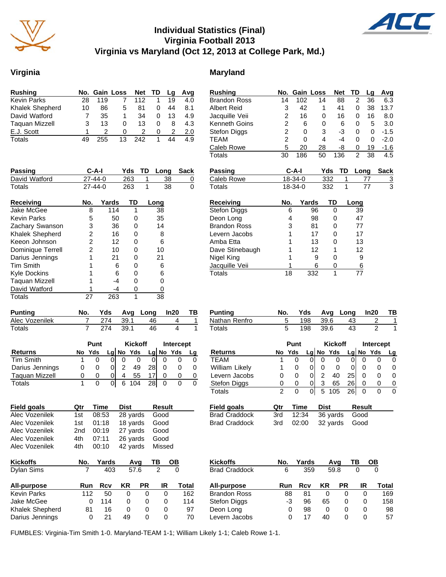

# **Individual Statistics (Final) Virginia Football 2013 Virginia vs Maryland (Oct 12, 2013 at College Park, Md.)**

## **Virginia** Maryland

| <b>Rushing</b>        |    | No. Gain Loss |    | Net TD |   | La | Avg |
|-----------------------|----|---------------|----|--------|---|----|-----|
| <b>Kevin Parks</b>    | 28 | 119           |    | 112    |   | 19 | 4.0 |
| Khalek Shepherd       | 10 | 86            | 5  | 81     | O | 44 | 8.1 |
| David Watford         |    | 35            | 1  | 34     | 0 | 13 | 4.9 |
| <b>Taquan Mizzell</b> | 3  | 13            | 0  | 13     | 0 | 8  | 4.3 |
| E.J. Scott            |    |               | O  |        | 0 | 2  | 2.0 |
| Totals                |    | 255           | 13 | 242    |   | 44 | 4.9 |

| <b>Passing</b>         | $C-A-I$       |       | Yds | TD | Long | Sack |
|------------------------|---------------|-------|-----|----|------|------|
| David Watford          | $27 - 44 - 0$ |       | 263 | 1  | 38   | 0    |
| Totals                 | $27 - 44 - 0$ |       | 263 | 1  | 38   | 0    |
| <b>Receiving</b>       | No.           | Yards | TD  |    | Long |      |
| Jake McGee             | 8             | 114   |     |    | 38   |      |
| <b>Kevin Parks</b>     | 5             | 50    | 0   |    | 35   |      |
| Zachary Swanson        | 3             | 36    | 0   |    | 14   |      |
| <b>Khalek Shepherd</b> | 2             | 16    | 0   |    | 8    |      |
| Keeon Johnson          | 2             | 12    | Ω   |    | 6    |      |
| Dominique Terrell      | 2             | 10    | Ω   |    | 10   |      |
| Darius Jennings        |               | 21    | 0   |    | 21   |      |
| <b>Tim Smith</b>       |               | 6     | 0   |    | 6    |      |
| <b>Kyle Dockins</b>    |               | 6     | 0   |    | 6    |      |
| <b>Taguan Mizzell</b>  |               | -4    | 0   |    | ი    |      |
| David Watford          |               | -4    | 0   |    | 0    |      |
| Totals                 | 27            | 263   | 1   |    | 38   |      |

| <b>Punting</b> | No. |     |        | Yds Avg Long In20 |  |
|----------------|-----|-----|--------|-------------------|--|
| Alec Vozenilek |     | 274 | - 39.1 | 46                |  |
| Totals         |     | 274 | - 39.1 | 46                |  |

|                       | Punt |        |   | <b>Kickoff</b> |             |    | Intercept |           |    |
|-----------------------|------|--------|---|----------------|-------------|----|-----------|-----------|----|
| <b>Returns</b>        |      | No Yds |   |                | $Lq$ No Yds |    |           | Lg No Yds | Lq |
| Tim Smith             |      |        |   |                |             |    |           |           |    |
| Darius Jennings       | 0    |        |   | 2              | 49          | 28 |           |           |    |
| <b>Taguan Mizzell</b> | 0    | 0      | 0 | 4              | 55          |    |           |           |    |
| Totals                |      |        |   |                | 104         | 28 |           |           |    |

| <b>Field goals</b> | Qtr | Time      | Dist            | <b>Result</b> |
|--------------------|-----|-----------|-----------------|---------------|
| Alec Vozenilek     | 1st | 08:53     | 28 yards Good   |               |
| Alec Vozenilek     |     | 1st 01:18 | 18 yards Good   |               |
| Alec Vozenilek     |     | 2nd 00:19 | 27 yards Good   |               |
| Alec Vozenilek     |     | 4th 07:11 | 26 yards Good   |               |
| Alec Vozenilek     | 4th | 00:10     | 42 yards Missed |               |

| <b>Kickoffs</b>    | No.      | Yards |      | Avq       | ΤВ | OΒ    |
|--------------------|----------|-------|------|-----------|----|-------|
| Dylan Sims         |          | 403   | 57.6 |           | 2  |       |
| All-purpose        | Run      | Rcv   | ΚR   | <b>PR</b> | IR | Total |
| <b>Kevin Parks</b> | 112      | 50    | 0    | 0         | 0  | 162   |
| Jake McGee         | Ω        | 114   | 0    | 0         | 0  | 114   |
| Khalek Shepherd    | 81       | 16    | 0    | 0         | O  | 97    |
| Darius Jennings    | $\Omega$ | 21    | 49   | O         | O  | 70    |

| <b>Brandon Ross</b> | 14             | 102     | 14  |     | 88  | 2    | 36   | 6.3            |
|---------------------|----------------|---------|-----|-----|-----|------|------|----------------|
| <b>Albert Reid</b>  | 3              | 42      | 1   |     | 41  | 0    | 38   | 13.7           |
| Jacquille Veii      | $\overline{2}$ | 16      | 0   |     | 16  | 0    | 16   | 8.0            |
| Kenneth Goins       | $\overline{c}$ | 6       | 0   |     | 6   | 0    | 5    | 3.0            |
| Stefon Diggs        | 2              | 0       | 3   |     | -3  | 0    | 0    | $-1.5$         |
| <b>TEAM</b>         | $\overline{c}$ | 0       | 4   |     | -4  | 0    | 0    | $-2.0$         |
| Caleb Rowe          | 5              | 20      | 28  |     | -8  | 0    | 19   | $-1.6$         |
| Totals              | 30             | 186     | 50  |     | 136 | 2    | 38   | 4.5            |
|                     |                |         |     |     |     |      |      |                |
| Passing             |                | C-A-I   |     | Yds | TD  |      | Long | Sack           |
| Caleb Rowe          |                | 18-34-0 |     | 332 | 1   |      | 77   | $\overline{3}$ |
| Totals              |                | 18-34-0 |     | 332 | 1   |      | 77   | 3              |
|                     |                |         |     |     |     |      |      |                |
|                     |                |         |     |     |     |      |      |                |
| Receiving           | No.            | Yards   |     | TD  |     | Long |      |                |
| Stefon Diggs        | 6              |         | 96  | 0   |     | 39   |      |                |
| Deon Long           | 4              |         | 98  | 0   |     | 47   |      |                |
| <b>Brandon Ross</b> | 3              |         | 81  | 0   |     | 77   |      |                |
| Levern Jacobs       | 1              |         | 17  | 0   |     | 17   |      |                |
| Amba Etta           | 1              |         | 13  | 0   |     | 13   |      |                |
| Dave Stinebaugh     | 1              |         | 12  | 1   |     | 12   |      |                |
| Nigel King          | 1              |         | 9   | 0   |     | 9    |      |                |
| Jacquille Veii      | 1              |         | 6   | 0   |     | 6    |      |                |
| Totals              | 18             |         | 332 | 1   |     | 77   |      |                |

**Rushing No. Gain Loss Net TD Lg Avg**

| Punting       |  |          | Yds Avg Long In20 | <b>TB</b> |
|---------------|--|----------|-------------------|-----------|
| Nathan Renfro |  | 198 39.6 | 43                |           |
| Totals        |  | 198 39.6 | 43                |           |

|                | <b>Punt</b> |              |   | <b>Kickoff</b> |           |     | <b>Intercept</b> |     |    |
|----------------|-------------|--------------|---|----------------|-----------|-----|------------------|-----|----|
| Returns        | No          | Yds          |   |                | Lg No Yds | Lal | No.              | Yds | Lq |
| TFAM           |             | O)           |   |                |           |     |                  |     |    |
| William Likely |             |              |   |                |           |     |                  |     |    |
| Levern Jacobs  | O           | $\Omega$     | 0 |                | 40        | 25  |                  |     |    |
| Stefon Diggs   | O           | $\mathbf{0}$ | 0 | 3              | 65        | 26  | O                |     |    |
| Totals         | 2           |              |   |                | 105       | 26  |                  |     |    |

| Field goals   | Otr | Time | Dist                    | Result |
|---------------|-----|------|-------------------------|--------|
| Brad Craddock |     |      | 3rd 12:34 36 yards Good |        |
| Brad Craddock |     |      | 3rd 02:00 32 yards Good |        |

| Kickoffs             | No. | Yards |    | Avq       | ΤВ | OΒ    |
|----------------------|-----|-------|----|-----------|----|-------|
| <b>Brad Craddock</b> | 6   | 359   |    | 59.8      |    |       |
| All-purpose          | Run | Rcv   | KR | <b>PR</b> | IR | Total |
| <b>Brandon Ross</b>  | 88  | 81    | 0  |           |    | 169   |
| Stefon Diggs         | -3  | 96    | 65 | Ω         | 0  | 158   |
| Deon Long            | 0   | 98    | 0  | O         | O  | 98    |
| Levern Jacobs        | O   | 17    | 40 |           |    | 57    |
|                      |     |       |    |           |    |       |

FUMBLES: Virginia-Tim Smith 1-0. Maryland-TEAM 1-1; William Likely 1-1; Caleb Rowe 1-1.

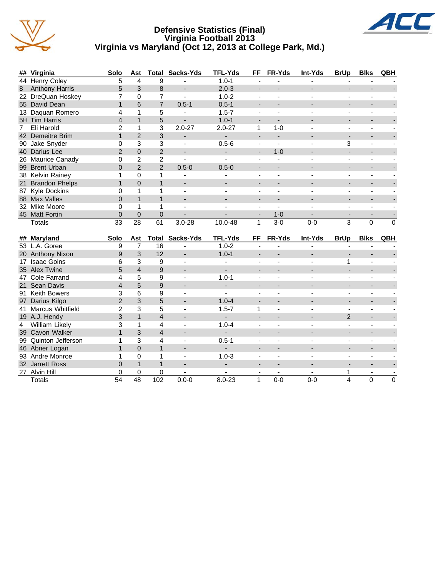

## **Defensive Statistics (Final) Virginia Football 2013 Virginia vs Maryland (Oct 12, 2013 at College Park, Md.)**



|   | ## Virginia       | <b>Solo</b> | Ast      |                | <b>Total Sacks-Yds</b>   | <b>TFL-Yds</b> | FF | FR-Yds  | Int-Yds | <b>BrUp</b> | <b>Blks</b> | QBH          |
|---|-------------------|-------------|----------|----------------|--------------------------|----------------|----|---------|---------|-------------|-------------|--------------|
|   | 44 Henry Coley    | 5           | 4        | 9              |                          | $1.0 - 1$      |    |         |         |             |             |              |
|   | 8 Anthony Harris  | 5.          | 3        | 8              |                          | $2.0 - 3$      |    |         |         |             |             |              |
|   | 22 DreQuan Hoskey |             | 0        |                |                          | $1.0 - 2$      |    |         |         |             |             |              |
|   | 55 David Dean     |             | 6        |                | $0.5 - 1$                | $0.5 - 1$      |    |         |         |             |             |              |
|   | 13 Daquan Romero  |             |          | 5              |                          | $1.5 - 7$      |    |         |         |             |             |              |
|   | 5H Tim Harris     |             |          | 5              |                          | $1.0 - 1$      |    |         |         |             |             |              |
| 7 | Eli Harold        |             |          | 3              | $2.0 - 27$               | $2.0 - 27$     |    | 1-0     |         |             |             |              |
|   | 42 Demeitre Brim  |             | 2        | 3              |                          |                |    |         |         |             |             |              |
|   | 90 Jake Snyder    |             | 3        | 3              |                          | $0.5 - 6$      |    |         |         | 3           |             |              |
|   | 40 Darius Lee     |             | $\Omega$ | 2              |                          |                | -  | $1 - 0$ |         |             |             |              |
|   | 26 Maurice Canady |             | 2        | $\overline{2}$ |                          |                |    |         |         |             |             |              |
|   | 99 Brent Urban    | 0           | 2        | $\overline{2}$ | $0.5 - 0$                | $0.5 - 0$      |    |         |         |             |             |              |
|   | 38 Kelvin Rainey  |             | 0        |                |                          |                |    |         |         |             |             |              |
|   | 21 Brandon Phelps |             | $\Omega$ |                |                          |                |    |         |         |             |             |              |
|   | 87 Kyle Dockins   |             |          |                |                          |                |    |         |         |             |             |              |
|   | 88 Max Valles     |             |          |                |                          |                |    |         |         |             |             |              |
|   | 32 Mike Moore     |             |          |                | $\overline{\phantom{0}}$ |                |    |         |         |             |             |              |
|   | 45 Matt Fortin    |             | 0        | 0              |                          |                |    | $1 - 0$ |         |             |             |              |
|   | Totals            | 33          | 28       | 61             | $3.0 - 28$               | 10.0-48        |    | $3-0$   | $0 - 0$ | 3           | 0           | $\mathbf{0}$ |

|   | ## Maryland          | <b>Solo</b> | Ast      |     | <b>Total Sacks-Yds</b> | <b>TFL-Yds</b> | FF | <b>FR-Yds</b> | <b>Int-Yds</b> | <b>BrUp</b>   | <b>Blks</b> | QBH |
|---|----------------------|-------------|----------|-----|------------------------|----------------|----|---------------|----------------|---------------|-------------|-----|
|   | 53 L.A. Goree        | 9           |          | 16  |                        | $1.0 - 2$      |    |               |                |               |             |     |
|   | 20 Anthony Nixon     | 9           | 3        | 12  |                        | $1.0 - 1$      |    |               |                |               |             |     |
|   | 17 Isaac Goins       | 6           | 3        | 9   |                        |                |    |               |                |               |             |     |
|   | 35 Alex Twine        | 5           | 4        | 9   |                        |                |    |               |                |               |             |     |
|   | 47 Cole Farrand      |             | 5        | 9   |                        | $1.0 - 1$      |    |               |                |               |             |     |
|   | 21 Sean Davis        |             | 5        | 9   |                        |                |    |               |                |               |             |     |
|   | 91 Keith Bowers      |             | 6        | 9   |                        |                |    |               |                |               |             |     |
|   | 97 Darius Kilgo      | 2           | 3        | 5   |                        | $1.0 - 4$      |    |               |                |               |             |     |
|   | 41 Marcus Whitfield  |             | 3        | 5   |                        | $1.5 - 7$      |    |               |                |               |             |     |
|   | 19 A.J. Hendy        | 3           |          | 4   |                        |                |    |               |                | $\mathcal{P}$ |             |     |
| 4 | William Likely       |             |          |     |                        | $1.0 - 4$      |    |               |                |               |             |     |
|   | 39 Cavon Walker      |             | 3        | 4   |                        |                |    |               |                |               |             |     |
|   | 99 Quinton Jefferson |             | 3        |     |                        | $0.5 - 1$      |    |               |                |               |             |     |
|   | 46 Abner Logan       |             | $\Omega$ |     |                        |                |    |               |                |               |             |     |
|   | 93 Andre Monroe      |             | 0        |     |                        | $1.0 - 3$      |    |               |                |               |             |     |
|   | 32 Jarrett Ross      | 0           |          |     |                        |                |    |               |                |               |             |     |
|   | 27 Alvin Hill        | 0           | 0        | 0   |                        |                |    |               |                |               |             |     |
|   | Totals               | 54          | 48       | 102 | $0.0 - 0$              | $8.0 - 23$     |    | $0-0$         | $0 - 0$        |               | 0           | 0   |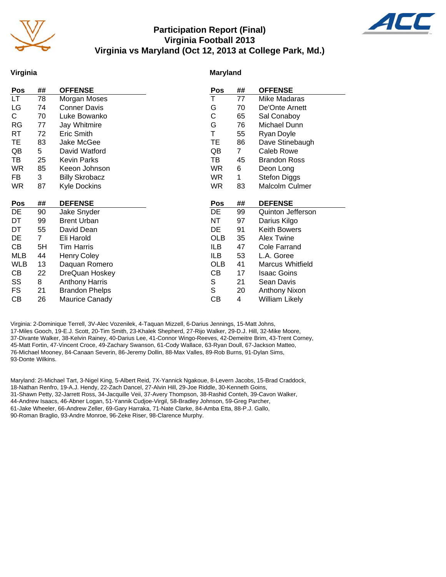

# **Participation Report (Final) Virginia Football 2013 Virginia vs Maryland (Oct 12, 2013 at College Park, Md.)**



## **Virginia**

### **Maryland**

| Pos       | ##             | <b>OFFENSE</b>        | Pos        | ##             | <b>OFFENSE</b>          |
|-----------|----------------|-----------------------|------------|----------------|-------------------------|
| LT.       | 78             | Morgan Moses          | T          | 77             | Mike Madaras            |
| LG        | 74             | <b>Conner Davis</b>   | G          | 70             | De'Onte Arnett          |
| C.        | 70             | Luke Bowanko          | С          | 65             | Sal Conaboy             |
| <b>RG</b> | 77             | Jay Whitmire          | G          | 76             | Michael Dunn            |
| RT        | 72             | Eric Smith            | T          | 55             | Ryan Doyle              |
| TE        | 83             | Jake McGee            | TE         | 86             | Dave Stinebaugh         |
| QB        | 5              | David Watford         | QB         | $\overline{7}$ | Caleb Rowe              |
| TB        | 25             | <b>Kevin Parks</b>    | TB         | 45             | <b>Brandon Ross</b>     |
| WR        | 85             | Keeon Johnson         | WR.        | 6              | Deon Long               |
| FB        | 3              | <b>Billy Skrobacz</b> | WR         | 1              | <b>Stefon Diggs</b>     |
| WR.       | 87             | <b>Kyle Dockins</b>   | WR         | 83             | Malcolm Culmer          |
|           |                |                       |            |                |                         |
|           |                |                       |            |                |                         |
| Pos       | ##             | <b>DEFENSE</b>        | <b>Pos</b> | ##             | <b>DEFENSE</b>          |
| DE        | 90             | Jake Snyder           | DE         | 99             | Quinton Jefferson       |
| DT        | 99             | <b>Brent Urban</b>    | NT         | 97             | Darius Kilgo            |
| DT        | 55             | David Dean            | DE         | 91             | <b>Keith Bowers</b>     |
| DE        | $\overline{7}$ | Eli Harold            | <b>OLB</b> | 35             | <b>Alex Twine</b>       |
| CВ        | 5H             | <b>Tim Harris</b>     | ILB        | 47             | <b>Cole Farrand</b>     |
| MLB       | 44             | <b>Henry Coley</b>    | ILB        | 53             | L.A. Goree              |
| WLB       | 13             | Daquan Romero         | OLB        | 41             | <b>Marcus Whitfield</b> |
| CВ        | 22             | DreQuan Hoskey        | CВ         | 17             | <b>Isaac Goins</b>      |
| SS        | 8              | <b>Anthony Harris</b> | S          | 21             | Sean Davis              |
| FS        | 21             | <b>Brandon Phelps</b> | S          | 20             | <b>Anthony Nixon</b>    |
| СB        | 26             | Maurice Canady        | CВ         | 4              | <b>William Likely</b>   |

Virginia: 2-Dominique Terrell, 3V-Alec Vozenilek, 4-Taquan Mizzell, 6-Darius Jennings, 15-Matt Johns, 17-Miles Gooch, 19-E.J. Scott, 20-Tim Smith, 23-Khalek Shepherd, 27-Rijo Walker, 29-D.J. Hill, 32-Mike Moore, 37-Divante Walker, 38-Kelvin Rainey, 40-Darius Lee, 41-Connor Wingo-Reeves, 42-Demeitre Brim, 43-Trent Corney, 45-Matt Fortin, 47-Vincent Croce, 49-Zachary Swanson, 61-Cody Wallace, 63-Ryan Doull, 67-Jackson Matteo, 76-Michael Mooney, 84-Canaan Severin, 86-Jeremy Dollin, 88-Max Valles, 89-Rob Burns, 91-Dylan Sims, 93-Donte Wilkins.

Maryland: 2I-Michael Tart, 3-Nigel King, 5-Albert Reid, 7X-Yannick Ngakoue, 8-Levern Jacobs, 15-Brad Craddock, 18-Nathan Renfro, 19-A.J. Hendy, 22-Zach Dancel, 27-Alvin Hill, 29-Joe Riddle, 30-Kenneth Goins, 31-Shawn Petty, 32-Jarrett Ross, 34-Jacquille Veii, 37-Avery Thompson, 38-Rashid Conteh, 39-Cavon Walker, 44-Andrew Isaacs, 46-Abner Logan, 51-Yannik Cudjoe-Virgil, 58-Bradley Johnson, 59-Greg Parcher, 61-Jake Wheeler, 66-Andrew Zeller, 69-Gary Harraka, 71-Nate Clarke, 84-Amba Etta, 88-P.J. Gallo, 90-Roman Braglio, 93-Andre Monroe, 96-Zeke Riser, 98-Clarence Murphy.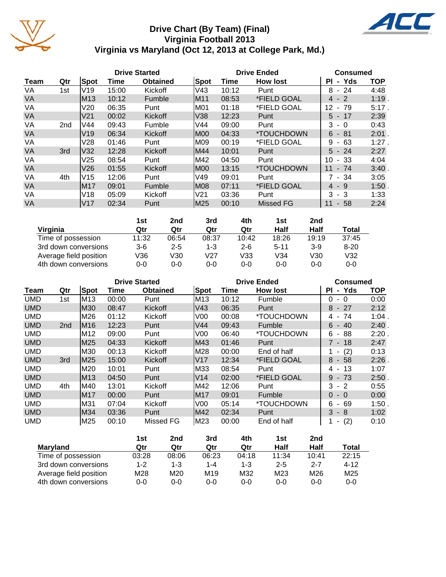

# **Drive Chart (By Team) (Final) Virginia Football 2013 Virginia vs Maryland (Oct 12, 2013 at College Park, Md.)**



|             |                 |                 |       | <b>Drive Started</b> |      | <b>Drive Ended</b> |                           | <b>Consumed</b>             |            |  |  |
|-------------|-----------------|-----------------|-------|----------------------|------|--------------------|---------------------------|-----------------------------|------------|--|--|
| <b>Team</b> | Qtr             | Spot            | Time  | <b>Obtained</b>      | Spot | Time               | <b>How lost</b>           | Yds<br>ΡI<br>$\blacksquare$ | <b>TOP</b> |  |  |
| VA          | 1st             | IV19            | 15:00 | Kickoff              | lV43 | 10:12              | Punt                      | 8<br>- 24                   | 4:48       |  |  |
| <b>VA</b>   |                 | M13             | 10:12 | <b>Fumble</b>        | M11  | 08:53              | *FIELD GOAL               | $-2$<br>4                   | 1:19       |  |  |
| VA          |                 | V20             | 06:35 | Punt                 | M01  | 01:18              | *FIELD GOAL               | 12<br>79<br>$\blacksquare$  | 5:17.      |  |  |
| VA          |                 | V <sub>21</sub> | 00:02 | Kickoff              | V38  | 12:23              | Punt                      | $5 - 17$                    | 2:39       |  |  |
| VA          | 2 <sub>nd</sub> | <b>V44</b>      | 09:43 | Fumble               | V44  | 09:00              | Punt                      | 3<br>- 0                    | 0:43       |  |  |
| <b>VA</b>   |                 | V <sub>19</sub> | 06:34 | Kickoff              | IM00 | 04:33              | <i><b>*TOUCHDOWN</b></i>  | 6<br>$-81$                  | 2:01       |  |  |
| VA          |                 | V28             | 01:46 | Punt                 | M09  | 00:19              | *FIELD GOAL               | 9<br>63<br>$\sim$           | 1:27       |  |  |
| <b>VA</b>   | 3rd             | V32             | 12:28 | Kickoff              | M44  | 10:01              | Punt                      | $5 - 24$                    | 2:27       |  |  |
| VA          |                 | V <sub>25</sub> | 08:54 | Punt                 | M42  | 04:50              | Punt                      | 10<br>- 33                  | 4:04       |  |  |
| VA          |                 | V26             | 01:55 | Kickoff              | IM00 | 13:15              | <i><b>*TOUCHDOWN</b></i>  | 11<br>$-74$                 | 3:40       |  |  |
| VA          | 4th             | V15             | 12:06 | Punt                 | V49  | 09:01              | Punt                      | 7 - 34                      | 3:05       |  |  |
| <b>VA</b>   |                 | M17             | 09:01 | <b>Fumble</b>        | M08  | 07:11              | <i><b>*FIELD GOAL</b></i> | - 9<br>4                    | 1:50       |  |  |
| VA          |                 | V18             | 05:09 | Kickoff              | V21  | 03:36              | Punt                      | 3<br>- 3                    | 1:33       |  |  |
| <b>VA</b>   |                 | V17             | 02:34 | Punt                 | M25  | 00:10              | <b>Missed FG</b>          | 11<br>58<br>$\sim$          | 2:24       |  |  |

|                        | 1st   | 2nd     | 3rd   | 4th     | 1st      | 2nd     |          |
|------------------------|-------|---------|-------|---------|----------|---------|----------|
| Virginia               | Qtr   | Qtr     | Qtr   | Qtr     | Half     | Half    | Total    |
| Time of possession     | 11:32 | 06:54   | 08:37 | 10:42   | 18:26    | 19:19   | 37:45    |
| 3rd down conversions   | $3-6$ | $2 - 5$ | 1-3   | $2 - 6$ | $5 - 11$ | $3-9$   | $8 - 20$ |
| Average field position | V36   | V30     | V27   | V33     | V34      | V30     | V32      |
| 4th down conversions   | 0-0   | 0-0     | 0-0   | 0-0     | $0 - 0$  | $0 - 0$ | $0 - 0$  |

|            |                 |      |       | <b>Drive Started</b> |                | <b>Drive Ended</b> | Consumed                 |                                     |            |  |
|------------|-----------------|------|-------|----------------------|----------------|--------------------|--------------------------|-------------------------------------|------------|--|
| Team       | Qtr             | Spot | Time  | <b>Obtained</b>      | Spot           | Time               | <b>How lost</b>          | - Yds<br>ΡI                         | <b>TOP</b> |  |
| <b>UMD</b> | 1st             | M13  | 00:00 | Punt                 | M13            | 10:12              | Fumble                   | $\Omega$<br>$\Omega$<br>۰.          | 0:00       |  |
| <b>UMD</b> |                 | M30  | 08:47 | Kickoff              | V43            | 06:35              | Punt                     | 8<br>- 27                           | 2:12       |  |
| <b>UMD</b> |                 | M26  | 01:12 | Kickoff              | V00            | 00:08              | *TOUCHDOWN               | 74<br>4 -                           | 1:04       |  |
| <b>UMD</b> | 2 <sub>nd</sub> | M16  | 12:23 | Punt                 | V44            | 09:43              | <b>Fumble</b>            | 40<br>6<br>$\sim$                   | 2:40       |  |
| <b>UMD</b> |                 | M12  | 09:00 | Punt                 | V <sub>0</sub> | 06:40              | <i><b>*TOUCHDOWN</b></i> | 88<br>6<br>$\overline{\phantom{a}}$ | 2:20       |  |
| <b>UMD</b> |                 | M25  | 04:33 | Kickoff              | IM43           | 01:46              | Punt                     | 7 - 18                              | 2:47       |  |
| <b>UMD</b> |                 | M30  | 00:13 | Kickoff              | M28            | 00:00              | End of half              | (2)                                 | 0:13       |  |
| <b>UMD</b> | 3rd             | M25  | 15:00 | Kickoff              | V17            | 12:34              | *FIELD GOAL              | 8<br>- 58                           | 2:26       |  |
| <b>UMD</b> |                 | M20  | 10:01 | Punt                 | M33            | 08:54              | Punt                     | -13<br>4 -                          | 1:07       |  |
| <b>UMD</b> |                 | M13  | 04:50 | Punt                 | V14            | 02:00              | *FIELD GOAL              | 9<br>$-73$                          | 2:50       |  |
| <b>UMD</b> | 4th             | M40  | 13:01 | Kickoff              | M42            | 12:06              | Punt                     | 3<br>$-2$                           | 0:55       |  |
| <b>UMD</b> |                 | M17  | 00:00 | Punt                 | M17            | 09:01              | Fumble                   | $\Omega$<br>$-0$                    | 0:00       |  |
| <b>UMD</b> |                 | M31  | 07:04 | Kickoff              | V <sub>0</sub> | 05:14              | *TOUCHDOWN               | 6<br>69<br>$\blacksquare$           | 1:50       |  |
| <b>UMD</b> |                 | M34  | 03:36 | Punt                 | M42            | 02:34              | Punt                     | 3<br>- 8                            | 1:02       |  |
| <b>UMD</b> |                 | M25  | 00:10 | Missed FG            | M23            | 00:00              | End of half              | (2)<br>٠                            | 0:10       |  |

|                        | 1st     | 2nd     | 3rd             | 4th     | 1st     | 2nd     |                 |
|------------------------|---------|---------|-----------------|---------|---------|---------|-----------------|
| <b>Maryland</b>        | Qtr     | Qtr     | Qtr             | Qtr     | Half    | Half    | Total           |
| Time of possession     | 03:28   | 08:06   | 06:23           | 04:18   | 11:34   | 10:41   | 22:15           |
| 3rd down conversions   | $1 - 2$ | $1 - 3$ | $1 - 4$         | $1 - 3$ | $2 - 5$ | $2 - 7$ | $4 - 12$        |
| Average field position | M28     | M20     | M <sub>19</sub> | M32     | M23     | M26     | M <sub>25</sub> |
| 4th down conversions   | 0-0     | 0-0     | $0 - 0$         | $0 - 0$ | $0 - 0$ | 0-0     | 0-0             |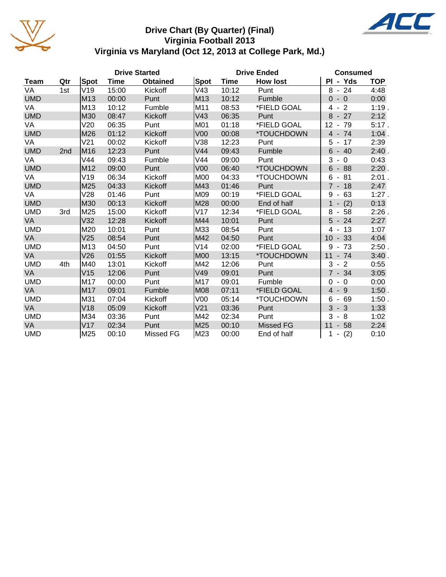

# **Drive Chart (By Quarter) (Final) Virginia Football 2013 Virginia vs Maryland (Oct 12, 2013 at College Park, Md.)**

ACL

|            |                 |                 |       | <b>Drive Started</b> |                 | <b>Drive Ended</b> |                 | <b>Consumed</b>                       |            |  |
|------------|-----------------|-----------------|-------|----------------------|-----------------|--------------------|-----------------|---------------------------------------|------------|--|
| Team       | Qtr             | Spot            | Time  | <b>Obtained</b>      | Spot            | Time               | <b>How lost</b> | PI - Yds                              | <b>TOP</b> |  |
| VA         | 1st             | V19             | 15:00 | Kickoff              | V43             | 10:12              | Punt            | 8<br>$-24$                            | 4:48       |  |
| <b>UMD</b> |                 | M13             | 00:00 | Punt                 | M13             | 10:12              | Fumble          | $-0$<br>$\Omega$                      | 0:00       |  |
| VA         |                 | M <sub>13</sub> | 10:12 | Fumble               | M11             | 08:53              | *FIELD GOAL     | $-2$<br>4                             | 1:19.      |  |
| <b>UMD</b> |                 | M30             | 08:47 | Kickoff              | V43             | 06:35              | Punt            | 8<br>$-27$                            | 2:12       |  |
| VA         |                 | V20             | 06:35 | Punt                 | M01             | 01:18              | *FIELD GOAL     | 12<br>$-79$                           | 5:17.      |  |
| <b>UMD</b> |                 | M26             | 01:12 | Kickoff              | V <sub>00</sub> | 00:08              | *TOUCHDOWN      | $4 - 74$                              | $1:04$ .   |  |
| VA         |                 | V <sub>21</sub> | 00:02 | Kickoff              | V38             | 12:23              | Punt            | 17<br>5<br>$\blacksquare$             | 2:39       |  |
| <b>UMD</b> | 2 <sub>nd</sub> | M <sub>16</sub> | 12:23 | Punt                 | V44             | 09:43              | Fumble          | 6<br>$-40$                            | 2:40.      |  |
| VA         |                 | V44             | 09:43 | Fumble               | V44             | 09:00              | Punt            | 3<br>$\overline{0}$<br>$\blacksquare$ | 0:43       |  |
| <b>UMD</b> |                 | M12             | 09:00 | Punt                 | V <sub>00</sub> | 06:40              | *TOUCHDOWN      | $6 - 88$                              | 2:20.      |  |
| VA         |                 | V19             | 06:34 | Kickoff              | <b>M00</b>      | 04:33              | *TOUCHDOWN      | 6<br>81<br>$\blacksquare$             | $2:01$ .   |  |
| <b>UMD</b> |                 | M25             | 04:33 | Kickoff              | M43             | 01:46              | Punt            | $7 - 18$                              | 2:47       |  |
| VA         |                 | V28             | 01:46 | Punt                 | M09             | 00:19              | *FIELD GOAL     | 9<br>$-63$                            | $1:27$ .   |  |
| <b>UMD</b> |                 | M30             | 00:13 | Kickoff              | M28             | 00:00              | End of half     | $\mathbf{1}$<br>(2)<br>$\blacksquare$ | 0:13       |  |
| <b>UMD</b> | 3rd             | M25             | 15:00 | Kickoff              | V17             | 12:34              | *FIELD GOAL     | $8 - 58$                              | 2:26       |  |
| <b>VA</b>  |                 | V32             | 12:28 | Kickoff              | M44             | 10:01              | Punt            | $5 - 24$                              | 2:27       |  |
| <b>UMD</b> |                 | M20             | 10:01 | Punt                 | M33             | 08:54              | Punt            | $4 - 13$                              | 1:07       |  |
| <b>VA</b>  |                 | V25             | 08:54 | Punt                 | M42             | 04:50              | Punt            | $-33$<br>10                           | 4:04       |  |
| <b>UMD</b> |                 | M13             | 04:50 | Punt                 | V14             | 02:00              | *FIELD GOAL     | 9<br>$-73$                            | 2:50.      |  |
| <b>VA</b>  |                 | V26             | 01:55 | Kickoff              | <b>M00</b>      | 13:15              | *TOUCHDOWN      | 11<br>$-74$                           | 3:40       |  |
| <b>UMD</b> | 4th             | M40             | 13:01 | Kickoff              | M42             | 12:06              | Punt            | 3<br>$-2$                             | 0:55       |  |
| <b>VA</b>  |                 | V15             | 12:06 | Punt                 | V49             | 09:01              | Punt            | $7 - 34$                              | 3:05       |  |
| <b>UMD</b> |                 | M17             | 00:00 | Punt                 | M17             | 09:01              | Fumble          | $-0$<br>$\Omega$                      | 0:00       |  |
| <b>VA</b>  |                 | M17             | 09:01 | Fumble               | <b>M08</b>      | 07:11              | *FIELD GOAL     | $-9$<br>$\overline{4}$                | 1:50.      |  |
| <b>UMD</b> |                 | M31             | 07:04 | Kickoff              | V00             | 05:14              | *TOUCHDOWN      | 6<br>- 69                             | 1:50.      |  |
| VA         |                 | V18             | 05:09 | Kickoff              | V <sub>21</sub> | 03:36              | Punt            | 3<br>$-3$                             | 1:33       |  |
| <b>UMD</b> |                 | M34             | 03:36 | Punt                 | M42             | 02:34              | Punt            | 3<br>$-8$                             | 1:02       |  |
| VA         |                 | V17             | 02:34 | Punt                 | M25             | 00:10              | Missed FG       | 11<br>$-58$                           | 2:24       |  |
| <b>UMD</b> |                 | M25             | 00:10 | Missed FG            | M23             | 00:00              | End of half     | (2)<br>1<br>$\blacksquare$            | 0:10       |  |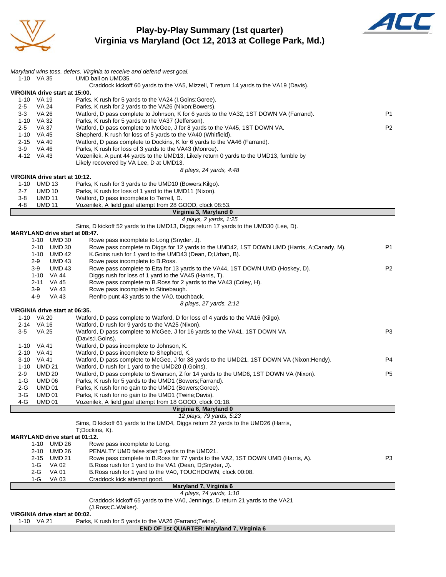

# **Play-by-Play Summary (1st quarter) Virginia vs Maryland (Oct 12, 2013 at College Park, Md.)**



|                                              | Maryland wins toss, defers. Virginia to receive and defend west goal.                                                                    |                |
|----------------------------------------------|------------------------------------------------------------------------------------------------------------------------------------------|----------------|
| 1-10 VA 35                                   | UMD ball on UMD35.                                                                                                                       |                |
|                                              | Craddock kickoff 60 yards to the VA5, Mizzell, T return 14 yards to the VA19 (Davis).                                                    |                |
| VIRGINIA drive start at 15:00.<br>1-10 VA 19 |                                                                                                                                          |                |
| $2 - 5$<br>VA 24                             | Parks, K rush for 5 yards to the VA24 (I.Goins; Goree).<br>Parks, K rush for 2 yards to the VA26 (Nixon; Bowers).                        |                |
| <b>VA 26</b><br>3-3                          | Watford, D pass complete to Johnson, K for 6 yards to the VA32, 1ST DOWN VA (Farrand).                                                   | P1             |
| 1-10 VA 32                                   | Parks, K rush for 5 yards to the VA37 (Jefferson).                                                                                       |                |
| <b>VA 37</b><br>2-5                          | Watford, D pass complete to McGee, J for 8 yards to the VA45, 1ST DOWN VA.                                                               | P <sub>2</sub> |
| 1-10 VA 45                                   | Shepherd, K rush for loss of 5 yards to the VA40 (Whitfield).                                                                            |                |
| 2-15 VA 40                                   | Watford, D pass complete to Dockins, K for 6 yards to the VA46 (Farrand).                                                                |                |
| 3-9<br>VA 46<br>4-12 VA 43                   | Parks, K rush for loss of 3 yards to the VA43 (Monroe).                                                                                  |                |
|                                              | Vozenilek, A punt 44 yards to the UMD13, Likely return 0 yards to the UMD13, fumble by<br>Likely recovered by VA Lee, D at UMD13.        |                |
|                                              | 8 plays, 24 yards, 4:48                                                                                                                  |                |
| VIRGINIA drive start at 10:12.               |                                                                                                                                          |                |
| 1-10 UMD 13                                  | Parks, K rush for 3 yards to the UMD10 (Bowers; Kilgo).                                                                                  |                |
| <b>UMD 10</b><br>2-7                         | Parks, K rush for loss of 1 yard to the UMD11 (Nixon).                                                                                   |                |
| $3 - 8$<br><b>UMD 11</b>                     | Watford, D pass incomplete to Terrell, D.                                                                                                |                |
| <b>UMD 11</b><br>4-8                         | Vozenilek, A field goal attempt from 28 GOOD, clock 08:53.                                                                               |                |
|                                              | Virginia 3, Maryland 0<br>4 plays, 2 yards, 1:25                                                                                         |                |
|                                              | Sims, D kickoff 52 yards to the UMD13, Diggs return 17 yards to the UMD30 (Lee, D).                                                      |                |
| <b>MARYLAND drive start at 08:47.</b>        |                                                                                                                                          |                |
| 1-10 UMD 30                                  | Rowe pass incomplete to Long (Snyder, J).                                                                                                |                |
| 2-10 UMD 30                                  | Rowe pass complete to Diggs for 12 yards to the UMD42, 1ST DOWN UMD (Harris, A;Canady, M).                                               | P <sub>1</sub> |
| 1-10 UMD 42                                  | K. Goins rush for 1 yard to the UMD43 (Dean, D; Urban, B).                                                                               |                |
| $2-9$<br><b>UMD 43</b>                       | Rowe pass incomplete to B.Ross.                                                                                                          |                |
| $3-9$<br><b>UMD 43</b>                       | Rowe pass complete to Etta for 13 yards to the VA44, 1ST DOWN UMD (Hoskey, D).<br>Diggs rush for loss of 1 yard to the VA45 (Harris, T). | P <sub>2</sub> |
| 1-10 VA 44<br>2-11<br>VA 45                  | Rowe pass complete to B. Ross for 2 yards to the VA43 (Coley, H).                                                                        |                |
| 3-9<br>VA 43                                 | Rowe pass incomplete to Stinebaugh.                                                                                                      |                |
| 4-9<br>VA 43                                 | Renfro punt 43 yards to the VA0, touchback.                                                                                              |                |
|                                              | 8 plays, 27 yards, 2:12                                                                                                                  |                |
| VIRGINIA drive start at 06:35.               |                                                                                                                                          |                |
| 1-10 VA 20                                   | Watford, D pass complete to Watford, D for loss of 4 yards to the VA16 (Kilgo).                                                          |                |
| 2-14 VA 16                                   | Watford, D rush for 9 yards to the VA25 (Nixon).<br>Watford, D pass complete to McGee, J for 16 yards to the VA41, 1ST DOWN VA           | P3             |
| $3 - 5$<br>VA 25                             | (Davis; I. Goins).                                                                                                                       |                |
| 1-10 VA 41                                   | Watford, D pass incomplete to Johnson, K.                                                                                                |                |
| 2-10 VA 41                                   | Watford, D pass incomplete to Shepherd, K.                                                                                               |                |
| 3-10 VA 41                                   | Watford, D pass complete to McGee, J for 38 yards to the UMD21, 1ST DOWN VA (Nixon; Hendy).                                              | P4             |
| 1-10 UMD 21                                  | Watford, D rush for 1 yard to the UMD20 (I.Goins).                                                                                       |                |
| 2-9<br><b>UMD 20</b>                         | Watford, D pass complete to Swanson, Z for 14 yards to the UMD6, 1ST DOWN VA (Nixon).                                                    | P <sub>5</sub> |
| 1-G<br><b>UMD 06</b>                         | Parks, K rush for 5 yards to the UMD1 (Bowers; Farrand).                                                                                 |                |
| $2-G$<br><b>UMD 01</b><br><b>UMD 01</b>      | Parks, K rush for no gain to the UMD1 (Bowers; Goree).                                                                                   |                |
| 3-G<br><b>UMD 01</b><br>4-G                  | Parks, K rush for no gain to the UMD1 (Twine;Davis).<br>Vozenilek, A field goal attempt from 18 GOOD, clock 01:18.                       |                |
|                                              | Virginia 6, Maryland 0                                                                                                                   |                |
|                                              | 12 plays, 79 yards, 5:23                                                                                                                 |                |
|                                              | Sims, D kickoff 61 yards to the UMD4, Diggs return 22 yards to the UMD26 (Harris,                                                        |                |
|                                              | T;Dockins, K).                                                                                                                           |                |
| MARYLAND drive start at 01:12.               |                                                                                                                                          |                |
| 1-10 UMD 26<br><b>UMD 26</b>                 | Rowe pass incomplete to Long.<br>PENALTY UMD false start 5 yards to the UMD21.                                                           |                |
| 2-10<br><b>UMD 21</b><br>$2 - 15$            | Rowe pass complete to B.Ross for 77 yards to the VA2, 1ST DOWN UMD (Harris, A).                                                          | P3             |
| VA 02<br>1-G                                 | B.Ross rush for 1 yard to the VA1 (Dean, D;Snyder, J).                                                                                   |                |
| 2-G<br><b>VA 01</b>                          | B. Ross rush for 1 yard to the VA0, TOUCHDOWN, clock 00:08.                                                                              |                |
| $1-G$<br>VA 03                               | Craddock kick attempt good.                                                                                                              |                |
|                                              | Maryland 7, Virginia 6                                                                                                                   |                |
|                                              | 4 plays, 74 yards, 1:10                                                                                                                  |                |
|                                              | Craddock kickoff 65 yards to the VA0, Jennings, D return 21 yards to the VA21                                                            |                |
| VIRGINIA drive start at 00:02.               | (J.Ross;C.Walker).                                                                                                                       |                |
| 1-10 VA 21                                   | Parks, K rush for 5 yards to the VA26 (Farrand; Twine).                                                                                  |                |
|                                              | END OF 1st QUARTER: Maryland 7, Virginia 6                                                                                               |                |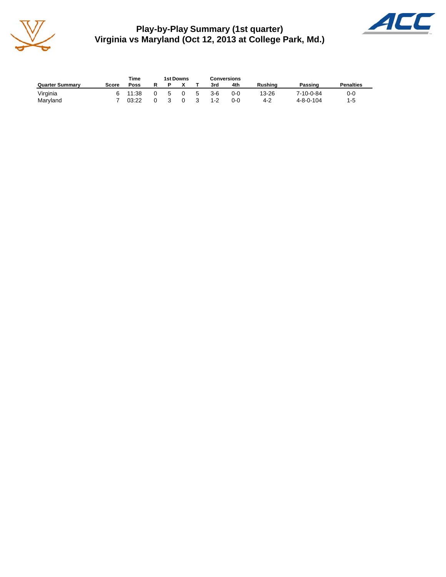

**Play-by-Play Summary (1st quarter) Virginia vs Maryland (Oct 12, 2013 at College Park, Md.)**



|                        |       | Time  | 1st Downs |          |    | Conversions |     |                |                   |                  |
|------------------------|-------|-------|-----------|----------|----|-------------|-----|----------------|-------------------|------------------|
| <b>Quarter Summary</b> | Score | Poss  |           |          |    | 3rd         | 4th | <b>Rushing</b> | Passing           | <b>Penalties</b> |
| Virginia               |       | 11:38 | 5         | $\Omega$ | -5 | $3-6$       | 0-0 | 13-26          | 7-10-0-84         | 0-0              |
| Maryland               |       | 03:22 | 3         |          |    | $1 - 2$     | 0-0 | 4-2            | $4 - 8 - 0 - 104$ | $1 - 5$          |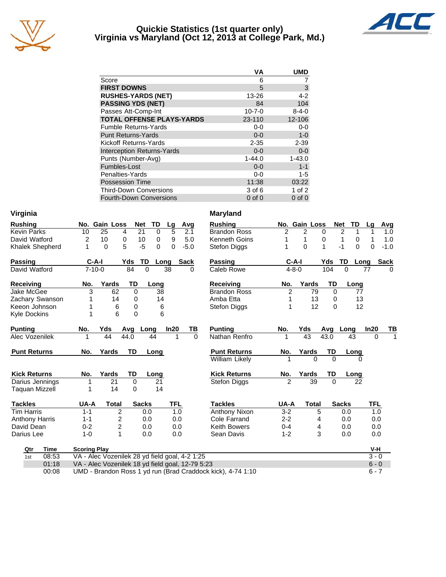

## **Quickie Statistics (1st quarter only) Virginia vs Maryland (Oct 12, 2013 at College Park, Md.)**



|                                   | <b>VA</b>    | <b>UMD</b>  |
|-----------------------------------|--------------|-------------|
| Score                             | 6            |             |
| <b>FIRST DOWNS</b>                | 5            | 3           |
| <b>RUSHES-YARDS (NET)</b>         | 13-26        | $4 - 2$     |
| <b>PASSING YDS (NET)</b>          | 84           | 104         |
| Passes Att-Comp-Int               | $10 - 7 - 0$ | $8 - 4 - 0$ |
| <b>TOTAL OFFENSE PLAYS-YARDS</b>  | 23-110       | 12-106      |
| <b>Fumble Returns-Yards</b>       | $0-0$        | $0-0$       |
| <b>Punt Returns-Yards</b>         | $0 - 0$      | $1 - 0$     |
| Kickoff Returns-Yards             | $2 - 35$     | $2 - 39$    |
| <b>Interception Returns-Yards</b> | $0 - 0$      | $0-0$       |
| Punts (Number-Avg)                | $1 - 44.0$   | $1 - 43.0$  |
| Fumbles-Lost                      | $0 - 0$      | $1 - 1$     |
| Penalties-Yards                   | $0-0$        | $1 - 5$     |
| <b>Possession Time</b>            | 11:38        | 03:22       |
| <b>Third-Down Conversions</b>     | 3 of 6       | 1 of $2$    |
| <b>Fourth-Down Conversions</b>    | $0$ of $0$   | $0$ of $0$  |

| Virginia               |                     |                                                  |              |             |            |          | <b>Maryland</b>                                             |                          |                |             |                |          |          |             |
|------------------------|---------------------|--------------------------------------------------|--------------|-------------|------------|----------|-------------------------------------------------------------|--------------------------|----------------|-------------|----------------|----------|----------|-------------|
| <b>Rushing</b>         |                     | No. Gain Loss                                    | <b>Net</b>   | TD          | Lg         | Avg      | <b>Rushing</b>                                              |                          | No. Gain Loss  |             | <b>Net</b>     | TD       | Lg       | Avg         |
| <b>Kevin Parks</b>     | 10                  | 25<br>4                                          | 21           | $\mathbf 0$ | 5          | 2.1      | <b>Brandon Ross</b>                                         | $\overline{c}$           | $\overline{2}$ | $\mathbf 0$ | $\overline{2}$ | 1        | 1        | 1.0         |
| David Watford          | 2                   | 10<br>0                                          | 10           | 0           | 9          | 5.0      | <b>Kenneth Goins</b>                                        | 1                        | 1              | 0           | 1              | 0        | 1        | 1.0         |
| <b>Khalek Shepherd</b> | 1                   | 5<br>0                                           | $-5$         | $\Omega$    | 0          | $-5.0$   | <b>Stefon Diggs</b>                                         | 1                        | 0              | $\mathbf 1$ | $-1$           | $\Omega$ | $\Omega$ | $-1.0$      |
| <b>Passing</b>         | $C-A-I$             |                                                  | Yds<br>TD    | Long        |            | Sack     | <b>Passing</b>                                              |                          | $C-A-I$        | Yds         | TD             | Long     |          | <b>Sack</b> |
| David Watford          | $7 - 10 - 0$        |                                                  | 84           | $\Omega$    | 38         | 0        | Caleb Rowe                                                  |                          | $4 - 8 - 0$    | 104         | $\Omega$       | 77       |          | $\Omega$    |
| Receiving              | No.                 | Yards                                            | TD           | Long        |            |          | <b>Receiving</b>                                            | No.                      | Yards          |             | TD             | Long     |          |             |
| Jake McGee             | 3                   | 62                                               | $\Omega$     | 38          |            |          | <b>Brandon Ross</b>                                         | 2                        |                | 79          | $\Omega$       | 77       |          |             |
| Zachary Swanson        |                     | 14                                               | 0            | 14          |            |          | Amba Etta                                                   | 1                        |                | 13          | 0              | 13       |          |             |
| Keeon Johnson          |                     | 6                                                | 0            | 6           |            |          | Stefon Diggs                                                | 1                        |                | 12          | 0              | 12       |          |             |
| <b>Kyle Dockins</b>    | 1                   | 6                                                | 0            | 6           |            |          |                                                             |                          |                |             |                |          |          |             |
| <b>Punting</b>         | No.                 | Yds                                              | Avq          | Long        | In20       | TВ       | <b>Punting</b>                                              | No.                      | Yds            | Avg         | Long           |          | In20     | ΤВ          |
| Alec Vozenilek         | 1                   | 44                                               | 44.0         | 44          | 1          | $\Omega$ | Nathan Renfro                                               | 1                        | 43             | 43.0        |                | 43       | $\Omega$ | 1           |
| <b>Punt Returns</b>    | No.                 | Yards                                            | <b>TD</b>    | Long        |            |          | <b>Punt Returns</b>                                         | No.                      | Yards          | TD          |                | Long     |          |             |
|                        |                     |                                                  |              |             |            |          | William Likely                                              | 1                        |                | $\Omega$    | $\Omega$       | 0        |          |             |
| <b>Kick Returns</b>    | No.                 | Yards                                            | TD           | Long        |            |          | <b>Kick Returns</b>                                         | No.                      | Yards          | TD          |                | Long     |          |             |
| Darius Jennings        | 1                   | 21                                               | $\Omega$     | 21          |            |          | <b>Stefon Diggs</b>                                         | $\overline{\mathcal{L}}$ | 39             |             | $\Omega$       | 22       |          |             |
| <b>Taquan Mizzell</b>  | 1                   | 14                                               | $\Omega$     | 14          |            |          |                                                             |                          |                |             |                |          |          |             |
| <b>Tackles</b>         | UA-A                | <b>Total</b>                                     | <b>Sacks</b> |             | <b>TFL</b> |          | <b>Tackles</b>                                              | UA-A                     | <b>Total</b>   |             | <b>Sacks</b>   |          | TFL      |             |
| <b>Tim Harris</b>      | $1 - 1$             | 2                                                |              | 0.0         | 1.0        |          | <b>Anthony Nixon</b>                                        | $3 - 2$                  |                | 5           | 0.0            |          | 1.0      |             |
| <b>Anthony Harris</b>  | $1 - 1$             | 2                                                |              | 0.0         | 0.0        |          | Cole Farrand                                                | $2 - 2$                  |                | 4           | 0.0            |          | 0.0      |             |
| David Dean             | $0 - 2$             | $\overline{c}$                                   |              | 0.0         | 0.0        |          | <b>Keith Bowers</b>                                         | $0 - 4$                  |                | 4           | 0.0            |          | 0.0      |             |
| Darius Lee             | $1 - 0$             | 1                                                |              | 0.0         | 0.0        |          | Sean Davis                                                  | $1 - 2$                  |                | 3           | 0.0            |          | 0.0      |             |
| <b>Time</b><br>Qtr     | <b>Scoring Play</b> |                                                  |              |             |            |          |                                                             |                          |                |             |                |          | V-H      |             |
| 08:53<br>1st           |                     | VA - Alec Vozenilek 28 yd field goal, 4-2 1:25   |              |             |            |          |                                                             |                          |                |             |                |          | $3 - 0$  |             |
| 01:18                  |                     | VA - Alec Vozenilek 18 yd field goal, 12-79 5:23 |              |             |            |          |                                                             |                          |                |             |                |          | $6 - 0$  |             |
| 00:08                  |                     |                                                  |              |             |            |          | UMD - Brandon Ross 1 yd run (Brad Craddock kick), 4-74 1:10 |                          |                |             |                |          | $6 - 7$  |             |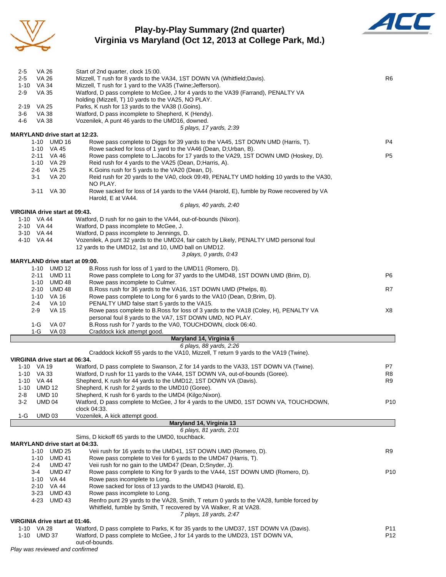

# **Play-by-Play Summary (2nd quarter) Virginia vs Maryland (Oct 12, 2013 at College Park, Md.)**



| $2 - 5$        | VA 26                          |                                | Start of 2nd quarter, clock 15:00.                                                                                                                          | R6              |  |  |  |  |  |  |  |
|----------------|--------------------------------|--------------------------------|-------------------------------------------------------------------------------------------------------------------------------------------------------------|-----------------|--|--|--|--|--|--|--|
| $2 - 5$        | VA 26                          |                                | Mizzell, T rush for 8 yards to the VA34, 1ST DOWN VA (Whitfield; Davis).                                                                                    |                 |  |  |  |  |  |  |  |
| $2-9$          | 1-10 VA 34<br>VA 35            |                                | Mizzell, T rush for 1 yard to the VA35 (Twine; Jefferson).<br>Watford, D pass complete to McGee, J for 4 yards to the VA39 (Farrand), PENALTY VA            |                 |  |  |  |  |  |  |  |
|                |                                |                                | holding (Mizzell, T) 10 yards to the VA25, NO PLAY.                                                                                                         |                 |  |  |  |  |  |  |  |
| 2-19 VA 25     |                                |                                | Parks, K rush for 13 yards to the VA38 (I.Goins).                                                                                                           |                 |  |  |  |  |  |  |  |
| $3-6$<br>VA 38 |                                |                                | Watford, D pass incomplete to Shepherd, K (Hendy).                                                                                                          |                 |  |  |  |  |  |  |  |
| 4-6            | VA 38                          |                                | Vozenilek, A punt 46 yards to the UMD16, downed.<br>5 plays, 17 yards, 2:39                                                                                 |                 |  |  |  |  |  |  |  |
|                |                                |                                | <b>MARYLAND drive start at 12:23.</b>                                                                                                                       |                 |  |  |  |  |  |  |  |
|                | 1-10 UMD 16                    |                                | Rowe pass complete to Diggs for 39 yards to the VA45, 1ST DOWN UMD (Harris, T).                                                                             | P4              |  |  |  |  |  |  |  |
|                | 1-10 VA 45                     |                                | Rowe sacked for loss of 1 yard to the VA46 (Dean, D; Urban, B).                                                                                             |                 |  |  |  |  |  |  |  |
|                | 2-11 VA 46<br>1-10 VA 29       |                                | Rowe pass complete to L.Jacobs for 17 yards to the VA29, 1ST DOWN UMD (Hoskey, D).<br>Reid rush for 4 yards to the VA25 (Dean, D; Harris, A).               | P5              |  |  |  |  |  |  |  |
|                | 2-6                            | VA 25                          | K.Goins rush for 5 yards to the VA20 (Dean, D).                                                                                                             |                 |  |  |  |  |  |  |  |
|                | 3-1                            | <b>VA 20</b>                   | Reid rush for 20 yards to the VA0, clock 09:49, PENALTY UMD holding 10 yards to the VA30,                                                                   |                 |  |  |  |  |  |  |  |
|                |                                |                                | NO PLAY.                                                                                                                                                    |                 |  |  |  |  |  |  |  |
|                | 3-11 VA 30                     |                                | Rowe sacked for loss of 14 yards to the VA44 (Harold, E), fumble by Rowe recovered by VA                                                                    |                 |  |  |  |  |  |  |  |
|                |                                |                                | Harold, E at VA44.<br>6 plays, 40 yards, 2:40                                                                                                               |                 |  |  |  |  |  |  |  |
|                | VIRGINIA drive start at 09:43. |                                |                                                                                                                                                             |                 |  |  |  |  |  |  |  |
|                | 1-10 VA 44                     |                                | Watford, D rush for no gain to the VA44, out-of-bounds (Nixon).                                                                                             |                 |  |  |  |  |  |  |  |
|                | 2-10 VA 44                     |                                | Watford, D pass incomplete to McGee, J.                                                                                                                     |                 |  |  |  |  |  |  |  |
|                | 3-10 VA 44<br>4-10 VA 44       |                                | Watford, D pass incomplete to Jennings, D.<br>Vozenilek, A punt 32 yards to the UMD24, fair catch by Likely, PENALTY UMD personal foul                      |                 |  |  |  |  |  |  |  |
|                |                                |                                | 12 yards to the UMD12, 1st and 10, UMD ball on UMD12.                                                                                                       |                 |  |  |  |  |  |  |  |
|                |                                |                                | 3 plays, 0 yards, 0.43                                                                                                                                      |                 |  |  |  |  |  |  |  |
|                |                                |                                | <b>MARYLAND drive start at 09:00.</b>                                                                                                                       |                 |  |  |  |  |  |  |  |
|                | 1-10 UMD 12                    |                                | B. Ross rush for loss of 1 yard to the UMD11 (Romero, D).                                                                                                   |                 |  |  |  |  |  |  |  |
|                | 2-11 UMD 11<br>1-10 UMD 48     |                                | Rowe pass complete to Long for 37 yards to the UMD48, 1ST DOWN UMD (Brim, D).<br>Rowe pass incomplete to Culmer.                                            | P6              |  |  |  |  |  |  |  |
|                | 2-10                           | UMD 48                         | B. Ross rush for 36 yards to the VA16, 1ST DOWN UMD (Phelps, B).                                                                                            | R7              |  |  |  |  |  |  |  |
|                | 1-10 VA 16                     |                                | Rowe pass complete to Long for 6 yards to the VA10 (Dean, D;Brim, D).                                                                                       |                 |  |  |  |  |  |  |  |
|                | $2 - 4$                        | <b>VA 10</b>                   | PENALTY UMD false start 5 yards to the VA15.                                                                                                                |                 |  |  |  |  |  |  |  |
|                | 2-9                            | <b>VA 15</b>                   | Rowe pass complete to B.Ross for loss of 3 yards to the VA18 (Coley, H), PENALTY VA<br>personal foul 8 yards to the VA7, 1ST DOWN UMD, NO PLAY.             | X8              |  |  |  |  |  |  |  |
|                | $1-G$                          | <b>VA 07</b>                   | B. Ross rush for 7 yards to the VA0, TOUCHDOWN, clock 06:40.                                                                                                |                 |  |  |  |  |  |  |  |
|                | 1-G                            | <b>VA 03</b>                   | Craddock kick attempt good.                                                                                                                                 |                 |  |  |  |  |  |  |  |
|                |                                |                                | Maryland 14, Virginia 6                                                                                                                                     |                 |  |  |  |  |  |  |  |
|                |                                |                                | 6 plays, 88 yards, 2:26                                                                                                                                     |                 |  |  |  |  |  |  |  |
|                | VIRGINIA drive start at 06:34. |                                | Craddock kickoff 55 yards to the VA10, Mizzell, T return 9 yards to the VA19 (Twine).                                                                       |                 |  |  |  |  |  |  |  |
|                | 1-10 VA 19                     |                                | Watford, D pass complete to Swanson, Z for 14 yards to the VA33, 1ST DOWN VA (Twine).                                                                       | P7              |  |  |  |  |  |  |  |
|                | 1-10 VA 33                     |                                | Watford, D rush for 11 yards to the VA44, 1ST DOWN VA, out-of-bounds (Goree).                                                                               | R8              |  |  |  |  |  |  |  |
|                | 1-10 VA 44                     |                                | Shepherd, K rush for 44 yards to the UMD12, 1ST DOWN VA (Davis).                                                                                            | R9              |  |  |  |  |  |  |  |
|                | 1-10 UMD 12<br><b>UMD 10</b>   |                                | Shepherd, K rush for 2 yards to the UMD10 (Goree).<br>Shepherd, K rush for 6 yards to the UMD4 (Kilgo; Nixon).                                              |                 |  |  |  |  |  |  |  |
| 2-8<br>$3 - 2$ | <b>UMD 04</b>                  |                                | Watford, D pass complete to McGee, J for 4 yards to the UMD0, 1ST DOWN VA, TOUCHDOWN,                                                                       | P <sub>10</sub> |  |  |  |  |  |  |  |
|                |                                |                                | clock 04:33.                                                                                                                                                |                 |  |  |  |  |  |  |  |
| 1-G            | <b>UMD 03</b>                  |                                | Vozenilek, A kick attempt good.                                                                                                                             |                 |  |  |  |  |  |  |  |
|                |                                |                                | Maryland 14, Virginia 13                                                                                                                                    |                 |  |  |  |  |  |  |  |
|                |                                |                                | 6 plays, 81 yards, 2:01<br>Sims, D kickoff 65 yards to the UMD0, touchback.                                                                                 |                 |  |  |  |  |  |  |  |
|                |                                |                                | <b>MARYLAND drive start at 04:33.</b>                                                                                                                       |                 |  |  |  |  |  |  |  |
|                | 1-10 UMD 25                    |                                | Veii rush for 16 yards to the UMD41, 1ST DOWN UMD (Romero, D).                                                                                              | R9              |  |  |  |  |  |  |  |
|                | 1-10 UMD 41                    |                                | Rowe pass complete to Veii for 6 yards to the UMD47 (Harris, T).                                                                                            |                 |  |  |  |  |  |  |  |
|                | 2-4<br>3-4                     | <b>UMD 47</b><br><b>UMD 47</b> | Veii rush for no gain to the UMD47 (Dean, D;Snyder, J).<br>Rowe pass complete to King for 9 yards to the VA44, 1ST DOWN UMD (Romero, D).                    | P <sub>10</sub> |  |  |  |  |  |  |  |
|                | 1-10 VA 44                     |                                | Rowe pass incomplete to Long.                                                                                                                               |                 |  |  |  |  |  |  |  |
|                | 2-10 VA 44                     |                                | Rowe sacked for loss of 13 yards to the UMD43 (Harold, E).                                                                                                  |                 |  |  |  |  |  |  |  |
|                | 3-23 UMD 43                    |                                | Rowe pass incomplete to Long.                                                                                                                               |                 |  |  |  |  |  |  |  |
|                | 4-23                           | <b>UMD 43</b>                  | Renfro punt 29 yards to the VA28, Smith, T return 0 yards to the VA28, fumble forced by<br>Whitfield, fumble by Smith, T recovered by VA Walker, R at VA28. |                 |  |  |  |  |  |  |  |
|                |                                |                                | 7 plays, 18 yards, 2:47                                                                                                                                     |                 |  |  |  |  |  |  |  |
|                | VIRGINIA drive start at 01:46. |                                |                                                                                                                                                             |                 |  |  |  |  |  |  |  |
|                | 1-10 VA 28                     |                                | Watford, D pass complete to Parks, K for 35 yards to the UMD37, 1ST DOWN VA (Davis).                                                                        | P11             |  |  |  |  |  |  |  |
| 1-10           | <b>UMD 37</b>                  |                                | Watford, D pass complete to McGee, J for 14 yards to the UMD23, 1ST DOWN VA,<br>out-of-bounds.                                                              | P <sub>12</sub> |  |  |  |  |  |  |  |

*Play was reviewed and confirmed*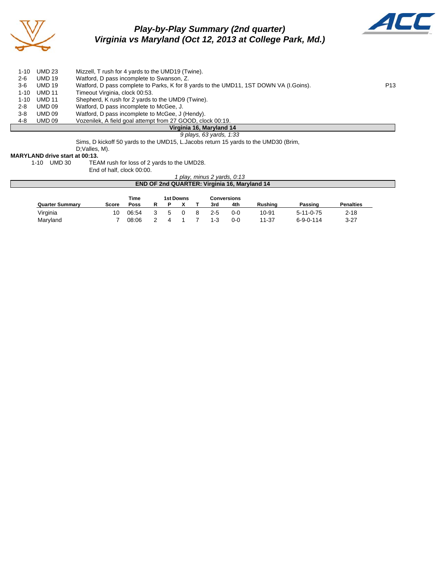

# *Play-by-Play Summary (2nd quarter) Virginia vs Maryland (Oct 12, 2013 at College Park, Md.)*



| 1-10                     | <b>UMD 23</b> | Mizzell, T rush for 4 yards to the UMD19 (Twine).                                     |                 |  |  |  |  |  |  |
|--------------------------|---------------|---------------------------------------------------------------------------------------|-----------------|--|--|--|--|--|--|
| $2 - 6$                  | <b>UMD 19</b> | Watford, D pass incomplete to Swanson, Z.                                             |                 |  |  |  |  |  |  |
| 3-6                      | <b>UMD 19</b> | Watford, D pass complete to Parks, K for 8 yards to the UMD11, 1ST DOWN VA (I.Goins). | P <sub>13</sub> |  |  |  |  |  |  |
| $1 - 10$                 | <b>UMD 11</b> | Timeout Virginia, clock 00:53.                                                        |                 |  |  |  |  |  |  |
| $1 - 10$                 | <b>UMD 11</b> | Shepherd, K rush for 2 yards to the UMD9 (Twine).                                     |                 |  |  |  |  |  |  |
| 2-8                      | <b>UMD 09</b> | Watford, D pass incomplete to McGee, J.                                               |                 |  |  |  |  |  |  |
| 3-8                      | UMD 09        | Watford, D pass incomplete to McGee, J (Hendy).                                       |                 |  |  |  |  |  |  |
| 4-8                      | <b>UMD 09</b> | Vozenilek, A field goal attempt from 27 GOOD, clock 00:19.                            |                 |  |  |  |  |  |  |
| Virginia 16, Maryland 14 |               |                                                                                       |                 |  |  |  |  |  |  |
|                          |               | 9 plays, 63 yards, 1:33                                                               |                 |  |  |  |  |  |  |

Sims, D kickoff 50 yards to the UMD15, L.Jacobs return 15 yards to the UMD30 (Brim,

D;Valles, M).

#### **MARYLAND drive start at 00:13.**

1-10 UMD 30 TEAM rush for loss of 2 yards to the UMD28.

End of half, clock 00:00.

#### *1 play, minus 2 yards, 0:13* **END OF 2nd QUARTER: Virginia 16, Maryland 14**

|                        |       | Time  | 1st Downs |  |  |         | Conversions |                |                   |                  |  |
|------------------------|-------|-------|-----------|--|--|---------|-------------|----------------|-------------------|------------------|--|
| <b>Quarter Summary</b> | Score | Poss  |           |  |  | 3rd     | 4th         | <b>Rushing</b> | Passing           | <b>Penalties</b> |  |
| Virginia               | 10    | 06:54 |           |  |  | $2 - 5$ | $0 - 0$     | 10-91          | $5 - 11 - 0 - 75$ | $2 - 18$         |  |
| Maryland               |       | 08:06 |           |  |  | 1-3     | 0-0         | 11-37          | $6 - 9 - 0 - 114$ | $3 - 27$         |  |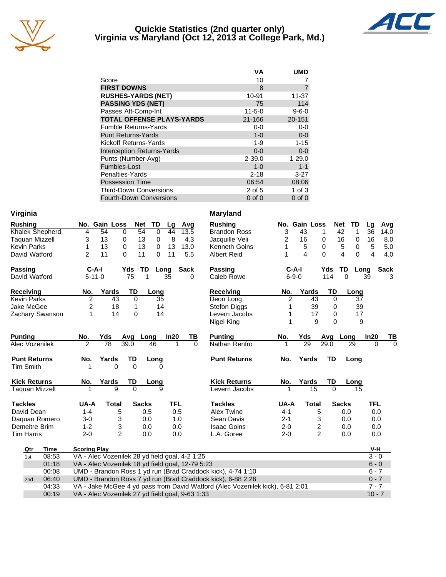

## **Quickie Statistics (2nd quarter only) Virginia vs Maryland (Oct 12, 2013 at College Park, Md.)**



| VА           | <b>UMD</b>  |
|--------------|-------------|
| 10           |             |
| 8            |             |
| 10-91        | 11-37       |
| 75           | 114         |
| $11 - 5 - 0$ | $9 - 6 - 0$ |
| $21 - 166$   | 20-151      |
| $0-0$        | $0-0$       |
| $1 - 0$      | $0-0$       |
| $1 - 9$      | $1 - 15$    |
| $0 - 0$      | $0 - 0$     |
| $2 - 39.0$   | $1 - 29.0$  |
| $1 - 0$      | $1 - 1$     |
| $2 - 18$     | $3 - 27$    |
| 06:54        | 08:06       |
| 2 of 5       | $1$ of $3$  |
| $0$ of $0$   | $0$ of $0$  |
|              |             |

| Virginia               |                                                                               |                                                 |                 |                   |            |             | <b>Maryland</b>      |                |                 |                |                  |                      |             |
|------------------------|-------------------------------------------------------------------------------|-------------------------------------------------|-----------------|-------------------|------------|-------------|----------------------|----------------|-----------------|----------------|------------------|----------------------|-------------|
| <b>Rushing</b>         |                                                                               | No. Gain Loss                                   |                 | <b>Net</b><br>TD  | Lg         | Avg         | <b>Rushing</b>       |                | No. Gain Loss   |                | <b>Net</b><br>TD | Lg                   | Avg         |
| <b>Khalek Shepherd</b> | 4                                                                             | $\overline{54}$                                 | 0               | 54<br>$\pmb{0}$   | 44         | 13.5        | <b>Brandon Ross</b>  | $\overline{3}$ | 43              | 1              | 42               | $\overline{36}$<br>1 | 14.0        |
| <b>Taguan Mizzell</b>  | 3                                                                             | 13                                              | 0               | 13<br>0           | 8          | 4.3         | Jacquille Veii       | 2              | 16              | 0              | 16               | 16<br>0              | 8.0         |
| <b>Kevin Parks</b>     | 1                                                                             | 13                                              | 0               | 13<br>$\mathbf 0$ | 13         | 13.0        | <b>Kenneth Goins</b> | 1              | 5               | 0              | 5                | 5<br>0               | 5.0         |
| David Watford          | $\overline{c}$                                                                | 11                                              | 0               | 11<br>0           | 11         | 5.5         | <b>Albert Reid</b>   | 1              | $\overline{4}$  | $\Omega$       | 4                | $\Omega$<br>4        | 4.0         |
| <b>Passing</b>         | $C-A-I$                                                                       |                                                 | Yds             | TD                | Long       | <b>Sack</b> | <b>Passing</b>       |                | $C-A-I$         | Yds            | TD               | Long                 | <b>Sack</b> |
| David Watford          | $\overline{5-11-0}$                                                           |                                                 | $\overline{75}$ | 1                 | 35         | 0           | Caleb Rowe           |                | $6 - 9 - 0$     | 114            | $\Omega$         | 39                   | 3           |
| Receiving              | No.                                                                           | Yards                                           | TD              | Long              |            |             | Receiving            | No.            | Yards           | TD             | Long             |                      |             |
| <b>Kevin Parks</b>     | $\overline{2}$                                                                | 43                                              | $\Omega$        | 35                |            |             | Deon Long            | $\overline{2}$ | 43              | $\mathbf 0$    |                  | 37                   |             |
| Jake McGee             | $\overline{\mathbf{c}}$                                                       | 18                                              | 1               | 14                |            |             | Stefon Diggs         |                | 39              | 0              |                  | 39                   |             |
| Zachary Swanson        | 1                                                                             | 14                                              | $\mathbf 0$     | 14                |            |             | Levern Jacobs        | 1              | 17              | 0              |                  | 17                   |             |
|                        |                                                                               |                                                 |                 |                   |            |             | Nigel King           | 1              | 9               | $\Omega$       |                  | 9                    |             |
| <b>Punting</b>         | No.                                                                           | Yds                                             | Avg             | Long              | In20       | ΤВ          | <b>Punting</b>       | No.            | Yds             | Avg            | Long             | In20                 | TВ          |
| Alec Vozenilek         | $\mathcal{P}$                                                                 | 78                                              | 39.0            | 46                |            | $\Omega$    | Nathan Renfro        |                | $\overline{29}$ | 29.0           | 29               | $\Omega$             | $\Omega$    |
| <b>Punt Returns</b>    | No.                                                                           | Yards                                           | TD              | Long              |            |             | <b>Punt Returns</b>  | No.            | Yards           | TD             | Long             |                      |             |
| <b>Tim Smith</b>       |                                                                               | $\Omega$                                        | $\Omega$        | <sup>0</sup>      |            |             |                      |                |                 |                |                  |                      |             |
| <b>Kick Returns</b>    | No.                                                                           | Yards                                           | TD              | Long              |            |             | <b>Kick Returns</b>  | No.            | Yards           | TD             | Long             |                      |             |
| <b>Taquan Mizzell</b>  |                                                                               | $\mathbf{Q}$                                    | $\Omega$        | g                 |            |             | Levern Jacobs        | 1              | 15              | $\Omega$       |                  | 15                   |             |
| <b>Tackles</b>         | UA-A                                                                          | <b>Total</b>                                    |                 | <b>Sacks</b>      | <b>TFL</b> |             | <b>Tackles</b>       | UA-A           | <b>Total</b>    |                | <b>Sacks</b>     | <b>TFL</b>           |             |
| David Dean             | $1 - 4$                                                                       | 5                                               |                 | 0.5               | 0.5        |             | Alex Twine           | $4 - 1$        |                 | 5              | 0.0              | 0.0                  |             |
| Daquan Romero          | $3-0$                                                                         | 3                                               |                 | 0.0               | 1.0        |             | Sean Davis           | $2 - 1$        |                 | 3              | 0.0              | 0.0                  |             |
| Demeitre Brim          | $1 - 2$                                                                       | 3                                               |                 | 0.0               | 0.0        |             | <b>Isaac Goins</b>   | $2 - 0$        |                 | 2              | 0.0              | 0.0                  |             |
| <b>Tim Harris</b>      | $2 - 0$                                                                       | $\overline{2}$                                  |                 | 0.0               | 0.0        |             | L.A. Goree           | $2 - 0$        |                 | $\overline{2}$ | 0.0              | 0.0                  |             |
| Qtr<br><b>Time</b>     | <b>Scoring Play</b>                                                           |                                                 |                 |                   |            |             |                      |                |                 |                |                  | V-H                  |             |
| 08:53<br>1st           |                                                                               | VA - Alec Vozenilek 28 yd field goal, 4-2 1:25  |                 |                   |            |             |                      |                |                 |                |                  | $3 - 0$              |             |
| 01:18                  | VA - Alec Vozenilek 18 yd field goal, 12-79 5:23                              |                                                 |                 |                   |            |             |                      |                |                 |                |                  | $6 - 0$              |             |
| 00:08                  | UMD - Brandon Ross 1 yd run (Brad Craddock kick), 4-74 1:10                   |                                                 |                 |                   |            |             |                      |                | $6 - 7$         |                |                  |                      |             |
| 06:40<br>2nd           | UMD - Brandon Ross 7 yd run (Brad Craddock kick), 6-88 2:26                   |                                                 |                 |                   |            |             |                      |                | $0 - 7$         |                |                  |                      |             |
| 04:33                  | VA - Jake McGee 4 yd pass from David Watford (Alec Vozenilek kick), 6-81 2:01 |                                                 |                 |                   |            |             |                      |                | $7 - 7$         |                |                  |                      |             |
| 00:19                  |                                                                               | VA - Alec Vozenilek 27 yd field goal, 9-63 1:33 |                 |                   |            |             |                      |                |                 |                |                  | $10 - 7$             |             |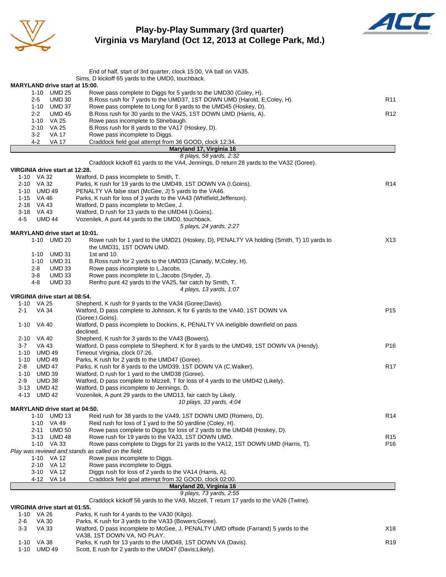

# **Play-by-Play Summary (3rd quarter) Virginia vs Maryland (Oct 12, 2013 at College Park, Md.)**



|                                       | End of half, start of 3rd quarter, clock 15:00, VA ball on VA35.                         |                 |
|---------------------------------------|------------------------------------------------------------------------------------------|-----------------|
|                                       | Sims, D kickoff 65 yards to the UMD0, touchback.                                         |                 |
| MARYLAND drive start at 15:00.        |                                                                                          |                 |
| 1-10 UMD 25                           | Rowe pass complete to Diggs for 5 yards to the UMD30 (Coley, H).                         |                 |
| <b>UMD 30</b><br>$2 - 5$              | B. Ross rush for 7 yards to the UMD37, 1ST DOWN UMD (Harold, E;Coley, H).                | R <sub>11</sub> |
| 1-10 UMD 37                           | Rowe pass complete to Long for 8 yards to the UMD45 (Hoskey, D).                         |                 |
| <b>UMD 45</b><br>$2 - 2$              | B. Ross rush for 30 yards to the VA25, 1ST DOWN UMD (Harris, A).                         | R <sub>12</sub> |
| 1-10 VA 25                            | Rowe pass incomplete to Stinebaugh.                                                      |                 |
| 2-10 VA 25<br>$3-2$<br><b>VA 17</b>   | B. Ross rush for 8 yards to the VA17 (Hoskey, D).                                        |                 |
| 4-2<br><b>VA 17</b>                   | Rowe pass incomplete to Diggs.<br>Craddock field goal attempt from 36 GOOD, clock 12:34. |                 |
|                                       | Maryland 17, Virginia 16                                                                 |                 |
|                                       | 8 plays, 58 yards, 2:32                                                                  |                 |
|                                       | Craddock kickoff 61 yards to the VA4, Jennings, D return 28 yards to the VA32 (Goree).   |                 |
| VIRGINIA drive start at 12:28.        |                                                                                          |                 |
| 1-10 VA 32                            | Watford, D pass incomplete to Smith, T.                                                  |                 |
| 2-10 VA 32                            | Parks, K rush for 19 yards to the UMD49, 1ST DOWN VA (I.Goins).                          | R <sub>14</sub> |
| 1-10 UMD 49                           | PENALTY VA false start (McGee, J) 5 yards to the VA46.                                   |                 |
| 1-15 VA 46                            | Parks, K rush for loss of 3 yards to the VA43 (Whitfield; Jefferson).                    |                 |
| 2-18 VA 43                            | Watford, D pass incomplete to McGee, J.                                                  |                 |
| 3-18 VA 43                            | Watford, D rush for 13 yards to the UMD44 (I.Goins).                                     |                 |
| 4-5<br><b>UMD 44</b>                  | Vozenilek, A punt 44 yards to the UMD0, touchback.                                       |                 |
|                                       | 5 plays, 24 yards, 2:27                                                                  |                 |
| <b>MARYLAND drive start at 10:01.</b> |                                                                                          |                 |
| 1-10 UMD 20                           | Rowe rush for 1 yard to the UMD21 (Hoskey, D), PENALTY VA holding (Smith, T) 10 yards to | X13             |
|                                       | the UMD31, 1ST DOWN UMD.                                                                 |                 |
| UMD 31<br>$1 - 10$                    | 1st and $10$ .                                                                           |                 |
| 1-10 UMD 31                           | B.Ross rush for 2 yards to the UMD33 (Canady, M;Coley, H).                               |                 |
| 2-8<br>UMD 33                         | Rowe pass incomplete to L.Jacobs.                                                        |                 |
| $3 - 8$<br><b>UMD 33</b>              | Rowe pass incomplete to L. Jacobs (Snyder, J).                                           |                 |
| <b>UMD 33</b><br>4-8                  | Renfro punt 42 yards to the VA25, fair catch by Smith, T.                                |                 |
|                                       | 4 plays, 13 yards, 1:07                                                                  |                 |
| VIRGINIA drive start at 08:54.        |                                                                                          |                 |
| 1-10 VA 25                            | Shepherd, K rush for 9 yards to the VA34 (Goree; Davis).                                 |                 |
| VA 34<br>$2 - 1$                      | Watford, D pass complete to Johnson, K for 6 yards to the VA40, 1ST DOWN VA              | P <sub>15</sub> |
|                                       | (Goree; I. Goins).                                                                       |                 |
| 1-10<br>VA 40                         | Watford, D pass incomplete to Dockins, K, PENALTY VA ineligible downfield on pass        |                 |
|                                       | declined.                                                                                |                 |
| 2-10 VA 40                            | Shepherd, K rush for 3 yards to the VA43 (Bowers).                                       |                 |
| 3-7<br>VA 43                          | Watford, D pass complete to Shepherd, K for 8 yards to the UMD49, 1ST DOWN VA (Hendy).   | P <sub>16</sub> |
| 1-10<br><b>UMD 49</b>                 | Timeout Virginia, clock 07:26.                                                           |                 |
| 1-10 UMD 49                           | Parks, K rush for 2 yards to the UMD47 (Goree).                                          |                 |
| 2-8<br><b>UMD 47</b>                  | Parks, K rush for 8 yards to the UMD39, 1ST DOWN VA (C.Walker).                          | R <sub>17</sub> |
| 1-10<br><b>UMD 39</b>                 | Watford, D rush for 1 yard to the UMD38 (Goree).                                         |                 |
| 2-9<br><b>UMD 38</b>                  | Watford, D pass complete to Mizzell, T for loss of 4 yards to the UMD42 (Likely).        |                 |
| 3-13<br><b>UMD 42</b>                 | Watford, D pass incomplete to Jennings, D.                                               |                 |
| 4-13 UMD 42                           | Vozenilek, A punt 29 yards to the UMD13, fair catch by Likely.                           |                 |
|                                       | 10 plays, 33 yards, 4:04                                                                 |                 |
| <b>MARYLAND drive start at 04:50.</b> |                                                                                          |                 |
| 1-10 UMD 13                           | Reid rush for 38 yards to the VA49, 1ST DOWN UMD (Romero, D).                            | R14             |
| 1-10 VA 49                            | Reid rush for loss of 1 yard to the 50 yardline (Coley, H).                              |                 |
| <b>UMD 50</b><br>2-11                 | Rowe pass complete to Diggs for loss of 2 yards to the UMD48 (Hoskey, D).                |                 |
| 3-13 UMD 48                           | Rowe rush for 19 yards to the VA33, 1ST DOWN UMD.                                        | R <sub>15</sub> |
| 1-10 VA 33                            | Rowe pass complete to Diggs for 21 yards to the VA12, 1ST DOWN UMD (Harris, T).          | P16             |
|                                       | Play was reviewd and stands as called on the field.                                      |                 |
| 1-10 VA 12                            | Rowe pass incomplete to Diggs.                                                           |                 |
| 2-10 VA 12                            | Rowe pass incomplete to Diggs.                                                           |                 |
| 3-10 VA 12                            | Diggs rush for loss of 2 yards to the VA14 (Harris, A).                                  |                 |
| 4-12 VA 14                            | Craddock field goal attempt from 32 GOOD, clock 02:00.                                   |                 |
|                                       | Maryland 20, Virginia 16                                                                 |                 |
|                                       | 9 plays, 73 yards, 2:55                                                                  |                 |
|                                       | Craddock kickoff 56 yards to the VA9, Mizzell, T return 17 yards to the VA26 (Twine).    |                 |
| VIRGINIA drive start at 01:55.        |                                                                                          |                 |
| 1-10 VA 26                            | Parks, K rush for 4 yards to the VA30 (Kilgo).                                           |                 |
| 2-6<br>VA 30                          | Parks, K rush for 3 yards to the VA33 (Bowers; Goree).                                   |                 |
| <b>VA 33</b><br>$3-3$                 | Watford, D pass incomplete to McGee, J, PENALTY UMD offside (Farrand) 5 yards to the     | X18             |
|                                       | VA38, 1ST DOWN VA, NO PLAY.                                                              |                 |

1-10 VA 38 Parks, K rush for 13 yards to the UMD49, 1ST DOWN VA (Davis). R19

1-10 UMD 49 Scott, E rush for 2 yards to the UMD47 (Davis;Likely).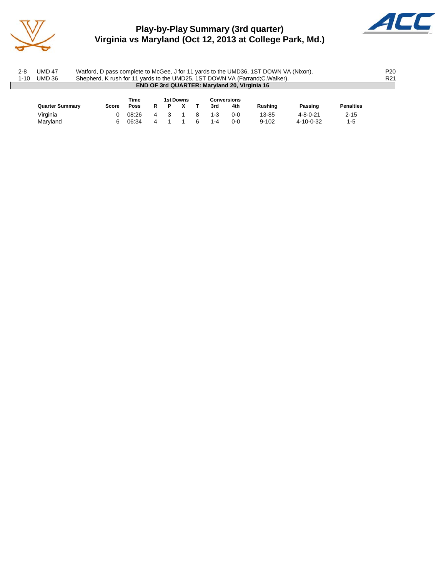

# **Play-by-Play Summary (3rd quarter) Virginia vs Maryland (Oct 12, 2013 at College Park, Md.)**



| 2-8<br>$1 - 10$ | UMD 47<br>UMD 36       |       |       |   |           |     |                    | Watford, D pass complete to McGee, J for 11 yards to the UMD36, 1ST DOWN VA (Nixon).<br>Shepherd, K rush for 11 yards to the UMD25, 1ST DOWN VA (Farrand; C. Walker). |                  |                  | P <sub>20</sub><br>R <sub>21</sub> |
|-----------------|------------------------|-------|-------|---|-----------|-----|--------------------|-----------------------------------------------------------------------------------------------------------------------------------------------------------------------|------------------|------------------|------------------------------------|
|                 |                        |       |       |   |           |     |                    | <b>END OF 3rd QUARTER: Maryland 20, Virginia 16</b>                                                                                                                   |                  |                  |                                    |
|                 |                        |       | Time  |   | 1st Downs |     | <b>Conversions</b> |                                                                                                                                                                       |                  |                  |                                    |
|                 | <b>Quarter Summary</b> | Score | Poss  | P |           | 3rd | 4th                | Rushina                                                                                                                                                               | Passing          | <b>Penalties</b> |                                    |
|                 | Virginia               |       | 08:26 |   |           |     | ი-ი                | 13-85                                                                                                                                                                 | $4 - 8 - 0 - 21$ | $2 - 15$         |                                    |

Maryland 6 06:34 4 1 1 6 1-4 0-0 9-102 4-10-0-32 1-5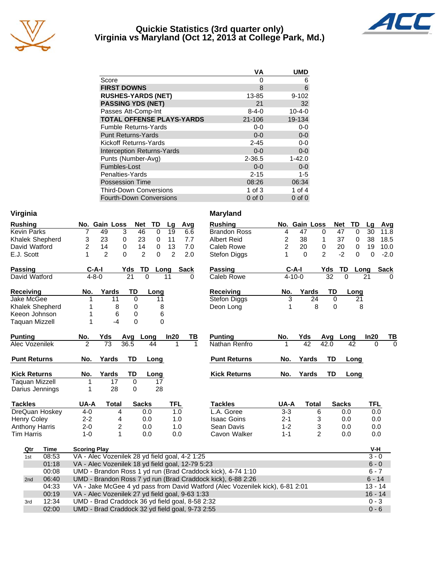

### **Quickie Statistics (3rd quarter only) Virginia vs Maryland (Oct 12, 2013 at College Park, Md.)**



|                                   | VА          | <b>UMD</b>   |
|-----------------------------------|-------------|--------------|
| Score                             | 0           | 6            |
| <b>FIRST DOWNS</b>                | 8           | 6            |
| <b>RUSHES-YARDS (NET)</b>         | 13-85       | $9 - 102$    |
| <b>PASSING YDS (NET)</b>          | 21          | 32           |
| Passes Att-Comp-Int               | $8 - 4 - 0$ | $10 - 4 - 0$ |
| <b>TOTAL OFFENSE PLAYS-YARDS</b>  | $21 - 106$  | 19-134       |
| <b>Fumble Returns-Yards</b>       | $0-0$       | $0-0$        |
| <b>Punt Returns-Yards</b>         | $0 - 0$     | $0-0$        |
| Kickoff Returns-Yards             | $2 - 45$    | $0 - 0$      |
| <b>Interception Returns-Yards</b> | $0 - 0$     | $0-0$        |
| Punts (Number-Avg)                | $2 - 36.5$  | $1 - 42.0$   |
| Fumbles-Lost                      | $0 - 0$     | $0-0$        |
| Penalties-Yards                   | $2 - 15$    | $1 - 5$      |
| <b>Possession Time</b>            | 08:26       | 06:34        |
| <b>Third-Down Conversions</b>     | 1 of $3$    | 1 of 4       |
| <b>Fourth-Down Conversions</b>    | $0$ of $0$  | $0$ of $0$   |

| Virginia            |                       |                     |                                                  |               |             |      |             | <b>Maryland</b>                                                               |                |                 |                |                |                 |                 |             |
|---------------------|-----------------------|---------------------|--------------------------------------------------|---------------|-------------|------|-------------|-------------------------------------------------------------------------------|----------------|-----------------|----------------|----------------|-----------------|-----------------|-------------|
| <b>Rushing</b>      |                       |                     | No. Gain Loss                                    | Net           | TD          | Lg   | Avg         | <b>Rushing</b>                                                                |                | No. Gain Loss   |                | Net            | TD              | Lg              | Avg         |
| <b>Kevin Parks</b>  |                       | 7                   | 49                                               | 3<br>46       | $\mathbf 0$ | 19   | 6.6         | <b>Brandon Ross</b>                                                           | 4              | 47              | 0              | 47             | 0               | $\overline{30}$ | 11.8        |
|                     | Khalek Shepherd       | 3                   | 23                                               | 23<br>0       | 0           | 11   | 7.7         | <b>Albert Reid</b>                                                            | 2              | 38              | 1              | 37             | 0               | 38              | 18.5        |
| David Watford       |                       | 2                   | 14                                               | 14<br>0       | 0           | 13   | 7.0         | Caleb Rowe                                                                    | $\overline{c}$ | 20              | 0              | 20             | 0               | 19              | 10.0        |
| E.J. Scott          |                       | 1                   | $\overline{2}$                                   | $\Omega$<br>2 | $\Omega$    | 2    | 2.0         | <b>Stefon Diggs</b>                                                           | 1              | $\Omega$        | $\overline{2}$ | $-2$           | $\Omega$        | $\Omega$        | $-2.0$      |
| <b>Passing</b>      |                       | $C-A-I$             |                                                  | TD<br>Yds     | Long        |      | <b>Sack</b> | <b>Passing</b>                                                                |                | $C-A-I$         |                | TD<br>Yds      | Long            |                 | <b>Sack</b> |
| David Watford       |                       | $4 - 8 - 0$         |                                                  | 21            | $\Omega$    | 11   | 0           | Caleb Rowe                                                                    |                | $4 - 10 - 0$    |                | 32<br>$\Omega$ |                 | 21              | $\Omega$    |
| <b>Receiving</b>    |                       | No.                 | Yards                                            | TD            | Long        |      |             | <b>Receiving</b>                                                              | No.            | Yards           |                | TD             | Long            |                 |             |
| Jake McGee          |                       | 1                   | 11                                               | 0             | 11          |      |             | Stefon Diggs                                                                  | 3              |                 | 24             | $\mathbf 0$    | $\overline{21}$ |                 |             |
|                     | Khalek Shepherd       | 1                   | 8                                                | 0             | 8           |      |             | Deon Long                                                                     | 1              |                 | 8              | $\Omega$       | 8               |                 |             |
|                     | Keeon Johnson         | 1                   | 6                                                | 0             | 6           |      |             |                                                                               |                |                 |                |                |                 |                 |             |
|                     | <b>Taquan Mizzell</b> | 1                   | $-4$                                             | $\mathbf 0$   | $\mathbf 0$ |      |             |                                                                               |                |                 |                |                |                 |                 |             |
| <b>Punting</b>      |                       | No.                 | Yds                                              | Avg           | Long        | In20 | TВ          | <b>Punting</b>                                                                | No.            | Yds             |                | Avg<br>Long    |                 | In20            | TВ          |
|                     | Alec Vozenilek        | $\overline{2}$      | $\overline{73}$                                  | 36.5          | 44          |      | 1           | Nathan Renfro                                                                 |                | $\overline{42}$ | 42.0           |                | 42              | $\Omega$        | $\Omega$    |
| <b>Punt Returns</b> |                       | No.                 | Yards                                            | TD            | Long        |      |             | <b>Punt Returns</b>                                                           | No.            | Yards           |                | TD             | Long            |                 |             |
| <b>Kick Returns</b> |                       | No.                 | Yards                                            | TD            | Long        |      |             | <b>Kick Returns</b>                                                           | No.            | Yards           |                | <b>TD</b>      | Long            |                 |             |
|                     | <b>Taquan Mizzell</b> |                     | 17                                               | 0             | 17          |      |             |                                                                               |                |                 |                |                |                 |                 |             |
|                     | Darius Jennings       | 1                   | 28                                               | 0             | 28          |      |             |                                                                               |                |                 |                |                |                 |                 |             |
| <b>Tackles</b>      |                       | UA-A                | <b>Total</b>                                     | <b>Sacks</b>  |             | TFL  |             | <b>Tackles</b>                                                                | UA-A           |                 | <b>Total</b>   | <b>Sacks</b>   |                 | <b>TFL</b>      |             |
|                     | DreQuan Hoskey        | $4 - 0$             | 4                                                |               | 0.0         | 1.0  |             | L.A. Goree                                                                    | $3-3$          |                 | 6              | 0.0            |                 | 0.0             |             |
| <b>Henry Coley</b>  |                       | $2 - 2$             | 4                                                |               | 0.0         | 1.0  |             | <b>Isaac Goins</b>                                                            | $2 - 1$        |                 | 3              | 0.0            |                 | 0.0             |             |
|                     | <b>Anthony Harris</b> | $2 - 0$             | $\overline{c}$                                   |               | 0.0         | 1.0  |             | Sean Davis                                                                    | $1 - 2$        |                 | 3              | 0.0            |                 | 0.0             |             |
| <b>Tim Harris</b>   |                       | $1 - 0$             | 1                                                |               | 0.0         | 0.0  |             | Cavon Walker                                                                  | $1 - 1$        |                 | 2              | 0.0            |                 | 0.0             |             |
| Qtr                 | Time                  | <b>Scoring Play</b> |                                                  |               |             |      |             |                                                                               |                |                 |                |                |                 | V-H             |             |
| 1st                 | 08:53                 |                     | VA - Alec Vozenilek 28 yd field goal, 4-2 1:25   |               |             |      |             |                                                                               |                |                 |                |                |                 | $3 - 0$         |             |
|                     | 01:18                 |                     | VA - Alec Vozenilek 18 yd field goal, 12-79 5:23 |               |             |      |             |                                                                               |                |                 |                |                |                 | $6 - 0$         |             |
|                     | 00:08                 |                     |                                                  |               |             |      |             | UMD - Brandon Ross 1 yd run (Brad Craddock kick), 4-74 1:10                   |                |                 |                |                |                 | $6 - 7$         |             |
| 2nd                 | 06:40                 |                     |                                                  |               |             |      |             | UMD - Brandon Ross 7 yd run (Brad Craddock kick), 6-88 2:26                   |                |                 |                |                |                 | $6 - 14$        |             |
|                     | 04:33                 |                     |                                                  |               |             |      |             | VA - Jake McGee 4 yd pass from David Watford (Alec Vozenilek kick), 6-81 2:01 |                |                 |                |                |                 | $13 - 14$       |             |
|                     | 00:19                 |                     | VA - Alec Vozenilek 27 yd field goal, 9-63 1:33  |               |             |      |             |                                                                               |                |                 |                |                |                 | $16 - 14$       |             |
| 3rd                 | 12:34                 |                     | UMD - Brad Craddock 36 yd field goal, 8-58 2:32  |               |             |      |             |                                                                               |                |                 |                |                |                 | $0 - 3$         |             |
|                     | 02:00                 |                     | UMD - Brad Craddock 32 yd field goal, 9-73 2:55  |               |             |      |             |                                                                               |                |                 |                |                |                 | $0 - 6$         |             |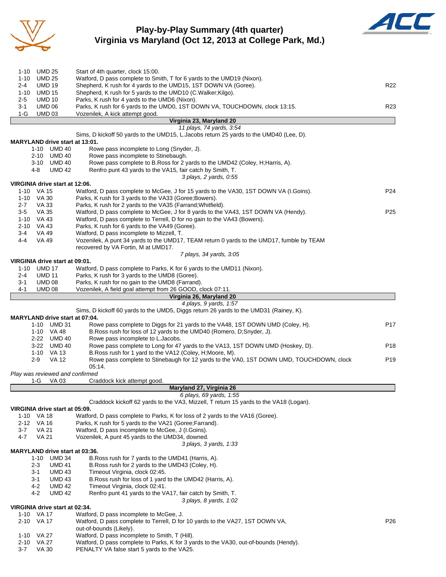

## **Play-by-Play Summary (4th quarter) Virginia vs Maryland (Oct 12, 2013 at College Park, Md.)**



| UMD 25<br>1-10                               | Start of 4th quarter, clock 15:00.                                                                                                  |                 |
|----------------------------------------------|-------------------------------------------------------------------------------------------------------------------------------------|-----------------|
| 1-10 UMD 25                                  | Watford, D pass complete to Smith, T for 6 yards to the UMD19 (Nixon).                                                              |                 |
| <b>UMD 19</b><br>$2 - 4$                     | Shepherd, K rush for 4 yards to the UMD15, 1ST DOWN VA (Goree).                                                                     | R <sub>22</sub> |
| <b>UMD 15</b><br>1-10                        | Shepherd, K rush for 5 yards to the UMD10 (C.Walker; Kilgo).                                                                        |                 |
| $2 - 5$<br><b>UMD 10</b>                     | Parks, K rush for 4 yards to the UMD6 (Nixon).                                                                                      |                 |
| $3 - 1$<br><b>UMD 06</b>                     | Parks, K rush for 6 yards to the UMD0, 1ST DOWN VA, TOUCHDOWN, clock 13:15.                                                         | R <sub>23</sub> |
| $1-G$<br><b>UMD 03</b>                       | Vozenilek, A kick attempt good.<br>Virginia 23, Maryland 20                                                                         |                 |
|                                              | 11 plays, 74 yards, 3:54                                                                                                            |                 |
|                                              | Sims, D kickoff 50 yards to the UMD15, L. Jacobs return 25 yards to the UMD40 (Lee, D).                                             |                 |
| MARYLAND drive start at 13:01.               |                                                                                                                                     |                 |
| 1-10 UMD 40                                  | Rowe pass incomplete to Long (Snyder, J).                                                                                           |                 |
| 2-10 UMD 40                                  | Rowe pass incomplete to Stinebaugh.                                                                                                 |                 |
| 3-10 UMD 40                                  | Rowe pass complete to B.Ross for 2 yards to the UMD42 (Coley, H; Harris, A).                                                        |                 |
| <b>UMD 42</b><br>4-8                         | Renfro punt 43 yards to the VA15, fair catch by Smith, T.                                                                           |                 |
|                                              | 3 plays, 2 yards, 0.55                                                                                                              |                 |
| VIRGINIA drive start at 12:06.<br>1-10 VA 15 | Watford, D pass complete to McGee, J for 15 yards to the VA30, 1ST DOWN VA (I.Goins).                                               | P <sub>24</sub> |
| 1-10 VA 30                                   | Parks, K rush for 3 yards to the VA33 (Goree; Bowers).                                                                              |                 |
| VA 33<br>$2 - 7$                             | Parks, K rush for 2 yards to the VA35 (Farrand; Whitfield).                                                                         |                 |
| $3-5$<br>VA 35                               | Watford, D pass complete to McGee, J for 8 yards to the VA43, 1ST DOWN VA (Hendy).                                                  | P <sub>25</sub> |
| 1-10 VA 43                                   | Watford, D pass complete to Terrell, D for no gain to the VA43 (Bowers).                                                            |                 |
| 2-10 VA 43                                   | Parks, K rush for 6 yards to the VA49 (Goree).                                                                                      |                 |
| 3-4<br>VA 49                                 | Watford, D pass incomplete to Mizzell, T.                                                                                           |                 |
| 4-4<br>VA 49                                 | Vozenilek, A punt 34 yards to the UMD17, TEAM return 0 yards to the UMD17, fumble by TEAM                                           |                 |
|                                              | recovered by VA Fortin, M at UMD17.                                                                                                 |                 |
| VIRGINIA drive start at 09:01.               | 7 plays, 34 yards, 3:05                                                                                                             |                 |
| 1-10 UMD 17                                  | Watford, D pass complete to Parks, K for 6 yards to the UMD11 (Nixon).                                                              |                 |
| <b>UMD 11</b><br>2-4                         | Parks, K rush for 3 yards to the UMD8 (Goree).                                                                                      |                 |
| 3-1<br><b>UMD 08</b>                         | Parks, K rush for no gain to the UMD8 (Farrand).                                                                                    |                 |
| 4-1<br><b>UMD 08</b>                         | Vozenilek, A field goal attempt from 26 GOOD, clock 07:11.                                                                          |                 |
|                                              | Virginia 26, Maryland 20                                                                                                            |                 |
|                                              | 4 plays, 9 yards, 1:57                                                                                                              |                 |
|                                              | Sims, D kickoff 60 yards to the UMD5, Diggs return 26 yards to the UMD31 (Rainey, K).                                               |                 |
|                                              |                                                                                                                                     |                 |
| <b>MARYLAND drive start at 07:04.</b>        |                                                                                                                                     |                 |
| 1-10 UMD 31                                  | Rowe pass complete to Diggs for 21 yards to the VA48, 1ST DOWN UMD (Coley, H).                                                      | P17             |
| 1-10 VA 48                                   | B. Ross rush for loss of 12 yards to the UMD40 (Romero, D; Snyder, J).                                                              |                 |
| 2-22 UMD 40<br>3-22 UMD 40                   | Rowe pass incomplete to L.Jacobs.<br>Rowe pass complete to Long for 47 yards to the VA13, 1ST DOWN UMD (Hoskey, D).                 | P <sub>18</sub> |
| 1-10 VA 13                                   | B. Ross rush for 1 yard to the VA12 (Coley, H; Moore, M).                                                                           |                 |
| 2-9<br>VA 12                                 | Rowe pass complete to Stinebaugh for 12 yards to the VA0, 1ST DOWN UMD, TOUCHDOWN, clock                                            | P <sub>19</sub> |
|                                              | 05:14.                                                                                                                              |                 |
| Play was reviewed and confirmed              |                                                                                                                                     |                 |
| 1-G<br>VA 03                                 | Craddock kick attempt good.                                                                                                         |                 |
|                                              | Maryland 27, Virginia 26                                                                                                            |                 |
|                                              | 6 plays, 69 yards, 1:55                                                                                                             |                 |
| VIRGINIA drive start at 05:09.               | Craddock kickoff 62 yards to the VA3, Mizzell, T return 15 yards to the VA18 (Logan).                                               |                 |
| 1-10 VA 18                                   | Watford, D pass complete to Parks, K for loss of 2 yards to the VA16 (Goree).                                                       |                 |
| 2-12 VA 16                                   | Parks, K rush for 5 yards to the VA21 (Goree; Farrand).                                                                             |                 |
| $3 - 7$<br><b>VA 21</b>                      | Watford, D pass incomplete to McGee, J (I.Goins).                                                                                   |                 |
| 4-7<br>VA 21                                 | Vozenilek, A punt 45 yards to the UMD34, downed.                                                                                    |                 |
|                                              | 3 plays, 3 yards, 1:33                                                                                                              |                 |
| <b>MARYLAND drive start at 03:36.</b>        |                                                                                                                                     |                 |
| 1-10 UMD 34                                  | B. Ross rush for 7 yards to the UMD41 (Harris, A).                                                                                  |                 |
| $2 - 3$<br><b>UMD 41</b>                     | B. Ross rush for 2 yards to the UMD43 (Coley, H).                                                                                   |                 |
| 3-1<br><b>UMD 43</b>                         | Timeout Virginia, clock 02:45.                                                                                                      |                 |
| <b>UMD 43</b><br>3-1<br>4-2<br><b>UMD 42</b> | B. Ross rush for loss of 1 yard to the UMD42 (Harris, A).<br>Timeout Virginia, clock 02:41.                                         |                 |
| 4-2<br><b>UMD 42</b>                         | Renfro punt 41 yards to the VA17, fair catch by Smith, T.                                                                           |                 |
|                                              | 3 plays, 8 yards, 1:02                                                                                                              |                 |
| VIRGINIA drive start at 02:34.               |                                                                                                                                     |                 |
| 1-10 VA 17                                   | Watford, D pass incomplete to McGee, J.                                                                                             |                 |
| 2-10 VA 17                                   | Watford, D pass complete to Terrell, D for 10 yards to the VA27, 1ST DOWN VA,                                                       | P <sub>26</sub> |
|                                              | out-of-bounds (Likely).                                                                                                             |                 |
| 1-10 VA 27                                   | Watford, D pass incomplete to Smith, T (Hill).                                                                                      |                 |
| 2-10 VA 27<br>$3 - 7$<br>VA 30               | Watford, D pass complete to Parks, K for 3 yards to the VA30, out-of-bounds (Hendy).<br>PENALTY VA false start 5 yards to the VA25. |                 |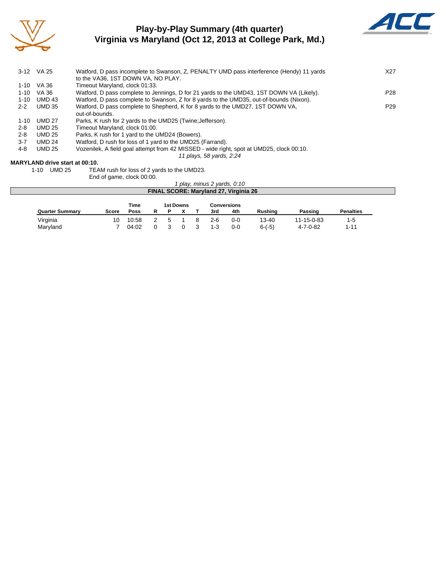

# **Play-by-Play Summary (4th quarter) Virginia vs Maryland (Oct 12, 2013 at College Park, Md.)**



|          | 3-12 VA 25    | Watford, D pass incomplete to Swanson, Z, PENALTY UMD pass interference (Hendy) 11 yards<br>to the VA36, 1ST DOWN VA, NO PLAY. | X27             |
|----------|---------------|--------------------------------------------------------------------------------------------------------------------------------|-----------------|
| $1-10$   | VA 36         | Timeout Maryland, clock 01:33.                                                                                                 |                 |
| 1-10     | VA 36         | Watford, D pass complete to Jennings, D for 21 yards to the UMD43, 1ST DOWN VA (Likely).                                       | P28             |
| $1 - 10$ | <b>UMD 43</b> | Watford, D pass complete to Swanson, Z for 8 yards to the UMD35, out-of-bounds (Nixon).                                        |                 |
| $2 - 2$  | <b>UMD 35</b> | Watford, D pass complete to Shepherd, K for 8 yards to the UMD27, 1ST DOWN VA,                                                 | P <sub>29</sub> |
|          |               | out-of-bounds.                                                                                                                 |                 |
| $1 - 10$ | UMD 27        | Parks, K rush for 2 yards to the UMD25 (Twine; Jefferson).                                                                     |                 |
| $2 - 8$  | <b>UMD 25</b> | Timeout Maryland, clock 01:00.                                                                                                 |                 |
| $2 - 8$  | UMD 25        | Parks, K rush for 1 yard to the UMD24 (Bowers).                                                                                |                 |
| $3 - 7$  | <b>UMD 24</b> | Watford, D rush for loss of 1 yard to the UMD25 (Farrand).                                                                     |                 |
| 4-8      | <b>UMD 25</b> | Vozenilek, A field goal attempt from 42 MISSED - wide right, spot at UMD25, clock 00:10.                                       |                 |
|          |               | 11 plays, 58 yards, 2:24                                                                                                       |                 |
|          |               |                                                                                                                                |                 |

#### **MARYLAND drive start at 00:10.**

1-10 UMD 25 TEAM rush for loss of 2 yards to the UMD23.

End of game, clock 00:00.

|                        |       |       |  |                  |     | I play, minus 2 yards, 0:10           |                |            |                  |  |
|------------------------|-------|-------|--|------------------|-----|---------------------------------------|----------------|------------|------------------|--|
|                        |       |       |  |                  |     | FINAL SCORE: Maryland 27, Virginia 26 |                |            |                  |  |
|                        |       |       |  |                  |     |                                       |                |            |                  |  |
|                        |       | Time  |  | <b>1st Downs</b> |     | <b>Conversions</b>                    |                |            |                  |  |
| <b>Quarter Summary</b> | Score | Poss  |  |                  | 3rd | 4th                                   | <b>Rushing</b> | Passing    | <b>Penalties</b> |  |
| Virginia               | 10    | 10:58 |  |                  | 2-R | $0 - 0$                               | $13 - 40$      | 11-15-0-83 | $1-5$            |  |

Maryland 7 04:02 0 3 0 3 1-3 0-0 6-(-5) 4-7-0-82 1-11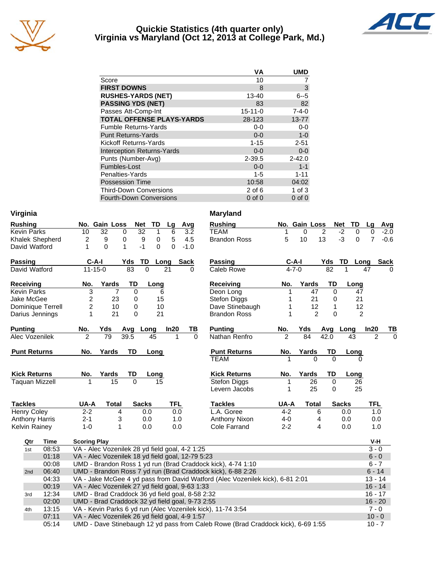

### **Quickie Statistics (4th quarter only) Virginia vs Maryland (Oct 12, 2013 at College Park, Md.)**



|                                   | VA            | <b>UMD</b>  |
|-----------------------------------|---------------|-------------|
| Score                             | 10            |             |
| <b>FIRST DOWNS</b>                | 8             | 3           |
| <b>RUSHES-YARDS (NET)</b>         | 13-40         | $6 - 5$     |
| <b>PASSING YDS (NET)</b>          | 83            | 82          |
| Passes Att-Comp-Int               | $15 - 11 - 0$ | $7 - 4 - 0$ |
| <b>TOTAL OFFENSE PLAYS-YARDS</b>  | 28-123        | $13 - 77$   |
| <b>Fumble Returns-Yards</b>       | $0-0$         | $0-0$       |
| <b>Punt Returns-Yards</b>         | $0 - 0$       | $1-0$       |
| Kickoff Returns-Yards             | $1 - 15$      | $2 - 51$    |
| <b>Interception Returns-Yards</b> | $0 - 0$       | $0-0$       |
| Punts (Number-Avg)                | $2 - 39.5$    | $2 - 42.0$  |
| Fumbles-Lost                      | $0 - 0$       | $1 - 1$     |
| Penalties-Yards                   | $1 - 5$       | $1 - 11$    |
| <b>Possession Time</b>            | 10:58         | 04:02       |
| <b>Third-Down Conversions</b>     | $2$ of 6      | 1 of $3$    |
| <b>Fourth-Down Conversions</b>    | $0$ of $0$    | $0$ of $0$  |

| Virginia              |                              |                                                                                                                                    | <b>Maryland</b>      |               |               |                                    |                            |
|-----------------------|------------------------------|------------------------------------------------------------------------------------------------------------------------------------|----------------------|---------------|---------------|------------------------------------|----------------------------|
| <b>Rushing</b>        | No. Gain Loss                | Net<br>TD<br>Avg<br>Lg                                                                                                             | <b>Rushing</b>       |               | No. Gain Loss | Net<br>TD                          | Lg<br>Avg                  |
| <b>Kevin Parks</b>    | $\overline{32}$<br>10        | $\overline{32}$<br>$\overline{0}$<br>$\mathbf{1}$<br>6<br>3.2                                                                      | <b>TEAM</b>          | 1             | $\Omega$      | $\overline{2}$<br>$-2$<br>$\Omega$ | $-2.0$<br>0                |
| Khalek Shepherd       | 9<br>2                       | 5<br>0<br>9<br>0<br>4.5                                                                                                            | <b>Brandon Ross</b>  | 5             | 10            | 13<br>$-3$<br>0                    | $\overline{7}$<br>$-0.6$   |
| David Watford         | $\mathbf{1}$<br>$\mathbf{0}$ | $-1$<br>$\Omega$<br>0<br>1<br>$-1.0$                                                                                               |                      |               |               |                                    |                            |
| <b>Passing</b>        | $C-A-I$                      | <b>TD</b><br>Yds<br>Long<br><b>Sack</b>                                                                                            | <b>Passing</b>       | $C-A-I$       |               | <b>TD</b><br>Yds                   | Long<br><b>Sack</b>        |
| David Watford         | $11 - 15 - 0$                | 83<br>$\Omega$<br>21<br><sup>0</sup>                                                                                               | Caleb Rowe           | $4 - 7 - 0$   |               | 82<br>1                            | 47<br>$\Omega$             |
| Receiving             | Yards<br>No.                 | TD<br>Long                                                                                                                         | Receiving            | No.           | Yards         | <b>TD</b><br>Long                  |                            |
| <b>Kevin Parks</b>    | 3<br>7                       | $\Omega$<br>6                                                                                                                      | Deon Long            |               | 47            | $\Omega$<br>47                     |                            |
| Jake McGee            | 2<br>23                      | 0<br>15                                                                                                                            | Stefon Diggs         | 1             | 21            | 21<br>0                            |                            |
| Dominique Terrell     | 2<br>10                      | 0<br>10                                                                                                                            | Dave Stinebaugh      | 1             | 12            | 1<br>12                            |                            |
| Darius Jennings       | 21<br>1                      | $\Omega$<br>21                                                                                                                     | <b>Brandon Ross</b>  | 1             | 2             | $\Omega$<br>2                      |                            |
| <b>Punting</b>        | No.<br>Yds                   | Avg<br>Long<br>In20<br>TВ                                                                                                          | <b>Punting</b>       | No.           | Yds           | Long<br>Avg                        | In20<br>TВ                 |
| Alec Vozenilek        | $\mathfrak{p}$<br>79         | 39.5<br>$\mathbf 1$<br>$\Omega$<br>45                                                                                              | Nathan Renfro        | $\mathcal{P}$ | 84            | 42.0<br>43                         | $\overline{2}$<br>$\Omega$ |
| <b>Punt Returns</b>   | Yards<br>No.                 | TD<br>Long                                                                                                                         | <b>Punt Returns</b>  | No.           | Yards         | TD<br>Long                         |                            |
|                       |                              |                                                                                                                                    | <b>TEAM</b>          |               | 0             | $\Omega$                           |                            |
| <b>Kick Returns</b>   | No.<br>Yards                 | TD<br>Long                                                                                                                         | <b>Kick Returns</b>  | No.           | Yards         | TD<br>Long                         |                            |
| <b>Taquan Mizzell</b> | $\overline{15}$<br>1         | $\Omega$<br>15                                                                                                                     | Stefon Diggs         | 1             | 26            | $\Omega$<br>26                     |                            |
|                       |                              |                                                                                                                                    | Levern Jacobs        | 1             | 25            | 25<br>0                            |                            |
| <b>Tackles</b>        | UA-A<br><b>Total</b>         | <b>Sacks</b><br><b>TFL</b>                                                                                                         | <b>Tackles</b>       |               | <b>Total</b>  | <b>Sacks</b>                       | TFL                        |
| <b>Henry Coley</b>    |                              |                                                                                                                                    |                      | UA-A          |               |                                    |                            |
|                       | $2 - 2$<br>4                 | 0.0<br>0.0                                                                                                                         | L.A. Goree           | $4 - 2$       | 6             | 0.0                                | 1.0                        |
| <b>Anthony Harris</b> | $2 - 1$<br>3                 | 0.0<br>1.0                                                                                                                         | <b>Anthony Nixon</b> | $4 - 0$       | 4             | 0.0                                | 0.0                        |
| Kelvin Rainey         | $1-0$<br>1                   | 0.0<br>0.0                                                                                                                         | Cole Farrand         | $2 - 2$       | 4             | 0.0                                | 1.0                        |
| Qtr<br>Time           | <b>Scoring Play</b>          |                                                                                                                                    |                      |               |               |                                    | V-H                        |
| 08:53<br>1st          |                              | VA - Alec Vozenilek 28 yd field goal, 4-2 1:25                                                                                     |                      |               |               |                                    | $3 - 0$                    |
| 01:18                 |                              | VA - Alec Vozenilek 18 yd field goal, 12-79 5:23                                                                                   |                      |               |               |                                    | $6 - 0$                    |
| 00:08                 |                              | UMD - Brandon Ross 1 yd run (Brad Craddock kick), 4-74 1:10                                                                        |                      |               |               |                                    | $6 - 7$                    |
| 06:40<br>2nd          |                              | UMD - Brandon Ross 7 yd run (Brad Craddock kick), 6-88 2:26                                                                        |                      |               |               |                                    | $6 - 14$                   |
| 04:33                 |                              | VA - Jake McGee 4 yd pass from David Watford (Alec Vozenilek kick), 6-81 2:01                                                      |                      |               |               |                                    | $13 - 14$                  |
| 00:19                 |                              | VA - Alec Vozenilek 27 yd field goal, 9-63 1:33                                                                                    |                      |               |               |                                    | $16 - 14$                  |
| 12:34<br>3rd          |                              | UMD - Brad Craddock 36 yd field goal, 8-58 2:32                                                                                    |                      |               |               |                                    | $16 - 17$                  |
| 02:00                 |                              | UMD - Brad Craddock 32 yd field goal, 9-73 2:55                                                                                    |                      |               |               |                                    | $16 - 20$                  |
| 13:15<br>4th          |                              | VA - Kevin Parks 6 yd run (Alec Vozenilek kick), 11-74 3:54                                                                        |                      |               |               |                                    | $7 - 0$                    |
| 07:11<br>05:14        |                              | VA - Alec Vozenilek 26 yd field goal, 4-9 1:57<br>UMD - Dave Stinebaugh 12 yd pass from Caleb Rowe (Brad Craddock kick), 6-69 1:55 |                      |               |               |                                    | $10 - 0$<br>$10 - 7$       |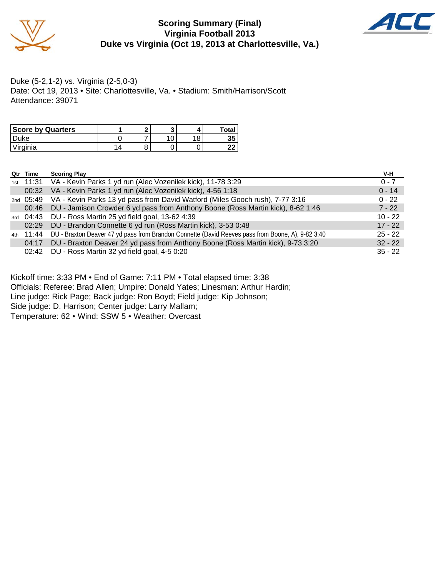

### **Scoring Summary (Final) Virginia Football 2013 Duke vs Virginia (Oct 19, 2013 at Charlottesville, Va.)**



Duke (5-2,1-2) vs. Virginia (2-5,0-3) Date: Oct 19, 2013 • Site: Charlottesville, Va. • Stadium: Smith/Harrison/Scott Attendance: 39071

| <b>Score by Quarters</b> |   | - |  | Total |
|--------------------------|---|---|--|-------|
| Duke                     |   |   |  | 35    |
| Virginia                 | 4 |   |  | ົ     |

| Qtr Time  | <b>Scoring Play</b>                                                                               | V-H       |
|-----------|---------------------------------------------------------------------------------------------------|-----------|
|           | 1st 11:31 VA - Kevin Parks 1 yd run (Alec Vozenilek kick), 11-78 3:29                             | $0 - 7$   |
| 00:32     | VA - Kevin Parks 1 yd run (Alec Vozenilek kick), 4-56 1:18                                        | $0 - 14$  |
| 2nd 05:49 | VA - Kevin Parks 13 yd pass from David Watford (Miles Gooch rush), 7-77 3:16                      | $0 - 22$  |
| 00:46     | DU - Jamison Crowder 6 yd pass from Anthony Boone (Ross Martin kick), 8-62 1:46                   | $7 - 22$  |
| 3rd 04:43 | DU - Ross Martin 25 yd field goal, 13-62 4:39                                                     | $10 - 22$ |
| 02:29     | DU - Brandon Connette 6 yd run (Ross Martin kick), 3-53 0:48                                      | $17 - 22$ |
| 4th 11:44 | DU - Braxton Deaver 47 yd pass from Brandon Connette (David Reeves pass from Boone, A), 9-82 3:40 | $25 - 22$ |
| 04:17     | DU - Braxton Deaver 24 yd pass from Anthony Boone (Ross Martin kick), 9-73 3:20                   | $32 - 22$ |
| 02:42     | DU - Ross Martin 32 yd field goal, 4-5 0:20                                                       | $35 - 22$ |

Kickoff time: 3:33 PM • End of Game: 7:11 PM • Total elapsed time: 3:38

Officials: Referee: Brad Allen; Umpire: Donald Yates; Linesman: Arthur Hardin;

Line judge: Rick Page; Back judge: Ron Boyd; Field judge: Kip Johnson;

Side judge: D. Harrison; Center judge: Larry Mallam;

Temperature: 62 • Wind: SSW 5 • Weather: Overcast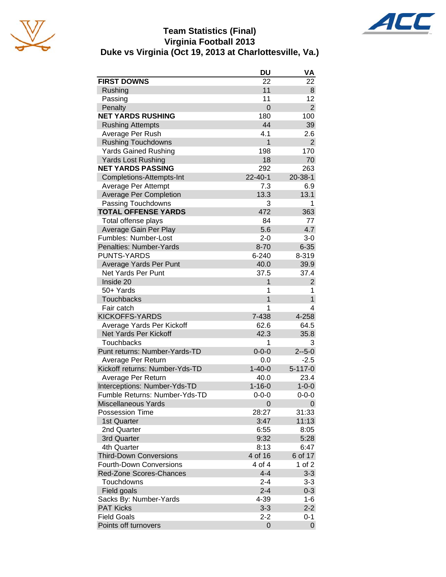

## **Team Statistics (Final) Virginia Football 2013 Duke vs Virginia (Oct 19, 2013 at Charlottesville, Va.)**



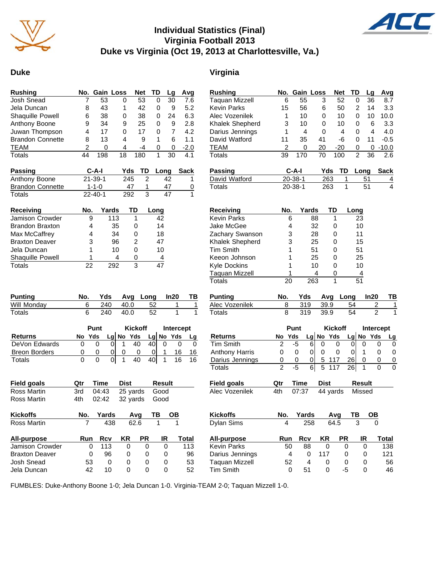

## **Individual Statistics (Final) Virginia Football 2013 Duke vs Virginia (Oct 19, 2013 at Charlottesville, Va.)**



#### **Duke Virginia**

| <b>Rushing</b>            | No.            | <b>Gain Loss</b> |             | <b>Net</b>     | TD             | Lg           | Avg         | <b>Rus</b>  |
|---------------------------|----------------|------------------|-------------|----------------|----------------|--------------|-------------|-------------|
| Josh Snead                | 7              | 53               | 0           | 53             | 0              | 30           | 7.6         | Taq         |
| Jela Duncan               | 8              | 43               | 1           | 42             | 0              | 9            | 5.2         | Kev         |
| Shaquille Powell          | 6              | 38               | 0           | 38             | 0              | 24           | 6.3         | Aleo        |
| Anthony Boone             | 9              | 34               | 9           | 25             | 0              | 9            | 2.8         | Kha         |
| Juwan Thompson            | 4              | 17               | 0           | 17             | 0              | 7            | 4.2         | Dari        |
| <b>Brandon Connette</b>   | 8              | 13               | 4           | 9              | 1              | 6            | 1.1         | Dav         |
| <b>TEAM</b>               | $\overline{c}$ | 0                | 4           | -4             | 0              | 0            | $-2.0$      | TEA         |
| <b>Totals</b>             | 44             | 198              | 18          | 180            | 1              | 30           | 4.1         | Tota        |
| Passing                   |                | C-A-I            | Yds         | TD             | Long           |              | <b>Sack</b> | Pas         |
| Anthony Boone             |                | $21 - 39 - 1$    | 245         |                | $\overline{2}$ | 42           | 1           | Dav         |
| <b>Brandon Connette</b>   |                | $1 - 1 - 0$      | 47          |                | 1              | 47           | 0           | Tota        |
| <b>Totals</b>             |                | $22 - 40 - 1$    | 292         |                | 3              | 47           | 1           |             |
| Receiving                 | No.            | Yards            |             | TD             | Long           |              |             | Rec         |
| Jamison Crowder           | 9              |                  | 113         | 1              | 42             |              |             | Kev         |
| <b>Brandon Braxton</b>    | 4              |                  | 35          | 0              | 14             |              |             | <b>Jak</b>  |
| Max McCaffrey             | 4              |                  | 34          | 0              | 18             |              |             | Zac         |
| <b>Braxton Deaver</b>     | 3              |                  | 96          | $\overline{c}$ | 47             |              |             | Kha         |
| Jela Duncan               | 1              |                  | 10          | 0              | 10             |              |             | Tim         |
| Shaquille Powell          | 1              |                  | 4           | 0              | 4              |              |             | Kee         |
| <b>Totals</b>             | 22             |                  | 292         | 3              | 47             |              |             | Kyle        |
| <b>Punting</b>            | No.            | Yds              | Avg         |                | Long           | In20         | TВ          | Tota<br>Pun |
| Will Monday               | 6              | 240              | 40.0        |                | 52             | 1            | 1           | Aleo        |
|                           |                |                  |             |                |                | 1            | 1           | Tota        |
| <b>Totals</b>             | 6              | 240              | 40.0        |                | 52             |              |             |             |
|                           |                | Punt             |             | <b>Kickoff</b> |                | Intercept    |             |             |
| <b>Returns</b>            | Yds<br>No      |                  | Lg No Yds   |                | Lg No Yds      |              | <b>Lg</b>   | Ret         |
| DeVon Edwards             | 0              | 0<br>0           | 1           | 40             | 40             | 0            | 0<br>0      | Tim         |
| <b>Breon Borders</b>      | 0              | 0<br>0           | 0           | 0              | 0              | 1<br>16      | 16          | Ant         |
| Totals                    | 0              | 0<br>01          | 1           | 40             | 40             | 1<br>16      | 16          |             |
|                           |                |                  |             |                |                |              |             | Dar<br>Tot  |
| <b>Field goals</b>        | Qtr            | <b>Time</b>      | <b>Dist</b> |                | <b>Result</b>  |              |             | <b>Fiel</b> |
| Ross Martin               | 3rd            | 04:43            |             | 25 yards       | Good           |              |             | Aleo        |
| Ross Martin               | 4th            | 02:42            |             | 32 yards       | Good           |              |             |             |
| <b>Kickoffs</b>           | No.            | Yards            |             | Avg            | TB             | OВ           |             | Kicl        |
| Ross Martin               | 7              | 438              |             | 62.6           | 1              | $\mathbf{1}$ |             | Dyla        |
| <b>All-purpose</b>        | Run            | Rcv              | KR          | PR             |                | IR           | Total       | All-        |
| Jamison Crowder           | 0              | 113              | 0           |                | 0              | 0            | 113         | Kev         |
| <b>Braxton Deaver</b>     | 0              | 96               | 0           |                | 0              | 0            | 96          | Dari        |
| Josh Snead<br>Jela Duncan | 53<br>42       | 0<br>10          | 0           |                | 0              | 0            | 53<br>52    | Taq<br>Tim  |

| <b>Rushing</b>        | No. |         | Gain Loss   | Net            | TD        | Lg            |                | Avg         |
|-----------------------|-----|---------|-------------|----------------|-----------|---------------|----------------|-------------|
| Taquan Mizzell        | 6   | 55      | 3           | 52             |           | 36<br>0       |                | 8.7         |
| Kevin Parks           | 15  | 56      | 6           | 50             |           | 2<br>14       |                | 3.3         |
| Alec Vozenilek        | 1   | 10      | 0           | 10             |           | 0<br>10       |                | 10.0        |
| Khalek Shepherd       | 3   | 10      | 0           | 10             |           | 0             | 6              | 3.3         |
| Darius Jennings       | 1   | 4       | 0           | 4              |           | 0             | 4              | 4.0         |
| David Watford         | 11  | 35      | 41          | -6             |           | 0<br>11       |                | $-0.5$      |
| <b>TEAM</b>           | 2   | 0       | 20          | $-20$          |           | 0             | 0              | $-10.0$     |
| Totals                | 39  | 170     | 70          | 100            |           | 2<br>36       |                | 2.6         |
| Passing               |     | $C-A-I$ |             | Yds            | TD        | Long          |                | <b>Sack</b> |
| David Watford         |     | 20-38-1 |             | 263            | 1         | 51            |                | 4           |
| <b>Totals</b>         |     | 20-38-1 |             | 263            | 1         | 51            |                | 4           |
| Receiving             | No. |         | Yards       | TD             | Long      |               |                |             |
| Kevin Parks           |     | 6       | 88          | 1              |           | 23            |                |             |
| Jake McGee            |     | 4       | 32          | 0              |           | 10            |                |             |
| Zachary Swanson       |     | 3       | 28          | 0              |           | 11            |                |             |
| Khalek Shepherd       |     | 3       | 25          | 0              |           | 15            |                |             |
| Tim Smith             |     | 1       | 51          | 0              |           | 51            |                |             |
| Keeon Johnson         |     | 1       | 25          | 0              |           | 25            |                |             |
| Kyle Dockins          |     | 1       | 10          | 0              |           | 10            |                |             |
| Taquan Mizzell        |     | 1       | 4           | 0              |           | 4             |                |             |
| <b>Totals</b>         | 20  |         | 263         | 1              |           | 51            |                |             |
| <b>Punting</b>        | No. | Yds     |             | Avg            | Long      | In20          |                | TВ          |
| Alec Vozenilek        | 8   | 319     |             | 39.9           | 54        |               | $\overline{2}$ | 1           |
| Totals                | 8   | 319     |             | 39.9           | 54        |               | $\overline{2}$ | 1           |
|                       |     | Punt    |             | <b>Kickoff</b> |           |               | Intercept      |             |
| <b>Returns</b>        | No  | Yds     | Lg No Yds   |                | Lg No     |               | Yds            | Lg          |
| <b>Tim Smith</b>      | 2   | -5      | 6<br>0      | 0              | 0         | 0             | 0              | 0           |
| <b>Anthony Harris</b> | 0   | 0       | 0<br>0      | 0              | 0         | 1             | 0              | 0           |
| Darius Jennings       | 0   | 0       | 5<br>0      | 117            | 26        | 0             | 0              | 0           |
| <b>Totals</b>         | 2   | -5      | 5<br>6      | 117            | 26I       | 1             | 0              | 0           |
| Field goals           | Qtr | Time    | <b>Dist</b> |                |           | <b>Result</b> |                |             |
| Alec Vozenilek        | 4th | 07:37   |             | 44 yards       |           | Missed        |                |             |
| Kickoffs              | No. | Yards   |             | Avg            | ΤВ        |               | ОВ             |             |
| Dylan Sims            | 4   |         | 258         | 64.5           |           | 3             | 0              |             |
| All-purpose           | Run | Rcv     | ΚR          |                | <b>PR</b> | IR            |                | Total       |
| Kevin Parks           |     | 50      | 88          | 0              | 0         | 0             |                | 138         |
| Darius Jennings       |     | 4       | 0<br>117    |                | 0         | 0             |                | 121         |
| Taquan Mizzell        |     | 52      | 4           | 0              | 0         | 0             |                | 56          |
| Tim Smith             |     | 0       | 51          | 0              | -5        | 0             |                | 46          |

FUMBLES: Duke-Anthony Boone 1-0; Jela Duncan 1-0. Virginia-TEAM 2-0; Taquan Mizzell 1-0.

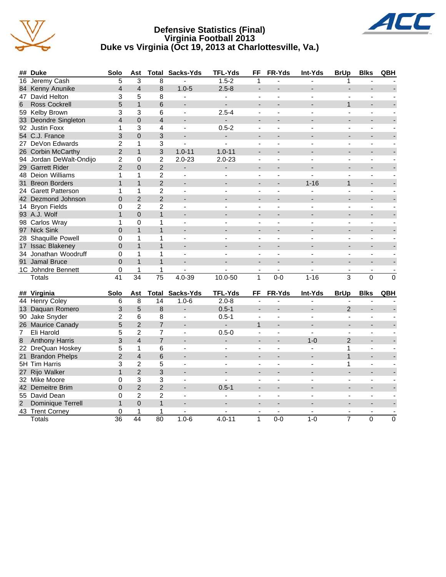





| ##               | <b>Duke</b>             | Solo            | Ast             | Total           | Sacks-Yds                | <b>TFL-Yds</b>           | FF                       | <b>FR-Yds</b>            | Int-Yds        | <b>BrUp</b>              | <b>Blks</b>    | QBH      |
|------------------|-------------------------|-----------------|-----------------|-----------------|--------------------------|--------------------------|--------------------------|--------------------------|----------------|--------------------------|----------------|----------|
| 16               | Jeremy Cash             | 5               | 3               | 8               |                          | $1.5 - 2$                | 1                        |                          |                | 1                        |                |          |
| 84               | Kenny Anunike           | $\overline{4}$  | $\overline{4}$  | 8               | $1.0 - 5$                | $2.5 - 8$                | $\blacksquare$           |                          |                | $\blacksquare$           |                |          |
| 47               | David Helton            | 3               | 5               | 8               | $\mathbf{r}$             | $\blacksquare$           | ä,                       | $\blacksquare$           | $\overline{a}$ | $\overline{\phantom{a}}$ | $\blacksquare$ |          |
| 6                | <b>Ross Cockrell</b>    | 5               | $\mathbf{1}$    | 6               |                          | $\overline{a}$           | $\overline{a}$           |                          |                | $\overline{1}$           | $\overline{a}$ |          |
|                  | 59 Kelby Brown          | 3               | 3               | 6               | $\blacksquare$           | $2.5 - 4$                | $\blacksquare$           | $\overline{\phantom{a}}$ |                | $\blacksquare$           | $\blacksquare$ |          |
| 33               | Deondre Singleton       | $\overline{4}$  | $\mathbf 0$     | $\overline{4}$  |                          |                          | $\overline{\phantom{a}}$ |                          |                |                          |                |          |
|                  | 92 Justin Foxx          | 1               | 3               | 4               | $\blacksquare$           | $0.5 - 2$                | ÷,                       |                          |                | $\overline{a}$           | ä,             |          |
|                  | 54 C.J. France          | 3               | $\mathbf 0$     | 3               |                          | ÷,                       | $\blacksquare$           |                          |                |                          | $\overline{a}$ |          |
|                  | 27 DeVon Edwards        | $\overline{2}$  | $\mathbf{1}$    | 3               | $\blacksquare$           | $\blacksquare$           | $\blacksquare$           | $\blacksquare$           | ÷.             | $\blacksquare$           | $\blacksquare$ |          |
|                  | 26 Corbin McCarthy      | $\overline{c}$  | $\mathbf{1}$    | 3               | $1.0 - 11$               | $1.0 - 11$               | ÷                        |                          |                |                          |                |          |
|                  | 94 Jordan DeWalt-Ondijo | $\overline{c}$  | $\mathbf 0$     | $\overline{c}$  | $2.0 - 23$               | $2.0 - 23$               | $\blacksquare$           | $\overline{\phantom{a}}$ |                | ÷,                       | ä,             |          |
|                  | 29 Garrett Rider        | $\overline{2}$  | $\mathbf 0$     | $\overline{c}$  | $\overline{\phantom{a}}$ | $\overline{a}$           | ۰                        |                          |                |                          |                |          |
|                  | 48 Deion Williams       | 1               | 1               | $\overline{c}$  | $\overline{a}$           |                          | $\overline{a}$           |                          |                |                          | ä,             |          |
|                  | 31 Breon Borders        | $\mathbf{1}$    | $\mathbf{1}$    | $\overline{c}$  |                          |                          | $\overline{\phantom{a}}$ |                          | $1 - 16$       | $\mathbf{1}$             | $\overline{a}$ |          |
|                  | 24 Garett Patterson     | 1               | 1               | $\overline{2}$  | $\mathbf{r}$             | $\mathbf{r}$             | $\blacksquare$           | $\blacksquare$           | L.             | $\blacksquare$           | ÷,             |          |
|                  | 42 Dezmond Johnson      | $\overline{0}$  | $\overline{2}$  | $\overline{2}$  |                          |                          | $\overline{a}$           |                          |                |                          |                |          |
|                  | 14 Bryon Fields         | 0               | $\overline{c}$  | $\overline{c}$  | $\overline{\phantom{a}}$ |                          | $\blacksquare$           |                          |                | L.                       | ä,             |          |
|                  | 93 A.J. Wolf            | $\mathbf{1}$    | $\mathbf 0$     | $\mathbf{1}$    |                          |                          |                          |                          |                |                          |                |          |
|                  | 98 Carlos Wray          | 1               | 0               | 1               | $\overline{a}$           |                          | $\overline{a}$           |                          |                |                          | ä,             |          |
|                  | 97 Nick Sink            | $\Omega$        | $\mathbf{1}$    | $\mathbf{1}$    |                          |                          | $\overline{\phantom{a}}$ |                          |                |                          | $\overline{a}$ |          |
|                  | 28 Shaquille Powell     | 0               | 1               | 1               | $\blacksquare$           | $\blacksquare$           | ÷,                       | $\blacksquare$           | $\overline{a}$ | $\blacksquare$           | $\overline{a}$ |          |
|                  | 17 Issac Blakeney       | $\overline{0}$  | $\mathbf{1}$    | $\mathbf{1}$    |                          |                          |                          |                          |                |                          |                |          |
|                  | 34 Jonathan Woodruff    | 0               | $\mathbf{1}$    | 1               | ÷,                       |                          | $\blacksquare$           |                          |                | ÷,                       | ä,             |          |
|                  | 91 Jamal Bruce          | $\mathbf 0$     | $\mathbf{1}$    | $\mathbf{1}$    |                          |                          | $\overline{a}$           |                          |                |                          |                |          |
|                  | 1C Johndre Bennett      | 0               | $\mathbf{1}$    | 1               |                          |                          |                          |                          |                |                          |                |          |
|                  | Totals                  | $\overline{41}$ | $\overline{34}$ | $\overline{75}$ | $4.0 - 39$               | $10.0 - 50$              | $\overline{1}$           | $0 - 0$                  | $1 - 16$       | $\overline{3}$           | $\overline{0}$ | $\Omega$ |
|                  |                         |                 |                 |                 |                          |                          |                          |                          |                |                          |                |          |
|                  | ## Virginia             | Solo            | Ast             |                 | <b>Total Sacks-Yds</b>   | <b>TFL-Yds</b>           | FF                       | FR-Yds                   | Int-Yds        | <b>BrUp</b>              | <b>Blks</b>    | QBH      |
|                  | 44 Henry Coley          | 6               | 8               | 14              | $1.0 - 6$                | $2.0 - 8$                |                          |                          |                |                          |                |          |
| 13 <sup>°</sup>  | Daquan Romero           | 3               | 5               | 8               |                          | $0.5 - 1$                |                          |                          |                | $\overline{2}$           |                |          |
| 90               | Jake Snyder             | $\overline{c}$  | 6               | 8               | $\blacksquare$           | $0.5 - 1$                |                          |                          |                | $\blacksquare$           | ÷,             |          |
|                  | 26 Maurice Canady       | 5               | $\overline{2}$  | $\overline{7}$  | $\overline{\phantom{a}}$ | $\overline{\phantom{0}}$ | $\mathbf{1}$             |                          |                | $\overline{\phantom{a}}$ |                |          |
| $\overline{7}$   | Eli Harold              | 5               | $\overline{2}$  | $\overline{7}$  | $\blacksquare$           | $0.5 - 0$                | $\blacksquare$           | $\blacksquare$           | $\blacksquare$ | $\blacksquare$           | $\blacksquare$ |          |
| $\boldsymbol{8}$ | <b>Anthony Harris</b>   | 3               | $\overline{4}$  | $\overline{7}$  |                          | ÷.                       | $\overline{a}$           |                          | $1 - 0$        | $\overline{2}$           |                |          |
|                  | 22 DreQuan Hoskey       | 5               | $\mathbf{1}$    | 6               |                          |                          | $\blacksquare$           |                          |                | $\mathbf{1}$             | ä,             |          |
| 21               | <b>Brandon Phelps</b>   | $\overline{c}$  | $\overline{4}$  | 6               |                          |                          |                          |                          |                | $\mathbf{1}$             |                |          |
|                  | 5H Tim Harris           | 3               | $\overline{2}$  | 5               | $\blacksquare$           | $\blacksquare$           | $\overline{a}$           | $\blacksquare$           |                | $\mathbf{1}$             | ä,             |          |
| 27               | Rijo Walker             | $\mathbf{1}$    | $\overline{2}$  | 3               | $\blacksquare$           |                          |                          |                          |                |                          |                |          |
|                  | 32 Mike Moore           | 0               | 3               | 3               | $\blacksquare$           | $\mathbf{r}$             | $\blacksquare$           | $\blacksquare$           | $\overline{a}$ | $\blacksquare$           | $\blacksquare$ |          |
|                  | 42 Demeitre Brim        | $\overline{0}$  | $\overline{2}$  | $\overline{2}$  |                          | $0.5 - 1$                |                          |                          |                |                          |                |          |
|                  | 55 David Dean           | $\Omega$        | $\overline{2}$  | $\overline{2}$  | $\blacksquare$           |                          | $\blacksquare$           |                          |                |                          | ä,             |          |
| $\overline{2}$   | Dominique Terrell       | $\mathbf{1}$    | $\Omega$        | $\mathbf{1}$    |                          |                          |                          |                          |                |                          |                |          |
|                  | 43 Trent Corney         | 0               | 1               | 1               |                          |                          |                          | $\mathbf{r}$             |                | $\overline{\phantom{a}}$ |                |          |
|                  | <b>Totals</b>           | 36              | 44              | 80              | $1.0 - 6$                | $4.0 - 11$               | $\mathbf{1}$             | $0 - 0$                  | $1 - 0$        | $\overline{7}$           | 0              | 0        |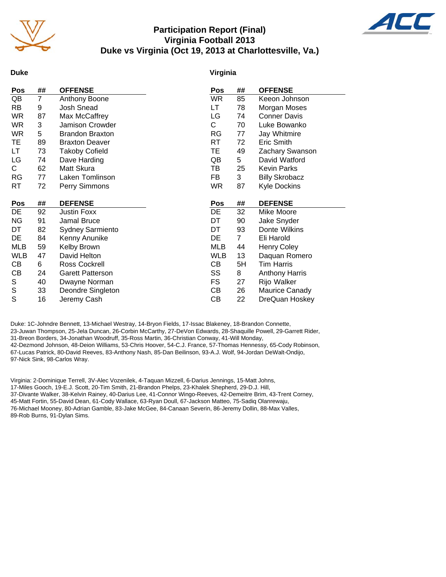

## **Participation Report (Final) Virginia Football 2013 Duke vs Virginia (Oct 19, 2013 at Charlottesville, Va.)**



#### **Duke**

#### **Virginia**

| Pos        | ##             | <b>OFFENSE</b>          | Pos        | ##             | <b>OFFENSE</b>        |
|------------|----------------|-------------------------|------------|----------------|-----------------------|
| QB         | $\overline{7}$ | Anthony Boone           | WR.        | 85             | Keeon Johnson         |
| RB         | 9              | Josh Snead              | LT         | 78             | Morgan Moses          |
| WR.        | 87             | Max McCaffrey           | LG         | 74             | <b>Conner Davis</b>   |
| WR.        | 3              | Jamison Crowder         | С          | 70             | Luke Bowanko          |
| <b>WR</b>  | 5              | <b>Brandon Braxton</b>  | RG         | 77             | Jay Whitmire          |
| TE         | 89             | <b>Braxton Deaver</b>   | RT         | 72             | Eric Smith            |
| LT         | 73             | <b>Takoby Cofield</b>   | TЕ         | 49             | Zachary Swanson       |
| LG         | 74             | Dave Harding            | QB         | 5              | David Watford         |
| C.         | 62             | Matt Skura              | TВ         | 25             | Kevin Parks           |
| RG         | 77             | Laken Tomlinson         | FB         | 3              | <b>Billy Skrobacz</b> |
| RT         | 72             | Perry Simmons           | WR         | 87             | Kyle Dockins          |
|            |                |                         |            |                |                       |
| <b>Pos</b> | ##             | <b>DEFENSE</b>          | Pos        | ##             | <b>DEFENSE</b>        |
| DE         | 92             | <b>Justin Foxx</b>      | DE         | 32             | Mike Moore            |
| <b>NG</b>  | 91             | Jamal Bruce             | DT         | 90             | Jake Snyder           |
| DT         | 82             | <b>Sydney Sarmiento</b> | DT         | 93             | Donte Wilkins         |
| DE         | 84             | Kenny Anunike           | DE         | $\overline{7}$ | Eli Harold            |
| MLB        | 59             | Kelby Brown             | MLB        | 44             | <b>Henry Coley</b>    |
| <b>WLB</b> | 47             | David Helton            | <b>WLB</b> | 13             | Daquan Romero         |
| CВ         | 6              | <b>Ross Cockrell</b>    | CВ         | 5H             | Tim Harris            |
| CВ         | 24             | <b>Garett Patterson</b> | SS         | 8              | <b>Anthony Harris</b> |
| S          | 40             | Dwayne Norman           | FS         | 27             | Rijo Walker           |
| S          | 33             | Deondre Singleton       | CВ         | 26             | Maurice Canady        |
| S          | 16             | Jeremy Cash             | CВ         | 22             | DreQuan Hoskey        |

Duke: 1C-Johndre Bennett, 13-Michael Westray, 14-Bryon Fields, 17-Issac Blakeney, 18-Brandon Connette, 23-Juwan Thompson, 25-Jela Duncan, 26-Corbin McCarthy, 27-DeVon Edwards, 28-Shaquille Powell, 29-Garrett Rider, 31-Breon Borders, 34-Jonathan Woodruff, 35-Ross Martin, 36-Christian Conway, 41-Will Monday, 42-Dezmond Johnson, 48-Deion Williams, 53-Chris Hoover, 54-C.J. France, 57-Thomas Hennessy, 65-Cody Robinson, 67-Lucas Patrick, 80-David Reeves, 83-Anthony Nash, 85-Dan Beilinson, 93-A.J. Wolf, 94-Jordan DeWalt-Ondijo, 97-Nick Sink, 98-Carlos Wray.

Virginia: 2-Dominique Terrell, 3V-Alec Vozenilek, 4-Taquan Mizzell, 6-Darius Jennings, 15-Matt Johns, 17-Miles Gooch, 19-E.J. Scott, 20-Tim Smith, 21-Brandon Phelps, 23-Khalek Shepherd, 29-D.J. Hill, 37-Divante Walker, 38-Kelvin Rainey, 40-Darius Lee, 41-Connor Wingo-Reeves, 42-Demeitre Brim, 43-Trent Corney, 45-Matt Fortin, 55-David Dean, 61-Cody Wallace, 63-Ryan Doull, 67-Jackson Matteo, 75-Sadiq Olanrewaju, 76-Michael Mooney, 80-Adrian Gamble, 83-Jake McGee, 84-Canaan Severin, 86-Jeremy Dollin, 88-Max Valles, 89-Rob Burns, 91-Dylan Sims.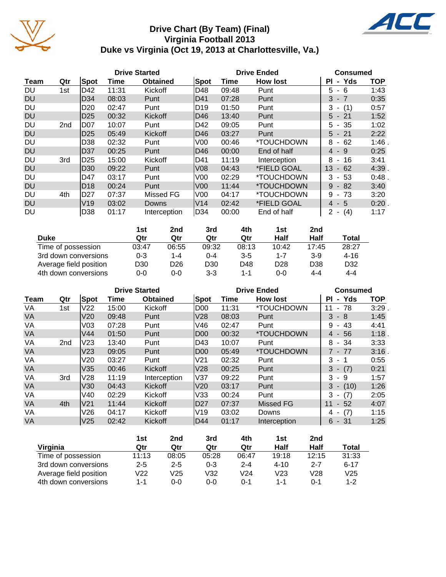

# **Drive Chart (By Team) (Final) Virginia Football 2013 Duke vs Virginia (Oct 19, 2013 at Charlottesville, Va.)**



|           |                 |                 |       | <b>Drive Started</b> |                 |       | <b>Drive Ended</b>        | <b>Consumed</b>                      |            |
|-----------|-----------------|-----------------|-------|----------------------|-----------------|-------|---------------------------|--------------------------------------|------------|
| Team      | Qtr             | Spot            | Time  | <b>Obtained</b>      | Spot            | Time  | <b>How lost</b>           | - Yds<br>ΡI                          | <b>TOP</b> |
| <b>DU</b> | 1st             | D42             | 11:31 | Kickoff              | D48             | 09:48 | Punt                      | 5<br>6<br>$\blacksquare$             | 1:43       |
| <b>DU</b> |                 | D34             | 08:03 | Punt                 | ID41            | 07:28 | Punt                      | 3<br>$-7$                            | 0:35       |
| DU        |                 | D <sub>20</sub> | 02:47 | Punt                 | D19             | 01:50 | Punt                      | (1)<br>3<br>$\blacksquare$           | 0:57       |
| <b>DU</b> |                 | D <sub>25</sub> | 00:32 | Kickoff              | D46             | 13:40 | Punt                      | $5 - 21$                             | 1:52       |
| DU        | 2 <sub>nd</sub> | D07             | 10:07 | Punt                 | ID42            | 09:05 | Punt                      | -35<br>5<br>$\sim$                   | 1:02       |
| <b>DU</b> |                 | D <sub>25</sub> | 05:49 | Kickoff              | D46             | 03:27 | Punt                      | $5 - 21$                             | 2:22       |
| DU        |                 | D38             | 02:32 | Punt                 | V00             | 00:46 | *TOUCHDOWN                | 62<br>8<br>$\blacksquare$            | $1:46$ .   |
| <b>DU</b> |                 | D37             | 00:25 | Punt                 | ID46            | 00:00 | End of half               | - 9<br>4                             | 0:25       |
| DU        | 3rd             | D <sub>25</sub> | 15:00 | Kickoff              | ID41            | 11:19 | Interception              | 8<br>16<br>$\blacksquare$            | 3:41       |
| <b>DU</b> |                 | D <sub>30</sub> | 09:22 | Punt                 | V <sub>08</sub> | 04:43 | *FIELD GOAL               | 13<br>$-62$                          | 4:39.      |
| DU        |                 | D47             | 03:17 | Punt                 | V00             | 02:29 | *TOUCHDOWN                | 3<br>- 53                            | 0:48.      |
| <b>DU</b> |                 | D <sub>18</sub> | 00:24 | Punt                 | V00             | 11:44 | *TOUCHDOWN                | 9<br>82<br>$\sim$                    | 3:40       |
| DU        | 4th             | D <sub>27</sub> | 07:37 | Missed FG            | V <sub>00</sub> | 04:17 | *TOUCHDOWN                | 9<br>73<br>$\blacksquare$            | 3:20       |
| <b>DU</b> |                 | V19             | 03:02 | Downs                | V <sub>14</sub> | 02:42 | <i><b>*FIELD GOAL</b></i> | - 5<br>4                             | $0:20$ .   |
| <b>DU</b> |                 | D38             | 01:17 | Interception         | D34             | 00:00 | End of half               | (4)<br>2<br>$\overline{\phantom{a}}$ | 1:17       |

|                        | 1st     | 2nd   | 3rd     | 4th     | 1st             | 2nd   |                 |
|------------------------|---------|-------|---------|---------|-----------------|-------|-----------------|
| <b>Duke</b>            | Qtr     | Qtr   | Qtr     | Qtr     | Half            | Half  | Total           |
| Time of possession     | 03:47   | 06:55 | 09:32   | 08:13   | 10:42           | 17:45 | 28:27           |
| 3rd down conversions   | $0 - 3$ | 1-4   | 0-4     | $3 - 5$ | 1-7             | $3-9$ | $4 - 16$        |
| Average field position | D30     | D26   | D30     | D48     | D <sub>28</sub> | D38   | D <sub>32</sub> |
| 4th down conversions   | $0 - 0$ | 0-0   | $3 - 3$ | 1-1     | $0 - 0$         | 4-4   | $4 - 4$         |

|             |                 |                 |       | <b>Drive Started</b> |                 |       | <b>Drive Ended</b> | <b>Consumed</b>                      |            |
|-------------|-----------------|-----------------|-------|----------------------|-----------------|-------|--------------------|--------------------------------------|------------|
| <b>Team</b> | Qtr             | Spot            | Time  | <b>Obtained</b>      | Spot            | Time  | <b>How lost</b>    | - Yds<br>ΡI                          | <b>TOP</b> |
| VA          | 1st             | V22             | 15:00 | Kickoff              | D00             | 11:31 | *TOUCHDOWN         | $-78$<br>11                          | 3:29       |
| <b>VA</b>   |                 | V20             | 09:48 | Punt                 | V28             | 08:03 | Punt               | 3<br>- 8                             | 1:45       |
| VA          |                 | V03             | 07:28 | Punt                 | V46             | 02:47 | Punt               | 9<br>43<br>$\blacksquare$            | 4:41       |
| <b>VA</b>   |                 | V44             | 01:50 | Punt                 | D <sub>00</sub> | 00:32 | *TOUCHDOWN         | 56<br>4 -                            | 1:18       |
| VA          | 2 <sub>nd</sub> | V23             | 13:40 | Punt                 | D43             | 10:07 | Punt               | 8<br>- 34                            | 3:33       |
| VA          |                 | V <sub>23</sub> | 09:05 | Punt                 | D <sub>00</sub> | 05:49 | *TOUCHDOWN         | 7 - 77                               | 3:16       |
| VA          |                 | V20             | 03:27 | Punt                 | V21             | 02:32 | Punt               | 3<br>- 1                             | 0:55       |
| <b>VA</b>   |                 | V35             | 00:46 | Kickoff              | V28             | 00:25 | Punt               | (7)<br>3<br>$\sim$                   | 0:21       |
| VA          | 3rd             | V28             | 11:19 | Interception         | lV37            | 09:22 | Punt               | 3<br>9<br>$\sim$                     | 1:57       |
| <b>VA</b>   |                 | V30             | 04:43 | Kickoff              | V <sub>20</sub> | 03:17 | Punt               | 3<br>(10)<br>$\sim$                  | 1:26       |
| VA          |                 | V40             | 02:29 | Kickoff              | V33             | 00:24 | Punt               | (7)<br>3                             | 2:05       |
| VA          | 4th             | V21             | 11:44 | Kickoff              | ID27            | 07:37 | <b>Missed FG</b>   | 11<br>52<br>$\sim$                   | 4:07       |
| VA          |                 | V26             | 04:17 | Kickoff              | V19             | 03:02 | Downs              | (7)<br>4<br>$\overline{\phantom{a}}$ | 1:15       |
| <b>VA</b>   |                 | V <sub>25</sub> | 02:42 | Kickoff              | <b>D44</b>      | 01:17 | Interception       | - 31<br>6                            | 1:25       |

|                        | 1st     | 2nd     | 3rd     | 4th             | 1st      | 2nd     |              |
|------------------------|---------|---------|---------|-----------------|----------|---------|--------------|
| Virginia               | Qtr     | Qtr     | Qtr     | Qtr             | Half     | Half    | <b>Total</b> |
| Time of possession     | 11:13   | 08:05   | 05:28   | 06:47           | 19:18    | 12:15   | 31:33        |
| 3rd down conversions   | $2 - 5$ | $2 - 5$ | $0 - 3$ | $2 - 4$         | $4 - 10$ | $2 - 7$ | $6 - 17$     |
| Average field position | V22     | V25     | V32     | V <sub>24</sub> | V23      | V28     | V25          |
| 4th down conversions   | 1-1     | 0-0     | 0-0     | 0-1             | $1 - 1$  | 0-1     | $1 - 2$      |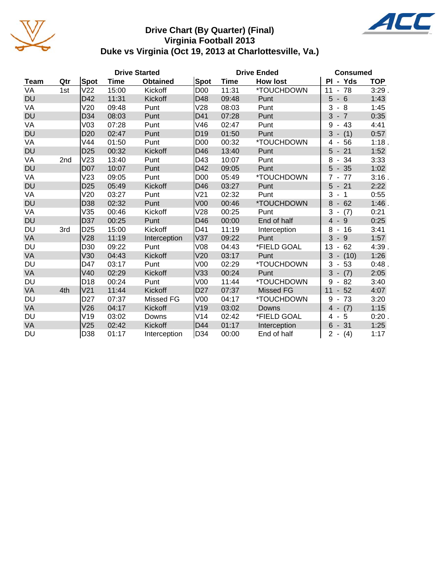

# **Drive Chart (By Quarter) (Final) Virginia Football 2013 Duke vs Virginia (Oct 19, 2013 at Charlottesville, Va.)**



|             |     |                 |             | <b>Drive Started</b> |                 |       | <b>Drive Ended</b> | <b>Consumed</b>                                   |            |
|-------------|-----|-----------------|-------------|----------------------|-----------------|-------|--------------------|---------------------------------------------------|------------|
| <b>Team</b> | Qtr | Spot            | <b>Time</b> | <b>Obtained</b>      | Spot            | Time  | <b>How lost</b>    | PI - Yds                                          | <b>TOP</b> |
| VA          | 1st | V <sub>22</sub> | 15:00       | Kickoff              | D <sub>00</sub> | 11:31 | *TOUCHDOWN         | 78<br>11<br>$\blacksquare$                        | 3:29.      |
| <b>DU</b>   |     | D42             | 11:31       | Kickoff              | D48             | 09:48 | Punt               | 5<br>$-6$                                         | 1:43       |
| VA          |     | V20             | 09:48       | Punt                 | V28             | 08:03 | Punt               | 3<br>8<br>$\blacksquare$                          | 1:45       |
| <b>DU</b>   |     | D34             | 08:03       | Punt                 | D41             | 07:28 | Punt               | 3<br>$-7$                                         | 0:35       |
| VA          |     | V <sub>03</sub> | 07:28       | Punt                 | V46             | 02:47 | Punt               | 43<br>9<br>-                                      | 4:41       |
| <b>DU</b>   |     | D <sub>20</sub> | 02:47       | Punt                 | D <sub>19</sub> | 01:50 | Punt               | 3<br>(1)<br>$\overline{\phantom{a}}$              | 0:57       |
| VA          |     | V44             | 01:50       | Punt                 | D <sub>00</sub> | 00:32 | *TOUCHDOWN         | 56<br>4<br>$\overline{\phantom{a}}$               | 1:18.      |
| <b>DU</b>   |     | D <sub>25</sub> | 00:32       | Kickoff              | D46             | 13:40 | Punt               | 5<br>21<br>$\overline{\phantom{a}}$               | 1:52       |
| VA          | 2nd | V23             | 13:40       | Punt                 | D43             | 10:07 | Punt               | 8<br>34<br>$\overline{\phantom{a}}$               | 3:33       |
| <b>DU</b>   |     | <b>D07</b>      | 10:07       | Punt                 | D42             | 09:05 | Punt               | 5<br>35<br>$\overline{\phantom{a}}$               | 1:02       |
| VA          |     | V23             | 09:05       | Punt                 | D <sub>00</sub> | 05:49 | *TOUCHDOWN         | $\overline{7}$<br>77<br>$\blacksquare$            | $3:16$ .   |
| <b>DU</b>   |     | D <sub>25</sub> | 05:49       | Kickoff              | D46             | 03:27 | Punt               | 5<br>$-21$                                        | 2:22       |
| VA          |     | V20             | 03:27       | Punt                 | V21             | 02:32 | Punt               | 3<br>$\overline{1}$<br>$\overline{\phantom{a}}$   | 0:55       |
| <b>DU</b>   |     | D38             | 02:32       | Punt                 | V <sub>00</sub> | 00:46 | *TOUCHDOWN         | 8<br>62<br>$\blacksquare$                         | $1:46$ .   |
| VA          |     | V35             | 00:46       | Kickoff              | V28             | 00:25 | Punt               | 3<br>(7)<br>$\overline{\phantom{a}}$              | 0:21       |
| <b>DU</b>   |     | D37             | 00:25       | Punt                 | D46             | 00:00 | End of half        | $\overline{4}$<br>9<br>$\blacksquare$             | 0:25       |
| DU          | 3rd | D <sub>25</sub> | 15:00       | Kickoff              | D41             | 11:19 | Interception       | 8<br>16<br>$\blacksquare$                         | 3:41       |
| VA          |     | V28             | 11:19       | Interception         | V37             | 09:22 | Punt               | 3<br>$-9$                                         | 1:57       |
| DU          |     | D30             | 09:22       | Punt                 | V08             | 04:43 | *FIELD GOAL        | 13<br>62<br>$\qquad \qquad \blacksquare$          | 4:39.      |
| <b>VA</b>   |     | V30             | 04:43       | Kickoff              | V20             | 03:17 | Punt               | 3<br>(10)<br>$\blacksquare$                       | 1:26       |
| DU          |     | D47             | 03:17       | Punt                 | V <sub>00</sub> | 02:29 | *TOUCHDOWN         | 3<br>53<br>$\overline{\phantom{a}}$               | 0:48       |
| VA          |     | V40             | 02:29       | Kickoff              | V33             | 00:24 | Punt               | 3<br>(7)                                          | 2:05       |
| DU          |     | D <sub>18</sub> | 00:24       | Punt                 | V <sub>00</sub> | 11:44 | *TOUCHDOWN         | 9<br>82                                           | 3:40       |
| VA          | 4th | V <sub>21</sub> | 11:44       | Kickoff              | D <sub>27</sub> | 07:37 | <b>Missed FG</b>   | 11<br>52                                          | 4:07       |
| DU          |     | D <sub>27</sub> | 07:37       | Missed FG            | V <sub>00</sub> | 04:17 | *TOUCHDOWN         | 9<br>73<br>$\blacksquare$                         | 3:20       |
| VA          |     | V26             | 04:17       | Kickoff              | V19             | 03:02 | Downs              | $\overline{4}$<br>(7)<br>$\overline{\phantom{a}}$ | 1:15       |
| DU          |     | V19             | 03:02       | Downs                | V14             | 02:42 | *FIELD GOAL        | 5<br>4<br>$\blacksquare$                          | 0:20.      |
| VA          |     | V25             | 02:42       | Kickoff              | D44             | 01:17 | Interception       | 6<br>$-31$                                        | 1:25       |
| DU          |     | D38             | 01:17       | Interception         | D34             | 00:00 | End of half        | $2 -$<br>(4)                                      | 1:17       |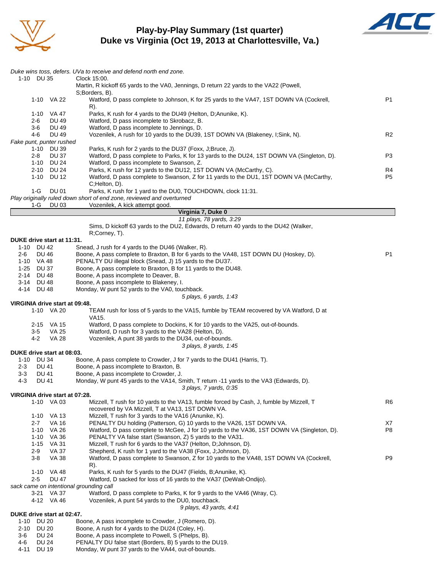

### **Play-by-Play Summary (1st quarter) Duke vs Virginia (Oct 19, 2013 at Charlottesville, Va.)**



|                                                              | Duke wins toss, defers. UVa to receive and defend north end zone.                                                                                            |                      |
|--------------------------------------------------------------|--------------------------------------------------------------------------------------------------------------------------------------------------------------|----------------------|
| 1-10 DU 35                                                   | Clock 15:00.                                                                                                                                                 |                      |
|                                                              | Martin, R kickoff 65 yards to the VA0, Jennings, D return 22 yards to the VA22 (Powell,<br>S;Borders, B).                                                    |                      |
| 1-10 VA 22                                                   | Watford, D pass complete to Johnson, K for 25 yards to the VA47, 1ST DOWN VA (Cockrell,                                                                      | P1                   |
|                                                              | R).                                                                                                                                                          |                      |
| 1-10 VA 47                                                   | Parks, K rush for 4 yards to the DU49 (Helton, D; Anunike, K).                                                                                               |                      |
| 2-6<br>DU 49<br>3-6<br><b>DU 49</b>                          | Watford, D pass incomplete to Skrobacz, B.<br>Watford, D pass incomplete to Jennings, D.                                                                     |                      |
| $4-6$<br><b>DU 49</b>                                        | Vozenilek, A rush for 10 yards to the DU39, 1ST DOWN VA (Blakeney, I;Sink, N).                                                                               | R2                   |
| Fake punt, punter rushed                                     |                                                                                                                                                              |                      |
| 1-10 DU 39                                                   | Parks, K rush for 2 yards to the DU37 (Foxx, J;Bruce, J).                                                                                                    |                      |
| $2 - 8$<br>DU 37                                             | Watford, D pass complete to Parks, K for 13 yards to the DU24, 1ST DOWN VA (Singleton, D).                                                                   | P3                   |
| 1-10 DU 24                                                   | Watford, D pass incomplete to Swanson, Z.                                                                                                                    |                      |
| 2-10 DU 24<br>1-10 DU 12                                     | Parks, K rush for 12 yards to the DU12, 1ST DOWN VA (McCarthy, C).<br>Watford, D pass complete to Swanson, Z for 11 yards to the DU1, 1ST DOWN VA (McCarthy, | R4<br>P <sub>5</sub> |
|                                                              | C;Helton, D).                                                                                                                                                |                      |
| $1-G$<br><b>DU 01</b>                                        | Parks, K rush for 1 yard to the DU0, TOUCHDOWN, clock 11:31.                                                                                                 |                      |
|                                                              | Play originally ruled down short of end zone, reviewed and overturned                                                                                        |                      |
| 1-G<br>DU 03                                                 | Vozenilek, A kick attempt good.                                                                                                                              |                      |
|                                                              | Virginia 7, Duke 0<br>11 plays, 78 yards, 3:29                                                                                                               |                      |
|                                                              | Sims, D kickoff 63 yards to the DU2, Edwards, D return 40 yards to the DU42 (Walker,                                                                         |                      |
|                                                              | R;Corney, T).                                                                                                                                                |                      |
| DUKE drive start at 11:31.                                   |                                                                                                                                                              |                      |
| 1-10 DU 42                                                   | Snead, J rush for 4 yards to the DU46 (Walker, R).                                                                                                           |                      |
| <b>DU 46</b><br>2-6                                          | Boone, A pass complete to Braxton, B for 6 yards to the VA48, 1ST DOWN DU (Hoskey, D).                                                                       | P1                   |
| 1-10 VA 48<br>1-25 DU 37                                     | PENALTY DU illegal block (Snead, J) 15 yards to the DU37.<br>Boone, A pass complete to Braxton, B for 11 yards to the DU48.                                  |                      |
| 2-14 DU 48                                                   | Boone, A pass incomplete to Deaver, B.                                                                                                                       |                      |
| 3-14 DU 48                                                   | Boone, A pass incomplete to Blakeney, I.                                                                                                                     |                      |
| 4-14 DU 48                                                   | Monday, W punt 52 yards to the VA0, touchback.                                                                                                               |                      |
|                                                              | 5 plays, 6 yards, 1:43                                                                                                                                       |                      |
| VIRGINIA drive start at 09:48.                               |                                                                                                                                                              |                      |
| 1-10 VA 20                                                   | TEAM rush for loss of 5 yards to the VA15, fumble by TEAM recovered by VA Watford, D at<br>VA15.                                                             |                      |
| 2-15 VA 15                                                   | Watford, D pass complete to Dockins, K for 10 yards to the VA25, out-of-bounds.                                                                              |                      |
| 3-5<br>VA 25                                                 | Watford, D rush for 3 yards to the VA28 (Helton, D).                                                                                                         |                      |
| 4-2<br>VA 28                                                 | Vozenilek, A punt 38 yards to the DU34, out-of-bounds.                                                                                                       |                      |
|                                                              | 3 plays, 8 yards, 1:45                                                                                                                                       |                      |
| DUKE drive start at 08:03.<br>1-10 DU 34                     | Boone, A pass complete to Crowder, J for 7 yards to the DU41 (Harris, T).                                                                                    |                      |
| $2 - 3$<br>DU 41                                             | Boone, A pass incomplete to Braxton, B.                                                                                                                      |                      |
| $3 - 3$<br>DU 41                                             | Boone, A pass incomplete to Crowder, J.                                                                                                                      |                      |
| $4 - 3$<br><b>DU 41</b>                                      | Monday, W punt 45 yards to the VA14, Smith, T return -11 yards to the VA3 (Edwards, D).                                                                      |                      |
|                                                              | 3 plays, 7 yards, 0:35                                                                                                                                       |                      |
| VIRGINIA drive start at 07:28.<br>1-10 VA 03                 | Mizzell, T rush for 10 yards to the VA13, fumble forced by Cash, J, fumble by Mizzell, T                                                                     | R6                   |
|                                                              | recovered by VA Mizzell, T at VA13, 1ST DOWN VA.                                                                                                             |                      |
| 1-10 VA 13                                                   | Mizzell, T rush for 3 yards to the VA16 (Anunike, K).                                                                                                        |                      |
| <b>VA 16</b><br>$2 - 7$                                      | PENALTY DU holding (Patterson, G) 10 yards to the VA26, 1ST DOWN VA.                                                                                         | X7                   |
| 1-10 VA 26                                                   | Watford, D pass complete to McGee, J for 10 yards to the VA36, 1ST DOWN VA (Singleton, D).                                                                   | P <sub>8</sub>       |
| 1-10 VA 36<br>1-15 VA 31                                     | PENALTY VA false start (Swanson, Z) 5 yards to the VA31.<br>Mizzell, T rush for 6 yards to the VA37 (Helton, D; Johnson, D).                                 |                      |
| VA 37<br>$2-9$                                               | Shepherd, K rush for 1 yard to the VA38 (Foxx, J;Johnson, D).                                                                                                |                      |
| $3-8$<br><b>VA 38</b>                                        | Watford, D pass complete to Swanson, Z for 10 yards to the VA48, 1ST DOWN VA (Cockrell,                                                                      | P <sub>9</sub>       |
|                                                              | R).                                                                                                                                                          |                      |
| 1-10 VA 48                                                   | Parks, K rush for 5 yards to the DU47 (Fields, B; Anunike, K).                                                                                               |                      |
| $2 - 5$<br><b>DU 47</b>                                      | Watford, D sacked for loss of 16 yards to the VA37 (DeWalt-Ondijo).                                                                                          |                      |
| sack came on intentional grounding call<br>$3 - 21$<br>VA 37 | Watford, D pass complete to Parks, K for 9 yards to the VA46 (Wray, C).                                                                                      |                      |
| 4-12 VA 46                                                   | Vozenilek, A punt 54 yards to the DU0, touchback.                                                                                                            |                      |
|                                                              | 9 plays, 43 yards, 4:41                                                                                                                                      |                      |
| DUKE drive start at 02:47.                                   |                                                                                                                                                              |                      |
| 1-10 DU 20                                                   | Boone, A pass incomplete to Crowder, J (Romero, D).                                                                                                          |                      |
| $2 - 10$<br><b>DU 20</b>                                     | Boone, A rush for 4 yards to the DU24 (Coley, H).                                                                                                            |                      |
| <b>DU 24</b><br>3-6                                          | Boone, A pass incomplete to Powell, S (Phelps, B).                                                                                                           |                      |

4-6 DU 24 PENALTY DU false start (Borders, B) 5 yards to the DU19.<br>4-11 DU 19 Monday, W punt 37 yards to the VA44, out-of-bounds. Monday, W punt 37 yards to the VA44, out-of-bounds.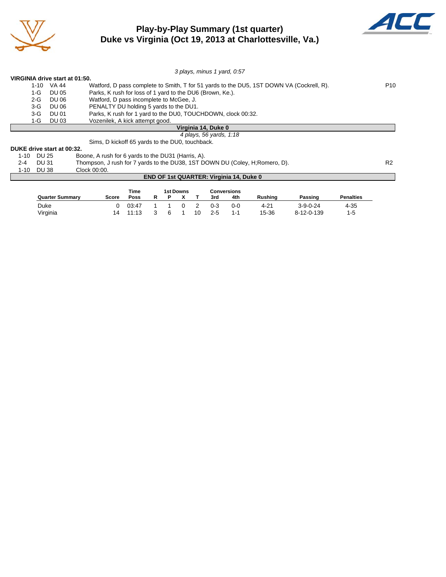

# **Play-by-Play Summary (1st quarter) Duke vs Virginia (Oct 19, 2013 at Charlottesville, Va.)**



|                            |                                | 3 plays, minus 1 yard, 0:57                                                              |                 |
|----------------------------|--------------------------------|------------------------------------------------------------------------------------------|-----------------|
|                            | VIRGINIA drive start at 01:50. |                                                                                          |                 |
| 1-10                       | VA 44                          | Watford, D pass complete to Smith, T for 51 yards to the DU5, 1ST DOWN VA (Cockrell, R). | P <sub>10</sub> |
| 1-G                        | DU 05                          | Parks, K rush for loss of 1 yard to the DU6 (Brown, Ke.).                                |                 |
| 2-G                        | DU 06                          | Watford, D pass incomplete to McGee, J.                                                  |                 |
| $3-G$                      | <b>DU 06</b>                   | PENALTY DU holding 5 yards to the DU1.                                                   |                 |
| 3-G                        | DU 01                          | Parks, K rush for 1 yard to the DU0, TOUCHDOWN, clock 00:32.                             |                 |
| 1-G                        | DU 03                          | Vozenilek, A kick attempt good.                                                          |                 |
|                            |                                | Virginia 14, Duke 0                                                                      |                 |
|                            |                                | 4 plays, 56 yards, 1:18                                                                  |                 |
|                            |                                | Sims, D kickoff 65 yards to the DU0, touchback.                                          |                 |
| DUKE drive start at 00:32. |                                |                                                                                          |                 |

| P 9 I \E  5 I I I V 9 U .SI L  5 U V V I V E I |                                                    |  |
|------------------------------------------------|----------------------------------------------------|--|
| 1-10 DU 25                                     | Boone, A rush for 6 yards to the DU31 (Harris, A). |  |

2-4 DU 31 Thompson, J rush for 7 yards to the DU38, 1ST DOWN DU (Coley, H;Romero, D). R2<br>1-10 DU 38 Clock 00:00.

#### $1-10$  DU 38

#### **END OF 1st QUARTER: Virginia 14, Duke 0**

|                        |              | Time  |  | 1st Downs |    |         | <b>Conversions</b> |                |                  |                  |
|------------------------|--------------|-------|--|-----------|----|---------|--------------------|----------------|------------------|------------------|
| <b>Quarter Summary</b> | <b>Score</b> | Poss  |  |           |    | 3rd     | 4th                | <b>Rushing</b> | Passing          | <b>Penalties</b> |
| Duke                   |              | 03:47 |  |           |    | $0 - 3$ | 0-0                | 4-21           | $3 - 9 - 0 - 24$ | $4 - 35$         |
| Virginia               | 14           | 1:13  |  |           | 10 | $2 - 5$ | $1 - 1$            | 15-36          | 8-12-0-139       | $1-5$            |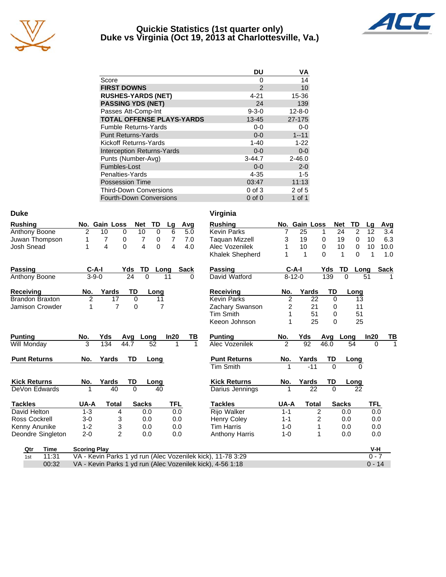

#### **Quickie Statistics (1st quarter only) Duke vs Virginia (Oct 19, 2013 at Charlottesville, Va.)**



| DU          | VA           |
|-------------|--------------|
| 0           | 14           |
| 2           | 10           |
| $4 - 21$    | 15-36        |
| 24          | 139          |
| $9 - 3 - 0$ | $12 - 8 - 0$ |
| $13 - 45$   | 27-175       |
| $0-0$       | $0-0$        |
| $0 - 0$     | $1 - 11$     |
| $1 - 40$    | $1 - 22$     |
| $0 - 0$     | $0 - 0$      |
| $3 - 44.7$  | $2 - 46.0$   |
| $0 - 0$     | $2 - 0$      |
| $4 - 35$    | $1 - 5$      |
| 03:47       | 11:13        |
| $0$ of $3$  | 2 of 5       |
| $0$ of $0$  | 1 of 1       |
|             |              |

| <b>Duke</b>            |                     |                |              |          |                |             | Virginia                                                    |                  |               |              |              |               |          |                |
|------------------------|---------------------|----------------|--------------|----------|----------------|-------------|-------------------------------------------------------------|------------------|---------------|--------------|--------------|---------------|----------|----------------|
| <b>Rushing</b>         |                     | No. Gain Loss  | Net          | TD       | Lg             | Avg         | <b>Rushing</b>                                              |                  | No. Gain Loss |              | Net          | TD            | Lg       | Avg            |
| Anthony Boone          | $\overline{2}$      | 10<br>$\Omega$ | 10           | $\Omega$ | 6              | 5.0         | <b>Kevin Parks</b>                                          | $\overline{7}$   | 25            | 1            | 24           | 2             | 12       | 3.4            |
| Juwan Thompson         | 1                   | 7<br>0         | 7            | 0        | $\overline{7}$ | 7.0         | <b>Taguan Mizzell</b>                                       | 3                | 19            | 0            | 19           | 0             | 10       | 6.3            |
| Josh Snead             | 1                   | 0<br>4         | 4            | $\Omega$ | 4              | 4.0         | Alec Vozenilek                                              | 1                | 10            | 0            | 10           | 0             | 10       | 10.0           |
|                        |                     |                |              |          |                |             | Khalek Shepherd                                             | 1                | 1             | $\Omega$     |              | 1<br>$\Omega$ | 1        | 1.0            |
| Passing                | $C-A-I$             |                | TD<br>Yds    | Long     |                | <b>Sack</b> | Passing                                                     |                  | $C-A-I$       |              | Yds          | TD<br>Long    |          | <b>Sack</b>    |
| Anthony Boone          | $3 - 9 - 0$         |                | 24<br>0      | 11       |                | 0           | David Watford                                               |                  | $8 - 12 - 0$  |              | 139          | $\Omega$      | 51       |                |
| Receiving              | No.                 | Yards          | TD           | Long     |                |             | Receiving                                                   | No.              | Yards         |              | TD           | Long          |          |                |
| <b>Brandon Braxton</b> | $\overline{c}$      | 17             | 0            | 11       |                |             | <b>Kevin Parks</b>                                          | $\boldsymbol{2}$ |               | 22           | 0            | 13            |          |                |
| Jamison Crowder        | 1                   | $\overline{7}$ | 0            | 7        |                |             | Zachary Swanson                                             | 2                |               | 21           | 0            | 11            |          |                |
|                        |                     |                |              |          |                |             | <b>Tim Smith</b>                                            | 1                |               | 51           | 0            | 51            |          |                |
|                        |                     |                |              |          |                |             | Keeon Johnson                                               |                  |               | 25           | 0            | 25            |          |                |
| <b>Punting</b>         | No.                 | Yds            | Long<br>Avg  |          | In20           | ΤВ          | <b>Punting</b>                                              | No.              | Yds           |              | Avg          | Long          | In20     | $\frac{TB}{1}$ |
| Will Monday            | 3                   | 134            | 44.7         | 52       |                | 1           | Alec Vozenilek                                              | $\mathfrak{p}$   | 92            |              | 46.0         | 54            | $\Omega$ |                |
| <b>Punt Returns</b>    | No.                 | Yards          | TD           | Long     |                |             | <b>Punt Returns</b>                                         | No.              | Yards         |              | TD           | Long          |          |                |
|                        |                     |                |              |          |                |             | <b>Tim Smith</b>                                            | 1                |               | $-11$        | $\Omega$     | 0             |          |                |
| <b>Kick Returns</b>    | No.                 | Yards          | TD           | Long     |                |             | <b>Kick Returns</b>                                         | No.              | Yards         |              | TD           | Long          |          |                |
| DeVon Edwards          |                     | 40             | $\Omega$     | 40       |                |             | Darius Jennings                                             | 1                |               | 22           | $\mathbf 0$  | 22            |          |                |
| <b>Tackles</b>         | UA-A                | <b>Total</b>   | <b>Sacks</b> |          | <b>TFL</b>     |             | <b>Tackles</b>                                              | UA-A             |               | <b>Total</b> | <b>Sacks</b> |               | TFL      |                |
| David Helton           | $1 - 3$             | 4              | 0.0          |          | 0.0            |             | Rijo Walker                                                 | $1 - 1$          |               | 2            |              | 0.0           | 0.0      |                |
| <b>Ross Cockrell</b>   | $3 - 0$             | 3              | 0.0          |          | 0.0            |             | <b>Henry Coley</b>                                          | $1 - 1$          |               | 2            |              | 0.0           | 0.0      |                |
| Kenny Anunike          | $1 - 2$             | 3              | 0.0          |          | 0.0            |             | <b>Tim Harris</b>                                           | 1-0              |               | 1            |              | 0.0           | 0.0      |                |
| Deondre Singleton      | $2 - 0$             | $\overline{2}$ | 0.0          |          | 0.0            |             | <b>Anthony Harris</b>                                       | $1 - 0$          |               | 1            |              | 0.0           | 0.0      |                |
| <b>Time</b><br>Qtr     | <b>Scoring Play</b> |                |              |          |                |             |                                                             |                  |               |              |              |               | V-H      |                |
| 11:31<br>1st           |                     |                |              |          |                |             | VA - Kevin Parks 1 yd run (Alec Vozenilek kick), 11-78 3:29 |                  |               |              |              |               | $0 - 7$  |                |
| 00:32                  |                     |                |              |          |                |             | VA - Kevin Parks 1 yd run (Alec Vozenilek kick), 4-56 1:18  |                  |               |              |              |               | $0 - 14$ |                |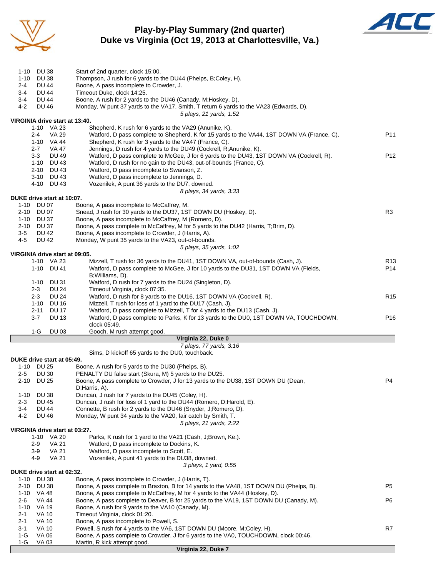

## **Play-by-Play Summary (2nd quarter) Duke vs Virginia (Oct 19, 2013 at Charlottesville, Va.)**



| 1-10 DU 38                                       |                                                                                                                                                                 |                 |
|--------------------------------------------------|-----------------------------------------------------------------------------------------------------------------------------------------------------------------|-----------------|
|                                                  | Start of 2nd quarter, clock 15:00.                                                                                                                              |                 |
| $1 - 10$<br><b>DU 38</b>                         | Thompson, J rush for 6 yards to the DU44 (Phelps, B;Coley, H).                                                                                                  |                 |
| $2 - 4$<br><b>DU 44</b>                          | Boone, A pass incomplete to Crowder, J.                                                                                                                         |                 |
| $3-4$<br>DU 44                                   | Timeout Duke, clock 14:25.                                                                                                                                      |                 |
| $3-4$<br><b>DU 44</b>                            | Boone, A rush for 2 yards to the DU46 (Canady, M;Hoskey, D).                                                                                                    |                 |
| 4-2<br><b>DU 46</b>                              | Monday, W punt 37 yards to the VA17, Smith, T return 6 yards to the VA23 (Edwards, D).                                                                          |                 |
|                                                  | 5 plays, 21 yards, 1:52                                                                                                                                         |                 |
| VIRGINIA drive start at 13:40.                   |                                                                                                                                                                 |                 |
| 1-10 VA 23                                       | Shepherd, K rush for 6 yards to the VA29 (Anunike, K).                                                                                                          |                 |
| $2 - 4$<br><b>VA 29</b>                          | Watford, D pass complete to Shepherd, K for 15 yards to the VA44, 1ST DOWN VA (France, C).                                                                      | P11             |
| 1-10 VA 44                                       | Shepherd, K rush for 3 yards to the VA47 (France, C).                                                                                                           |                 |
| <b>VA 47</b><br>$2 - 7$<br>$3-3$<br><b>DU 49</b> | Jennings, D rush for 4 yards to the DU49 (Cockrell, R; Anunike, K).<br>Watford, D pass complete to McGee, J for 6 yards to the DU43, 1ST DOWN VA (Cockrell, R). | P <sub>12</sub> |
| 1-10 DU 43                                       | Watford, D rush for no gain to the DU43, out-of-bounds (France, C).                                                                                             |                 |
| 2-10 DU 43                                       | Watford, D pass incomplete to Swanson, Z.                                                                                                                       |                 |
| 3-10 DU 43                                       | Watford, D pass incomplete to Jennings, D.                                                                                                                      |                 |
| 4-10<br>DU 43                                    | Vozenilek, A punt 36 yards to the DU7, downed.                                                                                                                  |                 |
|                                                  | 8 plays, 34 yards, 3:33                                                                                                                                         |                 |
| DUKE drive start at 10:07.                       |                                                                                                                                                                 |                 |
| 1-10 DU 07                                       | Boone, A pass incomplete to McCaffrey, M.                                                                                                                       |                 |
| 2-10 DU 07                                       | Snead, J rush for 30 yards to the DU37, 1ST DOWN DU (Hoskey, D).                                                                                                | R <sub>3</sub>  |
| 1-10 DU 37                                       | Boone, A pass incomplete to McCaffrey, M (Romero, D).                                                                                                           |                 |
| 2-10 DU 37                                       | Boone, A pass complete to McCaffrey, M for 5 yards to the DU42 (Harris, T;Brim, D).                                                                             |                 |
| $3-5$<br><b>DU 42</b>                            | Boone, A pass incomplete to Crowder, J (Harris, A).                                                                                                             |                 |
| $4 - 5$<br><b>DU 42</b>                          | Monday, W punt 35 yards to the VA23, out-of-bounds.                                                                                                             |                 |
|                                                  | 5 plays, 35 yards, 1:02                                                                                                                                         |                 |
| VIRGINIA drive start at 09:05.                   |                                                                                                                                                                 |                 |
| 1-10 VA 23                                       | Mizzell, T rush for 36 yards to the DU41, 1ST DOWN VA, out-of-bounds (Cash, J).                                                                                 | R <sub>13</sub> |
| 1-10 DU 41                                       | Watford, D pass complete to McGee, J for 10 yards to the DU31, 1ST DOWN VA (Fields,                                                                             | P14             |
| DU 31<br>$1 - 10$                                | B; Williams, D).<br>Watford, D rush for 7 yards to the DU24 (Singleton, D).                                                                                     |                 |
| $2 - 3$<br>DU 24                                 | Timeout Virginia, clock 07:35.                                                                                                                                  |                 |
| $2 - 3$<br><b>DU 24</b>                          | Watford, D rush for 8 yards to the DU16, 1ST DOWN VA (Cockrell, R).                                                                                             | R <sub>15</sub> |
| $1 - 10$<br><b>DU 16</b>                         | Mizzell, T rush for loss of 1 yard to the DU17 (Cash, J).                                                                                                       |                 |
| $2 - 11$<br><b>DU 17</b>                         | Watford, D pass complete to Mizzell, T for 4 yards to the DU13 (Cash, J).                                                                                       |                 |
| $3 - 7$<br><b>DU 13</b>                          | Watford, D pass complete to Parks, K for 13 yards to the DU0, 1ST DOWN VA, TOUCHDOWN,                                                                           | P <sub>16</sub> |
|                                                  | clock 05:49.                                                                                                                                                    |                 |
| $1-G$<br><b>DU 03</b>                            | Gooch, M rush attempt good.                                                                                                                                     |                 |
|                                                  | Virginia 22, Duke 0                                                                                                                                             |                 |
|                                                  |                                                                                                                                                                 |                 |
|                                                  | 7 plays, 77 yards, 3:16                                                                                                                                         |                 |
|                                                  | Sims, D kickoff 65 yards to the DU0, touchback.                                                                                                                 |                 |
| DUKE drive start at 05:49.                       |                                                                                                                                                                 |                 |
| 1-10 DU 25                                       | Boone, A rush for 5 yards to the DU30 (Phelps, B).                                                                                                              |                 |
| $2 - 5$<br><b>DU 30</b>                          | PENALTY DU false start (Skura, M) 5 yards to the DU25.                                                                                                          |                 |
| 2-10 DU 25                                       | Boone, A pass complete to Crowder, J for 13 yards to the DU38, 1ST DOWN DU (Dean,                                                                               | P4              |
|                                                  | D;Harris, A).                                                                                                                                                   |                 |
| <b>DU 38</b><br>$1 - 10$                         | Duncan, J rush for 7 yards to the DU45 (Coley, H).                                                                                                              |                 |
| <b>DU 45</b><br>$2 - 3$                          | Duncan, J rush for loss of 1 yard to the DU44 (Romero, D; Harold, E).                                                                                           |                 |
| <b>DU 44</b><br>3-4                              | Connette, B rush for 2 yards to the DU46 (Snyder, J;Romero, D).                                                                                                 |                 |
| $4 - 2$<br><b>DU 46</b>                          | Monday, W punt 34 yards to the VA20, fair catch by Smith, T.                                                                                                    |                 |
| VIRGINIA drive start at 03:27.                   | 5 plays, 21 yards, 2:22                                                                                                                                         |                 |
| 1-10<br>VA 20                                    | Parks, K rush for 1 yard to the VA21 (Cash, J;Brown, Ke.).                                                                                                      |                 |
| $2 - 9$<br><b>VA 21</b>                          | Watford, D pass incomplete to Dockins, K.                                                                                                                       |                 |
| $3-9$<br>VA 21                                   | Watford, D pass incomplete to Scott, E.                                                                                                                         |                 |
| <b>VA 21</b><br>4-9                              | Vozenilek, A punt 41 yards to the DU38, downed.                                                                                                                 |                 |
|                                                  | 3 plays, 1 yard, 0:55                                                                                                                                           |                 |
| DUKE drive start at 02:32.                       |                                                                                                                                                                 |                 |
| <b>DU 38</b><br>1-10                             | Boone, A pass incomplete to Crowder, J (Harris, T).                                                                                                             |                 |
| 2-10<br>DU 38                                    | Boone, A pass complete to Braxton, B for 14 yards to the VA48, 1ST DOWN DU (Phelps, B).                                                                         | P5              |
| 1-10 VA 48                                       | Boone, A pass complete to McCaffrey, M for 4 yards to the VA44 (Hoskey, D).                                                                                     |                 |
| 2-6<br>VA 44                                     | Boone, A pass complete to Deaver, B for 25 yards to the VA19, 1ST DOWN DU (Canady, M).                                                                          | P6              |
| $1 - 10$<br>VA 19                                | Boone, A rush for 9 yards to the VA10 (Canady, M).                                                                                                              |                 |
| 2-1<br>VA 10<br>2-1<br>VA 10                     | Timeout Virginia, clock 01:20.                                                                                                                                  |                 |
| $3 - 1$<br><b>VA 10</b>                          | Boone, A pass incomplete to Powell, S.<br>Powell, S rush for 4 yards to the VA6, 1ST DOWN DU (Moore, M;Coley, H).                                               | R7              |
| <b>VA 06</b><br>1-G<br><b>VA 03</b>              | Boone, A pass complete to Crowder, J for 6 yards to the VA0, TOUCHDOWN, clock 00:46.                                                                            |                 |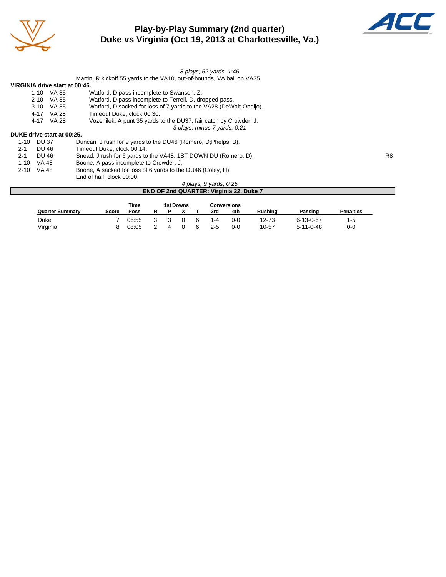

# **Play-by-Play Summary (2nd quarter) Duke vs Virginia (Oct 19, 2013 at Charlottesville, Va.)**



|                                | 8 plays, 62 yards, 1:46                                                 |
|--------------------------------|-------------------------------------------------------------------------|
|                                | Martin, R kickoff 55 yards to the VA10, out-of-bounds, VA ball on VA35. |
| VIRGINIA drive start at 00:46. |                                                                         |
| 1-10 VA 35                     | Watford, D pass incomplete to Swanson, Z.                               |
| 2-10 VA 35                     | Watford, D pass incomplete to Terrell, D, dropped pass.                 |
| $3 - 10$<br>VA 35              | Watford, D sacked for loss of 7 yards to the VA28 (DeWalt-Ondijo).      |
| 4-17 VA 28                     | Timeout Duke. clock 00:30.                                              |
| 4-17 VA 28                     | Vozenilek, A punt 35 yards to the DU37, fair catch by Crowder, J.       |
|                                | 3 plays, minus 7 yards, 0:21                                            |
| DUKE drive start at 00:25.     |                                                                         |
| 1-10 DU 37                     | Duncan, J rush for 9 yards to the DU46 (Romero, D; Phelps, B).          |
| $2 - 1$<br>DU 46               | Timeout Duke, clock 00:14.                                              |
| $2 - 1$<br>DU 46               | Snead, J rush for 6 yards to the VA48, 1ST DOWN DU (Romero, D).<br>R8   |
| 1-10 VA 48                     | Boone, A pass incomplete to Crowder, J.                                 |
| VA 48<br>$2 - 10$              | Boone, A sacked for loss of 6 yards to the DU46 (Coley, H).             |
|                                | End of half, clock 00:00.                                               |
|                                | 4 plays, 9 yards, 0:25                                                  |
|                                | <b>END OF 2nd QUARTER: Virginia 22, Duke 7</b>                          |
|                                |                                                                         |

|                        |       | Time  |   | <b>1st Downs</b> |   |         | Conversions |                |                   |                  |
|------------------------|-------|-------|---|------------------|---|---------|-------------|----------------|-------------------|------------------|
| <b>Quarter Summary</b> | Score | Poss  | P |                  |   | 3rd     | 4th         | <b>Rushing</b> | Passing           | <b>Penalties</b> |
| Duke                   |       | 06:55 |   |                  | 6 | 1-4     | ი-ი         | 12-73          | 6-13-0-67         |                  |
| Virginia               |       | 08:05 |   |                  | 6 | $2 - 5$ | $0 - C$     | 10-57          | $5 - 11 - 0 - 48$ | 0-0              |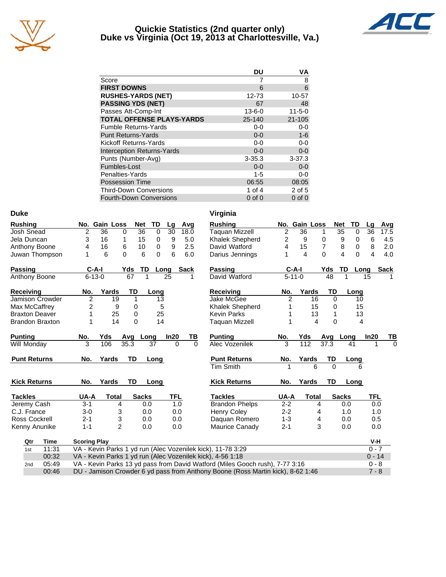

#### **Quickie Statistics (2nd quarter only) Duke vs Virginia (Oct 19, 2013 at Charlottesville, Va.)**



|                                   | DU           | ٧A           |
|-----------------------------------|--------------|--------------|
| Score                             |              | 8            |
| <b>FIRST DOWNS</b>                | 6            | 6            |
| <b>RUSHES-YARDS (NET)</b>         | 12-73        | 10-57        |
| <b>PASSING YDS (NET)</b>          | 67           | 48           |
| Passes Att-Comp-Int               | $13 - 6 - 0$ | $11 - 5 - 0$ |
| <b>TOTAL OFFENSE PLAYS-YARDS</b>  | 25-140       | $21 - 105$   |
| <b>Fumble Returns-Yards</b>       | $0-0$        | $0-0$        |
| <b>Punt Returns-Yards</b>         | $0 - 0$      | $1-6$        |
| Kickoff Returns-Yards             | $0-0$        | $0-0$        |
| <b>Interception Returns-Yards</b> | $0 - 0$      | $0-0$        |
| Punts (Number-Avg)                | $3 - 35.3$   | $3 - 37.3$   |
| Fumbles-Lost                      | $0 - 0$      | $0-0$        |
| Penalties-Yards                   | $1 - 5$      | $0-0$        |
| <b>Possession Time</b>            | 06:55        | 08:05        |
| <b>Third-Down Conversions</b>     | 1 of $4$     | 2 of 5       |
| <b>Fourth-Down Conversions</b>    | $0$ of $0$   | $0$ of $0$   |

| <b>Duke</b>            |                     |                |                |          |            |             | Virginia                                                    |                |                |              |          |                             |                 |             |
|------------------------|---------------------|----------------|----------------|----------|------------|-------------|-------------------------------------------------------------|----------------|----------------|--------------|----------|-----------------------------|-----------------|-------------|
| <b>Rushing</b>         |                     | No. Gain Loss  | <b>Net</b>     | TD       | Lg         | Avg         | <b>Rushing</b>                                              |                | No. Gain Loss  |              |          | <b>Net</b><br>TD            | Lg              | Avg         |
| Josh Snead             | 2                   | 36             | 36<br>$\Omega$ | $\Omega$ | 30         | 18.0        | <b>Taquan Mizzell</b>                                       | $\overline{2}$ | 36             | 1            |          | $\overline{35}$<br>$\Omega$ | $\overline{36}$ | 17.5        |
| Jela Duncan            | 3                   | 16             | 1<br>15        | 0        | 9          | 5.0         | Khalek Shepherd                                             | $\overline{c}$ | 9              | 0            |          | 9<br>0                      | 6               | 4.5         |
| Anthony Boone          | 4                   | 16             | 6<br>10        | 0        | 9          | 2.5         | David Watford                                               | 4              | 15             | 7            |          | 8<br>0                      | 8               | 2.0         |
| Juwan Thompson         | 1                   | 6              | $\Omega$<br>6  | $\Omega$ | 6          | 6.0         | Darius Jennings                                             | 1              | $\overline{4}$ | $\Omega$     |          | $\overline{4}$<br>$\Omega$  | 4               | 4.0         |
| <b>Passing</b>         | $C-A-I$             |                | Yds            | TD       | Long       | <b>Sack</b> | <b>Passing</b>                                              |                | $C-A-I$        |              | Yds      | TD                          | Long            | <b>Sack</b> |
| Anthony Boone          | $6 - 13 - 0$        |                | 67             |          | 25         |             | David Watford                                               |                | $5 - 11 - 0$   |              | 48       |                             | 15              |             |
| <b>Receiving</b>       | No.                 | Yards          | TD             | Long     |            |             | <b>Receiving</b>                                            | No.            | Yards          |              | TD       | Long                        |                 |             |
| Jamison Crowder        | $\overline{2}$      | 19             | 1              | 13       |            |             | Jake McGee                                                  | 2              |                | 16           | $\Omega$ |                             | 10              |             |
| Max McCaffrey          | $\overline{2}$      | 9              | 0              | 5        |            |             | Khalek Shepherd                                             | 1              |                | 15           | 0        |                             | 15              |             |
| <b>Braxton Deaver</b>  | 1                   | 25             | 0              | 25       |            |             | <b>Kevin Parks</b>                                          |                |                | 13           | 1        |                             | 13              |             |
| <b>Brandon Braxton</b> | 1                   | 14             | $\Omega$       | 14       |            |             | <b>Taquan Mizzell</b>                                       |                |                | 4            | $\Omega$ |                             | 4               |             |
| <b>Punting</b>         | No.                 | Yds            | Avg Long       |          | In20       | TВ          | <b>Punting</b>                                              | No.            | Yds            |              | Avg      | Long                        | In20            | ТВ          |
| Will Monday            | 3                   | 106            | 35.3           | 37       | $\Omega$   | $\Omega$    | Alec Vozenilek                                              | 3              | 112            |              | 37.3     | 41                          |                 | $\Omega$    |
| <b>Punt Returns</b>    | No.                 | Yards          | <b>TD</b>      | Long     |            |             | <b>Punt Returns</b>                                         | No.            | Yards          |              | TD       | Long                        |                 |             |
|                        |                     |                |                |          |            |             | <b>Tim Smith</b>                                            | 1              |                | 6            | $\Omega$ |                             | 6               |             |
| <b>Kick Returns</b>    | No.                 | Yards          | <b>TD</b>      | Long     |            |             | <b>Kick Returns</b>                                         | No.            | Yards          |              | TD       | Long                        |                 |             |
| <b>Tackles</b>         | UA-A                | <b>Total</b>   | <b>Sacks</b>   |          | <b>TFL</b> |             | <b>Tackles</b>                                              | UA-A           |                | <b>Total</b> |          | <b>Sacks</b>                | TFL             |             |
| Jeremy Cash            | $3 - 1$             | 4              |                | 0.0      | 1.0        |             | <b>Brandon Phelps</b>                                       | $2 - 2$        |                | 4            |          | 0.0                         |                 | 0.0         |
| C.J. France            | $3-0$               | 3              |                | 0.0      | 0.0        |             | <b>Henry Coley</b>                                          | $2 - 2$        |                | 4            |          | 1.0                         |                 | 1.0         |
| Ross Cockrell          | $2 - 1$             | 3              |                | 0.0      | 0.0        |             | Daquan Romero                                               | $1 - 3$        |                | 4            |          | 0.0                         | 0.5             |             |
| Kenny Anunike          | $1 - 1$             | $\overline{2}$ |                | 0.0      | 0.0        |             | Maurice Canady                                              | $2 - 1$        |                | 3            |          | 0.0                         |                 | 0.0         |
| Qtr<br>Time            | <b>Scoring Play</b> |                |                |          |            |             |                                                             |                |                |              |          |                             | $V-H$           |             |
| 11:31<br>1st           |                     |                |                |          |            |             | VA - Kevin Parks 1 yd run (Alec Vozenilek kick), 11-78 3:29 |                |                |              |          |                             | $0 - 7$         |             |
| 00:32                  |                     |                |                |          |            |             | VA - Kevin Parks 1 yd run (Alec Vozenilek kick), 4-56 1:18  |                |                |              |          |                             | $0 - 14$        |             |
|                        |                     |                |                |          |            |             |                                                             |                |                |              |          |                             |                 |             |

|     | ו שנו ויטו | WA ROWLED GING I YOU RELEASED MODERN NON, IT TO 0.20                            | $\mathbf{v}$ |
|-----|------------|---------------------------------------------------------------------------------|--------------|
|     | 00:32      | VA - Kevin Parks 1 yd run (Alec Vozenilek kick), 4-56 1:18                      | $0 - 14$     |
| 2nd | 05:49      | VA - Kevin Parks 13 yd pass from David Watford (Miles Gooch rush), 7-77 3:16    | $0 - 8$      |
|     | 00:46      | DU - Jamison Crowder 6 yd pass from Anthony Boone (Ross Martin kick), 8-62 1:46 | $7 - 8$      |
|     |            |                                                                                 |              |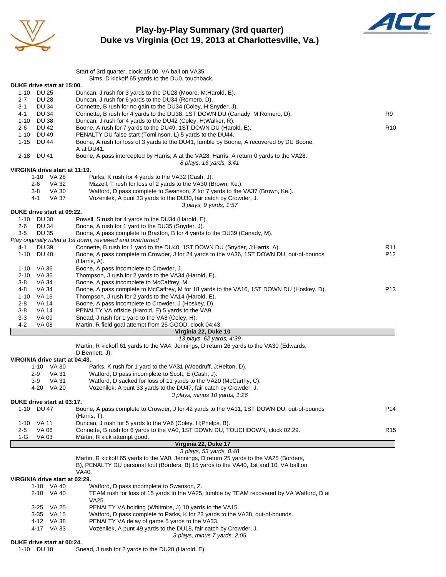

**Play-by-Play Summary (3rd quarter) Duke vs Virginia (Oct 19, 2013 at Charlottesville, Va.)**



|                                          | Start of 3rd quarter, clock 15:00, VA ball on VA35.<br>Sims, D kickoff 65 yards to the DU0, touchback.                                                                             |                 |
|------------------------------------------|------------------------------------------------------------------------------------------------------------------------------------------------------------------------------------|-----------------|
| DUKE drive start at 15:00.               |                                                                                                                                                                                    |                 |
| 1-10 DU 25                               | Duncan, J rush for 3 yards to the DU28 (Moore, M; Harold, E).                                                                                                                      |                 |
| $2 - 7$<br><b>DU 28</b>                  | Duncan, J rush for 6 yards to the DU34 (Romero, D).                                                                                                                                |                 |
| <b>DU 34</b><br>$3 - 1$                  | Connette, B rush for no gain to the DU34 (Coley, H;Snyder, J).                                                                                                                     |                 |
| <b>DU 34</b><br>4-1                      | Connette, B rush for 4 yards to the DU38, 1ST DOWN DU (Canady, M;Romero, D).                                                                                                       | R9              |
| 1-10<br>DU 38<br>2-6<br>DU 42            | Duncan, J rush for 4 yards to the DU42 (Coley, H; Walker, R).<br>Boone, A rush for 7 yards to the DU49, 1ST DOWN DU (Harold, E).                                                   | R <sub>10</sub> |
| 1-10 DU 49                               | PENALTY DU false start (Tomlinson, L) 5 yards to the DU44.                                                                                                                         |                 |
| $1 - 15$<br><b>DU 44</b>                 | Boone, A rush for loss of 3 yards to the DU41, fumble by Boone, A recovered by DU Boone,                                                                                           |                 |
|                                          | A at DU41.                                                                                                                                                                         |                 |
| 2-18 DU 41                               | Boone, A pass intercepted by Harris, A at the VA28, Harris, A return 0 yards to the VA28.                                                                                          |                 |
|                                          | 8 plays, 16 yards, 3:41                                                                                                                                                            |                 |
| VIRGINIA drive start at 11:19.           |                                                                                                                                                                                    |                 |
| 1-10 VA 28                               | Parks, K rush for 4 yards to the VA32 (Cash, J).                                                                                                                                   |                 |
| 2-6<br>VA 32<br><b>VA 30</b><br>3-8      | Mizzell, T rush for loss of 2 yards to the VA30 (Brown, Ke.).<br>Watford, D pass complete to Swanson, Z for 7 yards to the VA37 (Brown, Ke.).                                      |                 |
| VA 37<br>4-1                             | Vozenilek, A punt 33 yards to the DU30, fair catch by Crowder, J.                                                                                                                  |                 |
|                                          | 3 plays, 9 yards, 1:57                                                                                                                                                             |                 |
| DUKE drive start at 09:22.               |                                                                                                                                                                                    |                 |
| 1-10 DU 30                               | Powell, S rush for 4 yards to the DU34 (Harold, E).                                                                                                                                |                 |
| 2-6<br><b>DU 34</b>                      | Boone, A rush for 1 yard to the DU35 (Snyder, J).                                                                                                                                  |                 |
| <b>DU 35</b><br>$3-5$                    | Boone, A pass complete to Braxton, B for 4 yards to the DU39 (Canady, M).                                                                                                          |                 |
|                                          | Play originally ruled a 1st down, reviewed and overturned                                                                                                                          |                 |
| 4-1<br><b>DU 39</b>                      | Connette, B rush for 1 yard to the DU40, 1ST DOWN DU (Snyder, J; Harris, A).                                                                                                       | R11             |
| $1 - 10$<br>DU 40                        | Boone, A pass complete to Crowder, J for 24 yards to the VA36, 1ST DOWN DU, out-of-bounds                                                                                          | P12             |
| 1-10 VA 36                               | (Harris, A).<br>Boone, A pass incomplete to Crowder, J.                                                                                                                            |                 |
| 2-10 VA 36                               | Thompson, J rush for 2 yards to the VA34 (Harold, E).                                                                                                                              |                 |
| $3-8$<br>VA 34                           | Boone, A pass incomplete to McCaffrey, M.                                                                                                                                          |                 |
| <b>VA 34</b><br>4-8                      | Boone, A pass complete to McCaffrey, M for 18 yards to the VA16, 1ST DOWN DU (Hoskey, D).                                                                                          | P <sub>13</sub> |
| 1-10 VA 16                               | Thompson, J rush for 2 yards to the VA14 (Harold, E).                                                                                                                              |                 |
| <b>VA 14</b><br>2-8                      | Boone, A pass incomplete to Crowder, J (Hoskey, D).                                                                                                                                |                 |
| 3-8<br>VA 14                             | PENALTY VA offside (Harold, E) 5 yards to the VA9.                                                                                                                                 |                 |
| 3-3<br>VA 09                             | Snead, J rush for 1 yard to the VA8 (Coley, H).                                                                                                                                    |                 |
| $4 - 2$<br><b>VA 08</b>                  | Martin, R field goal attempt from 25 GOOD, clock 04:43.                                                                                                                            |                 |
|                                          | Virginia 22, Duke 10<br>13 plays, 62 yards, 4:39                                                                                                                                   |                 |
|                                          | Martin, R kickoff 61 yards to the VA4, Jennings, D return 26 yards to the VA30 (Edwards,                                                                                           |                 |
|                                          | D;Bennett, J).                                                                                                                                                                     |                 |
| VIRGINIA drive start at 04:43.           |                                                                                                                                                                                    |                 |
| 1-10 VA 30                               | Parks, K rush for 1 yard to the VA31 (Woodruff, J; Helton, D).                                                                                                                     |                 |
| 2-9<br>VA 31                             | Watford, D pass incomplete to Scott, E (Cash, J).                                                                                                                                  |                 |
| 3-9<br>VA 31                             | Watford, D sacked for loss of 11 yards to the VA20 (McCarthy, C).                                                                                                                  |                 |
| 4-20 VA 20                               | Vozenilek, A punt 33 yards to the DU47, fair catch by Crowder, J.                                                                                                                  |                 |
|                                          | 3 plays, minus 10 yards, 1:26                                                                                                                                                      |                 |
| DUKE drive start at 03:17.<br>1-10 DU 47 | Boone, A pass complete to Crowder, J for 42 yards to the VA11, 1ST DOWN DU, out-of-bounds                                                                                          | P14             |
|                                          | (Harris, T).                                                                                                                                                                       |                 |
| 1-10 VA 11                               | Duncan, J rush for 5 yards to the VA6 (Coley, H;Phelps, B).                                                                                                                        |                 |
| <b>VA 06</b><br>$2 - 5$                  | Connette, B rush for 6 yards to the VA0, 1ST DOWN DU, TOUCHDOWN, clock 02:29.                                                                                                      | R <sub>15</sub> |
| <b>VA03</b><br>1-G                       | Martin, R kick attempt good.                                                                                                                                                       |                 |
|                                          | Virginia 22, Duke 17                                                                                                                                                               |                 |
|                                          | 3 plays, 53 yards, 0:48                                                                                                                                                            |                 |
|                                          | Martin, R kickoff 65 yards to the VA0, Jennings, D return 25 yards to the VA25 (Borders,<br>B), PENALTY DU personal foul (Borders, B) 15 yards to the VA40, 1st and 10, VA ball on |                 |
|                                          | VA40.                                                                                                                                                                              |                 |
| VIRGINIA drive start at 02:29.           |                                                                                                                                                                                    |                 |
| 1-10 VA 40                               | Watford, D pass incomplete to Swanson, Z.                                                                                                                                          |                 |
| 2-10 VA 40                               | TEAM rush for loss of 15 yards to the VA25, fumble by TEAM recovered by VA Watford, D at                                                                                           |                 |
|                                          | VA25.                                                                                                                                                                              |                 |
| 3-25 VA 25                               | PENALTY VA holding (Whitmire, J) 10 yards to the VA15.                                                                                                                             |                 |
| 3-35 VA 15                               |                                                                                                                                                                                    |                 |
|                                          | Watford, D pass complete to Parks, K for 23 yards to the VA38, out-of-bounds.                                                                                                      |                 |
| 4-12 VA 38                               | PENALTY VA delay of game 5 yards to the VA33.                                                                                                                                      |                 |
| 4-17 VA 33                               | Vozenilek, A punt 49 yards to the DU18, fair catch by Crowder, J.<br>3 plays, minus 7 yards, 2:05                                                                                  |                 |

#### **DUKE drive start at 00:24.**

1-10 DU 18 Snead, J rush for 2 yards to the DU20 (Harold, E).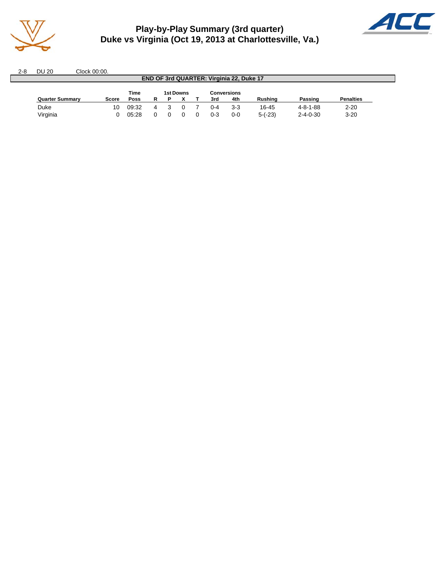

# **Play-by-Play Summary (3rd quarter) Duke vs Virginia (Oct 19, 2013 at Charlottesville, Va.)**



2-8 DU 20 Clock 00:00. **END OF 3rd QUARTER: Virginia 22, Duke 17 Time 1st Downs Conversions Quarter Summary Score Poss R P X T 3rd 4th Rushing Passing Penalties** Duke 10 09:32 4 3 0 7 0-4 3-3 16-45 4-8-1-88 2-20 Virginia 0 05:28 0 0 0 0 0-3 0-0 5-(-23) 2-4-0-30 3-20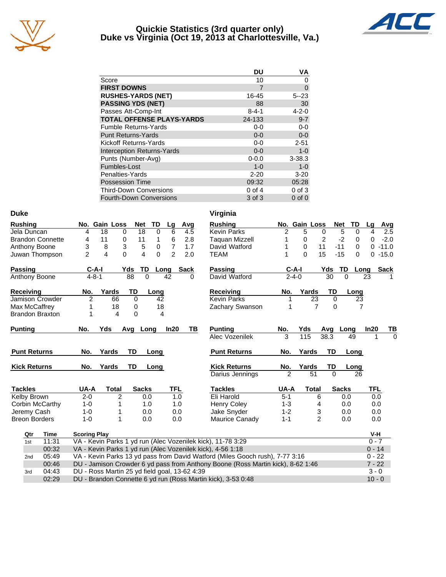

#### **Quickie Statistics (3rd quarter only) Duke vs Virginia (Oct 19, 2013 at Charlottesville, Va.)**



|                                   | DU          | VA          |
|-----------------------------------|-------------|-------------|
| Score                             | 10          | O           |
| <b>FIRST DOWNS</b>                | 7           | $\mathbf 0$ |
| <b>RUSHES-YARDS (NET)</b>         | 16-45       | $5 - 23$    |
| <b>PASSING YDS (NET)</b>          | 88          | 30          |
| Passes Att-Comp-Int               | $8 - 4 - 1$ | $4 - 2 - 0$ |
| <b>TOTAL OFFENSE PLAYS-YARDS</b>  | 24-133      | $9 - 7$     |
| <b>Fumble Returns-Yards</b>       | $0-0$       | $0 - 0$     |
| <b>Punt Returns-Yards</b>         | $0 - 0$     | $0-0$       |
| Kickoff Returns-Yards             | $0-0$       | $2 - 51$    |
| <b>Interception Returns-Yards</b> | $0 - 0$     | $1 - 0$     |
| Punts (Number-Avg)                | $0 - 0.0$   | $3 - 38.3$  |
| Fumbles-Lost                      | $1 - 0$     | $1 - 0$     |
| Penalties-Yards                   | $2 - 20$    | $3 - 20$    |
| <b>Possession Time</b>            | 09:32       | 05:28       |
| <b>Third-Down Conversions</b>     | $0$ of 4    | $0$ of $3$  |
| <b>Fourth-Down Conversions</b>    | 3 of 3      | $0$ of $0$  |

| <b>Duke</b>              |                                               |                |                         |                            |      | Virginia                                                                        |                |               |                |                   |          |             |
|--------------------------|-----------------------------------------------|----------------|-------------------------|----------------------------|------|---------------------------------------------------------------------------------|----------------|---------------|----------------|-------------------|----------|-------------|
| <b>Rushing</b>           | No. Gain Loss                                 |                | <b>Net</b>              | TD<br>Lg                   | Avg  | <b>Rushing</b>                                                                  |                | No. Gain Loss |                | <b>Net</b><br>TD  | Lg       | Avg         |
| Jela Duncan              | 18<br>4                                       | 0              | 18                      | 6<br>$\mathbf 0$           | 4.5  | <b>Kevin Parks</b>                                                              | 2              | 5             | 0              | 5<br>0            | 4        | 2.5         |
| <b>Brandon Connette</b>  | 4<br>11                                       | 0              | 11                      | 6<br>1                     | 2.8  | <b>Taguan Mizzell</b>                                                           | 1              | 0             | $\overline{2}$ | $-2$<br>0         | 0        | $-2.0$      |
| Anthony Boone            | 3<br>8                                        | 3              | 5                       | $\overline{7}$<br>0        | 1.7  | David Watford                                                                   |                | $\Omega$      | 11             | $-11$<br>$\Omega$ |          | $0 - 11.0$  |
| Juwan Thompson           | $\overline{2}$<br>4                           | $\Omega$       | $\overline{\mathbf{4}}$ | $\Omega$<br>$\overline{2}$ | 2.0  | <b>TEAM</b>                                                                     |                | $\Omega$      | 15             | $-15$<br>$\Omega$ |          | $0 - 15.0$  |
| <b>Passing</b>           | $C-A-I$                                       | Yds            | TD                      | Long                       | Sack | <b>Passing</b>                                                                  | $C-A-I$        |               | Yds            | TD.               | Long     | <b>Sack</b> |
| Anthony Boone            | $4 - 8 - 1$                                   |                | 88<br>$\Omega$          | 42                         | 0    | David Watford                                                                   | $2 - 4 - 0$    |               | 30             | $\Omega$          | 23       |             |
| <b>Receiving</b>         | No.                                           | Yards          | TD                      | Long                       |      | <b>Receiving</b>                                                                | No.            | Yards         | <b>TD</b>      | Long              |          |             |
| Jamison Crowder          | $\overline{2}$                                | 66             | 0                       | 42                         |      | <b>Kevin Parks</b>                                                              | 1              | 23            | 0              |                   | 23       |             |
| Max McCaffrey            | 1                                             | 18             | 0                       | 18                         |      | Zachary Swanson                                                                 | 1              | 7             | $\Omega$       |                   | 7        |             |
| <b>Brandon Braxton</b>   | 1                                             | 4              | $\Omega$                | 4                          |      |                                                                                 |                |               |                |                   |          |             |
| <b>Punting</b>           | No.<br>Yds                                    | Avg            | Long                    | In20                       | TB   | <b>Punting</b>                                                                  | No.            | Yds           |                | Avg Long          | In20     | TВ          |
|                          |                                               |                |                         |                            |      | Alec Vozenilek                                                                  | 3              | 115           | 38.3           | 49                |          | $\Omega$    |
| <b>Punt Returns</b>      | No.                                           | Yards          | TD                      | Long                       |      | <b>Punt Returns</b>                                                             | No.            | Yards         | TD             | Long              |          |             |
| <b>Kick Returns</b>      | No.                                           | Yards          | TD                      | Long                       |      | <b>Kick Returns</b>                                                             | No.            | Yards         | TD             | Long              |          |             |
|                          |                                               |                |                         |                            |      | Darius Jennings                                                                 | $\mathfrak{p}$ | 51            | $\Omega$       |                   | 26       |             |
| <b>Tackles</b>           | UA-A                                          | <b>Total</b>   | <b>Sacks</b>            |                            | TFL  | <b>Tackles</b>                                                                  | UA-A           | <b>Total</b>  |                | <b>Sacks</b>      | TFL      |             |
| Kelby Brown              | $2 - 0$                                       | $\overline{2}$ | 0.0                     |                            | 1.0  | Eli Harold                                                                      | $5 - 1$        | 6             |                | 0.0               | 0.0      |             |
| Corbin McCarthy          | $1 - 0$                                       | 1              | 1.0                     |                            | 1.0  | <b>Henry Coley</b>                                                              | $1 - 3$        | 4             |                | 0.0               | 0.0      |             |
| Jeremy Cash              | $1 - 0$                                       | 1              | 0.0                     |                            | 0.0  | Jake Snyder                                                                     | $1 - 2$        | 3             |                | 0.0               | 0.0      |             |
| <b>Breon Borders</b>     | $1 - 0$                                       | 1              | 0.0                     |                            | 0.0  | Maurice Canady                                                                  | $1 - 1$        |               | $\overline{c}$ | 0.0               | 0.0      |             |
| Qtr<br>Time              | <b>Scoring Play</b>                           |                |                         |                            |      |                                                                                 |                |               |                |                   | V-H      |             |
| 11:31<br>1st             |                                               |                |                         |                            |      | VA - Kevin Parks 1 yd run (Alec Vozenilek kick), 11-78 3:29                     |                |               |                |                   | $0 - 7$  |             |
| 00:32                    |                                               |                |                         |                            |      | VA - Kevin Parks 1 yd run (Alec Vozenilek kick), 4-56 1:18                      |                |               |                |                   | $0 - 14$ |             |
| 05:49<br>2 <sub>nd</sub> |                                               |                |                         |                            |      | VA - Kevin Parks 13 yd pass from David Watford (Miles Gooch rush), 7-77 3:16    |                |               |                |                   | $0 - 22$ |             |
| 00:46                    |                                               |                |                         |                            |      | DU - Jamison Crowder 6 yd pass from Anthony Boone (Ross Martin kick), 8-62 1:46 |                |               |                |                   | $7 - 22$ |             |
| 04:43<br>3rd             | DU - Ross Martin 25 yd field goal, 13-62 4:39 |                |                         |                            |      |                                                                                 |                |               |                |                   | $3 - 0$  |             |
| 02:29                    |                                               |                |                         |                            |      | DU - Brandon Connette 6 yd run (Ross Martin kick), 3-53 0:48                    |                |               |                |                   | $10 - 0$ |             |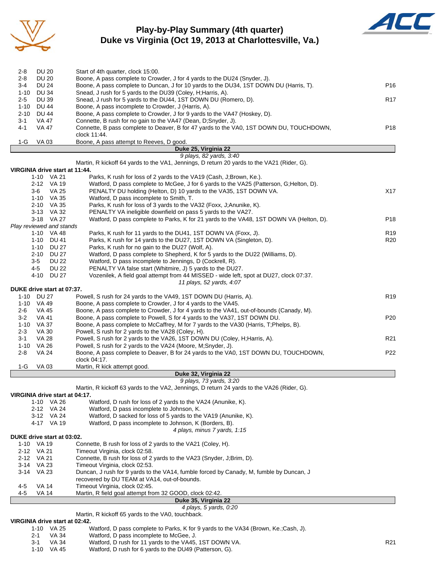

## **Play-by-Play Summary (4th quarter) Duke vs Virginia (Oct 19, 2013 at Charlottesville, Va.)**



| 2-8                | <b>DU 20</b>                                 | Start of 4th quarter, clock 15:00.                                                                                                                                  |                 |
|--------------------|----------------------------------------------|---------------------------------------------------------------------------------------------------------------------------------------------------------------------|-----------------|
| $2 - 8$<br>$3-4$   | <b>DU 20</b><br><b>DU 24</b>                 | Boone, A pass complete to Crowder, J for 4 yards to the DU24 (Snyder, J).<br>Boone, A pass complete to Duncan, J for 10 yards to the DU34, 1ST DOWN DU (Harris, T). | P <sub>16</sub> |
|                    | 1-10 DU 34                                   | Snead, J rush for 5 yards to the DU39 (Coley, H; Harris, A).                                                                                                        |                 |
| $2 - 5$            | <b>DU 39</b>                                 | Snead, J rush for 5 yards to the DU44, 1ST DOWN DU (Romero, D).                                                                                                     | R <sub>17</sub> |
| $1 - 10$           | DU 44                                        | Boone, A pass incomplete to Crowder, J (Harris, A).                                                                                                                 |                 |
| $2 - 10$           | <b>DU 44</b>                                 | Boone, A pass complete to Crowder, J for 9 yards to the VA47 (Hoskey, D).                                                                                           |                 |
| $3 - 1$            | VA 47                                        | Connette, B rush for no gain to the VA47 (Dean, D;Snyder, J).                                                                                                       |                 |
| 4-1                | <b>VA 47</b>                                 | Connette, B pass complete to Deaver, B for 47 yards to the VA0, 1ST DOWN DU, TOUCHDOWN,                                                                             | P <sub>18</sub> |
|                    |                                              | clock 11:44.                                                                                                                                                        |                 |
| 1-G                | <b>VA03</b>                                  | Boone, A pass attempt to Reeves, D good.<br>Duke 25, Virginia 22                                                                                                    |                 |
|                    |                                              | 9 plays, 82 yards, 3:40                                                                                                                                             |                 |
|                    |                                              | Martin, R kickoff 64 yards to the VA1, Jennings, D return 20 yards to the VA21 (Rider, G).                                                                          |                 |
|                    | VIRGINIA drive start at 11:44.               |                                                                                                                                                                     |                 |
|                    | 1-10 VA 21                                   | Parks, K rush for loss of 2 yards to the VA19 (Cash, J;Brown, Ke.).                                                                                                 |                 |
|                    | 2-12 VA 19                                   | Watford, D pass complete to McGee, J for 6 yards to the VA25 (Patterson, G; Helton, D).                                                                             |                 |
|                    | $3-6$<br>VA 25<br>1-10 VA 35                 | PENALTY DU holding (Helton, D) 10 yards to the VA35, 1ST DOWN VA.<br>Watford, D pass incomplete to Smith, T.                                                        | X17             |
|                    | 2-10 VA 35                                   | Parks, K rush for loss of 3 yards to the VA32 (Foxx, J;Anunike, K).                                                                                                 |                 |
|                    | 3-13 VA 32                                   | PENALTY VA ineligible downfield on pass 5 yards to the VA27.                                                                                                        |                 |
|                    | 3-18 VA 27                                   | Watford, D pass complete to Parks, K for 21 yards to the VA48, 1ST DOWN VA (Helton, D).                                                                             | P <sub>18</sub> |
|                    | Play reviewed and stands                     |                                                                                                                                                                     |                 |
|                    | 1-10 VA 48                                   | Parks, K rush for 11 yards to the DU41, 1ST DOWN VA (Foxx, J).                                                                                                      | R <sub>19</sub> |
|                    | 1-10 DU 41                                   | Parks, K rush for 14 yards to the DU27, 1ST DOWN VA (Singleton, D).                                                                                                 | R20             |
|                    | 1-10 DU 27                                   | Parks, K rush for no gain to the DU27 (Wolf, A).                                                                                                                    |                 |
|                    | 2-10 DU 27                                   | Watford, D pass complete to Shepherd, K for 5 yards to the DU22 (Williams, D).                                                                                      |                 |
|                    | $3-5$<br><b>DU 22</b><br>4-5<br><b>DU 22</b> | Watford, D pass incomplete to Jennings, D (Cockrell, R).<br>PENALTY VA false start (Whitmire, J) 5 yards to the DU27.                                               |                 |
|                    | 4-10 DU 27                                   | Vozenilek, A field goal attempt from 44 MISSED - wide left, spot at DU27, clock 07:37.                                                                              |                 |
|                    |                                              | 11 plays, 52 yards, 4:07                                                                                                                                            |                 |
|                    | DUKE drive start at 07:37.                   |                                                                                                                                                                     |                 |
|                    | 1-10 DU 27                                   | Powell, S rush for 24 yards to the VA49, 1ST DOWN DU (Harris, A).                                                                                                   | R <sub>19</sub> |
|                    | 1-10 VA 49                                   | Boone, A pass complete to Crowder, J for 4 yards to the VA45.                                                                                                       |                 |
| 2-6                | VA 45                                        | Boone, A pass complete to Crowder, J for 4 yards to the VA41, out-of-bounds (Canady, M).                                                                            |                 |
| $3-2$              | <b>VA 41</b>                                 | Boone, A pass complete to Powell, S for 4 yards to the VA37, 1ST DOWN DU.                                                                                           | P <sub>20</sub> |
|                    | 1-10 VA 37                                   | Boone, A pass complete to McCaffrey, M for 7 yards to the VA30 (Harris, T;Phelps, B).                                                                               |                 |
| $2 - 3$<br>$3 - 1$ | VA 30<br><b>VA 28</b>                        | Powell, S rush for 2 yards to the VA28 (Coley, H).<br>Powell, S rush for 2 yards to the VA26, 1ST DOWN DU (Coley, H; Harris, A).                                    | R <sub>21</sub> |
|                    | 1-10 VA 26                                   | Powell, S rush for 2 yards to the VA24 (Moore, M;Snyder, J).                                                                                                        |                 |
| $2 - 8$            | <b>VA 24</b>                                 | Boone, A pass complete to Deaver, B for 24 yards to the VA0, 1ST DOWN DU, TOUCHDOWN,                                                                                | P22             |
|                    |                                              | clock 04:17.                                                                                                                                                        |                 |
| 1-G                | <b>VA03</b>                                  | Martin, R kick attempt good.                                                                                                                                        |                 |
|                    |                                              | Duke 32, Virginia 22                                                                                                                                                |                 |
|                    |                                              | 9 plays, 73 yards, 3:20                                                                                                                                             |                 |
|                    | VIRGINIA drive start at 04:17.               | Martin, R kickoff 63 yards to the VA2, Jennings, D return 24 yards to the VA26 (Rider, G).                                                                          |                 |
|                    | VA 26<br>1-10                                | Watford, D rush for loss of 2 yards to the VA24 (Anunike, K).                                                                                                       |                 |
|                    | 2-12 VA 24                                   | Watford, D pass incomplete to Johnson, K.                                                                                                                           |                 |
|                    | 3-12 VA 24                                   | Watford, D sacked for loss of 5 yards to the VA19 (Anunike, K).                                                                                                     |                 |
|                    | 4-17 VA 19                                   | Watford, D pass incomplete to Johnson, K (Borders, B).                                                                                                              |                 |
|                    |                                              | 4 plays, minus 7 yards, 1:15                                                                                                                                        |                 |
|                    | DUKE drive start at 03:02.                   |                                                                                                                                                                     |                 |
|                    | 1-10 VA 19                                   | Connette, B rush for loss of 2 yards to the VA21 (Coley, H).                                                                                                        |                 |
|                    | 2-12 VA 21<br>2-12 VA 21                     | Timeout Virginia, clock 02:58.<br>Connette, B rush for loss of 2 yards to the VA23 (Snyder, J;Brim, D).                                                             |                 |
|                    | 3-14 VA 23                                   | Timeout Virginia, clock 02:53.                                                                                                                                      |                 |
|                    | 3-14 VA 23                                   | Duncan, J rush for 9 yards to the VA14, fumble forced by Canady, M, fumble by Duncan, J                                                                             |                 |
|                    |                                              | recovered by DU TEAM at VA14, out-of-bounds.                                                                                                                        |                 |
| 4-5                | VA 14                                        | Timeout Virginia, clock 02:45.                                                                                                                                      |                 |
| 4-5                | VA 14                                        | Martin, R field goal attempt from 32 GOOD, clock 02:42.                                                                                                             |                 |
|                    |                                              | Duke 35, Virginia 22                                                                                                                                                |                 |
|                    |                                              | 4 plays, 5 yards, 0:20                                                                                                                                              |                 |
|                    |                                              | Martin, R kickoff 65 yards to the VA0, touchback.                                                                                                                   |                 |
|                    | VIRGINIA drive start at 02:42.               |                                                                                                                                                                     |                 |

|     | 1-10 VA 25 | Watford, D pass complete to Parks, K for 9 yards to the VA34 (Brown, Ke.;Cash, J). |                 |
|-----|------------|------------------------------------------------------------------------------------|-----------------|
| 2-1 | VA 34      | Watford, D pass incomplete to McGee, J.                                            |                 |
| 3-1 | VA 34      | Watford, D rush for 11 yards to the VA45, 1ST DOWN VA.                             | R <sub>21</sub> |
|     | 1-10 VA 45 | Watford, D rush for 6 yards to the DU49 (Patterson, G).                            |                 |
|     |            |                                                                                    |                 |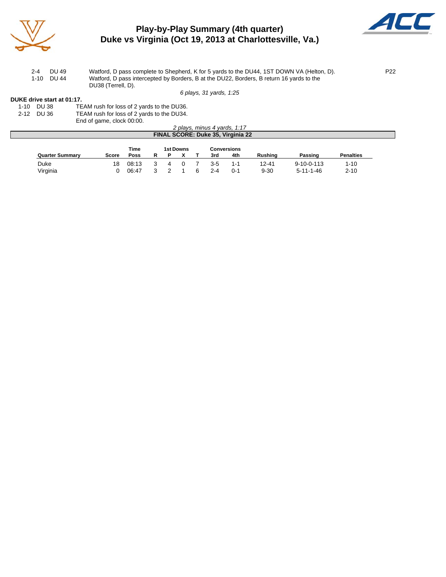

# **Play-by-Play Summary (4th quarter) Duke vs Virginia (Oct 19, 2013 at Charlottesville, Va.)**



2-4 DU 49 Watford, D pass complete to Shepherd, K for 5 yards to the DU44, 1ST DOWN VA (Helton, D). P22 1-10 DU 44 Watford, D pass intercepted by Borders, B at the DU22, Borders, B return 16 yards to the DU38 (Terrell, D).

*6 plays, 31 yards, 1:25*

#### **DUKE drive start at 01:17.**

| 1-10 DU 38 | TEAM rush for loss of 2 yards to the DU36. |
|------------|--------------------------------------------|
| 2-12 DU 36 | TEAM rush for loss of 2 yards to the DU34. |

End of game, clock 00:00.

| 2 plays, minus 4 yards, 1:17                   |       |       |  |  |  |  |     |     |                |                    |                  |  |
|------------------------------------------------|-------|-------|--|--|--|--|-----|-----|----------------|--------------------|------------------|--|
| FINAL SCORE: Duke 35, Virginia 22              |       |       |  |  |  |  |     |     |                |                    |                  |  |
| Time<br><b>1st Downs</b><br><b>Conversions</b> |       |       |  |  |  |  |     |     |                |                    |                  |  |
| <b>Quarter Summary</b>                         | Score | Poss  |  |  |  |  | 3rd | 4th | <b>Rushing</b> | Passing            | <b>Penalties</b> |  |
| Duke                                           | 18    | 08:13 |  |  |  |  | 3-5 | 1-1 | 12-41          | $9 - 10 - 0 - 113$ | $1 - 10$         |  |

Virginia 0 06:47 3 2 1 6 2-4 0-1 9-30 5-11-1-46 2-10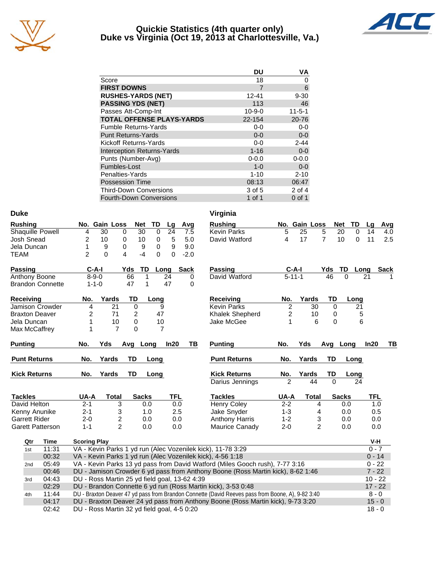

#### **Quickie Statistics (4th quarter only) Duke vs Virginia (Oct 19, 2013 at Charlottesville, Va.)**



|                                   | DU           | ٧Α           |
|-----------------------------------|--------------|--------------|
| Score                             | 18           | 0            |
| <b>FIRST DOWNS</b>                | 7            | 6            |
| <b>RUSHES-YARDS (NET)</b>         | 12-41        | $9 - 30$     |
| <b>PASSING YDS (NET)</b>          | 113          | 46           |
| Passes Att-Comp-Int               | $10 - 9 - 0$ | $11 - 5 - 1$ |
| <b>TOTAL OFFENSE PLAYS-YARDS</b>  | 22-154       | 20-76        |
| <b>Fumble Returns-Yards</b>       | $0-0$        | $0-0$        |
| <b>Punt Returns-Yards</b>         | $0 - 0$      | $0-0$        |
| Kickoff Returns-Yards             | $0 - 0$      | $2 - 44$     |
| <b>Interception Returns-Yards</b> | $1 - 16$     | $0-0$        |
| Punts (Number-Avg)                | $0 - 0.0$    | $0 - 0.0$    |
| Fumbles-Lost                      | $1 - 0$      | $0-0$        |
| Penalties-Yards                   | $1 - 10$     | $2 - 10$     |
| <b>Possession Time</b>            | 08:13        | 06:47        |
| <b>Third-Down Conversions</b>     | 3 of 5       | 2 of 4       |
| <b>Fourth-Down Conversions</b>    | 1 of 1       | $0$ of 1     |

| <b>Duke</b>             |                                                                                                   | Virginia                             |                      |                               |
|-------------------------|---------------------------------------------------------------------------------------------------|--------------------------------------|----------------------|-------------------------------|
| <b>Rushing</b>          | No. Gain Loss<br><b>Net</b><br>TD<br>Lg<br>Avg                                                    | <b>Rushing</b>                       | No. Gain Loss        | <b>Net</b><br>TD<br>Avg<br>Lq |
| Shaquille Powell        | 30<br>$\Omega$<br>24<br>4<br>30<br>0<br>7.5                                                       | <b>Kevin Parks</b><br>5              | 25<br>5              | 20<br>$\Omega$<br>14<br>4.0   |
| Josh Snead              | 10<br>10<br>5<br>2<br>0<br>5.0<br>0                                                               | 4<br>David Watford                   | 17<br>$\overline{7}$ | 11<br>10<br>$\Omega$<br>2.5   |
| Jela Duncan             | 9<br>1<br>9<br>9<br>9.0<br>0<br>0                                                                 |                                      |                      |                               |
| <b>TEAM</b>             | $\overline{2}$<br>$\Omega$<br>0<br>$-2.0$<br>4<br>$-4$<br>$\Omega$                                |                                      |                      |                               |
| <b>Passing</b>          | $C-A-I$<br>TD<br><b>Sack</b><br>Yds<br>Long                                                       | $C-A-I$<br><b>Passing</b>            | Yds                  | TD<br><b>Sack</b><br>Long     |
| Anthony Boone           | $8 - 9 - 0$<br>66<br>1<br>24                                                                      | David Watford<br>$5 - 11 - 1$<br>0   | 46                   | $\Omega$<br>21                |
| <b>Brandon Connette</b> | 47<br>47<br>$1 - 1 - 0$<br>1                                                                      | 0                                    |                      |                               |
| <b>Receiving</b>        | TD<br>No.<br>Yards<br>Long                                                                        | <b>Receiving</b><br>No.              | Yards<br>TD          | Long                          |
| <b>Jamison Crowder</b>  | 21<br>$\mathbf 0$<br>4<br>9                                                                       | <b>Kevin Parks</b><br>$\overline{2}$ | 30<br>0              | 21                            |
| <b>Braxton Deaver</b>   | 2<br>71<br>2<br>47                                                                                | 2<br>Khalek Shepherd                 | 10<br>$\mathbf 0$    | 5                             |
| Jela Duncan             | 1<br>0<br>10<br>10                                                                                | Jake McGee<br>1                      | 6<br>0               | 6                             |
| Max McCaffrey           | 1<br>$\overline{7}$<br>$\Omega$<br>$\overline{7}$                                                 |                                      |                      |                               |
| <b>Punting</b>          | Yds<br>In20<br>No.<br>Avg Long                                                                    | TВ<br>No.<br><b>Punting</b>          | Yds                  | In20<br>TВ<br>Avg Long        |
| <b>Punt Returns</b>     | <b>TD</b><br>No.<br>Yards<br>Long                                                                 | <b>Punt Returns</b><br>No.           | Yards<br>TD          | Long                          |
| <b>Kick Returns</b>     | <b>TD</b><br>Yards<br>No.<br>Long                                                                 | <b>Kick Returns</b><br>No.           | Yards<br>TD          | Long                          |
|                         |                                                                                                   | Darius Jennings<br>$\mathfrak{p}$    | 44<br>$\Omega$       | 24                            |
| <b>Tackles</b>          | <b>TFL</b><br>UA-A<br><b>Sacks</b><br>Total                                                       | <b>Tackles</b><br>UA-A               | <b>Total</b>         | <b>TFL</b><br><b>Sacks</b>    |
| David Helton            | $2 - 1$<br>3<br>0.0<br>0.0                                                                        | <b>Henry Coley</b><br>$2 - 2$        | 4                    | 0.0<br>1.0                    |
| Kenny Anunike           | $2 - 1$<br>3<br>2.5<br>1.0                                                                        | $1 - 3$<br>Jake Snyder               | 4                    | 0.5<br>0.0                    |
| <b>Garrett Rider</b>    | 2<br>$2 - 0$<br>0.0<br>0.0                                                                        | <b>Anthony Harris</b><br>$1 - 2$     | 3                    | 0.0<br>0.0                    |
| <b>Garett Patterson</b> | $\overline{2}$<br>$1 - 1$<br>0.0<br>0.0                                                           | Maurice Canady<br>$2 - 0$            | 2                    | 0.0<br>0.0                    |
| Qtr<br>Time             | <b>Scoring Play</b>                                                                               |                                      |                      | V-H                           |
| 11:31<br>1st            | VA - Kevin Parks 1 yd run (Alec Vozenilek kick), 11-78 3:29                                       |                                      |                      | $0 - 7$                       |
| 00:32                   | VA - Kevin Parks 1 yd run (Alec Vozenilek kick), 4-56 1:18                                        |                                      |                      | $0 - 14$                      |
| 05:49<br>2nd            | VA - Kevin Parks 13 yd pass from David Watford (Miles Gooch rush), 7-77 3:16                      |                                      |                      | $0 - 22$                      |
| 00:46                   | DU - Jamison Crowder 6 yd pass from Anthony Boone (Ross Martin kick), 8-62 1:46                   |                                      |                      | $7 - 22$                      |
| 04:43<br>3rd            | DU - Ross Martin 25 yd field goal, 13-62 4:39                                                     |                                      |                      | $10 - 22$                     |
| 02:29                   | DU - Brandon Connette 6 yd run (Ross Martin kick), 3-53 0:48                                      |                                      |                      | $17 - 22$                     |
| 11:44<br>4th            | DU - Braxton Deaver 47 yd pass from Brandon Connette (David Reeves pass from Boone, A), 9-82 3:40 |                                      |                      | $8 - 0$                       |
| 04:17                   | DU - Braxton Deaver 24 yd pass from Anthony Boone (Ross Martin kick), 9-73 3:20                   |                                      |                      | $15 - 0$                      |
| 02:42                   | DU - Ross Martin 32 yd field goal, 4-5 0:20                                                       |                                      |                      | $18 - 0$                      |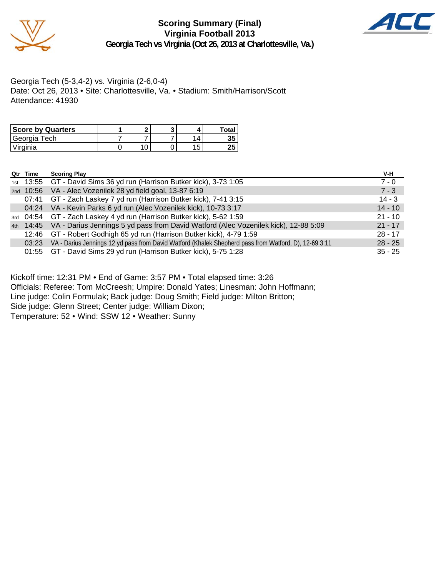

#### **Scoring Summary (Final) Virginia Football 2013 Georgia Tech vs Virginia (Oct 26, 2013 at Charlottesville, Va.)**



Georgia Tech (5-3,4-2) vs. Virginia (2-6,0-4) Date: Oct 26, 2013 • Site: Charlottesville, Va. • Stadium: Smith/Harrison/Scott Attendance: 41930

| <b>Score by Quarters</b> |  |    | Total    |
|--------------------------|--|----|----------|
| Georgia Tech             |  |    | 35       |
| 'Virginia                |  | ィド | った<br>ΔJ |

| Qtr Time | <b>Scoring Play</b>                                                                                   | V-H       |
|----------|-------------------------------------------------------------------------------------------------------|-----------|
|          | 1st 13:55 GT - David Sims 36 yd run (Harrison Butker kick), 3-73 1:05                                 | $7 - 0$   |
|          | 2nd 10:56 VA - Alec Vozenilek 28 yd field goal, 13-87 6:19                                            | $7 - 3$   |
| 07:41    | GT - Zach Laskey 7 yd run (Harrison Butker kick), 7-41 3:15                                           | $14 - 3$  |
|          | 04:24 VA - Kevin Parks 6 yd run (Alec Vozenilek kick), 10-73 3:17                                     | $14 - 10$ |
|          | 3rd 04:54 GT - Zach Laskey 4 yd run (Harrison Butker kick), 5-62 1:59                                 | $21 - 10$ |
|          | 4th 14:45 VA - Darius Jennings 5 yd pass from David Watford (Alec Vozenilek kick), 12-88 5:09         | $21 - 17$ |
| 12:46    | GT - Robert Godhigh 65 yd run (Harrison Butker kick), 4-79 1:59                                       | $28 - 17$ |
| 03:23    | VA - Darius Jennings 12 yd pass from David Watford (Khalek Shepherd pass from Watford, D), 12-69 3:11 | $28 - 25$ |
|          | 01:55 GT - David Sims 29 yd run (Harrison Butker kick), 5-75 1:28                                     | $35 - 25$ |

Kickoff time: 12:31 PM • End of Game: 3:57 PM • Total elapsed time: 3:26

Officials: Referee: Tom McCreesh; Umpire: Donald Yates; Linesman: John Hoffmann;

Line judge: Colin Formulak; Back judge: Doug Smith; Field judge: Milton Britton;

Side judge: Glenn Street; Center judge: William Dixon;

Temperature: 52 • Wind: SSW 12 • Weather: Sunny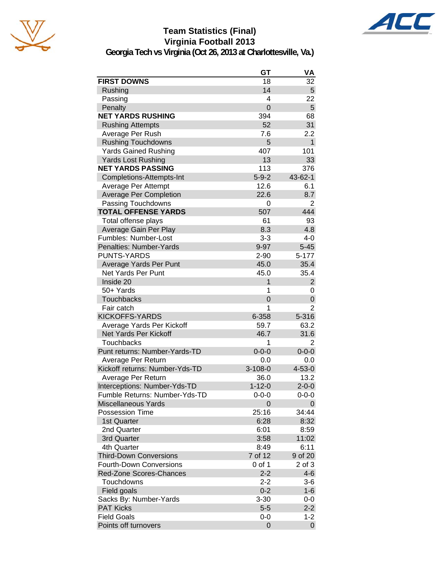

# **Team Statistics (Final) Virginia Football 2013**



**Georgia Tech vs Virginia (Oct 26, 2013 at Charlottesville, Va.)**

|                                | GT             | VA             |
|--------------------------------|----------------|----------------|
| <b>FIRST DOWNS</b>             | 18             | 32             |
| Rushing                        | 14             | 5              |
| Passing                        | 4              | 22             |
| Penalty                        | $\overline{0}$ | 5              |
| <b>NET YARDS RUSHING</b>       | 394            | 68             |
| <b>Rushing Attempts</b>        | 52             | 31             |
| Average Per Rush               | 7.6            | 2.2            |
| <b>Rushing Touchdowns</b>      | 5              | $\mathbf{1}$   |
| <b>Yards Gained Rushing</b>    | 407            | 101            |
| <b>Yards Lost Rushing</b>      | 13             | 33             |
| <b>NET YARDS PASSING</b>       | 113            | 376            |
| Completions-Attempts-Int       | $5 - 9 - 2$    | 43-62-1        |
| Average Per Attempt            | 12.6           | 6.1            |
| <b>Average Per Completion</b>  | 22.6           | 8.7            |
| Passing Touchdowns             | 0              | 2              |
| <b>TOTAL OFFENSE YARDS</b>     | 507            | 444            |
| Total offense plays            | 61             | 93             |
| Average Gain Per Play          | 8.3            | 4.8            |
| Fumbles: Number-Lost           | $3 - 3$        | 4-0            |
| Penalties: Number-Yards        | $9 - 97$       | $5 - 45$       |
| <b>PUNTS-YARDS</b>             | $2 - 90$       | 5-177          |
| Average Yards Per Punt         | 45.0           | 35.4           |
| Net Yards Per Punt             | 45.0           | 35.4           |
| Inside 20                      | 1              | $\overline{c}$ |
| 50+ Yards                      | 1              | 0              |
| <b>Touchbacks</b>              | 0              | 0              |
| Fair catch                     | 1              | $\overline{2}$ |
| <b>KICKOFFS-YARDS</b>          | 6-358          | 5-316          |
| Average Yards Per Kickoff      | 59.7           | 63.2           |
| Net Yards Per Kickoff          | 46.7           | 31.6           |
| <b>Touchbacks</b>              | 1              | $\overline{2}$ |
| Punt returns: Number-Yards-TD  | $0 - 0 - 0$    | $0 - 0 - 0$    |
| Average Per Return             | 0.0            | 0.0            |
| Kickoff returns: Number-Yds-TD | $3 - 108 - 0$  | $4 - 53 - 0$   |
| Average Per Return             | 36.0           | 13.2           |
| Interceptions: Number-Yds-TD   | $1 - 12 - 0$   | $2 - 0 - 0$    |
| Fumble Returns: Number-Yds-TD  | $0 - 0 - 0$    | $0 - 0 - 0$    |
| <b>Miscellaneous Yards</b>     | 0              | 0              |
| <b>Possession Time</b>         | 25:16          | 34:44          |
| 1st Quarter                    | 6:28           | 8:32           |
| 2nd Quarter                    | 6:01           | 8:59           |
| 3rd Quarter                    | 3:58           | 11:02          |
| 4th Quarter                    | 8:49           | 6:11           |
| <b>Third-Down Conversions</b>  | 7 of 12        | 9 of 20        |
| <b>Fourth-Down Conversions</b> | 0 of 1         | 2 of 3         |
| Red-Zone Scores-Chances        | $2 - 2$        | $4 - 6$        |
| Touchdowns                     | $2 - 2$        | 3-6            |
| Field goals                    | $0 - 2$        | $1 - 6$        |
| Sacks By: Number-Yards         | $3 - 30$       | $0-0$          |
| <b>PAT Kicks</b>               | $5 - 5$        | $2 - 2$        |
| <b>Field Goals</b>             | $0-0$          | $1 - 2$        |
| Points off turnovers           | 0              | $\overline{0}$ |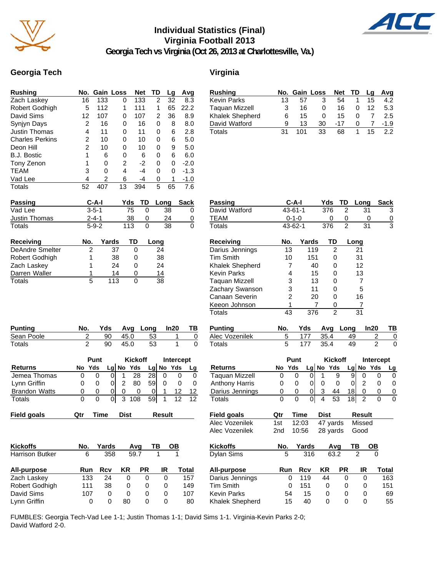

# **Individual Statistics (Final) Virginia Football 2013**



**Georgia Tech vs Virginia (Oct 26, 2013 at Charlottesville, Va.)**

#### **Georgia Tech Virginia**

| <b>Rushing</b>         | No. |             | <b>Gain Loss</b> | <b>Net</b> | TD | Lg   | Avg         |
|------------------------|-----|-------------|------------------|------------|----|------|-------------|
| Zach Laskey            | 16  | 133         | 0                | 133        | 2  | 32   | 8.3         |
| Robert Godhigh         | 5   | 112         | 1                | 111        | 1  | 65   | 22.2        |
| David Sims             | 12  | 107         | 0                | 107        | 2  | 36   | 8.9         |
| Synjyn Days            | 2   | 16          | 0                | 16         | 0  | 8    | 8.0         |
| <b>Justin Thomas</b>   | 4   | 11          | 0                | 11         | 0  | 6    | 2.8         |
| <b>Charles Perkins</b> | 2   | 10          | 0                | 10         | 0  | 6    | 5.0         |
| Deon Hill              | 2   | 10          | 0                | 10         | 0  | 9    | 5.0         |
| <b>B.J. Bostic</b>     | 1   | 6           | 0                | 6          | 0  | 6    | 6.0         |
| Tony Zenon             | 1   | 0           | 2                | $-2$       | 0  | 0    | $-2.0$      |
| TEAM                   | 3   | 0           | 4                | $-4$       | 0  | 0    | $-1.3$      |
| Vad Lee                | 4   | 2           | 6                | -4         | 0  | 1    | $-1.0$      |
| Totals                 | 52  | 407         | 13               | 394        | 5  | 65   | 7.6         |
| <b>Passing</b>         |     | C-A-I       | Yds              | TD         |    | Long | <b>Sack</b> |
| Vad Lee                |     | $3 - 5 - 1$ |                  | 75<br>0    |    | 38   | 0           |
| Justin Thomas          |     | $2 - 4 - 1$ |                  | 38<br>O    |    | 24   | O           |

| <b>Rushing</b>         |    |     | No. Gain Loss |     | Net TD | <b>Lg</b> | Avg    |
|------------------------|----|-----|---------------|-----|--------|-----------|--------|
| <b>Kevin Parks</b>     | 13 | 57  |               | 54  |        | 15        | 4.2    |
| <b>Taguan Mizzell</b>  | 3  | 16  |               | 16  |        | 12        | 5.3    |
| <b>Khalek Shepherd</b> | 6  | 15  | $\mathbf{0}$  | 15  |        |           | 2.5    |
| David Watford          | я  | 13  | 30            | -17 | 0      |           | $-1.9$ |
| Totals                 | 31 | 101 | 33            | 68  |        | 15        | 22     |

| Passing          | C-A-I       |             | Yds                      | TD | Long | <b>Sack</b> |
|------------------|-------------|-------------|--------------------------|----|------|-------------|
| Vad Lee          | $3 - 5 - 1$ |             | 75                       |    | 38   | 0           |
| Justin Thomas    |             | $2 - 4 - 1$ |                          |    | 24   | 0           |
| Totals           |             | $5-9-2$     |                          |    | 38   | 0           |
| <b>Receiving</b> | No.         | Yards       | <b>TD</b>                |    | Long |             |
| DeAndre Smelter  |             | 37          |                          |    | 24   |             |
| _ _ _ _ _ _      |             |             | $\overline{\phantom{a}}$ |    | $ -$ |             |

| <u>DEVIIMIC OIIIPIICI</u> |   | ີ   | -  |
|---------------------------|---|-----|----|
| Robert Godhigh            |   | 38  | 38 |
| Zach Laskey               |   | 24  | 24 |
| Darren Waller             |   | 14  | 14 |
| Totals                    | 5 | 113 | 38 |
|                           |   |     |    |

| <b>Punting</b> | No. |     |      | Yds Avg Long In20 |  |
|----------------|-----|-----|------|-------------------|--|
| Sean Poole     |     | 90. | 45.0 | -53               |  |
| Totals         |     | 90. | 45.0 | -53               |  |

| Totals               |   |             | УU | 40.U |                | აა |             | υ  | Totais |
|----------------------|---|-------------|----|------|----------------|----|-------------|----|--------|
|                      |   | <b>Punt</b> |    |      | <b>Kickoff</b> |    | Intercept   |    |        |
| <b>Returns</b>       |   | No Yds      |    |      | $Lq$ No Yds    |    | $Lg$ No Yds | Lg | Return |
| Jemea Thomas         | 0 |             |    |      | 28             | 28 |             |    | Taqua  |
| Lynn Griffin         | 0 |             |    |      | 80             | 59 |             |    | Anthor |
| <b>Brandon Watts</b> | 0 |             |    |      |                |    |             | 12 | Darius |
| Totals               | 0 |             |    |      | 108            | 59 |             | 12 | Totals |

| <b>Kickoffs</b>        | No. | Yards |      | Avq | ΤВ       | ОВ    |
|------------------------|-----|-------|------|-----|----------|-------|
| <b>Harrison Butker</b> | 6   | 358   | 59.7 |     |          |       |
| All-purpose            | Run | Rcv   | ΚR   | PR  | IR       | Total |
| Zach Laskey            | 133 | 24    | 0    | 0   | 0        | 157   |
| Robert Godhigh         | 111 | 38    | 0    | 0   | 0        | 149   |
| David Sims             | 107 | Ω     | 0    | O   | $\Omega$ | 107   |

Lynn Griffin 0 0 80 0 0 80

| <b>Passing</b>         | $C-A-I$                 |                               | Yds                 | TD             | Long          | <b>Sack</b>     |           | <b>Passing</b>        |                | $C-A-I$        |                | Yds                  | TD             | Long                 |                         | <b>Sack</b>    |
|------------------------|-------------------------|-------------------------------|---------------------|----------------|---------------|-----------------|-----------|-----------------------|----------------|----------------|----------------|----------------------|----------------|----------------------|-------------------------|----------------|
| Vad Lee                | $3 - 5 - 1$             |                               | 75                  | 0              | 38            |                 | 0         | David Watford         |                | $43 - 61 - 1$  |                | 376                  | $\overline{2}$ | 31                   |                         | 3              |
| Justin Thomas          | $2 - 4 - 1$             |                               | 38                  | 0              | 24            |                 | 0         | <b>TEAM</b>           |                | $0 - 1 - 0$    |                | 0                    | 0              | 0                    |                         | $\frac{0}{3}$  |
| <b>Totals</b>          | $5 - 9 - 2$             |                               | 113                 | $\overline{0}$ | 38            |                 | $\Omega$  | <b>Totals</b>         |                | 43-62-1        |                | 376                  | $\overline{2}$ | $\overline{31}$      |                         |                |
| Receiving              | No.                     | Yards                         | TD                  | Long           |               |                 |           | <b>Receiving</b>      | No.            |                | Yards          | TD                   |                | Long                 |                         |                |
| <b>DeAndre Smelter</b> | $\overline{2}$          | 37                            | $\Omega$            |                | 24            |                 |           | Darius Jennings       | 13             |                | 119            | $\overline{2}$       |                | 21                   |                         |                |
| Robert Godhigh         |                         | 38                            | 0                   |                | 38            |                 |           | <b>Tim Smith</b>      | 10             |                | 151            | $\Omega$             |                | 31                   |                         |                |
| Zach Laskey            |                         | 24                            | 0                   |                | 24            |                 |           | Khalek Shepherd       |                | 7              | 40             | 0                    |                | 12                   |                         |                |
| Darren Waller          |                         | 14                            | 0                   |                | 14            |                 |           | <b>Kevin Parks</b>    |                | 4              | 15             | $\Omega$             |                | 13                   |                         |                |
| <b>Totals</b>          | 5                       | 113                           | $\mathbf 0$         |                | 38            |                 |           | <b>Taquan Mizzell</b> |                | 3              | 13             | 0                    |                | $\overline{7}$       |                         |                |
|                        |                         |                               |                     |                |               |                 |           | Zachary Swanson       |                | 3              | 11             | 0                    |                | 5                    |                         |                |
|                        |                         |                               |                     |                |               |                 |           | Canaan Severin        |                | $\overline{c}$ | 20             | 0                    |                | 16                   |                         |                |
|                        |                         |                               |                     |                |               |                 |           | Keeon Johnson         |                | 1              | 7              | 0                    |                | $\overline{7}$       |                         |                |
|                        |                         |                               |                     |                |               |                 |           | <b>Totals</b>         | 43             |                | 376            | $\overline{2}$       |                | 31                   |                         |                |
| <b>Punting</b>         | No.                     | Yds                           | Avq                 | Long           | In20          |                 | ΤВ        | <b>Punting</b>        | No.            |                | Yds            | Avg                  | Long           |                      | In20                    | ΤВ             |
| Sean Poole             | $\overline{\mathbf{c}}$ | 90                            | 45.0                | 53             |               | 1               | $\pmb{0}$ | Alec Vozenilek        | 5              |                | 177            | 35.4                 |                | 49                   | $\overline{\mathbf{c}}$ | $\mathbf 0$    |
| <b>Totals</b>          | $\overline{2}$          | 90                            | 45.0                | 53             |               | $\mathbf{1}$    | $\Omega$  | <b>Totals</b>         | $\overline{5}$ |                | 177            | 35.4                 |                | 49                   | $\overline{2}$          | $\overline{0}$ |
|                        | Punt                    |                               | <b>Kickoff</b>      |                |               | Intercept       |           |                       |                | Punt           |                | <b>Kickoff</b>       |                |                      | Intercept               |                |
| <b>Returns</b>         | No Yds                  |                               | Lg No Yds           |                | Lg No Yds     |                 | Lg        | <b>Returns</b>        | No Yds         |                |                | Lg No Yds            | Lg             |                      | No Yds                  | Lg             |
| Jemea Thomas           | 0                       | 0<br> 0                       | 28<br>1             | 28             | $\Omega$      | 0               | 0         | <b>Taquan Mizzell</b> | 0              | $\Omega$       | $\Omega$       | 1                    | 9              | 9<br>$\Omega$        | $\Omega$                | $\mathbf 0$    |
| Lynn Griffin           | 0                       | 0<br>$\Omega$                 | 80<br>2             | 59             | $\Omega$      | 0               | 0         | <b>Anthony Harris</b> | 0              | 0              | $\overline{0}$ | 0                    | 0              | 0<br>2               | 0                       | 0              |
| <b>Brandon Watts</b>   | 0                       | 0<br>01                       | 0<br>0              | 0              |               | 12              | 12        | Darius Jennings       | 0              | 0              | $\overline{0}$ | 3<br>44              |                | 18<br>0              | 0                       | $\overline{0}$ |
| Totals                 | $\mathbf 0$             | $\mathsf 0$<br>$\overline{0}$ | $\mathbf{3}$<br>108 | 59             | $\mathbf{1}$  | $\overline{12}$ | 12        | <b>Totals</b>         | $\overline{0}$ | $\mathbf 0$    | $\overline{0}$ | $\overline{4}$<br>53 |                | $\overline{2}$<br>18 | $\mathbf{0}$            | $\overline{0}$ |
| <b>Field goals</b>     | Qtr                     | <b>Time</b>                   | <b>Dist</b>         |                | <b>Result</b> |                 |           | <b>Field goals</b>    | Qtr            | Time           |                | <b>Dist</b>          |                | <b>Result</b>        |                         |                |
|                        |                         |                               |                     |                |               |                 |           | Alec Vozenilek        | 1st            | 12:03          |                | 47 yards             |                | Missed               |                         |                |
|                        |                         |                               |                     |                |               |                 |           | Alec Vozenilek        | 2nd            | 10:56          |                | 28 yards             |                | Good                 |                         |                |
| <b>Kickoffs</b>        | No.                     | Yards                         | Avg                 |                | ΤВ<br>OВ      |                 |           | <b>Kickoffs</b>       | No.            |                | Yards          | Avg                  |                | ΤВ                   | $\overline{OB}$         |                |
| Harrison Butker        | 6                       | 358                           | 59.7                |                | $\mathbf{1}$  | $\mathbf{1}$    |           | Dylan Sims            | 5              |                | 316            | 63.2                 |                | $\overline{2}$       | $\overline{0}$          |                |
| All-purpose            | Run                     | <b>Rcv</b>                    | KR                  | <b>PR</b>      | IR            | <b>Total</b>    |           | All-purpose           | Run            |                | <b>Rcv</b>     | KR                   | <b>PR</b>      | IR                   |                         | Total          |
| Zach Laskey            | 133                     | 24                            | $\Omega$            | $\Omega$       | $\Omega$      |                 | 157       | Darius Jennings       |                | $\Omega$       | 119            | 44                   | $\Omega$       | $\Omega$             |                         | 163            |
| Robert Godhigh         | 111                     | 38                            | 0                   | 0              | 0             |                 | 149       | <b>Tim Smith</b>      |                | 0              | 151            | 0                    | 0              | 0                    |                         | 151            |

Kevin Parks 54 15 0 0 0 69 Khalek Shepherd 15 40 0 0 0 55

FUMBLES: Georgia Tech-Vad Lee 1-1; Justin Thomas 1-1; David Sims 1-1. Virginia-Kevin Parks 2-0; David Watford 2-0.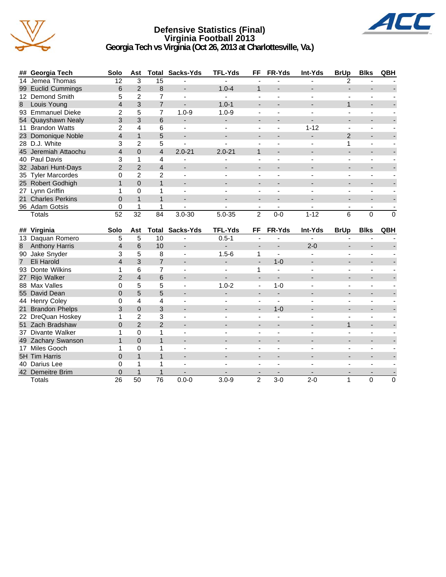

#### **Defensive Statistics (Final) Virginia Football 2013 Georgia Tech vs Virginia (Oct 26, 2013 at Charlottesville, Va.)**



| ## Georgia Tech      | Solo          | Ast           | Total | Sacks-Yds              | <b>TFL-Yds</b> | FF             | <b>FR-Yds</b> | <b>Int-Yds</b> | <b>BrUp</b> | <b>Blks</b> | QBH      |
|----------------------|---------------|---------------|-------|------------------------|----------------|----------------|---------------|----------------|-------------|-------------|----------|
| 14 Jemea Thomas      | 12            | 3             | 15    |                        |                |                |               |                |             |             |          |
| 99 Euclid Cummings   | 6             | 2             | 8     | -                      | $1.0 - 4$      |                |               |                |             |             |          |
| 12 Demond Smith      |               |               |       |                        |                |                |               |                |             |             |          |
| 8 Louis Young        |               | 3             |       |                        | $1.0 - 1$      |                |               |                |             |             |          |
| 93 Emmanuel Dieke    |               | 5             |       | $1.0 - 9$              | $1.0 - 9$      |                |               |                |             |             |          |
| 54 Quayshawn Nealy   | 3             | 3             | 6     |                        |                |                |               |                |             |             |          |
| 11 Brandon Watts     |               | 4             | 6     |                        |                |                |               | $1 - 12$       |             |             |          |
| 23 Domonique Noble   |               |               | 5     |                        |                |                |               |                | 2           |             |          |
| 28 D.J. White        |               | 2             | 5     |                        |                |                |               |                |             |             |          |
| 45 Jeremiah Attaochu | 4             | $\Omega$      | 4     | $2.0 - 21$             | $2.0 - 21$     |                |               |                |             |             |          |
| 40 Paul Davis        |               |               | 4     |                        |                |                |               |                |             |             |          |
| 32 Jabari Hunt-Days  | $\mathcal{P}$ | $\mathcal{P}$ | 4     | -                      |                |                |               |                |             |             |          |
| 35 Tyler Marcordes   |               | 2             | 2     |                        |                |                |               |                |             |             |          |
| 25 Robert Godhigh    |               | 0             |       |                        |                |                |               |                |             |             |          |
| 27 Lynn Griffin      |               | O             |       |                        |                |                |               |                |             |             |          |
| 21 Charles Perkins   | 0             |               |       |                        |                |                |               |                |             |             |          |
| 96 Adam Gotsis       |               |               |       |                        |                |                |               |                |             |             |          |
| Totals               | 52            | 32            | 84    | $3.0 - 30$             | $5.0 - 35$     | $\overline{2}$ | $0-0$         | $1 - 12$       | 6           | $\Omega$    | $\Omega$ |
|                      |               |               |       |                        |                |                |               |                |             |             |          |
| ## Virginia          | Solo          | Ast           |       | <b>Total Sacks-Yds</b> | <b>TFL-Yds</b> | FF             | <b>FR-Yds</b> | Int-Yds        | <b>BrUp</b> | <b>Blks</b> | QBH      |
| 13 Daquan Romero     | 5             | 5             | 10    |                        | $0.5 - 1$      |                |               |                |             |             |          |

|                | 13 Daquan Romero      | 5              | 5              | 10            |           | $0.5 - 1$ |                          |                          |         |                          |   |   |
|----------------|-----------------------|----------------|----------------|---------------|-----------|-----------|--------------------------|--------------------------|---------|--------------------------|---|---|
| 8              | <b>Anthony Harris</b> | $\overline{4}$ | 6              | 10            | ٠         |           |                          | $\overline{\phantom{a}}$ | $2 - 0$ | $\overline{\phantom{0}}$ |   |   |
| 90             | Jake Snyder           | 3              | 5              | 8             |           | $1.5 - 6$ |                          | $\overline{\phantom{0}}$ |         |                          |   |   |
| $\overline{7}$ | Eli Harold            | 4              | 3              |               | -         | -         | $\overline{\phantom{0}}$ | $1 - 0$                  | -       | $\overline{\phantom{0}}$ |   |   |
|                | 93 Donte Wilkins      |                | 6              |               |           |           |                          | $\overline{a}$           |         |                          |   |   |
|                | 27 Rijo Walker        | $\mathcal{P}$  | 4              | 6             | -         | -         |                          |                          |         |                          |   |   |
|                | 88 Max Valles         |                | 5              | 5             |           | $1.0 - 2$ |                          | $1 - 0$                  |         |                          |   |   |
|                | 55 David Dean         | 0              | 5              | 5             |           |           |                          |                          |         |                          |   |   |
|                | 44 Henry Coley        |                | 4              | 4             |           |           |                          |                          |         |                          |   |   |
|                | 21 Brandon Phelps     |                | $\mathbf{0}$   | 3             |           |           |                          | $1 - 0$                  |         |                          |   |   |
|                | 22 DreQuan Hoskey     |                | $\overline{2}$ | 3             |           |           |                          |                          |         |                          |   |   |
|                | 51 Zach Bradshaw      | 0              | $\overline{2}$ | $\mathcal{P}$ |           |           |                          | $\overline{\phantom{0}}$ |         |                          |   |   |
|                | 37 Divante Walker     |                | 0              |               |           |           |                          |                          |         |                          |   |   |
|                | 49 Zachary Swanson    |                | $\Omega$       |               |           |           |                          |                          |         |                          |   |   |
| 17             | Miles Gooch           |                | 0              |               |           |           |                          |                          |         |                          |   |   |
|                | 5H Tim Harris         |                |                |               |           |           |                          |                          |         |                          |   |   |
|                | 40 Darius Lee         |                |                |               |           |           |                          |                          |         |                          |   |   |
|                | 42 Demeitre Brim      |                |                |               |           |           |                          |                          |         |                          |   |   |
|                | <b>Totals</b>         | 26             | 50             | 76            | $0.0 - 0$ | $3.0 - 9$ | $\overline{2}$           | $3-0$                    | $2 - 0$ |                          | 0 | 0 |
|                |                       |                |                |               |           |           |                          |                          |         |                          |   |   |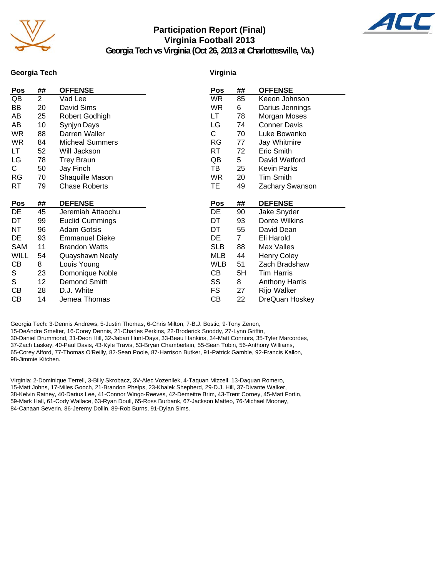

# **Participation Report (Final) Virginia Football 2013**



**Georgia Tech vs Virginia (Oct 26, 2013 at Charlottesville, Va.)**

#### **Georgia Tech**

#### **Virginia**

| <b>Pos</b>  | ##             | <b>OFFENSE</b>         | Pos        | ##             | <b>OFFENSE</b>        |
|-------------|----------------|------------------------|------------|----------------|-----------------------|
| QB          | $\overline{2}$ | Vad Lee                | <b>WR</b>  | 85             | Keeon Johnson         |
| BB          | 20             | David Sims             | <b>WR</b>  | 6              | Darius Jennings       |
| AΒ          | 25             | Robert Godhigh         | LT         | 78             | Morgan Moses          |
| AB          | 10             | Synjyn Days            | LG         | 74             | <b>Conner Davis</b>   |
| <b>WR</b>   | 88             | Darren Waller          | С          | 70             | Luke Bowanko          |
| <b>WR</b>   | 84             | <b>Micheal Summers</b> | RG         | 77             | Jay Whitmire          |
| LT          | 52             | Will Jackson           | RT         | 72             | Eric Smith            |
| LG          | 78             | <b>Trey Braun</b>      | QB         | 5              | David Watford         |
| С           | 50             | Jay Finch              | TВ         | 25             | <b>Kevin Parks</b>    |
| RG          | 70             | Shaquille Mason        | <b>WR</b>  | 20             | <b>Tim Smith</b>      |
| RT          | 79             | <b>Chase Roberts</b>   | ТE         | 49             | Zachary Swanson       |
|             |                |                        |            |                |                       |
| <b>Pos</b>  | ##             | <b>DEFENSE</b>         | Pos        | ##             | <b>DEFENSE</b>        |
| DE          | 45             | Jeremiah Attaochu      | DE         | 90             | Jake Snyder           |
| DT          | 99             | <b>Euclid Cummings</b> | DT         | 93             | Donte Wilkins         |
| ΝT          | 96             | <b>Adam Gotsis</b>     | DT         | 55             | David Dean            |
| DE          | 93             | <b>Emmanuel Dieke</b>  | DE         | $\overline{7}$ | Eli Harold            |
| SAM         | 11             | <b>Brandon Watts</b>   | <b>SLB</b> | 88             | Max Valles            |
| <b>WILL</b> | 54             | Quayshawn Nealy        | <b>MLB</b> | 44             | <b>Henry Coley</b>    |
| CВ          | 8              | Louis Young            | WLB        | 51             | Zach Bradshaw         |
| S           | 23             | Domonique Noble        | CВ         | 5H             | <b>Tim Harris</b>     |
| S           | 12             | Demond Smith           | SS         | 8              | <b>Anthony Harris</b> |
| СB          | 28             | D.J. White             | FS         | 27             | Rijo Walker           |
| CВ          | 14             | Jemea Thomas           | CВ         | 22             | DreQuan Hoskey        |

Georgia Tech: 3-Dennis Andrews, 5-Justin Thomas, 6-Chris Milton, 7-B.J. Bostic, 9-Tony Zenon, 15-DeAndre Smelter, 16-Corey Dennis, 21-Charles Perkins, 22-Broderick Snoddy, 27-Lynn Griffin, 30-Daniel Drummond, 31-Deon Hill, 32-Jabari Hunt-Days, 33-Beau Hankins, 34-Matt Connors, 35-Tyler Marcordes, 37-Zach Laskey, 40-Paul Davis, 43-Kyle Travis, 53-Bryan Chamberlain, 55-Sean Tobin, 56-Anthony Williams, 65-Corey Alford, 77-Thomas O'Reilly, 82-Sean Poole, 87-Harrison Butker, 91-Patrick Gamble, 92-Francis Kallon, 98-Jimmie Kitchen.

Virginia: 2-Dominique Terrell, 3-Billy Skrobacz, 3V-Alec Vozenilek, 4-Taquan Mizzell, 13-Daquan Romero, 15-Matt Johns, 17-Miles Gooch, 21-Brandon Phelps, 23-Khalek Shepherd, 29-D.J. Hill, 37-Divante Walker, 38-Kelvin Rainey, 40-Darius Lee, 41-Connor Wingo-Reeves, 42-Demeitre Brim, 43-Trent Corney, 45-Matt Fortin, 59-Mark Hall, 61-Cody Wallace, 63-Ryan Doull, 65-Ross Burbank, 67-Jackson Matteo, 76-Michael Mooney, 84-Canaan Severin, 86-Jeremy Dollin, 89-Rob Burns, 91-Dylan Sims.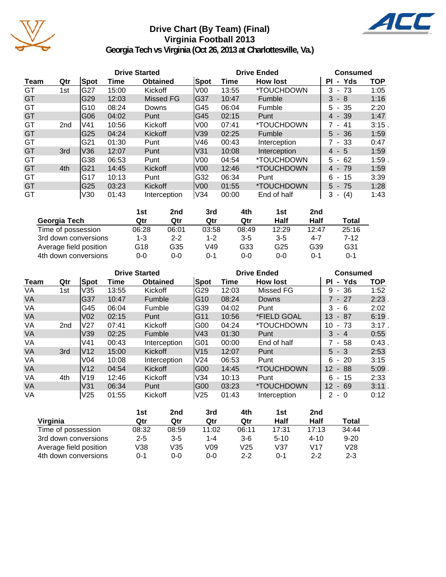

# **Drive Chart (By Team) (Final) Virginia Football 2013**



**Georgia Tech vs Virginia (Oct 26, 2013 at Charlottesville, Va.)**

|           |                 |      | <b>Drive Started</b> |                 |                 | <b>Drive Ended</b> | <b>Consumed</b>          |                    |            |  |
|-----------|-----------------|------|----------------------|-----------------|-----------------|--------------------|--------------------------|--------------------|------------|--|
| Team      | Qtr             | Spot | Time                 | <b>Obtained</b> | Spot            | Time               | <b>How lost</b>          | <b>PI</b><br>- Yds | <b>TOP</b> |  |
| GT        | 1st             | G27  | 15:00                | Kickoff         | V <sub>00</sub> | 13:55              | <i><b>*TOUCHDOWN</b></i> | $3 - 73$           | 1:05       |  |
| GT        |                 | G29  | 12:03                | Missed FG       | G37             | 10:47              | Fumble                   | $3 - 8$            | 1:16       |  |
| GT        |                 | G10  | 08:24                | Downs           | IG45            | 06:04              | Fumble                   | $5 - 35$           | 2:20       |  |
| GT        |                 | G06  | 04:02                | Punt            | G45             | 02:15              | Punt                     | $4 - 39$           | 1:47       |  |
| GT        | 2 <sub>nd</sub> | lV41 | 10:56                | Kickoff         | V <sub>0</sub>  | 07:41              | *TOUCHDOWN               | 7 - 41             | $3:15$ .   |  |
| GT        |                 | G25  | 04:24                | Kickoff         | V39             | 02:25              | Fumble                   | $5 - 36$           | 1:59       |  |
| GT        |                 | G21  | 01:30                | Punt            | V46             | 00:43              | Interception             | 7 - 33             | 0:47       |  |
| GT        | 3rd             | V36  | 12:07                | Punt            | lV31            | 10:08              | Interception             | $4 - 5$            | 1:59       |  |
| GT        |                 | G38  | 06:53                | Punt            | V <sub>0</sub>  | 04:54              | <i>*</i> TOUCHDOWN       | $5 - 62$           | 1:59       |  |
| <b>GT</b> | 4th             | G21  | 14:45                | Kickoff         | V <sub>00</sub> | 12:46              | *TOUCHDOWN               | $4 - 79$           | 1:59       |  |
| GT        |                 | G17  | 10:13                | Punt            | G32             | 06:34              | Punt                     | 6<br>- 15          | 3:39       |  |
| GT        |                 | G25  | 03:23                | Kickoff         | V <sub>00</sub> | 01:55              | <i><b>*TOUCHDOWN</b></i> | $5 - 75$           | 1:28       |  |
| GT        |                 | V30  | 01:43                | Interception    | V34             | 00:00              | End of half              | 3<br>(4)<br>٠.     | 1:43       |  |

|                        | 1st     | 2nd     | 3rd     | 4th     | 1st     | 2nd   |       |
|------------------------|---------|---------|---------|---------|---------|-------|-------|
| Georgia Tech           | Qtr     | Qtr     | Qtr     | Qtr     | Half    | Half  | Total |
| Time of possession     | 06:28   | 06:01   | 03:58   | 08:49   | 12:29   | 12:47 | 25:16 |
| 3rd down conversions   | 1-3     | $2 - 2$ | $1 - 2$ | $3 - 5$ | $3 - 5$ | 4-7   | 7-12  |
| Average field position | G18     | G35     | V49     | G33     | G25     | G39   | G31   |
| 4th down conversions   | $0 - 0$ | 0-0     | ი-1     | $0 - 0$ | $0 - 0$ | 0-1   | 0-1   |

|           |                 |                 |       | <b>Drive Started</b> |                 | <b>Drive Ended</b> | <b>Consumed</b>          |                           |            |
|-----------|-----------------|-----------------|-------|----------------------|-----------------|--------------------|--------------------------|---------------------------|------------|
| Team      | Qtr             | Spot            | Time  | <b>Obtained</b>      | Spot            | Time               | <b>How lost</b>          | - Yds<br>ΡI               | <b>TOP</b> |
| VA        | 1st             | V35             | 13:55 | Kickoff              | G29             | 12:03              | Missed FG                | 36<br>9<br>$\blacksquare$ | 1:52       |
| <b>VA</b> |                 | G37             | 10:47 | Fumble               | IG10            | 08:24              | Downs                    | 7 - 27                    | 2:23       |
| VA        |                 | G45             | 06:04 | Fumble               | G39             | 04:02              | Punt                     | 3<br>- 6                  | 2:02       |
| <b>VA</b> |                 | V <sub>02</sub> | 02:15 | Punt                 | IG11            | 10:56              | *FIELD GOAL              | 13<br>87<br>$\sim$        | 6:19.      |
| VA        | 2 <sub>nd</sub> | V27             | 07:41 | Kickoff              | G00             | 04:24              | *TOUCHDOWN               | 10 <sup>°</sup><br>$-73$  | $3:17$ .   |
| <b>VA</b> |                 | V39             | 02:25 | Fumble               | V43             | 01:30              | Punt                     | $3 - 4$                   | 0:55       |
| VA        |                 | V41             | 00:43 | Interception         | G <sub>01</sub> | 00:00              | End of half              | 7 - 58                    | 0:43       |
| <b>VA</b> | 3rd             | V12             | 15:00 | Kickoff              | V <sub>15</sub> | 12:07              | Punt                     | $5 - 3$                   | 2:53       |
| VA        |                 | V <sub>04</sub> | 10:08 | Interception         | V24             | 06:53              | Punt                     | $-20$<br>6                | 3:15       |
| <b>VA</b> |                 | V <sub>12</sub> | 04:54 | Kickoff              | G00             | 14:45              | <i><b>*TOUCHDOWN</b></i> | 12 <sup>°</sup><br>- 88   | 5:09       |
| VA        | 4th             | IV19            | 12:46 | Kickoff              | V34             | 10:13              | Punt                     | 6<br>- 15                 | 2:33       |
| <b>VA</b> |                 | V31             | 06:34 | Punt                 | G00             | 03:23              | *TOUCHDOWN               | 12 <sup>°</sup><br>- 69   | 3:11.      |
| VA        |                 | V25             | 01:55 | Kickoff              | V <sub>25</sub> | 01:43              | Interception             | $2 - 0$                   | 0:12       |

|                        | 1st     | 2nd     | 3rd     | 4th     | 1st    | 2nd      |          |
|------------------------|---------|---------|---------|---------|--------|----------|----------|
| Virginia               | Qtr     | Qtr     | Qtr     | Qtr     | Half   | Half     | Total    |
| Time of possession     | 08:32   | 08:59   | 11:02   | 06:11   | 17:31  | 17:13    | 34:44    |
| 3rd down conversions   | $2 - 5$ | $3 - 5$ | $1 - 4$ | $3-6$   | $5-10$ | $4 - 10$ | $9 - 20$ |
| Average field position | V38     | V35     | V09     | V25     | V37    | V17      | V28      |
| 4th down conversions   | 0-1     | 0-0     | 0-0     | $2 - 2$ | ი-1    | $2 - 2$  | $2 - 3$  |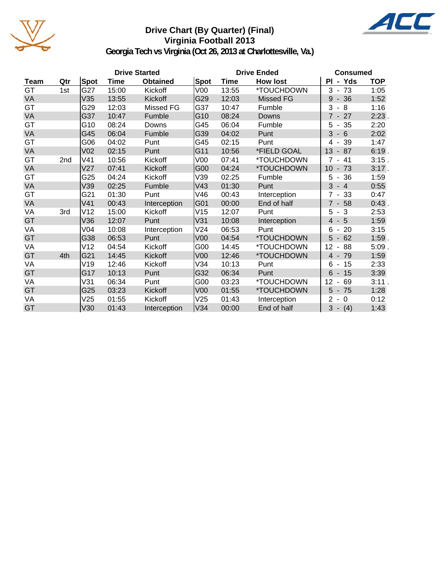

# **Drive Chart (By Quarter) (Final) Virginia Football 2013**



**Georgia Tech vs Virginia (Oct 26, 2013 at Charlottesville, Va.)**

|           |                 |                 |       | <b>Drive Started</b> |                 | <b>Drive Ended</b> | <b>Consumed</b> |                                              |            |
|-----------|-----------------|-----------------|-------|----------------------|-----------------|--------------------|-----------------|----------------------------------------------|------------|
| Team      | Qtr             | <b>Spot</b>     | Time  | <b>Obtained</b>      | Spot            | Time               | <b>How lost</b> | PI - Yds                                     | <b>TOP</b> |
| GT        | 1st             | G27             | 15:00 | Kickoff              | V <sub>00</sub> | 13:55              | *TOUCHDOWN      | $3 - 73$                                     | 1:05       |
| <b>VA</b> |                 | V35             | 13:55 | Kickoff              | G29             | 12:03              | Missed FG       | 9<br>$-36$                                   | 1:52       |
| GT        |                 | G29             | 12:03 | Missed FG            | G37             | 10:47              | Fumble          | 3<br>8<br>$\blacksquare$                     | 1:16       |
| <b>VA</b> |                 | G37             | 10:47 | Fumble               | G10             | 08:24              | Downs           | $7 - 27$                                     | 2:23       |
| GT        |                 | G10             | 08:24 | Downs                | G45             | 06:04              | Fumble          | $-35$<br>5                                   | 2:20       |
| VA        |                 | G45             | 06:04 | Fumble               | G39             | 04:02              | Punt            | 3<br>$-6$                                    | 2:02       |
| GT        |                 | G06             | 04:02 | Punt                 | G45             | 02:15              | Punt            | 39<br>4<br>$\blacksquare$                    | 1:47       |
| VA        |                 | V <sub>02</sub> | 02:15 | Punt                 | G11             | 10:56              | *FIELD GOAL     | 13<br>$-87$                                  | 6:19.      |
| GT        | 2 <sub>nd</sub> | V <sub>41</sub> | 10:56 | Kickoff              | V <sub>00</sub> | 07:41              | *TOUCHDOWN      | $-41$<br>$\overline{7}$                      | 3:15.      |
| VA        |                 | V27             | 07:41 | Kickoff              | G <sub>00</sub> | 04:24              | *TOUCHDOWN      | 10<br>73<br>$\overline{\phantom{a}}$         | 3:17.      |
| GT        |                 | G25             | 04:24 | Kickoff              | V39             | 02:25              | Fumble          | 5<br>36<br>$\blacksquare$                    | 1:59       |
| VA        |                 | V39             | 02:25 | Fumble               | V43             | 01:30              | Punt            | 3<br>$-4$                                    | 0:55       |
| GТ        |                 | G21             | 01:30 | Punt                 | V46             | 00:43              | Interception    | $7 -$<br>33                                  | 0:47       |
| VA        |                 | V <sub>41</sub> | 00:43 | Interception         | G <sub>01</sub> | 00:00              | End of half     | $7 - 58$                                     | $0:43$ .   |
| VA        | 3rd             | V12             | 15:00 | Kickoff              | V15             | 12:07              | Punt            | 5<br>$-3$                                    | 2:53       |
| GT        |                 | V36             | 12:07 | Punt                 | V31             | 10:08              | Interception    | $-5$<br>4                                    | 1:59       |
| VA        |                 | V04             | 10:08 | Interception         | V24             | 06:53              | Punt            | 6<br>20                                      | 3:15       |
| GT        |                 | G38             | 06:53 | Punt                 | V <sub>00</sub> | 04:54              | *TOUCHDOWN      | 5<br>62<br>$\blacksquare$                    | 1:59.      |
| VA        |                 | V12             | 04:54 | Kickoff              | G <sub>00</sub> | 14:45              | *TOUCHDOWN      | 12<br>88<br>$\blacksquare$                   | 5:09.      |
| <b>GT</b> | 4th             | G21             | 14:45 | Kickoff              | V <sub>00</sub> | 12:46              | *TOUCHDOWN      | $4 - 79$                                     | 1:59       |
| VA        |                 | V19             | 12:46 | Kickoff              | V34             | 10:13              | Punt            | 6<br>15<br>$\sim$                            | 2:33       |
| GT        |                 | G17             | 10:13 | Punt                 | G32             | 06:34              | Punt            | 6<br>$-15$                                   | 3:39       |
| VA        |                 | V31             | 06:34 | Punt                 | G00             | 03:23              | *TOUCHDOWN      | 69<br>12                                     | 3:11.      |
| GT        |                 | G25             | 03:23 | Kickoff              | V <sub>00</sub> | 01:55              | *TOUCHDOWN      | $5 - 75$                                     | 1:28       |
| VA        |                 | V25             | 01:55 | Kickoff              | V25             | 01:43              | Interception    | $\overline{2}$<br>$\Omega$<br>$\blacksquare$ | 0:12       |
| <b>GT</b> |                 | V30             | 01:43 | Interception         | V34             | 00:00              | End of half     | $3 - (4)$                                    | 1:43       |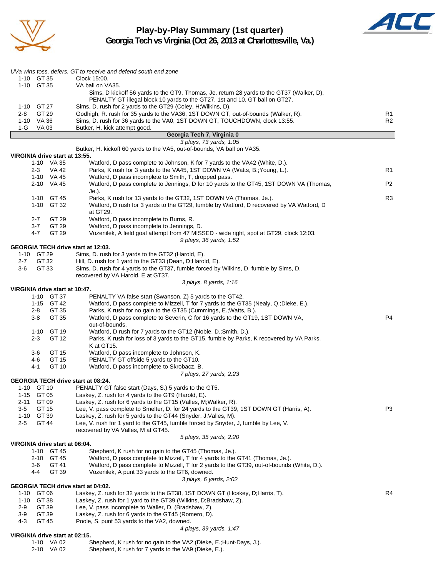

**Play-by-Play Summary (1st quarter) Georgia Tech vs Virginia (Oct 26, 2013 at Charlottesville, Va.)**



|                  |                          |                                | UVa wins toss, defers. GT to receive and defend south end zone                                                                                                              |                |
|------------------|--------------------------|--------------------------------|-----------------------------------------------------------------------------------------------------------------------------------------------------------------------------|----------------|
|                  | 1-10 GT 35<br>1-10 GT 35 |                                | Clock 15:00.<br>VA ball on VA35.                                                                                                                                            |                |
|                  |                          |                                | Sims, D kickoff 56 yards to the GT9, Thomas, Je. return 28 yards to the GT37 (Walker, D),<br>PENALTY GT illegal block 10 yards to the GT27, 1st and 10, GT ball on GT27.    |                |
|                  | 1-10 GT 27               |                                | Sims, D. rush for 2 yards to the GT29 (Coley, H; Wilkins, D).                                                                                                               |                |
| 2-8              | GT 29                    |                                | Godhigh, R. rush for 35 yards to the VA36, 1ST DOWN GT, out-of-bounds (Walker, R).                                                                                          | R1             |
| 1-G              | 1-10 VA 36<br>VA 03      |                                | Sims, D. rush for 36 yards to the VA0, 1ST DOWN GT, TOUCHDOWN, clock 13:55.<br>Butker, H. kick attempt good.                                                                | R <sub>2</sub> |
|                  |                          |                                | Georgia Tech 7, Virginia 0                                                                                                                                                  |                |
|                  |                          |                                | 3 plays, 73 yards, 1:05                                                                                                                                                     |                |
|                  |                          | VIRGINIA drive start at 13:55. | Butker, H. kickoff 60 yards to the VA5, out-of-bounds, VA ball on VA35.                                                                                                     |                |
|                  |                          | 1-10 VA 35                     | Watford, D pass complete to Johnson, K for 7 yards to the VA42 (White, D.).                                                                                                 |                |
|                  | $2 - 3$                  | VA 42                          | Parks, K rush for 3 yards to the VA45, 1ST DOWN VA (Watts, B.; Young, L.).                                                                                                  | R <sub>1</sub> |
|                  |                          | 1-10 VA 45                     | Watford, D pass incomplete to Smith, T, dropped pass.                                                                                                                       |                |
|                  |                          | 2-10 VA 45                     | Watford, D pass complete to Jennings, D for 10 yards to the GT45, 1ST DOWN VA (Thomas,<br>Je.).                                                                             | P <sub>2</sub> |
|                  |                          | 1-10 GT 45<br>1-10 GT 32       | Parks, K rush for 13 yards to the GT32, 1ST DOWN VA (Thomas, Je.).<br>Watford, D rush for 3 yards to the GT29, fumble by Watford, D recovered by VA Watford, D              | R3             |
|                  | $2 - 7$                  | GT 29                          | at GT29.<br>Watford, D pass incomplete to Burns, R.                                                                                                                         |                |
|                  | $3 - 7$                  | GT 29                          | Watford, D pass incomplete to Jennings, D.                                                                                                                                  |                |
|                  | 4-7                      | GT 29                          | Vozenilek, A field goal attempt from 47 MISSED - wide right, spot at GT29, clock 12:03.                                                                                     |                |
|                  |                          |                                | 9 plays, 36 yards, 1:52<br><b>GEORGIA TECH drive start at 12:03.</b>                                                                                                        |                |
|                  | 1-10 GT 29               |                                | Sims, D. rush for 3 yards to the GT32 (Harold, E).                                                                                                                          |                |
| $2 - 7$          | GT 32                    |                                | Hill, D. rush for 1 yard to the GT33 (Dean, D; Harold, E).                                                                                                                  |                |
| $3-6$            | GT 33                    |                                | Sims, D. rush for 4 yards to the GT37, fumble forced by Wilkins, D, fumble by Sims, D.<br>recovered by VA Harold, E at GT37.                                                |                |
|                  |                          |                                | 3 plays, 8 yards, 1:16                                                                                                                                                      |                |
|                  |                          | VIRGINIA drive start at 10:47. |                                                                                                                                                                             |                |
|                  |                          | 1-10 GT 37                     | PENALTY VA false start (Swanson, Z) 5 yards to the GT42.                                                                                                                    |                |
|                  | 2-8                      | 1-15 GT 42<br>GT 35            | Watford, D pass complete to Mizzell, T for 7 yards to the GT35 (Nealy, Q.;Dieke, E.).<br>Parks, K rush for no gain to the GT35 (Cummings, E.; Watts, B.).                   |                |
|                  | $3-8$                    | GT 35                          | Watford, D pass complete to Severin, C for 16 yards to the GT19, 1ST DOWN VA,                                                                                               | P4             |
|                  |                          |                                | out-of-bounds.                                                                                                                                                              |                |
|                  | $2 - 3$                  | 1-10 GT 19<br>GT 12            | Watford, D rush for 7 yards to the GT12 (Noble, D.; Smith, D.).<br>Parks, K rush for loss of 3 yards to the GT15, fumble by Parks, K recovered by VA Parks,                 |                |
|                  |                          |                                | K at GT15.                                                                                                                                                                  |                |
|                  | 3-6                      | GT 15                          | Watford, D pass incomplete to Johnson, K.                                                                                                                                   |                |
|                  | 4-6                      | GT 15                          | PENALTY GT offside 5 yards to the GT10.                                                                                                                                     |                |
|                  | 4-1                      | GT 10                          | Watford, D pass incomplete to Skrobacz, B.<br>7 plays, 27 yards, 2:23                                                                                                       |                |
|                  |                          |                                | <b>GEORGIA TECH drive start at 08:24.</b>                                                                                                                                   |                |
|                  | 1-10 GT 10               |                                | PENALTY GT false start (Days, S.) 5 yards to the GT5.                                                                                                                       |                |
| $1 - 15$<br>2-11 | GT 05<br>GT 09           |                                | Laskey, Z. rush for 4 yards to the GT9 (Harold, E).<br>Laskey, Z. rush for 6 yards to the GT15 (Valles, M; Walker, R).                                                      |                |
| 3-5              | GT 15                    |                                | Lee, V. pass complete to Smelter, D. for 24 yards to the GT39, 1ST DOWN GT (Harris, A).                                                                                     | P3             |
| $1 - 10$         | GT 39                    |                                | Laskey, Z. rush for 5 yards to the GT44 (Snyder, J; Valles, M).                                                                                                             |                |
| $2 - 5$          | GT 44                    |                                | Lee, V. rush for 1 yard to the GT45, fumble forced by Snyder, J, fumble by Lee, V.                                                                                          |                |
|                  |                          |                                | recovered by VA Valles, M at GT45.<br>5 plays, 35 yards, 2:20                                                                                                               |                |
|                  |                          | VIRGINIA drive start at 06:04. |                                                                                                                                                                             |                |
|                  |                          | 1-10 GT 45                     | Shepherd, K rush for no gain to the GT45 (Thomas, Je.).                                                                                                                     |                |
|                  | $2 - 10$<br>3-6          | GT 45<br>GT 41                 | Watford, D pass complete to Mizzell, T for 4 yards to the GT41 (Thomas, Je.).<br>Watford, D pass complete to Mizzell, T for 2 yards to the GT39, out-of-bounds (White, D.). |                |
|                  | 44                       | GT 39                          | Vozenilek, A punt 33 yards to the GT6, downed.                                                                                                                              |                |
|                  |                          |                                | 3 plays, 6 yards, 2:02                                                                                                                                                      |                |
|                  |                          |                                | GEORGIA TECH drive start at 04:02.                                                                                                                                          |                |
| 1-10<br>$1 - 10$ | GT 06<br>GT 38           |                                | Laskey, Z. rush for 32 yards to the GT38, 1ST DOWN GT (Hoskey, D; Harris, T).<br>Laskey, Z. rush for 1 yard to the GT39 (Wilkins, D;Bradshaw, Z).                           | R4             |
| $2-9$            | GT 39                    |                                | Lee, V. pass incomplete to Waller, D. (Bradshaw, Z).                                                                                                                        |                |
| $3-9$            | GT 39                    |                                | Laskey, Z. rush for 6 yards to the GT45 (Romero, D).                                                                                                                        |                |
| $4 - 3$          | GT 45                    |                                | Poole, S. punt 53 yards to the VA2, downed.<br>4 plays, 39 yards, 1:47                                                                                                      |                |
|                  |                          | VIRGINIA drive start at 02:15. |                                                                                                                                                                             |                |

| 1-10 VA 02 | Shepherd, K rush for no gain to the VA2 (Dieke, E.; Hunt-Days, J.). |
|------------|---------------------------------------------------------------------|
| 2-10 VA 02 | Shepherd, K rush for 7 yards to the VA9 (Dieke, E.).                |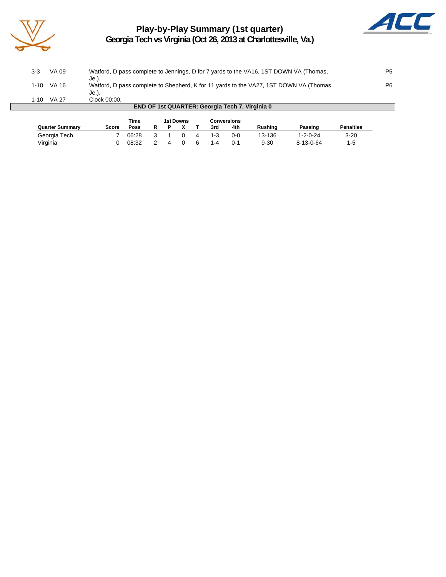

# **Play-by-Play Summary (1st quarter) Georgia Tech vs Virginia (Oct 26, 2013 at Charlottesville, Va.)**



| 1-10<br><b>END OF 1st QUARTER: Georgia Tech 7, Virginia 0</b> |              |                                                                                                 |                |  |  |  |  |
|---------------------------------------------------------------|--------------|-------------------------------------------------------------------------------------------------|----------------|--|--|--|--|
|                                                               | <b>VA 27</b> | Je.).<br>Clock 00:00.                                                                           |                |  |  |  |  |
| 1-10                                                          | VA 16        | Je.).<br>Watford, D pass complete to Shepherd, K for 11 yards to the VA27, 1ST DOWN VA (Thomas, | P <sub>6</sub> |  |  |  |  |
| 3-3                                                           | VA 09        | Watford, D pass complete to Jennings, D for 7 yards to the VA16, 1ST DOWN VA (Thomas,           | P5             |  |  |  |  |

|                        |       | Time  |   | 1st Downs |         | <b>Conversions</b> |                |                   |                  |
|------------------------|-------|-------|---|-----------|---------|--------------------|----------------|-------------------|------------------|
| <b>Quarter Summary</b> | Score | Poss  |   |           | 3rd     | 4th                | <b>Rushing</b> | Passing           | <b>Penalties</b> |
| Georgia Tech           |       | 06:28 | 3 |           | $1 - 3$ | $0 - 0$            | 13-136         | $1 - 2 - 0 - 24$  | $3 - 20$         |
| Virginia               |       | 08:32 |   |           | $1 - 4$ | $0 - 1$            | $9 - 30$       | $8 - 13 - 0 - 64$ | $1-5$            |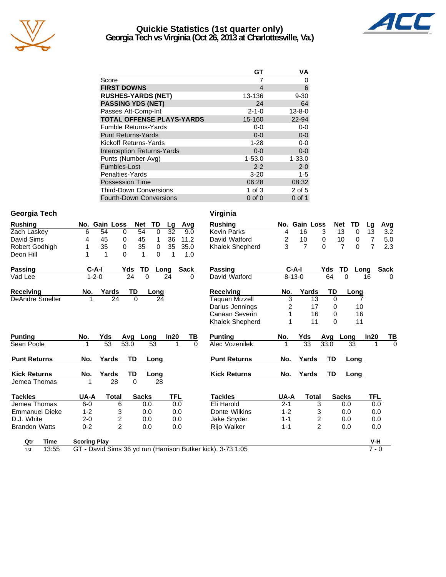

## **Quickie Statistics (1st quarter only) Georgia Tech vs Virginia (Oct 26, 2013 at Charlottesville, Va.)**



| GT          | ٧A           |
|-------------|--------------|
|             | O            |
| 4           | 6            |
| 13-136      | $9 - 30$     |
| 24          | 64           |
| $2 - 1 - 0$ | $13 - 8 - 0$ |
| 15-160      | 22-94        |
| $0 - 0$     | $0-0$        |
| $0 - 0$     | $0-0$        |
| $1 - 28$    | $0-0$        |
| $0 - 0$     | $0-0$        |
| 1-53.0      | $1 - 33.0$   |
| $2 - 2$     | $2 - 0$      |
| $3 - 20$    | $1 - 5$      |
| 06:28       | 08:32        |
| $1$ of $3$  | 2 of 5       |
| $0$ of $0$  | $0$ of 1     |
|             |              |

#### **Georgia Tech Virginia**

| <b>Rushing</b>         | No. Gain Loss<br><b>TD</b><br><b>Net</b><br>Avg<br>Lg       | <b>Rushing</b>                           | No. Gain Loss        | <b>Net</b><br>TD                       | Avg<br>Lg             |
|------------------------|-------------------------------------------------------------|------------------------------------------|----------------------|----------------------------------------|-----------------------|
| Zach Laskey            | 54<br>54<br>32<br>6<br>$\Omega$<br>9.0<br>$\Omega$          | <b>Kevin Parks</b><br>4                  | 16                   | 3<br>13<br>$\Omega$                    | 13<br>3.2             |
| David Sims             | 45<br>0<br>45<br>36<br>11.2<br>4<br>1                       | $\overline{\mathbf{c}}$<br>David Watford | 10                   | 10<br>$\mathbf 0$<br>0                 | $\overline{7}$<br>5.0 |
| <b>Robert Godhigh</b>  | 35<br>$\Omega$<br>35<br>$\Omega$<br>35<br>35.0<br>1         | 3<br><b>Khalek Shepherd</b>              | $\overline{7}$       | $\overline{7}$<br>$\Omega$<br>$\Omega$ | $\overline{7}$<br>2.3 |
| Deon Hill              | $\Omega$<br>1<br>1<br>$\Omega$<br>1<br>1<br>1.0             |                                          |                      |                                        |                       |
| <b>Passing</b>         | $C-A-I$<br>TD.<br>Yds<br><b>Sack</b><br>Long                | <b>Passing</b>                           | $C-A-I$              | <b>TD</b><br>Yds                       | <b>Sack</b><br>Long   |
| Vad Lee                | 24<br>$1 - 2 - 0$<br>$\Omega$<br>24<br>$\Omega$             | David Watford                            | $8 - 13 - 0$         | $\Omega$<br>64                         | 16<br>$\Omega$        |
| <b>Receiving</b>       | TD<br>Yards<br>No.<br>Long                                  | <b>Receiving</b><br>No.                  | Yards                | <b>TD</b><br>Long                      |                       |
| <b>DeAndre Smelter</b> | $\overline{24}$<br>$\Omega$<br>24                           | <b>Taquan Mizzell</b>                    | $\overline{3}$<br>13 | $\Omega$<br>7                          |                       |
|                        |                                                             | Darius Jennings                          | 2<br>17              | 10<br>0                                |                       |
|                        |                                                             | Canaan Severin                           | 16                   | 16<br>0                                |                       |
|                        |                                                             | <b>Khalek Shepherd</b>                   | 11                   | $\Omega$<br>11                         |                       |
| <b>Punting</b>         | Yds<br><u>ТВ</u><br>No.<br>In20<br>Long<br>Avq              | <b>Punting</b><br>No.                    | Yds                  | Avg<br>Long                            | ln20<br>ТВ            |
| Sean Poole             | 53<br>53.0<br>53<br>$\Omega$                                | Alec Vozenilek                           | $\overline{33}$      | 33.0<br>$\overline{33}$                | $\Omega$              |
| <b>Punt Returns</b>    | <b>TD</b><br>Yards<br>No.<br>Long                           | <b>Punt Returns</b><br>No.               | Yards                | <b>TD</b><br>Long                      |                       |
| <b>Kick Returns</b>    | Yards<br>No.<br>TD<br>Long                                  | <b>Kick Returns</b><br>No.               | Yards                | <b>TD</b><br>Long                      |                       |
| Jemea Thomas           | $\overline{28}$<br>$\Omega$<br>28                           |                                          |                      |                                        |                       |
| <b>Tackles</b>         | <b>Sacks</b><br><b>TFL</b><br>UA-A<br>Total                 | UA-A<br><b>Tackles</b>                   | <b>Total</b>         | <b>Sacks</b>                           | TFL                   |
| Jemea Thomas           | 0.0<br>$6-0$<br>6<br>0.0                                    | Eli Harold<br>$2 - 1$                    | 3                    | 0.0                                    | 0.0                   |
| <b>Emmanuel Dieke</b>  | 3<br>$1 - 2$<br>0.0<br>0.0                                  | $1 - 2$<br>Donte Wilkins                 | 3                    | 0.0                                    | 0.0                   |
| D.J. White             | $\overline{\mathbf{c}}$<br>$2 - 0$<br>0.0<br>0.0            | Jake Snyder<br>$1 - 1$                   | 2                    | 0.0                                    | 0.0                   |
| <b>Brandon Watts</b>   | $\overline{2}$<br>$0 - 2$<br>0.0<br>0.0                     | Rijo Walker<br>$1 - 1$                   | $\overline{2}$       | 0.0                                    | 0.0                   |
| Qtr<br>Time            | <b>Scoring Play</b>                                         |                                          |                      |                                        | V-H                   |
| 13:55<br>1st           | GT - David Sims 36 yd run (Harrison Butker kick), 3-73 1:05 |                                          |                      |                                        | $7 - 0$               |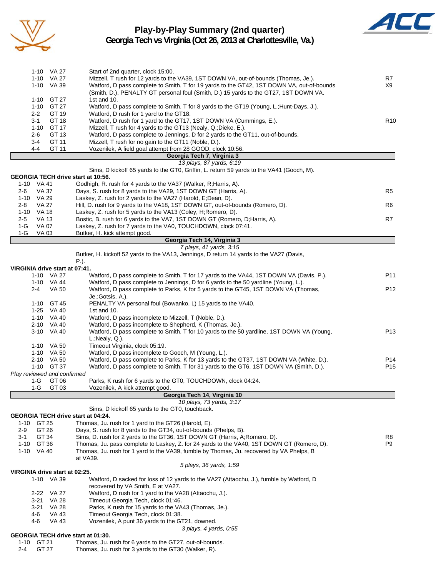

Г

#### **Play-by-Play Summary (2nd quarter) Georgia Tech vs Virginia (Oct 26, 2013 at Charlottesville, Va.)**



|         | 1-10 VA 27   | Start of 2nd quarter, clock 15:00.                                                        |                 |
|---------|--------------|-------------------------------------------------------------------------------------------|-----------------|
|         | $1-10$ VA 27 | Mizzell, T rush for 12 yards to the VA39, 1ST DOWN VA, out-of-bounds (Thomas, Je.).       | R7              |
|         | $1-10$ VA 39 | Watford, D pass complete to Smith, T for 19 yards to the GT42, 1ST DOWN VA, out-of-bounds | X9              |
|         |              | (Smith, D.), PENALTY GT personal foul (Smith, D.) 15 yards to the GT27, 1ST DOWN VA.      |                 |
|         | 1-10 GT 27   | 1st and $10$ .                                                                            |                 |
|         | 1-10 GT 27   | Watford, D pass complete to Smith, T for 8 yards to the GT19 (Young, L.; Hunt-Days, J.).  |                 |
| $2 - 2$ | GT 19        | Watford, D rush for 1 yard to the GT18.                                                   |                 |
| $3 - 1$ | GT 18        | Watford, D rush for 1 yard to the GT17, 1ST DOWN VA (Cummings, E.).                       | R <sub>10</sub> |
|         | 1-10 GT 17   | Mizzell, T rush for 4 yards to the GT13 (Nealy, Q.; Dieke, E.).                           |                 |
| $2 - 6$ | GT 13        | Watford, D pass complete to Jennings, D for 2 yards to the GT11, out-of-bounds.           |                 |
| 3-4     | GT 11        | Mizzell, T rush for no gain to the GT11 (Noble, D.).                                      |                 |
| 4-4     | GT 11        | Vozenilek, A field goal attempt from 28 GOOD, clock 10:56.                                |                 |
|         |              | Georgia Tech 7, Virginia 3                                                                |                 |
|         |              |                                                                                           |                 |

|      |       | 13 plays, 87 yards, 6:19                                                                 |                |
|------|-------|------------------------------------------------------------------------------------------|----------------|
|      |       | Sims, D kickoff 65 vards to the GT0, Griffin, L. return 59 yards to the VA41 (Gooch, M). |                |
|      |       | GEORGIA TECH drive start at 10:56.                                                       |                |
| 1-10 | VA 41 | Godhigh, R. rush for 4 yards to the VA37 (Walker, R; Harris, A).                         |                |
| 2-6  | VA 37 | Days, S. rush for 8 yards to the VA29, 1ST DOWN GT (Harris, A).                          | R <sub>5</sub> |
| 1-10 | VA 29 | Laskey, Z. rush for 2 yards to the VA27 (Harold, E;Dean, D).                             |                |
| 2-8  | VA 27 | Hill, D. rush for 9 yards to the VA18, 1ST DOWN GT, out-of-bounds (Romero, D).           | R <sub>6</sub> |

|         | - - - - - - - - - - - |                                                                             |    |  |  |  |  |  |
|---------|-----------------------|-----------------------------------------------------------------------------|----|--|--|--|--|--|
| 1-G     | VA 03                 | Butker, H. kick attempt good.                                               |    |  |  |  |  |  |
|         | 1-G VA 07             | Laskey, Z. rush for 7 yards to the VA0, TOUCHDOWN, clock 07:41.             |    |  |  |  |  |  |
| $2 - 5$ | VA 13                 | Bostic, B. rush for 6 yards to the VA7, 1ST DOWN GT (Romero, D; Harris, A). | R7 |  |  |  |  |  |
| 1-10    | VA 18                 | Laskey, Z. rush for 5 yards to the VA13 (Coley, H; Romero, D).              |    |  |  |  |  |  |

#### **Georgia Tech 14, Virginia 3** *7 plays, 41 yards, 3:15*

Butker, H. kickoff 52 yards to the VA13, Jennings, D return 14 yards to the VA27 (Davis,

P.). **VIRGINIA drive start at 07:41.** 1-10 VA 27 Watford, D pass complete to Smith, T for 17 yards to the VA44, 1ST DOWN VA (Davis, P.). P11 1-10 VA 44 Watford, D pass complete to Jennings, D for 6 yards to the 50 yardline (Young, L.). 2-4 VA 50 Watford, D pass complete to Parks, K for 5 yards to the GT45, 1ST DOWN VA (Thomas, P12 Je.;Gotsis, A.). 1-10 GT 45 PENALTY VA personal foul (Bowanko, L) 15 yards to the VA40. 1-25 VA 40 1st and 10. 1-10 VA 40 Watford, D pass incomplete to Mizzell, T (Noble, D.). 2-10 VA 40 Watford, D pass incomplete to Shepherd, K (Thomas, Je.). 3-10 VA 40 Watford, D pass complete to Smith, T for 10 yards to the 50 yardline, 1ST DOWN VA (Young, P13 L.;Nealy, Q.). 1-10 VA 50 Timeout Virginia, clock 05:19.<br>1-10 VA 50 Watford. D pass incomplete to 1-10 VA 50 Watford, D pass incomplete to Gooch, M (Young, L.).<br>2-10 VA 50 Watford, D pass complete to Parks, K for 13 yards to Watford, D pass complete to Parks, K for 13 yards to the GT37, 1ST DOWN VA (White, D.). P14 1-10 GT 37 Watford, D pass complete to Smith, T for 31 yards to the GT6, 1ST DOWN VA (Smith, D.). P15 *Play reviewed and confirmed* 1-G GT 06 Parks, K rush for 6 yards to the GT0, TOUCHDOWN, clock 04:24. 1-G GT 03 Vozenilek, A kick attempt good. **Georgia Tech 14, Virginia 10**

*10 plays, 73 yards, 3:17* Sims, D kickoff 65 yards to the GT0, touchback. **GEORGIA TECH drive start at 04:24.** 1-10 GT 25 Thomas, Ju. rush for 1 yard to the GT26 (Harold, E). 2-9 GT 26 Days, S. rush for 8 yards to the GT34, out-of-bounds (Phelps, B). 3-1 GT 34 Sims, D. rush for 2 yards to the GT36, 1ST DOWN GT (Harris, A;Romero, D). R8 1-10 GT 36 Thomas, Ju. pass complete to Laskey, Z. for 24 yards to the VA40, 1ST DOWN GT (Romero, D). P9 1-10 VA 40 Thomas, Ju. rush for 1 yard to the VA39, fumble by Thomas, Ju. recovered by VA Phelps, B at VA39. *5 plays, 36 yards, 1:59* **VIRGINIA drive start at 02:25.** 1-10 VA 39 Watford, D sacked for loss of 12 yards to the VA27 (Attaochu, J.), fumble by Watford, D

recovered by VA Smith, E at VA27. 2-22 VA 27 Watford, D rush for 1 yard to the VA28 (Attaochu, J.). 3-21 VA 28 Timeout Georgia Tech, clock 01:46. 3-21 VA 28 Parks, K rush for 15 yards to the VA43 (Thomas, Je.). 4-6 VA 43 Timeout Georgia Tech, clock 01:38. 4-6 VA 43 Vozenilek, A punt 36 yards to the GT21, downed. *3 plays, 4 yards, 0:55*

#### **GEORGIA TECH drive start at 01:30.**

|  | 1-10 GT 21 | Thomas, Ju. rush for 6 yards to the GT27, out-of-bounds. |  |  |  |  |  |
|--|------------|----------------------------------------------------------|--|--|--|--|--|
|  |            |                                                          |  |  |  |  |  |

2-4 GT 27 Thomas, Ju. rush for 3 yards to the GT30 (Walker, R).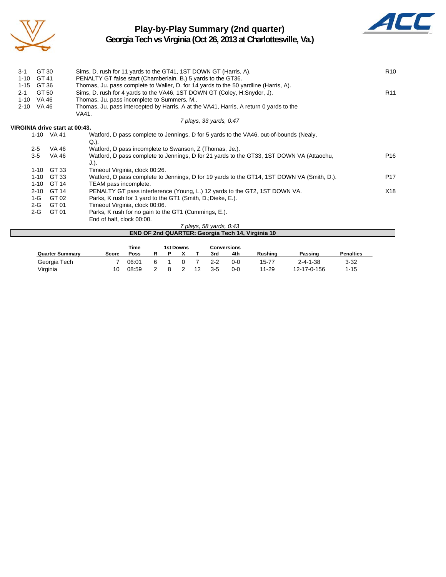

# **Play-by-Play Summary (2nd quarter)**



**Georgia Tech vs Virginia (Oct 26, 2013 at Charlottesville, Va.)**

| $3 - 1$                        | GT 30                                                                                                | Sims, D. rush for 11 yards to the GT41, 1ST DOWN GT (Harris, A).                                 | R <sub>10</sub> |  |  |  |  |  |  |  |
|--------------------------------|------------------------------------------------------------------------------------------------------|--------------------------------------------------------------------------------------------------|-----------------|--|--|--|--|--|--|--|
| $1 - 10$                       | GT 41                                                                                                | PENALTY GT false start (Chamberlain, B.) 5 yards to the GT36.                                    |                 |  |  |  |  |  |  |  |
| $1 - 15$                       | GT 36                                                                                                | Thomas, Ju. pass complete to Waller, D. for 14 yards to the 50 yardline (Harris, A).             |                 |  |  |  |  |  |  |  |
| $2 - 1$                        | GT 50<br>Sims, D. rush for 4 yards to the VA46, 1ST DOWN GT (Coley, H;Snyder, J).<br>R <sub>11</sub> |                                                                                                  |                 |  |  |  |  |  |  |  |
| $1 - 10$                       | VA 46                                                                                                | Thomas, Ju. pass incomplete to Summers, M                                                        |                 |  |  |  |  |  |  |  |
| $2 - 10$                       | VA 46<br>Thomas, Ju. pass intercepted by Harris, A at the VA41, Harris, A return 0 yards to the      |                                                                                                  |                 |  |  |  |  |  |  |  |
|                                |                                                                                                      | VA41.                                                                                            |                 |  |  |  |  |  |  |  |
|                                |                                                                                                      | 7 plays, 33 yards, 0:47                                                                          |                 |  |  |  |  |  |  |  |
| VIRGINIA drive start at 00:43. |                                                                                                      |                                                                                                  |                 |  |  |  |  |  |  |  |
|                                | 1-10 VA 41                                                                                           | Watford, D pass complete to Jennings, D for 5 yards to the VA46, out-of-bounds (Nealy,           |                 |  |  |  |  |  |  |  |
|                                |                                                                                                      | $Q.$ ).                                                                                          |                 |  |  |  |  |  |  |  |
| $2 - 5$                        | VA 46                                                                                                | Watford, D pass incomplete to Swanson, Z (Thomas, Je.).                                          |                 |  |  |  |  |  |  |  |
| $3-5$                          | VA 46                                                                                                | Watford, D pass complete to Jennings, D for 21 yards to the GT33, 1ST DOWN VA (Attaochu,<br>J.). | P <sub>16</sub> |  |  |  |  |  |  |  |
| $1 - 10$                       | GT 33                                                                                                | Timeout Virginia, clock 00:26.                                                                   |                 |  |  |  |  |  |  |  |
| $1 - 10$                       | GT 33                                                                                                | Watford, D pass complete to Jennings, D for 19 yards to the GT14, 1ST DOWN VA (Smith, D.).       | P <sub>17</sub> |  |  |  |  |  |  |  |
| $1 - 10$                       | GT 14                                                                                                | TEAM pass incomplete.                                                                            |                 |  |  |  |  |  |  |  |
| $2 - 10$                       | GT 14                                                                                                | PENALTY GT pass interference (Young, L.) 12 yards to the GT2, 1ST DOWN VA.                       | X18             |  |  |  |  |  |  |  |
| 1-G                            | GT 02                                                                                                | Parks, K rush for 1 yard to the GT1 (Smith, D.; Dieke, E.).                                      |                 |  |  |  |  |  |  |  |
| $2-G$                          | GT 01                                                                                                | Timeout Virginia, clock 00:06.                                                                   |                 |  |  |  |  |  |  |  |
| $2-G$                          | GT 01                                                                                                | Parks, K rush for no gain to the GT1 (Cummings, E.).                                             |                 |  |  |  |  |  |  |  |
|                                |                                                                                                      | End of half, clock 00:00.                                                                        |                 |  |  |  |  |  |  |  |
|                                |                                                                                                      | 7 plays, 58 yards, 0:43                                                                          |                 |  |  |  |  |  |  |  |
|                                |                                                                                                      | <b>END OF 2nd QUARTER: Georgia Tech 14, Virginia 10</b>                                          |                 |  |  |  |  |  |  |  |

|                        | Time  |       | 1st Downs |  | <b>Conversions</b> |         |                |                  |                  |
|------------------------|-------|-------|-----------|--|--------------------|---------|----------------|------------------|------------------|
| <b>Quarter Summary</b> | Score | Poss  |           |  | 3rd                | 4th     | <b>Rushing</b> | Passing          | <b>Penalties</b> |
| Georgia Tech           |       | 06:01 |           |  | 2-2                | 0-0     | 15-77          | $2 - 4 - 1 - 38$ | $3 - 32$         |
| Virginia               | 10    | 08:59 |           |  | 3-5                | $0 - 0$ | 11-29          | 12-17-0-156      | $1 - 15$         |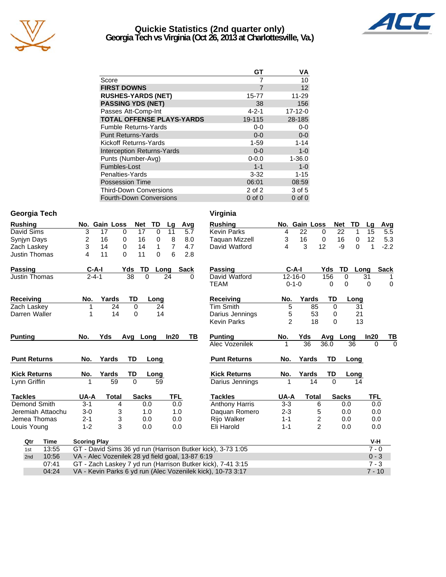

#### **Quickie Statistics (2nd quarter only) Georgia Tech vs Virginia (Oct 26, 2013 at Charlottesville, Va.)**



|                                   | GT          | ٧Α            |
|-----------------------------------|-------------|---------------|
| Score                             |             | 10            |
| <b>FIRST DOWNS</b>                | 7           | 12            |
| <b>RUSHES-YARDS (NET)</b>         | 15-77       | $11 - 29$     |
| <b>PASSING YDS (NET)</b>          | 38          | 156           |
| Passes Att-Comp-Int               | $4 - 2 - 1$ | $17 - 12 - 0$ |
| <b>TOTAL OFFENSE PLAYS-YARDS</b>  | 19-115      | 28-185        |
| <b>Fumble Returns-Yards</b>       | $0 - 0$     | $0-0$         |
| <b>Punt Returns-Yards</b>         | $0 - 0$     | $0-0$         |
| Kickoff Returns-Yards             | $1 - 59$    | $1 - 14$      |
| <b>Interception Returns-Yards</b> | $0 - 0$     | $1-0$         |
| Punts (Number-Avg)                | $0 - 0.0$   | $1 - 36.0$    |
| Fumbles-Lost                      | $1 - 1$     | $1-0$         |
| Penalties-Yards                   | $3 - 32$    | $1 - 15$      |
| <b>Possession Time</b>            | 06:01       | 08:59         |
| <b>Third-Down Conversions</b>     | $2$ of $2$  | 3 of 5        |
| <b>Fourth-Down Conversions</b>    | $0$ of $0$  | $0$ of $0$    |

#### **Georgia Tech Virginia**

| <b>Rushing</b>                                                       |                   |                                                  | No. Gain Loss |                                                             | <b>Net</b>     | <b>TD</b> | Lg   | Avg  | <b>Rushing</b>                                              |                | No. Gain Loss   |                | <b>Net</b> | TD                | Lg           | Avg         |
|----------------------------------------------------------------------|-------------------|--------------------------------------------------|---------------|-------------------------------------------------------------|----------------|-----------|------|------|-------------------------------------------------------------|----------------|-----------------|----------------|------------|-------------------|--------------|-------------|
| David Sims                                                           |                   | 3                                                | 17            | 0                                                           | 17             | $\Omega$  | 11   | 5.7  | <b>Kevin Parks</b>                                          | 4              | 22              | 0              |            | 22<br>1           | 15           | 5.5         |
| Synjyn Days                                                          |                   | 2                                                | 16            | 0                                                           | 16             | 0         | 8    | 8.0  | <b>Taquan Mizzell</b>                                       | 3              | 16              | $\mathbf 0$    |            | 16<br>$\mathbf 0$ | 12           | 5.3         |
| Zach Laskey                                                          |                   | 3                                                | 14            | 0                                                           | 14             | 1         | 7    | 4.7  | David Watford                                               | 4              | 3               | 12             |            | -9<br>$\Omega$    | $\mathbf{1}$ | $-2.2$      |
| Justin Thomas                                                        |                   | 4                                                | 11            | $\Omega$                                                    | 11             | 0         | 6    | 2.8  |                                                             |                |                 |                |            |                   |              |             |
| Passing                                                              |                   |                                                  | $C-A-I$       | Yds                                                         | TD             |           | Long | Sack | <b>Passing</b>                                              |                | $C-A-I$         |                | Yds        | TD                | Long         | <b>Sack</b> |
| Justin Thomas                                                        |                   |                                                  | $2 - 4 - 1$   |                                                             | 38<br>$\Omega$ |           | 24   | 0    | David Watford                                               |                | $12 - 16 - 0$   |                | 156        | $\Omega$          | 31           |             |
|                                                                      |                   |                                                  |               |                                                             |                |           |      |      | <b>TEAM</b>                                                 |                | $0 - 1 - 0$     |                | 0          | 0                 | $\Omega$     | $\mathbf 0$ |
| Receiving                                                            |                   | No.                                              | Yards         |                                                             | TD             | Long      |      |      | <b>Receiving</b>                                            | No.            |                 | Yards          | TD         | Long              |              |             |
| Zach Laskey                                                          |                   |                                                  |               | 24                                                          | 0              | 24        |      |      | Tim Smith                                                   | 5              |                 | 85             | $\Omega$   | 31                |              |             |
| Darren Waller                                                        |                   |                                                  |               | 14                                                          | 0              | 14        |      |      | Darius Jennings                                             | 5              |                 | 53             | 0          | 21                |              |             |
|                                                                      |                   |                                                  |               |                                                             |                |           |      |      | <b>Kevin Parks</b>                                          | $\mathfrak{p}$ |                 | 18             | 0          | 13                |              |             |
| Puntina                                                              |                   | No.                                              | Yds           |                                                             | Avg Long       |           | In20 | TВ   | <b>Punting</b>                                              | No.            | Yds             |                | Avg        | Long              | In20         | TB          |
|                                                                      |                   |                                                  |               |                                                             |                |           |      |      | Alec Vozenilek                                              |                | $\overline{36}$ |                | 36.0       | 36                | $\Omega$     | $\Omega$    |
| <b>Punt Returns</b>                                                  |                   | No.                                              | Yards         |                                                             | <b>TD</b>      | Long      |      |      | <b>Punt Returns</b>                                         | No.            | Yards           |                | TD         | Long              |              |             |
| <b>Kick Returns</b>                                                  |                   | No.                                              | Yards         |                                                             | TD             | Long      |      |      | <b>Kick Returns</b>                                         | No.            |                 | Yards          | TD         | Long              |              |             |
| Lynn Griffin                                                         |                   | 1                                                |               | 59                                                          | $\mathbf{0}$   | 59        |      |      | Darius Jennings                                             |                |                 | 14             | $\Omega$   | 14                |              |             |
| <b>Tackles</b>                                                       |                   | UA-A                                             |               | <b>Total</b>                                                | <b>Sacks</b>   |           | TFL  |      | <b>Tackles</b>                                              | UA-A           |                 | <b>Total</b>   |            | <b>Sacks</b>      | <b>TFL</b>   |             |
| Demond Smith                                                         |                   | $3 - 1$                                          |               | 4                                                           |                | 0.0       |      | 0.0  | <b>Anthony Harris</b>                                       | $3 - 3$        |                 | 6              |            | 0.0               | 0.0          |             |
|                                                                      | Jeremiah Attaochu | $3-0$                                            |               | 3                                                           |                | 1.0       |      | 1.0  | Daguan Romero                                               | $2 - 3$        |                 | 5              |            | 0.0               | 0.0          |             |
| Jemea Thomas                                                         |                   | $2 - 1$                                          |               | 3                                                           | 0.0            |           |      | 0.0  | Rijo Walker                                                 | $1 - 1$        |                 | 2              |            | 0.0               | 0.0          |             |
| Louis Young                                                          |                   | $1 - 2$                                          |               | 3                                                           | 0.0            |           |      | 0.0  | Eli Harold                                                  | $1 - 1$        |                 | $\overline{2}$ |            | 0.0               | 0.0          |             |
| Qtr                                                                  | <b>Time</b>       | <b>Scoring Play</b>                              |               |                                                             |                |           |      |      |                                                             |                |                 |                |            |                   | V-H          |             |
| 1st                                                                  | 13:55             |                                                  |               |                                                             |                |           |      |      | GT - David Sims 36 yd run (Harrison Butker kick), 3-73 1:05 |                |                 |                |            |                   | $7 - 0$      |             |
| 2nd                                                                  | 10:56             | VA - Alec Vozenilek 28 yd field goal, 13-87 6:19 |               |                                                             |                |           |      |      |                                                             |                |                 |                |            |                   | $0 - 3$      |             |
| 07:41<br>GT - Zach Laskey 7 yd run (Harrison Butker kick), 7-41 3:15 |                   |                                                  |               |                                                             |                |           |      |      |                                                             |                |                 |                | $7 - 3$    |                   |              |             |
|                                                                      | 04:24             |                                                  |               | VA - Kevin Parks 6 yd run (Alec Vozenilek kick), 10-73 3:17 |                |           |      |      |                                                             | $7 - 10$       |                 |                |            |                   |              |             |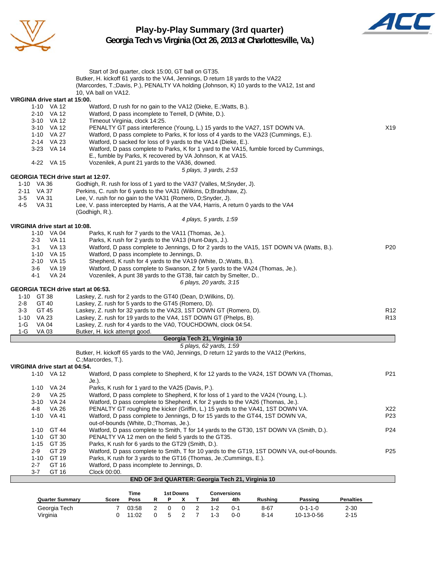

#### **Play-by-Play Summary (3rd quarter) Georgia Tech vs Virginia (Oct 26, 2013 at Charlottesville, Va.)**



|                                                  | Start of 3rd quarter, clock 15:00, GT ball on GT35.                                                                                                       |                  |
|--------------------------------------------------|-----------------------------------------------------------------------------------------------------------------------------------------------------------|------------------|
|                                                  | Butker, H. kickoff 61 yards to the VA4, Jennings, D return 18 yards to the VA22                                                                           |                  |
|                                                  | (Marcordes, T.;Davis, P.), PENALTY VA holding (Johnson, K) 10 yards to the VA12, 1st and                                                                  |                  |
| VIRGINIA drive start at 15:00.                   | 10, VA ball on VA12.                                                                                                                                      |                  |
| 1-10 VA 12                                       | Watford, D rush for no gain to the VA12 (Dieke, E.; Watts, B.).                                                                                           |                  |
| 2-10 VA 12                                       | Watford, D pass incomplete to Terrell, D (White, D.).                                                                                                     |                  |
| 3-10 VA 12                                       | Timeout Virginia, clock 14:25.                                                                                                                            |                  |
| 3-10 VA 12                                       | PENALTY GT pass interference (Young, L.) 15 yards to the VA27, 1ST DOWN VA.                                                                               | X19              |
| 1-10 VA 27                                       | Watford, D pass complete to Parks, K for loss of 4 yards to the VA23 (Cummings, E.).                                                                      |                  |
| 2-14 VA 23<br>3-23 VA 14                         | Watford, D sacked for loss of 9 yards to the VA14 (Dieke, E.).<br>Watford, D pass complete to Parks, K for 1 yard to the VA15, fumble forced by Cummings, |                  |
|                                                  | E., fumble by Parks, K recovered by VA Johnson, K at VA15.                                                                                                |                  |
| 4-22 VA 15                                       | Vozenilek, A punt 21 yards to the VA36, downed.                                                                                                           |                  |
|                                                  | 5 plays, 3 yards, 2:53                                                                                                                                    |                  |
| GEORGIA TECH drive start at 12:07.               |                                                                                                                                                           |                  |
| 1-10 VA 36                                       | Godhigh, R. rush for loss of 1 yard to the VA37 (Valles, M;Snyder, J).                                                                                    |                  |
| 2-11 VA 37<br>$3-5$<br>VA 31                     | Perkins, C. rush for 6 yards to the VA31 (Wilkins, D;Bradshaw, Z).<br>Lee, V. rush for no gain to the VA31 (Romero, D;Snyder, J).                         |                  |
| 4-5<br><b>VA 31</b>                              | Lee, V. pass intercepted by Harris, A at the VA4, Harris, A return 0 yards to the VA4                                                                     |                  |
|                                                  | (Godhigh, R.).                                                                                                                                            |                  |
|                                                  | 4 plays, 5 yards, 1:59                                                                                                                                    |                  |
| VIRGINIA drive start at 10:08.                   |                                                                                                                                                           |                  |
| 1-10 VA 04                                       | Parks, K rush for 7 yards to the VA11 (Thomas, Je.).                                                                                                      |                  |
| <b>VA 11</b><br>2-3<br>$3 - 1$<br><b>VA 13</b>   | Parks, K rush for 2 yards to the VA13 (Hunt-Days, J.).<br>Watford, D pass complete to Jennings, D for 2 yards to the VA15, 1ST DOWN VA (Watts, B.).       | P <sub>20</sub>  |
| 1-10 VA 15                                       | Watford, D pass incomplete to Jennings, D.                                                                                                                |                  |
| 2-10 VA 15                                       | Shepherd, K rush for 4 yards to the VA19 (White, D.; Watts, B.).                                                                                          |                  |
| <b>VA 19</b><br>3-6                              | Watford, D pass complete to Swanson, Z for 5 yards to the VA24 (Thomas, Je.).                                                                             |                  |
| <b>VA 24</b><br>4-1                              | Vozenilek, A punt 38 yards to the GT38, fair catch by Smelter, D                                                                                          |                  |
|                                                  | 6 plays, 20 yards, 3:15                                                                                                                                   |                  |
| GEORGIA TECH drive start at 06:53.<br>1-10 GT 38 | Laskey, Z. rush for 2 yards to the GT40 (Dean, D; Wilkins, D).                                                                                            |                  |
| $2 - 8$<br>GT 40                                 | Laskey, Z. rush for 5 yards to the GT45 (Romero, D).                                                                                                      |                  |
| GT 45<br>3-3                                     | Laskey, Z. rush for 32 yards to the VA23, 1ST DOWN GT (Romero, D).                                                                                        | R <sub>12</sub>  |
| 1-10 VA 23                                       | Laskey, Z. rush for 19 yards to the VA4, 1ST DOWN GT (Phelps, B).                                                                                         | R <sub>13</sub>  |
| $1-G$<br>VA 04                                   | Laskey, Z. rush for 4 yards to the VA0, TOUCHDOWN, clock 04:54.                                                                                           |                  |
| $1-G$<br>VA 03                                   | Butker, H. kick attempt good.                                                                                                                             |                  |
|                                                  | Georgia Tech 21, Virginia 10<br>5 plays, 62 yards, 1:59                                                                                                   |                  |
|                                                  | Butker, H. kickoff 65 yards to the VA0, Jennings, D return 12 yards to the VA12 (Perkins,                                                                 |                  |
|                                                  | C.; Marcordes, T.).                                                                                                                                       |                  |
| VIRGINIA drive start at 04:54.                   |                                                                                                                                                           |                  |
| 1-10 VA 12                                       | Watford, D pass complete to Shepherd, K for 12 yards to the VA24, 1ST DOWN VA (Thomas,                                                                    | P21              |
|                                                  | Je.).<br>Parks, K rush for 1 yard to the VA25 (Davis, P.).                                                                                                |                  |
| $1 - 10$<br>VA 24<br><b>VA 25</b><br>2-9         | Watford, D pass complete to Shepherd, K for loss of 1 yard to the VA24 (Young, L.).                                                                       |                  |
| 3-10<br>VA 24                                    | Watford, D pass complete to Shepherd, K for 2 yards to the VA26 (Thomas, Je.).                                                                            |                  |
| <b>VA 26</b><br>4-8                              | PENALTY GT roughing the kicker (Griffin, L.) 15 yards to the VA41, 1ST DOWN VA.                                                                           | X22              |
| $1 - 10$<br>VA 41                                | Watford, D pass complete to Jennings, D for 15 yards to the GT44, 1ST DOWN VA,                                                                            | P23              |
|                                                  | out-of-bounds (White, D.; Thomas, Je.).                                                                                                                   |                  |
| 1-10<br>GT 44                                    | Watford, D pass complete to Smith, T for 14 yards to the GT30, 1ST DOWN VA (Smith, D.).                                                                   | P <sub>24</sub>  |
| $1 - 10$<br>GT 30<br>$1 - 15$                    | PENALTY VA 12 men on the field 5 yards to the GT35.                                                                                                       |                  |
| GT 35<br>GT 29<br>2-9                            | Parks, K rush for 6 yards to the GT29 (Smith, D.).<br>Watford, D pass complete to Smith, T for 10 yards to the GT19, 1ST DOWN VA, out-of-bounds.          | P <sub>25</sub>  |
| GT 19<br>$1 - 10$                                | Parks, K rush for 3 yards to the GT16 (Thomas, Je.; Cummings, E.).                                                                                        |                  |
| 2-7<br>GT 16                                     | Watford, D pass incomplete to Jennings, D.                                                                                                                |                  |
| 3-7<br>GT 16                                     | Clock 00:00.                                                                                                                                              |                  |
|                                                  | END OF 3rd QUARTER: Georgia Tech 21, Virginia 10                                                                                                          |                  |
|                                                  | Time<br>1st Downs<br><b>Conversions</b>                                                                                                                   |                  |
| <b>Quarter Summary</b>                           | Score<br>Poss<br>R<br>3rd<br>Rushing<br>Passing<br>P<br>X T<br>4th                                                                                        | <b>Penalties</b> |

Georgia Tech 7 03:58 2 0 0 2 1-2 0-1 8-67 0-1-1-0 2-30 Virginia 0 11:02 0 5 2 7 1-3 0-0 8-14 10-13-0-56 2-15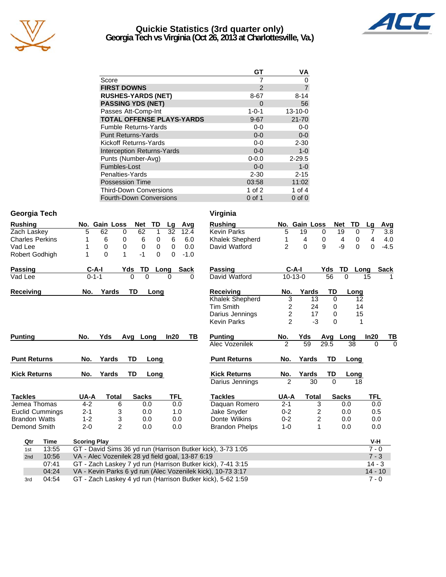

#### **Quickie Statistics (3rd quarter only) Georgia Tech vs Virginia (Oct 26, 2013 at Charlottesville, Va.)**



| GТ          | ٧A             |
|-------------|----------------|
|             | 0              |
| 2           | $\overline{7}$ |
| 8-67        | $8 - 14$       |
| 0           | 56             |
| $1 - 0 - 1$ | $13 - 10 - 0$  |
| $9 - 67$    | $21 - 70$      |
| $0-0$       | $0-0$          |
| $0 - 0$     | $0-0$          |
| $0-0$       | $2 - 30$       |
| $0 - 0$     | $1 - 0$        |
| $0 - 0.0$   | $2 - 29.5$     |
| $0 - 0$     | $1 - 0$        |
| $2 - 30$    | $2 - 15$       |
| 03:58       | 11:02          |
| 1 of $2$    | 1 of $4$       |
| $0$ of 1    | $0$ of $0$     |
|             |                |

#### **Georgia Tech Virginia**

| <b>Rushing</b>         |                     | No. Gain Loss                                               | <b>Net</b>           | <b>TD</b> | Lg         | Avg         | <b>Rushing</b>                                                                                                                                                                                                                                                                                                                                                                        |                |           | No. Gain Loss  | <b>Net</b> | TD                  | Lg             | Avg         |
|------------------------|---------------------|-------------------------------------------------------------|----------------------|-----------|------------|-------------|---------------------------------------------------------------------------------------------------------------------------------------------------------------------------------------------------------------------------------------------------------------------------------------------------------------------------------------------------------------------------------------|----------------|-----------|----------------|------------|---------------------|----------------|-------------|
| Zach Laskey            | 5                   | 62<br>0                                                     | 62                   | 1         | 32         | 12.4        | <b>Kevin Parks</b>                                                                                                                                                                                                                                                                                                                                                                    | 5              | 19        | $\mathbf 0$    |            | 19<br>0             | 7              | 3.8         |
| <b>Charles Perkins</b> |                     | 6<br>0                                                      | 6                    | 0         | 6          | 6.0         | Khalek Shepherd                                                                                                                                                                                                                                                                                                                                                                       | 1              | 4         | 0              |            | $\overline{4}$<br>0 | $\overline{4}$ | 4.0         |
| Vad Lee                |                     | 0<br>0                                                      | 0                    | 0         | $\Omega$   | 0.0         | David Watford                                                                                                                                                                                                                                                                                                                                                                         | $\overline{2}$ | $\Omega$  | 9              |            | -9<br>$\Omega$      | $\Omega$       | $-4.5$      |
| Robert Godhigh         | 1                   | 0<br>1                                                      | $-1$                 | $\Omega$  | $\Omega$   | $-1.0$      |                                                                                                                                                                                                                                                                                                                                                                                       |                |           |                |            |                     |                |             |
| Passing                | $C-A-I$             |                                                             | Yds<br>TD            | Long      |            | <b>Sack</b> | <b>Passing</b>                                                                                                                                                                                                                                                                                                                                                                        |                | $C-A-I$   |                | Yds        | TD<br>Long          |                | <b>Sack</b> |
| Vad Lee                | $0 - 1 - 1$         |                                                             | $\Omega$<br>$\Omega$ |           | 0          | 0           | David Watford                                                                                                                                                                                                                                                                                                                                                                         |                | $10-13-0$ |                | 56         | $\Omega$            | 15             |             |
| Receiving              | No.                 | Yards                                                       | <b>TD</b>            | Long      |            |             | Receiving                                                                                                                                                                                                                                                                                                                                                                             | No.            |           | Yards          | TD         | Long                |                |             |
|                        |                     |                                                             |                      |           |            |             | Khalek Shepherd                                                                                                                                                                                                                                                                                                                                                                       | $\overline{3}$ |           | 13             | $\Omega$   | 12                  |                |             |
|                        |                     |                                                             |                      |           |            |             | Tim Smith                                                                                                                                                                                                                                                                                                                                                                             | 2              |           | 24             | 0          | 14                  |                |             |
|                        |                     |                                                             |                      |           |            |             | Darius Jennings                                                                                                                                                                                                                                                                                                                                                                       | $\overline{c}$ |           | 17             | 0          | 15                  |                |             |
|                        |                     |                                                             |                      |           |            |             | <b>Kevin Parks</b>                                                                                                                                                                                                                                                                                                                                                                    | $\mathcal{P}$  |           | $-3$           | $\Omega$   | 1                   |                |             |
| <b>Punting</b>         | No.                 | Yds                                                         | Avg Long             |           | In20       | TВ          | <b>Punting</b>                                                                                                                                                                                                                                                                                                                                                                        | No.            | Yds       |                | Avg        | Long                | In20           | TВ          |
|                        |                     |                                                             |                      |           |            |             | Alec Vozenilek                                                                                                                                                                                                                                                                                                                                                                        | 2              | 59        |                | 29.5       | 38                  | $\Omega$       | $\Omega$    |
| <b>Punt Returns</b>    | No.                 | Yards                                                       | TD                   | Long      |            |             | <b>Punt Returns</b>                                                                                                                                                                                                                                                                                                                                                                   | No.            | Yards     |                | TD         | Long                |                |             |
| <b>Kick Returns</b>    | No.                 | Yards                                                       | TD                   | Long      |            |             | <b>Kick Returns</b>                                                                                                                                                                                                                                                                                                                                                                   | No.            | Yards     |                | TD         | Long                |                |             |
|                        |                     |                                                             |                      |           |            |             | Darius Jennings                                                                                                                                                                                                                                                                                                                                                                       | $\mathcal{P}$  |           | 30             | $\Omega$   | 18                  |                |             |
| <b>Tackles</b>         | UA-A                | <b>Total</b>                                                | <b>Sacks</b>         |           | <b>TFL</b> |             | <b>Tackles</b>                                                                                                                                                                                                                                                                                                                                                                        | UA-A           |           | <b>Total</b>   |            | <b>Sacks</b>        | <b>TFL</b>     |             |
| Jemea Thomas           | $4 - 2$             | 6                                                           | 0.0                  |           | 0.0        |             | Daquan Romero                                                                                                                                                                                                                                                                                                                                                                         | $2 - 1$        |           | 3              |            | 0.0                 | 0.0            |             |
| Euclid Cummings        | $2 - 1$             | 3                                                           | 0.0                  |           | 1.0        |             | Jake Snyder                                                                                                                                                                                                                                                                                                                                                                           | $0 - 2$        |           | $\overline{2}$ |            | 0.0                 | 0.5            |             |
| <b>Brandon Watts</b>   | $1 - 2$             | 3                                                           | 0.0                  |           | 0.0        |             | Donte Wilkins                                                                                                                                                                                                                                                                                                                                                                         | $0 - 2$        |           | 2              |            | 0.0                 | 0.0            |             |
| Demond Smith           | $2 - 0$             | $\overline{2}$                                              | 0.0                  |           | 0.0        |             | <b>Brandon Phelps</b>                                                                                                                                                                                                                                                                                                                                                                 | $1 - 0$        |           | $\mathbf{1}$   |            | 0.0                 | 0.0            |             |
| <b>Time</b><br>Qtr     | <b>Scoring Play</b> |                                                             |                      |           |            |             |                                                                                                                                                                                                                                                                                                                                                                                       |                |           |                |            |                     | V-H            |             |
| 13:55<br>1st           |                     |                                                             |                      |           |            |             | GT - David Sims 36 yd run (Harrison Butker kick), 3-73 1:05                                                                                                                                                                                                                                                                                                                           |                |           |                |            |                     | $7 - 0$        |             |
| 10:56<br>2nd           |                     | VA - Alec Vozenilek 28 yd field goal, 13-87 6:19<br>$7 - 3$ |                      |           |            |             |                                                                                                                                                                                                                                                                                                                                                                                       |                |           |                |            |                     |                |             |
| 07:41                  |                     | GT - Zach Laskey 7 yd run (Harrison Butker kick), 7-41 3:15 |                      |           |            |             |                                                                                                                                                                                                                                                                                                                                                                                       | $14 - 3$       |           |                |            |                     |                |             |
| 04:24                  |                     |                                                             |                      |           |            |             | VA - Kevin Parks 6 yd run (Alec Vozenilek kick), 10-73 3:17                                                                                                                                                                                                                                                                                                                           |                |           |                |            |                     | $14 - 10$      |             |
| 0.4.54                 |                     |                                                             |                      |           |            |             | $\overline{OT}$ $\overline{7}$ $\overline{7}$ $\overline{7}$ $\overline{7}$ $\overline{1}$ $\overline{1}$ $\overline{1}$ $\overline{1}$ $\overline{1}$ $\overline{1}$ $\overline{1}$ $\overline{1}$ $\overline{1}$ $\overline{1}$ $\overline{1}$ $\overline{1}$ $\overline{1}$ $\overline{1}$ $\overline{1}$ $\overline{1}$ $\overline{1}$ $\overline{1}$ $\overline{1}$ $\overline{$ |                |           |                |            |                     | $\sim$ $\sim$  |             |

3rd 04:54 GT - Zach Laskey 4 yd run (Harrison Butker kick), 5-62 1:59 7 - 0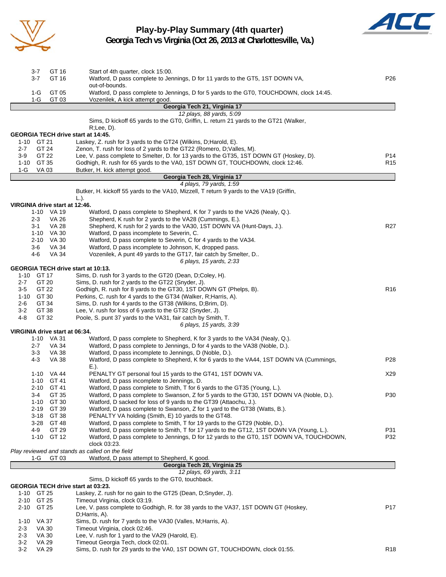

# **Play-by-Play Summary (4th quarter)**



**Georgia Tech vs Virginia (Oct 26, 2013 at Charlottesville, Va.)**

| GT 16<br>$3 - 7$                          | Start of 4th quarter, clock 15:00.                                                       |                 |
|-------------------------------------------|------------------------------------------------------------------------------------------|-----------------|
| $3 - 7$<br>GT 16                          | Watford, D pass complete to Jennings, D for 11 yards to the GT5, 1ST DOWN VA,            | P26             |
|                                           | out-of-bounds.                                                                           |                 |
| $1-G$<br>GT 05                            | Watford, D pass complete to Jennings, D for 5 yards to the GT0, TOUCHDOWN, clock 14:45.  |                 |
| 1-G<br>GT 03                              | Vozenilek, A kick attempt good.                                                          |                 |
|                                           | Georgia Tech 21, Virginia 17                                                             |                 |
|                                           | 12 plays, 88 yards, 5:09                                                                 |                 |
|                                           | Sims, D kickoff 65 yards to the GT0, Griffin, L. return 21 yards to the GT21 (Walker,    |                 |
|                                           | $R$ ; Lee, D).                                                                           |                 |
| <b>GEORGIA TECH drive start at 14:45.</b> |                                                                                          |                 |
| 1-10 GT 21                                | Laskey, Z. rush for 3 yards to the GT24 (Wilkins, D; Harold, E).                         |                 |
| GT 24<br>$2 - 7$                          | Zenon, T. rush for loss of 2 yards to the GT22 (Romero, D; Valles, M).                   |                 |
| 3-9<br>GT 22                              | Lee, V. pass complete to Smelter, D. for 13 yards to the GT35, 1ST DOWN GT (Hoskey, D).  | P14             |
| 1-10 GT 35                                | Godhigh, R. rush for 65 yards to the VA0, 1ST DOWN GT, TOUCHDOWN, clock 12:46.           | R15             |
| 1-G<br>VA 03                              | Butker, H. kick attempt good.                                                            |                 |
|                                           | Georgia Tech 28, Virginia 17                                                             |                 |
|                                           | 4 plays, 79 yards, 1:59                                                                  |                 |
|                                           | Butker, H. kickoff 55 yards to the VA10, Mizzell, T return 9 yards to the VA19 (Griffin, |                 |
|                                           | $L.$ ).                                                                                  |                 |
| VIRGINIA drive start at 12:46.            |                                                                                          |                 |
| 1-10 VA 19                                | Watford, D pass complete to Shepherd, K for 7 yards to the VA26 (Nealy, Q.).             |                 |
|                                           | Shepherd, K rush for 2 yards to the VA28 (Cummings, E.).                                 |                 |
| 2-3<br>VA 26                              |                                                                                          |                 |
| $3 - 1$<br><b>VA 28</b>                   | Shepherd, K rush for 2 yards to the VA30, 1ST DOWN VA (Hunt-Days, J.).                   | R27             |
| 1-10 VA 30                                | Watford, D pass incomplete to Severin, C.                                                |                 |
| 2-10 VA 30                                | Watford, D pass complete to Severin, C for 4 yards to the VA34.                          |                 |
| $3-6$<br>VA 34                            | Watford, D pass incomplete to Johnson, K, dropped pass.                                  |                 |
| <b>VA 34</b><br>4-6                       | Vozenilek, A punt 49 yards to the GT17, fair catch by Smelter, D                         |                 |
|                                           | 6 plays, 15 yards, 2:33                                                                  |                 |
| GEORGIA TECH drive start at 10:13.        |                                                                                          |                 |
| 1-10 GT 17                                | Sims, D. rush for 3 yards to the GT20 (Dean, D;Coley, H).                                |                 |
| GT 20<br>$2 - 7$                          | Sims, D. rush for 2 yards to the GT22 (Snyder, J).                                       |                 |
| GT 22<br>3-5                              | Godhigh, R. rush for 8 yards to the GT30, 1ST DOWN GT (Phelps, B).                       | R <sub>16</sub> |
| 1-10 GT 30                                | Perkins, C. rush for 4 yards to the GT34 (Walker, R; Harris, A).                         |                 |
| GT 34<br>2-6                              | Sims, D. rush for 4 yards to the GT38 (Wilkins, D;Brim, D).                              |                 |
| $3-2$<br>GT 38                            | Lee, V. rush for loss of 6 yards to the GT32 (Snyder, J).                                |                 |
| 4-8<br>GT 32                              | Poole, S. punt 37 yards to the VA31, fair catch by Smith, T.                             |                 |
|                                           | 6 plays, 15 yards, 3:39                                                                  |                 |
| VIRGINIA drive start at 06:34.            |                                                                                          |                 |
| 1-10 VA 31                                | Watford, D pass complete to Shepherd, K for 3 yards to the VA34 (Nealy, Q.).             |                 |
| $2 - 7$<br>VA 34                          | Watford, D pass complete to Jennings, D for 4 yards to the VA38 (Noble, D.).             |                 |
| $3 - 3$<br><b>VA 38</b>                   | Watford, D pass incomplete to Jennings, D (Noble, D.).                                   |                 |
| $4 - 3$<br><b>VA 38</b>                   | Watford, D pass complete to Shepherd, K for 6 yards to the VA44, 1ST DOWN VA (Cummings,  | P28             |
|                                           | E.).                                                                                     |                 |
| 1-10 VA 44                                | PENALTY GT personal foul 15 yards to the GT41, 1ST DOWN VA.                              | X29             |
| 1-10 GT 41                                | Watford, D pass incomplete to Jennings, D.                                               |                 |
| 2-10 GT 41                                | Watford, D pass complete to Smith, T for 6 yards to the GT35 (Young, L.).                |                 |
| GT 35<br>3-4                              | Watford, D pass complete to Swanson, Z for 5 yards to the GT30, 1ST DOWN VA (Noble, D.). | P30             |
| $1 - 10$<br>GT 30                         | Watford, D sacked for loss of 9 yards to the GT39 (Attaochu, J.).                        |                 |
| $2 - 19$<br>GT 39                         | Watford, D pass complete to Swanson, Z for 1 yard to the GT38 (Watts, B.).               |                 |
| 3-18 GT 38                                | PENALTY VA holding (Smith, E) 10 yards to the GT48.                                      |                 |
| $3 - 28$<br>GT 48                         | Watford, D pass complete to Smith, T for 19 yards to the GT29 (Noble, D.).               |                 |
| 4-9<br>GT 29                              | Watford, D pass complete to Smith, T for 17 yards to the GT12, 1ST DOWN VA (Young, L.).  | P31             |
| 1-10 GT 12                                | Watford, D pass complete to Jennings, D for 12 yards to the GT0, 1ST DOWN VA, TOUCHDOWN, | P32             |
|                                           | clock 03:23.                                                                             |                 |
|                                           | Play reviewed and stands as called on the field                                          |                 |
| GT 03<br>1-G                              | Watford, D pass attempt to Shepherd, K good.                                             |                 |
|                                           | Georgia Tech 28, Virginia 25                                                             |                 |
|                                           | 12 plays, 69 yards, 3:11                                                                 |                 |
|                                           | Sims, D kickoff 65 yards to the GT0, touchback.                                          |                 |
| GEORGIA TECH drive start at 03:23.        |                                                                                          |                 |
| 1-10 GT 25                                | Laskey, Z. rush for no gain to the GT25 (Dean, D;Snyder, J).                             |                 |
| 2-10 GT 25                                | Timeout Virginia, clock 03:19.                                                           |                 |
| 2-10 GT 25                                | Lee, V. pass complete to Godhigh, R. for 38 yards to the VA37, 1ST DOWN GT (Hoskey,      | P17             |
|                                           | D;Harris, A).                                                                            |                 |
|                                           |                                                                                          |                 |
| VA 37<br>$1 - 10$                         | Sims, D. rush for 7 yards to the VA30 (Valles, M; Harris, A).                            |                 |
| $2 - 3$<br>VA 30                          | Timeout Virginia, clock 02:46.                                                           |                 |
| <b>VA 30</b><br>$2 - 3$                   | Lee, V. rush for 1 yard to the VA29 (Harold, E).                                         |                 |
| $3 - 2$<br>VA 29                          | Timeout Georgia Tech, clock 02:01.                                                       |                 |
| $3 - 2$<br><b>VA 29</b>                   | Sims, D. rush for 29 yards to the VA0, 1ST DOWN GT, TOUCHDOWN, clock 01:55.              | R <sub>18</sub> |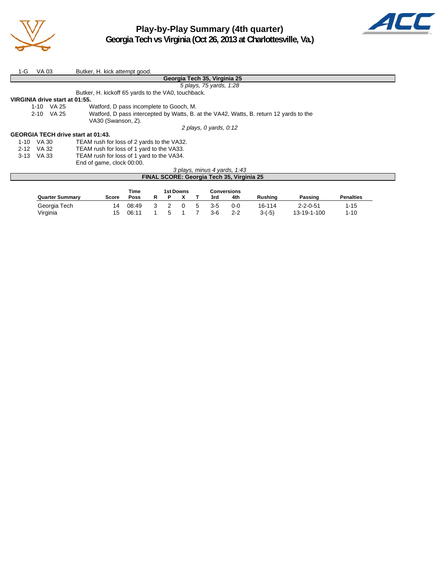

**Play-by-Play Summary (4th quarter) Georgia Tech vs Virginia (Oct 26, 2013 at Charlottesville, Va.)**



| 1-G                            | VA 03                        |              | Butker, H. kick attempt good.                                                          |  |  |  |  |  |  |  |  |  |  |  |
|--------------------------------|------------------------------|--------------|----------------------------------------------------------------------------------------|--|--|--|--|--|--|--|--|--|--|--|
|                                | Georgia Tech 35, Virginia 25 |              |                                                                                        |  |  |  |  |  |  |  |  |  |  |  |
|                                |                              |              | 5 plays, 75 yards, 1:28                                                                |  |  |  |  |  |  |  |  |  |  |  |
|                                |                              |              | Butker, H. kickoff 65 yards to the VA0, touchback.                                     |  |  |  |  |  |  |  |  |  |  |  |
| VIRGINIA drive start at 01:55. |                              |              |                                                                                        |  |  |  |  |  |  |  |  |  |  |  |
|                                |                              | 1-10 VA 25   | Watford, D pass incomplete to Gooch, M.                                                |  |  |  |  |  |  |  |  |  |  |  |
|                                |                              | $2-10$ VA 25 | Watford, D pass intercepted by Watts, B. at the VA42, Watts, B. return 12 yards to the |  |  |  |  |  |  |  |  |  |  |  |
|                                |                              |              | VA30 (Swanson, Z).                                                                     |  |  |  |  |  |  |  |  |  |  |  |
|                                |                              |              | 2 plays, 0 yards, 0:12                                                                 |  |  |  |  |  |  |  |  |  |  |  |
|                                |                              |              | <b>GEORGIA TECH drive start at 01:43.</b>                                              |  |  |  |  |  |  |  |  |  |  |  |
| 1-10 VA 30                     |                              |              | TEAM rush for loss of 2 yards to the VA32.                                             |  |  |  |  |  |  |  |  |  |  |  |
| 2-12 VA 32                     |                              |              | TEAM rush for loss of 1 yard to the VA33.                                              |  |  |  |  |  |  |  |  |  |  |  |

3-13 VA 33 TEAM rush for loss of 1 yard to the VA34.

End of game, clock 00:00.

#### *3 plays, minus 4 yards, 1:43* **FINAL SCORE: Georgia Tech 35, Virginia 25**

|                        |       | Time  |  | 1st Downs |   |     | Conversions |                |                  |                  |
|------------------------|-------|-------|--|-----------|---|-----|-------------|----------------|------------------|------------------|
| <b>Quarter Summary</b> | Score | Poss  |  |           |   | 3rd | 4th         | <b>Rushing</b> | Passing          | <b>Penalties</b> |
| Georgia Tech           | 14    | 08:49 |  |           | 5 | 3-5 | $0 - 0$     | 16-114         | $2 - 2 - 0 - 51$ | '-15             |
| Virginia               | 15    | 06:11 |  |           |   | 3-6 | $2 - 2$     | $3-(-5)$       | 13-19-1-100      | $1 - 10$         |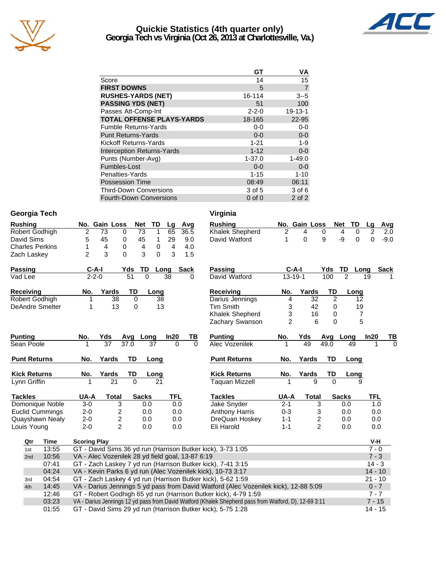

#### **Quickie Statistics (4th quarter only) Georgia Tech vs Virginia (Oct 26, 2013 at Charlottesville, Va.)**



|                                   | GТ          | ٧A            |
|-----------------------------------|-------------|---------------|
| Score                             | 14          | 15            |
| <b>FIRST DOWNS</b>                | 5           |               |
| <b>RUSHES-YARDS (NET)</b>         | 16-114      | $3 - 5$       |
| <b>PASSING YDS (NET)</b>          | 51          | 100           |
| Passes Att-Comp-Int               | $2 - 2 - 0$ | $19 - 13 - 1$ |
| <b>TOTAL OFFENSE PLAYS-YARDS</b>  | 18-165      | 22-95         |
| <b>Fumble Returns-Yards</b>       | $0-0$       | $0-0$         |
| <b>Punt Returns-Yards</b>         | $0 - 0$     | $0-0$         |
| Kickoff Returns-Yards             | $1 - 21$    | $1 - 9$       |
| <b>Interception Returns-Yards</b> | $1 - 12$    | $0-0$         |
| Punts (Number-Avg)                | $1 - 37.0$  | $1 - 49.0$    |
| Fumbles-Lost                      | $0 - 0$     | $0-0$         |
| Penalties-Yards                   | $1 - 15$    | $1 - 10$      |
| <b>Possession Time</b>            | 08:49       | 06:11         |
| <b>Third-Down Conversions</b>     | 3 of 5      | 3 of 6        |

Fourth-Down Conversions 0 of 0 2 of 2

#### **Georgia Tech Virginia**

| <b>Rushing</b>         |                 |                                                  | No. Gain Loss   |                         | <b>Net</b>     | TD       | Lg         | Avg         |          | <b>Rushing</b>                                                                                        |                | No. Gain Loss |                         | <b>Net</b><br>TD | Lg             | Avg         |  |
|------------------------|-----------------|--------------------------------------------------|-----------------|-------------------------|----------------|----------|------------|-------------|----------|-------------------------------------------------------------------------------------------------------|----------------|---------------|-------------------------|------------------|----------------|-------------|--|
| Robert Godhigh         |                 | 2                                                | 73              | 0                       | 73             | 1        | 65         | 36.5        |          | Khalek Shepherd                                                                                       | 2              | 4             | 0                       | 0<br>4           | $\overline{2}$ | 2.0         |  |
| David Sims             |                 | 5                                                | 45              | 0                       | 45             | 1        | 29         | 9.0         |          | David Watford                                                                                         | 1              | 0             | 9                       | -9<br>0          | $\Omega$       | $-9.0$      |  |
| <b>Charles Perkins</b> |                 | 1                                                | 4               | 0                       | 4              | 0        | 4          | 4.0         |          |                                                                                                       |                |               |                         |                  |                |             |  |
| Zach Laskey            |                 | $\overline{2}$                                   | 3               | $\Omega$                | 3              | $\Omega$ | 3          | 1.5         |          |                                                                                                       |                |               |                         |                  |                |             |  |
| <b>Passing</b>         |                 |                                                  | $C-A-I$         | Yds                     | TD             |          | Long       | <b>Sack</b> |          | <b>Passing</b>                                                                                        |                | $C-A-I$       | Yds                     | TD               | Long           | <b>Sack</b> |  |
| Vad Lee                |                 |                                                  | $2 - 2 - 0$     |                         | 51<br>$\Omega$ |          | 38         | 0           |          | David Watford                                                                                         | $13 - 19 - 1$  |               | 100                     | $\overline{2}$   | 19             |             |  |
| Receiving              |                 | No.                                              | Yards           |                         | TD             | Long     |            |             |          | Receiving                                                                                             | No.            | Yards         | TD                      | Long             |                |             |  |
| Robert Godhigh         |                 |                                                  |                 | 38                      | 0              | 38       |            |             |          | Darius Jennings                                                                                       | 4              | 32            | $\overline{2}$          |                  | 12             |             |  |
| <b>DeAndre Smelter</b> |                 | 1                                                |                 | 13                      | 0              | 13       |            |             |          | <b>Tim Smith</b>                                                                                      | 3              | 42            | $\mathbf 0$             |                  | 19             |             |  |
|                        |                 |                                                  |                 |                         |                |          |            |             |          | Khalek Shepherd                                                                                       | 3              | 16            | 0                       |                  | $\overline{7}$ |             |  |
|                        |                 |                                                  |                 |                         |                |          |            |             |          | Zachary Swanson                                                                                       | $\overline{2}$ |               | 6<br>0                  |                  | 5              |             |  |
| <b>Punting</b>         |                 | No.                                              | Yds             | Avq                     |                | Long     | In20       |             | ΤВ       | <b>Punting</b>                                                                                        | No.            | Yds           | Avq                     | Long             | In20           | ΤВ          |  |
| Sean Poole             |                 |                                                  | $\overline{37}$ | 37.0                    |                | 37       |            | $\Omega$    | $\Omega$ | <b>Alec Vozenilek</b>                                                                                 |                | 49            | 49.0                    | 49               |                | 0           |  |
| <b>Punt Returns</b>    |                 | No.                                              | Yards           |                         | TD             | Long     |            |             |          | <b>Punt Returns</b>                                                                                   | No.            | Yards         | TD                      | Long             |                |             |  |
| <b>Kick Returns</b>    |                 | No.                                              | Yards           |                         | TD             | Long     |            |             |          | <b>Kick Returns</b>                                                                                   | No.            | Yards         | TD                      | Long             |                |             |  |
| Lynn Griffin           |                 | 1                                                |                 | 21                      | $\Omega$       | 21       |            |             |          | <b>Taquan Mizzell</b>                                                                                 | 1              |               | 9<br>$\Omega$           |                  | я              |             |  |
| <b>Tackles</b>         |                 | UA-A                                             |                 | <b>Total</b>            | <b>Sacks</b>   |          | <b>TFL</b> |             |          | <b>Tackles</b>                                                                                        | UA-A           | <b>Total</b>  |                         | <b>Sacks</b>     | <b>TFL</b>     |             |  |
|                        | Domonique Noble | $3-0$                                            |                 | 3                       | 0.0            |          |            | 0.0         |          | Jake Snyder                                                                                           | $2 - 1$        |               | 3                       | 0.0              | 1.0            |             |  |
|                        | Euclid Cummings | $2 - 0$                                          |                 | $\overline{\mathbf{c}}$ | 0.0            |          |            | 0.0         |          | <b>Anthony Harris</b>                                                                                 | $0 - 3$        |               | 3                       | 0.0              | 0.0            |             |  |
|                        | Quayshawn Nealy | $2 - 0$                                          |                 | $\overline{\mathbf{c}}$ | 0.0            |          |            | 0.0         |          | DreQuan Hoskey                                                                                        | $1 - 1$        |               | $\overline{\mathbf{c}}$ | 0.0              | 0.0            |             |  |
| Louis Young            |                 | $2 - 0$                                          |                 | $\overline{2}$          | 0.0            |          |            | 0.0         |          | Eli Harold                                                                                            | $1 - 1$        |               | $\overline{2}$          | 0.0              | 0.0            |             |  |
| Qtr                    | Time            | <b>Scoring Play</b>                              |                 |                         |                |          |            |             |          |                                                                                                       |                |               |                         |                  | V-H            |             |  |
| 1st                    | 13:55           |                                                  |                 |                         |                |          |            |             |          | GT - David Sims 36 yd run (Harrison Butker kick), 3-73 1:05                                           |                |               |                         |                  | $7 - 0$        |             |  |
| 2nd                    | 10:56           | VA - Alec Vozenilek 28 yd field goal, 13-87 6:19 |                 |                         |                |          |            |             |          |                                                                                                       |                |               |                         |                  | $7 - 3$        |             |  |
|                        | 07:41           |                                                  |                 |                         |                |          |            |             |          | GT - Zach Laskey 7 yd run (Harrison Butker kick), 7-41 3:15                                           |                |               |                         |                  | $14 - 3$       |             |  |
|                        | 04:24           |                                                  |                 |                         |                |          |            |             |          | VA - Kevin Parks 6 yd run (Alec Vozenilek kick), 10-73 3:17                                           |                |               |                         |                  | $14 - 10$      |             |  |
| 3rd                    | 04:54           |                                                  |                 |                         |                |          |            |             |          | GT - Zach Laskey 4 yd run (Harrison Butker kick), 5-62 1:59                                           |                |               |                         |                  | $21 - 10$      |             |  |
| 4th                    | 14:45           |                                                  |                 |                         |                |          |            |             |          | VA - Darius Jennings 5 yd pass from David Watford (Alec Vozenilek kick), 12-88 5:09                   |                |               |                         |                  | $0 - 7$        |             |  |
|                        | 12:46           |                                                  |                 |                         |                |          |            |             |          | GT - Robert Godhigh 65 yd run (Harrison Butker kick), 4-79 1:59                                       |                |               |                         |                  | $7 - 7$        |             |  |
|                        | 03:23           |                                                  |                 |                         |                |          |            |             |          | VA - Darius Jennings 12 yd pass from David Watford (Khalek Shepherd pass from Watford, D), 12-69 3:11 |                |               |                         |                  | $7 - 15$       |             |  |
|                        | 01:55           |                                                  |                 |                         |                |          |            |             |          | GT - David Sims 29 yd run (Harrison Butker kick), 5-75 1:28                                           |                |               |                         | $14 - 15$        |                |             |  |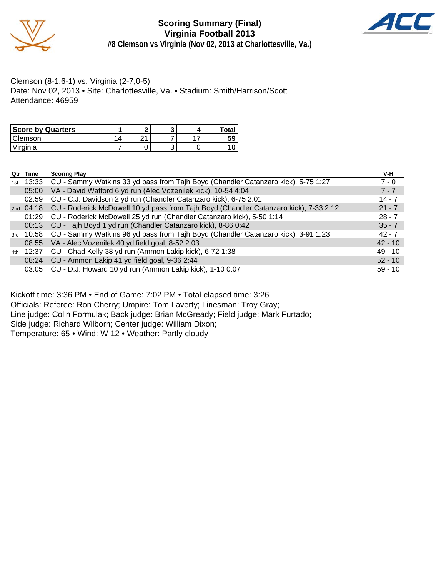

**Scoring Summary (Final) Virginia Football 2013 #8 Clemson vs Virginia (Nov 02, 2013 at Charlottesville, Va.)**



#### Clemson (8-1,6-1) vs. Virginia (2-7,0-5) Date: Nov 02, 2013 • Site: Charlottesville, Va. • Stadium: Smith/Harrison/Scott Attendance: 46959

| <b>Score by Quarters</b> |   |      |   | л | <b>Total</b> |
|--------------------------|---|------|---|---|--------------|
| Clemson                  | 4 | ົາ 1 |   |   | 59           |
| Virginia                 |   |      | ັ |   |              |

| Qtr Time             | <b>Scoring Play</b>                                                                             | V-H       |
|----------------------|-------------------------------------------------------------------------------------------------|-----------|
|                      | 1st 13:33 CU - Sammy Watkins 33 yd pass from Tajh Boyd (Chandler Catanzaro kick), 5-75 1:27     | $7 - 0$   |
| 05:00                | VA - David Watford 6 yd run (Alec Vozenilek kick), 10-54 4:04                                   | $7 - 7$   |
| 02:59                | CU - C.J. Davidson 2 yd run (Chandler Catanzaro kick), 6-75 2:01                                | $14 - 7$  |
|                      | 2nd 04:18 CU - Roderick McDowell 10 yd pass from Tajh Boyd (Chandler Catanzaro kick), 7-33 2:12 | $21 - 7$  |
| 01:29                | CU - Roderick McDowell 25 yd run (Chandler Catanzaro kick), 5-50 1:14                           | $28 - 7$  |
|                      | 00:13 CU - Tajh Boyd 1 yd run (Chandler Catanzaro kick), 8-86 0:42                              | $35 - 7$  |
|                      | 3rd 10:58 CU - Sammy Watkins 96 yd pass from Tajh Boyd (Chandler Catanzaro kick), 3-91 1:23     | $42 - 7$  |
|                      | 08:55 VA - Alec Vozenilek 40 yd field goal, 8-52 2:03                                           | $42 - 10$ |
| <sub>4th</sub> 12:37 | CU - Chad Kelly 38 yd run (Ammon Lakip kick), 6-72 1:38                                         | $49 - 10$ |
|                      | 08:24 CU - Ammon Lakip 41 yd field goal, 9-36 2:44                                              | $52 - 10$ |
| 03:05                | CU - D.J. Howard 10 yd run (Ammon Lakip kick), 1-10 0:07                                        | $59 - 10$ |

Kickoff time: 3:36 PM • End of Game: 7:02 PM • Total elapsed time: 3:26 Officials: Referee: Ron Cherry; Umpire: Tom Laverty; Linesman: Troy Gray; Line judge: Colin Formulak; Back judge: Brian McGready; Field judge: Mark Furtado; Side judge: Richard Wilborn; Center judge: William Dixon; Temperature: 65 • Wind: W 12 • Weather: Partly cloudy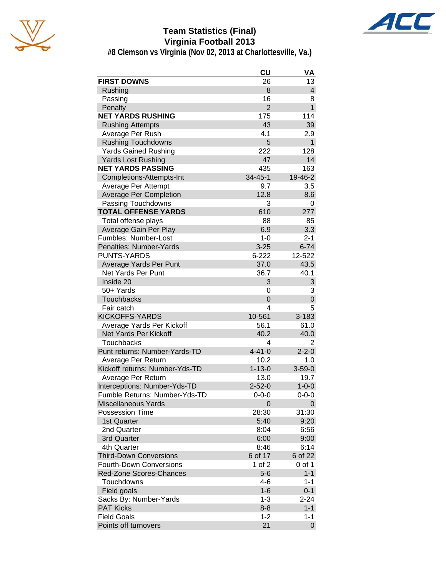

# **Team Statistics (Final) Virginia Football 2013**



**#8 Clemson vs Virginia (Nov 02, 2013 at Charlottesville, Va.)**

|                                | CU             | VA                      |
|--------------------------------|----------------|-------------------------|
| <b>FIRST DOWNS</b>             | 26             | 13                      |
| Rushing                        | 8              | $\overline{\mathbf{4}}$ |
| Passing                        | 16             | 8                       |
| Penalty                        | $\overline{2}$ | $\mathbf{1}$            |
| <b>NET YARDS RUSHING</b>       | 175            | 114                     |
| <b>Rushing Attempts</b>        | 43             | 39                      |
| Average Per Rush               | 4.1            | 2.9                     |
| <b>Rushing Touchdowns</b>      | 5              | $\mathbf{1}$            |
| <b>Yards Gained Rushing</b>    | 222            | 128                     |
| <b>Yards Lost Rushing</b>      | 47             | 14                      |
| <b>NET YARDS PASSING</b>       | 435            | 163                     |
| Completions-Attempts-Int       | $34 - 45 - 1$  | 19-46-2                 |
| Average Per Attempt            | 9.7            | 3.5                     |
| <b>Average Per Completion</b>  | 12.8           | 8.6                     |
| Passing Touchdowns             | 3              | 0                       |
| <b>TOTAL OFFENSE YARDS</b>     | 610            | 277                     |
| Total offense plays            | 88             | 85                      |
| Average Gain Per Play          | 6.9            | 3.3                     |
| Fumbles: Number-Lost           | $1 - 0$        | $2 - 1$                 |
| Penalties: Number-Yards        | $3 - 25$       | $6 - 74$                |
| <b>PUNTS-YARDS</b>             | $6 - 222$      | 12-522                  |
| Average Yards Per Punt         | 37.0           | 43.5                    |
| Net Yards Per Punt             | 36.7           | 40.1                    |
| Inside 20                      | 3              | 3                       |
| 50+ Yards                      | 0              | 3                       |
| <b>Touchbacks</b>              | 0              | $\overline{0}$          |
| Fair catch                     | 4              | 5                       |
| <b>KICKOFFS-YARDS</b>          | 10-561         | 3-183                   |
| Average Yards Per Kickoff      | 56.1           | 61.0                    |
| Net Yards Per Kickoff          | 40.2           | 40.0                    |
| <b>Touchbacks</b>              | 4              | $\overline{2}$          |
| Punt returns: Number-Yards-TD  | $4 - 41 - 0$   | $2 - 2 - 0$             |
| Average Per Return             | 10.2           | 1.0                     |
| Kickoff returns: Number-Yds-TD | $1 - 13 - 0$   | $3 - 59 - 0$            |
| Average Per Return             | 13.0           | 19.7                    |
| Interceptions: Number-Yds-TD   | $2 - 52 - 0$   | $1 - 0 - 0$             |
| Fumble Returns: Number-Yds-TD  | 0-0-0          | 0-0-0                   |
| <b>Miscellaneous Yards</b>     | 0              | 0                       |
| <b>Possession Time</b>         | 28:30          | 31:30                   |
| 1st Quarter                    | 5:40           | 9:20                    |
| 2nd Quarter                    | 8:04           | 6:56                    |
| 3rd Quarter                    | 6:00           | 9:00                    |
| 4th Quarter                    | 8:46           | 6:14                    |
| <b>Third-Down Conversions</b>  | 6 of 17        | 6 of 22                 |
| <b>Fourth-Down Conversions</b> | 1 of 2         | 0 of 1                  |
| <b>Red-Zone Scores-Chances</b> | $5-6$          | $1 - 1$                 |
| Touchdowns                     | 4-6            | $1 - 1$                 |
| Field goals                    | $1 - 6$        | $0 - 1$                 |
| Sacks By: Number-Yards         | $1 - 3$        | 2-24                    |
| <b>PAT Kicks</b>               | $8 - 8$        | $1 - 1$                 |
| <b>Field Goals</b>             | $1 - 2$        | $1 - 1$                 |
| Points off turnovers           | 21             | $\overline{0}$          |
|                                |                |                         |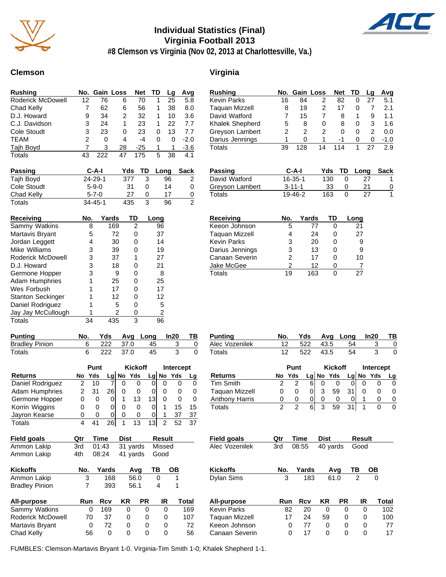

# **Individual Statistics (Final) Virginia Football 2013**



# **#8 Clemson vs Virginia (Nov 02, 2013 at Charlottesville, Va.)**

#### **Clemson Virginia**

| <b>Rushing</b>    |    | No. Gain Loss |    | <b>Net</b> | TD | Lq | Avg    |
|-------------------|----|---------------|----|------------|----|----|--------|
| Roderick McDowell | 12 | 76            | 6  | 70         |    | 25 | 5.8    |
| Chad Kelly        |    | 62            | 6  | 56         | 1  | 38 | 8.0    |
| D.J. Howard       | 9  | 34            | 2  | 32         | 1  | 10 | 3.6    |
| C.J. Davidson     | 3  | 24            | 1  | 23         |    | 22 | 7.7    |
| Cole Stoudt       | 3  | 23            | 0  | 23         | 0  | 13 | 7.7    |
| TEAM              | 2  | 0             | 4  | -4         | 0  | 0  | $-2.0$ |
| Tajh Boyd         |    | 3             | 28 | $-25$      | 1  | 1  | $-3.6$ |
| <b>Totals</b>     | 43 | 222           | 47 | 175        | 5  | 38 | 4.1    |

| <b>Passing</b> | C-A-I         | Yds | TD | Long | <b>Sack</b> |
|----------------|---------------|-----|----|------|-------------|
| Tajh Boyd      | $24 - 29 - 1$ | 377 |    | 96   |             |
| Cole Stoudt    | $5 - 9 - 0$   | 31  |    | 14   | 0           |
| Chad Kelly     | $5 - 7 - 0$   | 27  |    |      | 0           |
| Totals         | $34 - 45 - 1$ | 435 |    | 96   | 2           |

| Receiving                | No. | Yards | TD | Long |
|--------------------------|-----|-------|----|------|
| Sammy Watkins            | 8   | 169   | 2  | 96   |
| Martavis Bryant          | 5   | 72    | ი  | 37   |
| Jordan Leggett           | 4   | 30    | O  | 14   |
| Mike Williams            | 3   | 39    | ი  | 19   |
| Roderick McDowell        | 3   | 37    | 1  | 27   |
| D.J. Howard              | 3   | 18    | n  | 21   |
| Germone Hopper           | 3   | 9     | O  | 8    |
| <b>Adam Humphries</b>    |     | 25    | O  | 25   |
| Wes Forbush              |     | 17    | n  | 17   |
| <b>Stanton Seckinger</b> |     | 12    | ∩  | 12   |
| Daniel Rodriguez         |     | 5     | O  | 5    |
| Jay Jay McCullough       |     | 2     | O  | 2    |
| Totals                   | 34  | 435   | 3  | 96   |

| <b>Punting</b>        |            | Yds Avg Long In20 TB |     |
|-----------------------|------------|----------------------|-----|
| <b>Bradley Pinion</b> | 6 222 37.0 | 45                   | - 0 |
| Totals                | 222 37.0   | -45                  | -0  |

|                       |    | <b>Punt</b>       |    | <b>Kickoff</b> |          |                 | Intercept |     |              |  |
|-----------------------|----|-------------------|----|----------------|----------|-----------------|-----------|-----|--------------|--|
| <b>Returns</b>        | No | Yds               |    | $Lq$ No        | Yds      |                 | Lg No     | Yds | Lq           |  |
| Daniel Rodriguez      |    | 10                |    |                |          |                 | O         |     |              |  |
| <b>Adam Humphries</b> |    | 31                | 26 |                |          |                 | O         |     | $\mathbf{0}$ |  |
| Germone Hopper        |    | $\mathbf{\Omega}$ |    |                | 13       | 13 <sub>1</sub> | ი         |     | O            |  |
| Korrin Wiggins        |    | $\Omega$          |    | O              |          |                 |           | 15  | 15           |  |
| Jayron Kearse         |    | 0                 | O  | O              | $\Omega$ |                 | 1         | 37  | 37           |  |
| Totals                |    |                   | 26 |                | 13       | 13              | 2         |     | 37           |  |

| <b>Field goals</b>    | Qtr | Time     | <b>Dist</b> |          | <b>Result</b> |        |
|-----------------------|-----|----------|-------------|----------|---------------|--------|
| Ammon Lakip           | 3rd | 01:43    |             | 31 yards |               | Missed |
| Ammon Lakip           | 4th | 08:24    | 41 yards    |          | Good          |        |
| <b>Kickoffs</b>       | No. | Yards    |             | Avq      | ΤВ            | OВ     |
| Ammon Lakip           | 3   | 168      |             | 56.0     | 0             | 1      |
| <b>Bradley Pinion</b> | 7   | 393      |             | 56.1     | 4             | 1      |
| All-purpose           | Run | Rcv      | KR          | РR       | IR            | Total  |
| Sammy Watkins         |     | 169<br>0 | 0           | 0        | 0             | 169    |
| Roderick McDowell     | 70  | 37       | 0           | 0        | 0             | 107    |
| Martavis Bryant       |     | 72<br>0  | 0           | 0        | 0             | 72     |
| Chad Kelly            | 56  | 0        | 0           | 0        | O             | 56     |

| <b>Rushing</b>        | No.            |                | Gain Loss      | <b>Net</b> |          | TD   | Lg             | <u>Avg</u>  |
|-----------------------|----------------|----------------|----------------|------------|----------|------|----------------|-------------|
| <b>Kevin Parks</b>    | 16             | 84             | 2              |            | 82       | 0    | 27             | 5.1         |
| <b>Taquan Mizzell</b> | 8              | 19             | 2              |            | 17       | 0    | 7              | 2.1         |
| David Watford         | 7              | 15             | 7              |            | 8        | 1    | 9              | 1.1         |
| Khalek Shepherd       | 5              | 8              | 0              |            | 8        | 0    | 3              | 1.6         |
| Greyson Lambert       | $\overline{c}$ | $\overline{2}$ | $\overline{c}$ |            | 0        | 0    | $\overline{2}$ | 0.0         |
| Darius Jennings       | 1              | 0              | 1              |            | $-1$     | 0    | 0              | -1.0        |
| <b>Totals</b>         | 39             | 128            | 14             | 114        |          | 1    | 27             | 2.9         |
|                       |                |                |                |            |          |      |                |             |
| Passing               |                | C-A-I          |                | Yds        | TD       | Long |                | <b>Sack</b> |
| David Watford         |                | 16-35-1        |                | 130<br>0   |          | 27   |                | 1           |
| Greyson Lambert       |                | $3 - 11 - 1$   |                | 33         | 0        |      | 21             | 0           |
| Totals                |                | 19-46-2        |                | 163        | $\Omega$ |      | 27             | 1           |
|                       |                |                |                |            |          |      |                |             |
| Receiving             | No.            |                | Yards          | TD         |          | Long |                |             |
| Keeon Johnson         |                | 5              | 77             | 0          |          | 21   |                |             |
| <b>Taquan Mizzell</b> |                | 4              | 24             | 0          |          | 27   |                |             |
| <b>Kevin Parks</b>    |                | 3              | 20             | 0          |          | 9    |                |             |
| Darius Jennings       |                | 3              | 13             | 0          |          | 9    |                |             |
| Canaan Severin        |                | 2              | 17             | 0          |          | 10   |                |             |
| Jake McGee            |                | 2              | 12             | 0          |          | 7    |                |             |
| Totals                | 19             |                | 163            | 0          |          | 27   |                |             |

| <b>Punting</b> | No.    | Yds  |                | Ava Lona | In20        | ΤВ |
|----------------|--------|------|----------------|----------|-------------|----|
| Alec Vozenilek | 12     | 522  | 43.5           | 54       |             |    |
| Totals         | 12     | 522  | 43.5           | 54       |             | 0  |
|                |        | Punt | <b>Kickoff</b> |          | Intercept   |    |
| <b>Returns</b> | No Yds |      | Lg No Yds      |          | $Lg$ No Yds |    |

| <b>Returns</b>        | No Yds |   |   | Lg No Yds |    | Lg $No$ Yds | La |
|-----------------------|--------|---|---|-----------|----|-------------|----|
| <b>Tim Smith</b>      |        | հ |   |           |    |             |    |
| <b>Taguan Mizzell</b> |        |   | 3 | 59        | 31 |             |    |
| <b>Anthony Harris</b> |        |   |   |           |    |             |    |
| Totals                |        | 6 | ຈ | 59        | 31 |             |    |

| <b>Field goals</b> | Qtr | Time       | Dist     |      | <b>Result</b> |       |  |  |
|--------------------|-----|------------|----------|------|---------------|-------|--|--|
| Alec Vozenilek     | 3rd | 08:55      | 40 yards |      | Good          |       |  |  |
| <b>Kickoffs</b>    | No. | Yards      |          | Avq  | ΤВ            | OВ    |  |  |
| <b>Dylan Sims</b>  | 3   | 183        |          | 61.0 | 2             | 0     |  |  |
| All-purpose        | Run | <b>Rcv</b> | ΚR       | PR   | IR            | Total |  |  |
| <b>Kevin Parks</b> | 82  | 20         | 0        | 0    | 0             | 102   |  |  |
| Taquan Mizzell     | 17  | 24         | 59       | 0    | 0             | 100   |  |  |
| Keeon Johnson      |     | 77<br>0    | 0        | 0    | 0             | 77    |  |  |
| Canaan Severin     |     | 17<br>0    | 0        | 0    | 0             | 17    |  |  |

FUMBLES: Clemson-Martavis Bryant 1-0. Virginia-Tim Smith 1-0; Khalek Shepherd 1-1.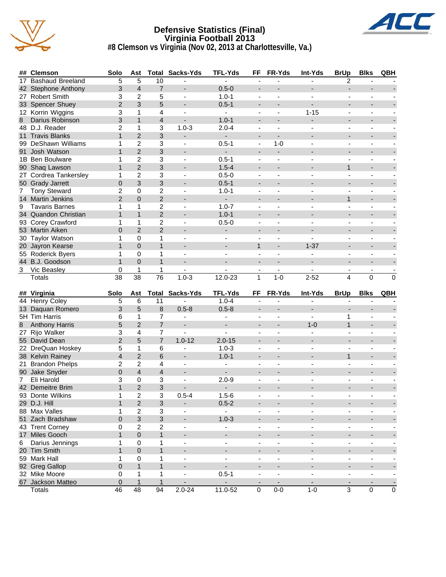

#### **Defensive Statistics (Final) Virginia Football 2013 #8 Clemson vs Virginia (Nov 02, 2013 at Charlottesville, Va.)**



|                | ## Clemson              | Solo            | Ast              |                 | <b>Total Sacks-Yds</b>   | <b>TFL-Yds</b>                 | FF                       | FR-Yds                   | <b>Int-Yds</b>               | <b>BrUp</b>              | <b>Blks</b>                  | QBH                      |
|----------------|-------------------------|-----------------|------------------|-----------------|--------------------------|--------------------------------|--------------------------|--------------------------|------------------------------|--------------------------|------------------------------|--------------------------|
| 17             | <b>Bashaud Breeland</b> | $\overline{5}$  | 5                | 10              |                          |                                | $\blacksquare$           |                          |                              | 2                        |                              |                          |
| 42             | Stephone Anthony        | 3               | $\overline{4}$   | $\overline{7}$  |                          | $0.5 - 0$                      | $\overline{\phantom{a}}$ |                          |                              | $\overline{a}$           |                              |                          |
|                | 27 Robert Smith         | 3               | $\overline{2}$   | 5               | $\blacksquare$           | $1.0 - 1$                      | $\blacksquare$           | $\blacksquare$           | $\overline{\phantom{a}}$     | $\blacksquare$           | ÷,                           |                          |
|                | 33 Spencer Shuey        | $\overline{2}$  | 3                | 5               |                          | $0.5 - 1$                      | $\overline{\phantom{a}}$ |                          |                              |                          | $\overline{\phantom{a}}$     |                          |
|                | 12 Korrin Wiggins       | 3               | 1                | 4               |                          |                                | $\blacksquare$           |                          | $1 - 15$                     | $\overline{a}$           |                              |                          |
| 8              | Darius Robinson         | 3               | $\mathbf{1}$     | 4               |                          | $1.0 - 1$                      | $\overline{\phantom{a}}$ |                          |                              |                          | ÷,                           |                          |
|                | 48 D.J. Reader          | $\overline{2}$  | 1                | 3               | $1.0 - 3$                | $2.0 - 4$                      | $\overline{\phantom{a}}$ |                          |                              | $\blacksquare$           | $\overline{\phantom{m}}$     |                          |
| 11             | <b>Travis Blanks</b>    | $\mathbf{1}$    | $\overline{2}$   | 3               |                          | $\blacksquare$                 | $\overline{\phantom{a}}$ | $\blacksquare$           |                              | $\overline{a}$           | $\overline{a}$               |                          |
| 99             | <b>DeShawn Williams</b> | 1               | $\overline{c}$   | 3               |                          | $0.5 - 1$                      | $\blacksquare$           | $1 - 0$                  |                              | $\overline{\phantom{a}}$ | $\qquad \qquad \blacksquare$ |                          |
|                | 91 Josh Watson          | $\mathbf{1}$    | $\overline{2}$   | 3               |                          | ÷.                             | $\overline{\phantom{a}}$ | $\overline{\phantom{a}}$ |                              |                          | $\overline{\phantom{a}}$     |                          |
|                | 1B Ben Boulware         | 1               | $\overline{c}$   | 3               | $\overline{\phantom{a}}$ | $0.5 - 1$                      | $\blacksquare$           | $\blacksquare$           |                              | $\blacksquare$           | $\overline{\phantom{m}}$     |                          |
| 90             | Shaq Lawson             | $\mathbf{1}$    | $\overline{2}$   | 3               |                          | $1.5 - 4$                      | $\overline{\phantom{a}}$ |                          |                              | $\mathbf{1}$             | $\overline{\phantom{a}}$     |                          |
| 2T             | Cordrea Tankersley      | 1               | $\overline{c}$   | 3               | $\overline{\phantom{a}}$ | $0.5 - 0$                      | $\blacksquare$           | $\blacksquare$           | $\overline{\phantom{a}}$     | $\blacksquare$           | ä,                           |                          |
|                | 50 Grady Jarrett        | $\overline{0}$  | 3                | 3               |                          | $0.5 - 1$                      | $\overline{\phantom{a}}$ |                          |                              |                          | ٠                            |                          |
| 7              | <b>Tony Steward</b>     | 2               | 0                | 2               |                          | $1.0 - 1$                      | $\blacksquare$           |                          |                              | $\blacksquare$           |                              |                          |
|                | 14 Martin Jenkins       | $\overline{2}$  | $\overline{0}$   | $\overline{c}$  |                          |                                | $\overline{\phantom{a}}$ |                          |                              | $\mathbf{1}$             | ÷,                           |                          |
| 9              | <b>Tavaris Barnes</b>   | 1               | 1                | $\overline{c}$  | $\blacksquare$           | $1.0 - 7$                      | $\blacksquare$           |                          |                              | $\blacksquare$           | ä,                           |                          |
|                | 34 Quandon Christian    | $\mathbf{1}$    | $\mathbf{1}$     | $\overline{2}$  |                          | $1.0 - 1$                      | $\blacksquare$           |                          |                              | $\overline{a}$           | ÷,                           |                          |
|                | 93 Corey Crawford       | 1               | 1                | $\overline{c}$  |                          | $0.5 - 0$                      | $\overline{\phantom{a}}$ |                          |                              | $\overline{\phantom{a}}$ | $\qquad \qquad \blacksquare$ |                          |
|                | 53 Martin Aiken         | $\overline{0}$  | $\overline{2}$   | $\overline{2}$  |                          |                                | $\overline{\phantom{a}}$ |                          |                              |                          | $\overline{a}$               |                          |
| 30             | <b>Taylor Watson</b>    | 1               | 0                | 1               | $\overline{\phantom{a}}$ | ۰.<br>$\overline{\phantom{m}}$ | $\blacksquare$           | $\blacksquare$           |                              | $\blacksquare$           | $\overline{\phantom{m}}$     |                          |
|                |                         | $\mathbf{1}$    | $\overline{0}$   | $\mathbf{1}$    |                          |                                | $\mathbf{1}$             |                          | $1 - 37$                     | $\overline{a}$           |                              |                          |
|                | 20 Jayron Kearse        |                 |                  |                 |                          |                                |                          |                          |                              |                          | $\overline{\phantom{0}}$     |                          |
|                | 55 Roderick Byers       | 1               | $\mathbf 0$      | 1               | $\blacksquare$           | $\blacksquare$                 | $\blacksquare$           | $\blacksquare$           | $\blacksquare$               | $\blacksquare$           | ä,                           |                          |
|                | 44 B.J. Goodson         | $\mathbf{1}$    | $\Omega$         | $\mathbf{1}$    |                          |                                | $\overline{\phantom{a}}$ |                          |                              |                          | ٠                            |                          |
| 3              | Vic Beasley             | 0               | 1                | 1               |                          |                                | $\overline{\phantom{a}}$ | $\sim$                   |                              |                          | $\overline{\phantom{m}}$     |                          |
|                | <b>Totals</b>           | $\overline{38}$ | $\overline{38}$  | $\overline{76}$ | $1.0 - 3$                | $12.0 - 23$                    | 1                        | $1 - 0$                  | $2 - 52$                     | 4                        | 0                            | $\mathbf 0$              |
|                |                         |                 |                  |                 |                          |                                |                          |                          |                              |                          |                              |                          |
|                |                         |                 |                  |                 |                          |                                |                          |                          |                              |                          |                              |                          |
|                | ## Virginia             | Solo            | Ast              |                 | <b>Total Sacks-Yds</b>   | <b>TFL-Yds</b>                 | FF                       | FR-Yds                   | Int-Yds                      | <b>BrUp</b>              | <b>Blks</b>                  | QBH                      |
|                | 44 Henry Coley          | 5               | 6                | 11              |                          | $1.0 - 4$                      |                          |                          |                              |                          |                              |                          |
| 13             | Daquan Romero           | 3               | 5                | 8               | $0.5 - 8$                | $0.5 - 8$                      | $\overline{\phantom{a}}$ |                          |                              |                          | $\overline{a}$               |                          |
|                | 5H Tim Harris           | 6               | 1                | 7               |                          | $\blacksquare$                 | $\blacksquare$           | $\blacksquare$           | $\overline{\phantom{0}}$     | 1                        | ä,                           |                          |
| 8              | <b>Anthony Harris</b>   | 5               | $\overline{2}$   | $\overline{7}$  | $\blacksquare$           | $\blacksquare$                 | $\overline{\phantom{a}}$ |                          | $1 - 0$                      | $\mathbf{1}$             | -                            |                          |
| 27             | Rijo Walker             | 3               | 4                | 7               | $\overline{a}$           | $\blacksquare$                 | $\blacksquare$           | $\blacksquare$           | ٠                            | $\blacksquare$           | ÷,                           |                          |
|                | 55 David Dean           | $\overline{2}$  | 5                | $\overline{7}$  | $1.0 - 12$               | $2.0 - 15$                     | $\overline{\phantom{a}}$ |                          |                              | $\overline{\phantom{a}}$ | ٠                            |                          |
|                | 22 DreQuan Hoskey       | 5               | 1                | 6               |                          | $1.0 - 3$                      | $\blacksquare$           |                          |                              | $\overline{a}$           |                              |                          |
|                | 38 Kelvin Rainey        | 4               | $\overline{2}$   | 6               | $\overline{\phantom{a}}$ | $1.0 - 1$                      | $\overline{\phantom{a}}$ |                          |                              | $\mathbf{1}$             | ÷,                           |                          |
| 21             | <b>Brandon Phelps</b>   | $\overline{2}$  | 2                | 4               | $\blacksquare$           | $\overline{\phantom{a}}$       | $\blacksquare$           | ä,                       |                              | $\blacksquare$           | ä,                           |                          |
|                | 90 Jake Snyder          | $\overline{0}$  | $\overline{4}$   | $\overline{4}$  | $\overline{\phantom{a}}$ |                                | $\overline{a}$           |                          |                              |                          | $\overline{a}$               |                          |
| $\overline{7}$ | Eli Harold              | 3               | 0                | 3               |                          | $2.0 - 9$                      |                          |                          |                              |                          | ٠                            |                          |
|                | 42 Demeitre Brim        | $\mathbf{1}$    | $\overline{2}$   | 3               |                          |                                | $\overline{a}$           |                          |                              |                          | $\overline{a}$               |                          |
|                | 93 Donte Wilkins        | 1               | $\overline{2}$   | 3               | $0.5 - 4$                | $1.5 - 6$                      |                          | $\overline{a}$           |                              |                          | -                            |                          |
|                | 29 D.J. Hill            | $\mathbf{1}$    | $\sqrt{2}$       | 3               |                          | $0.5 - 2$                      | $\overline{\phantom{a}}$ |                          |                              |                          | $\qquad \qquad \blacksquare$ |                          |
|                | 88 Max Valles           | 1               | $\boldsymbol{2}$ | $\mathbf{3}$    | $\blacksquare$           | $\sim$                         | $\overline{\phantom{a}}$ | $\blacksquare$           | ۰.                           | $\blacksquare$           | $\overline{\phantom{a}}$     |                          |
|                | 51 Zach Bradshaw        | $\mathbf 0$     | $\mathbf{3}$     | 3               | $\overline{\phantom{a}}$ | $1.0 - 3$                      | $\overline{\phantom{a}}$ | $\overline{\phantom{a}}$ |                              | $\overline{\phantom{a}}$ | $\overline{\phantom{a}}$     |                          |
|                | 43 Trent Corney         | 0               | $\boldsymbol{2}$ | $\overline{c}$  | $\blacksquare$           | ÷,                             | $\blacksquare$           |                          |                              | ÷,                       | ä,                           |                          |
|                | 17 Miles Gooch          | $\mathbf{1}$    | $\pmb{0}$        | $\mathbf{1}$    | $\overline{\phantom{a}}$ | $\blacksquare$                 | $\overline{\phantom{a}}$ |                          | $\overline{\phantom{a}}$     | $\overline{a}$           | $\overline{\phantom{m}}$     |                          |
| 6              | Darius Jennings         | 1               | $\mathbf 0$      | 1               | $\blacksquare$           | $\blacksquare$                 | $\overline{\phantom{a}}$ | $\blacksquare$           | $\overline{\phantom{a}}$     | $\blacksquare$           | $\blacksquare$               |                          |
|                | 20 Tim Smith            | $\mathbf{1}$    | $\pmb{0}$        | $\mathbf{1}$    | $\overline{\phantom{a}}$ | $\blacksquare$                 | $\overline{\phantom{a}}$ | $\overline{\phantom{a}}$ | $\overline{\phantom{a}}$     | $\overline{a}$           | $\overline{\phantom{a}}$     |                          |
|                | 59 Mark Hall            | 1               | $\pmb{0}$        | 1               | $\blacksquare$           | $\overline{\phantom{a}}$       | $\overline{\phantom{a}}$ | $\overline{\phantom{a}}$ | $\qquad \qquad \blacksquare$ | $\overline{\phantom{a}}$ | $\qquad \qquad \blacksquare$ |                          |
|                | 92 Greg Gallop          | 0               | $\mathbf{1}$     | $\mathbf{1}$    | $\overline{\phantom{a}}$ | $\mathcal{L}^{\pm}$            | $\overline{\phantom{a}}$ |                          | $\overline{\phantom{a}}$     | $\overline{\phantom{a}}$ | $\overline{\phantom{a}}$     |                          |
|                | 32 Mike Moore           | 0               | 1                | 1               | $\overline{\phantom{a}}$ | $0.5 - 1$                      | $\overline{\phantom{a}}$ | $\blacksquare$           | $\overline{\phantom{a}}$     | $\blacksquare$           | $\overline{\phantom{a}}$     | $\overline{\phantom{a}}$ |
|                | 67 Jackson Matteo       | 0<br>46         | $\mathbf{1}$     | $\mathbf{1}$    | -                        |                                | ٠                        | $\overline{\phantom{a}}$ | $1 - 0$                      | ٠<br>$\overline{3}$      | $\qquad \qquad \blacksquare$ | $\overline{0}$           |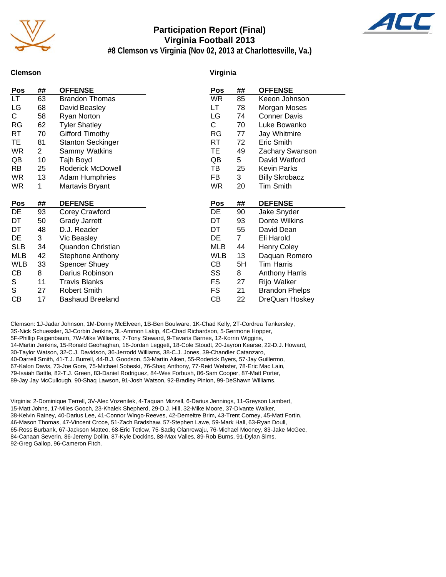

#### **Participation Report (Final) Virginia Football 2013 #8 Clemson vs Virginia (Nov 02, 2013 at Charlottesville, Va.)**



**Clemson**

#### **Virginia**

| Keeon Johnson<br>Morgan Moses<br><b>Conner Davis</b><br>Luke Bowanko<br>Jay Whitmire<br>Eric Smith<br>Zachary Swanson<br>David Watford<br>Kevin Parks<br><b>Billy Skrobacz</b><br><b>Tim Smith</b> |
|----------------------------------------------------------------------------------------------------------------------------------------------------------------------------------------------------|
|                                                                                                                                                                                                    |
|                                                                                                                                                                                                    |
|                                                                                                                                                                                                    |
|                                                                                                                                                                                                    |
|                                                                                                                                                                                                    |
|                                                                                                                                                                                                    |
|                                                                                                                                                                                                    |
|                                                                                                                                                                                                    |
|                                                                                                                                                                                                    |
|                                                                                                                                                                                                    |
|                                                                                                                                                                                                    |
|                                                                                                                                                                                                    |
| <b>DEFENSE</b>                                                                                                                                                                                     |
| Jake Snyder                                                                                                                                                                                        |
| Donte Wilkins                                                                                                                                                                                      |
| David Dean                                                                                                                                                                                         |
|                                                                                                                                                                                                    |
| Eli Harold                                                                                                                                                                                         |
| <b>Henry Coley</b>                                                                                                                                                                                 |
| Daquan Romero                                                                                                                                                                                      |
| <b>Tim Harris</b>                                                                                                                                                                                  |
| <b>Anthony Harris</b>                                                                                                                                                                              |
| Rijo Walker                                                                                                                                                                                        |
| <b>Brandon Phelps</b>                                                                                                                                                                              |
|                                                                                                                                                                                                    |

Clemson: 1J-Jadar Johnson, 1M-Donny McElveen, 1B-Ben Boulware, 1K-Chad Kelly, 2T-Cordrea Tankersley, 3S-Nick Schuessler, 3J-Corbin Jenkins, 3L-Ammon Lakip, 4C-Chad Richardson, 5-Germone Hopper, 5F-Phillip Fajgenbaum, 7W-Mike Williams, 7-Tony Steward, 9-Tavaris Barnes, 12-Korrin Wiggins, 14-Martin Jenkins, 15-Ronald Geohaghan, 16-Jordan Leggett, 18-Cole Stoudt, 20-Jayron Kearse, 22-D.J. Howard, 30-Taylor Watson, 32-C.J. Davidson, 36-Jerrodd Williams, 38-C.J. Jones, 39-Chandler Catanzaro, 40-Darrell Smith, 41-T.J. Burrell, 44-B.J. Goodson, 53-Martin Aiken, 55-Roderick Byers, 57-Jay Guillermo, 67-Kalon Davis, 73-Joe Gore, 75-Michael Sobeski, 76-Shaq Anthony, 77-Reid Webster, 78-Eric Mac Lain, 79-Isaiah Battle, 82-T.J. Green, 83-Daniel Rodriguez, 84-Wes Forbush, 86-Sam Cooper, 87-Matt Porter, 89-Jay Jay McCullough, 90-Shaq Lawson, 91-Josh Watson, 92-Bradley Pinion, 99-DeShawn Williams.

Virginia: 2-Dominique Terrell, 3V-Alec Vozenilek, 4-Taquan Mizzell, 6-Darius Jennings, 11-Greyson Lambert, 15-Matt Johns, 17-Miles Gooch, 23-Khalek Shepherd, 29-D.J. Hill, 32-Mike Moore, 37-Divante Walker, 38-Kelvin Rainey, 40-Darius Lee, 41-Connor Wingo-Reeves, 42-Demeitre Brim, 43-Trent Corney, 45-Matt Fortin, 46-Mason Thomas, 47-Vincent Croce, 51-Zach Bradshaw, 57-Stephen Lawe, 59-Mark Hall, 63-Ryan Doull, 65-Ross Burbank, 67-Jackson Matteo, 68-Eric Tetlow, 75-Sadiq Olanrewaju, 76-Michael Mooney, 83-Jake McGee, 84-Canaan Severin, 86-Jeremy Dollin, 87-Kyle Dockins, 88-Max Valles, 89-Rob Burns, 91-Dylan Sims, 92-Greg Gallop, 96-Cameron Fitch.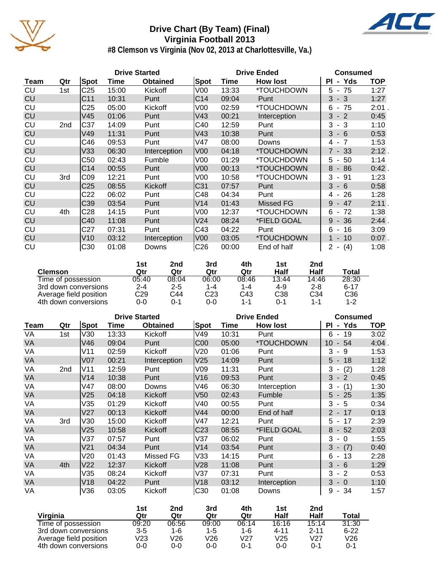

# **Drive Chart (By Team) (Final) Virginia Football 2013**



**#8 Clemson vs Virginia (Nov 02, 2013 at Charlottesville, Va.)**

|             |     |                 |       | <b>Drive Started</b> |                 | <b>Drive Ended</b> | <b>Consumed</b>  |                    |          |
|-------------|-----|-----------------|-------|----------------------|-----------------|--------------------|------------------|--------------------|----------|
| <b>Team</b> | Qtr | Spot            | Time  | <b>Obtained</b>      | Spot            | Time               | <b>How lost</b>  | ΡI<br>- Yds        | TOP      |
| CU          | 1st | C <sub>25</sub> | 15:00 | Kickoff              | V00             | 13:33              | *TOUCHDOWN       | $5 - 75$           | 1:27     |
| CU          |     | C <sub>11</sub> | 10:31 | Punt                 | C <sub>14</sub> | 09:04              | Punt             | $3 - 3$            | 1:27     |
| CU          |     | C <sub>25</sub> | 05:00 | Kickoff              | V00             | 02:59              | *TOUCHDOWN       | $6 - 75$           | $2:01$ . |
| CU          |     | V45             | 01:06 | Punt                 | V43             | 00:21              | Interception     | $3 - 2$            | 0:45     |
| CU          | 2nd | C37             | 14:09 | Punt                 | C40             | 12:59              | Punt             | $-3$<br>3          | 1:10     |
| CU          |     | V49             | 11:31 | Punt                 | V43             | 10:38              | Punt             | $3 - 6$            | 0:53     |
| CU          |     | C46             | 09:53 | Punt                 | V47             | 08:00              | Downs            | $4 - 7$            | 1:53     |
| CU          |     | V33             | 06:30 | Interception         | V <sub>00</sub> | 04:18              | *TOUCHDOWN       | $7 - 33$           | 2:12.    |
| CU          |     | C50             | 02:43 | Fumble               | V00             | 01:29              | *TOUCHDOWN       | 5<br>-50<br>$\sim$ | 1:14     |
| CU          |     | C <sub>14</sub> | 00:55 | Punt                 | V <sub>00</sub> | 00:13              | *TOUCHDOWN       | $8 - 86$           | 0:42.    |
| CU          | 3rd | CO9             | 12:21 | Punt                 | V <sub>00</sub> | 10:58              | *TOUCHDOWN       | $3 - 91$           | 1:23     |
| CU          |     | C <sub>25</sub> | 08:55 | Kickoff              | C31             | 07:57              | Punt             | $3 - 6$            | 0:58     |
| CU          |     | C <sub>22</sub> | 06:02 | Punt                 | C48             | 04:34              | Punt             | 26<br>4 -          | 1:28     |
| <b>CU</b>   |     | C39             | 03:54 | Punt                 | V <sub>14</sub> | 01:43              | <b>Missed FG</b> | $-47$<br>9         | 2:11.    |
| CU          | 4th | C <sub>28</sub> | 14:15 | Punt                 | V00             | 12:37              | *TOUCHDOWN       | $6 - 72$           | 1:38     |
| CU          |     | C40             | 11:08 | Punt                 | V24             | 08:24              | *FIELD GOAL      | $9 - 36$           | 2:44.    |
| CU          |     | C27             | 07:31 | Punt                 | C43             | 04:22              | Punt             | $6 - 16$           | 3:09     |
| <b>CU</b>   |     | V10             | 03:12 | Interception         | V <sub>00</sub> | 03:05              | *TOUCHDOWN       | $1 - 10$           | $0:07$ . |
| CU          |     | C30             | 01:08 | Downs                | C <sub>26</sub> | 00:00              | End of half      | $2 - (4)$          | 1:08     |

|                        | 1st     | 2nd     | 3rd     | 4th   | 1st   | 2nd     |          |
|------------------------|---------|---------|---------|-------|-------|---------|----------|
| <b>Clemson</b>         | Qtr     | Qtr     | Qtr     | Qtr   | Half  | Half    | Total    |
| Time of possession     | 05:40   | 08:04   | 06:00   | 08:46 | 13:44 | 14:46   | 28:30    |
| 3rd down conversions   | $2 - 4$ | $2 - 5$ | $1 - 4$ | 1-4   | 4-9   | $2 - 8$ | $6 - 17$ |
| Average field position | C29     | C44     | C23     | C43   | C38   | C34     | C36      |
| 4th down conversions   | 0-0     | ი-1     | 0-0     | 1-1   | ი-1   | $1 - 1$ | $1 - 2$  |

|           |     |                 |       | <b>Drive Started</b> |                 | <b>Drive Ended</b> | <b>Consumed</b> |                                      |            |
|-----------|-----|-----------------|-------|----------------------|-----------------|--------------------|-----------------|--------------------------------------|------------|
| Team      | Qtr | Spot            | Time  | <b>Obtained</b>      | Spot            | Time               | <b>How lost</b> | - Yds<br><b>PI</b>                   | <b>TOP</b> |
| VA        | 1st | V30             | 13:33 | Kickoff              | V49             | 10:31              | Punt            | 19<br>6<br>$\sim$                    | 3:02       |
| VA        |     | V46             | 09:04 | Punt                 | C <sub>00</sub> | 05:00              | *TOUCHDOWN      | 54<br>10<br>$\blacksquare$           | 4:04       |
| VA        |     | V11             | 02:59 | Kickoff              | V20             | 01:06              | Punt            | 3<br>- 9                             | 1:53       |
| VA        |     | V <sub>07</sub> | 00:21 | Interception         | V25             | 14:09              | Punt            | $5 - 18$                             | 1:12       |
| VA        | 2nd | V11             | 12:59 | Punt                 | V09             | 11:31              | Punt            | (2)<br>3<br>$\sim$                   | 1:28       |
| <b>VA</b> |     | V14             | 10:38 | Punt                 | V16             | 09:53              | Punt            | 3<br>$-2$                            | 0:45       |
| VA        |     | V47             | 08:00 | Downs                | V46             | 06:30              | Interception    | 3<br>(1)<br>$\overline{\phantom{a}}$ | 1:30       |
| VA        |     | V25             | 04:18 | Kickoff              | V50             | 02:43              | Fumble          | $5 - 25$                             | 1:35       |
| VA        |     | V35             | 01:29 | Kickoff              | V40             | 00:55              | Punt            | 3<br>- 5                             | 0:34       |
| VA        |     | V27             | 00:13 | Kickoff              | V44             | 00:00              | End of half     | $2 - 17$                             | 0:13       |
| VA        | 3rd | V30             | 15:00 | Kickoff              | V47             | 12:21              | Punt            | 17<br>5<br>$\sim$                    | 2:39       |
| VA        |     | V25             | 10:58 | Kickoff              | C <sub>23</sub> | 08:55              | *FIELD GOAL     | $-52$<br>8                           | 2:03       |
| VA        |     | V37             | 07:57 | Punt                 | V37             | 06:02              | Punt            | 3<br>$-0$                            | 1:55       |
| <b>VA</b> |     | V <sub>21</sub> | 04:34 | Punt                 | V14             | 03:54              | Punt            | $3 - (7)$                            | 0:40       |
| VA        |     | V20             | 01:43 | Missed FG            | V33             | 14:15              | Punt            | $-13$<br>6                           | 2:28       |
| VA        | 4th | V <sub>22</sub> | 12:37 | Kickoff              | V28             | 11:08              | Punt            | 3<br>$-6$                            | 1:29       |
| VA        |     | V35             | 08:24 | <b>Kickoff</b>       | V37             | 07:31              | Punt            | $-2$<br>3                            | 0:53       |
| VA        |     | V18             | 04:22 | Punt                 | V18             | 03:12              | Interception    | 3<br>$-0$                            | 1:10       |
| VA        |     | V36             | 03:05 | Kickoff              | C <sub>30</sub> | 01:08              | Downs           | $-34$<br>9                           | 1:57       |

|                        | 1st     | 2nd         | 3rd   | 4th     | 1st             | 2nd      |          |
|------------------------|---------|-------------|-------|---------|-----------------|----------|----------|
| Virginia               | Qtr     | Qtr         | Qtr   | Qtr     | Half            | Half     | Total    |
| Time of possession     | 09:20   | 06:56       | 09:00 | 06:14   | 16:16           | 15:14    | 31:30    |
| 3rd down conversions   | $3 - 5$ | 1-6         | 1-5   | $1 - 6$ | 4-11            | $2 - 11$ | $6 - 22$ |
| Average field position | V23     | $\sqrt{26}$ | V26   | V27     | V <sub>25</sub> | V27      | V26      |
| 4th down conversions   | 0-0     | 0-0         | 0-0   | $0 - 1$ | $0 - 0$         | $0 - 1$  | 0-1      |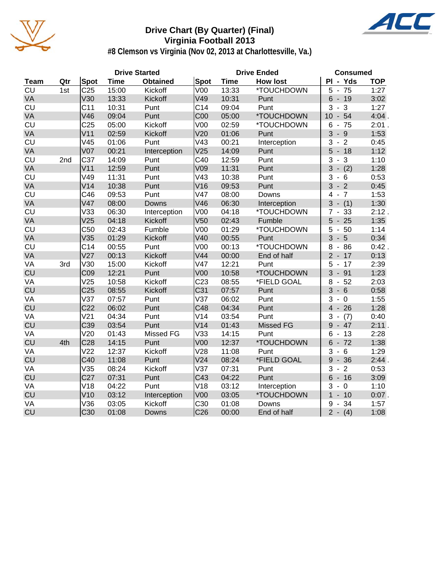

# **Drive Chart (By Quarter) (Final) Virginia Football 2013**



**#8 Clemson vs Virginia (Nov 02, 2013 at Charlottesville, Va.)**

| <b>Drive Started</b><br><b>Drive Ended</b> |                 |                 |             |                 |                 | <b>Consumed</b> |                 |                                     |            |
|--------------------------------------------|-----------------|-----------------|-------------|-----------------|-----------------|-----------------|-----------------|-------------------------------------|------------|
| <b>Team</b>                                | Qtr             | <b>Spot</b>     | <b>Time</b> | <b>Obtained</b> | <b>Spot</b>     | <b>Time</b>     | <b>How lost</b> | PI - Yds                            | <b>TOP</b> |
| CU                                         | 1st             | C <sub>25</sub> | 15:00       | Kickoff         | V <sub>00</sub> | 13:33           | *TOUCHDOWN      | 5<br>75<br>$\overline{a}$           | 1:27       |
| VA                                         |                 | V30             | 13:33       | Kickoff         | V49             | 10:31           | Punt            | 6<br>$-19$                          | 3:02       |
| <b>CU</b>                                  |                 | C <sub>11</sub> | 10:31       | Punt            | C <sub>14</sub> | 09:04           | Punt            | 3<br>3<br>$\blacksquare$            | 1:27       |
| VA                                         |                 | V46             | 09:04       | Punt            | C <sub>00</sub> | 05:00           | *TOUCHDOWN      | $10 - 54$                           | 4:04.      |
| CU                                         |                 | C <sub>25</sub> | 05:00       | Kickoff         | V <sub>00</sub> | 02:59           | *TOUCHDOWN      | $-75$<br>6                          | 2:01.      |
| VA                                         |                 | V <sub>11</sub> | 02:59       | Kickoff         | V20             | 01:06           | Punt            | 3<br>$-9$                           | 1:53       |
| CU                                         |                 | V45             | 01:06       | Punt            | V43             | 00:21           | Interception    | $-2$<br>3                           | 0:45       |
| VA                                         |                 | V <sub>07</sub> | 00:21       | Interception    | V <sub>25</sub> | 14:09           | Punt            | $5 - 18$                            | 1:12       |
| CU                                         | 2 <sub>nd</sub> | C37             | 14:09       | Punt            | C40             | 12:59           | Punt            | 3<br>$-3$                           | 1:10       |
| VA                                         |                 | V <sub>11</sub> | 12:59       | Punt            | V09             | 11:31           | Punt            | (2)<br>3<br>$\blacksquare$          | 1:28       |
| CU                                         |                 | V49             | 11:31       | Punt            | V43             | 10:38           | Punt            | 3<br>- 6                            | 0:53       |
| VA                                         |                 | V14             | 10:38       | Punt            | V16             | 09:53           | Punt            | $3 - 2$                             | 0:45       |
| CU                                         |                 | C46             | 09:53       | Punt            | V47             | 08:00           | Downs           | $4 - 7$                             | 1:53       |
| VA                                         |                 | V47             | 08:00       | Downs           | V46             | 06:30           | Interception    | $- (1)$<br>3                        | 1:30       |
| <b>CU</b>                                  |                 | V33             | 06:30       | Interception    | V <sub>00</sub> | 04:18           | *TOUCHDOWN      | 33<br>7<br>$\blacksquare$           | 2:12.      |
| <b>VA</b>                                  |                 | V25             | 04:18       | Kickoff         | V <sub>50</sub> | 02:43           | Fumble          | $5 -$<br>25                         | 1:35       |
| CU                                         |                 | C50             | 02:43       | Fumble          | V <sub>00</sub> | 01:29           | *TOUCHDOWN      | 5<br>50<br>$\overline{\phantom{a}}$ | 1:14       |
| VA                                         |                 | V35             | 01:29       | Kickoff         | V40             | 00:55           | Punt            | 3<br>5<br>$\blacksquare$            | 0:34       |
| CU                                         |                 | C <sub>14</sub> | 00:55       | Punt            | V <sub>00</sub> | 00:13           | *TOUCHDOWN      | 86<br>8<br>$\blacksquare$           | $0:42$ .   |
| VA                                         |                 | V27             | 00:13       | Kickoff         | V44             | 00:00           | End of half     | $2 - 17$                            | 0:13       |
| VA                                         | 3rd             | V30             | 15:00       | Kickoff         | V47             | 12:21           | Punt            | $5 - 17$                            | 2:39       |
| <b>CU</b>                                  |                 | C <sub>09</sub> | 12:21       | Punt            | V <sub>00</sub> | 10:58           | *TOUCHDOWN      | $3 - 91$                            | 1:23       |
| VA                                         |                 | V25             | 10:58       | Kickoff         | C <sub>23</sub> | 08:55           | *FIELD GOAL     | $-52$<br>8                          | 2:03       |
| <b>CU</b>                                  |                 | C <sub>25</sub> | 08:55       | Kickoff         | C31             | 07:57           | Punt            | $3 - 6$                             | 0:58       |
| VA                                         |                 | V37             | 07:57       | Punt            | V37             | 06:02           | Punt            | 3<br>$-0$                           | 1:55       |
| CU                                         |                 | C <sub>22</sub> | 06:02       | Punt            | C48             | 04:34           | Punt            | $4 - 26$                            | 1:28       |
| VA                                         |                 | V <sub>21</sub> | 04:34       | Punt            | V14             | 03:54           | Punt            | 3<br>(7)                            | 0:40       |
| CU                                         |                 | C39             | 03:54       | Punt            | V14             | 01:43           | Missed FG       | $9 - 47$                            | 2:11.      |
| VA                                         |                 | V20             | 01:43       | Missed FG       | V33             | 14:15           | Punt            | $6 - 13$                            | 2:28       |
| CU                                         | 4th             | C <sub>28</sub> | 14:15       | Punt            | <b>V00</b>      | 12:37           | *TOUCHDOWN      | $-72$<br>6                          | 1:38       |
| VA                                         |                 | V <sub>22</sub> | 12:37       | Kickoff         | V28             | 11:08           | Punt            | $-6$<br>3                           | 1:29       |
| <b>CU</b>                                  |                 | C40             | 11:08       | Punt            | V <sub>24</sub> | 08:24           | *FIELD GOAL     | $9 - 36$                            | 2:44.      |
| VA                                         |                 | V35             | 08:24       | Kickoff         | V37             | 07:31           | Punt            | $-2$<br>3                           | 0:53       |
| <b>CU</b>                                  |                 | C <sub>27</sub> | 07:31       | Punt            | C43             | 04:22           | Punt            | $6\phantom{1}$<br>$-16$             | 3:09       |
| VA                                         |                 | V18             | 04:22       | Punt            | V18             | 03:12           | Interception    | 3<br>$\mathbf 0$<br>$\blacksquare$  | 1:10       |
| CU                                         |                 | V10             | 03:12       | Interception    | <b>V00</b>      | 03:05           | *TOUCHDOWN      | $\overline{1}$<br>$-10$             | $0:07$ .   |
| VA                                         |                 | V36             | 03:05       | Kickoff         | C30             | 01:08           | Downs           | 34<br>9<br>$\blacksquare$           | 1:57       |
| <b>CU</b>                                  |                 | C <sub>30</sub> | 01:08       | <b>Downs</b>    | C <sub>26</sub> | 00:00           | End of half     | $2 - (4)$                           | 1:08       |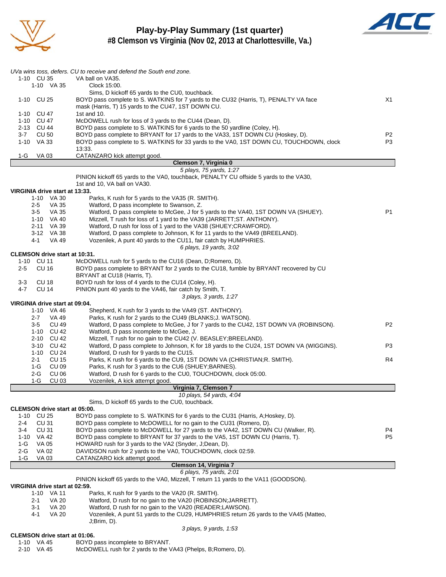

**Play-by-Play Summary (1st quarter) #8 Clemson vs Virginia (Nov 02, 2013 at Charlottesville, Va.)**



| UVa wins toss, defers. CU to receive and defend the South end zone.<br>Sims, D kickoff 65 yards to the CU0, touchback.<br>BOYD pass complete to S. WATKINS for 7 yards to the CU32 (Harris, T), PENALTY VA face<br>mask (Harris, T) 15 yards to the CU47, 1ST DOWN CU.<br>McDOWELL rush for loss of 3 yards to the CU44 (Dean, D).<br>BOYD pass complete to S. WATKINS for 6 yards to the 50 yardline (Coley, H).<br>BOYD pass complete to BRYANT for 17 yards to the VA33, 1ST DOWN CU (Hoskey, D).<br>BOYD pass complete to S. WATKINS for 33 yards to the VA0, 1ST DOWN CU, TOUCHDOWN, clock<br>CATANZARO kick attempt good.<br>Clemson 7, Virginia 0<br>5 plays, 75 yards, 1:27<br>PINION kickoff 65 yards to the VA0, touchback, PENALTY CU offside 5 yards to the VA30,<br>1st and 10, VA ball on VA30.<br>Parks, K rush for 5 yards to the VA35 (R. SMITH).<br>Watford, D pass incomplete to Swanson, Z.<br>Watford, D pass complete to McGee, J for 5 yards to the VA40, 1ST DOWN VA (SHUEY).<br>Mizzell, T rush for loss of 1 yard to the VA39 (JARRETT; ST. ANTHONY).<br>Watford, D rush for loss of 1 yard to the VA38 (SHUEY; CRAWFORD).<br>Watford, D pass complete to Johnson, K for 11 yards to the VA49 (BREELAND).<br>Vozenilek, A punt 40 yards to the CU11, fair catch by HUMPHRIES.<br>6 plays, 19 yards, 3:02<br>McDOWELL rush for 5 yards to the CU16 (Dean, D; Romero, D).<br>BOYD pass complete to BRYANT for 2 yards to the CU18, fumble by BRYANT recovered by CU<br>BRYANT at CU18 (Harris, T).<br>BOYD rush for loss of 4 yards to the CU14 (Coley, H).<br>PINION punt 40 yards to the VA46, fair catch by Smith, T. | X1<br>P <sub>2</sub><br>P <sub>3</sub><br>P <sub>1</sub>                                                                                                                                                                                                                                                                                                                                                                                                                                                                                                                                                                                                                                                                                                                                                                                                                                                                                                                                                                                                                                                                                                                                                                                                                                                                                                                                                                                                                                                                                                                                                                                                                                                                                   |
|--------------------------------------------------------------------------------------------------------------------------------------------------------------------------------------------------------------------------------------------------------------------------------------------------------------------------------------------------------------------------------------------------------------------------------------------------------------------------------------------------------------------------------------------------------------------------------------------------------------------------------------------------------------------------------------------------------------------------------------------------------------------------------------------------------------------------------------------------------------------------------------------------------------------------------------------------------------------------------------------------------------------------------------------------------------------------------------------------------------------------------------------------------------------------------------------------------------------------------------------------------------------------------------------------------------------------------------------------------------------------------------------------------------------------------------------------------------------------------------------------------------------------------------------------------------------------------------------------------------------------------------------------|--------------------------------------------------------------------------------------------------------------------------------------------------------------------------------------------------------------------------------------------------------------------------------------------------------------------------------------------------------------------------------------------------------------------------------------------------------------------------------------------------------------------------------------------------------------------------------------------------------------------------------------------------------------------------------------------------------------------------------------------------------------------------------------------------------------------------------------------------------------------------------------------------------------------------------------------------------------------------------------------------------------------------------------------------------------------------------------------------------------------------------------------------------------------------------------------------------------------------------------------------------------------------------------------------------------------------------------------------------------------------------------------------------------------------------------------------------------------------------------------------------------------------------------------------------------------------------------------------------------------------------------------------------------------------------------------------------------------------------------------|
|                                                                                                                                                                                                                                                                                                                                                                                                                                                                                                                                                                                                                                                                                                                                                                                                                                                                                                                                                                                                                                                                                                                                                                                                                                                                                                                                                                                                                                                                                                                                                                                                                                                  |                                                                                                                                                                                                                                                                                                                                                                                                                                                                                                                                                                                                                                                                                                                                                                                                                                                                                                                                                                                                                                                                                                                                                                                                                                                                                                                                                                                                                                                                                                                                                                                                                                                                                                                                            |
|                                                                                                                                                                                                                                                                                                                                                                                                                                                                                                                                                                                                                                                                                                                                                                                                                                                                                                                                                                                                                                                                                                                                                                                                                                                                                                                                                                                                                                                                                                                                                                                                                                                  |                                                                                                                                                                                                                                                                                                                                                                                                                                                                                                                                                                                                                                                                                                                                                                                                                                                                                                                                                                                                                                                                                                                                                                                                                                                                                                                                                                                                                                                                                                                                                                                                                                                                                                                                            |
|                                                                                                                                                                                                                                                                                                                                                                                                                                                                                                                                                                                                                                                                                                                                                                                                                                                                                                                                                                                                                                                                                                                                                                                                                                                                                                                                                                                                                                                                                                                                                                                                                                                  |                                                                                                                                                                                                                                                                                                                                                                                                                                                                                                                                                                                                                                                                                                                                                                                                                                                                                                                                                                                                                                                                                                                                                                                                                                                                                                                                                                                                                                                                                                                                                                                                                                                                                                                                            |
|                                                                                                                                                                                                                                                                                                                                                                                                                                                                                                                                                                                                                                                                                                                                                                                                                                                                                                                                                                                                                                                                                                                                                                                                                                                                                                                                                                                                                                                                                                                                                                                                                                                  |                                                                                                                                                                                                                                                                                                                                                                                                                                                                                                                                                                                                                                                                                                                                                                                                                                                                                                                                                                                                                                                                                                                                                                                                                                                                                                                                                                                                                                                                                                                                                                                                                                                                                                                                            |
|                                                                                                                                                                                                                                                                                                                                                                                                                                                                                                                                                                                                                                                                                                                                                                                                                                                                                                                                                                                                                                                                                                                                                                                                                                                                                                                                                                                                                                                                                                                                                                                                                                                  |                                                                                                                                                                                                                                                                                                                                                                                                                                                                                                                                                                                                                                                                                                                                                                                                                                                                                                                                                                                                                                                                                                                                                                                                                                                                                                                                                                                                                                                                                                                                                                                                                                                                                                                                            |
|                                                                                                                                                                                                                                                                                                                                                                                                                                                                                                                                                                                                                                                                                                                                                                                                                                                                                                                                                                                                                                                                                                                                                                                                                                                                                                                                                                                                                                                                                                                                                                                                                                                  |                                                                                                                                                                                                                                                                                                                                                                                                                                                                                                                                                                                                                                                                                                                                                                                                                                                                                                                                                                                                                                                                                                                                                                                                                                                                                                                                                                                                                                                                                                                                                                                                                                                                                                                                            |
|                                                                                                                                                                                                                                                                                                                                                                                                                                                                                                                                                                                                                                                                                                                                                                                                                                                                                                                                                                                                                                                                                                                                                                                                                                                                                                                                                                                                                                                                                                                                                                                                                                                  |                                                                                                                                                                                                                                                                                                                                                                                                                                                                                                                                                                                                                                                                                                                                                                                                                                                                                                                                                                                                                                                                                                                                                                                                                                                                                                                                                                                                                                                                                                                                                                                                                                                                                                                                            |
|                                                                                                                                                                                                                                                                                                                                                                                                                                                                                                                                                                                                                                                                                                                                                                                                                                                                                                                                                                                                                                                                                                                                                                                                                                                                                                                                                                                                                                                                                                                                                                                                                                                  |                                                                                                                                                                                                                                                                                                                                                                                                                                                                                                                                                                                                                                                                                                                                                                                                                                                                                                                                                                                                                                                                                                                                                                                                                                                                                                                                                                                                                                                                                                                                                                                                                                                                                                                                            |
|                                                                                                                                                                                                                                                                                                                                                                                                                                                                                                                                                                                                                                                                                                                                                                                                                                                                                                                                                                                                                                                                                                                                                                                                                                                                                                                                                                                                                                                                                                                                                                                                                                                  |                                                                                                                                                                                                                                                                                                                                                                                                                                                                                                                                                                                                                                                                                                                                                                                                                                                                                                                                                                                                                                                                                                                                                                                                                                                                                                                                                                                                                                                                                                                                                                                                                                                                                                                                            |
|                                                                                                                                                                                                                                                                                                                                                                                                                                                                                                                                                                                                                                                                                                                                                                                                                                                                                                                                                                                                                                                                                                                                                                                                                                                                                                                                                                                                                                                                                                                                                                                                                                                  |                                                                                                                                                                                                                                                                                                                                                                                                                                                                                                                                                                                                                                                                                                                                                                                                                                                                                                                                                                                                                                                                                                                                                                                                                                                                                                                                                                                                                                                                                                                                                                                                                                                                                                                                            |
|                                                                                                                                                                                                                                                                                                                                                                                                                                                                                                                                                                                                                                                                                                                                                                                                                                                                                                                                                                                                                                                                                                                                                                                                                                                                                                                                                                                                                                                                                                                                                                                                                                                  |                                                                                                                                                                                                                                                                                                                                                                                                                                                                                                                                                                                                                                                                                                                                                                                                                                                                                                                                                                                                                                                                                                                                                                                                                                                                                                                                                                                                                                                                                                                                                                                                                                                                                                                                            |
|                                                                                                                                                                                                                                                                                                                                                                                                                                                                                                                                                                                                                                                                                                                                                                                                                                                                                                                                                                                                                                                                                                                                                                                                                                                                                                                                                                                                                                                                                                                                                                                                                                                  |                                                                                                                                                                                                                                                                                                                                                                                                                                                                                                                                                                                                                                                                                                                                                                                                                                                                                                                                                                                                                                                                                                                                                                                                                                                                                                                                                                                                                                                                                                                                                                                                                                                                                                                                            |
|                                                                                                                                                                                                                                                                                                                                                                                                                                                                                                                                                                                                                                                                                                                                                                                                                                                                                                                                                                                                                                                                                                                                                                                                                                                                                                                                                                                                                                                                                                                                                                                                                                                  |                                                                                                                                                                                                                                                                                                                                                                                                                                                                                                                                                                                                                                                                                                                                                                                                                                                                                                                                                                                                                                                                                                                                                                                                                                                                                                                                                                                                                                                                                                                                                                                                                                                                                                                                            |
|                                                                                                                                                                                                                                                                                                                                                                                                                                                                                                                                                                                                                                                                                                                                                                                                                                                                                                                                                                                                                                                                                                                                                                                                                                                                                                                                                                                                                                                                                                                                                                                                                                                  |                                                                                                                                                                                                                                                                                                                                                                                                                                                                                                                                                                                                                                                                                                                                                                                                                                                                                                                                                                                                                                                                                                                                                                                                                                                                                                                                                                                                                                                                                                                                                                                                                                                                                                                                            |
|                                                                                                                                                                                                                                                                                                                                                                                                                                                                                                                                                                                                                                                                                                                                                                                                                                                                                                                                                                                                                                                                                                                                                                                                                                                                                                                                                                                                                                                                                                                                                                                                                                                  |                                                                                                                                                                                                                                                                                                                                                                                                                                                                                                                                                                                                                                                                                                                                                                                                                                                                                                                                                                                                                                                                                                                                                                                                                                                                                                                                                                                                                                                                                                                                                                                                                                                                                                                                            |
|                                                                                                                                                                                                                                                                                                                                                                                                                                                                                                                                                                                                                                                                                                                                                                                                                                                                                                                                                                                                                                                                                                                                                                                                                                                                                                                                                                                                                                                                                                                                                                                                                                                  |                                                                                                                                                                                                                                                                                                                                                                                                                                                                                                                                                                                                                                                                                                                                                                                                                                                                                                                                                                                                                                                                                                                                                                                                                                                                                                                                                                                                                                                                                                                                                                                                                                                                                                                                            |
|                                                                                                                                                                                                                                                                                                                                                                                                                                                                                                                                                                                                                                                                                                                                                                                                                                                                                                                                                                                                                                                                                                                                                                                                                                                                                                                                                                                                                                                                                                                                                                                                                                                  |                                                                                                                                                                                                                                                                                                                                                                                                                                                                                                                                                                                                                                                                                                                                                                                                                                                                                                                                                                                                                                                                                                                                                                                                                                                                                                                                                                                                                                                                                                                                                                                                                                                                                                                                            |
|                                                                                                                                                                                                                                                                                                                                                                                                                                                                                                                                                                                                                                                                                                                                                                                                                                                                                                                                                                                                                                                                                                                                                                                                                                                                                                                                                                                                                                                                                                                                                                                                                                                  |                                                                                                                                                                                                                                                                                                                                                                                                                                                                                                                                                                                                                                                                                                                                                                                                                                                                                                                                                                                                                                                                                                                                                                                                                                                                                                                                                                                                                                                                                                                                                                                                                                                                                                                                            |
|                                                                                                                                                                                                                                                                                                                                                                                                                                                                                                                                                                                                                                                                                                                                                                                                                                                                                                                                                                                                                                                                                                                                                                                                                                                                                                                                                                                                                                                                                                                                                                                                                                                  |                                                                                                                                                                                                                                                                                                                                                                                                                                                                                                                                                                                                                                                                                                                                                                                                                                                                                                                                                                                                                                                                                                                                                                                                                                                                                                                                                                                                                                                                                                                                                                                                                                                                                                                                            |
|                                                                                                                                                                                                                                                                                                                                                                                                                                                                                                                                                                                                                                                                                                                                                                                                                                                                                                                                                                                                                                                                                                                                                                                                                                                                                                                                                                                                                                                                                                                                                                                                                                                  |                                                                                                                                                                                                                                                                                                                                                                                                                                                                                                                                                                                                                                                                                                                                                                                                                                                                                                                                                                                                                                                                                                                                                                                                                                                                                                                                                                                                                                                                                                                                                                                                                                                                                                                                            |
|                                                                                                                                                                                                                                                                                                                                                                                                                                                                                                                                                                                                                                                                                                                                                                                                                                                                                                                                                                                                                                                                                                                                                                                                                                                                                                                                                                                                                                                                                                                                                                                                                                                  |                                                                                                                                                                                                                                                                                                                                                                                                                                                                                                                                                                                                                                                                                                                                                                                                                                                                                                                                                                                                                                                                                                                                                                                                                                                                                                                                                                                                                                                                                                                                                                                                                                                                                                                                            |
|                                                                                                                                                                                                                                                                                                                                                                                                                                                                                                                                                                                                                                                                                                                                                                                                                                                                                                                                                                                                                                                                                                                                                                                                                                                                                                                                                                                                                                                                                                                                                                                                                                                  |                                                                                                                                                                                                                                                                                                                                                                                                                                                                                                                                                                                                                                                                                                                                                                                                                                                                                                                                                                                                                                                                                                                                                                                                                                                                                                                                                                                                                                                                                                                                                                                                                                                                                                                                            |
|                                                                                                                                                                                                                                                                                                                                                                                                                                                                                                                                                                                                                                                                                                                                                                                                                                                                                                                                                                                                                                                                                                                                                                                                                                                                                                                                                                                                                                                                                                                                                                                                                                                  |                                                                                                                                                                                                                                                                                                                                                                                                                                                                                                                                                                                                                                                                                                                                                                                                                                                                                                                                                                                                                                                                                                                                                                                                                                                                                                                                                                                                                                                                                                                                                                                                                                                                                                                                            |
|                                                                                                                                                                                                                                                                                                                                                                                                                                                                                                                                                                                                                                                                                                                                                                                                                                                                                                                                                                                                                                                                                                                                                                                                                                                                                                                                                                                                                                                                                                                                                                                                                                                  |                                                                                                                                                                                                                                                                                                                                                                                                                                                                                                                                                                                                                                                                                                                                                                                                                                                                                                                                                                                                                                                                                                                                                                                                                                                                                                                                                                                                                                                                                                                                                                                                                                                                                                                                            |
|                                                                                                                                                                                                                                                                                                                                                                                                                                                                                                                                                                                                                                                                                                                                                                                                                                                                                                                                                                                                                                                                                                                                                                                                                                                                                                                                                                                                                                                                                                                                                                                                                                                  |                                                                                                                                                                                                                                                                                                                                                                                                                                                                                                                                                                                                                                                                                                                                                                                                                                                                                                                                                                                                                                                                                                                                                                                                                                                                                                                                                                                                                                                                                                                                                                                                                                                                                                                                            |
|                                                                                                                                                                                                                                                                                                                                                                                                                                                                                                                                                                                                                                                                                                                                                                                                                                                                                                                                                                                                                                                                                                                                                                                                                                                                                                                                                                                                                                                                                                                                                                                                                                                  |                                                                                                                                                                                                                                                                                                                                                                                                                                                                                                                                                                                                                                                                                                                                                                                                                                                                                                                                                                                                                                                                                                                                                                                                                                                                                                                                                                                                                                                                                                                                                                                                                                                                                                                                            |
|                                                                                                                                                                                                                                                                                                                                                                                                                                                                                                                                                                                                                                                                                                                                                                                                                                                                                                                                                                                                                                                                                                                                                                                                                                                                                                                                                                                                                                                                                                                                                                                                                                                  |                                                                                                                                                                                                                                                                                                                                                                                                                                                                                                                                                                                                                                                                                                                                                                                                                                                                                                                                                                                                                                                                                                                                                                                                                                                                                                                                                                                                                                                                                                                                                                                                                                                                                                                                            |
|                                                                                                                                                                                                                                                                                                                                                                                                                                                                                                                                                                                                                                                                                                                                                                                                                                                                                                                                                                                                                                                                                                                                                                                                                                                                                                                                                                                                                                                                                                                                                                                                                                                  |                                                                                                                                                                                                                                                                                                                                                                                                                                                                                                                                                                                                                                                                                                                                                                                                                                                                                                                                                                                                                                                                                                                                                                                                                                                                                                                                                                                                                                                                                                                                                                                                                                                                                                                                            |
| 3 plays, 3 yards, 1:27                                                                                                                                                                                                                                                                                                                                                                                                                                                                                                                                                                                                                                                                                                                                                                                                                                                                                                                                                                                                                                                                                                                                                                                                                                                                                                                                                                                                                                                                                                                                                                                                                           |                                                                                                                                                                                                                                                                                                                                                                                                                                                                                                                                                                                                                                                                                                                                                                                                                                                                                                                                                                                                                                                                                                                                                                                                                                                                                                                                                                                                                                                                                                                                                                                                                                                                                                                                            |
|                                                                                                                                                                                                                                                                                                                                                                                                                                                                                                                                                                                                                                                                                                                                                                                                                                                                                                                                                                                                                                                                                                                                                                                                                                                                                                                                                                                                                                                                                                                                                                                                                                                  |                                                                                                                                                                                                                                                                                                                                                                                                                                                                                                                                                                                                                                                                                                                                                                                                                                                                                                                                                                                                                                                                                                                                                                                                                                                                                                                                                                                                                                                                                                                                                                                                                                                                                                                                            |
|                                                                                                                                                                                                                                                                                                                                                                                                                                                                                                                                                                                                                                                                                                                                                                                                                                                                                                                                                                                                                                                                                                                                                                                                                                                                                                                                                                                                                                                                                                                                                                                                                                                  |                                                                                                                                                                                                                                                                                                                                                                                                                                                                                                                                                                                                                                                                                                                                                                                                                                                                                                                                                                                                                                                                                                                                                                                                                                                                                                                                                                                                                                                                                                                                                                                                                                                                                                                                            |
|                                                                                                                                                                                                                                                                                                                                                                                                                                                                                                                                                                                                                                                                                                                                                                                                                                                                                                                                                                                                                                                                                                                                                                                                                                                                                                                                                                                                                                                                                                                                                                                                                                                  |                                                                                                                                                                                                                                                                                                                                                                                                                                                                                                                                                                                                                                                                                                                                                                                                                                                                                                                                                                                                                                                                                                                                                                                                                                                                                                                                                                                                                                                                                                                                                                                                                                                                                                                                            |
|                                                                                                                                                                                                                                                                                                                                                                                                                                                                                                                                                                                                                                                                                                                                                                                                                                                                                                                                                                                                                                                                                                                                                                                                                                                                                                                                                                                                                                                                                                                                                                                                                                                  | P <sub>2</sub>                                                                                                                                                                                                                                                                                                                                                                                                                                                                                                                                                                                                                                                                                                                                                                                                                                                                                                                                                                                                                                                                                                                                                                                                                                                                                                                                                                                                                                                                                                                                                                                                                                                                                                                             |
|                                                                                                                                                                                                                                                                                                                                                                                                                                                                                                                                                                                                                                                                                                                                                                                                                                                                                                                                                                                                                                                                                                                                                                                                                                                                                                                                                                                                                                                                                                                                                                                                                                                  |                                                                                                                                                                                                                                                                                                                                                                                                                                                                                                                                                                                                                                                                                                                                                                                                                                                                                                                                                                                                                                                                                                                                                                                                                                                                                                                                                                                                                                                                                                                                                                                                                                                                                                                                            |
|                                                                                                                                                                                                                                                                                                                                                                                                                                                                                                                                                                                                                                                                                                                                                                                                                                                                                                                                                                                                                                                                                                                                                                                                                                                                                                                                                                                                                                                                                                                                                                                                                                                  |                                                                                                                                                                                                                                                                                                                                                                                                                                                                                                                                                                                                                                                                                                                                                                                                                                                                                                                                                                                                                                                                                                                                                                                                                                                                                                                                                                                                                                                                                                                                                                                                                                                                                                                                            |
|                                                                                                                                                                                                                                                                                                                                                                                                                                                                                                                                                                                                                                                                                                                                                                                                                                                                                                                                                                                                                                                                                                                                                                                                                                                                                                                                                                                                                                                                                                                                                                                                                                                  | P3                                                                                                                                                                                                                                                                                                                                                                                                                                                                                                                                                                                                                                                                                                                                                                                                                                                                                                                                                                                                                                                                                                                                                                                                                                                                                                                                                                                                                                                                                                                                                                                                                                                                                                                                         |
|                                                                                                                                                                                                                                                                                                                                                                                                                                                                                                                                                                                                                                                                                                                                                                                                                                                                                                                                                                                                                                                                                                                                                                                                                                                                                                                                                                                                                                                                                                                                                                                                                                                  |                                                                                                                                                                                                                                                                                                                                                                                                                                                                                                                                                                                                                                                                                                                                                                                                                                                                                                                                                                                                                                                                                                                                                                                                                                                                                                                                                                                                                                                                                                                                                                                                                                                                                                                                            |
|                                                                                                                                                                                                                                                                                                                                                                                                                                                                                                                                                                                                                                                                                                                                                                                                                                                                                                                                                                                                                                                                                                                                                                                                                                                                                                                                                                                                                                                                                                                                                                                                                                                  | R4                                                                                                                                                                                                                                                                                                                                                                                                                                                                                                                                                                                                                                                                                                                                                                                                                                                                                                                                                                                                                                                                                                                                                                                                                                                                                                                                                                                                                                                                                                                                                                                                                                                                                                                                         |
|                                                                                                                                                                                                                                                                                                                                                                                                                                                                                                                                                                                                                                                                                                                                                                                                                                                                                                                                                                                                                                                                                                                                                                                                                                                                                                                                                                                                                                                                                                                                                                                                                                                  |                                                                                                                                                                                                                                                                                                                                                                                                                                                                                                                                                                                                                                                                                                                                                                                                                                                                                                                                                                                                                                                                                                                                                                                                                                                                                                                                                                                                                                                                                                                                                                                                                                                                                                                                            |
|                                                                                                                                                                                                                                                                                                                                                                                                                                                                                                                                                                                                                                                                                                                                                                                                                                                                                                                                                                                                                                                                                                                                                                                                                                                                                                                                                                                                                                                                                                                                                                                                                                                  |                                                                                                                                                                                                                                                                                                                                                                                                                                                                                                                                                                                                                                                                                                                                                                                                                                                                                                                                                                                                                                                                                                                                                                                                                                                                                                                                                                                                                                                                                                                                                                                                                                                                                                                                            |
|                                                                                                                                                                                                                                                                                                                                                                                                                                                                                                                                                                                                                                                                                                                                                                                                                                                                                                                                                                                                                                                                                                                                                                                                                                                                                                                                                                                                                                                                                                                                                                                                                                                  |                                                                                                                                                                                                                                                                                                                                                                                                                                                                                                                                                                                                                                                                                                                                                                                                                                                                                                                                                                                                                                                                                                                                                                                                                                                                                                                                                                                                                                                                                                                                                                                                                                                                                                                                            |
| 10 plays, 54 yards, 4:04                                                                                                                                                                                                                                                                                                                                                                                                                                                                                                                                                                                                                                                                                                                                                                                                                                                                                                                                                                                                                                                                                                                                                                                                                                                                                                                                                                                                                                                                                                                                                                                                                         |                                                                                                                                                                                                                                                                                                                                                                                                                                                                                                                                                                                                                                                                                                                                                                                                                                                                                                                                                                                                                                                                                                                                                                                                                                                                                                                                                                                                                                                                                                                                                                                                                                                                                                                                            |
|                                                                                                                                                                                                                                                                                                                                                                                                                                                                                                                                                                                                                                                                                                                                                                                                                                                                                                                                                                                                                                                                                                                                                                                                                                                                                                                                                                                                                                                                                                                                                                                                                                                  |                                                                                                                                                                                                                                                                                                                                                                                                                                                                                                                                                                                                                                                                                                                                                                                                                                                                                                                                                                                                                                                                                                                                                                                                                                                                                                                                                                                                                                                                                                                                                                                                                                                                                                                                            |
|                                                                                                                                                                                                                                                                                                                                                                                                                                                                                                                                                                                                                                                                                                                                                                                                                                                                                                                                                                                                                                                                                                                                                                                                                                                                                                                                                                                                                                                                                                                                                                                                                                                  |                                                                                                                                                                                                                                                                                                                                                                                                                                                                                                                                                                                                                                                                                                                                                                                                                                                                                                                                                                                                                                                                                                                                                                                                                                                                                                                                                                                                                                                                                                                                                                                                                                                                                                                                            |
|                                                                                                                                                                                                                                                                                                                                                                                                                                                                                                                                                                                                                                                                                                                                                                                                                                                                                                                                                                                                                                                                                                                                                                                                                                                                                                                                                                                                                                                                                                                                                                                                                                                  |                                                                                                                                                                                                                                                                                                                                                                                                                                                                                                                                                                                                                                                                                                                                                                                                                                                                                                                                                                                                                                                                                                                                                                                                                                                                                                                                                                                                                                                                                                                                                                                                                                                                                                                                            |
|                                                                                                                                                                                                                                                                                                                                                                                                                                                                                                                                                                                                                                                                                                                                                                                                                                                                                                                                                                                                                                                                                                                                                                                                                                                                                                                                                                                                                                                                                                                                                                                                                                                  |                                                                                                                                                                                                                                                                                                                                                                                                                                                                                                                                                                                                                                                                                                                                                                                                                                                                                                                                                                                                                                                                                                                                                                                                                                                                                                                                                                                                                                                                                                                                                                                                                                                                                                                                            |
|                                                                                                                                                                                                                                                                                                                                                                                                                                                                                                                                                                                                                                                                                                                                                                                                                                                                                                                                                                                                                                                                                                                                                                                                                                                                                                                                                                                                                                                                                                                                                                                                                                                  | P4                                                                                                                                                                                                                                                                                                                                                                                                                                                                                                                                                                                                                                                                                                                                                                                                                                                                                                                                                                                                                                                                                                                                                                                                                                                                                                                                                                                                                                                                                                                                                                                                                                                                                                                                         |
|                                                                                                                                                                                                                                                                                                                                                                                                                                                                                                                                                                                                                                                                                                                                                                                                                                                                                                                                                                                                                                                                                                                                                                                                                                                                                                                                                                                                                                                                                                                                                                                                                                                  | P <sub>5</sub>                                                                                                                                                                                                                                                                                                                                                                                                                                                                                                                                                                                                                                                                                                                                                                                                                                                                                                                                                                                                                                                                                                                                                                                                                                                                                                                                                                                                                                                                                                                                                                                                                                                                                                                             |
|                                                                                                                                                                                                                                                                                                                                                                                                                                                                                                                                                                                                                                                                                                                                                                                                                                                                                                                                                                                                                                                                                                                                                                                                                                                                                                                                                                                                                                                                                                                                                                                                                                                  |                                                                                                                                                                                                                                                                                                                                                                                                                                                                                                                                                                                                                                                                                                                                                                                                                                                                                                                                                                                                                                                                                                                                                                                                                                                                                                                                                                                                                                                                                                                                                                                                                                                                                                                                            |
|                                                                                                                                                                                                                                                                                                                                                                                                                                                                                                                                                                                                                                                                                                                                                                                                                                                                                                                                                                                                                                                                                                                                                                                                                                                                                                                                                                                                                                                                                                                                                                                                                                                  |                                                                                                                                                                                                                                                                                                                                                                                                                                                                                                                                                                                                                                                                                                                                                                                                                                                                                                                                                                                                                                                                                                                                                                                                                                                                                                                                                                                                                                                                                                                                                                                                                                                                                                                                            |
|                                                                                                                                                                                                                                                                                                                                                                                                                                                                                                                                                                                                                                                                                                                                                                                                                                                                                                                                                                                                                                                                                                                                                                                                                                                                                                                                                                                                                                                                                                                                                                                                                                                  |                                                                                                                                                                                                                                                                                                                                                                                                                                                                                                                                                                                                                                                                                                                                                                                                                                                                                                                                                                                                                                                                                                                                                                                                                                                                                                                                                                                                                                                                                                                                                                                                                                                                                                                                            |
|                                                                                                                                                                                                                                                                                                                                                                                                                                                                                                                                                                                                                                                                                                                                                                                                                                                                                                                                                                                                                                                                                                                                                                                                                                                                                                                                                                                                                                                                                                                                                                                                                                                  |                                                                                                                                                                                                                                                                                                                                                                                                                                                                                                                                                                                                                                                                                                                                                                                                                                                                                                                                                                                                                                                                                                                                                                                                                                                                                                                                                                                                                                                                                                                                                                                                                                                                                                                                            |
|                                                                                                                                                                                                                                                                                                                                                                                                                                                                                                                                                                                                                                                                                                                                                                                                                                                                                                                                                                                                                                                                                                                                                                                                                                                                                                                                                                                                                                                                                                                                                                                                                                                  |                                                                                                                                                                                                                                                                                                                                                                                                                                                                                                                                                                                                                                                                                                                                                                                                                                                                                                                                                                                                                                                                                                                                                                                                                                                                                                                                                                                                                                                                                                                                                                                                                                                                                                                                            |
|                                                                                                                                                                                                                                                                                                                                                                                                                                                                                                                                                                                                                                                                                                                                                                                                                                                                                                                                                                                                                                                                                                                                                                                                                                                                                                                                                                                                                                                                                                                                                                                                                                                  |                                                                                                                                                                                                                                                                                                                                                                                                                                                                                                                                                                                                                                                                                                                                                                                                                                                                                                                                                                                                                                                                                                                                                                                                                                                                                                                                                                                                                                                                                                                                                                                                                                                                                                                                            |
|                                                                                                                                                                                                                                                                                                                                                                                                                                                                                                                                                                                                                                                                                                                                                                                                                                                                                                                                                                                                                                                                                                                                                                                                                                                                                                                                                                                                                                                                                                                                                                                                                                                  |                                                                                                                                                                                                                                                                                                                                                                                                                                                                                                                                                                                                                                                                                                                                                                                                                                                                                                                                                                                                                                                                                                                                                                                                                                                                                                                                                                                                                                                                                                                                                                                                                                                                                                                                            |
|                                                                                                                                                                                                                                                                                                                                                                                                                                                                                                                                                                                                                                                                                                                                                                                                                                                                                                                                                                                                                                                                                                                                                                                                                                                                                                                                                                                                                                                                                                                                                                                                                                                  |                                                                                                                                                                                                                                                                                                                                                                                                                                                                                                                                                                                                                                                                                                                                                                                                                                                                                                                                                                                                                                                                                                                                                                                                                                                                                                                                                                                                                                                                                                                                                                                                                                                                                                                                            |
|                                                                                                                                                                                                                                                                                                                                                                                                                                                                                                                                                                                                                                                                                                                                                                                                                                                                                                                                                                                                                                                                                                                                                                                                                                                                                                                                                                                                                                                                                                                                                                                                                                                  |                                                                                                                                                                                                                                                                                                                                                                                                                                                                                                                                                                                                                                                                                                                                                                                                                                                                                                                                                                                                                                                                                                                                                                                                                                                                                                                                                                                                                                                                                                                                                                                                                                                                                                                                            |
|                                                                                                                                                                                                                                                                                                                                                                                                                                                                                                                                                                                                                                                                                                                                                                                                                                                                                                                                                                                                                                                                                                                                                                                                                                                                                                                                                                                                                                                                                                                                                                                                                                                  |                                                                                                                                                                                                                                                                                                                                                                                                                                                                                                                                                                                                                                                                                                                                                                                                                                                                                                                                                                                                                                                                                                                                                                                                                                                                                                                                                                                                                                                                                                                                                                                                                                                                                                                                            |
|                                                                                                                                                                                                                                                                                                                                                                                                                                                                                                                                                                                                                                                                                                                                                                                                                                                                                                                                                                                                                                                                                                                                                                                                                                                                                                                                                                                                                                                                                                                                                                                                                                                  |                                                                                                                                                                                                                                                                                                                                                                                                                                                                                                                                                                                                                                                                                                                                                                                                                                                                                                                                                                                                                                                                                                                                                                                                                                                                                                                                                                                                                                                                                                                                                                                                                                                                                                                                            |
|                                                                                                                                                                                                                                                                                                                                                                                                                                                                                                                                                                                                                                                                                                                                                                                                                                                                                                                                                                                                                                                                                                                                                                                                                                                                                                                                                                                                                                                                                                                                                                                                                                                  |                                                                                                                                                                                                                                                                                                                                                                                                                                                                                                                                                                                                                                                                                                                                                                                                                                                                                                                                                                                                                                                                                                                                                                                                                                                                                                                                                                                                                                                                                                                                                                                                                                                                                                                                            |
| ROVD pace incomplete to RRVANT                                                                                                                                                                                                                                                                                                                                                                                                                                                                                                                                                                                                                                                                                                                                                                                                                                                                                                                                                                                                                                                                                                                                                                                                                                                                                                                                                                                                                                                                                                                                                                                                                   | Shepherd, K rush for 3 yards to the VA49 (ST. ANTHONY).<br>Parks, K rush for 2 yards to the CU49 (BLANKS; J. WATSON).<br>Watford, D pass complete to McGee, J for 7 yards to the CU42, 1ST DOWN VA (ROBINSON).<br>Watford, D pass incomplete to McGee, J.<br>Mizzell, T rush for no gain to the CU42 (V. BEASLEY; BREELAND).<br>Watford, D pass complete to Johnson, K for 18 yards to the CU24, 1ST DOWN VA (WIGGINS).<br>Watford, D rush for 9 yards to the CU15.<br>Parks, K rush for 6 yards to the CU9, 1ST DOWN VA (CHRISTIAN; R. SMITH).<br>Parks, K rush for 3 yards to the CU6 (SHUEY; BARNES).<br>Watford, D rush for 6 yards to the CU0, TOUCHDOWN, clock 05:00.<br>Vozenilek, A kick attempt good.<br>Virginia 7, Clemson 7<br>Sims, D kickoff 65 yards to the CU0, touchback.<br>BOYD pass complete to S. WATKINS for 6 yards to the CU31 (Harris, A;Hoskey, D).<br>BOYD pass complete to McDOWELL for no gain to the CU31 (Romero, D).<br>BOYD pass complete to McDOWELL for 27 yards to the VA42, 1ST DOWN CU (Walker, R).<br>BOYD pass complete to BRYANT for 37 yards to the VA5, 1ST DOWN CU (Harris, T).<br>HOWARD rush for 3 yards to the VA2 (Snyder, J:Dean, D).<br>DAVIDSON rush for 2 yards to the VA0, TOUCHDOWN, clock 02:59.<br>CATANZARO kick attempt good.<br>Clemson 14, Virginia 7<br>6 plays, 75 yards, 2:01<br>PINION kickoff 65 yards to the VA0, Mizzell, T return 11 yards to the VA11 (GOODSON).<br>Parks, K rush for 9 yards to the VA20 (R. SMITH).<br>Watford, D rush for no gain to the VA20 (ROBINSON; JARRETT).<br>Watford, D rush for no gain to the VA20 (READER;LAWSON).<br>Vozenilek, A punt 51 yards to the CU29, HUMPHRIES return 26 yards to the VA45 (Matteo,<br>3 plays, 9 yards, 1:53 |

1-10 VA 45 BOYD pass incomplete to BRYANT.<br>2-10 VA 45 McDOWELL rush for 2 yards to the V McDOWELL rush for 2 yards to the VA43 (Phelps, B;Romero, D).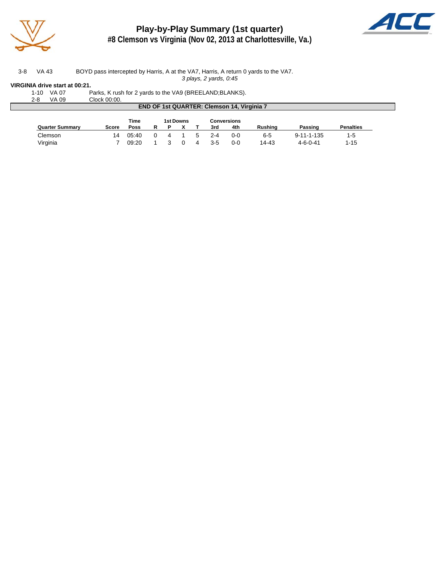

## **Play-by-Play Summary (1st quarter)**



**#8 Clemson vs Virginia (Nov 02, 2013 at Charlottesville, Va.)**

3-8 VA 43 BOYD pass intercepted by Harris, A at the VA7, Harris, A return 0 yards to the VA7. *3 plays, 2 yards, 0:45*

#### **VIRGINIA drive start at 00:21.**

|  | 1-10 VA 07 | Parks, K rush for 2 yards to the VA9 (BREELAND; BLANKS). |
|--|------------|----------------------------------------------------------|
|  | 2-8 VA 09  | Clock 00:00.                                             |

| VA 09<br>$2 - 8$                                  | Clock 00:00. |       |   |   |           |   |         |                    |         |                    |                  |  |
|---------------------------------------------------|--------------|-------|---|---|-----------|---|---------|--------------------|---------|--------------------|------------------|--|
| <b>END OF 1st QUARTER: Clemson 14, Virginia 7</b> |              |       |   |   |           |   |         |                    |         |                    |                  |  |
|                                                   |              | Time  |   |   | 1st Downs |   |         | <b>Conversions</b> |         |                    |                  |  |
| <b>Quarter Summary</b>                            | Score        | Poss  | R | Р |           |   | 3rd     | 4th                | Rushina | Passing            | <b>Penalties</b> |  |
| Clemson                                           | 14           | 05:40 |   | 4 |           | ∽ | $2 - 4$ | $0 - 0$            | $6 - 5$ | $9 - 11 - 1 - 135$ | $1 - 5$          |  |
| Virginia                                          |              | 09:20 |   |   |           |   | $3 - 5$ | $0 - 0$            | 14-43   | $4 - 6 - 0 - 41$   | $1 - 15$         |  |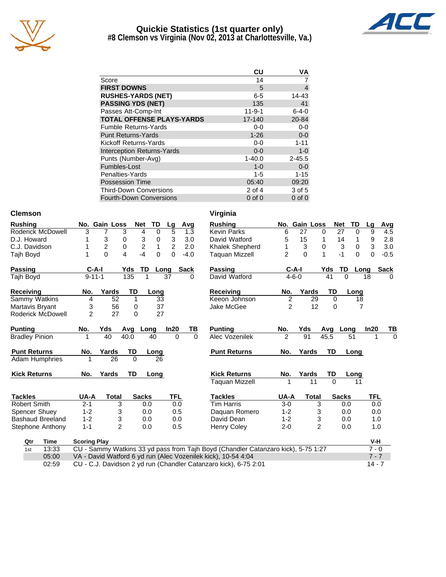

#### **Quickie Statistics (1st quarter only) #8 Clemson vs Virginia (Nov 02, 2013 at Charlottesville, Va.)**



|                                   | CU           | ٧A          |
|-----------------------------------|--------------|-------------|
| Score                             | 14           |             |
| <b>FIRST DOWNS</b>                | 5            | 4           |
| <b>RUSHES-YARDS (NET)</b>         | $6 - 5$      | 14-43       |
| <b>PASSING YDS (NET)</b>          | 135          | 41          |
| Passes Att-Comp-Int               | $11 - 9 - 1$ | $6 - 4 - 0$ |
| <b>TOTAL OFFENSE PLAYS-YARDS</b>  | 17-140       | 20-84       |
| <b>Fumble Returns-Yards</b>       | $0 - 0$      | $0-0$       |
| <b>Punt Returns-Yards</b>         | $1 - 26$     | $0-0$       |
| Kickoff Returns-Yards             | $0-0$        | $1 - 11$    |
| <b>Interception Returns-Yards</b> | $0 - 0$      | $1-0$       |
| Punts (Number-Avg)                | $1 - 40.0$   | $2 - 45.5$  |
| Fumbles-Lost                      | $1 - 0$      | $0-0$       |
| Penalties-Yards                   | 1-5          | $1 - 15$    |
| <b>Possession Time</b>            | 05:40        | 09:20       |
| <b>Third-Down Conversions</b>     | $2$ of 4     | 3 of 5      |
| <b>Fourth-Down Conversions</b>    | $0$ of $0$   | $0$ of $0$  |

#### **Clemson Virginia**

| <b>Rushing</b>          | No.                 | <b>Gain Loss</b> |           | <b>Net</b><br>TD    | Lg             | Avg         | <b>Rushing</b>                                                |
|-------------------------|---------------------|------------------|-----------|---------------------|----------------|-------------|---------------------------------------------------------------|
| Roderick McDowell       | 3                   | $\overline{7}$   | 3         | 4<br>0              | 5              | 1.3         | <b>Kevin Parks</b>                                            |
| D.J. Howard             | 1                   | 3                | 0         | 3<br>0              | 3              | 3.0         | David Watford                                                 |
| C.J. Davidson           | 1                   | $\overline{2}$   | 0         | $\overline{2}$<br>1 | $\overline{2}$ | 2.0         | Khalek Shepherd                                               |
| Tajh Boyd               | 1                   | $\Omega$         | 4         | $-4$<br>$\Omega$    | $\Omega$       | $-4.0$      | Taguan Mizzell                                                |
| Passing                 | C-A-I               |                  | Yds       | TD                  | Long           | <b>Sack</b> | Passing                                                       |
| Tajh Boyd               | $9 - 11 - 1$        |                  | 135       | 1                   | 37             | 0           | David Watford                                                 |
| <b>Receiving</b>        | No.                 | Yards            | <b>TD</b> | Long                |                |             | Receiving                                                     |
| Sammy Watkins           | 4                   | 52               | 1         | 33                  |                |             | Keeon Johnson                                                 |
| Martavis Bryant         | 3                   | 56               | 0         | 37                  |                |             | Jake McGee                                                    |
| Roderick McDowell       | $\overline{2}$      | 27               | $\Omega$  | 27                  |                |             |                                                               |
| <b>Punting</b>          | No.                 | Yds              | Avg       | Long                | ln20           | TВ          | <b>Punting</b>                                                |
| <b>Bradley Pinion</b>   | 1                   | 40               | 40.0      | 40                  | $\Omega$       | $\Omega$    | Alec Vozenilek                                                |
| <b>Punt Returns</b>     | No.                 | Yards            | TD        | Long                |                |             | <b>Punt Returns</b>                                           |
| Adam Humphries          | 1                   | 26               | $\Omega$  | 26                  |                |             |                                                               |
| <b>Kick Returns</b>     | No.                 | Yards            | <b>TD</b> | Long                |                |             | <b>Kick Returns</b>                                           |
|                         |                     |                  |           |                     |                |             | <b>Taquan Mizzell</b>                                         |
| <b>Tackles</b>          | UA-A                | <b>Total</b>     |           | <b>Sacks</b>        | <b>TFL</b>     |             | <b>Tackles</b>                                                |
| Robert Smith            | $2 - 1$             | 3                |           | 0.0                 | 0.0            |             | <b>Tim Harris</b>                                             |
| <b>Spencer Shuey</b>    | $1 - 2$             | 3                |           | 0.0                 | 0.5            |             | Daguan Romero                                                 |
| <b>Bashaud Breeland</b> | $1 - 2$             | 3                |           | 0.0                 | 0.0            |             | David Dean                                                    |
| Stephone Anthony        | $1 - 1$             | $\overline{2}$   |           | 0.0                 | 0.5            |             | Henry Coley                                                   |
| Qtr<br>Time             | <b>Scoring Play</b> |                  |           |                     |                |             |                                                               |
| 13:33<br>1st            |                     |                  |           |                     |                |             | CU - Sammy Watkins 33 yd pass from Taih Boyd (Chandler Catan; |

### **Rushing No. Gain Loss Net TD Lg Avg**<br>6 27 0 27 0 9 4.5 Kevin Parks 6 27 0 27 0 9 4.5 David Watford 5 15 1 14 1 9 2.8 Khalek Shepherd 1 3 0 3 0 3 3.0 2 0 1 -1 0 0 -0.5 **Passing C-A-I Yds TD Long Sack** David Watford 4-6-0 41 0 18 0 **Rec. Yards TD Long**<br>2 29 0 18 Keeon Johnson 2 29 0 18 Jake McGee 2 12 0 7 **No. Yds Avg Long In20 TB** 2 91 45.5 51 1 0 **No. Yards TD Long Kids TD Long**<br>1 11 0 11 Taquan Mizzell  $1$  11 0 11 **UA-A Total Sacks TFL**<br>3-0 3 0.0 0.0 Tim Harris 3-0 3 0.0 0.0 Daquan Romero 1-2 3 0.0 0.0 David Dean 1-2 3 0.0 1.0 Henry Coley 2-0 2 0.0 1.0

| Qtr | Гіmе  | <b>Scoring Play</b>                                                               | V-H      |
|-----|-------|-----------------------------------------------------------------------------------|----------|
| 1st | 13:33 | CU - Sammy Watkins 33 yd pass from Tajh Boyd (Chandler Catanzaro kick), 5-75 1:27 | $7 - 0$  |
|     | 05:00 | VA - David Watford 6 yd run (Alec Vozenilek kick), 10-54 4:04                     | 7 - 7    |
|     | 02:59 | CU - C.J. Davidson 2 yd run (Chandler Catanzaro kick), 6-75 2:01                  | $14 - 7$ |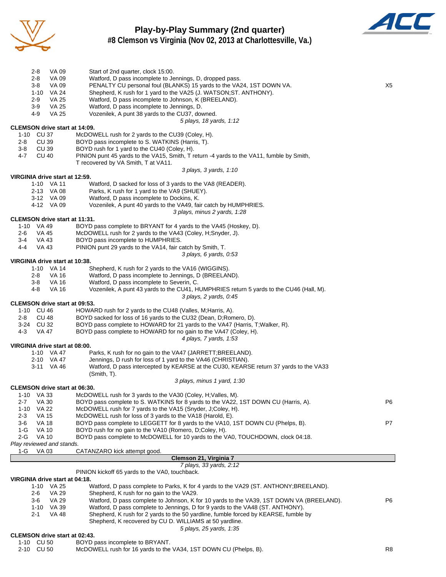

### **Play-by-Play Summary (2nd quarter) #8 Clemson vs Virginia (Nov 02, 2013 at Charlottesville, Va.)**



| 2-8<br>VA 09                                       | Start of 2nd quarter, clock 15:00.                                                                                                                    |    |
|----------------------------------------------------|-------------------------------------------------------------------------------------------------------------------------------------------------------|----|
| $2 - 8$<br>VA 09                                   | Watford, D pass incomplete to Jennings, D, dropped pass.                                                                                              |    |
| $3-8$<br>VA 09<br>1-10 VA 24                       | PENALTY CU personal foul (BLANKS) 15 yards to the VA24, 1ST DOWN VA.<br>Shepherd, K rush for 1 yard to the VA25 (J. WATSON; ST. ANTHONY).             | X5 |
| $2 - 9$<br>VA 25                                   | Watford, D pass incomplete to Johnson, K (BREELAND).                                                                                                  |    |
| 3-9<br>VA 25                                       | Watford, D pass incomplete to Jennings, D.                                                                                                            |    |
| 4-9<br><b>VA 25</b>                                | Vozenilek, A punt 38 yards to the CU37, downed.                                                                                                       |    |
| <b>CLEMSON drive start at 14:09.</b>               | 5 plays, 18 yards, 1:12                                                                                                                               |    |
| 1-10 CU 37                                         | McDOWELL rush for 2 yards to the CU39 (Coley, H).                                                                                                     |    |
| CU 39<br>2-8                                       | BOYD pass incomplete to S. WATKINS (Harris, T).                                                                                                       |    |
| $3-8$<br>CU 39                                     | BOYD rush for 1 yard to the CU40 (Coley, H).                                                                                                          |    |
| <b>CU 40</b><br>$4 - 7$                            | PINION punt 45 yards to the VA15, Smith, T return -4 yards to the VA11, fumble by Smith,<br>T recovered by VA Smith, T at VA11.                       |    |
|                                                    | 3 plays, 3 yards, 1:10                                                                                                                                |    |
| VIRGINIA drive start at 12:59.                     |                                                                                                                                                       |    |
| 1-10 VA 11                                         | Watford, D sacked for loss of 3 yards to the VA8 (READER).                                                                                            |    |
| 2-13 VA 08<br>3-12 VA 09                           | Parks, K rush for 1 yard to the VA9 (SHUEY).<br>Watford, D pass incomplete to Dockins, K.                                                             |    |
| 4-12 VA 09                                         | Vozenilek, A punt 40 yards to the VA49, fair catch by HUMPHRIES.                                                                                      |    |
|                                                    | 3 plays, minus 2 yards, 1:28                                                                                                                          |    |
| CLEMSON drive start at 11:31.<br>1-10 VA 49        | BOYD pass complete to BRYANT for 4 yards to the VA45 (Hoskey, D).                                                                                     |    |
| 2-6<br>VA 45                                       | McDOWELL rush for 2 yards to the VA43 (Coley, H;Snyder, J).                                                                                           |    |
| VA 43<br>3-4                                       | BOYD pass incomplete to HUMPHRIES.                                                                                                                    |    |
| $4 - 4$<br>VA 43                                   | PINION punt 29 yards to the VA14, fair catch by Smith, T.                                                                                             |    |
| VIRGINIA drive start at 10:38.                     | 3 plays, 6 yards, 0:53                                                                                                                                |    |
| 1-10 VA 14                                         | Shepherd, K rush for 2 yards to the VA16 (WIGGINS).                                                                                                   |    |
| <b>VA 16</b><br>2-8                                | Watford, D pass incomplete to Jennings, D (BREELAND).                                                                                                 |    |
| $3-8$<br><b>VA 16</b>                              | Watford, D pass incomplete to Severin, C.                                                                                                             |    |
| <b>VA 16</b><br>4-8                                | Vozenilek, A punt 43 yards to the CU41, HUMPHRIES return 5 yards to the CU46 (Hall, M).<br>3 plays, 2 yards, 0:45                                     |    |
| <b>CLEMSON drive start at 09:53.</b>               |                                                                                                                                                       |    |
| 1-10 CU 46                                         | HOWARD rush for 2 yards to the CU48 (Valles, M; Harris, A).                                                                                           |    |
| <b>CU 48</b><br>2-8                                | BOYD sacked for loss of 16 yards to the CU32 (Dean, D; Romero, D).                                                                                    |    |
| 3-24 CU 32<br>$4 - 3$<br>VA 47                     | BOYD pass complete to HOWARD for 21 yards to the VA47 (Harris, T; Walker, R).<br>BOYD pass complete to HOWARD for no gain to the VA47 (Coley, H).     |    |
|                                                    | 4 plays, 7 yards, 1:53                                                                                                                                |    |
| VIRGINIA drive start at 08:00.                     |                                                                                                                                                       |    |
| 1-10 VA 47                                         | Parks, K rush for no gain to the VA47 (JARRETT; BREELAND).                                                                                            |    |
| 2-10 VA 47<br>3-11 VA 46                           | Jennings, D rush for loss of 1 yard to the VA46 (CHRISTIAN).<br>Watford, D pass intercepted by KEARSE at the CU30, KEARSE return 37 yards to the VA33 |    |
|                                                    | (Smith, T).                                                                                                                                           |    |
|                                                    | 3 plays, minus 1 yard, 1:30                                                                                                                           |    |
| <b>CLEMSON drive start at 06:30.</b><br>1-10 VA 33 | McDOWELL rush for 3 yards to the VA30 (Coley, H; Valles, M).                                                                                          |    |
| <b>VA 30</b><br>$2 - 7$                            | BOYD pass complete to S. WATKINS for 8 yards to the VA22, 1ST DOWN CU (Harris, A).                                                                    | P6 |
| 1-10 VA 22                                         | McDOWELL rush for 7 yards to the VA15 (Snyder, J;Coley, H).                                                                                           |    |
| <b>VA 15</b><br>$2 - 3$                            | McDOWELL rush for loss of 3 yards to the VA18 (Harold, E).                                                                                            |    |
| $3-6$<br><b>VA 18</b>                              | BOYD pass complete to LEGGETT for 8 yards to the VA10, 1ST DOWN CU (Phelps, B).<br>BOYD rush for no gain to the VA10 (Romero, D;Coley, H).            | P7 |
| 1-G<br>VA 10<br>2-G<br><b>VA 10</b>                | BOYD pass complete to McDOWELL for 10 yards to the VA0, TOUCHDOWN, clock 04:18.                                                                       |    |
| Play reviewed and stands.                          |                                                                                                                                                       |    |
| VA 03<br>1-G                                       | CATANZARO kick attempt good.                                                                                                                          |    |
|                                                    | Clemson 21, Virginia 7<br>7 plays, 33 yards, 2:12                                                                                                     |    |
|                                                    | PINION kickoff 65 yards to the VA0, touchback.                                                                                                        |    |
| VIRGINIA drive start at 04:18.                     |                                                                                                                                                       |    |
| 1-10 VA 25<br><b>VA 29</b><br>2-6                  | Watford, D pass complete to Parks, K for 4 yards to the VA29 (ST. ANTHONY; BREELAND).<br>Shepherd, K rush for no gain to the VA29.                    |    |
| <b>VA 29</b><br>3-6                                | Watford, D pass complete to Johnson, K for 10 yards to the VA39, 1ST DOWN VA (BREELAND).                                                              | P6 |
| 1-10 VA 39                                         | Watford, D pass complete to Jennings, D for 9 yards to the VA48 (ST. ANTHONY).                                                                        |    |
| 2-1<br>VA 48                                       | Shepherd, K rush for 2 yards to the 50 yardline, fumble forced by KEARSE, fumble by                                                                   |    |
|                                                    | Shepherd, K recovered by CU D. WILLIAMS at 50 yardline.<br>5 plays, 25 yards, 1:35                                                                    |    |
| <b>CLEMSON drive start at 02:43.</b>               |                                                                                                                                                       |    |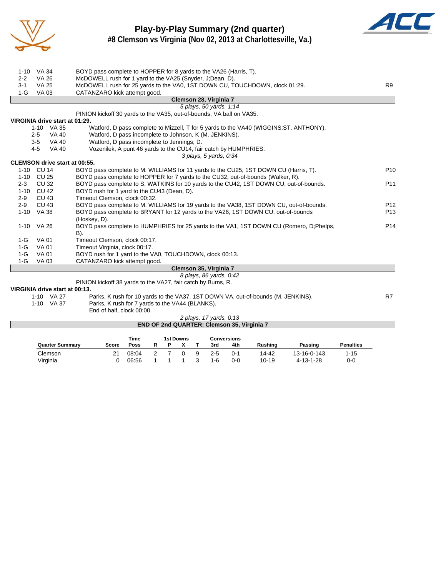

### **Play-by-Play Summary (2nd quarter) #8 Clemson vs Virginia (Nov 02, 2013 at Charlottesville, Va.)**



| $1 - 10$<br>VA 34<br><b>VA 26</b><br>$2 - 2$ | BOYD pass complete to HOPPER for 8 yards to the VA26 (Harris, T).<br>McDOWELL rush for 1 yard to the VA25 (Snyder, J;Dean, D). |                 |
|----------------------------------------------|--------------------------------------------------------------------------------------------------------------------------------|-----------------|
| $3 - 1$<br><b>VA 25</b>                      | McDOWELL rush for 25 yards to the VA0, 1ST DOWN CU, TOUCHDOWN, clock 01:29.                                                    | R9              |
| <b>VA 03</b><br>$1-G$                        | CATANZARO kick attempt good.                                                                                                   |                 |
|                                              | Clemson 28, Virginia 7                                                                                                         |                 |
|                                              | 5 plays, 50 yards, 1:14                                                                                                        |                 |
|                                              | PINION kickoff 30 yards to the VA35, out-of-bounds, VA ball on VA35.                                                           |                 |
| VIRGINIA drive start at 01:29.               |                                                                                                                                |                 |
| 1-10 VA 35                                   | Watford, D pass complete to Mizzell, T for 5 yards to the VA40 (WIGGINS; ST. ANTHONY).                                         |                 |
| $2 - 5$                                      | Watford, D pass incomplete to Johnson, K (M. JENKINS).<br>VA 40                                                                |                 |
| $3 - 5$                                      | Watford, D pass incomplete to Jennings, D.<br>VA 40                                                                            |                 |
| $4 - 5$                                      | Vozenilek, A punt 46 yards to the CU14, fair catch by HUMPHRIES.<br><b>VA 40</b>                                               |                 |
|                                              | 3 plays, 5 yards, 0:34                                                                                                         |                 |
| <b>CLEMSON drive start at 00:55.</b>         |                                                                                                                                |                 |
| 1-10 CU 14                                   | BOYD pass complete to M. WILLIAMS for 11 yards to the CU25, 1ST DOWN CU (Harris, T).                                           | P <sub>10</sub> |
| CU 25<br>$1 - 10$                            | BOYD pass complete to HOPPER for 7 yards to the CU32, out-of-bounds (Walker, R).                                               |                 |
| <b>CU32</b><br>$2 - 3$                       | BOYD pass complete to S. WATKINS for 10 yards to the CU42, 1ST DOWN CU, out-of-bounds.                                         | P <sub>11</sub> |
| <b>CU 42</b><br>$1 - 10$                     | BOYD rush for 1 yard to the CU43 (Dean, D).                                                                                    |                 |
| CU 43<br>$2-9$                               | Timeout Clemson, clock 00:32.                                                                                                  |                 |
| $2 - 9$<br><b>CU 43</b>                      | BOYD pass complete to M. WILLIAMS for 19 yards to the VA38, 1ST DOWN CU, out-of-bounds.                                        | P <sub>12</sub> |
| 1-10 VA 38                                   | BOYD pass complete to BRYANT for 12 yards to the VA26, 1ST DOWN CU, out-of-bounds<br>(Hoskey, D).                              | P <sub>13</sub> |
| $1 - 10$<br>VA 26                            | BOYD pass complete to HUMPHRIES for 25 yards to the VA1, 1ST DOWN CU (Romero, D. Phelps,                                       | P <sub>14</sub> |
|                                              | B).                                                                                                                            |                 |
| $1-G$<br><b>VA01</b>                         | Timeout Clemson, clock 00:17.                                                                                                  |                 |
| $1-G$<br><b>VA 01</b>                        | Timeout Virginia, clock 00:17.                                                                                                 |                 |
| $1-G$<br><b>VA 01</b>                        | BOYD rush for 1 yard to the VA0, TOUCHDOWN, clock 00:13.                                                                       |                 |
| $1-G$<br>VA 03                               | CATANZARO kick attempt good.                                                                                                   |                 |
|                                              | Clemson 35, Virginia 7                                                                                                         |                 |
|                                              | 8 plays, 86 yards, 0:42                                                                                                        |                 |
|                                              | PINION kickoff 38 yards to the VA27, fair catch by Burns, R.                                                                   |                 |
| VIRGINIA drive start at 00:13.               |                                                                                                                                |                 |
| 1 10 VA 27                                   | Dorke K ruph for 10 varde to the $1/127$ 1CT DOMMINA out of bounds $(M$ IENIKING)                                              | D7.             |

| 1-10 VA 27 | Parks, K rush for 10 yards to the VA37, 1ST DOWN VA, out-of-bounds (M. JENKINS). | R7 |
|------------|----------------------------------------------------------------------------------|----|
| 1-10 VA 37 | Parks, K rush for 7 yards to the VA44 (BLANKS).                                  |    |
|            | End of half, clock 00:00.                                                        |    |

| 2 plays, 17 yards, 0:13                           |  |
|---------------------------------------------------|--|
| <b>END OF 2nd QUARTER: Clemson 35, Virginia 7</b> |  |

|                        |       | Time<br><b>1st Downs</b> |  |  |  |   |         | <b>Conversions</b> |                |             |                  |
|------------------------|-------|--------------------------|--|--|--|---|---------|--------------------|----------------|-------------|------------------|
| <b>Quarter Summary</b> | Score | Poss                     |  |  |  |   | 3rd     | 4th                | <b>Rushing</b> | Passing     | <b>Penalties</b> |
| Clemson                | 21    | 08:04                    |  |  |  | 9 | $2 - 5$ | $0 - 1$            | 14-42          | 13-16-0-143 | 1-15             |
| Virginia               |       | 06:56                    |  |  |  |   | 1-6     | 0-0                | $10 - 19$      | 4-13-1-28   | 0-0              |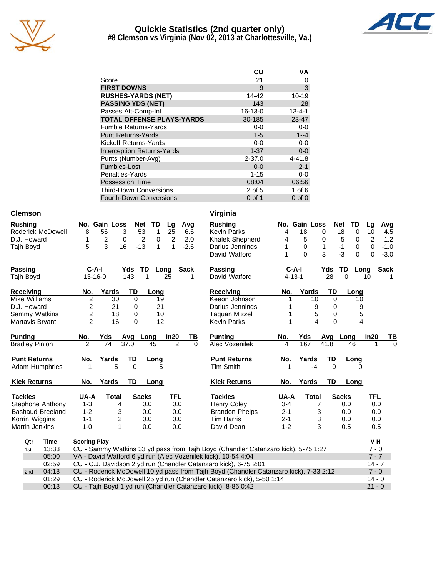

#### **Quickie Statistics (2nd quarter only) #8 Clemson vs Virginia (Nov 02, 2013 at Charlottesville, Va.)**



|                                   | CU            | VA           |
|-----------------------------------|---------------|--------------|
| Score                             | 21            | 0            |
| <b>FIRST DOWNS</b>                | 9             | 3            |
| <b>RUSHES-YARDS (NET)</b>         | 14-42         | 10-19        |
| <b>PASSING YDS (NET)</b>          | 143           | 28           |
| Passes Att-Comp-Int               | $16 - 13 - 0$ | $13 - 4 - 1$ |
| <b>TOTAL OFFENSE PLAYS-YARDS</b>  | 30-185        | 23-47        |
| <b>Fumble Returns-Yards</b>       | $0-0$         | $0-0$        |
| <b>Punt Returns-Yards</b>         | $1 - 5$       | $1 - -4$     |
| Kickoff Returns-Yards             | $0-0$         | $0 - 0$      |
| <b>Interception Returns-Yards</b> | $1 - 37$      | $0-0$        |
| Punts (Number-Avg)                | $2 - 37.0$    | $4 - 41.8$   |
| Fumbles-Lost                      | $0 - 0$       | $2 - 1$      |
| Penalties-Yards                   | $1 - 15$      | 0-0          |
| Possession Time                   | 08:04         | 06:56        |
| <b>Third-Down Conversions</b>     | 2 of 5        | 1 of 6       |

Fourth-Down Conversions 0 of 1 0 of 0

| <b>Clemson</b> | Virginia |
|----------------|----------|
|                |          |

| Rushing           |    |                | No. Gain Loss Net TD Lg Avg |                 |  |               |
|-------------------|----|----------------|-----------------------------|-----------------|--|---------------|
| Roderick McDowell | -8 | 56.            |                             | 3 53 1 25 6.6   |  |               |
| D.J. Howard       |    | $\overline{2}$ |                             | $0 \quad 2$     |  | $0 \t2 \t2.0$ |
| Taih Bovd         | 5. | $\mathbf{3}$   |                             | 16 -13 1 1 -2.6 |  |               |

| Passing                 | C-A-I          |       | Yds      | TD           | Lona | <b>Sack</b> | Passing               | $C-A-I$      |       | Yds      | TD<br>Lo     |
|-------------------------|----------------|-------|----------|--------------|------|-------------|-----------------------|--------------|-------|----------|--------------|
| Taih Boyd               | $13 - 16 - 0$  |       | 143      |              | 25   |             | David Watford         | $4 - 13 - 1$ |       | 28       | $\Omega$     |
| Receiving               | No.            | Yards | TD       |              | Long |             | Receivina             | No.          | Yards | TD       | Lonc         |
| Mike Williams           | 2              | 30    | $\Omega$ |              | 19   |             | Keeon Johnson         |              | 10    | 0        | 10           |
| D.J. Howard             | 2              | 21    | 0        |              | 21   |             | Darius Jennings       |              | 9     | 0        |              |
| Sammy Watkins           | 2              | 18    | $\Omega$ |              | 10   |             | Taguan Mizzell        |              | 5     | 0        |              |
| Martavis Bryant         | $\mathfrak{p}$ | 16    | $\Omega$ |              | 12   |             | <b>Kevin Parks</b>    |              | 4     | 0        |              |
| <b>Punting</b>          | No.            | Yds   | Avg      | Long         | In20 | TВ          | <b>Punting</b>        | No.          | Yds   | Avg      | Long         |
| <b>Bradley Pinion</b>   | 2              | 74    | 37.0     | 45           |      | 2<br>0      | Alec Vozenilek        | 4            | 167   | 41.8     | 46           |
| <b>Punt Returns</b>     | No.            | Yards | TD       | Long         |      |             | <b>Punt Returns</b>   | No.          | Yards | TD       | Long         |
| <b>Adam Humphries</b>   | 1              | 5     | $\Omega$ |              | 5    |             | <b>Tim Smith</b>      |              | -4    | $\Omega$ | 0            |
| <b>Kick Returns</b>     | No.            | Yards | TD       |              | Long |             | <b>Kick Returns</b>   | No.          | Yards | TD       | Long         |
| <b>Tackles</b>          | UA-A           | Total |          | <b>Sacks</b> |      | <b>TFL</b>  | Tackles               | UA-A         | Total |          | <b>Sacks</b> |
| Stephone Anthony        | $1 - 3$        |       | 4        | 0.0          |      | 0.0         | Henry Coley           | $3 - 4$      |       |          | 0.0          |
| <b>Bashaud Breeland</b> | $1 - 2$        |       | 3        | 0.0          |      | 0.0         | <b>Brandon Phelps</b> | $2 - 1$      |       | 3        | 0.0          |

Korrin Wiggins 1-1 2 0.0 0.0 Martin Jenkins 1-0 1 0.0 0.0

| virginia                                 |         |               |              |           |              |          |            |             |
|------------------------------------------|---------|---------------|--------------|-----------|--------------|----------|------------|-------------|
| <b>Rushing</b>                           |         | No. Gain Loss |              |           | <b>Net</b>   | TD       | Lg         | Avg         |
| <b>Kevin Parks</b>                       | 4       | 18            |              | 0         | 18           | 0        | 10         | 4.5         |
| Khalek Shepherd                          | 4       | 5             |              | 0         | 5            | 0        | 2          | 1.2         |
| Darius Jennings                          | 1       | 0             |              | 1         | -1           | 0        | 0          | $-1.0$      |
| David Watford                            | 1       | $\mathbf 0$   |              | 3         | -3           | $\Omega$ | 0          | $-3.0$      |
| <b>Passing</b>                           |         | $C-A-I$       |              | Yds       | TD           | Long     |            | <b>Sack</b> |
| David Watford                            |         | $4 - 13 - 1$  |              | 28        | 0            |          | 10         | 1           |
| Receiving                                | No.     |               | Yards        | TD        |              | Long     |            |             |
| Keeon Johnson                            | 1       |               | 10           | 0         |              | 10       |            |             |
| Darius Jennings                          | 1       |               | 9            | 0         |              | 9        |            |             |
| <b>Taquan Mizzell</b>                    | 1       |               | 5            | 0         |              | 5        |            |             |
| <b>Kevin Parks</b>                       | 1       |               | 4            | 0         |              | 4        |            |             |
| <b>Punting</b>                           | No.     | Yds           |              | Avg       | Long         |          | In20       | ТВ          |
| Alec Vozenilek                           | 4       | 167           |              | 41.8      |              | 46       | 1          | 0           |
| <b>Punt Returns</b>                      | No.     | Yards         |              | TD        |              | Long     |            |             |
| <b>Tim Smith</b>                         | 1       |               | $-4$         | 0         |              | 0        |            |             |
| <b>Kick Returns</b>                      | No.     | Yards         |              | <b>TD</b> |              | Long     |            |             |
| <b>Tackles</b>                           | UA-A    |               | <b>Total</b> |           | <b>Sacks</b> |          | <b>TFL</b> |             |
| <b>Henry Coley</b>                       | $3 - 4$ |               | 7            |           | 0.0          |          | 0.0        |             |
| <b>Brandon Phelps</b>                    | $2 - 1$ |               | 3            |           | 0.0          |          | 0.0        |             |
| <b>Tim Harris</b>                        | $2 - 1$ |               | 3            |           | 0.0          |          | 0.0        |             |
| David Dean                               | $1 - 2$ |               | 3            |           | 0.5          |          | 0.5        |             |
|                                          |         |               |              |           |              |          | V-H        |             |
| byd (Chandler Catanzaro kick), 5-75 1:27 |         |               |              |           |              |          | $7 - 0$    |             |

| Qtr | Time  | <b>Scoring Play</b>                                                                   | V-H      |
|-----|-------|---------------------------------------------------------------------------------------|----------|
| 1st | 13:33 | CU - Sammy Watkins 33 yd pass from Tajh Boyd (Chandler Catanzaro kick), 5-75 1:27     | $7 - 0$  |
|     | 05:00 | VA - David Watford 6 yd run (Alec Vozenilek kick), 10-54 4:04                         | $7 - 7$  |
|     | 02:59 | CU - C.J. Davidson 2 yd run (Chandler Catanzaro kick), 6-75 2:01                      | $14 - 7$ |
| 2nd | 04:18 | CU - Roderick McDowell 10 yd pass from Taih Boyd (Chandler Catanzaro kick), 7-33 2:12 | $7 - 0$  |
|     | 01:29 | CU - Roderick McDowell 25 yd run (Chandler Catanzaro kick), 5-50 1:14                 | $14 - 0$ |
|     | 00:13 | CU - Tajh Boyd 1 yd run (Chandler Catanzaro kick), 8-86 0:42                          | $21 - 0$ |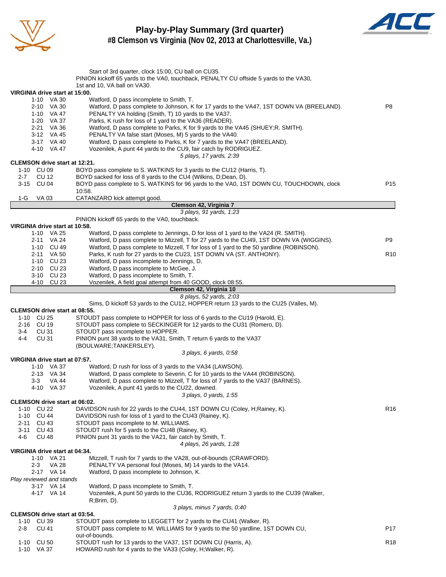

#### **Play-by-Play Summary (3rd quarter) #8 Clemson vs Virginia (Nov 02, 2013 at Charlottesville, Va.)**



|                                                    | Start of 3rd quarter, clock 15:00, CU ball on CU35.                                                                                                         |                 |
|----------------------------------------------------|-------------------------------------------------------------------------------------------------------------------------------------------------------------|-----------------|
|                                                    | PINION kickoff 65 yards to the VA0, touchback, PENALTY CU offside 5 yards to the VA30,                                                                      |                 |
|                                                    | 1st and 10, VA ball on VA30.                                                                                                                                |                 |
| VIRGINIA drive start at 15:00.                     |                                                                                                                                                             |                 |
| 1-10 VA 30<br>2-10 VA 30                           | Watford, D pass incomplete to Smith, T.<br>Watford, D pass complete to Johnson, K for 17 yards to the VA47, 1ST DOWN VA (BREELAND).                         | P <sub>8</sub>  |
| 1-10 VA 47                                         | PENALTY VA holding (Smith, T) 10 yards to the VA37.                                                                                                         |                 |
| 1-20 VA 37                                         | Parks, K rush for loss of 1 yard to the VA36 (READER).                                                                                                      |                 |
| 2-21 VA 36                                         | Watford, D pass complete to Parks, K for 9 yards to the VA45 (SHUEY; R. SMITH).                                                                             |                 |
| 3-12 VA 45                                         | PENALTY VA false start (Moses, M) 5 yards to the VA40.                                                                                                      |                 |
| 3-17 VA 40                                         | Watford, D pass complete to Parks, K for 7 yards to the VA47 (BREELAND).                                                                                    |                 |
| 4-10 VA 47                                         | Vozenilek, A punt 44 yards to the CU9, fair catch by RODRIGUEZ.                                                                                             |                 |
|                                                    | 5 plays, 17 yards, 2:39                                                                                                                                     |                 |
| <b>CLEMSON drive start at 12:21.</b>               |                                                                                                                                                             |                 |
| 1-10 CU 09                                         | BOYD pass complete to S. WATKINS for 3 yards to the CU12 (Harris, T).                                                                                       |                 |
| CU <sub>12</sub><br>2-7<br>3-15 CU 04              | BOYD sacked for loss of 8 yards to the CU4 (Wilkins, D;Dean, D).<br>BOYD pass complete to S. WATKINS for 96 yards to the VA0, 1ST DOWN CU, TOUCHDOWN, clock | P <sub>15</sub> |
|                                                    | 10:58.                                                                                                                                                      |                 |
| 1-G<br>VA 03                                       | CATANZARO kick attempt good.                                                                                                                                |                 |
|                                                    | Clemson 42, Virginia 7                                                                                                                                      |                 |
|                                                    | 3 plays, 91 yards, 1:23                                                                                                                                     |                 |
|                                                    | PINION kickoff 65 yards to the VA0, touchback.                                                                                                              |                 |
| VIRGINIA drive start at 10:58.                     |                                                                                                                                                             |                 |
| 1-10 VA 25                                         | Watford, D pass complete to Jennings, D for loss of 1 yard to the VA24 (R. SMITH).                                                                          |                 |
| 2-11 VA 24                                         | Watford, D pass complete to Mizzell, T for 27 yards to the CU49, 1ST DOWN VA (WIGGINS).                                                                     | P9              |
| 1-10 CU 49                                         | Watford, D pass complete to Mizzell, T for loss of 1 yard to the 50 yardline (ROBINSON).                                                                    |                 |
| 2-11 VA 50                                         | Parks, K rush for 27 yards to the CU23, 1ST DOWN VA (ST. ANTHONY).                                                                                          | R <sub>10</sub> |
| 1-10 CU 23<br>2-10 CU 23                           | Watford, D pass incomplete to Jennings, D.<br>Watford, D pass incomplete to McGee, J.                                                                       |                 |
| 3-10 CU 23                                         | Watford, D pass incomplete to Smith, T.                                                                                                                     |                 |
| 4-10 CU 23                                         | Vozenilek, A field goal attempt from 40 GOOD, clock 08:55.                                                                                                  |                 |
|                                                    | Clemson 42, Virginia 10                                                                                                                                     |                 |
|                                                    | 8 plays, 52 yards, 2:03                                                                                                                                     |                 |
|                                                    | Sims, D kickoff 53 yards to the CU12, HOPPER return 13 yards to the CU25 (Valles, M).                                                                       |                 |
| <b>CLEMSON drive start at 08:55.</b>               |                                                                                                                                                             |                 |
| 1-10 CU 25                                         | STOUDT pass complete to HOPPER for loss of 6 yards to the CU19 (Harold, E).                                                                                 |                 |
| 2-16 CU 19                                         | STOUDT pass complete to SECKINGER for 12 yards to the CU31 (Romero, D).                                                                                     |                 |
| CU 31<br>3-4                                       | STOUDT pass incomplete to HOPPER.                                                                                                                           |                 |
| <b>CU 31</b><br>4-4                                | PINION punt 38 yards to the VA31, Smith, T return 6 yards to the VA37<br>(BOULWARE;TANKERSLEY).                                                             |                 |
|                                                    | 3 plays, 6 yards, 0:58                                                                                                                                      |                 |
| VIRGINIA drive start at 07:57.                     |                                                                                                                                                             |                 |
| 1-10 VA 37                                         | Watford, D rush for loss of 3 yards to the VA34 (LAWSON).                                                                                                   |                 |
| 2-13 VA 34                                         | Watford, D pass complete to Severin, C for 10 yards to the VA44 (ROBINSON).                                                                                 |                 |
| 3-3<br>VA 44                                       | Watford, D pass complete to Mizzell, T for loss of 7 yards to the VA37 (BARNES).                                                                            |                 |
| 4-10 VA 37                                         | Vozenilek, A punt 41 yards to the CU22, downed.                                                                                                             |                 |
|                                                    | 3 plays, 0 yards, 1:55                                                                                                                                      |                 |
| <b>CLEMSON drive start at 06:02.</b>               |                                                                                                                                                             |                 |
| 1-10 CU 22                                         | DAVIDSON rush for 22 yards to the CU44, 1ST DOWN CU (Coley, H;Rainey, K).                                                                                   | R <sub>16</sub> |
| 1-10 CU 44                                         | DAVIDSON rush for loss of 1 yard to the CU43 (Rainey, K).                                                                                                   |                 |
| 2-11 CU 43                                         | STOUDT pass incomplete to M. WILLIAMS.                                                                                                                      |                 |
| 3-11 CU 43<br><b>CU 48</b><br>4-6                  | STOUDT rush for 5 yards to the CU48 (Rainey, K).<br>PINION punt 31 yards to the VA21, fair catch by Smith, T.                                               |                 |
|                                                    | 4 plays, 26 yards, 1:28                                                                                                                                     |                 |
| VIRGINIA drive start at 04:34.                     |                                                                                                                                                             |                 |
| 1-10 VA 21                                         | Mizzell, T rush for 7 yards to the VA28, out-of-bounds (CRAWFORD).                                                                                          |                 |
| VA 28<br>2-3                                       | PENALTY VA personal foul (Moses, M) 14 yards to the VA14.                                                                                                   |                 |
| 2-17 VA 14                                         | Watford, D pass incomplete to Johnson, K.                                                                                                                   |                 |
| Play reviewed and stands                           |                                                                                                                                                             |                 |
| 3-17 VA 14                                         | Watford, D pass incomplete to Smith, T.                                                                                                                     |                 |
| 4-17 VA 14                                         | Vozenilek, A punt 50 yards to the CU36, RODRIGUEZ return 3 yards to the CU39 (Walker,                                                                       |                 |
|                                                    | $R$ ;Brim, D).                                                                                                                                              |                 |
|                                                    | 3 plays, minus 7 yards, 0:40                                                                                                                                |                 |
| <b>CLEMSON drive start at 03:54.</b><br>1-10 CU 39 |                                                                                                                                                             |                 |
| <b>CU 41</b><br>2-8                                | STOUDT pass complete to LEGGETT for 2 yards to the CU41 (Walker, R).<br>STOUDT pass complete to M. WILLIAMS for 9 yards to the 50 yardline, 1ST DOWN CU,    | P <sub>17</sub> |
|                                                    | out-of-bounds.                                                                                                                                              |                 |
| 1-10 CU 50                                         | STOUDT rush for 13 yards to the VA37, 1ST DOWN CU (Harris, A).                                                                                              | R <sub>18</sub> |

1-10 VA 37 HOWARD rush for 4 yards to the VA33 (Coley, H;Walker, R).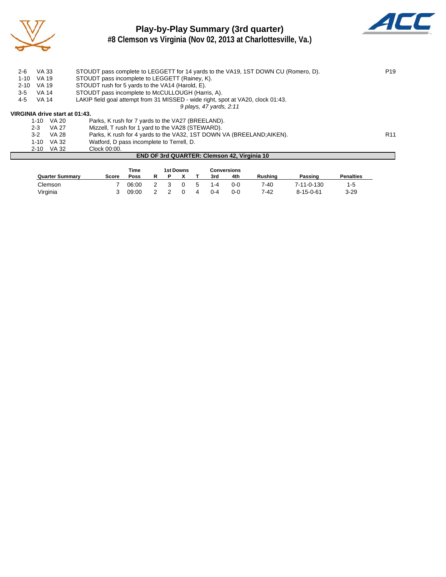

# **Play-by-Play Summary (3rd quarter)**



**#8 Clemson vs Virginia (Nov 02, 2013 at Charlottesville, Va.)**

| $2 - 6$  | VA 33        |                                | STOUDT pass complete to LEGGETT for 14 yards to the VA19, 1ST DOWN CU (Romero, D). | P <sub>19</sub> |
|----------|--------------|--------------------------------|------------------------------------------------------------------------------------|-----------------|
| $1 - 10$ | VA 19        |                                | STOUDT pass incomplete to LEGGETT (Rainey, K).                                     |                 |
| $2 - 10$ | <b>VA 19</b> |                                | STOUDT rush for 5 yards to the VA14 (Harold, E).                                   |                 |
| $3 - 5$  | VA 14        |                                | STOUDT pass incomplete to McCULLOUGH (Harris, A).                                  |                 |
| 4-5      | VA 14        |                                | LAKIP field goal attempt from 31 MISSED - wide right, spot at VA20, clock 01:43.   |                 |
|          |              |                                | 9 plays, 47 yards, 2:11                                                            |                 |
|          |              | VIRGINIA drive start at 01:43. |                                                                                    |                 |
|          | 1-10         | VA 20                          | Parks, K rush for 7 yards to the VA27 (BREELAND).                                  |                 |
|          | $2 - 3$      | VA 27                          | Mizzell, T rush for 1 yard to the VA28 (STEWARD).                                  |                 |
|          | $3-2$        | VA 28                          | Parks, K rush for 4 yards to the VA32, 1ST DOWN VA (BREELAND: AIKEN).              | R <sub>11</sub> |
|          | $1 - 10$     | VA 32                          | Watford, D pass incomplete to Terrell, D.                                          |                 |
|          |              | 2-10 VA 32                     | Clock 00:00.                                                                       |                 |

#### **END OF 3rd QUARTER: Clemson 42, Virginia 10**

|                        |              | Time  |  | 1st Downs |             |         | Conversions |         |                   |                  |
|------------------------|--------------|-------|--|-----------|-------------|---------|-------------|---------|-------------------|------------------|
| <b>Quarter Summary</b> | <b>Score</b> | Poss  |  |           |             | 3rd     | 4th         | Rushina | Passing           | <b>Penalties</b> |
| Clemson                |              | 06:00 |  |           | $\mathbf b$ | 1-4     | 0-0         | 7-40    | 7-11-0-130        | 1-5              |
| Virginia               |              | 09:00 |  |           |             | $0 - 4$ | 0-C         | 7-42    | $8 - 15 - 0 - 61$ | $3 - 29$         |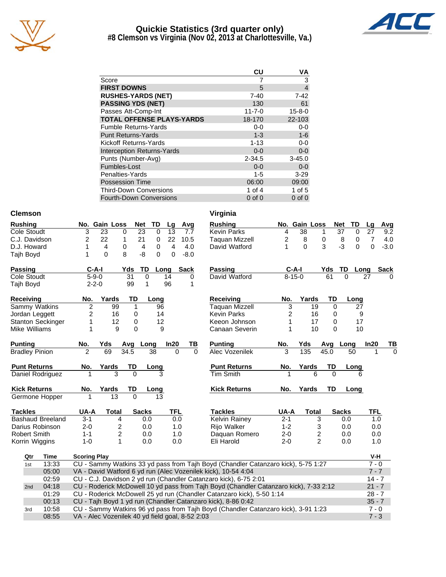

# **Quickie Statistics (3rd quarter only)**



**#8 Clemson vs Virginia (Nov 02, 2013 at Charlottesville, Va.)**

|                                   | CU           | VA             |
|-----------------------------------|--------------|----------------|
| Score                             |              | 3              |
| <b>FIRST DOWNS</b>                | 5            | $\overline{4}$ |
| <b>RUSHES-YARDS (NET)</b>         | $7 - 40$     | $7 - 42$       |
| <b>PASSING YDS (NET)</b>          | 130          | 61             |
| Passes Att-Comp-Int               | $11 - 7 - 0$ | $15 - 8 - 0$   |
| <b>TOTAL OFFENSE PLAYS-YARDS</b>  | 18-170       | 22-103         |
| <b>Fumble Returns-Yards</b>       | $0 - 0$      | $0-0$          |
| <b>Punt Returns-Yards</b>         | $1 - 3$      | $1 - 6$        |
| Kickoff Returns-Yards             | $1 - 13$     | $0-0$          |
| <b>Interception Returns-Yards</b> | $0 - 0$      | $0 - 0$        |
| Punts (Number-Avg)                | $2 - 34.5$   | $3 - 45.0$     |
| Fumbles-Lost                      | $0 - 0$      | $0 - 0$        |
| Penalties-Yards                   | $1 - 5$      | $3 - 29$       |
| <b>Possession Time</b>            | 06:00        | 09:00          |
| <b>Third-Down Conversions</b>     | 1 of $4$     | 1 of $5$       |
| Fourth-Down Conversions           | $0$ of $0$   | $0$ of $0$     |

#### **Clemson Virginia**

| <b>Rushing</b>        |                         |                     | No. Gain Loss                                   |             | <b>TD</b><br><b>Net</b> | Lg             |          | Avg         | <b>Rushing</b>                                                                        |                | No. Gain Loss    |                |          | <b>Net</b><br><b>TD</b>        | Lg         | Avg         |
|-----------------------|-------------------------|---------------------|-------------------------------------------------|-------------|-------------------------|----------------|----------|-------------|---------------------------------------------------------------------------------------|----------------|------------------|----------------|----------|--------------------------------|------------|-------------|
| Cole Stoudt           |                         | 3                   | 23                                              | $\mathbf 0$ | $\overline{23}$<br>0    | 13             |          | 7.7         | <b>Kevin Parks</b>                                                                    | 4              | 38               | 1              |          | $\overline{37}$<br>$\mathbf 0$ | 27         | 9.2         |
| C.J. Davidson         |                         | 2                   | 22                                              | 1           | 21<br>0                 | 22             |          | 10.5        | <b>Taquan Mizzell</b>                                                                 | $\overline{c}$ | 8                | 0              |          | 0<br>8                         | 7          | 4.0         |
| D.J. Howard           |                         | 1                   | 4                                               | 0           | 4<br>0                  | $\overline{4}$ |          | 4.0         | David Watford                                                                         | 1              | 0                | 3              |          | $-3$<br>$\Omega$               | 0          | $-3.0$      |
| Tajh Boyd             |                         | 1                   | $\Omega$                                        | 8           | -8<br>$\Omega$          | 0              |          | $-8.0$      |                                                                                       |                |                  |                |          |                                |            |             |
| <b>Passing</b>        |                         | $C-A-I$             |                                                 | Yds         | TD                      | Long           |          | <b>Sack</b> | Passing                                                                               |                | $C-A-I$          |                | Yds      | TD<br>Long                     |            | <b>Sack</b> |
| Cole Stoudt           |                         | $5 - 9 - 0$         |                                                 | 31          | 0                       | 14             |          | 0           | David Watford                                                                         |                | $8 - 15 - 0$     |                | 61       | $\Omega$                       | 27         |             |
| Tajh Boyd             |                         | $2 - 2 - 0$         |                                                 | 99          | 1                       | 96             |          | 1           |                                                                                       |                |                  |                |          |                                |            |             |
| <b>Receiving</b>      |                         | No.                 | Yards                                           | TD          | Long                    |                |          |             | Receiving                                                                             | No.            | Yards            |                | TD       | Long                           |            |             |
|                       | Sammy Watkins           | $\overline{2}$      | 99                                              | 1           |                         | 96             |          |             | <b>Taquan Mizzell</b>                                                                 | 3              |                  | 19             | $\Omega$ | 27                             |            |             |
| Jordan Leggett        |                         | $\overline{c}$      | 16                                              | 0           |                         | 14             |          |             | <b>Kevin Parks</b>                                                                    | $\overline{2}$ |                  | 16             | 0        | 9                              |            |             |
|                       | Stanton Seckinger       | 1                   | 12                                              | 0           |                         | 12             |          |             | Keeon Johnson                                                                         |                |                  | 17             | 0        | 17                             |            |             |
| Mike Williams         |                         | 1                   | 9                                               | $\Omega$    |                         | 9              |          |             | Canaan Severin                                                                        | 1              |                  | 10             | $\Omega$ | 10                             |            |             |
| <b>Punting</b>        |                         | No.                 | Yds                                             | Avg Long    |                         | In20           |          | <u>ТВ</u>   | <b>Punting</b>                                                                        | No.            | Yds              |                | Avg      | Long                           | In20       | ΤВ          |
| <b>Bradley Pinion</b> |                         | $\mathfrak{p}$      | 69                                              | 34.5        | 38                      |                | $\Omega$ | $\Omega$    | Alec Vozenilek                                                                        | 3              | $\overline{135}$ |                | 45.0     | 50                             |            | $\Omega$    |
| <b>Punt Returns</b>   |                         | No.                 | Yards                                           | <b>TD</b>   | Long                    |                |          |             | <b>Punt Returns</b>                                                                   | No.            | Yards            |                | TD       | Long                           |            |             |
|                       | Daniel Rodriguez        |                     | $\overline{3}$                                  | $\Omega$    |                         |                |          |             | <b>Tim Smith</b>                                                                      |                |                  | 6              | $\Omega$ |                                |            |             |
| <b>Kick Returns</b>   |                         | No.                 | Yards                                           | TD          | Long                    |                |          |             | <b>Kick Returns</b>                                                                   | No.            | Yards            |                | TD       | Long                           |            |             |
|                       | Germone Hopper          |                     | $\overline{13}$                                 | $\Omega$    | 13                      |                |          |             |                                                                                       |                |                  |                |          |                                |            |             |
| <b>Tackles</b>        |                         | UA-A                | <b>Total</b>                                    |             | <b>Sacks</b>            | <b>TFL</b>     |          |             | <b>Tackles</b>                                                                        | UA-A           |                  | <b>Total</b>   |          | <b>Sacks</b>                   | <b>TFL</b> |             |
|                       | <b>Bashaud Breeland</b> | $3 - 1$             | 4                                               |             | 0.0                     |                | 0.0      |             | Kelvin Rainey                                                                         | $2 - 1$        |                  | 3              |          | 0.0                            | 1.0        |             |
|                       | Darius Robinson         | $2 - 0$             | 2                                               |             | 0.0                     |                | 1.0      |             | Rijo Walker                                                                           | $1 - 2$        |                  | 3              |          | 0.0                            | 0.0        |             |
| <b>Robert Smith</b>   |                         | $1 - 1$             | 2                                               |             | 0.0                     |                | 1.0      |             | Daquan Romero                                                                         | $2 - 0$        |                  | 2              |          | 0.0                            | 0.0        |             |
|                       | Korrin Wiggins          | $1 - 0$             | 1                                               |             | 0.0                     |                | 0.0      |             | Eli Harold                                                                            | $2 - 0$        |                  | $\overline{2}$ |          | 0.0                            | 1.0        |             |
| Qtr                   | Time                    | <b>Scoring Play</b> |                                                 |             |                         |                |          |             |                                                                                       |                |                  |                |          |                                | V-H        |             |
| 1st                   | 13:33                   |                     |                                                 |             |                         |                |          |             | CU - Sammy Watkins 33 yd pass from Tajh Boyd (Chandler Catanzaro kick), 5-75 1:27     |                |                  |                |          |                                | $7 - 0$    |             |
|                       | 05:00                   |                     |                                                 |             |                         |                |          |             | VA - David Watford 6 yd run (Alec Vozenilek kick), 10-54 4:04                         |                |                  |                |          |                                | $7 - 7$    |             |
|                       | 02:59                   |                     |                                                 |             |                         |                |          |             | CU - C.J. Davidson 2 yd run (Chandler Catanzaro kick), 6-75 2:01                      |                |                  |                |          |                                | $14 - 7$   |             |
| 2nd                   | 04:18                   |                     |                                                 |             |                         |                |          |             | CU - Roderick McDowell 10 yd pass from Tajh Boyd (Chandler Catanzaro kick), 7-33 2:12 |                |                  |                |          |                                | $21 - 7$   |             |
|                       | 01:29                   |                     |                                                 |             |                         |                |          |             | CU - Roderick McDowell 25 yd run (Chandler Catanzaro kick), 5-50 1:14                 |                |                  |                |          |                                | $28 - 7$   |             |
|                       | 00:13                   |                     |                                                 |             |                         |                |          |             | CU - Tajh Boyd 1 yd run (Chandler Catanzaro kick), 8-86 0:42                          |                |                  |                |          |                                | $35 - 7$   |             |
| 3rd                   | 10:58                   |                     |                                                 |             |                         |                |          |             | CU - Sammy Watkins 96 yd pass from Tajh Boyd (Chandler Catanzaro kick), 3-91 1:23     |                |                  |                |          |                                | $7 - 0$    |             |
|                       | 08:55                   |                     | VA - Alec Vozenilek 40 yd field goal, 8-52 2:03 |             |                         |                |          |             |                                                                                       |                |                  |                |          |                                | $7 - 3$    |             |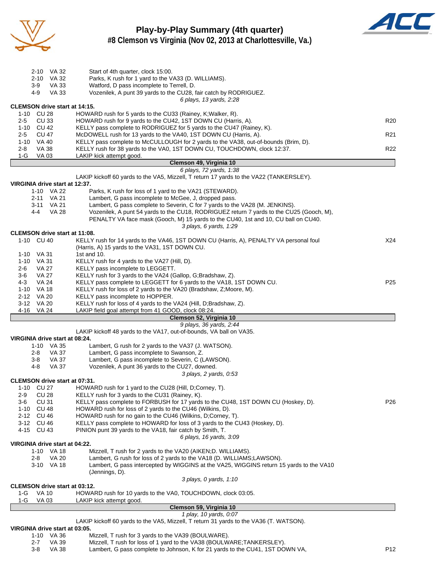

#### **Play-by-Play Summary (4th quarter) #8 Clemson vs Virginia (Nov 02, 2013 at Charlottesville, Va.)**



| VIRGINIA drive start at 03:05.<br>1-10 VA 36 | Mizzell, T rush for 3 yards to the VA39 (BOULWARE).                                                                                                                      |                 |
|----------------------------------------------|--------------------------------------------------------------------------------------------------------------------------------------------------------------------------|-----------------|
|                                              | 1 play, 10 yards, 0:07<br>LAKIP kickoff 60 yards to the VA5, Mizzell, T return 31 yards to the VA36 (T. WATSON).                                                         |                 |
|                                              | Clemson 59, Virginia 10                                                                                                                                                  |                 |
| VA 03<br>1-G                                 | LAKIP kick attempt good.                                                                                                                                                 |                 |
| <b>VA 10</b><br>1-G                          | HOWARD rush for 10 yards to the VA0, TOUCHDOWN, clock 03:05.                                                                                                             |                 |
| <b>CLEMSON drive start at 03:12.</b>         | 3 plays, 0 yards, 1:10                                                                                                                                                   |                 |
|                                              | (Jennings, D).                                                                                                                                                           |                 |
| 3-10 VA 18                                   | Lambert, G pass intercepted by WIGGINS at the VA25, WIGGINS return 15 yards to the VA10                                                                                  |                 |
| 1-10 VA 18<br><b>VA 20</b><br>2-8            | Mizzell, T rush for 2 yards to the VA20 (AIKEN; D. WILLIAMS).<br>Lambert, G rush for loss of 2 yards to the VA18 (D. WILLIAMS;LAWSON).                                   |                 |
| VIRGINIA drive start at 04:22.               |                                                                                                                                                                          |                 |
|                                              | 6 plays, 16 yards, 3:09                                                                                                                                                  |                 |
| 4-15 CU 43                                   | PINION punt 39 yards to the VA18, fair catch by Smith, T.                                                                                                                |                 |
| 3-12 CU 46                                   | KELLY pass complete to HOWARD for loss of 3 yards to the CU43 (Hoskey, D).                                                                                               |                 |
| 2-12 CU 46                                   | HOWARD rush for loss of 2 yards to the CU46 (Wilkins, D).<br>HOWARD rush for no gain to the CU46 (Wilkins, D;Corney, T).                                                 |                 |
| CU 31<br>3-6<br>1-10 CU 48                   | KELLY pass complete to FORBUSH for 17 yards to the CU48, 1ST DOWN CU (Hoskey, D).                                                                                        | P <sub>26</sub> |
| CU28<br>2-9                                  | KELLY rush for 3 yards to the CU31 (Rainey, K).                                                                                                                          |                 |
| 1-10 CU 27                                   | HOWARD rush for 1 yard to the CU28 (Hill, D;Corney, T).                                                                                                                  |                 |
| <b>CLEMSON drive start at 07:31.</b>         |                                                                                                                                                                          |                 |
|                                              | 3 plays, 2 yards, 0:53                                                                                                                                                   |                 |
| <b>VA 37</b><br>4-8                          | Vozenilek, A punt 36 yards to the CU27, downed.                                                                                                                          |                 |
| VA 37<br>2-8<br><b>VA 37</b><br>$3-8$        | Lambert, G pass incomplete to Swanson, Z.<br>Lambert, G pass incomplete to Severin, C (LAWSON).                                                                          |                 |
| 1-10 VA 35                                   | Lambert, G rush for 2 yards to the VA37 (J. WATSON).                                                                                                                     |                 |
| VIRGINIA drive start at 08:24.               |                                                                                                                                                                          |                 |
|                                              | LAKIP kickoff 48 yards to the VA17, out-of-bounds, VA ball on VA35.                                                                                                      |                 |
|                                              | 9 plays, 36 yards, 2:44                                                                                                                                                  |                 |
|                                              | Clemson 52, Virginia 10                                                                                                                                                  |                 |
| 4-16 VA 24                                   | LAKIP field goal attempt from 41 GOOD, clock 08:24.                                                                                                                      |                 |
| 3-12 VA 20                                   | KELLY rush for loss of 4 yards to the VA24 (Hill, D;Bradshaw, Z).                                                                                                        |                 |
| 1-10 VA 18<br>2-12 VA 20                     | KELLY rush for loss of 2 yards to the VA20 (Bradshaw, Z; Moore, M).<br>KELLY pass incomplete to HOPPER.                                                                  |                 |
| <b>VA 24</b><br>4-3                          | KELLY pass complete to LEGGETT for 6 yards to the VA18, 1ST DOWN CU.                                                                                                     | P <sub>25</sub> |
| VA 27<br>3-6                                 | KELLY rush for 3 yards to the VA24 (Gallop, G;Bradshaw, Z).                                                                                                              |                 |
| 2-6<br>VA 27                                 | KELLY pass incomplete to LEGGETT.                                                                                                                                        |                 |
| 1-10 VA 31                                   | KELLY rush for 4 yards to the VA27 (Hill, D).                                                                                                                            |                 |
| 1-10 VA 31                                   | 1st and 10.                                                                                                                                                              |                 |
|                                              | (Harris, A) 15 yards to the VA31, 1ST DOWN CU.                                                                                                                           |                 |
| 1-10 CU 40                                   | KELLY rush for 14 yards to the VA46, 1ST DOWN CU (Harris, A), PENALTY VA personal foul                                                                                   | X24             |
| CLEMSON drive start at 11:08.                |                                                                                                                                                                          |                 |
|                                              | 3 plays, 6 yards, 1:29                                                                                                                                                   |                 |
|                                              | PENALTY VA face mask (Gooch, M) 15 yards to the CU40, 1st and 10, CU ball on CU40.                                                                                       |                 |
| 3-11 VA 21<br><b>VA 28</b><br>4-4            | Lambert, G pass complete to Severin, C for 7 yards to the VA28 (M. JENKINS).<br>Vozenilek, A punt 54 yards to the CU18, RODRIGUEZ return 7 yards to the CU25 (Gooch, M), |                 |
| 2-11 VA 21                                   | Lambert, G pass incomplete to McGee, J, dropped pass.                                                                                                                    |                 |
| 1-10 VA 22                                   | Parks, K rush for loss of 1 yard to the VA21 (STEWARD).                                                                                                                  |                 |
| VIRGINIA drive start at 12:37.               |                                                                                                                                                                          |                 |
|                                              | LAKIP kickoff 60 yards to the VA5, Mizzell, T return 17 yards to the VA22 (TANKERSLEY).                                                                                  |                 |
|                                              | 6 plays, 72 yards, 1:38                                                                                                                                                  |                 |
|                                              | Clemson 49, Virginia 10                                                                                                                                                  |                 |
| 2-8<br>$1-G$<br><b>VA03</b>                  | KELLY rush for 38 yards to the VA0, 1ST DOWN CU, TOUCHDOWN, clock 12:37.<br>LAKIP kick attempt good.                                                                     | R <sub>22</sub> |
| 1-10 VA 40<br>VA 38                          | KELLY pass complete to McCULLOUGH for 2 yards to the VA38, out-of-bounds (Brim, D).                                                                                      |                 |
| <b>CU 47</b><br>2-5                          | McDOWELL rush for 13 yards to the VA40, 1ST DOWN CU (Harris, A).                                                                                                         | R <sub>21</sub> |
| 1-10 CU 42                                   | KELLY pass complete to RODRIGUEZ for 5 yards to the CU47 (Rainey, K).                                                                                                    |                 |
| CU33<br>2-5                                  | HOWARD rush for 9 yards to the CU42, 1ST DOWN CU (Harris, A).                                                                                                            | R <sub>20</sub> |
| 1-10 CU 28                                   | HOWARD rush for 5 yards to the CU33 (Rainey, K; Walker, R).                                                                                                              |                 |
| <b>CLEMSON drive start at 14:15.</b>         |                                                                                                                                                                          |                 |
| <b>VA 33</b><br>4-9                          | Vozenilek, A punt 39 yards to the CU28, fair catch by RODRIGUEZ.<br>6 plays, 13 yards, 2:28                                                                              |                 |
| VA 33<br>3-9                                 | Watford, D pass incomplete to Terrell, D.                                                                                                                                |                 |
| 2-10 VA 32                                   | Parks, K rush for 1 yard to the VA33 (D. WILLIAMS).                                                                                                                      |                 |
| 2-10 VA 32                                   | Start of 4th quarter, clock 15:00.                                                                                                                                       |                 |
|                                              |                                                                                                                                                                          |                 |

2-7 VA 39 Mizzell, T rush for loss of 1 yard to the VA38 (BOULWARE;TANKERSLEY).<br>3-8 VA 38 Lambert, G pass complete to Johnson, K for 21 yards to the CU41, 1ST DO 3-8 VA 38 Lambert, G pass complete to Johnson, K for 21 yards to the CU41, 1ST DOWN VA,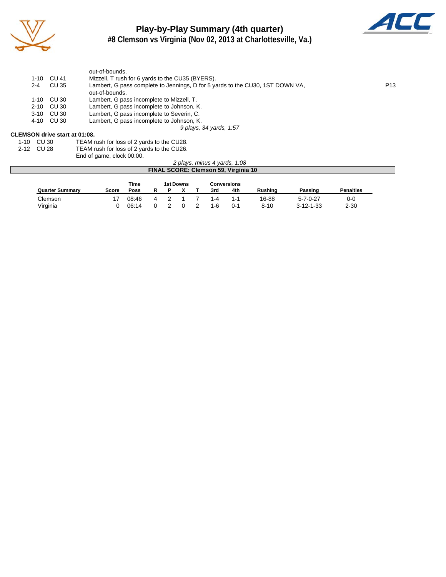

## **Play-by-Play Summary (4th quarter) #8 Clemson vs Virginia (Nov 02, 2013 at Charlottesville, Va.)**



out-of-bounds. 1-10 CU 41 Mizzell, T rush for 6 yards to the CU35 (BYERS).<br>2-4 CU 35 Lambert, G pass complete to Jennings, D for 5 ya Lambert, G pass complete to Jennings, D for 5 yards to the CU30, 1ST DOWN VA, out-of-bounds. 1-10 CU 30 Lambert, G pass incomplete to Mizzell, T.<br>2-10 CU 30 Lambert, G pass incomplete to Johnson, H 2-10 CU 30 Lambert, G pass incomplete to Johnson, K.<br>3-10 CU 30 Lambert, G pass incomplete to Severin, C. 3-10 CU 30 Lambert, G pass incomplete to Severin, C.<br>4-10 CU 30 Lambert, G pass incomplete to Johnson, K Lambert, G pass incomplete to Johnson, K. *9 plays, 34 yards, 1:57*

#### **CLEMSON drive start at 01:08.**

| 1-10 CU 30 | TEAM rush for loss of 2 yards to the CU28. |
|------------|--------------------------------------------|
| 2-12 CU 28 | TEAM rush for loss of 2 yards to the CU26. |

End of game, clock 00:00.

| 2 plays, minus 4 yards, 1:08         |       |             |   |  |  |  |     |         |                |                   |                  |  |  |
|--------------------------------------|-------|-------------|---|--|--|--|-----|---------|----------------|-------------------|------------------|--|--|
| FINAL SCORE: Clemson 59, Virginia 10 |       |             |   |  |  |  |     |         |                |                   |                  |  |  |
| Time<br>1st Downs<br>Conversions     |       |             |   |  |  |  |     |         |                |                   |                  |  |  |
| <b>Quarter Summary</b>               | Score | <b>Poss</b> |   |  |  |  | 3rd | 4th     | <b>Rushing</b> | Passing           | <b>Penalties</b> |  |  |
| Clemson                              |       | 08:46       | 4 |  |  |  | 1-4 | $1 - 1$ | 16-88          | $5 - 7 - 0 - 27$  | $0-0$            |  |  |
| Virginia                             |       | 06:14       |   |  |  |  | 1-6 | $0 - 1$ | $8 - 10$       | $3 - 12 - 1 - 33$ | $2 - 30$         |  |  |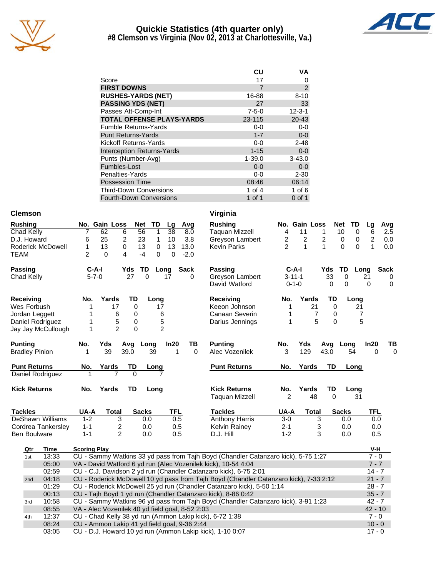

#### **Quickie Statistics (4th quarter only) #8 Clemson vs Virginia (Nov 02, 2013 at Charlottesville, Va.)**



|                                   | CU          | VA             |
|-----------------------------------|-------------|----------------|
| Score                             | 17          | 0              |
| <b>FIRST DOWNS</b>                | 7           | $\overline{2}$ |
| <b>RUSHES-YARDS (NET)</b>         | 16-88       | $8 - 10$       |
| <b>PASSING YDS (NET)</b>          | 27          | 33             |
| Passes Att-Comp-Int               | $7 - 5 - 0$ | $12 - 3 - 1$   |
| <b>TOTAL OFFENSE PLAYS-YARDS</b>  | 23-115      | $20 - 43$      |
| <b>Fumble Returns-Yards</b>       | 0-0         | $0-0$          |
| <b>Punt Returns-Yards</b>         | $1 - 7$     | $0-0$          |
| Kickoff Returns-Yards             | 0-0         | $2 - 48$       |
| <b>Interception Returns-Yards</b> | $1 - 15$    | $0-0$          |
| Punts (Number-Avg)                | $1 - 39.0$  | $3 - 43.0$     |
| Fumbles-Lost                      | $0 - 0$     | $0-0$          |
| Penalties-Yards                   | $0 - 0$     | $2 - 30$       |
| <b>Possession Time</b>            | 08:46       | 06:14          |
| <b>Third-Down Conversions</b>     | 1 of 4      | 1 of $6$       |
| Fourth-Down Conversions           | 1 of 1      | 0 of 1         |

| <b>Clemson</b>           |       |                     |                                                                                                                 |              |          |                |             | Virginia                                                                              |                |                |              |                      |                |                  |
|--------------------------|-------|---------------------|-----------------------------------------------------------------------------------------------------------------|--------------|----------|----------------|-------------|---------------------------------------------------------------------------------------|----------------|----------------|--------------|----------------------|----------------|------------------|
| <b>Rushing</b>           |       |                     | No. Gain Loss                                                                                                   | <b>Net</b>   | TD       | Lg             | Avg         | <b>Rushing</b>                                                                        |                | No. Gain Loss  |              | <b>Net</b><br>TD     | Lg             | Avg              |
| Chad Kelly               |       | 7                   | 62                                                                                                              | 6<br>56      | 1        | 38             | 8.0         | <b>Taquan Mizzell</b>                                                                 | 4              | 11             | 1            | 10<br>$\Omega$       | 6              | $\overline{2.5}$ |
| D.J. Howard              |       | 6                   | 25                                                                                                              | 2<br>23      | 1        | 10             | 3.8         | Greyson Lambert                                                                       | 2              | 2              | 2            | 0<br>$\pmb{0}$       | $\overline{c}$ | 0.0              |
| <b>Roderick McDowell</b> |       | 1                   | 13                                                                                                              | 0<br>13      | 0        | 13             | 13.0        | <b>Kevin Parks</b>                                                                    | $\overline{2}$ | 1              | $\mathbf{1}$ | $\Omega$<br>$\Omega$ | $\mathbf{1}$   | 0.0              |
| TEAM                     |       | 2                   | $\Omega$                                                                                                        | 4<br>$-4$    | $\Omega$ | $\Omega$       | $-2.0$      |                                                                                       |                |                |              |                      |                |                  |
|                          |       |                     |                                                                                                                 |              |          |                |             |                                                                                       |                |                |              |                      |                |                  |
| <b>Passing</b>           |       | $C-A-I$             |                                                                                                                 | Yds          | TD       | Long           | <b>Sack</b> | <b>Passing</b>                                                                        | $C-A-I$        |                | Yds          | TD                   | Long           | <b>Sack</b>      |
| Chad Kelly               |       | $5 - 7 - 0$         |                                                                                                                 | 27           | $\Omega$ | 17             |             | Greyson Lambert                                                                       | $3 - 11 - 1$   |                | 33           | 0                    | 21             | 0                |
|                          |       |                     |                                                                                                                 |              |          |                |             | David Watford                                                                         | $0 - 1 - 0$    |                | 0            | 0                    | 0              | $\mathbf 0$      |
| Receiving                |       | No.                 | Yards                                                                                                           | TD           | Long     |                |             | <b>Receiving</b>                                                                      | No.            | Yards          | TD           | Long                 |                |                  |
| Wes Forbush              |       | 1                   | 17                                                                                                              | 0            | 17       |                |             | Keeon Johnson                                                                         | 1              | 21             | $\Omega$     | 21                   |                |                  |
| Jordan Leggett           |       | 1                   | 6                                                                                                               | 0            | 6        |                |             | Canaan Severin                                                                        | 1              | $\overline{7}$ | 0            | 7                    |                |                  |
| Daniel Rodriguez         |       | 1                   | 5                                                                                                               | 0            |          | 5              |             | Darius Jennings                                                                       | 1              | 5              | $\Omega$     | 5                    |                |                  |
| Jay Jay McCullough       |       | 1                   | $\mathcal{P}$                                                                                                   | $\Omega$     |          | $\mathfrak{p}$ |             |                                                                                       |                |                |              |                      |                |                  |
|                          |       |                     |                                                                                                                 |              |          |                |             |                                                                                       |                |                |              |                      |                |                  |
| <b>Punting</b>           |       | No.                 | Yds                                                                                                             | Avg          | Long     | In20           | ΤВ          | <b>Punting</b>                                                                        | No.            | Yds            | Avg          | Long                 | In20           | ΤВ               |
| <b>Bradley Pinion</b>    |       | 1                   | 39                                                                                                              | 39.0         | 39       | 1              | $\Omega$    | <b>Alec Vozenilek</b>                                                                 | 3              | 129            | 43.0         | 54                   | $\Omega$       | $\Omega$         |
| <b>Punt Returns</b>      |       | No.                 | Yards                                                                                                           | TD           | Long     |                |             | <b>Punt Returns</b>                                                                   | No.            | Yards          | TD           | Long                 |                |                  |
| Daniel Rodriguez         |       |                     | 7                                                                                                               | $\Omega$     |          |                |             |                                                                                       |                |                |              |                      |                |                  |
|                          |       |                     |                                                                                                                 |              |          |                |             |                                                                                       |                |                |              |                      |                |                  |
| <b>Kick Returns</b>      |       | No.                 | Yards                                                                                                           | <b>TD</b>    | Long     |                |             | <b>Kick Returns</b>                                                                   | No.            | Yards          | TD           | Long                 |                |                  |
|                          |       |                     |                                                                                                                 |              |          |                |             | <b>Taquan Mizzell</b>                                                                 | $\overline{2}$ | 48             | $\Omega$     | 31                   |                |                  |
|                          |       |                     |                                                                                                                 |              |          |                |             |                                                                                       |                |                |              |                      |                |                  |
| <b>Tackles</b>           |       | UA-A                | <b>Total</b>                                                                                                    | <b>Sacks</b> |          | <b>TFL</b>     |             | <b>Tackles</b>                                                                        | UA-A           | <b>Total</b>   |              | <b>Sacks</b>         | TFL            |                  |
| DeShawn Williams         |       | $1 - 2$             | 3                                                                                                               |              | 0.0      | 0.5            |             | <b>Anthony Harris</b>                                                                 | $3-0$          | 3              |              | 0.0                  | 0.0            |                  |
| Cordrea Tankerslev       |       | $1 - 1$             | 2                                                                                                               |              | 0.0      | 0.5            |             | <b>Kelvin Rainey</b>                                                                  | $2 - 1$        |                | 3            | 0.0                  | 0.0            |                  |
| <b>Ben Boulware</b>      |       | $1 - 1$             | $\overline{c}$                                                                                                  |              | 0.0      | 0.5            |             | D.J. Hill                                                                             | $1 - 2$        |                | 3            | 0.0                  | 0.5            |                  |
| Qtr                      | Time  | <b>Scoring Play</b> |                                                                                                                 |              |          |                |             |                                                                                       |                |                |              |                      | V-H            |                  |
| 1st                      | 13:33 |                     |                                                                                                                 |              |          |                |             | CU - Sammy Watkins 33 yd pass from Tajh Boyd (Chandler Catanzaro kick), 5-75 1:27     |                |                |              |                      | $7 - 0$        |                  |
|                          | 05:00 |                     |                                                                                                                 |              |          |                |             | VA - David Watford 6 yd run (Alec Vozenilek kick), 10-54 4:04                         |                |                |              |                      | $7 - 7$        |                  |
|                          | 02:59 |                     |                                                                                                                 |              |          |                |             | CU - C.J. Davidson 2 yd run (Chandler Catanzaro kick), 6-75 2:01                      |                |                |              |                      | $14 - 7$       |                  |
| 2nd                      | 04:18 |                     |                                                                                                                 |              |          |                |             | CU - Roderick McDowell 10 yd pass from Tajh Boyd (Chandler Catanzaro kick), 7-33 2:12 |                |                |              |                      | $21 - 7$       |                  |
|                          | 01:29 |                     |                                                                                                                 |              |          |                |             | CU - Roderick McDowell 25 yd run (Chandler Catanzaro kick), 5-50 1:14                 |                |                |              |                      | $28 - 7$       |                  |
|                          | 00:13 |                     |                                                                                                                 |              |          |                |             | CU - Tajh Boyd 1 yd run (Chandler Catanzaro kick), 8-86 0:42                          |                |                |              |                      | $35 - 7$       |                  |
| 3rd                      | 10:58 |                     |                                                                                                                 |              |          |                |             | CU - Sammy Watkins 96 yd pass from Tajh Boyd (Chandler Catanzaro kick), 3-91 1:23     |                |                |              |                      | $42 - 7$       |                  |
|                          | 08:55 |                     | VA - Alec Vozenilek 40 yd field goal, 8-52 2:03                                                                 |              |          |                |             |                                                                                       |                |                |              |                      | $42 - 10$      |                  |
|                          |       |                     | $\frac{1}{2}$ $\frac{1}{2}$ $\frac{1}{2}$ $\frac{1}{2}$ $\frac{1}{2}$ $\frac{1}{2}$ $\frac{1}{2}$ $\frac{1}{2}$ |              |          |                |             | 0.7010                                                                                |                |                |              |                      |                |                  |

# 4th 12:37 CU - Chad Kelly 38 yd run (Ammon Lakip kick), 6-72 1:38 7 - 0

08:24 CU - Ammon Lakip 41 yd field goal, 9-36 2:44 10 - 0 03:05 CU - D.J. Howard 10 yd run (Ammon Lakip kick), 1-10 0:07 17 - 0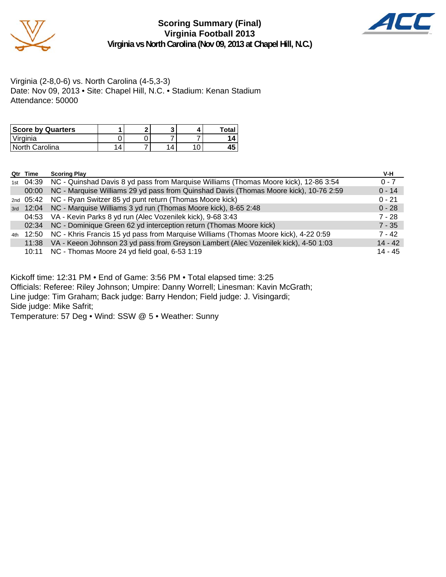

#### **Scoring Summary (Final) Virginia Football 2013 Virginia vs North Carolina (Nov 09, 2013 at Chapel Hill, N.C.)**



Virginia (2-8,0-6) vs. North Carolina (4-5,3-3) Date: Nov 09, 2013 • Site: Chapel Hill, N.C. • Stadium: Kenan Stadium Attendance: 50000

| <b>Score by Quarters</b> |  |          | Total |
|--------------------------|--|----------|-------|
| 'Virginia                |  |          |       |
| North Carolina           |  | $\Delta$ | 43    |

|     | Qtr Time | <b>Scoring Play</b>                                                                   | V-H       |
|-----|----------|---------------------------------------------------------------------------------------|-----------|
| 1st | 04:39    | NC - Quinshad Davis 8 yd pass from Marquise Williams (Thomas Moore kick), 12-86 3:54  | $0 - 7$   |
|     | 00:00    | NC - Marquise Williams 29 yd pass from Quinshad Davis (Thomas Moore kick), 10-76 2:59 | $0 - 14$  |
|     |          | 2nd 05:42 NC - Ryan Switzer 85 yd punt return (Thomas Moore kick)                     | $0 - 21$  |
| 3rd |          | 12:04 NC - Marquise Williams 3 yd run (Thomas Moore kick), 8-65 2:48                  | $0 - 28$  |
|     |          | 04:53 VA - Kevin Parks 8 yd run (Alec Vozenilek kick), 9-68 3:43                      | $7 - 28$  |
|     | 02:34    | NC - Dominique Green 62 yd interception return (Thomas Moore kick)                    | $7 - 35$  |
| 4th | 12:50    | NC - Khris Francis 15 yd pass from Marquise Williams (Thomas Moore kick), 4-22 0:59   | $7 - 42$  |
|     | 11:38    | VA - Keeon Johnson 23 yd pass from Greyson Lambert (Alec Vozenilek kick), 4-50 1:03   | $14 - 42$ |
|     | 10:11    | NC - Thomas Moore 24 yd field goal, 6-53 1:19                                         | $14 - 45$ |

Kickoff time: 12:31 PM • End of Game: 3:56 PM • Total elapsed time: 3:25

Officials: Referee: Riley Johnson; Umpire: Danny Worrell; Linesman: Kavin McGrath;

Line judge: Tim Graham; Back judge: Barry Hendon; Field judge: J. Visingardi;

Side judge: Mike Safrit;

Temperature: 57 Deg • Wind: SSW @ 5 • Weather: Sunny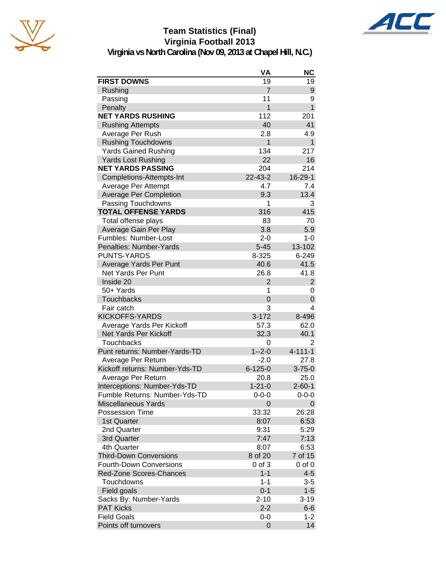

# **Team Statistics (Final) Virginia Football 2013**



**Virginia vs North Carolina (Nov 09, 2013 at Chapel Hill, N.C.)**

| <b>FIRST DOWNS</b><br>19<br>19<br>$\overline{7}$<br>Rushing<br>9<br>Passing<br>11<br>9<br>$\overline{1}$<br>$\mathbf{1}$<br>Penalty<br><b>NET YARDS RUSHING</b><br>112<br>201<br>40<br><b>Rushing Attempts</b><br>41<br>Average Per Rush<br>2.8<br>4.9<br>$\mathbf{1}$<br><b>Rushing Touchdowns</b><br>$\mathbf{1}$<br><b>Yards Gained Rushing</b><br>134<br>217<br><b>Yards Lost Rushing</b><br>22<br>16<br><b>NET YARDS PASSING</b><br>204<br>214<br>$22 - 43 - 2$<br>16-29-1<br>Completions-Attempts-Int<br>Average Per Attempt<br>4.7<br>7.4<br><b>Average Per Completion</b><br>9.3<br>13.4<br>1<br>Passing Touchdowns<br>3<br><b>TOTAL OFFENSE YARDS</b><br>316<br>415<br>Total offense plays<br>83<br>70<br>5.9<br>Average Gain Per Play<br>3.8<br>Fumbles: Number-Lost<br>$2 - 0$<br>$1 - 0$<br>13-102<br>Penalties: Number-Yards<br>$5 - 45$<br><b>PUNTS-YARDS</b><br>8-325<br>6-249<br>Average Yards Per Punt<br>40.6<br>41.5<br><b>Net Yards Per Punt</b><br>26.8<br>41.8<br>Inside 20<br>$\overline{2}$<br>$\overline{2}$<br>50+ Yards<br>1<br>0<br><b>Touchbacks</b><br>$\Omega$<br>0<br>Fair catch<br>3<br>4<br><b>KICKOFFS-YARDS</b><br>$3 - 172$<br>8-496<br>Average Yards Per Kickoff<br>57.3<br>62.0<br>Net Yards Per Kickoff<br>32.3<br>40.1<br><b>Touchbacks</b><br>2<br>0<br>Punt returns: Number-Yards-TD<br>$1 - 2 - 0$<br>$4 - 111 - 1$<br>Average Per Return<br>$-2.0$<br>27.8<br>Kickoff returns: Number-Yds-TD<br>$6 - 125 - 0$<br>$3 - 75 - 0$<br>Average Per Return<br>20.8<br>25.0<br>Interceptions: Number-Yds-TD<br>$1 - 21 - 0$<br>$2 - 60 - 1$<br>Fumble Returns: Number-Yds-TD<br>0-0-0<br>$0 - 0 - 0$<br><b>Miscellaneous Yards</b><br>0<br>0<br><b>Possession Time</b><br>33:32<br>26:28<br>6:53<br>1st Quarter<br>8:07<br>2nd Quarter<br>9:31<br>5:29<br>7:47<br>7:13<br>3rd Quarter<br>4th Quarter<br>8:07<br>6:53<br>8 of 20<br>7 of 15<br><b>Third-Down Conversions</b><br><b>Fourth-Down Conversions</b><br>$0$ of $3$<br>$0$ of $0$<br>Red-Zone Scores-Chances<br>$1 - 1$<br>$4 - 5$<br>Touchdowns<br>$1 - 1$<br>3-5<br>$1 - 5$<br>$0 - 1$<br>Field goals<br>$2 - 10$<br>Sacks By: Number-Yards<br>$3 - 19$<br><b>PAT Kicks</b><br>$2 - 2$<br>$6-6$<br><b>Field Goals</b><br>0-0<br>$1 - 2$<br>0 |                      | VA | <b>NC</b> |
|---------------------------------------------------------------------------------------------------------------------------------------------------------------------------------------------------------------------------------------------------------------------------------------------------------------------------------------------------------------------------------------------------------------------------------------------------------------------------------------------------------------------------------------------------------------------------------------------------------------------------------------------------------------------------------------------------------------------------------------------------------------------------------------------------------------------------------------------------------------------------------------------------------------------------------------------------------------------------------------------------------------------------------------------------------------------------------------------------------------------------------------------------------------------------------------------------------------------------------------------------------------------------------------------------------------------------------------------------------------------------------------------------------------------------------------------------------------------------------------------------------------------------------------------------------------------------------------------------------------------------------------------------------------------------------------------------------------------------------------------------------------------------------------------------------------------------------------------------------------------------------------------------------------------------------------------------------------------------------------------------------------------------------------------------------------------------------------------------------------------------------------------------------------------------------------------------------------------------------------------|----------------------|----|-----------|
|                                                                                                                                                                                                                                                                                                                                                                                                                                                                                                                                                                                                                                                                                                                                                                                                                                                                                                                                                                                                                                                                                                                                                                                                                                                                                                                                                                                                                                                                                                                                                                                                                                                                                                                                                                                                                                                                                                                                                                                                                                                                                                                                                                                                                                             |                      |    |           |
|                                                                                                                                                                                                                                                                                                                                                                                                                                                                                                                                                                                                                                                                                                                                                                                                                                                                                                                                                                                                                                                                                                                                                                                                                                                                                                                                                                                                                                                                                                                                                                                                                                                                                                                                                                                                                                                                                                                                                                                                                                                                                                                                                                                                                                             |                      |    |           |
|                                                                                                                                                                                                                                                                                                                                                                                                                                                                                                                                                                                                                                                                                                                                                                                                                                                                                                                                                                                                                                                                                                                                                                                                                                                                                                                                                                                                                                                                                                                                                                                                                                                                                                                                                                                                                                                                                                                                                                                                                                                                                                                                                                                                                                             |                      |    |           |
|                                                                                                                                                                                                                                                                                                                                                                                                                                                                                                                                                                                                                                                                                                                                                                                                                                                                                                                                                                                                                                                                                                                                                                                                                                                                                                                                                                                                                                                                                                                                                                                                                                                                                                                                                                                                                                                                                                                                                                                                                                                                                                                                                                                                                                             |                      |    |           |
|                                                                                                                                                                                                                                                                                                                                                                                                                                                                                                                                                                                                                                                                                                                                                                                                                                                                                                                                                                                                                                                                                                                                                                                                                                                                                                                                                                                                                                                                                                                                                                                                                                                                                                                                                                                                                                                                                                                                                                                                                                                                                                                                                                                                                                             |                      |    |           |
|                                                                                                                                                                                                                                                                                                                                                                                                                                                                                                                                                                                                                                                                                                                                                                                                                                                                                                                                                                                                                                                                                                                                                                                                                                                                                                                                                                                                                                                                                                                                                                                                                                                                                                                                                                                                                                                                                                                                                                                                                                                                                                                                                                                                                                             |                      |    |           |
|                                                                                                                                                                                                                                                                                                                                                                                                                                                                                                                                                                                                                                                                                                                                                                                                                                                                                                                                                                                                                                                                                                                                                                                                                                                                                                                                                                                                                                                                                                                                                                                                                                                                                                                                                                                                                                                                                                                                                                                                                                                                                                                                                                                                                                             |                      |    |           |
|                                                                                                                                                                                                                                                                                                                                                                                                                                                                                                                                                                                                                                                                                                                                                                                                                                                                                                                                                                                                                                                                                                                                                                                                                                                                                                                                                                                                                                                                                                                                                                                                                                                                                                                                                                                                                                                                                                                                                                                                                                                                                                                                                                                                                                             |                      |    |           |
|                                                                                                                                                                                                                                                                                                                                                                                                                                                                                                                                                                                                                                                                                                                                                                                                                                                                                                                                                                                                                                                                                                                                                                                                                                                                                                                                                                                                                                                                                                                                                                                                                                                                                                                                                                                                                                                                                                                                                                                                                                                                                                                                                                                                                                             |                      |    |           |
|                                                                                                                                                                                                                                                                                                                                                                                                                                                                                                                                                                                                                                                                                                                                                                                                                                                                                                                                                                                                                                                                                                                                                                                                                                                                                                                                                                                                                                                                                                                                                                                                                                                                                                                                                                                                                                                                                                                                                                                                                                                                                                                                                                                                                                             |                      |    |           |
|                                                                                                                                                                                                                                                                                                                                                                                                                                                                                                                                                                                                                                                                                                                                                                                                                                                                                                                                                                                                                                                                                                                                                                                                                                                                                                                                                                                                                                                                                                                                                                                                                                                                                                                                                                                                                                                                                                                                                                                                                                                                                                                                                                                                                                             |                      |    |           |
|                                                                                                                                                                                                                                                                                                                                                                                                                                                                                                                                                                                                                                                                                                                                                                                                                                                                                                                                                                                                                                                                                                                                                                                                                                                                                                                                                                                                                                                                                                                                                                                                                                                                                                                                                                                                                                                                                                                                                                                                                                                                                                                                                                                                                                             |                      |    |           |
|                                                                                                                                                                                                                                                                                                                                                                                                                                                                                                                                                                                                                                                                                                                                                                                                                                                                                                                                                                                                                                                                                                                                                                                                                                                                                                                                                                                                                                                                                                                                                                                                                                                                                                                                                                                                                                                                                                                                                                                                                                                                                                                                                                                                                                             |                      |    |           |
|                                                                                                                                                                                                                                                                                                                                                                                                                                                                                                                                                                                                                                                                                                                                                                                                                                                                                                                                                                                                                                                                                                                                                                                                                                                                                                                                                                                                                                                                                                                                                                                                                                                                                                                                                                                                                                                                                                                                                                                                                                                                                                                                                                                                                                             |                      |    |           |
|                                                                                                                                                                                                                                                                                                                                                                                                                                                                                                                                                                                                                                                                                                                                                                                                                                                                                                                                                                                                                                                                                                                                                                                                                                                                                                                                                                                                                                                                                                                                                                                                                                                                                                                                                                                                                                                                                                                                                                                                                                                                                                                                                                                                                                             |                      |    |           |
|                                                                                                                                                                                                                                                                                                                                                                                                                                                                                                                                                                                                                                                                                                                                                                                                                                                                                                                                                                                                                                                                                                                                                                                                                                                                                                                                                                                                                                                                                                                                                                                                                                                                                                                                                                                                                                                                                                                                                                                                                                                                                                                                                                                                                                             |                      |    |           |
|                                                                                                                                                                                                                                                                                                                                                                                                                                                                                                                                                                                                                                                                                                                                                                                                                                                                                                                                                                                                                                                                                                                                                                                                                                                                                                                                                                                                                                                                                                                                                                                                                                                                                                                                                                                                                                                                                                                                                                                                                                                                                                                                                                                                                                             |                      |    |           |
|                                                                                                                                                                                                                                                                                                                                                                                                                                                                                                                                                                                                                                                                                                                                                                                                                                                                                                                                                                                                                                                                                                                                                                                                                                                                                                                                                                                                                                                                                                                                                                                                                                                                                                                                                                                                                                                                                                                                                                                                                                                                                                                                                                                                                                             |                      |    |           |
|                                                                                                                                                                                                                                                                                                                                                                                                                                                                                                                                                                                                                                                                                                                                                                                                                                                                                                                                                                                                                                                                                                                                                                                                                                                                                                                                                                                                                                                                                                                                                                                                                                                                                                                                                                                                                                                                                                                                                                                                                                                                                                                                                                                                                                             |                      |    |           |
|                                                                                                                                                                                                                                                                                                                                                                                                                                                                                                                                                                                                                                                                                                                                                                                                                                                                                                                                                                                                                                                                                                                                                                                                                                                                                                                                                                                                                                                                                                                                                                                                                                                                                                                                                                                                                                                                                                                                                                                                                                                                                                                                                                                                                                             |                      |    |           |
|                                                                                                                                                                                                                                                                                                                                                                                                                                                                                                                                                                                                                                                                                                                                                                                                                                                                                                                                                                                                                                                                                                                                                                                                                                                                                                                                                                                                                                                                                                                                                                                                                                                                                                                                                                                                                                                                                                                                                                                                                                                                                                                                                                                                                                             |                      |    |           |
|                                                                                                                                                                                                                                                                                                                                                                                                                                                                                                                                                                                                                                                                                                                                                                                                                                                                                                                                                                                                                                                                                                                                                                                                                                                                                                                                                                                                                                                                                                                                                                                                                                                                                                                                                                                                                                                                                                                                                                                                                                                                                                                                                                                                                                             |                      |    |           |
|                                                                                                                                                                                                                                                                                                                                                                                                                                                                                                                                                                                                                                                                                                                                                                                                                                                                                                                                                                                                                                                                                                                                                                                                                                                                                                                                                                                                                                                                                                                                                                                                                                                                                                                                                                                                                                                                                                                                                                                                                                                                                                                                                                                                                                             |                      |    |           |
|                                                                                                                                                                                                                                                                                                                                                                                                                                                                                                                                                                                                                                                                                                                                                                                                                                                                                                                                                                                                                                                                                                                                                                                                                                                                                                                                                                                                                                                                                                                                                                                                                                                                                                                                                                                                                                                                                                                                                                                                                                                                                                                                                                                                                                             |                      |    |           |
|                                                                                                                                                                                                                                                                                                                                                                                                                                                                                                                                                                                                                                                                                                                                                                                                                                                                                                                                                                                                                                                                                                                                                                                                                                                                                                                                                                                                                                                                                                                                                                                                                                                                                                                                                                                                                                                                                                                                                                                                                                                                                                                                                                                                                                             |                      |    |           |
|                                                                                                                                                                                                                                                                                                                                                                                                                                                                                                                                                                                                                                                                                                                                                                                                                                                                                                                                                                                                                                                                                                                                                                                                                                                                                                                                                                                                                                                                                                                                                                                                                                                                                                                                                                                                                                                                                                                                                                                                                                                                                                                                                                                                                                             |                      |    |           |
|                                                                                                                                                                                                                                                                                                                                                                                                                                                                                                                                                                                                                                                                                                                                                                                                                                                                                                                                                                                                                                                                                                                                                                                                                                                                                                                                                                                                                                                                                                                                                                                                                                                                                                                                                                                                                                                                                                                                                                                                                                                                                                                                                                                                                                             |                      |    |           |
|                                                                                                                                                                                                                                                                                                                                                                                                                                                                                                                                                                                                                                                                                                                                                                                                                                                                                                                                                                                                                                                                                                                                                                                                                                                                                                                                                                                                                                                                                                                                                                                                                                                                                                                                                                                                                                                                                                                                                                                                                                                                                                                                                                                                                                             |                      |    |           |
|                                                                                                                                                                                                                                                                                                                                                                                                                                                                                                                                                                                                                                                                                                                                                                                                                                                                                                                                                                                                                                                                                                                                                                                                                                                                                                                                                                                                                                                                                                                                                                                                                                                                                                                                                                                                                                                                                                                                                                                                                                                                                                                                                                                                                                             |                      |    |           |
|                                                                                                                                                                                                                                                                                                                                                                                                                                                                                                                                                                                                                                                                                                                                                                                                                                                                                                                                                                                                                                                                                                                                                                                                                                                                                                                                                                                                                                                                                                                                                                                                                                                                                                                                                                                                                                                                                                                                                                                                                                                                                                                                                                                                                                             |                      |    |           |
|                                                                                                                                                                                                                                                                                                                                                                                                                                                                                                                                                                                                                                                                                                                                                                                                                                                                                                                                                                                                                                                                                                                                                                                                                                                                                                                                                                                                                                                                                                                                                                                                                                                                                                                                                                                                                                                                                                                                                                                                                                                                                                                                                                                                                                             |                      |    |           |
|                                                                                                                                                                                                                                                                                                                                                                                                                                                                                                                                                                                                                                                                                                                                                                                                                                                                                                                                                                                                                                                                                                                                                                                                                                                                                                                                                                                                                                                                                                                                                                                                                                                                                                                                                                                                                                                                                                                                                                                                                                                                                                                                                                                                                                             |                      |    |           |
|                                                                                                                                                                                                                                                                                                                                                                                                                                                                                                                                                                                                                                                                                                                                                                                                                                                                                                                                                                                                                                                                                                                                                                                                                                                                                                                                                                                                                                                                                                                                                                                                                                                                                                                                                                                                                                                                                                                                                                                                                                                                                                                                                                                                                                             |                      |    |           |
|                                                                                                                                                                                                                                                                                                                                                                                                                                                                                                                                                                                                                                                                                                                                                                                                                                                                                                                                                                                                                                                                                                                                                                                                                                                                                                                                                                                                                                                                                                                                                                                                                                                                                                                                                                                                                                                                                                                                                                                                                                                                                                                                                                                                                                             |                      |    |           |
|                                                                                                                                                                                                                                                                                                                                                                                                                                                                                                                                                                                                                                                                                                                                                                                                                                                                                                                                                                                                                                                                                                                                                                                                                                                                                                                                                                                                                                                                                                                                                                                                                                                                                                                                                                                                                                                                                                                                                                                                                                                                                                                                                                                                                                             |                      |    |           |
|                                                                                                                                                                                                                                                                                                                                                                                                                                                                                                                                                                                                                                                                                                                                                                                                                                                                                                                                                                                                                                                                                                                                                                                                                                                                                                                                                                                                                                                                                                                                                                                                                                                                                                                                                                                                                                                                                                                                                                                                                                                                                                                                                                                                                                             |                      |    |           |
|                                                                                                                                                                                                                                                                                                                                                                                                                                                                                                                                                                                                                                                                                                                                                                                                                                                                                                                                                                                                                                                                                                                                                                                                                                                                                                                                                                                                                                                                                                                                                                                                                                                                                                                                                                                                                                                                                                                                                                                                                                                                                                                                                                                                                                             |                      |    |           |
|                                                                                                                                                                                                                                                                                                                                                                                                                                                                                                                                                                                                                                                                                                                                                                                                                                                                                                                                                                                                                                                                                                                                                                                                                                                                                                                                                                                                                                                                                                                                                                                                                                                                                                                                                                                                                                                                                                                                                                                                                                                                                                                                                                                                                                             |                      |    |           |
|                                                                                                                                                                                                                                                                                                                                                                                                                                                                                                                                                                                                                                                                                                                                                                                                                                                                                                                                                                                                                                                                                                                                                                                                                                                                                                                                                                                                                                                                                                                                                                                                                                                                                                                                                                                                                                                                                                                                                                                                                                                                                                                                                                                                                                             |                      |    |           |
|                                                                                                                                                                                                                                                                                                                                                                                                                                                                                                                                                                                                                                                                                                                                                                                                                                                                                                                                                                                                                                                                                                                                                                                                                                                                                                                                                                                                                                                                                                                                                                                                                                                                                                                                                                                                                                                                                                                                                                                                                                                                                                                                                                                                                                             |                      |    |           |
|                                                                                                                                                                                                                                                                                                                                                                                                                                                                                                                                                                                                                                                                                                                                                                                                                                                                                                                                                                                                                                                                                                                                                                                                                                                                                                                                                                                                                                                                                                                                                                                                                                                                                                                                                                                                                                                                                                                                                                                                                                                                                                                                                                                                                                             |                      |    |           |
|                                                                                                                                                                                                                                                                                                                                                                                                                                                                                                                                                                                                                                                                                                                                                                                                                                                                                                                                                                                                                                                                                                                                                                                                                                                                                                                                                                                                                                                                                                                                                                                                                                                                                                                                                                                                                                                                                                                                                                                                                                                                                                                                                                                                                                             |                      |    |           |
|                                                                                                                                                                                                                                                                                                                                                                                                                                                                                                                                                                                                                                                                                                                                                                                                                                                                                                                                                                                                                                                                                                                                                                                                                                                                                                                                                                                                                                                                                                                                                                                                                                                                                                                                                                                                                                                                                                                                                                                                                                                                                                                                                                                                                                             |                      |    |           |
|                                                                                                                                                                                                                                                                                                                                                                                                                                                                                                                                                                                                                                                                                                                                                                                                                                                                                                                                                                                                                                                                                                                                                                                                                                                                                                                                                                                                                                                                                                                                                                                                                                                                                                                                                                                                                                                                                                                                                                                                                                                                                                                                                                                                                                             |                      |    |           |
|                                                                                                                                                                                                                                                                                                                                                                                                                                                                                                                                                                                                                                                                                                                                                                                                                                                                                                                                                                                                                                                                                                                                                                                                                                                                                                                                                                                                                                                                                                                                                                                                                                                                                                                                                                                                                                                                                                                                                                                                                                                                                                                                                                                                                                             |                      |    |           |
|                                                                                                                                                                                                                                                                                                                                                                                                                                                                                                                                                                                                                                                                                                                                                                                                                                                                                                                                                                                                                                                                                                                                                                                                                                                                                                                                                                                                                                                                                                                                                                                                                                                                                                                                                                                                                                                                                                                                                                                                                                                                                                                                                                                                                                             |                      |    |           |
|                                                                                                                                                                                                                                                                                                                                                                                                                                                                                                                                                                                                                                                                                                                                                                                                                                                                                                                                                                                                                                                                                                                                                                                                                                                                                                                                                                                                                                                                                                                                                                                                                                                                                                                                                                                                                                                                                                                                                                                                                                                                                                                                                                                                                                             |                      |    |           |
|                                                                                                                                                                                                                                                                                                                                                                                                                                                                                                                                                                                                                                                                                                                                                                                                                                                                                                                                                                                                                                                                                                                                                                                                                                                                                                                                                                                                                                                                                                                                                                                                                                                                                                                                                                                                                                                                                                                                                                                                                                                                                                                                                                                                                                             |                      |    |           |
|                                                                                                                                                                                                                                                                                                                                                                                                                                                                                                                                                                                                                                                                                                                                                                                                                                                                                                                                                                                                                                                                                                                                                                                                                                                                                                                                                                                                                                                                                                                                                                                                                                                                                                                                                                                                                                                                                                                                                                                                                                                                                                                                                                                                                                             |                      |    |           |
|                                                                                                                                                                                                                                                                                                                                                                                                                                                                                                                                                                                                                                                                                                                                                                                                                                                                                                                                                                                                                                                                                                                                                                                                                                                                                                                                                                                                                                                                                                                                                                                                                                                                                                                                                                                                                                                                                                                                                                                                                                                                                                                                                                                                                                             |                      |    |           |
|                                                                                                                                                                                                                                                                                                                                                                                                                                                                                                                                                                                                                                                                                                                                                                                                                                                                                                                                                                                                                                                                                                                                                                                                                                                                                                                                                                                                                                                                                                                                                                                                                                                                                                                                                                                                                                                                                                                                                                                                                                                                                                                                                                                                                                             |                      |    |           |
|                                                                                                                                                                                                                                                                                                                                                                                                                                                                                                                                                                                                                                                                                                                                                                                                                                                                                                                                                                                                                                                                                                                                                                                                                                                                                                                                                                                                                                                                                                                                                                                                                                                                                                                                                                                                                                                                                                                                                                                                                                                                                                                                                                                                                                             | Points off turnovers |    | 14        |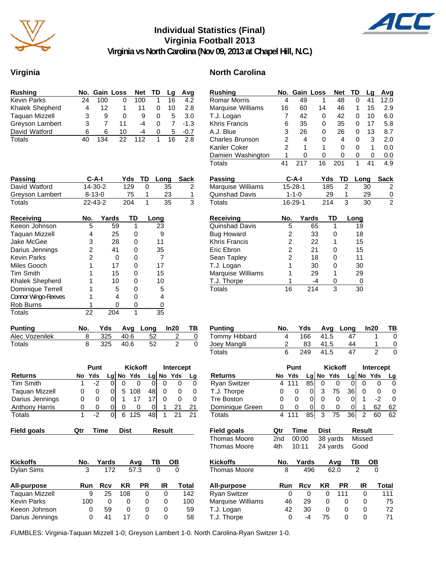

#### **Individual Statistics (Final) Virginia Football 2013 Virginia vs North Carolina (Nov 09, 2013 at Chapel Hill, N.C.)**



#### **Virginia North Carolina**

| <b>Rushing</b>        |    |     | No. Gain Loss | Net TD |   | La | Avg    |
|-----------------------|----|-----|---------------|--------|---|----|--------|
| <b>Kevin Parks</b>    | 24 | 100 | 0             | 100    |   | 16 | 4.2    |
| Khalek Shepherd       | 4  | 12  |               | 11     | O | 10 | 2.8    |
| <b>Taquan Mizzell</b> | 3  | 9   | 0             | 9      | 0 | 5  | 3.0    |
| Greyson Lambert       | 3  |     | 11            | -4     | 0 |    | $-1.3$ |
| David Watford         | 6  | 6   | 10            | -4     | 0 | 5  | $-0.7$ |
| Totals                | 40 | 134 | 22            | 112    |   | 16 | 2 R    |

| <b>Passing</b>             | C-A-I         |       | Yds | TD<br>Long |      | Sack |
|----------------------------|---------------|-------|-----|------------|------|------|
| David Watford              | 14-30-2       |       | 129 | 0          | 35   | 2    |
| Greyson Lambert            | $8 - 13 - 0$  |       | 75  | 1          | 23   | 1    |
| Totals                     | $22 - 43 - 2$ |       | 204 | 1          | 35   | 3    |
| Receiving                  | No.           | Yards | TD  |            | Long |      |
| Keeon Johnson              | 5             | 59    | 1   |            | 23   |      |
| <b>Taguan Mizzell</b>      | 4             | 25    | Ω   |            | 9    |      |
| Jake McGee                 | 3             | 28    | 0   |            | 11   |      |
| Darius Jennings            | 2             | 41    | 0   |            | 35   |      |
| Kevin Parks                | 2             | 0     | O   |            | 7    |      |
| Miles Gooch                |               | 17    | Ω   |            | 17   |      |
| <b>Tim Smith</b>           |               | 15    | 0   |            | 15   |      |
| <b>Khalek Shepherd</b>     |               | 10    | O   |            | 10   |      |
| Dominique Terrell          |               | 5     | Ω   |            | 5    |      |
| <b>Connor Wingo-Reeves</b> |               | 4     | O   |            | 4    |      |
| Rob Burns                  |               | Ω     | 0   |            | 0    |      |
| Totals                     | 22            | 204   | 1   |            | 35   |      |

| <b>Punting</b> |  |          | No. Yds Avg Long In20 TB |  |
|----------------|--|----------|--------------------------|--|
| Alec Vozenilek |  |          | 325 40.6 52              |  |
| Totals         |  | 325 40.6 | - 52                     |  |

|          | Punt         |    |   |     |                      | Intercept      |              |             |
|----------|--------------|----|---|-----|----------------------|----------------|--------------|-------------|
|          | Yds          |    |   |     |                      |                |              | La          |
|          | -2           |    |   |     |                      | 0              | O            | 0           |
| $\Omega$ | $\Omega$     |    | 5 | 108 | 48                   |                | $\mathbf{0}$ | 0           |
| O        | $\Omega$     |    |   |     |                      |                | $\Omega$     | 0           |
| O        | $\mathbf{0}$ |    |   |     |                      |                |              | 21          |
|          |              |    |   |     |                      | 1              | 21           | 21          |
|          |              | No |   |     | $Lg$ No Yds<br>6 125 | <b>Kickoff</b> | 48           | $Lg$ No Yds |

| <b>Field goals</b> | Qtr | Γime | Dist | Result | <b>Field goals</b> | Qtr  | Time  | <b>Dist</b>                                                                                             | Result     |
|--------------------|-----|------|------|--------|--------------------|------|-------|---------------------------------------------------------------------------------------------------------|------------|
|                    |     |      |      |        |                    | ∩⊶ ⊸ | 0.000 | $\mathbf{A}$ $\mathbf{A}$ $\mathbf{A}$ $\mathbf{A}$ $\mathbf{A}$ $\mathbf{A}$ $\mathbf{A}$ $\mathbf{A}$ | $A: - - -$ |

| <b>Kickoffs</b>       | No. | Yards |     | Avq  | ΤВ | OВ    |  |
|-----------------------|-----|-------|-----|------|----|-------|--|
| Dylan Sims            | 3   | 172   |     | 57.3 | O  |       |  |
| All-purpose           | Run | Rcv   | KR  | РR   | IR | Total |  |
| <b>Taguan Mizzell</b> | 9   | 25    | 108 | 0    | 0  | 142   |  |
| <b>Kevin Parks</b>    | 100 | 0     | 0   | 0    | 0  | 100   |  |
| Keeon Johnson         | 0   | 59    | Ω   | 0    | 0  | 59    |  |
| Darius Jennings       | O   | 41    | 17  | 0    | O  | 58    |  |

| <b>Rushing</b>         | No.            | <b>Gain Loss</b> |       |                  | <b>Net</b>     | TD               | Lg             | Avg           |
|------------------------|----------------|------------------|-------|------------------|----------------|------------------|----------------|---------------|
| <b>Romar Morris</b>    | 4              | 49               |       | 1                | 48             | 0                | 41             | 12.0          |
| Marquise Williams      | 16             | 60               |       | 14               | 46             | 1                | 15             | 2.9           |
| T.J. Logan             | 7              | 42               |       | 0                | 42             | 0                | 10             | 6.0           |
| <b>Khris Francis</b>   | 6              | 35               |       | 0                | 35             | 0                | 17             | 5.8           |
| A.J. Blue              | 3              | 26               |       | 0                | 26             | 0                | 13             | 8.7           |
| <b>Charles Brunson</b> | $\overline{c}$ | 4                |       | 0                | 4              | 0                | 3              | 2.0           |
| Kanler Coker           | $\overline{2}$ | 1                |       | 1                | $\mathbf 0$    | 0                | 1              | 0.0           |
| Damien Washington      | 1              | 0                |       | 0                | 0              | 0                | 0              | 0.0           |
| Totals                 | 41             | 217              |       | 16               | 201            | 1                | 41             | 4.9           |
| <b>Passing</b>         |                | $C-A-I$          |       | Yds              | <b>TD</b>      | Long             |                | <b>Sack</b>   |
| Marquise Williams      |                | 15-28-1          |       | 185              | 2              |                  | 30             | 2             |
| Quinshad Davis         |                | $1 - 1 - 0$      |       | 29               | 1              |                  | 29             | $\frac{0}{2}$ |
| <b>Totals</b>          |                | 16-29-1          |       | 214              | 3              |                  | 30             |               |
| <b>Receiving</b>       | No.            |                  | Yards | TD               |                | Long             |                |               |
| Quinshad Davis         |                | 5                | 65    |                  | 1              | 19               |                |               |
| <b>Bug Howard</b>      |                |                  | 33    |                  | 0              | 18               |                |               |
| Khris Francis          |                | 22221            | 22    |                  | 1              | 15               |                |               |
| Eric Ebron             |                |                  | 21    |                  | 0              | 15               |                |               |
| Sean Tapley            |                |                  | 18    |                  | 0              | 11               |                |               |
| T.J. Logan             |                |                  | 30    |                  | 0              | 30               |                |               |
| Marquise Williams      | 1              |                  | 29    |                  | 1              | 29               |                |               |
| T.J. Thorpe            | 1              |                  | $-4$  |                  | 0              | 0                |                |               |
| <b>Totals</b>          | 16             |                  | 214   |                  | 3              | 30               |                |               |
| <b>Punting</b>         | No.            | Yds              |       | Avg              |                | Long             | In20           | ΤВ            |
| Tommy Hibbard          | 4              | 166              |       | 41.5             |                | 47               | 1              | 0             |
| Joey Mangili           | $\overline{c}$ | 83               |       | 41.5             |                | 44               | 1              | 0             |
| Totals                 | 6              | 249              |       | 41.5             |                | 47               | $\overline{2}$ | $\Omega$      |
|                        |                | Punt             |       |                  | <b>Kickoff</b> |                  |                | Intercept     |
|                        |                | $37.1 -$         |       | المتعدد والمارين |                | المتعجب والمامين |                |               |

|                     | Punt |              |    |   | <b>KICKOTT</b> |    | intercept |           |    |
|---------------------|------|--------------|----|---|----------------|----|-----------|-----------|----|
| <b>Returns</b>      |      | No Yds       |    |   | $Lg$ No Yds    |    |           | Lg No Yds | Lq |
| <b>Ryan Switzer</b> |      | 111          | 85 |   |                |    |           |           | O  |
| T.J. Thorpe         |      |              |    |   | 75             | 36 |           |           |    |
| <b>Tre Boston</b>   |      |              |    |   |                |    |           |           | 0  |
| Dominique Green     | O    | $\mathbf{O}$ |    |   |                |    |           | 62        | 62 |
| Totals              |      |              | 85 | 3 | 75             | 36 | 2         |           | 62 |

| Field goals  | Qtr | Time | Dist                      | Result |
|--------------|-----|------|---------------------------|--------|
| Thomas Moore |     |      | 2nd 00:00 38 yards Missed |        |
| Thomas Moore | 4th |      | 10:11 24 yards Good       |        |

| No. | Yards |    |     | ΤВ                                                 | OВ    |
|-----|-------|----|-----|----------------------------------------------------|-------|
| 8   | 496   |    |     | 2                                                  |       |
| Run | Rcv   | KR |     | IR                                                 | Total |
| 0   | Ω     | 0  | 111 |                                                    | 111   |
| 46  | 29    | 0  |     | 0                                                  | 75    |
| 42  | 30    | 0  |     |                                                    | 72    |
| O   | -4    | 75 |     |                                                    | 71    |
|     |       |    |     | Avq<br>62.0<br><b>PR</b><br>$\mathbf{0}$<br>0<br>0 |       |

FUMBLES: Virginia-Taquan Mizzell 1-0; Greyson Lambert 1-0. North Carolina-Ryan Switzer 1-0.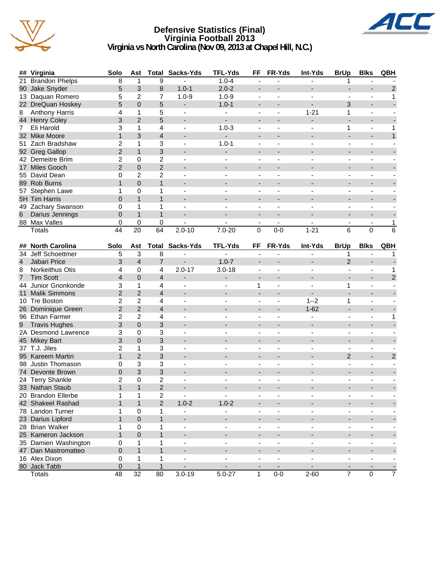

#### **Defensive Statistics (Final) Virginia Football 2013 Virginia vs North Carolina (Nov 09, 2013 at Chapel Hill, N.C.)**



|                | ## Virginia           | Solo             | Ast             |                         | <b>Total Sacks-Yds</b>   | <b>TFL-Yds</b>           | FF                       | FR-Yds                   | Int-Yds                  | <b>BrUp</b>              | <b>Blks</b>              | QBH            |
|----------------|-----------------------|------------------|-----------------|-------------------------|--------------------------|--------------------------|--------------------------|--------------------------|--------------------------|--------------------------|--------------------------|----------------|
| 21             | <b>Brandon Phelps</b> | 8                | 1               | 9                       |                          | $1.0 - 4$                | ä,                       |                          |                          | 1                        |                          |                |
|                | 90 Jake Snyder        | 5                | 3               | 8                       | $1.0 - 1$                | $2.0 - 2$                | $\overline{\phantom{a}}$ |                          |                          |                          |                          | $\overline{2}$ |
|                | 13 Daquan Romero      | 5                | $\overline{2}$  | $\overline{7}$          | $1.0 - 9$                | $1.0 - 9$                | $\blacksquare$           | ä,                       | $\blacksquare$           | Ξ.                       | $\blacksquare$           | 1              |
|                | 22 DreQuan Hoskey     | 5                | $\Omega$        | 5                       | $\blacksquare$           | $1.0 - 1$                | $\overline{\phantom{a}}$ | $\overline{a}$           | $\overline{\phantom{a}}$ | 3                        | $\overline{\phantom{a}}$ |                |
| 8              | <b>Anthony Harris</b> | 4                | 1               | 5                       | $\blacksquare$           | $\overline{\phantom{0}}$ |                          |                          | $1 - 21$                 | 1                        |                          |                |
|                | 44 Henry Coley        | 3                | $\overline{2}$  | 5                       | $\blacksquare$           | $\overline{\phantom{a}}$ |                          |                          | $\blacksquare$           |                          |                          |                |
| 7              | Eli Harold            | 3                | 1               | 4                       | $\overline{\phantom{a}}$ | $1.0 - 3$                | $\overline{\phantom{a}}$ | ä,                       |                          | 1                        | $\blacksquare$           | 1              |
|                | 32 Mike Moore         | $\mathbf{1}$     | 3               | $\overline{\mathbf{4}}$ |                          |                          |                          |                          |                          | ÷,                       |                          | $\mathbf{1}$   |
|                | 51 Zach Bradshaw      | $\overline{c}$   | 1               | 3                       | $\blacksquare$           | $1.0 - 1$                | $\overline{\phantom{a}}$ | ä,                       | $\blacksquare$           | Ξ.                       | $\blacksquare$           |                |
|                | 92 Greg Gallop        | $\overline{c}$   | $\mathbf{1}$    | 3                       |                          | $\overline{\phantom{0}}$ | $\blacksquare$           |                          |                          | $\overline{\phantom{0}}$ | $\overline{\phantom{a}}$ |                |
|                | 42 Demeitre Brim      | $\overline{2}$   | 0               | 2                       | $\overline{\phantom{a}}$ |                          | $\blacksquare$           | ÷,                       | $\overline{\phantom{a}}$ | ä,                       | $\blacksquare$           |                |
|                | 17 Miles Gooch        | $\overline{2}$   | $\overline{0}$  | $\overline{2}$          |                          |                          | $\overline{\phantom{a}}$ |                          |                          |                          |                          |                |
|                | 55 David Dean         | 0                | $\overline{2}$  | $\overline{c}$          | $\overline{\phantom{a}}$ |                          | $\overline{\phantom{a}}$ |                          |                          | ä,                       | $\blacksquare$           |                |
|                | 89 Rob Burns          | $\mathbf{1}$     | $\Omega$        | $\mathbf{1}$            | $\overline{\phantom{a}}$ | $\overline{\phantom{a}}$ | $\overline{\phantom{a}}$ |                          | $\overline{\phantom{a}}$ | ÷,                       | $\blacksquare$           |                |
|                | 57 Stephen Lawe       | 1                | 0               | 1                       |                          |                          |                          |                          |                          |                          |                          |                |
|                | 5H Tim Harris         | $\mathbf 0$      | $\mathbf{1}$    | $\mathbf{1}$            |                          |                          |                          |                          |                          |                          |                          |                |
|                | 49 Zachary Swanson    | 0                | 1               | 1                       |                          |                          | $\overline{\phantom{a}}$ |                          |                          | $\overline{\phantom{0}}$ |                          |                |
|                | Darius Jennings       | $\overline{0}$   | $\mathbf{1}$    | $\mathbf{1}$            |                          |                          |                          |                          |                          | ÷,                       |                          |                |
| 6              |                       |                  |                 |                         |                          |                          |                          |                          |                          |                          |                          |                |
|                | 88 Max Valles         | 0                | 0               | 0                       | $2.0 - 10$               |                          | $\blacksquare$           | $\blacksquare$           |                          | Ξ.                       | $\blacksquare$           | 1              |
|                | Totals                | 44               | 20              | 64                      |                          | $7.0 - 20$               | $\Omega$                 | $0-0$                    | $1 - 21$                 | 6                        | $\Omega$                 | 6              |
|                | ## North Carolina     | Solo             | Ast             | Total                   | Sacks-Yds                | <b>TFL-Yds</b>           | FF                       | FR-Yds                   | Int-Yds                  | <b>BrUp</b>              | <b>Blks</b>              | <b>QBH</b>     |
|                | 34 Jeff Schoettmer    | 5                | 3               | 8                       | $\blacksquare$           | $\blacksquare$           | $\overline{\phantom{a}}$ |                          | $\overline{\phantom{a}}$ | 1                        |                          | 1              |
| $\overline{4}$ | Jabari Price          | 3                | $\overline{4}$  | $\overline{7}$          | $\overline{\phantom{a}}$ | $1.0 - 7$                | $\overline{\phantom{a}}$ |                          | $\blacksquare$           | $\overline{2}$           | $\overline{\phantom{a}}$ |                |
| 8              | Norkeithus Otis       | 4                | $\mathbf 0$     | 4                       | $2.0 - 17$               | $3.0 - 18$               |                          |                          |                          |                          | $\blacksquare$           | 1              |
| $\overline{7}$ | <b>Tim Scott</b>      | $\overline{4}$   | $\overline{0}$  | 4                       | $\overline{\phantom{a}}$ | -                        | $\overline{\phantom{a}}$ |                          |                          |                          | $\overline{\phantom{a}}$ | $\overline{c}$ |
|                | 44 Junior Gnonkonde   | 3                | 1               | 4                       | $\overline{a}$           | $\overline{\phantom{a}}$ | 1                        | ÷                        |                          | 1                        | ÷,                       |                |
|                | 11 Malik Simmons      | $\overline{2}$   | $\overline{2}$  | $\overline{4}$          |                          |                          |                          |                          |                          |                          |                          |                |
|                | 10 Tre Boston         | 2                | $\overline{c}$  | 4                       | $\overline{\phantom{a}}$ | $\overline{\phantom{a}}$ | $\overline{\phantom{a}}$ | ä,                       | $1 - 2$                  | 1                        | $\blacksquare$           |                |
|                | 26 Dominique Green    | $\overline{c}$   | $\overline{2}$  | $\overline{4}$          | $\overline{\phantom{0}}$ |                          | $\blacksquare$           |                          | $1 - 62$                 | $\overline{\phantom{a}}$ | $\overline{\phantom{a}}$ |                |
|                | 96 Ethan Farmer       | 2                | $\overline{2}$  | 4                       | $\overline{\phantom{a}}$ | $\blacksquare$           | $\blacksquare$           | $\overline{a}$           | $\blacksquare$           | $\overline{\phantom{a}}$ | $\blacksquare$           | 1              |
| 9              | <b>Travis Hughes</b>  | 3                | $\overline{0}$  | 3                       |                          |                          | $\overline{\phantom{a}}$ |                          |                          | $\overline{\phantom{a}}$ |                          |                |
|                | 2A Desmond Lawrence   | 3                | 0               | 3                       | $\overline{\phantom{a}}$ |                          | $\blacksquare$           |                          |                          | ä,                       | $\blacksquare$           |                |
|                | 45 Mikey Bart         | 3                | $\overline{0}$  | 3                       | $\blacksquare$           | $\overline{\phantom{a}}$ | $\overline{\phantom{a}}$ | $\overline{\phantom{a}}$ | $\blacksquare$           | $\overline{\phantom{a}}$ | $\overline{\phantom{a}}$ |                |
|                | 37 T.J. Jiles         | $\overline{2}$   | 1               | 3                       |                          |                          |                          |                          |                          |                          |                          |                |
|                | 95 Kareem Martin      | $\mathbf{1}$     | $\overline{2}$  | 3                       |                          |                          |                          |                          |                          | $\overline{2}$           | $\overline{\phantom{a}}$ | $\overline{c}$ |
|                | 98 Justin Thomason    | 0                | 3               | 3                       | $\overline{a}$           |                          | $\overline{\phantom{a}}$ | ٠                        |                          | $\overline{\phantom{0}}$ | ÷,                       |                |
|                | 74 Devonte Brown      | $\mathbf{0}$     | 3               | 3                       |                          |                          |                          |                          |                          |                          |                          |                |
|                | 24 Terry Shankle      | 2                | 0               | $\overline{\mathbf{c}}$ | $\overline{\phantom{a}}$ |                          | $\overline{\phantom{a}}$ |                          |                          | $\overline{\phantom{a}}$ | $\blacksquare$           |                |
|                | 33 Nathan Staub       | $\mathbf{1}$     | $\mathbf{1}$    | $\overline{2}$          | $\blacksquare$           |                          |                          |                          |                          |                          | $\overline{\phantom{a}}$ |                |
|                | 20 Brandon Ellerbe    | 1                | 1               | $\overline{2}$          | $\overline{\phantom{a}}$ |                          |                          |                          |                          |                          |                          |                |
|                | 42 Shakeel Rashad     | 1                | $\mathbf{1}$    | $\overline{2}$          | $1.0 - 2$                | $1.0 - 2$                |                          |                          |                          |                          |                          |                |
|                | 78 Landon Turner      | 1                | 0               | 1                       | $\overline{\phantom{a}}$ |                          | $\overline{\phantom{a}}$ | ä,                       | $\blacksquare$           | -                        | $\blacksquare$           |                |
|                |                       | $\mathbf{1}$     |                 |                         |                          |                          |                          |                          |                          |                          |                          |                |
|                | 23 Darius Lipford     |                  | 0               | $\mathbf{1}$            |                          |                          | $\overline{\phantom{a}}$ | $\overline{\phantom{a}}$ |                          | $\overline{\phantom{a}}$ | $\overline{\phantom{a}}$ |                |
|                | 28 Brian Walker       | 1                | 0               | 1                       | $\blacksquare$           |                          |                          |                          |                          |                          | $\blacksquare$           |                |
|                | 25 Kameron Jackson    | $\mathbf{1}$     | 0               | $\mathbf{1}$            |                          |                          |                          |                          |                          |                          |                          |                |
|                | 35 Damien Washington  | 0                | 1               | 1                       | $\overline{\phantom{a}}$ | $\overline{\phantom{a}}$ | $\overline{\phantom{a}}$ | ÷                        | $\blacksquare$           | $\overline{\phantom{0}}$ | $\overline{\phantom{a}}$ |                |
|                | 47 Dan Mastromatteo   | $\pmb{0}$        | $\mathbf{1}$    | $\mathbf{1}$            |                          |                          |                          |                          |                          |                          |                          |                |
|                | 16 Alex Dixon         | 0                | 1               | 1                       | $\overline{\phantom{a}}$ | $\overline{\phantom{a}}$ | $\overline{\phantom{a}}$ | ÷                        | $\overline{\phantom{a}}$ | -                        | $\blacksquare$           |                |
|                | 80 Jack Tabb          | $\boldsymbol{0}$ | $\mathbf{1}$    | $\mathbf{1}$            |                          |                          |                          |                          |                          |                          |                          |                |
|                | Totals                | $\overline{48}$  | $\overline{32}$ | $\overline{80}$         | $3.0 - 19$               | $5.0 - 27$               | $\mathbf{1}$             | $0-0$                    | $2 - 60$                 | $\overline{7}$           | $\mathbf 0$              | $\overline{7}$ |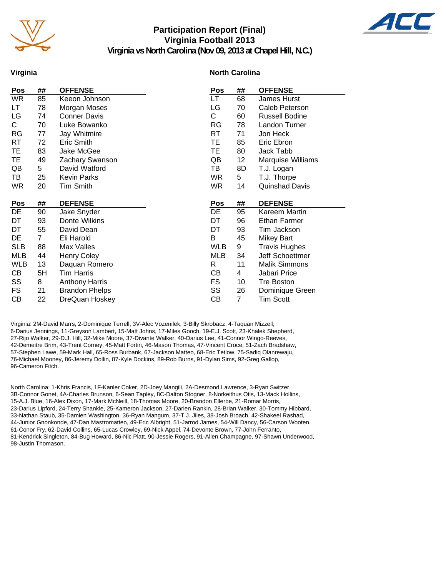

#### **Participation Report (Final) Virginia Football 2013 Virginia vs North Carolina (Nov 09, 2013 at Chapel Hill, N.C.)**



#### **Virginia**

#### **North Carolina**

| <b>Pos</b> | ## | <b>OFFENSE</b>        | Pos        | ## | <b>OFFENSE</b>       |
|------------|----|-----------------------|------------|----|----------------------|
| <b>WR</b>  | 85 | Keeon Johnson         | LT.        | 68 | James Hurst          |
| LT         | 78 | Morgan Moses          | LG         | 70 | Caleb Peterson       |
| LG         | 74 | <b>Conner Davis</b>   | C          | 60 | Russell Bodine       |
| С          | 70 | Luke Bowanko          | RG         | 78 | Landon Turner        |
| RG         | 77 | Jay Whitmire          | <b>RT</b>  | 71 | Jon Heck             |
| RT         | 72 | Eric Smith            | TE         | 85 | Eric Ebron           |
| TE         | 83 | Jake McGee            | TE         | 80 | Jack Tabb            |
| TE         | 49 | Zachary Swanson       | QB         | 12 | Marquise Williams    |
| QB         | 5  | David Watford         | TB         | 8D | T.J. Logan           |
| TB         | 25 | <b>Kevin Parks</b>    | <b>WR</b>  | 5  | T.J. Thorpe          |
| WR         | 20 | Tim Smith             | <b>WR</b>  | 14 | Quinshad Davis       |
|            |    |                       |            |    |                      |
|            |    |                       |            |    |                      |
| Pos        | ## | <b>DEFENSE</b>        | Pos        | ## | <b>DEFENSE</b>       |
| DE         | 90 | Jake Snyder           | DE         | 95 | Kareem Martin        |
| DT         | 93 | Donte Wilkins         | DT         | 96 | Ethan Farmer         |
| DT         | 55 | David Dean            | DT         | 93 | Tim Jackson          |
| DE         | 7  | Eli Harold            | B          | 45 | <b>Mikey Bart</b>    |
| <b>SLB</b> | 88 | Max Valles            | <b>WLB</b> | 9  | <b>Travis Hughes</b> |
| MLB        | 44 | <b>Henry Coley</b>    | MLB        | 34 | Jeff Schoettmer      |
| WLB        | 13 | Daquan Romero         | R          | 11 | <b>Malik Simmons</b> |
| СB         | 5H | <b>Tim Harris</b>     | CВ         | 4  | Jabari Price         |
| SS         | 8  | <b>Anthony Harris</b> | <b>FS</b>  | 10 | <b>Tre Boston</b>    |
| FS         | 21 | <b>Brandon Phelps</b> | SS         | 26 | Dominique Green      |
| CВ         | 22 | DreQuan Hoskey        | СB         | 7  | <b>Tim Scott</b>     |

Virginia: 2M-David Marrs, 2-Dominique Terrell, 3V-Alec Vozenilek, 3-Billy Skrobacz, 4-Taquan Mizzell, 6-Darius Jennings, 11-Greyson Lambert, 15-Matt Johns, 17-Miles Gooch, 19-E.J. Scott, 23-Khalek Shepherd, 27-Rijo Walker, 29-D.J. Hill, 32-Mike Moore, 37-Divante Walker, 40-Darius Lee, 41-Connor Wingo-Reeves, 42-Demeitre Brim, 43-Trent Corney, 45-Matt Fortin, 46-Mason Thomas, 47-Vincent Croce, 51-Zach Bradshaw, 57-Stephen Lawe, 59-Mark Hall, 65-Ross Burbank, 67-Jackson Matteo, 68-Eric Tetlow, 75-Sadiq Olanrewaju, 76-Michael Mooney, 86-Jeremy Dollin, 87-Kyle Dockins, 89-Rob Burns, 91-Dylan Sims, 92-Greg Gallop, 96-Cameron Fitch.

North Carolina: 1-Khris Francis, 1F-Kanler Coker, 2D-Joey Mangili, 2A-Desmond Lawrence, 3-Ryan Switzer, 3B-Connor Gonet, 4A-Charles Brunson, 6-Sean Tapley, 8C-Dalton Stogner, 8-Norkeithus Otis, 13-Mack Hollins, 15-A.J. Blue, 16-Alex Dixon, 17-Mark McNeill, 18-Thomas Moore, 20-Brandon Ellerbe, 21-Romar Morris, 23-Darius Lipford, 24-Terry Shankle, 25-Kameron Jackson, 27-Darien Rankin, 28-Brian Walker, 30-Tommy Hibbard, 33-Nathan Staub, 35-Damien Washington, 36-Ryan Mangum, 37-T.J. Jiles, 38-Josh Broach, 42-Shakeel Rashad, 44-Junior Gnonkonde, 47-Dan Mastromatteo, 49-Eric Albright, 51-Jarrod James, 54-Will Dancy, 56-Carson Wooten, 61-Conor Fry, 62-David Collins, 65-Lucas Crowley, 69-Nick Appel, 74-Devonte Brown, 77-John Ferranto, 81-Kendrick Singleton, 84-Bug Howard, 86-Nic Platt, 90-Jessie Rogers, 91-Allen Champagne, 97-Shawn Underwood, 98-Justin Thomason.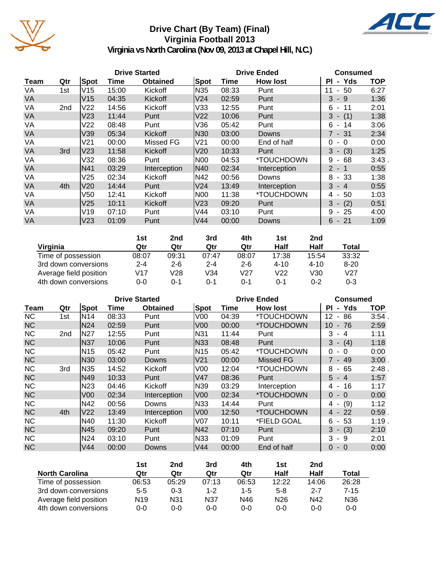

# **Drive Chart (By Team) (Final) Virginia Football 2013**



**Virginia vs North Carolina (Nov 09, 2013 at Chapel Hill, N.C.)**

|           |     |                 |       | <b>Drive Started</b> |                 | <b>Drive Ended</b> | <b>Consumed</b> |                                     |            |
|-----------|-----|-----------------|-------|----------------------|-----------------|--------------------|-----------------|-------------------------------------|------------|
| Team      | Qtr | <b>Spot</b>     | Time  | <b>Obtained</b>      | Spot            | Time               | <b>How lost</b> | - Yds<br><b>PI</b>                  | <b>TOP</b> |
| VA        | 1st | V15             | 15:00 | Kickoff              | N35             | 08:33              | Punt            | $-50$<br>11                         | 6:27       |
| <b>VA</b> |     | V <sub>15</sub> | 04:35 | Kickoff              | V <sub>24</sub> | 02:59              | Punt            | $3 - 9$                             | 1:36       |
| VA        | 2nd | V <sub>22</sub> | 14:56 | Kickoff              | V33             | 12:55              | Punt            | - 11<br>6                           | 2:01       |
| VA        |     | V <sub>23</sub> | 11:44 | Punt                 | V22             | 10:06              | Punt            | $3 - (1)$                           | 1:38       |
| VA        |     | V <sub>22</sub> | 08:48 | Punt                 | V36             | 05:42              | Punt            | 6<br>14<br>$\sim$                   | 3:06       |
| <b>VA</b> |     | V39             | 05:34 | <b>Kickoff</b>       | N30             | 03:00              | Downs           | $7 - 31$                            | 2:34       |
| VA        |     | V21             | 00:00 | Missed FG            | V21             | 00:00              | End of half     | $\Omega$<br>$-0$                    | 0:00       |
| <b>VA</b> | 3rd | V <sub>23</sub> | 11:58 | Kickoff              | V <sub>20</sub> | 10:33              | Punt            | $3 - (3)$                           | 1:25       |
| VA        |     | V32             | 08:36 | Punt                 | INOO            | 04:53              | *TOUCHDOWN      | 9<br>68<br>$\overline{\phantom{a}}$ | 3:43       |
| <b>VA</b> |     | N41             | 03:29 | Interception         | N40             | 02:34              | Interception    | $2 - 1$                             | 0:55       |
| VA        |     | V25             | 02:34 | Kickoff              | N42             | 00:56              | Downs           | $-33$<br>8                          | 1:38       |
| VA        | 4th | V20             | 14:44 | Punt                 | V24             | 13:49              | Interception    | 3<br>$-4$                           | 0:55       |
| VA        |     | V50             | 12:41 | Kickoff              | N00             | 11:38              | *TOUCHDOWN      | 50<br>4<br>$\blacksquare$           | 1:03       |
| <b>VA</b> |     | V25             | 10:11 | Kickoff              | lV23            | 09:20              | Punt            | $3 - (2)$                           | 0:51       |
| VA        |     | V19             | 07:10 | Punt                 | V44             | 03:10              | Punt            | 9<br>$-25$                          | 4:00       |
| <b>VA</b> |     | V <sub>23</sub> | 01:09 | Punt                 | V44             | 00:00              | Downs           | $6 - 21$                            | 1:09       |

|                        | 1st     | 2nd     | 3rd     | 4th     | 1st      | 2nd      |              |
|------------------------|---------|---------|---------|---------|----------|----------|--------------|
| Virginia               | Qtr     | Qtr     | Qtr     | Qtr     | Half     | Half     | <b>Total</b> |
| Time of possession     | 08:07   | 09:31   | 07:47   | 08:07   | 17:38    | 15:54    | 33:32        |
| 3rd down conversions   | $2 - 4$ | $2 - 6$ | $2 - 4$ | $2 - 6$ | $4 - 10$ | $4 - 10$ | $8 - 20$     |
| Average field position | V17     | V28     | V34     | V27     | V22      | V30      | V27          |
| 4th down conversions   | 0-0     | ი-1     | ი-1     | ი-1     | ი-1      | $0 - 2$  | $0 - 3$      |

|           |     |                 |       | <b>Drive Started</b> |                 |       | <b>Drive Ended</b> | <b>Consumed</b>                      |            |
|-----------|-----|-----------------|-------|----------------------|-----------------|-------|--------------------|--------------------------------------|------------|
| Team      | Qtr | Spot            | Time  | <b>Obtained</b>      | Spot            | Time  | <b>How lost</b>    | - Yds<br>ΡI                          | <b>TOP</b> |
| <b>NC</b> | 1st | N14             | 08:33 | Punt                 | V <sub>00</sub> | 04:39 | *TOUCHDOWN         | 12<br>86<br>$\blacksquare$           | 3:54       |
| <b>NC</b> |     | N <sub>24</sub> | 02:59 | Punt                 | V00             | 00:00 | *TOUCHDOWN         | 10<br>76<br>$\overline{\phantom{a}}$ | 2:59       |
| <b>NC</b> | 2nd | N27             | 12:55 | Punt                 | N31             | 11:44 | Punt               | 3<br>$\overline{\mathbf{4}}$         | 1:11       |
| <b>NC</b> |     | N37             | 10:06 | Punt                 | N33             | 08:48 | Punt               | 3<br>$- (4)$                         | 1:18       |
| <b>NC</b> |     | N <sub>15</sub> | 05:42 | Punt                 | N <sub>15</sub> | 05:42 | *TOUCHDOWN         | 0<br>$\Omega$                        | 0:00       |
| <b>NC</b> |     | N <sub>30</sub> | 03:00 | Downs                | V21             | 00:00 | <b>Missed FG</b>   | 7 - 49                               | 3:00       |
| <b>NC</b> | 3rd | N35             | 14:52 | Kickoff              | V <sub>0</sub>  | 12:04 | *TOUCHDOWN         | 65<br>8<br>$\sim$                    | 2:48       |
| <b>NC</b> |     | N49             | 10:33 | Punt                 | V47             | 08:36 | Punt               | 5<br>$-4$                            | 1:57       |
| <b>NC</b> |     | N <sub>23</sub> | 04:46 | Kickoff              | N39             | 03:29 | Interception       | 16<br>4<br>$\sim$                    | 1:17       |
| <b>NC</b> |     | V <sub>00</sub> | 02:34 | Interception         | V00             | 02:34 | *TOUCHDOWN         | $\Omega$<br>$-0$                     | 0:00       |
| <b>NC</b> |     | N42             | 00:56 | Downs                | N33             | 14:44 | Punt               | (9)<br>4 -                           | 1:12       |
| <b>NC</b> | 4th | V22             | 13:49 | Interception         | V00             | 12:50 | *TOUCHDOWN         | 4 - 22                               | 0:59       |
| <b>NC</b> |     | N40             | 11:30 | Kickoff              | V07             | 10:11 | *FIELD GOAL        | 53<br>6<br>$\overline{\phantom{a}}$  | 1:19       |
| <b>NC</b> |     | N45             | 09:20 | Punt                 | N42             | 07:10 | Punt               | $-(3)$<br>3                          | 2:10       |
| <b>NC</b> |     | N24             | 03:10 | Punt                 | N33             | 01:09 | Punt               | 3<br>-9<br>$\sim$                    | 2:01       |
| <b>NC</b> |     | V44             | 00:00 | Downs                | V44             | 00:00 | End of half        | 0<br>$-0$                            | 0:00       |

|                        | 1st             | 2nd     | 3rd     | 4th     | 1st             | 2 <sub>nd</sub> |                 |
|------------------------|-----------------|---------|---------|---------|-----------------|-----------------|-----------------|
| <b>North Carolina</b>  | Qtr             | Qtr     | Qtr     | Qtr     | Half            | Half            | Total           |
| Time of possession     | 06:53           | 05:29   | 07:13   | 06:53   | 12:22           | 14:06           | 26:28           |
| 3rd down conversions   | $5 - 5$         | $0 - 3$ | $1 - 2$ | $1 - 5$ | $5-8$           | $2 - 7$         | $7 - 15$        |
| Average field position | N <sub>19</sub> | N31     | N37     | N46     | N <sub>26</sub> | N42             | N <sub>36</sub> |
| 4th down conversions   | 0-0             | 0-0     | 0-0     | 0-0     | $0 - 0$         | $0 - 0$         | $0 - 0$         |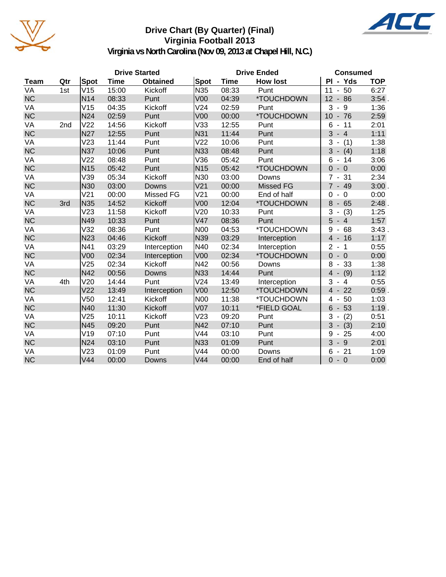

# **Drive Chart (By Quarter) (Final) Virginia Football 2013**



**Virginia vs North Carolina (Nov 09, 2013 at Chapel Hill, N.C.)**

|           |                 |                 |       | <b>Drive Started</b> |                 | <b>Drive Ended</b> | <b>Consumed</b>  |                                              |            |
|-----------|-----------------|-----------------|-------|----------------------|-----------------|--------------------|------------------|----------------------------------------------|------------|
| Team      | Qtr             | Spot            | Time  | <b>Obtained</b>      | Spot            | Time               | <b>How lost</b>  | PI - Yds                                     | <b>TOP</b> |
| VA        | 1st             | V15             | 15:00 | Kickoff              | N35             | 08:33              | Punt             | 50<br>11<br>$\frac{1}{2}$                    | 6:27       |
| <b>NC</b> |                 | N <sub>14</sub> | 08:33 | Punt                 | V <sub>00</sub> | 04:39              | *TOUCHDOWN       | 12<br>86<br>$\blacksquare$                   | 3:54.      |
| VA        |                 | V15             | 04:35 | Kickoff              | V24             | 02:59              | Punt             | 3<br>9<br>$\overline{\phantom{a}}$           | 1:36       |
| <b>NC</b> |                 | N24             | 02:59 | Punt                 | V <sub>00</sub> | 00:00              | *TOUCHDOWN       | $10 - 76$                                    | 2:59       |
| VA        | 2 <sub>nd</sub> | V <sub>22</sub> | 14:56 | Kickoff              | V33             | 12:55              | Punt             | 6<br>11<br>$\blacksquare$                    | 2:01       |
| <b>NC</b> |                 | <b>N27</b>      | 12:55 | Punt                 | N31             | 11:44              | Punt             | 3<br>$-4$                                    | 1:11       |
| VA        |                 | V23             | 11:44 | Punt                 | V <sub>22</sub> | 10:06              | Punt             | 3<br>(1)                                     | 1:38       |
| <b>NC</b> |                 | <b>N37</b>      | 10:06 | Punt                 | N33             | 08:48              | Punt             | 3<br>$-$ (4)                                 | 1:18       |
| VA        |                 | V <sub>22</sub> | 08:48 | Punt                 | V36             | 05:42              | Punt             | 6<br>14                                      | 3:06       |
| <b>NC</b> |                 | N <sub>15</sub> | 05:42 | Punt                 | N <sub>15</sub> | 05:42              | *TOUCHDOWN       | 0<br>$\overline{0}$                          | 0:00       |
| VA        |                 | V39             | 05:34 | Kickoff              | N30             | 03:00              | Downs            | 31<br>$\overline{7}$                         | 2:34       |
| <b>NC</b> |                 | N30             | 03:00 | Downs                | V <sub>21</sub> | 00:00              | <b>Missed FG</b> | $7 - 49$                                     | 3:00.      |
| VA        |                 | V <sub>21</sub> | 00:00 | Missed FG            | V <sub>21</sub> | 00:00              | End of half      | $\overline{0}$<br>$\Omega$<br>$\blacksquare$ | 0:00       |
| <b>NC</b> | 3rd             | <b>N35</b>      | 14:52 | Kickoff              | V <sub>00</sub> | 12:04              | *TOUCHDOWN       | 8<br>$-65$                                   | 2:48       |
| VA        |                 | V23             | 11:58 | Kickoff              | V20             | 10:33              | Punt             | 3<br>(3)<br>$\overline{\phantom{0}}$         | 1:25       |
| <b>NC</b> |                 | N49             | 10:33 | Punt                 | V47             | 08:36              | Punt             | 5<br>$-4$                                    | 1:57       |
| VA        |                 | V32             | 08:36 | Punt                 | N <sub>00</sub> | 04:53              | *TOUCHDOWN       | 9<br>68                                      | 3:43.      |
| <b>NC</b> |                 | <b>N23</b>      | 04:46 | Kickoff              | N39             | 03:29              | Interception     | $-16$<br>4                                   | 1:17       |
| VA        |                 | N41             | 03:29 | Interception         | N40             | 02:34              | Interception     | 2<br>$\overline{1}$                          | 0:55       |
| <b>NC</b> |                 | V <sub>00</sub> | 02:34 | Interception         | V <sub>00</sub> | 02:34              | *TOUCHDOWN       | $\Omega$<br>$-0$                             | 0:00       |
| VA        |                 | V25             | 02:34 | Kickoff              | N42             | 00:56              | Downs            | 8<br>33<br>$\overline{\phantom{a}}$          | 1:38       |
| <b>NC</b> |                 | N42             | 00:56 | Downs                | <b>N33</b>      | 14:44              | Punt             | $\overline{4}$<br>(9)                        | 1:12       |
| VA        | 4th             | V20             | 14:44 | Punt                 | V <sub>24</sub> | 13:49              | Interception     | 3<br>$-4$                                    | 0:55       |
| <b>NC</b> |                 | V <sub>22</sub> | 13:49 | Interception         | V <sub>00</sub> | 12:50              | *TOUCHDOWN       | 22<br>$4 -$                                  | $0:59$ .   |
| VA        |                 | V50             | 12:41 | Kickoff              | <b>N00</b>      | 11:38              | *TOUCHDOWN       | 50<br>4<br>$\blacksquare$                    | 1:03       |
| <b>NC</b> |                 | N40             | 11:30 | Kickoff              | V <sub>07</sub> | 10:11              | *FIELD GOAL      | 6<br>53<br>$\overline{\phantom{a}}$          | 1:19.      |
| VA        |                 | V25             | 10:11 | Kickoff              | V <sub>23</sub> | 09:20              | Punt             | 3<br>(2)<br>$\qquad \qquad \blacksquare$     | 0:51       |
| <b>NC</b> |                 | N45             | 09:20 | Punt                 | N42             | 07:10              | Punt             | 3<br>(3)<br>$\blacksquare$                   | 2:10       |
| VA        |                 | V19             | 07:10 | Punt                 | V44             | 03:10              | Punt             | 25<br>9<br>$\blacksquare$                    | 4:00       |
| <b>NC</b> |                 | <b>N24</b>      | 03:10 | Punt                 | N33             | 01:09              | Punt             | 3<br>- 9                                     | 2:01       |
| VA        |                 | V23             | 01:09 | Punt                 | V44             | 00:00              | Downs            | 6<br>$-21$                                   | 1:09       |
| <b>NC</b> |                 | V44             | 00:00 | <b>Downs</b>         | V44             | 00:00              | End of half      | $-0$<br>$\Omega$                             | 0:00       |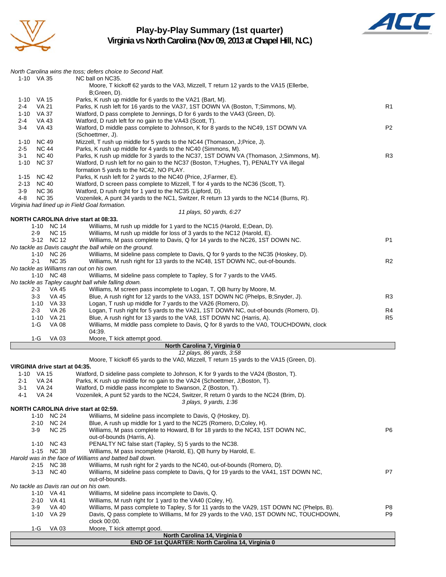

#### **Play-by-Play Summary (1st quarter) Virginia vs North Carolina (Nov 09, 2013 at Chapel Hill, N.C.)**



|         |                            |                                | North Carolina wins the toss; defers choice to Second Half.                                                                                                         |                |
|---------|----------------------------|--------------------------------|---------------------------------------------------------------------------------------------------------------------------------------------------------------------|----------------|
|         | 1-10 VA 35                 |                                | NC ball on NC35.                                                                                                                                                    |                |
|         |                            |                                | Moore, T kickoff 62 yards to the VA3, Mizzell, T return 12 yards to the VA15 (Ellerbe,                                                                              |                |
|         | 1-10 VA 15                 |                                | B;Green, D).<br>Parks, K rush up middle for 6 yards to the VA21 (Bart, M).                                                                                          |                |
| 2-4     | <b>VA 21</b>               |                                | Parks, K rush left for 16 yards to the VA37, 1ST DOWN VA (Boston, T;Simmons, M).                                                                                    | R <sub>1</sub> |
|         | 1-10 VA 37                 |                                | Watford, D pass complete to Jennings, D for 6 yards to the VA43 (Green, D).                                                                                         |                |
| $2 - 4$ | VA 43                      |                                | Watford, D rush left for no gain to the VA43 (Scott, T).                                                                                                            |                |
| 3-4     | VA 43                      |                                | Watford, D middle pass complete to Johnson, K for 8 yards to the NC49, 1ST DOWN VA                                                                                  | P <sub>2</sub> |
|         |                            |                                | (Schoettmer, J).                                                                                                                                                    |                |
| 1-10    | <b>NC 49</b>               |                                | Mizzell, T rush up middle for 5 yards to the NC44 (Thomason, J;Price, J).                                                                                           |                |
| $2 - 5$ | <b>NC 44</b>               |                                | Parks, K rush up middle for 4 yards to the NC40 (Simmons, M).                                                                                                       |                |
| 3-1     | <b>NC 40</b>               |                                | Parks, K rush up middle for 3 yards to the NC37, 1ST DOWN VA (Thomason, J;Simmons, M).                                                                              | R <sub>3</sub> |
| 1-10    | NC 37                      |                                | Watford, D rush left for no gain to the NC37 (Boston, T; Hughes, T), PENALTY VA illegal                                                                             |                |
|         |                            |                                | formation 5 yards to the NC42, NO PLAY.                                                                                                                             |                |
|         | 1-15 NC 42                 |                                | Parks, K rush left for 2 yards to the NC40 (Price, J;Farmer, E).                                                                                                    |                |
| 3-9     | 2-13 NC 40<br><b>NC 36</b> |                                | Watford, D screen pass complete to Mizzell, T for 4 yards to the NC36 (Scott, T).<br>Watford, D rush right for 1 yard to the NC35 (Lipford, D).                     |                |
| 4-8     | <b>NC 35</b>               |                                | Vozenilek, A punt 34 yards to the NC1, Switzer, R return 13 yards to the NC14 (Burns, R).                                                                           |                |
|         |                            |                                | Virginia had lined up in Field Goal formation.                                                                                                                      |                |
|         |                            |                                | 11 plays, 50 yards, 6:27                                                                                                                                            |                |
|         |                            |                                | <b>NORTH CAROLINA drive start at 08:33.</b>                                                                                                                         |                |
|         |                            | 1-10 NC 14                     | Williams, M rush up middle for 1 yard to the NC15 (Harold, E; Dean, D).                                                                                             |                |
|         | $2-9$                      | <b>NC 15</b>                   | Williams, M rush up middle for loss of 3 yards to the NC12 (Harold, E).                                                                                             |                |
|         |                            | 3-12 NC 12                     | Williams, M pass complete to Davis, Q for 14 yards to the NC26, 1ST DOWN NC.                                                                                        | P <sub>1</sub> |
|         |                            |                                | No tackle as Davis caught the ball while on the ground.                                                                                                             |                |
|         |                            | 1-10 NC 26                     | Williams, M sideline pass complete to Davis, Q for 9 yards to the NC35 (Hoskey, D).                                                                                 |                |
|         | 2-1                        | <b>NC 35</b>                   | Williams, M rush right for 13 yards to the NC48, 1ST DOWN NC, out-of-bounds.                                                                                        | R <sub>2</sub> |
|         |                            |                                | No tackle as Williams ran out on his own.                                                                                                                           |                |
|         |                            | 1-10 NC 48                     | Williams, M sideline pass complete to Tapley, S for 7 yards to the VA45.                                                                                            |                |
|         |                            |                                | No tackle as Tapley caught ball while falling down.                                                                                                                 |                |
|         | $2 - 3$<br>3-3             | VA 45<br><b>VA 45</b>          | Williams, M screen pass incomplete to Logan, T, QB hurry by Moore, M.<br>Blue, A rush right for 12 yards to the VA33, 1ST DOWN NC (Phelps, B;Snyder, J).            | R <sub>3</sub> |
|         |                            | 1-10 VA 33                     | Logan, T rush up middle for 7 yards to the VA26 (Romero, D).                                                                                                        |                |
|         | $2 - 3$                    | <b>VA 26</b>                   | Logan, T rush right for 5 yards to the VA21, 1ST DOWN NC, out-of-bounds (Romero, D).                                                                                | R4             |
|         | 1-10                       | VA 21                          | Blue, A rush right for 13 yards to the VA8, 1ST DOWN NC (Harris, A).                                                                                                | R <sub>5</sub> |
|         | 1-G                        | VA 08                          | Williams, M middle pass complete to Davis, Q for 8 yards to the VA0, TOUCHDOWN, clock                                                                               |                |
|         |                            |                                | 04:39.                                                                                                                                                              |                |
|         | 1-G                        | VA 03                          | Moore, T kick attempt good.                                                                                                                                         |                |
|         |                            |                                | North Carolina 7, Virginia 0                                                                                                                                        |                |
|         |                            |                                | 12 plays, 86 yards, 3:58                                                                                                                                            |                |
|         |                            |                                | Moore, T kickoff 65 yards to the VA0, Mizzell, T return 15 yards to the VA15 (Green, D).                                                                            |                |
|         | 1-10 VA 15                 | VIRGINIA drive start at 04:35. | Watford, D sideline pass complete to Johnson, K for 9 yards to the VA24 (Boston, T).                                                                                |                |
| 2-1     | VA 24                      |                                | Parks, K rush up middle for no gain to the VA24 (Schoettmer, J;Boston, T).                                                                                          |                |
| 3-1     | <b>VA 24</b>               |                                | Watford, D middle pass incomplete to Swanson, Z (Boston, T).                                                                                                        |                |
| 4-1     | <b>VA 24</b>               |                                | Vozenilek, A punt 52 yards to the NC24, Switzer, R return 0 yards to the NC24 (Brim, D).                                                                            |                |
|         |                            |                                | 3 plays, 9 yards, 1:36                                                                                                                                              |                |
|         |                            |                                | NORTH CAROLINA drive start at 02:59.                                                                                                                                |                |
|         |                            | 1-10 NC 24                     | Williams, M sideline pass incomplete to Davis, Q (Hoskey, D).                                                                                                       |                |
|         |                            | 2-10 NC 24                     | Blue, A rush up middle for 1 yard to the NC25 (Romero, D;Coley, H).                                                                                                 |                |
|         | 3-9                        | <b>NC 25</b>                   | Williams, M pass complete to Howard, B for 18 yards to the NC43, 1ST DOWN NC,                                                                                       | P6             |
|         |                            |                                | out-of-bounds (Harris, A).                                                                                                                                          |                |
|         |                            | 1-10 NC 43                     | PENALTY NC false start (Tapley, S) 5 yards to the NC38.                                                                                                             |                |
|         |                            | 1-15 NC 38                     | Williams, M pass incomplete (Harold, E), QB hurry by Harold, E.                                                                                                     |                |
|         |                            |                                | Harold was in the face of Williams and batted ball down.                                                                                                            |                |
|         |                            | 2-15 NC 38<br>3-13 NC 40       | Williams, M rush right for 2 yards to the NC40, out-of-bounds (Romero, D).<br>Williams, M sideline pass complete to Davis, Q for 19 yards to the VA41, 1ST DOWN NC. | P7             |
|         |                            |                                | out-of-bounds.                                                                                                                                                      |                |
|         |                            |                                | No tackle as Davis ran out on his own.                                                                                                                              |                |
|         |                            | 1-10 VA 41                     | Williams, M sideline pass incomplete to Davis, Q.                                                                                                                   |                |
|         |                            | 2-10 VA 41                     | Williams, M rush right for 1 yard to the VA40 (Coley, H).                                                                                                           |                |
|         | 3-9                        | VA 40                          | Williams, M pass complete to Tapley, S for 11 yards to the VA29, 1ST DOWN NC (Phelps, B).                                                                           | P8             |
|         |                            | 1-10 VA 29                     | Davis, Q pass complete to Williams, M for 29 yards to the VA0, 1ST DOWN NC, TOUCHDOWN,                                                                              | P9             |
|         |                            |                                | clock 00:00.                                                                                                                                                        |                |
|         | 1-G                        | VA 03                          | Moore, T kick attempt good.                                                                                                                                         |                |

**North Carolina 14, Virginia 0 END OF 1st QUARTER: North Carolina 14, Virginia 0**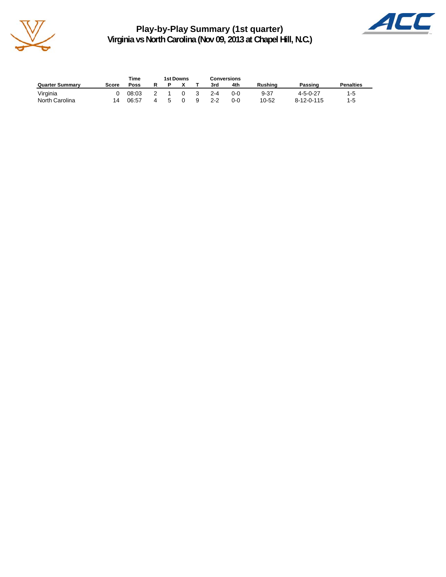

**Play-by-Play Summary (1st quarter) Virginia vs North Carolina (Nov 09, 2013 at Chapel Hill, N.C.)**



|                        | Time<br>1st Downs |       |  |   |              | Conversions |         |     |          |                  |                  |  |
|------------------------|-------------------|-------|--|---|--------------|-------------|---------|-----|----------|------------------|------------------|--|
| <b>Quarter Summary</b> | Score             | Poss  |  |   |              |             | 3rd     | 4th | Rushina  | Passing          | <b>Penalties</b> |  |
| Virginia               |                   | 08:03 |  |   | <sup>0</sup> |             | $2 - 4$ | 0-0 | $9 - 37$ | $4 - 5 - 0 - 27$ | $1-5$            |  |
| North Carolina         | 14                | 06:57 |  | ∽ |              | -9          | $2 - 2$ | 0-0 | 10-52    | 8-12-0-115       | $1 - 5$          |  |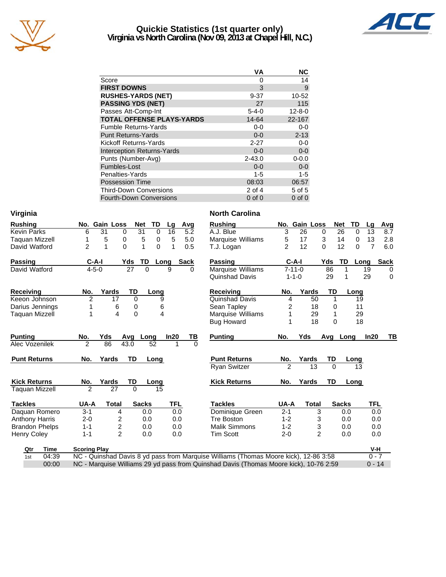

#### **Quickie Statistics (1st quarter only) Virginia vs North Carolina (Nov 09, 2013 at Chapel Hill, N.C.)**



|                                   | VА          | NC           |
|-----------------------------------|-------------|--------------|
| Score                             | 0           | 14           |
| <b>FIRST DOWNS</b>                | 3           | 9            |
| <b>RUSHES-YARDS (NET)</b>         | $9 - 37$    | 10-52        |
| <b>PASSING YDS (NET)</b>          | 27          | 115          |
| Passes Att-Comp-Int               | $5 - 4 - 0$ | $12 - 8 - 0$ |
| <b>TOTAL OFFENSE PLAYS-YARDS</b>  | 14-64       | 22-167       |
| <b>Fumble Returns-Yards</b>       | $0-0$       | $0 - 0$      |
| <b>Punt Returns-Yards</b>         | $0 - 0$     | $2 - 13$     |
| Kickoff Returns-Yards             | $2 - 27$    | $0-0$        |
| <b>Interception Returns-Yards</b> | $0 - 0$     | $0 - 0$      |
| Punts (Number-Avg)                | $2 - 43.0$  | $0 - 0.0$    |
| Fumbles-Lost                      | $0 - 0$     | $0 - 0$      |
| Penalties-Yards                   | $1 - 5$     | $1 - 5$      |
| <b>Possession Time</b>            | 08:03       | 06:57        |
| <b>Third-Down Conversions</b>     | 2 of 4      | 5 of 5       |
| <b>Fourth-Down Conversions</b>    | $0$ of $0$  | $0$ of $0$   |

| Virginia              |                     |                         |              |          |            |              | <b>North Carolina</b>                                                                 |                |               |                |              |          |             |
|-----------------------|---------------------|-------------------------|--------------|----------|------------|--------------|---------------------------------------------------------------------------------------|----------------|---------------|----------------|--------------|----------|-------------|
| Rushing               |                     | No. Gain Loss           | Net          | TD       | Lg         | Avg          | <b>Rushing</b>                                                                        |                | No. Gain Loss |                | <b>Net</b>   | TD<br>La | <b>Avg</b>  |
| <b>Kevin Parks</b>    | 6                   | 31<br>0                 | 31           | 0        | 16         | 5.2          | A.J. Blue                                                                             | 3              | 26            | 0              | 26           | 0<br>13  | 8.7         |
| <b>Taquan Mizzell</b> |                     | 5<br>0                  | 5            | 0        | 5          | 5.0          | Marquise Williams                                                                     | 5              | 17            | 3              | 14           | 13<br>0  | 2.8         |
| David Watford         | 2                   | 1<br>$\Omega$           | 1            | $\Omega$ | 1          | 0.5          | T.J. Logan                                                                            | $\mathfrak{p}$ | 12            | $\mathbf{0}$   | 12           | 7<br>0   | 6.0         |
| Passing               | $C-A-I$             |                         | Yds<br>TD    | Long     |            | <b>Sack</b>  | Passing                                                                               |                | $C-A-I$       | Yds            | TD           | Long     | <b>Sack</b> |
| David Watford         | $4 - 5 - 0$         |                         | 27           | $\Omega$ | 9          | <sup>0</sup> | Marquise Williams                                                                     |                | $7 - 11 - 0$  | 86             |              | 19       | 0           |
|                       |                     |                         |              |          |            |              | <b>Quinshad Davis</b>                                                                 |                | $1 - 1 - 0$   | 29             | 1            | 29       | $\mathbf 0$ |
| Receiving             | No.                 | Yards                   | TD           | Long     |            |              | Receiving                                                                             | No.            | Yards         | TD             |              | Long     |             |
| Keeon Johnson         | $\overline{c}$      | 17                      | 0            | 9        |            |              | <b>Quinshad Davis</b>                                                                 | 4              | 50            | 1              |              | 19       |             |
| Darius Jennings       |                     | 6                       | 0            | 6        |            |              | Sean Tapley                                                                           | 2              | 18            | 0              |              | 11       |             |
| <b>Taquan Mizzell</b> |                     | 4                       | 0            | 4        |            |              | Marquise Williams                                                                     | 1              | 29            | 1              |              | 29       |             |
|                       |                     |                         |              |          |            |              | <b>Bug Howard</b>                                                                     | 1              | 18            | $\Omega$       |              | 18       |             |
| <b>Punting</b>        | No.                 | Yds                     | Avg          | Long     | In20       | ΤВ           | <b>Punting</b>                                                                        | No.            | Yds           | Avg            | Long         | In20     | TB          |
| Alec Vozenilek        | $\mathfrak{p}$      | 86                      | 43.0         | 52       | 1          | $\Omega$     |                                                                                       |                |               |                |              |          |             |
| <b>Punt Returns</b>   | No.                 | Yards                   | TD           | Long     |            |              | <b>Punt Returns</b>                                                                   | No.            | Yards         | TD             |              | Long     |             |
|                       |                     |                         |              |          |            |              | <b>Ryan Switzer</b>                                                                   | 2              | 13            | 0              |              | 13       |             |
| <b>Kick Returns</b>   | No.                 | Yards                   | TD           | Long     |            |              | <b>Kick Returns</b>                                                                   | No.            | Yards         | <b>TD</b>      |              | Long     |             |
| <b>Taquan Mizzell</b> | $\overline{2}$      | 27                      | $\Omega$     | 15       |            |              |                                                                                       |                |               |                |              |          |             |
| <b>Tackles</b>        | UA-A                | <b>Total</b>            | <b>Sacks</b> |          | <b>TFL</b> |              | <b>Tackles</b>                                                                        | UA-A           | <b>Total</b>  |                | <b>Sacks</b> |          | <b>TFL</b>  |
| Daquan Romero         | $3 - 1$             | 4                       |              | 0.0      | 0.0        |              | Dominique Green                                                                       | $2 - 1$        |               | 3              | 0.0          |          | 0.0         |
| <b>Anthony Harris</b> | $2 - 0$             | 2                       |              | 0.0      | 0.0        |              | <b>Tre Boston</b>                                                                     | $1 - 2$        |               | 3              | 0.0          |          | 0.0         |
| <b>Brandon Phelps</b> | $1 - 1$             | $\overline{\mathbf{c}}$ |              | 0.0      | 0.0        |              | <b>Malik Simmons</b>                                                                  | $1 - 2$        |               | 3              | 0.0          |          | 0.0         |
| <b>Henry Coley</b>    | $1 - 1$             | $\mathfrak{p}$          |              | 0.0      | 0.0        |              | <b>Tim Scott</b>                                                                      | $2 - 0$        |               | $\overline{2}$ | 0.0          |          | 0.0         |
| <b>Time</b><br>Qtr    | <b>Scoring Play</b> |                         |              |          |            |              |                                                                                       |                |               |                |              |          | V-H         |
| 04:39<br>1st          |                     |                         |              |          |            |              | NC - Quinshad Davis 8 yd pass from Marquise Williams (Thomas Moore kick), 12-86 3:58  |                |               |                |              |          | $0 - 7$     |
| 00:00                 |                     |                         |              |          |            |              | NC - Marquise Williams 29 yd pass from Quinshad Davis (Thomas Moore kick), 10-76 2:59 |                |               |                |              |          | $0 - 14$    |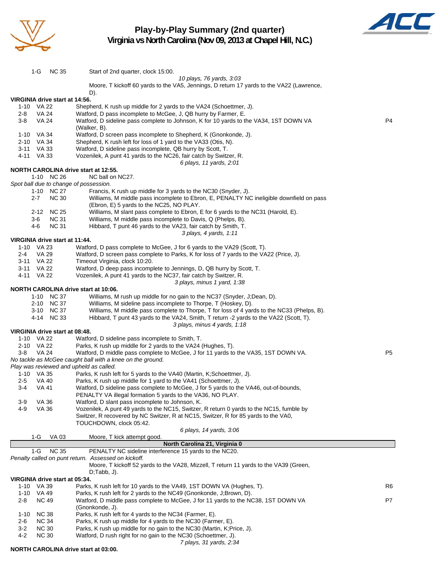

#### **Play-by-Play Summary (2nd quarter) Virginia vs North Carolina (Nov 09, 2013 at Chapel Hill, N.C.)**



1-G NC 35 Start of 2nd quarter, clock 15:00. *10 plays, 76 yards, 3:03* Moore, T kickoff 60 yards to the VA5, Jennings, D return 17 yards to the VA22 (Lawrence, D). **VIRGINIA drive start at 14:56.** 1-10 VA 22 Shepherd, K rush up middle for 2 yards to the VA24 (Schoettmer, J). 2-8 VA 24 Watford, D pass incomplete to McGee, J, QB hurry by Farmer, E. 3-8 VA 24 Watford, D sideline pass complete to Johnson, K for 10 yards to the VA34, 1ST DOWN VA P4 (Walker, B). 1-10 VA 34 Watford, D screen pass incomplete to Shepherd, K (Gnonkonde, J). 2-10 VA 34 Shepherd, K rush left for loss of 1 yard to the VA33 (Otis, N). 3-11 VA 33 Watford, D sideline pass incomplete, QB hurry by Scott, T. 4-11 VA 33 Vozenilek, A punt 41 yards to the NC26, fair catch by Switzer, R. *6 plays, 11 yards, 2:01* **NORTH CAROLINA drive start at 12:55.** 1-10 NC 26 NC ball on NC27. *Spot ball due to change of possession.* 1-10 NC 27 Francis, K rush up middle for 3 yards to the NC30 (Snyder, J). 2-7 NC 30 Williams, M middle pass incomplete to Ebron, E, PENALTY NC ineligible downfield on pass (Ebron, E) 5 yards to the NC25, NO PLAY. 2-12 NC 25 Williams, M slant pass complete to Ebron, E for 6 yards to the NC31 (Harold, E). 3-6 NC 31 Williams, M middle pass incomplete to Davis, Q (Phelps, B). 4-6 NC 31 Hibbard, T punt 46 yards to the VA23, fair catch by Smith, T. *3 plays, 4 yards, 1:11* **VIRGINIA drive start at 11:44.** 1-10 VA 23 Watford, D pass complete to McGee, J for 6 yards to the VA29 (Scott, T).<br>2-4 VA 29 Watford, D screen pass complete to Parks, K for loss of 7 vards to the VA VA 29 Watford, D screen pass complete to Parks, K for loss of 7 yards to the VA22 (Price, J). 3-11 VA 22 Timeout Virginia, clock 10:20. Watford, D deep pass incomplete to Jennings, D, QB hurry by Scott, T. 4-11 VA 22 Vozenilek, A punt 41 yards to the NC37, fair catch by Switzer, R. *3 plays, minus 1 yard, 1:38* **NORTH CAROLINA drive start at 10:06.** 1-10 NC 37 Williams, M rush up middle for no gain to the NC37 (Snyder, J;Dean, D). 2-10 NC 37 Williams, M sideline pass incomplete to Thorpe, T (Hoskey, D). 3-10 NC 37 Williams, M middle pass complete to Thorpe, T for loss of 4 yards to the NC33 (Phelps, B). 4-14 NC 33 Hibbard, T punt 43 yards to the VA24, Smith, T return -2 yards to the VA22 (Scott, T). *3 plays, minus 4 yards, 1:18* **VIRGINIA drive start at 08:48.** 1-10 VA 22 Watford, D sideline pass incomplete to Smith, T. 2-10 VA 22 Parks, K rush up middle for 2 yards to the VA24 (Hughes, T). 3-8 VA 24 Watford, D middle pass complete to McGee, J for 11 yards to the VA35, 1ST DOWN VA. P5 *No tackle as McGee caught ball with a knee on the ground. Play was reviewed and upheld as called.* 1-10 VA 35 Parks, K rush left for 5 yards to the VA40 (Martin, K;Schoettmer, J). 2-5 VA 40 Parks, K rush up middle for 1 yard to the VA41 (Schoettmer, J). 3-4 VA 41 Watford, D sideline pass complete to McGee, J for 5 yards to the VA46, out-of-bounds, PENALTY VA illegal formation 5 yards to the VA36, NO PLAY. 3-9 VA 36 Watford, D slant pass incomplete to Johnson, K. 4-9 VA 36 Vozenilek, A punt 49 yards to the NC15, Switzer, R return 0 yards to the NC15, fumble by Switzer, R recovered by NC Switzer, R at NC15, Switzer, R for 85 yards to the VA0, TOUCHDOWN, clock 05:42. *6 plays, 14 yards, 3:06* 1-G VA 03 Moore, T kick attempt good. **North Carolina 21, Virginia 0** 1-G NC 35 PENALTY NC sideline interference 15 yards to the NC20. *Penalty called on punt return. Assessed on kickoff.* Moore, T kickoff 52 yards to the VA28, Mizzell, T return 11 yards to the VA39 (Green, D;Tabb, J). **VIRGINIA drive start at 05:34.** 1-10 VA 39 Parks, K rush left for 10 yards to the VA49, 1ST DOWN VA (Hughes, T). R6 R6 1-10 VA 49 Parks, K rush left for 2 yards to the NC49 (Gnonkonde, J;Brown, D). 2-8 NC 49 Watford, D middle pass complete to McGee, J for 11 yards to the NC38, 1ST DOWN VA P7

- (Gnonkonde, J). 1-10 NC 38 Parks, K rush left for 4 yards to the NC34 (Farmer, E).
- 2-6 NC 34 Parks, K rush up middle for 4 yards to the NC30 (Farmer, E).
- 3-2 NC 30 Parks, K rush up middle for no gain to the NC30 (Martin, K;Price, J).
- 4-2 NC 30 Watford, D rush right for no gain to the NC30 (Schoettmer, J).
	- *7 plays, 31 yards, 2:34*

**NORTH CAROLINA drive start at 03:00.**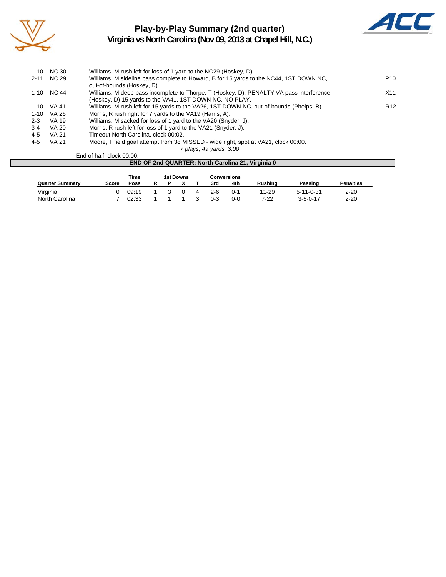

#### **Play-by-Play Summary (2nd quarter) Virginia vs North Carolina (Nov 09, 2013 at Chapel Hill, N.C.)**



| $1 - 10$ | <b>NC 30</b> | Williams, M rush left for loss of 1 yard to the NC29 (Hoskey, D).                       |                 |
|----------|--------------|-----------------------------------------------------------------------------------------|-----------------|
| $2 - 11$ | NC 29        | Williams, M sideline pass complete to Howard, B for 15 yards to the NC44, 1ST DOWN NC,  | P <sub>10</sub> |
|          |              | out-of-bounds (Hoskey, D).                                                              |                 |
| 1-10     | NC 44        | Williams, M deep pass incomplete to Thorpe, T (Hoskey, D), PENALTY VA pass interference | X11             |
|          |              | (Hoskey, D) 15 yards to the VA41, 1ST DOWN NC, NO PLAY.                                 |                 |
| 1-10     | VA 41        | Williams, M rush left for 15 yards to the VA26, 1ST DOWN NC, out-of-bounds (Phelps, B). | R <sub>12</sub> |
| $1 - 10$ | VA 26        | Morris, R rush right for 7 yards to the VA19 (Harris, A).                               |                 |
| $2 - 3$  | VA 19        | Williams, M sacked for loss of 1 yard to the VA20 (Snyder, J).                          |                 |
| $3-4$    | VA 20        | Morris, R rush left for loss of 1 yard to the VA21 (Snyder, J).                         |                 |
| 4-5      | <b>VA 21</b> | Timeout North Carolina, clock 00:02.                                                    |                 |
| 4-5      | VA 21        | Moore, T field goal attempt from 38 MISSED - wide right, spot at VA21, clock 00:00.     |                 |
|          |              | 7 plays, 49 yards, 3:00                                                                 |                 |

#### End of half, clock 00:00.

|                        |              | Time  |  | 1st Downs |     | Conversions |                |                   |                  |
|------------------------|--------------|-------|--|-----------|-----|-------------|----------------|-------------------|------------------|
| <b>Quarter Summary</b> | <b>Score</b> | Poss  |  |           | 3rd | 4th         | <b>Rushing</b> | Passing           | <b>Penalties</b> |
| Virginia               |              | 09:19 |  |           | 2-6 | 0-1         | 11-29          | $5 - 11 - 0 - 31$ | $2 - 20$         |
| North Carolina         |              | 02:33 |  |           | 0-3 | 0-0         | 7-22           | $3 - 5 - 0 - 17$  | $2 - 20$         |

**END OF 2nd QUARTER: North Carolina 21, Virginia 0**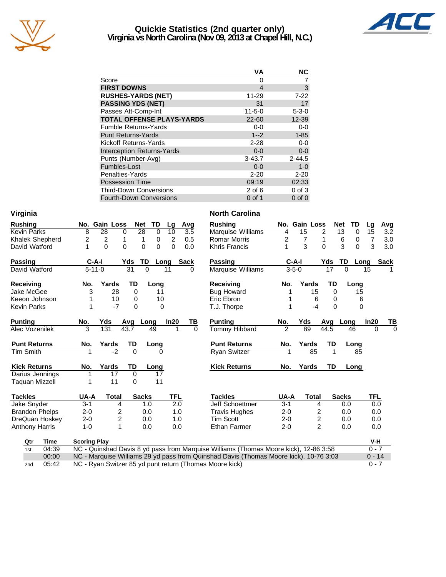

#### **Quickie Statistics (2nd quarter only) Virginia vs North Carolina (Nov 09, 2013 at Chapel Hill, N.C.)**



| <b>VA</b>    | <b>NC</b>   |
|--------------|-------------|
| 0            |             |
| 4            | 3           |
| 11-29        | $7 - 22$    |
| 31           | 17          |
| $11 - 5 - 0$ | $5 - 3 - 0$ |
| $22 - 60$    | 12-39       |
| $0 - 0$      | $0-0$       |
| $1 - 2$      | $1 - 85$    |
| $2 - 28$     | $0-0$       |
| $0 - 0$      | $0-0$       |
| $3 - 43.7$   | $2 - 44.5$  |
| $0 - 0$      | $1-0$       |
| $2 - 20$     | $2 - 20$    |
| 09:19        | 02:33       |
| $2$ of 6     | $0$ of $3$  |
| $0$ of 1     | $0$ of $0$  |
|              |             |

| Virginia              |                     |                         |                 |                                |                |                  | <b>North Carolina</b>                                                                 |                |               |                |                  |            |                  |
|-----------------------|---------------------|-------------------------|-----------------|--------------------------------|----------------|------------------|---------------------------------------------------------------------------------------|----------------|---------------|----------------|------------------|------------|------------------|
| <b>Rushing</b>        |                     | No. Gain Loss           |                 | <b>Net</b><br>TD               | Lg             | Avg              | <b>Rushing</b>                                                                        |                | No. Gain Loss |                | TD<br><b>Net</b> | Lg         | <b>Avg</b>       |
| <b>Kevin Parks</b>    | 8                   | $\overline{28}$         | 0               | $\overline{28}$<br>$\mathbf 0$ | 10             | $\overline{3.5}$ | Marquise Williams                                                                     | 4              | 15            | 2              | 13<br>$\Omega$   | 15         | $\overline{3.2}$ |
| Khalek Shepherd       | 2                   | $\overline{\mathbf{c}}$ | 1               | 1<br>0                         | $\overline{c}$ | 0.5              | <b>Romar Morris</b>                                                                   | 2              | 7             | 1              | 6<br>0           | 7          | 3.0              |
| David Watford         | 1                   | $\Omega$                | $\Omega$        | $\Omega$<br>0                  | $\Omega$       | 0.0              | <b>Khris Francis</b>                                                                  | 1              | 3             | $\Omega$       | 3<br>$\Omega$    | 3          | 3.0              |
| Passing               | $C-A-I$             |                         | Yds             | TD                             | Long           | Sack             | Passing                                                                               |                | $C-A-I$       | Yds            | TD               | Long       | <b>Sack</b>      |
| David Watford         | $5 - 11 - 0$        |                         | $\overline{31}$ | $\Omega$                       | 11             | <sup>0</sup>     | Marquise Williams                                                                     |                | $3 - 5 - 0$   | 17             | $\Omega$         | 15         |                  |
| <b>Receiving</b>      | No.                 | Yards                   | TD              | Long                           |                |                  | <b>Receiving</b>                                                                      | No.            | Yards         | TD             | Long             |            |                  |
| <b>Jake McGee</b>     | 3                   | 28                      | $\mathbf 0$     | 11                             |                |                  | <b>Bug Howard</b>                                                                     |                | 15            | $\Omega$       |                  | 15         |                  |
| Keeon Johnson         | 1                   | 10                      | 0               |                                | 10             |                  | Eric Ebron                                                                            |                |               | 6<br>0         |                  | 6          |                  |
| <b>Kevin Parks</b>    | 1                   | $-7$                    | 0               |                                | 0              |                  | T.J. Thorpe                                                                           | 1              | $-4$          | $\Omega$       |                  | 0          |                  |
| <b>Punting</b>        | No.                 | Yds                     | Avg             | Long                           | In20           | TВ               | <b>Punting</b>                                                                        | No.            | Yds           | Avg            | Long             | In20       | TB               |
| Alec Vozenilek        | 3                   | 131                     | 43.7            | 49                             | 1              | $\Omega$         | Tommy Hibbard                                                                         | $\overline{2}$ | 89            | 44.5           | 46               | $\Omega$   | $\Omega$         |
| <b>Punt Returns</b>   | No.                 | Yards                   | TD              | Long                           |                |                  | <b>Punt Returns</b>                                                                   | No.            | Yards         | TD             | Long             |            |                  |
| <b>Tim Smith</b>      |                     | $-2$                    | $\Omega$        |                                | $\Omega$       |                  | <b>Ryan Switzer</b>                                                                   | 1              | 85            | 1              | 85               |            |                  |
| <b>Kick Returns</b>   | No.                 | Yards                   | TD              | Long                           |                |                  | <b>Kick Returns</b>                                                                   | No.            | Yards         | TD             | Long             |            |                  |
| Darius Jennings       |                     | 17                      | $\Omega$        | 17                             |                |                  |                                                                                       |                |               |                |                  |            |                  |
| <b>Taguan Mizzell</b> |                     | 11                      | 0               | 11                             |                |                  |                                                                                       |                |               |                |                  |            |                  |
| <b>Tackles</b>        | UA-A                | <b>Total</b>            |                 | <b>Sacks</b>                   | <b>TFL</b>     |                  | <b>Tackles</b>                                                                        | UA-A           | <b>Total</b>  |                | <b>Sacks</b>     | <b>TFL</b> |                  |
| Jake Snyder           | $3 - 1$             | 4                       |                 | 1.0                            | 2.0            |                  | Jeff Schoettmer                                                                       | $3 - 1$        |               | 4              | 0.0              | 0.0        |                  |
| <b>Brandon Phelps</b> | $2 - 0$             | 2                       |                 | 0.0                            | 1.0            |                  | <b>Travis Hughes</b>                                                                  | $2 - 0$        |               | 2              | 0.0              | 0.0        |                  |
| DreQuan Hoskey        | $2 - 0$             | $\overline{\mathbf{c}}$ |                 | 0.0                            | 1.0            |                  | <b>Tim Scott</b>                                                                      | $2 - 0$        |               | 2              | 0.0              | 0.0        |                  |
| <b>Anthony Harris</b> | $1 - 0$             | $\mathbf{1}$            |                 | 0.0                            | 0.0            |                  | <b>Ethan Farmer</b>                                                                   | $2 - 0$        |               | $\overline{c}$ | 0.0              | 0.0        |                  |
| <b>Time</b><br>Qtr    | <b>Scoring Play</b> |                         |                 |                                |                |                  |                                                                                       |                |               |                |                  | V-H        |                  |
| 04:39<br>1st          |                     |                         |                 |                                |                |                  | NC - Quinshad Davis 8 yd pass from Marquise Williams (Thomas Moore kick), 12-86 3:58  |                |               |                |                  | $0 - 7$    |                  |
| 00:00                 |                     |                         |                 |                                |                |                  | NC - Marquise Williams 29 yd pass from Quinshad Davis (Thomas Moore kick), 10-76 3:03 |                |               |                |                  | $0 - 14$   |                  |
| 05:42<br>2nd          |                     |                         |                 |                                |                |                  | NC - Ryan Switzer 85 yd punt return (Thomas Moore kick)                               |                |               |                |                  | $0 - 7$    |                  |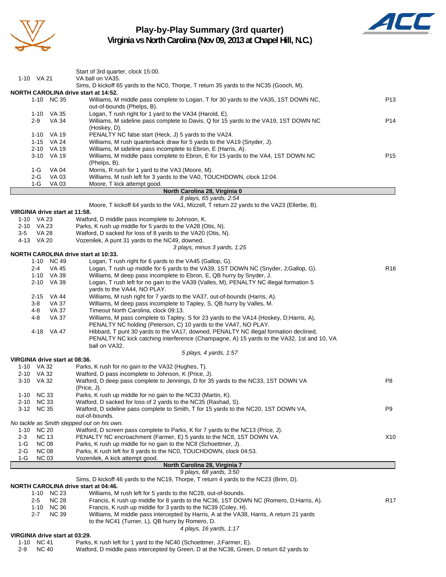

## **Play-by-Play Summary (3rd quarter)**



**Virginia vs North Carolina (Nov 09, 2013 at Chapel Hill, N.C.)**

|                                                    | Start of 3rd quarter, clock 15:00.                                                                                                                          |                 |
|----------------------------------------------------|-------------------------------------------------------------------------------------------------------------------------------------------------------------|-----------------|
| 1-10 VA 21                                         | VA ball on VA35.                                                                                                                                            |                 |
|                                                    | Sims, D kickoff 65 yards to the NC0, Thorpe, T return 35 yards to the NC35 (Gooch, M).                                                                      |                 |
| NORTH CAROLINA drive start at 14:52.<br>1-10 NC 35 | Williams, M middle pass complete to Logan, T for 30 yards to the VA35, 1ST DOWN NC,                                                                         | P <sub>13</sub> |
|                                                    | out-of-bounds (Phelps, B).                                                                                                                                  |                 |
| 1-10 VA 35                                         | Logan, T rush right for 1 yard to the VA34 (Harold, E).                                                                                                     |                 |
| VA 34<br>2-9                                       | Williams, M sideline pass complete to Davis, Q for 15 yards to the VA19, 1ST DOWN NC                                                                        | P14             |
|                                                    | (Hoskey, D).                                                                                                                                                |                 |
| 1-10 VA 19<br>1-15 VA 24                           | PENALTY NC false start (Heck, J) 5 yards to the VA24.<br>Williams, M rush quarterback draw for 5 yards to the VA19 (Snyder, J).                             |                 |
| 2-10 VA 19                                         | Williams, M sideline pass incomplete to Ebron, E (Harris, A).                                                                                               |                 |
| 3-10 VA 19                                         | Williams, M middle pass complete to Ebron, E for 15 yards to the VA4, 1ST DOWN NC                                                                           | P <sub>15</sub> |
|                                                    | (Phelps, B).                                                                                                                                                |                 |
| $1-G$<br>VA 04                                     | Morris, R rush for 1 yard to the VA3 (Moore, M).                                                                                                            |                 |
| $2-G$<br>VA 03                                     | Williams, M rush left for 3 yards to the VA0, TOUCHDOWN, clock 12:04.                                                                                       |                 |
| 1-G<br>VA 03                                       | Moore, T kick attempt good.<br>North Carolina 28, Virginia 0                                                                                                |                 |
|                                                    | 8 plays, 65 yards, 2:54                                                                                                                                     |                 |
|                                                    | Moore, T kickoff 64 yards to the VA1, Mizzell, T return 22 yards to the VA23 (Ellerbe, B).                                                                  |                 |
| VIRGINIA drive start at 11:58.                     |                                                                                                                                                             |                 |
| 1-10 VA 23                                         | Watford, D middle pass incomplete to Johnson, K.                                                                                                            |                 |
| 2-10 VA 23<br><b>VA 28</b><br>$3-5$                | Parks, K rush up middle for 5 yards to the VA28 (Otis, N).<br>Watford, D sacked for loss of 8 yards to the VA20 (Otis, N).                                  |                 |
| 4-13 VA 20                                         | Vozenilek, A punt 31 yards to the NC49, downed.                                                                                                             |                 |
|                                                    | 3 plays, minus 3 yards, 1:25                                                                                                                                |                 |
| <b>NORTH CAROLINA drive start at 10:33.</b>        |                                                                                                                                                             |                 |
| 1-10 NC 49                                         | Logan, T rush right for 6 yards to the VA45 (Gallop, G).                                                                                                    |                 |
| <b>VA 45</b><br>$2 - 4$<br>1-10 VA 39              | Logan, T rush up middle for 6 yards to the VA39, 1ST DOWN NC (Snyder, J;Gallop, G).<br>Williams, M deep pass incomplete to Ebron, E, QB hurry by Snyder, J. | R <sub>16</sub> |
| 2-10 VA 39                                         | Logan, T rush left for no gain to the VA39 (Valles, M), PENALTY NC illegal formation 5                                                                      |                 |
|                                                    | yards to the VA44, NO PLAY.                                                                                                                                 |                 |
| 2-15 VA 44                                         | Williams, M rush right for 7 yards to the VA37, out-of-bounds (Harris, A).                                                                                  |                 |
| VA 37<br>3-8                                       | Williams, M deep pass incomplete to Tapley, S, QB hurry by Valles, M.                                                                                       |                 |
| 4-8<br>VA 37                                       | Timeout North Carolina, clock 09:13.                                                                                                                        |                 |
| <b>VA 37</b><br>4-8                                | Williams, M pass complete to Tapley, S for 23 yards to the VA14 (Hoskey, D;Harris, A),<br>PENALTY NC holding (Peterson, C) 10 yards to the VA47, NO PLAY.   |                 |
| 4-18 VA 47                                         | Hibbard, T punt 30 yards to the VA17, downed, PENALTY NC illegal formation declined,                                                                        |                 |
|                                                    | PENALTY NC kick catching interference (Champagne, A) 15 yards to the VA32, 1st and 10, VA                                                                   |                 |
|                                                    | ball on VA32.                                                                                                                                               |                 |
|                                                    | 5 plays, 4 yards, 1:57                                                                                                                                      |                 |
| VIRGINIA drive start at 08:36.<br>1-10 VA 32       | Parks, K rush for no gain to the VA32 (Hughes, T).                                                                                                          |                 |
| 2-10 VA 32                                         | Watford, D pass incomplete to Johnson, K (Price, J).                                                                                                        |                 |
| 3-10 VA 32                                         | Watford, D deep pass complete to Jennings, D for 35 yards to the NC33, 1ST DOWN VA                                                                          | P <sub>8</sub>  |
|                                                    | (Price, J).                                                                                                                                                 |                 |
| <b>NC 33</b><br>$1 - 10$                           | Parks, K rush up middle for no gain to the NC33 (Martin, K).                                                                                                |                 |
| 2-10 NC 33<br>3-12 NC 35                           | Watford, D sacked for loss of 2 yards to the NC35 (Rashad, S).                                                                                              | P <sub>9</sub>  |
|                                                    | Watford, D sideline pass complete to Smith, T for 15 yards to the NC20, 1ST DOWN VA,<br>out-of-bounds.                                                      |                 |
| No tackle as Smith stepped out on his own.         |                                                                                                                                                             |                 |
| 1-10 NC 20                                         | Watford, D screen pass complete to Parks, K for 7 yards to the NC13 (Price, J).                                                                             |                 |
| <b>NC 13</b><br>$2 - 3$                            | PENALTY NC encroachment (Farmer, E) 5 yards to the NC8, 1ST DOWN VA.                                                                                        | X <sub>10</sub> |
| <b>NC 08</b><br>1-G                                | Parks, K rush up middle for no gain to the NC8 (Schoettmer, J).                                                                                             |                 |
| $2-G$<br><b>NC 08</b><br><b>NC 03</b>              | Parks, K rush left for 8 yards to the NC0, TOUCHDOWN, clock 04:53.                                                                                          |                 |
| 1-G                                                | Vozenilek, A kick attempt good.<br>North Carolina 28, Virginia 7                                                                                            |                 |
|                                                    | 9 plays, 68 yards, 3:50                                                                                                                                     |                 |
|                                                    | Sims, D kickoff 46 yards to the NC19, Thorpe, T return 4 yards to the NC23 (Brim, D).                                                                       |                 |
| NORTH CAROLINA drive start at 04:46.               |                                                                                                                                                             |                 |
| 1-10 NC 23                                         | Williams, M rush left for 5 yards to the NC28, out-of-bounds.                                                                                               |                 |
| <b>NC 28</b><br>2-5<br><b>NC 36</b><br>$1 - 10$    | Francis, K rush up middle for 8 yards to the NC36, 1ST DOWN NC (Romero, D;Harris, A).<br>Francis, K rush up middle for 3 yards to the NC39 (Coley, H).      | R <sub>17</sub> |
| <b>NC 39</b><br>2-7                                | Williams, M middle pass intercepted by Harris, A at the VA38, Harris, A return 21 yards                                                                     |                 |
|                                                    | to the NC41 (Turner, L), QB hurry by Romero, D.                                                                                                             |                 |
|                                                    | 4 plays, 16 yards, 1:17                                                                                                                                     |                 |
| VIRGINIA drive start at 03:29.                     |                                                                                                                                                             |                 |
| 1-10 NC 41                                         | Parks, K rush left for 1 yard to the NC40 (Schoettmer, J;Farmer, E).                                                                                        |                 |

2-9 NC 40 Watford, D middle pass intercepted by Green, D at the NC38, Green, D return 62 yards to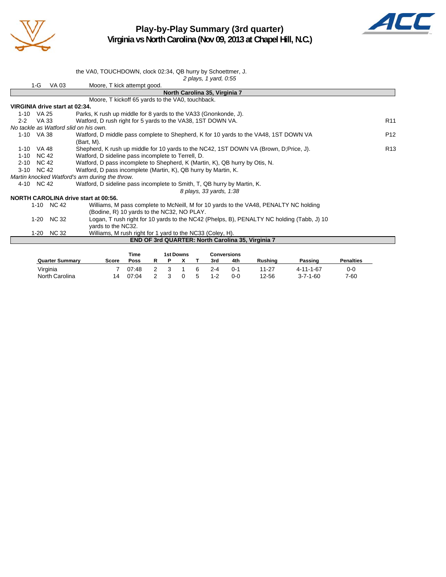

### **Play-by-Play Summary (3rd quarter) Virginia vs North Carolina (Nov 09, 2013 at Chapel Hill, N.C.)**



|          |              | the VA0, TOUCHDOWN, clock 02:34, QB hurry by Schoettmer, J.                               |                 |
|----------|--------------|-------------------------------------------------------------------------------------------|-----------------|
|          |              | 2 plays, 1 yard, 0:55                                                                     |                 |
|          | 1-G<br>VA 03 | Moore, T kick attempt good.                                                               |                 |
|          |              | North Carolina 35, Virginia 7                                                             |                 |
|          |              | Moore, T kickoff 65 yards to the VA0, touchback.                                          |                 |
|          |              | VIRGINIA drive start at 02:34.                                                            |                 |
|          | 1-10 VA 25   | Parks, K rush up middle for 8 yards to the VA33 (Gnonkonde, J).                           |                 |
| $2 - 2$  | VA 33        | Watford, D rush right for 5 yards to the VA38, 1ST DOWN VA.                               | R <sub>11</sub> |
|          |              | No tackle as Watford slid on his own.                                                     |                 |
|          | 1-10 VA 38   | Watford, D middle pass complete to Shepherd, K for 10 yards to the VA48, 1ST DOWN VA      | P <sub>12</sub> |
|          |              | (Bart, M).                                                                                |                 |
|          | 1-10 VA 48   | Shepherd, K rush up middle for 10 yards to the NC42, 1ST DOWN VA (Brown, D;Price, J).     | R <sub>13</sub> |
| $1 - 10$ | <b>NC 42</b> | Watford, D sideline pass incomplete to Terrell, D.                                        |                 |
|          | 2-10 NC 42   | Watford, D pass incomplete to Shepherd, K (Martin, K), QB hurry by Otis, N.               |                 |
|          | 3-10 NC 42   | Watford, D pass incomplete (Martin, K), QB hurry by Martin, K.                            |                 |
|          |              | Martin knocked Watford's arm during the throw.                                            |                 |
|          | 4-10 NC 42   | Watford, D sideline pass incomplete to Smith, T, QB hurry by Martin, K.                   |                 |
|          |              | 8 plays, 33 yards, 1:38                                                                   |                 |
|          |              | NORTH CAROLINA drive start at 00:56.                                                      |                 |
|          | 1-10 NC 42   | Williams, M pass complete to McNeill, M for 10 yards to the VA48, PENALTY NC holding      |                 |
|          |              | (Bodine, R) 10 yards to the NC32, NO PLAY.                                                |                 |
|          | 1-20 NC 32   | Logan, T rush right for 10 yards to the NC42 (Phelps, B), PENALTY NC holding (Tabb, J) 10 |                 |
|          |              | vards to the NC32.                                                                        |                 |
|          | 1-20 NC 32   | Williams, M rush right for 1 yard to the NC33 (Coley, H).                                 |                 |
|          |              | <b>END OF 3rd QUARTER: North Carolina 35, Virginia 7</b>                                  |                 |
|          |              |                                                                                           |                 |

|                        |       | Time        |  | 1st Downs |         | <b>Conversions</b> |         |                  |                  |
|------------------------|-------|-------------|--|-----------|---------|--------------------|---------|------------------|------------------|
| <b>Quarter Summary</b> | Score | <b>Poss</b> |  |           | 3rd     | 4th                | Rushina | Passing          | <b>Penalties</b> |
| Virginia               |       | 07:48       |  |           | $2 - 4$ | n-1                | 11-27   | 4-11-1-67        | 0-0              |
| North Carolina         | 14    | 07:04       |  |           | $1 - 2$ | 0-0                | 12-56   | $3 - 7 - 1 - 60$ | 7-60             |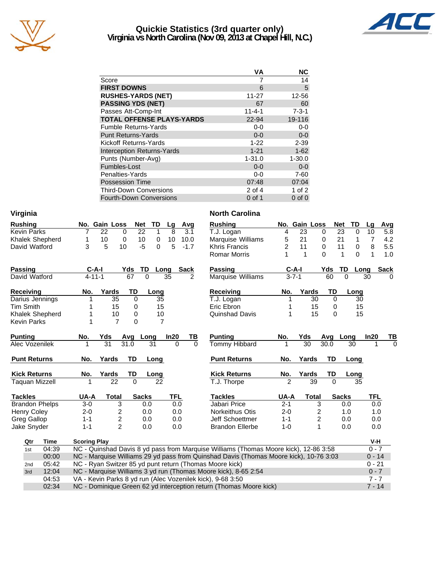

#### **Quickie Statistics (3rd quarter only) Virginia vs North Carolina (Nov 09, 2013 at Chapel Hill, N.C.)**



|                                   | VА           | <b>NC</b>   |
|-----------------------------------|--------------|-------------|
| Score                             |              | 14          |
| <b>FIRST DOWNS</b>                | 6            | 5           |
| <b>RUSHES-YARDS (NET)</b>         | $11 - 27$    | 12-56       |
| <b>PASSING YDS (NET)</b>          | 67           | 60          |
| Passes Att-Comp-Int               | $11 - 4 - 1$ | $7 - 3 - 1$ |
| <b>TOTAL OFFENSE PLAYS-YARDS</b>  | 22-94        | 19-116      |
| <b>Fumble Returns-Yards</b>       | $0-0$        | $0-0$       |
| <b>Punt Returns-Yards</b>         | $0 - 0$      | $0-0$       |
| Kickoff Returns-Yards             | $1 - 22$     | $2 - 39$    |
| <b>Interception Returns-Yards</b> | $1 - 21$     | $1 - 62$    |
| Punts (Number-Avg)                | $1 - 31.0$   | $1 - 30.0$  |
| Fumbles-Lost                      | $0 - 0$      | $0 - 0$     |
| Penalties-Yards                   | $0-0$        | $7 - 60$    |
| <b>Possession Time</b>            | 07:48        | 07:04       |
| <b>Third-Down Conversions</b>     | 2 of 4       | 1 of 2      |
| <b>Fourth-Down Conversions</b>    | 0 of 1       | $0$ of $0$  |

| Virginia              |                                                                                       | <b>North Carolina</b>  |                |                         |                         |             |                     |
|-----------------------|---------------------------------------------------------------------------------------|------------------------|----------------|-------------------------|-------------------------|-------------|---------------------|
| <b>Rushing</b>        | No. Gain Loss<br>TD<br><b>Net</b><br>Avg<br>Lg                                        | <b>Rushing</b>         |                | No. Gain Loss           | <b>Net</b>              | TD          | Lg<br>Avg           |
| <b>Kevin Parks</b>    | $\overline{22}$<br>8<br>22<br>$\mathbf{1}$<br>3.1<br>$\mathbf 0$<br>7                 | T.J. Logan             | 4              | $\overline{23}$         | $\overline{23}$<br>0    | 0           | 10<br>5.8           |
| Khalek Shepherd       | 10<br>10<br>10.0<br>1<br>0<br>0<br>10                                                 | Marquise Williams      | 5              | 21                      | 21<br>0                 | 1           | 7<br>4.2            |
| David Watford         | 3<br>$-5$<br>5<br>5<br>10<br>$-1.7$<br>$\Omega$                                       | Khris Francis          | $\overline{2}$ | 11                      | $\Omega$<br>11          | $\mathbf 0$ | 8<br>5.5            |
|                       |                                                                                       | <b>Romar Morris</b>    | 1              | $\mathbf{1}$            | $\Omega$<br>$\mathbf 1$ | $\Omega$    | $\mathbf{1}$<br>1.0 |
| <b>Passing</b>        | $C-A-I$<br>TD<br><b>Sack</b><br>Yds<br>Long                                           | <b>Passing</b>         | $C-A-I$        |                         | Yds<br>TD               | Long        | <b>Sack</b>         |
| David Watford         | 67<br>$4 - 11 - 1$<br>$\Omega$<br>35<br>2                                             | Marquise Williams      | $3 - 7 - 1$    |                         | 60                      | $\Omega$    | 30<br>$\Omega$      |
| <b>Receiving</b>      | TD<br>No.<br>Yards<br>Long                                                            | <b>Receiving</b>       | No.            | Yards                   | TD                      | Long        |                     |
| Darius Jennings       | 35<br>0<br>35<br>1                                                                    | T.J. Logan             | 1              | 30                      | $\mathbf 0$             | 30          |                     |
| <b>Tim Smith</b>      | 15<br>15<br>0                                                                         | Eric Ebron             |                | 15                      | $\mathbf 0$             | 15          |                     |
| Khalek Shepherd       | 10<br>10<br>0<br>1                                                                    | Quinshad Davis         | 1              | 15                      | $\Omega$                | 15          |                     |
| <b>Kevin Parks</b>    | $\overline{7}$<br>0<br>$\overline{7}$<br>1                                            |                        |                |                         |                         |             |                     |
| <b>Punting</b>        | In20<br>No.<br>Yds<br>Long<br>TВ<br>Avg                                               | <b>Punting</b>         | No.            | Yds                     | Avg                     | Long        | In20<br>ТВ          |
| Alec Vozenilek        | $\overline{31}$<br>31.0<br>31<br>$\Omega$<br>$\Omega$                                 | Tommy Hibbard          |                | $\overline{30}$         | 30.0                    | 30          | $\Omega$            |
| <b>Punt Returns</b>   | TD<br>No.<br>Yards<br>Long                                                            | <b>Punt Returns</b>    | No.            | Yards                   | TD                      | Long        |                     |
| <b>Kick Returns</b>   | No.<br>Yards<br>TD<br><u>Long</u>                                                     | <b>Kick Returns</b>    | No.            | <b>Yards</b>            | TD                      | Long        |                     |
| <b>Taquan Mizzell</b> | $\overline{22}$<br>$\overline{0}$<br>$\overline{22}$                                  | T.J. Thorpe            | $\overline{2}$ | 39                      | $\overline{0}$          | 35          |                     |
| <b>Tackles</b>        | UA-A<br><b>TFL</b><br><b>Total</b><br><b>Sacks</b>                                    | <b>Tackles</b>         | UA-A           | <b>Total</b>            | <b>Sacks</b>            |             | <b>TFL</b>          |
| <b>Brandon Phelps</b> | $3-0$<br>3<br>0.0<br>0.0                                                              | Jabari Price           | $2 - 1$        | 3                       |                         | 0.0         | 0.0                 |
| <b>Henry Coley</b>    | 2<br>$2 - 0$<br>0.0<br>0.0                                                            | <b>Norkeithus Otis</b> | $2 - 0$        | $\overline{c}$          |                         | 1.0         | 1.0                 |
| <b>Greg Gallop</b>    | $\overline{\mathbf{c}}$<br>$1 - 1$<br>0.0<br>0.0                                      | Jeff Schoettmer        | $1 - 1$        | $\overline{\mathbf{c}}$ |                         | 0.0         | 0.0                 |
| Jake Snyder           | $\overline{2}$<br>$1 - 1$<br>0.0<br>0.0                                               | <b>Brandon Ellerbe</b> | $1 - 0$        | $\mathbf{1}$            |                         | 0.0         | 0.0                 |
| Qtr<br>Time           | <b>Scoring Play</b>                                                                   |                        |                |                         |                         |             | V-H                 |
| 04:39<br>1st          | NC - Quinshad Davis 8 yd pass from Marquise Williams (Thomas Moore kick), 12-86 3:58  |                        |                |                         |                         |             | $0 - 7$             |
| 00:00                 | NC - Marquise Williams 29 yd pass from Quinshad Davis (Thomas Moore kick), 10-76 3:03 |                        |                |                         |                         |             | $0 - 14$            |
| 05:42<br>2nd          | NC - Ryan Switzer 85 yd punt return (Thomas Moore kick)                               |                        |                |                         |                         |             | $0 - 21$            |
| 12:04<br>3rd          | NC - Marquise Williams 3 yd run (Thomas Moore kick), 8-65 2:54                        |                        |                |                         |                         |             | $0 - 7$             |
| 04:53                 | VA - Kevin Parks 8 yd run (Alec Vozenilek kick), 9-68 3:50                            |                        |                |                         |                         |             | $7 - 7$             |
| 02:34                 | NC - Dominique Green 62 yd interception return (Thomas Moore kick)                    |                        |                |                         |                         |             | $7 - 14$            |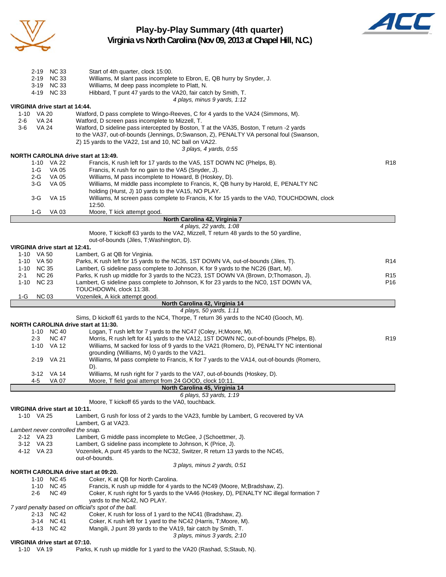

**Play-by-Play Summary (4th quarter)**



**Virginia vs North Carolina (Nov 09, 2013 at Chapel Hill, N.C.)**

| 2-19 NC 33<br>2-19 NC 33<br>3-19 NC 33      | Start of 4th quarter, clock 15:00.<br>Williams, M slant pass incomplete to Ebron, E, QB hurry by Snyder, J.<br>Williams, M deep pass incomplete to Platt, N.                        |                 |
|---------------------------------------------|-------------------------------------------------------------------------------------------------------------------------------------------------------------------------------------|-----------------|
| 4-19 NC 33                                  | Hibbard, T punt 47 yards to the VA20, fair catch by Smith, T.<br>4 plays, minus 9 yards, 1:12                                                                                       |                 |
| VIRGINIA drive start at 14:44.              |                                                                                                                                                                                     |                 |
| 1-10 VA 20<br>VA 24<br>2-6                  | Watford, D pass complete to Wingo-Reeves, C for 4 yards to the VA24 (Simmons, M).<br>Watford, D screen pass incomplete to Mizzell, T.                                               |                 |
| $3-6$<br><b>VA 24</b>                       | Watford, D sideline pass intercepted by Boston, T at the VA35, Boston, T return -2 yards<br>to the VA37, out-of-bounds (Jennings, D;Swanson, Z), PENALTY VA personal foul (Swanson, |                 |
|                                             | Z) 15 yards to the VA22, 1st and 10, NC ball on VA22.                                                                                                                               |                 |
| <b>NORTH CAROLINA drive start at 13:49.</b> | 3 plays, 4 yards, 0.55                                                                                                                                                              |                 |
| 1-10 VA 22                                  | Francis, K rush left for 17 yards to the VA5, 1ST DOWN NC (Phelps, B).                                                                                                              | R <sub>18</sub> |
| $1-G$<br>VA 05                              | Francis, K rush for no gain to the VA5 (Snyder, J).                                                                                                                                 |                 |
| 2-G<br>VA 05                                | Williams, M pass incomplete to Howard, B (Hoskey, D).                                                                                                                               |                 |
| $3-G$<br>VA 05                              | Williams, M middle pass incomplete to Francis, K, QB hurry by Harold, E, PENALTY NC                                                                                                 |                 |
|                                             | holding (Hurst, J) 10 yards to the VA15, NO PLAY.                                                                                                                                   |                 |
| $3-G$<br>VA 15                              | Williams, M screen pass complete to Francis, K for 15 yards to the VA0, TOUCHDOWN, clock                                                                                            |                 |
|                                             | 12:50.                                                                                                                                                                              |                 |
| 1-G<br>VA 03                                | Moore, T kick attempt good.<br>North Carolina 42, Virginia 7                                                                                                                        |                 |
|                                             | 4 plays, 22 yards, 1:08                                                                                                                                                             |                 |
|                                             | Moore, T kickoff 63 yards to the VA2, Mizzell, T return 48 yards to the 50 yardline,                                                                                                |                 |
|                                             | out-of-bounds (Jiles, T; Washington, D).                                                                                                                                            |                 |
| VIRGINIA drive start at 12:41.              |                                                                                                                                                                                     |                 |
| 1-10 VA 50                                  | Lambert, G at QB for Virginia.                                                                                                                                                      |                 |
| 1-10 VA 50                                  | Parks, K rush left for 15 yards to the NC35, 1ST DOWN VA, out-of-bounds (Jiles, T).                                                                                                 | R <sub>14</sub> |
| 1-10 NC 35                                  | Lambert, G sideline pass complete to Johnson, K for 9 yards to the NC26 (Bart, M).                                                                                                  |                 |
| <b>NC 26</b><br>2-1                         | Parks, K rush up middle for 3 yards to the NC23, 1ST DOWN VA (Brown, D;Thomason, J).                                                                                                | R <sub>15</sub> |
| 1-10 NC 23                                  | Lambert, G sideline pass complete to Johnson, K for 23 yards to the NC0, 1ST DOWN VA,                                                                                               | P <sub>16</sub> |
| <b>NC 03</b>                                | TOUCHDOWN, clock 11:38.<br>Vozenilek, A kick attempt good.                                                                                                                          |                 |
| 1-G                                         | North Carolina 42, Virginia 14                                                                                                                                                      |                 |
|                                             | 4 plays, 50 yards, 1:11                                                                                                                                                             |                 |
|                                             | Sims, D kickoff 61 yards to the NC4, Thorpe, T return 36 yards to the NC40 (Gooch, M).                                                                                              |                 |
| <b>NORTH CAROLINA drive start at 11:30.</b> |                                                                                                                                                                                     |                 |
| 1-10 NC 40                                  | Logan, T rush left for 7 yards to the NC47 (Coley, H; Moore, M).                                                                                                                    |                 |
| <b>NC 47</b><br>$2 - 3$                     | Morris, R rush left for 41 yards to the VA12, 1ST DOWN NC, out-of-bounds (Phelps, B).                                                                                               | R <sub>19</sub> |
| 1-10 VA 12                                  | Williams, M sacked for loss of 9 yards to the VA21 (Romero, D), PENALTY NC intentional                                                                                              |                 |
|                                             | grounding (Williams, M) 0 yards to the VA21.                                                                                                                                        |                 |
| 2-19 VA 21                                  | Williams, M pass complete to Francis, K for 7 yards to the VA14, out-of-bounds (Romero,                                                                                             |                 |
|                                             | D).                                                                                                                                                                                 |                 |
| 3-12 VA 14<br><b>VA 07</b>                  | Williams, M rush right for 7 yards to the VA7, out-of-bounds (Hoskey, D).                                                                                                           |                 |
| 4-5                                         | Moore, T field goal attempt from 24 GOOD, clock 10:11.<br>North Carolina 45, Virginia 14                                                                                            |                 |
|                                             | 6 plays, 53 yards, 1:19                                                                                                                                                             |                 |
|                                             | Moore, T kickoff 65 yards to the VA0, touchback.                                                                                                                                    |                 |
| VIRGINIA drive start at 10:11.              |                                                                                                                                                                                     |                 |
| 1-10 VA 25                                  | Lambert, G rush for loss of 2 yards to the VA23, fumble by Lambert, G recovered by VA                                                                                               |                 |
|                                             | Lambert, G at VA23.                                                                                                                                                                 |                 |
| Lambert never controlled the snap.          |                                                                                                                                                                                     |                 |
| 2-12 VA 23                                  | Lambert, G middle pass incomplete to McGee, J (Schoettmer, J).                                                                                                                      |                 |
| 3-12 VA 23                                  | Lambert, G sideline pass incomplete to Johnson, K (Price, J).                                                                                                                       |                 |
| 4-12 VA 23                                  | Vozenilek, A punt 45 yards to the NC32, Switzer, R return 13 yards to the NC45,                                                                                                     |                 |
|                                             | out-of-bounds.<br>3 plays, minus 2 yards, 0:51                                                                                                                                      |                 |
| <b>NORTH CAROLINA drive start at 09:20.</b> |                                                                                                                                                                                     |                 |
| 1-10 NC 45                                  | Coker, K at QB for North Carolina.                                                                                                                                                  |                 |
| 1-10 NC 45                                  | Francis, K rush up middle for 4 yards to the NC49 (Moore, M;Bradshaw, Z).                                                                                                           |                 |
| <b>NC 49</b><br>2-6                         | Coker, K rush right for 5 yards to the VA46 (Hoskey, D), PENALTY NC illegal formation 7                                                                                             |                 |
|                                             | yards to the NC42, NO PLAY.                                                                                                                                                         |                 |
|                                             | 7 yard penalty based on official's spot of the ball.                                                                                                                                |                 |
| 2-13 NC 42                                  | Coker, K rush for loss of 1 yard to the NC41 (Bradshaw, Z).                                                                                                                         |                 |
| 3-14 NC 41                                  | Coker, K rush left for 1 yard to the NC42 (Harris, T; Moore, M).                                                                                                                    |                 |
| 4-13 NC 42                                  | Mangili, J punt 39 yards to the VA19, fair catch by Smith, T.                                                                                                                       |                 |
| VIRGINIA drive start at 07:10.              | 3 plays, minus 3 yards, 2:10                                                                                                                                                        |                 |
| 1-10 VA 19                                  | Parks, K rush up middle for 1 yard to the VA20 (Rashad, S; Staub, N).                                                                                                               |                 |
|                                             |                                                                                                                                                                                     |                 |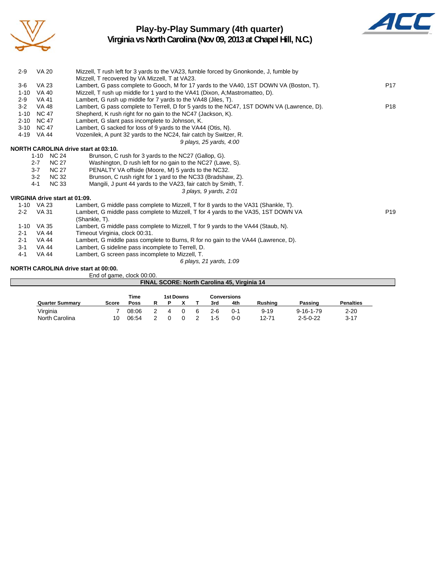

# **Play-by-Play Summary (4th quarter)**



**Virginia vs North Carolina (Nov 09, 2013 at Chapel Hill, N.C.)**

|          |              |                                | FINAL SCORE: North Carolina 45, Virginia 14                                                                                              |                 |
|----------|--------------|--------------------------------|------------------------------------------------------------------------------------------------------------------------------------------|-----------------|
|          |              |                                | End of game, clock 00:00.                                                                                                                |                 |
|          |              |                                | NORTH CAROLINA drive start at 00:00.                                                                                                     |                 |
|          |              |                                | 6 plays, 21 yards, 1:09                                                                                                                  |                 |
| $4 - 1$  | <b>VA 44</b> |                                | Lambert, G screen pass incomplete to Mizzell, T.                                                                                         |                 |
| $3 - 1$  | VA 44        |                                | Lambert, G sideline pass incomplete to Terrell, D.                                                                                       |                 |
| $2 - 1$  | <b>VA 44</b> |                                | Lambert, G middle pass complete to Burns, R for no gain to the VA44 (Lawrence, D).                                                       |                 |
| $2 - 1$  | VA 44        |                                | Timeout Virginia, clock 00:31.                                                                                                           |                 |
|          | 1-10 VA 35   |                                | Lambert, G middle pass complete to Mizzell, T for 9 yards to the VA44 (Staub, N).                                                        |                 |
|          |              |                                | (Shankle, T).                                                                                                                            |                 |
| $2 - 2$  | <b>VA 31</b> |                                | Lambert, G middle pass complete to Mizzell, T for 4 yards to the VA35, 1ST DOWN VA                                                       | P <sub>19</sub> |
|          | 1-10 VA 23   |                                | Lambert, G middle pass complete to Mizzell, T for 8 yards to the VA31 (Shankle, T).                                                      |                 |
|          |              | VIRGINIA drive start at 01:09. |                                                                                                                                          |                 |
|          |              |                                | 3 plays, 9 yards, 2:01                                                                                                                   |                 |
|          | $4 - 1$      | <b>NC 33</b>                   | Mangili, J punt 44 yards to the VA23, fair catch by Smith, T.                                                                            |                 |
|          | $3-2$        | <b>NC 32</b>                   | Brunson, C rush right for 1 yard to the NC33 (Bradshaw, Z).                                                                              |                 |
|          | $3 - 7$      | <b>NC 27</b>                   | PENALTY VA offside (Moore, M) 5 yards to the NC32.                                                                                       |                 |
|          | $2 - 7$      | <b>NC 27</b>                   | Washington, D rush left for no gain to the NC27 (Lawe, S).                                                                               |                 |
|          |              | 1-10 NC 24                     | Brunson, C rush for 3 yards to the NC27 (Gallop, G).                                                                                     |                 |
|          |              |                                | <b>NORTH CAROLINA drive start at 03:10.</b>                                                                                              |                 |
|          |              |                                | 9 plays, 25 yards, 4:00                                                                                                                  |                 |
|          | 4-19 VA 44   |                                | Vozenilek, A punt 32 yards to the NC24, fair catch by Switzer, R.                                                                        |                 |
| $3 - 10$ | <b>NC 47</b> |                                | Lambert, G sacked for loss of 9 yards to the VA44 (Otis, N).                                                                             |                 |
| $2 - 10$ | <b>NC 47</b> |                                | Lambert, G slant pass incomplete to Johnson, K.                                                                                          |                 |
| $1 - 10$ | <b>NC 47</b> |                                | Shepherd, K rush right for no gain to the NC47 (Jackson, K).                                                                             |                 |
| $3-2$    | <b>VA 48</b> |                                | Lambert, G pass complete to Terrell, D for 5 yards to the NC47, 1ST DOWN VA (Lawrence, D).                                               | P <sub>18</sub> |
| $2 - 9$  | <b>VA 41</b> |                                | Lambert, G rush up middle for 7 yards to the VA48 (Jiles, T).                                                                            |                 |
| $1 - 10$ | <b>VA 40</b> |                                | Mizzell, T rush up middle for 1 yard to the VA41 (Dixon, A; Mastromatteo, D).                                                            |                 |
| $3-6$    | <b>VA 23</b> |                                | Lambert, G pass complete to Gooch, M for 17 yards to the VA40, 1ST DOWN VA (Boston, T).                                                  | P <sub>17</sub> |
| $2 - 9$  |              |                                | Mizzell, T rush left for 3 yards to the VA23, fumble forced by Gnonkonde, J, fumble by<br>Mizzell, T recovered by VA Mizzell, T at VA23. |                 |
|          | <b>VA 20</b> |                                |                                                                                                                                          |                 |

|                        |              | Time  |  | 1st Downs |     | Conversions |          |                   |                  |
|------------------------|--------------|-------|--|-----------|-----|-------------|----------|-------------------|------------------|
| <b>Quarter Summary</b> | <b>Score</b> | Poss  |  |           | 3rd | 4th         | Rushing  | Passinɑ           | <b>Penalties</b> |
| Virginia               |              | 08:06 |  |           | 2-6 | O-1         | $9 - 19$ | $9 - 16 - 1 - 79$ | $2 - 20$         |
| North Carolina         | 10           | 06:54 |  |           | 1-5 | $0 - 0$     | 12-71    | $2 - 5 - 0 - 22$  | -3-17            |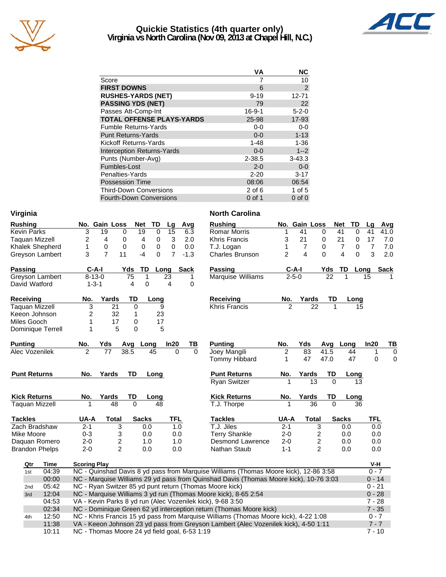

#### **Quickie Statistics (4th quarter only) Virginia vs North Carolina (Nov 09, 2013 at Chapel Hill, N.C.)**



| VА           | <b>NC</b>   |
|--------------|-------------|
|              | 10          |
| 6            | 2           |
| $9 - 19$     | $12 - 71$   |
| 79           | 22          |
| $16 - 9 - 1$ | $5 - 2 - 0$ |
| 25-98        | 17-93       |
| $0 - 0$      | $0 - 0$     |
| $0 - 0$      | $1 - 13$    |
| $1 - 48$     | $1 - 36$    |
| $0 - 0$      | $1 - 2$     |
| $2 - 38.5$   | $3 - 43.3$  |
| $2 - 0$      | $0-0$       |
| $2 - 20$     | $3 - 17$    |
| 08:06        | 06:54       |
| $2$ of 6     | 1 of 5      |
| $0$ of 1     | $0$ of $0$  |
|              |             |

| Virginia              |                     |                         |             |                            |            |             | <b>North Carolina</b>                                                                 |                |                |                  |                               |                |             |
|-----------------------|---------------------|-------------------------|-------------|----------------------------|------------|-------------|---------------------------------------------------------------------------------------|----------------|----------------|------------------|-------------------------------|----------------|-------------|
| <b>Rushing</b>        |                     | No. Gain Loss           |             | <b>Net</b><br>TD           | Lg         | Avg         | <b>Rushing</b>                                                                        |                | No. Gain Loss  |                  | <b>Net</b><br>TD              | Lg             | Avg         |
| <b>Kevin Parks</b>    | 3                   | 19<br>0                 |             | 0<br>19                    | 15         | 6.3         | <b>Romar Morris</b>                                                                   | 1              | 41             | 0                | 41<br>0                       | 41             | 41.0        |
| <b>Taquan Mizzell</b> | 2                   | 4<br>0                  |             | 4<br>0                     | 3          | 2.0         | <b>Khris Francis</b>                                                                  | 3              | 21             | 0                | 21<br>0                       | 17             | 7.0         |
| Khalek Shepherd       | 1                   | 0<br>0                  |             | $\mathbf 0$<br>$\mathbf 0$ | 0          | 0.0         | T.J. Logan                                                                            | 1              | $\overline{7}$ | 0                | $\overline{7}$<br>$\mathbf 0$ | $\overline{7}$ | 7.0         |
| Greyson Lambert       | 3                   | $\overline{7}$<br>11    |             | $-4$<br>$\Omega$           | 7          | $-1.3$      | <b>Charles Brunson</b>                                                                | $\overline{2}$ | 4              | 0                | 4<br>0                        | 3              | 2.0         |
| <b>Passing</b>        | $C-A-I$             |                         | Yds         | TD<br>Long                 |            | <b>Sack</b> | Passing                                                                               | $C-A-I$        |                | Yds              | TD                            | Long           | <b>Sack</b> |
| Greyson Lambert       | $8 - 13 - 0$        |                         | 75          | 1                          | 23         | 1           | <b>Marquise Williams</b>                                                              | $2 - 5 - 0$    |                | 22               | 1                             | 15             |             |
| David Watford         | $1 - 3 - 1$         |                         | 4           | 0                          | 4          | 0           |                                                                                       |                |                |                  |                               |                |             |
| <b>Receiving</b>      | No.                 | Yards                   | TD          | Long                       |            |             | <b>Receiving</b>                                                                      | No.            | Yards          | TD               | Long                          |                |             |
| <b>Taquan Mizzell</b> | 3                   | 21                      | 0           | 9                          |            |             | <b>Khris Francis</b>                                                                  |                | 22             |                  | 15                            |                |             |
| Keeon Johnson         | 2                   | 32                      | 1           | 23                         |            |             |                                                                                       |                |                |                  |                               |                |             |
| Miles Gooch           | 1                   | 17                      | 0           | 17                         |            |             |                                                                                       |                |                |                  |                               |                |             |
| Dominique Terrell     | 1                   | 5                       | $\mathbf 0$ | 5                          |            |             |                                                                                       |                |                |                  |                               |                |             |
| <b>Punting</b>        | No.                 | Yds                     | Avg         | Long                       | In20       | ΤВ          | <b>Punting</b>                                                                        | No.            | Yds            | Avg              | Long                          | In20           | TB          |
| Alec Vozenilek        | $\overline{2}$      | 77                      | 38.5        | 45                         | 0          | $\Omega$    | Joey Mangili                                                                          | 2              | 83             | 41.5             | 44                            | 1              | 0           |
|                       |                     |                         |             |                            |            |             | <b>Tommy Hibbard</b>                                                                  | 1              | 47             | 47.0             | 47                            | $\mathbf 0$    | 0           |
| <b>Punt Returns</b>   | No.                 | Yards                   | TD          | Long                       |            |             | <b>Punt Returns</b>                                                                   | No.            | Yards          | TD               | Long                          |                |             |
|                       |                     |                         |             |                            |            |             | <b>Ryan Switzer</b>                                                                   |                | 13             | $\Omega$         | 13                            |                |             |
| <b>Kick Returns</b>   | No.                 | Yards                   | TD          | Long                       |            |             | <b>Kick Returns</b>                                                                   | No.            | Yards          | TD               | Long                          |                |             |
| <b>Taquan Mizzell</b> |                     | 48                      | $\Omega$    | 48                         |            |             | T.J. Thorpe                                                                           |                | 36             | $\Omega$         | 36                            |                |             |
| <b>Tackles</b>        | UA-A                | <b>Total</b>            |             | <b>Sacks</b>               | <b>TFL</b> |             | <b>Tackles</b>                                                                        | UA-A           | <b>Total</b>   |                  | <b>Sacks</b>                  | <b>TFL</b>     |             |
| Zach Bradshaw         | $2 - 1$             | 3                       |             | 0.0                        | 1.0        |             | T.J. Jiles                                                                            | $2 - 1$        |                | 3                | 0.0                           | 0.0            |             |
| Mike Moore            | $0 - 3$             | 3                       |             | 0.0                        | 0.0        |             | <b>Terry Shankle</b>                                                                  | $2 - 0$        |                | 2                | 0.0                           | 0.0            |             |
| Daquan Romero         | $2 - 0$             | $\overline{\mathbf{c}}$ |             | 1.0                        | 1.0        |             | Desmond Lawrence                                                                      | $2 - 0$        |                | $\boldsymbol{2}$ | 0.0                           | 0.0            |             |
| <b>Brandon Phelps</b> | $2 - 0$             | $\overline{2}$          |             | 0.0                        | 0.0        |             | Nathan Staub                                                                          | $1 - 1$        |                | $\overline{2}$   | 0.0                           | 0.0            |             |
| Time<br>Qtr           | <b>Scoring Play</b> |                         |             |                            |            |             |                                                                                       |                |                |                  |                               | V-H            |             |
| 04:39<br>1st          |                     |                         |             |                            |            |             | NC - Quinshad Davis 8 yd pass from Marquise Williams (Thomas Moore kick), 12-86 3:58  |                |                |                  |                               | $0 - 7$        |             |
| 00:00                 |                     |                         |             |                            |            |             | NC - Marquise Williams 29 yd pass from Quinshad Davis (Thomas Moore kick), 10-76 3:03 |                |                |                  |                               | $0 - 14$       |             |
| 05:42<br>2nd          |                     |                         |             |                            |            |             | NC - Ryan Switzer 85 yd punt return (Thomas Moore kick)                               |                |                |                  |                               | $0 - 21$       |             |
| 12:04<br>3rd          |                     |                         |             |                            |            |             | NC - Marquise Williams 3 yd run (Thomas Moore kick), 8-65 2:54                        |                |                |                  |                               | $0 - 28$       |             |
| 04:53                 |                     |                         |             |                            |            |             | VA - Kevin Parks 8 yd run (Alec Vozenilek kick), 9-68 3:50                            |                |                |                  |                               | $7 - 28$       |             |
| 02:34                 |                     |                         |             |                            |            |             | NC - Dominique Green 62 yd interception return (Thomas Moore kick)                    |                |                |                  |                               | $7 - 35$       |             |
| 12:50<br>4th          |                     |                         |             |                            |            |             | NC - Khris Francis 15 yd pass from Marquise Williams (Thomas Moore kick), 4-22 1:08   |                |                |                  |                               | $0 - 7$        |             |

11:38 VA - Keeon Johnson 23 yd pass from Greyson Lambert (Alec Vozenilek kick), 4-50 1:11 7 - 7 10:11 NC - Thomas Moore 24 yd field goal, 6-53 1:19 7 - 10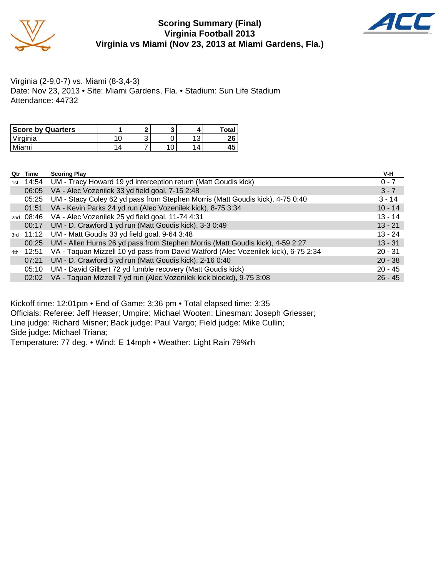

#### **Scoring Summary (Final) Virginia Football 2013 Virginia vs Miami (Nov 23, 2013 at Miami Gardens, Fla.)**



Virginia (2-9,0-7) vs. Miami (8-3,4-3) Date: Nov 23, 2013 • Site: Miami Gardens, Fla. • Stadium: Sun Life Stadium Attendance: 44732

| <b>Score by Quarters</b> |   | ∙ |   | <b>Total</b> |
|--------------------------|---|---|---|--------------|
| 'Virginia                |   | ັ | N | ንድ<br>ΖU     |
| Miami                    | 4 |   | Δ | 45           |

|     | Qtr Time  | <b>Scoring Play</b>                                                                | V-H       |
|-----|-----------|------------------------------------------------------------------------------------|-----------|
| 1st | 14:54     | UM - Tracy Howard 19 yd interception return (Matt Goudis kick)                     | $0 - 7$   |
|     | 06:05     | VA - Alec Vozenilek 33 yd field goal, 7-15 2:48                                    | $3 - 7$   |
|     | 05:25     | UM - Stacy Coley 62 yd pass from Stephen Morris (Matt Goudis kick), 4-75 0:40      | $3 - 14$  |
|     | 01:51     | VA - Kevin Parks 24 yd run (Alec Vozenilek kick), 8-75 3:34                        | $10 - 14$ |
|     |           | 2nd 08:46 VA - Alec Vozenilek 25 yd field goal, 11-74 4:31                         | $13 - 14$ |
|     | 00:17     | UM - D. Crawford 1 yd run (Matt Goudis kick), 3-3 0:49                             | $13 - 21$ |
|     | 3rd 11:12 | UM - Matt Goudis 33 yd field goal, 9-64 3:48                                       | $13 - 24$ |
|     | 00:25     | UM - Allen Hurns 26 yd pass from Stephen Morris (Matt Goudis kick), 4-59 2:27      | $13 - 31$ |
|     | 4th 12:51 | VA - Taquan Mizzell 10 yd pass from David Watford (Alec Vozenilek kick), 6-75 2:34 | $20 - 31$ |
|     | 07:21     | UM - D. Crawford 5 yd run (Matt Goudis kick), 2-16 0:40                            | $20 - 38$ |
|     | 05:10     | UM - David Gilbert 72 yd fumble recovery (Matt Goudis kick)                        | $20 - 45$ |
|     | 02:02     | VA - Taquan Mizzell 7 yd run (Alec Vozenilek kick blockd), 9-75 3:08               | $26 - 45$ |

Kickoff time: 12:01pm • End of Game: 3:36 pm • Total elapsed time: 3:35 Officials: Referee: Jeff Heaser; Umpire: Michael Wooten; Linesman: Joseph Griesser; Line judge: Richard Misner; Back judge: Paul Vargo; Field judge: Mike Cullin; Side judge: Michael Triana; Temperature: 77 deg. • Wind: E 14mph • Weather: Light Rain 79%rh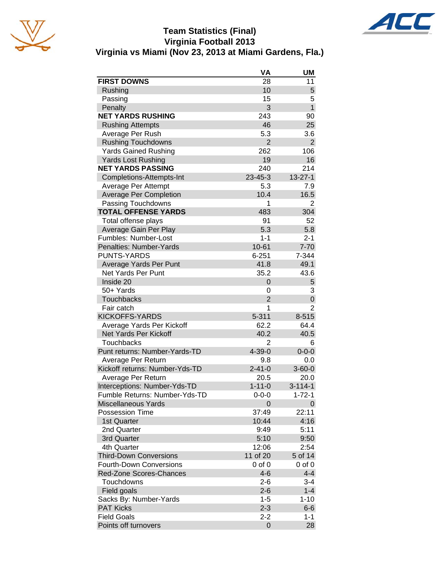

#### **Team Statistics (Final) Virginia Football 2013 Virginia vs Miami (Nov 23, 2013 at Miami Gardens, Fla.)**

|                                | VA             | UM             |
|--------------------------------|----------------|----------------|
| <b>FIRST DOWNS</b>             | 28             | 11             |
| Rushing                        | 10             | 5              |
| Passing                        | 15             | 5              |
| Penalty                        | 3              | $\mathbf{1}$   |
| <b>NET YARDS RUSHING</b>       | 243            | 90             |
| <b>Rushing Attempts</b>        | 46             | 25             |
| Average Per Rush               | 5.3            | 3.6            |
| <b>Rushing Touchdowns</b>      | $\overline{2}$ | $\overline{2}$ |
| <b>Yards Gained Rushing</b>    | 262            | 106            |
| <b>Yards Lost Rushing</b>      | 19             | 16             |
| <b>NET YARDS PASSING</b>       | 240            | 214            |
| Completions-Attempts-Int       | $23 - 45 - 3$  | $13 - 27 - 1$  |
| Average Per Attempt            | 5.3            | 7.9            |
| Average Per Completion         | 10.4           | 16.5           |
| Passing Touchdowns             | 1              | 2              |
| <b>TOTAL OFFENSE YARDS</b>     | 483            | 304            |
| Total offense plays            | 91             | 52             |
| Average Gain Per Play          | 5.3            | 5.8            |
| Fumbles: Number-Lost           | $1 - 1$        | $2 - 1$        |
| Penalties: Number-Yards        | $10 - 61$      | $7 - 70$       |
| <b>PUNTS-YARDS</b>             | $6 - 251$      | 7-344          |
| Average Yards Per Punt         | 41.8           | 49.1           |
| Net Yards Per Punt             | 35.2           | 43.6           |
| Inside 20                      | 0              | 5              |
| 50+ Yards                      | 0              | 3              |
| <b>Touchbacks</b>              | 2              | 0              |
| Fair catch                     | 1              | $\overline{2}$ |
| <b>KICKOFFS-YARDS</b>          | $5 - 311$      | $8 - 515$      |
| Average Yards Per Kickoff      | 62.2           | 64.4           |
| Net Yards Per Kickoff          | 40.2           | 40.5           |
| <b>Touchbacks</b>              | $\overline{2}$ | 6              |
| Punt returns: Number-Yards-TD  | $4 - 39 - 0$   | $0 - 0 - 0$    |
| Average Per Return             | 9.8            | 0.0            |
| Kickoff returns: Number-Yds-TD | $2 - 41 - 0$   | $3 - 60 - 0$   |
| Average Per Return             | 20.5           | 20.0           |
| Interceptions: Number-Yds-TD   | $1 - 11 - 0$   | $3 - 114 - 1$  |
| Fumble Returns: Number-Yds-TD  | 0-0-0          | 1-72-1         |
| Miscellaneous Yards            | 0              | 0              |
| <b>Possession Time</b>         | 37:49          | 22:11          |
| 1st Quarter                    | 10:44          | 4:16           |
| 2nd Quarter                    | 9:49           | 5:11           |
| 3rd Quarter                    | 5:10           | 9:50           |
| 4th Quarter                    | 12:06          | 2:54           |
| <b>Third-Down Conversions</b>  | 11 of 20       | 5 of 14        |
| <b>Fourth-Down Conversions</b> | $0$ of $0$     | $0$ of $0$     |
| Red-Zone Scores-Chances        | $4-6$          | $4 - 4$        |
| Touchdowns                     | $2 - 6$        | $3 - 4$        |
| Field goals                    | $2 - 6$        | $1 - 4$        |
| Sacks By: Number-Yards         | $1 - 5$        | $1 - 10$       |
| <b>PAT Kicks</b>               | $2 - 3$        | $6-6$          |
| <b>Field Goals</b>             | $2 - 2$        | $1 - 1$        |
| Points off turnovers           | 0              | 28             |
|                                |                |                |

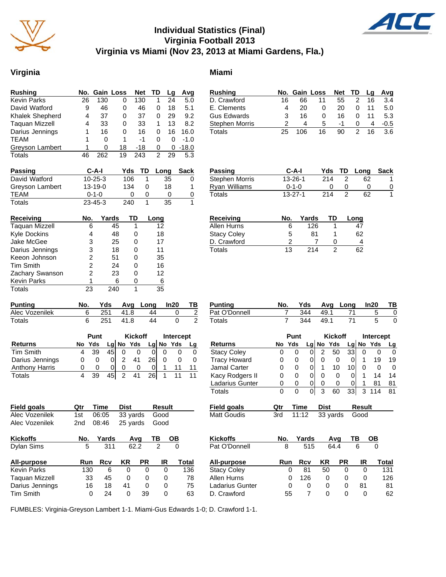

#### **Individual Statistics (Final) Virginia Football 2013 Virginia vs Miami (Nov 23, 2013 at Miami Gardens, Fla.)**

#### **Virginia** Miami

| <b>Rushing</b>         |    | No. Gain Loss |    | <b>Net</b> | TD | Lq | Avg     |
|------------------------|----|---------------|----|------------|----|----|---------|
| <b>Kevin Parks</b>     | 26 | 130           | 0  | 130        |    | 24 | 5.0     |
| David Watford          | 9  | 46            | 0  | 46         | 0  | 18 | 5.1     |
| <b>Khalek Shepherd</b> | 4  | 37            | 0  | 37         | 0  | 29 | 9.2     |
| <b>Taguan Mizzell</b>  | 4  | 33            | 0  | 33         | 1  | 13 | 8.2     |
| Darius Jennings        |    | 16            | 0  | 16         | 0  | 16 | 16.0    |
| <b>TEAM</b>            | 1  | 0             | 1  | -1         | 0  | 0  | $-1.0$  |
| Greyson Lambert        |    | ი             | 18 | -18        | 0  | 0  | $-18.0$ |
| <b>Totals</b>          | 46 | 262           | 19 | 243        | 2  | 29 | 5.3     |

| <b>Passing</b>  | C-A-I         | Yds | TD | Lona | Sack |
|-----------------|---------------|-----|----|------|------|
| David Watford   | $10 - 25 - 3$ | 106 |    | 35   |      |
| Greyson Lambert | $13 - 19 - 0$ | 134 |    | 18   | 1    |
| TEAM            | $0 - 1 - 0$   |     |    |      |      |
| Totals          | $23 - 45 - 3$ | 240 |    | 35   |      |

| Receiving             | No. | Yards | TD | Long |
|-----------------------|-----|-------|----|------|
| <b>Taquan Mizzell</b> | 6   | 45    | 1  | 12   |
| <b>Kyle Dockins</b>   | 4   | 48    | 0  | 18   |
| Jake McGee            | 3   | 25    | 0  | 17   |
| Darius Jennings       | 3   | 18    | 0  | 11   |
| Keeon Johnson         | 2   | 51    | 0  | 35   |
| <b>Tim Smith</b>      | 2   | 24    | 0  | 16   |
| Zachary Swanson       | 2   | 23    | 0  | 12   |
| <b>Kevin Parks</b>    |     | 6     | ი  | 6    |
| Totals                | 23  | 240   |    | 35   |

| <b>Punting</b> |     |        | Yds Avg Long In20 |  |
|----------------|-----|--------|-------------------|--|
| Alec Vozenilek | 251 | - 41.8 | 44                |  |
| Totals         | 251 | 41.8   |                   |  |

|                       |   | Punt         |    |   | <b>Kickoff</b> |     | Intercept    |    |
|-----------------------|---|--------------|----|---|----------------|-----|--------------|----|
| <b>Returns</b>        |   | No Yds       |    |   | $Lg$ No Yds    |     | Lg $N$ o Yds | La |
| <b>Tim Smith</b>      |   | 39           | 45 |   |                |     |              |    |
| Darius Jennings       | 0 | 0            |    | 2 |                | 261 |              |    |
| <b>Anthony Harris</b> | 0 | $\mathbf{0}$ | 0  | 0 |                |     |              |    |
| Totals                |   | 39           | 45 | っ |                | 261 |              |    |

| <b>Field goals</b> | Qtr | Time  | <b>Dist</b> |      | <b>Result</b> |              |
|--------------------|-----|-------|-------------|------|---------------|--------------|
| Alec Vozenilek     | 1st | 06:05 | 33 yards    |      | Good          |              |
| Alec Vozenilek     | 2nd | 08:46 | 25 yards    |      | Good          |              |
| <b>Kickoffs</b>    | No. | Yards |             | Avq  | ΤВ            | OВ           |
| <b>Dylan Sims</b>  | 5   | 311   |             | 62.2 | 2             | 0            |
| All-purpose        | Run | Rcv   | ΚR          | PR   | IR            | <b>Total</b> |
| <b>Kevin Parks</b> | 130 | 6     | 0           | 0    | 0             | 136          |
| Taquan Mizzell     | 33  | 45    | 0           | 0    | 0             | 78           |
| Darius Jennings    | 16  | 18    | 41          | 0    | 0             | 75           |
| <b>Tim Smith</b>   | 0   | 24    | 0           | 39   | 0             | 63           |

| E. Clements           | 4   | 20            | 0   | 20 | 0              | 11 | 5.0    |
|-----------------------|-----|---------------|-----|----|----------------|----|--------|
| <b>Gus Edwards</b>    | 3   | 16            | 0   | 16 | 0              | 11 | 5.3    |
| Stephen Morris        | 2   | 4             | 5   | -1 | 0              | 4  | $-0.5$ |
| Totals                | 25  | 106           | 16  | 90 | $\overline{2}$ | 16 | 3.6    |
|                       |     |               |     |    |                |    |        |
|                       |     |               |     |    |                |    |        |
|                       |     |               |     |    |                |    |        |
|                       |     |               |     |    |                |    |        |
|                       |     |               |     |    |                |    |        |
| <b>Passing</b>        |     | C-A-I         | Yds | TD | Long           |    | Sack   |
| <b>Stephen Morris</b> |     | 13-26-1       | 214 | 2  |                | 62 | 1      |
| <b>Ryan Williams</b>  |     | $0 - 1 - 0$   | 0   | 0  |                | 0  | 0      |
| Totals                |     | $13 - 27 - 1$ | 214 | 2  |                | 62 | 1      |
|                       |     |               |     |    |                |    |        |
|                       |     |               |     |    |                |    |        |
| <b>Receiving</b>      | No. | Yards         |     | TD | Long           |    |        |

**Rushing No. Gain Loss Net TD Lg Avg** D. Crawford 16 66 11 55 2 16 3.4

| Allen Hurns        | 6  | 126 |    |
|--------------------|----|-----|----|
| <b>Stacy Coley</b> | 5  | 81  | 62 |
| D. Crawford        |    |     | 4  |
| Totals             | 13 | 214 | 62 |

| Punting       | No. |      |      | Yds Avg Long In20 | TВ |
|---------------|-----|------|------|-------------------|----|
| Pat O'Donnell |     | -344 | 49.1 |                   |    |
| Totals        |     | 344  | 49.1 |                   |    |

|                     |     | Punt |            |      | Kickoff  | <b>Intercept</b> |        |        |       |
|---------------------|-----|------|------------|------|----------|------------------|--------|--------|-------|
| Returns             | No  | Yds  | Lgl        | No   | Yds      | Lgl              |        | No Yds | Lg    |
| <b>Stacy Coley</b>  | 0   | 0    | 0          | 2    | 50       | 33               | 0      | 0      | 0     |
| <b>Tracy Howard</b> | 0   | 0    | 0          | 0    | 0        | 0                | 1      | 19     | 19    |
| Jamal Carter        | 0   | 0    | 0          | 1    | 10       | 10               | 0      | 0      | 0     |
| Kacy Rodgers II     | 0   | 0    | 0          | 0    | 0        | 0                | 1      | 14     | 14    |
| Ladarius Gunter     | 0   | 0    | 0          | 0    | 0        | 0                | 1      | 81     | 81    |
| Totals              | 0   | 0    | 0          | 3    | 60       | 33               | 3      | 114    | 81    |
| Field goals         | Qtr |      | Time       | Dist |          |                  | Result |        |       |
| <b>Matt Goudis</b>  | 3rd |      | 11:12      |      | 33 yards |                  | Good   |        |       |
|                     |     |      |            |      |          |                  |        |        |       |
| <b>Kickoffs</b>     | No. |      | Yards      |      | Avq      | ΤВ               |        | ОВ     |       |
| Pat O'Donnell       |     | 8    | 515        |      | 64.4     |                  | 6      | 0      |       |
| All-purpose         |     | Run  | <b>Rcv</b> | ΚR   |          | PR               | IR     |        | Total |
| <b>Stacy Coley</b>  |     | 0    | 81         | 50   |          | 0                | 0      |        | 131   |
| Allen Hurns         |     | 0    | 126        |      | 0        | 0                | 0      |        | 126   |
| Ladarius Gunter     |     | 0    | 0          |      | 0        | 0                | 81     |        | 81    |
| D. Crawford         |     | 55   | 7          |      | 0        | 0                | 0      |        | 62    |

FUMBLES: Virginia-Greyson Lambert 1-1. Miami-Gus Edwards 1-0; D. Crawford 1-1.

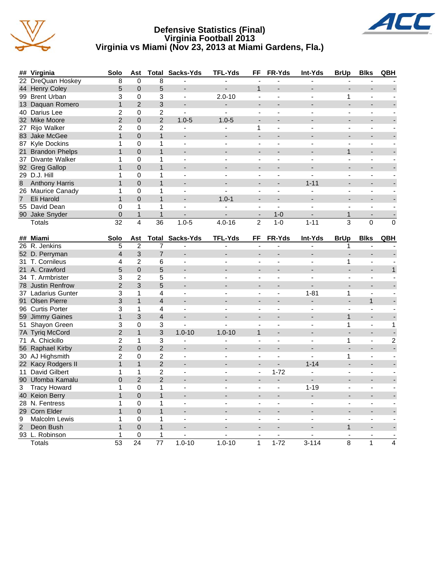





|                | ## Virginia           | Solo            | Ast            |                 | <b>Total Sacks-Yds</b>   | <b>TFL-Yds</b>           | FF                       | FR-Yds                   | Int-Yds                  | <b>BrUp</b>              | <b>Blks</b>              | QBH          |
|----------------|-----------------------|-----------------|----------------|-----------------|--------------------------|--------------------------|--------------------------|--------------------------|--------------------------|--------------------------|--------------------------|--------------|
|                | 22 DreQuan Hoskey     | 8               | $\mathbf{0}$   | 8               |                          |                          | $\overline{\phantom{a}}$ | ä,                       |                          |                          |                          |              |
|                | 44 Henry Coley        | 5               | $\overline{0}$ | 5               | ٠                        |                          | $\mathbf 1$              |                          |                          |                          |                          |              |
|                | 99 Brent Urban        | 3               | 0              | 3               | $\overline{\phantom{a}}$ | $2.0 - 10$               | $\sim$                   | ä,                       | $\overline{\phantom{a}}$ | 1                        | ä,                       |              |
|                | 13 Daquan Romero      | 1               | $\overline{2}$ | 3               |                          | ÷.                       |                          |                          |                          | ÷,                       |                          |              |
|                | 40 Darius Lee         | $\overline{c}$  | 0              | $\overline{c}$  | $\blacksquare$           | $\blacksquare$           | $\blacksquare$           | ä,                       | $\blacksquare$           | $\overline{\phantom{a}}$ | $\blacksquare$           |              |
|                | 32 Mike Moore         | $\overline{c}$  | $\overline{0}$ | $\overline{2}$  | $1.0 - 5$                | $1.0 - 5$                |                          |                          |                          |                          |                          |              |
|                | 27 Rijo Walker        | 2               | 0              | $\overline{c}$  | $\blacksquare$           | $\blacksquare$           | 1                        | $\overline{\phantom{a}}$ | $\blacksquare$           | $\overline{\phantom{a}}$ | $\blacksquare$           |              |
|                | 83 Jake McGee         | $\mathbf{1}$    | $\overline{0}$ | $\mathbf{1}$    | $\overline{\phantom{a}}$ |                          | $\overline{a}$           |                          |                          |                          |                          |              |
|                | 87 Kyle Dockins       | 1               | 0              | $\mathbf{1}$    | ÷.                       | ÷                        | ÷                        | $\overline{a}$           | ÷                        | $\overline{\phantom{a}}$ | $\overline{\phantom{a}}$ |              |
|                | 21 Brandon Phelps     | $\mathbf{1}$    | $\Omega$       | $\mathbf{1}$    |                          |                          |                          |                          |                          | $\mathbf{1}$             |                          |              |
|                | 37 Divante Walker     | 1               | 0              | 1               | ÷.                       |                          | L.                       |                          |                          | $\overline{a}$           | ä,                       |              |
|                | 92 Greg Gallop        | 1               | $\Omega$       | $\overline{1}$  |                          |                          |                          |                          |                          |                          |                          |              |
|                | 29 D.J. Hill          | 1               | 0              | 1               | $\overline{a}$           | ä,                       | $\overline{\phantom{a}}$ |                          |                          | ä,                       | ä,                       |              |
| 8              | <b>Anthony Harris</b> | $\mathbf{1}$    | $\Omega$       | $\mathbf{1}$    | $\overline{a}$           |                          |                          |                          | $1 - 11$                 | $\blacksquare$           | $\overline{a}$           |              |
|                | 26 Maurice Canady     | 1               | 0              | $\mathbf{1}$    | $\blacksquare$           |                          | $\blacksquare$           | $\overline{\phantom{a}}$ | $\overline{\phantom{a}}$ | $\blacksquare$           | ÷                        |              |
| $\overline{7}$ | Eli Harold            | $\mathbf{1}$    | $\Omega$       | $\mathbf{1}$    |                          | $1.0 - 1$                |                          |                          |                          |                          |                          |              |
|                | 55 David Dean         | $\Omega$        | $\mathbf{1}$   | $\mathbf{1}$    | $\blacksquare$           |                          | $\blacksquare$           | $\blacksquare$           |                          | $\blacksquare$           | $\blacksquare$           |              |
|                | 90 Jake Snyder        | $\pmb{0}$       | $\mathbf 1$    | $\overline{1}$  |                          |                          | $\blacksquare$           | $1 - 0$                  |                          | $\mathbf{1}$             | $\overline{a}$           |              |
|                | Totals                | 32              | 4              | $\overline{36}$ | $1.0 - 5$                | $4.0 - 16$               | $\overline{2}$           | $1 - 0$                  | $1 - 11$                 | 3                        | $\mathbf 0$              | $\mathbf 0$  |
|                |                       |                 |                |                 |                          |                          |                          |                          |                          |                          |                          |              |
|                | ## Miami              | Solo            | Ast            | Total           | Sacks-Yds                | TFL-Yds                  | FF                       | <b>FR-Yds</b>            | Int-Yds                  | <b>BrUp</b>              | <b>Blks</b>              | QBH          |
|                | 26 R. Jenkins         | 5               | $\overline{2}$ | 7               | ÷.                       | ÷.                       |                          |                          |                          | 1                        |                          |              |
|                | 52 D. Perryman        | $\overline{4}$  | 3              | $\overline{7}$  |                          |                          |                          |                          |                          |                          |                          |              |
|                | 31 T. Cornileus       | 4               | $\overline{2}$ | 6               | $\overline{a}$           |                          |                          |                          |                          | 1                        | ä,                       |              |
|                | 21 A. Crawford        | 5               | $\Omega$       | 5               |                          |                          |                          |                          |                          |                          | $\overline{a}$           | $\mathbf{1}$ |
|                | 34 T. Armbrister      | 3               | $\overline{c}$ | 5               | $\overline{\phantom{a}}$ | $\blacksquare$           | $\sim$                   | $\blacksquare$           |                          | $\blacksquare$           | $\blacksquare$           |              |
|                | 78 Justin Renfrow     | $\overline{2}$  | 3              | 5               |                          |                          |                          |                          |                          | $\overline{\phantom{a}}$ |                          |              |
|                | 37 Ladarius Gunter    | 3               | 1              | 4               | $\blacksquare$           | $\blacksquare$           | $\blacksquare$           | $\blacksquare$           | $1 - 81$                 | 1                        | ä,                       |              |
|                | 91 Olsen Pierre       | 3               | $\mathbf{1}$   | $\overline{4}$  |                          |                          |                          |                          |                          |                          | $\mathbf{1}$             |              |
|                | 96 Curtis Porter      | 3               | 1              | 4               | $\overline{a}$           | ÷                        | $\blacksquare$           | $\overline{a}$           | $\overline{a}$           | $\blacksquare$           | $\blacksquare$           |              |
|                | 59 Jimmy Gaines       | $\mathbf{1}$    | 3              | $\overline{4}$  |                          |                          |                          |                          |                          | $\mathbf{1}$             | $\overline{a}$           |              |
|                | 51 Shayon Green       | 3               | 0              | 3               | ÷,                       | L.                       | $\blacksquare$           | $\overline{a}$           | $\sim$                   | 1                        | ä,                       | $\mathbf{1}$ |
|                | 7A Tyriq McCord       | $\overline{2}$  | $\mathbf{1}$   | 3               | $1.0 - 10$               | $1.0 - 10$               | $\mathbf 1$              |                          |                          |                          | ÷,                       |              |
| 71             | A. Chickillo          | $\overline{2}$  | 1              | 3               | $\blacksquare$           |                          | $\blacksquare$           | ä,                       |                          | 1                        | ä,                       | $\sqrt{2}$   |
|                | 56 Raphael Kirby      | $\overline{c}$  | $\mathbf 0$    | $\overline{c}$  |                          |                          |                          |                          |                          |                          |                          |              |
|                | 30 AJ Highsmith       | $\overline{c}$  | 0              | $\overline{c}$  | $\blacksquare$           |                          | L.                       | L.                       | $\overline{a}$           | 1                        | ÷,                       |              |
|                | 22 Kacy Rodgers II    | $\mathbf{1}$    | $\mathbf{1}$   | $\overline{c}$  |                          |                          | $\blacksquare$           | L.                       | $1 - 14$                 | $\overline{a}$           | $\overline{a}$           |              |
|                | 11 David Gilbert      | 1               | $\mathbf{1}$   | $\overline{c}$  | $\overline{\phantom{a}}$ | $\blacksquare$           | $\blacksquare$           | $1 - 72$                 | $\overline{\phantom{a}}$ | $\blacksquare$           | ä,                       |              |
|                | 90 Ufomba Kamalu      | $\overline{0}$  | $\overline{2}$ | $\overline{2}$  |                          |                          |                          | $\frac{1}{2}$            |                          |                          |                          |              |
| 3              | <b>Tracy Howard</b>   | $\mathbf{1}$    | 0              | $\mathbf{1}$    | $\overline{\phantom{a}}$ | $\overline{\phantom{a}}$ | ÷,                       | $\overline{a}$           | $1 - 19$                 | $\overline{a}$           | $\blacksquare$           |              |
|                | 40 Keion Berry        | $\mathbf{1}$    | $\overline{0}$ | 1               |                          |                          |                          |                          |                          |                          |                          |              |
|                | 28 N. Fentress        | 1               | 0              | $\mathbf{1}$    | ÷.                       | $\overline{a}$           | $\overline{a}$           | $\overline{a}$           | ÷                        | $\overline{\phantom{a}}$ | $\overline{\phantom{a}}$ |              |
|                | 29 Corn Elder         | 1               | $\Omega$       | $\overline{1}$  | ÷                        |                          |                          |                          |                          | $\overline{\phantom{a}}$ | $\overline{a}$           |              |
| 9              | <b>Malcolm Lewis</b>  | 1               | 0              | 1               | $\sim$                   | $\overline{\phantom{a}}$ | $\overline{a}$           | ä,                       | $\overline{a}$           | $\blacksquare$           | ä,                       |              |
| $\overline{2}$ | Deon Bush             | $\mathbf{1}$    | $\Omega$       | $\mathbf{1}$    |                          |                          |                          |                          |                          | $\mathbf{1}$             |                          |              |
|                | 93 L. Robinson        | 1               | 0              | 1               |                          |                          |                          | ä,                       |                          |                          |                          |              |
|                | <b>Totals</b>         | $\overline{53}$ | 24             | $\overline{77}$ | $1.0 - 10$               | $1.0 - 10$               | $\mathbf{1}$             | $1 - 72$                 | $3 - 114$                | 8                        | 1                        | 4            |
|                |                       |                 |                |                 |                          |                          |                          |                          |                          |                          |                          |              |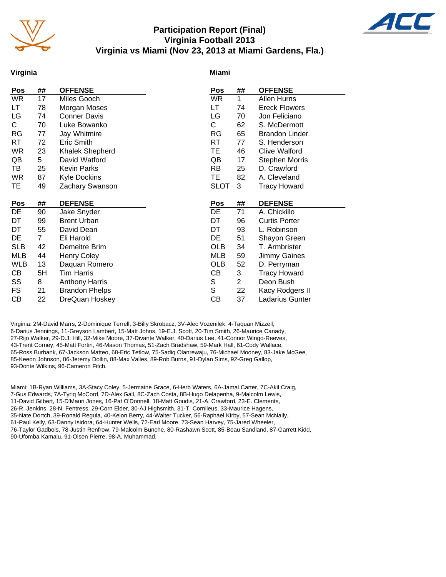

#### **Participation Report (Final) Virginia Football 2013 Virginia vs Miami (Nov 23, 2013 at Miami Gardens, Fla.)**



#### **Virginia**

#### **Miami**

| <b>Pos</b> | ##           | <b>OFFENSE</b>        | Pos         | ##             | <b>OFFENSE</b>        |
|------------|--------------|-----------------------|-------------|----------------|-----------------------|
| <b>WR</b>  | 17           | Miles Gooch           | WR          | $\mathbf{1}$   | Allen Hurns           |
| LT         | 78           | Morgan Moses          | LT          | 74             | <b>Ereck Flowers</b>  |
| LG         | 74           | <b>Conner Davis</b>   | LG          | 70             | Jon Feliciano         |
| C.         | 70           | Luke Bowanko          | С           | 62             | S. McDermott          |
| RG         | 77           | Jay Whitmire          | RG          | 65             | <b>Brandon Linder</b> |
| RT         | 72           | Eric Smith            | RT          | 77             | S. Henderson          |
| <b>WR</b>  | 23           | Khalek Shepherd       | TE          | 46             | Clive Walford         |
| QB         | 5            | David Watford         | QB          | 17             | <b>Stephen Morris</b> |
| TB         | 25           | <b>Kevin Parks</b>    | RB          | 25             | D. Crawford           |
| <b>WR</b>  | 87           | <b>Kyle Dockins</b>   | TE.         | 82             | A. Cleveland          |
| TE         | 49           | Zachary Swanson       | <b>SLOT</b> | 3              | <b>Tracy Howard</b>   |
|            |              |                       |             |                |                       |
|            |              |                       |             |                |                       |
| Pos        | ##           | <b>DEFENSE</b>        | Pos         | ##             | <b>DEFENSE</b>        |
| DE         | 90           | Jake Snyder           | DE          | 71             | A. Chickillo          |
| DT         | 99           | <b>Brent Urban</b>    | DT          | 96             | <b>Curtis Porter</b>  |
| DT         | 55           | David Dean            | DT          | 93             | L. Robinson           |
| DE         | $\mathbf{7}$ | Eli Harold            | DE          | 51             | Shayon Green          |
| <b>SLB</b> | 42           | Demeitre Brim         | <b>OLB</b>  | 34             | T. Armbrister         |
| MLB        | 44           | <b>Henry Coley</b>    | MLB         | 59             | Jimmy Gaines          |
| <b>WLB</b> | 13           | Daquan Romero         | OLB         | 52             | D. Perryman           |
| CВ         | 5H           | <b>Tim Harris</b>     | CВ          | 3              | <b>Tracy Howard</b>   |
| SS         | 8            | <b>Anthony Harris</b> | S           | $\overline{2}$ | Deon Bush             |
| FS         | 21           | <b>Brandon Phelps</b> | S           | 22             | Kacy Rodgers II       |
| CB         | 22           | DreQuan Hoskey        | CB          | 37             | Ladarius Gunter       |

Virginia: 2M-David Marrs, 2-Dominique Terrell, 3-Billy Skrobacz, 3V-Alec Vozenilek, 4-Taquan Mizzell, 6-Darius Jennings, 11-Greyson Lambert, 15-Matt Johns, 19-E.J. Scott, 20-Tim Smith, 26-Maurice Canady, 27-Rijo Walker, 29-D.J. Hill, 32-Mike Moore, 37-Divante Walker, 40-Darius Lee, 41-Connor Wingo-Reeves, 43-Trent Corney, 45-Matt Fortin, 46-Mason Thomas, 51-Zach Bradshaw, 59-Mark Hall, 61-Cody Wallace, 65-Ross Burbank, 67-Jackson Matteo, 68-Eric Tetlow, 75-Sadiq Olanrewaju, 76-Michael Mooney, 83-Jake McGee, 85-Keeon Johnson, 86-Jeremy Dollin, 88-Max Valles, 89-Rob Burns, 91-Dylan Sims, 92-Greg Gallop, 93-Donte Wilkins, 96-Cameron Fitch.

Miami: 1B-Ryan Williams, 3A-Stacy Coley, 5-Jermaine Grace, 6-Herb Waters, 6A-Jamal Carter, 7C-Akil Craig, 7-Gus Edwards, 7A-Tyriq McCord, 7D-Alex Gall, 8C-Zach Costa, 8B-Hugo Delapenha, 9-Malcolm Lewis, 11-David Gilbert, 15-D'Mauri Jones, 16-Pat O'Donnell, 18-Matt Goudis, 21-A. Crawford, 23-E. Clements, 26-R. Jenkins, 28-N. Fentress, 29-Corn Elder, 30-AJ Highsmith, 31-T. Cornileus, 33-Maurice Hagens, 35-Nate Dortch, 39-Ronald Regula, 40-Keion Berry, 44-Walter Tucker, 56-Raphael Kirby, 57-Sean McNally, 61-Paul Kelly, 63-Danny Isidora, 64-Hunter Wells, 72-Earl Moore, 73-Sean Harvey, 75-Jared Wheeler, 76-Taylor Gadbois, 78-Justin Renfrow, 79-Malcolm Bunche, 80-Rashawn Scott, 85-Beau Sandland, 87-Garrett Kidd, 90-Ufomba Kamalu, 91-Olsen Pierre, 98-A. Muhammad.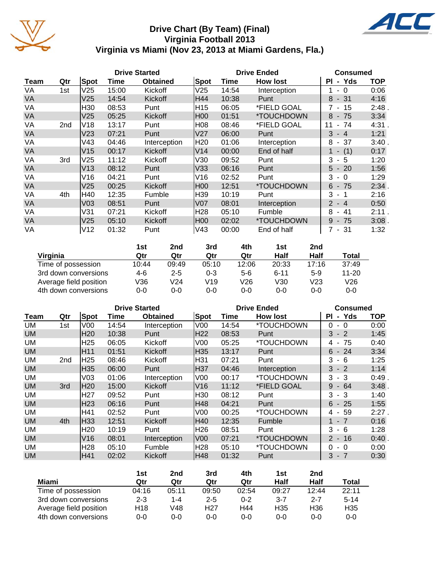

#### **Drive Chart (By Team) (Final) Virginia Football 2013 Virginia vs Miami (Nov 23, 2013 at Miami Gardens, Fla.)**

|           |     |                 |       | <b>Drive Started</b> |                 | <b>Drive Ended</b> | <b>Consumed</b> |                            |            |
|-----------|-----|-----------------|-------|----------------------|-----------------|--------------------|-----------------|----------------------------|------------|
| Team      | Qtr | Spot            | Time  | <b>Obtained</b>      | Spot            | Time               | <b>How lost</b> | PI<br>- Yds                | <b>TOP</b> |
| VA        | 1st | V <sub>25</sub> | 15:00 | Kickoff              | V25             | 14:54              | Interception    | $-0$                       | 0:06       |
| VA        |     | V <sub>25</sub> | 14:54 | Kickoff              | H44             | 10:38              | Punt            | $8 - 31$                   | 4:16       |
| VA        |     | H30             | 08:53 | Punt                 | H <sub>15</sub> | 06:05              | *FIELD GOAL     | 7 - 15                     | 2:48       |
| <b>VA</b> |     | V <sub>25</sub> | 05:25 | Kickoff              | <b>H00</b>      | 01:51              | *TOUCHDOWN      | $8 - 75$                   | 3:34       |
| VA        | 2nd | V18             | 13:17 | Punt                 | H08             | 08:46              | *FIELD GOAL     | 74<br>11<br>$\blacksquare$ | 4:31.      |
| VA        |     | V <sub>23</sub> | 07:21 | Punt                 | V <sub>27</sub> | 06:00              | Punt            | 3<br>$-4$                  | 1:21       |
| VA        |     | V43             | 04:46 | Interception         | H <sub>20</sub> | 01:06              | Interception    | -37<br>8<br>$\sim$         | 3:40       |
| VA        |     | V15             | 00:17 | Kickoff              | V14             | 00:00              | End of half     | $- (1)$                    | 0:17       |
| VA        | 3rd | V <sub>25</sub> | 11:12 | Kickoff              | V30             | 09:52              | Punt            | 3<br>- 5                   | 1:20       |
| VA        |     | V13             | 08:12 | Punt                 | V33             | 06:16              | Punt            | $5 - 20$                   | 1:56       |
| VA        |     | V16             | 04:21 | Punt                 | V16             | 02:52              | Punt            | 3<br>$-0$                  | 1:29       |
| <b>VA</b> |     | V25             | 00:25 | Kickoff              | H00             | 12:51              | *TOUCHDOWN      | $6 - 75$                   | 2:34       |
| VA        | 4th | H40             | 12:35 | Fumble               | H39             | 10:19              | Punt            | 3<br>-1<br>$\sim$          | 2:16       |
| VA        |     | V <sub>03</sub> | 08:51 | Punt                 | V07             | 08:01              | Interception    | $\overline{2}$<br>$-4$     | 0:50       |
| VA        |     | V31             | 07:21 | Kickoff              | H <sub>28</sub> | 05:10              | Fumble          | 8<br>41<br>$\blacksquare$  | 2:11.      |
| <b>VA</b> |     | V <sub>25</sub> | 05:10 | Kickoff              | H00             | 02:02              | *TOUCHDOWN      | 75<br>9<br>$\blacksquare$  | 3:08       |
| VA        |     | V12             | 01:32 | Punt                 | V43             | 00:00              | End of half     | 7 - 31                     | 1:32       |

|                        | 1st   | 2nd     | 3rd     | 4th     | 1st      | 2nd     |              |
|------------------------|-------|---------|---------|---------|----------|---------|--------------|
| Virginia               | Qtr   | Qtr     | Qtr     | Qtr     | Half     | Half    | <b>Total</b> |
| Time of possession     | 10:44 | 09:49   | 05:10   | 12:06   | 20:33    | 17:16   | 37:49        |
| 3rd down conversions   | 4-6   | $2 - 5$ | $0 - 3$ | $5-6$   | $6 - 11$ | $5-9$   | $11 - 20$    |
| Average field position | V36   | V24     | V19     | V26     | V30      | V23     | V26          |
| 4th down conversions   | 0-0   | 0-0     | $0 - 0$ | $0 - 0$ | $0-0$    | $0 - 0$ | $0 - 0$      |

|           |                 |                 |       | <b>Drive Started</b> |                 | <b>Drive Ended</b> | <b>Consumed</b> |                 |            |
|-----------|-----------------|-----------------|-------|----------------------|-----------------|--------------------|-----------------|-----------------|------------|
| Team      | Qtr             | <b>Spot</b>     | Time  | <b>Obtained</b>      | Spot            | Time               | <b>How lost</b> | PI - Yds        | <b>TOP</b> |
| UM        | 1st             | V <sub>0</sub>  | 14:54 | Interception         | V00             | 14:54              | *TOUCHDOWN      | $\Omega$<br>- 0 | 0:00       |
| <b>UM</b> |                 | H <sub>20</sub> | 10:38 | Punt                 | H <sub>22</sub> | 08:53              | Punt            | $3 - 2$         | 1:45       |
| UM        |                 | H <sub>25</sub> | 06:05 | Kickoff              | V <sub>0</sub>  | 05:25              | *TOUCHDOWN      | 75<br>4 -       | 0:40       |
| <b>UM</b> |                 | H <sub>11</sub> | 01:51 | Kickoff              | H <sub>35</sub> | 13:17              | Punt            | $6 - 24$        | 3:34       |
| UM        | 2 <sub>nd</sub> | H <sub>25</sub> | 08:46 | Kickoff              | H31             | 07:21              | Punt            | 3<br>- 6        | 1:25       |
| <b>UM</b> |                 | H <sub>35</sub> | 06:00 | Punt                 | H37             | 04:46              | Interception    | $3 - 2$         | 1:14       |
| UM        |                 | V <sub>03</sub> | 01:06 | Interception         | V <sub>0</sub>  | 00:17              | *TOUCHDOWN      | - 3<br>3        | 0:49.      |
| <b>UM</b> | 3rd             | H <sub>20</sub> | 15:00 | Kickoff              | V16             | 11:12              | *FIELD GOAL     | 9<br>- 64       | 3:48       |
| UM        |                 | H <sub>27</sub> | 09:52 | Punt                 | H <sub>30</sub> | 08:12              | Punt            | 3 - 3           | 1:40       |
| <b>UM</b> |                 | H <sub>23</sub> | 06:16 | Punt                 | H48             | 04:21              | Punt            | $6 - 25$        | 1:55       |
| UM        |                 | H41             | 02:52 | Punt                 | V <sub>0</sub>  | 00:25              | *TOUCHDOWN      | -59<br>4 -      | 2:27.      |
| <b>UM</b> | 4th             | H33             | 12:51 | Kickoff              | H40             | 12:35              | Fumble          | $1 - 7$         | 0:16       |
| UM        |                 | H <sub>20</sub> | 10:19 | Punt                 | H <sub>26</sub> | 08:51              | Punt            | 3<br>- 6        | 1:28       |
| <b>UM</b> |                 | V <sub>16</sub> | 08:01 | Interception         | V <sub>00</sub> | 07:21              | *TOUCHDOWN      | $2 - 16$        | 0:40       |
| UM        |                 | H <sub>28</sub> | 05:10 | Fumble               | H <sub>28</sub> | 05:10              | *TOUCHDOWN      | 0<br>- 0        | 0:00       |
| <b>UM</b> |                 | H41             | 02:02 | Kickoff              | H48             | 01:32              | Punt            | 3<br>$-7$       | 0:30       |

|                        | 1st     | 2 <sub>nd</sub> | 3rd             | 4th     | 1st             | 2nd             |                 |
|------------------------|---------|-----------------|-----------------|---------|-----------------|-----------------|-----------------|
| Miami                  | Qtr     | Qtr             | Qtr             | Qtr     | Half            | Half            | Total           |
| Time of possession     | 04:16   | 05:11           | 09:50           | 02:54   | 09:27           | 12:44           | 22:11           |
| 3rd down conversions   | $2 - 3$ | 1-4             | $2 - 5$         | $0 - 2$ | $3 - 7$         | 2-7             | $5 - 14$        |
| Average field position | H18     | ∨48             | H <sub>27</sub> | H44     | H <sub>35</sub> | H <sub>36</sub> | H <sub>35</sub> |
| 4th down conversions   | 0-0     | 0-0             | $0 - 0$         | $0 - 0$ | $0 - 0$         | $0 - 0$         | $0 - 0$         |

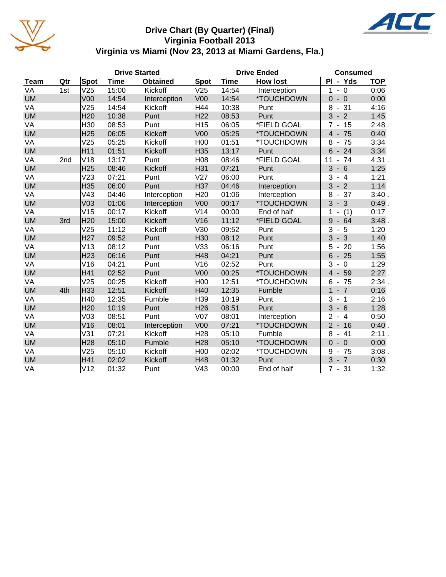

#### **Drive Chart (By Quarter) (Final) Virginia Football 2013 Virginia vs Miami (Nov 23, 2013 at Miami Gardens, Fla.)**

|             | <b>Drive Started</b> |                 |             |                 |                 | <b>Drive Ended</b> | <b>Consumed</b>          |                                              |            |
|-------------|----------------------|-----------------|-------------|-----------------|-----------------|--------------------|--------------------------|----------------------------------------------|------------|
| <b>Team</b> | Qtr                  | Spot            | <b>Time</b> | <b>Obtained</b> | Spot            | <b>Time</b>        | <b>How lost</b>          | PI - Yds                                     | <b>TOP</b> |
| VA          | 1st                  | V25             | 15:00       | Kickoff         | V25             | 14:54              | Interception             | $-0$<br>1                                    | 0:06       |
| <b>UM</b>   |                      | V <sub>00</sub> | 14:54       | Interception    | V <sub>00</sub> | 14:54              | <i><b>*TOUCHDOWN</b></i> | $\Omega$<br>$-0$                             | 0:00       |
| VA          |                      | V25             | 14:54       | Kickoff         | H44             | 10:38              | Punt                     | $-31$<br>8                                   | 4:16       |
| <b>UM</b>   |                      | H <sub>20</sub> | 10:38       | Punt            | H <sub>22</sub> | 08:53              | Punt                     | 3<br>$-2$                                    | 1:45       |
| VA          |                      | H30             | 08:53       | Punt            | H <sub>15</sub> | 06:05              | *FIELD GOAL              | $7 - 15$                                     | 2:48.      |
| <b>UM</b>   |                      | H <sub>25</sub> | 06:05       | Kickoff         | V <sub>00</sub> | 05:25              | *TOUCHDOWN               | $4 -$<br>75                                  | 0:40       |
| VA          |                      | V25             | 05:25       | Kickoff         | H <sub>00</sub> | 01:51              | *TOUCHDOWN               | 8<br>75<br>$\blacksquare$                    | 3:34       |
| <b>UM</b>   |                      | H11             | 01:51       | Kickoff         | H35             | 13:17              | Punt                     | 6<br>24<br>$\overline{\phantom{a}}$          | 3:34       |
| VA          | 2nd                  | V18             | 13:17       | Punt            | H08             | 08:46              | *FIELD GOAL              | $-74$<br>11                                  | 4:31.      |
| <b>UM</b>   |                      | H <sub>25</sub> | 08:46       | Kickoff         | H31             | 07:21              | Punt                     | 3<br>$-6$                                    | 1:25       |
| VA          |                      | V <sub>23</sub> | 07:21       | Punt            | V27             | 06:00              | Punt                     | 3<br>$-4$                                    | 1:21       |
| <b>UM</b>   |                      | H35             | 06:00       | Punt            | H37             | 04:46              | Interception             | $-2$<br>3                                    | 1:14       |
| VA          |                      | V43             | 04:46       | Interception    | H <sub>20</sub> | 01:06              | Interception             | $-37$<br>8                                   | 3:40.      |
| <b>UM</b>   |                      | V <sub>03</sub> | 01:06       | Interception    | V <sub>00</sub> | 00:17              | *TOUCHDOWN               | 3<br>$-3$                                    | 0:49.      |
| VA          |                      | V15             | 00:17       | Kickoff         | V14             | 00:00              | End of half              | (1)<br>1                                     | 0:17       |
| <b>UM</b>   | 3rd                  | H <sub>20</sub> | 15:00       | Kickoff         | V16             | 11:12              | *FIELD GOAL              | 9<br>$-64$                                   | 3:48.      |
| VA          |                      | V25             | 11:12       | Kickoff         | V30             | 09:52              | Punt                     | 3<br>5<br>$\overline{\phantom{a}}$           | 1:20       |
| <b>UM</b>   |                      | H <sub>27</sub> | 09:52       | Punt            | H30             | 08:12              | Punt                     | $-3$<br>3                                    | 1:40       |
| VA          |                      | V13             | 08:12       | Punt            | V33             | 06:16              | Punt                     | 5<br>$-20$                                   | 1:56       |
| <b>UM</b>   |                      | H <sub>23</sub> | 06:16       | Punt            | H48             | 04:21              | Punt                     | $6\phantom{1}$<br>$-25$                      | 1:55       |
| VA          |                      | V16             | 04:21       | Punt            | V16             | 02:52              | Punt                     | 3<br>$\mathbf 0$<br>$\overline{\phantom{a}}$ | 1:29       |
| <b>UM</b>   |                      | H41             | 02:52       | Punt            | V <sub>00</sub> | 00:25              | *TOUCHDOWN               | $\overline{4}$<br>59                         | $2:27$ .   |
| VA          |                      | V25             | 00:25       | Kickoff         | H <sub>00</sub> | 12:51              | *TOUCHDOWN               | $-75$<br>6                                   | 2:34.      |
| <b>UM</b>   | 4th                  | H <sub>33</sub> | 12:51       | Kickoff         | H40             | 12:35              | Fumble                   | $\mathbf{1}$<br>$-7$                         | 0:16       |
| VA          |                      | H40             | 12:35       | Fumble          | H39             | 10:19              | Punt                     | 3<br>$-1$                                    | 2:16       |
| <b>UM</b>   |                      | H <sub>20</sub> | 10:19       | Punt            | H <sub>26</sub> | 08:51              | Punt                     | 3<br>$-6$                                    | 1:28       |
| VA          |                      | V <sub>03</sub> | 08:51       | Punt            | V <sub>07</sub> | 08:01              | Interception             | $\overline{2}$<br>$-4$                       | 0:50       |
| <b>UM</b>   |                      | V16             | 08:01       | Interception    | V <sub>00</sub> | 07:21              | *TOUCHDOWN               | 2 <sup>1</sup><br>$-16$                      | 0:40.      |
| VA          |                      | V31             | 07:21       | Kickoff         | H <sub>28</sub> | 05:10              | Fumble                   | 8<br>41                                      | 2:11.      |
| <b>UM</b>   |                      | H <sub>28</sub> | 05:10       | Fumble          | H <sub>28</sub> | 05:10              | *TOUCHDOWN               | $\overline{0}$<br>$-0$                       | 0:00       |
| VA          |                      | V25             | 05:10       | Kickoff         | H <sub>00</sub> | 02:02              | *TOUCHDOWN               | 9<br>$-75$                                   | 3:08.      |
| <b>UM</b>   |                      | H41             | 02:02       | Kickoff         | H48             | 01:32              | Punt                     | $3 - 7$                                      | 0:30       |
| VA          |                      | V12             | 01:32       | Punt            | V43             | 00:00              | End of half              | $7 - 31$                                     | 1:32       |

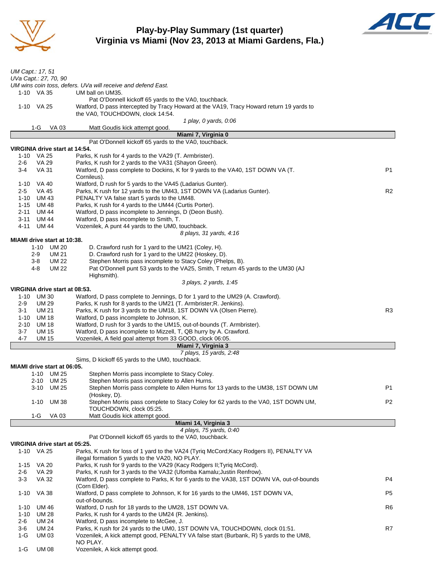

#### **Play-by-Play Summary (1st quarter) Virginia vs Miami (Nov 23, 2013 at Miami Gardens, Fla.)**



| UM Capt.: 17, 51                               |                                                                                                                                          |                |
|------------------------------------------------|------------------------------------------------------------------------------------------------------------------------------------------|----------------|
| UVa Capt.: 27, 70, 90                          |                                                                                                                                          |                |
|                                                | UM wins coin toss, defers. UVa will receive and defend East.                                                                             |                |
| 1-10 VA 35                                     | UM ball on UM35.                                                                                                                         |                |
|                                                | Pat O'Donnell kickoff 65 yards to the VA0, touchback.                                                                                    |                |
| 1-10 VA 25                                     | Watford, D pass intercepted by Tracy Howard at the VA19, Tracy Howard return 19 yards to                                                 |                |
|                                                | the VA0, TOUCHDOWN, clock 14:54.<br>1 play, 0 yards, 0:06                                                                                |                |
| 1-G<br>VA 03                                   | Matt Goudis kick attempt good.                                                                                                           |                |
|                                                | Miami 7, Virginia 0                                                                                                                      |                |
|                                                | Pat O'Donnell kickoff 65 yards to the VA0, touchback.                                                                                    |                |
| VIRGINIA drive start at 14:54.                 |                                                                                                                                          |                |
| 1-10 VA 25                                     | Parks, K rush for 4 yards to the VA29 (T. Armbrister).                                                                                   |                |
| VA 29<br>2-6<br>3-4<br>VA 31                   | Parks, K rush for 2 yards to the VA31 (Shayon Green).<br>Watford, D pass complete to Dockins, K for 9 yards to the VA40, 1ST DOWN VA (T. | P <sub>1</sub> |
|                                                | Cornileus).                                                                                                                              |                |
| 1-10 VA 40                                     | Watford, D rush for 5 yards to the VA45 (Ladarius Gunter).                                                                               |                |
| $2 - 5$<br>VA 45                               | Parks, K rush for 12 yards to the UM43, 1ST DOWN VA (Ladarius Gunter).                                                                   | R <sub>2</sub> |
| 1-10<br>UM 43                                  | PENALTY VA false start 5 yards to the UM48.                                                                                              |                |
| UM 48<br>1-15                                  | Parks, K rush for 4 yards to the UM44 (Curtis Porter).                                                                                   |                |
| 2-11<br>UM 44                                  | Watford, D pass incomplete to Jennings, D (Deon Bush).                                                                                   |                |
| 3-11<br>UM 44<br>$4 - 11$<br>UM 44             | Watford, D pass incomplete to Smith, T.<br>Vozenilek, A punt 44 yards to the UM0, touchback.                                             |                |
|                                                | 8 plays, 31 yards, 4:16                                                                                                                  |                |
| MIAMI drive start at 10:38.                    |                                                                                                                                          |                |
| 1-10 UM 20                                     | D. Crawford rush for 1 yard to the UM21 (Coley, H).                                                                                      |                |
| <b>UM 21</b><br>$2-9$                          | D. Crawford rush for 1 yard to the UM22 (Hoskey, D).                                                                                     |                |
| <b>UM 22</b><br>3-8                            | Stephen Morris pass incomplete to Stacy Coley (Phelps, B).                                                                               |                |
| <b>UM 22</b><br>4-8                            | Pat O'Donnell punt 53 yards to the VA25, Smith, T return 45 yards to the UM30 (AJ                                                        |                |
|                                                | Highsmith).<br>3 plays, 2 yards, 1:45                                                                                                    |                |
| VIRGINIA drive start at 08:53.                 |                                                                                                                                          |                |
| UM 30<br>1-10                                  | Watford, D pass complete to Jennings, D for 1 yard to the UM29 (A. Crawford).                                                            |                |
| 2-9<br><b>UM 29</b>                            | Parks, K rush for 8 yards to the UM21 (T. Armbrister; R. Jenkins).                                                                       |                |
| 3-1<br>UM 21                                   | Parks, K rush for 3 yards to the UM18, 1ST DOWN VA (Olsen Pierre).                                                                       | R3             |
| 1-10<br>UM 18                                  | Watford, D pass incomplete to Johnson, K.                                                                                                |                |
| 2-10<br>UM 18                                  | Watford, D rush for 3 yards to the UM15, out-of-bounds (T. Armbrister).                                                                  |                |
| $3 - 7$<br><b>UM 15</b><br>4-7<br><b>UM 15</b> | Watford, D pass incomplete to Mizzell, T, QB hurry by A. Crawford.<br>Vozenilek, A field goal attempt from 33 GOOD, clock 06:05.         |                |
|                                                | Miami 7, Virginia 3                                                                                                                      |                |
|                                                | 7 plays, 15 yards, 2:48                                                                                                                  |                |
|                                                | Sims, D kickoff 65 yards to the UM0, touchback.                                                                                          |                |
| MIAMI drive start at 06:05.                    |                                                                                                                                          |                |
| 1-10 UM 25                                     | Stephen Morris pass incomplete to Stacy Coley.                                                                                           |                |
| 2-10 UM 25                                     | Stephen Morris pass incomplete to Allen Hurns.                                                                                           | P <sub>1</sub> |
| 3-10 UM 25                                     | Stephen Morris pass complete to Allen Hurns for 13 yards to the UM38, 1ST DOWN UM<br>(Hoskey, D).                                        |                |
| 1-10<br>UM 38                                  | Stephen Morris pass complete to Stacy Coley for 62 yards to the VA0, 1ST DOWN UM,                                                        | P <sub>2</sub> |
|                                                | TOUCHDOWN, clock 05:25.                                                                                                                  |                |
| $1-G$<br>VA 03                                 | Matt Goudis kick attempt good.                                                                                                           |                |
|                                                | Miami 14, Virginia 3                                                                                                                     |                |
|                                                | 4 plays, 75 yards, 0:40                                                                                                                  |                |
| VIRGINIA drive start at 05:25.                 | Pat O'Donnell kickoff 65 yards to the VA0, touchback.                                                                                    |                |
| 1-10 VA 25                                     | Parks, K rush for loss of 1 yard to the VA24 (Tyriq McCord; Kacy Rodgers II), PENALTY VA                                                 |                |
|                                                | illegal formation 5 yards to the VA20, NO PLAY.                                                                                          |                |
| 1-15 VA 20                                     | Parks, K rush for 9 yards to the VA29 (Kacy Rodgers II; Tyriq McCord).                                                                   |                |
| <b>VA 29</b><br>2-6                            | Parks, K rush for 3 yards to the VA32 (Ufomba Kamalu; Justin Renfrow).                                                                   |                |
| $3 - 3$<br>VA 32                               | Watford, D pass complete to Parks, K for 6 yards to the VA38, 1ST DOWN VA, out-of-bounds                                                 | P4             |
|                                                | (Corn Elder).                                                                                                                            |                |
| VA 38<br>$1 - 10$                              | Watford, D pass complete to Johnson, K for 16 yards to the UM46, 1ST DOWN VA,<br>out-of-bounds.                                          | P <sub>5</sub> |
| UM 46<br>$1 - 10$                              | Watford, D rush for 18 yards to the UM28, 1ST DOWN VA.                                                                                   | R6             |
| $1 - 10$<br>UM 28                              | Parks, K rush for 4 yards to the UM24 (R. Jenkins).                                                                                      |                |
| 2-6<br>UM 24                                   | Watford, D pass incomplete to McGee, J.                                                                                                  |                |
| 3-6<br>UM 24                                   | Parks, K rush for 24 yards to the UM0, 1ST DOWN VA, TOUCHDOWN, clock 01:51.                                                              | R7             |
| 1-G<br>UM 03                                   | Vozenilek, A kick attempt good, PENALTY VA false start (Burbank, R) 5 yards to the UM8,                                                  |                |
|                                                | NO PLAY.                                                                                                                                 |                |
| $1-G$<br>UM 08                                 | Vozenilek, A kick attempt good.                                                                                                          |                |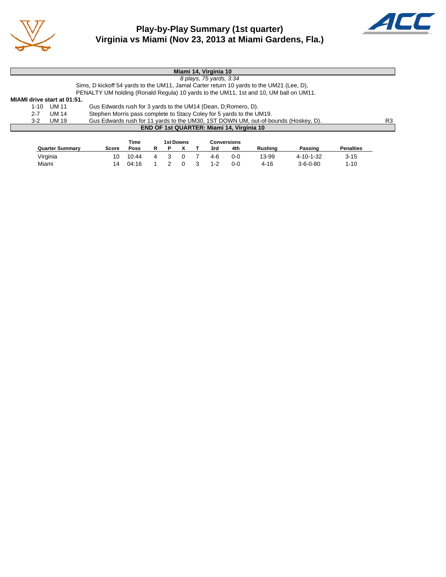



|                             |       | Miami 14, Virginia 10                                                                    |    |
|-----------------------------|-------|------------------------------------------------------------------------------------------|----|
|                             |       | 8 plays, 75 yards, 3:34                                                                  |    |
|                             |       | Sims, D kickoff 54 yards to the UM11, Jamal Carter return 10 yards to the UM21 (Lee, D). |    |
|                             |       | PENALTY UM holding (Ronald Regula) 10 yards to the UM11, 1st and 10, UM ball on UM11.    |    |
| MIAMI drive start at 01:51. |       |                                                                                          |    |
| $1 - 10$                    | UM 11 | Gus Edwards rush for 3 yards to the UM14 (Dean, D; Romero, D).                           |    |
| $2 - 7$                     | UM 14 | Stephen Morris pass complete to Stacy Coley for 5 yards to the UM19.                     |    |
| $3-2$                       | UM 19 | Gus Edwards rush for 11 yards to the UM30, 1ST DOWN UM, out-of-bounds (Hoskey, D).       | R3 |
|                             |       | <b>END OF 1st QUARTER: Miami 14, Virginia 10</b>                                         |    |
|                             |       |                                                                                          |    |

|                        |       | Time  |   | 1st Downs | Conversions |     |                |                  |                  |
|------------------------|-------|-------|---|-----------|-------------|-----|----------------|------------------|------------------|
| <b>Quarter Summary</b> | Score | Poss  |   |           | 3rd         | 4th | <b>Rushing</b> | Passing          | <b>Penalties</b> |
| Virginia               | 10    | 10:44 | 3 |           | 4-6         | 0-0 | 13-99          | 4-10-1-32        | $3 - 15$         |
| Miami                  | 14    | 04:16 |   |           | $1 - 2$     | 0-0 | 4-16           | $3 - 6 - 0 - 80$ | $1 - 10$         |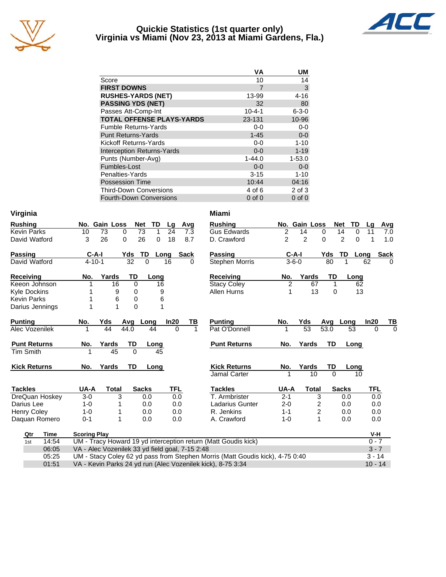

#### **Quickie Statistics (1st quarter only) Virginia vs Miami (Nov 23, 2013 at Miami Gardens, Fla.)**



|                                   | ٧A           | UM          |
|-----------------------------------|--------------|-------------|
| Score                             | 10           | 14          |
| <b>FIRST DOWNS</b>                | 7            | 3           |
| <b>RUSHES-YARDS (NET)</b>         | 13-99        | 4-16        |
| <b>PASSING YDS (NET)</b>          | 32           | 80          |
| Passes Att-Comp-Int               | $10 - 4 - 1$ | $6 - 3 - 0$ |
| <b>TOTAL OFFENSE PLAYS-YARDS</b>  | 23-131       | 10-96       |
| <b>Fumble Returns-Yards</b>       | $0 - 0$      | $0 - 0$     |
| <b>Punt Returns-Yards</b>         | $1 - 45$     | $0 - 0$     |
| Kickoff Returns-Yards             | $0-0$        | $1 - 10$    |
| <b>Interception Returns-Yards</b> | $0 - 0$      | $1 - 19$    |
| Punts (Number-Avg)                | $1 - 44.0$   | $1 - 53.0$  |
| Fumbles-Lost                      | $0 - 0$      | $0 - 0$     |
| Penalties-Yards                   | $3 - 15$     | $1 - 10$    |
| <b>Possession Time</b>            | 10:44        | 04:16       |
| <b>Third-Down Conversions</b>     | 4 of 6       | 2 of 3      |
| <b>Fourth-Down Conversions</b>    | $0$ of $0$   | $0$ of $0$  |

| Virginia            |                                                             |                          |               | <b>Miami</b>                                                                  |                |                         |           |                     |           |             |
|---------------------|-------------------------------------------------------------|--------------------------|---------------|-------------------------------------------------------------------------------|----------------|-------------------------|-----------|---------------------|-----------|-------------|
| <b>Rushing</b>      | No. Gain Loss                                               | <b>Net</b><br>TD         | Avg<br>Lg     | <b>Rushing</b>                                                                |                | No. Gain Loss           | Net       | TD                  | La        | Avg         |
| <b>Kevin Parks</b>  | 73<br>10                                                    | 73<br>0<br>$\mathbf 1$   | 24<br>7.3     | <b>Gus Edwards</b>                                                            | 2              | 14                      | 0         | 14<br>0             | 11        | 7.0         |
| David Watford       | 26<br>3                                                     | 0<br>26<br>$\mathbf 0$   | 18<br>8.7     | D. Crawford                                                                   | 2              | $\overline{2}$          | $\Omega$  | $\overline{c}$<br>0 |           | 1.0         |
| <b>Passing</b>      | $C-A-I$                                                     | <b>TD</b><br>Yds<br>Long | <b>Sack</b>   | <b>Passing</b>                                                                | $C-A-I$        |                         | Yds       | TD<br>Long          |           | <b>Sack</b> |
| David Watford       | $4 - 10 - 1$                                                | 32<br>$\Omega$           | 16<br>0       | <b>Stephen Morris</b>                                                         | $3 - 6 - 0$    |                         | 80        | 1                   | 62        | $\Omega$    |
| <b>Receiving</b>    | Yards<br>No.                                                | TD<br>Long               |               | <b>Receiving</b>                                                              | No.            | Yards                   | TD        | Long                |           |             |
| Keeon Johnson       | 16                                                          | 0<br>16                  |               | <b>Stacy Coley</b>                                                            | $\overline{c}$ | 67                      | 1         | 62                  |           |             |
| <b>Kyle Dockins</b> | 9                                                           | 0<br>9                   |               | Allen Hurns                                                                   | 1              | 13                      | $\Omega$  | 13                  |           |             |
| <b>Kevin Parks</b>  | 6                                                           | 6<br>0                   |               |                                                                               |                |                         |           |                     |           |             |
| Darius Jennings     | 1<br>1                                                      | 0                        |               |                                                                               |                |                         |           |                     |           |             |
| <b>Punting</b>      | No.<br>Yds                                                  | Avg<br>Long              | In20<br>TВ    | <b>Punting</b>                                                                | No.            | Yds                     | Avg       | Long                | In20      | TВ          |
| Alec Vozenilek      | 44                                                          | 44.0<br>44               | $\Omega$<br>1 | Pat O'Donnell                                                                 | 1              | $\overline{53}$         | 53.0      | 53                  | $\Omega$  | $\Omega$    |
| <b>Punt Returns</b> | Yards<br>No.                                                | TD<br>Long               |               | <b>Punt Returns</b>                                                           | No.            | Yards                   | <b>TD</b> | Long                |           |             |
| Tim Smith           | 45<br>1                                                     | $\Omega$<br>45           |               |                                                                               |                |                         |           |                     |           |             |
| <b>Kick Returns</b> | Yards<br>No.                                                | TD<br>Long               |               | <b>Kick Returns</b>                                                           | No.            | Yards                   | TD        | Long                |           |             |
|                     |                                                             |                          |               | Jamal Carter                                                                  |                | 10                      | $\Omega$  | 10                  |           |             |
| <b>Tackles</b>      | UA-A<br><b>Total</b>                                        | <b>Sacks</b>             | <b>TFL</b>    | <b>Tackles</b>                                                                | UA-A           | <b>Total</b>            |           | <b>Sacks</b>        | TFL       |             |
| DreQuan Hoskey      | 3<br>$3-0$                                                  | 0.0                      | 0.0           | T. Armbrister                                                                 | $2 - 1$        | 3                       |           | 0.0                 | 0.0       |             |
| Darius Lee          | $1 - 0$                                                     | 0.0                      | 0.0           | <b>Ladarius Gunter</b>                                                        | $2 - 0$        | $\overline{\mathbf{c}}$ |           | 0.0                 | 0.0       |             |
| <b>Henry Coley</b>  | $1 - 0$                                                     | 0.0                      | 0.0           | R. Jenkins                                                                    | $1 - 1$        | 2                       |           | 0.0                 | 0.0       |             |
| Daquan Romero       | $0 - 1$<br>1                                                | 0.0                      | 0.0           | A. Crawford                                                                   | $1 - 0$        | 1                       |           | 0.0                 | 0.0       |             |
| <b>Time</b><br>Qtr  | <b>Scoring Play</b>                                         |                          |               |                                                                               |                |                         |           |                     | V-H       |             |
| 14:54<br>1st        |                                                             |                          |               | UM - Tracy Howard 19 yd interception return (Matt Goudis kick)                |                |                         |           |                     | $0 - 7$   |             |
| 06:05               | VA - Alec Vozenilek 33 yd field goal, 7-15 2:48             |                          |               |                                                                               |                |                         |           |                     | $3 - 7$   |             |
| 05:25               |                                                             |                          |               | UM - Stacy Coley 62 yd pass from Stephen Morris (Matt Goudis kick), 4-75 0:40 |                |                         |           |                     | $3 - 14$  |             |
| 01:51               | VA - Kevin Parks 24 yd run (Alec Vozenilek kick), 8-75 3:34 |                          |               |                                                                               |                |                         |           |                     | $10 - 14$ |             |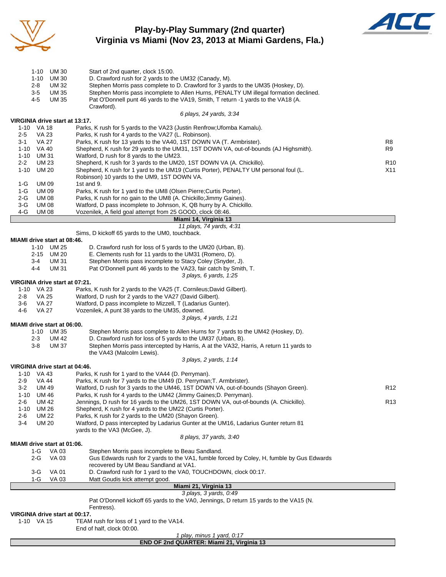

#### **Play-by-Play Summary (2nd quarter) Virginia vs Miami (Nov 23, 2013 at Miami Gardens, Fla.)**



|                | 1-10                         | UM 30                                | Start of 2nd quarter, clock 15:00.                                                                                                                         |                 |
|----------------|------------------------------|--------------------------------------|------------------------------------------------------------------------------------------------------------------------------------------------------------|-----------------|
|                | 1-10<br>2-8                  | <b>UM 30</b><br>UM 32                | D. Crawford rush for 2 yards to the UM32 (Canady, M).<br>Stephen Morris pass complete to D. Crawford for 3 yards to the UM35 (Hoskey, D).                  |                 |
|                | $3-5$                        | <b>UM35</b>                          | Stephen Morris pass incomplete to Allen Hurns, PENALTY UM illegal formation declined.                                                                      |                 |
|                | 4-5                          | UM 35                                | Pat O'Donnell punt 46 yards to the VA19, Smith, T return -1 yards to the VA18 (A.                                                                          |                 |
|                |                              |                                      | Crawford).<br>6 plays, 24 yards, 3:34                                                                                                                      |                 |
|                |                              | VIRGINIA drive start at 13:17.       |                                                                                                                                                            |                 |
|                | 1-10 VA 18                   |                                      | Parks, K rush for 5 yards to the VA23 (Justin Renfrow; Ufomba Kamalu).                                                                                     |                 |
| $2 - 5$        | VA 23                        |                                      | Parks, K rush for 4 yards to the VA27 (L. Robinson).                                                                                                       |                 |
| 3-1            | VA 27                        |                                      | Parks, K rush for 13 yards to the VA40, 1ST DOWN VA (T. Armbrister).                                                                                       | R8              |
| 1-10           | 1-10 VA 40<br>UM 31          |                                      | Shepherd, K rush for 29 yards to the UM31, 1ST DOWN VA, out-of-bounds (AJ Highsmith).<br>Watford, D rush for 8 yards to the UM23.                          | R9              |
| $2 - 2$        | UM 23                        |                                      | Shepherd, K rush for 3 yards to the UM20, 1ST DOWN VA (A. Chickillo).                                                                                      | R <sub>10</sub> |
| $1 - 10$       | UM 20                        |                                      | Shepherd, K rush for 1 yard to the UM19 (Curtis Porter), PENALTY UM personal foul (L.                                                                      | X11             |
|                |                              |                                      | Robinson) 10 yards to the UM9, 1ST DOWN VA.                                                                                                                |                 |
| 1-G            | <b>UM09</b>                  |                                      | 1st and 9.                                                                                                                                                 |                 |
| 1-G            | <b>UM09</b>                  |                                      | Parks, K rush for 1 yard to the UM8 (Olsen Pierre; Curtis Porter).                                                                                         |                 |
| $2-G$<br>$3-G$ | <b>UM 08</b><br><b>UM 08</b> |                                      | Parks, K rush for no gain to the UM8 (A. Chickillo; Jimmy Gaines).<br>Watford, D pass incomplete to Johnson, K, QB hurry by A. Chickillo.                  |                 |
| $4-G$          | <b>UM08</b>                  |                                      | Vozenilek, A field goal attempt from 25 GOOD, clock 08:46.                                                                                                 |                 |
|                |                              |                                      | Miami 14, Virginia 13                                                                                                                                      |                 |
|                |                              |                                      | 11 plays, 74 yards, 4:31                                                                                                                                   |                 |
|                |                              |                                      | Sims, D kickoff 65 yards to the UM0, touchback.                                                                                                            |                 |
|                |                              | MIAMI drive start at 08:46.          |                                                                                                                                                            |                 |
|                | 2-15                         | 1-10 UM 25<br>UM 20                  | D. Crawford rush for loss of 5 yards to the UM20 (Urban, B).<br>E. Clements rush for 11 yards to the UM31 (Romero, D).                                     |                 |
|                | 3-4                          | UM 31                                | Stephen Morris pass incomplete to Stacy Coley (Snyder, J).                                                                                                 |                 |
|                | 4-4                          | UM 31                                | Pat O'Donnell punt 46 yards to the VA23, fair catch by Smith, T.                                                                                           |                 |
|                |                              |                                      | 3 plays, 6 yards, 1:25                                                                                                                                     |                 |
|                |                              | VIRGINIA drive start at 07:21.       |                                                                                                                                                            |                 |
|                | 1-10 VA 23                   |                                      | Parks, K rush for 2 yards to the VA25 (T. Cornileus; David Gilbert).                                                                                       |                 |
| 2-8            | VA 25                        |                                      | Watford, D rush for 2 yards to the VA27 (David Gilbert).                                                                                                   |                 |
| 3-6            | VA 27                        |                                      | Watford, D pass incomplete to Mizzell, T (Ladarius Gunter).                                                                                                |                 |
| 4-6            | <b>VA 27</b>                 |                                      | Vozenilek, A punt 38 yards to the UM35, downed.                                                                                                            |                 |
|                |                              | MIAMI drive start at 06:00.          | 3 plays, 4 yards, 1:21                                                                                                                                     |                 |
|                |                              | 1-10 UM 35                           | Stephen Morris pass complete to Allen Hurns for 7 yards to the UM42 (Hoskey, D).                                                                           |                 |
|                | 2-3                          | UM 42                                | D. Crawford rush for loss of 5 yards to the UM37 (Urban, B).                                                                                               |                 |
|                | 3-8                          | UM 37                                | Stephen Morris pass intercepted by Harris, A at the VA32, Harris, A return 11 yards to                                                                     |                 |
|                |                              |                                      | the VA43 (Malcolm Lewis).                                                                                                                                  |                 |
|                |                              |                                      | 3 plays, 2 yards, 1:14                                                                                                                                     |                 |
|                |                              | VIRGINIA drive start at 04:46.       |                                                                                                                                                            |                 |
|                | 1-10 VA 43                   |                                      | Parks, K rush for 1 yard to the VA44 (D. Perryman).                                                                                                        |                 |
| $2-9$<br>$3-2$ | VA 44<br><b>UM 49</b>        |                                      | Parks, K rush for 7 yards to the UM49 (D. Perryman; T. Armbrister).<br>Watford, D rush for 3 yards to the UM46, 1ST DOWN VA, out-of-bounds (Shayon Green). | R <sub>12</sub> |
| $1 - 10$       | UM 46                        |                                      | Parks, K rush for 4 yards to the UM42 (Jimmy Gaines; D. Perryman).                                                                                         |                 |
| 2-6            | <b>UM42</b>                  |                                      | Jennings, D rush for 16 yards to the UM26, 1ST DOWN VA, out-of-bounds (A. Chickillo).                                                                      | R <sub>13</sub> |
| $1 - 10$       | <b>UM 26</b>                 |                                      | Shepherd, K rush for 4 yards to the UM22 (Curtis Porter).                                                                                                  |                 |
| $2 - 6$        | <b>UM 22</b>                 |                                      | Parks, K rush for 2 yards to the UM20 (Shayon Green).                                                                                                      |                 |
| $3-4$          | <b>UM 20</b>                 |                                      | Watford, D pass intercepted by Ladarius Gunter at the UM16, Ladarius Gunter return 81                                                                      |                 |
|                |                              |                                      | vards to the VA3 (McGee, J).                                                                                                                               |                 |
|                |                              |                                      | 8 plays, 37 yards, 3:40                                                                                                                                    |                 |
|                | $1-G$                        | MIAMI drive start at 01:06.<br>VA 03 | Stephen Morris pass incomplete to Beau Sandland.                                                                                                           |                 |
|                | 2-G                          | VA 03                                | Gus Edwards rush for 2 yards to the VA1, fumble forced by Coley, H, fumble by Gus Edwards                                                                  |                 |
|                |                              |                                      | recovered by UM Beau Sandland at VA1.                                                                                                                      |                 |
|                | 3-G                          | <b>VA01</b>                          | D. Crawford rush for 1 yard to the VA0, TOUCHDOWN, clock 00:17.                                                                                            |                 |
|                | 1-G                          | VA 03                                | Matt Goudis kick attempt good.                                                                                                                             |                 |
|                |                              |                                      | Miami 21, Virginia 13                                                                                                                                      |                 |
|                |                              |                                      | 3 plays, 3 yards, 0:49                                                                                                                                     |                 |
|                |                              |                                      | Pat O'Donnell kickoff 65 yards to the VA0, Jennings, D return 15 yards to the VA15 (N.<br>Fentress).                                                       |                 |
|                |                              | VIRGINIA drive start at 00:17.       |                                                                                                                                                            |                 |
|                | 1-10 VA 15                   |                                      | TEAM rush for loss of 1 yard to the VA14.                                                                                                                  |                 |
|                |                              |                                      | End of half, clock 00:00.                                                                                                                                  |                 |

*1 play, minus 1 yard, 0:17*

|  |  |  | END OF 2nd QUARTER: Miami 21, Virginia 13 |  |
|--|--|--|-------------------------------------------|--|
|  |  |  |                                           |  |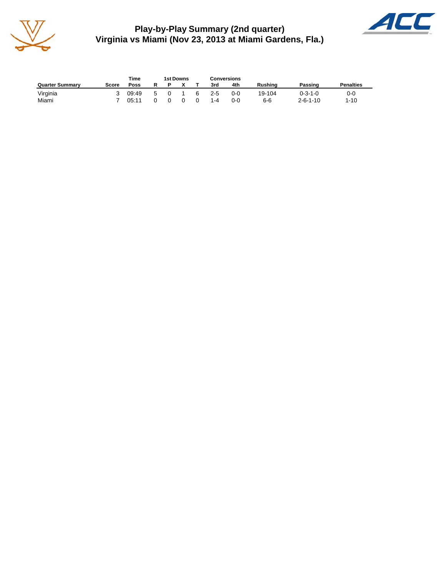

**Play-by-Play Summary (2nd quarter) Virginia vs Miami (Nov 23, 2013 at Miami Gardens, Fla.)**



|                        |       | Time  |   | 1st Downs |              |   | <b>Conversions</b> |         |                |                  |                  |
|------------------------|-------|-------|---|-----------|--------------|---|--------------------|---------|----------------|------------------|------------------|
| <b>Quarter Summary</b> | Score | Poss  | R |           |              |   | 3rd                | 4th     | <b>Rushing</b> | Passing          | <b>Penalties</b> |
| Virginia               | 3.    | 09:49 | 5 |           |              | 6 | $2 - 5$            | $0 - 0$ | 19-104         | $0 - 3 - 1 - 0$  | 0-0              |
| Miami                  |       | 05:11 |   |           | $\mathbf{U}$ |   | $1 - 4$            | $0 - 0$ | 6-6            | $2 - 6 - 1 - 10$ | $1 - 10$         |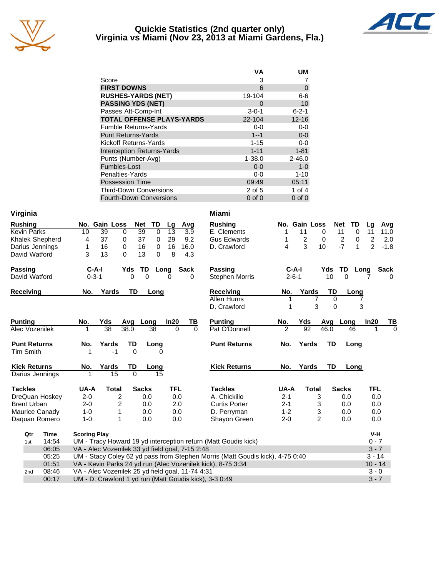

#### **Quickie Statistics (2nd quarter only) Virginia vs Miami (Nov 23, 2013 at Miami Gardens, Fla.)**



|                                   | <b>VA</b>   | <b>UM</b>   |
|-----------------------------------|-------------|-------------|
| Score                             | 3           |             |
| <b>FIRST DOWNS</b>                | 6           | 0           |
| <b>RUSHES-YARDS (NET)</b>         | 19-104      | 6-6         |
| <b>PASSING YDS (NET)</b>          | 0           | 10          |
| Passes Att-Comp-Int               | $3 - 0 - 1$ | $6 - 2 - 1$ |
| <b>TOTAL OFFENSE PLAYS-YARDS</b>  | 22-104      | $12 - 16$   |
| <b>Fumble Returns-Yards</b>       | $0-0$       | $0-0$       |
| <b>Punt Returns-Yards</b>         | $1 - 1$     | $0-0$       |
| Kickoff Returns-Yards             | $1 - 15$    | $0-0$       |
| <b>Interception Returns-Yards</b> | $1 - 11$    | $1 - 81$    |
| Punts (Number-Avg)                | $1 - 38.0$  | $2 - 46.0$  |
| Fumbles-Lost                      | $0 - 0$     | $1 - 0$     |
| Penalties-Yards                   | $0-0$       | $1 - 10$    |
| <b>Possession Time</b>            | 09:49       | 05:11       |
| <b>Third-Down Conversions</b>     | 2 of 5      | 1 of 4      |
| <b>Fourth-Down Conversions</b>    | $0$ of $0$  | $0$ of $0$  |

| Virginia            |                                                                               | <b>Miami</b>                                                          |                |
|---------------------|-------------------------------------------------------------------------------|-----------------------------------------------------------------------|----------------|
| <b>Rushing</b>      | TD<br>No. Gain Loss<br>Net<br>Avg<br>Lg                                       | <b>Rushing</b><br>No. Gain Loss<br>Net<br>TD<br>Lg                    | Avg            |
| <b>Kevin Parks</b>  | $\overline{39}$<br>13<br>10<br>39<br>0<br>$\Omega$<br>3.9                     | E. Clements<br>11<br>11<br>$\Omega$<br>11<br>0                        | 11.0           |
| Khalek Shepherd     | 37<br>37<br>9.2<br>0<br>29<br>4<br>0                                          | $\overline{2}$<br><b>Gus Edwards</b><br>2<br>2<br>0<br>0              | 2.0            |
| Darius Jennings     | 16<br>16<br>$\mathbf 0$<br>16<br>16.0<br>1<br>0                               | $-7$<br>3<br>$\overline{2}$<br>4<br>10<br>$\mathbf{1}$<br>D. Crawford | $-1.8$         |
| David Watford       | 3<br>13<br>$\Omega$<br>13<br>8<br>0<br>4.3                                    |                                                                       |                |
| <b>Passing</b>      | TD<br>$C-A-I$<br>Yds<br><b>Sack</b><br>Long                                   | <b>Passing</b><br>$C-A-I$<br>TD<br>Yds<br>Long<br><b>Sack</b>         |                |
| David Watford       | $0 - 3 - 1$<br>$\mathbf{0}$<br>$\Omega$<br>$\Omega$<br>$\Omega$               | $2 - 6 - 1$<br><b>Stephen Morris</b><br>10<br>$\Omega$                | <sup>0</sup>   |
| <b>Receiving</b>    | Yards<br><b>TD</b><br>No.<br>Long                                             | Receiving<br>Yards<br>TD<br>No.<br>Long                               |                |
|                     |                                                                               | Allen Hurns<br>1<br>7<br>$\Omega$<br>7                                |                |
|                     |                                                                               | 3<br>3<br>D. Crawford<br>1<br>$\Omega$                                |                |
| <b>Punting</b>      | In20<br>No.<br>Yds<br>ΤВ<br>Avq<br>Long                                       | <b>Punting</b><br>Yds<br>In20<br>No.<br>Long<br>Avq                   | TВ             |
| Alec Vozenilek      | $\overline{38}$<br>38.0<br>38<br>$\Omega$<br>$\Omega$                         | $\overline{2}$<br>$\overline{92}$<br>Pat O'Donnell<br>46.0<br>46<br>1 | $\overline{0}$ |
| <b>Punt Returns</b> | Yards<br>No.<br>TD<br>Long                                                    | <b>Punt Returns</b><br>Yards<br>TD<br>No.<br>Long                     |                |
| <b>Tim Smith</b>    | $-1$<br>0<br>1<br>0                                                           |                                                                       |                |
| <b>Kick Returns</b> | Yards<br>TD<br>No.<br>Long                                                    | <b>Kick Returns</b><br>Yards<br>TD<br>No.<br>Long                     |                |
| Darius Jennings     | 15<br>0<br>15<br>1                                                            |                                                                       |                |
| <b>Tackles</b>      | UA-A<br><b>TFL</b><br><b>Total</b><br><b>Sacks</b>                            | <b>Tackles</b><br>UA-A<br>TFL<br><b>Total</b><br><b>Sacks</b>         |                |
| DreQuan Hoskey      | $\overline{2}$<br>$2 - 0$<br>0.0<br>0.0                                       | A. Chickillo<br>$2 - 1$<br>3<br>0.0<br>0.0                            |                |
| <b>Brent Urban</b>  | $2 - 0$<br>2<br>0.0<br>2.0                                                    | $2 - 1$<br><b>Curtis Porter</b><br>3<br>0.0<br>0.0                    |                |
| Maurice Canady      | $1 - 0$<br>0.0<br>0.0<br>1                                                    | 3<br>D. Perryman<br>$1 - 2$<br>0.0<br>0.0                             |                |
| Daguan Romero       | $1 - 0$<br>1<br>0.0<br>0.0                                                    | $\overline{2}$<br>Shayon Green<br>$2 - 0$<br>0.0<br>0.0               |                |
| <b>Time</b><br>Qtr  | <b>Scoring Play</b>                                                           | V-H                                                                   |                |
| 14:54<br>1st        | UM - Tracy Howard 19 yd interception return (Matt Goudis kick)                | $0 - 7$                                                               |                |
| 06:05               | VA - Alec Vozenilek 33 yd field goal, 7-15 2:48                               | $3 - 7$                                                               |                |
| 05:25               | UM - Stacy Coley 62 yd pass from Stephen Morris (Matt Goudis kick), 4-75 0:40 | $3 - 14$                                                              |                |
| 01:51               | VA - Kevin Parks 24 yd run (Alec Vozenilek kick), 8-75 3:34                   | $10 - 14$                                                             |                |
| 08:46<br>2nd        | VA - Alec Vozenilek 25 yd field goal, 11-74 4:31                              | $3 - 0$                                                               |                |
| 00:17               | UM - D. Crawford 1 yd run (Matt Goudis kick), 3-3 0:49                        | $3 - 7$                                                               |                |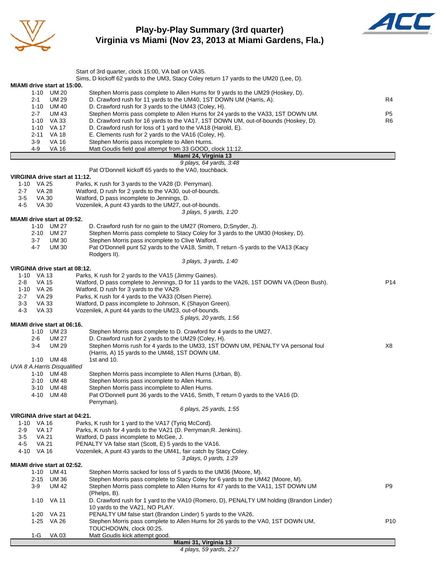

**Play-by-Play Summary (3rd quarter) Virginia vs Miami (Nov 23, 2013 at Miami Gardens, Fla.)**



|                                            | Start of 3rd quarter, clock 15:00, VA ball on VA35.                                                                                                                  |                 |
|--------------------------------------------|----------------------------------------------------------------------------------------------------------------------------------------------------------------------|-----------------|
|                                            | Sims, D kickoff 62 yards to the UM3, Stacy Coley return 17 yards to the UM20 (Lee, D).                                                                               |                 |
| MIAMI drive start at 15:00.<br>1-10 UM 20  | Stephen Morris pass complete to Allen Hurns for 9 yards to the UM29 (Hoskey, D).                                                                                     |                 |
| $2 - 1$<br>UM 29                           | D. Crawford rush for 11 yards to the UM40, 1ST DOWN UM (Harris, A).                                                                                                  | R4              |
| 1-10 UM 40                                 | D. Crawford rush for 3 yards to the UM43 (Coley, H).                                                                                                                 |                 |
| <b>UM 43</b><br>$2 - 7$                    | Stephen Morris pass complete to Allen Hurns for 24 yards to the VA33, 1ST DOWN UM.                                                                                   | P <sub>5</sub>  |
| 1-10 VA 33<br>1-10 VA 17                   | D. Crawford rush for 16 yards to the VA17, 1ST DOWN UM, out-of-bounds (Hoskey, D).<br>D. Crawford rush for loss of 1 yard to the VA18 (Harold, E).                   | R <sub>6</sub>  |
| VA 18<br>2-11                              | E. Clements rush for 2 yards to the VA16 (Coley, H).                                                                                                                 |                 |
| $3-9$<br><b>VA 16</b>                      | Stephen Morris pass incomplete to Allen Hurns.                                                                                                                       |                 |
| 4-9<br><b>VA 16</b>                        | Matt Goudis field goal attempt from 33 GOOD, clock 11:12.                                                                                                            |                 |
|                                            | Miami 24, Virginia 13<br>9 plays, 64 yards, 3:48                                                                                                                     |                 |
|                                            | Pat O'Donnell kickoff 65 yards to the VA0, touchback.                                                                                                                |                 |
| VIRGINIA drive start at 11:12.             |                                                                                                                                                                      |                 |
| 1-10 VA 25                                 | Parks, K rush for 3 yards to the VA28 (D. Perryman).                                                                                                                 |                 |
| <b>VA 28</b><br>2-7                        | Watford, D rush for 2 yards to the VA30, out-of-bounds.                                                                                                              |                 |
| $3-5$<br>VA 30<br>4-5<br>VA 30             | Watford, D pass incomplete to Jennings, D.<br>Vozenilek, A punt 43 yards to the UM27, out-of-bounds.                                                                 |                 |
|                                            | 3 plays, 5 yards, 1:20                                                                                                                                               |                 |
| <b>MIAMI</b> drive start at 09:52.         |                                                                                                                                                                      |                 |
| 1-10 UM 27                                 | D. Crawford rush for no gain to the UM27 (Romero, D;Snyder, J).                                                                                                      |                 |
| 2-10 UM 27                                 | Stephen Morris pass complete to Stacy Coley for 3 yards to the UM30 (Hoskey, D).                                                                                     |                 |
| 3-7<br>UM 30<br>4-7<br><b>UM30</b>         | Stephen Morris pass incomplete to Clive Walford.<br>Pat O'Donnell punt 52 yards to the VA18, Smith, T return -5 yards to the VA13 (Kacy                              |                 |
|                                            | Rodgers II).                                                                                                                                                         |                 |
|                                            | 3 plays, 3 yards, 1:40                                                                                                                                               |                 |
| VIRGINIA drive start at 08:12.             |                                                                                                                                                                      |                 |
| 1-10 VA 13<br><b>VA 15</b><br>2-8          | Parks, K rush for 2 yards to the VA15 (Jimmy Gaines).<br>Watford, D pass complete to Jennings, D for 11 yards to the VA26, 1ST DOWN VA (Deon Bush).                  | P <sub>14</sub> |
| 1-10 VA 26                                 | Watford, D rush for 3 yards to the VA29.                                                                                                                             |                 |
| 2-7<br>VA 29                               | Parks, K rush for 4 yards to the VA33 (Olsen Pierre).                                                                                                                |                 |
| $3-3$<br>VA 33                             | Watford, D pass incomplete to Johnson, K (Shayon Green).                                                                                                             |                 |
| VA 33<br>4-3                               | Vozenilek, A punt 44 yards to the UM23, out-of-bounds.                                                                                                               |                 |
| MIAMI drive start at 06:16.                | 5 plays, 20 yards, 1:56                                                                                                                                              |                 |
| 1-10 UM 23                                 | Stephen Morris pass complete to D. Crawford for 4 yards to the UM27.                                                                                                 |                 |
| <b>UM 27</b><br>2-6                        | D. Crawford rush for 2 yards to the UM29 (Coley, H).                                                                                                                 |                 |
| <b>UM 29</b><br>3-4                        | Stephen Morris rush for 4 yards to the UM33, 1ST DOWN UM, PENALTY VA personal foul                                                                                   | X8              |
|                                            | (Harris, A) 15 yards to the UM48, 1ST DOWN UM.<br>1st and 10.                                                                                                        |                 |
| 1-10 UM 48<br>UVA 8 A.Harris Disqualified  |                                                                                                                                                                      |                 |
| 1-10 UM 48                                 | Stephen Morris pass incomplete to Allen Hurns (Urban, B).                                                                                                            |                 |
| 2-10 UM 48                                 | Stephen Morris pass incomplete to Allen Hurns.                                                                                                                       |                 |
| 3-10 UM 48                                 | Stephen Morris pass incomplete to Allen Hurns.                                                                                                                       |                 |
| 4-10 UM 48                                 | Pat O'Donnell punt 36 yards to the VA16, Smith, T return 0 yards to the VA16 (D.                                                                                     |                 |
|                                            | Perryman).<br>6 plays, 25 yards, 1:55                                                                                                                                |                 |
| VIRGINIA drive start at 04:21.             |                                                                                                                                                                      |                 |
| 1-10 VA 16                                 | Parks, K rush for 1 yard to the VA17 (Tyrig McCord).                                                                                                                 |                 |
| <b>VA 17</b><br>2-9                        | Parks, K rush for 4 yards to the VA21 (D. Perryman; R. Jenkins).                                                                                                     |                 |
| <b>VA 21</b><br>3-5<br>4-5<br><b>VA 21</b> | Watford, D pass incomplete to McGee, J.<br>PENALTY VA false start (Scott, E) 5 yards to the VA16.                                                                    |                 |
| 4-10 VA 16                                 | Vozenilek, A punt 43 yards to the UM41, fair catch by Stacy Coley.                                                                                                   |                 |
|                                            | 3 plays, 0 yards, 1:29                                                                                                                                               |                 |
| MIAMI drive start at 02:52.                |                                                                                                                                                                      |                 |
| 1-10 UM 41                                 | Stephen Morris sacked for loss of 5 yards to the UM36 (Moore, M).                                                                                                    |                 |
| 2-15 UM 36<br>3-9<br>UM 42                 | Stephen Morris pass complete to Stacy Coley for 6 yards to the UM42 (Moore, M).<br>Stephen Morris pass complete to Allen Hurns for 47 yards to the VA11, 1ST DOWN UM | P <sub>9</sub>  |
|                                            | (Phelps, B).                                                                                                                                                         |                 |
| 1-10 VA 11                                 | D. Crawford rush for 1 yard to the VA10 (Romero, D), PENALTY UM holding (Brandon Linder)                                                                             |                 |
|                                            | 10 yards to the VA21, NO PLAY.                                                                                                                                       |                 |
| 1-20 VA 21                                 | PENALTY UM false start (Brandon Linder) 5 yards to the VA26.                                                                                                         |                 |
| 1-25 VA 26                                 | Stephen Morris pass complete to Allen Hurns for 26 yards to the VA0, 1ST DOWN UM,<br>TOUCHDOWN, clock 00:25.                                                         | P <sub>10</sub> |
| 1-G VA 03                                  | Matt Goudis kick attempt good.                                                                                                                                       |                 |

#### **Miami 31, Virginia 13**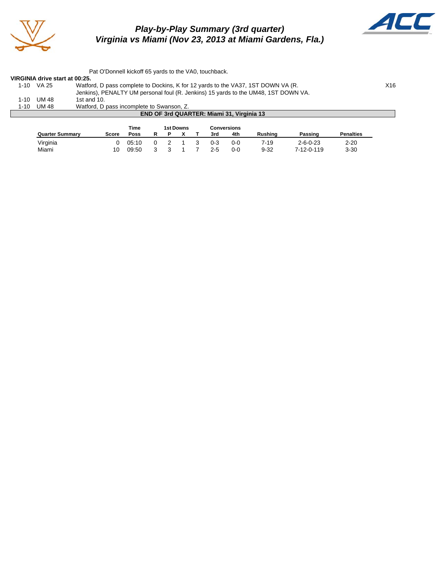

#### *Play-by-Play Summary (3rd quarter) Virginia vs Miami (Nov 23, 2013 at Miami Gardens, Fla.)*



Pat O'Donnell kickoff 65 yards to the VA0, touchback. **VIRGINIA drive start at 00:25.** Watford, D pass complete to Dockins, K for 12 yards to the VA37, 1ST DOWN VA (R. X16 Jenkins), PENALTY UM personal foul (R. Jenkins) 15 yards to the UM48, 1ST DOWN VA.<br>1st and 10. 1-10 UM 48<br>1-10 UM 48 1-10 UM 48 Watford, D pass incomplete to Swanson, Z. **END OF 3rd QUARTER: Miami 31, Virginia 13**

|                        |       | Time  | 1st Downs<br>Conversions |  |  |     |         |                |                  |                  |
|------------------------|-------|-------|--------------------------|--|--|-----|---------|----------------|------------------|------------------|
| <b>Quarter Summary</b> | Score | Poss  |                          |  |  | 3rd | 4th     | <b>Rushing</b> | Passing          | <b>Penalties</b> |
| Virginia               |       | 05:10 |                          |  |  | 0-3 | 0-0     | 7-19           | $2 - 6 - 0 - 23$ | $2 - 20$         |
| Miami                  | 10    | 09:50 |                          |  |  | 2-5 | $0 - 0$ | $9 - 32$       | 7-12-0-119       | $3 - 30$         |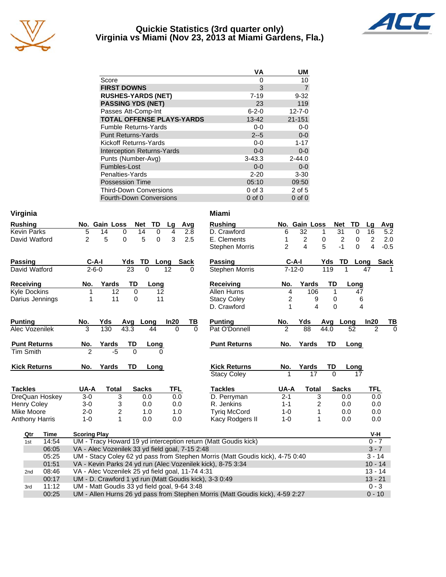

#### **Quickie Statistics (3rd quarter only) Virginia vs Miami (Nov 23, 2013 at Miami Gardens, Fla.)**



|                                   | ٧A          | UM             |
|-----------------------------------|-------------|----------------|
| Score                             | 0           | 10             |
| <b>FIRST DOWNS</b>                | 3           | $\overline{7}$ |
| <b>RUSHES-YARDS (NET)</b>         | $7 - 19$    | $9 - 32$       |
| <b>PASSING YDS (NET)</b>          | 23          | 119            |
| Passes Att-Comp-Int               | $6 - 2 - 0$ | $12 - 7 - 0$   |
| <b>TOTAL OFFENSE PLAYS-YARDS</b>  | $13 - 42$   | $21 - 151$     |
| <b>Fumble Returns-Yards</b>       | $0 - 0$     | $0-0$          |
| <b>Punt Returns-Yards</b>         | $2 - 5$     | $0-0$          |
| Kickoff Returns-Yards             | $0-0$       | $1 - 17$       |
| <b>Interception Returns-Yards</b> | $0 - 0$     | $0 - 0$        |
| Punts (Number-Avg)                | $3 - 43.3$  | $2 - 44.0$     |
| Fumbles-Lost                      | $0 - 0$     | $0 - 0$        |
| Penalties-Yards                   | $2 - 20$    | $3 - 30$       |
| <b>Possession Time</b>            | 05:10       | 09:50          |
| <b>Third-Down Conversions</b>     | $0$ of $3$  | 2 of 5         |
| <b>Fourth-Down Conversions</b>    | $0$ of $0$  | $0$ of $0$     |

| Virginia              |       |                                                                                           |                                                        |                             |          |            |             | Miami                                                                         |                |               |          |                      |                |             |
|-----------------------|-------|-------------------------------------------------------------------------------------------|--------------------------------------------------------|-----------------------------|----------|------------|-------------|-------------------------------------------------------------------------------|----------------|---------------|----------|----------------------|----------------|-------------|
| <b>Rushing</b>        |       |                                                                                           | No. Gain Loss                                          | <b>Net</b>                  | TD       | Lg         | Avg         | <b>Rushing</b>                                                                |                | No. Gain Loss |          | <b>Net</b><br>TD     | Lg             | Avg         |
| <b>Kevin Parks</b>    |       | 5                                                                                         | 14<br>0                                                | 14                          | 0        | 4          | 2.8         | D. Crawford                                                                   | 6              | 32            | 1        | $\overline{31}$<br>0 | 16             | 5.2         |
| David Watford         |       | $\overline{2}$                                                                            | 5<br>$\Omega$                                          | 5                           | $\Omega$ | 3          | 2.5         | E. Clements                                                                   | 1              | 2             | 0        | 2<br>0               | 2              | 2.0         |
|                       |       |                                                                                           |                                                        |                             |          |            |             | <b>Stephen Morris</b>                                                         | $\overline{2}$ | 4             | 5        | $-1$<br>$\Omega$     | 4              | $-0.5$      |
| <b>Passing</b>        |       | $C-A-I$                                                                                   |                                                        | TD.<br>Yds                  | Long     |            | <b>Sack</b> | Passing                                                                       | $C-A-I$        |               | Yds      | TD<br>Long           |                | <b>Sack</b> |
| David Watford         |       | $2 - 6 - 0$                                                                               |                                                        | $\overline{23}$<br>$\Omega$ |          | 12         | $\Omega$    | <b>Stephen Morris</b>                                                         | $7 - 12 - 0$   |               | 119      |                      | 47             |             |
| Receiving             |       | No.                                                                                       | Yards                                                  | TD                          | Long     |            |             | Receiving                                                                     | No.            | Yards         | TD       | Long                 |                |             |
| <b>Kyle Dockins</b>   |       |                                                                                           | 12                                                     | $\Omega$                    | 12       |            |             | Allen Hurns                                                                   | 4              | 106           | 1        | 47                   |                |             |
| Darius Jennings       |       |                                                                                           | 11                                                     | $\mathbf 0$                 | 11       |            |             | <b>Stacy Coley</b>                                                            | $\overline{c}$ | 9             | 0        | 6                    |                |             |
|                       |       |                                                                                           |                                                        |                             |          |            |             | D. Crawford                                                                   | 1              | 4             | 0        | 4                    |                |             |
| <b>Punting</b>        |       | No.                                                                                       | Yds                                                    | Long<br>Avg                 |          | In20       | ΤВ          | <b>Punting</b>                                                                | No.            | Yds           |          | Avg Long             | In20           | ΤВ          |
| Alec Vozenilek        |       | 3                                                                                         | 130                                                    | 43.3                        | 44       | $\Omega$   | $\Omega$    | Pat O'Donnell                                                                 | $\mathfrak{p}$ | 88            | 44.0     | 52                   | $\mathfrak{p}$ | $\Omega$    |
| <b>Punt Returns</b>   |       | No.                                                                                       | Yards                                                  | TD                          | Long     |            |             | <b>Punt Returns</b>                                                           | No.            | Yards         | TD       | Long                 |                |             |
| <b>Tim Smith</b>      |       | $\mathfrak{p}$                                                                            | $-5$                                                   | $\Omega$                    |          |            |             |                                                                               |                |               |          |                      |                |             |
| <b>Kick Returns</b>   |       | No.                                                                                       | Yards                                                  | TD                          | Long     |            |             | <b>Kick Returns</b>                                                           | No.            | Yards         | TD       | Long                 |                |             |
|                       |       |                                                                                           |                                                        |                             |          |            |             | <b>Stacy Coley</b>                                                            |                | 17            | $\Omega$ | 17                   |                |             |
| <b>Tackles</b>        |       | UA-A                                                                                      | <b>Total</b>                                           | <b>Sacks</b>                |          | <b>TFL</b> |             | <b>Tackles</b>                                                                | UA-A           | <b>Total</b>  |          | <b>Sacks</b>         | <b>TFL</b>     |             |
| DreQuan Hoskey        |       | $3-0$                                                                                     | 3                                                      | 0.0                         |          | 0.0        |             | D. Perryman                                                                   | $2 - 1$        | 3             |          | 0.0                  | 0.0            |             |
| <b>Henry Coley</b>    |       | $3-0$                                                                                     | 3                                                      | 0.0                         |          | 0.0        |             | R. Jenkins                                                                    | $1 - 1$        | 2             |          | 0.0                  | 0.0            |             |
| Mike Moore            |       | $2 - 0$                                                                                   | $\overline{c}$                                         | 1.0                         |          | 1.0        |             | <b>Tyrig McCord</b>                                                           | $1 - 0$        | 1             |          | 0.0                  | 0.0            |             |
| <b>Anthony Harris</b> |       | $1 - 0$                                                                                   | $\mathbf{1}$                                           | 0.0                         |          | 0.0        |             | Kacy Rodgers II                                                               | $1 - 0$        | 1             |          | 0.0                  | 0.0            |             |
| Qtr                   | Time  | <b>Scoring Play</b>                                                                       |                                                        |                             |          |            |             |                                                                               |                |               |          |                      | V-H            |             |
| 1st                   | 14:54 |                                                                                           |                                                        |                             |          |            |             | UM - Tracy Howard 19 yd interception return (Matt Goudis kick)                |                |               |          |                      | $0 - 7$        |             |
|                       | 06:05 |                                                                                           | VA - Alec Vozenilek 33 yd field goal, 7-15 2:48        |                             |          |            |             |                                                                               |                |               |          |                      | $3 - 7$        |             |
|                       | 05:25 |                                                                                           |                                                        |                             |          |            |             | UM - Stacy Coley 62 yd pass from Stephen Morris (Matt Goudis kick), 4-75 0:40 |                |               |          |                      | $3 - 14$       |             |
|                       | 01:51 |                                                                                           |                                                        |                             |          |            |             | VA - Kevin Parks 24 yd run (Alec Vozenilek kick), 8-75 3:34                   |                |               |          |                      | $10 - 14$      |             |
| 2nd                   | 08:46 |                                                                                           | VA - Alec Vozenilek 25 yd field goal, 11-74 4:31       |                             |          |            |             |                                                                               |                |               |          |                      | $13 - 14$      |             |
|                       | 00:17 |                                                                                           | UM - D. Crawford 1 yd run (Matt Goudis kick), 3-3 0:49 |                             |          |            |             |                                                                               |                |               |          |                      | $13 - 21$      |             |
| 3rd                   | 11:12 | UM - Matt Goudis 33 yd field goal, 9-64 3:48<br>$0 - 3$                                   |                                                        |                             |          |            |             |                                                                               |                |               |          |                      |                |             |
|                       | 00:25 | UM - Allen Hurns 26 yd pass from Stephen Morris (Matt Goudis kick), 4-59 2:27<br>$0 - 10$ |                                                        |                             |          |            |             |                                                                               |                |               |          |                      |                |             |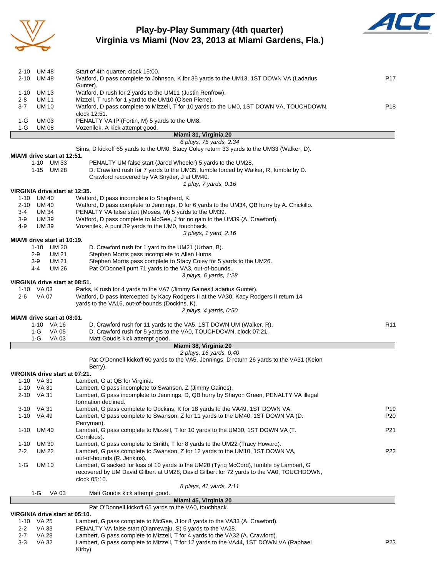

#### **Play-by-Play Summary (4th quarter) Virginia vs Miami (Nov 23, 2013 at Miami Gardens, Fla.)**



| 2-10            | <b>UM 48</b>                       | Start of 4th quarter, clock 15:00.                                                                                                           |                 |
|-----------------|------------------------------------|----------------------------------------------------------------------------------------------------------------------------------------------|-----------------|
| 2-10            | UM 48                              | Watford, D pass complete to Johnson, K for 35 yards to the UM13, 1ST DOWN VA (Ladarius                                                       | P17             |
|                 |                                    | Gunter).                                                                                                                                     |                 |
| $1 - 10$<br>2-8 | <b>UM13</b><br>UM 11               | Watford, D rush for 2 yards to the UM11 (Justin Renfrow).<br>Mizzell, T rush for 1 yard to the UM10 (Olsen Pierre).                          |                 |
| $3 - 7$         | <b>UM 10</b>                       | Watford, D pass complete to Mizzell, T for 10 yards to the UM0, 1ST DOWN VA, TOUCHDOWN,                                                      | P18             |
|                 |                                    | clock 12:51.                                                                                                                                 |                 |
| 1-G             | <b>UM03</b>                        | PENALTY VA IP (Fortin, M) 5 yards to the UM8.                                                                                                |                 |
| 1-G             | UM 08                              | Vozenilek, A kick attempt good.                                                                                                              |                 |
|                 |                                    | Miami 31, Virginia 20                                                                                                                        |                 |
|                 |                                    | 6 plays, 75 yards, 2:34                                                                                                                      |                 |
|                 | <b>MIAMI</b> drive start at 12:51. | Sims, D kickoff 65 yards to the UM0, Stacy Coley return 33 yards to the UM33 (Walker, D).                                                    |                 |
|                 | 1-10 UM 33                         | PENALTY UM false start (Jared Wheeler) 5 yards to the UM28.                                                                                  |                 |
|                 | 1-15 UM 28                         | D. Crawford rush for 7 yards to the UM35, fumble forced by Walker, R, fumble by D.                                                           |                 |
|                 |                                    | Crawford recovered by VA Snyder, J at UM40.                                                                                                  |                 |
|                 |                                    | 1 play, 7 yards, 0:16                                                                                                                        |                 |
|                 | VIRGINIA drive start at 12:35.     |                                                                                                                                              |                 |
| 1-10            | UM 40                              | Watford, D pass incomplete to Shepherd, K.<br>Watford, D pass complete to Jennings, D for 6 yards to the UM34, QB hurry by A. Chickillo.     |                 |
| 3-4             | 2-10 UM 40<br>UM 34                | PENALTY VA false start (Moses, M) 5 yards to the UM39.                                                                                       |                 |
| $3-9$           | UM 39                              | Watford, D pass complete to McGee, J for no gain to the UM39 (A. Crawford).                                                                  |                 |
| 4-9             | UM 39                              | Vozenilek, A punt 39 yards to the UM0, touchback.                                                                                            |                 |
|                 |                                    | 3 plays, 1 yard, 2:16                                                                                                                        |                 |
|                 | MIAMI drive start at 10:19.        |                                                                                                                                              |                 |
|                 | 1-10<br>UM 20                      | D. Crawford rush for 1 yard to the UM21 (Urban, B).                                                                                          |                 |
|                 | <b>UM 21</b><br>2-9                | Stephen Morris pass incomplete to Allen Hurns.                                                                                               |                 |
|                 | 3-9<br>UM 21                       | Stephen Morris pass complete to Stacy Coley for 5 yards to the UM26.                                                                         |                 |
|                 | UM 26<br>4-4                       | Pat O'Donnell punt 71 yards to the VA3, out-of-bounds.<br>3 plays, 6 yards, 1:28                                                             |                 |
|                 | VIRGINIA drive start at 08:51.     |                                                                                                                                              |                 |
|                 | 1-10 VA 03                         | Parks, K rush for 4 yards to the VA7 (Jimmy Gaines; Ladarius Gunter).                                                                        |                 |
| 2-6             | VA 07                              | Watford, D pass intercepted by Kacy Rodgers II at the VA30, Kacy Rodgers II return 14                                                        |                 |
|                 |                                    | yards to the VA16, out-of-bounds (Dockins, K).                                                                                               |                 |
|                 |                                    | 2 plays, 4 yards, 0:50                                                                                                                       |                 |
|                 | MIAMI drive start at 08:01.        |                                                                                                                                              |                 |
|                 | 1-10 VA 16<br>1-G<br>VA 05         | D. Crawford rush for 11 yards to the VA5, 1ST DOWN UM (Walker, R).<br>D. Crawford rush for 5 yards to the VA0, TOUCHDOWN, clock 07:21.       | R <sub>11</sub> |
|                 | $1-G$<br>VA 03                     | Matt Goudis kick attempt good.                                                                                                               |                 |
|                 |                                    | Miami 38, Virginia 20                                                                                                                        |                 |
|                 |                                    | 2 plays, 16 yards, 0:40                                                                                                                      |                 |
|                 |                                    | Pat O'Donnell kickoff 60 yards to the VA5, Jennings, D return 26 yards to the VA31 (Keion                                                    |                 |
|                 |                                    |                                                                                                                                              |                 |
|                 |                                    | Berry).                                                                                                                                      |                 |
|                 |                                    | VIRGINIA drive start at 07:21.                                                                                                               |                 |
|                 | 1-10 VA 31                         | Lambert, G at QB for Virginia.                                                                                                               |                 |
| 1-10            | VA 31                              | Lambert, G pass incomplete to Swanson, Z (Jimmy Gaines).                                                                                     |                 |
| 2-10            | VA 31                              | Lambert, G pass incomplete to Jennings, D, QB hurry by Shayon Green, PENALTY VA illegal<br>formation declined.                               |                 |
|                 | 3-10 VA 31                         | Lambert, G pass complete to Dockins, K for 18 yards to the VA49, 1ST DOWN VA.                                                                | P19             |
| $1 - 10$        | VA 49                              | Lambert, G pass complete to Swanson, Z for 11 yards to the UM40, 1ST DOWN VA (D.                                                             | P <sub>20</sub> |
|                 |                                    | Perryman).                                                                                                                                   |                 |
| $1 - 10$        | <b>UM 40</b>                       | Lambert, G pass complete to Mizzell, T for 10 yards to the UM30, 1ST DOWN VA (T.                                                             | P21             |
|                 |                                    | Cornileus).                                                                                                                                  |                 |
| 1-10            | <b>UM30</b>                        | Lambert, G pass complete to Smith, T for 8 yards to the UM22 (Tracy Howard).                                                                 |                 |
| 2-2             | UM 22                              | Lambert, G pass complete to Swanson, Z for 12 yards to the UM10, 1ST DOWN VA,                                                                | P <sub>22</sub> |
| 1-G             | <b>UM 10</b>                       | out-of-bounds (R. Jenkins).<br>Lambert, G sacked for loss of 10 yards to the UM20 (Tyrig McCord), fumble by Lambert, G                       |                 |
|                 |                                    | recovered by UM David Gilbert at UM28, David Gilbert for 72 yards to the VA0, TOUCHDOWN,                                                     |                 |
|                 |                                    | clock 05:10.                                                                                                                                 |                 |
|                 |                                    | 8 plays, 41 yards, 2:11                                                                                                                      |                 |
|                 | 1-G<br>VA 03                       | Matt Goudis kick attempt good.                                                                                                               |                 |
|                 |                                    | Miami 45, Virginia 20                                                                                                                        |                 |
|                 | VIRGINIA drive start at 05:10.     | Pat O'Donnell kickoff 65 yards to the VA0, touchback.                                                                                        |                 |
| 1-10            | VA 25                              | Lambert, G pass complete to McGee, J for 8 yards to the VA33 (A. Crawford).                                                                  |                 |
| $2 - 2$<br>2-7  | VA 33<br><b>VA 28</b>              | PENALTY VA false start (Olanrewaju, S) 5 yards to the VA28.<br>Lambert, G pass complete to Mizzell, T for 4 yards to the VA32 (A. Crawford). |                 |

3-3 VA 32 Lambert, G pass complete to Mizzell, T for 12 yards to the VA44, 1ST DOWN VA (Raphael P23

Kirby).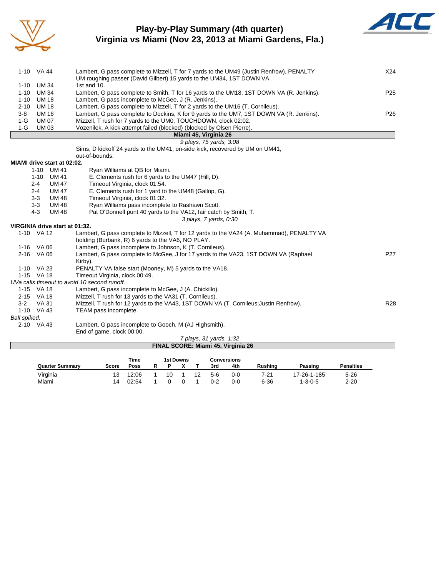

#### **Play-by-Play Summary (4th quarter) Virginia vs Miami (Nov 23, 2013 at Miami Gardens, Fla.)**



|              | 1-10 VA 44                     | Lambert, G pass complete to Mizzell, T for 7 yards to the UM49 (Justin Renfrow), PENALTY<br>UM roughing passer (David Gilbert) 15 yards to the UM34, 1ST DOWN VA. | X24             |
|--------------|--------------------------------|-------------------------------------------------------------------------------------------------------------------------------------------------------------------|-----------------|
| $1 - 10$     | <b>UM 34</b>                   | 1st and 10.                                                                                                                                                       |                 |
| $1 - 10$     | UM 34                          | Lambert, G pass complete to Smith, T for 16 yards to the UM18, 1ST DOWN VA (R. Jenkins).                                                                          | P <sub>25</sub> |
| $1 - 10$     | <b>UM 18</b>                   | Lambert, G pass incomplete to McGee, J (R. Jenkins).                                                                                                              |                 |
| $2 - 10$     | <b>UM 18</b>                   | Lambert, G pass complete to Mizzell, T for 2 yards to the UM16 (T. Cornileus).                                                                                    |                 |
| $3-8$        | <b>UM 16</b>                   | Lambert, G pass complete to Dockins, K for 9 yards to the UM7, 1ST DOWN VA (R. Jenkins).                                                                          | P <sub>26</sub> |
| $1-G$        | <b>UM 07</b>                   | Mizzell, T rush for 7 yards to the UM0, TOUCHDOWN, clock 02:02.                                                                                                   |                 |
| $1-G$        | <b>UM03</b>                    | Vozenilek, A kick attempt failed (blocked) (blocked by Olsen Pierre).                                                                                             |                 |
|              |                                | Miami 45, Virginia 26                                                                                                                                             |                 |
|              |                                | 9 plays, 75 yards, 3:08                                                                                                                                           |                 |
|              |                                | Sims, D kickoff 24 yards to the UM41, on-side kick, recovered by UM on UM41,                                                                                      |                 |
|              |                                | out-of-bounds.                                                                                                                                                    |                 |
|              | MIAMI drive start at 02:02.    |                                                                                                                                                                   |                 |
|              | $1 - 10$<br>UM 41              | Ryan Williams at QB for Miami.                                                                                                                                    |                 |
|              | $1 - 10$<br>UM 41              | E. Clements rush for 6 yards to the UM47 (Hill, D).                                                                                                               |                 |
|              | $2 - 4$<br><b>UM 47</b>        | Timeout Virginia, clock 01:54.                                                                                                                                    |                 |
|              | $2 - 4$<br><b>UM 47</b>        | E. Clements rush for 1 yard to the UM48 (Gallop, G).                                                                                                              |                 |
|              | $3 - 3$<br><b>UM 48</b>        | Timeout Virginia, clock 01:32.                                                                                                                                    |                 |
|              | $3-3$<br><b>UM 48</b>          | Ryan Williams pass incomplete to Rashawn Scott.                                                                                                                   |                 |
|              | $4 - 3$<br><b>UM 48</b>        | Pat O'Donnell punt 40 yards to the VA12, fair catch by Smith, T.                                                                                                  |                 |
|              |                                | 3 plays, 7 yards, 0:30                                                                                                                                            |                 |
|              | VIRGINIA drive start at 01:32. |                                                                                                                                                                   |                 |
|              | 1-10 VA 12                     | Lambert, G pass complete to Mizzell, T for 12 yards to the VA24 (A. Muhammad), PENALTY VA<br>holding (Burbank, R) 6 yards to the VA6, NO PLAY.                    |                 |
|              | 1-16 VA 06                     | Lambert, G pass incomplete to Johnson, K (T. Cornileus).                                                                                                          |                 |
|              | 2-16 VA 06                     | Lambert, G pass complete to McGee, J for 17 yards to the VA23, 1ST DOWN VA (Raphael                                                                               | P <sub>27</sub> |
|              |                                | Kirby).                                                                                                                                                           |                 |
|              | 1-10 VA 23                     | PENALTY VA false start (Mooney, M) 5 yards to the VA18.                                                                                                           |                 |
|              | 1-15 VA 18                     | Timeout Virginia, clock 00:49.                                                                                                                                    |                 |
|              |                                | UVa calls timeout to avoid 10 second runoff.                                                                                                                      |                 |
|              | 1-15 VA 18                     | Lambert, G pass incomplete to McGee, J (A. Chickillo).                                                                                                            |                 |
|              | 2-15 VA 18                     | Mizzell, T rush for 13 yards to the VA31 (T. Cornileus).                                                                                                          |                 |
| $3 - 2$      | VA 31                          | Mizzell, T rush for 12 yards to the VA43, 1ST DOWN VA (T. Cornileus; Justin Renfrow).                                                                             | <b>R28</b>      |
|              | 1-10 VA 43                     | TEAM pass incomplete.                                                                                                                                             |                 |
| Ball spiked. |                                |                                                                                                                                                                   |                 |
|              | 2-10 VA 43                     | Lambert, G pass incomplete to Gooch, M (AJ Highsmith).                                                                                                            |                 |
|              |                                | End of game, clock 00:00.                                                                                                                                         |                 |
|              |                                | $7$ plays 21 vards $1.22$                                                                                                                                         |                 |

| 7 plays, 31 yards, 1:32            |  |
|------------------------------------|--|
| FINAL SCORE: Miami 45, Virginia 26 |  |
|                                    |  |

|                        |                       | Time  | 1st Downs |  |  | Conversions |     |                |                 |                  |
|------------------------|-----------------------|-------|-----------|--|--|-------------|-----|----------------|-----------------|------------------|
| <b>Quarter Summary</b> | Score                 | Poss  |           |  |  | 3rd         | 4th | <b>Rushing</b> | Passing         | <b>Penalties</b> |
| Virginia               |                       | 12:06 | 10        |  |  | 5-6         | 0-0 | 7-21           | 17-26-1-185     | $5 - 26$         |
| Miami                  | $\boldsymbol{\Delta}$ | 02:54 |           |  |  | 0-2         | 0-0 | $6 - 36$       | $1 - 3 - 0 - 5$ | $2 - 20$         |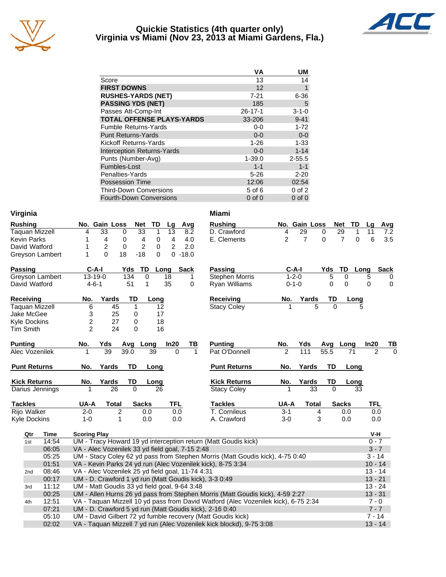

#### **Quickie Statistics (4th quarter only) Virginia vs Miami (Nov 23, 2013 at Miami Gardens, Fla.)**



|                                   | VA            | UM          |
|-----------------------------------|---------------|-------------|
| Score                             | 13            | 14          |
| <b>FIRST DOWNS</b>                | 12            | 1           |
| <b>RUSHES-YARDS (NET)</b>         | $7 - 21$      | $6 - 36$    |
| <b>PASSING YDS (NET)</b>          | 185           | 5           |
| Passes Att-Comp-Int               | $26 - 17 - 1$ | $3 - 1 - 0$ |
| <b>TOTAL OFFENSE PLAYS-YARDS</b>  | 33-206        | $9 - 41$    |
| <b>Fumble Returns-Yards</b>       | $0-0$         | $1 - 72$    |
| <b>Punt Returns-Yards</b>         | $0 - 0$       | $0 - 0$     |
| Kickoff Returns-Yards             | $1 - 26$      | $1 - 33$    |
| <b>Interception Returns-Yards</b> | $0 - 0$       | $1 - 14$    |
| Punts (Number-Avg)                | $1 - 39.0$    | $2 - 55.5$  |
| Fumbles-Lost                      | $1 - 1$       | $1 - 1$     |
| Penalties-Yards                   | $5 - 26$      | $2 - 20$    |
| <b>Possession Time</b>            | 12:06         | 02:54       |
| <b>Third-Down Conversions</b>     | 5 of 6        | $0$ of $2$  |
| <b>Fourth-Down Conversions</b>    | $0$ of $0$    | $0$ of $0$  |

| Virginia         |                                                                 |             |                                                  |                |                  |                                 |                 |             | <b>Miami</b>                                                                  |                |               |           |                  |            |             |
|------------------|-----------------------------------------------------------------|-------------|--------------------------------------------------|----------------|------------------|---------------------------------|-----------------|-------------|-------------------------------------------------------------------------------|----------------|---------------|-----------|------------------|------------|-------------|
| <b>Rushing</b>   |                                                                 |             |                                                  | No. Gain Loss  |                  | <b>Net</b><br>TD                | Lg              | Avg         | <b>Rushing</b>                                                                |                | No. Gain Loss |           | <b>Net</b><br>TD | La         | Avg         |
|                  | Taquan Mizzell                                                  |             | 4                                                | 33             | 0                | $\overline{33}$<br>$\mathbf{1}$ | $\overline{13}$ | 8.2         | D. Crawford                                                                   | 4              | 29            | 0         | 29<br>1          | 11         | 7.2         |
|                  | <b>Kevin Parks</b>                                              |             | 1                                                | 4              | 0                | $\overline{4}$<br>0             | 4               | 4.0         | E. Clements                                                                   | 2              | 7             | 0         | 7<br>0           | 6          | 3.5         |
|                  | David Watford                                                   |             | 1                                                | $\overline{c}$ | $\mathbf 0$      | 2<br>0                          | 2               | 2.0         |                                                                               |                |               |           |                  |            |             |
|                  | Greyson Lambert                                                 |             | 1                                                | $\Omega$       | 18               | $-18$<br>$\Omega$               |                 | $0 - 18.0$  |                                                                               |                |               |           |                  |            |             |
| <b>Passing</b>   |                                                                 |             | $C-A-I$                                          |                | Yds              | TD                              | Long            | <b>Sack</b> | Passing                                                                       | $C-A-I$        |               | Yds       | TD               | Long       | <b>Sack</b> |
|                  | Greyson Lambert                                                 |             | $13 - 19 - 0$                                    |                | $\overline{134}$ | $\overline{0}$                  | 18              | 1           | <b>Stephen Morris</b>                                                         | $1 - 2 - 0$    |               | 5         | 0                | 5          | $\mathbf 0$ |
|                  | David Watford                                                   |             | $4 - 6 - 1$                                      |                | 51               | 1                               | 35              | 0           | Ryan Williams                                                                 | $0 - 1 - 0$    |               | 0         | 0                | 0          | $\mathbf 0$ |
| <b>Receiving</b> |                                                                 |             | No.                                              | Yards          | TD               | Long                            |                 |             | <b>Receiving</b>                                                              | No.            | Yards         | TD        | Long             |            |             |
|                  | <b>Taquan Mizzell</b>                                           |             | 6                                                | 45             | 1                | 12                              |                 |             | <b>Stacy Coley</b>                                                            |                | 5             | $\Omega$  |                  | 5          |             |
|                  | Jake McGee                                                      |             | 3                                                | 25             | 0                | 17                              |                 |             |                                                                               |                |               |           |                  |            |             |
|                  | <b>Kyle Dockins</b>                                             |             | $\overline{\mathbf{c}}$                          | 27             | 0                | 18                              |                 |             |                                                                               |                |               |           |                  |            |             |
| <b>Tim Smith</b> |                                                                 |             | $\mathcal{P}$                                    | 24             | $\Omega$         | 16                              |                 |             |                                                                               |                |               |           |                  |            |             |
| <b>Punting</b>   |                                                                 |             | No.                                              | Yds            |                  | Avg Long                        | In20            | ΤВ          | <b>Punting</b>                                                                | No.            | Yds           | Avg       | Long             | In20       | ТВ          |
|                  | Alec Vozenilek                                                  |             | 1                                                | 39             | 39.0             | 39                              | 0               | 1           | Pat O'Donnell                                                                 | $\overline{2}$ | 111           | 55.5      | 71               |            | 2<br>0      |
|                  | <b>Punt Returns</b>                                             |             | No.                                              | Yards          | TD               | Long                            |                 |             | <b>Punt Returns</b>                                                           | No.            | Yards         | TD        | Long             |            |             |
|                  | <b>Kick Returns</b>                                             |             | No.                                              | Yards          | TD               | Long                            |                 |             | <b>Kick Returns</b>                                                           | No.            | Yards         | TD        | Long             |            |             |
|                  | Darius Jennings                                                 |             | 1                                                | 26             | $\Omega$         | 26                              |                 |             | <b>Stacy Coley</b>                                                            | 1              | 33            | $\Omega$  | 33               |            |             |
| <b>Tackles</b>   |                                                                 |             | UA-A                                             | <b>Total</b>   |                  | <b>Sacks</b>                    | <b>TFL</b>      |             | <b>Tackles</b>                                                                | UA-A           | <b>Total</b>  |           | <b>Sacks</b>     | <b>TFL</b> |             |
|                  | <b>Rijo Walker</b>                                              |             | $2 - 0$                                          |                | $\overline{2}$   | 0.0                             | 0.0             |             | T. Cornileus                                                                  | $3 - 1$        | 4             |           | 0.0              |            | 0.0         |
|                  | <b>Kyle Dockins</b>                                             |             | $1 - 0$                                          |                | 1                | 0.0                             | 0.0             |             | A. Crawford                                                                   | $3-0$          | 3             |           | 0.0              |            | 0.0         |
|                  | Qtr                                                             | <b>Time</b> | <b>Scoring Play</b>                              |                |                  |                                 |                 |             |                                                                               |                |               |           |                  | V-H        |             |
|                  | 1st                                                             | 14:54       |                                                  |                |                  |                                 |                 |             | UM - Tracy Howard 19 yd interception return (Matt Goudis kick)                |                |               |           |                  |            | $0 - 7$     |
|                  |                                                                 | 06:05       | VA - Alec Vozenilek 33 yd field goal, 7-15 2:48  |                |                  |                                 |                 |             |                                                                               |                |               |           |                  |            | $3 - 7$     |
|                  |                                                                 | 05:25       |                                                  |                |                  |                                 |                 |             | UM - Stacy Coley 62 yd pass from Stephen Morris (Matt Goudis kick), 4-75 0:40 |                |               |           |                  | $3 - 14$   |             |
|                  |                                                                 | 01:51       |                                                  |                |                  |                                 |                 |             | VA - Kevin Parks 24 yd run (Alec Vozenilek kick), 8-75 3:34                   |                |               |           |                  |            | $10 - 14$   |
|                  | 2 <sub>nd</sub>                                                 | 08:46       | VA - Alec Vozenilek 25 yd field goal, 11-74 4:31 |                |                  |                                 |                 |             |                                                                               |                |               |           |                  |            | $13 - 14$   |
|                  | 00:17<br>UM - D. Crawford 1 yd run (Matt Goudis kick), 3-3 0:49 |             |                                                  |                |                  |                                 |                 |             |                                                                               |                |               | $13 - 21$ |                  |            |             |
|                  | 3rd                                                             | 11:12       | UM - Matt Goudis 33 yd field goal, 9-64 3:48     |                |                  |                                 |                 |             |                                                                               |                |               |           |                  |            | $13 - 24$   |
|                  |                                                                 | 00:25       |                                                  |                |                  |                                 |                 |             | UM - Allen Hurns 26 yd pass from Stephen Morris (Matt Goudis kick), 4-59 2:27 |                |               |           |                  | $13 - 31$  |             |

4th 12:51 VA - Taquan Mizzell 10 yd pass from David Watford (Alec Vozenilek kick), 6-75 2:34 7 - 0 07:21 UM - D. Crawford 5 yd run (Matt Goudis kick), 2-16 0:40 7 - 7 - 7 - 7 - 7 - 7 - 7 - 7 - 7 - 7 05:10 UM - David Gilbert 72 yd fumble recovery (Matt Goudis kick) 7 - 14 02:02 VA - Taquan Mizzell 7 yd run (Alec Vozenilek kick blockd), 9-75 3:08 13 - 14 13 - 14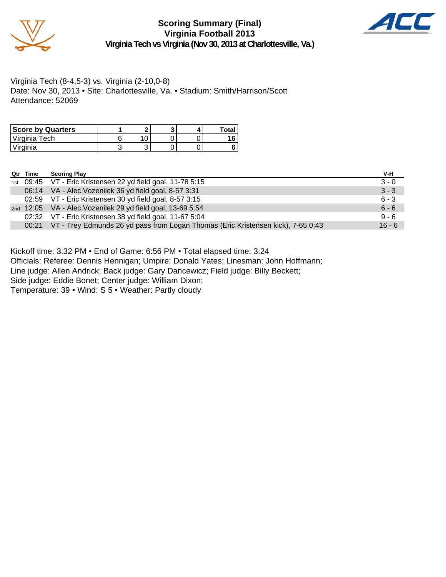



Virginia Tech (8-4,5-3) vs. Virginia (2-10,0-8) Date: Nov 30, 2013 • Site: Charlottesville, Va. • Stadium: Smith/Harrison/Scott Attendance: 52069

| <b>Score by Quarters</b> |   |   |  | Total |
|--------------------------|---|---|--|-------|
| Virginia Tech            |   |   |  |       |
| <i>v</i> irginia         | ັ | ື |  |       |

| Qtr Time | <b>Scoring Play</b>                                                                    | V-H      |
|----------|----------------------------------------------------------------------------------------|----------|
|          | 1st 09:45 VT - Eric Kristensen 22 yd field goal, 11-78 5:15                            | $3 - 0$  |
|          | 06:14 VA - Alec Vozenilek 36 yd field goal, 8-57 3:31                                  | $3 - 3$  |
|          | 02:59 VT - Eric Kristensen 30 yd field goal, 8-57 3:15                                 | $6 - 3$  |
|          | 2nd 12:05 VA - Alec Vozenilek 29 yd field goal, 13-69 5:54                             | $6 - 6$  |
|          | 02:32 VT - Eric Kristensen 38 yd field goal, 11-67 5:04                                | $9 - 6$  |
|          | 00:21 VT - Trey Edmunds 26 yd pass from Logan Thomas (Eric Kristensen kick), 7-65 0:43 | $16 - 6$ |

Kickoff time: 3:32 PM • End of Game: 6:56 PM • Total elapsed time: 3:24

Officials: Referee: Dennis Hennigan; Umpire: Donald Yates; Linesman: John Hoffmann;

Line judge: Allen Andrick; Back judge: Gary Dancewicz; Field judge: Billy Beckett;

Side judge: Eddie Bonet; Center judge: William Dixon;

Temperature: 39 • Wind: S 5 • Weather: Partly cloudy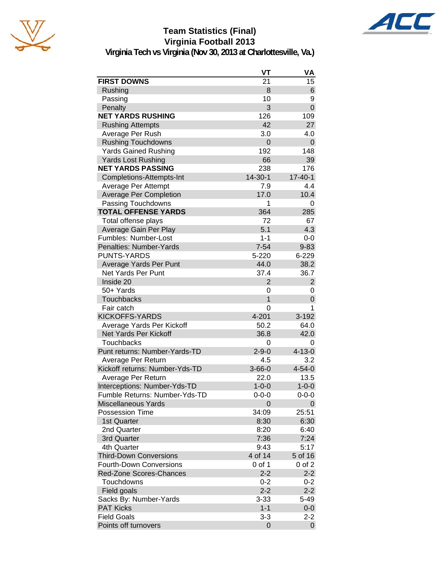

# **Team Statistics (Final) Virginia Football 2013**



|                                | VT             | VA             |
|--------------------------------|----------------|----------------|
| <b>FIRST DOWNS</b>             | 21             | 15             |
| Rushing                        | 8              | 6              |
| Passing                        | 10             | 9              |
| Penalty                        | 3              | 0              |
| <b>NET YARDS RUSHING</b>       | 126            | 109            |
| <b>Rushing Attempts</b>        | 42             | 27             |
| Average Per Rush               | 3.0            | 4.0            |
| <b>Rushing Touchdowns</b>      | 0              | 0              |
| <b>Yards Gained Rushing</b>    | 192            | 148            |
| <b>Yards Lost Rushing</b>      | 66             | 39             |
| <b>NET YARDS PASSING</b>       | 238            | 176            |
| Completions-Attempts-Int       | $14 - 30 - 1$  | $17 - 40 - 1$  |
| Average Per Attempt            | 7.9            | 4.4            |
| <b>Average Per Completion</b>  | 17.0           | 10.4           |
| Passing Touchdowns             | 1              | 0              |
| <b>TOTAL OFFENSE YARDS</b>     | 364            | 285            |
| Total offense plays            | 72             | 67             |
| Average Gain Per Play          | 5.1            | 4.3            |
| Fumbles: Number-Lost           | $1 - 1$        | 0-0            |
| Penalties: Number-Yards        | $7 - 54$       | $9 - 83$       |
| <b>PUNTS-YARDS</b>             | 5-220          | 6-229          |
| Average Yards Per Punt         | 44.0           | 38.2           |
| <b>Net Yards Per Punt</b>      | 37.4           | 36.7           |
| Inside 20                      | $\overline{2}$ | $\overline{2}$ |
| 50+ Yards                      | 0              | 0              |
| <b>Touchbacks</b>              | 1              | 0              |
| Fair catch                     | 0              | 1              |
| <b>KICKOFFS-YARDS</b>          | 4-201          | 3-192          |
| Average Yards Per Kickoff      | 50.2           | 64.0           |
| Net Yards Per Kickoff          | 36.8           | 42.0           |
| <b>Touchbacks</b>              | 0              | 0              |
| Punt returns: Number-Yards-TD  | $2 - 9 - 0$    | $4 - 13 - 0$   |
| Average Per Return             | 4.5            | 3.2            |
| Kickoff returns: Number-Yds-TD | $3 - 66 - 0$   | $4 - 54 - 0$   |
| Average Per Return             | 22.0           | 13.5           |
| Interceptions: Number-Yds-TD   | $1 - 0 - 0$    | $1 - 0 - 0$    |
| Fumble Returns: Number-Yds-TD  | 0-0-0          | $0 - 0 - 0$    |
| <b>Miscellaneous Yards</b>     | 0              | 0              |
| <b>Possession Time</b>         | 34:09          | 25:51          |
| 1st Quarter                    | 8:30           | 6:30           |
| 2nd Quarter                    | 8:20           | 6:40           |
| 3rd Quarter                    | 7:36           | 7:24           |
| 4th Quarter                    | 9:43           | 5:17           |
| <b>Third-Down Conversions</b>  | 4 of 14        | 5 of 16        |
| <b>Fourth-Down Conversions</b> | 0 of 1         | 0 of 2         |
| <b>Red-Zone Scores-Chances</b> | $2 - 2$        | $2 - 2$        |
| Touchdowns                     | $0 - 2$        | 0-2            |
| Field goals                    | $2 - 2$        | $2 - 2$        |
| Sacks By: Number-Yards         | $3 - 33$       | 5-49           |
| <b>PAT Kicks</b>               | $1 - 1$        | $0-0$          |
| <b>Field Goals</b>             | $3-3$          | $2 - 2$        |
| Points off turnovers           | 0              | $\mathbf 0$    |
|                                |                |                |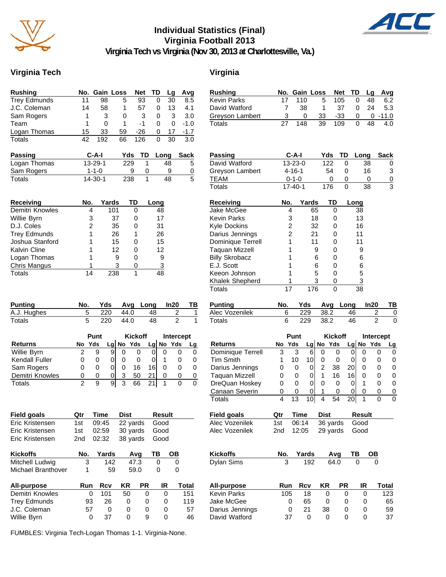

## **Individual Statistics (Final) Virginia Football 2013**



**Virginia Tech vs Virginia (Nov 30, 2013 at Charlottesville, Va.)**

#### **Virginia Tech Virginia**

| <b>Rushing</b>              | No.                     | Gain Loss     |       |           | <b>Net</b>     | TD   | Lg            |           | Avg            |
|-----------------------------|-------------------------|---------------|-------|-----------|----------------|------|---------------|-----------|----------------|
| <b>Trey Edmunds</b>         | 11                      | 98            |       | 5         | 93             | 0    |               | 30        | 8.5            |
| J.C. Coleman                | 14                      | 58            |       | 1         | 57             | 0    |               | 13        | 4.1            |
| Sam Rogers                  | 1                       | 3             |       | 0         | 3              | 0    |               | 3         | 3.0            |
| Team                        | 1                       | 0             |       | 1         | $-1$           |      | 0             | 0         | $-1.0$         |
| Logan Thomas                | 15                      | 33            |       | 59        | $-26$          |      | 0             | 17        | $-1.7$         |
| <b>Totals</b>               | 42                      | 192           |       | 66        | 126            | 0    |               | 30        | 3.0            |
| Passing                     |                         | $C-A-I$       |       | Yds       | TD             |      | Long          |           | Sack           |
| Logan Thomas                |                         | 13-29-1       |       | 229       | 1              |      | 48            |           | 5              |
| Sam Rogers                  |                         | $1 - 1 - 0$   |       | 9         | 0              |      | 9             |           | $\overline{0}$ |
| Totals                      |                         | $14 - 30 - 1$ |       | 238       | 1              |      | 48            |           | $\overline{5}$ |
|                             |                         |               |       |           |                |      |               |           |                |
| <b>Receiving</b>            | No.                     |               | Yards | TD        |                | Long |               |           |                |
| Demitri Knowles             | 4                       |               | 101   |           | 0              |      | 48            |           |                |
| Willie Byrn                 |                         | 3             | 37    |           | 0              |      | 17            |           |                |
| D.J. Coles                  | $\overline{\mathbf{c}}$ |               | 35    |           | 0              |      | 31            |           |                |
| <b>Trey Edmunds</b>         |                         | 1             | 26    |           | 1              |      | 26            |           |                |
| Joshua Stanford             |                         | 1             | 15    |           | 0              |      | 15            |           |                |
| Kalvin Cline                | 1                       |               | 12    |           | 0              |      | 12            |           |                |
| Logan Thomas                |                         | 1             | 9     |           | 0              |      | 9             |           |                |
| Chris Mangus                |                         | 1             | 3     |           | 0              |      | 3             |           |                |
| <b>Totals</b>               | 14                      |               | 238   |           | 1              |      | 48            |           |                |
|                             |                         |               |       |           |                |      |               |           |                |
|                             |                         |               |       |           |                |      |               |           |                |
|                             |                         |               |       |           |                |      |               |           |                |
| <b>Punting</b>              | No.                     | Yds           |       | Avg       |                | Long |               | ln20      | ТВ             |
| A.J. Hughes                 | 5                       | 220           |       | 44.0      |                | 48   |               | 2         | 1              |
| <b>Totals</b>               | 5                       | 220           |       | 44.0      |                | 48   |               | 2         | 1              |
|                             |                         | Punt          |       |           | <b>Kickoff</b> |      |               | Intercept |                |
| <b>Returns</b>              | No                      | Yds           |       | Lg No Yds |                |      | Lg No         | Yds       | <u>Lg</u>      |
| Willie Byrn                 | 2                       | 9             |       |           |                |      | 0             | 0         | 0              |
|                             |                         |               |       |           |                |      |               |           |                |
|                             |                         |               | 9     | 0         | 0              | 0    |               |           |                |
| Kendall Fuller              | 0                       | 0             | 0     | 0         | 0              | 0    | 1             | 0         | 0              |
| Sam Rogers                  | 0                       | 0             | 0     | 0         | 16             | 16   | 0             | 0         | 0              |
| Demitri Knowles             | 0                       | 0             | 0     | 3         | 50             | 21   | 0             | 0         | 0              |
| Totals                      | $\overline{2}$          | 9             | 9     | 3         | 66             | 21   | 1             | 0         | 0              |
|                             |                         |               |       |           |                |      |               |           |                |
|                             |                         |               |       |           |                |      |               |           |                |
| Field goals                 | <u>Qtr</u>              | <b>Time</b>   |       | Dist      |                |      | <b>Result</b> |           |                |
| Eric Kristensen             | 1st                     | 09:45         |       | 22 yards  |                |      | Good          |           |                |
| Eric Kristensen             | 1st                     | 02:59         |       | 30 yards  |                |      | Good          |           |                |
| Eric Kristensen             | 2nd                     | 02:32         |       | 38 yards  |                |      | Good          |           |                |
|                             |                         |               |       |           |                |      |               |           |                |
| <b>Kickoffs</b>             | No.                     | Yards         |       |           | Avg            | TB   |               | OВ        |                |
| Mitchell Ludwig             | 3                       |               | 142   |           | 47.3           |      | 0             | 0         |                |
| Michael Branthover          | 1                       |               | 59    |           | 59.0           | 0    |               | 0         |                |
|                             | Run                     |               |       |           |                |      | IR            |           |                |
| All-purpose                 |                         | Rcv           |       | KR        | PR             |      |               |           | <b>Total</b>   |
| Demitri Knowles             | 0                       | 101           |       | 50        | 0              |      | 0             |           | 151            |
| <b>Trey Edmunds</b>         | 93                      | 26            |       | 0         | 0              |      | 0             |           | 119            |
| J.C. Coleman<br>Willie Byrn | 57<br>0                 | 37            | 0     | 0<br>0    | 0<br>9         |      | 0<br>0        |           | 57<br>46       |

| <b>Rushing</b>        | No.        | Gain Loss      |       |                | <b>Net</b>     | TD   |                | Lg             | Avg                     |
|-----------------------|------------|----------------|-------|----------------|----------------|------|----------------|----------------|-------------------------|
| <b>Kevin Parks</b>    | 17         | 110            |       | 5              | 105            |      | 0              | 48             | 6.2                     |
| David Watford         | 7          | 38             |       | 1              | 37             |      | 0              | 24             | 5.3                     |
| Greyson Lambert       | 3          | 0              |       | 33             | $-33$          |      | 0              | 0              | $-11.0$                 |
| Totals                | 27         | 148            |       | 39             | 109            |      | 0              | 48             | 4.0                     |
|                       |            |                |       |                |                |      |                |                |                         |
| <b>Passing</b>        |            | C-A-I          |       | Yds            | TD             |      | Long           |                | <b>Sack</b>             |
| David Watford         |            | 13-23-0        |       | 122            |                | 0    | 38             |                | 0                       |
| Greyson Lambert       |            | $4 - 16 - 1$   |       | 54             |                | 0    |                | 16             | 3                       |
| <b>TEAM</b>           |            | $0 - 1 - 0$    |       | 0              |                | 0    |                | 0              | $\overline{0}$          |
| Totals                |            | $17 - 40 - 1$  |       | 176            |                | 0    | 38             |                | $\overline{\mathbf{3}}$ |
| <b>Receiving</b>      | No.        |                | Yards |                | TD             | Long |                |                |                         |
| Jake McGee            |            | 4              | 65    |                | 0              |      | 38             |                |                         |
| <b>Kevin Parks</b>    |            | 3              | 18    |                | 0              |      | 13             |                |                         |
| <b>Kyle Dockins</b>   |            | $\overline{c}$ | 32    |                | 0              |      | 16             |                |                         |
| Darius Jennings       |            | $\overline{c}$ | 21    |                | 0              |      | 11             |                |                         |
| Dominique Terrell     |            | 1              | 11    |                | 0              |      | 11             |                |                         |
| <b>Taquan Mizzell</b> |            | 1              | 9     |                | 0              |      | 9              |                |                         |
| <b>Billy Skrobacz</b> |            | 1              | 6     |                | 0              |      | 6              |                |                         |
| E.J. Scott            |            | 1              | 6     |                | 0              |      | 6              |                |                         |
| Keeon Johnson         |            | 1              | 5     |                | 0              |      | 5              |                |                         |
| Khalek Shepherd       |            | 1              | 3     |                | 0              |      | $\overline{3}$ |                |                         |
| <b>Totals</b>         | 17         |                | 176   |                | $\overline{0}$ |      | 38             |                |                         |
|                       |            |                |       |                |                |      |                |                |                         |
| <b>Punting</b>        | No.        | Yds            |       | Avg            |                | Long |                | ln20           | ТВ                      |
| Alec Vozenilek        | 6          | 229            |       | 38.2           |                | 46   |                | 2              | 0                       |
| <b>Totals</b>         | 6          | 229            |       | 38.2           |                | 46   |                | $\overline{2}$ | 0                       |
|                       |            | Punt           |       | <b>Kickoff</b> |                |      |                | Intercept      |                         |
| <b>Returns</b>        | No         | Yds            | Lg    | No             | Yds            |      |                | Lg No Yds      | <b>Lg</b>               |
| Dominique Terrell     | 3          | 3              | 6     | 0              | 0              | 0    | 0              | 0              | 0                       |
| <b>Tim Smith</b>      | 1          | 10             | 10    | 0              | 0              | 0    | 0              | 0              | 0                       |
| Darius Jennings       | 0          | 0              | 0     | 2              | 38             | 20   | 0              | 0              | 0                       |
| <b>Taquan Mizzell</b> | 0          | 0              | 0     | 1              | 16             | 16   | 0              | 0              | 0                       |
| DreQuan Hoskey        | 0          | 0              | 0     | 0              | 0              | 0    | 1              | 0              | 0                       |
| Canaan Severin        | 0          | 0              | 0     | 1              | 0              | 0    | 0              | 0              | 0                       |
| <b>Totals</b>         | 4          | 13             | 10    | 4              | 54             | 20   | 1              | 0              | 0                       |
| <b>Field goals</b>    | <u>Qtr</u> | <b>Time</b>    |       | Dist           |                |      | <b>Result</b>  |                |                         |
| Alec Vozenilek        | 1st        | 06:14          |       | 36 yards       |                |      | Good           |                |                         |
| Alec Vozenilek        | 2nd        | 12:05          |       | 29 yards       |                |      | Good           |                |                         |
|                       |            |                |       |                |                |      |                |                |                         |
| <b>Kickoffs</b>       | No.        | Yards          |       |                | Avg            | TВ   |                | OВ             |                         |
| Dylan Sims            | 3          |                | 192   |                | 64.0           |      | 0              | 0              |                         |
|                       |            |                |       |                |                |      |                |                |                         |
| All-purpose           | Run        | Rcv            |       | ΚR             | <b>PR</b>      |      | IR             |                | Total                   |
| <b>Kevin Parks</b>    | 105        | 18             |       | 0              |                | 0    | 0              |                | 123                     |
| Jake McGee            |            | 0<br>65        |       | 0              |                | 0    | 0              |                | 65                      |
| Darius Jennings       |            | 0<br>21        |       | 38             |                | 0    | 0              |                | 59                      |
| David Watford         | 37         |                | 0     | 0              |                | 0    | 0              |                | 37                      |

FUMBLES: Virginia Tech-Logan Thomas 1-1. Virginia-None.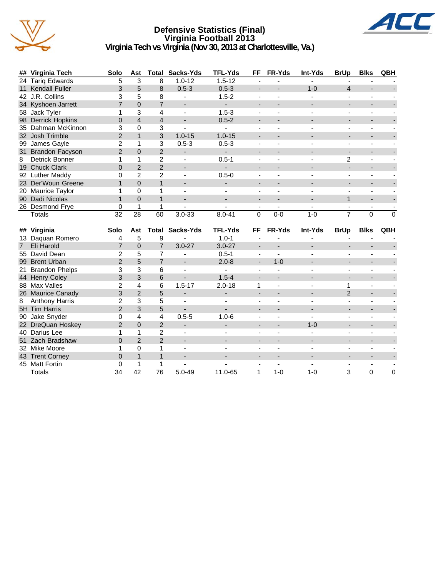

#### **Defensive Statistics (Final) Virginia Football 2013 Virginia Tech vs Virginia (Nov 30, 2013 at Charlottesville, Va.)**



|   | ## Virginia Tech      | Solo           | Ast            | Total          | Sacks-Yds                | TFL-Yds        | FF  | FR-Yds        | Int-Yds | <b>BrUp</b> | <b>Blks</b> | QBH      |
|---|-----------------------|----------------|----------------|----------------|--------------------------|----------------|-----|---------------|---------|-------------|-------------|----------|
|   | 24 Tariq Edwards      | 5              | 3              | 8              | $1.0 - 12$               | $1.5 - 12$     |     |               |         |             |             |          |
|   | 11 Kendall Fuller     | 3              | 5              | 8              | $0.5 - 3$                | $0.5 - 3$      |     |               | $1 - 0$ | 4           |             |          |
|   | 42 J.R. Collins       | 3              | 5              | 8              |                          | $1.5 - 2$      |     |               |         |             |             |          |
|   | 34 Kyshoen Jarrett    |                | $\Omega$       |                | $\overline{\phantom{a}}$ |                |     |               |         |             |             |          |
|   | 58 Jack Tyler         |                | 3              | 4              |                          | $1.5 - 3$      |     |               |         |             |             |          |
|   | 98 Derrick Hopkins    | $\Omega$       | 4              | 4              |                          | $0.5 - 2$      |     |               |         |             |             |          |
|   | 35 Dahman McKinnon    |                | 0              | 3              |                          |                |     |               |         |             |             |          |
|   | 32 Josh Trimble       | 2              |                | 3              | $1.0 - 15$               | $1.0 - 15$     |     |               |         |             |             |          |
|   | 99 James Gayle        | 2              |                | 3              | $0.5 - 3$                | $0.5 - 3$      |     |               |         |             |             |          |
|   | 31 Brandon Facyson    | $\overline{2}$ | 0              | $\overline{2}$ |                          |                |     |               |         |             |             |          |
| 8 | <b>Detrick Bonner</b> |                |                | $\overline{2}$ |                          | $0.5 - 1$      |     |               |         | 2           |             |          |
|   | 19 Chuck Clark        | O              | $\overline{2}$ | $\overline{2}$ |                          |                |     |               |         |             |             |          |
|   | 92 Luther Maddy       |                | 2              | $\overline{2}$ |                          | $0.5 - 0$      |     |               |         |             |             |          |
|   | 23 Der'Woun Greene    |                | 0              |                |                          |                |     |               |         |             |             |          |
|   | 20 Maurice Taylor     |                | 0              |                |                          |                |     |               |         |             |             |          |
|   | 90 Dadi Nicolas       |                | $\Omega$       |                |                          |                |     |               |         |             |             |          |
|   | 26 Desmond Frye       |                |                |                |                          |                |     |               |         |             |             |          |
|   | Totals                | 32             | 28             | 60             | $3.0 - 33$               | $8.0 - 41$     | 0   | $0-0$         | $1 - 0$ | 7           | $\Omega$    | $\Omega$ |
|   | ## Virginia           | Solo           | <b>Ast</b>     |                | <b>Total Sacks-Yds</b>   | <b>TFL-Yds</b> | FF. | <b>FR-Yds</b> | Int-Yds | <b>BrUp</b> | <b>Blks</b> | QBH      |
|   | 13 Daquan Romero      | 4              | 5              | 9              |                          | $1.0 - 1$      |     |               |         |             |             |          |

|              | 13 Daquan Romero      |                | 5              |                |                          | $1.0 - 1$  |   |                          |         |               |          |   |
|--------------|-----------------------|----------------|----------------|----------------|--------------------------|------------|---|--------------------------|---------|---------------|----------|---|
| $\mathbf{7}$ | Eli Harold            |                | $\Omega$       |                | $3.0 - 27$               | $3.0 - 27$ |   |                          |         |               |          |   |
|              | 55 David Dean         | 2              | 5              |                |                          | $0.5 - 1$  |   |                          |         |               |          |   |
|              | 99 Brent Urban        | $\overline{2}$ | 5              | 7              | $\overline{\phantom{0}}$ | $2.0 - 8$  | ٠ | $1 - 0$                  | -       |               |          |   |
|              | 21 Brandon Phelps     | 3              | 3              | 6              |                          |            |   |                          |         |               |          |   |
|              | 44 Henry Coley        | 3              | 3              | 6              |                          | $1.5 - 4$  |   | $\overline{\phantom{a}}$ |         |               |          |   |
|              | 88 Max Valles         | 2              | 4              | 6              | $1.5 - 17$               | $2.0 - 18$ |   | ۰                        |         |               |          |   |
|              | 26 Maurice Canady     | 3              | $\overline{2}$ | 5              |                          |            |   |                          |         | $\mathcal{P}$ |          |   |
| 8            | <b>Anthony Harris</b> | 2              | 3              | 5              |                          |            |   |                          |         |               |          |   |
|              | 5H Tim Harris         | $\mathcal{P}$  | 3              | 5              | -                        |            |   |                          |         |               |          |   |
|              | 90 Jake Snyder        | 0              | 4              | 4              | $0.5 - 5$                | $1.0 - 6$  |   |                          |         |               |          |   |
|              | 22 DreQuan Hoskey     | $\mathcal{P}$  | $\Omega$       | $\overline{2}$ |                          |            |   |                          | $1 - 0$ |               |          |   |
|              | 40 Darius Lee         |                |                |                |                          |            |   |                          |         |               |          |   |
|              | 51 Zach Bradshaw      | 0              | 2              | 2              |                          |            |   |                          |         |               |          |   |
|              | 32 Mike Moore         |                | 0              |                |                          |            |   |                          |         |               |          |   |
|              | 43 Trent Corney       | $\Omega$       |                |                |                          |            |   |                          |         |               |          |   |
| 45           | <b>Matt Fortin</b>    | 0              |                |                | $\overline{\phantom{0}}$ |            |   |                          |         |               |          |   |
|              | <b>Totals</b>         | 34             | 42             | 76             | $5.0 - 49$               | 11.0-65    |   | $1 - 0$                  | $1 - 0$ | 3             | $\Omega$ | 0 |
|              |                       |                |                |                |                          |            |   |                          |         |               |          |   |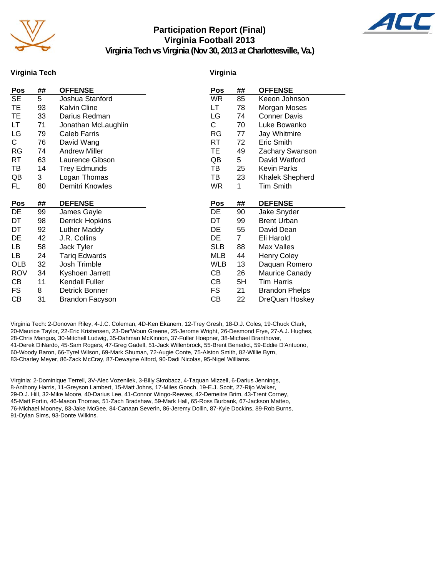

#### **Participation Report (Final) Virginia Football 2013 Virginia Tech vs Virginia (Nov 30, 2013 at Charlottesville, Va.)**



**Virginia Tech**

#### **Virginia**

| <b>Pos</b> | ## | <b>OFFENSE</b>         | Pos        | ##             | <b>OFFENSE</b>         |
|------------|----|------------------------|------------|----------------|------------------------|
| <b>SE</b>  | 5  | Joshua Stanford        | WR         | 85             | Keeon Johnson          |
| TE         | 93 | <b>Kalvin Cline</b>    | LT         | 78             | Morgan Moses           |
| ТE         | 33 | Darius Redman          | LG         | 74             | <b>Conner Davis</b>    |
| LТ         | 71 | Jonathan McLaughlin    | C          | 70             | Luke Bowanko           |
| LG         | 79 | <b>Caleb Farris</b>    | RG         | 77             | Jay Whitmire           |
| С          | 76 | David Wang             | RT         | 72             | Eric Smith             |
| RG         | 74 | <b>Andrew Miller</b>   | TE         | 49             | Zachary Swanson        |
| RT         | 63 | Laurence Gibson        | QB         | 5              | David Watford          |
| TВ         | 14 | <b>Trey Edmunds</b>    | TВ         | 25             | Kevin Parks            |
| QB         | 3  | Logan Thomas           | ТB         | 23             | <b>Khalek Shepherd</b> |
| FL.        | 80 | Demitri Knowles        | <b>WR</b>  | 1              | <b>Tim Smith</b>       |
|            |    |                        |            |                |                        |
| Pos        | ## | <b>DEFENSE</b>         | <b>Pos</b> | ##             | <b>DEFENSE</b>         |
| DE         | 99 | James Gayle            | DE         | 90             | Jake Snyder            |
| DT         | 98 | <b>Derrick Hopkins</b> | DT         | 99             | <b>Brent Urban</b>     |
| DT         | 92 | Luther Maddy           | DE         | 55             | David Dean             |
| DE         | 42 | J.R. Collins           | DE         | $\overline{7}$ | Eli Harold             |
| LB         | 58 | Jack Tyler             | <b>SLB</b> | 88             | Max Valles             |
| LB         | 24 | <b>Tariq Edwards</b>   | MLB        | 44             | <b>Henry Coley</b>     |
| <b>OLB</b> | 32 | Josh Trimble           | <b>WLB</b> | 13             | Daquan Romero          |
| <b>ROV</b> | 34 | Kyshoen Jarrett        | CВ         | 26             | <b>Maurice Canady</b>  |
| CВ         | 11 | <b>Kendall Fuller</b>  | CВ         | 5H             | <b>Tim Harris</b>      |
| FS         | 8  | Detrick Bonner         | FS         | 21             | <b>Brandon Phelps</b>  |
| СB         | 31 | <b>Brandon Facyson</b> | СB         | 22             | DreQuan Hoskey         |

Virginia Tech: 2-Donovan Riley, 4-J.C. Coleman, 4D-Ken Ekanem, 12-Trey Gresh, 18-D.J. Coles, 19-Chuck Clark, 20-Maurice Taylor, 22-Eric Kristensen, 23-Der'Woun Greene, 25-Jerome Wright, 26-Desmond Frye, 27-A.J. Hughes, 28-Chris Mangus, 30-Mitchell Ludwig, 35-Dahman McKinnon, 37-Fuller Hoepner, 38-Michael Branthover, 41-Derek DiNardo, 45-Sam Rogers, 47-Greg Gadell, 51-Jack Willenbrock, 55-Brent Benedict, 59-Eddie D'Antuono, 60-Woody Baron, 66-Tyrel Wilson, 69-Mark Shuman, 72-Augie Conte, 75-Alston Smith, 82-Willie Byrn, 83-Charley Meyer, 86-Zack McCray, 87-Dewayne Alford, 90-Dadi Nicolas, 95-Nigel Williams.

Virginia: 2-Dominique Terrell, 3V-Alec Vozenilek, 3-Billy Skrobacz, 4-Taquan Mizzell, 6-Darius Jennings, 8-Anthony Harris, 11-Greyson Lambert, 15-Matt Johns, 17-Miles Gooch, 19-E.J. Scott, 27-Rijo Walker, 29-D.J. Hill, 32-Mike Moore, 40-Darius Lee, 41-Connor Wingo-Reeves, 42-Demeitre Brim, 43-Trent Corney, 45-Matt Fortin, 46-Mason Thomas, 51-Zach Bradshaw, 59-Mark Hall, 65-Ross Burbank, 67-Jackson Matteo, 76-Michael Mooney, 83-Jake McGee, 84-Canaan Severin, 86-Jeremy Dollin, 87-Kyle Dockins, 89-Rob Burns, 91-Dylan Sims, 93-Donte Wilkins.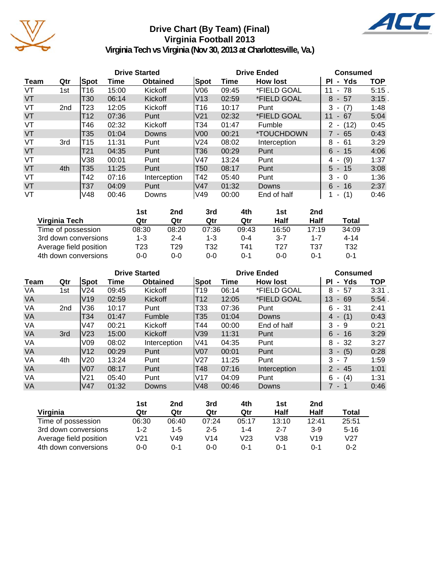

# **Drive Chart (By Team) (Final) Virginia Football 2013**



|      |                 |            |       | <b>Drive Started</b> |                 | <b>Drive Ended</b> |                 | <b>Consumed</b>             |          |  |
|------|-----------------|------------|-------|----------------------|-----------------|--------------------|-----------------|-----------------------------|----------|--|
| Team | Qtr             | Spot       | Time  | <b>Obtained</b>      | Spot            | Time               | <b>How lost</b> | - Yds<br>ΡI                 | TOP      |  |
| VT   | 1st             | T16        | 15:00 | Kickoff              | V06             | 09:45              | *FIELD GOAL     | $-78$<br>11                 | $5:15$ . |  |
| VT   |                 | T30        | 06:14 | <b>Kickoff</b>       | V13             | 02:59              | *FIELD GOAL     | - 57<br>8                   | 3:15.    |  |
| VT   | 2 <sub>nd</sub> | T23        | 12:05 | Kickoff              | T16             | 10:17              | Punt            | 3<br>(7)<br>$\blacksquare$  | 1:48     |  |
| VT   |                 | T12        | 07:36 | Punt                 | V <sub>21</sub> | 02:32              | *FIELD GOAL     | 11<br>67<br>$\blacksquare$  | 5:04     |  |
| VT   |                 | T46        | 02:32 | Kickoff              | T34             | 01:47              | Fumble          | (12)<br>2<br>$\blacksquare$ | 0:45     |  |
| VT   |                 | T35        | 01:04 | Downs                | V <sub>00</sub> | 00:21              | *TOUCHDOWN      | 7 - 65                      | 0:43     |  |
| VT   | 3rd             | T15        | 11:31 | Punt                 | V <sub>24</sub> | 08:02              | Interception    | - 61<br>8                   | 3:29     |  |
| VT   |                 | T21        | 04:35 | Punt                 | T36             | 00:29              | Punt            | $6 - 15$                    | 4:06     |  |
| VT   |                 | V38        | 00:01 | Punt                 | V47             | 13:24              | Punt            | (9)<br>4 -                  | 1:37     |  |
| VT   | 4th             | T35        | 11:25 | Punt                 | T50             | 08:17              | Punt            | $5 - 15$                    | 3:08     |  |
| VT   |                 | T42        | 07:16 | Interception         | T42             | 05:40              | Punt            | $3 - 0$                     | 1:36     |  |
| VT   |                 | <b>T37</b> | 04:09 | Punt                 | V47             | 01:32              | Downs           | $6 - 16$                    | 2:37     |  |
| VT   |                 | V48        | 00:46 | Downs                | V49             | 00:00              | End of half     | (1)<br>۰.                   | 0:46     |  |

|                        | 1st   | 2nd     | 3rd   | 4th     | 1st     | 2nd     |          |
|------------------------|-------|---------|-------|---------|---------|---------|----------|
| Virginia Tech          | Qtr   | Qtr     | Qtr   | Qtr     | Half    | Half    | Total    |
| Time of possession     | 08:30 | 08:20   | 07:36 | 09:43   | 16:50   | 17:19   | 34:09    |
| 3rd down conversions   | 1-3   | $2 - 4$ | 1-3   | $0 - 4$ | $3 - 7$ | $1 - 7$ | $4 - 14$ |
| Average field position | T23   | т29     | T32   | T41     | T27     | T37     | T32      |
| 4th down conversions   | 0-0   | 0-0     | 0-0   | 0-1     | 0-0     | 0-1     | 0-1      |

|           |                 |                 |       | <b>Drive Started</b> |                 | <b>Drive Ended</b> | <b>Consumed</b> |                                      |            |
|-----------|-----------------|-----------------|-------|----------------------|-----------------|--------------------|-----------------|--------------------------------------|------------|
| Team      | Qtr             | Spot            | Time  | <b>Obtained</b>      | <b>Spot</b>     | Time               | <b>How lost</b> | - Yds<br>ΡI                          | <b>TOP</b> |
| VA        | 1st             | V24             | 09:45 | Kickoff              | T <sub>19</sub> | 06:14              | *FIELD GOAL     | 57<br>8<br>$\sim$                    | 3:31       |
| <b>VA</b> |                 | V <sub>19</sub> | 02:59 | Kickoff              | T <sub>12</sub> | 12:05              | *FIELD GOAL     | 13<br>69<br>$\blacksquare$           | 5:54       |
| VA        | 2 <sub>nd</sub> | V36             | 10:17 | Punt                 | T33             | 07:36              | Punt            | - 31<br>6                            | 2:41       |
| <b>VA</b> |                 | T34             | 01:47 | Fumble               | T <sub>35</sub> | 01:04              | Downs           | (1)<br>4<br>$\overline{\phantom{a}}$ | 0:43       |
| VA        |                 | V47             | 00:21 | Kickoff              | T44             | 00:00              | End of half     | 3<br>-9                              | 0:21       |
| <b>VA</b> | 3rd             | V23             | 15:00 | Kickoff              | V39             | 11:31              | Punt            | $6 - 16$                             | 3:29       |
| VA        |                 | V09             | 08:02 | Interception         | lV41            | 04:35              | Punt            | 8<br>-32<br>$\sim$                   | 3:27       |
| VA        |                 | V <sub>12</sub> | 00:29 | Punt                 | <b>V07</b>      | 00:01              | Punt            | (5)<br>3<br>$\sim$                   | 0:28       |
| VA        | 4th             | V <sub>20</sub> | 13:24 | Punt                 | V <sub>27</sub> | 11:25              | Punt            | 3<br>$-7$                            | 1:59       |
| <b>VA</b> |                 | V <sub>07</sub> | 08:17 | Punt                 | T48             | 07:16              | Interception    | $2 - 45$                             | 1:01       |
| VA        |                 | V <sub>21</sub> | 05:40 | Punt                 | <b>V17</b>      | 04:09              | Punt            | (4)<br>6<br>$\blacksquare$           | 1:31       |
| <b>VA</b> |                 | lV47            | 01:32 | Downs                | lV48            | 00:46              | <b>Downs</b>    | 7 - 1                                | 0:46       |

|                        | 1st   | 2nd     | 3rd     | 4th     | 1st     | 2nd             |                 |
|------------------------|-------|---------|---------|---------|---------|-----------------|-----------------|
| Virginia               | Qtr   | Qtr     | Qtr     | Qtr     | Half    | Half            | Total           |
| Time of possession     | 06:30 | 06:40   | 07:24   | 05:17   | 13:10   | 12:41           | 25:51           |
| 3rd down conversions   | 1-2   | $1 - 5$ | $2 - 5$ | $1 - 4$ | $2 - 7$ | $3-9$           | $5 - 16$        |
| Average field position | V21   | V49     | V14     | V23     | V38     | V <sub>19</sub> | V <sub>27</sub> |
| 4th down conversions   | 0-0   | 0-1     | 0-0     | $0 - 1$ | 0-1     | 0-1             | 0-2             |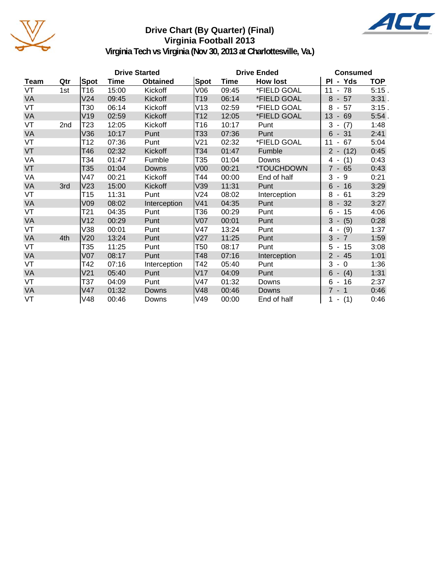

### **Drive Chart (By Quarter) (Final) Virginia Football 2013**



|           |     |                 |             | <b>Drive Started</b> |                 | <b>Drive Ended</b> | <b>Consumed</b> |                                       |            |
|-----------|-----|-----------------|-------------|----------------------|-----------------|--------------------|-----------------|---------------------------------------|------------|
| Team      | Qtr | Spot            | <b>Time</b> | <b>Obtained</b>      | <b>Spot</b>     | Time               | <b>How lost</b> | PI - Yds                              | <b>TOP</b> |
| VT        | 1st | T <sub>16</sub> | 15:00       | Kickoff              | V06             | 09:45              | *FIELD GOAL     | $-78$<br>11                           | 5:15.      |
| <b>VA</b> |     | V24             | 09:45       | Kickoff              | T <sub>19</sub> | 06:14              | *FIELD GOAL     | $-57$<br>8                            | 3:31.      |
| VT        |     | T30             | 06:14       | Kickoff              | V13             | 02:59              | *FIELD GOAL     | 8<br>57<br>$\overline{\phantom{a}}$   | 3:15.      |
| VA        |     | V19             | 02:59       | Kickoff              | T12             | 12:05              | *FIELD GOAL     | 13<br>69<br>$\overline{\phantom{a}}$  | 5:54.      |
| VT        | 2nd | T23             | 12:05       | Kickoff              | T16             | 10:17              | Punt            | 3<br>(7)<br>$\overline{\phantom{a}}$  | 1:48       |
| VA        |     | V36             | 10:17       | Punt                 | T33             | 07:36              | Punt            | 6<br>$-31$                            | 2:41       |
| VT        |     | T12             | 07:36       | Punt                 | V21             | 02:32              | *FIELD GOAL     | 67<br>11<br>$\overline{\phantom{a}}$  | 5:04       |
| VT        |     | T46             | 02:32       | Kickoff              | T34             | 01:47              | Fumble          | $2 - (12)$                            | 0:45       |
| VA        |     | T34             | 01:47       | Fumble               | T35             | 01:04              | Downs           | (1)<br>4 -                            | 0:43       |
| VT        |     | T35             | 01:04       | Downs                | V <sub>00</sub> | 00:21              | *TOUCHDOWN      | $7 - 65$                              | 0:43       |
| VA        |     | V47             | 00:21       | Kickoff              | T44             | 00:00              | End of half     | 3<br>9<br>$\blacksquare$              | 0:21       |
| <b>VA</b> | 3rd | V23             | 15:00       | Kickoff              | V39             | 11:31              | Punt            | $6 - 16$                              | 3:29       |
| VT        |     | T15             | 11:31       | Punt                 | V24             | 08:02              | Interception    | 8<br>$-61$                            | 3:29       |
| VA        |     | V09             | 08:02       | Interception         | V <sub>41</sub> | 04:35              | Punt            | 8<br>$-32$                            | 3:27       |
| VT        |     | T21             | 04:35       | Punt                 | T36             | 00:29              | Punt            | $6 - 15$                              | 4:06       |
| <b>VA</b> |     | V12             | 00:29       | Punt                 | <b>V07</b>      | 00:01              | Punt            | 3<br>(5)<br>$\overline{\phantom{a}}$  | 0:28       |
| VT        |     | V38             | 00:01       | Punt                 | V47             | 13:24              | Punt            | (9)<br>4<br>$\blacksquare$            | 1:37       |
| VA        | 4th | V20             | 13:24       | Punt                 | V27             | 11:25              | Punt            | $3 - 7$                               | 1:59       |
| VT        |     | T35             | 11:25       | Punt                 | T50             | 08:17              | Punt            | 5<br>$-15$                            | 3:08       |
| <b>VA</b> |     | V <sub>07</sub> | 08:17       | Punt                 | T48             | 07:16              | Interception    | $-45$<br>$\overline{2}$               | 1:01       |
| VT        |     | T42             | 07:16       | Interception         | T42             | 05:40              | Punt            | 3<br>$\overline{0}$<br>$\blacksquare$ | 1:36       |
| <b>VA</b> |     | V21             | 05:40       | Punt                 | V17             | 04:09              | Punt            | 6<br>$- (4)$                          | 1:31       |
| VT        |     | T37             | 04:09       | Punt                 | V47             | 01:32              | Downs           | 6<br>$-16$                            | 2:37       |
| <b>VA</b> |     | V47             | 01:32       | Downs                | V48             | 00:46              | Downs           | $7 - 1$                               | 0:46       |
| VT        |     | V48             | 00:46       | Downs                | V49             | 00:00              | End of half     | $1 - (1)$                             | 0:46       |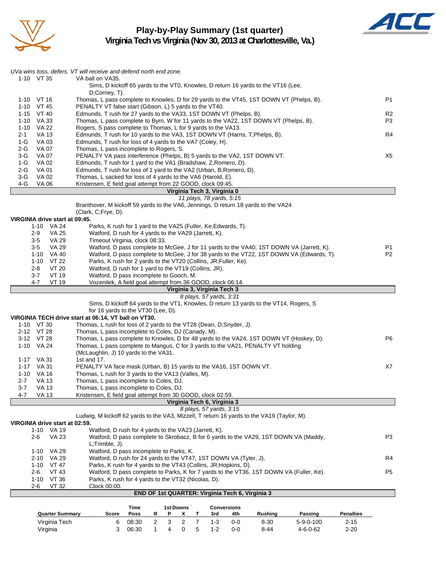

# **Play-by-Play Summary (1st quarter)**



|                                     | UVa wins toss, defers. VT will receive and defend north end zone.                                                         |                |  |  |  |  |  |  |  |  |
|-------------------------------------|---------------------------------------------------------------------------------------------------------------------------|----------------|--|--|--|--|--|--|--|--|
| 1-10 VT 35                          | VA ball on VA35.<br>Sims, D kickoff 65 yards to the VT0, Knowles, D return 16 yards to the VT16 (Lee,                     |                |  |  |  |  |  |  |  |  |
| 1-10 VT 16                          | D:Corney, T).<br>Thomas, L pass complete to Knowles, D for 29 yards to the VT45, 1ST DOWN VT (Phelps, B).                 | P <sub>1</sub> |  |  |  |  |  |  |  |  |
| 1-10 VT 45                          | PENALTY VT false start (Gibson, L) 5 yards to the VT40.                                                                   |                |  |  |  |  |  |  |  |  |
| 1-15 VT 40                          | Edmunds, T rush for 27 yards to the VA33, 1ST DOWN VT (Phelps, B).<br>R <sub>2</sub>                                      |                |  |  |  |  |  |  |  |  |
| 1-10 VA 33                          | Thomas, L pass complete to Byrn, W for 11 yards to the VA22, 1ST DOWN VT (Phelps, B).<br>P3                               |                |  |  |  |  |  |  |  |  |
| 1-10 VA 22                          | Rogers, S pass complete to Thomas, L for 9 yards to the VA13.                                                             |                |  |  |  |  |  |  |  |  |
| 2-1<br>VA 13                        | Edmunds, T rush for 10 yards to the VA3, 1ST DOWN VT (Harris, T;Phelps, B).<br>R4                                         |                |  |  |  |  |  |  |  |  |
| $1-G$<br>VA 03                      | Edmunds, T rush for loss of 4 yards to the VA7 (Coley, H).                                                                |                |  |  |  |  |  |  |  |  |
| 2-G<br>VA 07<br>VA 07<br>3-G        | Thomas, L pass incomplete to Rogers, S.<br>PENALTY VA pass interference (Phelps, B) 5 yards to the VA2, 1ST DOWN VT.      | X5             |  |  |  |  |  |  |  |  |
| VA 02<br>1-G                        | Edmunds, T rush for 1 yard to the VA1 (Bradshaw, Z;Romero, D).                                                            |                |  |  |  |  |  |  |  |  |
| 2-G<br>VA 01                        | Edmunds, T rush for loss of 1 yard to the VA2 (Urban, B; Romero, D).                                                      |                |  |  |  |  |  |  |  |  |
| <b>VA 02</b><br>3-G                 | Thomas, L sacked for loss of 4 yards to the VA6 (Harold, E).                                                              |                |  |  |  |  |  |  |  |  |
| 4-G<br>VA 06                        | Kristensen, E field goal attempt from 22 GOOD, clock 09:45.                                                               |                |  |  |  |  |  |  |  |  |
|                                     | Virginia Tech 3, Virginia 0                                                                                               |                |  |  |  |  |  |  |  |  |
|                                     | 11 plays, 78 yards, 5:15                                                                                                  |                |  |  |  |  |  |  |  |  |
|                                     | Branthover, M kickoff 59 yards to the VA6, Jennings, D return 18 yards to the VA24<br>(Clark, C;Frye, D).                 |                |  |  |  |  |  |  |  |  |
| VIRGINIA drive start at 09:45.      |                                                                                                                           |                |  |  |  |  |  |  |  |  |
| 1-10 VA 24                          | Parks, K rush for 1 yard to the VA25 (Fuller, Ke; Edwards, T).                                                            |                |  |  |  |  |  |  |  |  |
| 2-9<br>VA 25                        | Watford, D rush for 4 yards to the VA29 (Jarrett, K).                                                                     |                |  |  |  |  |  |  |  |  |
| <b>VA 29</b><br>3-5                 | Timeout Virginia, clock 08:33.                                                                                            |                |  |  |  |  |  |  |  |  |
| <b>VA 29</b><br>$3-5$               | Watford, D pass complete to McGee, J for 11 yards to the VA40, 1ST DOWN VA (Jarrett, K).                                  | P <sub>1</sub> |  |  |  |  |  |  |  |  |
| $1 - 10$<br>VA 40                   | Watford, D pass complete to McGee, J for 38 yards to the VT22, 1ST DOWN VA (Edwards, T).                                  | P <sub>2</sub> |  |  |  |  |  |  |  |  |
| VT 22<br>1-10                       | Parks, K rush for 2 yards to the VT20 (Collins, JR; Fuller, Ke).                                                          |                |  |  |  |  |  |  |  |  |
| VT 20<br>2-8<br>3-7<br><b>VT 19</b> | Watford, D rush for 1 yard to the VT19 (Collins, JR).<br>Watford, D pass incomplete to Gooch, M.                          |                |  |  |  |  |  |  |  |  |
| <b>VT 19</b><br>4-7                 | Vozenilek, A field goal attempt from 36 GOOD, clock 06:14.                                                                |                |  |  |  |  |  |  |  |  |
|                                     |                                                                                                                           |                |  |  |  |  |  |  |  |  |
|                                     |                                                                                                                           |                |  |  |  |  |  |  |  |  |
|                                     | Virginia 3, Virginia Tech 3<br>8 plays, 57 yards, 3:31                                                                    |                |  |  |  |  |  |  |  |  |
|                                     | Sims, D kickoff 64 yards to the VT1, Knowles, D return 13 yards to the VT14, Rogers, S                                    |                |  |  |  |  |  |  |  |  |
|                                     | for 16 yards to the VT30 (Lee, D).                                                                                        |                |  |  |  |  |  |  |  |  |
|                                     | VIRGINIA TECH drive start at 06:14, VT ball on VT30.                                                                      |                |  |  |  |  |  |  |  |  |
| 1-10 VT 30                          | Thomas, L rush for loss of 2 yards to the VT28 (Dean, D;Snyder, J).                                                       |                |  |  |  |  |  |  |  |  |
| 2-12 VT 28                          | Thomas, L pass incomplete to Coles, DJ (Canady, M).                                                                       |                |  |  |  |  |  |  |  |  |
| 3-12 VT 28<br>1-10 VA 24            | Thomas, L pass complete to Knowles, D for 48 yards to the VA24, 1ST DOWN VT (Hoskey, D).                                  | P <sub>6</sub> |  |  |  |  |  |  |  |  |
|                                     | Thomas, L pass complete to Mangus, C for 3 yards to the VA21, PENALTY VT holding<br>(McLaughlin, J) 10 yards to the VA31. |                |  |  |  |  |  |  |  |  |
| 1-17 VA 31                          | 1st and 17.                                                                                                               |                |  |  |  |  |  |  |  |  |
| 1-17 VA 31                          | PENALTY VA face mask (Urban, B) 15 yards to the VA16, 1ST DOWN VT.                                                        | X7             |  |  |  |  |  |  |  |  |
| 1-10 VA 16                          | Thomas, L rush for 3 yards to the VA13 (Valles, M).                                                                       |                |  |  |  |  |  |  |  |  |
| 2-7<br>VA 13                        | Thomas, L pass incomplete to Coles, DJ.                                                                                   |                |  |  |  |  |  |  |  |  |
| VA 13<br>3-7                        | Thomas, L pass incomplete to Coles, DJ.                                                                                   |                |  |  |  |  |  |  |  |  |
| <b>VA 13</b><br>4-7                 | Kristensen, E field goal attempt from 30 GOOD, clock 02:59.<br>Virginia Tech 6, Virginia 3                                |                |  |  |  |  |  |  |  |  |
|                                     | 8 plays, 57 yards, 3:15                                                                                                   |                |  |  |  |  |  |  |  |  |
|                                     | Ludwig, M kickoff 62 yards to the VA3, Mizzell, T return 16 yards to the VA19 (Taylor, M).                                |                |  |  |  |  |  |  |  |  |
| VIRGINIA drive start at 02:59.      |                                                                                                                           |                |  |  |  |  |  |  |  |  |
| 1-10 VA 19                          | Watford, D rush for 4 yards to the VA23 (Jarrett, K).                                                                     |                |  |  |  |  |  |  |  |  |
| 2-6<br>VA 23                        | Watford, D pass complete to Skrobacz, B for 6 yards to the VA29, 1ST DOWN VA (Maddy,                                      | P3             |  |  |  |  |  |  |  |  |
|                                     | L;Trimble, J).                                                                                                            |                |  |  |  |  |  |  |  |  |
| VA 29<br>1-10<br>VA 29<br>2-10      | Watford, D pass incomplete to Parks, K.<br>Watford, D rush for 24 yards to the VT47, 1ST DOWN VA (Tyler, J).              | R4             |  |  |  |  |  |  |  |  |
| 1-10<br>VT 47                       | Parks, K rush for 4 yards to the VT43 (Collins, JR; Hopkins, D).                                                          |                |  |  |  |  |  |  |  |  |
| 2-6<br>VT 43                        | Watford, D pass complete to Parks, K for 7 yards to the VT36, 1ST DOWN VA (Fuller, Ke).                                   | P <sub>5</sub> |  |  |  |  |  |  |  |  |
| VT 36<br>$1 - 10$                   | Parks, K rush for 4 yards to the VT32 (Nicolas, D).                                                                       |                |  |  |  |  |  |  |  |  |
| <b>VT 32</b><br>2-6                 | Clock 00:00.                                                                                                              |                |  |  |  |  |  |  |  |  |
|                                     | END OF 1st QUARTER: Virginia Tech 6, Virginia 3                                                                           |                |  |  |  |  |  |  |  |  |

| Time<br>1st Downs      |       |       | <b>Conversions</b> |  |         |         |                |                   |                  |
|------------------------|-------|-------|--------------------|--|---------|---------|----------------|-------------------|------------------|
| <b>Quarter Summary</b> | Score | Poss  |                    |  | 3rd     | 4th     | <b>Rushing</b> | Passing           | <b>Penalties</b> |
| Virginia Tech          |       | 08:30 |                    |  | $1-3$   | ი-ი     | $8 - 30$       | $5 - 9 - 0 - 100$ | $2 - 15$         |
| Virginia               |       | 06:30 |                    |  | $1 - 2$ | $0 - 0$ | $8 - 44$       | $4 - 6 - 0 - 62$  | $2 - 20$         |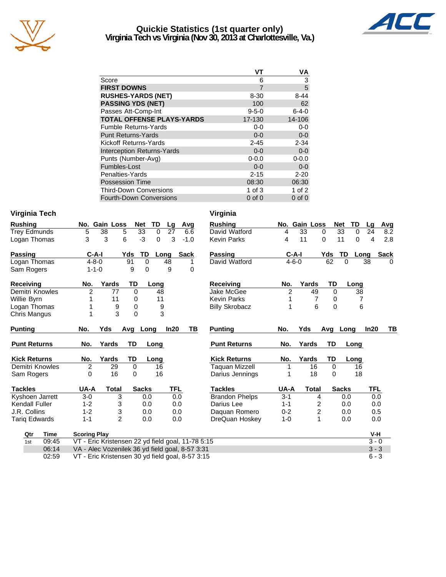

## **Quickie Statistics (1st quarter only) Virginia Tech vs Virginia (Nov 30, 2013 at Charlottesville, Va.)**



|                                   | VT          | ٧A          |
|-----------------------------------|-------------|-------------|
| Score                             | 6           | 3           |
| <b>FIRST DOWNS</b>                | 7           | 5           |
| <b>RUSHES-YARDS (NET)</b>         | $8 - 30$    | $8 - 44$    |
| <b>PASSING YDS (NET)</b>          | 100         | 62          |
| Passes Att-Comp-Int               | $9 - 5 - 0$ | $6 - 4 - 0$ |
| <b>TOTAL OFFENSE PLAYS-YARDS</b>  | 17-130      | 14-106      |
| <b>Fumble Returns-Yards</b>       | $0-0$       | $0-0$       |
| <b>Punt Returns-Yards</b>         | $0 - 0$     | $0-0$       |
| Kickoff Returns-Yards             | $2 - 45$    | $2 - 34$    |
| <b>Interception Returns-Yards</b> | $0 - 0$     | $0 - 0$     |
| Punts (Number-Avg)                | $0 - 0.0$   | $0 - 0.0$   |
| Fumbles-Lost                      | $0 - 0$     | $0-0$       |
| Penalties-Yards                   | $2 - 15$    | $2 - 20$    |
| <b>Possession Time</b>            | 08:30       | 06:30       |
| <b>Third-Down Conversions</b>     | 1 of $3$    | 1 of $2$    |
| <b>Fourth-Down Conversions</b>    | $0$ of $0$  | $0$ of $0$  |

#### **Virginia Tech Virginia**

| <b>Rushing</b>       | No. Gain Loss                                     |                | <b>TD</b><br><b>Net</b> | Avg<br>Lg           | <b>Rushing</b>        |                | No. Gain Loss  | <b>Net</b>     | <b>TD</b> | Lg         | Avg         |
|----------------------|---------------------------------------------------|----------------|-------------------------|---------------------|-----------------------|----------------|----------------|----------------|-----------|------------|-------------|
| <b>Trey Edmunds</b>  | 38<br>5                                           | 5              | 33<br>$\mathbf 0$       | 27<br>6.6           | David Watford         | 4              | 33             | 33<br>0        | 0         | 24         | 8.2         |
| Logan Thomas         | 3<br>3                                            | 6              | $-3$<br>$\Omega$        | 3<br>$-1.0$         | <b>Kevin Parks</b>    | 4              | 11             | 11<br>$\Omega$ | 0         | 4          | 2.8         |
| <b>Passing</b>       | $C-A-I$                                           | Yds            | TD                      | <b>Sack</b><br>Long | <b>Passing</b>        | $C-A-I$        |                | Yds<br>TD      | Long      |            | <b>Sack</b> |
| Logan Thomas         | $4 - 8 - 0$                                       | 91             | $\Omega$                | 48                  | David Watford         | $4 - 6 - 0$    |                | 62<br>$\Omega$ |           | 38         | $\Omega$    |
| Sam Rogers           | $1 - 1 - 0$                                       | 9              | $\Omega$                | 9<br>0              |                       |                |                |                |           |            |             |
| Receiving            | No.                                               | Yards          | TD<br>Long              |                     | <b>Receiving</b>      | No.            | Yards          | TD             | Long      |            |             |
| Demitri Knowles      | $\overline{2}$                                    | 77             | $\Omega$<br>48          |                     | Jake McGee            | $\overline{2}$ | 49             | $\Omega$       | 38        |            |             |
| Willie Byrn          |                                                   | 11             | 11<br>0                 |                     | <b>Kevin Parks</b>    |                | $\overline{7}$ | 0              | 7         |            |             |
| Logan Thomas         |                                                   | 9              | $\Omega$                | 9                   | <b>Billy Skrobacz</b> |                | 6              | $\Omega$       | 6         |            |             |
| Chris Mangus         | 1                                                 | 3              | $\Omega$                | 3                   |                       |                |                |                |           |            |             |
| <b>Punting</b>       | No.<br>Yds                                        | Avg            | Long                    | In20<br>TВ          | <b>Punting</b>        | No.            | Yds            | Avg            | Long      | In20       | TВ          |
| <b>Punt Returns</b>  | No.                                               | TD<br>Yards    | Long                    |                     | <b>Punt Returns</b>   | No.            | Yards          | TD             | Long      |            |             |
| <b>Kick Returns</b>  | No.                                               | TD<br>Yards    | Long                    |                     | <b>Kick Returns</b>   | No.            | Yards          | TD             | Long      |            |             |
| Demitri Knowles      | $\overline{2}$                                    | 29             | $\mathbf 0$<br>16       |                     | <b>Taquan Mizzell</b> | 1              | 16             | $\mathbf 0$    | 16        |            |             |
| Sam Rogers           | 0                                                 | 16             | 16<br>0                 |                     | Darius Jennings       | 1              | 18             | $\Omega$       | 18        |            |             |
| <b>Tackles</b>       | UA-A                                              | <b>Total</b>   | <b>Sacks</b>            | TFL                 | <b>Tackles</b>        | UA-A           | Total          | <b>Sacks</b>   |           | <b>TFL</b> |             |
| Kyshoen Jarrett      | $3-0$                                             | 3              | 0.0                     | 0.0                 | <b>Brandon Phelps</b> | $3 - 1$        | 4              | 0.0            |           | 0.0        |             |
| Kendall Fuller       | $1 - 2$                                           | 3              | 0.0                     | 0.0                 | Darius Lee            | $1 - 1$        | 2              | 0.0            |           | 0.0        |             |
| J.R. Collins         | $1 - 2$                                           | 3              | 0.0                     | 0.0                 | Daquan Romero         | $0 - 2$        | $\overline{c}$ | 0.0            |           | 0.5        |             |
| <b>Tariq Edwards</b> | $1 - 1$                                           | $\overline{2}$ | 0.0                     | 0.0                 | DreQuan Hoskey        | $1 - 0$        | 1              | 0.0            |           | 0.0        |             |
| Qtr<br>Time          | <b>Scoring Play</b>                               |                |                         |                     |                       |                |                |                |           | V-H        |             |
| 09:45<br>1st         | VT - Eric Kristensen 22 yd field goal, 11-78 5:15 |                |                         |                     |                       |                |                |                |           | $3 - 0$    |             |
| 06:14                | VA - Alec Vozenilek 36 yd field goal, 8-57 3:31   |                |                         |                     |                       |                |                |                |           | $3 - 3$    |             |
| 02:59                | VT - Eric Kristensen 30 yd field goal, 8-57 3:15  |                |                         |                     |                       |                |                |                |           | $6 - 3$    |             |

VT - Eric Kristensen 30 yd field goal, 8-57 3:15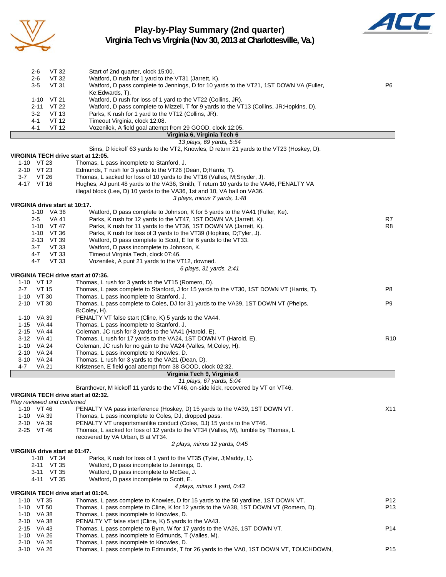

#### **Play-by-Play Summary (2nd quarter) Virginia Tech vs Virginia (Nov 30, 2013 at Charlottesville, Va.)**



2-6 VT 32 Start of 2nd quarter, clock 15:00. 2-6 VT 32 Watford, D rush for 1 yard to the VT31 (Jarrett, K). 3-5 VT 31 Watford, D pass complete to Jennings, D for 10 yards to the VT21, 1ST DOWN VA (Fuller, P6 Ke;Edwards, T). 1-10 VT 21 Watford, D rush for loss of 1 yard to the VT22 (Collins, JR). 2-11 VT 22 Watford, D pass complete to Mizzell, T for 9 yards to the VT13 (Collins, JR;Hopkins, D). 3-2 VT 13 Parks, K rush for 1 yard to the VT12 (Collins, JR). 4-1 VT 12 Timeout Virginia, clock 12:08. 4-1 VT 12 Vozenilek, A field goal attempt from 29 GOOD, clock 12:05. **Virginia 6, Virginia Tech 6** *13 plays, 69 yards, 5:54* Sims, D kickoff 63 yards to the VT2, Knowles, D return 21 yards to the VT23 (Hoskey, D). **VIRGINIA TECH drive start at 12:05.** 1-10 VT 23 Thomas, L pass incomplete to Stanford, J. 2-10 VT 23 Edmunds, T rush for 3 yards to the VT26 (Dean, D;Harris, T). 3-7 VT 26 Thomas, L sacked for loss of 10 yards to the VT16 (Valles, M;Snyder, J).<br>4-17 VT 16 Hughes, AJ punt 48 yards to the VA36, Smith, T return 10 yards to the V Hughes, AJ punt 48 yards to the VA36, Smith, T return 10 yards to the VA46, PENALTY VA illegal block (Lee, D) 10 yards to the VA36, 1st and 10, VA ball on VA36. *3 plays, minus 7 yards, 1:48* **VIRGINIA drive start at 10:17.**<br>1-10 VA 36 V Watford, D pass complete to Johnson, K for 5 yards to the VA41 (Fuller, Ke). 2-5 VA 41 Parks, K rush for 12 yards to the VT47, 1ST DOWN VA (Jarrett, K). R7 R7 1-10 VT 47 Parks, K rush for 11 yards to the VT36, 1ST DOWN VA (Jarrett, K). 1-10 VT 36 Parks, K rush for loss of 3 yards to the VT39 (Hopkins, D;Tyler, J). 2-13 VT 39 Watford, D pass complete to Scott, E for 6 yards to the VT33. 3-7 VT 33 Watford, D pass incomplete to Johnson, K. 4-7 VT 33 Timeout Virginia Tech, clock 07:46. 4-7 VT 33 Vozenilek, A punt 21 yards to the VT12, downed. *6 plays, 31 yards, 2:41* **VIRGINIA TECH drive start at 07:36.** 1-10 VT 12 Thomas, L rush for 3 yards to the VT15 (Romero, D). 2-7 VT 15 Thomas, L pass complete to Stanford, J for 15 yards to the VT30, 1ST DOWN VT (Harris, T). P8 1-10 VT 30 Thomas, L pass incomplete to Stanford, J. 2-10 VT 30 Thomas, L pass complete to Coles, DJ for 31 yards to the VA39, 1ST DOWN VT (Phelps, P9 B;Coley, H). 1-10 VA 39 PENALTY VT false start (Cline, K) 5 yards to the VA44. 1-15 VA 44 Thomas, L pass incomplete to Stanford, J. 2-15 VA 44 Coleman, JC rush for 3 yards to the VA41 (Harold, E). 3-12 VA 41 Thomas, L rush for 17 yards to the VA24, 1ST DOWN VT (Harold, E). R10 1-10 VA 24 Coleman, JC rush for no gain to the VA24 (Valles, M;Coley, H). 2-10 VA 24 Thomas, L pass incomplete to Knowles, D. 3-10 VA 24 Thomas, L rush for 3 yards to the VA21 (Dean, D). 4-7 VA 21 Kristensen, E field goal attempt from 38 GOOD, clock 02:32. **Virginia Tech 9, Virginia 6** *11 plays, 67 yards, 5:04* Branthover, M kickoff 11 yards to the VT46, on-side kick, recovered by VT on VT46. **VIRGINIA TECH drive start at 02:32.** *Play reviewed and confirmed* 1-10 VT 46 PENALTY VA pass interference (Hoskey, D) 15 yards to the VA39, 1ST DOWN VT. 1-10 VA 39 Thomas, L pass incomplete to Coles, DJ, dropped pass. 2-10 VA 39 PENALTY VT unsportsmanlike conduct (Coles, DJ) 15 yards to the VT46. 2-25 VT 46 Thomas, L sacked for loss of 12 yards to the VT34 (Valles, M), fumble by Thomas, L recovered by VA Urban, B at VT34. *2 plays, minus 12 yards, 0:45* **VIRGINIA drive start at 01:47.** 1-10 VT 34 Parks, K rush for loss of 1 yard to the VT35 (Tyler, J;Maddy, L). 2-11 VT 35 Watford, D pass incomplete to Jennings, D.<br>3-11 VT 35 Watford. D pass incomplete to McGee. J. Watford, D pass incomplete to McGee, J. 4-11 VT 35 Watford, D pass incomplete to Scott, E. *4 plays, minus 1 yard, 0:43* **VIRGINIA TECH drive start at 01:04.** 1-10 VT 35 Thomas, L pass complete to Knowles, D for 15 yards to the 50 yardline, 1ST DOWN VT. P12 1-10 VT 50 Thomas, L pass complete to Cline, K for 12 yards to the VA38, 1ST DOWN VT (Romero, D). P13 1-10 VA 38 Thomas, L pass incomplete to Knowles, D. 2-10 VA 38 PENALTY VT false start (Cline, K) 5 yards to the VA43. 2-15 VA 43 Thomas, L pass complete to Byrn, W for 17 yards to the VA26, 1ST DOWN VT. 1-10 VA 26 Thomas, L pass incomplete to Edmunds, T (Valles, M). 2-10 VA 26 Thomas, L pass incomplete to Knowles, D. 3-10 VA 26 Thomas, L pass complete to Edmunds, T for 26 yards to the VA0, 1ST DOWN VT, TOUCHDOWN, P15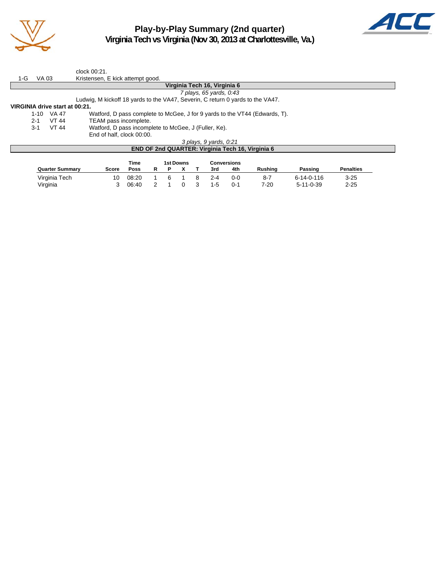

**Play-by-Play Summary (2nd quarter) Virginia Tech vs Virginia (Nov 30, 2013 at Charlottesville, Va.)**



|                                |                              |              | clock 00:21.                                                                   |  |  |  |  |  |  |  |  |
|--------------------------------|------------------------------|--------------|--------------------------------------------------------------------------------|--|--|--|--|--|--|--|--|
| 1-G                            | VA 03                        |              | Kristensen, E kick attempt good.                                               |  |  |  |  |  |  |  |  |
|                                | Virginia Tech 16, Virginia 6 |              |                                                                                |  |  |  |  |  |  |  |  |
|                                |                              |              | 7 plays, 65 yards, 0:43                                                        |  |  |  |  |  |  |  |  |
|                                |                              |              | Ludwig, M kickoff 18 yards to the VA47, Severin, C return 0 yards to the VA47. |  |  |  |  |  |  |  |  |
| VIRGINIA drive start at 00:21. |                              |              |                                                                                |  |  |  |  |  |  |  |  |
|                                | $1 - 10$                     | VA 47        | Watford, D pass complete to McGee, J for 9 yards to the VT44 (Edwards, T).     |  |  |  |  |  |  |  |  |
|                                | $2 - 1$                      | <b>VT 44</b> | TEAM pass incomplete.                                                          |  |  |  |  |  |  |  |  |
|                                | $3-1$                        | VT 44        | Watford, D pass incomplete to McGee, J (Fuller, Ke).                           |  |  |  |  |  |  |  |  |
|                                |                              |              | End of half, clock 00:00.                                                      |  |  |  |  |  |  |  |  |
|                                |                              |              | 3 plays, 9 yards, 0.21                                                         |  |  |  |  |  |  |  |  |
|                                |                              |              | END OF 2nd QUARTER: Virginia Tech 16, Virginia 6                               |  |  |  |  |  |  |  |  |
|                                |                              |              |                                                                                |  |  |  |  |  |  |  |  |

|                        |       | Time  | 1st Downs |  |   |         | Conversions |                |                    |                  |
|------------------------|-------|-------|-----------|--|---|---------|-------------|----------------|--------------------|------------------|
| <b>Quarter Summary</b> | Score | Poss  |           |  |   | 3rd     | 4th         | <b>Rushing</b> | Passinɑ            | <b>Penalties</b> |
| Virginia Tech          | 10    | 08:20 |           |  |   | $2 - 4$ | 0-0         | $8 - 7$        | $6 - 14 - 0 - 116$ | $3 - 25$         |
| Virginia               |       | 06:40 |           |  | 3 | $1-5$   | በ-1         | $7 - 20$       | $5 - 11 - 0 - 39$  | $2 - 25$         |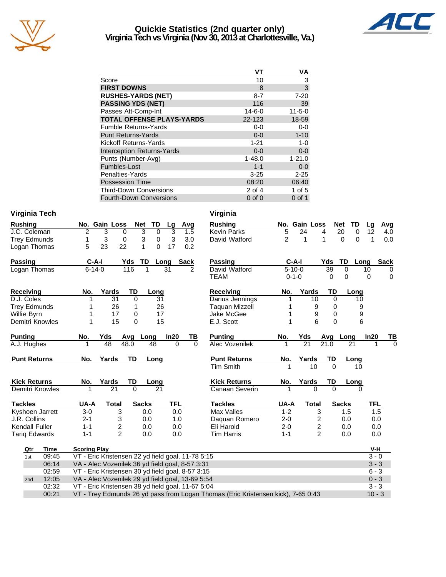

# **Quickie Statistics (2nd quarter only) Virginia Tech vs Virginia (Nov 30, 2013 at Charlottesville, Va.)**



|                                   | VT           | VA           |
|-----------------------------------|--------------|--------------|
| Score                             | 10           | 3            |
| <b>FIRST DOWNS</b>                | 8            | $\mathbf{3}$ |
| <b>RUSHES-YARDS (NET)</b>         | $8 - 7$      | $7 - 20$     |
| <b>PASSING YDS (NET)</b>          | 116          | 39           |
| Passes Att-Comp-Int               | $14 - 6 - 0$ | $11 - 5 - 0$ |
| <b>TOTAL OFFENSE PLAYS-YARDS</b>  | 22-123       | 18-59        |
| <b>Fumble Returns-Yards</b>       | $0-0$        | $0-0$        |
| <b>Punt Returns-Yards</b>         | $0 - 0$      | $1 - 10$     |
| <b>Kickoff Returns-Yards</b>      | $1 - 21$     | 1-0          |
| <b>Interception Returns-Yards</b> | $0 - 0$      | $0-0$        |
| Punts (Number-Avg)                | $1 - 48.0$   | $1 - 21.0$   |
| Fumbles-Lost                      | $1 - 1$      | $0-0$        |
| Penalties-Yards                   | $3 - 25$     | $2 - 25$     |
| <b>Possession Time</b>            | 08:20        | 06:40        |
| <b>Third-Down Conversions</b>     | 2 of 4       | $1$ of $5$   |
| <b>Fourth-Down Conversions</b>    | $0$ of $0$   | $0$ of 1     |

#### **Virginia Tech Virginia**

|   |    |                         |               |            | Lq     | Avq        |
|---|----|-------------------------|---------------|------------|--------|------------|
| 2 | 3  | 0                       | 3             | O          | 3      | 1.5        |
|   | 3  | 0                       | 3             | 0          | 3      | 3.0        |
| 5 | 23 | 22                      |               |            | 17     | 0.2        |
|   |    |                         | TD.           |            |        | Sack       |
|   |    |                         |               |            |        | 2          |
|   |    |                         |               |            |        |            |
|   |    | $C-A-I$<br>$6 - 14 - 0$ | No. Gain Loss | Yds<br>116 | Net TD | Lona<br>31 |

| <b>Receiving</b>    | No. | Yards | TD | Long |      |
|---------------------|-----|-------|----|------|------|
| D.J. Coles          |     | 31    |    | 31   |      |
| <b>Trey Edmunds</b> |     | 26    |    | 26   |      |
| Willie Byrn         |     | 17    |    | 17   |      |
| Demitri Knowles     |     | 15    |    | 15   |      |
| <b>Dunting</b>      | ᄓ   | Vde   |    | A    | lnan |

| <b>Punting</b>      | NO. | TUS   |      | AVY LONY INZV ID |  | Punting             | NO. | TUS   | Avu       | Long |
|---------------------|-----|-------|------|------------------|--|---------------------|-----|-------|-----------|------|
| A.J. Hughes         |     | 48    | 48.0 | 48               |  | Alec Vozenilek      |     |       | 21.0      |      |
| <b>Punt Returns</b> | No. | Yards | TD   | Lona             |  | <b>Punt Returns</b> | No. | Yards | <b>TD</b> | Long |

| <b>Kick Returns</b> | No. | Yards TD Long |  |  |
|---------------------|-----|---------------|--|--|
| Demitri Knowles     |     | 21            |  |  |
| ティーレー               | .   | . <b>.</b>    |  |  |

| <b>Tackles</b>       | UA-A    | Total | <b>Sacks</b> | TFL. |
|----------------------|---------|-------|--------------|------|
| Kyshoen Jarrett      | $3-0$   | 3     | 0.O          | 0.0  |
| J.R. Collins         | $2 - 1$ | 3     | 0.0          | 1.0  |
| Kendall Fuller       | $1 - 1$ | 2     | 0.0          | 0.0  |
| <b>Tarig Edwards</b> | $1 - 1$ | 2     | 0.0          | 0.0  |

| hing             |             |                     | No. Gain Loss                                                                                        | <b>Net</b>   | <b>TD</b><br>Lg  |             | Avg           | <b>Rushing</b>      |                | No. Gain Loss |                         | <b>Net</b><br>TD     | Lq      | <b>Avg</b>  |
|------------------|-------------|---------------------|------------------------------------------------------------------------------------------------------|--------------|------------------|-------------|---------------|---------------------|----------------|---------------|-------------------------|----------------------|---------|-------------|
| Coleman          |             | 2                   | 3<br>0                                                                                               | 3            | $\mathbf 0$<br>3 |             | 1.5           | <b>Kevin Parks</b>  | 5              | 24            | 4                       | 20<br>$\Omega$       | 12      | 4.0         |
| Edmunds          |             | 1                   | 3<br>0                                                                                               | 3            | 3<br>0           |             | 3.0           | David Watford       | $\overline{c}$ | 1             | 1                       | $\Omega$<br>$\Omega$ | 1       | 0.0         |
| an Thomas        |             | 5                   | 23<br>22                                                                                             | 1            | 17<br>0          |             | 0.2           |                     |                |               |                         |                      |         |             |
| sing             |             | $C-A-I$             |                                                                                                      | TD<br>Yds    | Long             | <b>Sack</b> |               | <b>Passing</b>      |                | $C-A-I$       | Yds                     | TD                   | Long    | <b>Sack</b> |
| an Thomas        |             | $6 - 14 - 0$        |                                                                                                      | 116<br>1     | 31               |             | $\mathcal{P}$ | David Watford       |                | $5 - 10 - 0$  | 39                      | $\mathbf 0$          | 10      | $\Omega$    |
|                  |             |                     |                                                                                                      |              |                  |             |               | <b>TEAM</b>         |                | $0 - 1 - 0$   | 0                       | $\Omega$             | 0       | $\mathbf 0$ |
| eiving           |             | No.                 | Yards                                                                                                | TD           | Long             |             |               | <b>Receiving</b>    | No.            | Yards         | TD                      | Long                 |         |             |
| Coles            |             |                     | 31                                                                                                   | $\mathbf 0$  | 31               |             |               | Darius Jennings     |                | 10            | 0                       | 10                   |         |             |
| Edmunds          |             |                     | 26                                                                                                   | 1            | 26               |             |               | Taquan Mizzell      |                | 9             | $\Omega$                | 9                    |         |             |
| e Bvrn           |             |                     | 17                                                                                                   | 0            | 17               |             |               | Jake McGee          |                | 9             | $\mathbf 0$             | 9                    |         |             |
| itri Knowles     |             |                     | 15                                                                                                   | $\Omega$     | 15               |             |               | E.J. Scott          |                | 6             | $\Omega$                | 6                    |         |             |
| ting             |             | No.                 | Yds                                                                                                  | Avg<br>Long  | In20             |             | TB            | <b>Punting</b>      | No.            | Yds           | Avg                     | Long                 | In20    | TВ          |
| Hughes           |             | 1                   | 48                                                                                                   | 48.0         | 48               | $\Omega$    | $\Omega$      | Alec Vozenilek      | 1              | 21            | 21.0                    | 21                   | 1       | $\Omega$    |
| t Returns        |             | No.                 | Yards                                                                                                | <b>TD</b>    | Long             |             |               | <b>Punt Returns</b> | No.            | Yards         | TD                      | Long                 |         |             |
|                  |             |                     |                                                                                                      |              |                  |             |               | <b>Tim Smith</b>    | 1              | 10            | $\Omega$                | 10                   |         |             |
| <b>‹ Returns</b> |             | No.                 | Yards                                                                                                | <b>TD</b>    | Long             |             |               | <b>Kick Returns</b> | No.            | Yards         | <b>TD</b>               | Long                 |         |             |
| itri Knowles     |             |                     | 21                                                                                                   | $\Omega$     | 21               |             |               | Canaan Severin      |                | $\Omega$      | $\Omega$                | $\Omega$             |         |             |
| kles             |             | UA-A                | <b>Total</b>                                                                                         | <b>Sacks</b> | <b>TFL</b>       |             |               | <b>Tackles</b>      | UA-A           | <b>Total</b>  |                         | <b>Sacks</b>         | TFL     |             |
| noen Jarrett     |             | $3-0$               | 3                                                                                                    | 0.0          |                  | 0.0         |               | <b>Max Valles</b>   | $1 - 2$        |               | 3                       | 1.5                  | 1.5     |             |
| Collins          |             | $2 - 1$             | 3                                                                                                    | 0.0          |                  | 1.0         |               | Daguan Romero       | $2 - 0$        |               | 2                       | 0.0                  | 0.0     |             |
| dall Fuller      |             | $1 - 1$             | $\overline{\mathbf{c}}$                                                                              | 0.0          |                  | 0.0         |               | Eli Harold          | $2 - 0$        |               | $\overline{\mathbf{c}}$ | 0.0                  | 0.0     |             |
| g Edwards        |             | $1 - 1$             | $\overline{2}$                                                                                       | 0.0          |                  | 0.0         |               | <b>Tim Harris</b>   | $1 - 1$        |               | $\mathfrak{p}$          | 0.0                  | 0.0     |             |
| Qtr              | <b>Time</b> | <b>Scoring Play</b> |                                                                                                      |              |                  |             |               |                     |                |               |                         |                      | V-H     |             |
| 1st              | 09:45       |                     |                                                                                                      |              |                  |             |               |                     |                |               |                         |                      | $3 - 0$ |             |
|                  | 06:14       |                     | VT - Eric Kristensen 22 yd field goal, 11-78 5:15<br>VA - Alec Vozenilek 36 yd field goal, 8-57 3:31 |              |                  |             |               |                     |                |               |                         |                      |         | $3 - 3$     |

| 2nd 12:05 | VA - Alec Vozenilek 29 yd field goal, 13-69 5:54                                 | $0 - 3$  |
|-----------|----------------------------------------------------------------------------------|----------|
|           | 02:32 VT - Eric Kristensen 38 yd field goal, 11-67 5:04                          | $3 - 3$  |
| 00:21     | VT - Trey Edmunds 26 yd pass from Logan Thomas (Eric Kristensen kick), 7-65 0:43 | $10 - 3$ |

02:59 VT - Eric Kristensen 30 yd field goal, 8-57 3:15 6 - 3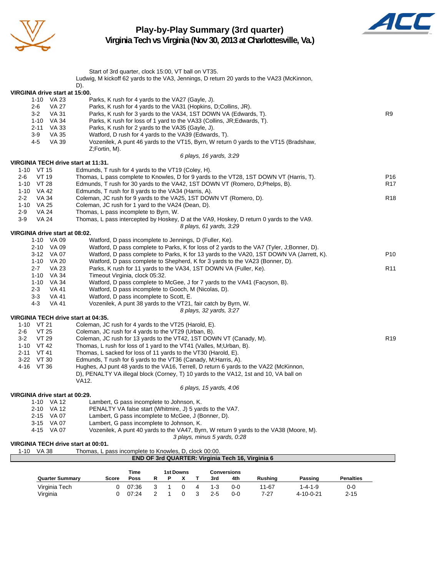

# **Play-by-Play Summary (3rd quarter) Virginia Tech vs Virginia (Nov 30, 2013 at Charlottesville, Va.)**



|                                       | Start of 3rd quarter, clock 15:00, VT ball on VT35.                                                                                                                     |                                    |
|---------------------------------------|-------------------------------------------------------------------------------------------------------------------------------------------------------------------------|------------------------------------|
|                                       | Ludwig, M kickoff 62 yards to the VA3, Jennings, D return 20 yards to the VA23 (McKinnon,<br>D).                                                                        |                                    |
| VIRGINIA drive start at 15:00.        |                                                                                                                                                                         |                                    |
| 1-10 VA 23                            | Parks, K rush for 4 yards to the VA27 (Gayle, J).                                                                                                                       |                                    |
| VA 27<br>2-6                          | Parks, K rush for 4 yards to the VA31 (Hopkins, D;Collins, JR).                                                                                                         |                                    |
| $3 - 2$<br>VA 31                      | Parks, K rush for 3 yards to the VA34, 1ST DOWN VA (Edwards, T).                                                                                                        | R9                                 |
| 1-10 VA 34                            | Parks, K rush for loss of 1 yard to the VA33 (Collins, JR; Edwards, T).                                                                                                 |                                    |
| 2-11 VA 33                            | Parks, K rush for 2 yards to the VA35 (Gayle, J).                                                                                                                       |                                    |
| $3-9$<br>VA 35                        | Watford, D rush for 4 yards to the VA39 (Edwards, T).                                                                                                                   |                                    |
| <b>VA 39</b><br>4-5                   | Vozenilek, A punt 46 yards to the VT15, Byrn, W return 0 yards to the VT15 (Bradshaw,                                                                                   |                                    |
|                                       | Z;Fortin, M).                                                                                                                                                           |                                    |
|                                       | 6 plays, 16 yards, 3:29                                                                                                                                                 |                                    |
| VIRGINIA TECH drive start at 11:31.   |                                                                                                                                                                         |                                    |
| 1-10 VT 15                            | Edmunds, T rush for 4 yards to the VT19 (Coley, H).                                                                                                                     |                                    |
| VT 19<br>$2 - 6$<br>1-10 VT 28        | Thomas, L pass complete to Knowles, D for 9 yards to the VT28, 1ST DOWN VT (Harris, T).<br>Edmunds, T rush for 30 yards to the VA42, 1ST DOWN VT (Romero, D;Phelps, B). | P <sub>16</sub><br>R <sub>17</sub> |
| 1-10 VA 42                            | Edmunds, T rush for 8 yards to the VA34 (Harris, A).                                                                                                                    |                                    |
| $2 - 2$<br>VA 34                      | Coleman, JC rush for 9 yards to the VA25, 1ST DOWN VT (Romero, D).                                                                                                      | R <sub>18</sub>                    |
| 1-10 VA 25                            | Coleman, JC rush for 1 yard to the VA24 (Dean, D).                                                                                                                      |                                    |
| $2 - 9$<br>VA 24                      | Thomas, L pass incomplete to Byrn, W.                                                                                                                                   |                                    |
| $3-9$<br><b>VA 24</b>                 | Thomas, L pass intercepted by Hoskey, D at the VA9, Hoskey, D return 0 yards to the VA9.                                                                                |                                    |
|                                       | 8 plays, 61 yards, 3:29                                                                                                                                                 |                                    |
| VIRGINIA drive start at 08:02.        |                                                                                                                                                                         |                                    |
| 1-10 VA 09                            | Watford, D pass incomplete to Jennings, D (Fuller, Ke).                                                                                                                 |                                    |
| 2-10 VA 09                            | Watford, D pass complete to Parks, K for loss of 2 yards to the VA7 (Tyler, J;Bonner, D).                                                                               |                                    |
| 3-12 VA 07                            | Watford, D pass complete to Parks, K for 13 yards to the VA20, 1ST DOWN VA (Jarrett, K).                                                                                | P <sub>10</sub>                    |
| 1-10 VA 20                            | Watford, D pass complete to Shepherd, K for 3 yards to the VA23 (Bonner, D).                                                                                            |                                    |
| <b>VA 23</b><br>$2 - 7$               | Parks, K rush for 11 yards to the VA34, 1ST DOWN VA (Fuller, Ke).                                                                                                       | R <sub>11</sub>                    |
| 1-10 VA 34                            | Timeout Virginia, clock 05:32.                                                                                                                                          |                                    |
| 1-10 VA 34<br><b>VA 41</b><br>$2 - 3$ | Watford, D pass complete to McGee, J for 7 yards to the VA41 (Facyson, B).<br>Watford, D pass incomplete to Gooch, M (Nicolas, D).                                      |                                    |
| $3 - 3$<br>VA 41                      | Watford, D pass incomplete to Scott, E.                                                                                                                                 |                                    |
| $4 - 3$<br>VA 41                      | Vozenilek, A punt 38 yards to the VT21, fair catch by Byrn, W.                                                                                                          |                                    |
|                                       | 8 plays, 32 yards, 3:27                                                                                                                                                 |                                    |
| VIRGINIA TECH drive start at 04:35.   |                                                                                                                                                                         |                                    |
| 1-10 VT 21                            | Coleman, JC rush for 4 yards to the VT25 (Harold, E).                                                                                                                   |                                    |
| VT 25<br>2-6                          | Coleman, JC rush for 4 yards to the VT29 (Urban, B).                                                                                                                    |                                    |
| VT 29<br>$3-2$                        | Coleman, JC rush for 13 yards to the VT42, 1ST DOWN VT (Canady, M).                                                                                                     | R <sub>19</sub>                    |
| 1-10 VT 42                            | Thomas, L rush for loss of 1 yard to the VT41 (Valles, M; Urban, B).                                                                                                    |                                    |
| 2-11 VT 41                            | Thomas, L sacked for loss of 11 yards to the VT30 (Harold, E).                                                                                                          |                                    |
| 3-22 VT 30                            | Edmunds, T rush for 6 yards to the VT36 (Canady, M;Harris, A).                                                                                                          |                                    |
| 4-16 VT 36                            | Hughes, AJ punt 48 yards to the VA16, Terrell, D return 6 yards to the VA22 (McKinnon,                                                                                  |                                    |
|                                       | D), PENALTY VA illegal block (Corney, T) 10 yards to the VA12, 1st and 10, VA ball on                                                                                   |                                    |
|                                       | VA12.                                                                                                                                                                   |                                    |
| VIRGINIA drive start at 00:29.        | 6 plays, 15 yards, 4.06                                                                                                                                                 |                                    |
| 1-10 VA 12                            | Lambert, G pass incomplete to Johnson, K.                                                                                                                               |                                    |
| 2-10 VA 12                            | PENALTY VA false start (Whitmire, J) 5 yards to the VA7.                                                                                                                |                                    |
| 2-15 VA 07                            | Lambert, G pass incomplete to McGee, J (Bonner, D).                                                                                                                     |                                    |
| 3-15 VA 07                            | Lambert, G pass incomplete to Johnson, K.                                                                                                                               |                                    |
| 4-15 VA 07                            | Vozenilek, A punt 40 yards to the VA47, Byrn, W return 9 yards to the VA38 (Moore, M).                                                                                  |                                    |
|                                       | 3 plays, minus 5 yards, 0:28                                                                                                                                            |                                    |
| VIRGINIA TECH drive start at 00:01.   |                                                                                                                                                                         |                                    |
| 1-10 VA 38                            | Thomas, L pass incomplete to Knowles, D, clock 00:00.                                                                                                                   |                                    |
|                                       | END OF 3rd QUARTER: Virginia Tech 16, Virginia 6                                                                                                                        |                                    |
|                                       |                                                                                                                                                                         |                                    |

|                        |       | Time  |  | 1st Downs |         | <b>Conversions</b> |         |           |                  |
|------------------------|-------|-------|--|-----------|---------|--------------------|---------|-----------|------------------|
| <b>Quarter Summary</b> | Score | Poss  |  |           | 3rd     | 4th                | Rushina | Passing   | <b>Penalties</b> |
| Virginia Tech          |       | 07:36 |  |           | $1 - 3$ | $0 - 0$            | 11-67   | 1-4-1-9   | 0-0              |
| Virginia               |       | 07:24 |  |           | 2-5     | $0 - 0$            | 7-27    | 4-10-0-21 | $2 - 15$         |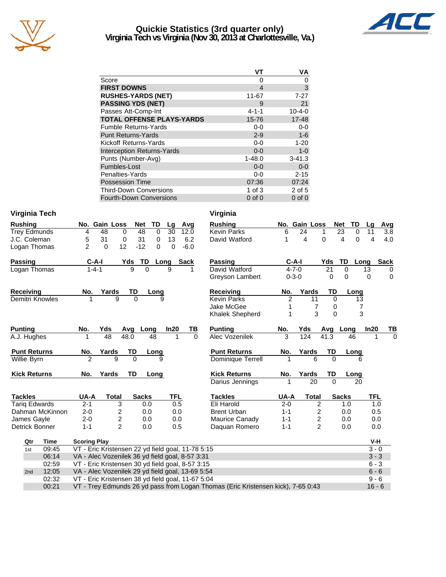

# **Quickie Statistics (3rd quarter only) Virginia Tech vs Virginia (Nov 30, 2013 at Charlottesville, Va.)**



|                                   | VT          | VA           |
|-----------------------------------|-------------|--------------|
| Score                             | O           | 0            |
| <b>FIRST DOWNS</b>                | 4           | 3            |
| <b>RUSHES-YARDS (NET)</b>         | 11-67       | $7 - 27$     |
| <b>PASSING YDS (NET)</b>          | 9           | 21           |
| Passes Att-Comp-Int               | $4 - 1 - 1$ | $10 - 4 - 0$ |
| <b>TOTAL OFFENSE PLAYS-YARDS</b>  | 15-76       | $17 - 48$    |
| <b>Fumble Returns-Yards</b>       | $0 - 0$     | $0-0$        |
| <b>Punt Returns-Yards</b>         | $2 - 9$     | $1-6$        |
| Kickoff Returns-Yards             | $0-0$       | $1 - 20$     |
| <b>Interception Returns-Yards</b> | $0 - 0$     | $1-0$        |
| Punts (Number-Avg)                | $1 - 48.0$  | $3 - 41.3$   |
| Fumbles-Lost                      | $0 - 0$     | $0-0$        |
| Penalties-Yards                   | $0-0$       | $2 - 15$     |
| <b>Possession Time</b>            | 07:36       | 07:24        |
| <b>Third-Down Conversions</b>     | 1 of $3$    | $2$ of $5$   |
| <b>Fourth-Down Conversions</b>    | $0$ of $0$  | $0$ of $0$   |

#### **Virginia Tech Virginia**

| <b>Rushing</b>       | No. Gain Loss                                     |                   | <b>Net</b><br><b>TD</b> | Lg         | Avg      | <b>Rushing</b>                                                                   |                | No. Gain Loss |                | <b>Net</b>   | TD            | Lq         | Avg         |
|----------------------|---------------------------------------------------|-------------------|-------------------------|------------|----------|----------------------------------------------------------------------------------|----------------|---------------|----------------|--------------|---------------|------------|-------------|
| <b>Trey Edmunds</b>  | 48<br>4                                           | 0                 | 48<br>0                 | 30         | 12.0     | <b>Kevin Parks</b>                                                               | 6              | 24            | 1              | 23           | 0             | 11         | 3.8         |
| J.C. Coleman         | 31<br>5                                           | 0                 | 31<br>0                 | 13         | 6.2      | David Watford                                                                    | 1              | 4             | $\mathbf 0$    |              | $\Omega$<br>4 | 4          | 4.0         |
| Logan Thomas         | $\overline{2}$<br>0                               | 12                | $-12$<br>0              | $\Omega$   | $-6.0$   |                                                                                  |                |               |                |              |               |            |             |
| Passing              | C-A-I                                             | Yds               | TD                      | Long       | Sack     | <b>Passing</b>                                                                   |                | $C-A-I$       |                | Yds          | TD<br>Long    |            | <b>Sack</b> |
| Logan Thomas         | $1 - 4 - 1$                                       | g                 | $\Omega$                | 9          |          | David Watford                                                                    |                | $4 - 7 - 0$   |                | 21           | $\Omega$      | 13         | 0           |
|                      |                                                   |                   |                         |            |          | Greyson Lambert                                                                  |                | $0 - 3 - 0$   |                | 0            | 0             | 0          | $\mathbf 0$ |
| Receiving            | No.                                               | Yards<br>TD       | Long                    |            |          | Receiving                                                                        | No.            | Yards         |                | TD           | Long          |            |             |
| Demitri Knowles      |                                                   | 9<br>$\Omega$     |                         | 9          |          | <b>Kevin Parks</b>                                                               | $\overline{2}$ |               | 11             | $\mathbf 0$  | 13            |            |             |
|                      |                                                   |                   |                         |            |          | Jake McGee                                                                       |                |               | 7              | 0            | 7             |            |             |
|                      |                                                   |                   |                         |            |          | Khalek Shepherd                                                                  | 1              |               | 3              | $\mathbf 0$  | 3             |            |             |
| <b>Punting</b>       | No.<br>Yds                                        | Avg               | Long                    | In20       | TВ       | <b>Punting</b>                                                                   | No.            | Yds           |                | Avg          | Long          | In20       | ΤВ          |
| A.J. Hughes          |                                                   | 48<br>48.0        | 48                      | 1          | $\Omega$ | Alec Vozenilek                                                                   | 3              | 124           |                | 41.3         | 46            |            | $\Omega$    |
| <b>Punt Returns</b>  | No.                                               | Yards<br>TD       | Long                    |            |          | <b>Punt Returns</b>                                                              | No.            | Yards         |                | TD           | Long          |            |             |
| Willie Byrn          | $\overline{2}$                                    | 9<br>$\mathbf{0}$ |                         | 9          |          | <b>Dominique Terrell</b>                                                         |                |               | 6              | $\Omega$     | 6             |            |             |
| <b>Kick Returns</b>  | No.                                               | Yards<br>TD       | Long                    |            |          | <b>Kick Returns</b>                                                              | No.            | Yards         |                | TD           | Long          |            |             |
|                      |                                                   |                   |                         |            |          | Darius Jennings                                                                  |                |               | 20             | $\Omega$     | 20            |            |             |
| <b>Tackles</b>       | UA-A                                              | <b>Total</b>      | <b>Sacks</b>            | <b>TFL</b> |          | <b>Tackles</b>                                                                   | UA-A           |               | <b>Total</b>   | <b>Sacks</b> |               | <b>TFL</b> |             |
| <b>Tariq Edwards</b> | $2 - 1$                                           | 3                 | 0.0                     | 0.5        |          | Eli Harold                                                                       | $2 - 0$        |               | 2              |              | 1.0           | 1.0        |             |
| Dahman McKinnon      | $2 - 0$                                           | 2                 | 0.0                     |            | 0.0      | <b>Brent Urban</b>                                                               | $1 - 1$        |               | 2              |              | 0.0           | 0.5        |             |
| James Gayle          | $2 - 0$                                           | $\overline{c}$    | 0.0                     |            | 0.0      | Maurice Canady                                                                   | $1 - 1$        |               | 2              |              | 0.0           | 0.0        |             |
| Detrick Bonner       | $1 - 1$                                           | $\overline{2}$    | 0.0                     | 0.5        |          | Daquan Romero                                                                    | $1 - 1$        |               | $\overline{2}$ |              | 0.0           | 0.0        |             |
| Time<br>Qtr          | <b>Scoring Play</b>                               |                   |                         |            |          |                                                                                  |                |               |                |              |               | V-H        |             |
| 09:45<br>1st         | VT - Eric Kristensen 22 yd field goal, 11-78 5:15 |                   |                         |            |          |                                                                                  |                |               |                |              |               | $3 - 0$    |             |
| 06:14                | VA - Alec Vozenilek 36 yd field goal, 8-57 3:31   |                   |                         |            |          |                                                                                  |                |               |                |              |               | $3 - 3$    |             |
| 02:59                | VT - Eric Kristensen 30 yd field goal, 8-57 3:15  |                   |                         |            |          |                                                                                  |                |               |                |              |               | $6 - 3$    |             |
| 12:05<br>2nd         | VA - Alec Vozenilek 29 yd field goal, 13-69 5:54  |                   |                         |            |          |                                                                                  |                |               |                |              |               | $6 - 6$    |             |
| 02:32                | VT - Eric Kristensen 38 yd field goal, 11-67 5:04 |                   |                         |            |          |                                                                                  |                |               |                |              |               | $9 - 6$    |             |
| 00:21                |                                                   |                   |                         |            |          | VT - Trey Edmunds 26 yd pass from Logan Thomas (Eric Kristensen kick), 7-65 0:43 |                |               |                |              |               | $16 - 6$   |             |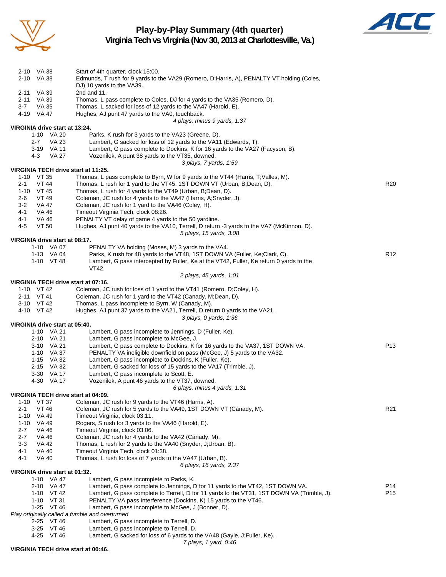

# **Play-by-Play Summary (4th quarter)**



**Virginia Tech vs Virginia (Nov 30, 2013 at Charlottesville, Va.)**

| 2-10 VA 38                                     | Start of 4th quarter, clock 15:00.                                                                                                    |                 |
|------------------------------------------------|---------------------------------------------------------------------------------------------------------------------------------------|-----------------|
| 2-10 VA 38                                     | Edmunds, T rush for 9 yards to the VA29 (Romero, D;Harris, A), PENALTY VT holding (Coles,                                             |                 |
|                                                | DJ) 10 yards to the VA39.                                                                                                             |                 |
| 2-11 VA 39                                     | 2nd and 11.                                                                                                                           |                 |
| 2-11 VA 39                                     | Thomas, L pass complete to Coles, DJ for 4 yards to the VA35 (Romero, D).                                                             |                 |
| 3-7<br>VA 35<br>4-19 VA 47                     | Thomas, L sacked for loss of 12 yards to the VA47 (Harold, E).<br>Hughes, AJ punt 47 yards to the VA0, touchback.                     |                 |
|                                                | 4 plays, minus 9 yards, 1:37                                                                                                          |                 |
| VIRGINIA drive start at 13:24.                 |                                                                                                                                       |                 |
| 1-10 VA 20                                     | Parks, K rush for 3 yards to the VA23 (Greene, D).                                                                                    |                 |
| $2 - 7$<br>VA 23                               | Lambert, G sacked for loss of 12 yards to the VA11 (Edwards, T).                                                                      |                 |
| 3-19 VA 11                                     | Lambert, G pass complete to Dockins, K for 16 yards to the VA27 (Facyson, B).                                                         |                 |
| 4-3<br>VA 27                                   | Vozenilek, A punt 38 yards to the VT35, downed.                                                                                       |                 |
|                                                | 3 plays, 7 yards, 1:59                                                                                                                |                 |
| VIRGINIA TECH drive start at 11:25.            |                                                                                                                                       |                 |
| 1-10 VT 35                                     | Thomas, L pass complete to Byrn, W for 9 yards to the VT44 (Harris, T; Valles, M).                                                    |                 |
| <b>VT 44</b><br>$2 - 1$<br>$1-10$ VT 45        | Thomas, L rush for 1 yard to the VT45, 1ST DOWN VT (Urban, B; Dean, D).<br>Thomas, L rush for 4 yards to the VT49 (Urban, B;Dean, D). | R <sub>20</sub> |
| 2-6<br>VT 49                                   | Coleman, JC rush for 4 yards to the VA47 (Harris, A;Snyder, J).                                                                       |                 |
| 3-2<br>VA 47                                   | Coleman, JC rush for 1 yard to the VA46 (Coley, H).                                                                                   |                 |
| 4-1<br>VA 46                                   | Timeout Virginia Tech, clock 08:26.                                                                                                   |                 |
| 4-1<br>VA 46                                   | PENALTY VT delay of game 4 yards to the 50 yardline.                                                                                  |                 |
| 4-5<br><b>VT 50</b>                            | Hughes, AJ punt 40 yards to the VA10, Terrell, D return -3 yards to the VA7 (McKinnon, D).                                            |                 |
|                                                | 5 plays, 15 yards, 3:08                                                                                                               |                 |
| VIRGINIA drive start at 08:17.                 |                                                                                                                                       |                 |
| 1-10 VA 07                                     | PENALTY VA holding (Moses, M) 3 yards to the VA4.                                                                                     |                 |
| 1-13 VA 04                                     | Parks, K rush for 48 yards to the VT48, 1ST DOWN VA (Fuller, Ke;Clark, C).                                                            | R <sub>12</sub> |
| 1-10 VT 48                                     | Lambert, G pass intercepted by Fuller, Ke at the VT42, Fuller, Ke return 0 yards to the                                               |                 |
|                                                | VT42.<br>2 plays, 45 yards, 1:01                                                                                                      |                 |
| VIRGINIA TECH drive start at 07:16.            |                                                                                                                                       |                 |
| 1-10 VT 42                                     | Coleman, JC rush for loss of 1 yard to the VT41 (Romero, D;Coley, H).                                                                 |                 |
| 2-11 VT 41                                     | Coleman, JC rush for 1 yard to the VT42 (Canady, M;Dean, D).                                                                          |                 |
| 3-10 VT 42                                     | Thomas, L pass incomplete to Byrn, W (Canady, M).                                                                                     |                 |
| 4-10 VT 42                                     | Hughes, AJ punt 37 yards to the VA21, Terrell, D return 0 yards to the VA21.                                                          |                 |
|                                                | 3 plays, 0 yards, 1:36                                                                                                                |                 |
| VIRGINIA drive start at 05:40.                 |                                                                                                                                       |                 |
| 1-10 VA 21<br>2-10 VA 21                       | Lambert, G pass incomplete to Jennings, D (Fuller, Ke).<br>Lambert, G pass incomplete to McGee, J.                                    |                 |
| 3-10 VA 21                                     | Lambert, G pass complete to Dockins, K for 16 yards to the VA37, 1ST DOWN VA.                                                         | P <sub>13</sub> |
| 1-10 VA 37                                     | PENALTY VA ineligible downfield on pass (McGee, J) 5 yards to the VA32.                                                               |                 |
| 1-15 VA 32                                     | Lambert, G pass incomplete to Dockins, K (Fuller, Ke).                                                                                |                 |
| 2-15 VA 32                                     | Lambert, G sacked for loss of 15 yards to the VA17 (Trimble, J).                                                                      |                 |
| 3-30 VA 17                                     | Lambert, G pass incomplete to Scott, E.                                                                                               |                 |
| 4-30 VA 17                                     | Vozenilek, A punt 46 yards to the VT37, downed.                                                                                       |                 |
|                                                | 6 plays, minus 4 yards, 1:31                                                                                                          |                 |
| VIRGINIA TECH drive start at 04:09.            |                                                                                                                                       |                 |
| 1-10 VT 37<br>2-1<br>VT 46                     | Coleman, JC rush for 9 yards to the VT46 (Harris, A).<br>Coleman, JC rush for 5 yards to the VA49, 1ST DOWN VT (Canady, M).           | R <sub>21</sub> |
| 1-10<br>VA 49                                  | Timeout Virginia, clock 03:11.                                                                                                        |                 |
| 1-10 VA 49                                     | Rogers, S rush for 3 yards to the VA46 (Harold, E).                                                                                   |                 |
| 2-7<br>VA 46                                   | Timeout Virginia, clock 03:06.                                                                                                        |                 |
| $2 - 7$<br><b>VA 46</b>                        | Coleman, JC rush for 4 yards to the VA42 (Canady, M).                                                                                 |                 |
| $3 - 3$<br>VA 42                               | Thomas, L rush for 2 yards to the VA40 (Snyder, J;Urban, B).                                                                          |                 |
| <b>VA 40</b><br>4-1                            | Timeout Virginia Tech, clock 01:38.                                                                                                   |                 |
| 4-1<br><b>VA 40</b>                            | Thomas, L rush for loss of 7 yards to the VA47 (Urban, B).                                                                            |                 |
|                                                | 6 plays, 16 yards, 2:37                                                                                                               |                 |
| VIRGINIA drive start at 01:32.<br>1-10 VA 47   | Lambert, G pass incomplete to Parks, K.                                                                                               |                 |
| 2-10 VA 47                                     | Lambert, G pass complete to Jennings, D for 11 yards to the VT42, 1ST DOWN VA.                                                        | P14             |
| 1-10 VT 42                                     | Lambert, G pass complete to Terrell, D for 11 yards to the VT31, 1ST DOWN VA (Trimble, J).                                            | P15             |
| 1-10 VT 31                                     | PENALTY VA pass interference (Dockins, K) 15 yards to the VT46.                                                                       |                 |
| 1-25 VT 46                                     | Lambert, G pass incomplete to McGee, J (Bonner, D).                                                                                   |                 |
| Play originally called a fumble and overturned |                                                                                                                                       |                 |
| 2-25 VT 46                                     | Lambert, G pass incomplete to Terrell, D.                                                                                             |                 |
| 3-25 VT 46<br>$1/T$ $4C$                       | Lambert, G pass incomplete to Terrell, D.                                                                                             |                 |

4-25 VT 46 Lambert, G sacked for loss of 6 yards to the VA48 (Gayle, J;Fuller, Ke). *7 plays, 1 yard, 0:46*

#### **VIRGINIA TECH drive start at 00:46.**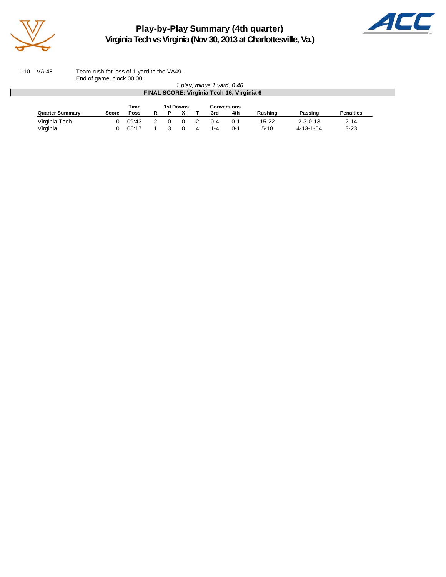

 $\Box$ 

**Play-by-Play Summary (4th quarter) Virginia Tech vs Virginia (Nov 30, 2013 at Charlottesville, Va.)**



1-10 VA 48 Team rush for loss of 1 yard to the VA49. End of game, clock 00:00.

|                                           |              |       |   |   |  |  | play, minus 1 vard, 0:46 |          |                |                  |                  |
|-------------------------------------------|--------------|-------|---|---|--|--|--------------------------|----------|----------------|------------------|------------------|
| FINAL SCORE: Virginia Tech 16, Virginia 6 |              |       |   |   |  |  |                          |          |                |                  |                  |
| Time<br>1st Downs<br>Conversions          |              |       |   |   |  |  |                          |          |                |                  |                  |
| <b>Quarter Summary</b>                    | <b>Score</b> | Poss  | R | Р |  |  | 3rd                      | 4th      | <b>Rushing</b> | Passing          | <b>Penalties</b> |
| Virginia Tech                             |              | 09:43 |   |   |  |  | $0 - 4$                  | $() - 1$ | $15-22$        | $2 - 3 - 0 - 13$ | $2 - 14$         |
| Virginia                                  |              | 05:17 |   |   |  |  | $1 - 4$                  | $() - 1$ | $5 - 18$       | 4-13-1-54        | $3 - 23$         |